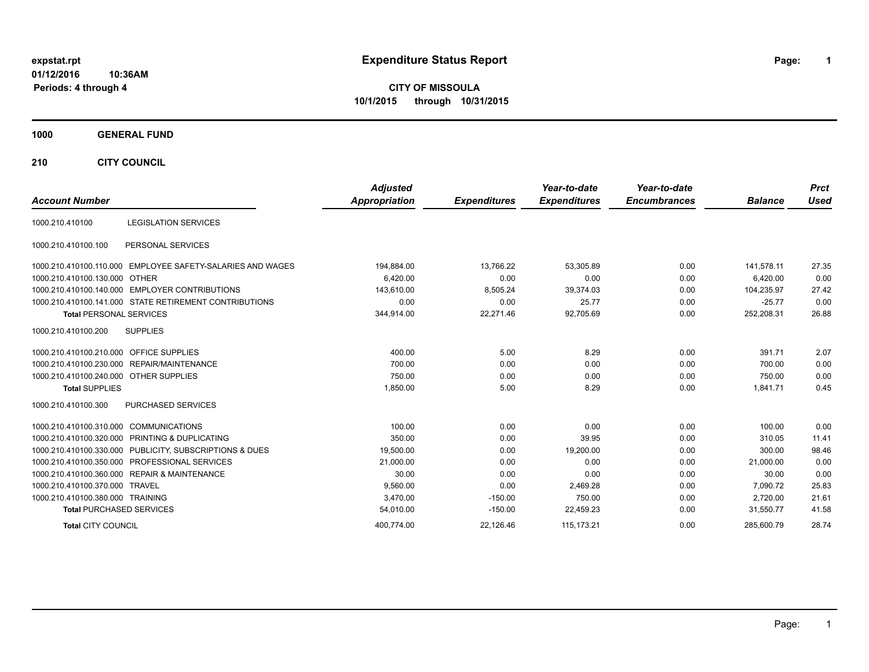# **expstat.rpt Expenditure Status Report Page:**

**1**

**CITY OF MISSOULA 10/1/2015 through 10/31/2015**

## **1000 GENERAL FUND**

**210 CITY COUNCIL**

| <b>Account Number</b>                  |                                                            | <b>Adjusted</b><br>Appropriation | <b>Expenditures</b> | Year-to-date<br><b>Expenditures</b> | Year-to-date<br><b>Encumbrances</b> | <b>Balance</b> | <b>Prct</b><br><b>Used</b> |
|----------------------------------------|------------------------------------------------------------|----------------------------------|---------------------|-------------------------------------|-------------------------------------|----------------|----------------------------|
| 1000.210.410100                        | <b>LEGISLATION SERVICES</b>                                |                                  |                     |                                     |                                     |                |                            |
|                                        |                                                            |                                  |                     |                                     |                                     |                |                            |
| 1000.210.410100.100                    | PERSONAL SERVICES                                          |                                  |                     |                                     |                                     |                |                            |
|                                        | 1000.210.410100.110.000 EMPLOYEE SAFETY-SALARIES AND WAGES | 194,884.00                       | 13,766.22           | 53,305.89                           | 0.00                                | 141,578.11     | 27.35                      |
| 1000.210.410100.130.000 OTHER          |                                                            | 6.420.00                         | 0.00                | 0.00                                | 0.00                                | 6.420.00       | 0.00                       |
|                                        | 1000.210.410100.140.000 EMPLOYER CONTRIBUTIONS             | 143,610.00                       | 8,505.24            | 39,374.03                           | 0.00                                | 104,235.97     | 27.42                      |
|                                        | 1000.210.410100.141.000 STATE RETIREMENT CONTRIBUTIONS     | 0.00                             | 0.00                | 25.77                               | 0.00                                | $-25.77$       | 0.00                       |
| <b>Total PERSONAL SERVICES</b>         |                                                            | 344,914.00                       | 22,271.46           | 92,705.69                           | 0.00                                | 252,208.31     | 26.88                      |
| 1000.210.410100.200                    | <b>SUPPLIES</b>                                            |                                  |                     |                                     |                                     |                |                            |
| 1000.210.410100.210.000                | OFFICE SUPPLIES                                            | 400.00                           | 5.00                | 8.29                                | 0.00                                | 391.71         | 2.07                       |
|                                        | 1000.210.410100.230.000 REPAIR/MAINTENANCE                 | 700.00                           | 0.00                | 0.00                                | 0.00                                | 700.00         | 0.00                       |
| 1000.210.410100.240.000 OTHER SUPPLIES |                                                            | 750.00                           | 0.00                | 0.00                                | 0.00                                | 750.00         | 0.00                       |
| <b>Total SUPPLIES</b>                  |                                                            | 1,850.00                         | 5.00                | 8.29                                | 0.00                                | 1,841.71       | 0.45                       |
| 1000.210.410100.300                    | <b>PURCHASED SERVICES</b>                                  |                                  |                     |                                     |                                     |                |                            |
| 1000.210.410100.310.000 COMMUNICATIONS |                                                            | 100.00                           | 0.00                | 0.00                                | 0.00                                | 100.00         | 0.00                       |
|                                        | 1000.210.410100.320.000 PRINTING & DUPLICATING             | 350.00                           | 0.00                | 39.95                               | 0.00                                | 310.05         | 11.41                      |
|                                        | 1000.210.410100.330.000 PUBLICITY, SUBSCRIPTIONS & DUES    | 19,500.00                        | 0.00                | 19,200.00                           | 0.00                                | 300.00         | 98.46                      |
|                                        | 1000.210.410100.350.000 PROFESSIONAL SERVICES              | 21,000.00                        | 0.00                | 0.00                                | 0.00                                | 21,000.00      | 0.00                       |
|                                        | 1000.210.410100.360.000 REPAIR & MAINTENANCE               | 30.00                            | 0.00                | 0.00                                | 0.00                                | 30.00          | 0.00                       |
| 1000.210.410100.370.000 TRAVEL         |                                                            | 9,560.00                         | 0.00                | 2,469.28                            | 0.00                                | 7,090.72       | 25.83                      |
| 1000.210.410100.380.000 TRAINING       |                                                            | 3,470.00                         | $-150.00$           | 750.00                              | 0.00                                | 2,720.00       | 21.61                      |
| <b>Total PURCHASED SERVICES</b>        |                                                            | 54,010.00                        | $-150.00$           | 22,459.23                           | 0.00                                | 31,550.77      | 41.58                      |
| <b>Total CITY COUNCIL</b>              |                                                            | 400.774.00                       | 22,126.46           | 115,173.21                          | 0.00                                | 285.600.79     | 28.74                      |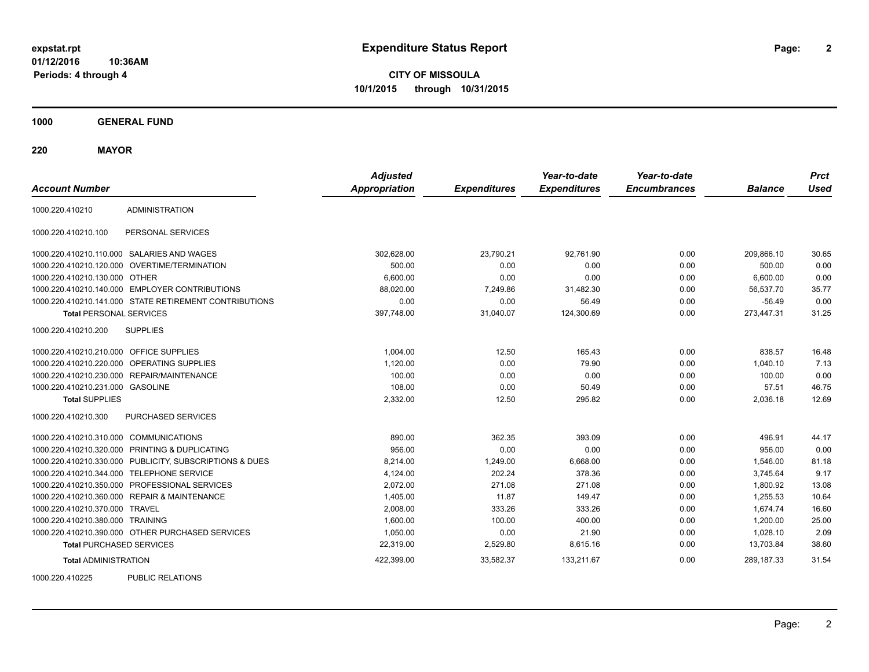**CITY OF MISSOULA 10/1/2015 through 10/31/2015**

**1000 GENERAL FUND**

**220 MAYOR**

| <b>Account Number</b>                   |                                                         | <b>Adjusted</b><br><b>Appropriation</b> | <b>Expenditures</b> | Year-to-date<br><b>Expenditures</b> | Year-to-date<br><b>Encumbrances</b> | <b>Balance</b> | <b>Prct</b><br><b>Used</b> |
|-----------------------------------------|---------------------------------------------------------|-----------------------------------------|---------------------|-------------------------------------|-------------------------------------|----------------|----------------------------|
| 1000.220.410210                         | <b>ADMINISTRATION</b>                                   |                                         |                     |                                     |                                     |                |                            |
| 1000.220.410210.100                     | PERSONAL SERVICES                                       |                                         |                     |                                     |                                     |                |                            |
|                                         | 1000.220.410210.110.000 SALARIES AND WAGES              | 302,628.00                              | 23,790.21           | 92,761.90                           | 0.00                                | 209.866.10     | 30.65                      |
| 1000.220.410210.120.000                 | OVERTIME/TERMINATION                                    | 500.00                                  | 0.00                | 0.00                                | 0.00                                | 500.00         | 0.00                       |
| 1000.220.410210.130.000 OTHER           |                                                         | 6,600.00                                | 0.00                | 0.00                                | 0.00                                | 6,600.00       | 0.00                       |
|                                         | 1000.220.410210.140.000 EMPLOYER CONTRIBUTIONS          | 88,020.00                               | 7,249.86            | 31,482.30                           | 0.00                                | 56,537.70      | 35.77                      |
|                                         | 1000.220.410210.141.000 STATE RETIREMENT CONTRIBUTIONS  | 0.00                                    | 0.00                | 56.49                               | 0.00                                | $-56.49$       | 0.00                       |
| <b>Total PERSONAL SERVICES</b>          |                                                         | 397,748.00                              | 31,040.07           | 124,300.69                          | 0.00                                | 273,447.31     | 31.25                      |
| 1000.220.410210.200                     | <b>SUPPLIES</b>                                         |                                         |                     |                                     |                                     |                |                            |
| 1000.220.410210.210.000 OFFICE SUPPLIES |                                                         | 1,004.00                                | 12.50               | 165.43                              | 0.00                                | 838.57         | 16.48                      |
| 1000.220.410210.220.000                 | OPERATING SUPPLIES                                      | 1,120.00                                | 0.00                | 79.90                               | 0.00                                | 1,040.10       | 7.13                       |
| 1000.220.410210.230.000                 | REPAIR/MAINTENANCE                                      | 100.00                                  | 0.00                | 0.00                                | 0.00                                | 100.00         | 0.00                       |
| 1000.220.410210.231.000 GASOLINE        |                                                         | 108.00                                  | 0.00                | 50.49                               | 0.00                                | 57.51          | 46.75                      |
| <b>Total SUPPLIES</b>                   |                                                         | 2,332.00                                | 12.50               | 295.82                              | 0.00                                | 2,036.18       | 12.69                      |
| 1000.220.410210.300                     | PURCHASED SERVICES                                      |                                         |                     |                                     |                                     |                |                            |
| 1000.220.410210.310.000 COMMUNICATIONS  |                                                         | 890.00                                  | 362.35              | 393.09                              | 0.00                                | 496.91         | 44.17                      |
|                                         | 1000.220.410210.320.000 PRINTING & DUPLICATING          | 956.00                                  | 0.00                | 0.00                                | 0.00                                | 956.00         | 0.00                       |
|                                         | 1000.220.410210.330.000 PUBLICITY, SUBSCRIPTIONS & DUES | 8,214.00                                | 1,249.00            | 6,668.00                            | 0.00                                | 1,546.00       | 81.18                      |
| 1000.220.410210.344.000                 | <b>TELEPHONE SERVICE</b>                                | 4,124.00                                | 202.24              | 378.36                              | 0.00                                | 3,745.64       | 9.17                       |
|                                         | 1000.220.410210.350.000 PROFESSIONAL SERVICES           | 2,072.00                                | 271.08              | 271.08                              | 0.00                                | 1,800.92       | 13.08                      |
|                                         | 1000.220.410210.360.000 REPAIR & MAINTENANCE            | 1,405.00                                | 11.87               | 149.47                              | 0.00                                | 1,255.53       | 10.64                      |
| 1000.220.410210.370.000 TRAVEL          |                                                         | 2.008.00                                | 333.26              | 333.26                              | 0.00                                | 1.674.74       | 16.60                      |
| 1000.220.410210.380.000 TRAINING        |                                                         | 1,600.00                                | 100.00              | 400.00                              | 0.00                                | 1,200.00       | 25.00                      |
|                                         | 1000.220.410210.390.000 OTHER PURCHASED SERVICES        | 1,050.00                                | 0.00                | 21.90                               | 0.00                                | 1,028.10       | 2.09                       |
| <b>Total PURCHASED SERVICES</b>         |                                                         | 22,319.00                               | 2,529.80            | 8,615.16                            | 0.00                                | 13,703.84      | 38.60                      |
| <b>Total ADMINISTRATION</b>             |                                                         | 422,399.00                              | 33,582.37           | 133,211.67                          | 0.00                                | 289,187.33     | 31.54                      |
| 1000000110000                           | $P(1,0)$ $Q(0,0)$ $Q(1,0)$                              |                                         |                     |                                     |                                     |                |                            |

1000.220.410225 PUBLIC RELATIONS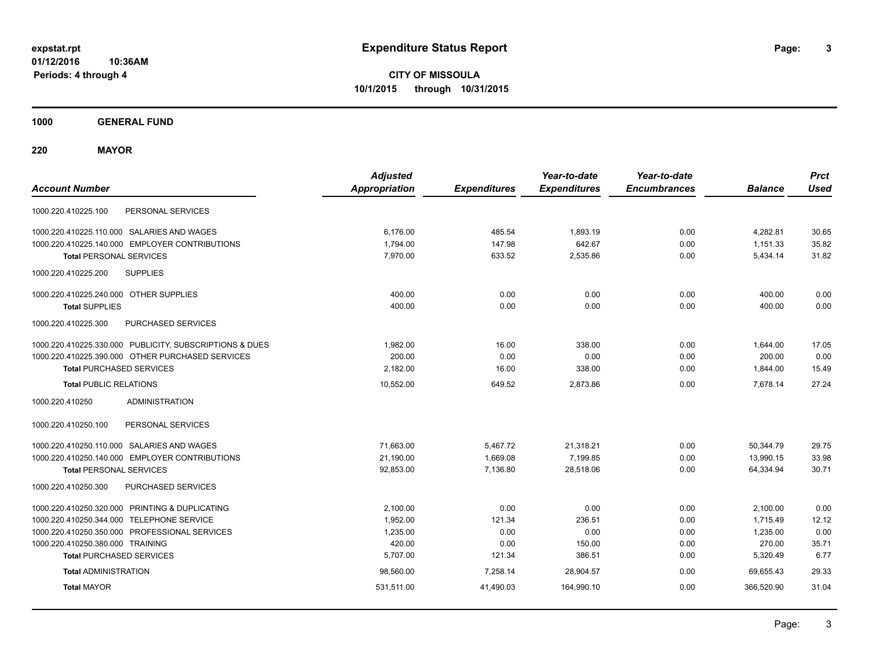**CITY OF MISSOULA 10/1/2015 through 10/31/2015**

**1000 GENERAL FUND**

**220 MAYOR**

| <b>Account Number</b>                                   | <b>Adjusted</b><br><b>Appropriation</b> | <b>Expenditures</b> | Year-to-date<br><b>Expenditures</b> | Year-to-date<br><b>Encumbrances</b> | <b>Balance</b> | <b>Prct</b><br><b>Used</b> |
|---------------------------------------------------------|-----------------------------------------|---------------------|-------------------------------------|-------------------------------------|----------------|----------------------------|
| PERSONAL SERVICES<br>1000.220.410225.100                |                                         |                     |                                     |                                     |                |                            |
| 1000.220.410225.110.000 SALARIES AND WAGES              | 6.176.00                                | 485.54              | 1,893.19                            | 0.00                                | 4,282.81       | 30.65                      |
| 1000.220.410225.140.000 EMPLOYER CONTRIBUTIONS          | 1,794.00                                | 147.98              | 642.67                              | 0.00                                | 1,151.33       | 35.82                      |
| <b>Total PERSONAL SERVICES</b>                          | 7.970.00                                | 633.52              | 2,535.86                            | 0.00                                | 5,434.14       | 31.82                      |
| 1000.220.410225.200<br><b>SUPPLIES</b>                  |                                         |                     |                                     |                                     |                |                            |
| 1000.220.410225.240.000 OTHER SUPPLIES                  | 400.00                                  | 0.00                | 0.00                                | 0.00                                | 400.00         | 0.00                       |
| <b>Total SUPPLIES</b>                                   | 400.00                                  | 0.00                | 0.00                                | 0.00                                | 400.00         | 0.00                       |
| 1000.220.410225.300<br><b>PURCHASED SERVICES</b>        |                                         |                     |                                     |                                     |                |                            |
| 1000.220.410225.330.000 PUBLICITY, SUBSCRIPTIONS & DUES | 1,982.00                                | 16.00               | 338.00                              | 0.00                                | 1,644.00       | 17.05                      |
| 1000.220.410225.390.000 OTHER PURCHASED SERVICES        | 200.00                                  | 0.00                | 0.00                                | 0.00                                | 200.00         | 0.00                       |
| <b>Total PURCHASED SERVICES</b>                         | 2,182.00                                | 16.00               | 338.00                              | 0.00                                | 1,844.00       | 15.49                      |
| <b>Total PUBLIC RELATIONS</b>                           | 10,552.00                               | 649.52              | 2,873.86                            | 0.00                                | 7,678.14       | 27.24                      |
| <b>ADMINISTRATION</b><br>1000.220.410250                |                                         |                     |                                     |                                     |                |                            |
| 1000.220.410250.100<br>PERSONAL SERVICES                |                                         |                     |                                     |                                     |                |                            |
| 1000.220.410250.110.000 SALARIES AND WAGES              | 71,663.00                               | 5,467.72            | 21,318.21                           | 0.00                                | 50,344.79      | 29.75                      |
| 1000.220.410250.140.000 EMPLOYER CONTRIBUTIONS          | 21,190.00                               | 1,669.08            | 7,199.85                            | 0.00                                | 13,990.15      | 33.98                      |
| <b>Total PERSONAL SERVICES</b>                          | 92,853.00                               | 7,136.80            | 28,518.06                           | 0.00                                | 64,334.94      | 30.71                      |
| 1000.220.410250.300<br>PURCHASED SERVICES               |                                         |                     |                                     |                                     |                |                            |
| 1000.220.410250.320.000 PRINTING & DUPLICATING          | 2,100.00                                | 0.00                | 0.00                                | 0.00                                | 2,100.00       | 0.00                       |
| 1000.220.410250.344.000 TELEPHONE SERVICE               | 1,952.00                                | 121.34              | 236.51                              | 0.00                                | 1,715.49       | 12.12                      |
| 1000.220.410250.350.000 PROFESSIONAL SERVICES           | 1,235.00                                | 0.00                | 0.00                                | 0.00                                | 1,235.00       | 0.00                       |
| 1000.220.410250.380.000 TRAINING                        | 420.00                                  | 0.00                | 150.00                              | 0.00                                | 270.00         | 35.71                      |
| <b>Total PURCHASED SERVICES</b>                         | 5,707.00                                | 121.34              | 386.51                              | 0.00                                | 5,320.49       | 6.77                       |
| <b>Total ADMINISTRATION</b>                             | 98,560.00                               | 7,258.14            | 28,904.57                           | 0.00                                | 69.655.43      | 29.33                      |
| <b>Total MAYOR</b>                                      | 531,511.00                              | 41,490.03           | 164,990.10                          | 0.00                                | 366.520.90     | 31.04                      |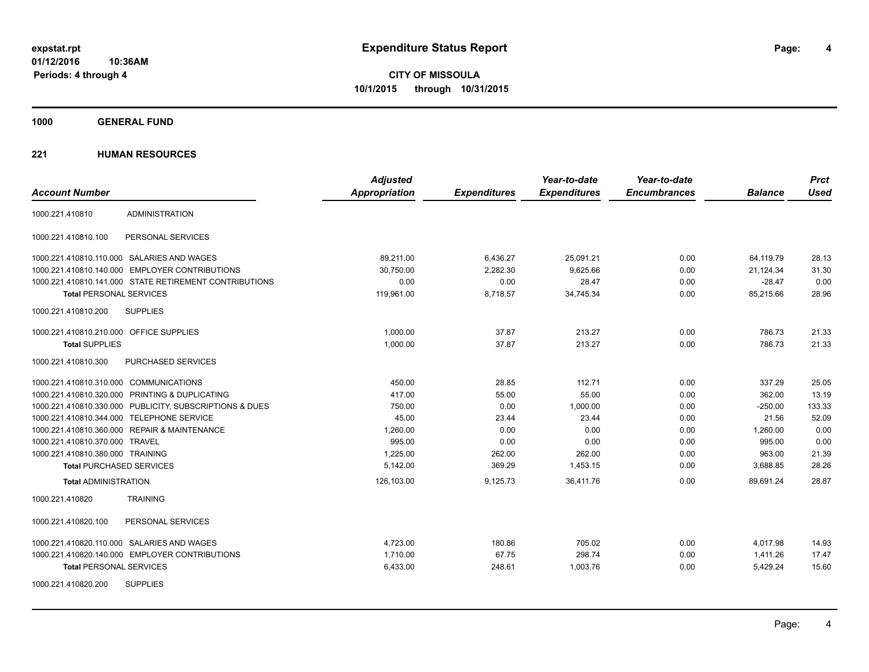**4**

**CITY OF MISSOULA 10/1/2015 through 10/31/2015**

**1000 GENERAL FUND**

| <b>Account Number</b>                                   | <b>Adjusted</b><br>Appropriation | <b>Expenditures</b> | Year-to-date<br><b>Expenditures</b> | Year-to-date<br><b>Encumbrances</b> | <b>Balance</b> | <b>Prct</b><br><b>Used</b> |
|---------------------------------------------------------|----------------------------------|---------------------|-------------------------------------|-------------------------------------|----------------|----------------------------|
| <b>ADMINISTRATION</b><br>1000.221.410810                |                                  |                     |                                     |                                     |                |                            |
| PERSONAL SERVICES<br>1000.221.410810.100                |                                  |                     |                                     |                                     |                |                            |
| 1000.221.410810.110.000 SALARIES AND WAGES              | 89,211.00                        | 6,436.27            | 25,091.21                           | 0.00                                | 64,119.79      | 28.13                      |
| 1000.221.410810.140.000 EMPLOYER CONTRIBUTIONS          | 30.750.00                        | 2,282.30            | 9.625.66                            | 0.00                                | 21,124.34      | 31.30                      |
| 1000.221.410810.141.000 STATE RETIREMENT CONTRIBUTIONS  | 0.00                             | 0.00                | 28.47                               | 0.00                                | $-28.47$       | 0.00                       |
| <b>Total PERSONAL SERVICES</b>                          | 119,961.00                       | 8,718.57            | 34,745.34                           | 0.00                                | 85,215.66      | 28.96                      |
| 1000.221.410810.200<br><b>SUPPLIES</b>                  |                                  |                     |                                     |                                     |                |                            |
| 1000.221.410810.210.000 OFFICE SUPPLIES                 | 1.000.00                         | 37.87               | 213.27                              | 0.00                                | 786.73         | 21.33                      |
| <b>Total SUPPLIES</b>                                   | 1,000.00                         | 37.87               | 213.27                              | 0.00                                | 786.73         | 21.33                      |
| 1000.221.410810.300<br>PURCHASED SERVICES               |                                  |                     |                                     |                                     |                |                            |
| 1000.221.410810.310.000 COMMUNICATIONS                  | 450.00                           | 28.85               | 112.71                              | 0.00                                | 337.29         | 25.05                      |
| 1000.221.410810.320.000 PRINTING & DUPLICATING          | 417.00                           | 55.00               | 55.00                               | 0.00                                | 362.00         | 13.19                      |
| 1000.221.410810.330.000 PUBLICITY, SUBSCRIPTIONS & DUES | 750.00                           | 0.00                | 1,000.00                            | 0.00                                | $-250.00$      | 133.33                     |
| 1000.221.410810.344.000 TELEPHONE SERVICE               | 45.00                            | 23.44               | 23.44                               | 0.00                                | 21.56          | 52.09                      |
| 1000.221.410810.360.000 REPAIR & MAINTENANCE            | 1,260.00                         | 0.00                | 0.00                                | 0.00                                | 1,260.00       | 0.00                       |
| 1000.221.410810.370.000 TRAVEL                          | 995.00                           | 0.00                | 0.00                                | 0.00                                | 995.00         | 0.00                       |
| 1000.221.410810.380.000 TRAINING                        | 1,225.00                         | 262.00              | 262.00                              | 0.00                                | 963.00         | 21.39                      |
| <b>Total PURCHASED SERVICES</b>                         | 5,142.00                         | 369.29              | 1,453.15                            | 0.00                                | 3,688.85       | 28.26                      |
| <b>Total ADMINISTRATION</b>                             | 126,103.00                       | 9,125.73            | 36,411.76                           | 0.00                                | 89,691.24      | 28.87                      |
| <b>TRAINING</b><br>1000.221.410820                      |                                  |                     |                                     |                                     |                |                            |
| PERSONAL SERVICES<br>1000.221.410820.100                |                                  |                     |                                     |                                     |                |                            |
| 1000.221.410820.110.000 SALARIES AND WAGES              | 4,723.00                         | 180.86              | 705.02                              | 0.00                                | 4,017.98       | 14.93                      |
| 1000.221.410820.140.000 EMPLOYER CONTRIBUTIONS          | 1,710.00                         | 67.75               | 298.74                              | 0.00                                | 1,411.26       | 17.47                      |
| <b>Total PERSONAL SERVICES</b>                          | 6,433.00                         | 248.61              | 1,003.76                            | 0.00                                | 5,429.24       | 15.60                      |
| <b>SUPPLIES</b><br>1000.221.410820.200                  |                                  |                     |                                     |                                     |                |                            |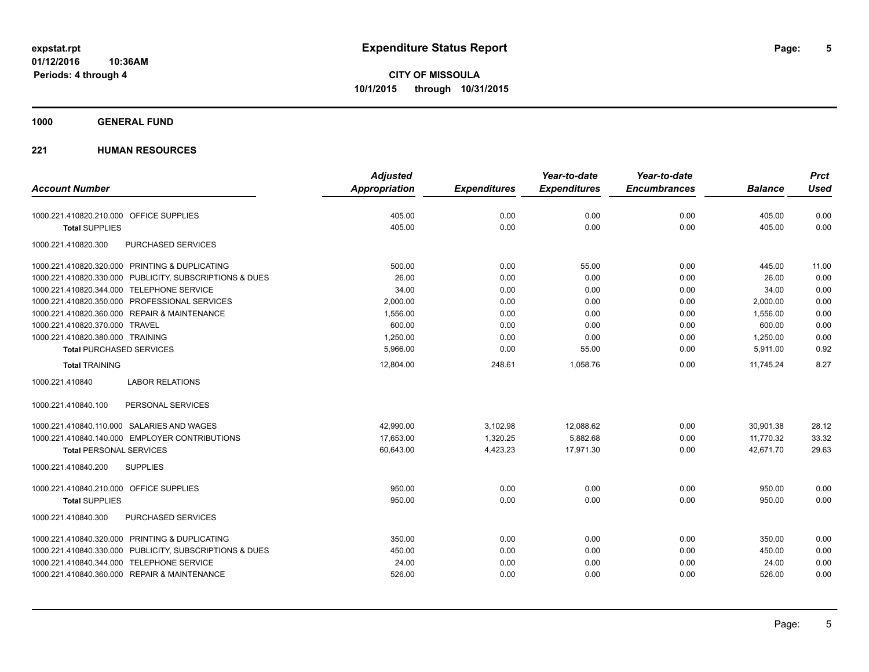**CITY OF MISSOULA 10/1/2015 through 10/31/2015**

## **1000 GENERAL FUND**

|                                                         | <b>Adjusted</b> |                     | Year-to-date        | Year-to-date        |                | <b>Prct</b> |
|---------------------------------------------------------|-----------------|---------------------|---------------------|---------------------|----------------|-------------|
| <b>Account Number</b>                                   | Appropriation   | <b>Expenditures</b> | <b>Expenditures</b> | <b>Encumbrances</b> | <b>Balance</b> | <b>Used</b> |
| 1000.221.410820.210.000 OFFICE SUPPLIES                 | 405.00          | 0.00                | 0.00                | 0.00                | 405.00         | 0.00        |
| <b>Total SUPPLIES</b>                                   | 405.00          | 0.00                | 0.00                | 0.00                | 405.00         | 0.00        |
| 1000.221.410820.300<br>PURCHASED SERVICES               |                 |                     |                     |                     |                |             |
| 1000.221.410820.320.000 PRINTING & DUPLICATING          | 500.00          | 0.00                | 55.00               | 0.00                | 445.00         | 11.00       |
| 1000.221.410820.330.000 PUBLICITY, SUBSCRIPTIONS & DUES | 26.00           | 0.00                | 0.00                | 0.00                | 26.00          | 0.00        |
| 1000.221.410820.344.000 TELEPHONE SERVICE               | 34.00           | 0.00                | 0.00                | 0.00                | 34.00          | 0.00        |
| 1000.221.410820.350.000 PROFESSIONAL SERVICES           | 2,000.00        | 0.00                | 0.00                | 0.00                | 2,000.00       | 0.00        |
| 1000.221.410820.360.000 REPAIR & MAINTENANCE            | 1,556.00        | 0.00                | 0.00                | 0.00                | 1,556.00       | 0.00        |
| 1000.221.410820.370.000 TRAVEL                          | 600.00          | 0.00                | 0.00                | 0.00                | 600.00         | 0.00        |
| 1000.221.410820.380.000 TRAINING                        | 1,250.00        | 0.00                | 0.00                | 0.00                | 1,250.00       | 0.00        |
| <b>Total PURCHASED SERVICES</b>                         | 5,966.00        | 0.00                | 55.00               | 0.00                | 5,911.00       | 0.92        |
| <b>Total TRAINING</b>                                   | 12,804.00       | 248.61              | 1,058.76            | 0.00                | 11,745.24      | 8.27        |
| <b>LABOR RELATIONS</b><br>1000.221.410840               |                 |                     |                     |                     |                |             |
| PERSONAL SERVICES<br>1000.221.410840.100                |                 |                     |                     |                     |                |             |
| 1000.221.410840.110.000 SALARIES AND WAGES              | 42,990.00       | 3,102.98            | 12,088.62           | 0.00                | 30,901.38      | 28.12       |
| 1000.221.410840.140.000 EMPLOYER CONTRIBUTIONS          | 17,653.00       | 1,320.25            | 5,882.68            | 0.00                | 11,770.32      | 33.32       |
| <b>Total PERSONAL SERVICES</b>                          | 60,643.00       | 4,423.23            | 17,971.30           | 0.00                | 42,671.70      | 29.63       |
| <b>SUPPLIES</b><br>1000.221.410840.200                  |                 |                     |                     |                     |                |             |
| 1000.221.410840.210.000 OFFICE SUPPLIES                 | 950.00          | 0.00                | 0.00                | 0.00                | 950.00         | 0.00        |
| <b>Total SUPPLIES</b>                                   | 950.00          | 0.00                | 0.00                | 0.00                | 950.00         | 0.00        |
| 1000.221.410840.300<br>PURCHASED SERVICES               |                 |                     |                     |                     |                |             |
| 1000.221.410840.320.000 PRINTING & DUPLICATING          | 350.00          | 0.00                | 0.00                | 0.00                | 350.00         | 0.00        |
| 1000.221.410840.330.000 PUBLICITY, SUBSCRIPTIONS & DUES | 450.00          | 0.00                | 0.00                | 0.00                | 450.00         | 0.00        |
| 1000.221.410840.344.000 TELEPHONE SERVICE               | 24.00           | 0.00                | 0.00                | 0.00                | 24.00          | 0.00        |
| 1000.221.410840.360.000 REPAIR & MAINTENANCE            | 526.00          | 0.00                | 0.00                | 0.00                | 526.00         | 0.00        |
|                                                         |                 |                     |                     |                     |                |             |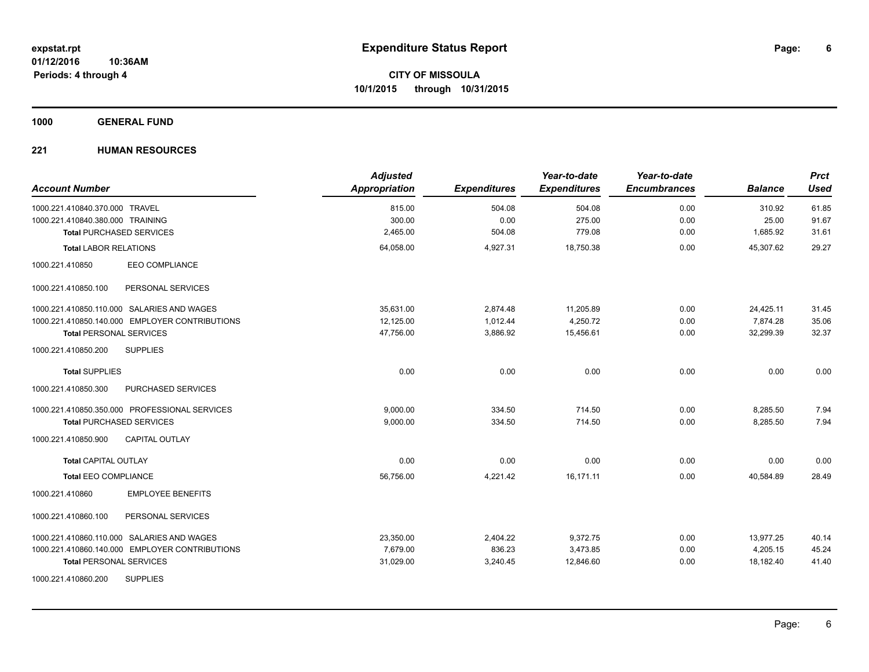**1000 GENERAL FUND**

| <b>Account Number</b>                          | <b>Adjusted</b><br><b>Appropriation</b> | <b>Expenditures</b> | Year-to-date<br><b>Expenditures</b> | Year-to-date<br><b>Encumbrances</b> | <b>Balance</b> | <b>Prct</b><br><b>Used</b> |
|------------------------------------------------|-----------------------------------------|---------------------|-------------------------------------|-------------------------------------|----------------|----------------------------|
| 1000.221.410840.370.000 TRAVEL                 | 815.00                                  | 504.08              | 504.08                              | 0.00                                | 310.92         | 61.85                      |
| 1000.221.410840.380.000 TRAINING               | 300.00                                  | 0.00                | 275.00                              | 0.00                                | 25.00          | 91.67                      |
| <b>Total PURCHASED SERVICES</b>                | 2,465.00                                | 504.08              | 779.08                              | 0.00                                | 1,685.92       | 31.61                      |
| <b>Total LABOR RELATIONS</b>                   | 64,058.00                               | 4,927.31            | 18,750.38                           | 0.00                                | 45,307.62      | 29.27                      |
| 1000.221.410850<br><b>EEO COMPLIANCE</b>       |                                         |                     |                                     |                                     |                |                            |
| 1000.221.410850.100<br>PERSONAL SERVICES       |                                         |                     |                                     |                                     |                |                            |
| 1000.221.410850.110.000 SALARIES AND WAGES     | 35,631.00                               | 2,874.48            | 11,205.89                           | 0.00                                | 24,425.11      | 31.45                      |
| 1000.221.410850.140.000 EMPLOYER CONTRIBUTIONS | 12,125.00                               | 1,012.44            | 4,250.72                            | 0.00                                | 7,874.28       | 35.06                      |
| <b>Total PERSONAL SERVICES</b>                 | 47,756.00                               | 3,886.92            | 15,456.61                           | 0.00                                | 32,299.39      | 32.37                      |
| 1000.221.410850.200<br><b>SUPPLIES</b>         |                                         |                     |                                     |                                     |                |                            |
| <b>Total SUPPLIES</b>                          | 0.00                                    | 0.00                | 0.00                                | 0.00                                | 0.00           | 0.00                       |
| 1000.221.410850.300<br>PURCHASED SERVICES      |                                         |                     |                                     |                                     |                |                            |
| 1000.221.410850.350.000 PROFESSIONAL SERVICES  | 9,000.00                                | 334.50              | 714.50                              | 0.00                                | 8,285.50       | 7.94                       |
| <b>Total PURCHASED SERVICES</b>                | 9,000.00                                | 334.50              | 714.50                              | 0.00                                | 8,285.50       | 7.94                       |
| 1000.221.410850.900<br><b>CAPITAL OUTLAY</b>   |                                         |                     |                                     |                                     |                |                            |
| <b>Total CAPITAL OUTLAY</b>                    | 0.00                                    | 0.00                | 0.00                                | 0.00                                | 0.00           | 0.00                       |
| <b>Total EEO COMPLIANCE</b>                    | 56,756.00                               | 4,221.42            | 16,171.11                           | 0.00                                | 40,584.89      | 28.49                      |
| <b>EMPLOYEE BENEFITS</b><br>1000.221.410860    |                                         |                     |                                     |                                     |                |                            |
| 1000.221.410860.100<br>PERSONAL SERVICES       |                                         |                     |                                     |                                     |                |                            |
| 1000.221.410860.110.000 SALARIES AND WAGES     | 23,350.00                               | 2,404.22            | 9,372.75                            | 0.00                                | 13,977.25      | 40.14                      |
| 1000.221.410860.140.000 EMPLOYER CONTRIBUTIONS | 7,679.00                                | 836.23              | 3,473.85                            | 0.00                                | 4,205.15       | 45.24                      |
| <b>Total PERSONAL SERVICES</b>                 | 31,029.00                               | 3,240.45            | 12,846.60                           | 0.00                                | 18,182.40      | 41.40                      |
| <b>SUPPLIES</b><br>1000.221.410860.200         |                                         |                     |                                     |                                     |                |                            |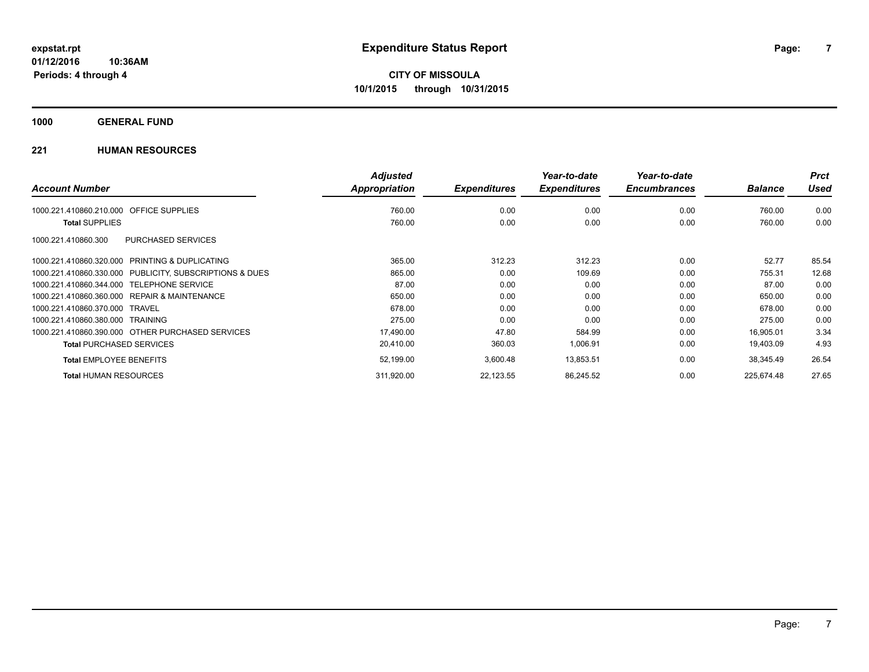**1000 GENERAL FUND**

|                                                         | <b>Adjusted</b>      |                     | Year-to-date        | Year-to-date        |                | <b>Prct</b> |
|---------------------------------------------------------|----------------------|---------------------|---------------------|---------------------|----------------|-------------|
| <b>Account Number</b>                                   | <b>Appropriation</b> | <b>Expenditures</b> | <b>Expenditures</b> | <b>Encumbrances</b> | <b>Balance</b> | Used        |
| <b>OFFICE SUPPLIES</b><br>1000.221.410860.210.000       | 760.00               | 0.00                | 0.00                | 0.00                | 760.00         | 0.00        |
| <b>Total SUPPLIES</b>                                   | 760.00               | 0.00                | 0.00                | 0.00                | 760.00         | 0.00        |
| PURCHASED SERVICES<br>1000.221.410860.300               |                      |                     |                     |                     |                |             |
| 1000.221.410860.320.000 PRINTING & DUPLICATING          | 365.00               | 312.23              | 312.23              | 0.00                | 52.77          | 85.54       |
| 1000.221.410860.330.000 PUBLICITY, SUBSCRIPTIONS & DUES | 865.00               | 0.00                | 109.69              | 0.00                | 755.31         | 12.68       |
| 1000.221.410860.344.000 TELEPHONE SERVICE               | 87.00                | 0.00                | 0.00                | 0.00                | 87.00          | 0.00        |
| 1000.221.410860.360.000 REPAIR & MAINTENANCE            | 650.00               | 0.00                | 0.00                | 0.00                | 650.00         | 0.00        |
| 1000.221.410860.370.000 TRAVEL                          | 678.00               | 0.00                | 0.00                | 0.00                | 678.00         | 0.00        |
| 1000.221.410860.380.000 TRAINING                        | 275.00               | 0.00                | 0.00                | 0.00                | 275.00         | 0.00        |
| 1000.221.410860.390.000 OTHER PURCHASED SERVICES        | 17,490.00            | 47.80               | 584.99              | 0.00                | 16,905.01      | 3.34        |
| <b>Total PURCHASED SERVICES</b>                         | 20,410.00            | 360.03              | 1,006.91            | 0.00                | 19,403.09      | 4.93        |
| <b>Total EMPLOYEE BENEFITS</b>                          | 52,199.00            | 3,600.48            | 13,853.51           | 0.00                | 38,345.49      | 26.54       |
| <b>Total HUMAN RESOURCES</b>                            | 311,920.00           | 22,123.55           | 86,245.52           | 0.00                | 225.674.48     | 27.65       |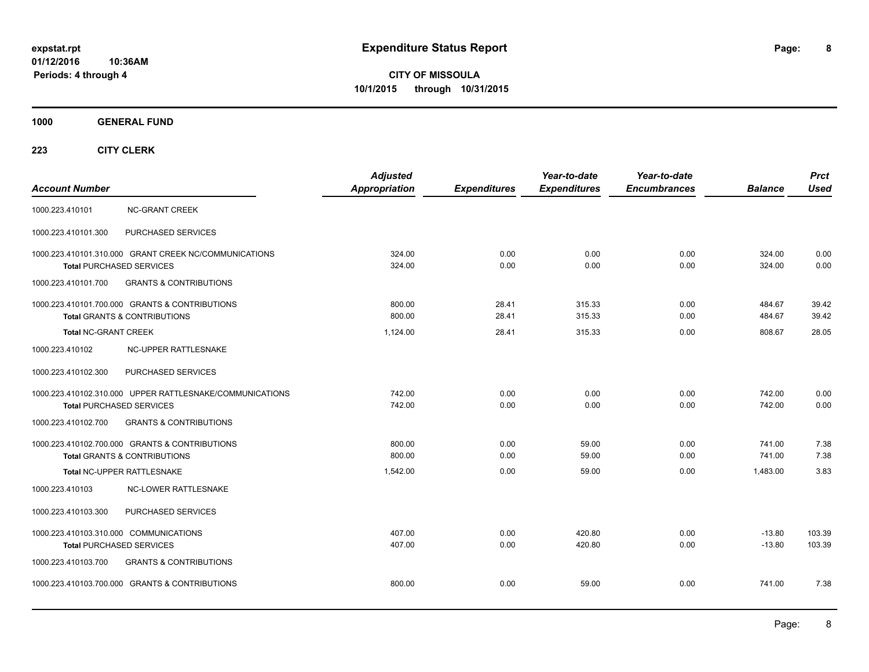**CITY OF MISSOULA 10/1/2015 through 10/31/2015**

**1000 GENERAL FUND**

| <b>Account Number</b>                                                                       | <b>Adjusted</b><br><b>Appropriation</b> | <b>Expenditures</b> | Year-to-date<br><b>Expenditures</b> | Year-to-date<br><b>Encumbrances</b> | <b>Balance</b>       | <b>Prct</b><br><b>Used</b> |
|---------------------------------------------------------------------------------------------|-----------------------------------------|---------------------|-------------------------------------|-------------------------------------|----------------------|----------------------------|
| 1000.223.410101<br><b>NC-GRANT CREEK</b>                                                    |                                         |                     |                                     |                                     |                      |                            |
| 1000.223.410101.300<br>PURCHASED SERVICES                                                   |                                         |                     |                                     |                                     |                      |                            |
| 1000.223.410101.310.000 GRANT CREEK NC/COMMUNICATIONS<br><b>Total PURCHASED SERVICES</b>    | 324.00<br>324.00                        | 0.00<br>0.00        | 0.00<br>0.00                        | 0.00<br>0.00                        | 324.00<br>324.00     | 0.00<br>0.00               |
| 1000.223.410101.700<br><b>GRANTS &amp; CONTRIBUTIONS</b>                                    |                                         |                     |                                     |                                     |                      |                            |
| 1000.223.410101.700.000 GRANTS & CONTRIBUTIONS<br><b>Total GRANTS &amp; CONTRIBUTIONS</b>   | 800.00<br>800.00                        | 28.41<br>28.41      | 315.33<br>315.33                    | 0.00<br>0.00                        | 484.67<br>484.67     | 39.42<br>39.42             |
| <b>Total NC-GRANT CREEK</b>                                                                 | 1,124.00                                | 28.41               | 315.33                              | 0.00                                | 808.67               | 28.05                      |
| 1000.223.410102<br>NC-UPPER RATTLESNAKE                                                     |                                         |                     |                                     |                                     |                      |                            |
| 1000.223.410102.300<br>PURCHASED SERVICES                                                   |                                         |                     |                                     |                                     |                      |                            |
| 1000.223.410102.310.000 UPPER RATTLESNAKE/COMMUNICATIONS<br><b>Total PURCHASED SERVICES</b> | 742.00<br>742.00                        | 0.00<br>0.00        | 0.00<br>0.00                        | 0.00<br>0.00                        | 742.00<br>742.00     | 0.00<br>0.00               |
| 1000.223.410102.700<br><b>GRANTS &amp; CONTRIBUTIONS</b>                                    |                                         |                     |                                     |                                     |                      |                            |
| 1000.223.410102.700.000 GRANTS & CONTRIBUTIONS<br><b>Total GRANTS &amp; CONTRIBUTIONS</b>   | 800.00<br>800.00                        | 0.00<br>0.00        | 59.00<br>59.00                      | 0.00<br>0.00                        | 741.00<br>741.00     | 7.38<br>7.38               |
| Total NC-UPPER RATTLESNAKE                                                                  | 1,542.00                                | 0.00                | 59.00                               | 0.00                                | 1,483.00             | 3.83                       |
| NC-LOWER RATTLESNAKE<br>1000.223.410103                                                     |                                         |                     |                                     |                                     |                      |                            |
| PURCHASED SERVICES<br>1000.223.410103.300                                                   |                                         |                     |                                     |                                     |                      |                            |
| 1000.223.410103.310.000 COMMUNICATIONS<br><b>Total PURCHASED SERVICES</b>                   | 407.00<br>407.00                        | 0.00<br>0.00        | 420.80<br>420.80                    | 0.00<br>0.00                        | $-13.80$<br>$-13.80$ | 103.39<br>103.39           |
| 1000.223.410103.700<br><b>GRANTS &amp; CONTRIBUTIONS</b>                                    |                                         |                     |                                     |                                     |                      |                            |
| 1000.223.410103.700.000 GRANTS & CONTRIBUTIONS                                              | 800.00                                  | 0.00                | 59.00                               | 0.00                                | 741.00               | 7.38                       |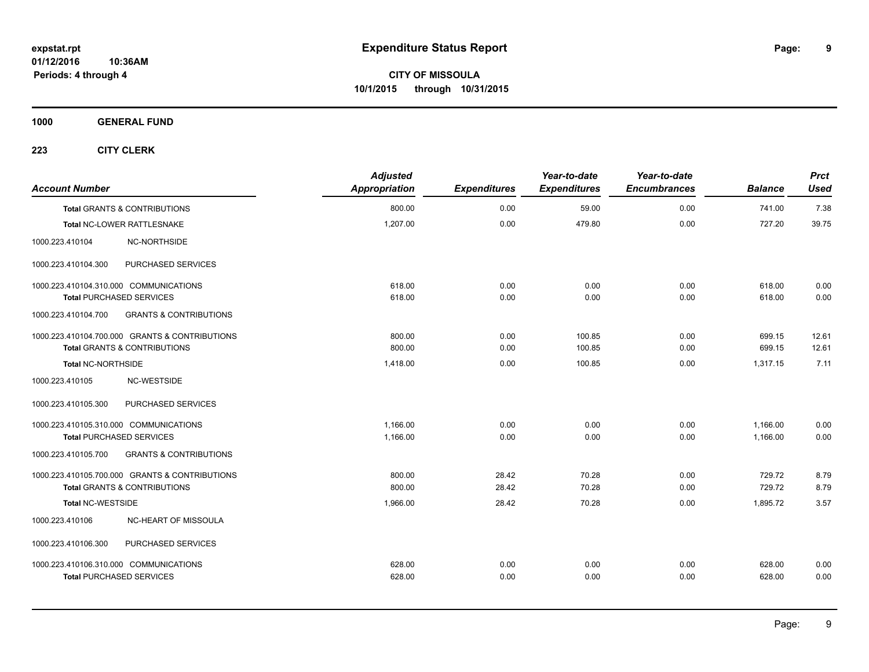**1000 GENERAL FUND**

| <b>Account Number</b>                   |                                                | <b>Adjusted</b><br>Appropriation | <b>Expenditures</b> | Year-to-date<br><b>Expenditures</b> | Year-to-date<br><b>Encumbrances</b> | <b>Balance</b> | <b>Prct</b><br>Used |
|-----------------------------------------|------------------------------------------------|----------------------------------|---------------------|-------------------------------------|-------------------------------------|----------------|---------------------|
| <b>Total GRANTS &amp; CONTRIBUTIONS</b> |                                                | 800.00                           | 0.00                | 59.00                               | 0.00                                | 741.00         | 7.38                |
| Total NC-LOWER RATTLESNAKE              |                                                | 1,207.00                         | 0.00                | 479.80                              | 0.00                                | 727.20         | 39.75               |
| 1000.223.410104                         | NC-NORTHSIDE                                   |                                  |                     |                                     |                                     |                |                     |
| 1000.223.410104.300                     | PURCHASED SERVICES                             |                                  |                     |                                     |                                     |                |                     |
| 1000.223.410104.310.000 COMMUNICATIONS  |                                                | 618.00                           | 0.00                | 0.00                                | 0.00                                | 618.00         | 0.00                |
| <b>Total PURCHASED SERVICES</b>         |                                                | 618.00                           | 0.00                | 0.00                                | 0.00                                | 618.00         | 0.00                |
| 1000.223.410104.700                     | <b>GRANTS &amp; CONTRIBUTIONS</b>              |                                  |                     |                                     |                                     |                |                     |
|                                         | 1000.223.410104.700.000 GRANTS & CONTRIBUTIONS | 800.00                           | 0.00                | 100.85                              | 0.00                                | 699.15         | 12.61               |
| <b>Total GRANTS &amp; CONTRIBUTIONS</b> |                                                | 800.00                           | 0.00                | 100.85                              | 0.00                                | 699.15         | 12.61               |
| <b>Total NC-NORTHSIDE</b>               |                                                | 1.418.00                         | 0.00                | 100.85                              | 0.00                                | 1.317.15       | 7.11                |
| 1000.223.410105                         | NC-WESTSIDE                                    |                                  |                     |                                     |                                     |                |                     |
| 1000.223.410105.300                     | PURCHASED SERVICES                             |                                  |                     |                                     |                                     |                |                     |
| 1000.223.410105.310.000 COMMUNICATIONS  |                                                | 1.166.00                         | 0.00                | 0.00                                | 0.00                                | 1,166.00       | 0.00                |
| <b>Total PURCHASED SERVICES</b>         |                                                | 1,166.00                         | 0.00                | 0.00                                | 0.00                                | 1,166.00       | 0.00                |
| 1000.223.410105.700                     | <b>GRANTS &amp; CONTRIBUTIONS</b>              |                                  |                     |                                     |                                     |                |                     |
|                                         | 1000.223.410105.700.000 GRANTS & CONTRIBUTIONS | 800.00                           | 28.42               | 70.28                               | 0.00                                | 729.72         | 8.79                |
| <b>Total GRANTS &amp; CONTRIBUTIONS</b> |                                                | 800.00                           | 28.42               | 70.28                               | 0.00                                | 729.72         | 8.79                |
| <b>Total NC-WESTSIDE</b>                |                                                | 1,966.00                         | 28.42               | 70.28                               | 0.00                                | 1,895.72       | 3.57                |
| 1000.223.410106                         | NC-HEART OF MISSOULA                           |                                  |                     |                                     |                                     |                |                     |
| 1000.223.410106.300                     | PURCHASED SERVICES                             |                                  |                     |                                     |                                     |                |                     |
| 1000.223.410106.310.000 COMMUNICATIONS  |                                                | 628.00                           | 0.00                | 0.00                                | 0.00                                | 628.00         | 0.00                |
| <b>Total PURCHASED SERVICES</b>         |                                                | 628.00                           | 0.00                | 0.00                                | 0.00                                | 628.00         | 0.00                |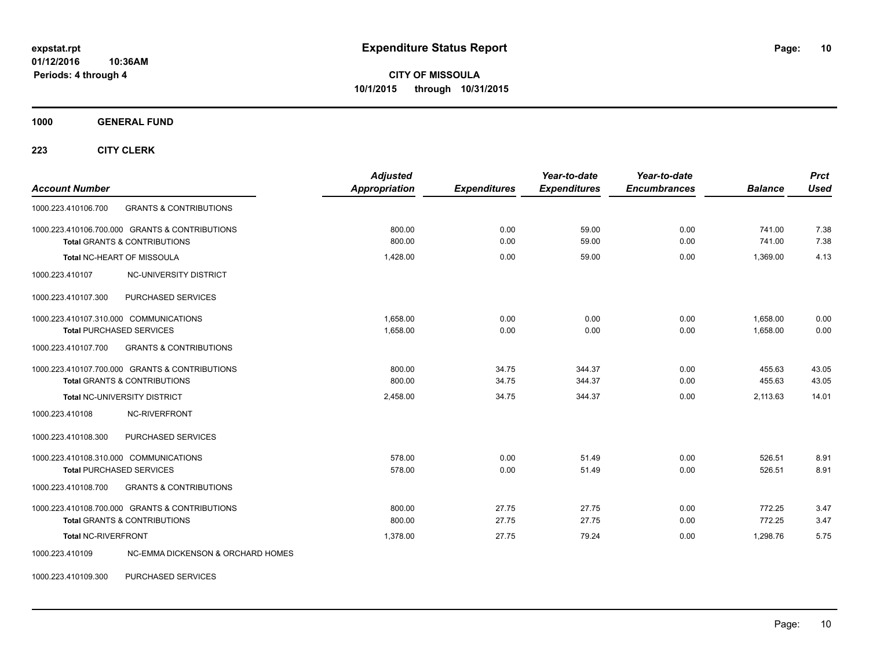**CITY OF MISSOULA 10/1/2015 through 10/31/2015**

**1000 GENERAL FUND**

**223 CITY CLERK**

| <b>Account Number</b>                                                                     | <b>Adjusted</b><br>Appropriation | <b>Expenditures</b> | Year-to-date<br><b>Expenditures</b> | Year-to-date<br><b>Encumbrances</b> | <b>Balance</b>       | <b>Prct</b><br><b>Used</b> |
|-------------------------------------------------------------------------------------------|----------------------------------|---------------------|-------------------------------------|-------------------------------------|----------------------|----------------------------|
| 1000.223.410106.700<br><b>GRANTS &amp; CONTRIBUTIONS</b>                                  |                                  |                     |                                     |                                     |                      |                            |
| 1000.223.410106.700.000 GRANTS & CONTRIBUTIONS<br><b>Total GRANTS &amp; CONTRIBUTIONS</b> | 800.00<br>800.00                 | 0.00<br>0.00        | 59.00<br>59.00                      | 0.00<br>0.00                        | 741.00<br>741.00     | 7.38<br>7.38               |
| Total NC-HEART OF MISSOULA                                                                | 1,428.00                         | 0.00                | 59.00                               | 0.00                                | 1,369.00             | 4.13                       |
| NC-UNIVERSITY DISTRICT<br>1000.223.410107                                                 |                                  |                     |                                     |                                     |                      |                            |
| PURCHASED SERVICES<br>1000.223.410107.300                                                 |                                  |                     |                                     |                                     |                      |                            |
| 1000.223.410107.310.000 COMMUNICATIONS<br><b>Total PURCHASED SERVICES</b>                 | 1.658.00<br>1,658.00             | 0.00<br>0.00        | 0.00<br>0.00                        | 0.00<br>0.00                        | 1.658.00<br>1,658.00 | 0.00<br>0.00               |
| <b>GRANTS &amp; CONTRIBUTIONS</b><br>1000.223.410107.700                                  |                                  |                     |                                     |                                     |                      |                            |
| 1000.223.410107.700.000 GRANTS & CONTRIBUTIONS<br><b>Total GRANTS &amp; CONTRIBUTIONS</b> | 800.00<br>800.00                 | 34.75<br>34.75      | 344.37<br>344.37                    | 0.00<br>0.00                        | 455.63<br>455.63     | 43.05<br>43.05             |
| <b>Total NC-UNIVERSITY DISTRICT</b>                                                       | 2,458.00                         | 34.75               | 344.37                              | 0.00                                | 2,113.63             | 14.01                      |
| NC-RIVERFRONT<br>1000.223.410108                                                          |                                  |                     |                                     |                                     |                      |                            |
| PURCHASED SERVICES<br>1000.223.410108.300                                                 |                                  |                     |                                     |                                     |                      |                            |
| 1000.223.410108.310.000 COMMUNICATIONS<br><b>Total PURCHASED SERVICES</b>                 | 578.00<br>578.00                 | 0.00<br>0.00        | 51.49<br>51.49                      | 0.00<br>0.00                        | 526.51<br>526.51     | 8.91<br>8.91               |
| <b>GRANTS &amp; CONTRIBUTIONS</b><br>1000.223.410108.700                                  |                                  |                     |                                     |                                     |                      |                            |
| 1000.223.410108.700.000 GRANTS & CONTRIBUTIONS<br><b>Total GRANTS &amp; CONTRIBUTIONS</b> | 800.00<br>800.00                 | 27.75<br>27.75      | 27.75<br>27.75                      | 0.00<br>0.00                        | 772.25<br>772.25     | 3.47<br>3.47               |
| Total NC-RIVERFRONT                                                                       | 1.378.00                         | 27.75               | 79.24                               | 0.00                                | 1,298.76             | 5.75                       |
| NC-EMMA DICKENSON & ORCHARD HOMES<br>1000.223.410109                                      |                                  |                     |                                     |                                     |                      |                            |

1000.223.410109.300 PURCHASED SERVICES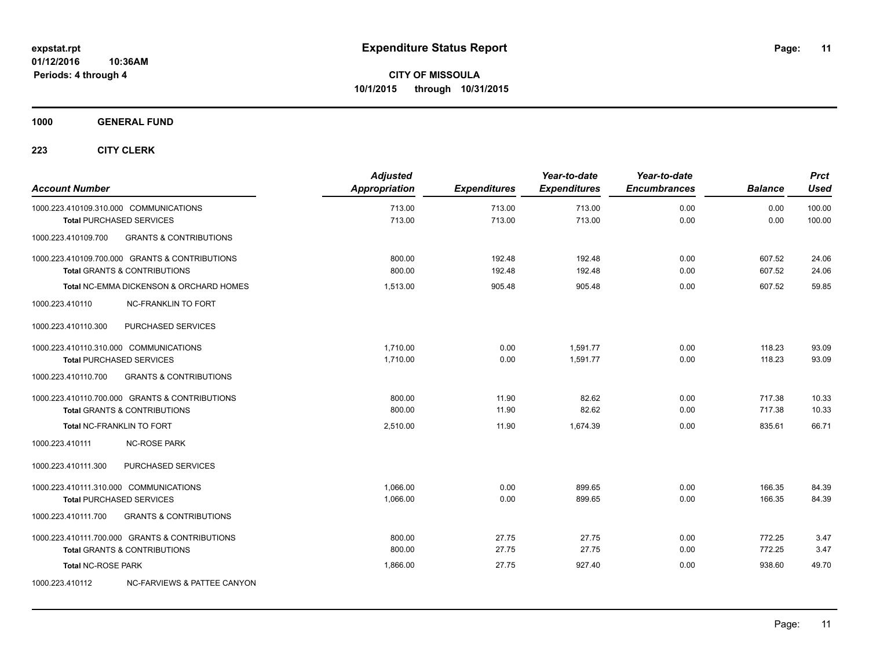**1000 GENERAL FUND**

| <b>Account Number</b>                  |                                                    | <b>Adjusted</b><br>Appropriation | <b>Expenditures</b> | Year-to-date<br><b>Expenditures</b> | Year-to-date<br><b>Encumbrances</b> | <b>Balance</b> | <b>Prct</b><br><b>Used</b> |
|----------------------------------------|----------------------------------------------------|----------------------------------|---------------------|-------------------------------------|-------------------------------------|----------------|----------------------------|
|                                        | 1000.223.410109.310.000 COMMUNICATIONS             | 713.00                           | 713.00              | 713.00                              | 0.00                                | 0.00           | 100.00                     |
|                                        | <b>Total PURCHASED SERVICES</b>                    | 713.00                           | 713.00              | 713.00                              | 0.00                                | 0.00           | 100.00                     |
| 1000.223.410109.700                    | <b>GRANTS &amp; CONTRIBUTIONS</b>                  |                                  |                     |                                     |                                     |                |                            |
|                                        | 1000.223.410109.700.000 GRANTS & CONTRIBUTIONS     | 800.00                           | 192.48              | 192.48                              | 0.00                                | 607.52         | 24.06                      |
|                                        | <b>Total GRANTS &amp; CONTRIBUTIONS</b>            | 800.00                           | 192.48              | 192.48                              | 0.00                                | 607.52         | 24.06                      |
|                                        | <b>Total NC-EMMA DICKENSON &amp; ORCHARD HOMES</b> | 1.513.00                         | 905.48              | 905.48                              | 0.00                                | 607.52         | 59.85                      |
| 1000.223.410110                        | <b>NC-FRANKLIN TO FORT</b>                         |                                  |                     |                                     |                                     |                |                            |
| 1000.223.410110.300                    | PURCHASED SERVICES                                 |                                  |                     |                                     |                                     |                |                            |
| 1000.223.410110.310.000 COMMUNICATIONS |                                                    | 1.710.00                         | 0.00                | 1.591.77                            | 0.00                                | 118.23         | 93.09                      |
|                                        | <b>Total PURCHASED SERVICES</b>                    | 1,710.00                         | 0.00                | 1,591.77                            | 0.00                                | 118.23         | 93.09                      |
| 1000.223.410110.700                    | <b>GRANTS &amp; CONTRIBUTIONS</b>                  |                                  |                     |                                     |                                     |                |                            |
|                                        | 1000.223.410110.700.000 GRANTS & CONTRIBUTIONS     | 800.00                           | 11.90               | 82.62                               | 0.00                                | 717.38         | 10.33                      |
|                                        | Total GRANTS & CONTRIBUTIONS                       | 800.00                           | 11.90               | 82.62                               | 0.00                                | 717.38         | 10.33                      |
|                                        | Total NC-FRANKLIN TO FORT                          | 2,510.00                         | 11.90               | 1,674.39                            | 0.00                                | 835.61         | 66.71                      |
| 1000.223.410111                        | <b>NC-ROSE PARK</b>                                |                                  |                     |                                     |                                     |                |                            |
| 1000.223.410111.300                    | PURCHASED SERVICES                                 |                                  |                     |                                     |                                     |                |                            |
| 1000.223.410111.310.000 COMMUNICATIONS |                                                    | 1,066.00                         | 0.00                | 899.65                              | 0.00                                | 166.35         | 84.39                      |
|                                        | <b>Total PURCHASED SERVICES</b>                    | 1,066.00                         | 0.00                | 899.65                              | 0.00                                | 166.35         | 84.39                      |
| 1000.223.410111.700                    | <b>GRANTS &amp; CONTRIBUTIONS</b>                  |                                  |                     |                                     |                                     |                |                            |
|                                        | 1000.223.410111.700.000 GRANTS & CONTRIBUTIONS     | 800.00                           | 27.75               | 27.75                               | 0.00                                | 772.25         | 3.47                       |
|                                        | <b>Total GRANTS &amp; CONTRIBUTIONS</b>            | 800.00                           | 27.75               | 27.75                               | 0.00                                | 772.25         | 3.47                       |
| <b>Total NC-ROSE PARK</b>              |                                                    | 1,866.00                         | 27.75               | 927.40                              | 0.00                                | 938.60         | 49.70                      |
| 1000.223.410112                        | NC-FARVIEWS & PATTEE CANYON                        |                                  |                     |                                     |                                     |                |                            |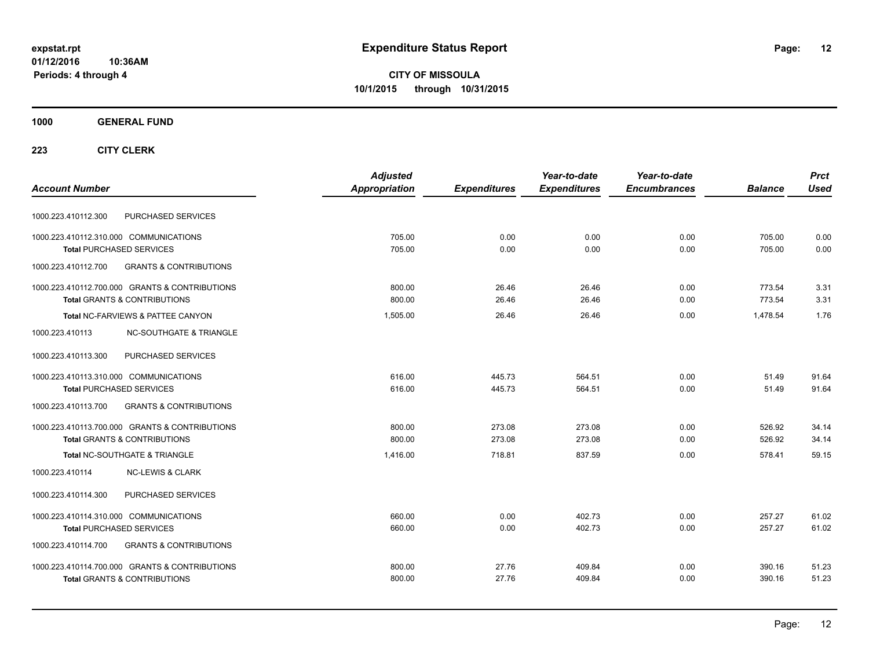**CITY OF MISSOULA 10/1/2015 through 10/31/2015**

## **1000 GENERAL FUND**

|                                                          | <b>Adjusted</b> |                     | Year-to-date        | Year-to-date        |                | <b>Prct</b> |
|----------------------------------------------------------|-----------------|---------------------|---------------------|---------------------|----------------|-------------|
| <b>Account Number</b>                                    | Appropriation   | <b>Expenditures</b> | <b>Expenditures</b> | <b>Encumbrances</b> | <b>Balance</b> | <b>Used</b> |
| PURCHASED SERVICES<br>1000.223.410112.300                |                 |                     |                     |                     |                |             |
| 1000.223.410112.310.000 COMMUNICATIONS                   | 705.00          | 0.00                | 0.00                | 0.00                | 705.00         | 0.00        |
| <b>Total PURCHASED SERVICES</b>                          | 705.00          | 0.00                | 0.00                | 0.00                | 705.00         | 0.00        |
| 1000.223.410112.700<br><b>GRANTS &amp; CONTRIBUTIONS</b> |                 |                     |                     |                     |                |             |
| 1000.223.410112.700.000 GRANTS & CONTRIBUTIONS           | 800.00          | 26.46               | 26.46               | 0.00                | 773.54         | 3.31        |
| <b>Total GRANTS &amp; CONTRIBUTIONS</b>                  | 800.00          | 26.46               | 26.46               | 0.00                | 773.54         | 3.31        |
| Total NC-FARVIEWS & PATTEE CANYON                        | 1,505.00        | 26.46               | 26.46               | 0.00                | 1.478.54       | 1.76        |
| 1000.223.410113<br><b>NC-SOUTHGATE &amp; TRIANGLE</b>    |                 |                     |                     |                     |                |             |
| 1000.223.410113.300<br>PURCHASED SERVICES                |                 |                     |                     |                     |                |             |
| 1000.223.410113.310.000 COMMUNICATIONS                   | 616.00          | 445.73              | 564.51              | 0.00                | 51.49          | 91.64       |
| <b>Total PURCHASED SERVICES</b>                          | 616.00          | 445.73              | 564.51              | 0.00                | 51.49          | 91.64       |
| 1000.223.410113.700<br><b>GRANTS &amp; CONTRIBUTIONS</b> |                 |                     |                     |                     |                |             |
| 1000.223.410113.700.000 GRANTS & CONTRIBUTIONS           | 800.00          | 273.08              | 273.08              | 0.00                | 526.92         | 34.14       |
| <b>Total GRANTS &amp; CONTRIBUTIONS</b>                  | 800.00          | 273.08              | 273.08              | 0.00                | 526.92         | 34.14       |
| Total NC-SOUTHGATE & TRIANGLE                            | 1.416.00        | 718.81              | 837.59              | 0.00                | 578.41         | 59.15       |
| 1000.223.410114<br><b>NC-LEWIS &amp; CLARK</b>           |                 |                     |                     |                     |                |             |
| PURCHASED SERVICES<br>1000.223.410114.300                |                 |                     |                     |                     |                |             |
| 1000.223.410114.310.000 COMMUNICATIONS                   | 660.00          | 0.00                | 402.73              | 0.00                | 257.27         | 61.02       |
| <b>Total PURCHASED SERVICES</b>                          | 660.00          | 0.00                | 402.73              | 0.00                | 257.27         | 61.02       |
| <b>GRANTS &amp; CONTRIBUTIONS</b><br>1000.223.410114.700 |                 |                     |                     |                     |                |             |
| 1000.223.410114.700.000 GRANTS & CONTRIBUTIONS           | 800.00          | 27.76               | 409.84              | 0.00                | 390.16         | 51.23       |
| <b>Total GRANTS &amp; CONTRIBUTIONS</b>                  | 800.00          | 27.76               | 409.84              | 0.00                | 390.16         | 51.23       |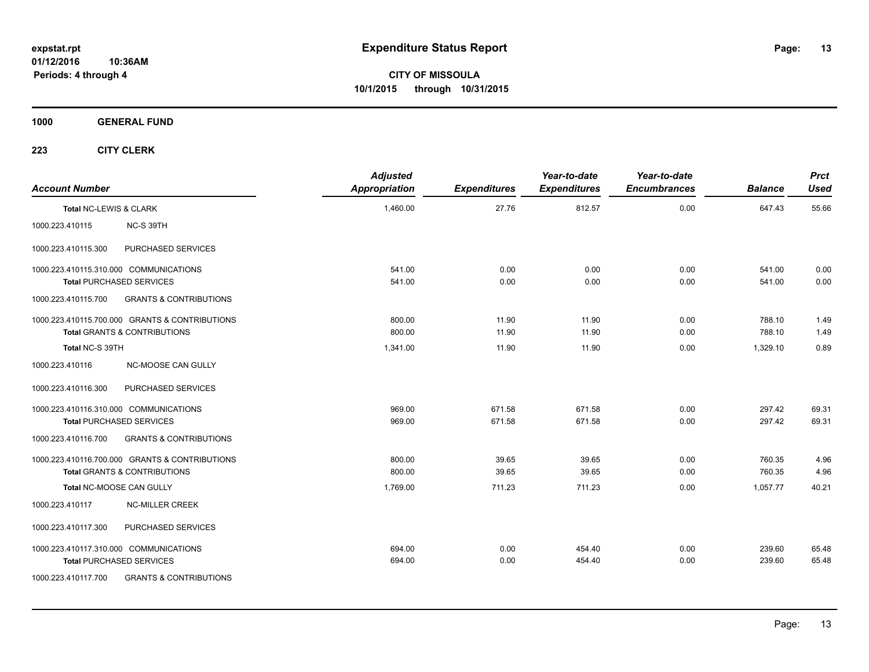**CITY OF MISSOULA 10/1/2015 through 10/31/2015**

**1000 GENERAL FUND**

| <b>Account Number</b>  |                                                                                                                | <b>Adjusted</b><br><b>Appropriation</b> | <b>Expenditures</b> | Year-to-date<br><b>Expenditures</b> | Year-to-date<br><b>Encumbrances</b> | <b>Balance</b>   | <b>Prct</b><br>Used |
|------------------------|----------------------------------------------------------------------------------------------------------------|-----------------------------------------|---------------------|-------------------------------------|-------------------------------------|------------------|---------------------|
| Total NC-LEWIS & CLARK |                                                                                                                | 1,460.00                                | 27.76               | 812.57                              | 0.00                                | 647.43           | 55.66               |
| 1000.223.410115        | NC-S 39TH                                                                                                      |                                         |                     |                                     |                                     |                  |                     |
| 1000.223.410115.300    | PURCHASED SERVICES                                                                                             |                                         |                     |                                     |                                     |                  |                     |
|                        | 1000.223.410115.310.000 COMMUNICATIONS<br><b>Total PURCHASED SERVICES</b>                                      | 541.00<br>541.00                        | 0.00<br>0.00        | 0.00<br>0.00                        | 0.00<br>0.00                        | 541.00<br>541.00 | 0.00<br>0.00        |
| 1000.223.410115.700    | <b>GRANTS &amp; CONTRIBUTIONS</b>                                                                              |                                         |                     |                                     |                                     |                  |                     |
|                        | 1000.223.410115.700.000 GRANTS & CONTRIBUTIONS<br><b>Total GRANTS &amp; CONTRIBUTIONS</b>                      | 800.00<br>800.00                        | 11.90<br>11.90      | 11.90<br>11.90                      | 0.00<br>0.00                        | 788.10<br>788.10 | 1.49<br>1.49        |
| Total NC-S 39TH        |                                                                                                                | 1,341.00                                | 11.90               | 11.90                               | 0.00                                | 1,329.10         | 0.89                |
| 1000.223.410116        | NC-MOOSE CAN GULLY                                                                                             |                                         |                     |                                     |                                     |                  |                     |
| 1000.223.410116.300    | PURCHASED SERVICES                                                                                             |                                         |                     |                                     |                                     |                  |                     |
|                        | 1000.223.410116.310.000 COMMUNICATIONS<br><b>Total PURCHASED SERVICES</b>                                      | 969.00<br>969.00                        | 671.58<br>671.58    | 671.58<br>671.58                    | 0.00<br>0.00                        | 297.42<br>297.42 | 69.31<br>69.31      |
| 1000.223.410116.700    | <b>GRANTS &amp; CONTRIBUTIONS</b>                                                                              |                                         |                     |                                     |                                     |                  |                     |
|                        | 1000.223.410116.700.000 GRANTS & CONTRIBUTIONS<br>Total GRANTS & CONTRIBUTIONS                                 | 800.00<br>800.00                        | 39.65<br>39.65      | 39.65<br>39.65                      | 0.00<br>0.00                        | 760.35<br>760.35 | 4.96<br>4.96        |
|                        | Total NC-MOOSE CAN GULLY                                                                                       | 1,769.00                                | 711.23              | 711.23                              | 0.00                                | 1.057.77         | 40.21               |
| 1000.223.410117        | <b>NC-MILLER CREEK</b>                                                                                         |                                         |                     |                                     |                                     |                  |                     |
| 1000.223.410117.300    | PURCHASED SERVICES                                                                                             |                                         |                     |                                     |                                     |                  |                     |
| 1000.223.410117.700    | 1000.223.410117.310.000 COMMUNICATIONS<br><b>Total PURCHASED SERVICES</b><br><b>GRANTS &amp; CONTRIBUTIONS</b> | 694.00<br>694.00                        | 0.00<br>0.00        | 454.40<br>454.40                    | 0.00<br>0.00                        | 239.60<br>239.60 | 65.48<br>65.48      |
|                        |                                                                                                                |                                         |                     |                                     |                                     |                  |                     |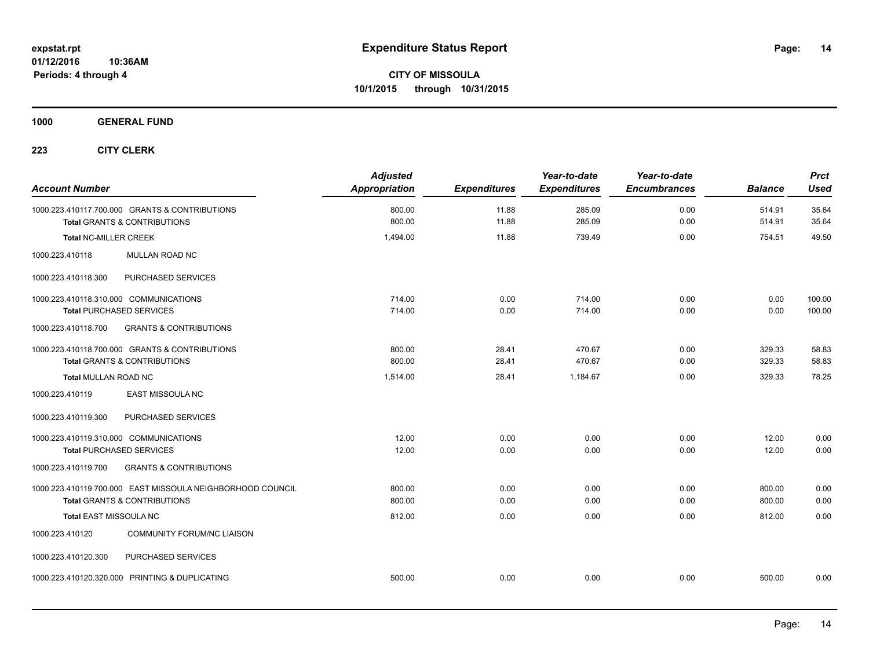**1000 GENERAL FUND**

| <b>Account Number</b>                                                                     | <b>Adjusted</b><br><b>Appropriation</b> | <b>Expenditures</b> | Year-to-date<br><b>Expenditures</b> | Year-to-date<br><b>Encumbrances</b> | <b>Balance</b>   | <b>Prct</b><br><b>Used</b> |
|-------------------------------------------------------------------------------------------|-----------------------------------------|---------------------|-------------------------------------|-------------------------------------|------------------|----------------------------|
| 1000.223.410117.700.000 GRANTS & CONTRIBUTIONS<br><b>Total GRANTS &amp; CONTRIBUTIONS</b> | 800.00<br>800.00                        | 11.88<br>11.88      | 285.09<br>285.09                    | 0.00<br>0.00                        | 514.91<br>514.91 | 35.64<br>35.64             |
| <b>Total NC-MILLER CREEK</b>                                                              | 1,494.00                                | 11.88               | 739.49                              | 0.00                                | 754.51           | 49.50                      |
| 1000.223.410118<br>MULLAN ROAD NC                                                         |                                         |                     |                                     |                                     |                  |                            |
| 1000.223.410118.300<br>PURCHASED SERVICES                                                 |                                         |                     |                                     |                                     |                  |                            |
| 1000.223.410118.310.000 COMMUNICATIONS                                                    | 714.00                                  | 0.00                | 714.00                              | 0.00                                | 0.00             | 100.00                     |
| <b>Total PURCHASED SERVICES</b>                                                           | 714.00                                  | 0.00                | 714.00                              | 0.00                                | 0.00             | 100.00                     |
| <b>GRANTS &amp; CONTRIBUTIONS</b><br>1000.223.410118.700                                  |                                         |                     |                                     |                                     |                  |                            |
| 1000.223.410118.700.000 GRANTS & CONTRIBUTIONS                                            | 800.00                                  | 28.41               | 470.67                              | 0.00                                | 329.33           | 58.83                      |
| <b>Total GRANTS &amp; CONTRIBUTIONS</b>                                                   | 800.00                                  | 28.41               | 470.67                              | 0.00                                | 329.33           | 58.83                      |
| <b>Total MULLAN ROAD NC</b>                                                               | 1,514.00                                | 28.41               | 1,184.67                            | 0.00                                | 329.33           | 78.25                      |
| <b>EAST MISSOULA NC</b><br>1000.223.410119                                                |                                         |                     |                                     |                                     |                  |                            |
| PURCHASED SERVICES<br>1000.223.410119.300                                                 |                                         |                     |                                     |                                     |                  |                            |
| 1000.223.410119.310.000 COMMUNICATIONS                                                    | 12.00                                   | 0.00                | 0.00                                | 0.00                                | 12.00            | 0.00                       |
| <b>Total PURCHASED SERVICES</b>                                                           | 12.00                                   | 0.00                | 0.00                                | 0.00                                | 12.00            | 0.00                       |
| <b>GRANTS &amp; CONTRIBUTIONS</b><br>1000.223.410119.700                                  |                                         |                     |                                     |                                     |                  |                            |
| 1000.223.410119.700.000 EAST MISSOULA NEIGHBORHOOD COUNCIL                                | 800.00                                  | 0.00                | 0.00                                | 0.00                                | 800.00           | 0.00                       |
| <b>Total GRANTS &amp; CONTRIBUTIONS</b>                                                   | 800.00                                  | 0.00                | 0.00                                | 0.00                                | 800.00           | 0.00                       |
| Total EAST MISSOULA NC                                                                    | 812.00                                  | 0.00                | 0.00                                | 0.00                                | 812.00           | 0.00                       |
| 1000.223.410120<br><b>COMMUNITY FORUM/NC LIAISON</b>                                      |                                         |                     |                                     |                                     |                  |                            |
| 1000.223.410120.300<br>PURCHASED SERVICES                                                 |                                         |                     |                                     |                                     |                  |                            |
| 1000.223.410120.320.000 PRINTING & DUPLICATING                                            | 500.00                                  | 0.00                | 0.00                                | 0.00                                | 500.00           | 0.00                       |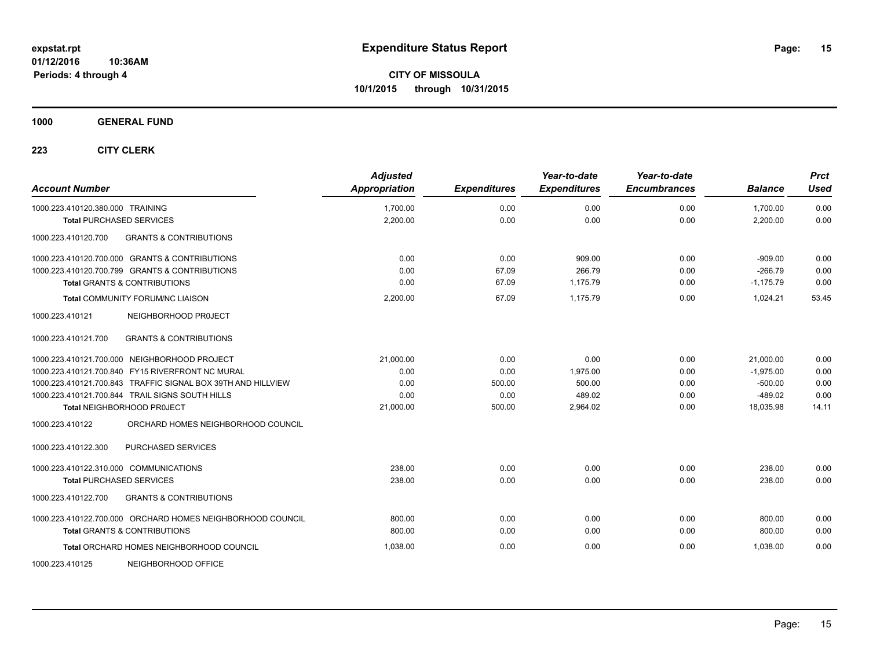**Periods: 4 through 4**

**CITY OF MISSOULA 10/1/2015 through 10/31/2015**

**1000 GENERAL FUND**

| <b>Account Number</b>                                        | <b>Adjusted</b><br>Appropriation | <b>Expenditures</b> | Year-to-date<br><b>Expenditures</b> | Year-to-date<br><b>Encumbrances</b> | <b>Balance</b> | <b>Prct</b><br><b>Used</b> |
|--------------------------------------------------------------|----------------------------------|---------------------|-------------------------------------|-------------------------------------|----------------|----------------------------|
| 1000.223.410120.380.000 TRAINING                             | 1,700.00                         | 0.00                | 0.00                                | 0.00                                | 1,700.00       | 0.00                       |
| <b>Total PURCHASED SERVICES</b>                              | 2,200.00                         | 0.00                | 0.00                                | 0.00                                | 2,200.00       | 0.00                       |
| 1000.223.410120.700<br><b>GRANTS &amp; CONTRIBUTIONS</b>     |                                  |                     |                                     |                                     |                |                            |
| 1000.223.410120.700.000 GRANTS & CONTRIBUTIONS               | 0.00                             | 0.00                | 909.00                              | 0.00                                | $-909.00$      | 0.00                       |
| 1000.223.410120.700.799 GRANTS & CONTRIBUTIONS               | 0.00                             | 67.09               | 266.79                              | 0.00                                | $-266.79$      | 0.00                       |
| <b>Total GRANTS &amp; CONTRIBUTIONS</b>                      | 0.00                             | 67.09               | 1,175.79                            | 0.00                                | $-1,175.79$    | 0.00                       |
| <b>Total COMMUNITY FORUM/NC LIAISON</b>                      | 2,200.00                         | 67.09               | 1,175.79                            | 0.00                                | 1,024.21       | 53.45                      |
| 1000.223.410121<br>NEIGHBORHOOD PROJECT                      |                                  |                     |                                     |                                     |                |                            |
| <b>GRANTS &amp; CONTRIBUTIONS</b><br>1000.223.410121.700     |                                  |                     |                                     |                                     |                |                            |
| 1000.223.410121.700.000 NEIGHBORHOOD PROJECT                 | 21,000.00                        | 0.00                | 0.00                                | 0.00                                | 21,000.00      | 0.00                       |
| 1000.223.410121.700.840 FY15 RIVERFRONT NC MURAL             | 0.00                             | 0.00                | 1,975.00                            | 0.00                                | $-1,975.00$    | 0.00                       |
| 1000.223.410121.700.843 TRAFFIC SIGNAL BOX 39TH AND HILLVIEW | 0.00                             | 500.00              | 500.00                              | 0.00                                | $-500.00$      | 0.00                       |
| 1000.223.410121.700.844 TRAIL SIGNS SOUTH HILLS              | 0.00                             | 0.00                | 489.02                              | 0.00                                | $-489.02$      | 0.00                       |
| Total NEIGHBORHOOD PROJECT                                   | 21,000.00                        | 500.00              | 2,964.02                            | 0.00                                | 18,035.98      | 14.11                      |
| ORCHARD HOMES NEIGHBORHOOD COUNCIL<br>1000.223.410122        |                                  |                     |                                     |                                     |                |                            |
| PURCHASED SERVICES<br>1000.223.410122.300                    |                                  |                     |                                     |                                     |                |                            |
| 1000.223.410122.310.000 COMMUNICATIONS                       | 238.00                           | 0.00                | 0.00                                | 0.00                                | 238.00         | 0.00                       |
| <b>Total PURCHASED SERVICES</b>                              | 238.00                           | 0.00                | 0.00                                | 0.00                                | 238.00         | 0.00                       |
| 1000.223.410122.700<br><b>GRANTS &amp; CONTRIBUTIONS</b>     |                                  |                     |                                     |                                     |                |                            |
| 1000.223.410122.700.000 ORCHARD HOMES NEIGHBORHOOD COUNCIL   | 800.00                           | 0.00                | 0.00                                | 0.00                                | 800.00         | 0.00                       |
| <b>Total GRANTS &amp; CONTRIBUTIONS</b>                      | 800.00                           | 0.00                | 0.00                                | 0.00                                | 800.00         | 0.00                       |
| Total ORCHARD HOMES NEIGHBORHOOD COUNCIL                     | 1.038.00                         | 0.00                | 0.00                                | 0.00                                | 1.038.00       | 0.00                       |
| 1000.223.410125<br>NEIGHBORHOOD OFFICE                       |                                  |                     |                                     |                                     |                |                            |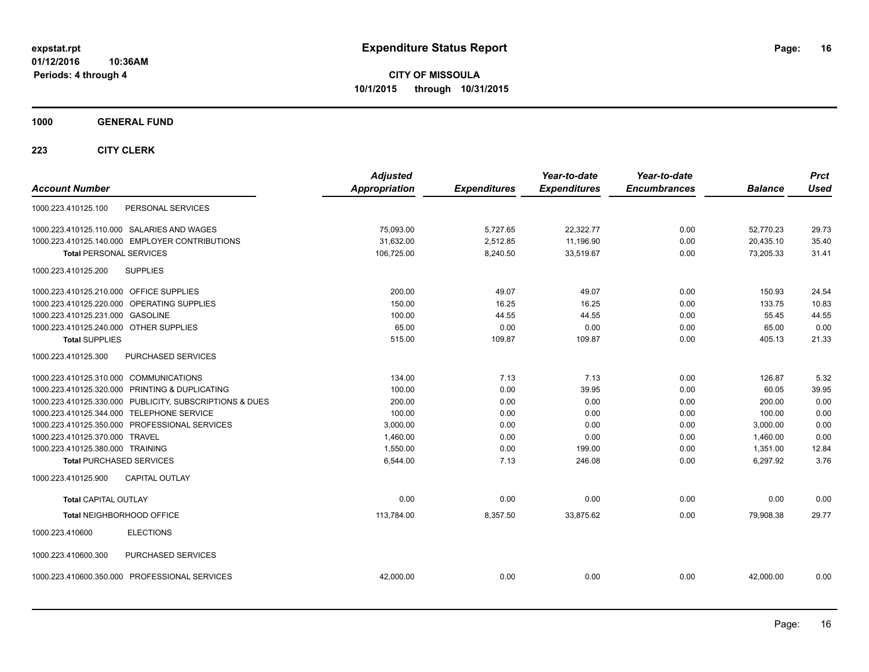**CITY OF MISSOULA 10/1/2015 through 10/31/2015**

**1000 GENERAL FUND**

| <b>Account Number</b>                                   | <b>Adjusted</b><br><b>Appropriation</b> | <b>Expenditures</b> | Year-to-date<br><b>Expenditures</b> | Year-to-date<br><b>Encumbrances</b> | <b>Balance</b> | <b>Prct</b><br><b>Used</b> |
|---------------------------------------------------------|-----------------------------------------|---------------------|-------------------------------------|-------------------------------------|----------------|----------------------------|
| PERSONAL SERVICES<br>1000.223.410125.100                |                                         |                     |                                     |                                     |                |                            |
| 1000.223.410125.110.000 SALARIES AND WAGES              | 75,093.00                               | 5,727.65            | 22,322.77                           | 0.00                                | 52,770.23      | 29.73                      |
| 1000.223.410125.140.000 EMPLOYER CONTRIBUTIONS          | 31,632.00                               | 2,512.85            | 11,196.90                           | 0.00                                | 20,435.10      | 35.40                      |
| <b>Total PERSONAL SERVICES</b>                          | 106,725.00                              | 8,240.50            | 33,519.67                           | 0.00                                | 73,205.33      | 31.41                      |
| <b>SUPPLIES</b><br>1000.223.410125.200                  |                                         |                     |                                     |                                     |                |                            |
| 1000.223.410125.210.000 OFFICE SUPPLIES                 | 200.00                                  | 49.07               | 49.07                               | 0.00                                | 150.93         | 24.54                      |
| 1000.223.410125.220.000 OPERATING SUPPLIES              | 150.00                                  | 16.25               | 16.25                               | 0.00                                | 133.75         | 10.83                      |
| 1000.223.410125.231.000 GASOLINE                        | 100.00                                  | 44.55               | 44.55                               | 0.00                                | 55.45          | 44.55                      |
| 1000.223.410125.240.000 OTHER SUPPLIES                  | 65.00                                   | 0.00                | 0.00                                | 0.00                                | 65.00          | 0.00                       |
| <b>Total SUPPLIES</b>                                   | 515.00                                  | 109.87              | 109.87                              | 0.00                                | 405.13         | 21.33                      |
| 1000.223.410125.300<br>PURCHASED SERVICES               |                                         |                     |                                     |                                     |                |                            |
| 1000.223.410125.310.000 COMMUNICATIONS                  | 134.00                                  | 7.13                | 7.13                                | 0.00                                | 126.87         | 5.32                       |
| 1000.223.410125.320.000 PRINTING & DUPLICATING          | 100.00                                  | 0.00                | 39.95                               | 0.00                                | 60.05          | 39.95                      |
| 1000.223.410125.330.000 PUBLICITY, SUBSCRIPTIONS & DUES | 200.00                                  | 0.00                | 0.00                                | 0.00                                | 200.00         | 0.00                       |
| 1000.223.410125.344.000 TELEPHONE SERVICE               | 100.00                                  | 0.00                | 0.00                                | 0.00                                | 100.00         | 0.00                       |
| 1000.223.410125.350.000 PROFESSIONAL SERVICES           | 3,000.00                                | 0.00                | 0.00                                | 0.00                                | 3,000.00       | 0.00                       |
| 1000.223.410125.370.000 TRAVEL                          | 1,460.00                                | 0.00                | 0.00                                | 0.00                                | 1,460.00       | 0.00                       |
| 1000.223.410125.380.000 TRAINING                        | 1,550.00                                | 0.00                | 199.00                              | 0.00                                | 1,351.00       | 12.84                      |
| <b>Total PURCHASED SERVICES</b>                         | 6,544.00                                | 7.13                | 246.08                              | 0.00                                | 6,297.92       | 3.76                       |
| 1000.223.410125.900<br><b>CAPITAL OUTLAY</b>            |                                         |                     |                                     |                                     |                |                            |
| <b>Total CAPITAL OUTLAY</b>                             | 0.00                                    | 0.00                | 0.00                                | 0.00                                | 0.00           | 0.00                       |
| Total NEIGHBORHOOD OFFICE                               | 113,784.00                              | 8,357.50            | 33,875.62                           | 0.00                                | 79.908.38      | 29.77                      |
| <b>ELECTIONS</b><br>1000.223.410600                     |                                         |                     |                                     |                                     |                |                            |
| PURCHASED SERVICES<br>1000.223.410600.300               |                                         |                     |                                     |                                     |                |                            |
| 1000.223.410600.350.000 PROFESSIONAL SERVICES           | 42,000.00                               | 0.00                | 0.00                                | 0.00                                | 42.000.00      | 0.00                       |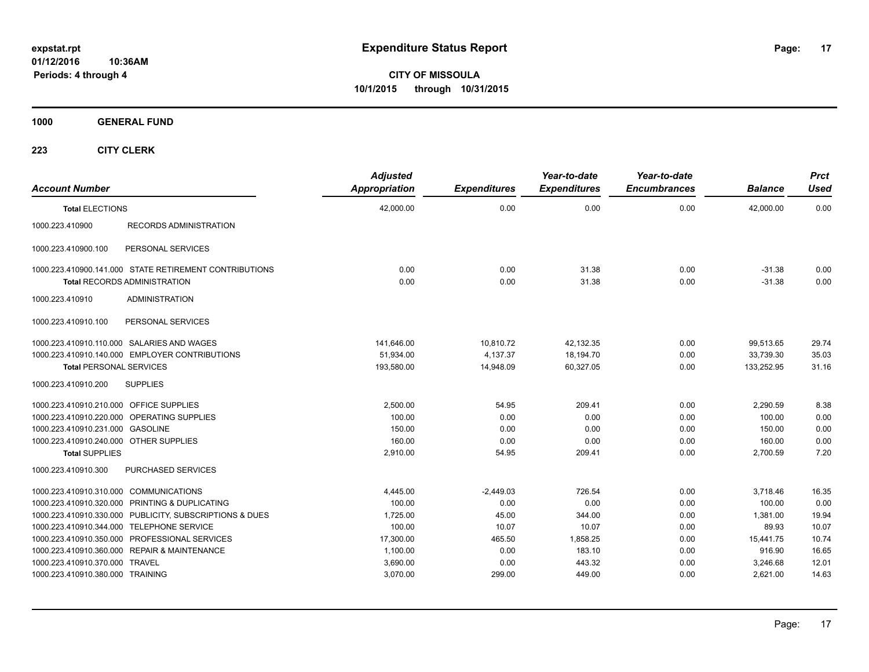**CITY OF MISSOULA 10/1/2015 through 10/31/2015**

**1000 GENERAL FUND**

| <b>Account Number</b>                                   | <b>Adjusted</b><br>Appropriation | <b>Expenditures</b> | Year-to-date<br><b>Expenditures</b> | Year-to-date<br><b>Encumbrances</b> | <b>Balance</b> | <b>Prct</b><br>Used |
|---------------------------------------------------------|----------------------------------|---------------------|-------------------------------------|-------------------------------------|----------------|---------------------|
| <b>Total ELECTIONS</b>                                  | 42,000.00                        | 0.00                | 0.00                                | 0.00                                | 42,000.00      | 0.00                |
| 1000.223.410900<br><b>RECORDS ADMINISTRATION</b>        |                                  |                     |                                     |                                     |                |                     |
| 1000.223.410900.100<br>PERSONAL SERVICES                |                                  |                     |                                     |                                     |                |                     |
| 1000.223.410900.141.000 STATE RETIREMENT CONTRIBUTIONS  | 0.00                             | 0.00                | 31.38                               | 0.00                                | $-31.38$       | 0.00                |
| <b>Total RECORDS ADMINISTRATION</b>                     | 0.00                             | 0.00                | 31.38                               | 0.00                                | $-31.38$       | 0.00                |
| 1000.223.410910<br><b>ADMINISTRATION</b>                |                                  |                     |                                     |                                     |                |                     |
| 1000.223.410910.100<br>PERSONAL SERVICES                |                                  |                     |                                     |                                     |                |                     |
| 1000.223.410910.110.000 SALARIES AND WAGES              | 141,646.00                       | 10,810.72           | 42,132.35                           | 0.00                                | 99,513.65      | 29.74               |
| 1000.223.410910.140.000 EMPLOYER CONTRIBUTIONS          | 51.934.00                        | 4.137.37            | 18.194.70                           | 0.00                                | 33.739.30      | 35.03               |
| <b>Total PERSONAL SERVICES</b>                          | 193,580.00                       | 14,948.09           | 60,327.05                           | 0.00                                | 133,252.95     | 31.16               |
| 1000.223.410910.200<br><b>SUPPLIES</b>                  |                                  |                     |                                     |                                     |                |                     |
| 1000.223.410910.210.000 OFFICE SUPPLIES                 | 2,500.00                         | 54.95               | 209.41                              | 0.00                                | 2.290.59       | 8.38                |
| 1000.223.410910.220.000 OPERATING SUPPLIES              | 100.00                           | 0.00                | 0.00                                | 0.00                                | 100.00         | 0.00                |
| 1000.223.410910.231.000 GASOLINE                        | 150.00                           | 0.00                | 0.00                                | 0.00                                | 150.00         | 0.00                |
| 1000.223.410910.240.000 OTHER SUPPLIES                  | 160.00                           | 0.00                | 0.00                                | 0.00                                | 160.00         | 0.00                |
| <b>Total SUPPLIES</b>                                   | 2,910.00                         | 54.95               | 209.41                              | 0.00                                | 2,700.59       | 7.20                |
| PURCHASED SERVICES<br>1000.223.410910.300               |                                  |                     |                                     |                                     |                |                     |
| 1000.223.410910.310.000 COMMUNICATIONS                  | 4,445.00                         | $-2,449.03$         | 726.54                              | 0.00                                | 3,718.46       | 16.35               |
| 1000.223.410910.320.000 PRINTING & DUPLICATING          | 100.00                           | 0.00                | 0.00                                | 0.00                                | 100.00         | 0.00                |
| 1000.223.410910.330.000 PUBLICITY, SUBSCRIPTIONS & DUES | 1,725.00                         | 45.00               | 344.00                              | 0.00                                | 1,381.00       | 19.94               |
| 1000.223.410910.344.000 TELEPHONE SERVICE               | 100.00                           | 10.07               | 10.07                               | 0.00                                | 89.93          | 10.07               |
| 1000.223.410910.350.000 PROFESSIONAL SERVICES           | 17,300.00                        | 465.50              | 1,858.25                            | 0.00                                | 15,441.75      | 10.74               |
| 1000.223.410910.360.000 REPAIR & MAINTENANCE            | 1,100.00                         | 0.00                | 183.10                              | 0.00                                | 916.90         | 16.65               |
| 1000.223.410910.370.000 TRAVEL                          | 3,690.00                         | 0.00                | 443.32                              | 0.00                                | 3,246.68       | 12.01               |
| 1000.223.410910.380.000 TRAINING                        | 3,070.00                         | 299.00              | 449.00                              | 0.00                                | 2,621.00       | 14.63               |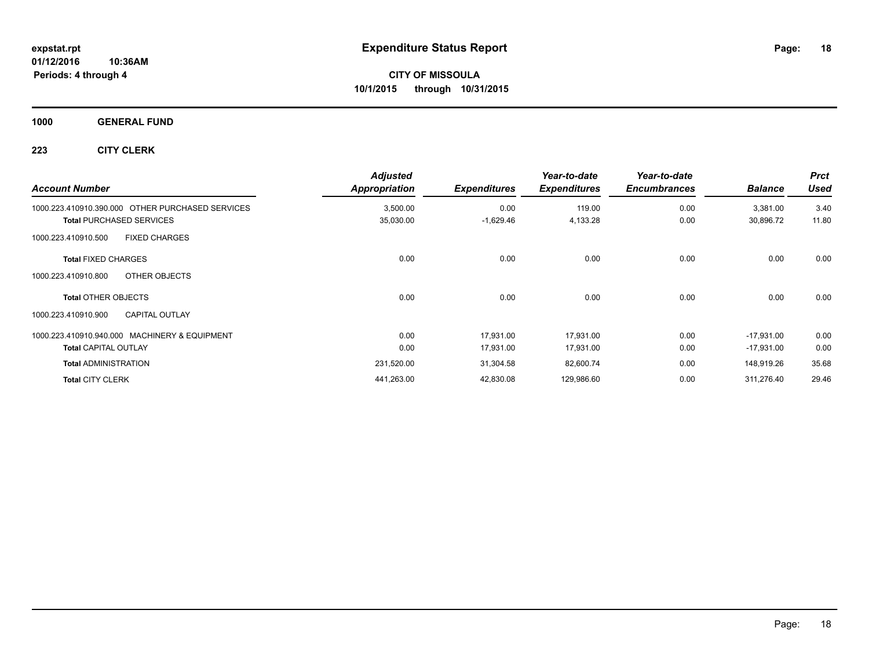## **1000 GENERAL FUND**

| <b>Account Number</b>                            | <b>Adjusted</b><br>Appropriation | <b>Expenditures</b> | Year-to-date<br><b>Expenditures</b> | Year-to-date<br><b>Encumbrances</b> | <b>Balance</b> | <b>Prct</b><br><b>Used</b> |
|--------------------------------------------------|----------------------------------|---------------------|-------------------------------------|-------------------------------------|----------------|----------------------------|
| 1000.223.410910.390.000 OTHER PURCHASED SERVICES | 3,500.00                         | 0.00                | 119.00                              | 0.00                                | 3,381.00       | 3.40                       |
| <b>Total PURCHASED SERVICES</b>                  | 35,030.00                        | $-1,629.46$         | 4,133.28                            | 0.00                                | 30,896.72      | 11.80                      |
| <b>FIXED CHARGES</b><br>1000.223.410910.500      |                                  |                     |                                     |                                     |                |                            |
| <b>Total FIXED CHARGES</b>                       | 0.00                             | 0.00                | 0.00                                | 0.00                                | 0.00           | 0.00                       |
| OTHER OBJECTS<br>1000.223.410910.800             |                                  |                     |                                     |                                     |                |                            |
| <b>Total OTHER OBJECTS</b>                       | 0.00                             | 0.00                | 0.00                                | 0.00                                | 0.00           | 0.00                       |
| <b>CAPITAL OUTLAY</b><br>1000.223.410910.900     |                                  |                     |                                     |                                     |                |                            |
| 1000.223.410910.940.000 MACHINERY & EQUIPMENT    | 0.00                             | 17.931.00           | 17.931.00                           | 0.00                                | $-17.931.00$   | 0.00                       |
| <b>Total CAPITAL OUTLAY</b>                      | 0.00                             | 17,931.00           | 17,931.00                           | 0.00                                | $-17,931.00$   | 0.00                       |
| <b>Total ADMINISTRATION</b>                      | 231,520.00                       | 31,304.58           | 82,600.74                           | 0.00                                | 148,919.26     | 35.68                      |
| <b>Total CITY CLERK</b>                          | 441,263.00                       | 42,830.08           | 129,986.60                          | 0.00                                | 311.276.40     | 29.46                      |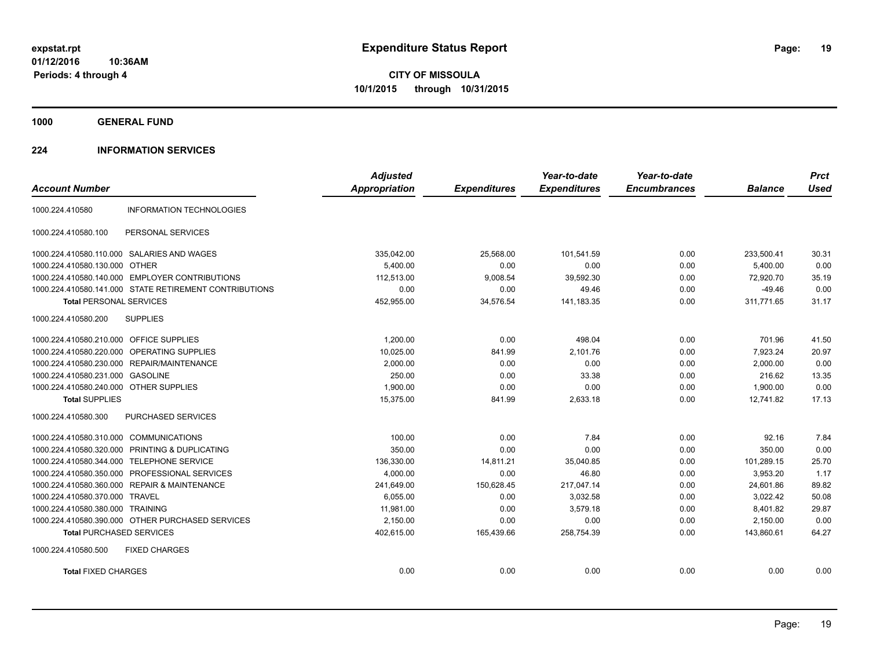**CITY OF MISSOULA 10/1/2015 through 10/31/2015**

**1000 GENERAL FUND**

## **224 INFORMATION SERVICES**

| <b>Account Number</b>                   |                                                        | <b>Adjusted</b><br><b>Appropriation</b> | <b>Expenditures</b> | Year-to-date<br><b>Expenditures</b> | Year-to-date<br><b>Encumbrances</b> | <b>Balance</b> | <b>Prct</b><br><b>Used</b> |
|-----------------------------------------|--------------------------------------------------------|-----------------------------------------|---------------------|-------------------------------------|-------------------------------------|----------------|----------------------------|
| 1000.224.410580                         | <b>INFORMATION TECHNOLOGIES</b>                        |                                         |                     |                                     |                                     |                |                            |
| 1000.224.410580.100                     | PERSONAL SERVICES                                      |                                         |                     |                                     |                                     |                |                            |
|                                         | 1000.224.410580.110.000 SALARIES AND WAGES             | 335,042.00                              | 25,568.00           | 101,541.59                          | 0.00                                | 233,500.41     | 30.31                      |
| 1000.224.410580.130.000 OTHER           |                                                        | 5.400.00                                | 0.00                | 0.00                                | 0.00                                | 5.400.00       | 0.00                       |
|                                         | 1000.224.410580.140.000 EMPLOYER CONTRIBUTIONS         | 112,513.00                              | 9,008.54            | 39,592.30                           | 0.00                                | 72,920.70      | 35.19                      |
|                                         | 1000.224.410580.141.000 STATE RETIREMENT CONTRIBUTIONS | 0.00                                    | 0.00                | 49.46                               | 0.00                                | $-49.46$       | 0.00                       |
| <b>Total PERSONAL SERVICES</b>          |                                                        | 452,955.00                              | 34,576.54           | 141,183.35                          | 0.00                                | 311,771.65     | 31.17                      |
| 1000.224.410580.200                     | <b>SUPPLIES</b>                                        |                                         |                     |                                     |                                     |                |                            |
| 1000.224.410580.210.000 OFFICE SUPPLIES |                                                        | 1.200.00                                | 0.00                | 498.04                              | 0.00                                | 701.96         | 41.50                      |
| 1000.224.410580.220.000                 | OPERATING SUPPLIES                                     | 10,025.00                               | 841.99              | 2,101.76                            | 0.00                                | 7,923.24       | 20.97                      |
|                                         | 1000.224.410580.230.000 REPAIR/MAINTENANCE             | 2,000.00                                | 0.00                | 0.00                                | 0.00                                | 2,000.00       | 0.00                       |
| 1000.224.410580.231.000                 | <b>GASOLINE</b>                                        | 250.00                                  | 0.00                | 33.38                               | 0.00                                | 216.62         | 13.35                      |
| 1000.224.410580.240.000 OTHER SUPPLIES  |                                                        | 1,900.00                                | 0.00                | 0.00                                | 0.00                                | 1,900.00       | 0.00                       |
| <b>Total SUPPLIES</b>                   |                                                        | 15,375.00                               | 841.99              | 2,633.18                            | 0.00                                | 12.741.82      | 17.13                      |
| 1000.224.410580.300                     | PURCHASED SERVICES                                     |                                         |                     |                                     |                                     |                |                            |
| 1000.224.410580.310.000 COMMUNICATIONS  |                                                        | 100.00                                  | 0.00                | 7.84                                | 0.00                                | 92.16          | 7.84                       |
| 1000.224.410580.320.000                 | PRINTING & DUPLICATING                                 | 350.00                                  | 0.00                | 0.00                                | 0.00                                | 350.00         | 0.00                       |
| 1000.224.410580.344.000                 | <b>TELEPHONE SERVICE</b>                               | 136,330.00                              | 14,811.21           | 35,040.85                           | 0.00                                | 101,289.15     | 25.70                      |
| 1000.224.410580.350.000                 | PROFESSIONAL SERVICES                                  | 4,000.00                                | 0.00                | 46.80                               | 0.00                                | 3,953.20       | 1.17                       |
|                                         | 1000.224.410580.360.000 REPAIR & MAINTENANCE           | 241,649.00                              | 150,628.45          | 217,047.14                          | 0.00                                | 24,601.86      | 89.82                      |
| 1000.224.410580.370.000 TRAVEL          |                                                        | 6,055.00                                | 0.00                | 3,032.58                            | 0.00                                | 3,022.42       | 50.08                      |
| 1000.224.410580.380.000 TRAINING        |                                                        | 11,981.00                               | 0.00                | 3.579.18                            | 0.00                                | 8,401.82       | 29.87                      |
|                                         | 1000.224.410580.390.000 OTHER PURCHASED SERVICES       | 2,150.00                                | 0.00                | 0.00                                | 0.00                                | 2,150.00       | 0.00                       |
| <b>Total PURCHASED SERVICES</b>         |                                                        | 402,615.00                              | 165,439.66          | 258,754.39                          | 0.00                                | 143,860.61     | 64.27                      |
| 1000.224.410580.500                     | <b>FIXED CHARGES</b>                                   |                                         |                     |                                     |                                     |                |                            |
| <b>Total FIXED CHARGES</b>              |                                                        | 0.00                                    | 0.00                | 0.00                                | 0.00                                | 0.00           | 0.00                       |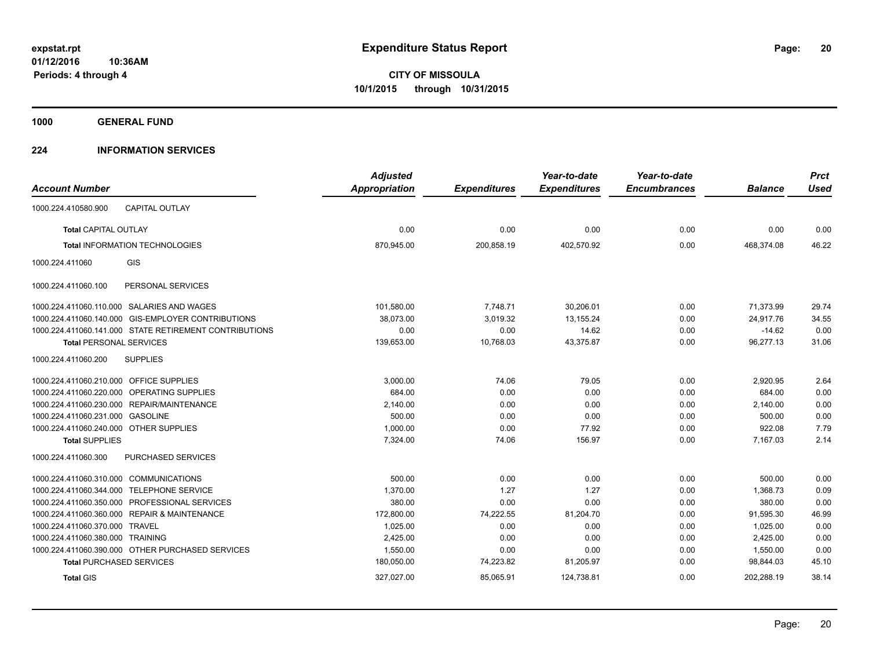**1000 GENERAL FUND**

## **224 INFORMATION SERVICES**

| <b>Account Number</b>                   |                                                        | <b>Adjusted</b><br>Appropriation | <b>Expenditures</b> | Year-to-date<br><b>Expenditures</b> | Year-to-date<br><b>Encumbrances</b> | <b>Balance</b> | <b>Prct</b><br><b>Used</b> |
|-----------------------------------------|--------------------------------------------------------|----------------------------------|---------------------|-------------------------------------|-------------------------------------|----------------|----------------------------|
|                                         |                                                        |                                  |                     |                                     |                                     |                |                            |
| 1000.224.410580.900                     | <b>CAPITAL OUTLAY</b>                                  |                                  |                     |                                     |                                     |                |                            |
| <b>Total CAPITAL OUTLAY</b>             |                                                        | 0.00                             | 0.00                | 0.00                                | 0.00                                | 0.00           | 0.00                       |
|                                         | <b>Total INFORMATION TECHNOLOGIES</b>                  | 870.945.00                       | 200.858.19          | 402.570.92                          | 0.00                                | 468,374.08     | 46.22                      |
| 1000.224.411060                         | GIS                                                    |                                  |                     |                                     |                                     |                |                            |
| 1000.224.411060.100                     | PERSONAL SERVICES                                      |                                  |                     |                                     |                                     |                |                            |
|                                         | 1000.224.411060.110.000 SALARIES AND WAGES             | 101,580.00                       | 7,748.71            | 30,206.01                           | 0.00                                | 71,373.99      | 29.74                      |
|                                         | 1000.224.411060.140.000 GIS-EMPLOYER CONTRIBUTIONS     | 38,073.00                        | 3,019.32            | 13, 155. 24                         | 0.00                                | 24,917.76      | 34.55                      |
|                                         | 1000.224.411060.141.000 STATE RETIREMENT CONTRIBUTIONS | 0.00                             | 0.00                | 14.62                               | 0.00                                | $-14.62$       | 0.00                       |
| <b>Total PERSONAL SERVICES</b>          |                                                        | 139,653.00                       | 10,768.03           | 43,375.87                           | 0.00                                | 96,277.13      | 31.06                      |
| 1000.224.411060.200                     | <b>SUPPLIES</b>                                        |                                  |                     |                                     |                                     |                |                            |
| 1000.224.411060.210.000 OFFICE SUPPLIES |                                                        | 3,000.00                         | 74.06               | 79.05                               | 0.00                                | 2,920.95       | 2.64                       |
|                                         | 1000.224.411060.220.000 OPERATING SUPPLIES             | 684.00                           | 0.00                | 0.00                                | 0.00                                | 684.00         | 0.00                       |
|                                         | 1000.224.411060.230.000 REPAIR/MAINTENANCE             | 2,140.00                         | 0.00                | 0.00                                | 0.00                                | 2,140.00       | 0.00                       |
| 1000.224.411060.231.000 GASOLINE        |                                                        | 500.00                           | 0.00                | 0.00                                | 0.00                                | 500.00         | 0.00                       |
| 1000.224.411060.240.000 OTHER SUPPLIES  |                                                        | 1,000.00                         | 0.00                | 77.92                               | 0.00                                | 922.08         | 7.79                       |
| <b>Total SUPPLIES</b>                   |                                                        | 7.324.00                         | 74.06               | 156.97                              | 0.00                                | 7,167.03       | 2.14                       |
| 1000.224.411060.300                     | <b>PURCHASED SERVICES</b>                              |                                  |                     |                                     |                                     |                |                            |
| 1000.224.411060.310.000 COMMUNICATIONS  |                                                        | 500.00                           | 0.00                | 0.00                                | 0.00                                | 500.00         | 0.00                       |
| 1000.224.411060.344.000                 | <b>TELEPHONE SERVICE</b>                               | 1,370.00                         | 1.27                | 1.27                                | 0.00                                | 1,368.73       | 0.09                       |
|                                         | 1000.224.411060.350.000 PROFESSIONAL SERVICES          | 380.00                           | 0.00                | 0.00                                | 0.00                                | 380.00         | 0.00                       |
|                                         | 1000.224.411060.360.000 REPAIR & MAINTENANCE           | 172,800.00                       | 74,222.55           | 81,204.70                           | 0.00                                | 91,595.30      | 46.99                      |
| 1000.224.411060.370.000 TRAVEL          |                                                        | 1,025.00                         | 0.00                | 0.00                                | 0.00                                | 1,025.00       | 0.00                       |
| 1000.224.411060.380.000 TRAINING        |                                                        | 2,425.00                         | 0.00                | 0.00                                | 0.00                                | 2.425.00       | 0.00                       |
|                                         | 1000.224.411060.390.000 OTHER PURCHASED SERVICES       | 1,550.00                         | 0.00                | 0.00                                | 0.00                                | 1,550.00       | 0.00                       |
|                                         | <b>Total PURCHASED SERVICES</b>                        | 180,050.00                       | 74,223.82           | 81,205.97                           | 0.00                                | 98,844.03      | 45.10                      |
| <b>Total GIS</b>                        |                                                        | 327,027.00                       | 85,065.91           | 124,738.81                          | 0.00                                | 202,288.19     | 38.14                      |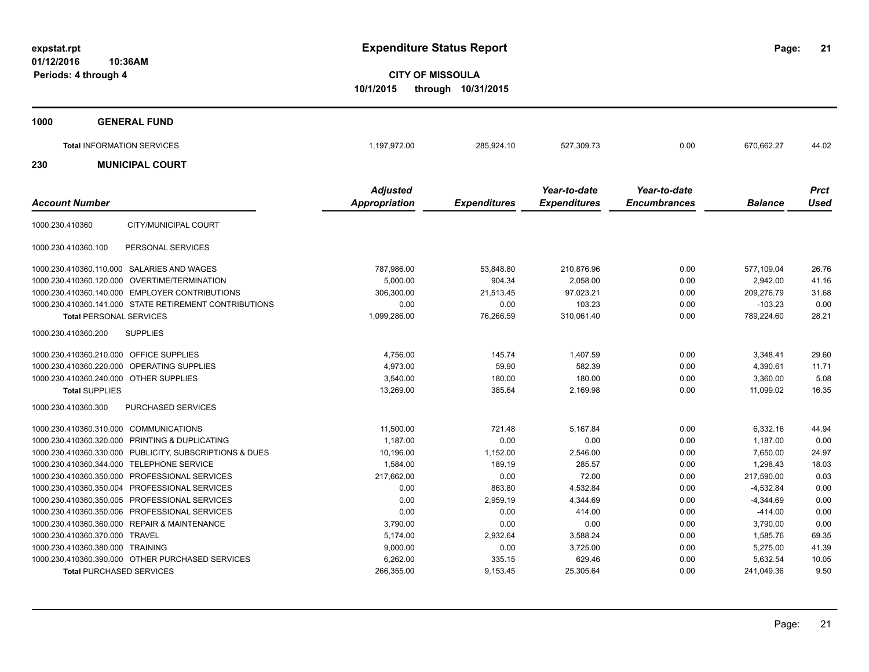**21**

**CITY OF MISSOULA 10/1/2015 through 10/31/2015**

| 1000 | <b>GENERAL FUND</b>               |                                         |                     |                                     |                                     |                |                            |
|------|-----------------------------------|-----------------------------------------|---------------------|-------------------------------------|-------------------------------------|----------------|----------------------------|
|      | <b>Total INFORMATION SERVICES</b> | 1,197,972.00                            | 285,924.10          | 527,309.73                          | 0.00                                | 670,662.27     | 44.02                      |
| 230  | <b>MUNICIPAL COURT</b>            |                                         |                     |                                     |                                     |                |                            |
|      | <b>Account Number</b>             | <b>Adjusted</b><br><b>Appropriation</b> | <b>Expenditures</b> | Year-to-date<br><b>Expenditures</b> | Year-to-date<br><b>Encumbrances</b> | <b>Balance</b> | <b>Prct</b><br><b>Used</b> |

| 1000.230.410360                         | CITY/MUNICIPAL COURT                                   |              |           |            |      |             |       |
|-----------------------------------------|--------------------------------------------------------|--------------|-----------|------------|------|-------------|-------|
| 1000.230.410360.100                     | PERSONAL SERVICES                                      |              |           |            |      |             |       |
| 1000.230.410360.110.000                 | SALARIES AND WAGES                                     | 787,986.00   | 53,848.80 | 210,876.96 | 0.00 | 577,109.04  | 26.76 |
|                                         | 1000.230.410360.120.000 OVERTIME/TERMINATION           | 5,000.00     | 904.34    | 2,058.00   | 0.00 | 2,942.00    | 41.16 |
|                                         | 1000.230.410360.140.000 EMPLOYER CONTRIBUTIONS         | 306,300.00   | 21,513.45 | 97,023.21  | 0.00 | 209,276.79  | 31.68 |
|                                         | 1000.230.410360.141.000 STATE RETIREMENT CONTRIBUTIONS | 0.00         | 0.00      | 103.23     | 0.00 | $-103.23$   | 0.00  |
| <b>Total PERSONAL SERVICES</b>          |                                                        | 1,099,286.00 | 76,266.59 | 310,061.40 | 0.00 | 789.224.60  | 28.21 |
| 1000.230.410360.200                     | <b>SUPPLIES</b>                                        |              |           |            |      |             |       |
| 1000.230.410360.210.000 OFFICE SUPPLIES |                                                        | 4,756.00     | 145.74    | 1.407.59   | 0.00 | 3,348.41    | 29.60 |
| 1000.230.410360.220.000                 | <b>OPERATING SUPPLIES</b>                              | 4,973.00     | 59.90     | 582.39     | 0.00 | 4,390.61    | 11.71 |
| 1000.230.410360.240.000 OTHER SUPPLIES  |                                                        | 3,540.00     | 180.00    | 180.00     | 0.00 | 3,360.00    | 5.08  |
| <b>Total SUPPLIES</b>                   |                                                        | 13,269.00    | 385.64    | 2,169.98   | 0.00 | 11.099.02   | 16.35 |
| 1000.230.410360.300                     | <b>PURCHASED SERVICES</b>                              |              |           |            |      |             |       |
| 1000.230.410360.310.000 COMMUNICATIONS  |                                                        | 11,500.00    | 721.48    | 5,167.84   | 0.00 | 6,332.16    | 44.94 |
| 1000.230.410360.320.000                 | PRINTING & DUPLICATING                                 | 1,187.00     | 0.00      | 0.00       | 0.00 | 1,187.00    | 0.00  |
| 1000.230.410360.330.000                 | PUBLICITY, SUBSCRIPTIONS & DUES                        | 10,196.00    | 1,152.00  | 2,546.00   | 0.00 | 7.650.00    | 24.97 |
| 1000.230.410360.344.000                 | <b>TELEPHONE SERVICE</b>                               | 1,584.00     | 189.19    | 285.57     | 0.00 | 1.298.43    | 18.03 |
| 1000.230.410360.350.000                 | PROFESSIONAL SERVICES                                  | 217,662.00   | 0.00      | 72.00      | 0.00 | 217,590.00  | 0.03  |
| 1000.230.410360.350.004                 | PROFESSIONAL SERVICES                                  | 0.00         | 863.80    | 4,532.84   | 0.00 | $-4,532.84$ | 0.00  |
| 1000.230.410360.350.005                 | <b>PROFESSIONAL SERVICES</b>                           | 0.00         | 2,959.19  | 4,344.69   | 0.00 | $-4,344.69$ | 0.00  |
| 1000.230.410360.350.006                 | PROFESSIONAL SERVICES                                  | 0.00         | 0.00      | 414.00     | 0.00 | $-414.00$   | 0.00  |
| 1000.230.410360.360.000                 | <b>REPAIR &amp; MAINTENANCE</b>                        | 3,790.00     | 0.00      | 0.00       | 0.00 | 3,790.00    | 0.00  |
| 1000.230.410360.370.000                 | <b>TRAVEL</b>                                          | 5.174.00     | 2,932.64  | 3,588.24   | 0.00 | 1.585.76    | 69.35 |
| 1000.230.410360.380.000                 | <b>TRAINING</b>                                        | 9,000.00     | 0.00      | 3,725.00   | 0.00 | 5,275.00    | 41.39 |
|                                         | 1000.230.410360.390.000 OTHER PURCHASED SERVICES       | 6,262.00     | 335.15    | 629.46     | 0.00 | 5,632.54    | 10.05 |
| <b>Total PURCHASED SERVICES</b>         |                                                        | 266,355.00   | 9,153.45  | 25,305.64  | 0.00 | 241,049.36  | 9.50  |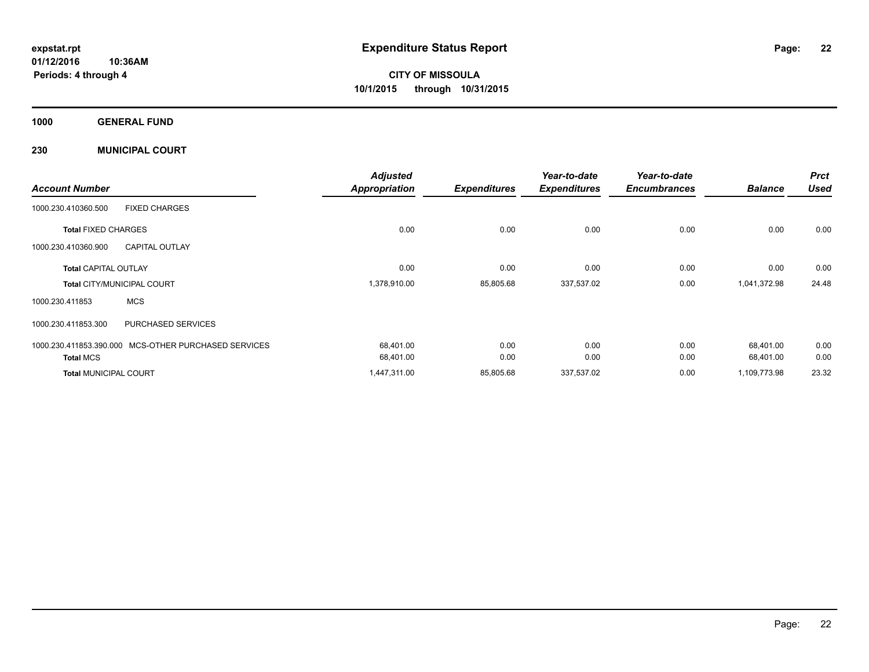**CITY OF MISSOULA 10/1/2015 through 10/31/2015**

**1000 GENERAL FUND**

**230 MUNICIPAL COURT**

| <b>Account Number</b>                        |                              | <b>Adjusted</b><br><b>Appropriation</b> | <b>Expenditures</b> | Year-to-date<br><b>Expenditures</b> | Year-to-date<br><b>Encumbrances</b> | <b>Balance</b> | <b>Prct</b><br><b>Used</b> |
|----------------------------------------------|------------------------------|-----------------------------------------|---------------------|-------------------------------------|-------------------------------------|----------------|----------------------------|
| <b>FIXED CHARGES</b><br>1000.230.410360.500  |                              |                                         |                     |                                     |                                     |                |                            |
| <b>Total FIXED CHARGES</b>                   |                              | 0.00                                    | 0.00                | 0.00                                | 0.00                                | 0.00           | 0.00                       |
| 1000.230.410360.900<br><b>CAPITAL OUTLAY</b> |                              |                                         |                     |                                     |                                     |                |                            |
| <b>Total CAPITAL OUTLAY</b>                  |                              | 0.00                                    | 0.00                | 0.00                                | 0.00                                | 0.00           | 0.00                       |
| <b>Total CITY/MUNICIPAL COURT</b>            |                              | 1,378,910.00                            | 85,805.68           | 337,537.02                          | 0.00                                | 1,041,372.98   | 24.48                      |
| <b>MCS</b><br>1000.230.411853                |                              |                                         |                     |                                     |                                     |                |                            |
| 1000.230.411853.300                          | PURCHASED SERVICES           |                                         |                     |                                     |                                     |                |                            |
| 1000.230.411853.390.000                      | MCS-OTHER PURCHASED SERVICES | 68,401.00                               | 0.00                | 0.00                                | 0.00                                | 68,401.00      | 0.00                       |
| <b>Total MCS</b>                             |                              | 68,401.00                               | 0.00                | 0.00                                | 0.00                                | 68,401.00      | 0.00                       |
| <b>Total MUNICIPAL COURT</b>                 |                              | 1,447,311.00                            | 85,805.68           | 337,537.02                          | 0.00                                | 1,109,773.98   | 23.32                      |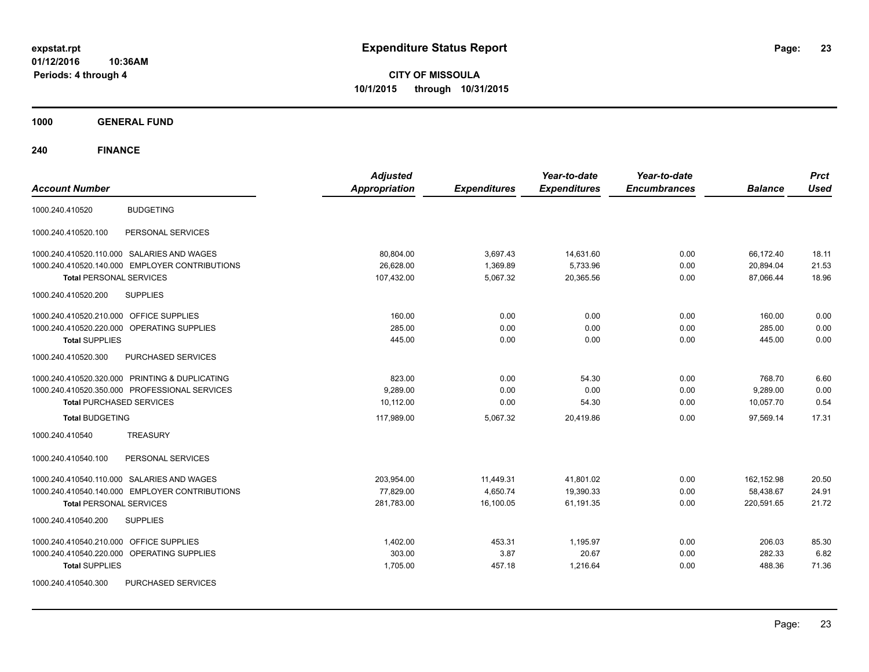**CITY OF MISSOULA 10/1/2015 through 10/31/2015**

**1000 GENERAL FUND**

| <b>Account Number</b>                          | <b>Adjusted</b><br><b>Appropriation</b> | <b>Expenditures</b> | Year-to-date<br><b>Expenditures</b> | Year-to-date<br><b>Encumbrances</b> | <b>Balance</b> | <b>Prct</b><br><b>Used</b> |
|------------------------------------------------|-----------------------------------------|---------------------|-------------------------------------|-------------------------------------|----------------|----------------------------|
| <b>BUDGETING</b><br>1000.240.410520            |                                         |                     |                                     |                                     |                |                            |
| PERSONAL SERVICES<br>1000.240.410520.100       |                                         |                     |                                     |                                     |                |                            |
| 1000.240.410520.110.000 SALARIES AND WAGES     | 80,804.00                               | 3,697.43            | 14,631.60                           | 0.00                                | 66,172.40      | 18.11                      |
| 1000.240.410520.140.000 EMPLOYER CONTRIBUTIONS | 26.628.00                               | 1.369.89            | 5,733.96                            | 0.00                                | 20,894.04      | 21.53                      |
| <b>Total PERSONAL SERVICES</b>                 | 107,432.00                              | 5,067.32            | 20,365.56                           | 0.00                                | 87,066.44      | 18.96                      |
| 1000.240.410520.200<br><b>SUPPLIES</b>         |                                         |                     |                                     |                                     |                |                            |
| 1000.240.410520.210.000 OFFICE SUPPLIES        | 160.00                                  | 0.00                | 0.00                                | 0.00                                | 160.00         | 0.00                       |
| 1000.240.410520.220.000 OPERATING SUPPLIES     | 285.00                                  | 0.00                | 0.00                                | 0.00                                | 285.00         | 0.00                       |
| <b>Total SUPPLIES</b>                          | 445.00                                  | 0.00                | 0.00                                | 0.00                                | 445.00         | 0.00                       |
| 1000.240.410520.300<br>PURCHASED SERVICES      |                                         |                     |                                     |                                     |                |                            |
| 1000.240.410520.320.000 PRINTING & DUPLICATING | 823.00                                  | 0.00                | 54.30                               | 0.00                                | 768.70         | 6.60                       |
| 1000.240.410520.350.000 PROFESSIONAL SERVICES  | 9.289.00                                | 0.00                | 0.00                                | 0.00                                | 9,289.00       | 0.00                       |
| <b>Total PURCHASED SERVICES</b>                | 10.112.00                               | 0.00                | 54.30                               | 0.00                                | 10,057.70      | 0.54                       |
| <b>Total BUDGETING</b>                         | 117,989.00                              | 5,067.32            | 20,419.86                           | 0.00                                | 97,569.14      | 17.31                      |
| 1000.240.410540<br><b>TREASURY</b>             |                                         |                     |                                     |                                     |                |                            |
| PERSONAL SERVICES<br>1000.240.410540.100       |                                         |                     |                                     |                                     |                |                            |
| 1000.240.410540.110.000 SALARIES AND WAGES     | 203,954.00                              | 11,449.31           | 41,801.02                           | 0.00                                | 162,152.98     | 20.50                      |
| 1000.240.410540.140.000 EMPLOYER CONTRIBUTIONS | 77,829.00                               | 4,650.74            | 19,390.33                           | 0.00                                | 58,438.67      | 24.91                      |
| <b>Total PERSONAL SERVICES</b>                 | 281,783.00                              | 16,100.05           | 61,191.35                           | 0.00                                | 220,591.65     | 21.72                      |
| <b>SUPPLIES</b><br>1000.240.410540.200         |                                         |                     |                                     |                                     |                |                            |
| 1000.240.410540.210.000 OFFICE SUPPLIES        | 1,402.00                                | 453.31              | 1,195.97                            | 0.00                                | 206.03         | 85.30                      |
| 1000.240.410540.220.000 OPERATING SUPPLIES     | 303.00                                  | 3.87                | 20.67                               | 0.00                                | 282.33         | 6.82                       |
| <b>Total SUPPLIES</b>                          | 1,705.00                                | 457.18              | 1,216.64                            | 0.00                                | 488.36         | 71.36                      |
| PURCHASED SERVICES<br>1000.240.410540.300      |                                         |                     |                                     |                                     |                |                            |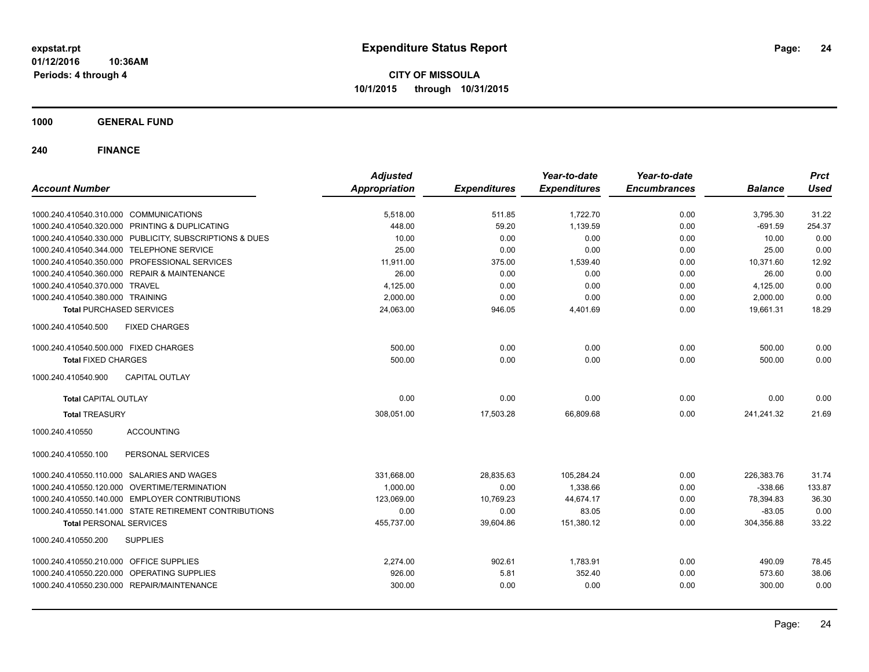**CITY OF MISSOULA 10/1/2015 through 10/31/2015**

**1000 GENERAL FUND**

| <b>Account Number</b>                                   | <b>Adjusted</b><br><b>Appropriation</b> | <b>Expenditures</b> | Year-to-date<br><b>Expenditures</b> | Year-to-date<br><b>Encumbrances</b> | <b>Balance</b> | <b>Prct</b><br><b>Used</b> |
|---------------------------------------------------------|-----------------------------------------|---------------------|-------------------------------------|-------------------------------------|----------------|----------------------------|
|                                                         |                                         |                     |                                     |                                     |                |                            |
| 1000.240.410540.310.000 COMMUNICATIONS                  | 5,518.00                                | 511.85              | 1,722.70                            | 0.00                                | 3,795.30       | 31.22                      |
| 1000.240.410540.320.000 PRINTING & DUPLICATING          | 448.00                                  | 59.20               | 1,139.59                            | 0.00                                | $-691.59$      | 254.37                     |
| 1000.240.410540.330.000 PUBLICITY, SUBSCRIPTIONS & DUES | 10.00                                   | 0.00                | 0.00                                | 0.00                                | 10.00          | 0.00                       |
| 1000.240.410540.344.000 TELEPHONE SERVICE               | 25.00                                   | 0.00                | 0.00                                | 0.00                                | 25.00          | 0.00                       |
| 1000.240.410540.350.000 PROFESSIONAL SERVICES           | 11,911.00                               | 375.00              | 1,539.40                            | 0.00                                | 10,371.60      | 12.92                      |
| 1000.240.410540.360.000 REPAIR & MAINTENANCE            | 26.00                                   | 0.00                | 0.00                                | 0.00                                | 26.00          | 0.00                       |
| 1000.240.410540.370.000 TRAVEL                          | 4,125.00                                | 0.00                | 0.00                                | 0.00                                | 4,125.00       | 0.00                       |
| 1000.240.410540.380.000 TRAINING                        | 2,000.00                                | 0.00                | 0.00                                | 0.00                                | 2,000.00       | 0.00                       |
| <b>Total PURCHASED SERVICES</b>                         | 24,063.00                               | 946.05              | 4,401.69                            | 0.00                                | 19,661.31      | 18.29                      |
| 1000.240.410540.500<br><b>FIXED CHARGES</b>             |                                         |                     |                                     |                                     |                |                            |
| 1000.240.410540.500.000 FIXED CHARGES                   | 500.00                                  | 0.00                | 0.00                                | 0.00                                | 500.00         | 0.00                       |
| <b>Total FIXED CHARGES</b>                              | 500.00                                  | 0.00                | 0.00                                | 0.00                                | 500.00         | 0.00                       |
| 1000.240.410540.900<br><b>CAPITAL OUTLAY</b>            |                                         |                     |                                     |                                     |                |                            |
| <b>Total CAPITAL OUTLAY</b>                             | 0.00                                    | 0.00                | 0.00                                | 0.00                                | 0.00           | 0.00                       |
| <b>Total TREASURY</b>                                   | 308,051.00                              | 17,503.28           | 66,809.68                           | 0.00                                | 241,241.32     | 21.69                      |
| <b>ACCOUNTING</b><br>1000.240.410550                    |                                         |                     |                                     |                                     |                |                            |
| PERSONAL SERVICES<br>1000.240.410550.100                |                                         |                     |                                     |                                     |                |                            |
| 1000.240.410550.110.000 SALARIES AND WAGES              | 331,668.00                              | 28,835.63           | 105,284.24                          | 0.00                                | 226,383.76     | 31.74                      |
| 1000.240.410550.120.000 OVERTIME/TERMINATION            | 1,000.00                                | 0.00                | 1,338.66                            | 0.00                                | $-338.66$      | 133.87                     |
| 1000.240.410550.140.000 EMPLOYER CONTRIBUTIONS          | 123,069.00                              | 10,769.23           | 44,674.17                           | 0.00                                | 78,394.83      | 36.30                      |
| 1000.240.410550.141.000 STATE RETIREMENT CONTRIBUTIONS  | 0.00                                    | 0.00                | 83.05                               | 0.00                                | $-83.05$       | 0.00                       |
| <b>Total PERSONAL SERVICES</b>                          | 455,737.00                              | 39,604.86           | 151,380.12                          | 0.00                                | 304,356.88     | 33.22                      |
| 1000.240.410550.200<br><b>SUPPLIES</b>                  |                                         |                     |                                     |                                     |                |                            |
| 1000.240.410550.210.000 OFFICE SUPPLIES                 | 2,274.00                                | 902.61              | 1,783.91                            | 0.00                                | 490.09         | 78.45                      |
| 1000.240.410550.220.000 OPERATING SUPPLIES              | 926.00                                  | 5.81                | 352.40                              | 0.00                                | 573.60         | 38.06                      |
| 1000.240.410550.230.000 REPAIR/MAINTENANCE              | 300.00                                  | 0.00                | 0.00                                | 0.00                                | 300.00         | 0.00                       |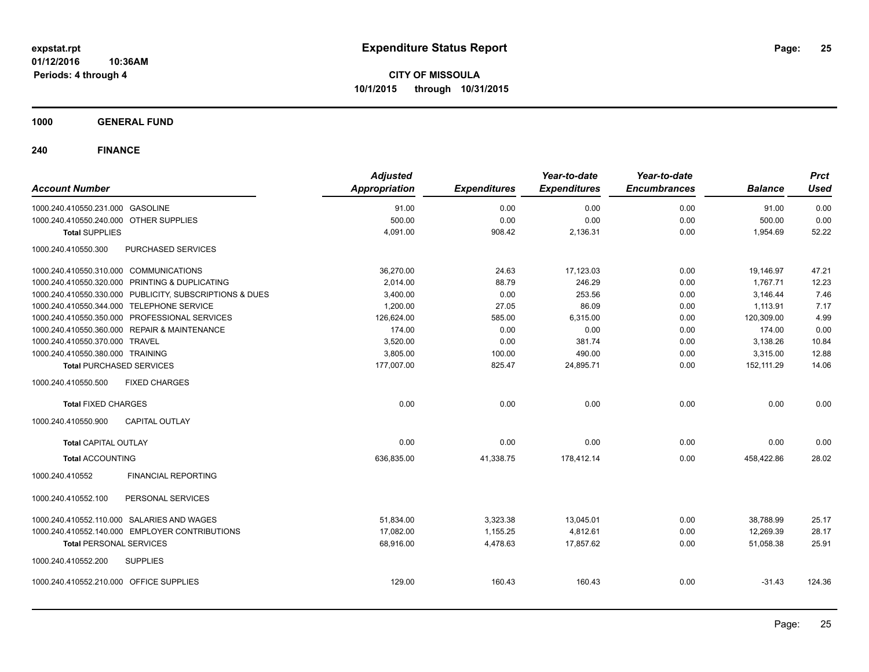**CITY OF MISSOULA 10/1/2015 through 10/31/2015**

**1000 GENERAL FUND**

| <b>Account Number</b>                   |                                                         | <b>Adjusted</b><br><b>Appropriation</b> | <b>Expenditures</b> | Year-to-date<br><b>Expenditures</b> | Year-to-date<br><b>Encumbrances</b> | <b>Balance</b> | <b>Prct</b><br><b>Used</b> |
|-----------------------------------------|---------------------------------------------------------|-----------------------------------------|---------------------|-------------------------------------|-------------------------------------|----------------|----------------------------|
| 1000.240.410550.231.000 GASOLINE        |                                                         | 91.00                                   | 0.00                | 0.00                                | 0.00                                | 91.00          | 0.00                       |
| 1000.240.410550.240.000 OTHER SUPPLIES  |                                                         | 500.00                                  | 0.00                | 0.00                                | 0.00                                | 500.00         | 0.00                       |
| <b>Total SUPPLIES</b>                   |                                                         | 4,091.00                                | 908.42              | 2,136.31                            | 0.00                                | 1,954.69       | 52.22                      |
| 1000.240.410550.300                     | PURCHASED SERVICES                                      |                                         |                     |                                     |                                     |                |                            |
| 1000.240.410550.310.000 COMMUNICATIONS  |                                                         | 36,270.00                               | 24.63               | 17,123.03                           | 0.00                                | 19,146.97      | 47.21                      |
|                                         | 1000.240.410550.320.000 PRINTING & DUPLICATING          | 2,014.00                                | 88.79               | 246.29                              | 0.00                                | 1.767.71       | 12.23                      |
|                                         | 1000.240.410550.330.000 PUBLICITY, SUBSCRIPTIONS & DUES | 3,400.00                                | 0.00                | 253.56                              | 0.00                                | 3,146.44       | 7.46                       |
|                                         | 1000.240.410550.344.000 TELEPHONE SERVICE               | 1,200.00                                | 27.05               | 86.09                               | 0.00                                | 1,113.91       | 7.17                       |
|                                         | 1000.240.410550.350.000 PROFESSIONAL SERVICES           | 126,624.00                              | 585.00              | 6,315.00                            | 0.00                                | 120,309.00     | 4.99                       |
|                                         | 1000.240.410550.360.000 REPAIR & MAINTENANCE            | 174.00                                  | 0.00                | 0.00                                | 0.00                                | 174.00         | 0.00                       |
| 1000.240.410550.370.000 TRAVEL          |                                                         | 3,520.00                                | 0.00                | 381.74                              | 0.00                                | 3,138.26       | 10.84                      |
| 1000.240.410550.380.000 TRAINING        |                                                         | 3,805.00                                | 100.00              | 490.00                              | 0.00                                | 3,315.00       | 12.88                      |
| <b>Total PURCHASED SERVICES</b>         |                                                         | 177,007.00                              | 825.47              | 24,895.71                           | 0.00                                | 152,111.29     | 14.06                      |
| 1000.240.410550.500                     | <b>FIXED CHARGES</b>                                    |                                         |                     |                                     |                                     |                |                            |
| <b>Total FIXED CHARGES</b>              |                                                         | 0.00                                    | 0.00                | 0.00                                | 0.00                                | 0.00           | 0.00                       |
| 1000.240.410550.900                     | <b>CAPITAL OUTLAY</b>                                   |                                         |                     |                                     |                                     |                |                            |
| <b>Total CAPITAL OUTLAY</b>             |                                                         | 0.00                                    | 0.00                | 0.00                                | 0.00                                | 0.00           | 0.00                       |
| <b>Total ACCOUNTING</b>                 |                                                         | 636,835.00                              | 41,338.75           | 178,412.14                          | 0.00                                | 458,422.86     | 28.02                      |
| 1000.240.410552                         | <b>FINANCIAL REPORTING</b>                              |                                         |                     |                                     |                                     |                |                            |
| 1000.240.410552.100                     | PERSONAL SERVICES                                       |                                         |                     |                                     |                                     |                |                            |
|                                         | 1000.240.410552.110.000 SALARIES AND WAGES              | 51,834.00                               | 3,323.38            | 13,045.01                           | 0.00                                | 38,788.99      | 25.17                      |
|                                         | 1000.240.410552.140.000 EMPLOYER CONTRIBUTIONS          | 17,082.00                               | 1,155.25            | 4,812.61                            | 0.00                                | 12,269.39      | 28.17                      |
| <b>Total PERSONAL SERVICES</b>          |                                                         | 68,916.00                               | 4,478.63            | 17,857.62                           | 0.00                                | 51,058.38      | 25.91                      |
| 1000.240.410552.200                     | <b>SUPPLIES</b>                                         |                                         |                     |                                     |                                     |                |                            |
| 1000.240.410552.210.000 OFFICE SUPPLIES |                                                         | 129.00                                  | 160.43              | 160.43                              | 0.00                                | $-31.43$       | 124.36                     |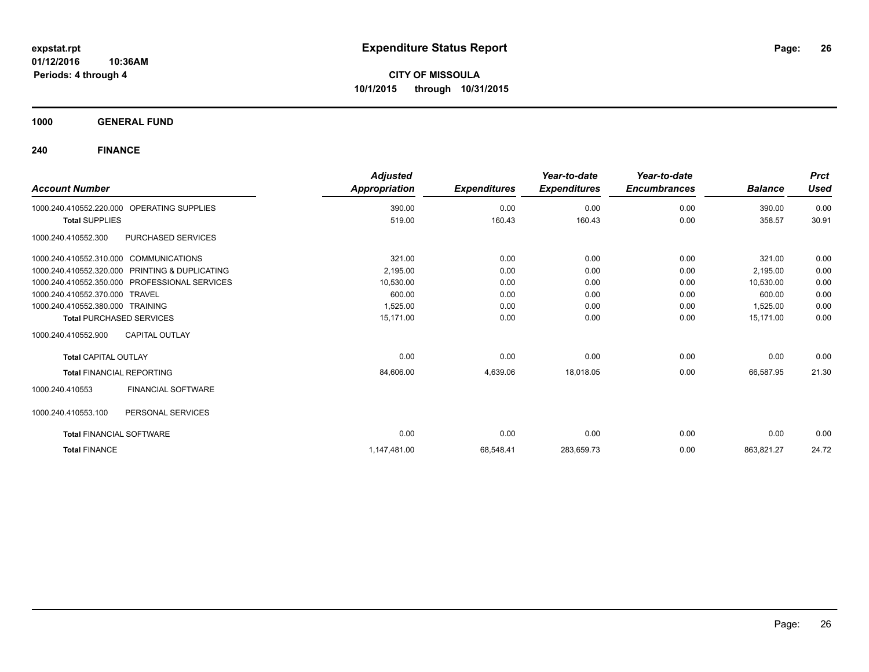**CITY OF MISSOULA 10/1/2015 through 10/31/2015**

**1000 GENERAL FUND**

| <b>Account Number</b>                  |                                               | <b>Adjusted</b><br><b>Appropriation</b> | <b>Expenditures</b> | Year-to-date<br><b>Expenditures</b> | Year-to-date<br><b>Encumbrances</b> | <b>Balance</b> | <b>Prct</b><br><b>Used</b> |
|----------------------------------------|-----------------------------------------------|-----------------------------------------|---------------------|-------------------------------------|-------------------------------------|----------------|----------------------------|
| 1000.240.410552.220.000                | OPERATING SUPPLIES                            | 390.00                                  | 0.00                | 0.00                                | 0.00                                | 390.00         | 0.00                       |
| <b>Total SUPPLIES</b>                  |                                               | 519.00                                  | 160.43              | 160.43                              | 0.00                                | 358.57         | 30.91                      |
| 1000.240.410552.300                    | PURCHASED SERVICES                            |                                         |                     |                                     |                                     |                |                            |
| 1000.240.410552.310.000 COMMUNICATIONS |                                               | 321.00                                  | 0.00                | 0.00                                | 0.00                                | 321.00         | 0.00                       |
| 1000.240.410552.320.000                | <b>PRINTING &amp; DUPLICATING</b>             | 2,195.00                                | 0.00                | 0.00                                | 0.00                                | 2,195.00       | 0.00                       |
|                                        | 1000.240.410552.350.000 PROFESSIONAL SERVICES | 10,530.00                               | 0.00                | 0.00                                | 0.00                                | 10,530.00      | 0.00                       |
| 1000.240.410552.370.000 TRAVEL         |                                               | 600.00                                  | 0.00                | 0.00                                | 0.00                                | 600.00         | 0.00                       |
| 1000.240.410552.380.000 TRAINING       |                                               | 1,525.00                                | 0.00                | 0.00                                | 0.00                                | 1,525.00       | 0.00                       |
| <b>Total PURCHASED SERVICES</b>        |                                               | 15.171.00                               | 0.00                | 0.00                                | 0.00                                | 15.171.00      | 0.00                       |
| 1000.240.410552.900                    | <b>CAPITAL OUTLAY</b>                         |                                         |                     |                                     |                                     |                |                            |
| <b>Total CAPITAL OUTLAY</b>            |                                               | 0.00                                    | 0.00                | 0.00                                | 0.00                                | 0.00           | 0.00                       |
| <b>Total FINANCIAL REPORTING</b>       |                                               | 84,606.00                               | 4,639.06            | 18,018.05                           | 0.00                                | 66,587.95      | 21.30                      |
| 1000.240.410553                        | <b>FINANCIAL SOFTWARE</b>                     |                                         |                     |                                     |                                     |                |                            |
| 1000.240.410553.100                    | PERSONAL SERVICES                             |                                         |                     |                                     |                                     |                |                            |
| <b>Total FINANCIAL SOFTWARE</b>        |                                               | 0.00                                    | 0.00                | 0.00                                | 0.00                                | 0.00           | 0.00                       |
| <b>Total FINANCE</b>                   |                                               | 1,147,481.00                            | 68,548.41           | 283,659.73                          | 0.00                                | 863,821.27     | 24.72                      |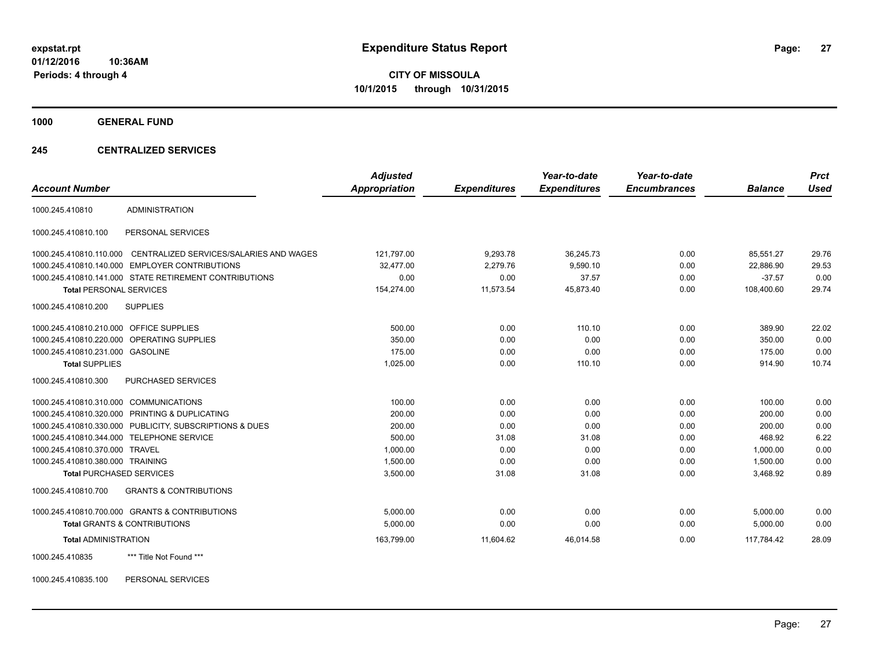**CITY OF MISSOULA 10/1/2015 through 10/31/2015**

**1000 GENERAL FUND**

## **245 CENTRALIZED SERVICES**

| <b>Account Number</b>                   |                                                         | <b>Adjusted</b><br><b>Appropriation</b> | <b>Expenditures</b> | Year-to-date<br><b>Expenditures</b> | Year-to-date<br><b>Encumbrances</b> | <b>Balance</b> | <b>Prct</b><br><b>Used</b> |
|-----------------------------------------|---------------------------------------------------------|-----------------------------------------|---------------------|-------------------------------------|-------------------------------------|----------------|----------------------------|
| 1000.245.410810                         | <b>ADMINISTRATION</b>                                   |                                         |                     |                                     |                                     |                |                            |
| 1000.245.410810.100                     | PERSONAL SERVICES                                       |                                         |                     |                                     |                                     |                |                            |
| 1000.245.410810.110.000                 | CENTRALIZED SERVICES/SALARIES AND WAGES                 | 121,797.00                              | 9,293.78            | 36,245.73                           | 0.00                                | 85,551.27      | 29.76                      |
|                                         | 1000.245.410810.140.000 EMPLOYER CONTRIBUTIONS          | 32,477.00                               | 2,279.76            | 9,590.10                            | 0.00                                | 22,886.90      | 29.53                      |
|                                         | 1000.245.410810.141.000 STATE RETIREMENT CONTRIBUTIONS  | 0.00                                    | 0.00                | 37.57                               | 0.00                                | $-37.57$       | 0.00                       |
| <b>Total PERSONAL SERVICES</b>          |                                                         | 154,274.00                              | 11,573.54           | 45,873.40                           | 0.00                                | 108,400.60     | 29.74                      |
| 1000.245.410810.200                     | <b>SUPPLIES</b>                                         |                                         |                     |                                     |                                     |                |                            |
| 1000.245.410810.210.000 OFFICE SUPPLIES |                                                         | 500.00                                  | 0.00                | 110.10                              | 0.00                                | 389.90         | 22.02                      |
|                                         | 1000.245.410810.220.000 OPERATING SUPPLIES              | 350.00                                  | 0.00                | 0.00                                | 0.00                                | 350.00         | 0.00                       |
| 1000.245.410810.231.000 GASOLINE        |                                                         | 175.00                                  | 0.00                | 0.00                                | 0.00                                | 175.00         | 0.00                       |
| <b>Total SUPPLIES</b>                   |                                                         | 1,025.00                                | 0.00                | 110.10                              | 0.00                                | 914.90         | 10.74                      |
| 1000.245.410810.300                     | <b>PURCHASED SERVICES</b>                               |                                         |                     |                                     |                                     |                |                            |
| 1000.245.410810.310.000 COMMUNICATIONS  |                                                         | 100.00                                  | 0.00                | 0.00                                | 0.00                                | 100.00         | 0.00                       |
|                                         | 1000.245.410810.320.000 PRINTING & DUPLICATING          | 200.00                                  | 0.00                | 0.00                                | 0.00                                | 200.00         | 0.00                       |
|                                         | 1000.245.410810.330.000 PUBLICITY, SUBSCRIPTIONS & DUES | 200.00                                  | 0.00                | 0.00                                | 0.00                                | 200.00         | 0.00                       |
|                                         | 1000.245.410810.344.000 TELEPHONE SERVICE               | 500.00                                  | 31.08               | 31.08                               | 0.00                                | 468.92         | 6.22                       |
| 1000.245.410810.370.000 TRAVEL          |                                                         | 1,000.00                                | 0.00                | 0.00                                | 0.00                                | 1.000.00       | 0.00                       |
| 1000.245.410810.380.000 TRAINING        |                                                         | 1,500.00                                | 0.00                | 0.00                                | 0.00                                | 1,500.00       | 0.00                       |
| <b>Total PURCHASED SERVICES</b>         |                                                         | 3,500.00                                | 31.08               | 31.08                               | 0.00                                | 3,468.92       | 0.89                       |
| 1000.245.410810.700                     | <b>GRANTS &amp; CONTRIBUTIONS</b>                       |                                         |                     |                                     |                                     |                |                            |
|                                         | 1000.245.410810.700.000 GRANTS & CONTRIBUTIONS          | 5.000.00                                | 0.00                | 0.00                                | 0.00                                | 5.000.00       | 0.00                       |
|                                         | <b>Total GRANTS &amp; CONTRIBUTIONS</b>                 | 5,000.00                                | 0.00                | 0.00                                | 0.00                                | 5,000.00       | 0.00                       |
| <b>Total ADMINISTRATION</b>             |                                                         | 163,799.00                              | 11,604.62           | 46,014.58                           | 0.00                                | 117.784.42     | 28.09                      |
| 1000.245.410835                         | *** Title Not Found ***                                 |                                         |                     |                                     |                                     |                |                            |

1000.245.410835.100 PERSONAL SERVICES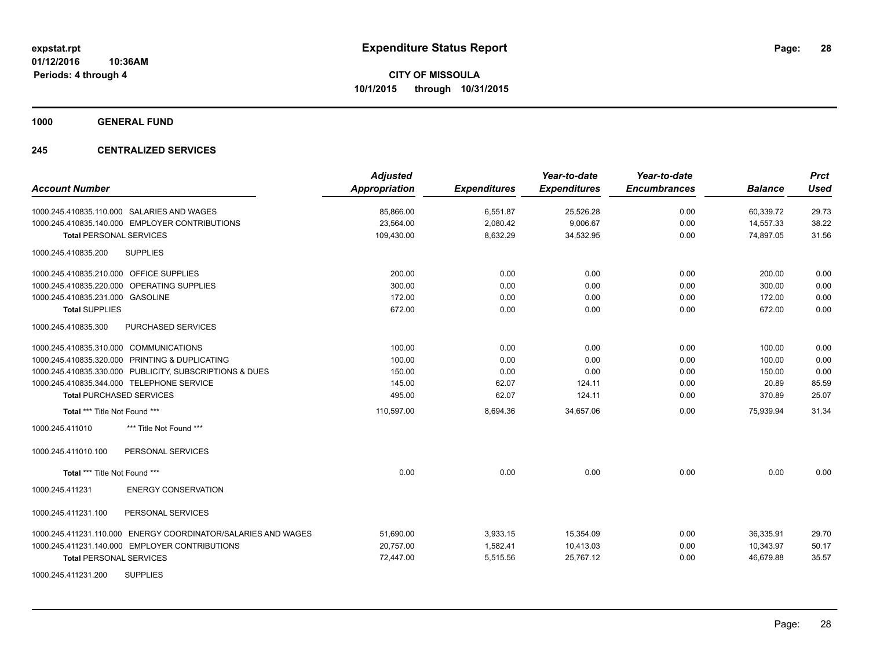**1000 GENERAL FUND**

## **245 CENTRALIZED SERVICES**

| <b>Account Number</b>                                            | <b>Adjusted</b><br>Appropriation | <b>Expenditures</b> | Year-to-date<br><b>Expenditures</b> | Year-to-date<br><b>Encumbrances</b> | <b>Balance</b> | <b>Prct</b><br>Used |
|------------------------------------------------------------------|----------------------------------|---------------------|-------------------------------------|-------------------------------------|----------------|---------------------|
| 1000.245.410835.110.000 SALARIES AND WAGES                       | 85,866.00                        | 6,551.87            | 25,526.28                           | 0.00                                | 60,339.72      | 29.73               |
| 1000.245.410835.140.000 EMPLOYER CONTRIBUTIONS                   | 23,564.00                        | 2,080.42            | 9,006.67                            | 0.00                                | 14,557.33      | 38.22               |
| <b>Total PERSONAL SERVICES</b>                                   | 109,430.00                       | 8,632.29            | 34,532.95                           | 0.00                                | 74,897.05      | 31.56               |
| <b>SUPPLIES</b><br>1000.245.410835.200                           |                                  |                     |                                     |                                     |                |                     |
| 1000.245.410835.210.000 OFFICE SUPPLIES                          | 200.00                           | 0.00                | 0.00                                | 0.00                                | 200.00         | 0.00                |
| 1000.245.410835.220.000 OPERATING SUPPLIES                       | 300.00                           | 0.00                | 0.00                                | 0.00                                | 300.00         | 0.00                |
| 1000.245.410835.231.000 GASOLINE                                 | 172.00                           | 0.00                | 0.00                                | 0.00                                | 172.00         | 0.00                |
| <b>Total SUPPLIES</b>                                            | 672.00                           | 0.00                | 0.00                                | 0.00                                | 672.00         | 0.00                |
| 1000.245.410835.300<br>PURCHASED SERVICES                        |                                  |                     |                                     |                                     |                |                     |
| 1000.245.410835.310.000 COMMUNICATIONS                           | 100.00                           | 0.00                | 0.00                                | 0.00                                | 100.00         | 0.00                |
| 1000.245.410835.320.000 PRINTING & DUPLICATING                   | 100.00                           | 0.00                | 0.00                                | 0.00                                | 100.00         | 0.00                |
| 1000.245.410835.330.000 PUBLICITY, SUBSCRIPTIONS & DUES          | 150.00                           | 0.00                | 0.00                                | 0.00                                | 150.00         | 0.00                |
| 1000.245.410835.344.000 TELEPHONE SERVICE                        | 145.00                           | 62.07               | 124.11                              | 0.00                                | 20.89          | 85.59               |
| <b>Total PURCHASED SERVICES</b>                                  | 495.00                           | 62.07               | 124.11                              | 0.00                                | 370.89         | 25.07               |
| Total *** Title Not Found ***                                    | 110,597.00                       | 8,694.36            | 34,657.06                           | 0.00                                | 75,939.94      | 31.34               |
| *** Title Not Found ***<br>1000.245.411010                       |                                  |                     |                                     |                                     |                |                     |
| 1000.245.411010.100<br>PERSONAL SERVICES                         |                                  |                     |                                     |                                     |                |                     |
| Total *** Title Not Found ***                                    | 0.00                             | 0.00                | 0.00                                | 0.00                                | 0.00           | 0.00                |
| 1000.245.411231<br><b>ENERGY CONSERVATION</b>                    |                                  |                     |                                     |                                     |                |                     |
| 1000.245.411231.100<br>PERSONAL SERVICES                         |                                  |                     |                                     |                                     |                |                     |
| ENERGY COORDINATOR/SALARIES AND WAGES<br>1000.245.411231.110.000 | 51,690.00                        | 3,933.15            | 15,354.09                           | 0.00                                | 36,335.91      | 29.70               |
| 1000.245.411231.140.000 EMPLOYER CONTRIBUTIONS                   | 20,757.00                        | 1,582.41            | 10,413.03                           | 0.00                                | 10,343.97      | 50.17               |
| <b>Total PERSONAL SERVICES</b>                                   | 72,447.00                        | 5,515.56            | 25,767.12                           | 0.00                                | 46,679.88      | 35.57               |
| <b>SUPPLIES</b><br>1000.245.411231.200                           |                                  |                     |                                     |                                     |                |                     |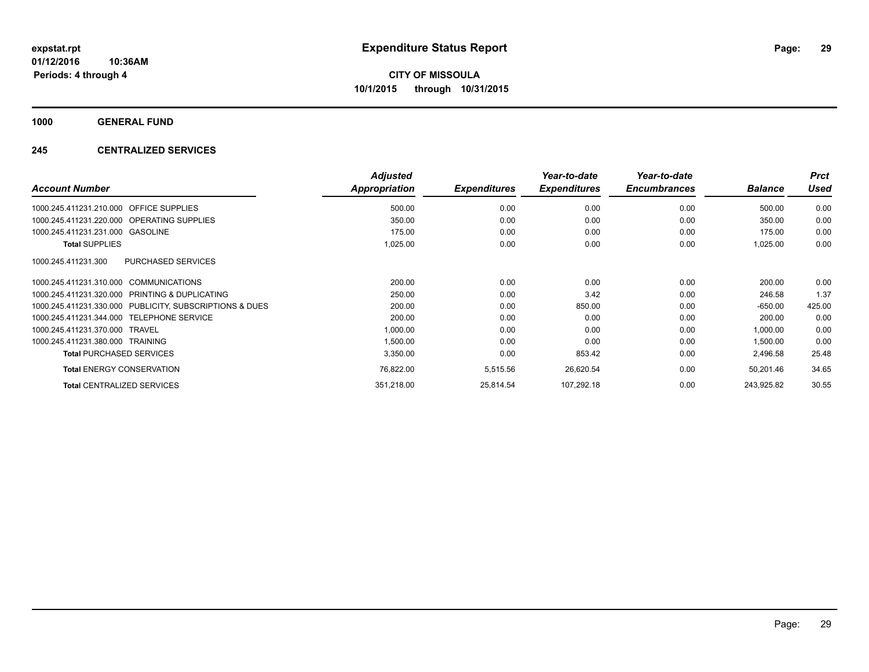**1000 GENERAL FUND**

## **245 CENTRALIZED SERVICES**

|                                                            | <b>Adjusted</b> |                     | Year-to-date        | Year-to-date        |                | <b>Prct</b> |
|------------------------------------------------------------|-----------------|---------------------|---------------------|---------------------|----------------|-------------|
| <b>Account Number</b>                                      | Appropriation   | <b>Expenditures</b> | <b>Expenditures</b> | <b>Encumbrances</b> | <b>Balance</b> | Used        |
| 1000.245.411231.210.000<br><b>OFFICE SUPPLIES</b>          | 500.00          | 0.00                | 0.00                | 0.00                | 500.00         | 0.00        |
| 1000.245.411231.220.000 OPERATING SUPPLIES                 | 350.00          | 0.00                | 0.00                | 0.00                | 350.00         | 0.00        |
| 1000.245.411231.231.000 GASOLINE                           | 175.00          | 0.00                | 0.00                | 0.00                | 175.00         | 0.00        |
| <b>Total SUPPLIES</b>                                      | 1,025.00        | 0.00                | 0.00                | 0.00                | 1,025.00       | 0.00        |
| <b>PURCHASED SERVICES</b><br>1000.245.411231.300           |                 |                     |                     |                     |                |             |
| 1000.245.411231.310.000 COMMUNICATIONS                     | 200.00          | 0.00                | 0.00                | 0.00                | 200.00         | 0.00        |
| PRINTING & DUPLICATING<br>1000.245.411231.320.000          | 250.00          | 0.00                | 3.42                | 0.00                | 246.58         | 1.37        |
| PUBLICITY, SUBSCRIPTIONS & DUES<br>1000.245.411231.330.000 | 200.00          | 0.00                | 850.00              | 0.00                | $-650.00$      | 425.00      |
| <b>TELEPHONE SERVICE</b><br>1000.245.411231.344.000        | 200.00          | 0.00                | 0.00                | 0.00                | 200.00         | 0.00        |
| 1000.245.411231.370.000<br><b>TRAVEL</b>                   | 1,000.00        | 0.00                | 0.00                | 0.00                | 1,000.00       | 0.00        |
| 1000.245.411231.380.000<br>TRAINING                        | 1,500.00        | 0.00                | 0.00                | 0.00                | 1,500.00       | 0.00        |
| <b>Total PURCHASED SERVICES</b>                            | 3,350.00        | 0.00                | 853.42              | 0.00                | 2,496.58       | 25.48       |
| <b>Total ENERGY CONSERVATION</b>                           | 76,822.00       | 5,515.56            | 26,620.54           | 0.00                | 50,201.46      | 34.65       |
| <b>Total CENTRALIZED SERVICES</b>                          | 351,218.00      | 25,814.54           | 107,292.18          | 0.00                | 243,925.82     | 30.55       |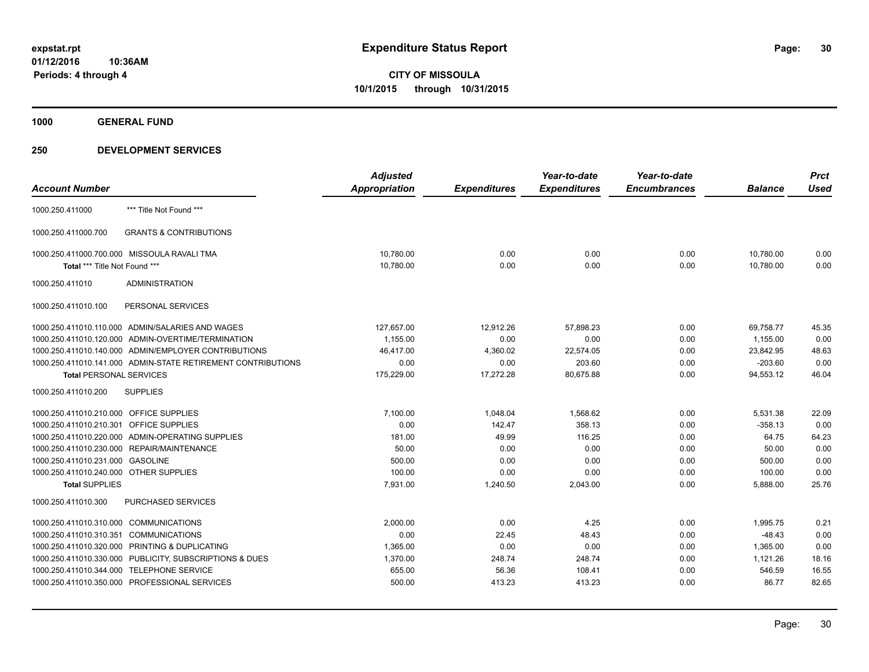**1000 GENERAL FUND**

|                                         |                                                              | <b>Adjusted</b>      |                     | Year-to-date        | Year-to-date        |                | <b>Prct</b> |
|-----------------------------------------|--------------------------------------------------------------|----------------------|---------------------|---------------------|---------------------|----------------|-------------|
| <b>Account Number</b>                   |                                                              | <b>Appropriation</b> | <b>Expenditures</b> | <b>Expenditures</b> | <b>Encumbrances</b> | <b>Balance</b> | <b>Used</b> |
| 1000.250.411000                         | *** Title Not Found ***                                      |                      |                     |                     |                     |                |             |
| 1000.250.411000.700                     | <b>GRANTS &amp; CONTRIBUTIONS</b>                            |                      |                     |                     |                     |                |             |
|                                         | 1000.250.411000.700.000 MISSOULA RAVALI TMA                  | 10,780.00            | 0.00                | 0.00                | 0.00                | 10,780.00      | 0.00        |
| Total *** Title Not Found ***           |                                                              | 10,780.00            | 0.00                | 0.00                | 0.00                | 10,780.00      | 0.00        |
| 1000.250.411010                         | <b>ADMINISTRATION</b>                                        |                      |                     |                     |                     |                |             |
| 1000.250.411010.100                     | PERSONAL SERVICES                                            |                      |                     |                     |                     |                |             |
|                                         | 1000.250.411010.110.000 ADMIN/SALARIES AND WAGES             | 127,657.00           | 12,912.26           | 57,898.23           | 0.00                | 69,758.77      | 45.35       |
|                                         | 1000.250.411010.120.000 ADMIN-OVERTIME/TERMINATION           | 1,155.00             | 0.00                | 0.00                | 0.00                | 1,155.00       | 0.00        |
|                                         | 1000.250.411010.140.000 ADMIN/EMPLOYER CONTRIBUTIONS         | 46,417.00            | 4,360.02            | 22,574.05           | 0.00                | 23,842.95      | 48.63       |
|                                         | 1000.250.411010.141.000 ADMIN-STATE RETIREMENT CONTRIBUTIONS | 0.00                 | 0.00                | 203.60              | 0.00                | $-203.60$      | 0.00        |
| <b>Total PERSONAL SERVICES</b>          |                                                              | 175,229.00           | 17,272.28           | 80,675.88           | 0.00                | 94,553.12      | 46.04       |
| 1000.250.411010.200                     | <b>SUPPLIES</b>                                              |                      |                     |                     |                     |                |             |
| 1000.250.411010.210.000 OFFICE SUPPLIES |                                                              | 7,100.00             | 1,048.04            | 1,568.62            | 0.00                | 5,531.38       | 22.09       |
| 1000.250.411010.210.301 OFFICE SUPPLIES |                                                              | 0.00                 | 142.47              | 358.13              | 0.00                | $-358.13$      | 0.00        |
|                                         | 1000.250.411010.220.000 ADMIN-OPERATING SUPPLIES             | 181.00               | 49.99               | 116.25              | 0.00                | 64.75          | 64.23       |
|                                         | 1000.250.411010.230.000 REPAIR/MAINTENANCE                   | 50.00                | 0.00                | 0.00                | 0.00                | 50.00          | 0.00        |
| 1000.250.411010.231.000 GASOLINE        |                                                              | 500.00               | 0.00                | 0.00                | 0.00                | 500.00         | 0.00        |
| 1000.250.411010.240.000 OTHER SUPPLIES  |                                                              | 100.00               | 0.00                | 0.00                | 0.00                | 100.00         | 0.00        |
| <b>Total SUPPLIES</b>                   |                                                              | 7,931.00             | 1,240.50            | 2,043.00            | 0.00                | 5,888.00       | 25.76       |
| 1000.250.411010.300                     | <b>PURCHASED SERVICES</b>                                    |                      |                     |                     |                     |                |             |
| 1000.250.411010.310.000 COMMUNICATIONS  |                                                              | 2.000.00             | 0.00                | 4.25                | 0.00                | 1.995.75       | 0.21        |
| 1000.250.411010.310.351                 | <b>COMMUNICATIONS</b>                                        | 0.00                 | 22.45               | 48.43               | 0.00                | $-48.43$       | 0.00        |
|                                         | 1000.250.411010.320.000 PRINTING & DUPLICATING               | 1,365.00             | 0.00                | 0.00                | 0.00                | 1,365.00       | 0.00        |
|                                         | 1000.250.411010.330.000 PUBLICITY, SUBSCRIPTIONS & DUES      | 1,370.00             | 248.74              | 248.74              | 0.00                | 1,121.26       | 18.16       |
|                                         | 1000.250.411010.344.000 TELEPHONE SERVICE                    | 655.00               | 56.36               | 108.41              | 0.00                | 546.59         | 16.55       |
|                                         | 1000.250.411010.350.000 PROFESSIONAL SERVICES                | 500.00               | 413.23              | 413.23              | 0.00                | 86.77          | 82.65       |
|                                         |                                                              |                      |                     |                     |                     |                |             |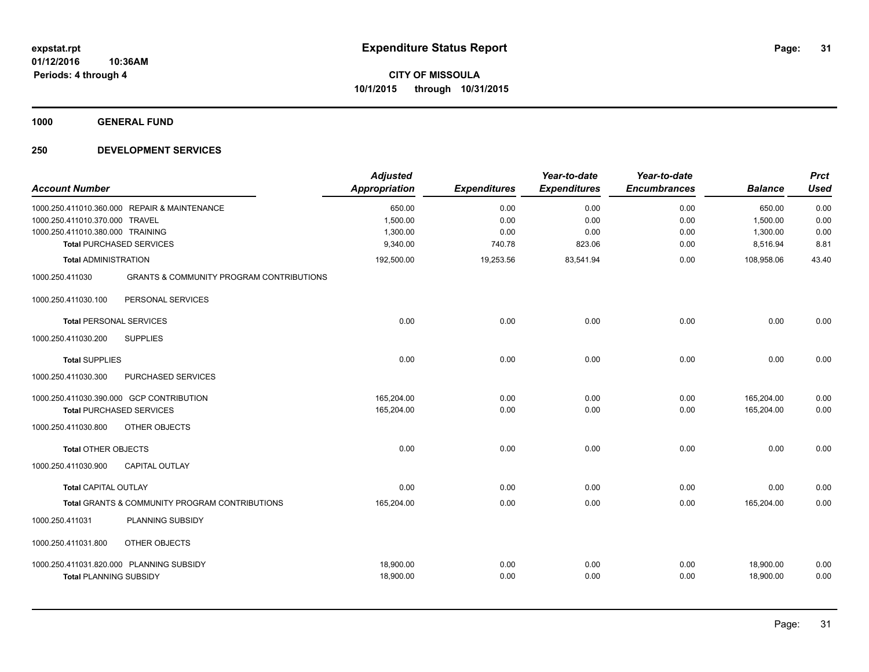**1000 GENERAL FUND**

| <b>Account Number</b>                                              |                                                                                 | <b>Adjusted</b><br><b>Appropriation</b>    | <b>Expenditures</b>            | Year-to-date<br><b>Expenditures</b> | Year-to-date<br><b>Encumbrances</b> | <b>Balance</b>                             | <b>Prct</b><br><b>Used</b>   |
|--------------------------------------------------------------------|---------------------------------------------------------------------------------|--------------------------------------------|--------------------------------|-------------------------------------|-------------------------------------|--------------------------------------------|------------------------------|
| 1000.250.411010.370.000 TRAVEL<br>1000.250.411010.380.000 TRAINING | 1000.250.411010.360.000 REPAIR & MAINTENANCE<br><b>Total PURCHASED SERVICES</b> | 650.00<br>1,500.00<br>1,300.00<br>9,340.00 | 0.00<br>0.00<br>0.00<br>740.78 | 0.00<br>0.00<br>0.00<br>823.06      | 0.00<br>0.00<br>0.00<br>0.00        | 650.00<br>1,500.00<br>1,300.00<br>8,516.94 | 0.00<br>0.00<br>0.00<br>8.81 |
| <b>Total ADMINISTRATION</b>                                        |                                                                                 | 192,500.00                                 | 19,253.56                      | 83,541.94                           | 0.00                                | 108,958.06                                 | 43.40                        |
| 1000.250.411030                                                    | <b>GRANTS &amp; COMMUNITY PROGRAM CONTRIBUTIONS</b>                             |                                            |                                |                                     |                                     |                                            |                              |
| 1000.250.411030.100                                                | PERSONAL SERVICES                                                               |                                            |                                |                                     |                                     |                                            |                              |
| <b>Total PERSONAL SERVICES</b>                                     |                                                                                 | 0.00                                       | 0.00                           | 0.00                                | 0.00                                | 0.00                                       | 0.00                         |
| 1000.250.411030.200                                                | <b>SUPPLIES</b>                                                                 |                                            |                                |                                     |                                     |                                            |                              |
| <b>Total SUPPLIES</b>                                              |                                                                                 | 0.00                                       | 0.00                           | 0.00                                | 0.00                                | 0.00                                       | 0.00                         |
| 1000.250.411030.300                                                | PURCHASED SERVICES                                                              |                                            |                                |                                     |                                     |                                            |                              |
|                                                                    | 1000.250.411030.390.000 GCP CONTRIBUTION<br><b>Total PURCHASED SERVICES</b>     | 165,204.00<br>165,204.00                   | 0.00<br>0.00                   | 0.00<br>0.00                        | 0.00<br>0.00                        | 165,204.00<br>165,204.00                   | 0.00<br>0.00                 |
| 1000.250.411030.800                                                | OTHER OBJECTS                                                                   |                                            |                                |                                     |                                     |                                            |                              |
| <b>Total OTHER OBJECTS</b>                                         |                                                                                 | 0.00                                       | 0.00                           | 0.00                                | 0.00                                | 0.00                                       | 0.00                         |
| 1000.250.411030.900                                                | <b>CAPITAL OUTLAY</b>                                                           |                                            |                                |                                     |                                     |                                            |                              |
| <b>Total CAPITAL OUTLAY</b>                                        |                                                                                 | 0.00                                       | 0.00                           | 0.00                                | 0.00                                | 0.00                                       | 0.00                         |
|                                                                    | Total GRANTS & COMMUNITY PROGRAM CONTRIBUTIONS                                  | 165,204.00                                 | 0.00                           | 0.00                                | 0.00                                | 165,204.00                                 | 0.00                         |
| 1000.250.411031                                                    | PLANNING SUBSIDY                                                                |                                            |                                |                                     |                                     |                                            |                              |
| 1000.250.411031.800                                                | OTHER OBJECTS                                                                   |                                            |                                |                                     |                                     |                                            |                              |
| <b>Total PLANNING SUBSIDY</b>                                      | 1000.250.411031.820.000 PLANNING SUBSIDY                                        | 18,900.00<br>18,900.00                     | 0.00<br>0.00                   | 0.00<br>0.00                        | 0.00<br>0.00                        | 18,900.00<br>18,900.00                     | 0.00<br>0.00                 |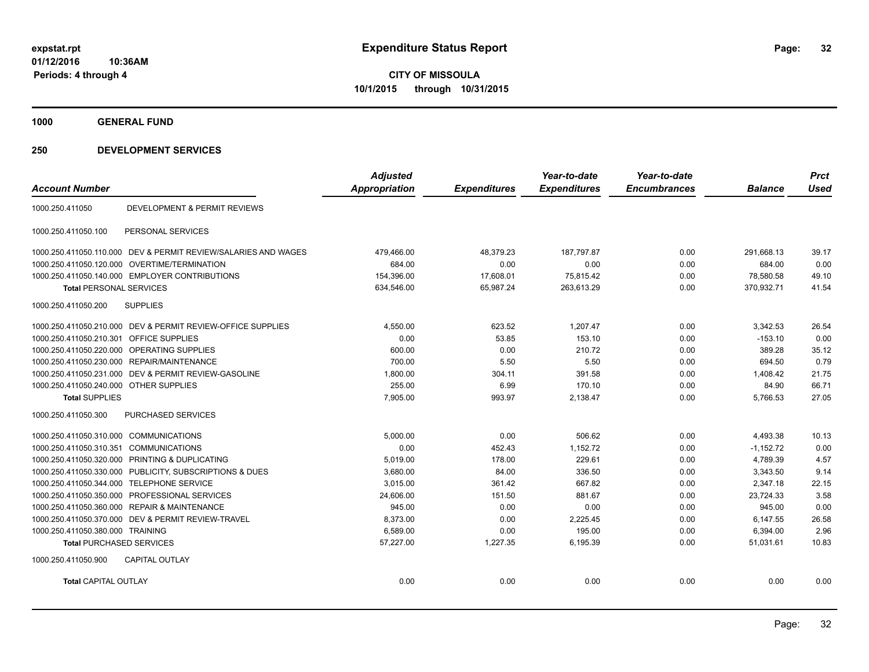**1000 GENERAL FUND**

| <b>Account Number</b>                   |                                                                | <b>Adjusted</b><br><b>Appropriation</b> | <b>Expenditures</b> | Year-to-date<br><b>Expenditures</b> | Year-to-date<br><b>Encumbrances</b> | <b>Balance</b> | <b>Prct</b><br><b>Used</b> |
|-----------------------------------------|----------------------------------------------------------------|-----------------------------------------|---------------------|-------------------------------------|-------------------------------------|----------------|----------------------------|
| 1000.250.411050                         | <b>DEVELOPMENT &amp; PERMIT REVIEWS</b>                        |                                         |                     |                                     |                                     |                |                            |
| 1000.250.411050.100                     | PERSONAL SERVICES                                              |                                         |                     |                                     |                                     |                |                            |
|                                         | 1000.250.411050.110.000 DEV & PERMIT REVIEW/SALARIES AND WAGES | 479,466.00                              | 48,379.23           | 187,797.87                          | 0.00                                | 291,668.13     | 39.17                      |
|                                         | 1000.250.411050.120.000 OVERTIME/TERMINATION                   | 684.00                                  | 0.00                | 0.00                                | 0.00                                | 684.00         | 0.00                       |
|                                         | 1000.250.411050.140.000 EMPLOYER CONTRIBUTIONS                 | 154,396.00                              | 17,608.01           | 75,815.42                           | 0.00                                | 78,580.58      | 49.10                      |
| <b>Total PERSONAL SERVICES</b>          |                                                                | 634,546.00                              | 65,987.24           | 263,613.29                          | 0.00                                | 370,932.71     | 41.54                      |
| 1000.250.411050.200                     | <b>SUPPLIES</b>                                                |                                         |                     |                                     |                                     |                |                            |
|                                         | 1000.250.411050.210.000 DEV & PERMIT REVIEW-OFFICE SUPPLIES    | 4,550.00                                | 623.52              | 1.207.47                            | 0.00                                | 3,342.53       | 26.54                      |
| 1000.250.411050.210.301 OFFICE SUPPLIES |                                                                | 0.00                                    | 53.85               | 153.10                              | 0.00                                | $-153.10$      | 0.00                       |
|                                         | 1000.250.411050.220.000 OPERATING SUPPLIES                     | 600.00                                  | 0.00                | 210.72                              | 0.00                                | 389.28         | 35.12                      |
|                                         | 1000.250.411050.230.000 REPAIR/MAINTENANCE                     | 700.00                                  | 5.50                | 5.50                                | 0.00                                | 694.50         | 0.79                       |
|                                         | 1000.250.411050.231.000 DEV & PERMIT REVIEW-GASOLINE           | 1,800.00                                | 304.11              | 391.58                              | 0.00                                | 1,408.42       | 21.75                      |
| 1000.250.411050.240.000 OTHER SUPPLIES  |                                                                | 255.00                                  | 6.99                | 170.10                              | 0.00                                | 84.90          | 66.71                      |
| <b>Total SUPPLIES</b>                   |                                                                | 7,905.00                                | 993.97              | 2,138.47                            | 0.00                                | 5,766.53       | 27.05                      |
| 1000.250.411050.300                     | <b>PURCHASED SERVICES</b>                                      |                                         |                     |                                     |                                     |                |                            |
| 1000.250.411050.310.000 COMMUNICATIONS  |                                                                | 5,000.00                                | 0.00                | 506.62                              | 0.00                                | 4,493.38       | 10.13                      |
| 1000.250.411050.310.351 COMMUNICATIONS  |                                                                | 0.00                                    | 452.43              | 1,152.72                            | 0.00                                | $-1,152.72$    | 0.00                       |
|                                         | 1000.250.411050.320.000 PRINTING & DUPLICATING                 | 5,019.00                                | 178.00              | 229.61                              | 0.00                                | 4,789.39       | 4.57                       |
|                                         | 1000.250.411050.330.000 PUBLICITY, SUBSCRIPTIONS & DUES        | 3,680.00                                | 84.00               | 336.50                              | 0.00                                | 3,343.50       | 9.14                       |
|                                         | 1000.250.411050.344.000 TELEPHONE SERVICE                      | 3,015.00                                | 361.42              | 667.82                              | 0.00                                | 2,347.18       | 22.15                      |
|                                         | 1000.250.411050.350.000 PROFESSIONAL SERVICES                  | 24.606.00                               | 151.50              | 881.67                              | 0.00                                | 23.724.33      | 3.58                       |
|                                         | 1000.250.411050.360.000 REPAIR & MAINTENANCE                   | 945.00                                  | 0.00                | 0.00                                | 0.00                                | 945.00         | 0.00                       |
|                                         | 1000.250.411050.370.000 DEV & PERMIT REVIEW-TRAVEL             | 8.373.00                                | 0.00                | 2,225.45                            | 0.00                                | 6.147.55       | 26.58                      |
| 1000.250.411050.380.000 TRAINING        |                                                                | 6,589.00                                | 0.00                | 195.00                              | 0.00                                | 6,394.00       | 2.96                       |
| <b>Total PURCHASED SERVICES</b>         |                                                                | 57,227.00                               | 1,227.35            | 6,195.39                            | 0.00                                | 51,031.61      | 10.83                      |
| 1000.250.411050.900                     | <b>CAPITAL OUTLAY</b>                                          |                                         |                     |                                     |                                     |                |                            |
| <b>Total CAPITAL OUTLAY</b>             |                                                                | 0.00                                    | 0.00                | 0.00                                | 0.00                                | 0.00           | 0.00                       |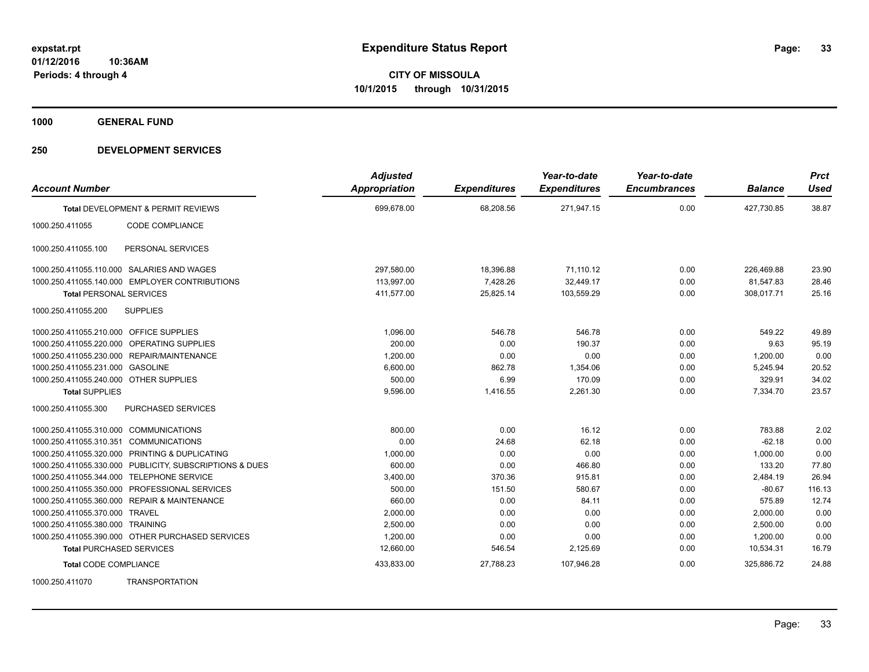**1000 GENERAL FUND**

| <b>Account Number</b>                   |                                                         | <b>Adjusted</b><br>Appropriation | <b>Expenditures</b> | Year-to-date<br><b>Expenditures</b> | Year-to-date<br><b>Encumbrances</b> | <b>Balance</b> | <b>Prct</b><br><b>Used</b> |
|-----------------------------------------|---------------------------------------------------------|----------------------------------|---------------------|-------------------------------------|-------------------------------------|----------------|----------------------------|
|                                         | Total DEVELOPMENT & PERMIT REVIEWS                      | 699,678.00                       | 68,208.56           | 271,947.15                          | 0.00                                | 427,730.85     | 38.87                      |
| 1000.250.411055                         | CODE COMPLIANCE                                         |                                  |                     |                                     |                                     |                |                            |
| 1000.250.411055.100                     | PERSONAL SERVICES                                       |                                  |                     |                                     |                                     |                |                            |
|                                         | 1000.250.411055.110.000 SALARIES AND WAGES              | 297,580.00                       | 18,396.88           | 71,110.12                           | 0.00                                | 226,469.88     | 23.90                      |
|                                         | 1000.250.411055.140.000 EMPLOYER CONTRIBUTIONS          | 113,997.00                       | 7,428.26            | 32,449.17                           | 0.00                                | 81,547.83      | 28.46                      |
| <b>Total PERSONAL SERVICES</b>          |                                                         | 411,577.00                       | 25,825.14           | 103,559.29                          | 0.00                                | 308,017.71     | 25.16                      |
| 1000.250.411055.200                     | <b>SUPPLIES</b>                                         |                                  |                     |                                     |                                     |                |                            |
| 1000.250.411055.210.000 OFFICE SUPPLIES |                                                         | 1,096.00                         | 546.78              | 546.78                              | 0.00                                | 549.22         | 49.89                      |
|                                         | 1000.250.411055.220.000 OPERATING SUPPLIES              | 200.00                           | 0.00                | 190.37                              | 0.00                                | 9.63           | 95.19                      |
|                                         | 1000.250.411055.230.000 REPAIR/MAINTENANCE              | 1,200.00                         | 0.00                | 0.00                                | 0.00                                | 1,200.00       | 0.00                       |
| 1000.250.411055.231.000 GASOLINE        |                                                         | 6,600.00                         | 862.78              | 1,354.06                            | 0.00                                | 5,245.94       | 20.52                      |
| 1000.250.411055.240.000 OTHER SUPPLIES  |                                                         | 500.00                           | 6.99                | 170.09                              | 0.00                                | 329.91         | 34.02                      |
| <b>Total SUPPLIES</b>                   |                                                         | 9,596.00                         | 1,416.55            | 2,261.30                            | 0.00                                | 7,334.70       | 23.57                      |
| 1000.250.411055.300                     | PURCHASED SERVICES                                      |                                  |                     |                                     |                                     |                |                            |
| 1000.250.411055.310.000 COMMUNICATIONS  |                                                         | 800.00                           | 0.00                | 16.12                               | 0.00                                | 783.88         | 2.02                       |
| 1000.250.411055.310.351 COMMUNICATIONS  |                                                         | 0.00                             | 24.68               | 62.18                               | 0.00                                | $-62.18$       | 0.00                       |
|                                         | 1000.250.411055.320.000 PRINTING & DUPLICATING          | 1,000.00                         | 0.00                | 0.00                                | 0.00                                | 1,000.00       | 0.00                       |
|                                         | 1000.250.411055.330.000 PUBLICITY, SUBSCRIPTIONS & DUES | 600.00                           | 0.00                | 466.80                              | 0.00                                | 133.20         | 77.80                      |
|                                         | 1000.250.411055.344.000 TELEPHONE SERVICE               | 3,400.00                         | 370.36              | 915.81                              | 0.00                                | 2.484.19       | 26.94                      |
|                                         | 1000.250.411055.350.000 PROFESSIONAL SERVICES           | 500.00                           | 151.50              | 580.67                              | 0.00                                | $-80.67$       | 116.13                     |
|                                         | 1000.250.411055.360.000 REPAIR & MAINTENANCE            | 660.00                           | 0.00                | 84.11                               | 0.00                                | 575.89         | 12.74                      |
| 1000.250.411055.370.000 TRAVEL          |                                                         | 2,000.00                         | 0.00                | 0.00                                | 0.00                                | 2,000.00       | 0.00                       |
| 1000.250.411055.380.000 TRAINING        |                                                         | 2,500.00                         | 0.00                | 0.00                                | 0.00                                | 2,500.00       | 0.00                       |
|                                         | 1000.250.411055.390.000 OTHER PURCHASED SERVICES        | 1,200.00                         | 0.00                | 0.00                                | 0.00                                | 1,200.00       | 0.00                       |
| <b>Total PURCHASED SERVICES</b>         |                                                         | 12,660.00                        | 546.54              | 2,125.69                            | 0.00                                | 10,534.31      | 16.79                      |
| <b>Total CODE COMPLIANCE</b>            |                                                         | 433,833.00                       | 27,788.23           | 107,946.28                          | 0.00                                | 325,886.72     | 24.88                      |
| 1000.250.411070                         | <b>TRANSPORTATION</b>                                   |                                  |                     |                                     |                                     |                |                            |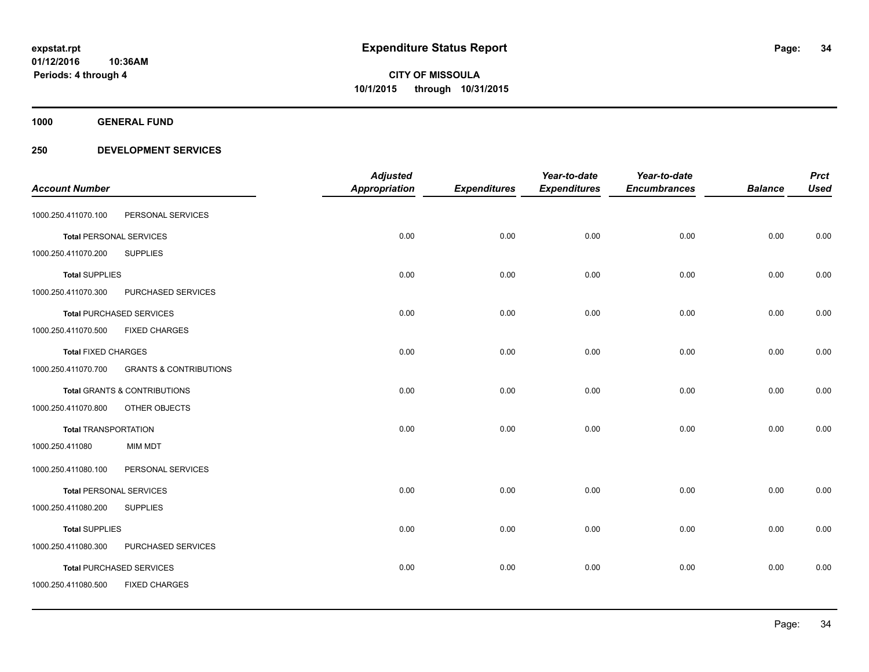**1000 GENERAL FUND**

|                                |                                         | <b>Adjusted</b> |                     | Year-to-date        | Year-to-date        |                | <b>Prct</b> |
|--------------------------------|-----------------------------------------|-----------------|---------------------|---------------------|---------------------|----------------|-------------|
| <b>Account Number</b>          |                                         | Appropriation   | <b>Expenditures</b> | <b>Expenditures</b> | <b>Encumbrances</b> | <b>Balance</b> | <b>Used</b> |
| 1000.250.411070.100            | PERSONAL SERVICES                       |                 |                     |                     |                     |                |             |
| <b>Total PERSONAL SERVICES</b> |                                         | 0.00            | 0.00                | 0.00                | 0.00                | 0.00           | 0.00        |
| 1000.250.411070.200            | <b>SUPPLIES</b>                         |                 |                     |                     |                     |                |             |
| <b>Total SUPPLIES</b>          |                                         | 0.00            | 0.00                | 0.00                | 0.00                | 0.00           | 0.00        |
| 1000.250.411070.300            | PURCHASED SERVICES                      |                 |                     |                     |                     |                |             |
|                                | <b>Total PURCHASED SERVICES</b>         | 0.00            | 0.00                | 0.00                | 0.00                | 0.00           | 0.00        |
| 1000.250.411070.500            | <b>FIXED CHARGES</b>                    |                 |                     |                     |                     |                |             |
| <b>Total FIXED CHARGES</b>     |                                         | 0.00            | 0.00                | 0.00                | 0.00                | 0.00           | 0.00        |
| 1000.250.411070.700            | <b>GRANTS &amp; CONTRIBUTIONS</b>       |                 |                     |                     |                     |                |             |
|                                | <b>Total GRANTS &amp; CONTRIBUTIONS</b> | 0.00            | 0.00                | 0.00                | 0.00                | 0.00           | 0.00        |
| 1000.250.411070.800            | OTHER OBJECTS                           |                 |                     |                     |                     |                |             |
| <b>Total TRANSPORTATION</b>    |                                         | 0.00            | 0.00                | 0.00                | 0.00                | 0.00           | 0.00        |
| 1000.250.411080                | <b>MIM MDT</b>                          |                 |                     |                     |                     |                |             |
| 1000.250.411080.100            | PERSONAL SERVICES                       |                 |                     |                     |                     |                |             |
| <b>Total PERSONAL SERVICES</b> |                                         | 0.00            | 0.00                | 0.00                | 0.00                | 0.00           | 0.00        |
| 1000.250.411080.200            | <b>SUPPLIES</b>                         |                 |                     |                     |                     |                |             |
| <b>Total SUPPLIES</b>          |                                         | 0.00            | 0.00                | 0.00                | 0.00                | 0.00           | 0.00        |
| 1000.250.411080.300            | PURCHASED SERVICES                      |                 |                     |                     |                     |                |             |
|                                | <b>Total PURCHASED SERVICES</b>         | 0.00            | 0.00                | 0.00                | 0.00                | 0.00           | 0.00        |
| 1000.250.411080.500            | <b>FIXED CHARGES</b>                    |                 |                     |                     |                     |                |             |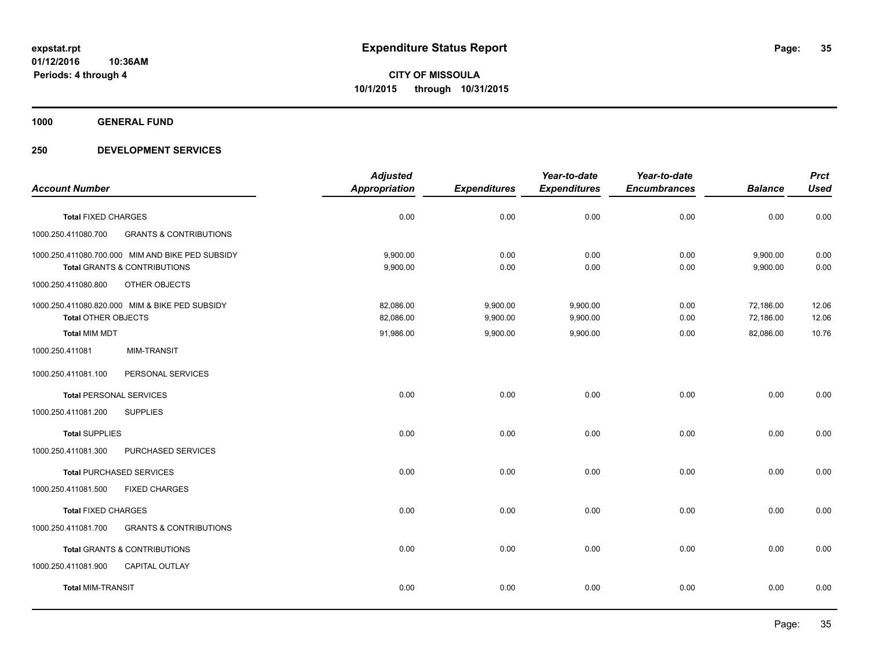**1000 GENERAL FUND**

|                                |                                                  | <b>Adjusted</b>      |                     | Year-to-date        | Year-to-date        |                | <b>Prct</b> |
|--------------------------------|--------------------------------------------------|----------------------|---------------------|---------------------|---------------------|----------------|-------------|
| <b>Account Number</b>          |                                                  | <b>Appropriation</b> | <b>Expenditures</b> | <b>Expenditures</b> | <b>Encumbrances</b> | <b>Balance</b> | <b>Used</b> |
| <b>Total FIXED CHARGES</b>     |                                                  | 0.00                 | 0.00                | 0.00                | 0.00                | 0.00           | 0.00        |
| 1000.250.411080.700            | <b>GRANTS &amp; CONTRIBUTIONS</b>                |                      |                     |                     |                     |                |             |
|                                | 1000.250.411080.700.000 MIM AND BIKE PED SUBSIDY | 9,900.00             | 0.00                | 0.00                | 0.00                | 9,900.00       | 0.00        |
|                                | <b>Total GRANTS &amp; CONTRIBUTIONS</b>          | 9,900.00             | 0.00                | 0.00                | 0.00                | 9,900.00       | 0.00        |
| 1000.250.411080.800            | OTHER OBJECTS                                    |                      |                     |                     |                     |                |             |
|                                | 1000.250.411080.820.000 MIM & BIKE PED SUBSIDY   | 82,086.00            | 9,900.00            | 9,900.00            | 0.00                | 72,186.00      | 12.06       |
| <b>Total OTHER OBJECTS</b>     |                                                  | 82,086.00            | 9,900.00            | 9,900.00            | 0.00                | 72,186.00      | 12.06       |
| <b>Total MIM MDT</b>           |                                                  | 91,986.00            | 9,900.00            | 9,900.00            | 0.00                | 82,086.00      | 10.76       |
| 1000.250.411081                | <b>MIM-TRANSIT</b>                               |                      |                     |                     |                     |                |             |
| 1000.250.411081.100            | PERSONAL SERVICES                                |                      |                     |                     |                     |                |             |
| <b>Total PERSONAL SERVICES</b> |                                                  | 0.00                 | 0.00                | 0.00                | 0.00                | 0.00           | 0.00        |
| 1000.250.411081.200            | <b>SUPPLIES</b>                                  |                      |                     |                     |                     |                |             |
| <b>Total SUPPLIES</b>          |                                                  | 0.00                 | 0.00                | 0.00                | 0.00                | 0.00           | 0.00        |
| 1000.250.411081.300            | PURCHASED SERVICES                               |                      |                     |                     |                     |                |             |
|                                | <b>Total PURCHASED SERVICES</b>                  | 0.00                 | 0.00                | 0.00                | 0.00                | 0.00           | 0.00        |
| 1000.250.411081.500            | <b>FIXED CHARGES</b>                             |                      |                     |                     |                     |                |             |
| <b>Total FIXED CHARGES</b>     |                                                  | 0.00                 | 0.00                | 0.00                | 0.00                | 0.00           | 0.00        |
| 1000.250.411081.700            | <b>GRANTS &amp; CONTRIBUTIONS</b>                |                      |                     |                     |                     |                |             |
|                                | <b>Total GRANTS &amp; CONTRIBUTIONS</b>          | 0.00                 | 0.00                | 0.00                | 0.00                | 0.00           | 0.00        |
| 1000.250.411081.900            | <b>CAPITAL OUTLAY</b>                            |                      |                     |                     |                     |                |             |
| <b>Total MIM-TRANSIT</b>       |                                                  | 0.00                 | 0.00                | 0.00                | 0.00                | 0.00           | 0.00        |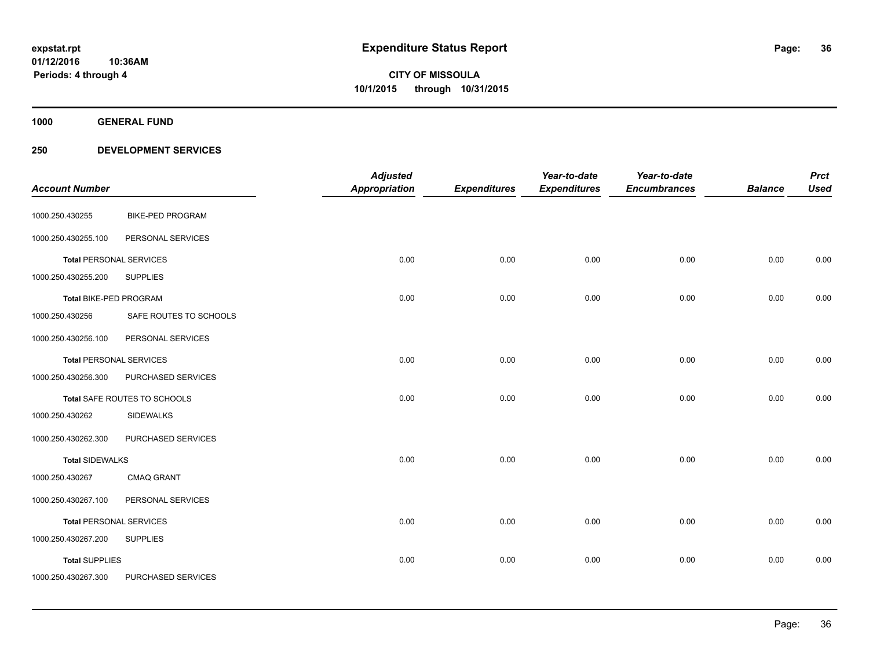**Periods: 4 through 4**

**36**

**CITY OF MISSOULA 10/1/2015 through 10/31/2015**

**1000 GENERAL FUND**

|                                |                         | <b>Adjusted</b>      |                     | Year-to-date        | Year-to-date        |                | <b>Prct</b> |
|--------------------------------|-------------------------|----------------------|---------------------|---------------------|---------------------|----------------|-------------|
| <b>Account Number</b>          |                         | <b>Appropriation</b> | <b>Expenditures</b> | <b>Expenditures</b> | <b>Encumbrances</b> | <b>Balance</b> | <b>Used</b> |
| 1000.250.430255                | <b>BIKE-PED PROGRAM</b> |                      |                     |                     |                     |                |             |
| 1000.250.430255.100            | PERSONAL SERVICES       |                      |                     |                     |                     |                |             |
| <b>Total PERSONAL SERVICES</b> |                         | 0.00                 | 0.00                | 0.00                | 0.00                | 0.00           | 0.00        |
| 1000.250.430255.200            | <b>SUPPLIES</b>         |                      |                     |                     |                     |                |             |
| Total BIKE-PED PROGRAM         |                         | 0.00                 | 0.00                | 0.00                | 0.00                | 0.00           | 0.00        |
| 1000.250.430256                | SAFE ROUTES TO SCHOOLS  |                      |                     |                     |                     |                |             |
| 1000.250.430256.100            | PERSONAL SERVICES       |                      |                     |                     |                     |                |             |
| <b>Total PERSONAL SERVICES</b> |                         | 0.00                 | 0.00                | 0.00                | 0.00                | 0.00           | 0.00        |
| 1000.250.430256.300            | PURCHASED SERVICES      |                      |                     |                     |                     |                |             |
| Total SAFE ROUTES TO SCHOOLS   |                         | 0.00                 | 0.00                | 0.00                | 0.00                | 0.00           | 0.00        |
| 1000.250.430262                | <b>SIDEWALKS</b>        |                      |                     |                     |                     |                |             |
| 1000.250.430262.300            | PURCHASED SERVICES      |                      |                     |                     |                     |                |             |
| <b>Total SIDEWALKS</b>         |                         | 0.00                 | 0.00                | 0.00                | 0.00                | 0.00           | 0.00        |
| 1000.250.430267                | <b>CMAQ GRANT</b>       |                      |                     |                     |                     |                |             |
| 1000.250.430267.100            | PERSONAL SERVICES       |                      |                     |                     |                     |                |             |
| <b>Total PERSONAL SERVICES</b> |                         | 0.00                 | 0.00                | 0.00                | 0.00                | 0.00           | 0.00        |
| 1000.250.430267.200            | <b>SUPPLIES</b>         |                      |                     |                     |                     |                |             |
| <b>Total SUPPLIES</b>          |                         | 0.00                 | 0.00                | 0.00                | 0.00                | 0.00           | 0.00        |
| 1000.250.430267.300            | PURCHASED SERVICES      |                      |                     |                     |                     |                |             |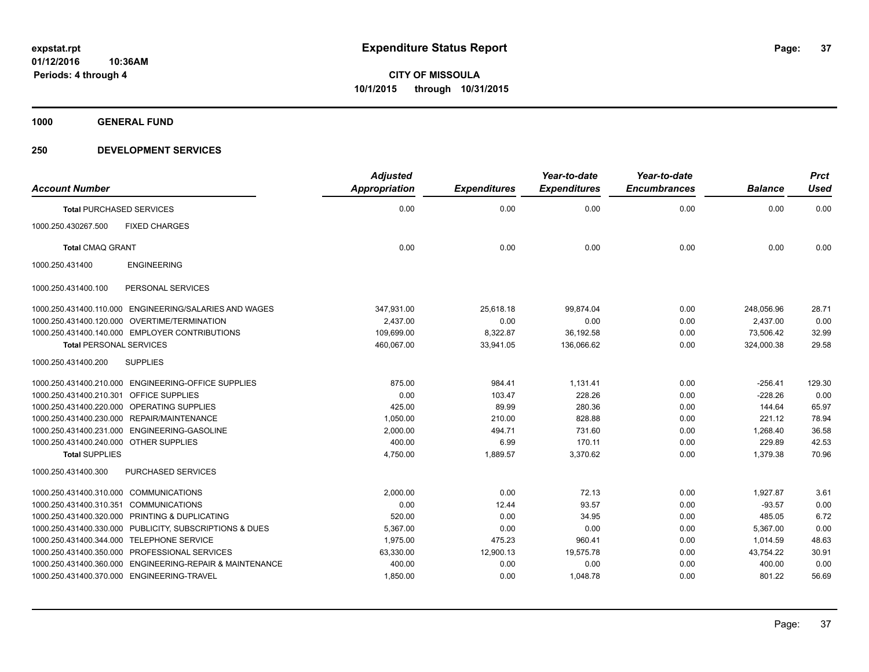**1000 GENERAL FUND**

# **250 DEVELOPMENT SERVICES**

| <b>Account Number</b>                                    | <b>Adjusted</b><br><b>Appropriation</b> | <b>Expenditures</b> | Year-to-date<br><b>Expenditures</b> | Year-to-date<br><b>Encumbrances</b> | <b>Balance</b> | <b>Prct</b><br><b>Used</b> |
|----------------------------------------------------------|-----------------------------------------|---------------------|-------------------------------------|-------------------------------------|----------------|----------------------------|
| <b>Total PURCHASED SERVICES</b>                          | 0.00                                    | 0.00                | 0.00                                | 0.00                                | 0.00           | 0.00                       |
| 1000.250.430267.500<br><b>FIXED CHARGES</b>              |                                         |                     |                                     |                                     |                |                            |
| <b>Total CMAQ GRANT</b>                                  | 0.00                                    | 0.00                | 0.00                                | 0.00                                | 0.00           | 0.00                       |
| <b>ENGINEERING</b><br>1000.250.431400                    |                                         |                     |                                     |                                     |                |                            |
| 1000.250.431400.100<br>PERSONAL SERVICES                 |                                         |                     |                                     |                                     |                |                            |
| 1000.250.431400.110.000 ENGINEERING/SALARIES AND WAGES   | 347,931.00                              | 25,618.18           | 99,874.04                           | 0.00                                | 248,056.96     | 28.71                      |
| 1000.250.431400.120.000 OVERTIME/TERMINATION             | 2,437.00                                | 0.00                | 0.00                                | 0.00                                | 2,437.00       | 0.00                       |
| 1000.250.431400.140.000 EMPLOYER CONTRIBUTIONS           | 109,699.00                              | 8,322.87            | 36,192.58                           | 0.00                                | 73,506.42      | 32.99                      |
| <b>Total PERSONAL SERVICES</b>                           | 460,067.00                              | 33.941.05           | 136.066.62                          | 0.00                                | 324.000.38     | 29.58                      |
| 1000.250.431400.200<br><b>SUPPLIES</b>                   |                                         |                     |                                     |                                     |                |                            |
| 1000.250.431400.210.000 ENGINEERING-OFFICE SUPPLIES      | 875.00                                  | 984.41              | 1,131.41                            | 0.00                                | $-256.41$      | 129.30                     |
| 1000.250.431400.210.301<br><b>OFFICE SUPPLIES</b>        | 0.00                                    | 103.47              | 228.26                              | 0.00                                | $-228.26$      | 0.00                       |
| 1000.250.431400.220.000 OPERATING SUPPLIES               | 425.00                                  | 89.99               | 280.36                              | 0.00                                | 144.64         | 65.97                      |
| 1000.250.431400.230.000 REPAIR/MAINTENANCE               | 1,050.00                                | 210.00              | 828.88                              | 0.00                                | 221.12         | 78.94                      |
| 1000.250.431400.231.000 ENGINEERING-GASOLINE             | 2,000.00                                | 494.71              | 731.60                              | 0.00                                | 1,268.40       | 36.58                      |
| 1000.250.431400.240.000 OTHER SUPPLIES                   | 400.00                                  | 6.99                | 170.11                              | 0.00                                | 229.89         | 42.53                      |
| <b>Total SUPPLIES</b>                                    | 4,750.00                                | 1,889.57            | 3,370.62                            | 0.00                                | 1.379.38       | 70.96                      |
| PURCHASED SERVICES<br>1000.250.431400.300                |                                         |                     |                                     |                                     |                |                            |
| 1000.250.431400.310.000 COMMUNICATIONS                   | 2.000.00                                | 0.00                | 72.13                               | 0.00                                | 1.927.87       | 3.61                       |
| 1000.250.431400.310.351<br><b>COMMUNICATIONS</b>         | 0.00                                    | 12.44               | 93.57                               | 0.00                                | $-93.57$       | 0.00                       |
| 1000.250.431400.320.000 PRINTING & DUPLICATING           | 520.00                                  | 0.00                | 34.95                               | 0.00                                | 485.05         | 6.72                       |
| 1000.250.431400.330.000 PUBLICITY, SUBSCRIPTIONS & DUES  | 5,367.00                                | 0.00                | 0.00                                | 0.00                                | 5,367.00       | 0.00                       |
| 1000.250.431400.344.000 TELEPHONE SERVICE                | 1,975.00                                | 475.23              | 960.41                              | 0.00                                | 1,014.59       | 48.63                      |
| 1000.250.431400.350.000 PROFESSIONAL SERVICES            | 63,330.00                               | 12,900.13           | 19,575.78                           | 0.00                                | 43,754.22      | 30.91                      |
| 1000.250.431400.360.000 ENGINEERING-REPAIR & MAINTENANCE | 400.00                                  | 0.00                | 0.00                                | 0.00                                | 400.00         | 0.00                       |
| 1000.250.431400.370.000 ENGINEERING-TRAVEL               | 1,850.00                                | 0.00                | 1,048.78                            | 0.00                                | 801.22         | 56.69                      |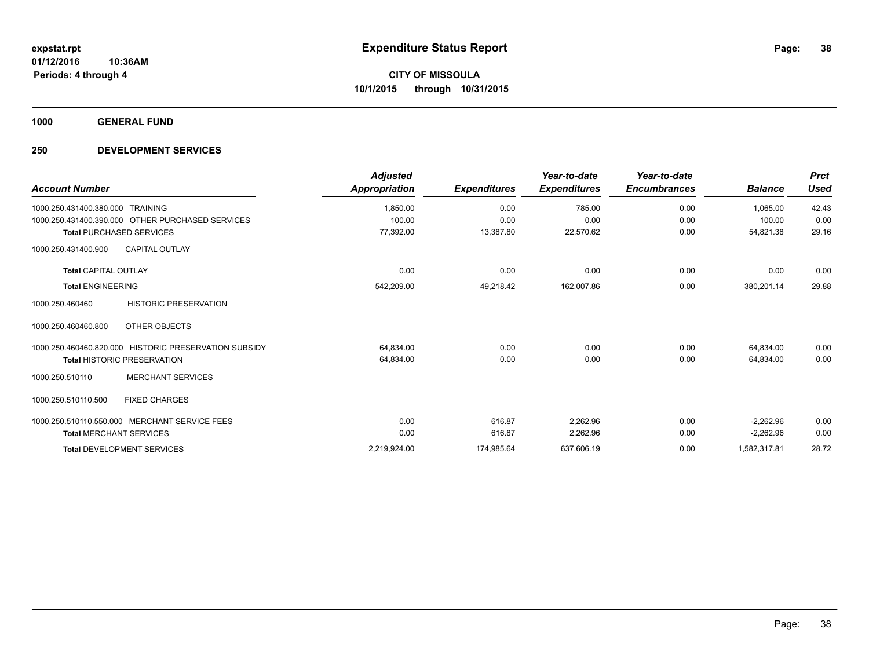**1000 GENERAL FUND**

# **250 DEVELOPMENT SERVICES**

| <b>Account Number</b>                                 | <b>Adjusted</b><br>Appropriation | <b>Expenditures</b> | Year-to-date<br><b>Expenditures</b> | Year-to-date<br><b>Encumbrances</b> | <b>Balance</b> | <b>Prct</b><br><b>Used</b> |
|-------------------------------------------------------|----------------------------------|---------------------|-------------------------------------|-------------------------------------|----------------|----------------------------|
| 1000.250.431400.380.000 TRAINING                      | 1,850.00                         | 0.00                | 785.00                              | 0.00                                | 1,065.00       | 42.43                      |
| 1000.250.431400.390.000 OTHER PURCHASED SERVICES      | 100.00                           | 0.00                | 0.00                                | 0.00                                | 100.00         | 0.00                       |
| <b>Total PURCHASED SERVICES</b>                       | 77,392.00                        | 13,387.80           | 22,570.62                           | 0.00                                | 54,821.38      | 29.16                      |
| 1000.250.431400.900<br><b>CAPITAL OUTLAY</b>          |                                  |                     |                                     |                                     |                |                            |
| <b>Total CAPITAL OUTLAY</b>                           | 0.00                             | 0.00                | 0.00                                | 0.00                                | 0.00           | 0.00                       |
| <b>Total ENGINEERING</b>                              | 542,209.00                       | 49,218.42           | 162,007.86                          | 0.00                                | 380,201.14     | 29.88                      |
| <b>HISTORIC PRESERVATION</b><br>1000.250.460460       |                                  |                     |                                     |                                     |                |                            |
| OTHER OBJECTS<br>1000.250.460460.800                  |                                  |                     |                                     |                                     |                |                            |
| 1000.250.460460.820.000 HISTORIC PRESERVATION SUBSIDY | 64,834.00                        | 0.00                | 0.00                                | 0.00                                | 64,834.00      | 0.00                       |
| <b>Total HISTORIC PRESERVATION</b>                    | 64,834.00                        | 0.00                | 0.00                                | 0.00                                | 64,834.00      | 0.00                       |
| <b>MERCHANT SERVICES</b><br>1000.250.510110           |                                  |                     |                                     |                                     |                |                            |
| <b>FIXED CHARGES</b><br>1000.250.510110.500           |                                  |                     |                                     |                                     |                |                            |
| 1000.250.510110.550.000 MERCHANT SERVICE FEES         | 0.00                             | 616.87              | 2,262.96                            | 0.00                                | $-2.262.96$    | 0.00                       |
| <b>Total MERCHANT SERVICES</b>                        | 0.00                             | 616.87              | 2,262.96                            | 0.00                                | $-2,262.96$    | 0.00                       |
| <b>Total DEVELOPMENT SERVICES</b>                     | 2,219,924.00                     | 174,985.64          | 637,606.19                          | 0.00                                | 1,582,317.81   | 28.72                      |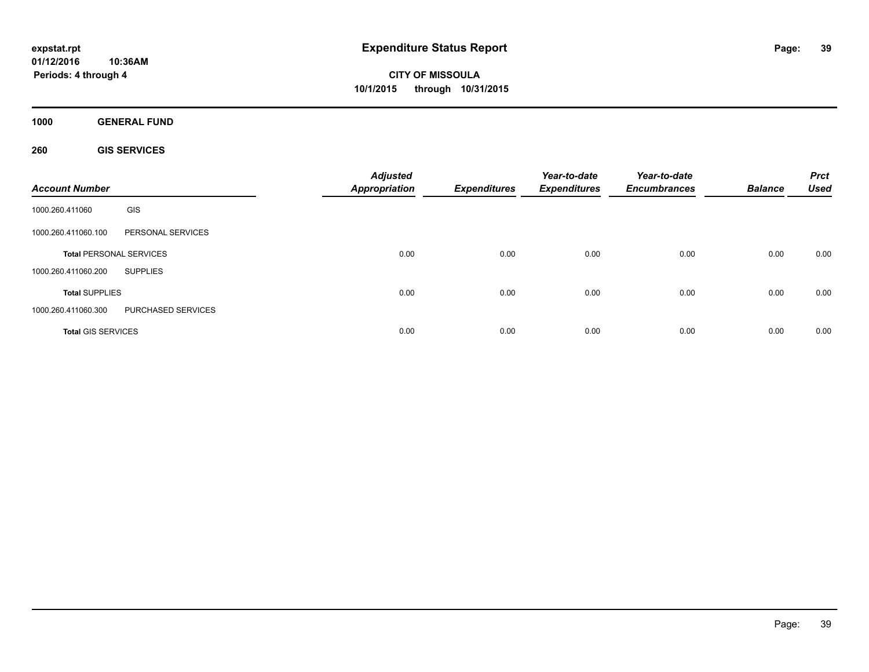**CITY OF MISSOULA 10/1/2015 through 10/31/2015**

**1000 GENERAL FUND**

**260 GIS SERVICES**

| <b>Account Number</b>     |                                | <b>Adjusted</b><br><b>Appropriation</b> | <b>Expenditures</b> | Year-to-date<br><b>Expenditures</b> | Year-to-date<br><b>Encumbrances</b> | <b>Balance</b> | <b>Prct</b><br><b>Used</b> |
|---------------------------|--------------------------------|-----------------------------------------|---------------------|-------------------------------------|-------------------------------------|----------------|----------------------------|
| 1000.260.411060           | GIS                            |                                         |                     |                                     |                                     |                |                            |
| 1000.260.411060.100       | PERSONAL SERVICES              |                                         |                     |                                     |                                     |                |                            |
|                           | <b>Total PERSONAL SERVICES</b> | 0.00                                    | 0.00                | 0.00                                | 0.00                                | 0.00           | 0.00                       |
| 1000.260.411060.200       | <b>SUPPLIES</b>                |                                         |                     |                                     |                                     |                |                            |
| <b>Total SUPPLIES</b>     |                                | 0.00                                    | 0.00                | 0.00                                | 0.00                                | 0.00           | 0.00                       |
| 1000.260.411060.300       | PURCHASED SERVICES             |                                         |                     |                                     |                                     |                |                            |
| <b>Total GIS SERVICES</b> |                                | 0.00                                    | 0.00                | 0.00                                | 0.00                                | 0.00           | 0.00                       |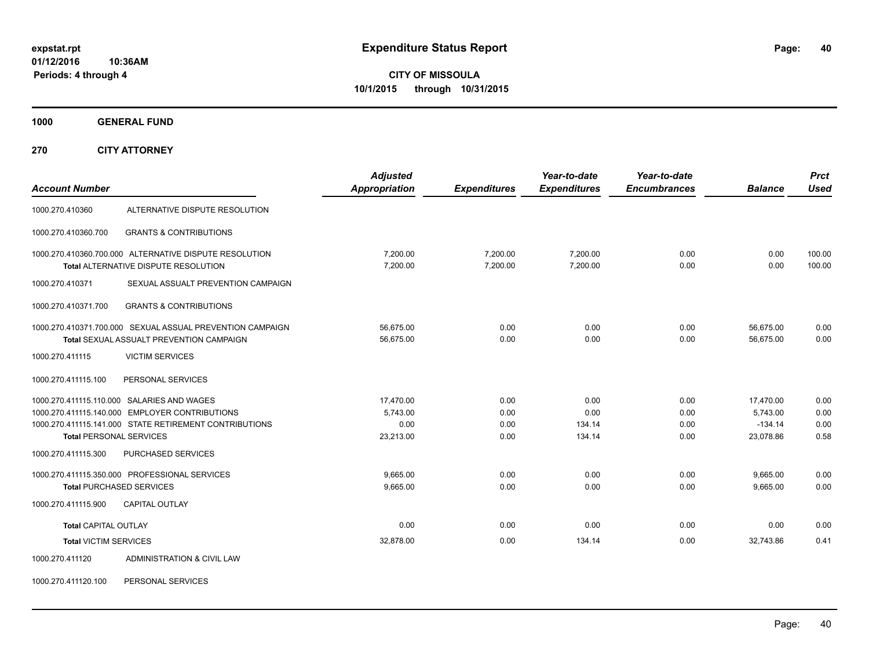# **CITY OF MISSOULA 10/1/2015 through 10/31/2015**

**1000 GENERAL FUND**

**270 CITY ATTORNEY**

| <b>Account Number</b>          |                                                           | <b>Adjusted</b><br><b>Appropriation</b> | <b>Expenditures</b> | Year-to-date<br><b>Expenditures</b> | Year-to-date<br><b>Encumbrances</b> | <b>Balance</b> | <b>Prct</b><br>Used |
|--------------------------------|-----------------------------------------------------------|-----------------------------------------|---------------------|-------------------------------------|-------------------------------------|----------------|---------------------|
|                                |                                                           |                                         |                     |                                     |                                     |                |                     |
| 1000.270.410360                | ALTERNATIVE DISPUTE RESOLUTION                            |                                         |                     |                                     |                                     |                |                     |
| 1000.270.410360.700            | <b>GRANTS &amp; CONTRIBUTIONS</b>                         |                                         |                     |                                     |                                     |                |                     |
|                                | 1000.270.410360.700.000 ALTERNATIVE DISPUTE RESOLUTION    | 7,200.00                                | 7,200.00            | 7,200.00                            | 0.00                                | 0.00           | 100.00              |
|                                | Total ALTERNATIVE DISPUTE RESOLUTION                      | 7,200.00                                | 7,200.00            | 7,200.00                            | 0.00                                | 0.00           | 100.00              |
| 1000.270.410371                | SEXUAL ASSUALT PREVENTION CAMPAIGN                        |                                         |                     |                                     |                                     |                |                     |
| 1000.270.410371.700            | <b>GRANTS &amp; CONTRIBUTIONS</b>                         |                                         |                     |                                     |                                     |                |                     |
|                                | 1000.270.410371.700.000 SEXUAL ASSUAL PREVENTION CAMPAIGN | 56,675.00                               | 0.00                | 0.00                                | 0.00                                | 56,675.00      | 0.00                |
|                                | Total SEXUAL ASSUALT PREVENTION CAMPAIGN                  | 56.675.00                               | 0.00                | 0.00                                | 0.00                                | 56.675.00      | 0.00                |
| 1000.270.411115                | <b>VICTIM SERVICES</b>                                    |                                         |                     |                                     |                                     |                |                     |
| 1000.270.411115.100            | PERSONAL SERVICES                                         |                                         |                     |                                     |                                     |                |                     |
|                                | 1000.270.411115.110.000 SALARIES AND WAGES                | 17,470.00                               | 0.00                | 0.00                                | 0.00                                | 17,470.00      | 0.00                |
|                                | 1000.270.411115.140.000 EMPLOYER CONTRIBUTIONS            | 5,743.00                                | 0.00                | 0.00                                | 0.00                                | 5,743.00       | 0.00                |
|                                | 1000.270.411115.141.000 STATE RETIREMENT CONTRIBUTIONS    | 0.00                                    | 0.00                | 134.14                              | 0.00                                | $-134.14$      | 0.00                |
| <b>Total PERSONAL SERVICES</b> |                                                           | 23,213.00                               | 0.00                | 134.14                              | 0.00                                | 23,078.86      | 0.58                |
| 1000.270.411115.300            | <b>PURCHASED SERVICES</b>                                 |                                         |                     |                                     |                                     |                |                     |
|                                | 1000.270.411115.350.000 PROFESSIONAL SERVICES             | 9.665.00                                | 0.00                | 0.00                                | 0.00                                | 9,665.00       | 0.00                |
|                                | <b>Total PURCHASED SERVICES</b>                           | 9,665.00                                | 0.00                | 0.00                                | 0.00                                | 9,665.00       | 0.00                |
| 1000.270.411115.900            | <b>CAPITAL OUTLAY</b>                                     |                                         |                     |                                     |                                     |                |                     |
| <b>Total CAPITAL OUTLAY</b>    |                                                           | 0.00                                    | 0.00                | 0.00                                | 0.00                                | 0.00           | 0.00                |
| <b>Total VICTIM SERVICES</b>   |                                                           | 32,878.00                               | 0.00                | 134.14                              | 0.00                                | 32,743.86      | 0.41                |
| 1000.270.411120                | ADMINISTRATION & CIVIL LAW                                |                                         |                     |                                     |                                     |                |                     |

1000.270.411120.100 PERSONAL SERVICES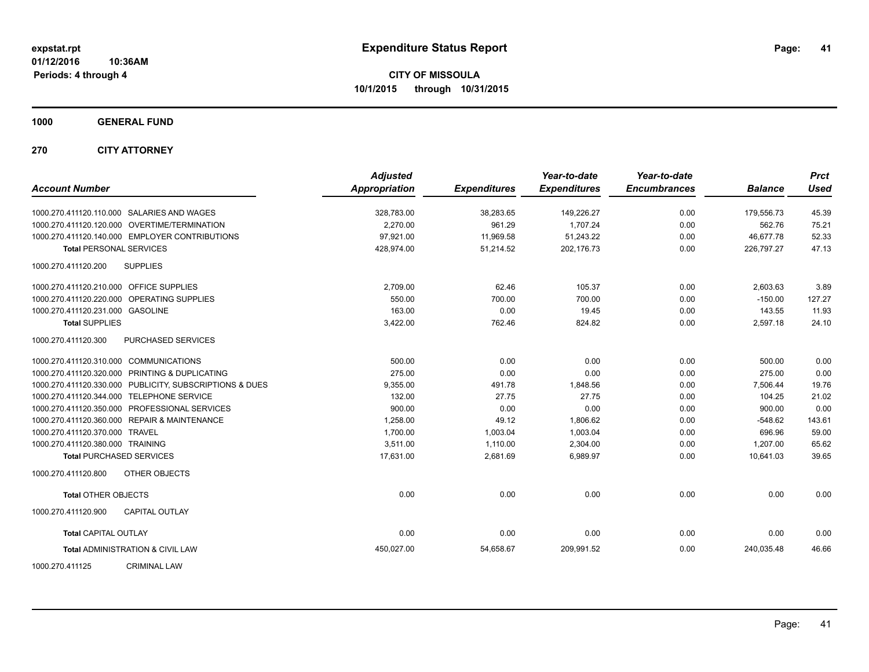**CITY OF MISSOULA 10/1/2015 through 10/31/2015**

**1000 GENERAL FUND**

**270 CITY ATTORNEY**

| <b>Account Number</b>                          |                                                         | <b>Adjusted</b><br><b>Appropriation</b> | <b>Expenditures</b> | Year-to-date<br><b>Expenditures</b> | Year-to-date<br><b>Encumbrances</b> | <b>Balance</b> | <b>Prct</b><br><b>Used</b> |
|------------------------------------------------|---------------------------------------------------------|-----------------------------------------|---------------------|-------------------------------------|-------------------------------------|----------------|----------------------------|
| 1000.270.411120.110.000 SALARIES AND WAGES     |                                                         | 328,783.00                              | 38,283.65           | 149,226.27                          | 0.00                                | 179,556.73     | 45.39                      |
| 1000.270.411120.120.000 OVERTIME/TERMINATION   |                                                         | 2.270.00                                | 961.29              | 1.707.24                            | 0.00                                | 562.76         | 75.21                      |
|                                                | 1000.270.411120.140.000 EMPLOYER CONTRIBUTIONS          | 97,921.00                               | 11,969.58           | 51,243.22                           | 0.00                                | 46,677.78      | 52.33                      |
| <b>Total PERSONAL SERVICES</b>                 |                                                         | 428,974.00                              | 51,214.52           | 202,176.73                          | 0.00                                | 226,797.27     | 47.13                      |
| 1000.270.411120.200                            | <b>SUPPLIES</b>                                         |                                         |                     |                                     |                                     |                |                            |
| 1000.270.411120.210.000 OFFICE SUPPLIES        |                                                         | 2,709.00                                | 62.46               | 105.37                              | 0.00                                | 2,603.63       | 3.89                       |
| 1000.270.411120.220.000 OPERATING SUPPLIES     |                                                         | 550.00                                  | 700.00              | 700.00                              | 0.00                                | $-150.00$      | 127.27                     |
| 1000.270.411120.231.000 GASOLINE               |                                                         | 163.00                                  | 0.00                | 19.45                               | 0.00                                | 143.55         | 11.93                      |
| <b>Total SUPPLIES</b>                          |                                                         | 3,422.00                                | 762.46              | 824.82                              | 0.00                                | 2,597.18       | 24.10                      |
| 1000.270.411120.300                            | PURCHASED SERVICES                                      |                                         |                     |                                     |                                     |                |                            |
| 1000.270.411120.310.000 COMMUNICATIONS         |                                                         | 500.00                                  | 0.00                | 0.00                                | 0.00                                | 500.00         | 0.00                       |
| 1000.270.411120.320.000 PRINTING & DUPLICATING |                                                         | 275.00                                  | 0.00                | 0.00                                | 0.00                                | 275.00         | 0.00                       |
|                                                | 1000.270.411120.330.000 PUBLICITY, SUBSCRIPTIONS & DUES | 9,355.00                                | 491.78              | 1,848.56                            | 0.00                                | 7,506.44       | 19.76                      |
| 1000.270.411120.344.000                        | <b>TELEPHONE SERVICE</b>                                | 132.00                                  | 27.75               | 27.75                               | 0.00                                | 104.25         | 21.02                      |
| 1000.270.411120.350.000                        | PROFESSIONAL SERVICES                                   | 900.00                                  | 0.00                | 0.00                                | 0.00                                | 900.00         | 0.00                       |
| 1000.270.411120.360.000                        | <b>REPAIR &amp; MAINTENANCE</b>                         | 1,258.00                                | 49.12               | 1,806.62                            | 0.00                                | $-548.62$      | 143.61                     |
| 1000.270.411120.370.000 TRAVEL                 |                                                         | 1,700.00                                | 1,003.04            | 1,003.04                            | 0.00                                | 696.96         | 59.00                      |
| 1000.270.411120.380.000 TRAINING               |                                                         | 3,511.00                                | 1,110.00            | 2,304.00                            | 0.00                                | 1,207.00       | 65.62                      |
| <b>Total PURCHASED SERVICES</b>                |                                                         | 17,631.00                               | 2,681.69            | 6,989.97                            | 0.00                                | 10,641.03      | 39.65                      |
| 1000.270.411120.800                            | OTHER OBJECTS                                           |                                         |                     |                                     |                                     |                |                            |
| <b>Total OTHER OBJECTS</b>                     |                                                         | 0.00                                    | 0.00                | 0.00                                | 0.00                                | 0.00           | 0.00                       |
| 1000.270.411120.900                            | <b>CAPITAL OUTLAY</b>                                   |                                         |                     |                                     |                                     |                |                            |
| <b>Total CAPITAL OUTLAY</b>                    |                                                         | 0.00                                    | 0.00                | 0.00                                | 0.00                                | 0.00           | 0.00                       |
| <b>Total ADMINISTRATION &amp; CIVIL LAW</b>    |                                                         | 450,027.00                              | 54,658.67           | 209,991.52                          | 0.00                                | 240.035.48     | 46.66                      |
| 1000.270.411125                                | <b>CRIMINAL LAW</b>                                     |                                         |                     |                                     |                                     |                |                            |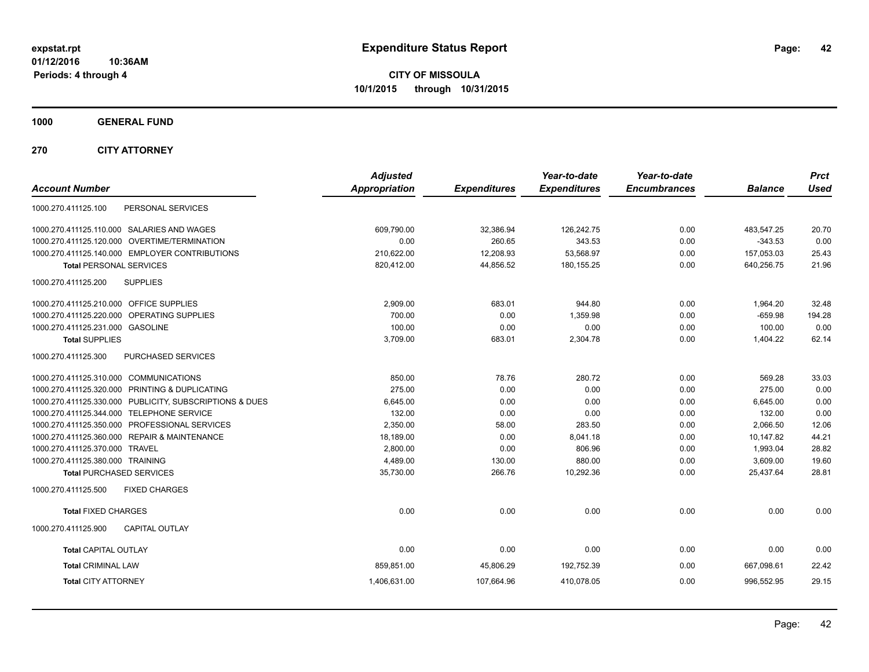**CITY OF MISSOULA 10/1/2015 through 10/31/2015**

**1000 GENERAL FUND**

**270 CITY ATTORNEY**

| <b>Adjusted</b> |                      | Year-to-date        | Year-to-date<br><b>Encumbrances</b> | <b>Balance</b> | <b>Prct</b><br><b>Used</b> |
|-----------------|----------------------|---------------------|-------------------------------------|----------------|----------------------------|
|                 |                      |                     |                                     |                |                            |
| 609,790.00      | 32,386.94            | 126,242.75          | 0.00                                | 483,547.25     | 20.70                      |
| 0.00            | 260.65               | 343.53              | 0.00                                | $-343.53$      | 0.00                       |
| 210.622.00      | 12,208.93            | 53,568.97           | 0.00                                | 157,053.03     | 25.43                      |
| 820,412.00      | 44,856.52            | 180, 155.25         | 0.00                                | 640,256.75     | 21.96                      |
|                 |                      |                     |                                     |                |                            |
| 2,909.00        | 683.01               | 944.80              | 0.00                                | 1,964.20       | 32.48                      |
| 700.00          | 0.00                 | 1,359.98            | 0.00                                | $-659.98$      | 194.28                     |
| 100.00          | 0.00                 | 0.00                | 0.00                                | 100.00         | 0.00                       |
| 3,709.00        | 683.01               | 2,304.78            | 0.00                                | 1,404.22       | 62.14                      |
|                 |                      |                     |                                     |                |                            |
| 850.00          | 78.76                | 280.72              | 0.00                                | 569.28         | 33.03                      |
| 275.00          | 0.00                 | 0.00                | 0.00                                | 275.00         | 0.00                       |
| 6,645.00        | 0.00                 | 0.00                | 0.00                                | 6,645.00       | 0.00                       |
| 132.00          | 0.00                 | 0.00                | 0.00                                | 132.00         | 0.00                       |
| 2,350.00        | 58.00                | 283.50              | 0.00                                | 2,066.50       | 12.06                      |
| 18.189.00       | 0.00                 | 8.041.18            | 0.00                                | 10.147.82      | 44.21                      |
| 2,800.00        | 0.00                 | 806.96              | 0.00                                | 1,993.04       | 28.82                      |
| 4,489.00        | 130.00               | 880.00              | 0.00                                | 3,609.00       | 19.60                      |
| 35,730.00       | 266.76               | 10,292.36           | 0.00                                | 25,437.64      | 28.81                      |
|                 |                      |                     |                                     |                |                            |
| 0.00            | 0.00                 | 0.00                | 0.00                                | 0.00           | 0.00                       |
|                 |                      |                     |                                     |                |                            |
| 0.00            | 0.00                 | 0.00                | 0.00                                | 0.00           | 0.00                       |
| 859,851.00      | 45,806.29            | 192,752.39          | 0.00                                | 667,098.61     | 22.42                      |
| 1,406,631.00    | 107,664.96           | 410,078.05          | 0.00                                | 996,552.95     | 29.15                      |
|                 | <b>Appropriation</b> | <b>Expenditures</b> | <b>Expenditures</b>                 |                |                            |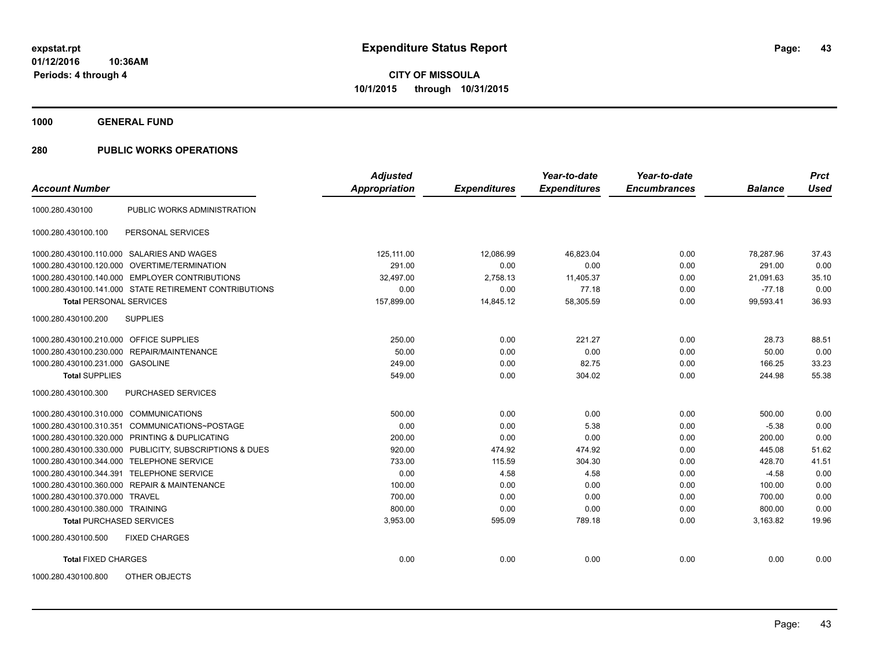**1000 GENERAL FUND**

| <b>Account Number</b>                   |                                                         | <b>Adjusted</b><br>Appropriation | <b>Expenditures</b> | Year-to-date<br><b>Expenditures</b> | Year-to-date<br><b>Encumbrances</b> | <b>Balance</b> | <b>Prct</b><br><b>Used</b> |
|-----------------------------------------|---------------------------------------------------------|----------------------------------|---------------------|-------------------------------------|-------------------------------------|----------------|----------------------------|
|                                         |                                                         |                                  |                     |                                     |                                     |                |                            |
| 1000.280.430100                         | PUBLIC WORKS ADMINISTRATION                             |                                  |                     |                                     |                                     |                |                            |
| 1000.280.430100.100                     | PERSONAL SERVICES                                       |                                  |                     |                                     |                                     |                |                            |
|                                         | 1000.280.430100.110.000 SALARIES AND WAGES              | 125,111.00                       | 12,086.99           | 46,823.04                           | 0.00                                | 78,287.96      | 37.43                      |
|                                         | 1000.280.430100.120.000 OVERTIME/TERMINATION            | 291.00                           | 0.00                | 0.00                                | 0.00                                | 291.00         | 0.00                       |
|                                         | 1000.280.430100.140.000 EMPLOYER CONTRIBUTIONS          | 32.497.00                        | 2,758.13            | 11,405.37                           | 0.00                                | 21.091.63      | 35.10                      |
|                                         | 1000.280.430100.141.000 STATE RETIREMENT CONTRIBUTIONS  | 0.00                             | 0.00                | 77.18                               | 0.00                                | $-77.18$       | 0.00                       |
| <b>Total PERSONAL SERVICES</b>          |                                                         | 157,899.00                       | 14,845.12           | 58,305.59                           | 0.00                                | 99,593.41      | 36.93                      |
| 1000.280.430100.200                     | <b>SUPPLIES</b>                                         |                                  |                     |                                     |                                     |                |                            |
| 1000.280.430100.210.000 OFFICE SUPPLIES |                                                         | 250.00                           | 0.00                | 221.27                              | 0.00                                | 28.73          | 88.51                      |
|                                         | 1000.280.430100.230.000 REPAIR/MAINTENANCE              | 50.00                            | 0.00                | 0.00                                | 0.00                                | 50.00          | 0.00                       |
| 1000.280.430100.231.000 GASOLINE        |                                                         | 249.00                           | 0.00                | 82.75                               | 0.00                                | 166.25         | 33.23                      |
| <b>Total SUPPLIES</b>                   |                                                         | 549.00                           | 0.00                | 304.02                              | 0.00                                | 244.98         | 55.38                      |
| 1000.280.430100.300                     | PURCHASED SERVICES                                      |                                  |                     |                                     |                                     |                |                            |
| 1000.280.430100.310.000 COMMUNICATIONS  |                                                         | 500.00                           | 0.00                | 0.00                                | 0.00                                | 500.00         | 0.00                       |
| 1000.280.430100.310.351                 | COMMUNICATIONS~POSTAGE                                  | 0.00                             | 0.00                | 5.38                                | 0.00                                | $-5.38$        | 0.00                       |
|                                         | 1000.280.430100.320.000 PRINTING & DUPLICATING          | 200.00                           | 0.00                | 0.00                                | 0.00                                | 200.00         | 0.00                       |
|                                         | 1000.280.430100.330.000 PUBLICITY, SUBSCRIPTIONS & DUES | 920.00                           | 474.92              | 474.92                              | 0.00                                | 445.08         | 51.62                      |
|                                         | 1000.280.430100.344.000 TELEPHONE SERVICE               | 733.00                           | 115.59              | 304.30                              | 0.00                                | 428.70         | 41.51                      |
|                                         | 1000.280.430100.344.391 TELEPHONE SERVICE               | 0.00                             | 4.58                | 4.58                                | 0.00                                | $-4.58$        | 0.00                       |
|                                         | 1000.280.430100.360.000 REPAIR & MAINTENANCE            | 100.00                           | 0.00                | 0.00                                | 0.00                                | 100.00         | 0.00                       |
| 1000.280.430100.370.000 TRAVEL          |                                                         | 700.00                           | 0.00                | 0.00                                | 0.00                                | 700.00         | 0.00                       |
| 1000.280.430100.380.000 TRAINING        |                                                         | 800.00                           | 0.00                | 0.00                                | 0.00                                | 800.00         | 0.00                       |
| <b>Total PURCHASED SERVICES</b>         |                                                         | 3,953.00                         | 595.09              | 789.18                              | 0.00                                | 3,163.82       | 19.96                      |
| 1000.280.430100.500                     | <b>FIXED CHARGES</b>                                    |                                  |                     |                                     |                                     |                |                            |
| <b>Total FIXED CHARGES</b>              |                                                         | 0.00                             | 0.00                | 0.00                                | 0.00                                | 0.00           | 0.00                       |
| 1000.280.430100.800                     | OTHER OBJECTS                                           |                                  |                     |                                     |                                     |                |                            |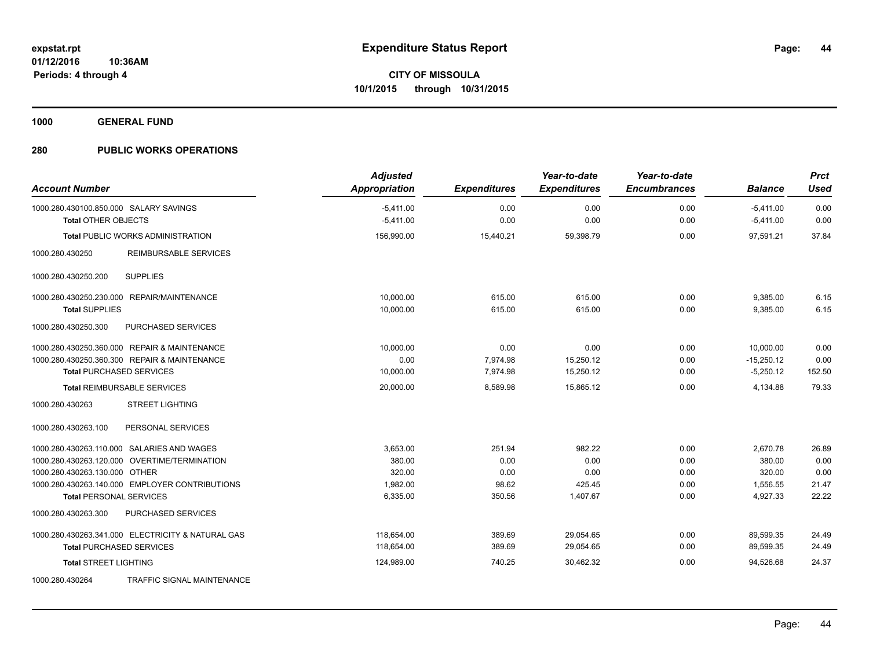**1000 GENERAL FUND**

| <b>Account Number</b>                                                | <b>Adjusted</b><br><b>Appropriation</b> | <b>Expenditures</b> | Year-to-date<br><b>Expenditures</b> | Year-to-date<br><b>Encumbrances</b> | <b>Balance</b>             | <b>Prct</b><br><b>Used</b> |
|----------------------------------------------------------------------|-----------------------------------------|---------------------|-------------------------------------|-------------------------------------|----------------------------|----------------------------|
| 1000.280.430100.850.000 SALARY SAVINGS<br><b>Total OTHER OBJECTS</b> | $-5,411.00$<br>$-5,411.00$              | 0.00<br>0.00        | 0.00<br>0.00                        | 0.00<br>0.00                        | $-5,411.00$<br>$-5,411.00$ | 0.00<br>0.00               |
| <b>Total PUBLIC WORKS ADMINISTRATION</b>                             | 156,990.00                              | 15,440.21           | 59,398.79                           | 0.00                                | 97.591.21                  | 37.84                      |
| <b>REIMBURSABLE SERVICES</b><br>1000.280.430250                      |                                         |                     |                                     |                                     |                            |                            |
| 1000.280.430250.200<br><b>SUPPLIES</b>                               |                                         |                     |                                     |                                     |                            |                            |
| 1000.280.430250.230.000 REPAIR/MAINTENANCE                           | 10.000.00                               | 615.00              | 615.00                              | 0.00                                | 9,385.00                   | 6.15                       |
| <b>Total SUPPLIES</b>                                                | 10,000.00                               | 615.00              | 615.00                              | 0.00                                | 9,385.00                   | 6.15                       |
| PURCHASED SERVICES<br>1000.280.430250.300                            |                                         |                     |                                     |                                     |                            |                            |
| 1000.280.430250.360.000 REPAIR & MAINTENANCE                         | 10,000.00                               | 0.00                | 0.00                                | 0.00                                | 10.000.00                  | 0.00                       |
| 1000.280.430250.360.300 REPAIR & MAINTENANCE                         | 0.00                                    | 7,974.98            | 15,250.12                           | 0.00                                | $-15,250.12$               | 0.00                       |
| <b>Total PURCHASED SERVICES</b>                                      | 10,000.00                               | 7,974.98            | 15,250.12                           | 0.00                                | $-5,250.12$                | 152.50                     |
| <b>Total REIMBURSABLE SERVICES</b>                                   | 20,000.00                               | 8,589.98            | 15,865.12                           | 0.00                                | 4,134.88                   | 79.33                      |
| <b>STREET LIGHTING</b><br>1000.280.430263                            |                                         |                     |                                     |                                     |                            |                            |
| 1000.280.430263.100<br>PERSONAL SERVICES                             |                                         |                     |                                     |                                     |                            |                            |
| 1000.280.430263.110.000 SALARIES AND WAGES                           | 3,653.00                                | 251.94              | 982.22                              | 0.00                                | 2,670.78                   | 26.89                      |
| 1000.280.430263.120.000 OVERTIME/TERMINATION                         | 380.00                                  | 0.00                | 0.00                                | 0.00                                | 380.00                     | 0.00                       |
| 1000.280.430263.130.000 OTHER                                        | 320.00                                  | 0.00                | 0.00                                | 0.00                                | 320.00                     | 0.00                       |
| 1000.280.430263.140.000 EMPLOYER CONTRIBUTIONS                       | 1,982.00                                | 98.62               | 425.45                              | 0.00                                | 1,556.55                   | 21.47                      |
| <b>Total PERSONAL SERVICES</b>                                       | 6,335.00                                | 350.56              | 1,407.67                            | 0.00                                | 4,927.33                   | 22.22                      |
| 1000.280.430263.300<br>PURCHASED SERVICES                            |                                         |                     |                                     |                                     |                            |                            |
| 1000.280.430263.341.000 ELECTRICITY & NATURAL GAS                    | 118.654.00                              | 389.69              | 29,054.65                           | 0.00                                | 89,599.35                  | 24.49                      |
| <b>Total PURCHASED SERVICES</b>                                      | 118.654.00                              | 389.69              | 29,054.65                           | 0.00                                | 89,599.35                  | 24.49                      |
| <b>Total STREET LIGHTING</b>                                         | 124,989.00                              | 740.25              | 30,462.32                           | 0.00                                | 94,526.68                  | 24.37                      |
| TRAFFIC SIGNAL MAINTENANCE<br>1000.280.430264                        |                                         |                     |                                     |                                     |                            |                            |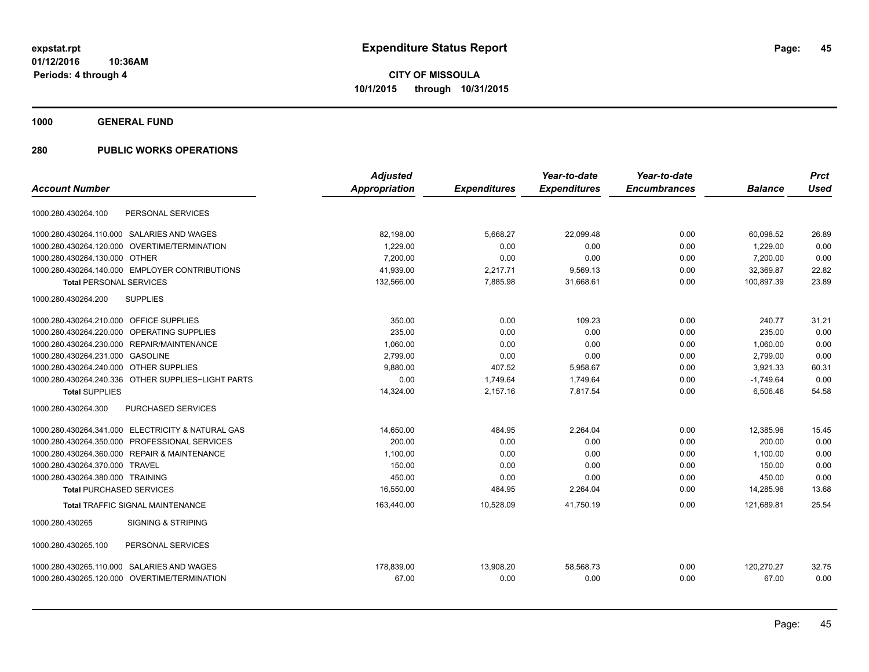**1000 GENERAL FUND**

|                                                        | <b>Adjusted</b> |                     | Year-to-date        | Year-to-date        |                | <b>Prct</b> |
|--------------------------------------------------------|-----------------|---------------------|---------------------|---------------------|----------------|-------------|
| <b>Account Number</b>                                  | Appropriation   | <b>Expenditures</b> | <b>Expenditures</b> | <b>Encumbrances</b> | <b>Balance</b> | <b>Used</b> |
| PERSONAL SERVICES<br>1000.280.430264.100               |                 |                     |                     |                     |                |             |
| 1000.280.430264.110.000 SALARIES AND WAGES             | 82,198.00       | 5,668.27            | 22,099.48           | 0.00                | 60,098.52      | 26.89       |
| 1000.280.430264.120.000<br><b>OVERTIME/TERMINATION</b> | 1.229.00        | 0.00                | 0.00                | 0.00                | 1.229.00       | 0.00        |
| 1000.280.430264.130.000 OTHER                          | 7,200.00        | 0.00                | 0.00                | 0.00                | 7,200.00       | 0.00        |
| 1000.280.430264.140.000 EMPLOYER CONTRIBUTIONS         | 41,939.00       | 2,217.71            | 9,569.13            | 0.00                | 32,369.87      | 22.82       |
| <b>Total PERSONAL SERVICES</b>                         | 132,566.00      | 7,885.98            | 31,668.61           | 0.00                | 100,897.39     | 23.89       |
| 1000.280.430264.200<br><b>SUPPLIES</b>                 |                 |                     |                     |                     |                |             |
| 1000.280.430264.210.000 OFFICE SUPPLIES                | 350.00          | 0.00                | 109.23              | 0.00                | 240.77         | 31.21       |
| OPERATING SUPPLIES<br>1000.280.430264.220.000          | 235.00          | 0.00                | 0.00                | 0.00                | 235.00         | 0.00        |
| 1000.280.430264.230.000 REPAIR/MAINTENANCE             | 1,060.00        | 0.00                | 0.00                | 0.00                | 1,060.00       | 0.00        |
| 1000.280.430264.231.000 GASOLINE                       | 2,799.00        | 0.00                | 0.00                | 0.00                | 2,799.00       | 0.00        |
| 1000.280.430264.240.000 OTHER SUPPLIES                 | 9.880.00        | 407.52              | 5,958.67            | 0.00                | 3,921.33       | 60.31       |
| 1000.280.430264.240.336 OTHER SUPPLIES~LIGHT PARTS     | 0.00            | 1,749.64            | 1,749.64            | 0.00                | $-1,749.64$    | 0.00        |
| <b>Total SUPPLIES</b>                                  | 14,324.00       | 2,157.16            | 7,817.54            | 0.00                | 6,506.46       | 54.58       |
| 1000.280.430264.300<br><b>PURCHASED SERVICES</b>       |                 |                     |                     |                     |                |             |
| 1000.280.430264.341.000 ELECTRICITY & NATURAL GAS      | 14,650.00       | 484.95              | 2,264.04            | 0.00                | 12,385.96      | 15.45       |
| 1000.280.430264.350.000 PROFESSIONAL SERVICES          | 200.00          | 0.00                | 0.00                | 0.00                | 200.00         | 0.00        |
| 1000.280.430264.360.000 REPAIR & MAINTENANCE           | 1,100.00        | 0.00                | 0.00                | 0.00                | 1,100.00       | 0.00        |
| 1000.280.430264.370.000 TRAVEL                         | 150.00          | 0.00                | 0.00                | 0.00                | 150.00         | 0.00        |
| 1000.280.430264.380.000 TRAINING                       | 450.00          | 0.00                | 0.00                | 0.00                | 450.00         | 0.00        |
| <b>Total PURCHASED SERVICES</b>                        | 16,550.00       | 484.95              | 2,264.04            | 0.00                | 14,285.96      | 13.68       |
| <b>Total TRAFFIC SIGNAL MAINTENANCE</b>                | 163,440.00      | 10,528.09           | 41,750.19           | 0.00                | 121,689.81     | 25.54       |
| <b>SIGNING &amp; STRIPING</b><br>1000.280.430265       |                 |                     |                     |                     |                |             |
| 1000.280.430265.100<br>PERSONAL SERVICES               |                 |                     |                     |                     |                |             |
| 1000.280.430265.110.000 SALARIES AND WAGES             | 178,839.00      | 13,908.20           | 58,568.73           | 0.00                | 120,270.27     | 32.75       |
| 1000.280.430265.120.000 OVERTIME/TERMINATION           | 67.00           | 0.00                | 0.00                | 0.00                | 67.00          | 0.00        |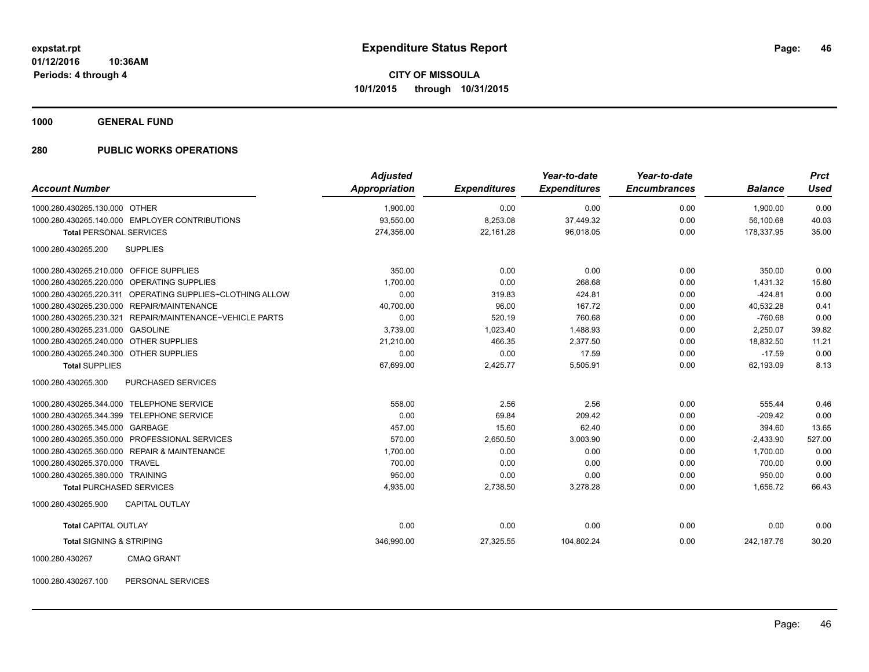**1000 GENERAL FUND**

# **280 PUBLIC WORKS OPERATIONS**

| <b>Account Number</b>                   |                                                           | <b>Adjusted</b><br><b>Appropriation</b> | <b>Expenditures</b> | Year-to-date<br><b>Expenditures</b> | Year-to-date<br><b>Encumbrances</b> | <b>Balance</b> | <b>Prct</b><br><b>Used</b> |
|-----------------------------------------|-----------------------------------------------------------|-----------------------------------------|---------------------|-------------------------------------|-------------------------------------|----------------|----------------------------|
|                                         |                                                           |                                         |                     |                                     |                                     |                |                            |
| 1000.280.430265.130.000 OTHER           |                                                           | 1,900.00                                | 0.00                | 0.00                                | 0.00                                | 1,900.00       | 0.00                       |
|                                         | 1000.280.430265.140.000 EMPLOYER CONTRIBUTIONS            | 93.550.00                               | 8,253.08            | 37,449.32                           | 0.00                                | 56.100.68      | 40.03                      |
| <b>Total PERSONAL SERVICES</b>          |                                                           | 274.356.00                              | 22,161.28           | 96,018.05                           | 0.00                                | 178.337.95     | 35.00                      |
| 1000.280.430265.200                     | <b>SUPPLIES</b>                                           |                                         |                     |                                     |                                     |                |                            |
| 1000.280.430265.210.000 OFFICE SUPPLIES |                                                           | 350.00                                  | 0.00                | 0.00                                | 0.00                                | 350.00         | 0.00                       |
|                                         | 1000.280.430265.220.000 OPERATING SUPPLIES                | 1,700.00                                | 0.00                | 268.68                              | 0.00                                | 1,431.32       | 15.80                      |
|                                         | 1000.280.430265.220.311 OPERATING SUPPLIES~CLOTHING ALLOW | 0.00                                    | 319.83              | 424.81                              | 0.00                                | $-424.81$      | 0.00                       |
|                                         | 1000.280.430265.230.000 REPAIR/MAINTENANCE                | 40,700.00                               | 96.00               | 167.72                              | 0.00                                | 40,532.28      | 0.41                       |
| 1000.280.430265.230.321                 | REPAIR/MAINTENANCE~VEHICLE PARTS                          | 0.00                                    | 520.19              | 760.68                              | 0.00                                | $-760.68$      | 0.00                       |
| 1000.280.430265.231.000 GASOLINE        |                                                           | 3,739.00                                | 1,023.40            | 1,488.93                            | 0.00                                | 2,250.07       | 39.82                      |
| 1000.280.430265.240.000 OTHER SUPPLIES  |                                                           | 21,210.00                               | 466.35              | 2,377.50                            | 0.00                                | 18,832.50      | 11.21                      |
| 1000.280.430265.240.300 OTHER SUPPLIES  |                                                           | 0.00                                    | 0.00                | 17.59                               | 0.00                                | $-17.59$       | 0.00                       |
| <b>Total SUPPLIES</b>                   |                                                           | 67,699.00                               | 2,425.77            | 5,505.91                            | 0.00                                | 62,193.09      | 8.13                       |
| 1000.280.430265.300                     | <b>PURCHASED SERVICES</b>                                 |                                         |                     |                                     |                                     |                |                            |
|                                         | 1000.280.430265.344.000 TELEPHONE SERVICE                 | 558.00                                  | 2.56                | 2.56                                | 0.00                                | 555.44         | 0.46                       |
|                                         | 1000.280.430265.344.399 TELEPHONE SERVICE                 | 0.00                                    | 69.84               | 209.42                              | 0.00                                | $-209.42$      | 0.00                       |
| 1000.280.430265.345.000 GARBAGE         |                                                           | 457.00                                  | 15.60               | 62.40                               | 0.00                                | 394.60         | 13.65                      |
|                                         | 1000.280.430265.350.000 PROFESSIONAL SERVICES             | 570.00                                  | 2,650.50            | 3,003.90                            | 0.00                                | $-2,433.90$    | 527.00                     |
|                                         | 1000.280.430265.360.000 REPAIR & MAINTENANCE              | 1,700.00                                | 0.00                | 0.00                                | 0.00                                | 1,700.00       | 0.00                       |
| 1000.280.430265.370.000 TRAVEL          |                                                           | 700.00                                  | 0.00                | 0.00                                | 0.00                                | 700.00         | 0.00                       |
| 1000.280.430265.380.000 TRAINING        |                                                           | 950.00                                  | 0.00                | 0.00                                | 0.00                                | 950.00         | 0.00                       |
| <b>Total PURCHASED SERVICES</b>         |                                                           | 4,935.00                                | 2,738.50            | 3,278.28                            | 0.00                                | 1,656.72       | 66.43                      |
| 1000.280.430265.900                     | <b>CAPITAL OUTLAY</b>                                     |                                         |                     |                                     |                                     |                |                            |
| <b>Total CAPITAL OUTLAY</b>             |                                                           | 0.00                                    | 0.00                | 0.00                                | 0.00                                | 0.00           | 0.00                       |
| <b>Total SIGNING &amp; STRIPING</b>     |                                                           | 346,990.00                              | 27,325.55           | 104,802.24                          | 0.00                                | 242,187.76     | 30.20                      |
| 1000.280.430267                         | <b>CMAQ GRANT</b>                                         |                                         |                     |                                     |                                     |                |                            |

1000.280.430267.100 PERSONAL SERVICES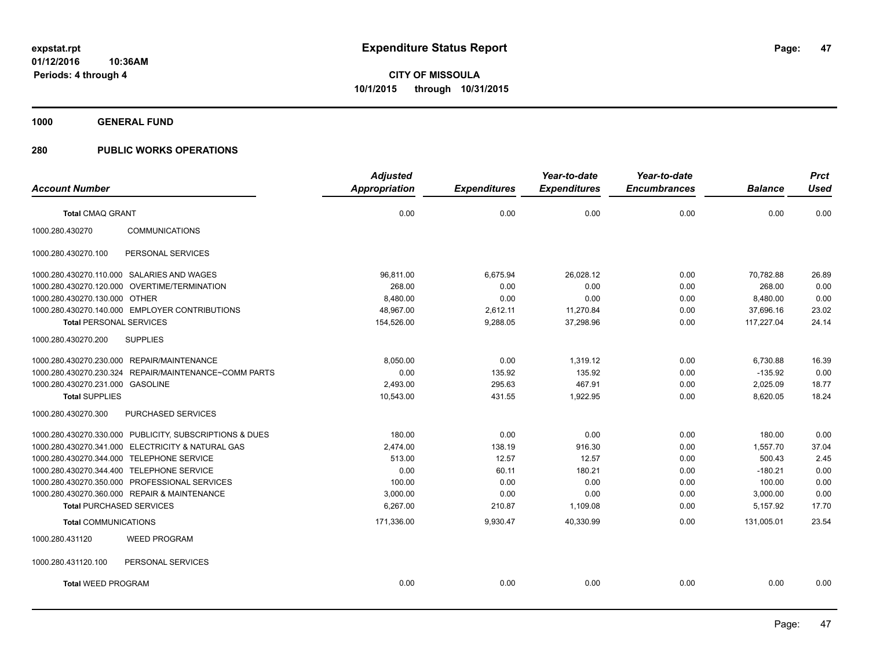**1000 GENERAL FUND**

|                                                         | <b>Adjusted</b>      |                     | Year-to-date        | Year-to-date        |                | <b>Prct</b> |
|---------------------------------------------------------|----------------------|---------------------|---------------------|---------------------|----------------|-------------|
| <b>Account Number</b>                                   | <b>Appropriation</b> | <b>Expenditures</b> | <b>Expenditures</b> | <b>Encumbrances</b> | <b>Balance</b> | <b>Used</b> |
| <b>Total CMAQ GRANT</b>                                 | 0.00                 | 0.00                | 0.00                | 0.00                | 0.00           | 0.00        |
| 1000.280.430270<br><b>COMMUNICATIONS</b>                |                      |                     |                     |                     |                |             |
| PERSONAL SERVICES<br>1000.280.430270.100                |                      |                     |                     |                     |                |             |
| 1000.280.430270.110.000 SALARIES AND WAGES              | 96,811.00            | 6,675.94            | 26,028.12           | 0.00                | 70,782.88      | 26.89       |
| 1000.280.430270.120.000 OVERTIME/TERMINATION            | 268.00               | 0.00                | 0.00                | 0.00                | 268.00         | 0.00        |
| 1000.280.430270.130.000 OTHER                           | 8,480.00             | 0.00                | 0.00                | 0.00                | 8,480.00       | 0.00        |
| 1000.280.430270.140.000 EMPLOYER CONTRIBUTIONS          | 48,967.00            | 2,612.11            | 11,270.84           | 0.00                | 37,696.16      | 23.02       |
| <b>Total PERSONAL SERVICES</b>                          | 154,526.00           | 9,288.05            | 37,298.96           | 0.00                | 117,227.04     | 24.14       |
| 1000.280.430270.200<br><b>SUPPLIES</b>                  |                      |                     |                     |                     |                |             |
| 1000.280.430270.230.000 REPAIR/MAINTENANCE              | 8,050.00             | 0.00                | 1,319.12            | 0.00                | 6,730.88       | 16.39       |
| 1000.280.430270.230.324 REPAIR/MAINTENANCE~COMM PARTS   | 0.00                 | 135.92              | 135.92              | 0.00                | $-135.92$      | 0.00        |
| 1000.280.430270.231.000 GASOLINE                        | 2,493.00             | 295.63              | 467.91              | 0.00                | 2,025.09       | 18.77       |
| <b>Total SUPPLIES</b>                                   | 10,543.00            | 431.55              | 1,922.95            | 0.00                | 8,620.05       | 18.24       |
| 1000.280.430270.300<br>PURCHASED SERVICES               |                      |                     |                     |                     |                |             |
| 1000.280.430270.330.000 PUBLICITY, SUBSCRIPTIONS & DUES | 180.00               | 0.00                | 0.00                | 0.00                | 180.00         | 0.00        |
| 1000.280.430270.341.000 ELECTRICITY & NATURAL GAS       | 2,474.00             | 138.19              | 916.30              | 0.00                | 1,557.70       | 37.04       |
| 1000.280.430270.344.000 TELEPHONE SERVICE               | 513.00               | 12.57               | 12.57               | 0.00                | 500.43         | 2.45        |
| 1000.280.430270.344.400 TELEPHONE SERVICE               | 0.00                 | 60.11               | 180.21              | 0.00                | $-180.21$      | 0.00        |
| 1000.280.430270.350.000 PROFESSIONAL SERVICES           | 100.00               | 0.00                | 0.00                | 0.00                | 100.00         | 0.00        |
| 1000.280.430270.360.000 REPAIR & MAINTENANCE            | 3,000.00             | 0.00                | 0.00                | 0.00                | 3,000.00       | 0.00        |
| <b>Total PURCHASED SERVICES</b>                         | 6,267.00             | 210.87              | 1,109.08            | 0.00                | 5,157.92       | 17.70       |
| <b>Total COMMUNICATIONS</b>                             | 171,336.00           | 9,930.47            | 40,330.99           | 0.00                | 131,005.01     | 23.54       |
| <b>WEED PROGRAM</b><br>1000.280.431120                  |                      |                     |                     |                     |                |             |
| 1000.280.431120.100<br>PERSONAL SERVICES                |                      |                     |                     |                     |                |             |
| <b>Total WEED PROGRAM</b>                               | 0.00                 | 0.00                | 0.00                | 0.00                | 0.00           | 0.00        |
|                                                         |                      |                     |                     |                     |                |             |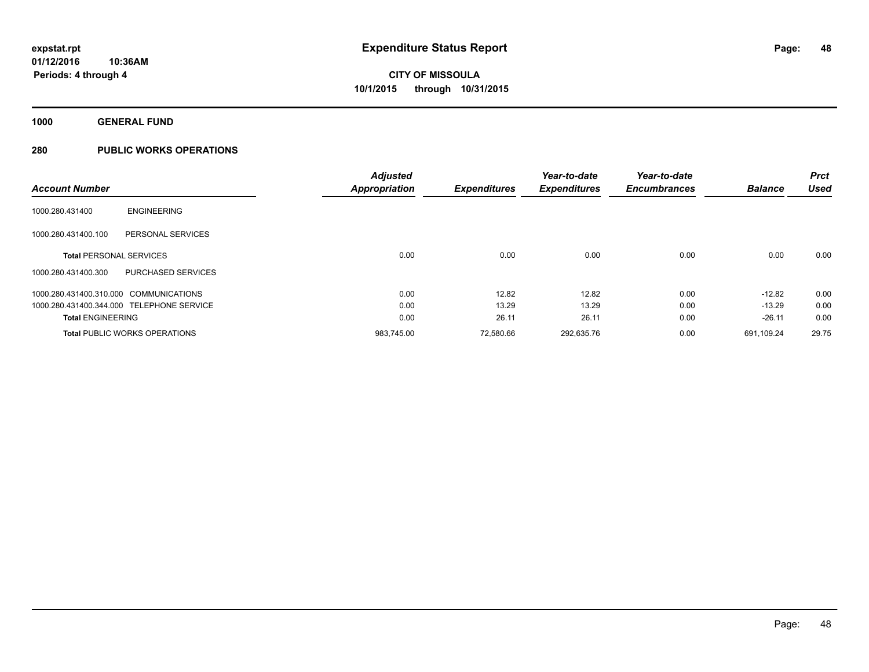**1000 GENERAL FUND**

|                                |                                           | <b>Adjusted</b>      |                     | Year-to-date        | Year-to-date        |                | <b>Prct</b> |
|--------------------------------|-------------------------------------------|----------------------|---------------------|---------------------|---------------------|----------------|-------------|
| <b>Account Number</b>          |                                           | <b>Appropriation</b> | <b>Expenditures</b> | <b>Expenditures</b> | <b>Encumbrances</b> | <b>Balance</b> | <b>Used</b> |
| 1000.280.431400                | <b>ENGINEERING</b>                        |                      |                     |                     |                     |                |             |
| 1000.280.431400.100            | PERSONAL SERVICES                         |                      |                     |                     |                     |                |             |
| <b>Total PERSONAL SERVICES</b> |                                           | 0.00                 | 0.00                | 0.00                | 0.00                | 0.00           | 0.00        |
| 1000.280.431400.300            | PURCHASED SERVICES                        |                      |                     |                     |                     |                |             |
|                                | 1000.280.431400.310.000 COMMUNICATIONS    | 0.00                 | 12.82               | 12.82               | 0.00                | $-12.82$       | 0.00        |
|                                | 1000.280.431400.344.000 TELEPHONE SERVICE | 0.00                 | 13.29               | 13.29               | 0.00                | $-13.29$       | 0.00        |
| <b>Total ENGINEERING</b>       |                                           | 0.00                 | 26.11               | 26.11               | 0.00                | $-26.11$       | 0.00        |
|                                | <b>Total PUBLIC WORKS OPERATIONS</b>      | 983.745.00           | 72.580.66           | 292.635.76          | 0.00                | 691.109.24     | 29.75       |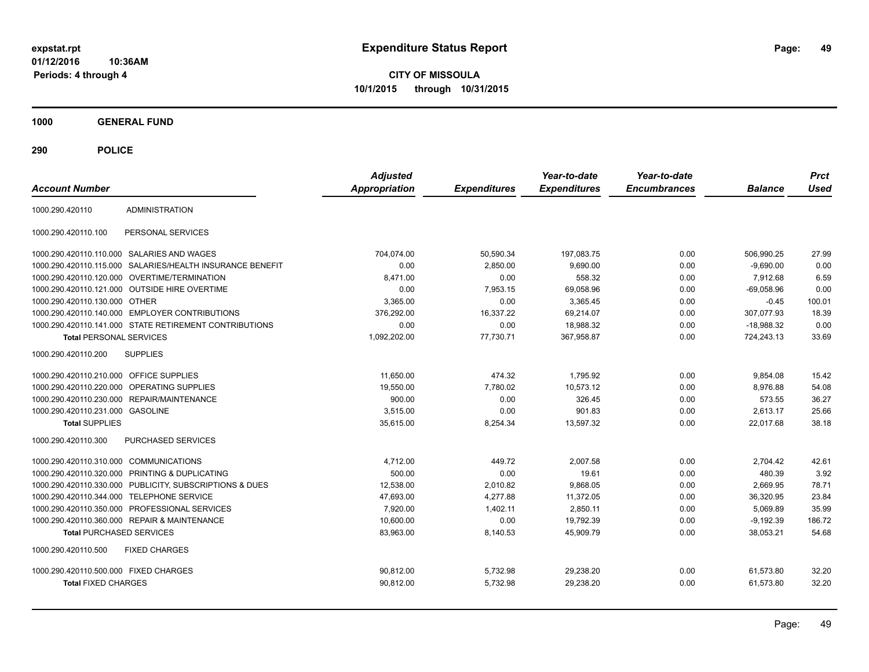**CITY OF MISSOULA 10/1/2015 through 10/31/2015**

**1000 GENERAL FUND**

| <b>Account Number</b>                                  |                                   | <b>Adjusted</b><br><b>Appropriation</b> | <b>Expenditures</b> | Year-to-date<br><b>Expenditures</b> | Year-to-date<br><b>Encumbrances</b> | <b>Balance</b> | <b>Prct</b><br><b>Used</b> |
|--------------------------------------------------------|-----------------------------------|-----------------------------------------|---------------------|-------------------------------------|-------------------------------------|----------------|----------------------------|
| <b>ADMINISTRATION</b><br>1000.290.420110               |                                   |                                         |                     |                                     |                                     |                |                            |
| 1000.290.420110.100                                    | PERSONAL SERVICES                 |                                         |                     |                                     |                                     |                |                            |
| 1000.290.420110.110.000 SALARIES AND WAGES             |                                   | 704.074.00                              | 50,590.34           | 197.083.75                          | 0.00                                | 506.990.25     | 27.99                      |
| 1000.290.420110.115.000                                | SALARIES/HEALTH INSURANCE BENEFIT | 0.00                                    | 2,850.00            | 9,690.00                            | 0.00                                | $-9,690.00$    | 0.00                       |
| 1000.290.420110.120.000                                | <b>OVERTIME/TERMINATION</b>       | 8.471.00                                | 0.00                | 558.32                              | 0.00                                | 7.912.68       | 6.59                       |
| 1000.290.420110.121.000 OUTSIDE HIRE OVERTIME          |                                   | 0.00                                    | 7.953.15            | 69,058.96                           | 0.00                                | $-69,058.96$   | 0.00                       |
| 1000.290.420110.130.000 OTHER                          |                                   | 3.365.00                                | 0.00                | 3.365.45                            | 0.00                                | $-0.45$        | 100.01                     |
| 1000.290.420110.140.000                                | <b>EMPLOYER CONTRIBUTIONS</b>     | 376,292.00                              | 16.337.22           | 69,214.07                           | 0.00                                | 307,077.93     | 18.39                      |
| 1000.290.420110.141.000 STATE RETIREMENT CONTRIBUTIONS |                                   | 0.00                                    | 0.00                | 18,988.32                           | 0.00                                | $-18,988.32$   | 0.00                       |
| <b>Total PERSONAL SERVICES</b>                         |                                   | 1,092,202.00                            | 77,730.71           | 367.958.87                          | 0.00                                | 724,243.13     | 33.69                      |
| 1000.290.420110.200<br><b>SUPPLIES</b>                 |                                   |                                         |                     |                                     |                                     |                |                            |
| 1000.290.420110.210.000<br><b>OFFICE SUPPLIES</b>      |                                   | 11,650.00                               | 474.32              | 1,795.92                            | 0.00                                | 9,854.08       | 15.42                      |
| 1000.290.420110.220.000                                | <b>OPERATING SUPPLIES</b>         | 19,550.00                               | 7,780.02            | 10,573.12                           | 0.00                                | 8,976.88       | 54.08                      |
| 1000.290.420110.230.000                                | REPAIR/MAINTENANCE                | 900.00                                  | 0.00                | 326.45                              | 0.00                                | 573.55         | 36.27                      |
| 1000.290.420110.231.000 GASOLINE                       |                                   | 3.515.00                                | 0.00                | 901.83                              | 0.00                                | 2.613.17       | 25.66                      |
| <b>Total SUPPLIES</b>                                  |                                   | 35,615.00                               | 8,254.34            | 13,597.32                           | 0.00                                | 22,017.68      | 38.18                      |
| 1000.290.420110.300                                    | <b>PURCHASED SERVICES</b>         |                                         |                     |                                     |                                     |                |                            |
| 1000.290.420110.310.000                                | <b>COMMUNICATIONS</b>             | 4,712.00                                | 449.72              | 2.007.58                            | 0.00                                | 2,704.42       | 42.61                      |
| 1000.290.420110.320.000                                | PRINTING & DUPLICATING            | 500.00                                  | 0.00                | 19.61                               | 0.00                                | 480.39         | 3.92                       |
| 1000.290.420110.330.000                                | PUBLICITY, SUBSCRIPTIONS & DUES   | 12,538.00                               | 2,010.82            | 9,868.05                            | 0.00                                | 2,669.95       | 78.71                      |
| 1000.290.420110.344.000                                | <b>TELEPHONE SERVICE</b>          | 47,693.00                               | 4,277.88            | 11,372.05                           | 0.00                                | 36,320.95      | 23.84                      |
| 1000.290.420110.350.000                                | PROFESSIONAL SERVICES             | 7,920.00                                | 1,402.11            | 2,850.11                            | 0.00                                | 5.069.89       | 35.99                      |
| 1000.290.420110.360.000                                | <b>REPAIR &amp; MAINTENANCE</b>   | 10,600.00                               | 0.00                | 19,792.39                           | 0.00                                | $-9,192.39$    | 186.72                     |
| <b>Total PURCHASED SERVICES</b>                        |                                   | 83,963.00                               | 8,140.53            | 45,909.79                           | 0.00                                | 38,053.21      | 54.68                      |
| <b>FIXED CHARGES</b><br>1000.290.420110.500            |                                   |                                         |                     |                                     |                                     |                |                            |
| 1000.290.420110.500.000 FIXED CHARGES                  |                                   | 90,812.00                               | 5,732.98            | 29,238.20                           | 0.00                                | 61,573.80      | 32.20                      |
| <b>Total FIXED CHARGES</b>                             |                                   | 90,812.00                               | 5,732.98            | 29,238.20                           | 0.00                                | 61,573.80      | 32.20                      |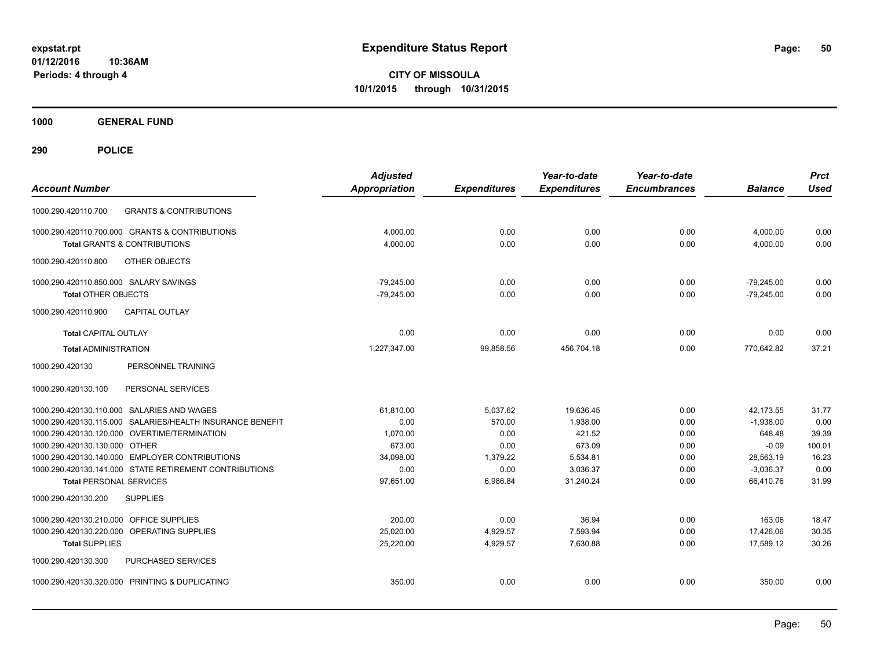**CITY OF MISSOULA 10/1/2015 through 10/31/2015**

**1000 GENERAL FUND**

| <b>Account Number</b>                                     | <b>Adjusted</b><br>Appropriation | <b>Expenditures</b> | Year-to-date<br><b>Expenditures</b> | Year-to-date<br><b>Encumbrances</b> | <b>Balance</b> | <b>Prct</b><br><b>Used</b> |
|-----------------------------------------------------------|----------------------------------|---------------------|-------------------------------------|-------------------------------------|----------------|----------------------------|
| <b>GRANTS &amp; CONTRIBUTIONS</b><br>1000.290.420110.700  |                                  |                     |                                     |                                     |                |                            |
| 1000.290.420110.700.000 GRANTS & CONTRIBUTIONS            | 4,000.00                         | 0.00                | 0.00                                | 0.00                                | 4,000.00       | 0.00                       |
| <b>Total GRANTS &amp; CONTRIBUTIONS</b>                   | 4,000.00                         | 0.00                | 0.00                                | 0.00                                | 4,000.00       | 0.00                       |
| OTHER OBJECTS<br>1000.290.420110.800                      |                                  |                     |                                     |                                     |                |                            |
| 1000.290.420110.850.000 SALARY SAVINGS                    | $-79,245.00$                     | 0.00                | 0.00                                | 0.00                                | $-79,245.00$   | 0.00                       |
| <b>Total OTHER OBJECTS</b>                                | $-79,245.00$                     | 0.00                | 0.00                                | 0.00                                | $-79,245.00$   | 0.00                       |
| <b>CAPITAL OUTLAY</b><br>1000.290.420110.900              |                                  |                     |                                     |                                     |                |                            |
| <b>Total CAPITAL OUTLAY</b>                               | 0.00                             | 0.00                | 0.00                                | 0.00                                | 0.00           | 0.00                       |
| <b>Total ADMINISTRATION</b>                               | 1,227,347.00                     | 99,858.56           | 456,704.18                          | 0.00                                | 770,642.82     | 37.21                      |
| 1000.290.420130<br>PERSONNEL TRAINING                     |                                  |                     |                                     |                                     |                |                            |
| 1000.290.420130.100<br>PERSONAL SERVICES                  |                                  |                     |                                     |                                     |                |                            |
| 1000.290.420130.110.000 SALARIES AND WAGES                | 61,810.00                        | 5,037.62            | 19,636.45                           | 0.00                                | 42,173.55      | 31.77                      |
| 1000.290.420130.115.000 SALARIES/HEALTH INSURANCE BENEFIT | 0.00                             | 570.00              | 1.938.00                            | 0.00                                | $-1,938.00$    | 0.00                       |
| 1000.290.420130.120.000 OVERTIME/TERMINATION              | 1,070.00                         | 0.00                | 421.52                              | 0.00                                | 648.48         | 39.39                      |
| 1000.290.420130.130.000 OTHER                             | 673.00                           | 0.00                | 673.09                              | 0.00                                | $-0.09$        | 100.01                     |
| 1000.290.420130.140.000 EMPLOYER CONTRIBUTIONS            | 34,098.00                        | 1,379.22            | 5,534.81                            | 0.00                                | 28,563.19      | 16.23                      |
| 1000.290.420130.141.000 STATE RETIREMENT CONTRIBUTIONS    | 0.00                             | 0.00                | 3,036.37                            | 0.00                                | $-3,036.37$    | 0.00                       |
| <b>Total PERSONAL SERVICES</b>                            | 97,651.00                        | 6,986.84            | 31,240.24                           | 0.00                                | 66,410.76      | 31.99                      |
| 1000.290.420130.200<br><b>SUPPLIES</b>                    |                                  |                     |                                     |                                     |                |                            |
| 1000.290.420130.210.000 OFFICE SUPPLIES                   | 200.00                           | 0.00                | 36.94                               | 0.00                                | 163.06         | 18.47                      |
| 1000.290.420130.220.000<br>OPERATING SUPPLIES             | 25,020.00                        | 4,929.57            | 7,593.94                            | 0.00                                | 17,426.06      | 30.35                      |
| <b>Total SUPPLIES</b>                                     | 25,220.00                        | 4,929.57            | 7,630.88                            | 0.00                                | 17,589.12      | 30.26                      |
| 1000.290.420130.300<br>PURCHASED SERVICES                 |                                  |                     |                                     |                                     |                |                            |
| 1000.290.420130.320.000 PRINTING & DUPLICATING            | 350.00                           | 0.00                | 0.00                                | 0.00                                | 350.00         | 0.00                       |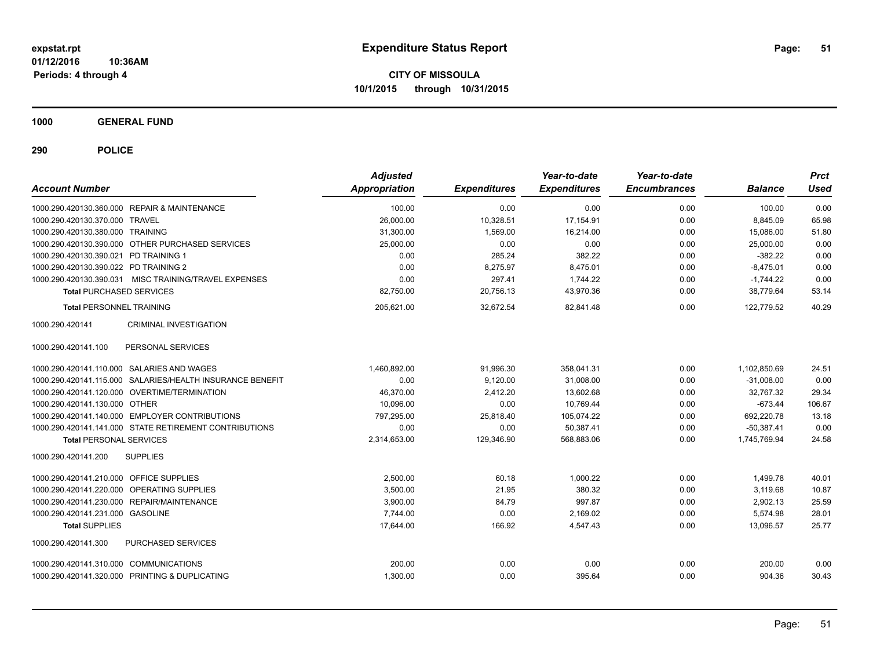**CITY OF MISSOULA 10/1/2015 through 10/31/2015**

**1000 GENERAL FUND**

| <b>Account Number</b>                                     | <b>Adjusted</b><br><b>Appropriation</b> | <b>Expenditures</b> | Year-to-date<br><b>Expenditures</b> | Year-to-date<br><b>Encumbrances</b> | <b>Balance</b> | <b>Prct</b><br><b>Used</b> |
|-----------------------------------------------------------|-----------------------------------------|---------------------|-------------------------------------|-------------------------------------|----------------|----------------------------|
| 1000.290.420130.360.000 REPAIR & MAINTENANCE              | 100.00                                  | 0.00                | 0.00                                | 0.00                                | 100.00         | 0.00                       |
| 1000.290.420130.370.000 TRAVEL                            | 26,000.00                               | 10,328.51           | 17,154.91                           | 0.00                                | 8,845.09       | 65.98                      |
| 1000.290.420130.380.000 TRAINING                          | 31,300.00                               | 1,569.00            | 16,214.00                           | 0.00                                | 15,086.00      | 51.80                      |
| 1000.290.420130.390.000 OTHER PURCHASED SERVICES          | 25,000.00                               | 0.00                | 0.00                                | 0.00                                | 25,000.00      | 0.00                       |
| 1000.290.420130.390.021 PD TRAINING 1                     | 0.00                                    | 285.24              | 382.22                              | 0.00                                | $-382.22$      | 0.00                       |
| 1000.290.420130.390.022 PD TRAINING 2                     | 0.00                                    | 8,275.97            | 8,475.01                            | 0.00                                | $-8,475.01$    | 0.00                       |
| 1000.290.420130.390.031 MISC TRAINING/TRAVEL EXPENSES     | 0.00                                    | 297.41              | 1,744.22                            | 0.00                                | $-1,744.22$    | 0.00                       |
| <b>Total PURCHASED SERVICES</b>                           | 82,750.00                               | 20,756.13           | 43,970.36                           | 0.00                                | 38,779.64      | 53.14                      |
| <b>Total PERSONNEL TRAINING</b>                           | 205,621.00                              | 32,672.54           | 82,841.48                           | 0.00                                | 122,779.52     | 40.29                      |
| <b>CRIMINAL INVESTIGATION</b><br>1000.290.420141          |                                         |                     |                                     |                                     |                |                            |
| 1000.290.420141.100<br>PERSONAL SERVICES                  |                                         |                     |                                     |                                     |                |                            |
| 1000.290.420141.110.000 SALARIES AND WAGES                | 1,460,892.00                            | 91,996.30           | 358,041.31                          | 0.00                                | 1,102,850.69   | 24.51                      |
| 1000.290.420141.115.000 SALARIES/HEALTH INSURANCE BENEFIT | 0.00                                    | 9,120.00            | 31,008.00                           | 0.00                                | $-31.008.00$   | 0.00                       |
| 1000.290.420141.120.000 OVERTIME/TERMINATION              | 46,370.00                               | 2,412.20            | 13,602.68                           | 0.00                                | 32,767.32      | 29.34                      |
| 1000.290.420141.130.000 OTHER                             | 10,096.00                               | 0.00                | 10,769.44                           | 0.00                                | $-673.44$      | 106.67                     |
| 1000.290.420141.140.000 EMPLOYER CONTRIBUTIONS            | 797,295.00                              | 25,818.40           | 105,074.22                          | 0.00                                | 692,220.78     | 13.18                      |
| 1000.290.420141.141.000 STATE RETIREMENT CONTRIBUTIONS    | 0.00                                    | 0.00                | 50,387.41                           | 0.00                                | $-50,387.41$   | 0.00                       |
| <b>Total PERSONAL SERVICES</b>                            | 2,314,653.00                            | 129,346.90          | 568,883.06                          | 0.00                                | 1,745,769.94   | 24.58                      |
| <b>SUPPLIES</b><br>1000.290.420141.200                    |                                         |                     |                                     |                                     |                |                            |
| 1000.290.420141.210.000 OFFICE SUPPLIES                   | 2.500.00                                | 60.18               | 1.000.22                            | 0.00                                | 1.499.78       | 40.01                      |
| 1000.290.420141.220.000 OPERATING SUPPLIES                | 3.500.00                                | 21.95               | 380.32                              | 0.00                                | 3.119.68       | 10.87                      |
| 1000.290.420141.230.000 REPAIR/MAINTENANCE                | 3.900.00                                | 84.79               | 997.87                              | 0.00                                | 2.902.13       | 25.59                      |
| 1000.290.420141.231.000 GASOLINE                          | 7.744.00                                | 0.00                | 2.169.02                            | 0.00                                | 5,574.98       | 28.01                      |
| <b>Total SUPPLIES</b>                                     | 17,644.00                               | 166.92              | 4,547.43                            | 0.00                                | 13,096.57      | 25.77                      |
| 1000.290.420141.300<br><b>PURCHASED SERVICES</b>          |                                         |                     |                                     |                                     |                |                            |
| 1000.290.420141.310.000 COMMUNICATIONS                    | 200.00                                  | 0.00                | 0.00                                | 0.00                                | 200.00         | 0.00                       |
| 1000.290.420141.320.000 PRINTING & DUPLICATING            | 1,300.00                                | 0.00                | 395.64                              | 0.00                                | 904.36         | 30.43                      |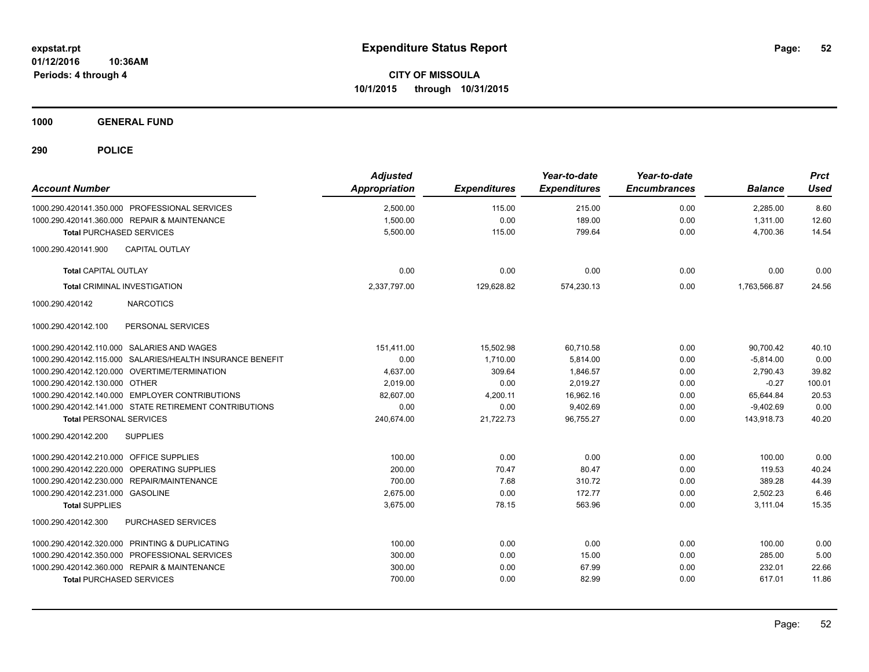**CITY OF MISSOULA 10/1/2015 through 10/31/2015**

**1000 GENERAL FUND**

| <b>Account Number</b>                                                                         | <b>Adjusted</b><br><b>Appropriation</b> | <b>Expenditures</b> | Year-to-date<br><b>Expenditures</b> | Year-to-date<br><b>Encumbrances</b> | <b>Balance</b>       | <b>Prct</b><br><b>Used</b> |
|-----------------------------------------------------------------------------------------------|-----------------------------------------|---------------------|-------------------------------------|-------------------------------------|----------------------|----------------------------|
| 1000.290.420141.350.000 PROFESSIONAL SERVICES<br>1000.290.420141.360.000 REPAIR & MAINTENANCE | 2,500.00<br>1,500.00                    | 115.00<br>0.00      | 215.00<br>189.00                    | 0.00<br>0.00                        | 2,285.00<br>1,311.00 | 8.60<br>12.60              |
| <b>Total PURCHASED SERVICES</b>                                                               | 5,500.00                                | 115.00              | 799.64                              | 0.00                                | 4,700.36             | 14.54                      |
| 1000.290.420141.900<br><b>CAPITAL OUTLAY</b>                                                  |                                         |                     |                                     |                                     |                      |                            |
| <b>Total CAPITAL OUTLAY</b>                                                                   | 0.00                                    | 0.00                | 0.00                                | 0.00                                | 0.00                 | 0.00                       |
| <b>Total CRIMINAL INVESTIGATION</b>                                                           | 2,337,797.00                            | 129,628.82          | 574,230.13                          | 0.00                                | 1,763,566.87         | 24.56                      |
| <b>NARCOTICS</b><br>1000.290.420142                                                           |                                         |                     |                                     |                                     |                      |                            |
| PERSONAL SERVICES<br>1000.290.420142.100                                                      |                                         |                     |                                     |                                     |                      |                            |
| 1000.290.420142.110.000 SALARIES AND WAGES                                                    | 151,411.00                              | 15.502.98           | 60.710.58                           | 0.00                                | 90.700.42            | 40.10                      |
| 1000.290.420142.115.000 SALARIES/HEALTH INSURANCE BENEFIT                                     | 0.00                                    | 1,710.00            | 5.814.00                            | 0.00                                | $-5.814.00$          | 0.00                       |
| 1000.290.420142.120.000 OVERTIME/TERMINATION                                                  | 4,637.00                                | 309.64              | 1,846.57                            | 0.00                                | 2,790.43             | 39.82                      |
| 1000.290.420142.130.000 OTHER                                                                 | 2,019.00                                | 0.00                | 2,019.27                            | 0.00                                | $-0.27$              | 100.01                     |
| 1000.290.420142.140.000 EMPLOYER CONTRIBUTIONS                                                | 82,607.00                               | 4,200.11            | 16,962.16                           | 0.00                                | 65,644.84            | 20.53                      |
| 1000.290.420142.141.000 STATE RETIREMENT CONTRIBUTIONS                                        | 0.00                                    | 0.00                | 9,402.69                            | 0.00                                | $-9,402.69$          | 0.00                       |
| <b>Total PERSONAL SERVICES</b>                                                                | 240,674.00                              | 21,722.73           | 96,755.27                           | 0.00                                | 143,918.73           | 40.20                      |
| 1000.290.420142.200<br><b>SUPPLIES</b>                                                        |                                         |                     |                                     |                                     |                      |                            |
| 1000.290.420142.210.000 OFFICE SUPPLIES                                                       | 100.00                                  | 0.00                | 0.00                                | 0.00                                | 100.00               | 0.00                       |
| 1000.290.420142.220.000 OPERATING SUPPLIES                                                    | 200.00                                  | 70.47               | 80.47                               | 0.00                                | 119.53               | 40.24                      |
| 1000.290.420142.230.000 REPAIR/MAINTENANCE                                                    | 700.00                                  | 7.68                | 310.72                              | 0.00                                | 389.28               | 44.39                      |
| 1000.290.420142.231.000 GASOLINE                                                              | 2,675.00                                | 0.00                | 172.77                              | 0.00                                | 2,502.23             | 6.46                       |
| <b>Total SUPPLIES</b>                                                                         | 3,675.00                                | 78.15               | 563.96                              | 0.00                                | 3,111.04             | 15.35                      |
| 1000.290.420142.300<br>PURCHASED SERVICES                                                     |                                         |                     |                                     |                                     |                      |                            |
| 1000.290.420142.320.000 PRINTING & DUPLICATING                                                | 100.00                                  | 0.00                | 0.00                                | 0.00                                | 100.00               | 0.00                       |
| 1000.290.420142.350.000 PROFESSIONAL SERVICES                                                 | 300.00                                  | 0.00                | 15.00                               | 0.00                                | 285.00               | 5.00                       |
| 1000.290.420142.360.000 REPAIR & MAINTENANCE                                                  | 300.00                                  | 0.00                | 67.99                               | 0.00                                | 232.01               | 22.66                      |
| <b>Total PURCHASED SERVICES</b>                                                               | 700.00                                  | 0.00                | 82.99                               | 0.00                                | 617.01               | 11.86                      |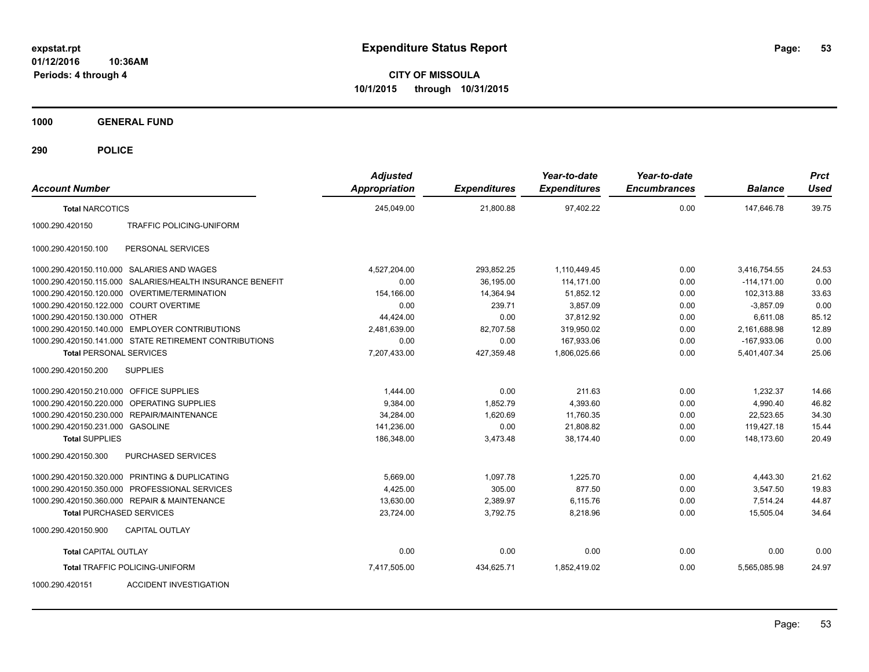**CITY OF MISSOULA 10/1/2015 through 10/31/2015**

**1000 GENERAL FUND**

| <b>Account Number</b>                   |                                                           | <b>Adjusted</b><br><b>Appropriation</b> | <b>Expenditures</b> | Year-to-date<br><b>Expenditures</b> | Year-to-date<br><b>Encumbrances</b> | <b>Balance</b> | <b>Prct</b><br><b>Used</b> |
|-----------------------------------------|-----------------------------------------------------------|-----------------------------------------|---------------------|-------------------------------------|-------------------------------------|----------------|----------------------------|
| <b>Total NARCOTICS</b>                  |                                                           | 245,049.00                              | 21,800.88           | 97,402.22                           | 0.00                                | 147,646.78     | 39.75                      |
| 1000.290.420150                         | <b>TRAFFIC POLICING-UNIFORM</b>                           |                                         |                     |                                     |                                     |                |                            |
| 1000.290.420150.100                     | PERSONAL SERVICES                                         |                                         |                     |                                     |                                     |                |                            |
|                                         | 1000.290.420150.110.000 SALARIES AND WAGES                | 4,527,204.00                            | 293,852.25          | 1,110,449.45                        | 0.00                                | 3,416,754.55   | 24.53                      |
|                                         | 1000.290.420150.115.000 SALARIES/HEALTH INSURANCE BENEFIT | 0.00                                    | 36,195.00           | 114,171.00                          | 0.00                                | $-114, 171.00$ | 0.00                       |
|                                         | 1000.290.420150.120.000 OVERTIME/TERMINATION              | 154,166.00                              | 14,364.94           | 51,852.12                           | 0.00                                | 102,313.88     | 33.63                      |
| 1000.290.420150.122.000 COURT OVERTIME  |                                                           | 0.00                                    | 239.71              | 3,857.09                            | 0.00                                | $-3,857.09$    | 0.00                       |
| 1000.290.420150.130.000 OTHER           |                                                           | 44,424.00                               | 0.00                | 37,812.92                           | 0.00                                | 6,611.08       | 85.12                      |
|                                         | 1000.290.420150.140.000 EMPLOYER CONTRIBUTIONS            | 2,481,639.00                            | 82,707.58           | 319.950.02                          | 0.00                                | 2,161,688.98   | 12.89                      |
|                                         | 1000.290.420150.141.000 STATE RETIREMENT CONTRIBUTIONS    | 0.00                                    | 0.00                | 167,933.06                          | 0.00                                | $-167,933.06$  | 0.00                       |
| <b>Total PERSONAL SERVICES</b>          |                                                           | 7,207,433.00                            | 427,359.48          | 1,806,025.66                        | 0.00                                | 5,401,407.34   | 25.06                      |
| 1000.290.420150.200                     | <b>SUPPLIES</b>                                           |                                         |                     |                                     |                                     |                |                            |
| 1000.290.420150.210.000 OFFICE SUPPLIES |                                                           | 1,444.00                                | 0.00                | 211.63                              | 0.00                                | 1,232.37       | 14.66                      |
| 1000.290.420150.220.000                 | <b>OPERATING SUPPLIES</b>                                 | 9,384.00                                | 1,852.79            | 4,393.60                            | 0.00                                | 4,990.40       | 46.82                      |
| 1000.290.420150.230.000                 | <b>REPAIR/MAINTENANCE</b>                                 | 34,284.00                               | 1,620.69            | 11,760.35                           | 0.00                                | 22,523.65      | 34.30                      |
| 1000.290.420150.231.000 GASOLINE        |                                                           | 141.236.00                              | 0.00                | 21.808.82                           | 0.00                                | 119.427.18     | 15.44                      |
| <b>Total SUPPLIES</b>                   |                                                           | 186,348.00                              | 3,473.48            | 38,174.40                           | 0.00                                | 148.173.60     | 20.49                      |
| 1000.290.420150.300                     | PURCHASED SERVICES                                        |                                         |                     |                                     |                                     |                |                            |
|                                         | 1000.290.420150.320.000 PRINTING & DUPLICATING            | 5,669.00                                | 1,097.78            | 1,225.70                            | 0.00                                | 4,443.30       | 21.62                      |
| 1000.290.420150.350.000                 | PROFESSIONAL SERVICES                                     | 4,425.00                                | 305.00              | 877.50                              | 0.00                                | 3,547.50       | 19.83                      |
|                                         | 1000.290.420150.360.000 REPAIR & MAINTENANCE              | 13,630.00                               | 2,389.97            | 6,115.76                            | 0.00                                | 7,514.24       | 44.87                      |
|                                         | <b>Total PURCHASED SERVICES</b>                           | 23,724.00                               | 3,792.75            | 8,218.96                            | 0.00                                | 15,505.04      | 34.64                      |
| 1000.290.420150.900                     | <b>CAPITAL OUTLAY</b>                                     |                                         |                     |                                     |                                     |                |                            |
| <b>Total CAPITAL OUTLAY</b>             |                                                           | 0.00                                    | 0.00                | 0.00                                | 0.00                                | 0.00           | 0.00                       |
|                                         | Total TRAFFIC POLICING-UNIFORM                            | 7,417,505.00                            | 434,625.71          | 1,852,419.02                        | 0.00                                | 5,565,085.98   | 24.97                      |
| 1000.290.420151                         | <b>ACCIDENT INVESTIGATION</b>                             |                                         |                     |                                     |                                     |                |                            |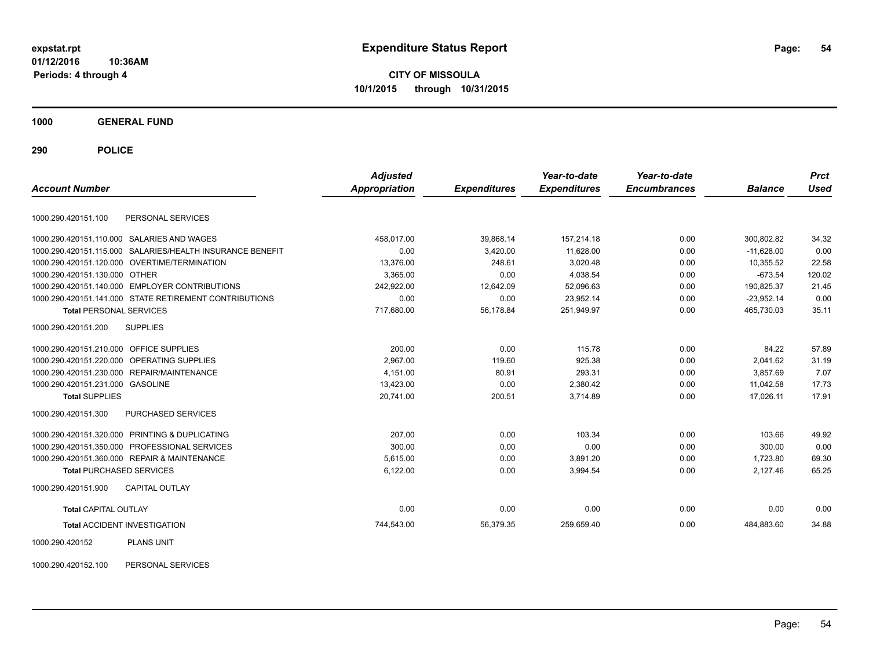**CITY OF MISSOULA 10/1/2015 through 10/31/2015**

**1000 GENERAL FUND**

**290 POLICE**

| <b>Account Number</b>                          |                                                           | <b>Adjusted</b><br><b>Appropriation</b> | <b>Expenditures</b> | Year-to-date<br><b>Expenditures</b> | Year-to-date<br><b>Encumbrances</b> | <b>Balance</b> | <b>Prct</b><br><b>Used</b> |
|------------------------------------------------|-----------------------------------------------------------|-----------------------------------------|---------------------|-------------------------------------|-------------------------------------|----------------|----------------------------|
|                                                |                                                           |                                         |                     |                                     |                                     |                |                            |
| 1000.290.420151.100                            | PERSONAL SERVICES                                         |                                         |                     |                                     |                                     |                |                            |
| 1000.290.420151.110.000 SALARIES AND WAGES     |                                                           | 458,017.00                              | 39,868.14           | 157.214.18                          | 0.00                                | 300.802.82     | 34.32                      |
|                                                | 1000.290.420151.115.000 SALARIES/HEALTH INSURANCE BENEFIT | 0.00                                    | 3,420.00            | 11,628.00                           | 0.00                                | $-11,628.00$   | 0.00                       |
| 1000.290.420151.120.000 OVERTIME/TERMINATION   |                                                           | 13,376.00                               | 248.61              | 3,020.48                            | 0.00                                | 10,355.52      | 22.58                      |
| 1000.290.420151.130.000 OTHER                  |                                                           | 3.365.00                                | 0.00                | 4.038.54                            | 0.00                                | $-673.54$      | 120.02                     |
| 1000.290.420151.140.000 EMPLOYER CONTRIBUTIONS |                                                           | 242,922.00                              | 12,642.09           | 52,096.63                           | 0.00                                | 190,825.37     | 21.45                      |
|                                                | 1000.290.420151.141.000 STATE RETIREMENT CONTRIBUTIONS    | 0.00                                    | 0.00                | 23,952.14                           | 0.00                                | $-23,952.14$   | 0.00                       |
| <b>Total PERSONAL SERVICES</b>                 |                                                           | 717,680.00                              | 56,178.84           | 251,949.97                          | 0.00                                | 465,730.03     | 35.11                      |
| <b>SUPPLIES</b><br>1000.290.420151.200         |                                                           |                                         |                     |                                     |                                     |                |                            |
| 1000.290.420151.210.000 OFFICE SUPPLIES        |                                                           | 200.00                                  | 0.00                | 115.78                              | 0.00                                | 84.22          | 57.89                      |
| 1000.290.420151.220.000 OPERATING SUPPLIES     |                                                           | 2,967.00                                | 119.60              | 925.38                              | 0.00                                | 2.041.62       | 31.19                      |
| 1000.290.420151.230.000 REPAIR/MAINTENANCE     |                                                           | 4,151.00                                | 80.91               | 293.31                              | 0.00                                | 3.857.69       | 7.07                       |
| 1000.290.420151.231.000 GASOLINE               |                                                           | 13,423.00                               | 0.00                | 2,380.42                            | 0.00                                | 11,042.58      | 17.73                      |
| <b>Total SUPPLIES</b>                          |                                                           | 20,741.00                               | 200.51              | 3,714.89                            | 0.00                                | 17,026.11      | 17.91                      |
| 1000.290.420151.300                            | <b>PURCHASED SERVICES</b>                                 |                                         |                     |                                     |                                     |                |                            |
| 1000.290.420151.320.000 PRINTING & DUPLICATING |                                                           | 207.00                                  | 0.00                | 103.34                              | 0.00                                | 103.66         | 49.92                      |
| 1000.290.420151.350.000 PROFESSIONAL SERVICES  |                                                           | 300.00                                  | 0.00                | 0.00                                | 0.00                                | 300.00         | 0.00                       |
| 1000.290.420151.360.000 REPAIR & MAINTENANCE   |                                                           | 5.615.00                                | 0.00                | 3,891.20                            | 0.00                                | 1,723.80       | 69.30                      |
| <b>Total PURCHASED SERVICES</b>                |                                                           | 6,122.00                                | 0.00                | 3,994.54                            | 0.00                                | 2,127.46       | 65.25                      |
| 1000.290.420151.900                            | <b>CAPITAL OUTLAY</b>                                     |                                         |                     |                                     |                                     |                |                            |
| <b>Total CAPITAL OUTLAY</b>                    |                                                           | 0.00                                    | 0.00                | 0.00                                | 0.00                                | 0.00           | 0.00                       |
| <b>Total ACCIDENT INVESTIGATION</b>            |                                                           | 744,543.00                              | 56,379.35           | 259,659.40                          | 0.00                                | 484,883.60     | 34.88                      |
| 1000.290.420152                                | <b>PLANS UNIT</b>                                         |                                         |                     |                                     |                                     |                |                            |

1000.290.420152.100 PERSONAL SERVICES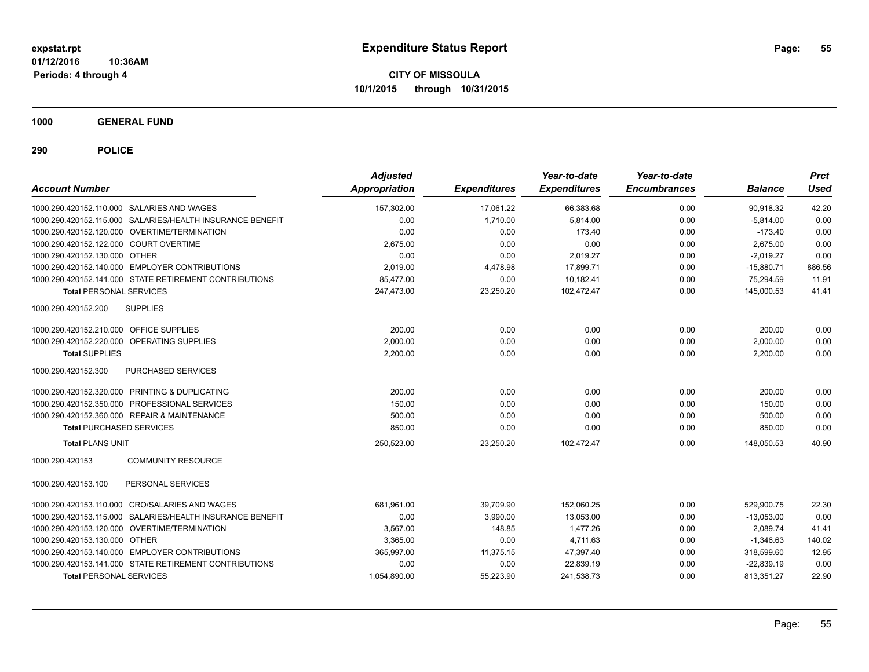**CITY OF MISSOULA 10/1/2015 through 10/31/2015**

**1000 GENERAL FUND**

| <b>Account Number</b>                   |                                                           | <b>Adjusted</b><br><b>Appropriation</b> | <b>Expenditures</b> | Year-to-date<br><b>Expenditures</b> | Year-to-date<br><b>Encumbrances</b> | <b>Balance</b> | <b>Prct</b><br><b>Used</b> |
|-----------------------------------------|-----------------------------------------------------------|-----------------------------------------|---------------------|-------------------------------------|-------------------------------------|----------------|----------------------------|
|                                         | 1000.290.420152.110.000 SALARIES AND WAGES                | 157,302.00                              | 17,061.22           | 66,383.68                           | 0.00                                | 90,918.32      | 42.20                      |
|                                         | 1000.290.420152.115.000 SALARIES/HEALTH INSURANCE BENEFIT | 0.00                                    | 1,710.00            | 5,814.00                            | 0.00                                | $-5,814.00$    | 0.00                       |
|                                         | 1000.290.420152.120.000 OVERTIME/TERMINATION              | 0.00                                    | 0.00                | 173.40                              | 0.00                                | $-173.40$      | 0.00                       |
| 1000.290.420152.122.000 COURT OVERTIME  |                                                           | 2,675.00                                | 0.00                | 0.00                                | 0.00                                | 2,675.00       | 0.00                       |
| 1000.290.420152.130.000 OTHER           |                                                           | 0.00                                    | 0.00                | 2,019.27                            | 0.00                                | $-2.019.27$    | 0.00                       |
|                                         | 1000.290.420152.140.000 EMPLOYER CONTRIBUTIONS            | 2,019.00                                | 4,478.98            | 17,899.71                           | 0.00                                | $-15,880.71$   | 886.56                     |
|                                         | 1000.290.420152.141.000 STATE RETIREMENT CONTRIBUTIONS    | 85,477.00                               | 0.00                | 10,182.41                           | 0.00                                | 75,294.59      | 11.91                      |
| <b>Total PERSONAL SERVICES</b>          |                                                           | 247,473.00                              | 23,250.20           | 102,472.47                          | 0.00                                | 145,000.53     | 41.41                      |
| 1000.290.420152.200                     | <b>SUPPLIES</b>                                           |                                         |                     |                                     |                                     |                |                            |
| 1000.290.420152.210.000 OFFICE SUPPLIES |                                                           | 200.00                                  | 0.00                | 0.00                                | 0.00                                | 200.00         | 0.00                       |
|                                         | 1000.290.420152.220.000 OPERATING SUPPLIES                | 2,000.00                                | 0.00                | 0.00                                | 0.00                                | 2,000.00       | 0.00                       |
| <b>Total SUPPLIES</b>                   |                                                           | 2,200.00                                | 0.00                | 0.00                                | 0.00                                | 2,200.00       | 0.00                       |
| 1000.290.420152.300                     | <b>PURCHASED SERVICES</b>                                 |                                         |                     |                                     |                                     |                |                            |
|                                         | 1000.290.420152.320.000 PRINTING & DUPLICATING            | 200.00                                  | 0.00                | 0.00                                | 0.00                                | 200.00         | 0.00                       |
|                                         | 1000.290.420152.350.000 PROFESSIONAL SERVICES             | 150.00                                  | 0.00                | 0.00                                | 0.00                                | 150.00         | 0.00                       |
|                                         | 1000.290.420152.360.000 REPAIR & MAINTENANCE              | 500.00                                  | 0.00                | 0.00                                | 0.00                                | 500.00         | 0.00                       |
| <b>Total PURCHASED SERVICES</b>         |                                                           | 850.00                                  | 0.00                | 0.00                                | 0.00                                | 850.00         | 0.00                       |
| <b>Total PLANS UNIT</b>                 |                                                           | 250,523.00                              | 23,250.20           | 102,472.47                          | 0.00                                | 148,050.53     | 40.90                      |
| 1000.290.420153                         | <b>COMMUNITY RESOURCE</b>                                 |                                         |                     |                                     |                                     |                |                            |
| 1000.290.420153.100                     | PERSONAL SERVICES                                         |                                         |                     |                                     |                                     |                |                            |
|                                         | 1000.290.420153.110.000 CRO/SALARIES AND WAGES            | 681,961.00                              | 39,709.90           | 152,060.25                          | 0.00                                | 529,900.75     | 22.30                      |
| 1000.290.420153.115.000                 | SALARIES/HEALTH INSURANCE BENEFIT                         | 0.00                                    | 3,990.00            | 13,053.00                           | 0.00                                | $-13,053.00$   | 0.00                       |
|                                         | 1000.290.420153.120.000 OVERTIME/TERMINATION              | 3,567.00                                | 148.85              | 1,477.26                            | 0.00                                | 2,089.74       | 41.41                      |
| 1000.290.420153.130.000 OTHER           |                                                           | 3,365.00                                | 0.00                | 4,711.63                            | 0.00                                | $-1,346.63$    | 140.02                     |
|                                         | 1000.290.420153.140.000 EMPLOYER CONTRIBUTIONS            | 365,997.00                              | 11,375.15           | 47,397.40                           | 0.00                                | 318,599.60     | 12.95                      |
|                                         | 1000.290.420153.141.000 STATE RETIREMENT CONTRIBUTIONS    | 0.00                                    | 0.00                | 22,839.19                           | 0.00                                | $-22,839.19$   | 0.00                       |
| <b>Total PERSONAL SERVICES</b>          |                                                           | 1,054,890.00                            | 55,223.90           | 241,538.73                          | 0.00                                | 813,351.27     | 22.90                      |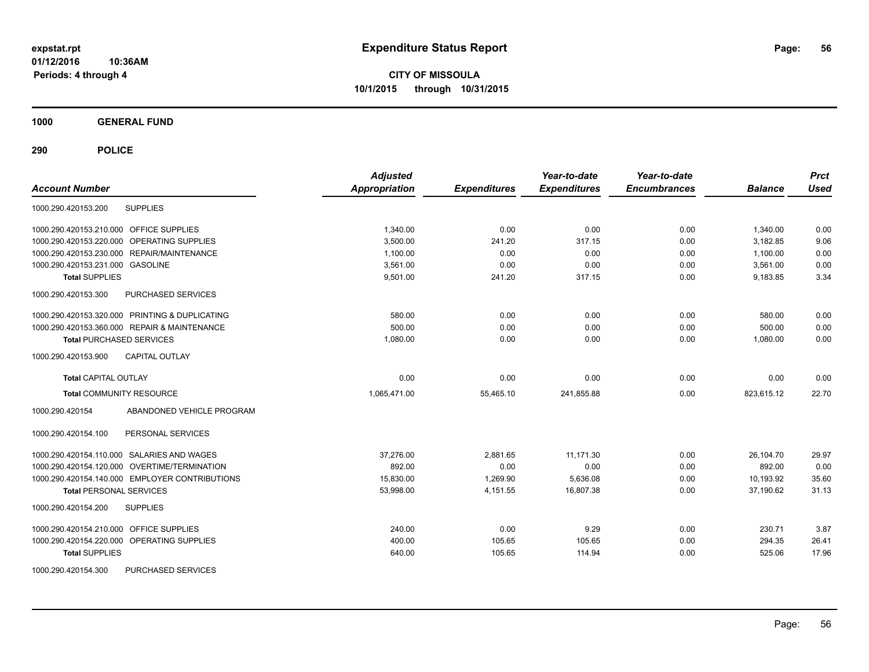**CITY OF MISSOULA 10/1/2015 through 10/31/2015**

**1000 GENERAL FUND**

| <b>Account Number</b>                          | <b>Adjusted</b><br><b>Appropriation</b> | <b>Expenditures</b> | Year-to-date<br><b>Expenditures</b> | Year-to-date<br><b>Encumbrances</b> | <b>Balance</b> | <b>Prct</b><br><b>Used</b> |
|------------------------------------------------|-----------------------------------------|---------------------|-------------------------------------|-------------------------------------|----------------|----------------------------|
| <b>SUPPLIES</b><br>1000.290.420153.200         |                                         |                     |                                     |                                     |                |                            |
| 1000.290.420153.210.000 OFFICE SUPPLIES        | 1.340.00                                | 0.00                | 0.00                                | 0.00                                | 1,340.00       | 0.00                       |
| 1000.290.420153.220.000 OPERATING SUPPLIES     | 3,500.00                                | 241.20              | 317.15                              | 0.00                                | 3,182.85       | 9.06                       |
| 1000.290.420153.230.000 REPAIR/MAINTENANCE     | 1,100.00                                | 0.00                | 0.00                                | 0.00                                | 1,100.00       | 0.00                       |
| 1000.290.420153.231.000 GASOLINE               | 3,561.00                                | 0.00                | 0.00                                | 0.00                                | 3,561.00       | 0.00                       |
| <b>Total SUPPLIES</b>                          | 9,501.00                                | 241.20              | 317.15                              | 0.00                                | 9,183.85       | 3.34                       |
| 1000.290.420153.300<br>PURCHASED SERVICES      |                                         |                     |                                     |                                     |                |                            |
| 1000.290.420153.320.000 PRINTING & DUPLICATING | 580.00                                  | 0.00                | 0.00                                | 0.00                                | 580.00         | 0.00                       |
| 1000.290.420153.360.000 REPAIR & MAINTENANCE   | 500.00                                  | 0.00                | 0.00                                | 0.00                                | 500.00         | 0.00                       |
| <b>Total PURCHASED SERVICES</b>                | 1,080.00                                | 0.00                | 0.00                                | 0.00                                | 1,080.00       | 0.00                       |
| 1000.290.420153.900<br><b>CAPITAL OUTLAY</b>   |                                         |                     |                                     |                                     |                |                            |
| <b>Total CAPITAL OUTLAY</b>                    | 0.00                                    | 0.00                | 0.00                                | 0.00                                | 0.00           | 0.00                       |
| <b>Total COMMUNITY RESOURCE</b>                | 1,065,471.00                            | 55,465.10           | 241,855.88                          | 0.00                                | 823,615.12     | 22.70                      |
| ABANDONED VEHICLE PROGRAM<br>1000.290.420154   |                                         |                     |                                     |                                     |                |                            |
| 1000.290.420154.100<br>PERSONAL SERVICES       |                                         |                     |                                     |                                     |                |                            |
| 1000.290.420154.110.000 SALARIES AND WAGES     | 37,276.00                               | 2,881.65            | 11,171.30                           | 0.00                                | 26,104.70      | 29.97                      |
| 1000.290.420154.120.000 OVERTIME/TERMINATION   | 892.00                                  | 0.00                | 0.00                                | 0.00                                | 892.00         | 0.00                       |
| 1000.290.420154.140.000 EMPLOYER CONTRIBUTIONS | 15,830.00                               | 1.269.90            | 5,636.08                            | 0.00                                | 10,193.92      | 35.60                      |
| <b>Total PERSONAL SERVICES</b>                 | 53,998.00                               | 4,151.55            | 16,807.38                           | 0.00                                | 37.190.62      | 31.13                      |
| 1000.290.420154.200<br><b>SUPPLIES</b>         |                                         |                     |                                     |                                     |                |                            |
| 1000.290.420154.210.000 OFFICE SUPPLIES        | 240.00                                  | 0.00                | 9.29                                | 0.00                                | 230.71         | 3.87                       |
| 1000.290.420154.220.000 OPERATING SUPPLIES     | 400.00                                  | 105.65              | 105.65                              | 0.00                                | 294.35         | 26.41                      |
| <b>Total SUPPLIES</b>                          | 640.00                                  | 105.65              | 114.94                              | 0.00                                | 525.06         | 17.96                      |
| 1000.290.420154.300<br>PURCHASED SERVICES      |                                         |                     |                                     |                                     |                |                            |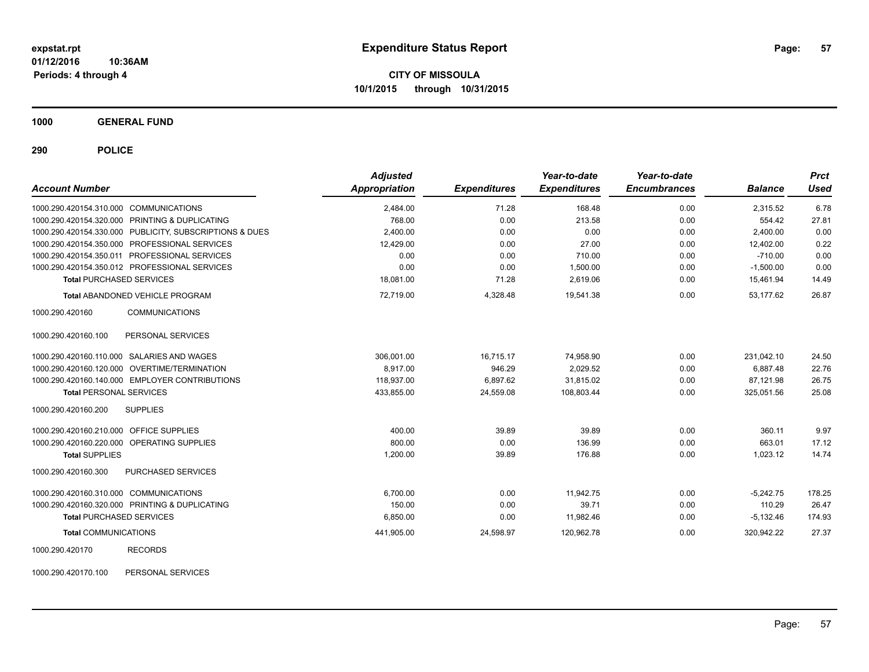**CITY OF MISSOULA 10/1/2015 through 10/31/2015**

**1000 GENERAL FUND**

**290 POLICE**

| <b>Account Number</b>                                   | <b>Adjusted</b><br>Appropriation | <b>Expenditures</b> | Year-to-date<br><b>Expenditures</b> | Year-to-date<br><b>Encumbrances</b> | <b>Balance</b> | <b>Prct</b><br><b>Used</b> |
|---------------------------------------------------------|----------------------------------|---------------------|-------------------------------------|-------------------------------------|----------------|----------------------------|
| 1000.290.420154.310.000 COMMUNICATIONS                  | 2,484.00                         | 71.28               | 168.48                              | 0.00                                | 2,315.52       | 6.78                       |
| 1000.290.420154.320.000 PRINTING & DUPLICATING          | 768.00                           | 0.00                | 213.58                              | 0.00                                | 554.42         | 27.81                      |
| 1000.290.420154.330.000 PUBLICITY, SUBSCRIPTIONS & DUES | 2,400.00                         | 0.00                | 0.00                                | 0.00                                | 2,400.00       | 0.00                       |
| 1000.290.420154.350.000 PROFESSIONAL SERVICES           | 12,429.00                        | 0.00                | 27.00                               | 0.00                                | 12,402.00      | 0.22                       |
| 1000.290.420154.350.011 PROFESSIONAL SERVICES           | 0.00                             | 0.00                | 710.00                              | 0.00                                | $-710.00$      | 0.00                       |
| 1000.290.420154.350.012 PROFESSIONAL SERVICES           | 0.00                             | 0.00                | 1,500.00                            | 0.00                                | $-1,500.00$    | 0.00                       |
| <b>Total PURCHASED SERVICES</b>                         | 18,081.00                        | 71.28               | 2,619.06                            | 0.00                                | 15,461.94      | 14.49                      |
| <b>Total ABANDONED VEHICLE PROGRAM</b>                  | 72,719.00                        | 4,328.48            | 19,541.38                           | 0.00                                | 53.177.62      | 26.87                      |
| <b>COMMUNICATIONS</b><br>1000.290.420160                |                                  |                     |                                     |                                     |                |                            |
| PERSONAL SERVICES<br>1000.290.420160.100                |                                  |                     |                                     |                                     |                |                            |
| 1000.290.420160.110.000 SALARIES AND WAGES              | 306,001.00                       | 16.715.17           | 74,958.90                           | 0.00                                | 231.042.10     | 24.50                      |
| 1000.290.420160.120.000 OVERTIME/TERMINATION            | 8,917.00                         | 946.29              | 2,029.52                            | 0.00                                | 6.887.48       | 22.76                      |
| 1000.290.420160.140.000 EMPLOYER CONTRIBUTIONS          | 118,937.00                       | 6,897.62            | 31,815.02                           | 0.00                                | 87,121.98      | 26.75                      |
| <b>Total PERSONAL SERVICES</b>                          | 433,855.00                       | 24,559.08           | 108,803.44                          | 0.00                                | 325,051.56     | 25.08                      |
| <b>SUPPLIES</b><br>1000.290.420160.200                  |                                  |                     |                                     |                                     |                |                            |
| 1000.290.420160.210.000 OFFICE SUPPLIES                 | 400.00                           | 39.89               | 39.89                               | 0.00                                | 360.11         | 9.97                       |
| 1000.290.420160.220.000 OPERATING SUPPLIES              | 800.00                           | 0.00                | 136.99                              | 0.00                                | 663.01         | 17.12                      |
| <b>Total SUPPLIES</b>                                   | 1,200.00                         | 39.89               | 176.88                              | 0.00                                | 1,023.12       | 14.74                      |
| PURCHASED SERVICES<br>1000.290.420160.300               |                                  |                     |                                     |                                     |                |                            |
| 1000.290.420160.310.000 COMMUNICATIONS                  | 6.700.00                         | 0.00                | 11.942.75                           | 0.00                                | $-5.242.75$    | 178.25                     |
| 1000.290.420160.320.000 PRINTING & DUPLICATING          | 150.00                           | 0.00                | 39.71                               | 0.00                                | 110.29         | 26.47                      |
| <b>Total PURCHASED SERVICES</b>                         | 6,850.00                         | 0.00                | 11,982.46                           | 0.00                                | $-5,132.46$    | 174.93                     |
| <b>Total COMMUNICATIONS</b>                             | 441,905.00                       | 24,598.97           | 120,962.78                          | 0.00                                | 320,942.22     | 27.37                      |
| 1000.290.420170<br><b>RECORDS</b>                       |                                  |                     |                                     |                                     |                |                            |

1000.290.420170.100 PERSONAL SERVICES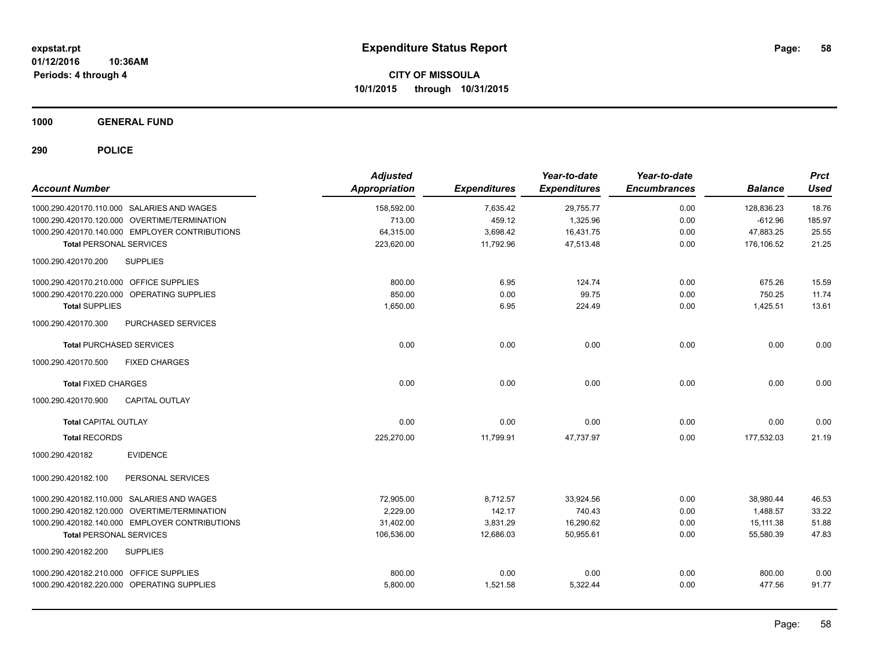**CITY OF MISSOULA 10/1/2015 through 10/31/2015**

**1000 GENERAL FUND**

| <b>Account Number</b>                            | <b>Adjusted</b><br>Appropriation | <b>Expenditures</b> | Year-to-date<br><b>Expenditures</b> | Year-to-date<br><b>Encumbrances</b> | <b>Balance</b> | <b>Prct</b><br><b>Used</b> |
|--------------------------------------------------|----------------------------------|---------------------|-------------------------------------|-------------------------------------|----------------|----------------------------|
| 1000.290.420170.110.000 SALARIES AND WAGES       | 158,592.00                       | 7,635.42            | 29,755.77                           | 0.00                                | 128,836.23     | 18.76                      |
| 1000.290.420170.120.000 OVERTIME/TERMINATION     | 713.00                           | 459.12              | 1,325.96                            | 0.00                                | $-612.96$      | 185.97                     |
| 1000.290.420170.140.000 EMPLOYER CONTRIBUTIONS   | 64,315.00                        | 3,698.42            | 16,431.75                           | 0.00                                | 47,883.25      | 25.55                      |
| <b>Total PERSONAL SERVICES</b>                   | 223,620.00                       | 11,792.96           | 47,513.48                           | 0.00                                | 176,106.52     | 21.25                      |
| <b>SUPPLIES</b><br>1000.290.420170.200           |                                  |                     |                                     |                                     |                |                            |
| 1000.290.420170.210.000 OFFICE SUPPLIES          | 800.00                           | 6.95                | 124.74                              | 0.00                                | 675.26         | 15.59                      |
| 1000.290.420170.220.000 OPERATING SUPPLIES       | 850.00                           | 0.00                | 99.75                               | 0.00                                | 750.25         | 11.74                      |
| <b>Total SUPPLIES</b>                            | 1,650.00                         | 6.95                | 224.49                              | 0.00                                | 1,425.51       | 13.61                      |
| 1000.290.420170.300<br><b>PURCHASED SERVICES</b> |                                  |                     |                                     |                                     |                |                            |
| <b>Total PURCHASED SERVICES</b>                  | 0.00                             | 0.00                | 0.00                                | 0.00                                | 0.00           | 0.00                       |
| <b>FIXED CHARGES</b><br>1000.290.420170.500      |                                  |                     |                                     |                                     |                |                            |
| <b>Total FIXED CHARGES</b>                       | 0.00                             | 0.00                | 0.00                                | 0.00                                | 0.00           | 0.00                       |
| 1000.290.420170.900<br>CAPITAL OUTLAY            |                                  |                     |                                     |                                     |                |                            |
| <b>Total CAPITAL OUTLAY</b>                      | 0.00                             | 0.00                | 0.00                                | 0.00                                | 0.00           | 0.00                       |
| <b>Total RECORDS</b>                             | 225,270.00                       | 11,799.91           | 47,737.97                           | 0.00                                | 177,532.03     | 21.19                      |
| <b>EVIDENCE</b><br>1000.290.420182               |                                  |                     |                                     |                                     |                |                            |
| PERSONAL SERVICES<br>1000.290.420182.100         |                                  |                     |                                     |                                     |                |                            |
| 1000.290.420182.110.000 SALARIES AND WAGES       | 72,905.00                        | 8,712.57            | 33,924.56                           | 0.00                                | 38,980.44      | 46.53                      |
| 1000.290.420182.120.000 OVERTIME/TERMINATION     | 2.229.00                         | 142.17              | 740.43                              | 0.00                                | 1,488.57       | 33.22                      |
| 1000.290.420182.140.000 EMPLOYER CONTRIBUTIONS   | 31,402.00                        | 3,831.29            | 16,290.62                           | 0.00                                | 15,111.38      | 51.88                      |
| <b>Total PERSONAL SERVICES</b>                   | 106,536.00                       | 12,686.03           | 50,955.61                           | 0.00                                | 55,580.39      | 47.83                      |
| <b>SUPPLIES</b><br>1000.290.420182.200           |                                  |                     |                                     |                                     |                |                            |
| 1000.290.420182.210.000 OFFICE SUPPLIES          | 800.00                           | 0.00                | 0.00                                | 0.00                                | 800.00         | 0.00                       |
| 1000.290.420182.220.000 OPERATING SUPPLIES       | 5,800.00                         | 1,521.58            | 5,322.44                            | 0.00                                | 477.56         | 91.77                      |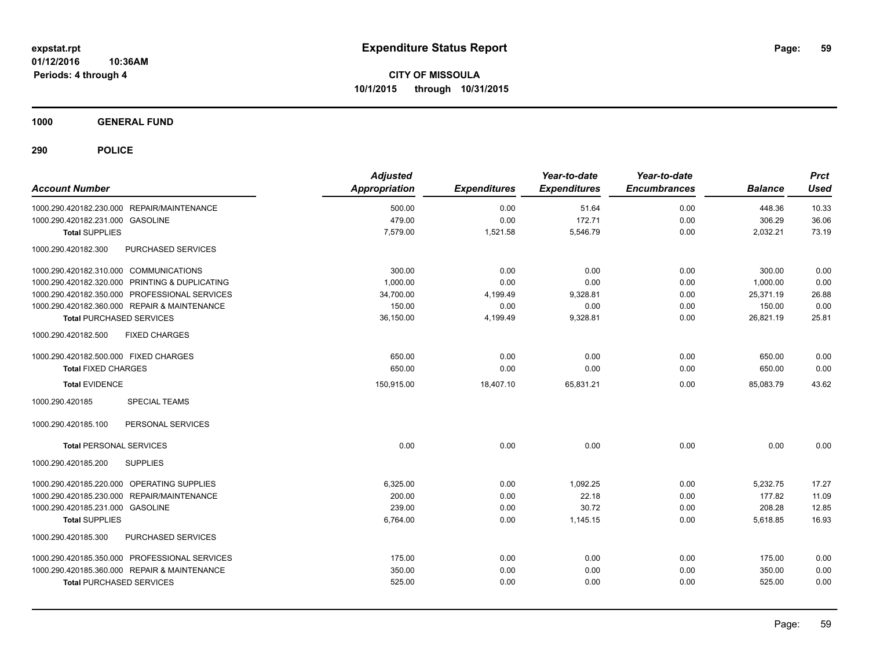**CITY OF MISSOULA 10/1/2015 through 10/31/2015**

**1000 GENERAL FUND**

| <b>Account Number</b>                          | <b>Adjusted</b><br><b>Appropriation</b> | <b>Expenditures</b> | Year-to-date<br><b>Expenditures</b> | Year-to-date<br><b>Encumbrances</b> | <b>Balance</b> | <b>Prct</b><br><b>Used</b> |
|------------------------------------------------|-----------------------------------------|---------------------|-------------------------------------|-------------------------------------|----------------|----------------------------|
| 1000.290.420182.230.000 REPAIR/MAINTENANCE     | 500.00                                  | 0.00                | 51.64                               | 0.00                                | 448.36         | 10.33                      |
| 1000.290.420182.231.000 GASOLINE               | 479.00                                  | 0.00                | 172.71                              | 0.00                                | 306.29         | 36.06                      |
| <b>Total SUPPLIES</b>                          | 7,579.00                                | 1,521.58            | 5,546.79                            | 0.00                                | 2,032.21       | 73.19                      |
| 1000.290.420182.300<br>PURCHASED SERVICES      |                                         |                     |                                     |                                     |                |                            |
| 1000.290.420182.310.000 COMMUNICATIONS         | 300.00                                  | 0.00                | 0.00                                | 0.00                                | 300.00         | 0.00                       |
| 1000.290.420182.320.000 PRINTING & DUPLICATING | 1,000.00                                | 0.00                | 0.00                                | 0.00                                | 1.000.00       | 0.00                       |
| 1000.290.420182.350.000 PROFESSIONAL SERVICES  | 34,700.00                               | 4,199.49            | 9,328.81                            | 0.00                                | 25,371.19      | 26.88                      |
| 1000.290.420182.360.000 REPAIR & MAINTENANCE   | 150.00                                  | 0.00                | 0.00                                | 0.00                                | 150.00         | 0.00                       |
| <b>Total PURCHASED SERVICES</b>                | 36,150.00                               | 4,199.49            | 9,328.81                            | 0.00                                | 26,821.19      | 25.81                      |
| 1000.290.420182.500<br><b>FIXED CHARGES</b>    |                                         |                     |                                     |                                     |                |                            |
| 1000.290.420182.500.000 FIXED CHARGES          | 650.00                                  | 0.00                | 0.00                                | 0.00                                | 650.00         | 0.00                       |
| <b>Total FIXED CHARGES</b>                     | 650.00                                  | 0.00                | 0.00                                | 0.00                                | 650.00         | 0.00                       |
| <b>Total EVIDENCE</b>                          | 150,915.00                              | 18,407.10           | 65,831.21                           | 0.00                                | 85.083.79      | 43.62                      |
| 1000.290.420185<br><b>SPECIAL TEAMS</b>        |                                         |                     |                                     |                                     |                |                            |
| PERSONAL SERVICES<br>1000.290.420185.100       |                                         |                     |                                     |                                     |                |                            |
| <b>Total PERSONAL SERVICES</b>                 | 0.00                                    | 0.00                | 0.00                                | 0.00                                | 0.00           | 0.00                       |
| 1000.290.420185.200<br><b>SUPPLIES</b>         |                                         |                     |                                     |                                     |                |                            |
| 1000.290.420185.220.000 OPERATING SUPPLIES     | 6,325.00                                | 0.00                | 1,092.25                            | 0.00                                | 5,232.75       | 17.27                      |
| 1000.290.420185.230.000 REPAIR/MAINTENANCE     | 200.00                                  | 0.00                | 22.18                               | 0.00                                | 177.82         | 11.09                      |
| 1000.290.420185.231.000 GASOLINE               | 239.00                                  | 0.00                | 30.72                               | 0.00                                | 208.28         | 12.85                      |
| <b>Total SUPPLIES</b>                          | 6,764.00                                | 0.00                | 1,145.15                            | 0.00                                | 5,618.85       | 16.93                      |
| 1000.290.420185.300<br>PURCHASED SERVICES      |                                         |                     |                                     |                                     |                |                            |
| 1000.290.420185.350.000 PROFESSIONAL SERVICES  | 175.00                                  | 0.00                | 0.00                                | 0.00                                | 175.00         | 0.00                       |
| 1000.290.420185.360.000 REPAIR & MAINTENANCE   | 350.00                                  | 0.00                | 0.00                                | 0.00                                | 350.00         | 0.00                       |
| <b>Total PURCHASED SERVICES</b>                | 525.00                                  | 0.00                | 0.00                                | 0.00                                | 525.00         | 0.00                       |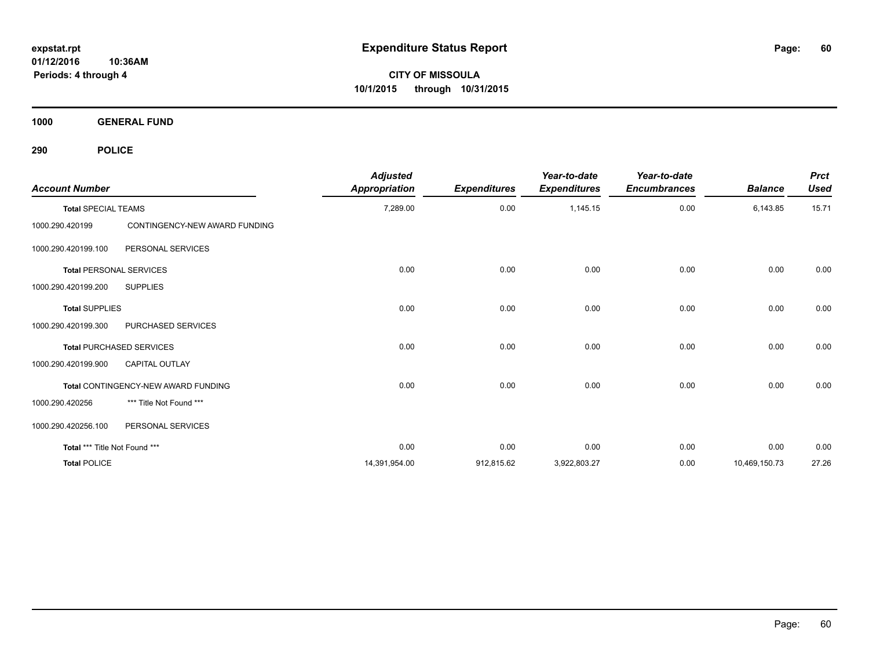**CITY OF MISSOULA 10/1/2015 through 10/31/2015**

**1000 GENERAL FUND**

| <b>Account Number</b>          |                                     | <b>Adjusted</b><br><b>Appropriation</b> | <b>Expenditures</b> | Year-to-date<br><b>Expenditures</b> | Year-to-date<br><b>Encumbrances</b> | <b>Balance</b> | <b>Prct</b><br><b>Used</b> |
|--------------------------------|-------------------------------------|-----------------------------------------|---------------------|-------------------------------------|-------------------------------------|----------------|----------------------------|
| <b>Total SPECIAL TEAMS</b>     |                                     | 7,289.00                                | 0.00                | 1,145.15                            | 0.00                                | 6,143.85       | 15.71                      |
| 1000.290.420199                | CONTINGENCY-NEW AWARD FUNDING       |                                         |                     |                                     |                                     |                |                            |
| 1000.290.420199.100            | PERSONAL SERVICES                   |                                         |                     |                                     |                                     |                |                            |
| <b>Total PERSONAL SERVICES</b> |                                     | 0.00                                    | 0.00                | 0.00                                | 0.00                                | 0.00           | 0.00                       |
| 1000.290.420199.200            | <b>SUPPLIES</b>                     |                                         |                     |                                     |                                     |                |                            |
| <b>Total SUPPLIES</b>          |                                     | 0.00                                    | 0.00                | 0.00                                | 0.00                                | 0.00           | 0.00                       |
| 1000.290.420199.300            | PURCHASED SERVICES                  |                                         |                     |                                     |                                     |                |                            |
|                                | <b>Total PURCHASED SERVICES</b>     | 0.00                                    | 0.00                | 0.00                                | 0.00                                | 0.00           | 0.00                       |
| 1000.290.420199.900            | <b>CAPITAL OUTLAY</b>               |                                         |                     |                                     |                                     |                |                            |
|                                | Total CONTINGENCY-NEW AWARD FUNDING | 0.00                                    | 0.00                | 0.00                                | 0.00                                | 0.00           | 0.00                       |
| 1000.290.420256                | *** Title Not Found ***             |                                         |                     |                                     |                                     |                |                            |
| 1000.290.420256.100            | PERSONAL SERVICES                   |                                         |                     |                                     |                                     |                |                            |
| Total *** Title Not Found ***  |                                     | 0.00                                    | 0.00                | 0.00                                | 0.00                                | 0.00           | 0.00                       |
| <b>Total POLICE</b>            |                                     | 14,391,954.00                           | 912,815.62          | 3,922,803.27                        | 0.00                                | 10,469,150.73  | 27.26                      |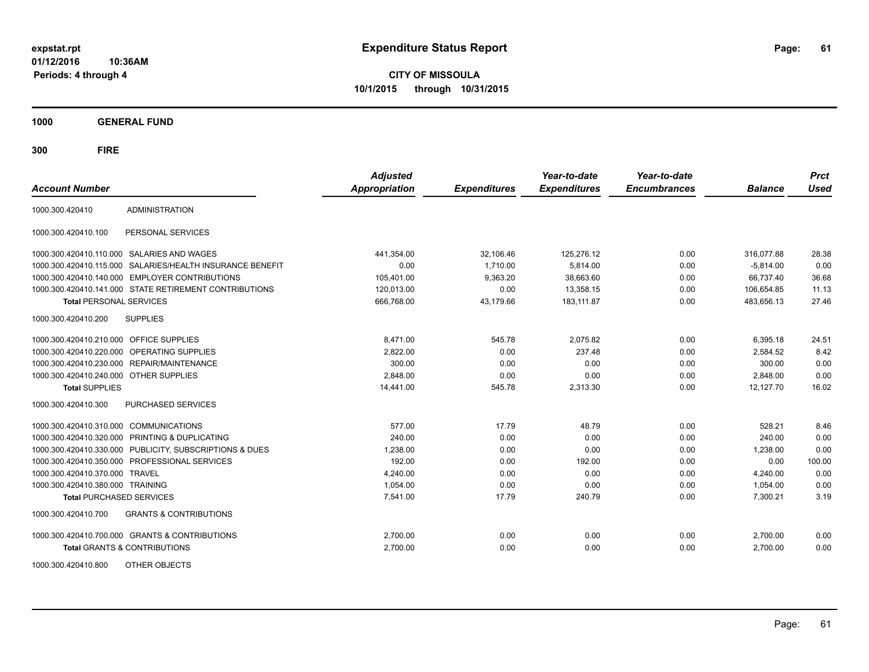**CITY OF MISSOULA 10/1/2015 through 10/31/2015**

**1000 GENERAL FUND**

| <b>Account Number</b>                   |                                                           | <b>Adjusted</b><br>Appropriation | <b>Expenditures</b> | Year-to-date<br><b>Expenditures</b> | Year-to-date<br><b>Encumbrances</b> | <b>Balance</b> | <b>Prct</b><br><b>Used</b> |
|-----------------------------------------|-----------------------------------------------------------|----------------------------------|---------------------|-------------------------------------|-------------------------------------|----------------|----------------------------|
| 1000.300.420410                         | <b>ADMINISTRATION</b>                                     |                                  |                     |                                     |                                     |                |                            |
| 1000.300.420410.100                     | PERSONAL SERVICES                                         |                                  |                     |                                     |                                     |                |                            |
|                                         | 1000.300.420410.110.000 SALARIES AND WAGES                | 441,354.00                       | 32,106.46           | 125,276.12                          | 0.00                                | 316,077.88     | 28.38                      |
|                                         | 1000.300.420410.115.000 SALARIES/HEALTH INSURANCE BENEFIT | 0.00                             | 1,710.00            | 5,814.00                            | 0.00                                | $-5,814.00$    | 0.00                       |
|                                         | 1000.300.420410.140.000 EMPLOYER CONTRIBUTIONS            | 105,401.00                       | 9,363.20            | 38,663.60                           | 0.00                                | 66.737.40      | 36.68                      |
|                                         | 1000.300.420410.141.000 STATE RETIREMENT CONTRIBUTIONS    | 120,013.00                       | 0.00                | 13,358.15                           | 0.00                                | 106,654.85     | 11.13                      |
| <b>Total PERSONAL SERVICES</b>          |                                                           | 666,768.00                       | 43,179.66           | 183,111.87                          | 0.00                                | 483,656.13     | 27.46                      |
| 1000.300.420410.200                     | <b>SUPPLIES</b>                                           |                                  |                     |                                     |                                     |                |                            |
| 1000.300.420410.210.000 OFFICE SUPPLIES |                                                           | 8.471.00                         | 545.78              | 2,075.82                            | 0.00                                | 6.395.18       | 24.51                      |
|                                         | 1000.300.420410.220.000 OPERATING SUPPLIES                | 2,822.00                         | 0.00                | 237.48                              | 0.00                                | 2,584.52       | 8.42                       |
|                                         | 1000.300.420410.230.000 REPAIR/MAINTENANCE                | 300.00                           | 0.00                | 0.00                                | 0.00                                | 300.00         | 0.00                       |
| 1000.300.420410.240.000 OTHER SUPPLIES  |                                                           | 2.848.00                         | 0.00                | 0.00                                | 0.00                                | 2.848.00       | 0.00                       |
| <b>Total SUPPLIES</b>                   |                                                           | 14,441.00                        | 545.78              | 2,313.30                            | 0.00                                | 12,127.70      | 16.02                      |
| 1000.300.420410.300                     | PURCHASED SERVICES                                        |                                  |                     |                                     |                                     |                |                            |
| 1000.300.420410.310.000                 | <b>COMMUNICATIONS</b>                                     | 577.00                           | 17.79               | 48.79                               | 0.00                                | 528.21         | 8.46                       |
|                                         | 1000.300.420410.320.000 PRINTING & DUPLICATING            | 240.00                           | 0.00                | 0.00                                | 0.00                                | 240.00         | 0.00                       |
|                                         | 1000.300.420410.330.000 PUBLICITY, SUBSCRIPTIONS & DUES   | 1,238.00                         | 0.00                | 0.00                                | 0.00                                | 1,238.00       | 0.00                       |
|                                         | 1000.300.420410.350.000 PROFESSIONAL SERVICES             | 192.00                           | 0.00                | 192.00                              | 0.00                                | 0.00           | 100.00                     |
| 1000.300.420410.370.000                 | <b>TRAVEL</b>                                             | 4,240.00                         | 0.00                | 0.00                                | 0.00                                | 4,240.00       | 0.00                       |
| 1000.300.420410.380.000 TRAINING        |                                                           | 1,054.00                         | 0.00                | 0.00                                | 0.00                                | 1,054.00       | 0.00                       |
| <b>Total PURCHASED SERVICES</b>         |                                                           | 7,541.00                         | 17.79               | 240.79                              | 0.00                                | 7,300.21       | 3.19                       |
| 1000.300.420410.700                     | <b>GRANTS &amp; CONTRIBUTIONS</b>                         |                                  |                     |                                     |                                     |                |                            |
|                                         | 1000.300.420410.700.000 GRANTS & CONTRIBUTIONS            | 2,700.00                         | 0.00                | 0.00                                | 0.00                                | 2,700.00       | 0.00                       |
|                                         | <b>Total GRANTS &amp; CONTRIBUTIONS</b>                   | 2,700.00                         | 0.00                | 0.00                                | 0.00                                | 2,700.00       | 0.00                       |
| 1000.300.420410.800                     | OTHER OBJECTS                                             |                                  |                     |                                     |                                     |                |                            |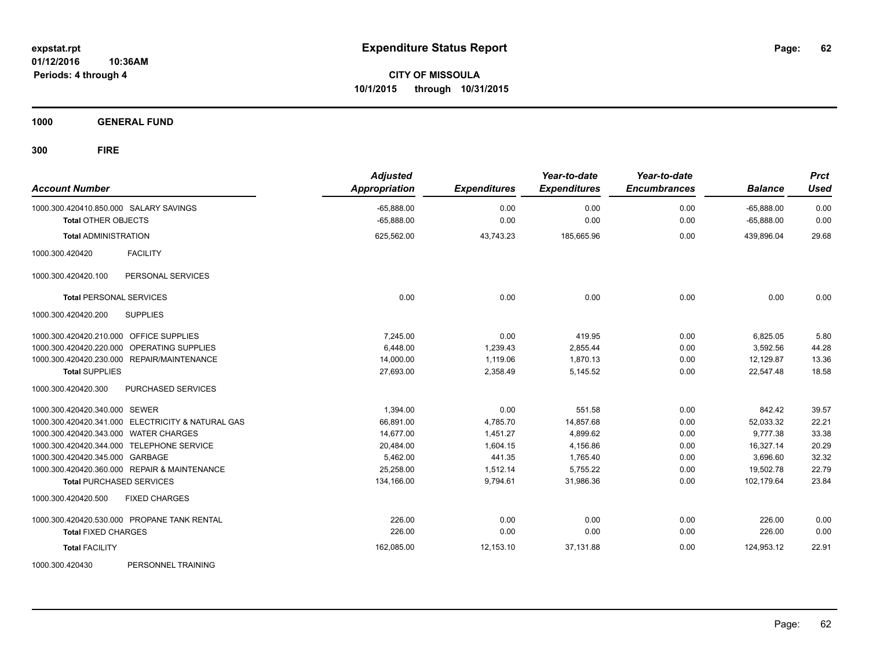**CITY OF MISSOULA 10/1/2015 through 10/31/2015**

**1000 GENERAL FUND**

| <b>Account Number</b>                             | <b>Adjusted</b><br><b>Appropriation</b> | <b>Expenditures</b> | Year-to-date<br><b>Expenditures</b> | Year-to-date<br><b>Encumbrances</b> | <b>Balance</b> | <b>Prct</b><br><b>Used</b> |
|---------------------------------------------------|-----------------------------------------|---------------------|-------------------------------------|-------------------------------------|----------------|----------------------------|
| 1000.300.420410.850.000 SALARY SAVINGS            | $-65,888.00$                            | 0.00                | 0.00                                | 0.00                                | $-65,888.00$   | 0.00                       |
| <b>Total OTHER OBJECTS</b>                        | $-65,888.00$                            | 0.00                | 0.00                                | 0.00                                | $-65,888.00$   | 0.00                       |
| <b>Total ADMINISTRATION</b>                       | 625,562.00                              | 43,743.23           | 185,665.96                          | 0.00                                | 439,896.04     | 29.68                      |
| <b>FACILITY</b><br>1000.300.420420                |                                         |                     |                                     |                                     |                |                            |
| PERSONAL SERVICES<br>1000.300.420420.100          |                                         |                     |                                     |                                     |                |                            |
| <b>Total PERSONAL SERVICES</b>                    | 0.00                                    | 0.00                | 0.00                                | 0.00                                | 0.00           | 0.00                       |
| <b>SUPPLIES</b><br>1000.300.420420.200            |                                         |                     |                                     |                                     |                |                            |
| 1000.300.420420.210.000 OFFICE SUPPLIES           | 7,245.00                                | 0.00                | 419.95                              | 0.00                                | 6,825.05       | 5.80                       |
| 1000.300.420420.220.000 OPERATING SUPPLIES        | 6.448.00                                | 1,239.43            | 2,855.44                            | 0.00                                | 3.592.56       | 44.28                      |
| 1000.300.420420.230.000 REPAIR/MAINTENANCE        | 14,000.00                               | 1,119.06            | 1,870.13                            | 0.00                                | 12,129.87      | 13.36                      |
| <b>Total SUPPLIES</b>                             | 27,693.00                               | 2,358.49            | 5,145.52                            | 0.00                                | 22,547.48      | 18.58                      |
| 1000.300.420420.300<br>PURCHASED SERVICES         |                                         |                     |                                     |                                     |                |                            |
| 1000.300.420420.340.000 SEWER                     | 1,394.00                                | 0.00                | 551.58                              | 0.00                                | 842.42         | 39.57                      |
| 1000.300.420420.341.000 ELECTRICITY & NATURAL GAS | 66,891.00                               | 4,785.70            | 14,857.68                           | 0.00                                | 52,033.32      | 22.21                      |
| 1000.300.420420.343.000 WATER CHARGES             | 14,677.00                               | 1,451.27            | 4,899.62                            | 0.00                                | 9,777.38       | 33.38                      |
| 1000.300.420420.344.000 TELEPHONE SERVICE         | 20,484.00                               | 1.604.15            | 4,156.86                            | 0.00                                | 16,327.14      | 20.29                      |
| 1000.300.420420.345.000 GARBAGE                   | 5,462.00                                | 441.35              | 1,765.40                            | 0.00                                | 3,696.60       | 32.32                      |
| 1000.300.420420.360.000 REPAIR & MAINTENANCE      | 25,258.00                               | 1,512.14            | 5,755.22                            | 0.00                                | 19,502.78      | 22.79                      |
| <b>Total PURCHASED SERVICES</b>                   | 134,166.00                              | 9,794.61            | 31,986.36                           | 0.00                                | 102,179.64     | 23.84                      |
| <b>FIXED CHARGES</b><br>1000.300.420420.500       |                                         |                     |                                     |                                     |                |                            |
| 1000.300.420420.530.000 PROPANE TANK RENTAL       | 226.00                                  | 0.00                | 0.00                                | 0.00                                | 226.00         | 0.00                       |
| <b>Total FIXED CHARGES</b>                        | 226.00                                  | 0.00                | 0.00                                | 0.00                                | 226.00         | 0.00                       |
| <b>Total FACILITY</b>                             | 162,085.00                              | 12,153.10           | 37,131.88                           | 0.00                                | 124,953.12     | 22.91                      |
| 1000.300.420430<br>PERSONNEL TRAINING             |                                         |                     |                                     |                                     |                |                            |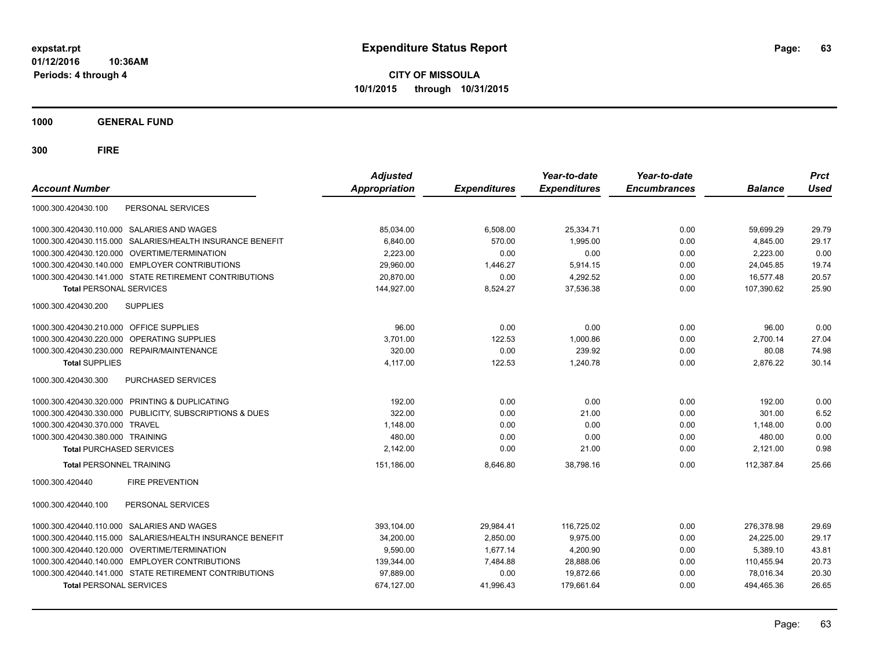**CITY OF MISSOULA 10/1/2015 through 10/31/2015**

**1000 GENERAL FUND**

| PERSONAL SERVICES<br>1000.300.420430.100<br>1000.300.420430.110.000 SALARIES AND WAGES<br>85,034.00<br>6,508.00<br>25,334.71<br>0.00<br>59,699.29<br>29.79<br>29.17<br>SALARIES/HEALTH INSURANCE BENEFIT<br>6.840.00<br>570.00<br>1.995.00<br>0.00<br>4.845.00<br>1000.300.420430.115.000<br>0.00<br>1000.300.420430.120.000 OVERTIME/TERMINATION<br>2,223.00<br>0.00<br>0.00<br>2,223.00<br>0.00<br>1000.300.420430.140.000 EMPLOYER CONTRIBUTIONS<br>29,960.00<br>1,446.27<br>5,914.15<br>0.00<br>19.74<br>24,045.85<br>1000.300.420430.141.000 STATE RETIREMENT CONTRIBUTIONS<br>20,870.00<br>0.00<br>4,292.52<br>16,577.48<br>20.57<br>0.00<br>25.90<br>144,927.00<br>8,524.27<br>37,536.38<br>0.00<br>107,390.62<br><b>Total PERSONAL SERVICES</b><br>1000.300.420430.200<br><b>SUPPLIES</b><br>96.00<br>0.00<br>0.00<br>0.00<br>96.00<br>0.00<br>27.04<br>3,701.00<br>122.53<br>1,000.86<br>0.00<br>2,700.14<br>320.00<br>0.00<br>239.92<br>80.08<br>74.98<br>1000.300.420430.230.000 REPAIR/MAINTENANCE<br>0.00<br>30.14<br>4.117.00<br>122.53<br>1,240.78<br>0.00<br>2,876.22<br><b>Total SUPPLIES</b><br><b>PURCHASED SERVICES</b><br>0.00<br>0.00<br>0.00<br>1000.300.420430.320.000 PRINTING & DUPLICATING<br>192.00<br>192.00<br>0.00<br>322.00<br>6.52<br>1000.300.420430.330.000 PUBLICITY, SUBSCRIPTIONS & DUES<br>0.00<br>21.00<br>0.00<br>301.00<br>0.00<br>1.148.00<br>0.00<br>0.00<br>1,148.00<br>0.00<br>480.00<br>0.00<br>480.00<br>0.00<br>1000.300.420430.380.000 TRAINING<br>0.00<br>0.00<br>0.98<br>2,142.00<br>0.00<br>21.00<br>0.00<br>2,121.00<br><b>Total PURCHASED SERVICES</b><br>0.00<br>112,387.84<br>25.66<br><b>Total PERSONNEL TRAINING</b><br>151,186.00<br>8,646.80<br>38,798.16<br><b>FIRE PREVENTION</b><br>1000.300.420440.100<br>PERSONAL SERVICES<br>1000.300.420440.110.000 SALARIES AND WAGES<br>393.104.00<br>29,984.41<br>116,725.02<br>0.00<br>276.378.98<br>29.69<br>SALARIES/HEALTH INSURANCE BENEFIT<br>2,850.00<br>9,975.00<br>0.00<br>24,225.00<br>29.17<br>1000.300.420440.115.000<br>34,200.00<br>9,590.00<br>1.677.14<br>4,200.90<br>0.00<br>5,389.10<br>43.81<br>139,344.00<br>7,484.88<br>28,888.06<br>0.00<br>110,455.94<br>20.73<br>1000.300.420440.141.000 STATE RETIREMENT CONTRIBUTIONS<br>97,889.00<br>0.00<br>19,872.66<br>0.00<br>78,016.34<br>20.30<br><b>Total PERSONAL SERVICES</b><br>674,127.00<br>179.661.64<br>0.00<br>494,465.36<br>26.65<br>41.996.43 | <b>Account Number</b>                          | <b>Adjusted</b><br><b>Appropriation</b> | <b>Expenditures</b> | Year-to-date<br><b>Expenditures</b> | Year-to-date<br><b>Encumbrances</b> | <b>Balance</b> | <b>Prct</b><br><b>Used</b> |
|----------------------------------------------------------------------------------------------------------------------------------------------------------------------------------------------------------------------------------------------------------------------------------------------------------------------------------------------------------------------------------------------------------------------------------------------------------------------------------------------------------------------------------------------------------------------------------------------------------------------------------------------------------------------------------------------------------------------------------------------------------------------------------------------------------------------------------------------------------------------------------------------------------------------------------------------------------------------------------------------------------------------------------------------------------------------------------------------------------------------------------------------------------------------------------------------------------------------------------------------------------------------------------------------------------------------------------------------------------------------------------------------------------------------------------------------------------------------------------------------------------------------------------------------------------------------------------------------------------------------------------------------------------------------------------------------------------------------------------------------------------------------------------------------------------------------------------------------------------------------------------------------------------------------------------------------------------------------------------------------------------------------------------------------------------------------------------------------------------------------------------------------------------------------------------------------------------------------------------------------------------------------------------------------------------------------------------------------------------------------------------------------------------------------------------|------------------------------------------------|-----------------------------------------|---------------------|-------------------------------------|-------------------------------------|----------------|----------------------------|
|                                                                                                                                                                                                                                                                                                                                                                                                                                                                                                                                                                                                                                                                                                                                                                                                                                                                                                                                                                                                                                                                                                                                                                                                                                                                                                                                                                                                                                                                                                                                                                                                                                                                                                                                                                                                                                                                                                                                                                                                                                                                                                                                                                                                                                                                                                                                                                                                                                  |                                                |                                         |                     |                                     |                                     |                |                            |
|                                                                                                                                                                                                                                                                                                                                                                                                                                                                                                                                                                                                                                                                                                                                                                                                                                                                                                                                                                                                                                                                                                                                                                                                                                                                                                                                                                                                                                                                                                                                                                                                                                                                                                                                                                                                                                                                                                                                                                                                                                                                                                                                                                                                                                                                                                                                                                                                                                  |                                                |                                         |                     |                                     |                                     |                |                            |
|                                                                                                                                                                                                                                                                                                                                                                                                                                                                                                                                                                                                                                                                                                                                                                                                                                                                                                                                                                                                                                                                                                                                                                                                                                                                                                                                                                                                                                                                                                                                                                                                                                                                                                                                                                                                                                                                                                                                                                                                                                                                                                                                                                                                                                                                                                                                                                                                                                  |                                                |                                         |                     |                                     |                                     |                |                            |
|                                                                                                                                                                                                                                                                                                                                                                                                                                                                                                                                                                                                                                                                                                                                                                                                                                                                                                                                                                                                                                                                                                                                                                                                                                                                                                                                                                                                                                                                                                                                                                                                                                                                                                                                                                                                                                                                                                                                                                                                                                                                                                                                                                                                                                                                                                                                                                                                                                  |                                                |                                         |                     |                                     |                                     |                |                            |
|                                                                                                                                                                                                                                                                                                                                                                                                                                                                                                                                                                                                                                                                                                                                                                                                                                                                                                                                                                                                                                                                                                                                                                                                                                                                                                                                                                                                                                                                                                                                                                                                                                                                                                                                                                                                                                                                                                                                                                                                                                                                                                                                                                                                                                                                                                                                                                                                                                  |                                                |                                         |                     |                                     |                                     |                |                            |
|                                                                                                                                                                                                                                                                                                                                                                                                                                                                                                                                                                                                                                                                                                                                                                                                                                                                                                                                                                                                                                                                                                                                                                                                                                                                                                                                                                                                                                                                                                                                                                                                                                                                                                                                                                                                                                                                                                                                                                                                                                                                                                                                                                                                                                                                                                                                                                                                                                  |                                                |                                         |                     |                                     |                                     |                |                            |
|                                                                                                                                                                                                                                                                                                                                                                                                                                                                                                                                                                                                                                                                                                                                                                                                                                                                                                                                                                                                                                                                                                                                                                                                                                                                                                                                                                                                                                                                                                                                                                                                                                                                                                                                                                                                                                                                                                                                                                                                                                                                                                                                                                                                                                                                                                                                                                                                                                  |                                                |                                         |                     |                                     |                                     |                |                            |
|                                                                                                                                                                                                                                                                                                                                                                                                                                                                                                                                                                                                                                                                                                                                                                                                                                                                                                                                                                                                                                                                                                                                                                                                                                                                                                                                                                                                                                                                                                                                                                                                                                                                                                                                                                                                                                                                                                                                                                                                                                                                                                                                                                                                                                                                                                                                                                                                                                  |                                                |                                         |                     |                                     |                                     |                |                            |
|                                                                                                                                                                                                                                                                                                                                                                                                                                                                                                                                                                                                                                                                                                                                                                                                                                                                                                                                                                                                                                                                                                                                                                                                                                                                                                                                                                                                                                                                                                                                                                                                                                                                                                                                                                                                                                                                                                                                                                                                                                                                                                                                                                                                                                                                                                                                                                                                                                  | 1000.300.420430.210.000 OFFICE SUPPLIES        |                                         |                     |                                     |                                     |                |                            |
|                                                                                                                                                                                                                                                                                                                                                                                                                                                                                                                                                                                                                                                                                                                                                                                                                                                                                                                                                                                                                                                                                                                                                                                                                                                                                                                                                                                                                                                                                                                                                                                                                                                                                                                                                                                                                                                                                                                                                                                                                                                                                                                                                                                                                                                                                                                                                                                                                                  | 1000.300.420430.220.000 OPERATING SUPPLIES     |                                         |                     |                                     |                                     |                |                            |
|                                                                                                                                                                                                                                                                                                                                                                                                                                                                                                                                                                                                                                                                                                                                                                                                                                                                                                                                                                                                                                                                                                                                                                                                                                                                                                                                                                                                                                                                                                                                                                                                                                                                                                                                                                                                                                                                                                                                                                                                                                                                                                                                                                                                                                                                                                                                                                                                                                  |                                                |                                         |                     |                                     |                                     |                |                            |
|                                                                                                                                                                                                                                                                                                                                                                                                                                                                                                                                                                                                                                                                                                                                                                                                                                                                                                                                                                                                                                                                                                                                                                                                                                                                                                                                                                                                                                                                                                                                                                                                                                                                                                                                                                                                                                                                                                                                                                                                                                                                                                                                                                                                                                                                                                                                                                                                                                  |                                                |                                         |                     |                                     |                                     |                |                            |
|                                                                                                                                                                                                                                                                                                                                                                                                                                                                                                                                                                                                                                                                                                                                                                                                                                                                                                                                                                                                                                                                                                                                                                                                                                                                                                                                                                                                                                                                                                                                                                                                                                                                                                                                                                                                                                                                                                                                                                                                                                                                                                                                                                                                                                                                                                                                                                                                                                  | 1000.300.420430.300                            |                                         |                     |                                     |                                     |                |                            |
|                                                                                                                                                                                                                                                                                                                                                                                                                                                                                                                                                                                                                                                                                                                                                                                                                                                                                                                                                                                                                                                                                                                                                                                                                                                                                                                                                                                                                                                                                                                                                                                                                                                                                                                                                                                                                                                                                                                                                                                                                                                                                                                                                                                                                                                                                                                                                                                                                                  |                                                |                                         |                     |                                     |                                     |                |                            |
|                                                                                                                                                                                                                                                                                                                                                                                                                                                                                                                                                                                                                                                                                                                                                                                                                                                                                                                                                                                                                                                                                                                                                                                                                                                                                                                                                                                                                                                                                                                                                                                                                                                                                                                                                                                                                                                                                                                                                                                                                                                                                                                                                                                                                                                                                                                                                                                                                                  |                                                |                                         |                     |                                     |                                     |                |                            |
|                                                                                                                                                                                                                                                                                                                                                                                                                                                                                                                                                                                                                                                                                                                                                                                                                                                                                                                                                                                                                                                                                                                                                                                                                                                                                                                                                                                                                                                                                                                                                                                                                                                                                                                                                                                                                                                                                                                                                                                                                                                                                                                                                                                                                                                                                                                                                                                                                                  | 1000.300.420430.370.000 TRAVEL                 |                                         |                     |                                     |                                     |                |                            |
|                                                                                                                                                                                                                                                                                                                                                                                                                                                                                                                                                                                                                                                                                                                                                                                                                                                                                                                                                                                                                                                                                                                                                                                                                                                                                                                                                                                                                                                                                                                                                                                                                                                                                                                                                                                                                                                                                                                                                                                                                                                                                                                                                                                                                                                                                                                                                                                                                                  |                                                |                                         |                     |                                     |                                     |                |                            |
|                                                                                                                                                                                                                                                                                                                                                                                                                                                                                                                                                                                                                                                                                                                                                                                                                                                                                                                                                                                                                                                                                                                                                                                                                                                                                                                                                                                                                                                                                                                                                                                                                                                                                                                                                                                                                                                                                                                                                                                                                                                                                                                                                                                                                                                                                                                                                                                                                                  |                                                |                                         |                     |                                     |                                     |                |                            |
|                                                                                                                                                                                                                                                                                                                                                                                                                                                                                                                                                                                                                                                                                                                                                                                                                                                                                                                                                                                                                                                                                                                                                                                                                                                                                                                                                                                                                                                                                                                                                                                                                                                                                                                                                                                                                                                                                                                                                                                                                                                                                                                                                                                                                                                                                                                                                                                                                                  |                                                |                                         |                     |                                     |                                     |                |                            |
|                                                                                                                                                                                                                                                                                                                                                                                                                                                                                                                                                                                                                                                                                                                                                                                                                                                                                                                                                                                                                                                                                                                                                                                                                                                                                                                                                                                                                                                                                                                                                                                                                                                                                                                                                                                                                                                                                                                                                                                                                                                                                                                                                                                                                                                                                                                                                                                                                                  | 1000.300.420440                                |                                         |                     |                                     |                                     |                |                            |
|                                                                                                                                                                                                                                                                                                                                                                                                                                                                                                                                                                                                                                                                                                                                                                                                                                                                                                                                                                                                                                                                                                                                                                                                                                                                                                                                                                                                                                                                                                                                                                                                                                                                                                                                                                                                                                                                                                                                                                                                                                                                                                                                                                                                                                                                                                                                                                                                                                  |                                                |                                         |                     |                                     |                                     |                |                            |
|                                                                                                                                                                                                                                                                                                                                                                                                                                                                                                                                                                                                                                                                                                                                                                                                                                                                                                                                                                                                                                                                                                                                                                                                                                                                                                                                                                                                                                                                                                                                                                                                                                                                                                                                                                                                                                                                                                                                                                                                                                                                                                                                                                                                                                                                                                                                                                                                                                  |                                                |                                         |                     |                                     |                                     |                |                            |
|                                                                                                                                                                                                                                                                                                                                                                                                                                                                                                                                                                                                                                                                                                                                                                                                                                                                                                                                                                                                                                                                                                                                                                                                                                                                                                                                                                                                                                                                                                                                                                                                                                                                                                                                                                                                                                                                                                                                                                                                                                                                                                                                                                                                                                                                                                                                                                                                                                  |                                                |                                         |                     |                                     |                                     |                |                            |
|                                                                                                                                                                                                                                                                                                                                                                                                                                                                                                                                                                                                                                                                                                                                                                                                                                                                                                                                                                                                                                                                                                                                                                                                                                                                                                                                                                                                                                                                                                                                                                                                                                                                                                                                                                                                                                                                                                                                                                                                                                                                                                                                                                                                                                                                                                                                                                                                                                  | 1000.300.420440.120.000 OVERTIME/TERMINATION   |                                         |                     |                                     |                                     |                |                            |
|                                                                                                                                                                                                                                                                                                                                                                                                                                                                                                                                                                                                                                                                                                                                                                                                                                                                                                                                                                                                                                                                                                                                                                                                                                                                                                                                                                                                                                                                                                                                                                                                                                                                                                                                                                                                                                                                                                                                                                                                                                                                                                                                                                                                                                                                                                                                                                                                                                  | 1000.300.420440.140.000 EMPLOYER CONTRIBUTIONS |                                         |                     |                                     |                                     |                |                            |
|                                                                                                                                                                                                                                                                                                                                                                                                                                                                                                                                                                                                                                                                                                                                                                                                                                                                                                                                                                                                                                                                                                                                                                                                                                                                                                                                                                                                                                                                                                                                                                                                                                                                                                                                                                                                                                                                                                                                                                                                                                                                                                                                                                                                                                                                                                                                                                                                                                  |                                                |                                         |                     |                                     |                                     |                |                            |
|                                                                                                                                                                                                                                                                                                                                                                                                                                                                                                                                                                                                                                                                                                                                                                                                                                                                                                                                                                                                                                                                                                                                                                                                                                                                                                                                                                                                                                                                                                                                                                                                                                                                                                                                                                                                                                                                                                                                                                                                                                                                                                                                                                                                                                                                                                                                                                                                                                  |                                                |                                         |                     |                                     |                                     |                |                            |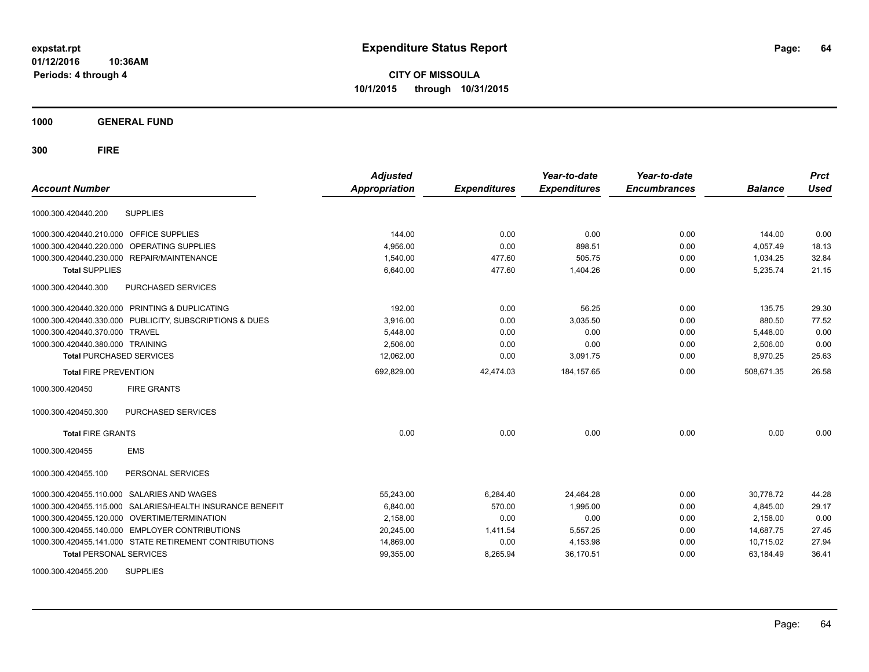**CITY OF MISSOULA 10/1/2015 through 10/31/2015**

**1000 GENERAL FUND**

| <b>Account Number</b>            |                                                         | <b>Adjusted</b><br><b>Appropriation</b> | <b>Expenditures</b> | Year-to-date<br><b>Expenditures</b> | Year-to-date<br><b>Encumbrances</b> | <b>Balance</b> | <b>Prct</b><br><b>Used</b> |
|----------------------------------|---------------------------------------------------------|-----------------------------------------|---------------------|-------------------------------------|-------------------------------------|----------------|----------------------------|
| 1000.300.420440.200              | <b>SUPPLIES</b>                                         |                                         |                     |                                     |                                     |                |                            |
| 1000.300.420440.210.000          | OFFICE SUPPLIES                                         | 144.00                                  | 0.00                | 0.00                                | 0.00                                | 144.00         | 0.00                       |
| 1000.300.420440.220.000          | OPERATING SUPPLIES                                      | 4,956.00                                | 0.00                | 898.51                              | 0.00                                | 4,057.49       | 18.13                      |
| 1000.300.420440.230.000          | REPAIR/MAINTENANCE                                      | 1,540.00                                | 477.60              | 505.75                              | 0.00                                | 1,034.25       | 32.84                      |
| <b>Total SUPPLIES</b>            |                                                         | 6,640.00                                | 477.60              | 1,404.26                            | 0.00                                | 5,235.74       | 21.15                      |
| 1000.300.420440.300              | PURCHASED SERVICES                                      |                                         |                     |                                     |                                     |                |                            |
|                                  | 1000.300.420440.320.000 PRINTING & DUPLICATING          | 192.00                                  | 0.00                | 56.25                               | 0.00                                | 135.75         | 29.30                      |
|                                  | 1000.300.420440.330.000 PUBLICITY, SUBSCRIPTIONS & DUES | 3,916.00                                | 0.00                | 3,035.50                            | 0.00                                | 880.50         | 77.52                      |
| 1000.300.420440.370.000 TRAVEL   |                                                         | 5,448.00                                | 0.00                | 0.00                                | 0.00                                | 5,448.00       | 0.00                       |
| 1000.300.420440.380.000 TRAINING |                                                         | 2,506.00                                | 0.00                | 0.00                                | 0.00                                | 2,506.00       | 0.00                       |
| <b>Total PURCHASED SERVICES</b>  |                                                         | 12,062.00                               | 0.00                | 3,091.75                            | 0.00                                | 8,970.25       | 25.63                      |
| <b>Total FIRE PREVENTION</b>     |                                                         | 692,829.00                              | 42,474.03           | 184, 157.65                         | 0.00                                | 508.671.35     | 26.58                      |
| 1000.300.420450                  | <b>FIRE GRANTS</b>                                      |                                         |                     |                                     |                                     |                |                            |
| 1000.300.420450.300              | <b>PURCHASED SERVICES</b>                               |                                         |                     |                                     |                                     |                |                            |
| <b>Total FIRE GRANTS</b>         |                                                         | 0.00                                    | 0.00                | 0.00                                | 0.00                                | 0.00           | 0.00                       |
| 1000.300.420455                  | <b>EMS</b>                                              |                                         |                     |                                     |                                     |                |                            |
| 1000.300.420455.100              | PERSONAL SERVICES                                       |                                         |                     |                                     |                                     |                |                            |
| 1000.300.420455.110.000          | <b>SALARIES AND WAGES</b>                               | 55,243.00                               | 6,284.40            | 24,464.28                           | 0.00                                | 30,778.72      | 44.28                      |
| 1000.300.420455.115.000          | SALARIES/HEALTH INSURANCE BENEFIT                       | 6,840.00                                | 570.00              | 1,995.00                            | 0.00                                | 4,845.00       | 29.17                      |
|                                  | 1000.300.420455.120.000 OVERTIME/TERMINATION            | 2,158.00                                | 0.00                | 0.00                                | 0.00                                | 2,158.00       | 0.00                       |
|                                  | 1000.300.420455.140.000 EMPLOYER CONTRIBUTIONS          | 20,245.00                               | 1,411.54            | 5,557.25                            | 0.00                                | 14,687.75      | 27.45                      |
|                                  | 1000.300.420455.141.000 STATE RETIREMENT CONTRIBUTIONS  | 14,869.00                               | 0.00                | 4,153.98                            | 0.00                                | 10,715.02      | 27.94                      |
| <b>Total PERSONAL SERVICES</b>   |                                                         | 99,355.00                               | 8,265.94            | 36,170.51                           | 0.00                                | 63,184.49      | 36.41                      |
| 1000.300.420455.200              | <b>SUPPLIES</b>                                         |                                         |                     |                                     |                                     |                |                            |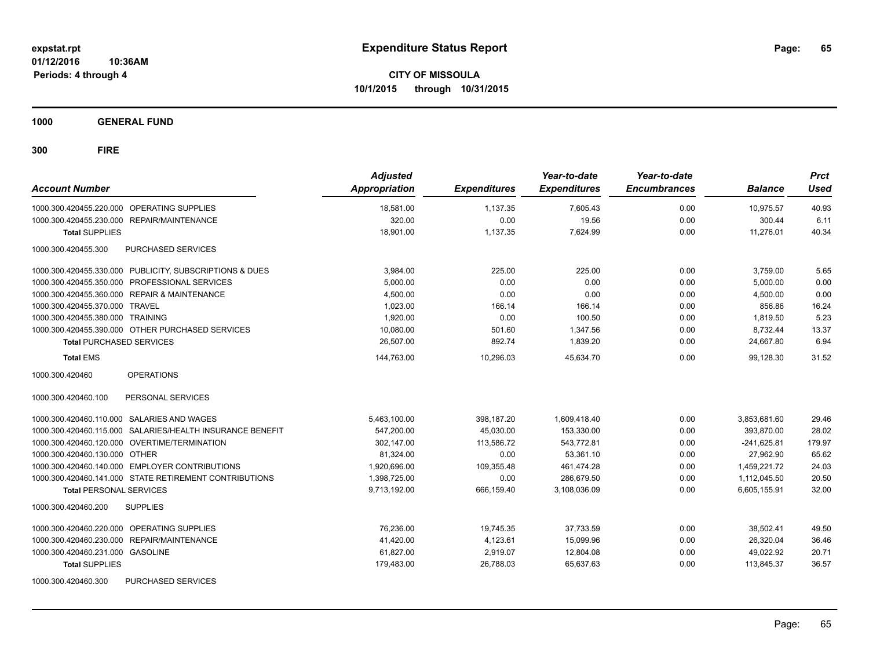**CITY OF MISSOULA 10/1/2015 through 10/31/2015**

**1000 GENERAL FUND**

| <b>Account Number</b>                                     | <b>Adjusted</b><br><b>Appropriation</b> | <b>Expenditures</b> | Year-to-date<br><b>Expenditures</b> | Year-to-date<br><b>Encumbrances</b> | <b>Balance</b> | <b>Prct</b><br><b>Used</b> |
|-----------------------------------------------------------|-----------------------------------------|---------------------|-------------------------------------|-------------------------------------|----------------|----------------------------|
| 1000.300.420455.220.000 OPERATING SUPPLIES                | 18.581.00                               | 1,137.35            | 7.605.43                            | 0.00                                | 10.975.57      | 40.93                      |
| 1000.300.420455.230.000 REPAIR/MAINTENANCE                | 320.00                                  | 0.00                | 19.56                               | 0.00                                | 300.44         | 6.11                       |
| <b>Total SUPPLIES</b>                                     | 18.901.00                               | 1,137.35            | 7.624.99                            | 0.00                                | 11.276.01      | 40.34                      |
| 1000.300.420455.300<br>PURCHASED SERVICES                 |                                         |                     |                                     |                                     |                |                            |
| 1000.300.420455.330.000 PUBLICITY, SUBSCRIPTIONS & DUES   | 3,984.00                                | 225.00              | 225.00                              | 0.00                                | 3,759.00       | 5.65                       |
| 1000.300.420455.350.000<br>PROFESSIONAL SERVICES          | 5,000.00                                | 0.00                | 0.00                                | 0.00                                | 5,000.00       | 0.00                       |
| 1000.300.420455.360.000 REPAIR & MAINTENANCE              | 4,500.00                                | 0.00                | 0.00                                | 0.00                                | 4,500.00       | 0.00                       |
| 1000.300.420455.370.000 TRAVEL                            | 1.023.00                                | 166.14              | 166.14                              | 0.00                                | 856.86         | 16.24                      |
| 1000.300.420455.380.000 TRAINING                          | 1,920.00                                | 0.00                | 100.50                              | 0.00                                | 1,819.50       | 5.23                       |
| 1000.300.420455.390.000 OTHER PURCHASED SERVICES          | 10,080.00                               | 501.60              | 1,347.56                            | 0.00                                | 8,732.44       | 13.37                      |
| <b>Total PURCHASED SERVICES</b>                           | 26,507.00                               | 892.74              | 1,839.20                            | 0.00                                | 24,667.80      | 6.94                       |
| <b>Total EMS</b>                                          | 144,763.00                              | 10.296.03           | 45.634.70                           | 0.00                                | 99.128.30      | 31.52                      |
| <b>OPERATIONS</b><br>1000.300.420460                      |                                         |                     |                                     |                                     |                |                            |
| 1000.300.420460.100<br>PERSONAL SERVICES                  |                                         |                     |                                     |                                     |                |                            |
| 1000.300.420460.110.000 SALARIES AND WAGES                | 5,463,100.00                            | 398,187.20          | 1,609,418.40                        | 0.00                                | 3,853,681.60   | 29.46                      |
| 1000.300.420460.115.000 SALARIES/HEALTH INSURANCE BENEFIT | 547,200.00                              | 45,030.00           | 153,330.00                          | 0.00                                | 393,870.00     | 28.02                      |
| 1000.300.420460.120.000 OVERTIME/TERMINATION              | 302,147.00                              | 113,586.72          | 543,772.81                          | 0.00                                | $-241,625.81$  | 179.97                     |
| 1000.300.420460.130.000 OTHER                             | 81,324.00                               | 0.00                | 53,361.10                           | 0.00                                | 27,962.90      | 65.62                      |
| 1000.300.420460.140.000 EMPLOYER CONTRIBUTIONS            | 1,920,696.00                            | 109,355.48          | 461,474.28                          | 0.00                                | 1,459,221.72   | 24.03                      |
| 1000.300.420460.141.000 STATE RETIREMENT CONTRIBUTIONS    | 1,398,725.00                            | 0.00                | 286,679.50                          | 0.00                                | 1,112,045.50   | 20.50                      |
| <b>Total PERSONAL SERVICES</b>                            | 9,713,192.00                            | 666,159.40          | 3,108,036.09                        | 0.00                                | 6,605,155.91   | 32.00                      |
| 1000.300.420460.200<br><b>SUPPLIES</b>                    |                                         |                     |                                     |                                     |                |                            |
| 1000.300.420460.220.000 OPERATING SUPPLIES                | 76.236.00                               | 19,745.35           | 37.733.59                           | 0.00                                | 38,502.41      | 49.50                      |
| 1000.300.420460.230.000<br><b>REPAIR/MAINTENANCE</b>      | 41,420.00                               | 4,123.61            | 15,099.96                           | 0.00                                | 26,320.04      | 36.46                      |
| 1000.300.420460.231.000 GASOLINE                          | 61,827.00                               | 2,919.07            | 12,804.08                           | 0.00                                | 49,022.92      | 20.71                      |
| <b>Total SUPPLIES</b>                                     | 179,483.00                              | 26,788.03           | 65,637.63                           | 0.00                                | 113,845.37     | 36.57                      |
| PURCHASED SERVICES<br>1000.300.420460.300                 |                                         |                     |                                     |                                     |                |                            |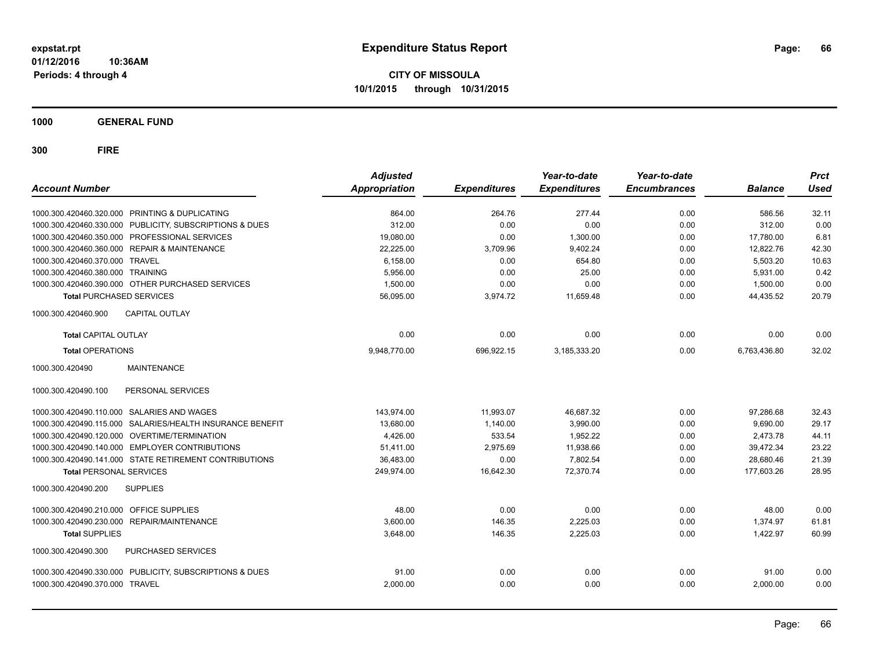**CITY OF MISSOULA 10/1/2015 through 10/31/2015**

**1000 GENERAL FUND**

| <b>Account Number</b>                            |                                                           | <b>Adjusted</b><br>Appropriation | <b>Expenditures</b> | Year-to-date<br><b>Expenditures</b> | Year-to-date<br><b>Encumbrances</b> | <b>Balance</b> | <b>Prct</b><br><b>Used</b> |
|--------------------------------------------------|-----------------------------------------------------------|----------------------------------|---------------------|-------------------------------------|-------------------------------------|----------------|----------------------------|
| 1000.300.420460.320.000 PRINTING & DUPLICATING   |                                                           | 864.00                           | 264.76              | 277.44                              | 0.00                                | 586.56         | 32.11                      |
|                                                  | 1000.300.420460.330.000 PUBLICITY, SUBSCRIPTIONS & DUES   | 312.00                           | 0.00                | 0.00                                | 0.00                                | 312.00         | 0.00                       |
| 1000.300.420460.350.000 PROFESSIONAL SERVICES    |                                                           | 19,080.00                        | 0.00                | 1,300.00                            | 0.00                                | 17,780.00      | 6.81                       |
| 1000.300.420460.360.000 REPAIR & MAINTENANCE     |                                                           | 22,225.00                        | 3,709.96            | 9,402.24                            | 0.00                                | 12,822.76      | 42.30                      |
| 1000.300.420460.370.000 TRAVEL                   |                                                           | 6.158.00                         | 0.00                | 654.80                              | 0.00                                | 5.503.20       | 10.63                      |
| 1000.300.420460.380.000 TRAINING                 |                                                           | 5.956.00                         | 0.00                | 25.00                               | 0.00                                | 5,931.00       | 0.42                       |
| 1000.300.420460.390.000 OTHER PURCHASED SERVICES |                                                           | 1.500.00                         | 0.00                | 0.00                                | 0.00                                | 1,500.00       | 0.00                       |
| <b>Total PURCHASED SERVICES</b>                  |                                                           | 56,095.00                        | 3,974.72            | 11,659.48                           | 0.00                                | 44,435.52      | 20.79                      |
| 1000.300.420460.900                              | <b>CAPITAL OUTLAY</b>                                     |                                  |                     |                                     |                                     |                |                            |
| <b>Total CAPITAL OUTLAY</b>                      |                                                           | 0.00                             | 0.00                | 0.00                                | 0.00                                | 0.00           | 0.00                       |
| <b>Total OPERATIONS</b>                          |                                                           | 9,948,770.00                     | 696,922.15          | 3,185,333.20                        | 0.00                                | 6,763,436.80   | 32.02                      |
| 1000.300.420490                                  | <b>MAINTENANCE</b>                                        |                                  |                     |                                     |                                     |                |                            |
| 1000.300.420490.100                              | PERSONAL SERVICES                                         |                                  |                     |                                     |                                     |                |                            |
| 1000.300.420490.110.000 SALARIES AND WAGES       |                                                           | 143.974.00                       | 11.993.07           | 46.687.32                           | 0.00                                | 97.286.68      | 32.43                      |
|                                                  | 1000.300.420490.115.000 SALARIES/HEALTH INSURANCE BENEFIT | 13,680.00                        | 1.140.00            | 3,990.00                            | 0.00                                | 9,690.00       | 29.17                      |
| 1000.300.420490.120.000 OVERTIME/TERMINATION     |                                                           | 4,426.00                         | 533.54              | 1,952.22                            | 0.00                                | 2,473.78       | 44.11                      |
| 1000.300.420490.140.000 EMPLOYER CONTRIBUTIONS   |                                                           | 51,411.00                        | 2,975.69            | 11,938.66                           | 0.00                                | 39,472.34      | 23.22                      |
|                                                  | 1000.300.420490.141.000 STATE RETIREMENT CONTRIBUTIONS    | 36,483.00                        | 0.00                | 7,802.54                            | 0.00                                | 28,680.46      | 21.39                      |
| <b>Total PERSONAL SERVICES</b>                   |                                                           | 249,974.00                       | 16,642.30           | 72,370.74                           | 0.00                                | 177,603.26     | 28.95                      |
| <b>SUPPLIES</b><br>1000.300.420490.200           |                                                           |                                  |                     |                                     |                                     |                |                            |
| 1000.300.420490.210.000 OFFICE SUPPLIES          |                                                           | 48.00                            | 0.00                | 0.00                                | 0.00                                | 48.00          | 0.00                       |
| 1000.300.420490.230.000 REPAIR/MAINTENANCE       |                                                           | 3,600.00                         | 146.35              | 2,225.03                            | 0.00                                | 1.374.97       | 61.81                      |
| <b>Total SUPPLIES</b>                            |                                                           | 3,648.00                         | 146.35              | 2,225.03                            | 0.00                                | 1,422.97       | 60.99                      |
| 1000.300.420490.300                              | PURCHASED SERVICES                                        |                                  |                     |                                     |                                     |                |                            |
|                                                  | 1000.300.420490.330.000 PUBLICITY, SUBSCRIPTIONS & DUES   | 91.00                            | 0.00                | 0.00                                | 0.00                                | 91.00          | 0.00                       |
| 1000.300.420490.370.000 TRAVEL                   |                                                           | 2,000.00                         | 0.00                | 0.00                                | 0.00                                | 2,000.00       | 0.00                       |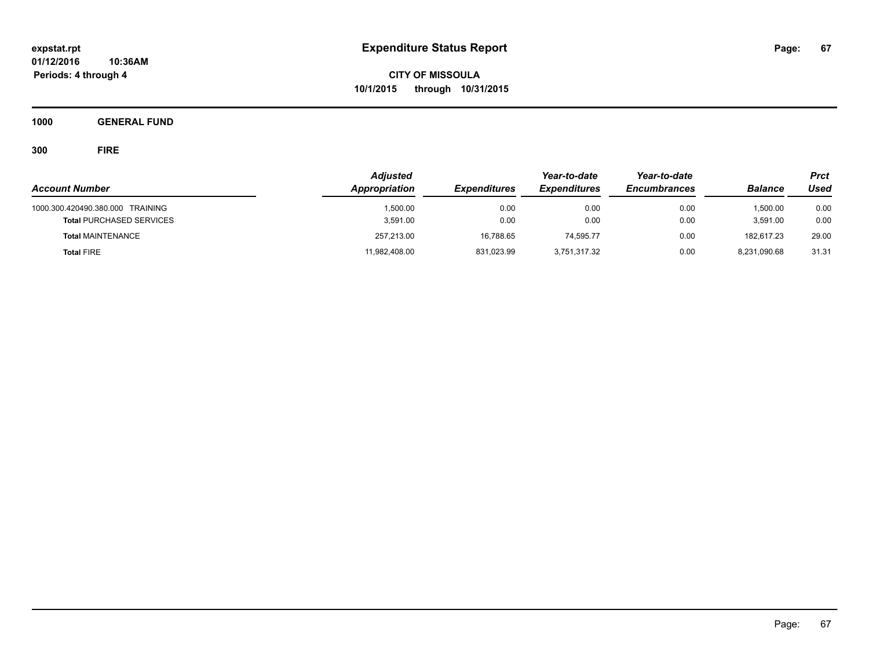**CITY OF MISSOULA 10/1/2015 through 10/31/2015**

**1000 GENERAL FUND**

| <b>Account Number</b>                                               | <b>Adjusted</b><br>Appropriation | <b>Expenditures</b> | Year-to-date<br><b>Expenditures</b> | Year-to-date<br><b>Encumbrances</b> | <b>Balance</b>       | <b>Prct</b><br>Used |
|---------------------------------------------------------------------|----------------------------------|---------------------|-------------------------------------|-------------------------------------|----------------------|---------------------|
| 1000.300.420490.380.000 TRAINING<br><b>Total PURCHASED SERVICES</b> | 1,500.00<br>3,591.00             | 0.00<br>0.00        | 0.00<br>0.00                        | 0.00<br>0.00                        | 1.500.00<br>3.591.00 | 0.00<br>0.00        |
| <b>Total MAINTENANCE</b>                                            | 257,213.00                       | 16,788.65           | 74.595.77                           | 0.00                                | 182.617.23           | 29.00               |
| <b>Total FIRE</b>                                                   | 11,982,408.00                    | 831,023.99          | 3,751,317.32                        | 0.00                                | 8,231,090.68         | 31.31               |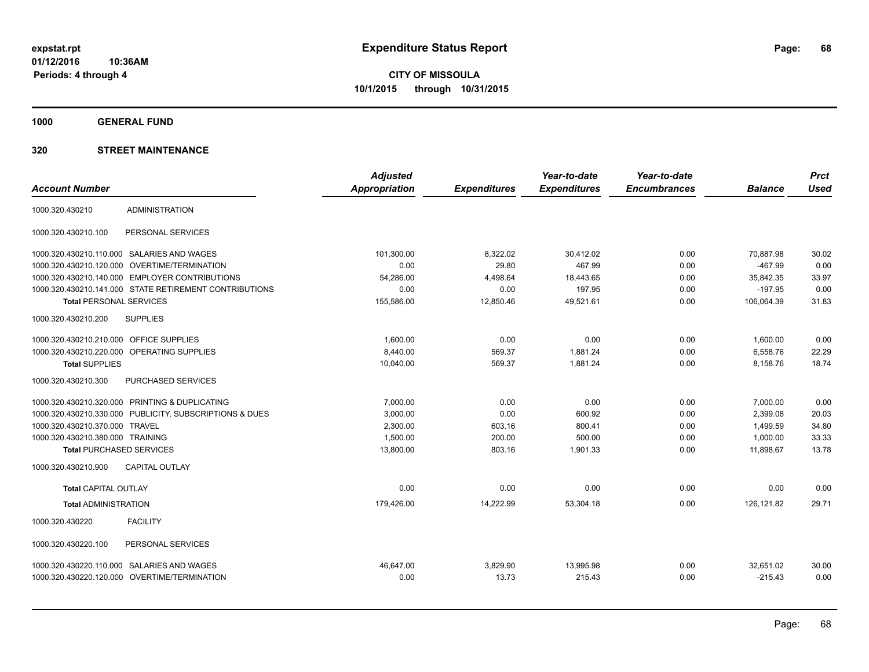**1000 GENERAL FUND**

|                                         |                                                         | <b>Adjusted</b>      |                     | Year-to-date        | Year-to-date        |                | <b>Prct</b> |
|-----------------------------------------|---------------------------------------------------------|----------------------|---------------------|---------------------|---------------------|----------------|-------------|
| <b>Account Number</b>                   |                                                         | <b>Appropriation</b> | <b>Expenditures</b> | <b>Expenditures</b> | <b>Encumbrances</b> | <b>Balance</b> | <b>Used</b> |
| 1000.320.430210                         | <b>ADMINISTRATION</b>                                   |                      |                     |                     |                     |                |             |
| 1000.320.430210.100                     | PERSONAL SERVICES                                       |                      |                     |                     |                     |                |             |
|                                         | 1000.320.430210.110.000 SALARIES AND WAGES              | 101,300.00           | 8,322.02            | 30.412.02           | 0.00                | 70,887.98      | 30.02       |
| 1000.320.430210.120.000                 | <b>OVERTIME/TERMINATION</b>                             | 0.00                 | 29.80               | 467.99              | 0.00                | $-467.99$      | 0.00        |
|                                         | 1000.320.430210.140.000 EMPLOYER CONTRIBUTIONS          | 54,286.00            | 4,498.64            | 18,443.65           | 0.00                | 35,842.35      | 33.97       |
|                                         | 1000.320.430210.141.000 STATE RETIREMENT CONTRIBUTIONS  | 0.00                 | 0.00                | 197.95              | 0.00                | $-197.95$      | 0.00        |
| <b>Total PERSONAL SERVICES</b>          |                                                         | 155,586.00           | 12,850.46           | 49.521.61           | 0.00                | 106.064.39     | 31.83       |
| 1000.320.430210.200                     | <b>SUPPLIES</b>                                         |                      |                     |                     |                     |                |             |
| 1000.320.430210.210.000 OFFICE SUPPLIES |                                                         | 1,600.00             | 0.00                | 0.00                | 0.00                | 1,600.00       | 0.00        |
|                                         | 1000.320.430210.220.000 OPERATING SUPPLIES              | 8,440.00             | 569.37              | 1,881.24            | 0.00                | 6,558.76       | 22.29       |
| <b>Total SUPPLIES</b>                   |                                                         | 10,040.00            | 569.37              | 1,881.24            | 0.00                | 8,158.76       | 18.74       |
| 1000.320.430210.300                     | PURCHASED SERVICES                                      |                      |                     |                     |                     |                |             |
|                                         | 1000.320.430210.320.000 PRINTING & DUPLICATING          | 7,000.00             | 0.00                | 0.00                | 0.00                | 7,000.00       | 0.00        |
|                                         | 1000.320.430210.330.000 PUBLICITY, SUBSCRIPTIONS & DUES | 3,000.00             | 0.00                | 600.92              | 0.00                | 2,399.08       | 20.03       |
| 1000.320.430210.370.000 TRAVEL          |                                                         | 2,300.00             | 603.16              | 800.41              | 0.00                | 1,499.59       | 34.80       |
| 1000.320.430210.380.000 TRAINING        |                                                         | 1,500.00             | 200.00              | 500.00              | 0.00                | 1,000.00       | 33.33       |
| <b>Total PURCHASED SERVICES</b>         |                                                         | 13,800.00            | 803.16              | 1,901.33            | 0.00                | 11,898.67      | 13.78       |
| 1000.320.430210.900                     | <b>CAPITAL OUTLAY</b>                                   |                      |                     |                     |                     |                |             |
| <b>Total CAPITAL OUTLAY</b>             |                                                         | 0.00                 | 0.00                | 0.00                | 0.00                | 0.00           | 0.00        |
| <b>Total ADMINISTRATION</b>             |                                                         | 179,426.00           | 14,222.99           | 53,304.18           | 0.00                | 126,121.82     | 29.71       |
| 1000.320.430220                         | <b>FACILITY</b>                                         |                      |                     |                     |                     |                |             |
| 1000.320.430220.100                     | PERSONAL SERVICES                                       |                      |                     |                     |                     |                |             |
| 1000.320.430220.110.000                 | SALARIES AND WAGES                                      | 46.647.00            | 3,829.90            | 13,995.98           | 0.00                | 32,651.02      | 30.00       |
|                                         | 1000.320.430220.120.000 OVERTIME/TERMINATION            | 0.00                 | 13.73               | 215.43              | 0.00                | $-215.43$      | 0.00        |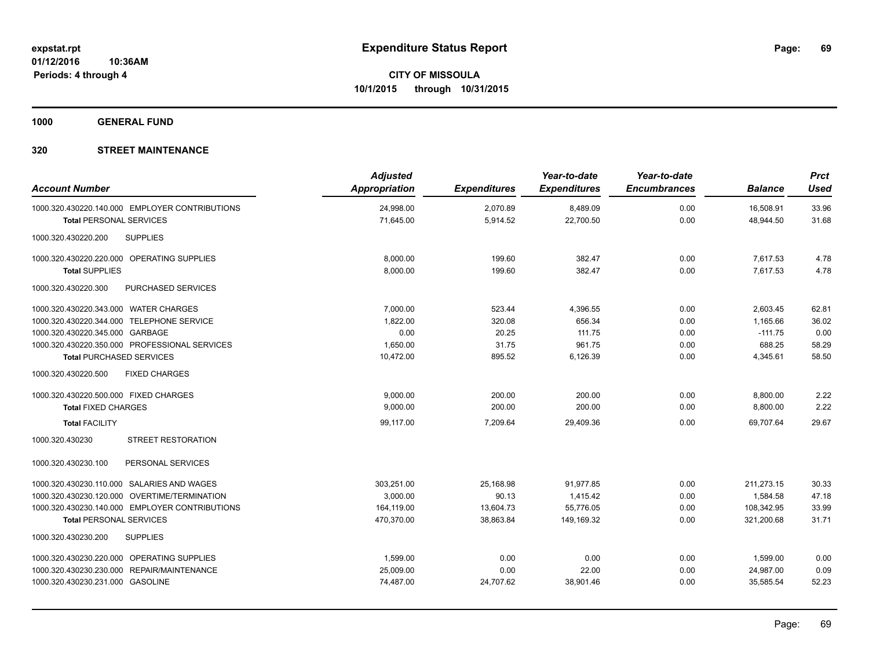**1000 GENERAL FUND**

| <b>Account Number</b>                                                            | <b>Adjusted</b><br>Appropriation | <b>Expenditures</b>  | Year-to-date<br><b>Expenditures</b> | Year-to-date<br><b>Encumbrances</b> | <b>Balance</b>         | <b>Prct</b><br><b>Used</b> |
|----------------------------------------------------------------------------------|----------------------------------|----------------------|-------------------------------------|-------------------------------------|------------------------|----------------------------|
| 1000.320.430220.140.000 EMPLOYER CONTRIBUTIONS<br><b>Total PERSONAL SERVICES</b> | 24,998.00<br>71,645.00           | 2,070.89<br>5,914.52 | 8,489.09<br>22,700.50               | 0.00<br>0.00                        | 16,508.91<br>48,944.50 | 33.96<br>31.68             |
| <b>SUPPLIES</b><br>1000.320.430220.200                                           |                                  |                      |                                     |                                     |                        |                            |
| 1000.320.430220.220.000 OPERATING SUPPLIES                                       | 8,000.00                         | 199.60               | 382.47                              | 0.00                                | 7,617.53               | 4.78                       |
| <b>Total SUPPLIES</b><br>1000.320.430220.300<br><b>PURCHASED SERVICES</b>        | 8.000.00                         | 199.60               | 382.47                              | 0.00                                | 7.617.53               | 4.78                       |
| 1000.320.430220.343.000 WATER CHARGES                                            | 7,000.00                         | 523.44               | 4,396.55                            | 0.00                                | 2,603.45               | 62.81                      |
| 1000.320.430220.344.000 TELEPHONE SERVICE                                        | 1,822.00                         | 320.08               | 656.34                              | 0.00                                | 1,165.66               | 36.02                      |
| 1000.320.430220.345.000 GARBAGE<br>1000.320.430220.350.000 PROFESSIONAL SERVICES | 0.00<br>1,650.00                 | 20.25<br>31.75       | 111.75<br>961.75                    | 0.00<br>0.00                        | $-111.75$<br>688.25    | 0.00<br>58.29              |
| <b>Total PURCHASED SERVICES</b>                                                  | 10,472.00                        | 895.52               | 6,126.39                            | 0.00                                | 4,345.61               | 58.50                      |
| 1000.320.430220.500<br><b>FIXED CHARGES</b>                                      |                                  |                      |                                     |                                     |                        |                            |
| 1000.320.430220.500.000 FIXED CHARGES                                            | 9.000.00                         | 200.00               | 200.00                              | 0.00                                | 8,800.00               | 2.22                       |
| <b>Total FIXED CHARGES</b>                                                       | 9,000.00                         | 200.00               | 200.00                              | 0.00                                | 8,800.00               | 2.22                       |
| <b>Total FACILITY</b>                                                            | 99,117.00                        | 7,209.64             | 29,409.36                           | 0.00                                | 69.707.64              | 29.67                      |
| <b>STREET RESTORATION</b><br>1000.320.430230                                     |                                  |                      |                                     |                                     |                        |                            |
| PERSONAL SERVICES<br>1000.320.430230.100                                         |                                  |                      |                                     |                                     |                        |                            |
| 1000.320.430230.110.000 SALARIES AND WAGES                                       | 303,251.00                       | 25,168.98            | 91,977.85                           | 0.00                                | 211,273.15             | 30.33                      |
| 1000.320.430230.120.000 OVERTIME/TERMINATION                                     | 3.000.00                         | 90.13                | 1.415.42                            | 0.00                                | 1,584.58               | 47.18                      |
| 1000.320.430230.140.000 EMPLOYER CONTRIBUTIONS                                   | 164,119.00                       | 13,604.73            | 55,776.05                           | 0.00                                | 108,342.95             | 33.99                      |
| <b>Total PERSONAL SERVICES</b>                                                   | 470,370.00                       | 38,863.84            | 149,169.32                          | 0.00                                | 321,200.68             | 31.71                      |
| <b>SUPPLIES</b><br>1000.320.430230.200                                           |                                  |                      |                                     |                                     |                        |                            |
| 1000.320.430230.220.000 OPERATING SUPPLIES                                       | 1,599.00                         | 0.00                 | 0.00                                | 0.00                                | 1,599.00               | 0.00                       |
| 1000.320.430230.230.000 REPAIR/MAINTENANCE                                       | 25,009.00                        | 0.00                 | 22.00                               | 0.00                                | 24,987.00              | 0.09                       |
| 1000.320.430230.231.000 GASOLINE                                                 | 74,487.00                        | 24,707.62            | 38,901.46                           | 0.00                                | 35,585.54              | 52.23                      |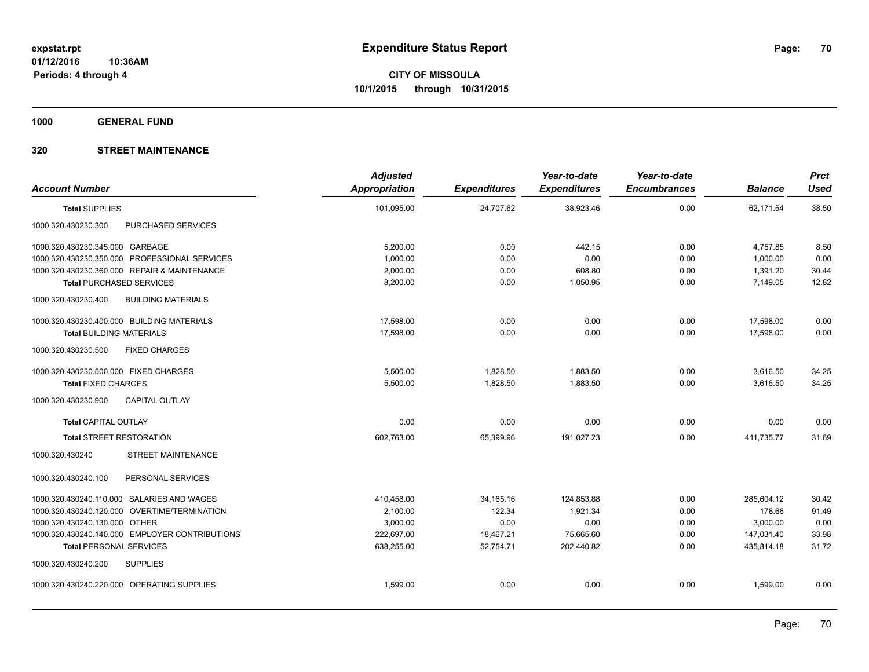**1000 GENERAL FUND**

| <b>Account Number</b>                            | <b>Adjusted</b><br><b>Appropriation</b> | <b>Expenditures</b> | Year-to-date<br><b>Expenditures</b> | Year-to-date<br><b>Encumbrances</b> | <b>Balance</b> | <b>Prct</b><br><b>Used</b> |
|--------------------------------------------------|-----------------------------------------|---------------------|-------------------------------------|-------------------------------------|----------------|----------------------------|
| <b>Total SUPPLIES</b>                            | 101,095.00                              | 24,707.62           | 38,923.46                           | 0.00                                | 62,171.54      | 38.50                      |
| 1000.320.430230.300<br>PURCHASED SERVICES        |                                         |                     |                                     |                                     |                |                            |
| 1000.320.430230.345.000 GARBAGE                  | 5,200.00                                | 0.00                | 442.15                              | 0.00                                | 4,757.85       | 8.50                       |
| 1000.320.430230.350.000 PROFESSIONAL SERVICES    | 1,000.00                                | 0.00                | 0.00                                | 0.00                                | 1,000.00       | 0.00                       |
| 1000.320.430230.360.000 REPAIR & MAINTENANCE     | 2,000.00                                | 0.00                | 608.80                              | 0.00                                | 1,391.20       | 30.44                      |
| <b>Total PURCHASED SERVICES</b>                  | 8,200.00                                | 0.00                | 1,050.95                            | 0.00                                | 7,149.05       | 12.82                      |
| <b>BUILDING MATERIALS</b><br>1000.320.430230.400 |                                         |                     |                                     |                                     |                |                            |
| 1000.320.430230.400.000 BUILDING MATERIALS       | 17,598.00                               | 0.00                | 0.00                                | 0.00                                | 17,598.00      | 0.00                       |
| <b>Total BUILDING MATERIALS</b>                  | 17.598.00                               | 0.00                | 0.00                                | 0.00                                | 17.598.00      | 0.00                       |
| 1000.320.430230.500<br><b>FIXED CHARGES</b>      |                                         |                     |                                     |                                     |                |                            |
| 1000.320.430230.500.000 FIXED CHARGES            | 5,500.00                                | 1,828.50            | 1,883.50                            | 0.00                                | 3,616.50       | 34.25                      |
| <b>Total FIXED CHARGES</b>                       | 5,500.00                                | 1,828.50            | 1,883.50                            | 0.00                                | 3,616.50       | 34.25                      |
| 1000.320.430230.900<br><b>CAPITAL OUTLAY</b>     |                                         |                     |                                     |                                     |                |                            |
| <b>Total CAPITAL OUTLAY</b>                      | 0.00                                    | 0.00                | 0.00                                | 0.00                                | 0.00           | 0.00                       |
| <b>Total STREET RESTORATION</b>                  | 602,763.00                              | 65,399.96           | 191,027.23                          | 0.00                                | 411,735.77     | 31.69                      |
| <b>STREET MAINTENANCE</b><br>1000.320.430240     |                                         |                     |                                     |                                     |                |                            |
| 1000.320.430240.100<br>PERSONAL SERVICES         |                                         |                     |                                     |                                     |                |                            |
| 1000.320.430240.110.000 SALARIES AND WAGES       | 410,458.00                              | 34, 165. 16         | 124,853.88                          | 0.00                                | 285,604.12     | 30.42                      |
| 1000.320.430240.120.000 OVERTIME/TERMINATION     | 2,100.00                                | 122.34              | 1,921.34                            | 0.00                                | 178.66         | 91.49                      |
| 1000.320.430240.130.000 OTHER                    | 3,000.00                                | 0.00                | 0.00                                | 0.00                                | 3,000.00       | 0.00                       |
| 1000.320.430240.140.000 EMPLOYER CONTRIBUTIONS   | 222,697.00                              | 18,467.21           | 75,665.60                           | 0.00                                | 147,031.40     | 33.98                      |
| <b>Total PERSONAL SERVICES</b>                   | 638,255.00                              | 52,754.71           | 202,440.82                          | 0.00                                | 435,814.18     | 31.72                      |
| 1000.320.430240.200<br><b>SUPPLIES</b>           |                                         |                     |                                     |                                     |                |                            |
| 1000.320.430240.220.000 OPERATING SUPPLIES       | 1,599.00                                | 0.00                | 0.00                                | 0.00                                | 1,599.00       | 0.00                       |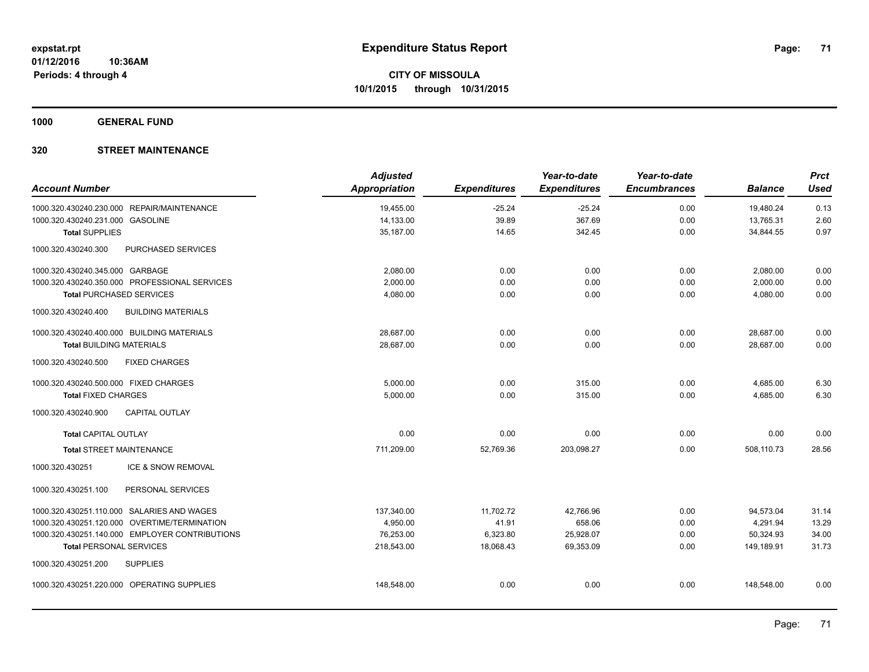**1000 GENERAL FUND**

| <b>Account Number</b>                 |                                                | <b>Adjusted</b><br>Appropriation | <b>Expenditures</b> | Year-to-date<br><b>Expenditures</b> | Year-to-date<br><b>Encumbrances</b> | <b>Balance</b> | <b>Prct</b><br><b>Used</b> |
|---------------------------------------|------------------------------------------------|----------------------------------|---------------------|-------------------------------------|-------------------------------------|----------------|----------------------------|
|                                       | 1000.320.430240.230.000 REPAIR/MAINTENANCE     | 19,455.00                        | $-25.24$            | $-25.24$                            | 0.00                                | 19,480.24      | 0.13                       |
| 1000.320.430240.231.000 GASOLINE      |                                                | 14,133.00                        | 39.89               | 367.69                              | 0.00                                | 13,765.31      | 2.60                       |
| <b>Total SUPPLIES</b>                 |                                                | 35,187.00                        | 14.65               | 342.45                              | 0.00                                | 34,844.55      | 0.97                       |
| 1000.320.430240.300                   | PURCHASED SERVICES                             |                                  |                     |                                     |                                     |                |                            |
| 1000.320.430240.345.000 GARBAGE       |                                                | 2,080.00                         | 0.00                | 0.00                                | 0.00                                | 2,080.00       | 0.00                       |
|                                       | 1000.320.430240.350.000 PROFESSIONAL SERVICES  | 2,000.00                         | 0.00                | 0.00                                | 0.00                                | 2,000.00       | 0.00                       |
| <b>Total PURCHASED SERVICES</b>       |                                                | 4,080.00                         | 0.00                | 0.00                                | 0.00                                | 4,080.00       | 0.00                       |
| 1000.320.430240.400                   | <b>BUILDING MATERIALS</b>                      |                                  |                     |                                     |                                     |                |                            |
|                                       | 1000.320.430240.400.000 BUILDING MATERIALS     | 28.687.00                        | 0.00                | 0.00                                | 0.00                                | 28.687.00      | 0.00                       |
| <b>Total BUILDING MATERIALS</b>       |                                                | 28.687.00                        | 0.00                | 0.00                                | 0.00                                | 28.687.00      | 0.00                       |
| 1000.320.430240.500                   | <b>FIXED CHARGES</b>                           |                                  |                     |                                     |                                     |                |                            |
| 1000.320.430240.500.000 FIXED CHARGES |                                                | 5,000.00                         | 0.00                | 315.00                              | 0.00                                | 4,685.00       | 6.30                       |
| <b>Total FIXED CHARGES</b>            |                                                | 5,000.00                         | 0.00                | 315.00                              | 0.00                                | 4,685.00       | 6.30                       |
| 1000.320.430240.900                   | <b>CAPITAL OUTLAY</b>                          |                                  |                     |                                     |                                     |                |                            |
| <b>Total CAPITAL OUTLAY</b>           |                                                | 0.00                             | 0.00                | 0.00                                | 0.00                                | 0.00           | 0.00                       |
| <b>Total STREET MAINTENANCE</b>       |                                                | 711,209.00                       | 52.769.36           | 203,098.27                          | 0.00                                | 508.110.73     | 28.56                      |
| 1000.320.430251                       | ICE & SNOW REMOVAL                             |                                  |                     |                                     |                                     |                |                            |
| 1000.320.430251.100                   | PERSONAL SERVICES                              |                                  |                     |                                     |                                     |                |                            |
|                                       | 1000.320.430251.110.000 SALARIES AND WAGES     | 137,340.00                       | 11,702.72           | 42,766.96                           | 0.00                                | 94,573.04      | 31.14                      |
|                                       | 1000.320.430251.120.000 OVERTIME/TERMINATION   | 4,950.00                         | 41.91               | 658.06                              | 0.00                                | 4,291.94       | 13.29                      |
|                                       | 1000.320.430251.140.000 EMPLOYER CONTRIBUTIONS | 76,253.00                        | 6,323.80            | 25,928.07                           | 0.00                                | 50,324.93      | 34.00                      |
| <b>Total PERSONAL SERVICES</b>        |                                                | 218,543.00                       | 18,068.43           | 69,353.09                           | 0.00                                | 149,189.91     | 31.73                      |
| 1000.320.430251.200                   | <b>SUPPLIES</b>                                |                                  |                     |                                     |                                     |                |                            |
|                                       | 1000.320.430251.220.000 OPERATING SUPPLIES     | 148,548.00                       | 0.00                | 0.00                                | 0.00                                | 148,548.00     | 0.00                       |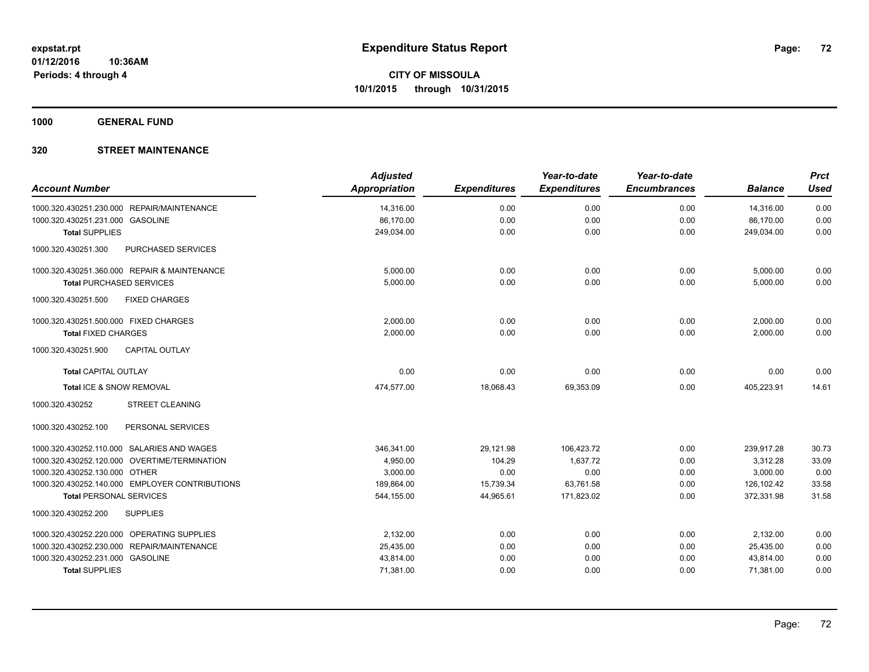**1000 GENERAL FUND**

| <b>Account Number</b>                          | <b>Adjusted</b><br><b>Appropriation</b> | <b>Expenditures</b> | Year-to-date<br><b>Expenditures</b> | Year-to-date<br><b>Encumbrances</b> | <b>Balance</b> | <b>Prct</b><br><b>Used</b> |
|------------------------------------------------|-----------------------------------------|---------------------|-------------------------------------|-------------------------------------|----------------|----------------------------|
| 1000.320.430251.230.000 REPAIR/MAINTENANCE     | 14,316.00                               | 0.00                | 0.00                                | 0.00                                | 14,316.00      | 0.00                       |
| 1000.320.430251.231.000 GASOLINE               | 86,170.00                               | 0.00                | 0.00                                | 0.00                                | 86,170.00      | 0.00                       |
| <b>Total SUPPLIES</b>                          | 249,034.00                              | 0.00                | 0.00                                | 0.00                                | 249,034.00     | 0.00                       |
| PURCHASED SERVICES<br>1000.320.430251.300      |                                         |                     |                                     |                                     |                |                            |
| 1000.320.430251.360.000 REPAIR & MAINTENANCE   | 5,000.00                                | 0.00                | 0.00                                | 0.00                                | 5,000.00       | 0.00                       |
| <b>Total PURCHASED SERVICES</b>                | 5.000.00                                | 0.00                | 0.00                                | 0.00                                | 5,000.00       | 0.00                       |
| 1000.320.430251.500<br><b>FIXED CHARGES</b>    |                                         |                     |                                     |                                     |                |                            |
| 1000.320.430251.500.000 FIXED CHARGES          | 2,000.00                                | 0.00                | 0.00                                | 0.00                                | 2,000.00       | 0.00                       |
| <b>Total FIXED CHARGES</b>                     | 2,000.00                                | 0.00                | 0.00                                | 0.00                                | 2,000.00       | 0.00                       |
| <b>CAPITAL OUTLAY</b><br>1000.320.430251.900   |                                         |                     |                                     |                                     |                |                            |
| <b>Total CAPITAL OUTLAY</b>                    | 0.00                                    | 0.00                | 0.00                                | 0.00                                | 0.00           | 0.00                       |
| Total ICE & SNOW REMOVAL                       | 474,577.00                              | 18,068.43           | 69,353.09                           | 0.00                                | 405,223.91     | 14.61                      |
| <b>STREET CLEANING</b><br>1000.320.430252      |                                         |                     |                                     |                                     |                |                            |
| PERSONAL SERVICES<br>1000.320.430252.100       |                                         |                     |                                     |                                     |                |                            |
| 1000.320.430252.110.000 SALARIES AND WAGES     | 346,341.00                              | 29,121.98           | 106,423.72                          | 0.00                                | 239,917.28     | 30.73                      |
| 1000.320.430252.120.000 OVERTIME/TERMINATION   | 4,950.00                                | 104.29              | 1,637.72                            | 0.00                                | 3,312.28       | 33.09                      |
| 1000.320.430252.130.000 OTHER                  | 3,000.00                                | 0.00                | 0.00                                | 0.00                                | 3,000.00       | 0.00                       |
| 1000.320.430252.140.000 EMPLOYER CONTRIBUTIONS | 189,864.00                              | 15,739.34           | 63,761.58                           | 0.00                                | 126,102.42     | 33.58                      |
| <b>Total PERSONAL SERVICES</b>                 | 544,155.00                              | 44,965.61           | 171,823.02                          | 0.00                                | 372,331.98     | 31.58                      |
| 1000.320.430252.200<br><b>SUPPLIES</b>         |                                         |                     |                                     |                                     |                |                            |
| 1000.320.430252.220.000 OPERATING SUPPLIES     | 2,132.00                                | 0.00                | 0.00                                | 0.00                                | 2,132.00       | 0.00                       |
| 1000.320.430252.230.000 REPAIR/MAINTENANCE     | 25,435.00                               | 0.00                | 0.00                                | 0.00                                | 25,435.00      | 0.00                       |
| 1000.320.430252.231.000 GASOLINE               | 43,814.00                               | 0.00                | 0.00                                | 0.00                                | 43,814.00      | 0.00                       |
| <b>Total SUPPLIES</b>                          | 71,381.00                               | 0.00                | 0.00                                | 0.00                                | 71,381.00      | 0.00                       |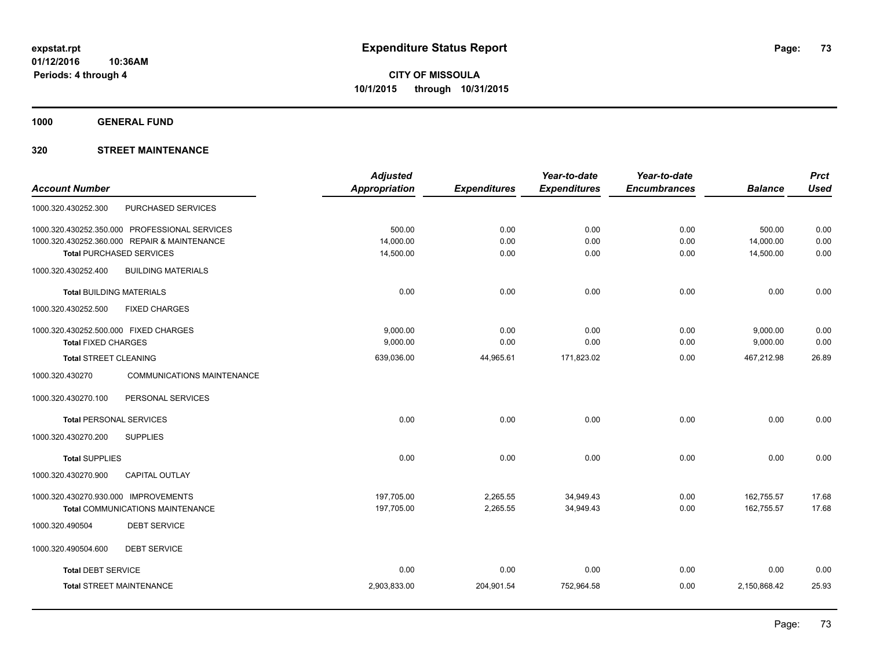**1000 GENERAL FUND**

## **320 STREET MAINTENANCE**

|                                                      | <b>Adjusted</b> |                     | Year-to-date        | Year-to-date        |                | <b>Prct</b> |
|------------------------------------------------------|-----------------|---------------------|---------------------|---------------------|----------------|-------------|
| <b>Account Number</b>                                | Appropriation   | <b>Expenditures</b> | <b>Expenditures</b> | <b>Encumbrances</b> | <b>Balance</b> | <b>Used</b> |
| PURCHASED SERVICES<br>1000.320.430252.300            |                 |                     |                     |                     |                |             |
| 1000.320.430252.350.000 PROFESSIONAL SERVICES        | 500.00          | 0.00                | 0.00                | 0.00                | 500.00         | 0.00        |
| 1000.320.430252.360.000 REPAIR & MAINTENANCE         | 14,000.00       | 0.00                | 0.00                | 0.00                | 14,000.00      | 0.00        |
| <b>Total PURCHASED SERVICES</b>                      | 14,500.00       | 0.00                | 0.00                | 0.00                | 14,500.00      | 0.00        |
| 1000.320.430252.400<br><b>BUILDING MATERIALS</b>     |                 |                     |                     |                     |                |             |
| <b>Total BUILDING MATERIALS</b>                      | 0.00            | 0.00                | 0.00                | 0.00                | 0.00           | 0.00        |
| 1000.320.430252.500<br><b>FIXED CHARGES</b>          |                 |                     |                     |                     |                |             |
| 1000.320.430252.500.000 FIXED CHARGES                | 9,000.00        | 0.00                | 0.00                | 0.00                | 9,000.00       | 0.00        |
| <b>Total FIXED CHARGES</b>                           | 9,000.00        | 0.00                | 0.00                | 0.00                | 9,000.00       | 0.00        |
| <b>Total STREET CLEANING</b>                         | 639,036.00      | 44,965.61           | 171,823.02          | 0.00                | 467,212.98     | 26.89       |
| 1000.320.430270<br><b>COMMUNICATIONS MAINTENANCE</b> |                 |                     |                     |                     |                |             |
| PERSONAL SERVICES<br>1000.320.430270.100             |                 |                     |                     |                     |                |             |
| <b>Total PERSONAL SERVICES</b>                       | 0.00            | 0.00                | 0.00                | 0.00                | 0.00           | 0.00        |
| 1000.320.430270.200<br><b>SUPPLIES</b>               |                 |                     |                     |                     |                |             |
| <b>Total SUPPLIES</b>                                | 0.00            | 0.00                | 0.00                | 0.00                | 0.00           | 0.00        |
| 1000.320.430270.900<br><b>CAPITAL OUTLAY</b>         |                 |                     |                     |                     |                |             |
| 1000.320.430270.930.000 IMPROVEMENTS                 | 197,705.00      | 2,265.55            | 34,949.43           | 0.00                | 162,755.57     | 17.68       |
| <b>Total COMMUNICATIONS MAINTENANCE</b>              | 197,705.00      | 2,265.55            | 34,949.43           | 0.00                | 162,755.57     | 17.68       |
| <b>DEBT SERVICE</b><br>1000.320.490504               |                 |                     |                     |                     |                |             |
| 1000.320.490504.600<br><b>DEBT SERVICE</b>           |                 |                     |                     |                     |                |             |
| <b>Total DEBT SERVICE</b>                            | 0.00            | 0.00                | 0.00                | 0.00                | 0.00           | 0.00        |
| <b>Total STREET MAINTENANCE</b>                      | 2,903,833.00    | 204,901.54          | 752,964.58          | 0.00                | 2,150,868.42   | 25.93       |
|                                                      |                 |                     |                     |                     |                |             |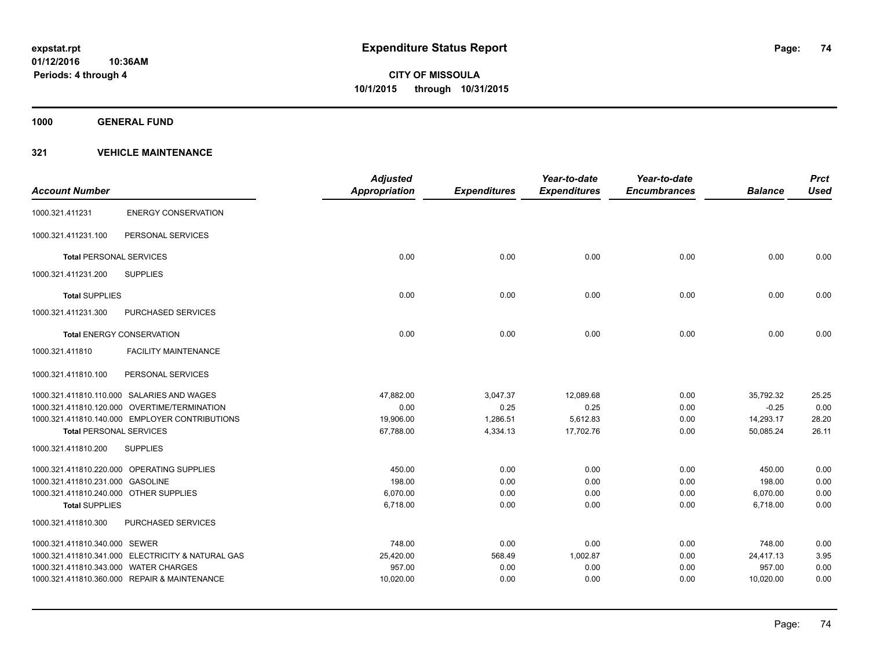**1000 GENERAL FUND**

|                                        |                                                   | <b>Adjusted</b>      |                     | Year-to-date        | Year-to-date        |                | <b>Prct</b> |
|----------------------------------------|---------------------------------------------------|----------------------|---------------------|---------------------|---------------------|----------------|-------------|
| <b>Account Number</b>                  |                                                   | <b>Appropriation</b> | <b>Expenditures</b> | <b>Expenditures</b> | <b>Encumbrances</b> | <b>Balance</b> | <b>Used</b> |
| 1000.321.411231                        | <b>ENERGY CONSERVATION</b>                        |                      |                     |                     |                     |                |             |
| 1000.321.411231.100                    | PERSONAL SERVICES                                 |                      |                     |                     |                     |                |             |
| <b>Total PERSONAL SERVICES</b>         |                                                   | 0.00                 | 0.00                | 0.00                | 0.00                | 0.00           | 0.00        |
| 1000.321.411231.200                    | <b>SUPPLIES</b>                                   |                      |                     |                     |                     |                |             |
| <b>Total SUPPLIES</b>                  |                                                   | 0.00                 | 0.00                | 0.00                | 0.00                | 0.00           | 0.00        |
| 1000.321.411231.300                    | PURCHASED SERVICES                                |                      |                     |                     |                     |                |             |
|                                        | <b>Total ENERGY CONSERVATION</b>                  | 0.00                 | 0.00                | 0.00                | 0.00                | 0.00           | 0.00        |
| 1000.321.411810                        | <b>FACILITY MAINTENANCE</b>                       |                      |                     |                     |                     |                |             |
| 1000.321.411810.100                    | PERSONAL SERVICES                                 |                      |                     |                     |                     |                |             |
|                                        | 1000.321.411810.110.000 SALARIES AND WAGES        | 47,882.00            | 3,047.37            | 12,089.68           | 0.00                | 35,792.32      | 25.25       |
|                                        | 1000.321.411810.120.000 OVERTIME/TERMINATION      | 0.00                 | 0.25                | 0.25                | 0.00                | $-0.25$        | 0.00        |
|                                        | 1000.321.411810.140.000 EMPLOYER CONTRIBUTIONS    | 19,906.00            | 1,286.51            | 5,612.83            | 0.00                | 14,293.17      | 28.20       |
| <b>Total PERSONAL SERVICES</b>         |                                                   | 67,788.00            | 4,334.13            | 17,702.76           | 0.00                | 50,085.24      | 26.11       |
| 1000.321.411810.200                    | <b>SUPPLIES</b>                                   |                      |                     |                     |                     |                |             |
|                                        | 1000.321.411810.220.000 OPERATING SUPPLIES        | 450.00               | 0.00                | 0.00                | 0.00                | 450.00         | 0.00        |
| 1000.321.411810.231.000 GASOLINE       |                                                   | 198.00               | 0.00                | 0.00                | 0.00                | 198.00         | 0.00        |
| 1000.321.411810.240.000 OTHER SUPPLIES |                                                   | 6,070.00             | 0.00                | 0.00                | 0.00                | 6,070.00       | 0.00        |
| <b>Total SUPPLIES</b>                  |                                                   | 6,718.00             | 0.00                | 0.00                | 0.00                | 6,718.00       | 0.00        |
| 1000.321.411810.300                    | PURCHASED SERVICES                                |                      |                     |                     |                     |                |             |
| 1000.321.411810.340.000 SEWER          |                                                   | 748.00               | 0.00                | 0.00                | 0.00                | 748.00         | 0.00        |
|                                        | 1000.321.411810.341.000 ELECTRICITY & NATURAL GAS | 25,420.00            | 568.49              | 1,002.87            | 0.00                | 24,417.13      | 3.95        |
| 1000.321.411810.343.000 WATER CHARGES  |                                                   | 957.00               | 0.00                | 0.00                | 0.00                | 957.00         | 0.00        |
|                                        | 1000.321.411810.360.000 REPAIR & MAINTENANCE      | 10,020.00            | 0.00                | 0.00                | 0.00                | 10,020.00      | 0.00        |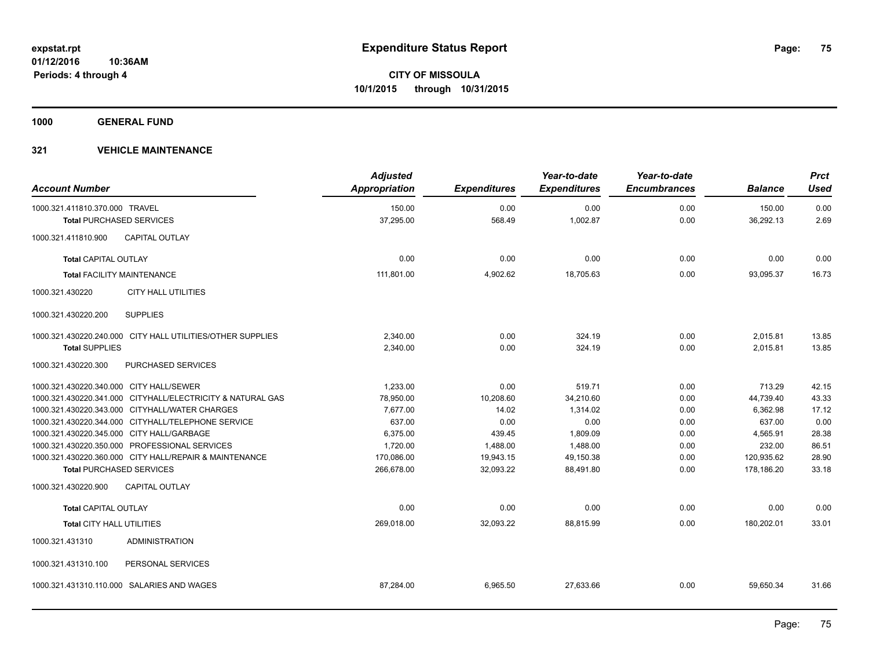**1000 GENERAL FUND**

| <b>Account Number</b>                   |                                                            | <b>Adjusted</b><br>Appropriation | <b>Expenditures</b> | Year-to-date<br><b>Expenditures</b> | Year-to-date<br><b>Encumbrances</b> | <b>Balance</b>      | <b>Prct</b><br><b>Used</b> |
|-----------------------------------------|------------------------------------------------------------|----------------------------------|---------------------|-------------------------------------|-------------------------------------|---------------------|----------------------------|
| 1000.321.411810.370.000 TRAVEL          |                                                            | 150.00<br>37,295.00              | 0.00<br>568.49      | 0.00<br>1,002.87                    | 0.00<br>0.00                        | 150.00<br>36,292.13 | 0.00<br>2.69               |
| <b>Total PURCHASED SERVICES</b>         |                                                            |                                  |                     |                                     |                                     |                     |                            |
| 1000.321.411810.900                     | <b>CAPITAL OUTLAY</b>                                      |                                  |                     |                                     |                                     |                     |                            |
| <b>Total CAPITAL OUTLAY</b>             |                                                            | 0.00                             | 0.00                | 0.00                                | 0.00                                | 0.00                | 0.00                       |
| <b>Total FACILITY MAINTENANCE</b>       |                                                            | 111,801.00                       | 4,902.62            | 18,705.63                           | 0.00                                | 93,095.37           | 16.73                      |
| 1000.321.430220                         | <b>CITY HALL UTILITIES</b>                                 |                                  |                     |                                     |                                     |                     |                            |
| 1000.321.430220.200                     | <b>SUPPLIES</b>                                            |                                  |                     |                                     |                                     |                     |                            |
|                                         | 1000.321.430220.240.000 CITY HALL UTILITIES/OTHER SUPPLIES | 2,340.00                         | 0.00                | 324.19                              | 0.00                                | 2,015.81            | 13.85                      |
| <b>Total SUPPLIES</b>                   |                                                            | 2,340.00                         | 0.00                | 324.19                              | 0.00                                | 2,015.81            | 13.85                      |
| 1000.321.430220.300                     | PURCHASED SERVICES                                         |                                  |                     |                                     |                                     |                     |                            |
| 1000.321.430220.340.000 CITY HALL/SEWER |                                                            | 1,233.00                         | 0.00                | 519.71                              | 0.00                                | 713.29              | 42.15                      |
|                                         | 1000.321.430220.341.000 CITYHALL/ELECTRICITY & NATURAL GAS | 78,950.00                        | 10,208.60           | 34,210.60                           | 0.00                                | 44,739.40           | 43.33                      |
|                                         | 1000.321.430220.343.000 CITYHALL/WATER CHARGES             | 7,677.00                         | 14.02               | 1,314.02                            | 0.00                                | 6,362.98            | 17.12                      |
|                                         | 1000.321.430220.344.000 CITYHALL/TELEPHONE SERVICE         | 637.00                           | 0.00                | 0.00                                | 0.00                                | 637.00              | 0.00                       |
|                                         | 1000.321.430220.345.000 CITY HALL/GARBAGE                  | 6,375.00                         | 439.45              | 1,809.09                            | 0.00                                | 4,565.91            | 28.38                      |
|                                         | 1000.321.430220.350.000 PROFESSIONAL SERVICES              | 1,720.00                         | 1,488.00            | 1,488.00                            | 0.00                                | 232.00              | 86.51                      |
|                                         | 1000.321.430220.360.000 CITY HALL/REPAIR & MAINTENANCE     | 170,086.00                       | 19,943.15           | 49,150.38                           | 0.00                                | 120,935.62          | 28.90                      |
| <b>Total PURCHASED SERVICES</b>         |                                                            | 266,678.00                       | 32,093.22           | 88,491.80                           | 0.00                                | 178,186.20          | 33.18                      |
| 1000.321.430220.900                     | <b>CAPITAL OUTLAY</b>                                      |                                  |                     |                                     |                                     |                     |                            |
| <b>Total CAPITAL OUTLAY</b>             |                                                            | 0.00                             | 0.00                | 0.00                                | 0.00                                | 0.00                | 0.00                       |
| <b>Total CITY HALL UTILITIES</b>        |                                                            | 269,018.00                       | 32,093.22           | 88,815.99                           | 0.00                                | 180,202.01          | 33.01                      |
| 1000.321.431310                         | <b>ADMINISTRATION</b>                                      |                                  |                     |                                     |                                     |                     |                            |
| 1000.321.431310.100                     | PERSONAL SERVICES                                          |                                  |                     |                                     |                                     |                     |                            |
|                                         | 1000.321.431310.110.000 SALARIES AND WAGES                 | 87,284.00                        | 6,965.50            | 27,633.66                           | 0.00                                | 59,650.34           | 31.66                      |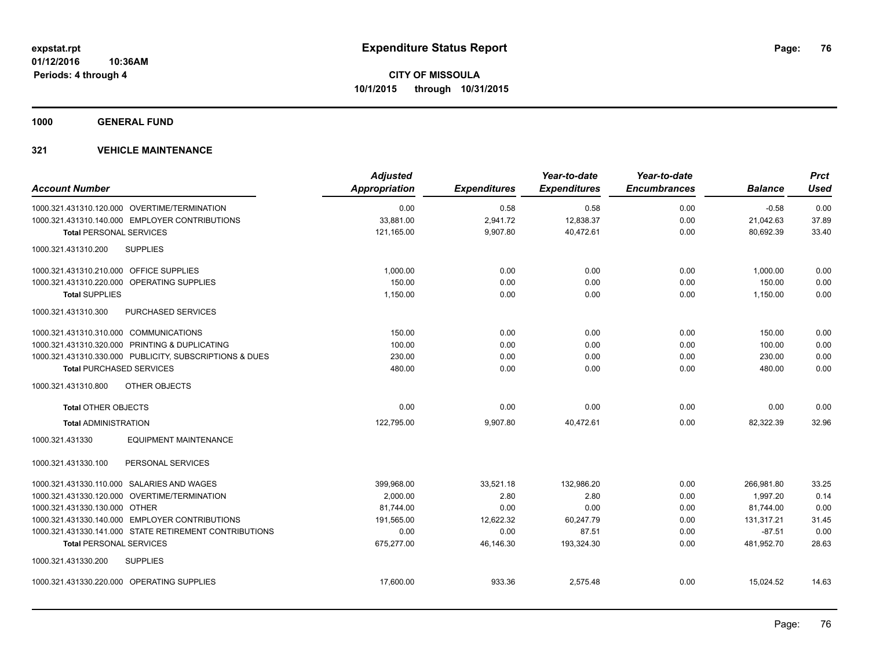**1000 GENERAL FUND**

| <b>Account Number</b>                   |                                                         | <b>Adjusted</b><br><b>Appropriation</b> | <b>Expenditures</b> | Year-to-date<br><b>Expenditures</b> | Year-to-date<br><b>Encumbrances</b> | <b>Balance</b> | <b>Prct</b><br><b>Used</b> |
|-----------------------------------------|---------------------------------------------------------|-----------------------------------------|---------------------|-------------------------------------|-------------------------------------|----------------|----------------------------|
|                                         |                                                         |                                         |                     |                                     |                                     |                |                            |
|                                         | 1000.321.431310.120.000 OVERTIME/TERMINATION            | 0.00                                    | 0.58                | 0.58                                | 0.00                                | $-0.58$        | 0.00                       |
|                                         | 1000.321.431310.140.000 EMPLOYER CONTRIBUTIONS          | 33,881.00                               | 2,941.72            | 12,838.37                           | 0.00                                | 21,042.63      | 37.89                      |
| <b>Total PERSONAL SERVICES</b>          |                                                         | 121,165.00                              | 9,907.80            | 40,472.61                           | 0.00                                | 80,692.39      | 33.40                      |
| 1000.321.431310.200                     | <b>SUPPLIES</b>                                         |                                         |                     |                                     |                                     |                |                            |
| 1000.321.431310.210.000 OFFICE SUPPLIES |                                                         | 1.000.00                                | 0.00                | 0.00                                | 0.00                                | 1,000.00       | 0.00                       |
|                                         | 1000.321.431310.220.000 OPERATING SUPPLIES              | 150.00                                  | 0.00                | 0.00                                | 0.00                                | 150.00         | 0.00                       |
| <b>Total SUPPLIES</b>                   |                                                         | 1,150.00                                | 0.00                | 0.00                                | 0.00                                | 1,150.00       | 0.00                       |
| 1000.321.431310.300                     | <b>PURCHASED SERVICES</b>                               |                                         |                     |                                     |                                     |                |                            |
| 1000.321.431310.310.000 COMMUNICATIONS  |                                                         | 150.00                                  | 0.00                | 0.00                                | 0.00                                | 150.00         | 0.00                       |
|                                         | 1000.321.431310.320.000 PRINTING & DUPLICATING          | 100.00                                  | 0.00                | 0.00                                | 0.00                                | 100.00         | 0.00                       |
|                                         | 1000.321.431310.330.000 PUBLICITY, SUBSCRIPTIONS & DUES | 230.00                                  | 0.00                | 0.00                                | 0.00                                | 230.00         | 0.00                       |
| <b>Total PURCHASED SERVICES</b>         |                                                         | 480.00                                  | 0.00                | 0.00                                | 0.00                                | 480.00         | 0.00                       |
| 1000.321.431310.800                     | OTHER OBJECTS                                           |                                         |                     |                                     |                                     |                |                            |
| <b>Total OTHER OBJECTS</b>              |                                                         | 0.00                                    | 0.00                | 0.00                                | 0.00                                | 0.00           | 0.00                       |
| <b>Total ADMINISTRATION</b>             |                                                         | 122.795.00                              | 9,907.80            | 40,472.61                           | 0.00                                | 82.322.39      | 32.96                      |
| 1000.321.431330                         | <b>EQUIPMENT MAINTENANCE</b>                            |                                         |                     |                                     |                                     |                |                            |
| 1000.321.431330.100                     | PERSONAL SERVICES                                       |                                         |                     |                                     |                                     |                |                            |
|                                         | 1000.321.431330.110.000 SALARIES AND WAGES              | 399,968.00                              | 33,521.18           | 132.986.20                          | 0.00                                | 266.981.80     | 33.25                      |
|                                         | 1000.321.431330.120.000 OVERTIME/TERMINATION            | 2,000.00                                | 2.80                | 2.80                                | 0.00                                | 1,997.20       | 0.14                       |
| 1000.321.431330.130.000 OTHER           |                                                         | 81.744.00                               | 0.00                | 0.00                                | 0.00                                | 81,744.00      | 0.00                       |
|                                         | 1000.321.431330.140.000 EMPLOYER CONTRIBUTIONS          | 191,565.00                              | 12,622.32           | 60,247.79                           | 0.00                                | 131,317.21     | 31.45                      |
|                                         | 1000.321.431330.141.000 STATE RETIREMENT CONTRIBUTIONS  | 0.00                                    | 0.00                | 87.51                               | 0.00                                | $-87.51$       | 0.00                       |
| <b>Total PERSONAL SERVICES</b>          |                                                         | 675,277.00                              | 46.146.30           | 193,324.30                          | 0.00                                | 481,952.70     | 28.63                      |
| 1000.321.431330.200                     | <b>SUPPLIES</b>                                         |                                         |                     |                                     |                                     |                |                            |
|                                         | 1000.321.431330.220.000 OPERATING SUPPLIES              | 17,600.00                               | 933.36              | 2.575.48                            | 0.00                                | 15.024.52      | 14.63                      |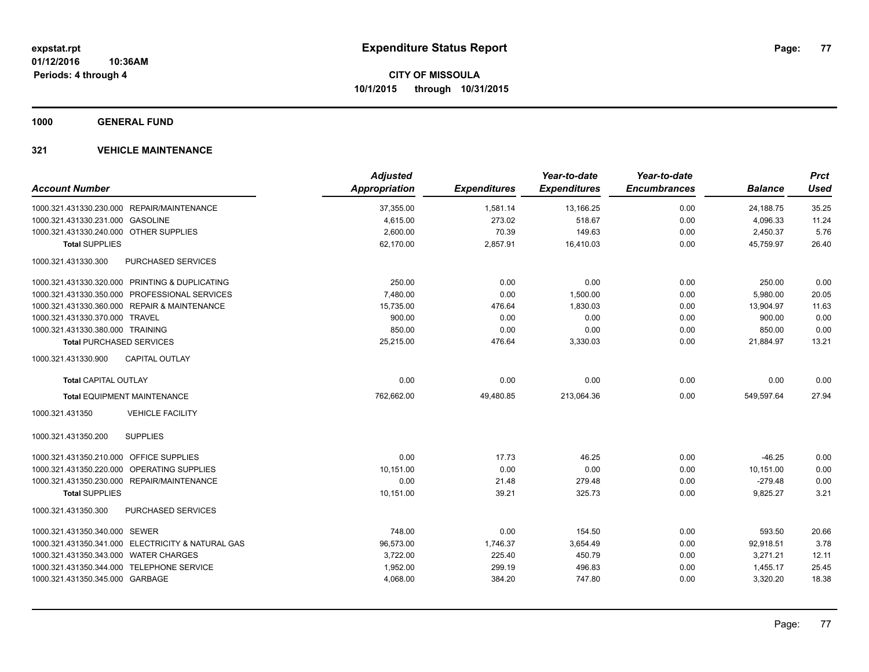**1000 GENERAL FUND**

|                                                      | <b>Adjusted</b>      |                     | Year-to-date        | Year-to-date        |                | <b>Prct</b> |
|------------------------------------------------------|----------------------|---------------------|---------------------|---------------------|----------------|-------------|
| <b>Account Number</b>                                | <b>Appropriation</b> | <b>Expenditures</b> | <b>Expenditures</b> | <b>Encumbrances</b> | <b>Balance</b> | <b>Used</b> |
| 1000.321.431330.230.000 REPAIR/MAINTENANCE           | 37,355.00            | 1,581.14            | 13,166.25           | 0.00                | 24,188.75      | 35.25       |
| 1000.321.431330.231.000 GASOLINE                     | 4,615.00             | 273.02              | 518.67              | 0.00                | 4,096.33       | 11.24       |
| 1000.321.431330.240.000 OTHER SUPPLIES               | 2,600.00             | 70.39               | 149.63              | 0.00                | 2,450.37       | 5.76        |
| <b>Total SUPPLIES</b>                                | 62,170.00            | 2,857.91            | 16,410.03           | 0.00                | 45,759.97      | 26.40       |
| 1000.321.431330.300<br>PURCHASED SERVICES            |                      |                     |                     |                     |                |             |
| 1000.321.431330.320.000 PRINTING & DUPLICATING       | 250.00               | 0.00                | 0.00                | 0.00                | 250.00         | 0.00        |
| 1000.321.431330.350.000 PROFESSIONAL SERVICES        | 7,480.00             | 0.00                | 1,500.00            | 0.00                | 5,980.00       | 20.05       |
| 1000.321.431330.360.000 REPAIR & MAINTENANCE         | 15,735.00            | 476.64              | 1,830.03            | 0.00                | 13,904.97      | 11.63       |
| 1000.321.431330.370.000 TRAVEL                       | 900.00               | 0.00                | 0.00                | 0.00                | 900.00         | 0.00        |
| 1000.321.431330.380.000 TRAINING                     | 850.00               | 0.00                | 0.00                | 0.00                | 850.00         | 0.00        |
| <b>Total PURCHASED SERVICES</b>                      | 25,215.00            | 476.64              | 3,330.03            | 0.00                | 21,884.97      | 13.21       |
| <b>CAPITAL OUTLAY</b><br>1000.321.431330.900         |                      |                     |                     |                     |                |             |
| <b>Total CAPITAL OUTLAY</b>                          | 0.00                 | 0.00                | 0.00                | 0.00                | 0.00           | 0.00        |
| <b>Total EQUIPMENT MAINTENANCE</b>                   | 762,662.00           | 49,480.85           | 213,064.36          | 0.00                | 549,597.64     | 27.94       |
| <b>VEHICLE FACILITY</b><br>1000.321.431350           |                      |                     |                     |                     |                |             |
| <b>SUPPLIES</b><br>1000.321.431350.200               |                      |                     |                     |                     |                |             |
| 1000.321.431350.210.000 OFFICE SUPPLIES              | 0.00                 | 17.73               | 46.25               | 0.00                | $-46.25$       | 0.00        |
| 1000.321.431350.220.000<br><b>OPERATING SUPPLIES</b> | 10,151.00            | 0.00                | 0.00                | 0.00                | 10,151.00      | 0.00        |
| 1000.321.431350.230.000 REPAIR/MAINTENANCE           | 0.00                 | 21.48               | 279.48              | 0.00                | $-279.48$      | 0.00        |
| <b>Total SUPPLIES</b>                                | 10,151.00            | 39.21               | 325.73              | 0.00                | 9,825.27       | 3.21        |
| 1000.321.431350.300<br>PURCHASED SERVICES            |                      |                     |                     |                     |                |             |
| 1000.321.431350.340.000 SEWER                        | 748.00               | 0.00                | 154.50              | 0.00                | 593.50         | 20.66       |
| 1000.321.431350.341.000 ELECTRICITY & NATURAL GAS    | 96,573.00            | 1,746.37            | 3,654.49            | 0.00                | 92,918.51      | 3.78        |
| 1000.321.431350.343.000 WATER CHARGES                | 3,722.00             | 225.40              | 450.79              | 0.00                | 3,271.21       | 12.11       |
| 1000.321.431350.344.000 TELEPHONE SERVICE            | 1,952.00             | 299.19              | 496.83              | 0.00                | 1,455.17       | 25.45       |
| 1000.321.431350.345.000 GARBAGE                      | 4,068.00             | 384.20              | 747.80              | 0.00                | 3,320.20       | 18.38       |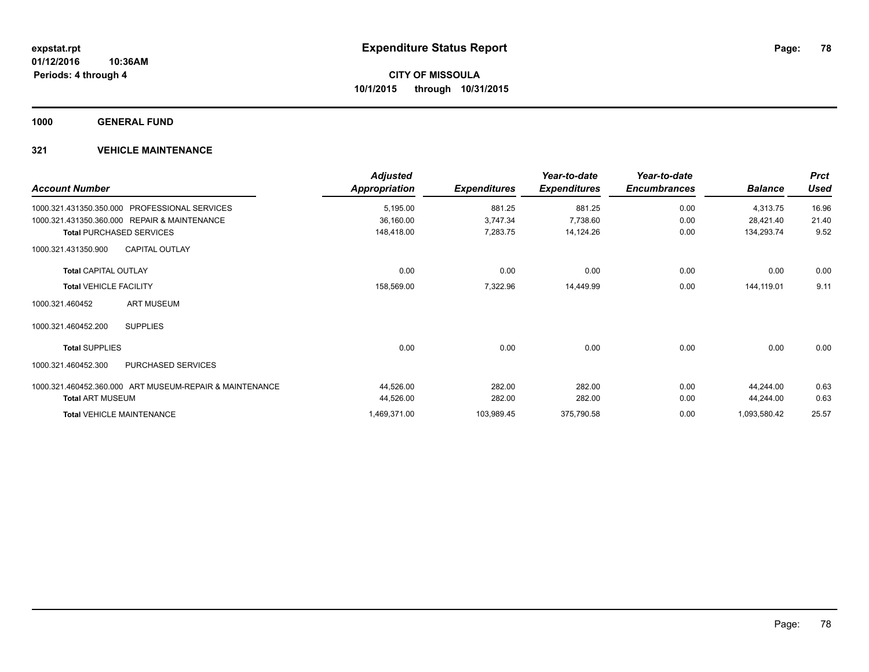**1000 GENERAL FUND**

| <b>Account Number</b>                                   | <b>Adjusted</b><br>Appropriation | <b>Expenditures</b> | Year-to-date<br><b>Expenditures</b> | Year-to-date<br><b>Encumbrances</b> | <b>Balance</b> | <b>Prct</b><br><b>Used</b> |
|---------------------------------------------------------|----------------------------------|---------------------|-------------------------------------|-------------------------------------|----------------|----------------------------|
| 1000.321.431350.350.000<br><b>PROFESSIONAL SERVICES</b> | 5,195.00                         | 881.25              | 881.25                              | 0.00                                | 4,313.75       | 16.96                      |
| 1000.321.431350.360.000 REPAIR & MAINTENANCE            | 36,160.00                        | 3,747.34            | 7,738.60                            | 0.00                                | 28,421.40      | 21.40                      |
| <b>Total PURCHASED SERVICES</b>                         | 148,418.00                       | 7,283.75            | 14,124.26                           | 0.00                                | 134,293.74     | 9.52                       |
| <b>CAPITAL OUTLAY</b><br>1000.321.431350.900            |                                  |                     |                                     |                                     |                |                            |
| <b>Total CAPITAL OUTLAY</b>                             | 0.00                             | 0.00                | 0.00                                | 0.00                                | 0.00           | 0.00                       |
| <b>Total VEHICLE FACILITY</b>                           | 158,569.00                       | 7,322.96            | 14,449.99                           | 0.00                                | 144,119.01     | 9.11                       |
| <b>ART MUSEUM</b><br>1000.321.460452                    |                                  |                     |                                     |                                     |                |                            |
| 1000.321.460452.200<br><b>SUPPLIES</b>                  |                                  |                     |                                     |                                     |                |                            |
| <b>Total SUPPLIES</b>                                   | 0.00                             | 0.00                | 0.00                                | 0.00                                | 0.00           | 0.00                       |
| PURCHASED SERVICES<br>1000.321.460452.300               |                                  |                     |                                     |                                     |                |                            |
| 1000.321.460452.360.000 ART MUSEUM-REPAIR & MAINTENANCE | 44,526.00                        | 282.00              | 282.00                              | 0.00                                | 44,244.00      | 0.63                       |
| <b>Total ART MUSEUM</b>                                 | 44,526.00                        | 282.00              | 282.00                              | 0.00                                | 44,244.00      | 0.63                       |
| <b>Total VEHICLE MAINTENANCE</b>                        | 1,469,371.00                     | 103,989.45          | 375,790.58                          | 0.00                                | 1,093,580.42   | 25.57                      |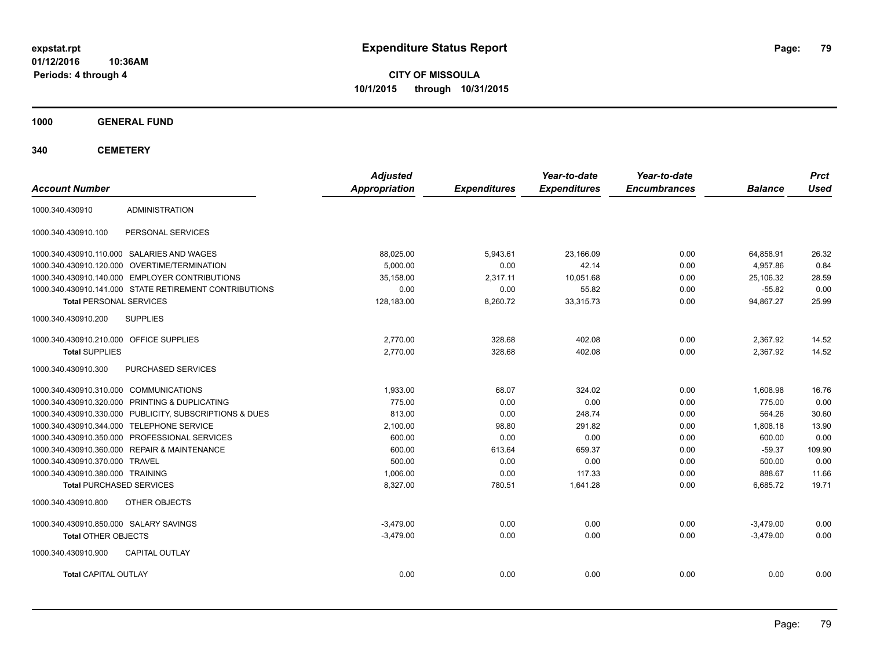**CITY OF MISSOULA 10/1/2015 through 10/31/2015**

**1000 GENERAL FUND**

| <b>Account Number</b>                   |                                                         | <b>Adjusted</b><br><b>Appropriation</b> | <b>Expenditures</b> | Year-to-date<br><b>Expenditures</b> | Year-to-date<br><b>Encumbrances</b> | <b>Balance</b> | <b>Prct</b><br><b>Used</b> |
|-----------------------------------------|---------------------------------------------------------|-----------------------------------------|---------------------|-------------------------------------|-------------------------------------|----------------|----------------------------|
| 1000.340.430910                         | <b>ADMINISTRATION</b>                                   |                                         |                     |                                     |                                     |                |                            |
| 1000.340.430910.100                     | PERSONAL SERVICES                                       |                                         |                     |                                     |                                     |                |                            |
|                                         | 1000.340.430910.110.000 SALARIES AND WAGES              | 88,025.00                               | 5,943.61            | 23.166.09                           | 0.00                                | 64,858.91      | 26.32                      |
| 1000.340.430910.120.000                 | OVERTIME/TERMINATION                                    | 5.000.00                                | 0.00                | 42.14                               | 0.00                                | 4.957.86       | 0.84                       |
| 1000.340.430910.140.000                 | <b>EMPLOYER CONTRIBUTIONS</b>                           | 35,158.00                               | 2,317.11            | 10,051.68                           | 0.00                                | 25,106.32      | 28.59                      |
|                                         | 1000.340.430910.141.000 STATE RETIREMENT CONTRIBUTIONS  | 0.00                                    | 0.00                | 55.82                               | 0.00                                | $-55.82$       | 0.00                       |
| <b>Total PERSONAL SERVICES</b>          |                                                         | 128,183.00                              | 8,260.72            | 33,315.73                           | 0.00                                | 94,867.27      | 25.99                      |
| 1000.340.430910.200                     | <b>SUPPLIES</b>                                         |                                         |                     |                                     |                                     |                |                            |
| 1000.340.430910.210.000 OFFICE SUPPLIES |                                                         | 2,770.00                                | 328.68              | 402.08                              | 0.00                                | 2,367.92       | 14.52                      |
| <b>Total SUPPLIES</b>                   |                                                         | 2.770.00                                | 328.68              | 402.08                              | 0.00                                | 2,367.92       | 14.52                      |
| 1000.340.430910.300                     | PURCHASED SERVICES                                      |                                         |                     |                                     |                                     |                |                            |
| 1000.340.430910.310.000 COMMUNICATIONS  |                                                         | 1,933.00                                | 68.07               | 324.02                              | 0.00                                | 1,608.98       | 16.76                      |
|                                         | 1000.340.430910.320.000 PRINTING & DUPLICATING          | 775.00                                  | 0.00                | 0.00                                | 0.00                                | 775.00         | 0.00                       |
|                                         | 1000.340.430910.330.000 PUBLICITY, SUBSCRIPTIONS & DUES | 813.00                                  | 0.00                | 248.74                              | 0.00                                | 564.26         | 30.60                      |
|                                         | 1000.340.430910.344.000 TELEPHONE SERVICE               | 2,100.00                                | 98.80               | 291.82                              | 0.00                                | 1,808.18       | 13.90                      |
|                                         | 1000.340.430910.350.000 PROFESSIONAL SERVICES           | 600.00                                  | 0.00                | 0.00                                | 0.00                                | 600.00         | 0.00                       |
|                                         | 1000.340.430910.360.000 REPAIR & MAINTENANCE            | 600.00                                  | 613.64              | 659.37                              | 0.00                                | $-59.37$       | 109.90                     |
| 1000.340.430910.370.000 TRAVEL          |                                                         | 500.00                                  | 0.00                | 0.00                                | 0.00                                | 500.00         | 0.00                       |
| 1000.340.430910.380.000 TRAINING        |                                                         | 1.006.00                                | 0.00                | 117.33                              | 0.00                                | 888.67         | 11.66                      |
| <b>Total PURCHASED SERVICES</b>         |                                                         | 8,327.00                                | 780.51              | 1,641.28                            | 0.00                                | 6,685.72       | 19.71                      |
| 1000.340.430910.800                     | OTHER OBJECTS                                           |                                         |                     |                                     |                                     |                |                            |
| 1000.340.430910.850.000 SALARY SAVINGS  |                                                         | $-3.479.00$                             | 0.00                | 0.00                                | 0.00                                | $-3.479.00$    | 0.00                       |
| <b>Total OTHER OBJECTS</b>              |                                                         | $-3,479.00$                             | 0.00                | 0.00                                | 0.00                                | $-3,479.00$    | 0.00                       |
| 1000.340.430910.900                     | <b>CAPITAL OUTLAY</b>                                   |                                         |                     |                                     |                                     |                |                            |
| <b>Total CAPITAL OUTLAY</b>             |                                                         | 0.00                                    | 0.00                | 0.00                                | 0.00                                | 0.00           | 0.00                       |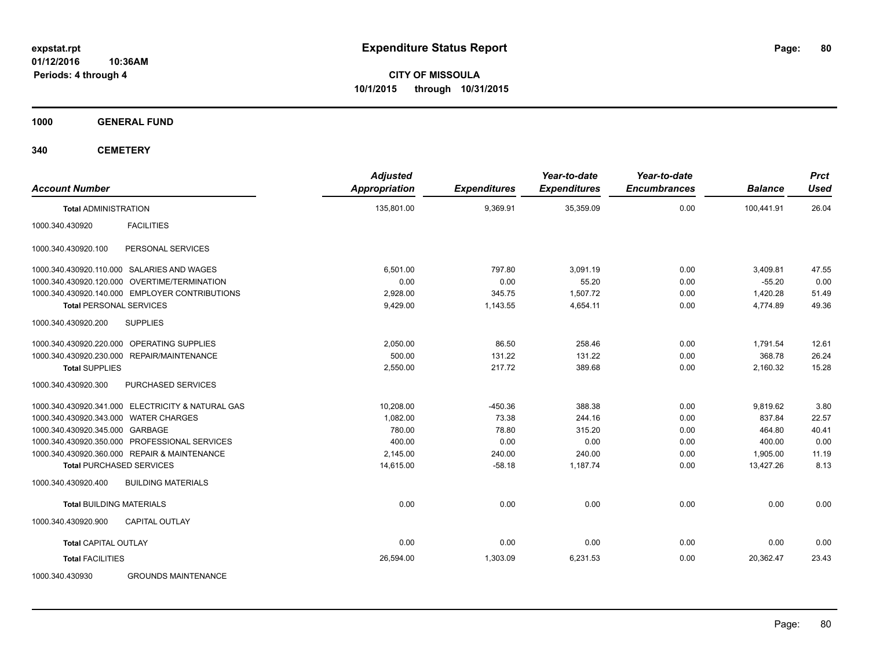**CITY OF MISSOULA 10/1/2015 through 10/31/2015**

**1000 GENERAL FUND**

| <b>Account Number</b>                             | <b>Adjusted</b><br><b>Appropriation</b> | <b>Expenditures</b> | Year-to-date<br><b>Expenditures</b> | Year-to-date<br><b>Encumbrances</b> | <b>Balance</b> | <b>Prct</b><br><b>Used</b> |
|---------------------------------------------------|-----------------------------------------|---------------------|-------------------------------------|-------------------------------------|----------------|----------------------------|
| <b>Total ADMINISTRATION</b>                       | 135,801.00                              | 9,369.91            | 35,359.09                           | 0.00                                | 100,441.91     | 26.04                      |
| <b>FACILITIES</b><br>1000.340.430920              |                                         |                     |                                     |                                     |                |                            |
| 1000.340.430920.100<br>PERSONAL SERVICES          |                                         |                     |                                     |                                     |                |                            |
| 1000.340.430920.110.000 SALARIES AND WAGES        | 6,501.00                                | 797.80              | 3,091.19                            | 0.00                                | 3,409.81       | 47.55                      |
| OVERTIME/TERMINATION<br>1000.340.430920.120.000   | 0.00                                    | 0.00                | 55.20                               | 0.00                                | $-55.20$       | 0.00                       |
| 1000.340.430920.140.000 EMPLOYER CONTRIBUTIONS    | 2,928.00                                | 345.75              | 1.507.72                            | 0.00                                | 1,420.28       | 51.49                      |
| <b>Total PERSONAL SERVICES</b>                    | 9,429.00                                | 1,143.55            | 4,654.11                            | 0.00                                | 4,774.89       | 49.36                      |
| <b>SUPPLIES</b><br>1000.340.430920.200            |                                         |                     |                                     |                                     |                |                            |
| 1000.340.430920.220.000 OPERATING SUPPLIES        | 2,050.00                                | 86.50               | 258.46                              | 0.00                                | 1,791.54       | 12.61                      |
| 1000.340.430920.230.000<br>REPAIR/MAINTENANCE     | 500.00                                  | 131.22              | 131.22                              | 0.00                                | 368.78         | 26.24                      |
| <b>Total SUPPLIES</b>                             | 2,550.00                                | 217.72              | 389.68                              | 0.00                                | 2,160.32       | 15.28                      |
| 1000.340.430920.300<br>PURCHASED SERVICES         |                                         |                     |                                     |                                     |                |                            |
| 1000.340.430920.341.000 ELECTRICITY & NATURAL GAS | 10,208.00                               | $-450.36$           | 388.38                              | 0.00                                | 9,819.62       | 3.80                       |
| 1000.340.430920.343.000 WATER CHARGES             | 1,082.00                                | 73.38               | 244.16                              | 0.00                                | 837.84         | 22.57                      |
| 1000.340.430920.345.000 GARBAGE                   | 780.00                                  | 78.80               | 315.20                              | 0.00                                | 464.80         | 40.41                      |
| 1000.340.430920.350.000 PROFESSIONAL SERVICES     | 400.00                                  | 0.00                | 0.00                                | 0.00                                | 400.00         | 0.00                       |
| 1000.340.430920.360.000 REPAIR & MAINTENANCE      | 2,145.00                                | 240.00              | 240.00                              | 0.00                                | 1,905.00       | 11.19                      |
| <b>Total PURCHASED SERVICES</b>                   | 14,615.00                               | $-58.18$            | 1,187.74                            | 0.00                                | 13,427.26      | 8.13                       |
| <b>BUILDING MATERIALS</b><br>1000.340.430920.400  |                                         |                     |                                     |                                     |                |                            |
| <b>Total BUILDING MATERIALS</b>                   | 0.00                                    | 0.00                | 0.00                                | 0.00                                | 0.00           | 0.00                       |
| 1000.340.430920.900<br><b>CAPITAL OUTLAY</b>      |                                         |                     |                                     |                                     |                |                            |
| <b>Total CAPITAL OUTLAY</b>                       | 0.00                                    | 0.00                | 0.00                                | 0.00                                | 0.00           | 0.00                       |
| <b>Total FACILITIES</b>                           | 26,594.00                               | 1,303.09            | 6,231.53                            | 0.00                                | 20,362.47      | 23.43                      |
| 1000.340.430930<br><b>GROUNDS MAINTENANCE</b>     |                                         |                     |                                     |                                     |                |                            |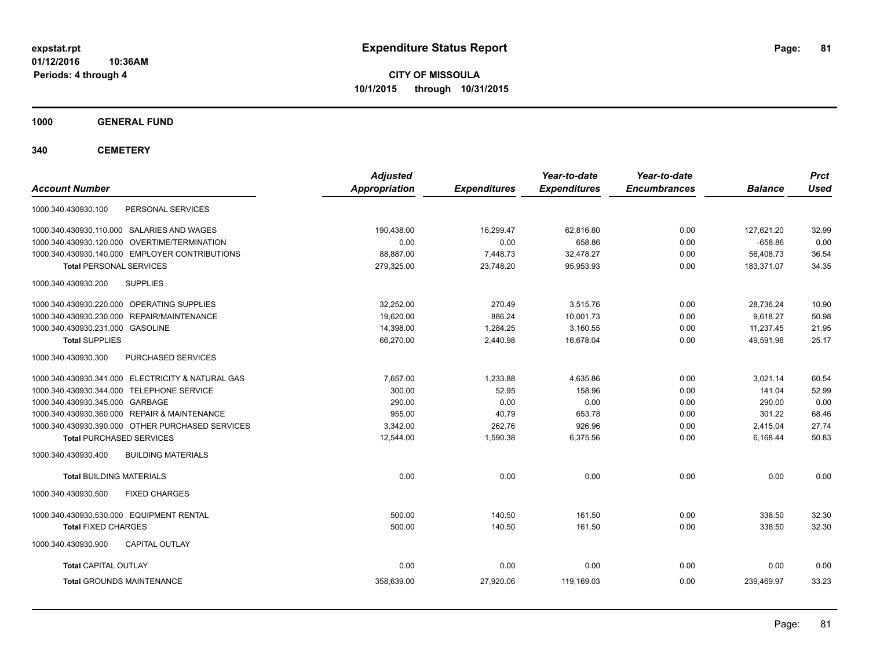**CITY OF MISSOULA 10/1/2015 through 10/31/2015**

**1000 GENERAL FUND**

| <b>Account Number</b>                             | <b>Adjusted</b><br>Appropriation | <b>Expenditures</b> | Year-to-date<br><b>Expenditures</b> | Year-to-date<br><b>Encumbrances</b> | <b>Balance</b> | <b>Prct</b><br><b>Used</b> |
|---------------------------------------------------|----------------------------------|---------------------|-------------------------------------|-------------------------------------|----------------|----------------------------|
| 1000.340.430930.100<br>PERSONAL SERVICES          |                                  |                     |                                     |                                     |                |                            |
| 1000.340.430930.110.000 SALARIES AND WAGES        | 190,438.00                       | 16,299.47           | 62,816.80                           | 0.00                                | 127,621.20     | 32.99                      |
| 1000.340.430930.120.000 OVERTIME/TERMINATION      | 0.00                             | 0.00                | 658.86                              | 0.00                                | $-658.86$      | 0.00                       |
| 1000.340.430930.140.000 EMPLOYER CONTRIBUTIONS    | 88,887.00                        | 7,448.73            | 32,478.27                           | 0.00                                | 56,408.73      | 36.54                      |
| <b>Total PERSONAL SERVICES</b>                    | 279,325.00                       | 23,748.20           | 95,953.93                           | 0.00                                | 183,371.07     | 34.35                      |
| <b>SUPPLIES</b><br>1000.340.430930.200            |                                  |                     |                                     |                                     |                |                            |
| 1000.340.430930.220.000 OPERATING SUPPLIES        | 32,252.00                        | 270.49              | 3,515.76                            | 0.00                                | 28,736.24      | 10.90                      |
| 1000.340.430930.230.000 REPAIR/MAINTENANCE        | 19.620.00                        | 886.24              | 10,001.73                           | 0.00                                | 9.618.27       | 50.98                      |
| 1000.340.430930.231.000 GASOLINE                  | 14,398.00                        | 1,284.25            | 3,160.55                            | 0.00                                | 11,237.45      | 21.95                      |
| <b>Total SUPPLIES</b>                             | 66,270.00                        | 2,440.98            | 16,678.04                           | 0.00                                | 49.591.96      | 25.17                      |
| PURCHASED SERVICES<br>1000.340.430930.300         |                                  |                     |                                     |                                     |                |                            |
| 1000.340.430930.341.000 ELECTRICITY & NATURAL GAS | 7,657.00                         | 1,233.88            | 4,635.86                            | 0.00                                | 3,021.14       | 60.54                      |
| 1000.340.430930.344.000 TELEPHONE SERVICE         | 300.00                           | 52.95               | 158.96                              | 0.00                                | 141.04         | 52.99                      |
| 1000.340.430930.345.000 GARBAGE                   | 290.00                           | 0.00                | 0.00                                | 0.00                                | 290.00         | 0.00                       |
| 1000.340.430930.360.000 REPAIR & MAINTENANCE      | 955.00                           | 40.79               | 653.78                              | 0.00                                | 301.22         | 68.46                      |
| 1000.340.430930.390.000 OTHER PURCHASED SERVICES  | 3,342.00                         | 262.76              | 926.96                              | 0.00                                | 2,415.04       | 27.74                      |
| <b>Total PURCHASED SERVICES</b>                   | 12,544.00                        | 1,590.38            | 6,375.56                            | 0.00                                | 6,168.44       | 50.83                      |
| 1000.340.430930.400<br><b>BUILDING MATERIALS</b>  |                                  |                     |                                     |                                     |                |                            |
| <b>Total BUILDING MATERIALS</b>                   | 0.00                             | 0.00                | 0.00                                | 0.00                                | 0.00           | 0.00                       |
| <b>FIXED CHARGES</b><br>1000.340.430930.500       |                                  |                     |                                     |                                     |                |                            |
| 1000.340.430930.530.000 EQUIPMENT RENTAL          | 500.00                           | 140.50              | 161.50                              | 0.00                                | 338.50         | 32.30                      |
| <b>Total FIXED CHARGES</b>                        | 500.00                           | 140.50              | 161.50                              | 0.00                                | 338.50         | 32.30                      |
| 1000.340.430930.900<br><b>CAPITAL OUTLAY</b>      |                                  |                     |                                     |                                     |                |                            |
| <b>Total CAPITAL OUTLAY</b>                       | 0.00                             | 0.00                | 0.00                                | 0.00                                | 0.00           | 0.00                       |
| <b>Total GROUNDS MAINTENANCE</b>                  | 358,639.00                       | 27,920.06           | 119,169.03                          | 0.00                                | 239,469.97     | 33.23                      |
|                                                   |                                  |                     |                                     |                                     |                |                            |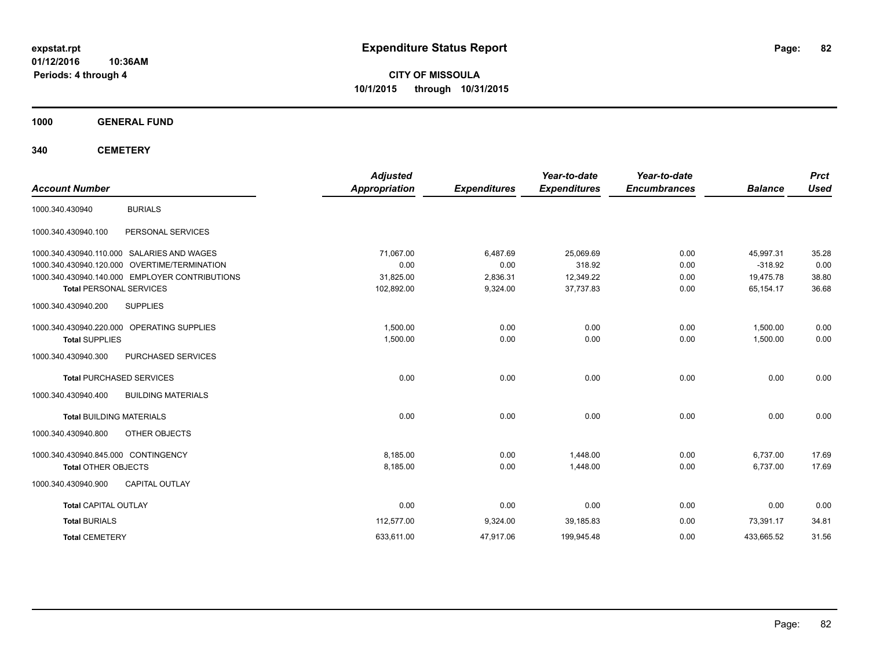**CITY OF MISSOULA 10/1/2015 through 10/31/2015**

**1000 GENERAL FUND**

| <b>Account Number</b>               |                                                | <b>Adjusted</b><br><b>Appropriation</b> | <b>Expenditures</b> | Year-to-date<br><b>Expenditures</b> | Year-to-date<br><b>Encumbrances</b> | <b>Balance</b> | <b>Prct</b><br><b>Used</b> |
|-------------------------------------|------------------------------------------------|-----------------------------------------|---------------------|-------------------------------------|-------------------------------------|----------------|----------------------------|
| 1000.340.430940                     | <b>BURIALS</b>                                 |                                         |                     |                                     |                                     |                |                            |
| 1000.340.430940.100                 | PERSONAL SERVICES                              |                                         |                     |                                     |                                     |                |                            |
|                                     | 1000.340.430940.110.000 SALARIES AND WAGES     | 71,067.00                               | 6,487.69            | 25,069.69                           | 0.00                                | 45,997.31      | 35.28                      |
|                                     | 1000.340.430940.120.000 OVERTIME/TERMINATION   | 0.00                                    | 0.00                | 318.92                              | 0.00                                | $-318.92$      | 0.00                       |
|                                     | 1000.340.430940.140.000 EMPLOYER CONTRIBUTIONS | 31,825.00                               | 2,836.31            | 12,349.22                           | 0.00                                | 19,475.78      | 38.80                      |
| <b>Total PERSONAL SERVICES</b>      |                                                | 102,892.00                              | 9,324.00            | 37,737.83                           | 0.00                                | 65,154.17      | 36.68                      |
| 1000.340.430940.200                 | <b>SUPPLIES</b>                                |                                         |                     |                                     |                                     |                |                            |
|                                     | 1000.340.430940.220.000 OPERATING SUPPLIES     | 1,500.00                                | 0.00                | 0.00                                | 0.00                                | 1,500.00       | 0.00                       |
| <b>Total SUPPLIES</b>               |                                                | 1,500.00                                | 0.00                | 0.00                                | 0.00                                | 1,500.00       | 0.00                       |
| 1000.340.430940.300                 | PURCHASED SERVICES                             |                                         |                     |                                     |                                     |                |                            |
|                                     | <b>Total PURCHASED SERVICES</b>                | 0.00                                    | 0.00                | 0.00                                | 0.00                                | 0.00           | 0.00                       |
| 1000.340.430940.400                 | <b>BUILDING MATERIALS</b>                      |                                         |                     |                                     |                                     |                |                            |
| <b>Total BUILDING MATERIALS</b>     |                                                | 0.00                                    | 0.00                | 0.00                                | 0.00                                | 0.00           | 0.00                       |
| 1000.340.430940.800                 | OTHER OBJECTS                                  |                                         |                     |                                     |                                     |                |                            |
| 1000.340.430940.845.000 CONTINGENCY |                                                | 8,185.00                                | 0.00                | 1,448.00                            | 0.00                                | 6,737.00       | 17.69                      |
| <b>Total OTHER OBJECTS</b>          |                                                | 8,185.00                                | 0.00                | 1,448.00                            | 0.00                                | 6,737.00       | 17.69                      |
| 1000.340.430940.900                 | <b>CAPITAL OUTLAY</b>                          |                                         |                     |                                     |                                     |                |                            |
| <b>Total CAPITAL OUTLAY</b>         |                                                | 0.00                                    | 0.00                | 0.00                                | 0.00                                | 0.00           | 0.00                       |
| <b>Total BURIALS</b>                |                                                | 112,577.00                              | 9,324.00            | 39,185.83                           | 0.00                                | 73,391.17      | 34.81                      |
| <b>Total CEMETERY</b>               |                                                | 633,611.00                              | 47,917.06           | 199,945.48                          | 0.00                                | 433,665.52     | 31.56                      |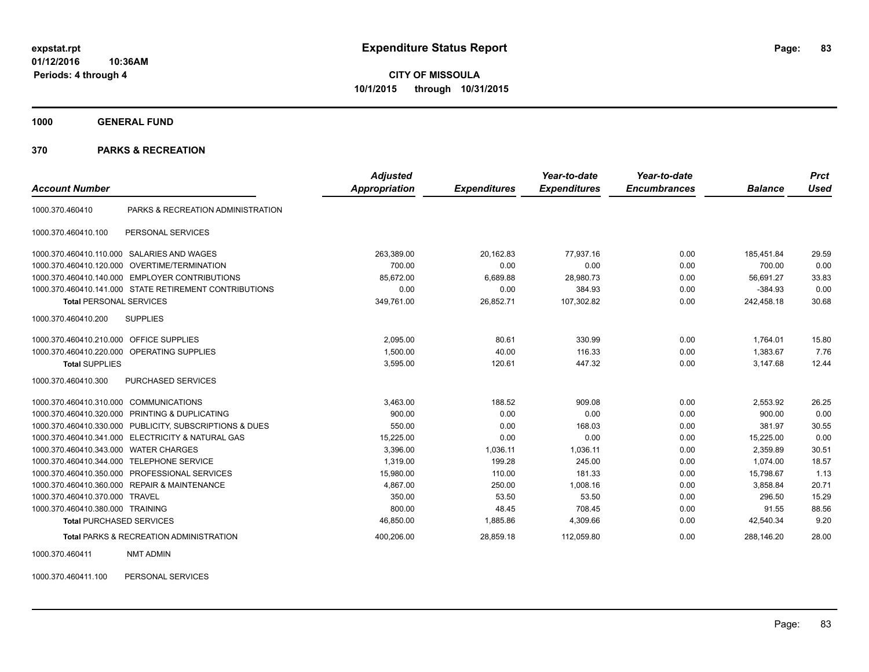**CITY OF MISSOULA 10/1/2015 through 10/31/2015**

**1000 GENERAL FUND**

#### **370 PARKS & RECREATION**

| <b>Account Number</b>            |                                                        | <b>Adjusted</b><br>Appropriation | <b>Expenditures</b> | Year-to-date<br><b>Expenditures</b> | Year-to-date<br><b>Encumbrances</b> | <b>Balance</b> | <b>Prct</b><br><b>Used</b> |
|----------------------------------|--------------------------------------------------------|----------------------------------|---------------------|-------------------------------------|-------------------------------------|----------------|----------------------------|
| 1000.370.460410                  | PARKS & RECREATION ADMINISTRATION                      |                                  |                     |                                     |                                     |                |                            |
| 1000.370.460410.100              | PERSONAL SERVICES                                      |                                  |                     |                                     |                                     |                |                            |
| 1000.370.460410.110.000          | SALARIES AND WAGES                                     | 263,389.00                       | 20,162.83           | 77.937.16                           | 0.00                                | 185.451.84     | 29.59                      |
| 1000.370.460410.120.000          | OVERTIME/TERMINATION                                   | 700.00                           | 0.00                | 0.00                                | 0.00                                | 700.00         | 0.00                       |
| 1000.370.460410.140.000          | <b>EMPLOYER CONTRIBUTIONS</b>                          | 85,672.00                        | 6,689.88            | 28,980.73                           | 0.00                                | 56.691.27      | 33.83                      |
|                                  | 1000.370.460410.141.000 STATE RETIREMENT CONTRIBUTIONS | 0.00                             | 0.00                | 384.93                              | 0.00                                | $-384.93$      | 0.00                       |
| <b>Total PERSONAL SERVICES</b>   |                                                        | 349,761.00                       | 26,852.71           | 107,302.82                          | 0.00                                | 242,458.18     | 30.68                      |
| 1000.370.460410.200              | <b>SUPPLIES</b>                                        |                                  |                     |                                     |                                     |                |                            |
| 1000.370.460410.210.000          | <b>OFFICE SUPPLIES</b>                                 | 2,095.00                         | 80.61               | 330.99                              | 0.00                                | 1,764.01       | 15.80                      |
| 1000.370.460410.220.000          | OPERATING SUPPLIES                                     | 1,500.00                         | 40.00               | 116.33                              | 0.00                                | 1,383.67       | 7.76                       |
| <b>Total SUPPLIES</b>            |                                                        | 3,595.00                         | 120.61              | 447.32                              | 0.00                                | 3,147.68       | 12.44                      |
| 1000.370.460410.300              | PURCHASED SERVICES                                     |                                  |                     |                                     |                                     |                |                            |
| 1000.370.460410.310.000          | <b>COMMUNICATIONS</b>                                  | 3,463.00                         | 188.52              | 909.08                              | 0.00                                | 2,553.92       | 26.25                      |
|                                  | 1000.370.460410.320.000 PRINTING & DUPLICATING         | 900.00                           | 0.00                | 0.00                                | 0.00                                | 900.00         | 0.00                       |
| 1000.370.460410.330.000          | PUBLICITY, SUBSCRIPTIONS & DUES                        | 550.00                           | 0.00                | 168.03                              | 0.00                                | 381.97         | 30.55                      |
| 1000.370.460410.341.000          | ELECTRICITY & NATURAL GAS                              | 15,225.00                        | 0.00                | 0.00                                | 0.00                                | 15,225.00      | 0.00                       |
| 1000.370.460410.343.000          | <b>WATER CHARGES</b>                                   | 3,396.00                         | 1,036.11            | 1,036.11                            | 0.00                                | 2,359.89       | 30.51                      |
| 1000.370.460410.344.000          | <b>TELEPHONE SERVICE</b>                               | 1,319.00                         | 199.28              | 245.00                              | 0.00                                | 1,074.00       | 18.57                      |
| 1000.370.460410.350.000          | PROFESSIONAL SERVICES                                  | 15,980.00                        | 110.00              | 181.33                              | 0.00                                | 15,798.67      | 1.13                       |
| 1000.370.460410.360.000          | <b>REPAIR &amp; MAINTENANCE</b>                        | 4,867.00                         | 250.00              | 1,008.16                            | 0.00                                | 3.858.84       | 20.71                      |
| 1000.370.460410.370.000          | <b>TRAVEL</b>                                          | 350.00                           | 53.50               | 53.50                               | 0.00                                | 296.50         | 15.29                      |
| 1000.370.460410.380.000 TRAINING |                                                        | 800.00                           | 48.45               | 708.45                              | 0.00                                | 91.55          | 88.56                      |
| <b>Total PURCHASED SERVICES</b>  |                                                        | 46,850.00                        | 1,885.86            | 4,309.66                            | 0.00                                | 42,540.34      | 9.20                       |
|                                  | <b>Total PARKS &amp; RECREATION ADMINISTRATION</b>     | 400,206.00                       | 28.859.18           | 112,059.80                          | 0.00                                | 288.146.20     | 28.00                      |

1000.370.460411 NMT ADMIN

1000.370.460411.100 PERSONAL SERVICES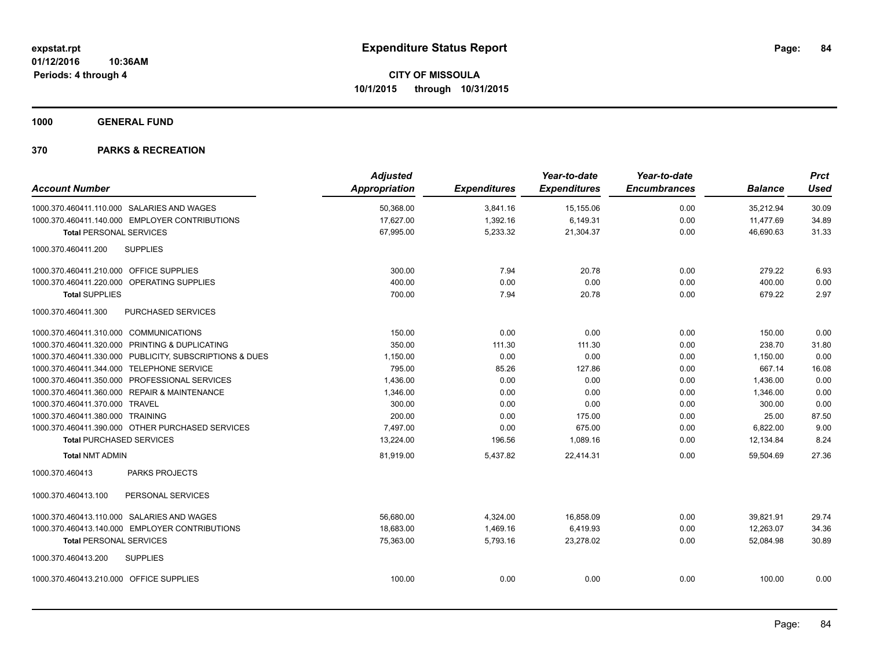**1000 GENERAL FUND**

| <b>Account Number</b>                     |                                                         | <b>Adjusted</b><br><b>Appropriation</b> | <b>Expenditures</b> | Year-to-date<br><b>Expenditures</b> | Year-to-date<br><b>Encumbrances</b> | <b>Balance</b> | <b>Prct</b><br><b>Used</b> |
|-------------------------------------------|---------------------------------------------------------|-----------------------------------------|---------------------|-------------------------------------|-------------------------------------|----------------|----------------------------|
|                                           |                                                         |                                         |                     |                                     |                                     |                |                            |
|                                           | 1000.370.460411.110.000 SALARIES AND WAGES              | 50,368.00                               | 3,841.16            | 15,155.06                           | 0.00                                | 35,212.94      | 30.09                      |
|                                           | 1000.370.460411.140.000 EMPLOYER CONTRIBUTIONS          | 17,627.00                               | 1,392.16            | 6,149.31                            | 0.00                                | 11,477.69      | 34.89                      |
| <b>Total PERSONAL SERVICES</b>            |                                                         | 67,995.00                               | 5,233.32            | 21,304.37                           | 0.00                                | 46,690.63      | 31.33                      |
| 1000.370.460411.200                       | <b>SUPPLIES</b>                                         |                                         |                     |                                     |                                     |                |                            |
| 1000.370.460411.210.000 OFFICE SUPPLIES   |                                                         | 300.00                                  | 7.94                | 20.78                               | 0.00                                | 279.22         | 6.93                       |
|                                           | 1000.370.460411.220.000 OPERATING SUPPLIES              | 400.00                                  | 0.00                | 0.00                                | 0.00                                | 400.00         | 0.00                       |
| <b>Total SUPPLIES</b>                     |                                                         | 700.00                                  | 7.94                | 20.78                               | 0.00                                | 679.22         | 2.97                       |
| 1000.370.460411.300                       | PURCHASED SERVICES                                      |                                         |                     |                                     |                                     |                |                            |
| 1000.370.460411.310.000 COMMUNICATIONS    |                                                         | 150.00                                  | 0.00                | 0.00                                | 0.00                                | 150.00         | 0.00                       |
|                                           | 1000.370.460411.320.000 PRINTING & DUPLICATING          | 350.00                                  | 111.30              | 111.30                              | 0.00                                | 238.70         | 31.80                      |
|                                           | 1000.370.460411.330.000 PUBLICITY, SUBSCRIPTIONS & DUES | 1,150.00                                | 0.00                | 0.00                                | 0.00                                | 1,150.00       | 0.00                       |
| 1000.370.460411.344.000 TELEPHONE SERVICE |                                                         | 795.00                                  | 85.26               | 127.86                              | 0.00                                | 667.14         | 16.08                      |
|                                           | 1000.370.460411.350.000 PROFESSIONAL SERVICES           | 1,436.00                                | 0.00                | 0.00                                | 0.00                                | 1,436.00       | 0.00                       |
|                                           | 1000.370.460411.360.000 REPAIR & MAINTENANCE            | 1,346.00                                | 0.00                | 0.00                                | 0.00                                | 1.346.00       | 0.00                       |
| 1000.370.460411.370.000 TRAVEL            |                                                         | 300.00                                  | 0.00                | 0.00                                | 0.00                                | 300.00         | 0.00                       |
| 1000.370.460411.380.000 TRAINING          |                                                         | 200.00                                  | 0.00                | 175.00                              | 0.00                                | 25.00          | 87.50                      |
|                                           | 1000.370.460411.390.000 OTHER PURCHASED SERVICES        | 7,497.00                                | 0.00                | 675.00                              | 0.00                                | 6,822.00       | 9.00                       |
| <b>Total PURCHASED SERVICES</b>           |                                                         | 13,224.00                               | 196.56              | 1,089.16                            | 0.00                                | 12,134.84      | 8.24                       |
| <b>Total NMT ADMIN</b>                    |                                                         | 81,919.00                               | 5,437.82            | 22.414.31                           | 0.00                                | 59.504.69      | 27.36                      |
| 1000.370.460413                           | <b>PARKS PROJECTS</b>                                   |                                         |                     |                                     |                                     |                |                            |
| 1000.370.460413.100                       | PERSONAL SERVICES                                       |                                         |                     |                                     |                                     |                |                            |
|                                           | 1000.370.460413.110.000 SALARIES AND WAGES              | 56,680.00                               | 4,324.00            | 16,858.09                           | 0.00                                | 39,821.91      | 29.74                      |
|                                           | 1000.370.460413.140.000 EMPLOYER CONTRIBUTIONS          | 18,683.00                               | 1,469.16            | 6,419.93                            | 0.00                                | 12.263.07      | 34.36                      |
| <b>Total PERSONAL SERVICES</b>            |                                                         | 75,363.00                               | 5,793.16            | 23,278.02                           | 0.00                                | 52.084.98      | 30.89                      |
| 1000.370.460413.200                       | <b>SUPPLIES</b>                                         |                                         |                     |                                     |                                     |                |                            |
| 1000.370.460413.210.000 OFFICE SUPPLIES   |                                                         | 100.00                                  | 0.00                | 0.00                                | 0.00                                | 100.00         | 0.00                       |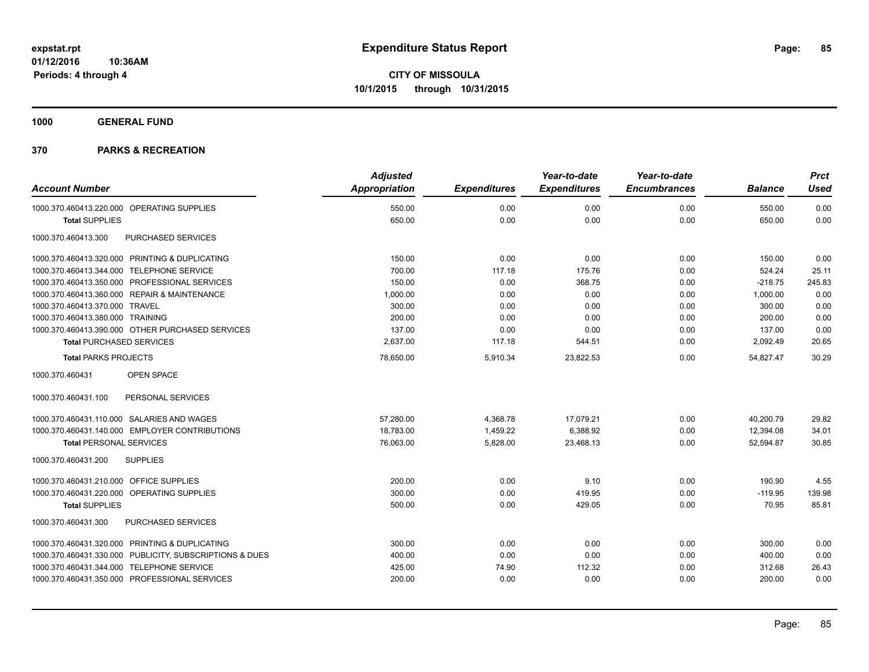**1000 GENERAL FUND**

|                                                         | <b>Adjusted</b>      |                     | Year-to-date        | Year-to-date        |                | <b>Prct</b> |
|---------------------------------------------------------|----------------------|---------------------|---------------------|---------------------|----------------|-------------|
| <b>Account Number</b>                                   | <b>Appropriation</b> | <b>Expenditures</b> | <b>Expenditures</b> | <b>Encumbrances</b> | <b>Balance</b> | <b>Used</b> |
| 1000.370.460413.220.000 OPERATING SUPPLIES              | 550.00               | 0.00                | 0.00                | 0.00                | 550.00         | 0.00        |
| <b>Total SUPPLIES</b>                                   | 650.00               | 0.00                | 0.00                | 0.00                | 650.00         | 0.00        |
| 1000.370.460413.300<br>PURCHASED SERVICES               |                      |                     |                     |                     |                |             |
| 1000.370.460413.320.000 PRINTING & DUPLICATING          | 150.00               | 0.00                | 0.00                | 0.00                | 150.00         | 0.00        |
| 1000.370.460413.344.000 TELEPHONE SERVICE               | 700.00               | 117.18              | 175.76              | 0.00                | 524.24         | 25.11       |
| 1000.370.460413.350.000 PROFESSIONAL SERVICES           | 150.00               | 0.00                | 368.75              | 0.00                | $-218.75$      | 245.83      |
| 1000.370.460413.360.000 REPAIR & MAINTENANCE            | 1,000.00             | 0.00                | 0.00                | 0.00                | 1,000.00       | 0.00        |
| 1000.370.460413.370.000 TRAVEL                          | 300.00               | 0.00                | 0.00                | 0.00                | 300.00         | 0.00        |
| 1000.370.460413.380.000 TRAINING                        | 200.00               | 0.00                | 0.00                | 0.00                | 200.00         | 0.00        |
| 1000.370.460413.390.000 OTHER PURCHASED SERVICES        | 137.00               | 0.00                | 0.00                | 0.00                | 137.00         | 0.00        |
| <b>Total PURCHASED SERVICES</b>                         | 2,637.00             | 117.18              | 544.51              | 0.00                | 2,092.49       | 20.65       |
| <b>Total PARKS PROJECTS</b>                             | 78,650.00            | 5,910.34            | 23,822.53           | 0.00                | 54,827.47      | 30.29       |
| OPEN SPACE<br>1000.370.460431                           |                      |                     |                     |                     |                |             |
| PERSONAL SERVICES<br>1000.370.460431.100                |                      |                     |                     |                     |                |             |
| 1000.370.460431.110.000 SALARIES AND WAGES              | 57.280.00            | 4,368.78            | 17.079.21           | 0.00                | 40.200.79      | 29.82       |
| 1000.370.460431.140.000 EMPLOYER CONTRIBUTIONS          | 18,783.00            | 1,459.22            | 6,388.92            | 0.00                | 12,394.08      | 34.01       |
| <b>Total PERSONAL SERVICES</b>                          | 76,063.00            | 5,828.00            | 23,468.13           | 0.00                | 52,594.87      | 30.85       |
| <b>SUPPLIES</b><br>1000.370.460431.200                  |                      |                     |                     |                     |                |             |
| 1000.370.460431.210.000 OFFICE SUPPLIES                 | 200.00               | 0.00                | 9.10                | 0.00                | 190.90         | 4.55        |
| 1000.370.460431.220.000 OPERATING SUPPLIES              | 300.00               | 0.00                | 419.95              | 0.00                | $-119.95$      | 139.98      |
| <b>Total SUPPLIES</b>                                   | 500.00               | 0.00                | 429.05              | 0.00                | 70.95          | 85.81       |
| PURCHASED SERVICES<br>1000.370.460431.300               |                      |                     |                     |                     |                |             |
| 1000.370.460431.320.000 PRINTING & DUPLICATING          | 300.00               | 0.00                | 0.00                | 0.00                | 300.00         | 0.00        |
| 1000.370.460431.330.000 PUBLICITY, SUBSCRIPTIONS & DUES | 400.00               | 0.00                | 0.00                | 0.00                | 400.00         | 0.00        |
| 1000.370.460431.344.000 TELEPHONE SERVICE               | 425.00               | 74.90               | 112.32              | 0.00                | 312.68         | 26.43       |
| 1000.370.460431.350.000 PROFESSIONAL SERVICES           | 200.00               | 0.00                | 0.00                | 0.00                | 200.00         | 0.00        |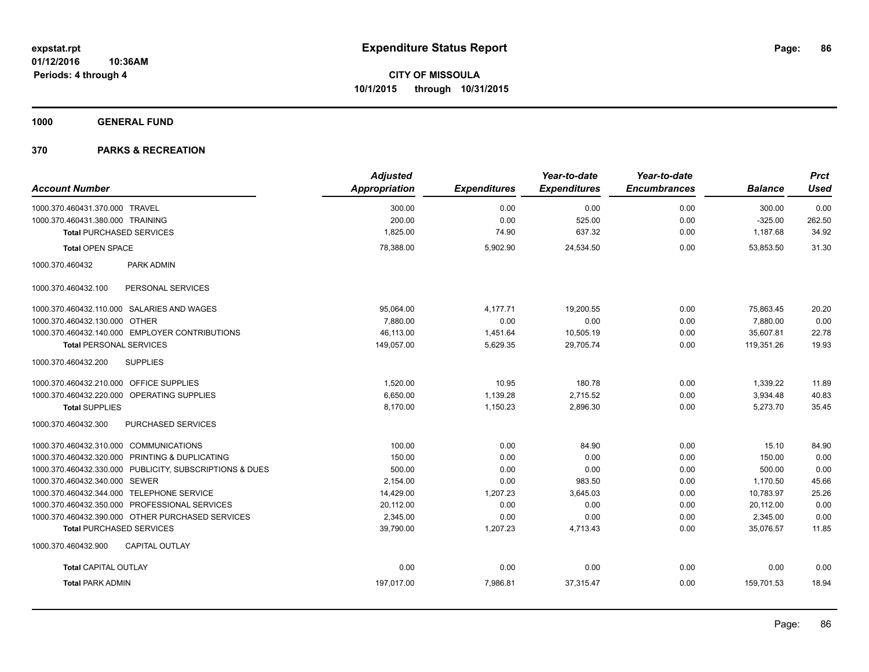**1000 GENERAL FUND**

|                                                  |                                                         | <b>Adjusted</b>      |                     | Year-to-date        | Year-to-date        |                | <b>Prct</b> |
|--------------------------------------------------|---------------------------------------------------------|----------------------|---------------------|---------------------|---------------------|----------------|-------------|
| <b>Account Number</b>                            |                                                         | <b>Appropriation</b> | <b>Expenditures</b> | <b>Expenditures</b> | <b>Encumbrances</b> | <b>Balance</b> | <b>Used</b> |
| 1000.370.460431.370.000 TRAVEL                   |                                                         | 300.00               | 0.00                | 0.00                | 0.00                | 300.00         | 0.00        |
| 1000.370.460431.380.000 TRAINING                 |                                                         | 200.00               | 0.00                | 525.00              | 0.00                | $-325.00$      | 262.50      |
| <b>Total PURCHASED SERVICES</b>                  |                                                         | 1,825.00             | 74.90               | 637.32              | 0.00                | 1,187.68       | 34.92       |
| <b>Total OPEN SPACE</b>                          |                                                         | 78,388.00            | 5,902.90            | 24,534.50           | 0.00                | 53,853.50      | 31.30       |
| 1000.370.460432                                  | PARK ADMIN                                              |                      |                     |                     |                     |                |             |
| 1000.370.460432.100                              | PERSONAL SERVICES                                       |                      |                     |                     |                     |                |             |
| 1000.370.460432.110.000 SALARIES AND WAGES       |                                                         | 95,064.00            | 4,177.71            | 19,200.55           | 0.00                | 75,863.45      | 20.20       |
| 1000.370.460432.130.000 OTHER                    |                                                         | 7.880.00             | 0.00                | 0.00                | 0.00                | 7,880.00       | 0.00        |
| 1000.370.460432.140.000 EMPLOYER CONTRIBUTIONS   |                                                         | 46.113.00            | 1.451.64            | 10,505.19           | 0.00                | 35.607.81      | 22.78       |
| <b>Total PERSONAL SERVICES</b>                   |                                                         | 149,057.00           | 5,629.35            | 29,705.74           | 0.00                | 119,351.26     | 19.93       |
| <b>SUPPLIES</b><br>1000.370.460432.200           |                                                         |                      |                     |                     |                     |                |             |
| 1000.370.460432.210.000 OFFICE SUPPLIES          |                                                         | 1,520.00             | 10.95               | 180.78              | 0.00                | 1,339.22       | 11.89       |
| 1000.370.460432.220.000 OPERATING SUPPLIES       |                                                         | 6.650.00             | 1,139.28            | 2,715.52            | 0.00                | 3,934.48       | 40.83       |
| <b>Total SUPPLIES</b>                            |                                                         | 8.170.00             | 1,150.23            | 2,896.30            | 0.00                | 5,273.70       | 35.45       |
| 1000.370.460432.300                              | PURCHASED SERVICES                                      |                      |                     |                     |                     |                |             |
| 1000.370.460432.310.000 COMMUNICATIONS           |                                                         | 100.00               | 0.00                | 84.90               | 0.00                | 15.10          | 84.90       |
| 1000.370.460432.320.000 PRINTING & DUPLICATING   |                                                         | 150.00               | 0.00                | 0.00                | 0.00                | 150.00         | 0.00        |
|                                                  | 1000.370.460432.330.000 PUBLICITY, SUBSCRIPTIONS & DUES | 500.00               | 0.00                | 0.00                | 0.00                | 500.00         | 0.00        |
| 1000.370.460432.340.000 SEWER                    |                                                         | 2,154.00             | 0.00                | 983.50              | 0.00                | 1,170.50       | 45.66       |
| 1000.370.460432.344.000 TELEPHONE SERVICE        |                                                         | 14,429.00            | 1,207.23            | 3,645.03            | 0.00                | 10,783.97      | 25.26       |
| 1000.370.460432.350.000 PROFESSIONAL SERVICES    |                                                         | 20,112.00            | 0.00                | 0.00                | 0.00                | 20,112.00      | 0.00        |
| 1000.370.460432.390.000 OTHER PURCHASED SERVICES |                                                         | 2,345.00             | 0.00                | 0.00                | 0.00                | 2,345.00       | 0.00        |
| <b>Total PURCHASED SERVICES</b>                  |                                                         | 39,790.00            | 1,207.23            | 4,713.43            | 0.00                | 35,076.57      | 11.85       |
| 1000.370.460432.900                              | <b>CAPITAL OUTLAY</b>                                   |                      |                     |                     |                     |                |             |
| <b>Total CAPITAL OUTLAY</b>                      |                                                         | 0.00                 | 0.00                | 0.00                | 0.00                | 0.00           | 0.00        |
| <b>Total PARK ADMIN</b>                          |                                                         | 197,017.00           | 7,986.81            | 37,315.47           | 0.00                | 159,701.53     | 18.94       |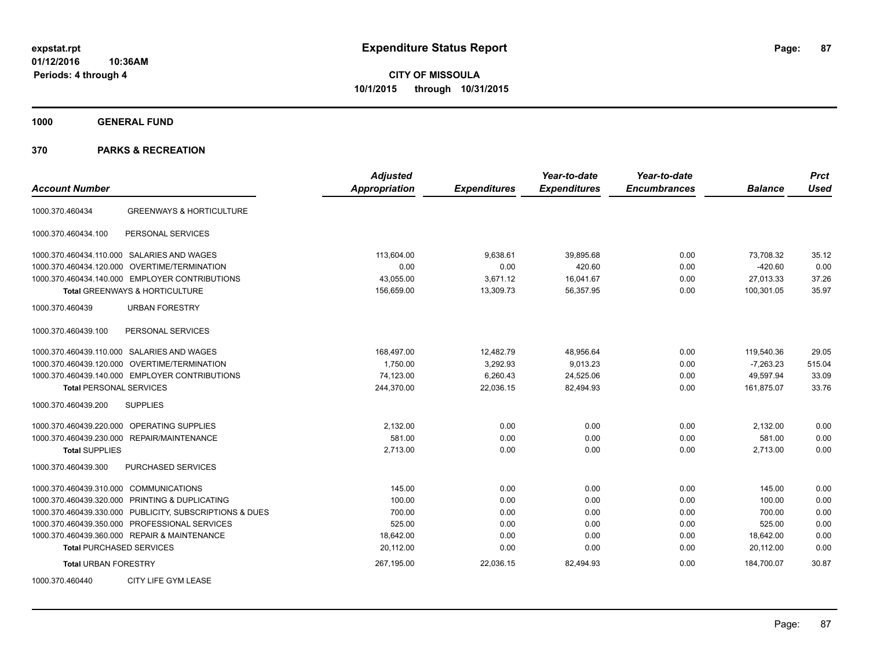**CITY OF MISSOULA 10/1/2015 through 10/31/2015**

**1000 GENERAL FUND**

| <b>Account Number</b>                                   | <b>Adjusted</b><br><b>Appropriation</b> | <b>Expenditures</b> | Year-to-date<br><b>Expenditures</b> | Year-to-date<br><b>Encumbrances</b> | <b>Balance</b> | <b>Prct</b><br><b>Used</b> |
|---------------------------------------------------------|-----------------------------------------|---------------------|-------------------------------------|-------------------------------------|----------------|----------------------------|
| <b>GREENWAYS &amp; HORTICULTURE</b><br>1000.370.460434  |                                         |                     |                                     |                                     |                |                            |
| PERSONAL SERVICES<br>1000.370.460434.100                |                                         |                     |                                     |                                     |                |                            |
| 1000.370.460434.110.000 SALARIES AND WAGES              | 113.604.00                              | 9,638.61            | 39,895.68                           | 0.00                                | 73,708.32      | 35.12                      |
| OVERTIME/TERMINATION<br>1000.370.460434.120.000         | 0.00                                    | 0.00                | 420.60                              | 0.00                                | $-420.60$      | 0.00                       |
| 1000.370.460434.140.000 EMPLOYER CONTRIBUTIONS          | 43,055.00                               | 3,671.12            | 16,041.67                           | 0.00                                | 27.013.33      | 37.26                      |
| Total GREENWAYS & HORTICULTURE                          | 156,659.00                              | 13,309.73           | 56,357.95                           | 0.00                                | 100,301.05     | 35.97                      |
| 1000.370.460439<br><b>URBAN FORESTRY</b>                |                                         |                     |                                     |                                     |                |                            |
| PERSONAL SERVICES<br>1000.370.460439.100                |                                         |                     |                                     |                                     |                |                            |
| 1000.370.460439.110.000 SALARIES AND WAGES              | 168,497.00                              | 12,482.79           | 48,956.64                           | 0.00                                | 119,540.36     | 29.05                      |
| OVERTIME/TERMINATION<br>1000.370.460439.120.000         | 1,750.00                                | 3,292.93            | 9,013.23                            | 0.00                                | $-7,263.23$    | 515.04                     |
| 1000.370.460439.140.000 EMPLOYER CONTRIBUTIONS          | 74,123.00                               | 6,260.43            | 24,525.06                           | 0.00                                | 49,597.94      | 33.09                      |
| <b>Total PERSONAL SERVICES</b>                          | 244,370.00                              | 22,036.15           | 82,494.93                           | 0.00                                | 161,875.07     | 33.76                      |
| 1000.370.460439.200<br><b>SUPPLIES</b>                  |                                         |                     |                                     |                                     |                |                            |
| OPERATING SUPPLIES<br>1000.370.460439.220.000           | 2,132.00                                | 0.00                | 0.00                                | 0.00                                | 2,132.00       | 0.00                       |
| 1000.370.460439.230.000 REPAIR/MAINTENANCE              | 581.00                                  | 0.00                | 0.00                                | 0.00                                | 581.00         | 0.00                       |
| <b>Total SUPPLIES</b>                                   | 2,713.00                                | 0.00                | 0.00                                | 0.00                                | 2,713.00       | 0.00                       |
| 1000.370.460439.300<br><b>PURCHASED SERVICES</b>        |                                         |                     |                                     |                                     |                |                            |
| 1000.370.460439.310.000 COMMUNICATIONS                  | 145.00                                  | 0.00                | 0.00                                | 0.00                                | 145.00         | 0.00                       |
| 1000.370.460439.320.000<br>PRINTING & DUPLICATING       | 100.00                                  | 0.00                | 0.00                                | 0.00                                | 100.00         | 0.00                       |
| 1000.370.460439.330.000 PUBLICITY, SUBSCRIPTIONS & DUES | 700.00                                  | 0.00                | 0.00                                | 0.00                                | 700.00         | 0.00                       |
| 1000.370.460439.350.000 PROFESSIONAL SERVICES           | 525.00                                  | 0.00                | 0.00                                | 0.00                                | 525.00         | 0.00                       |
| 1000.370.460439.360.000 REPAIR & MAINTENANCE            | 18,642.00                               | 0.00                | 0.00                                | 0.00                                | 18,642.00      | 0.00                       |
| <b>Total PURCHASED SERVICES</b>                         | 20,112.00                               | 0.00                | 0.00                                | 0.00                                | 20,112.00      | 0.00                       |
| <b>Total URBAN FORESTRY</b>                             | 267,195.00                              | 22,036.15           | 82,494.93                           | 0.00                                | 184,700.07     | 30.87                      |
| CITY LIFE GYM LEASE<br>1000.370.460440                  |                                         |                     |                                     |                                     |                |                            |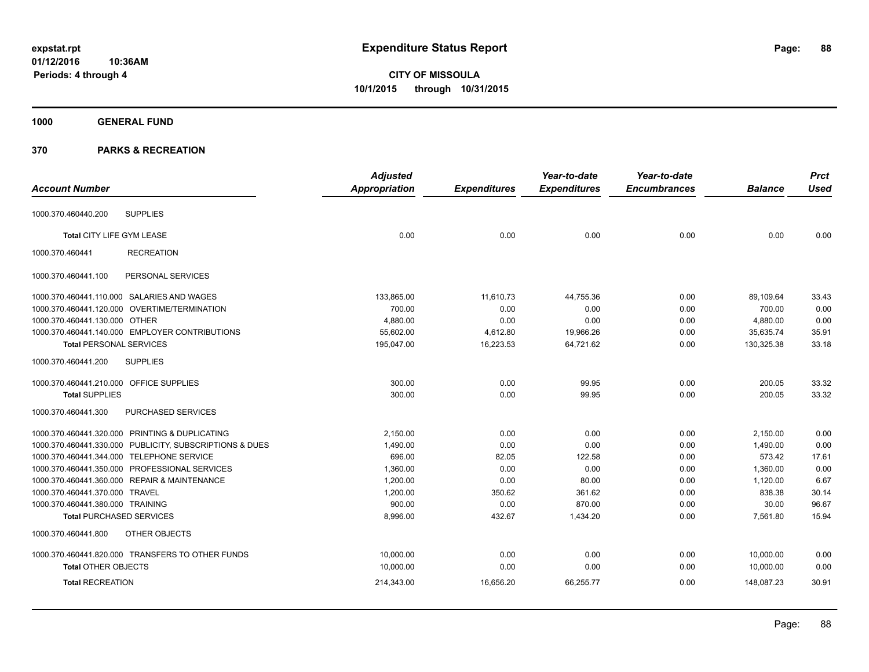**CITY OF MISSOULA 10/1/2015 through 10/31/2015**

# **1000 GENERAL FUND**

| <b>Account Number</b>                                   | <b>Adjusted</b>      |                     | Year-to-date        | Year-to-date<br><b>Encumbrances</b> | <b>Balance</b> | <b>Prct</b><br><b>Used</b> |
|---------------------------------------------------------|----------------------|---------------------|---------------------|-------------------------------------|----------------|----------------------------|
|                                                         | <b>Appropriation</b> | <b>Expenditures</b> | <b>Expenditures</b> |                                     |                |                            |
| <b>SUPPLIES</b><br>1000.370.460440.200                  |                      |                     |                     |                                     |                |                            |
| Total CITY LIFE GYM LEASE                               | 0.00                 | 0.00                | 0.00                | 0.00                                | 0.00           | 0.00                       |
| 1000.370.460441<br><b>RECREATION</b>                    |                      |                     |                     |                                     |                |                            |
| 1000.370.460441.100<br>PERSONAL SERVICES                |                      |                     |                     |                                     |                |                            |
| 1000.370.460441.110.000 SALARIES AND WAGES              | 133,865.00           | 11,610.73           | 44,755.36           | 0.00                                | 89,109.64      | 33.43                      |
| 1000.370.460441.120.000 OVERTIME/TERMINATION            | 700.00               | 0.00                | 0.00                | 0.00                                | 700.00         | 0.00                       |
| 1000.370.460441.130.000 OTHER                           | 4,880.00             | 0.00                | 0.00                | 0.00                                | 4,880.00       | 0.00                       |
| 1000.370.460441.140.000 EMPLOYER CONTRIBUTIONS          | 55,602.00            | 4,612.80            | 19,966.26           | 0.00                                | 35,635.74      | 35.91                      |
| <b>Total PERSONAL SERVICES</b>                          | 195,047.00           | 16,223.53           | 64,721.62           | 0.00                                | 130,325.38     | 33.18                      |
| 1000.370.460441.200<br><b>SUPPLIES</b>                  |                      |                     |                     |                                     |                |                            |
| 1000.370.460441.210.000 OFFICE SUPPLIES                 | 300.00               | 0.00                | 99.95               | 0.00                                | 200.05         | 33.32                      |
| <b>Total SUPPLIES</b>                                   | 300.00               | 0.00                | 99.95               | 0.00                                | 200.05         | 33.32                      |
| PURCHASED SERVICES<br>1000.370.460441.300               |                      |                     |                     |                                     |                |                            |
| 1000.370.460441.320.000 PRINTING & DUPLICATING          | 2,150.00             | 0.00                | 0.00                | 0.00                                | 2,150.00       | 0.00                       |
| 1000.370.460441.330.000 PUBLICITY, SUBSCRIPTIONS & DUES | 1,490.00             | 0.00                | 0.00                | 0.00                                | 1,490.00       | 0.00                       |
| 1000.370.460441.344.000 TELEPHONE SERVICE               | 696.00               | 82.05               | 122.58              | 0.00                                | 573.42         | 17.61                      |
| 1000.370.460441.350.000 PROFESSIONAL SERVICES           | 1,360.00             | 0.00                | 0.00                | 0.00                                | 1,360.00       | 0.00                       |
| 1000.370.460441.360.000 REPAIR & MAINTENANCE            | 1,200.00             | 0.00                | 80.00               | 0.00                                | 1,120.00       | 6.67                       |
| 1000.370.460441.370.000 TRAVEL                          | 1,200.00             | 350.62              | 361.62              | 0.00                                | 838.38         | 30.14                      |
| 1000.370.460441.380.000 TRAINING                        | 900.00               | 0.00                | 870.00              | 0.00                                | 30.00          | 96.67                      |
| <b>Total PURCHASED SERVICES</b>                         | 8,996.00             | 432.67              | 1,434.20            | 0.00                                | 7,561.80       | 15.94                      |
| OTHER OBJECTS<br>1000.370.460441.800                    |                      |                     |                     |                                     |                |                            |
| 1000.370.460441.820.000 TRANSFERS TO OTHER FUNDS        | 10,000.00            | 0.00                | 0.00                | 0.00                                | 10,000.00      | 0.00                       |
| <b>Total OTHER OBJECTS</b>                              | 10,000.00            | 0.00                | 0.00                | 0.00                                | 10,000.00      | 0.00                       |
| <b>Total RECREATION</b>                                 | 214,343.00           | 16,656.20           | 66,255.77           | 0.00                                | 148,087.23     | 30.91                      |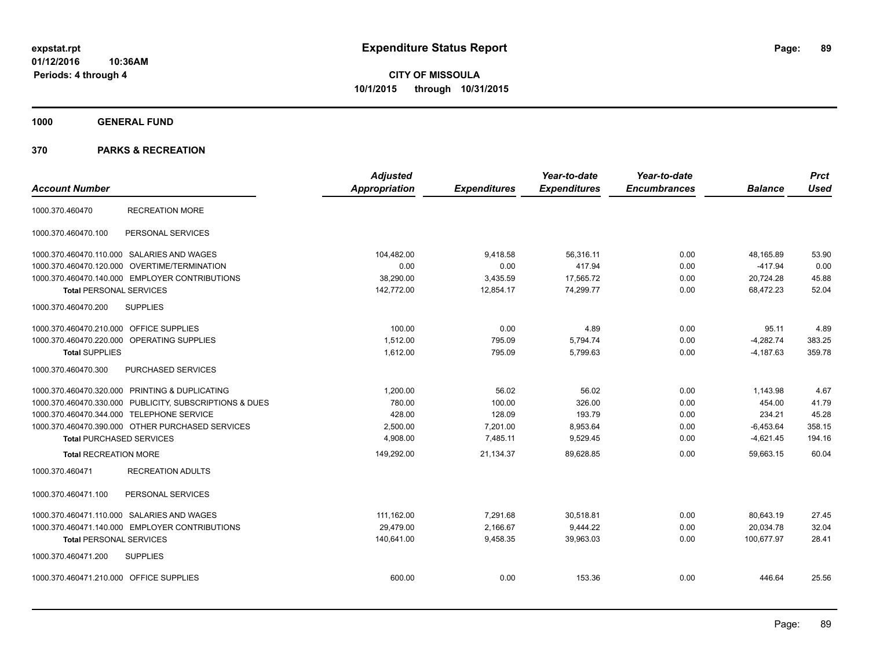**1000 GENERAL FUND**

| <b>Account Number</b>                                   | <b>Adjusted</b><br>Appropriation | <b>Expenditures</b> | Year-to-date<br><b>Expenditures</b> | Year-to-date<br><b>Encumbrances</b> | <b>Balance</b> | <b>Prct</b><br><b>Used</b> |
|---------------------------------------------------------|----------------------------------|---------------------|-------------------------------------|-------------------------------------|----------------|----------------------------|
| <b>RECREATION MORE</b><br>1000.370.460470               |                                  |                     |                                     |                                     |                |                            |
| 1000.370.460470.100<br>PERSONAL SERVICES                |                                  |                     |                                     |                                     |                |                            |
| 1000.370.460470.110.000 SALARIES AND WAGES              | 104.482.00                       | 9,418.58            | 56.316.11                           | 0.00                                | 48.165.89      | 53.90                      |
| 1000.370.460470.120.000 OVERTIME/TERMINATION            | 0.00                             | 0.00                | 417.94                              | 0.00                                | $-417.94$      | 0.00                       |
| 1000.370.460470.140.000 EMPLOYER CONTRIBUTIONS          | 38,290.00                        | 3,435.59            | 17,565.72                           | 0.00                                | 20,724.28      | 45.88                      |
| <b>Total PERSONAL SERVICES</b>                          | 142,772.00                       | 12,854.17           | 74,299.77                           | 0.00                                | 68,472.23      | 52.04                      |
| 1000.370.460470.200<br><b>SUPPLIES</b>                  |                                  |                     |                                     |                                     |                |                            |
| 1000.370.460470.210.000 OFFICE SUPPLIES                 | 100.00                           | 0.00                | 4.89                                | 0.00                                | 95.11          | 4.89                       |
| 1000.370.460470.220.000 OPERATING SUPPLIES              | 1,512.00                         | 795.09              | 5,794.74                            | 0.00                                | $-4,282.74$    | 383.25                     |
| <b>Total SUPPLIES</b>                                   | 1,612.00                         | 795.09              | 5,799.63                            | 0.00                                | $-4,187.63$    | 359.78                     |
| PURCHASED SERVICES<br>1000.370.460470.300               |                                  |                     |                                     |                                     |                |                            |
| 1000.370.460470.320.000 PRINTING & DUPLICATING          | 1.200.00                         | 56.02               | 56.02                               | 0.00                                | 1,143.98       | 4.67                       |
| 1000.370.460470.330.000 PUBLICITY, SUBSCRIPTIONS & DUES | 780.00                           | 100.00              | 326.00                              | 0.00                                | 454.00         | 41.79                      |
| 1000.370.460470.344.000 TELEPHONE SERVICE               | 428.00                           | 128.09              | 193.79                              | 0.00                                | 234.21         | 45.28                      |
| 1000.370.460470.390.000 OTHER PURCHASED SERVICES        | 2.500.00                         | 7.201.00            | 8,953.64                            | 0.00                                | $-6,453.64$    | 358.15                     |
| <b>Total PURCHASED SERVICES</b>                         | 4,908.00                         | 7,485.11            | 9,529.45                            | 0.00                                | $-4,621.45$    | 194.16                     |
| <b>Total RECREATION MORE</b>                            | 149,292.00                       | 21,134.37           | 89,628.85                           | 0.00                                | 59,663.15      | 60.04                      |
| <b>RECREATION ADULTS</b><br>1000.370.460471             |                                  |                     |                                     |                                     |                |                            |
| 1000.370.460471.100<br>PERSONAL SERVICES                |                                  |                     |                                     |                                     |                |                            |
| 1000.370.460471.110.000 SALARIES AND WAGES              | 111,162.00                       | 7,291.68            | 30,518.81                           | 0.00                                | 80,643.19      | 27.45                      |
| 1000.370.460471.140.000 EMPLOYER CONTRIBUTIONS          | 29.479.00                        | 2,166.67            | 9,444.22                            | 0.00                                | 20.034.78      | 32.04                      |
| <b>Total PERSONAL SERVICES</b>                          | 140,641.00                       | 9,458.35            | 39.963.03                           | 0.00                                | 100.677.97     | 28.41                      |
| <b>SUPPLIES</b><br>1000.370.460471.200                  |                                  |                     |                                     |                                     |                |                            |
| 1000.370.460471.210.000 OFFICE SUPPLIES                 | 600.00                           | 0.00                | 153.36                              | 0.00                                | 446.64         | 25.56                      |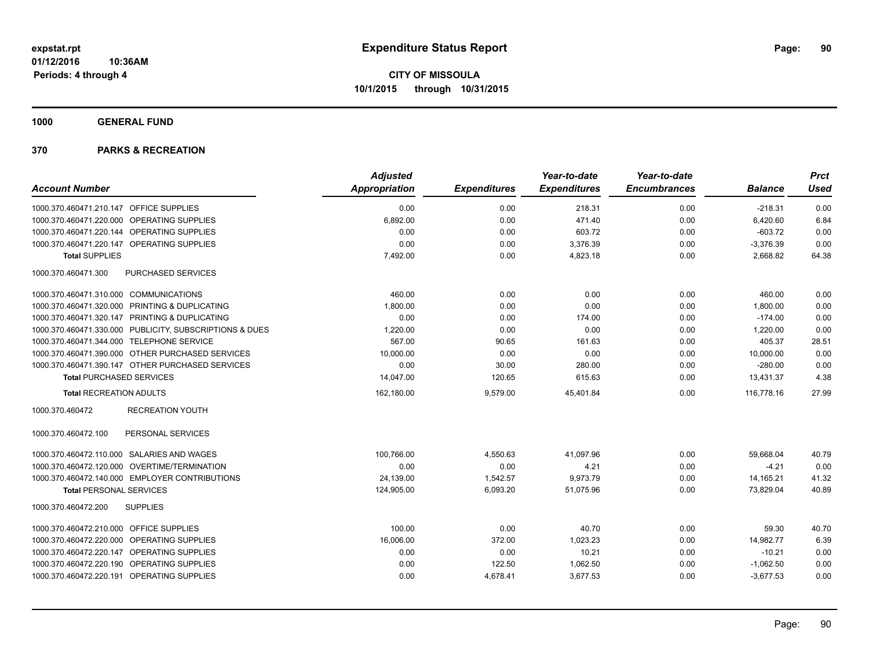**1000 GENERAL FUND**

|                                                         | <b>Adjusted</b> |                     | Year-to-date        | Year-to-date        |                | <b>Prct</b> |
|---------------------------------------------------------|-----------------|---------------------|---------------------|---------------------|----------------|-------------|
| <b>Account Number</b>                                   | Appropriation   | <b>Expenditures</b> | <b>Expenditures</b> | <b>Encumbrances</b> | <b>Balance</b> | <b>Used</b> |
| 1000.370.460471.210.147 OFFICE SUPPLIES                 | 0.00            | 0.00                | 218.31              | 0.00                | $-218.31$      | 0.00        |
| 1000.370.460471.220.000 OPERATING SUPPLIES              | 6,892.00        | 0.00                | 471.40              | 0.00                | 6,420.60       | 6.84        |
| 1000.370.460471.220.144 OPERATING SUPPLIES              | 0.00            | 0.00                | 603.72              | 0.00                | $-603.72$      | 0.00        |
| 1000.370.460471.220.147 OPERATING SUPPLIES              | 0.00            | 0.00                | 3,376.39            | 0.00                | $-3,376.39$    | 0.00        |
| <b>Total SUPPLIES</b>                                   | 7,492.00        | 0.00                | 4,823.18            | 0.00                | 2,668.82       | 64.38       |
| 1000.370.460471.300<br>PURCHASED SERVICES               |                 |                     |                     |                     |                |             |
| 1000.370.460471.310.000 COMMUNICATIONS                  | 460.00          | 0.00                | 0.00                | 0.00                | 460.00         | 0.00        |
| 1000.370.460471.320.000 PRINTING & DUPLICATING          | 1,800.00        | 0.00                | 0.00                | 0.00                | 1,800.00       | 0.00        |
| 1000.370.460471.320.147 PRINTING & DUPLICATING          | 0.00            | 0.00                | 174.00              | 0.00                | $-174.00$      | 0.00        |
| 1000.370.460471.330.000 PUBLICITY, SUBSCRIPTIONS & DUES | 1,220.00        | 0.00                | 0.00                | 0.00                | 1,220.00       | 0.00        |
| 1000.370.460471.344.000 TELEPHONE SERVICE               | 567.00          | 90.65               | 161.63              | 0.00                | 405.37         | 28.51       |
| 1000.370.460471.390.000 OTHER PURCHASED SERVICES        | 10,000.00       | 0.00                | 0.00                | 0.00                | 10,000.00      | 0.00        |
| 1000.370.460471.390.147 OTHER PURCHASED SERVICES        | 0.00            | 30.00               | 280.00              | 0.00                | $-280.00$      | 0.00        |
| <b>Total PURCHASED SERVICES</b>                         | 14,047.00       | 120.65              | 615.63              | 0.00                | 13,431.37      | 4.38        |
| <b>Total RECREATION ADULTS</b>                          | 162,180.00      | 9,579.00            | 45,401.84           | 0.00                | 116.778.16     | 27.99       |
| <b>RECREATION YOUTH</b><br>1000.370.460472              |                 |                     |                     |                     |                |             |
| 1000.370.460472.100<br>PERSONAL SERVICES                |                 |                     |                     |                     |                |             |
| 1000.370.460472.110.000 SALARIES AND WAGES              | 100,766.00      | 4,550.63            | 41,097.96           | 0.00                | 59,668.04      | 40.79       |
| 1000.370.460472.120.000 OVERTIME/TERMINATION            | 0.00            | 0.00                | 4.21                | 0.00                | $-4.21$        | 0.00        |
| 1000.370.460472.140.000 EMPLOYER CONTRIBUTIONS          | 24,139.00       | 1,542.57            | 9,973.79            | 0.00                | 14,165.21      | 41.32       |
| <b>Total PERSONAL SERVICES</b>                          | 124,905.00      | 6,093.20            | 51,075.96           | 0.00                | 73,829.04      | 40.89       |
| 1000.370.460472.200<br><b>SUPPLIES</b>                  |                 |                     |                     |                     |                |             |
| 1000.370.460472.210.000 OFFICE SUPPLIES                 | 100.00          | 0.00                | 40.70               | 0.00                | 59.30          | 40.70       |
| 1000.370.460472.220.000 OPERATING SUPPLIES              | 16,006.00       | 372.00              | 1,023.23            | 0.00                | 14,982.77      | 6.39        |
| 1000.370.460472.220.147 OPERATING SUPPLIES              | 0.00            | 0.00                | 10.21               | 0.00                | $-10.21$       | 0.00        |
| 1000.370.460472.220.190 OPERATING SUPPLIES              | 0.00            | 122.50              | 1,062.50            | 0.00                | $-1,062.50$    | 0.00        |
| 1000.370.460472.220.191 OPERATING SUPPLIES              | 0.00            | 4,678.41            | 3,677.53            | 0.00                | $-3,677.53$    | 0.00        |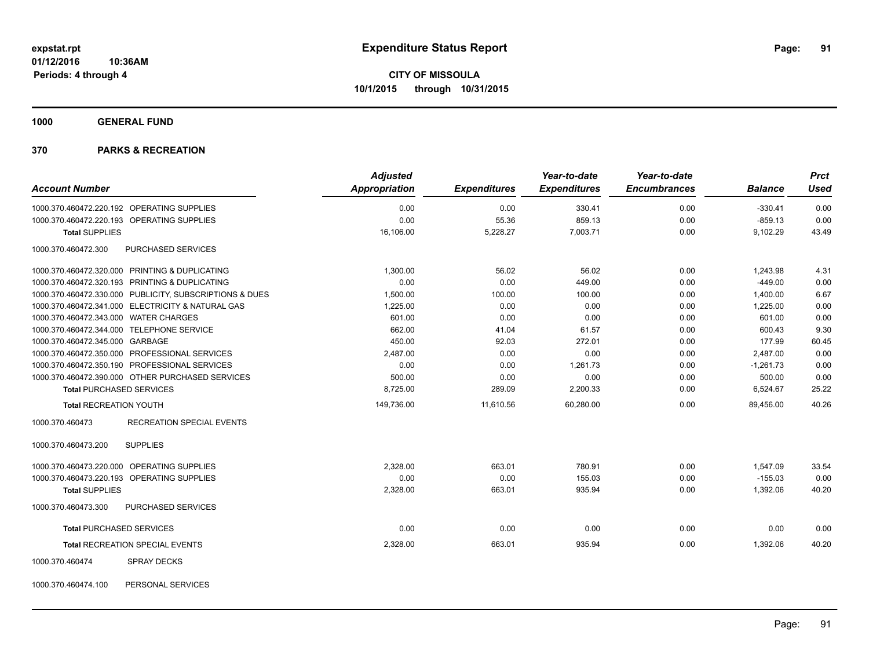**1000 GENERAL FUND**

|                                                         | <b>Adjusted</b> |                     | Year-to-date        | Year-to-date        |                | <b>Prct</b> |
|---------------------------------------------------------|-----------------|---------------------|---------------------|---------------------|----------------|-------------|
| <b>Account Number</b>                                   | Appropriation   | <b>Expenditures</b> | <b>Expenditures</b> | <b>Encumbrances</b> | <b>Balance</b> | <b>Used</b> |
| 1000.370.460472.220.192 OPERATING SUPPLIES              | 0.00            | 0.00                | 330.41              | 0.00                | $-330.41$      | 0.00        |
| 1000.370.460472.220.193 OPERATING SUPPLIES              | 0.00            | 55.36               | 859.13              | 0.00                | $-859.13$      | 0.00        |
| <b>Total SUPPLIES</b>                                   | 16,106.00       | 5,228.27            | 7,003.71            | 0.00                | 9,102.29       | 43.49       |
| 1000.370.460472.300<br><b>PURCHASED SERVICES</b>        |                 |                     |                     |                     |                |             |
| 1000.370.460472.320.000 PRINTING & DUPLICATING          | 1.300.00        | 56.02               | 56.02               | 0.00                | 1,243.98       | 4.31        |
| 1000.370.460472.320.193 PRINTING & DUPLICATING          | 0.00            | 0.00                | 449.00              | 0.00                | $-449.00$      | 0.00        |
| 1000.370.460472.330.000 PUBLICITY, SUBSCRIPTIONS & DUES | 1,500.00        | 100.00              | 100.00              | 0.00                | 1,400.00       | 6.67        |
| 1000.370.460472.341.000 ELECTRICITY & NATURAL GAS       | 1,225.00        | 0.00                | 0.00                | 0.00                | 1,225.00       | 0.00        |
| 1000.370.460472.343.000 WATER CHARGES                   | 601.00          | 0.00                | 0.00                | 0.00                | 601.00         | 0.00        |
| 1000.370.460472.344.000 TELEPHONE SERVICE               | 662.00          | 41.04               | 61.57               | 0.00                | 600.43         | 9.30        |
| 1000.370.460472.345.000 GARBAGE                         | 450.00          | 92.03               | 272.01              | 0.00                | 177.99         | 60.45       |
| 1000.370.460472.350.000 PROFESSIONAL SERVICES           | 2,487.00        | 0.00                | 0.00                | 0.00                | 2,487.00       | 0.00        |
| 1000.370.460472.350.190 PROFESSIONAL SERVICES           | 0.00            | 0.00                | 1,261.73            | 0.00                | $-1,261.73$    | 0.00        |
| 1000.370.460472.390.000 OTHER PURCHASED SERVICES        | 500.00          | 0.00                | 0.00                | 0.00                | 500.00         | 0.00        |
| <b>Total PURCHASED SERVICES</b>                         | 8,725.00        | 289.09              | 2,200.33            | 0.00                | 6,524.67       | 25.22       |
| <b>Total RECREATION YOUTH</b>                           | 149,736.00      | 11,610.56           | 60,280.00           | 0.00                | 89.456.00      | 40.26       |
| 1000.370.460473<br><b>RECREATION SPECIAL EVENTS</b>     |                 |                     |                     |                     |                |             |
| 1000.370.460473.200<br><b>SUPPLIES</b>                  |                 |                     |                     |                     |                |             |
| 1000.370.460473.220.000 OPERATING SUPPLIES              | 2,328.00        | 663.01              | 780.91              | 0.00                | 1,547.09       | 33.54       |
| 1000.370.460473.220.193 OPERATING SUPPLIES              | 0.00            | 0.00                | 155.03              | 0.00                | $-155.03$      | 0.00        |
| <b>Total SUPPLIES</b>                                   | 2,328.00        | 663.01              | 935.94              | 0.00                | 1,392.06       | 40.20       |
| 1000.370.460473.300<br>PURCHASED SERVICES               |                 |                     |                     |                     |                |             |
| <b>Total PURCHASED SERVICES</b>                         | 0.00            | 0.00                | 0.00                | 0.00                | 0.00           | 0.00        |
| Total RECREATION SPECIAL EVENTS                         | 2,328.00        | 663.01              | 935.94              | 0.00                | 1,392.06       | 40.20       |
| 1000.370.460474<br><b>SPRAY DECKS</b>                   |                 |                     |                     |                     |                |             |
| PERSONAL SERVICES<br>1000.370.460474.100                |                 |                     |                     |                     |                |             |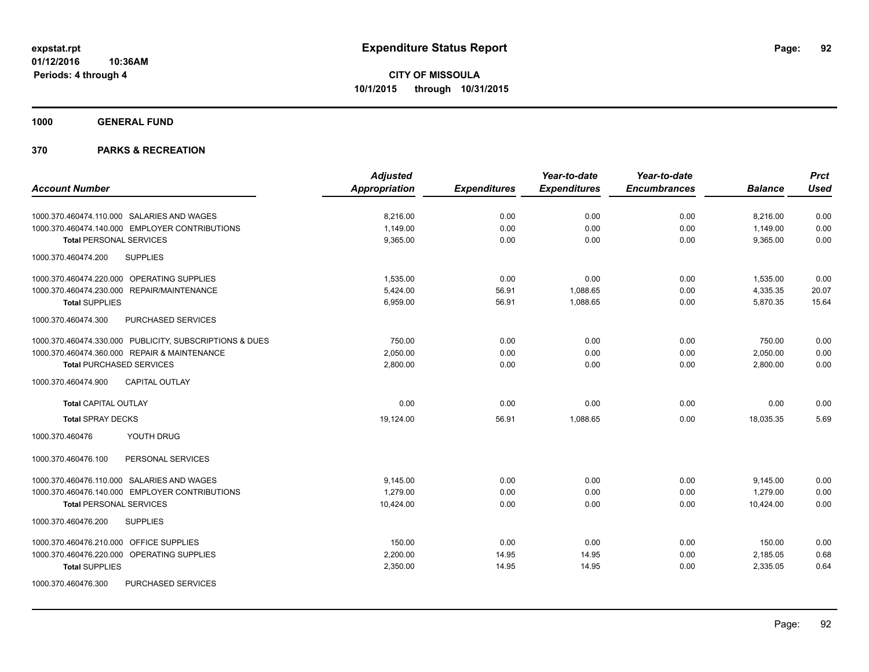**1000 GENERAL FUND**

|                                                         | <b>Adjusted</b> |                     | Year-to-date        | Year-to-date        |                | <b>Prct</b> |
|---------------------------------------------------------|-----------------|---------------------|---------------------|---------------------|----------------|-------------|
| <b>Account Number</b>                                   | Appropriation   | <b>Expenditures</b> | <b>Expenditures</b> | <b>Encumbrances</b> | <b>Balance</b> | <b>Used</b> |
|                                                         |                 |                     |                     |                     |                |             |
| 1000.370.460474.110.000 SALARIES AND WAGES              | 8,216.00        | 0.00                | 0.00                | 0.00                | 8,216.00       | 0.00        |
| 1000.370.460474.140.000 EMPLOYER CONTRIBUTIONS          | 1,149.00        | 0.00                | 0.00                | 0.00                | 1,149.00       | 0.00        |
| <b>Total PERSONAL SERVICES</b>                          | 9,365.00        | 0.00                | 0.00                | 0.00                | 9,365.00       | 0.00        |
| 1000.370.460474.200<br><b>SUPPLIES</b>                  |                 |                     |                     |                     |                |             |
| 1000.370.460474.220.000 OPERATING SUPPLIES              | 1,535.00        | 0.00                | 0.00                | 0.00                | 1,535.00       | 0.00        |
| 1000.370.460474.230.000 REPAIR/MAINTENANCE              | 5,424.00        | 56.91               | 1,088.65            | 0.00                | 4,335.35       | 20.07       |
| <b>Total SUPPLIES</b>                                   | 6.959.00        | 56.91               | 1.088.65            | 0.00                | 5.870.35       | 15.64       |
| PURCHASED SERVICES<br>1000.370.460474.300               |                 |                     |                     |                     |                |             |
| 1000.370.460474.330.000 PUBLICITY, SUBSCRIPTIONS & DUES | 750.00          | 0.00                | 0.00                | 0.00                | 750.00         | 0.00        |
| 1000.370.460474.360.000 REPAIR & MAINTENANCE            | 2.050.00        | 0.00                | 0.00                | 0.00                | 2,050.00       | 0.00        |
| <b>Total PURCHASED SERVICES</b>                         | 2,800.00        | 0.00                | 0.00                | 0.00                | 2,800.00       | 0.00        |
| <b>CAPITAL OUTLAY</b><br>1000.370.460474.900            |                 |                     |                     |                     |                |             |
| <b>Total CAPITAL OUTLAY</b>                             | 0.00            | 0.00                | 0.00                | 0.00                | 0.00           | 0.00        |
| <b>Total SPRAY DECKS</b>                                | 19,124.00       | 56.91               | 1,088.65            | 0.00                | 18,035.35      | 5.69        |
| YOUTH DRUG<br>1000.370.460476                           |                 |                     |                     |                     |                |             |
| 1000.370.460476.100<br>PERSONAL SERVICES                |                 |                     |                     |                     |                |             |
| 1000.370.460476.110.000 SALARIES AND WAGES              | 9,145.00        | 0.00                | 0.00                | 0.00                | 9,145.00       | 0.00        |
| 1000.370.460476.140.000 EMPLOYER CONTRIBUTIONS          | 1.279.00        | 0.00                | 0.00                | 0.00                | 1,279.00       | 0.00        |
| <b>Total PERSONAL SERVICES</b>                          | 10,424.00       | 0.00                | 0.00                | 0.00                | 10,424.00      | 0.00        |
| 1000.370.460476.200<br><b>SUPPLIES</b>                  |                 |                     |                     |                     |                |             |
| 1000.370.460476.210.000 OFFICE SUPPLIES                 | 150.00          | 0.00                | 0.00                | 0.00                | 150.00         | 0.00        |
| 1000.370.460476.220.000 OPERATING SUPPLIES              | 2,200.00        | 14.95               | 14.95               | 0.00                | 2,185.05       | 0.68        |
| <b>Total SUPPLIES</b>                                   | 2,350.00        | 14.95               | 14.95               | 0.00                | 2,335.05       | 0.64        |
| 1000.370.460476.300<br>PURCHASED SERVICES               |                 |                     |                     |                     |                |             |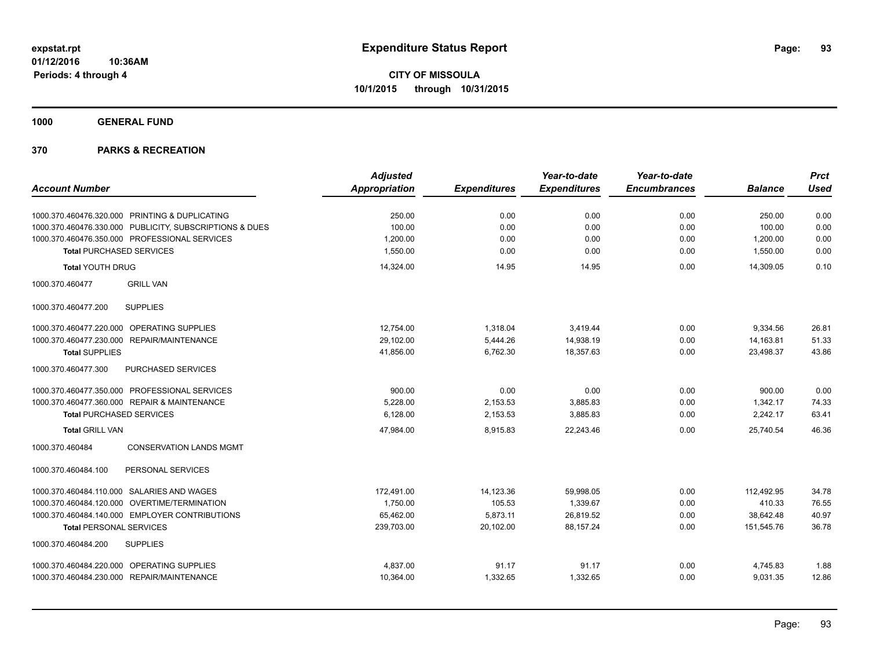**1000 GENERAL FUND**

|                                                         | <b>Adjusted</b>      |                     | Year-to-date        | Year-to-date        |                | <b>Prct</b> |
|---------------------------------------------------------|----------------------|---------------------|---------------------|---------------------|----------------|-------------|
| <b>Account Number</b>                                   | <b>Appropriation</b> | <b>Expenditures</b> | <b>Expenditures</b> | <b>Encumbrances</b> | <b>Balance</b> | <b>Used</b> |
| 1000.370.460476.320.000 PRINTING & DUPLICATING          | 250.00               | 0.00                | 0.00                | 0.00                | 250.00         | 0.00        |
| 1000.370.460476.330.000 PUBLICITY, SUBSCRIPTIONS & DUES | 100.00               | 0.00                | 0.00                | 0.00                | 100.00         | 0.00        |
| 1000.370.460476.350.000 PROFESSIONAL SERVICES           | 1,200.00             | 0.00                | 0.00                | 0.00                | 1,200.00       | 0.00        |
| <b>Total PURCHASED SERVICES</b>                         | 1,550.00             | 0.00                | 0.00                | 0.00                | 1,550.00       | 0.00        |
| <b>Total YOUTH DRUG</b>                                 | 14,324.00            | 14.95               | 14.95               | 0.00                | 14,309.05      | 0.10        |
| 1000.370.460477<br><b>GRILL VAN</b>                     |                      |                     |                     |                     |                |             |
| <b>SUPPLIES</b><br>1000.370.460477.200                  |                      |                     |                     |                     |                |             |
| 1000.370.460477.220.000 OPERATING SUPPLIES              | 12,754.00            | 1,318.04            | 3,419.44            | 0.00                | 9,334.56       | 26.81       |
| 1000.370.460477.230.000 REPAIR/MAINTENANCE              | 29.102.00            | 5.444.26            | 14,938.19           | 0.00                | 14,163.81      | 51.33       |
| <b>Total SUPPLIES</b>                                   | 41,856.00            | 6,762.30            | 18,357.63           | 0.00                | 23,498.37      | 43.86       |
| 1000.370.460477.300<br>PURCHASED SERVICES               |                      |                     |                     |                     |                |             |
| 1000.370.460477.350.000 PROFESSIONAL SERVICES           | 900.00               | 0.00                | 0.00                | 0.00                | 900.00         | 0.00        |
| 1000.370.460477.360.000 REPAIR & MAINTENANCE            | 5,228.00             | 2,153.53            | 3,885.83            | 0.00                | 1,342.17       | 74.33       |
| <b>Total PURCHASED SERVICES</b>                         | 6,128.00             | 2,153.53            | 3,885.83            | 0.00                | 2,242.17       | 63.41       |
| <b>Total GRILL VAN</b>                                  | 47,984.00            | 8,915.83            | 22,243.46           | 0.00                | 25,740.54      | 46.36       |
| 1000.370.460484<br><b>CONSERVATION LANDS MGMT</b>       |                      |                     |                     |                     |                |             |
| PERSONAL SERVICES<br>1000.370.460484.100                |                      |                     |                     |                     |                |             |
| 1000.370.460484.110.000 SALARIES AND WAGES              | 172,491.00           | 14,123.36           | 59,998.05           | 0.00                | 112.492.95     | 34.78       |
| 1000.370.460484.120.000<br>OVERTIME/TERMINATION         | 1,750.00             | 105.53              | 1,339.67            | 0.00                | 410.33         | 76.55       |
| 1000.370.460484.140.000 EMPLOYER CONTRIBUTIONS          | 65,462.00            | 5,873.11            | 26,819.52           | 0.00                | 38,642.48      | 40.97       |
| <b>Total PERSONAL SERVICES</b>                          | 239,703.00           | 20,102.00           | 88,157.24           | 0.00                | 151,545.76     | 36.78       |
| 1000.370.460484.200<br><b>SUPPLIES</b>                  |                      |                     |                     |                     |                |             |
| 1000.370.460484.220.000 OPERATING SUPPLIES              | 4,837.00             | 91.17               | 91.17               | 0.00                | 4,745.83       | 1.88        |
| 1000.370.460484.230.000 REPAIR/MAINTENANCE              | 10,364.00            | 1,332.65            | 1,332.65            | 0.00                | 9,031.35       | 12.86       |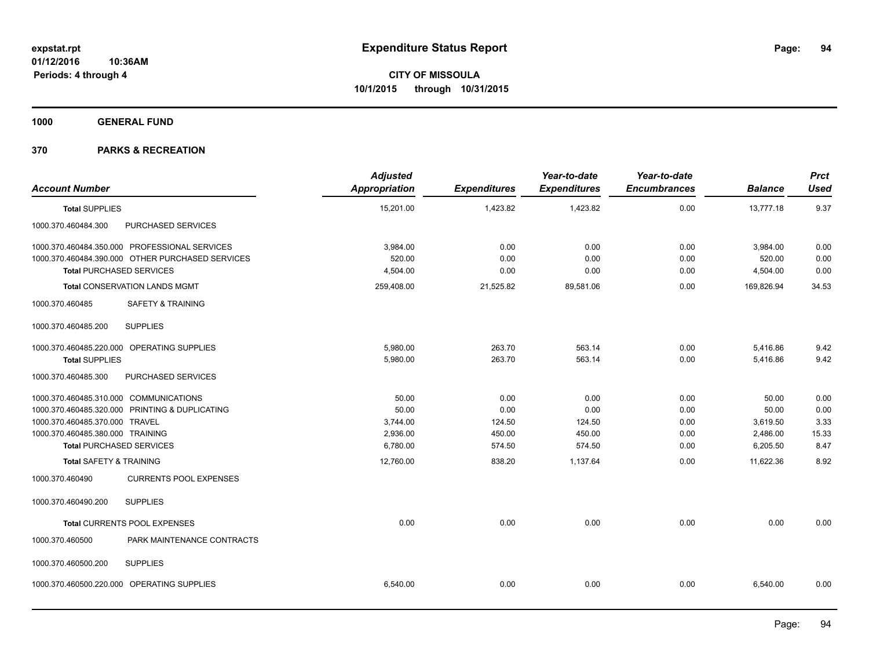**1000 GENERAL FUND**

| <b>Account Number</b>                      |                                                  | <b>Adjusted</b><br><b>Appropriation</b> | <b>Expenditures</b> | Year-to-date<br><b>Expenditures</b> | Year-to-date<br><b>Encumbrances</b> | <b>Balance</b> | <b>Prct</b><br><b>Used</b> |
|--------------------------------------------|--------------------------------------------------|-----------------------------------------|---------------------|-------------------------------------|-------------------------------------|----------------|----------------------------|
| <b>Total SUPPLIES</b>                      |                                                  | 15,201.00                               | 1,423.82            | 1,423.82                            | 0.00                                | 13,777.18      | 9.37                       |
| 1000.370.460484.300                        | PURCHASED SERVICES                               |                                         |                     |                                     |                                     |                |                            |
|                                            | 1000.370.460484.350.000 PROFESSIONAL SERVICES    | 3,984.00                                | 0.00                | 0.00                                | 0.00                                | 3,984.00       | 0.00                       |
|                                            | 1000.370.460484.390.000 OTHER PURCHASED SERVICES | 520.00                                  | 0.00                | 0.00                                | 0.00                                | 520.00         | 0.00                       |
| <b>Total PURCHASED SERVICES</b>            |                                                  | 4,504.00                                | 0.00                | 0.00                                | 0.00                                | 4,504.00       | 0.00                       |
|                                            | <b>Total CONSERVATION LANDS MGMT</b>             | 259,408.00                              | 21,525.82           | 89,581.06                           | 0.00                                | 169,826.94     | 34.53                      |
| 1000.370.460485                            | <b>SAFETY &amp; TRAINING</b>                     |                                         |                     |                                     |                                     |                |                            |
| 1000.370.460485.200                        | <b>SUPPLIES</b>                                  |                                         |                     |                                     |                                     |                |                            |
| 1000.370.460485.220.000 OPERATING SUPPLIES |                                                  | 5,980.00                                | 263.70              | 563.14                              | 0.00                                | 5,416.86       | 9.42                       |
| <b>Total SUPPLIES</b>                      |                                                  | 5,980.00                                | 263.70              | 563.14                              | 0.00                                | 5,416.86       | 9.42                       |
| 1000.370.460485.300                        | PURCHASED SERVICES                               |                                         |                     |                                     |                                     |                |                            |
| 1000.370.460485.310.000 COMMUNICATIONS     |                                                  | 50.00                                   | 0.00                | 0.00                                | 0.00                                | 50.00          | 0.00                       |
|                                            | 1000.370.460485.320.000 PRINTING & DUPLICATING   | 50.00                                   | 0.00                | 0.00                                | 0.00                                | 50.00          | 0.00                       |
| 1000.370.460485.370.000 TRAVEL             |                                                  | 3,744.00                                | 124.50              | 124.50                              | 0.00                                | 3,619.50       | 3.33                       |
| 1000.370.460485.380.000 TRAINING           |                                                  | 2,936.00                                | 450.00              | 450.00                              | 0.00                                | 2,486.00       | 15.33                      |
| <b>Total PURCHASED SERVICES</b>            |                                                  | 6,780.00                                | 574.50              | 574.50                              | 0.00                                | 6,205.50       | 8.47                       |
| <b>Total SAFETY &amp; TRAINING</b>         |                                                  | 12,760.00                               | 838.20              | 1.137.64                            | 0.00                                | 11.622.36      | 8.92                       |
| 1000.370.460490                            | <b>CURRENTS POOL EXPENSES</b>                    |                                         |                     |                                     |                                     |                |                            |
| 1000.370.460490.200                        | <b>SUPPLIES</b>                                  |                                         |                     |                                     |                                     |                |                            |
| Total CURRENTS POOL EXPENSES               |                                                  | 0.00                                    | 0.00                | 0.00                                | 0.00                                | 0.00           | 0.00                       |
| 1000.370.460500                            | PARK MAINTENANCE CONTRACTS                       |                                         |                     |                                     |                                     |                |                            |
| 1000.370.460500.200                        | <b>SUPPLIES</b>                                  |                                         |                     |                                     |                                     |                |                            |
| 1000.370.460500.220.000 OPERATING SUPPLIES |                                                  | 6,540.00                                | 0.00                | 0.00                                | 0.00                                | 6,540.00       | 0.00                       |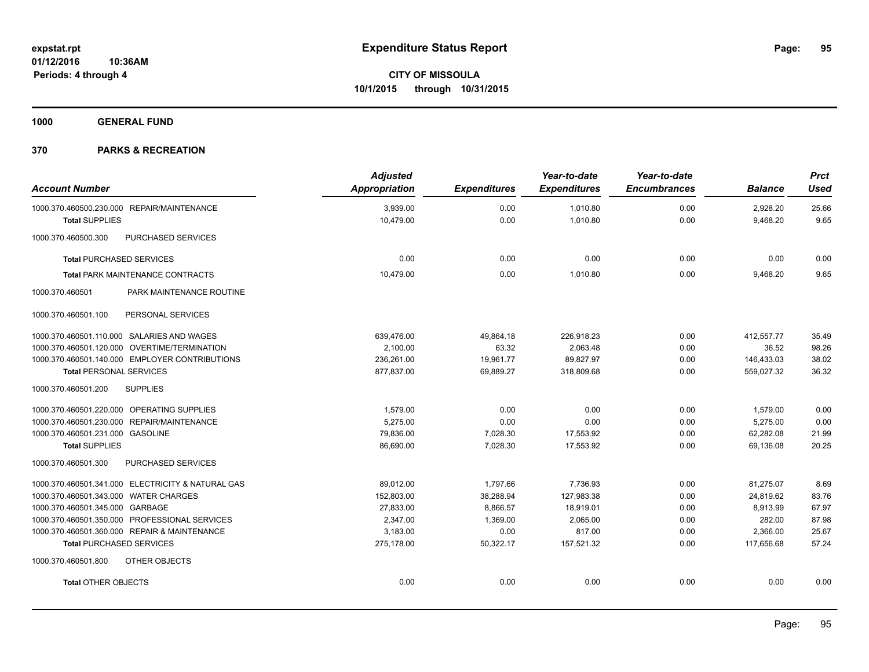**1000 GENERAL FUND**

| <b>Account Number</b>                             | <b>Adjusted</b><br><b>Appropriation</b> | <b>Expenditures</b> | Year-to-date<br><b>Expenditures</b> | Year-to-date<br><b>Encumbrances</b> | <b>Balance</b> | <b>Prct</b><br><b>Used</b> |
|---------------------------------------------------|-----------------------------------------|---------------------|-------------------------------------|-------------------------------------|----------------|----------------------------|
| 1000.370.460500.230.000 REPAIR/MAINTENANCE        | 3,939.00                                | 0.00                | 1,010.80                            | 0.00                                | 2,928.20       | 25.66                      |
| <b>Total SUPPLIES</b>                             | 10,479.00                               | 0.00                | 1,010.80                            | 0.00                                | 9,468.20       | 9.65                       |
| 1000.370.460500.300<br>PURCHASED SERVICES         |                                         |                     |                                     |                                     |                |                            |
| <b>Total PURCHASED SERVICES</b>                   | 0.00                                    | 0.00                | 0.00                                | 0.00                                | 0.00           | 0.00                       |
| <b>Total PARK MAINTENANCE CONTRACTS</b>           | 10,479.00                               | 0.00                | 1,010.80                            | 0.00                                | 9,468.20       | 9.65                       |
| 1000.370.460501<br>PARK MAINTENANCE ROUTINE       |                                         |                     |                                     |                                     |                |                            |
| 1000.370.460501.100<br>PERSONAL SERVICES          |                                         |                     |                                     |                                     |                |                            |
| 1000.370.460501.110.000 SALARIES AND WAGES        | 639,476.00                              | 49,864.18           | 226,918.23                          | 0.00                                | 412,557.77     | 35.49                      |
| 1000.370.460501.120.000 OVERTIME/TERMINATION      | 2,100.00                                | 63.32               | 2,063.48                            | 0.00                                | 36.52          | 98.26                      |
| 1000.370.460501.140.000 EMPLOYER CONTRIBUTIONS    | 236,261.00                              | 19,961.77           | 89,827.97                           | 0.00                                | 146,433.03     | 38.02                      |
| <b>Total PERSONAL SERVICES</b>                    | 877,837.00                              | 69,889.27           | 318,809.68                          | 0.00                                | 559,027.32     | 36.32                      |
| 1000.370.460501.200<br><b>SUPPLIES</b>            |                                         |                     |                                     |                                     |                |                            |
| 1000.370.460501.220.000 OPERATING SUPPLIES        | 1,579.00                                | 0.00                | 0.00                                | 0.00                                | 1,579.00       | 0.00                       |
| 1000.370.460501.230.000 REPAIR/MAINTENANCE        | 5.275.00                                | 0.00                | 0.00                                | 0.00                                | 5,275.00       | 0.00                       |
| 1000.370.460501.231.000 GASOLINE                  | 79,836.00                               | 7,028.30            | 17,553.92                           | 0.00                                | 62,282.08      | 21.99                      |
| <b>Total SUPPLIES</b>                             | 86,690.00                               | 7,028.30            | 17,553.92                           | 0.00                                | 69,136.08      | 20.25                      |
| 1000.370.460501.300<br>PURCHASED SERVICES         |                                         |                     |                                     |                                     |                |                            |
| 1000.370.460501.341.000 ELECTRICITY & NATURAL GAS | 89,012.00                               | 1,797.66            | 7,736.93                            | 0.00                                | 81,275.07      | 8.69                       |
| 1000.370.460501.343.000 WATER CHARGES             | 152,803.00                              | 38,288.94           | 127,983.38                          | 0.00                                | 24,819.62      | 83.76                      |
| 1000.370.460501.345.000 GARBAGE                   | 27,833.00                               | 8.866.57            | 18,919.01                           | 0.00                                | 8.913.99       | 67.97                      |
| 1000.370.460501.350.000 PROFESSIONAL SERVICES     | 2,347.00                                | 1,369.00            | 2,065.00                            | 0.00                                | 282.00         | 87.98                      |
| 1000.370.460501.360.000 REPAIR & MAINTENANCE      | 3,183.00                                | 0.00                | 817.00                              | 0.00                                | 2,366.00       | 25.67                      |
| <b>Total PURCHASED SERVICES</b>                   | 275,178.00                              | 50,322.17           | 157,521.32                          | 0.00                                | 117,656.68     | 57.24                      |
| OTHER OBJECTS<br>1000.370.460501.800              |                                         |                     |                                     |                                     |                |                            |
| <b>Total OTHER OBJECTS</b>                        | 0.00                                    | 0.00                | 0.00                                | 0.00                                | 0.00           | 0.00                       |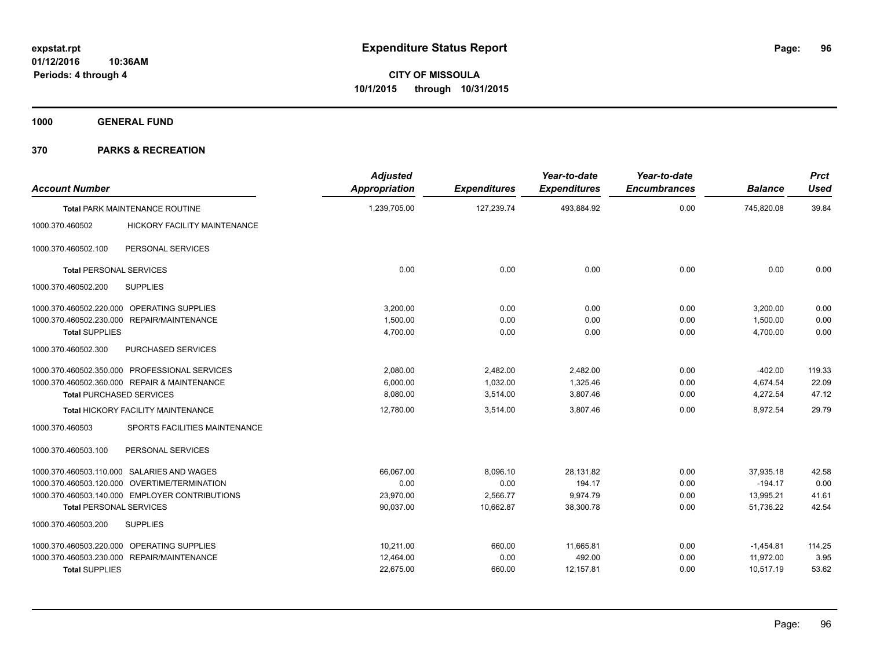**1000 GENERAL FUND**

| <b>Account Number</b>           |                                                | <b>Adjusted</b><br><b>Appropriation</b> | <b>Expenditures</b> | Year-to-date<br><b>Expenditures</b> | Year-to-date<br><b>Encumbrances</b> | <b>Balance</b> | <b>Prct</b><br><b>Used</b> |
|---------------------------------|------------------------------------------------|-----------------------------------------|---------------------|-------------------------------------|-------------------------------------|----------------|----------------------------|
|                                 | <b>Total PARK MAINTENANCE ROUTINE</b>          | 1,239,705.00                            | 127,239.74          | 493,884.92                          | 0.00                                | 745,820.08     | 39.84                      |
| 1000.370.460502                 | <b>HICKORY FACILITY MAINTENANCE</b>            |                                         |                     |                                     |                                     |                |                            |
| 1000.370.460502.100             | PERSONAL SERVICES                              |                                         |                     |                                     |                                     |                |                            |
| <b>Total PERSONAL SERVICES</b>  |                                                | 0.00                                    | 0.00                | 0.00                                | 0.00                                | 0.00           | 0.00                       |
| 1000.370.460502.200             | <b>SUPPLIES</b>                                |                                         |                     |                                     |                                     |                |                            |
|                                 | 1000.370.460502.220.000 OPERATING SUPPLIES     | 3,200.00                                | 0.00                | 0.00                                | 0.00                                | 3,200.00       | 0.00                       |
|                                 | 1000.370.460502.230.000 REPAIR/MAINTENANCE     | 1.500.00                                | 0.00                | 0.00                                | 0.00                                | 1,500.00       | 0.00                       |
| <b>Total SUPPLIES</b>           |                                                | 4,700.00                                | 0.00                | 0.00                                | 0.00                                | 4.700.00       | 0.00                       |
| 1000.370.460502.300             | PURCHASED SERVICES                             |                                         |                     |                                     |                                     |                |                            |
|                                 | 1000.370.460502.350.000 PROFESSIONAL SERVICES  | 2,080.00                                | 2,482.00            | 2,482.00                            | 0.00                                | $-402.00$      | 119.33                     |
|                                 | 1000.370.460502.360.000 REPAIR & MAINTENANCE   | 6,000.00                                | 1,032.00            | 1,325.46                            | 0.00                                | 4,674.54       | 22.09                      |
| <b>Total PURCHASED SERVICES</b> |                                                | 8,080.00                                | 3,514.00            | 3,807.46                            | 0.00                                | 4,272.54       | 47.12                      |
|                                 | Total HICKORY FACILITY MAINTENANCE             | 12,780.00                               | 3,514.00            | 3,807.46                            | 0.00                                | 8,972.54       | 29.79                      |
| 1000.370.460503                 | SPORTS FACILITIES MAINTENANCE                  |                                         |                     |                                     |                                     |                |                            |
| 1000.370.460503.100             | PERSONAL SERVICES                              |                                         |                     |                                     |                                     |                |                            |
|                                 | 1000.370.460503.110.000 SALARIES AND WAGES     | 66,067.00                               | 8,096.10            | 28,131.82                           | 0.00                                | 37,935.18      | 42.58                      |
|                                 | 1000.370.460503.120.000 OVERTIME/TERMINATION   | 0.00                                    | 0.00                | 194.17                              | 0.00                                | $-194.17$      | 0.00                       |
|                                 | 1000.370.460503.140.000 EMPLOYER CONTRIBUTIONS | 23,970.00                               | 2,566.77            | 9,974.79                            | 0.00                                | 13,995.21      | 41.61                      |
| <b>Total PERSONAL SERVICES</b>  |                                                | 90,037.00                               | 10,662.87           | 38,300.78                           | 0.00                                | 51.736.22      | 42.54                      |
| 1000.370.460503.200             | <b>SUPPLIES</b>                                |                                         |                     |                                     |                                     |                |                            |
|                                 | 1000.370.460503.220.000 OPERATING SUPPLIES     | 10,211.00                               | 660.00              | 11,665.81                           | 0.00                                | $-1,454.81$    | 114.25                     |
|                                 | 1000.370.460503.230.000 REPAIR/MAINTENANCE     | 12,464.00                               | 0.00                | 492.00                              | 0.00                                | 11,972.00      | 3.95                       |
| <b>Total SUPPLIES</b>           |                                                | 22,675.00                               | 660.00              | 12,157.81                           | 0.00                                | 10,517.19      | 53.62                      |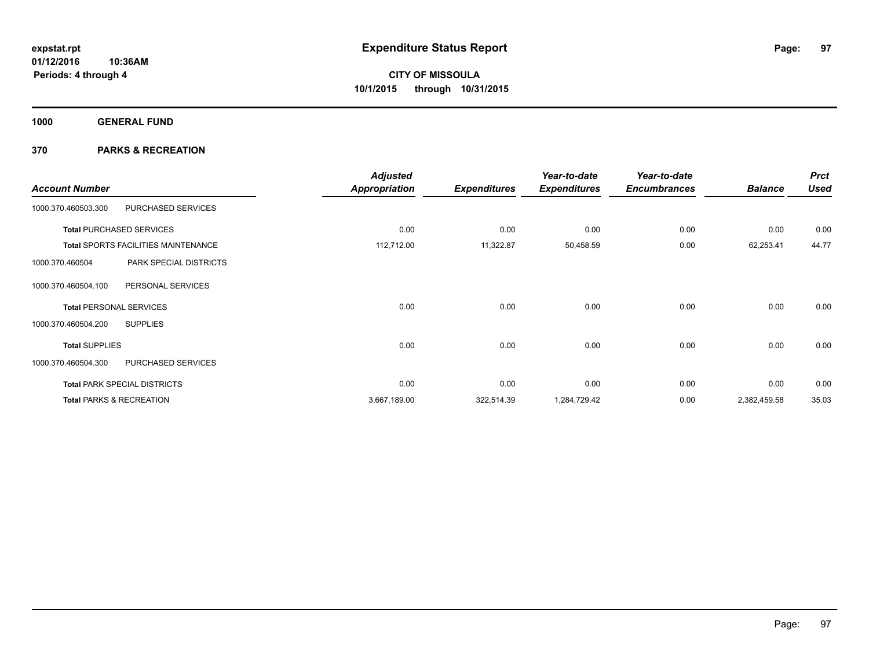**1000 GENERAL FUND**

| <b>Account Number</b>          |                                            | <b>Adjusted</b><br><b>Appropriation</b> | <b>Expenditures</b> | Year-to-date<br><b>Expenditures</b> | Year-to-date<br><b>Encumbrances</b> | <b>Balance</b> | <b>Prct</b><br><b>Used</b> |
|--------------------------------|--------------------------------------------|-----------------------------------------|---------------------|-------------------------------------|-------------------------------------|----------------|----------------------------|
| 1000.370.460503.300            | PURCHASED SERVICES                         |                                         |                     |                                     |                                     |                |                            |
|                                | <b>Total PURCHASED SERVICES</b>            | 0.00                                    | 0.00                | 0.00                                | 0.00                                | 0.00           | 0.00                       |
|                                | <b>Total SPORTS FACILITIES MAINTENANCE</b> | 112,712.00                              | 11,322.87           | 50,458.59                           | 0.00                                | 62,253.41      | 44.77                      |
| 1000.370.460504                | PARK SPECIAL DISTRICTS                     |                                         |                     |                                     |                                     |                |                            |
| 1000.370.460504.100            | PERSONAL SERVICES                          |                                         |                     |                                     |                                     |                |                            |
| <b>Total PERSONAL SERVICES</b> |                                            | 0.00                                    | 0.00                | 0.00                                | 0.00                                | 0.00           | 0.00                       |
| 1000.370.460504.200            | <b>SUPPLIES</b>                            |                                         |                     |                                     |                                     |                |                            |
| <b>Total SUPPLIES</b>          |                                            | 0.00                                    | 0.00                | 0.00                                | 0.00                                | 0.00           | 0.00                       |
| 1000.370.460504.300            | PURCHASED SERVICES                         |                                         |                     |                                     |                                     |                |                            |
|                                | <b>Total PARK SPECIAL DISTRICTS</b>        | 0.00                                    | 0.00                | 0.00                                | 0.00                                | 0.00           | 0.00                       |
|                                | <b>Total PARKS &amp; RECREATION</b>        | 3,667,189.00                            | 322,514.39          | 1,284,729.42                        | 0.00                                | 2,382,459.58   | 35.03                      |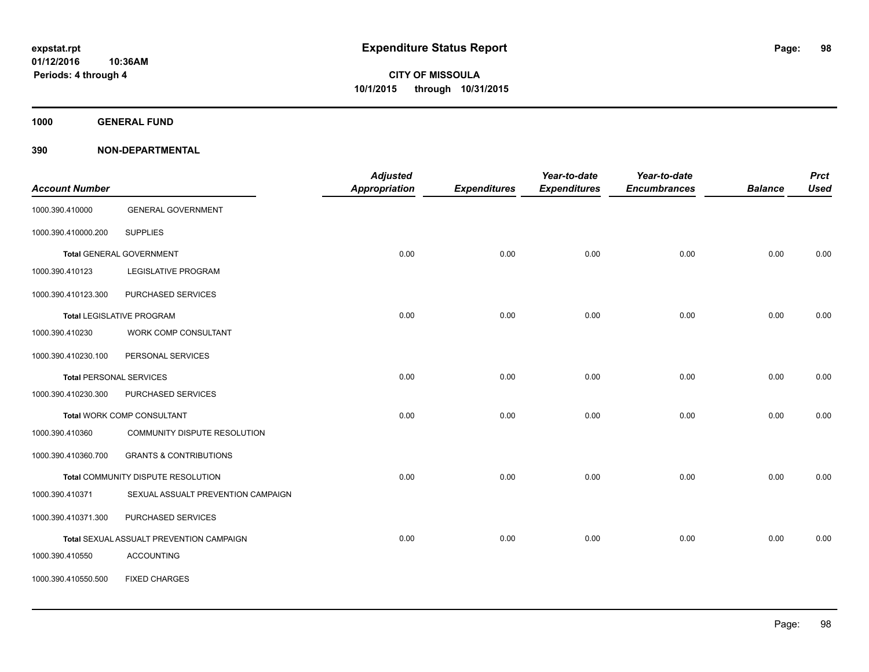**1000 GENERAL FUND**

| <b>Account Number</b> |                                          | <b>Adjusted</b><br><b>Appropriation</b> | <b>Expenditures</b> | Year-to-date<br><b>Expenditures</b> | Year-to-date<br><b>Encumbrances</b> | <b>Balance</b> | <b>Prct</b><br><b>Used</b> |
|-----------------------|------------------------------------------|-----------------------------------------|---------------------|-------------------------------------|-------------------------------------|----------------|----------------------------|
| 1000.390.410000       | <b>GENERAL GOVERNMENT</b>                |                                         |                     |                                     |                                     |                |                            |
| 1000.390.410000.200   | <b>SUPPLIES</b>                          |                                         |                     |                                     |                                     |                |                            |
|                       | <b>Total GENERAL GOVERNMENT</b>          | 0.00                                    | 0.00                | 0.00                                | 0.00                                | 0.00           | 0.00                       |
| 1000.390.410123       | <b>LEGISLATIVE PROGRAM</b>               |                                         |                     |                                     |                                     |                |                            |
| 1000.390.410123.300   | PURCHASED SERVICES                       |                                         |                     |                                     |                                     |                |                            |
|                       | <b>Total LEGISLATIVE PROGRAM</b>         | 0.00                                    | 0.00                | 0.00                                | 0.00                                | 0.00           | 0.00                       |
| 1000.390.410230       | WORK COMP CONSULTANT                     |                                         |                     |                                     |                                     |                |                            |
| 1000.390.410230.100   | PERSONAL SERVICES                        |                                         |                     |                                     |                                     |                |                            |
|                       | <b>Total PERSONAL SERVICES</b>           | 0.00                                    | 0.00                | 0.00                                | 0.00                                | 0.00           | 0.00                       |
| 1000.390.410230.300   | PURCHASED SERVICES                       |                                         |                     |                                     |                                     |                |                            |
|                       | <b>Total WORK COMP CONSULTANT</b>        | 0.00                                    | 0.00                | 0.00                                | 0.00                                | 0.00           | 0.00                       |
| 1000.390.410360       | COMMUNITY DISPUTE RESOLUTION             |                                         |                     |                                     |                                     |                |                            |
| 1000.390.410360.700   | <b>GRANTS &amp; CONTRIBUTIONS</b>        |                                         |                     |                                     |                                     |                |                            |
|                       | Total COMMUNITY DISPUTE RESOLUTION       | 0.00                                    | 0.00                | 0.00                                | 0.00                                | 0.00           | 0.00                       |
| 1000.390.410371       | SEXUAL ASSUALT PREVENTION CAMPAIGN       |                                         |                     |                                     |                                     |                |                            |
| 1000.390.410371.300   | PURCHASED SERVICES                       |                                         |                     |                                     |                                     |                |                            |
|                       | Total SEXUAL ASSUALT PREVENTION CAMPAIGN | 0.00                                    | 0.00                | 0.00                                | 0.00                                | 0.00           | 0.00                       |
| 1000.390.410550       | <b>ACCOUNTING</b>                        |                                         |                     |                                     |                                     |                |                            |
| 1000.390.410550.500   | <b>FIXED CHARGES</b>                     |                                         |                     |                                     |                                     |                |                            |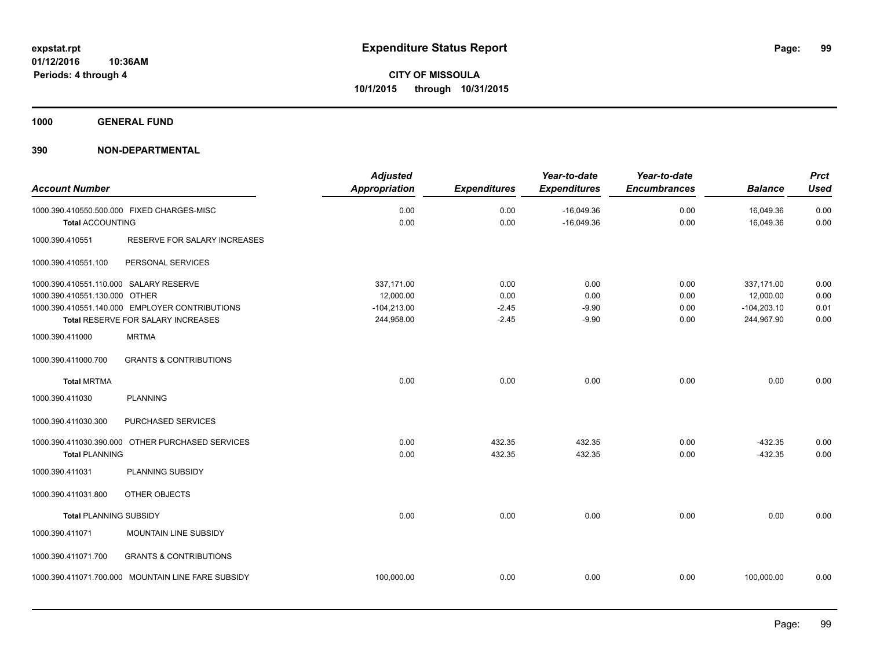**1000 GENERAL FUND**

| <b>Account Number</b>                                                   |                                                                                      | <b>Adjusted</b><br><b>Appropriation</b>                | <b>Expenditures</b>                | Year-to-date<br><b>Expenditures</b> | Year-to-date<br><b>Encumbrances</b> | <b>Balance</b>                                         | <b>Prct</b><br><b>Used</b>   |
|-------------------------------------------------------------------------|--------------------------------------------------------------------------------------|--------------------------------------------------------|------------------------------------|-------------------------------------|-------------------------------------|--------------------------------------------------------|------------------------------|
| <b>Total ACCOUNTING</b>                                                 | 1000.390.410550.500.000 FIXED CHARGES-MISC                                           | 0.00<br>0.00                                           | 0.00<br>0.00                       | $-16,049.36$<br>$-16,049.36$        | 0.00<br>0.00                        | 16,049.36<br>16,049.36                                 | 0.00<br>0.00                 |
| 1000.390.410551                                                         | RESERVE FOR SALARY INCREASES                                                         |                                                        |                                    |                                     |                                     |                                                        |                              |
| 1000.390.410551.100                                                     | PERSONAL SERVICES                                                                    |                                                        |                                    |                                     |                                     |                                                        |                              |
| 1000.390.410551.110.000 SALARY RESERVE<br>1000.390.410551.130.000 OTHER | 1000.390.410551.140.000 EMPLOYER CONTRIBUTIONS<br>Total RESERVE FOR SALARY INCREASES | 337,171.00<br>12,000.00<br>$-104,213.00$<br>244,958.00 | 0.00<br>0.00<br>$-2.45$<br>$-2.45$ | 0.00<br>0.00<br>$-9.90$<br>$-9.90$  | 0.00<br>0.00<br>0.00<br>0.00        | 337,171.00<br>12,000.00<br>$-104,203.10$<br>244,967.90 | 0.00<br>0.00<br>0.01<br>0.00 |
| 1000.390.411000<br>1000.390.411000.700                                  | <b>MRTMA</b><br><b>GRANTS &amp; CONTRIBUTIONS</b>                                    |                                                        |                                    |                                     |                                     |                                                        |                              |
| <b>Total MRTMA</b>                                                      |                                                                                      | 0.00                                                   | 0.00                               | 0.00                                | 0.00                                | 0.00                                                   | 0.00                         |
| 1000.390.411030                                                         | <b>PLANNING</b>                                                                      |                                                        |                                    |                                     |                                     |                                                        |                              |
| 1000.390.411030.300                                                     | PURCHASED SERVICES                                                                   |                                                        |                                    |                                     |                                     |                                                        |                              |
| <b>Total PLANNING</b>                                                   | 1000.390.411030.390.000 OTHER PURCHASED SERVICES                                     | 0.00<br>0.00                                           | 432.35<br>432.35                   | 432.35<br>432.35                    | 0.00<br>0.00                        | $-432.35$<br>$-432.35$                                 | 0.00<br>0.00                 |
| 1000.390.411031                                                         | PLANNING SUBSIDY                                                                     |                                                        |                                    |                                     |                                     |                                                        |                              |
| 1000.390.411031.800                                                     | OTHER OBJECTS                                                                        |                                                        |                                    |                                     |                                     |                                                        |                              |
| <b>Total PLANNING SUBSIDY</b>                                           |                                                                                      | 0.00                                                   | 0.00                               | 0.00                                | 0.00                                | 0.00                                                   | 0.00                         |
| 1000.390.411071                                                         | MOUNTAIN LINE SUBSIDY                                                                |                                                        |                                    |                                     |                                     |                                                        |                              |
| 1000.390.411071.700                                                     | <b>GRANTS &amp; CONTRIBUTIONS</b>                                                    |                                                        |                                    |                                     |                                     |                                                        |                              |
|                                                                         | 1000.390.411071.700.000 MOUNTAIN LINE FARE SUBSIDY                                   | 100,000.00                                             | 0.00                               | 0.00                                | 0.00                                | 100,000.00                                             | 0.00                         |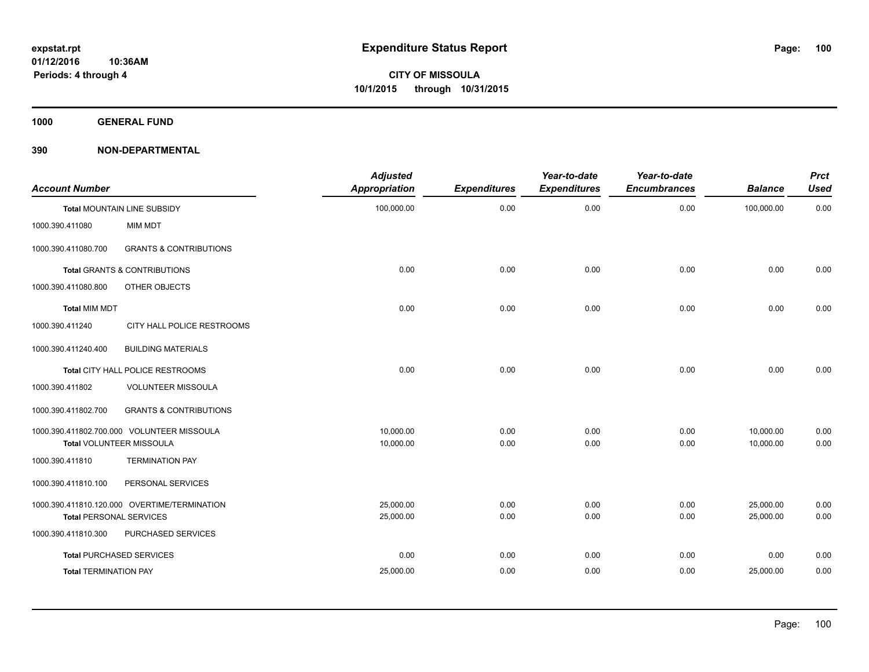**1000 GENERAL FUND**

| <b>Account Number</b>          |                                              | <b>Adjusted</b><br>Appropriation | <b>Expenditures</b> | Year-to-date<br><b>Expenditures</b> | Year-to-date<br><b>Encumbrances</b> | <b>Balance</b> | <b>Prct</b><br>Used |
|--------------------------------|----------------------------------------------|----------------------------------|---------------------|-------------------------------------|-------------------------------------|----------------|---------------------|
|                                | Total MOUNTAIN LINE SUBSIDY                  | 100,000.00                       | 0.00                | 0.00                                | 0.00                                | 100,000.00     | 0.00                |
| 1000.390.411080                | <b>MIM MDT</b>                               |                                  |                     |                                     |                                     |                |                     |
| 1000.390.411080.700            | <b>GRANTS &amp; CONTRIBUTIONS</b>            |                                  |                     |                                     |                                     |                |                     |
|                                | <b>Total GRANTS &amp; CONTRIBUTIONS</b>      | 0.00                             | 0.00                | 0.00                                | 0.00                                | 0.00           | 0.00                |
| 1000.390.411080.800            | OTHER OBJECTS                                |                                  |                     |                                     |                                     |                |                     |
| <b>Total MIM MDT</b>           |                                              | 0.00                             | 0.00                | 0.00                                | 0.00                                | 0.00           | 0.00                |
| 1000.390.411240                | CITY HALL POLICE RESTROOMS                   |                                  |                     |                                     |                                     |                |                     |
| 1000.390.411240.400            | <b>BUILDING MATERIALS</b>                    |                                  |                     |                                     |                                     |                |                     |
|                                | Total CITY HALL POLICE RESTROOMS             | 0.00                             | 0.00                | 0.00                                | 0.00                                | 0.00           | 0.00                |
| 1000.390.411802                | <b>VOLUNTEER MISSOULA</b>                    |                                  |                     |                                     |                                     |                |                     |
| 1000.390.411802.700            | <b>GRANTS &amp; CONTRIBUTIONS</b>            |                                  |                     |                                     |                                     |                |                     |
|                                | 1000.390.411802.700.000 VOLUNTEER MISSOULA   | 10.000.00                        | 0.00                | 0.00                                | 0.00                                | 10,000.00      | 0.00                |
|                                | Total VOLUNTEER MISSOULA                     | 10,000.00                        | 0.00                | 0.00                                | 0.00                                | 10,000.00      | 0.00                |
| 1000.390.411810                | <b>TERMINATION PAY</b>                       |                                  |                     |                                     |                                     |                |                     |
| 1000.390.411810.100            | PERSONAL SERVICES                            |                                  |                     |                                     |                                     |                |                     |
|                                | 1000.390.411810.120.000 OVERTIME/TERMINATION | 25,000.00                        | 0.00                | 0.00                                | 0.00                                | 25,000.00      | 0.00                |
| <b>Total PERSONAL SERVICES</b> |                                              | 25,000.00                        | 0.00                | 0.00                                | 0.00                                | 25,000.00      | 0.00                |
| 1000.390.411810.300            | PURCHASED SERVICES                           |                                  |                     |                                     |                                     |                |                     |
|                                | <b>Total PURCHASED SERVICES</b>              | 0.00                             | 0.00                | 0.00                                | 0.00                                | 0.00           | 0.00                |
| <b>Total TERMINATION PAY</b>   |                                              | 25,000.00                        | 0.00                | 0.00                                | 0.00                                | 25,000.00      | 0.00                |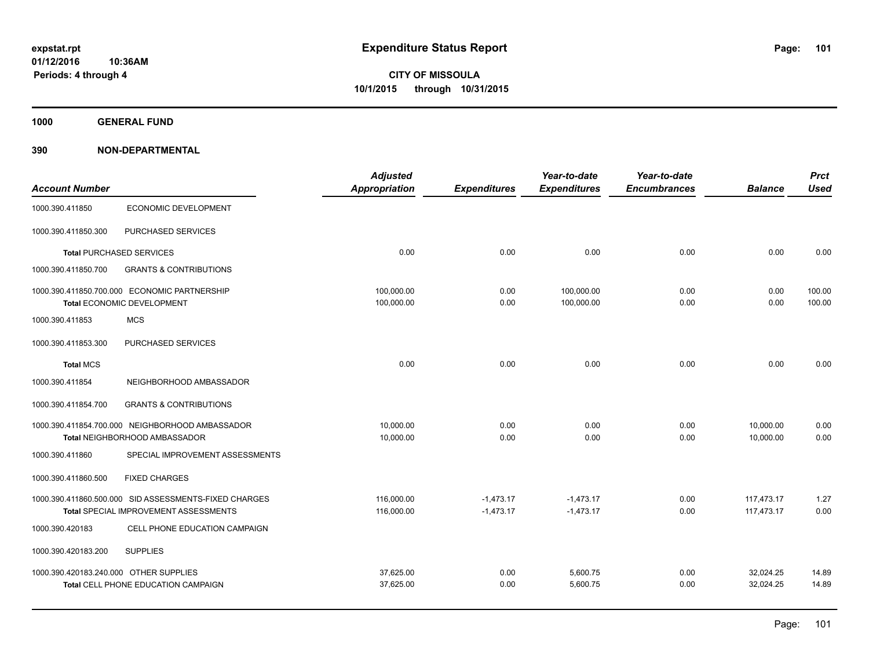**1000 GENERAL FUND**

|                                        |                                                       | <b>Adjusted</b>      |                     | Year-to-date        | Year-to-date        |                | <b>Prct</b> |
|----------------------------------------|-------------------------------------------------------|----------------------|---------------------|---------------------|---------------------|----------------|-------------|
| <b>Account Number</b>                  |                                                       | <b>Appropriation</b> | <b>Expenditures</b> | <b>Expenditures</b> | <b>Encumbrances</b> | <b>Balance</b> | <b>Used</b> |
| 1000.390.411850                        | <b>ECONOMIC DEVELOPMENT</b>                           |                      |                     |                     |                     |                |             |
| 1000.390.411850.300                    | PURCHASED SERVICES                                    |                      |                     |                     |                     |                |             |
|                                        | <b>Total PURCHASED SERVICES</b>                       | 0.00                 | 0.00                | 0.00                | 0.00                | 0.00           | 0.00        |
| 1000.390.411850.700                    | <b>GRANTS &amp; CONTRIBUTIONS</b>                     |                      |                     |                     |                     |                |             |
|                                        | 1000.390.411850.700.000 ECONOMIC PARTNERSHIP          | 100,000.00           | 0.00                | 100,000.00          | 0.00                | 0.00           | 100.00      |
|                                        | Total ECONOMIC DEVELOPMENT                            | 100,000.00           | 0.00                | 100,000.00          | 0.00                | 0.00           | 100.00      |
| 1000.390.411853                        | <b>MCS</b>                                            |                      |                     |                     |                     |                |             |
| 1000.390.411853.300                    | PURCHASED SERVICES                                    |                      |                     |                     |                     |                |             |
| <b>Total MCS</b>                       |                                                       | 0.00                 | 0.00                | 0.00                | 0.00                | 0.00           | 0.00        |
| 1000.390.411854                        | NEIGHBORHOOD AMBASSADOR                               |                      |                     |                     |                     |                |             |
| 1000.390.411854.700                    | <b>GRANTS &amp; CONTRIBUTIONS</b>                     |                      |                     |                     |                     |                |             |
|                                        | 1000.390.411854.700.000 NEIGHBORHOOD AMBASSADOR       | 10.000.00            | 0.00                | 0.00                | 0.00                | 10,000.00      | 0.00        |
|                                        | Total NEIGHBORHOOD AMBASSADOR                         | 10,000.00            | 0.00                | 0.00                | 0.00                | 10,000.00      | 0.00        |
| 1000.390.411860                        | SPECIAL IMPROVEMENT ASSESSMENTS                       |                      |                     |                     |                     |                |             |
| 1000.390.411860.500                    | <b>FIXED CHARGES</b>                                  |                      |                     |                     |                     |                |             |
|                                        | 1000.390.411860.500.000 SID ASSESSMENTS-FIXED CHARGES | 116,000.00           | $-1,473.17$         | $-1,473.17$         | 0.00                | 117,473.17     | 1.27        |
|                                        | <b>Total SPECIAL IMPROVEMENT ASSESSMENTS</b>          | 116,000.00           | $-1,473.17$         | $-1,473.17$         | 0.00                | 117,473.17     | 0.00        |
| 1000.390.420183                        | CELL PHONE EDUCATION CAMPAIGN                         |                      |                     |                     |                     |                |             |
| 1000.390.420183.200                    | <b>SUPPLIES</b>                                       |                      |                     |                     |                     |                |             |
| 1000.390.420183.240.000 OTHER SUPPLIES |                                                       | 37,625.00            | 0.00                | 5,600.75            | 0.00                | 32,024.25      | 14.89       |
|                                        | Total CELL PHONE EDUCATION CAMPAIGN                   | 37,625.00            | 0.00                | 5,600.75            | 0.00                | 32,024.25      | 14.89       |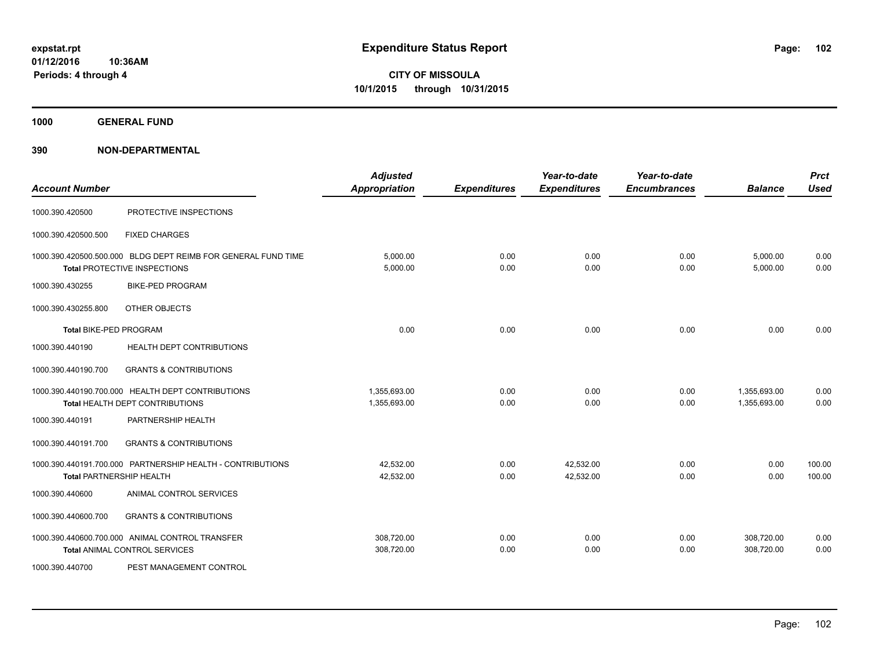**1000 GENERAL FUND**

| <b>Account Number</b>  |                                                                                               | <b>Adjusted</b><br><b>Appropriation</b> | <b>Expenditures</b> | Year-to-date<br><b>Expenditures</b> | Year-to-date<br><b>Encumbrances</b> | <b>Balance</b>               | <b>Prct</b><br><b>Used</b> |
|------------------------|-----------------------------------------------------------------------------------------------|-----------------------------------------|---------------------|-------------------------------------|-------------------------------------|------------------------------|----------------------------|
| 1000.390.420500        | PROTECTIVE INSPECTIONS                                                                        |                                         |                     |                                     |                                     |                              |                            |
| 1000.390.420500.500    | <b>FIXED CHARGES</b>                                                                          |                                         |                     |                                     |                                     |                              |                            |
|                        | 1000.390.420500.500.000 BLDG DEPT REIMB FOR GENERAL FUND TIME<br>Total PROTECTIVE INSPECTIONS | 5,000.00<br>5,000.00                    | 0.00<br>0.00        | 0.00<br>0.00                        | 0.00<br>0.00                        | 5,000.00<br>5,000.00         | 0.00<br>0.00               |
| 1000.390.430255        | <b>BIKE-PED PROGRAM</b>                                                                       |                                         |                     |                                     |                                     |                              |                            |
| 1000.390.430255.800    | OTHER OBJECTS                                                                                 |                                         |                     |                                     |                                     |                              |                            |
| Total BIKE-PED PROGRAM |                                                                                               | 0.00                                    | 0.00                | 0.00                                | 0.00                                | 0.00                         | 0.00                       |
| 1000.390.440190        | HEALTH DEPT CONTRIBUTIONS                                                                     |                                         |                     |                                     |                                     |                              |                            |
| 1000.390.440190.700    | <b>GRANTS &amp; CONTRIBUTIONS</b>                                                             |                                         |                     |                                     |                                     |                              |                            |
|                        | 1000.390.440190.700.000 HEALTH DEPT CONTRIBUTIONS<br>Total HEALTH DEPT CONTRIBUTIONS          | 1,355,693.00<br>1,355,693.00            | 0.00<br>0.00        | 0.00<br>0.00                        | 0.00<br>0.00                        | 1,355,693.00<br>1,355,693.00 | 0.00<br>0.00               |
| 1000.390.440191        | PARTNERSHIP HEALTH                                                                            |                                         |                     |                                     |                                     |                              |                            |
| 1000.390.440191.700    | <b>GRANTS &amp; CONTRIBUTIONS</b>                                                             |                                         |                     |                                     |                                     |                              |                            |
|                        | 1000.390.440191.700.000 PARTNERSHIP HEALTH - CONTRIBUTIONS<br><b>Total PARTNERSHIP HEALTH</b> | 42.532.00<br>42,532.00                  | 0.00<br>0.00        | 42,532.00<br>42,532.00              | 0.00<br>0.00                        | 0.00<br>0.00                 | 100.00<br>100.00           |
| 1000.390.440600        | ANIMAL CONTROL SERVICES                                                                       |                                         |                     |                                     |                                     |                              |                            |
| 1000.390.440600.700    | <b>GRANTS &amp; CONTRIBUTIONS</b>                                                             |                                         |                     |                                     |                                     |                              |                            |
|                        | 1000.390.440600.700.000 ANIMAL CONTROL TRANSFER<br><b>Total ANIMAL CONTROL SERVICES</b>       | 308,720.00<br>308,720.00                | 0.00<br>0.00        | 0.00<br>0.00                        | 0.00<br>0.00                        | 308,720.00<br>308,720.00     | 0.00<br>0.00               |
| 1000.390.440700        | PEST MANAGEMENT CONTROL                                                                       |                                         |                     |                                     |                                     |                              |                            |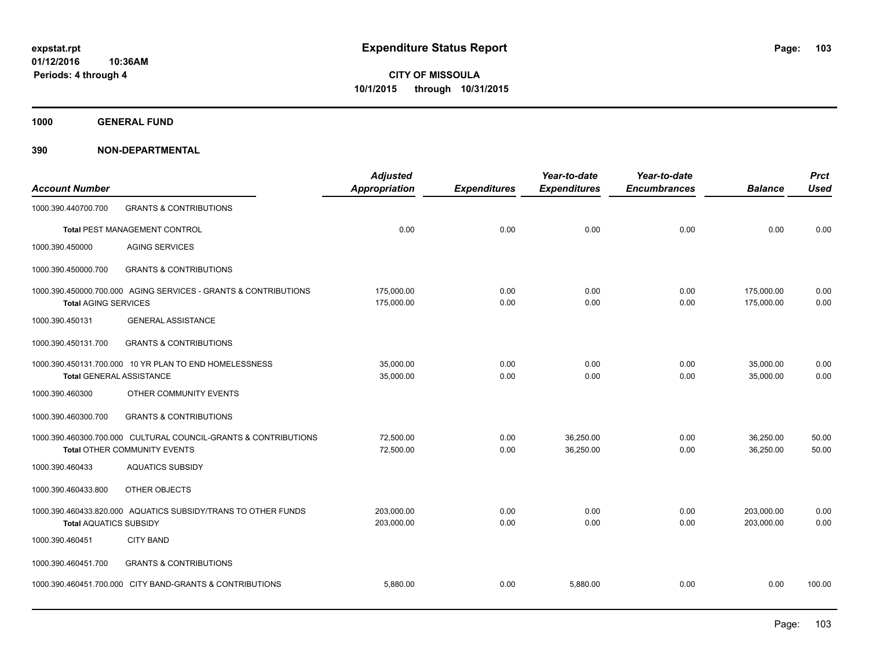**1000 GENERAL FUND**

| <b>Account Number</b>           |                                                                                                        | <b>Adjusted</b><br>Appropriation | <b>Expenditures</b> | Year-to-date<br><b>Expenditures</b> | Year-to-date<br><b>Encumbrances</b> | <b>Balance</b>           | <b>Prct</b><br><b>Used</b> |
|---------------------------------|--------------------------------------------------------------------------------------------------------|----------------------------------|---------------------|-------------------------------------|-------------------------------------|--------------------------|----------------------------|
| 1000.390.440700.700             | <b>GRANTS &amp; CONTRIBUTIONS</b>                                                                      |                                  |                     |                                     |                                     |                          |                            |
|                                 | Total PEST MANAGEMENT CONTROL                                                                          | 0.00                             | 0.00                | 0.00                                | 0.00                                | 0.00                     | 0.00                       |
| 1000.390.450000                 | <b>AGING SERVICES</b>                                                                                  |                                  |                     |                                     |                                     |                          |                            |
| 1000.390.450000.700             | <b>GRANTS &amp; CONTRIBUTIONS</b>                                                                      |                                  |                     |                                     |                                     |                          |                            |
| <b>Total AGING SERVICES</b>     | 1000.390.450000.700.000 AGING SERVICES - GRANTS & CONTRIBUTIONS                                        | 175,000.00<br>175,000.00         | 0.00<br>0.00        | 0.00<br>0.00                        | 0.00<br>0.00                        | 175,000.00<br>175,000.00 | 0.00<br>0.00               |
| 1000.390.450131                 | <b>GENERAL ASSISTANCE</b>                                                                              |                                  |                     |                                     |                                     |                          |                            |
| 1000.390.450131.700             | <b>GRANTS &amp; CONTRIBUTIONS</b>                                                                      |                                  |                     |                                     |                                     |                          |                            |
| <b>Total GENERAL ASSISTANCE</b> | 1000.390.450131.700.000 10 YR PLAN TO END HOMELESSNESS                                                 | 35,000.00<br>35,000.00           | 0.00<br>0.00        | 0.00<br>0.00                        | 0.00<br>0.00                        | 35,000.00<br>35,000.00   | 0.00<br>0.00               |
| 1000.390.460300                 | OTHER COMMUNITY EVENTS                                                                                 |                                  |                     |                                     |                                     |                          |                            |
| 1000.390.460300.700             | <b>GRANTS &amp; CONTRIBUTIONS</b>                                                                      |                                  |                     |                                     |                                     |                          |                            |
|                                 | 1000.390.460300.700.000 CULTURAL COUNCIL-GRANTS & CONTRIBUTIONS<br><b>Total OTHER COMMUNITY EVENTS</b> | 72.500.00<br>72,500.00           | 0.00<br>0.00        | 36,250.00<br>36,250.00              | 0.00<br>0.00                        | 36,250.00<br>36,250.00   | 50.00<br>50.00             |
| 1000.390.460433                 | <b>AQUATICS SUBSIDY</b>                                                                                |                                  |                     |                                     |                                     |                          |                            |
| 1000.390.460433.800             | OTHER OBJECTS                                                                                          |                                  |                     |                                     |                                     |                          |                            |
| <b>Total AQUATICS SUBSIDY</b>   | 1000.390.460433.820.000 AQUATICS SUBSIDY/TRANS TO OTHER FUNDS                                          | 203,000.00<br>203,000.00         | 0.00<br>0.00        | 0.00<br>0.00                        | 0.00<br>0.00                        | 203,000.00<br>203,000.00 | 0.00<br>0.00               |
| 1000.390.460451                 | <b>CITY BAND</b>                                                                                       |                                  |                     |                                     |                                     |                          |                            |
| 1000.390.460451.700             | <b>GRANTS &amp; CONTRIBUTIONS</b>                                                                      |                                  |                     |                                     |                                     |                          |                            |
|                                 | 1000.390.460451.700.000 CITY BAND-GRANTS & CONTRIBUTIONS                                               | 5,880.00                         | 0.00                | 5,880.00                            | 0.00                                | 0.00                     | 100.00                     |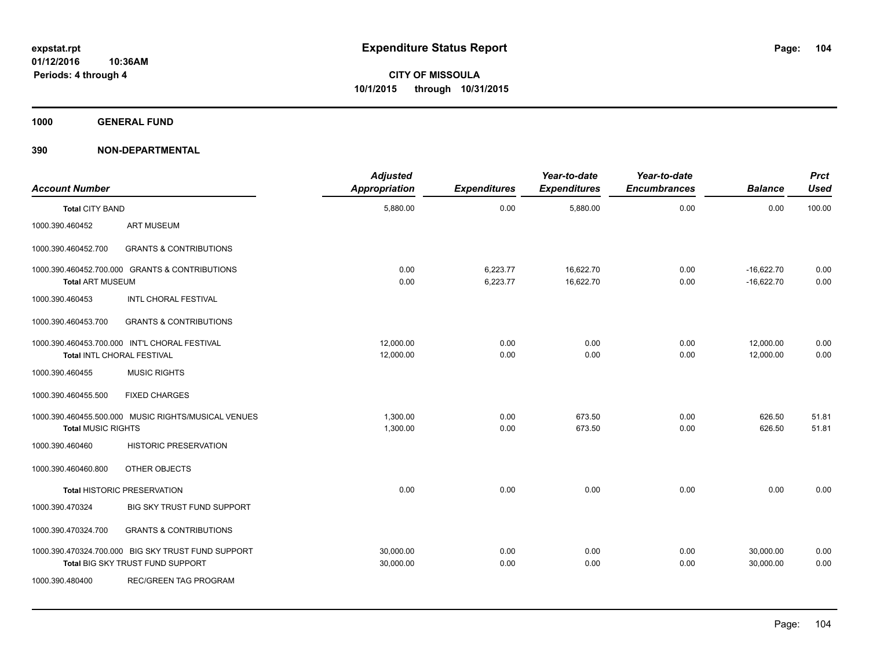**1000 GENERAL FUND**

| <b>Account Number</b>                                                     |                                                                                        | <b>Adjusted</b><br>Appropriation | <b>Expenditures</b>  | Year-to-date<br><b>Expenditures</b> | Year-to-date<br><b>Encumbrances</b> | <b>Balance</b>               | <b>Prct</b><br><b>Used</b> |
|---------------------------------------------------------------------------|----------------------------------------------------------------------------------------|----------------------------------|----------------------|-------------------------------------|-------------------------------------|------------------------------|----------------------------|
| <b>Total CITY BAND</b>                                                    |                                                                                        | 5,880.00                         | 0.00                 | 5,880.00                            | 0.00                                | 0.00                         | 100.00                     |
| 1000.390.460452                                                           | <b>ART MUSEUM</b>                                                                      |                                  |                      |                                     |                                     |                              |                            |
| 1000.390.460452.700                                                       | <b>GRANTS &amp; CONTRIBUTIONS</b>                                                      |                                  |                      |                                     |                                     |                              |                            |
| 1000.390.460452.700.000 GRANTS & CONTRIBUTIONS<br><b>Total ART MUSEUM</b> |                                                                                        | 0.00<br>0.00                     | 6,223.77<br>6,223.77 | 16,622.70<br>16,622.70              | 0.00<br>0.00                        | $-16,622.70$<br>$-16,622.70$ | 0.00<br>0.00               |
| 1000.390.460453                                                           | <b>INTL CHORAL FESTIVAL</b>                                                            |                                  |                      |                                     |                                     |                              |                            |
| 1000.390.460453.700                                                       | <b>GRANTS &amp; CONTRIBUTIONS</b>                                                      |                                  |                      |                                     |                                     |                              |                            |
|                                                                           | 1000.390.460453.700.000 INT'L CHORAL FESTIVAL<br>Total INTL CHORAL FESTIVAL            | 12,000.00<br>12,000.00           | 0.00<br>0.00         | 0.00<br>0.00                        | 0.00<br>0.00                        | 12,000.00<br>12,000.00       | 0.00<br>0.00               |
| 1000.390.460455                                                           | <b>MUSIC RIGHTS</b>                                                                    |                                  |                      |                                     |                                     |                              |                            |
| 1000.390.460455.500                                                       | <b>FIXED CHARGES</b>                                                                   |                                  |                      |                                     |                                     |                              |                            |
| <b>Total MUSIC RIGHTS</b>                                                 | 1000.390.460455.500.000 MUSIC RIGHTS/MUSICAL VENUES                                    | 1,300.00<br>1,300.00             | 0.00<br>0.00         | 673.50<br>673.50                    | 0.00<br>0.00                        | 626.50<br>626.50             | 51.81<br>51.81             |
| 1000.390.460460                                                           | <b>HISTORIC PRESERVATION</b>                                                           |                                  |                      |                                     |                                     |                              |                            |
| 1000.390.460460.800                                                       | OTHER OBJECTS                                                                          |                                  |                      |                                     |                                     |                              |                            |
|                                                                           | <b>Total HISTORIC PRESERVATION</b>                                                     | 0.00                             | 0.00                 | 0.00                                | 0.00                                | 0.00                         | 0.00                       |
| 1000.390.470324                                                           | BIG SKY TRUST FUND SUPPORT                                                             |                                  |                      |                                     |                                     |                              |                            |
| 1000.390.470324.700                                                       | <b>GRANTS &amp; CONTRIBUTIONS</b>                                                      |                                  |                      |                                     |                                     |                              |                            |
|                                                                           | 1000.390.470324.700.000 BIG SKY TRUST FUND SUPPORT<br>Total BIG SKY TRUST FUND SUPPORT | 30,000.00<br>30,000.00           | 0.00<br>0.00         | 0.00<br>0.00                        | 0.00<br>0.00                        | 30,000.00<br>30,000.00       | 0.00<br>0.00               |
| 1000.390.480400                                                           | <b>REC/GREEN TAG PROGRAM</b>                                                           |                                  |                      |                                     |                                     |                              |                            |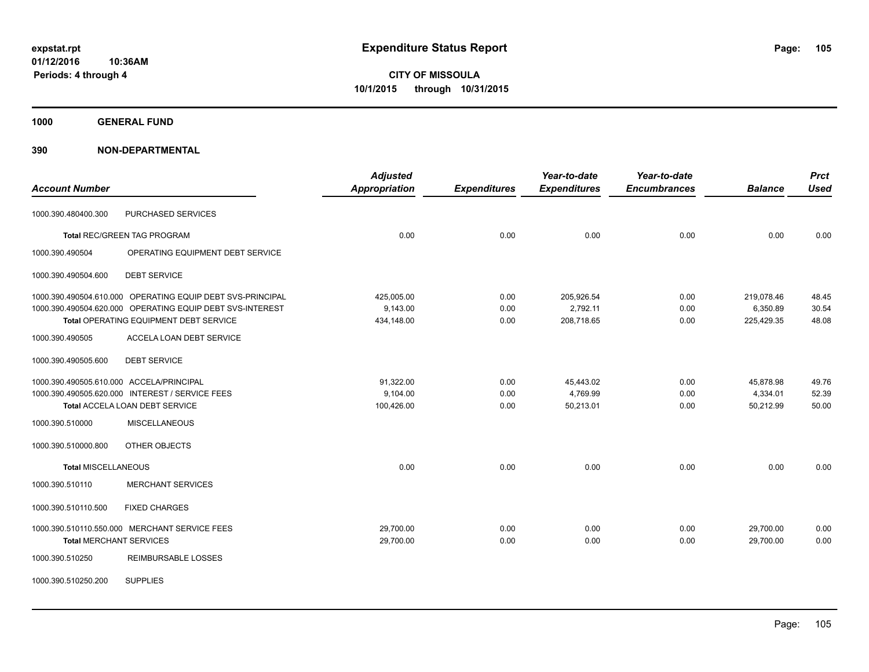**1000 GENERAL FUND**

| <b>Account Number</b>                    |                                                            | <b>Adjusted</b><br><b>Appropriation</b> | <b>Expenditures</b> | Year-to-date<br><b>Expenditures</b> | Year-to-date<br><b>Encumbrances</b> | <b>Balance</b> | <b>Prct</b><br><b>Used</b> |
|------------------------------------------|------------------------------------------------------------|-----------------------------------------|---------------------|-------------------------------------|-------------------------------------|----------------|----------------------------|
| 1000.390.480400.300                      | PURCHASED SERVICES                                         |                                         |                     |                                     |                                     |                |                            |
|                                          | <b>Total REC/GREEN TAG PROGRAM</b>                         | 0.00                                    | 0.00                | 0.00                                | 0.00                                | 0.00           | 0.00                       |
| 1000.390.490504                          | OPERATING EQUIPMENT DEBT SERVICE                           |                                         |                     |                                     |                                     |                |                            |
| 1000.390.490504.600                      | <b>DEBT SERVICE</b>                                        |                                         |                     |                                     |                                     |                |                            |
|                                          | 1000.390.490504.610.000 OPERATING EQUIP DEBT SVS-PRINCIPAL | 425,005.00                              | 0.00                | 205,926.54                          | 0.00                                | 219,078.46     | 48.45                      |
|                                          | 1000.390.490504.620.000 OPERATING EQUIP DEBT SVS-INTEREST  | 9,143.00                                | 0.00                | 2,792.11                            | 0.00                                | 6,350.89       | 30.54                      |
|                                          | Total OPERATING EQUIPMENT DEBT SERVICE                     | 434,148.00                              | 0.00                | 208,718.65                          | 0.00                                | 225,429.35     | 48.08                      |
| 1000.390.490505                          | <b>ACCELA LOAN DEBT SERVICE</b>                            |                                         |                     |                                     |                                     |                |                            |
| 1000.390.490505.600                      | <b>DEBT SERVICE</b>                                        |                                         |                     |                                     |                                     |                |                            |
| 1000.390.490505.610.000 ACCELA/PRINCIPAL |                                                            | 91,322.00                               | 0.00                | 45,443.02                           | 0.00                                | 45,878.98      | 49.76                      |
|                                          | 1000.390.490505.620.000 INTEREST / SERVICE FEES            | 9,104.00                                | 0.00                | 4,769.99                            | 0.00                                | 4,334.01       | 52.39                      |
|                                          | <b>Total ACCELA LOAN DEBT SERVICE</b>                      | 100,426.00                              | 0.00                | 50,213.01                           | 0.00                                | 50,212.99      | 50.00                      |
| 1000.390.510000                          | <b>MISCELLANEOUS</b>                                       |                                         |                     |                                     |                                     |                |                            |
| 1000.390.510000.800                      | OTHER OBJECTS                                              |                                         |                     |                                     |                                     |                |                            |
| <b>Total MISCELLANEOUS</b>               |                                                            | 0.00                                    | 0.00                | 0.00                                | 0.00                                | 0.00           | 0.00                       |
| 1000.390.510110                          | <b>MERCHANT SERVICES</b>                                   |                                         |                     |                                     |                                     |                |                            |
| 1000.390.510110.500                      | <b>FIXED CHARGES</b>                                       |                                         |                     |                                     |                                     |                |                            |
|                                          | 1000.390.510110.550.000 MERCHANT SERVICE FEES              | 29,700.00                               | 0.00                | 0.00                                | 0.00                                | 29,700.00      | 0.00                       |
| <b>Total MERCHANT SERVICES</b>           |                                                            | 29,700.00                               | 0.00                | 0.00                                | 0.00                                | 29,700.00      | 0.00                       |
| 1000.390.510250                          | <b>REIMBURSABLE LOSSES</b>                                 |                                         |                     |                                     |                                     |                |                            |
| 1000.390.510250.200                      | <b>SUPPLIES</b>                                            |                                         |                     |                                     |                                     |                |                            |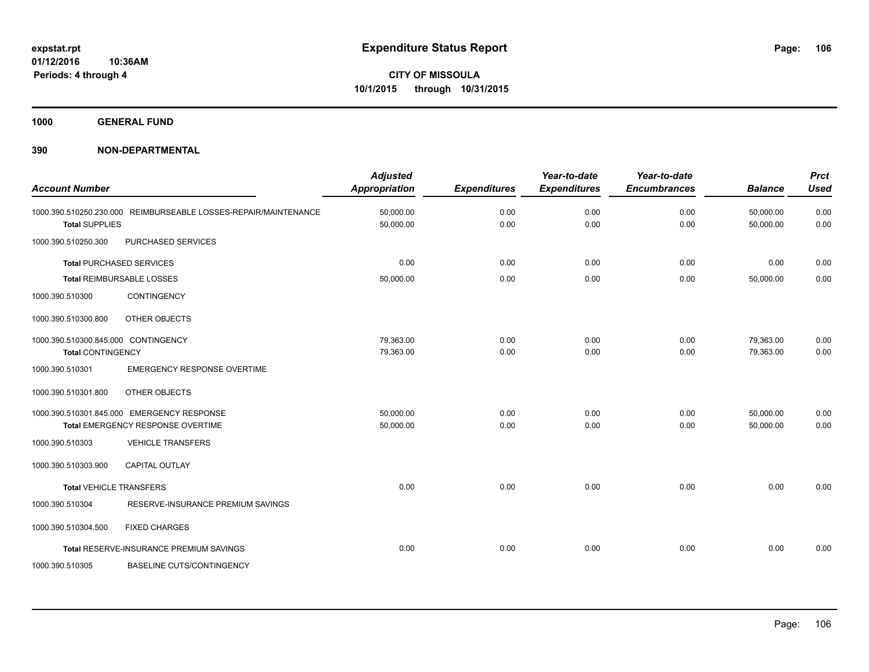**1000 GENERAL FUND**

| <b>Account Number</b>               |                                                                 | <b>Adjusted</b><br><b>Appropriation</b> | <b>Expenditures</b> | Year-to-date<br><b>Expenditures</b> | Year-to-date<br><b>Encumbrances</b> | <b>Balance</b>         | <b>Prct</b><br><b>Used</b> |
|-------------------------------------|-----------------------------------------------------------------|-----------------------------------------|---------------------|-------------------------------------|-------------------------------------|------------------------|----------------------------|
| <b>Total SUPPLIES</b>               | 1000.390.510250.230.000 REIMBURSEABLE LOSSES-REPAIR/MAINTENANCE | 50,000.00<br>50,000.00                  | 0.00<br>0.00        | 0.00<br>0.00                        | 0.00<br>0.00                        | 50,000.00<br>50,000.00 | 0.00<br>0.00               |
| 1000.390.510250.300                 | PURCHASED SERVICES                                              |                                         |                     |                                     |                                     |                        |                            |
|                                     | <b>Total PURCHASED SERVICES</b>                                 | 0.00                                    | 0.00                | 0.00                                | 0.00                                | 0.00                   | 0.00                       |
|                                     | <b>Total REIMBURSABLE LOSSES</b>                                | 50,000.00                               | 0.00                | 0.00                                | 0.00                                | 50,000.00              | 0.00                       |
| 1000.390.510300                     | <b>CONTINGENCY</b>                                              |                                         |                     |                                     |                                     |                        |                            |
| 1000.390.510300.800                 | OTHER OBJECTS                                                   |                                         |                     |                                     |                                     |                        |                            |
| 1000.390.510300.845.000 CONTINGENCY |                                                                 | 79.363.00                               | 0.00                | 0.00                                | 0.00                                | 79,363.00              | 0.00                       |
| <b>Total CONTINGENCY</b>            |                                                                 | 79,363.00                               | 0.00                | 0.00                                | 0.00                                | 79,363.00              | 0.00                       |
| 1000.390.510301                     | <b>EMERGENCY RESPONSE OVERTIME</b>                              |                                         |                     |                                     |                                     |                        |                            |
| 1000.390.510301.800                 | OTHER OBJECTS                                                   |                                         |                     |                                     |                                     |                        |                            |
|                                     | 1000.390.510301.845.000 EMERGENCY RESPONSE                      | 50,000.00                               | 0.00                | 0.00                                | 0.00                                | 50,000.00              | 0.00                       |
|                                     | Total EMERGENCY RESPONSE OVERTIME                               | 50,000.00                               | 0.00                | 0.00                                | 0.00                                | 50,000.00              | 0.00                       |
| 1000.390.510303                     | <b>VEHICLE TRANSFERS</b>                                        |                                         |                     |                                     |                                     |                        |                            |
| 1000.390.510303.900                 | <b>CAPITAL OUTLAY</b>                                           |                                         |                     |                                     |                                     |                        |                            |
| <b>Total VEHICLE TRANSFERS</b>      |                                                                 | 0.00                                    | 0.00                | 0.00                                | 0.00                                | 0.00                   | 0.00                       |
| 1000.390.510304                     | RESERVE-INSURANCE PREMIUM SAVINGS                               |                                         |                     |                                     |                                     |                        |                            |
| 1000.390.510304.500                 | <b>FIXED CHARGES</b>                                            |                                         |                     |                                     |                                     |                        |                            |
|                                     | Total RESERVE-INSURANCE PREMIUM SAVINGS                         | 0.00                                    | 0.00                | 0.00                                | 0.00                                | 0.00                   | 0.00                       |
| 1000.390.510305                     | <b>BASELINE CUTS/CONTINGENCY</b>                                |                                         |                     |                                     |                                     |                        |                            |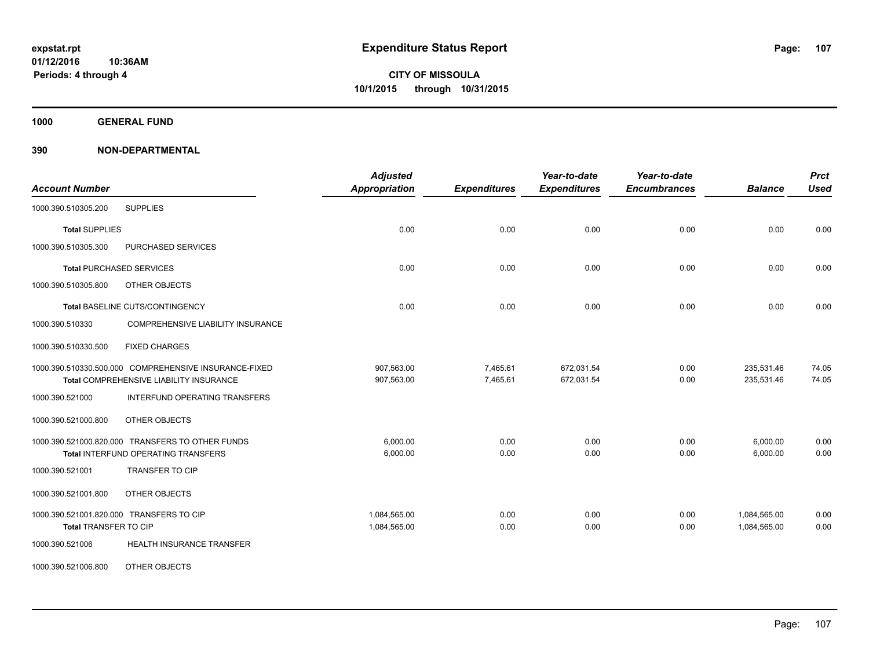**1000 GENERAL FUND**

| <b>Account Number</b>                                                                            | <b>Adjusted</b><br><b>Appropriation</b> | <b>Expenditures</b>  | Year-to-date<br><b>Expenditures</b> | Year-to-date<br><b>Encumbrances</b> | <b>Balance</b>               | <b>Prct</b><br><b>Used</b> |
|--------------------------------------------------------------------------------------------------|-----------------------------------------|----------------------|-------------------------------------|-------------------------------------|------------------------------|----------------------------|
| <b>SUPPLIES</b><br>1000.390.510305.200                                                           |                                         |                      |                                     |                                     |                              |                            |
| <b>Total SUPPLIES</b>                                                                            | 0.00                                    | 0.00                 | 0.00                                | 0.00                                | 0.00                         | 0.00                       |
| 1000.390.510305.300<br>PURCHASED SERVICES                                                        |                                         |                      |                                     |                                     |                              |                            |
| <b>Total PURCHASED SERVICES</b>                                                                  | 0.00                                    | 0.00                 | 0.00                                | 0.00                                | 0.00                         | 0.00                       |
| 1000.390.510305.800<br>OTHER OBJECTS                                                             |                                         |                      |                                     |                                     |                              |                            |
| Total BASELINE CUTS/CONTINGENCY                                                                  | 0.00                                    | 0.00                 | 0.00                                | 0.00                                | 0.00                         | 0.00                       |
| 1000.390.510330<br><b>COMPREHENSIVE LIABILITY INSURANCE</b>                                      |                                         |                      |                                     |                                     |                              |                            |
| 1000.390.510330.500<br><b>FIXED CHARGES</b>                                                      |                                         |                      |                                     |                                     |                              |                            |
| 1000.390.510330.500.000 COMPREHENSIVE INSURANCE-FIXED<br>Total COMPREHENSIVE LIABILITY INSURANCE | 907,563.00<br>907,563.00                | 7,465.61<br>7,465.61 | 672,031.54<br>672,031.54            | 0.00<br>0.00                        | 235,531.46<br>235,531.46     | 74.05<br>74.05             |
| 1000.390.521000<br>INTERFUND OPERATING TRANSFERS                                                 |                                         |                      |                                     |                                     |                              |                            |
| 1000.390.521000.800<br>OTHER OBJECTS                                                             |                                         |                      |                                     |                                     |                              |                            |
| 1000.390.521000.820.000 TRANSFERS TO OTHER FUNDS<br>Total INTERFUND OPERATING TRANSFERS          | 6,000.00<br>6,000.00                    | 0.00<br>0.00         | 0.00<br>0.00                        | 0.00<br>0.00                        | 6,000.00<br>6,000.00         | 0.00<br>0.00               |
| <b>TRANSFER TO CIP</b><br>1000.390.521001                                                        |                                         |                      |                                     |                                     |                              |                            |
| 1000.390.521001.800<br>OTHER OBJECTS                                                             |                                         |                      |                                     |                                     |                              |                            |
| 1000.390.521001.820.000 TRANSFERS TO CIP<br><b>Total TRANSFER TO CIP</b>                         | 1,084,565.00<br>1,084,565.00            | 0.00<br>0.00         | 0.00<br>0.00                        | 0.00<br>0.00                        | 1,084,565.00<br>1,084,565.00 | 0.00<br>0.00               |
| 1000.390.521006<br>HEALTH INSURANCE TRANSFER                                                     |                                         |                      |                                     |                                     |                              |                            |
| OTHER OBJECTS<br>1000.390.521006.800                                                             |                                         |                      |                                     |                                     |                              |                            |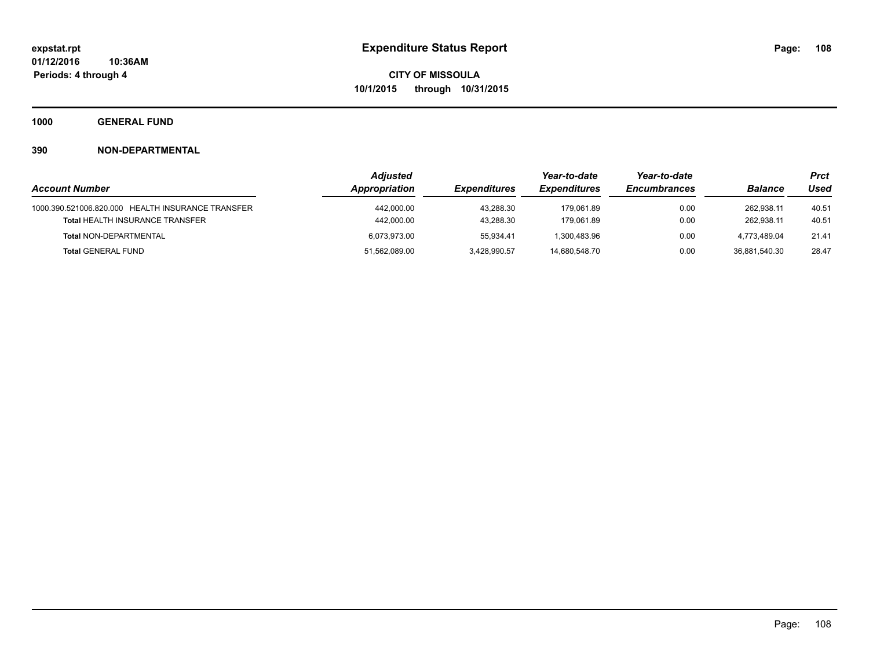**1000 GENERAL FUND**

|                                                   | <b>Adjusted</b> |                     | Year-to-date        | Year-to-date        |                | <b>Prct</b> |
|---------------------------------------------------|-----------------|---------------------|---------------------|---------------------|----------------|-------------|
| <b>Account Number</b>                             | Appropriation   | <b>Expenditures</b> | <b>Expenditures</b> | <b>Encumbrances</b> | <b>Balance</b> | Used        |
| 1000.390.521006.820.000 HEALTH INSURANCE TRANSFER | 442,000.00      | 43.288.30           | 179.061.89          | 0.00                | 262.938.11     | 40.51       |
| <b>Total HEALTH INSURANCE TRANSFER</b>            | 442,000.00      | 43.288.30           | 179.061.89          | 0.00                | 262.938.11     | 40.51       |
| <b>Total NON-DEPARTMENTAL</b>                     | 6,073,973.00    | 55.934.41           | 1.300.483.96        | 0.00                | 4.773.489.04   | 21.41       |
| <b>Total GENERAL FUND</b>                         | 51,562,089.00   | 3,428,990.57        | 14.680.548.70       | 0.00                | 36.881.540.30  | 28.47       |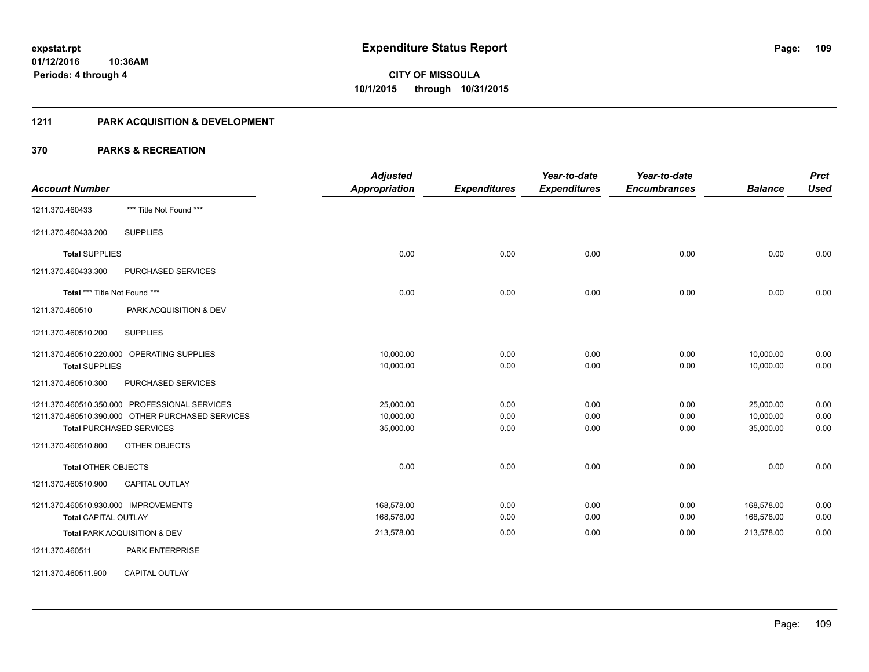## **1211 PARK ACQUISITION & DEVELOPMENT**

|                                                  | <b>Adjusted</b>      |                     | Year-to-date        | Year-to-date        |                | <b>Prct</b> |
|--------------------------------------------------|----------------------|---------------------|---------------------|---------------------|----------------|-------------|
| <b>Account Number</b>                            | <b>Appropriation</b> | <b>Expenditures</b> | <b>Expenditures</b> | <b>Encumbrances</b> | <b>Balance</b> | <b>Used</b> |
| *** Title Not Found ***<br>1211.370.460433       |                      |                     |                     |                     |                |             |
| <b>SUPPLIES</b><br>1211.370.460433.200           |                      |                     |                     |                     |                |             |
| <b>Total SUPPLIES</b>                            | 0.00                 | 0.00                | 0.00                | 0.00                | 0.00           | 0.00        |
| 1211.370.460433.300<br>PURCHASED SERVICES        |                      |                     |                     |                     |                |             |
| Total *** Title Not Found ***                    | 0.00                 | 0.00                | 0.00                | 0.00                | 0.00           | 0.00        |
| 1211.370.460510<br>PARK ACQUISITION & DEV        |                      |                     |                     |                     |                |             |
| <b>SUPPLIES</b><br>1211.370.460510.200           |                      |                     |                     |                     |                |             |
| 1211.370.460510.220.000 OPERATING SUPPLIES       | 10,000.00            | 0.00                | 0.00                | 0.00                | 10,000.00      | 0.00        |
| <b>Total SUPPLIES</b>                            | 10,000.00            | 0.00                | 0.00                | 0.00                | 10,000.00      | 0.00        |
| PURCHASED SERVICES<br>1211.370.460510.300        |                      |                     |                     |                     |                |             |
| 1211.370.460510.350.000 PROFESSIONAL SERVICES    | 25,000.00            | 0.00                | 0.00                | 0.00                | 25,000.00      | 0.00        |
| 1211.370.460510.390.000 OTHER PURCHASED SERVICES | 10,000.00            | 0.00                | 0.00                | 0.00                | 10,000.00      | 0.00        |
| <b>Total PURCHASED SERVICES</b>                  | 35,000.00            | 0.00                | 0.00                | 0.00                | 35,000.00      | 0.00        |
| 1211.370.460510.800<br>OTHER OBJECTS             |                      |                     |                     |                     |                |             |
| <b>Total OTHER OBJECTS</b>                       | 0.00                 | 0.00                | 0.00                | 0.00                | 0.00           | 0.00        |
| <b>CAPITAL OUTLAY</b><br>1211.370.460510.900     |                      |                     |                     |                     |                |             |
| 1211.370.460510.930.000 IMPROVEMENTS             | 168,578.00           | 0.00                | 0.00                | 0.00                | 168,578.00     | 0.00        |
| <b>Total CAPITAL OUTLAY</b>                      | 168,578.00           | 0.00                | 0.00                | 0.00                | 168,578.00     | 0.00        |
| Total PARK ACQUISITION & DEV                     | 213,578.00           | 0.00                | 0.00                | 0.00                | 213,578.00     | 0.00        |
| 1211.370.460511<br><b>PARK ENTERPRISE</b>        |                      |                     |                     |                     |                |             |
| <b>CAPITAL OUTLAY</b><br>1211.370.460511.900     |                      |                     |                     |                     |                |             |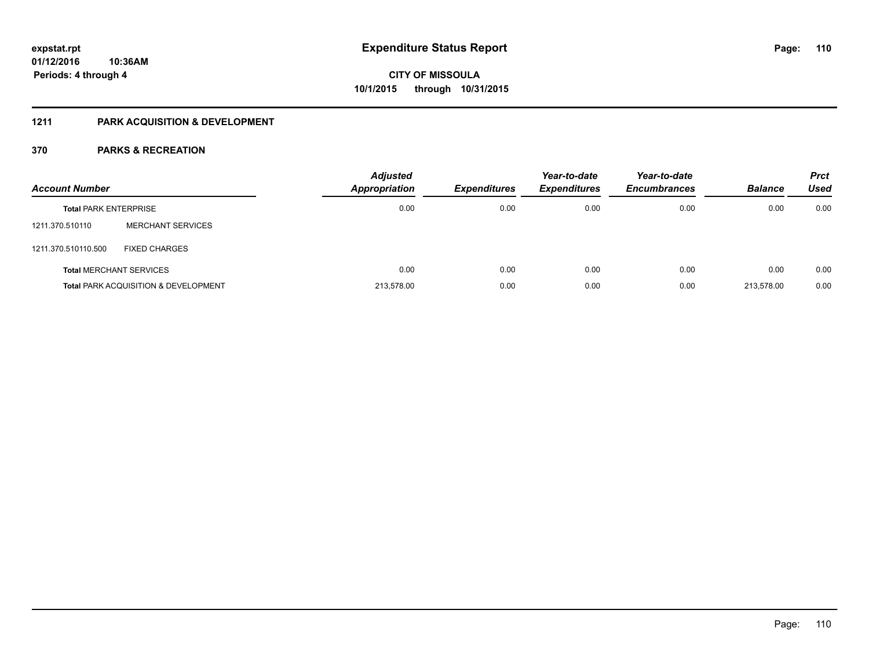## **1211 PARK ACQUISITION & DEVELOPMENT**

| <b>Account Number</b>        |                                                 | <b>Adjusted</b><br>Appropriation | <b>Expenditures</b> | Year-to-date<br><b>Expenditures</b> | Year-to-date<br><b>Encumbrances</b> | <b>Balance</b> | <b>Prct</b><br>Used |
|------------------------------|-------------------------------------------------|----------------------------------|---------------------|-------------------------------------|-------------------------------------|----------------|---------------------|
| <b>Total PARK ENTERPRISE</b> |                                                 | 0.00                             | 0.00                | 0.00                                | 0.00                                | 0.00           | 0.00                |
| 1211.370.510110              | <b>MERCHANT SERVICES</b>                        |                                  |                     |                                     |                                     |                |                     |
| 1211.370.510110.500          | <b>FIXED CHARGES</b>                            |                                  |                     |                                     |                                     |                |                     |
|                              | <b>Total MERCHANT SERVICES</b>                  | 0.00                             | 0.00                | 0.00                                | 0.00                                | 0.00           | 0.00                |
|                              | <b>Total PARK ACQUISITION &amp; DEVELOPMENT</b> | 213.578.00                       | 0.00                | 0.00                                | 0.00                                | 213.578.00     | 0.00                |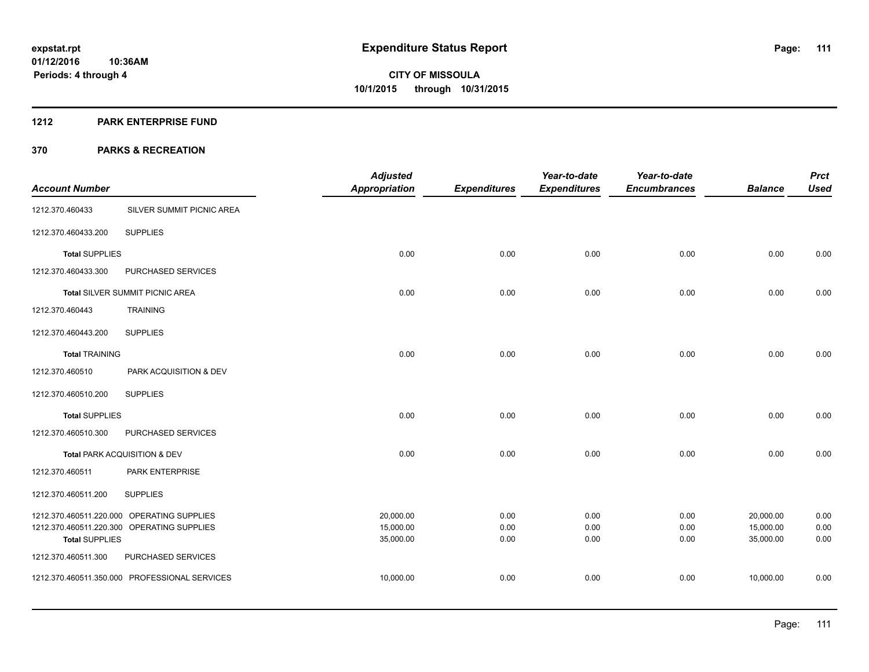#### **1212 PARK ENTERPRISE FUND**

|                         |                                            | <b>Adjusted</b>        |                     | Year-to-date        | Year-to-date        |                        | <b>Prct</b>  |
|-------------------------|--------------------------------------------|------------------------|---------------------|---------------------|---------------------|------------------------|--------------|
| <b>Account Number</b>   |                                            | <b>Appropriation</b>   | <b>Expenditures</b> | <b>Expenditures</b> | <b>Encumbrances</b> | <b>Balance</b>         | <b>Used</b>  |
| 1212.370.460433         | SILVER SUMMIT PICNIC AREA                  |                        |                     |                     |                     |                        |              |
| 1212.370.460433.200     | <b>SUPPLIES</b>                            |                        |                     |                     |                     |                        |              |
| <b>Total SUPPLIES</b>   |                                            | 0.00                   | 0.00                | 0.00                | 0.00                | 0.00                   | 0.00         |
| 1212.370.460433.300     | PURCHASED SERVICES                         |                        |                     |                     |                     |                        |              |
|                         | Total SILVER SUMMIT PICNIC AREA            | 0.00                   | 0.00                | 0.00                | 0.00                | 0.00                   | 0.00         |
| 1212.370.460443         | <b>TRAINING</b>                            |                        |                     |                     |                     |                        |              |
| 1212.370.460443.200     | <b>SUPPLIES</b>                            |                        |                     |                     |                     |                        |              |
| <b>Total TRAINING</b>   |                                            | 0.00                   | 0.00                | 0.00                | 0.00                | 0.00                   | 0.00         |
| 1212.370.460510         | PARK ACQUISITION & DEV                     |                        |                     |                     |                     |                        |              |
| 1212.370.460510.200     | <b>SUPPLIES</b>                            |                        |                     |                     |                     |                        |              |
| <b>Total SUPPLIES</b>   |                                            | 0.00                   | 0.00                | 0.00                | 0.00                | 0.00                   | 0.00         |
| 1212.370.460510.300     | PURCHASED SERVICES                         |                        |                     |                     |                     |                        |              |
|                         | Total PARK ACQUISITION & DEV               | 0.00                   | 0.00                | 0.00                | 0.00                | 0.00                   | 0.00         |
| 1212.370.460511         | PARK ENTERPRISE                            |                        |                     |                     |                     |                        |              |
| 1212.370.460511.200     | <b>SUPPLIES</b>                            |                        |                     |                     |                     |                        |              |
|                         | 1212.370.460511.220.000 OPERATING SUPPLIES | 20,000.00              | 0.00                | 0.00                | 0.00                | 20,000.00              | 0.00         |
| <b>Total SUPPLIES</b>   | 1212.370.460511.220.300 OPERATING SUPPLIES | 15,000.00<br>35,000.00 | 0.00<br>0.00        | 0.00<br>0.00        | 0.00<br>0.00        | 15,000.00<br>35,000.00 | 0.00<br>0.00 |
| 1212.370.460511.300     | PURCHASED SERVICES                         |                        |                     |                     |                     |                        |              |
| 1212.370.460511.350.000 | PROFESSIONAL SERVICES                      | 10,000.00              | 0.00                | 0.00                | 0.00                | 10,000.00              | 0.00         |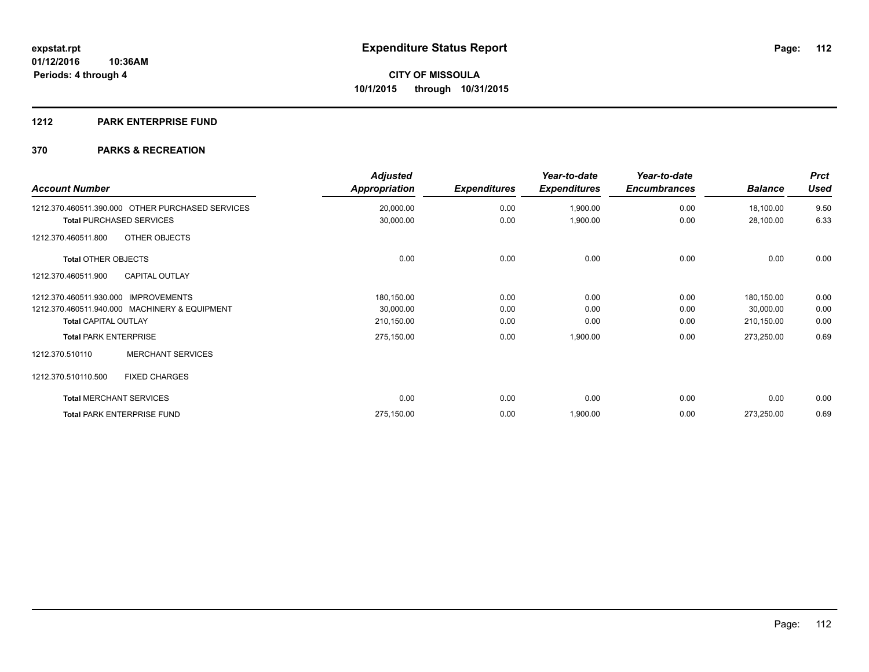## **1212 PARK ENTERPRISE FUND**

| <b>Account Number</b>                            | <b>Adjusted</b><br>Appropriation | <b>Expenditures</b> | Year-to-date<br><b>Expenditures</b> | Year-to-date<br><b>Encumbrances</b> | <b>Balance</b> | <b>Prct</b><br><b>Used</b> |
|--------------------------------------------------|----------------------------------|---------------------|-------------------------------------|-------------------------------------|----------------|----------------------------|
| 1212.370.460511.390.000 OTHER PURCHASED SERVICES | 20,000.00                        | 0.00                | 1,900.00                            | 0.00                                | 18,100.00      | 9.50                       |
| <b>Total PURCHASED SERVICES</b>                  | 30,000.00                        | 0.00                | 1,900.00                            | 0.00                                | 28,100.00      | 6.33                       |
| OTHER OBJECTS<br>1212.370.460511.800             |                                  |                     |                                     |                                     |                |                            |
| <b>Total OTHER OBJECTS</b>                       | 0.00                             | 0.00                | 0.00                                | 0.00                                | 0.00           | 0.00                       |
| <b>CAPITAL OUTLAY</b><br>1212.370.460511.900     |                                  |                     |                                     |                                     |                |                            |
| 1212.370.460511.930.000 IMPROVEMENTS             | 180,150.00                       | 0.00                | 0.00                                | 0.00                                | 180,150.00     | 0.00                       |
| 1212.370.460511.940.000 MACHINERY & EQUIPMENT    | 30,000.00                        | 0.00                | 0.00                                | 0.00                                | 30,000.00      | 0.00                       |
| <b>Total CAPITAL OUTLAY</b>                      | 210,150.00                       | 0.00                | 0.00                                | 0.00                                | 210,150.00     | 0.00                       |
| <b>Total PARK ENTERPRISE</b>                     | 275,150.00                       | 0.00                | 1,900.00                            | 0.00                                | 273,250.00     | 0.69                       |
| <b>MERCHANT SERVICES</b><br>1212.370.510110      |                                  |                     |                                     |                                     |                |                            |
| 1212.370.510110.500<br><b>FIXED CHARGES</b>      |                                  |                     |                                     |                                     |                |                            |
| <b>Total MERCHANT SERVICES</b>                   | 0.00                             | 0.00                | 0.00                                | 0.00                                | 0.00           | 0.00                       |
| <b>Total PARK ENTERPRISE FUND</b>                | 275,150.00                       | 0.00                | 1,900.00                            | 0.00                                | 273,250.00     | 0.69                       |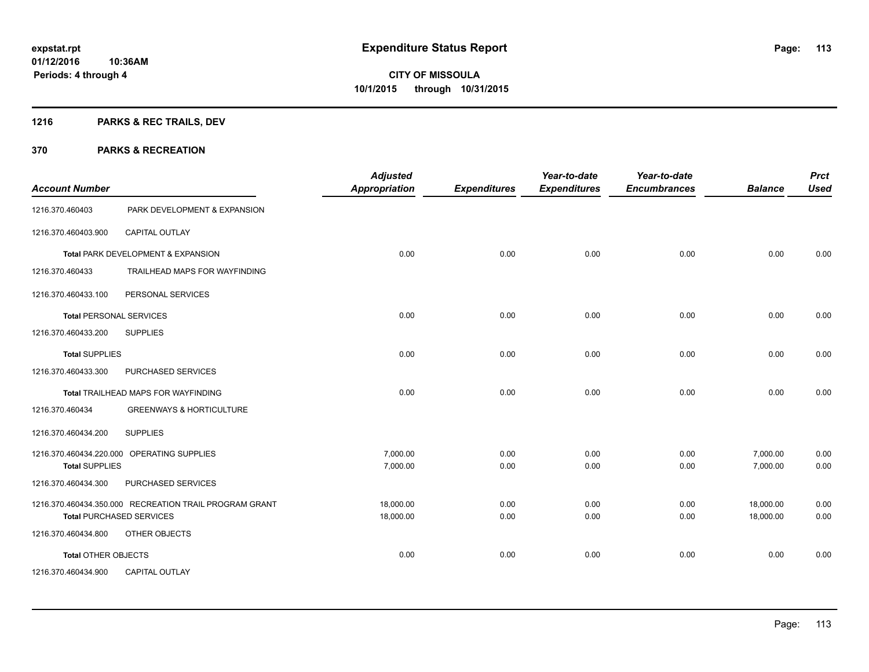## **1216 PARKS & REC TRAILS, DEV**

| <b>Account Number</b>          |                                                        | <b>Adjusted</b><br><b>Appropriation</b> | <b>Expenditures</b> | Year-to-date<br><b>Expenditures</b> | Year-to-date<br><b>Encumbrances</b> | <b>Balance</b> | <b>Prct</b><br><b>Used</b> |
|--------------------------------|--------------------------------------------------------|-----------------------------------------|---------------------|-------------------------------------|-------------------------------------|----------------|----------------------------|
| 1216.370.460403                | PARK DEVELOPMENT & EXPANSION                           |                                         |                     |                                     |                                     |                |                            |
| 1216.370.460403.900            | <b>CAPITAL OUTLAY</b>                                  |                                         |                     |                                     |                                     |                |                            |
|                                | Total PARK DEVELOPMENT & EXPANSION                     | 0.00                                    | 0.00                | 0.00                                | 0.00                                | 0.00           | 0.00                       |
| 1216.370.460433                | TRAILHEAD MAPS FOR WAYFINDING                          |                                         |                     |                                     |                                     |                |                            |
| 1216.370.460433.100            | PERSONAL SERVICES                                      |                                         |                     |                                     |                                     |                |                            |
| <b>Total PERSONAL SERVICES</b> |                                                        | 0.00                                    | 0.00                | 0.00                                | 0.00                                | 0.00           | 0.00                       |
| 1216.370.460433.200            | <b>SUPPLIES</b>                                        |                                         |                     |                                     |                                     |                |                            |
| <b>Total SUPPLIES</b>          |                                                        | 0.00                                    | 0.00                | 0.00                                | 0.00                                | 0.00           | 0.00                       |
| 1216.370.460433.300            | PURCHASED SERVICES                                     |                                         |                     |                                     |                                     |                |                            |
|                                | Total TRAILHEAD MAPS FOR WAYFINDING                    | 0.00                                    | 0.00                | 0.00                                | 0.00                                | 0.00           | 0.00                       |
| 1216.370.460434                | <b>GREENWAYS &amp; HORTICULTURE</b>                    |                                         |                     |                                     |                                     |                |                            |
| 1216.370.460434.200            | <b>SUPPLIES</b>                                        |                                         |                     |                                     |                                     |                |                            |
|                                | 1216.370.460434.220.000 OPERATING SUPPLIES             | 7,000.00                                | 0.00                | 0.00                                | 0.00                                | 7,000.00       | 0.00                       |
| <b>Total SUPPLIES</b>          |                                                        | 7,000.00                                | 0.00                | 0.00                                | 0.00                                | 7,000.00       | 0.00                       |
| 1216.370.460434.300            | PURCHASED SERVICES                                     |                                         |                     |                                     |                                     |                |                            |
|                                | 1216.370.460434.350.000 RECREATION TRAIL PROGRAM GRANT | 18,000.00                               | 0.00                | 0.00                                | 0.00                                | 18,000.00      | 0.00                       |
|                                | <b>Total PURCHASED SERVICES</b>                        | 18,000.00                               | 0.00                | 0.00                                | 0.00                                | 18,000.00      | 0.00                       |
| 1216.370.460434.800            | OTHER OBJECTS                                          |                                         |                     |                                     |                                     |                |                            |
| Total OTHER OBJECTS            |                                                        | 0.00                                    | 0.00                | 0.00                                | 0.00                                | 0.00           | 0.00                       |
| 1216.370.460434.900            | <b>CAPITAL OUTLAY</b>                                  |                                         |                     |                                     |                                     |                |                            |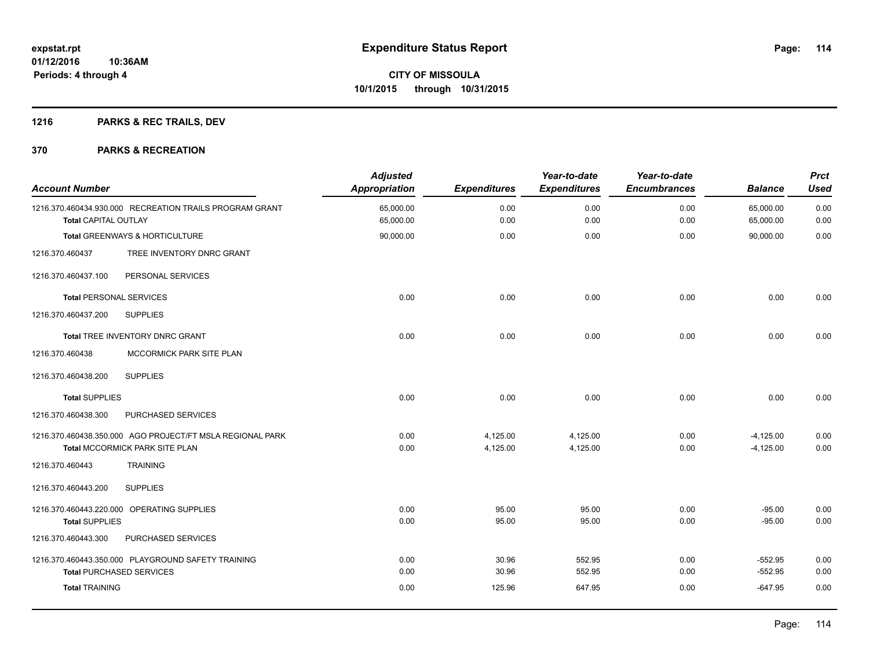## **1216 PARKS & REC TRAILS, DEV**

| <b>Account Number</b>           |                                                           | <b>Adjusted</b><br><b>Appropriation</b> | <b>Expenditures</b> | Year-to-date<br><b>Expenditures</b> | Year-to-date<br><b>Encumbrances</b> | <b>Balance</b>         | <b>Prct</b><br><b>Used</b> |
|---------------------------------|-----------------------------------------------------------|-----------------------------------------|---------------------|-------------------------------------|-------------------------------------|------------------------|----------------------------|
| <b>Total CAPITAL OUTLAY</b>     | 1216.370.460434.930.000 RECREATION TRAILS PROGRAM GRANT   | 65,000.00<br>65,000.00                  | 0.00<br>0.00        | 0.00<br>0.00                        | 0.00<br>0.00                        | 65,000.00<br>65,000.00 | 0.00<br>0.00               |
|                                 |                                                           |                                         |                     |                                     |                                     |                        |                            |
|                                 | <b>Total GREENWAYS &amp; HORTICULTURE</b>                 | 90,000.00                               | 0.00                | 0.00                                | 0.00                                | 90,000.00              | 0.00                       |
| 1216.370.460437                 | TREE INVENTORY DNRC GRANT                                 |                                         |                     |                                     |                                     |                        |                            |
| 1216.370.460437.100             | PERSONAL SERVICES                                         |                                         |                     |                                     |                                     |                        |                            |
| <b>Total PERSONAL SERVICES</b>  |                                                           | 0.00                                    | 0.00                | 0.00                                | 0.00                                | 0.00                   | 0.00                       |
| 1216.370.460437.200             | <b>SUPPLIES</b>                                           |                                         |                     |                                     |                                     |                        |                            |
|                                 | Total TREE INVENTORY DNRC GRANT                           | 0.00                                    | 0.00                | 0.00                                | 0.00                                | 0.00                   | 0.00                       |
| 1216.370.460438                 | MCCORMICK PARK SITE PLAN                                  |                                         |                     |                                     |                                     |                        |                            |
| 1216.370.460438.200             | <b>SUPPLIES</b>                                           |                                         |                     |                                     |                                     |                        |                            |
| <b>Total SUPPLIES</b>           |                                                           | 0.00                                    | 0.00                | 0.00                                | 0.00                                | 0.00                   | 0.00                       |
| 1216.370.460438.300             | PURCHASED SERVICES                                        |                                         |                     |                                     |                                     |                        |                            |
|                                 | 1216.370.460438.350.000 AGO PROJECT/FT MSLA REGIONAL PARK | 0.00                                    | 4,125.00            | 4,125.00                            | 0.00                                | $-4,125.00$            | 0.00                       |
|                                 | Total MCCORMICK PARK SITE PLAN                            | 0.00                                    | 4,125.00            | 4,125.00                            | 0.00                                | $-4,125.00$            | 0.00                       |
| 1216.370.460443                 | <b>TRAINING</b>                                           |                                         |                     |                                     |                                     |                        |                            |
| 1216.370.460443.200             | <b>SUPPLIES</b>                                           |                                         |                     |                                     |                                     |                        |                            |
|                                 | 1216.370.460443.220.000 OPERATING SUPPLIES                | 0.00                                    | 95.00               | 95.00                               | 0.00                                | $-95.00$               | 0.00                       |
| <b>Total SUPPLIES</b>           |                                                           | 0.00                                    | 95.00               | 95.00                               | 0.00                                | $-95.00$               | 0.00                       |
| 1216.370.460443.300             | PURCHASED SERVICES                                        |                                         |                     |                                     |                                     |                        |                            |
|                                 | 1216.370.460443.350.000 PLAYGROUND SAFETY TRAINING        | 0.00                                    | 30.96               | 552.95                              | 0.00                                | $-552.95$              | 0.00                       |
| <b>Total PURCHASED SERVICES</b> |                                                           | 0.00                                    | 30.96               | 552.95                              | 0.00                                | $-552.95$              | 0.00                       |
| <b>Total TRAINING</b>           |                                                           | 0.00                                    | 125.96              | 647.95                              | 0.00                                | $-647.95$              | 0.00                       |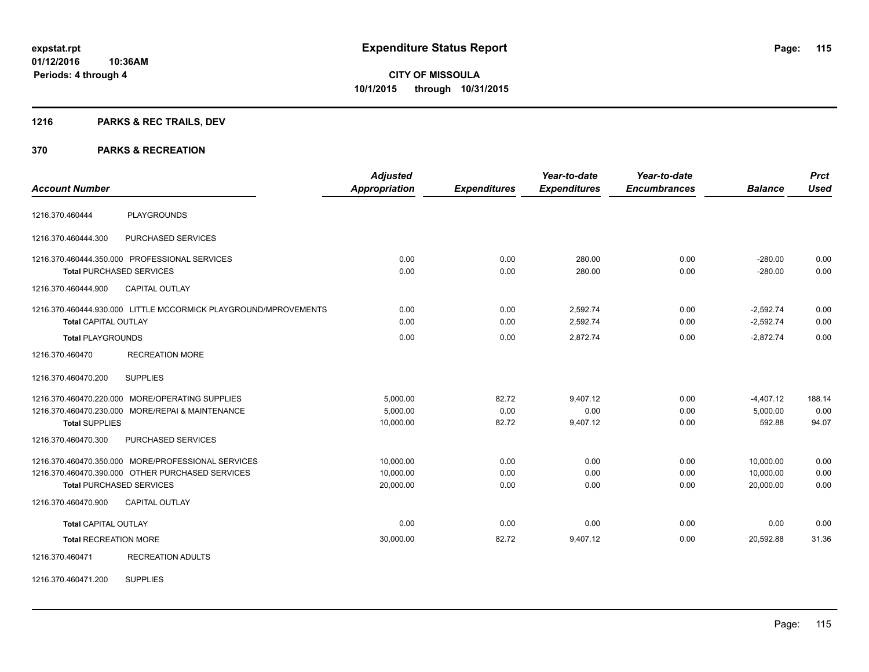## **1216 PARKS & REC TRAILS, DEV**

#### **370 PARKS & RECREATION**

| <b>Account Number</b>        |                                                                                                                                           | <b>Adjusted</b><br><b>Appropriation</b> | <b>Expenditures</b>    | Year-to-date<br><b>Expenditures</b> | Year-to-date<br><b>Encumbrances</b> | <b>Balance</b>                      | <b>Prct</b><br><b>Used</b> |
|------------------------------|-------------------------------------------------------------------------------------------------------------------------------------------|-----------------------------------------|------------------------|-------------------------------------|-------------------------------------|-------------------------------------|----------------------------|
|                              |                                                                                                                                           |                                         |                        |                                     |                                     |                                     |                            |
| 1216.370.460444              | <b>PLAYGROUNDS</b>                                                                                                                        |                                         |                        |                                     |                                     |                                     |                            |
| 1216.370.460444.300          | PURCHASED SERVICES                                                                                                                        |                                         |                        |                                     |                                     |                                     |                            |
|                              | 1216.370.460444.350.000 PROFESSIONAL SERVICES<br><b>Total PURCHASED SERVICES</b>                                                          | 0.00<br>0.00                            | 0.00<br>0.00           | 280.00<br>280.00                    | 0.00<br>0.00                        | $-280.00$<br>$-280.00$              | 0.00<br>0.00               |
| 1216.370.460444.900          | CAPITAL OUTLAY                                                                                                                            |                                         |                        |                                     |                                     |                                     |                            |
| <b>Total CAPITAL OUTLAY</b>  | 1216.370.460444.930.000 LITTLE MCCORMICK PLAYGROUND/MPROVEMENTS                                                                           | 0.00<br>0.00                            | 0.00<br>0.00           | 2,592.74<br>2,592.74                | 0.00<br>0.00                        | $-2,592.74$<br>$-2,592.74$          | 0.00<br>0.00               |
| <b>Total PLAYGROUNDS</b>     |                                                                                                                                           | 0.00                                    | 0.00                   | 2,872.74                            | 0.00                                | $-2,872.74$                         | 0.00                       |
| 1216.370.460470              | <b>RECREATION MORE</b>                                                                                                                    |                                         |                        |                                     |                                     |                                     |                            |
| 1216.370.460470.200          | <b>SUPPLIES</b>                                                                                                                           |                                         |                        |                                     |                                     |                                     |                            |
| <b>Total SUPPLIES</b>        | 1216.370.460470.220.000 MORE/OPERATING SUPPLIES<br>1216.370.460470.230.000 MORE/REPAI & MAINTENANCE                                       | 5,000.00<br>5,000.00<br>10,000.00       | 82.72<br>0.00<br>82.72 | 9,407.12<br>0.00<br>9,407.12        | 0.00<br>0.00<br>0.00                | $-4,407.12$<br>5,000.00<br>592.88   | 188.14<br>0.00<br>94.07    |
| 1216.370.460470.300          | <b>PURCHASED SERVICES</b>                                                                                                                 |                                         |                        |                                     |                                     |                                     |                            |
|                              | 1216.370.460470.350.000 MORE/PROFESSIONAL SERVICES<br>1216.370.460470.390.000 OTHER PURCHASED SERVICES<br><b>Total PURCHASED SERVICES</b> | 10.000.00<br>10,000.00<br>20,000.00     | 0.00<br>0.00<br>0.00   | 0.00<br>0.00<br>0.00                | 0.00<br>0.00<br>0.00                | 10,000.00<br>10,000.00<br>20,000.00 | 0.00<br>0.00<br>0.00       |
| 1216.370.460470.900          | <b>CAPITAL OUTLAY</b>                                                                                                                     |                                         |                        |                                     |                                     |                                     |                            |
| <b>Total CAPITAL OUTLAY</b>  |                                                                                                                                           | 0.00                                    | 0.00                   | 0.00                                | 0.00                                | 0.00                                | 0.00                       |
| <b>Total RECREATION MORE</b> |                                                                                                                                           | 30,000.00                               | 82.72                  | 9,407.12                            | 0.00                                | 20,592.88                           | 31.36                      |
| 1216.370.460471              | <b>RECREATION ADULTS</b>                                                                                                                  |                                         |                        |                                     |                                     |                                     |                            |

1216.370.460471.200 SUPPLIES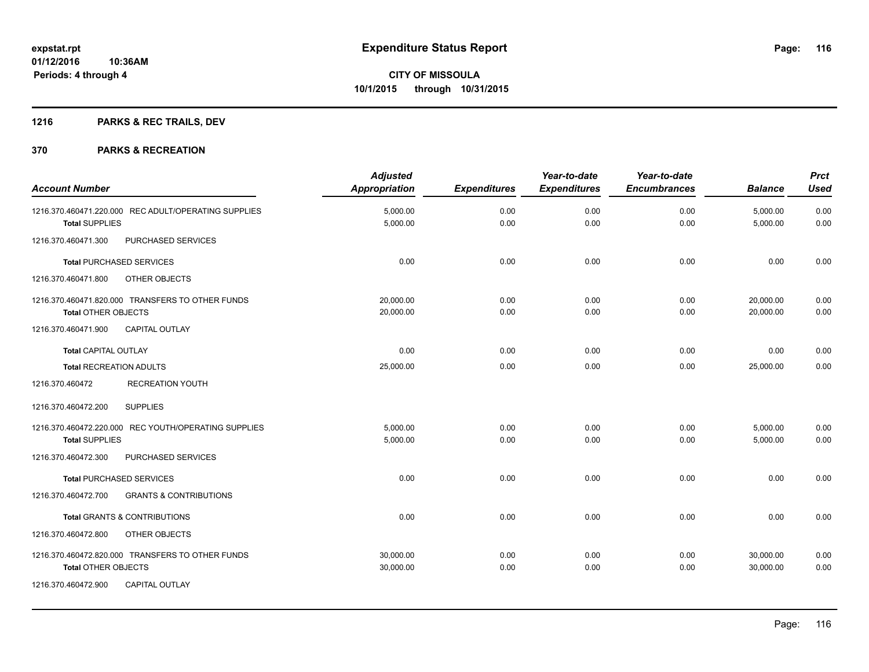## **1216 PARKS & REC TRAILS, DEV**

| <b>Account Number</b>                                                                                                   | <b>Adjusted</b><br>Appropriation | <b>Expenditures</b> | Year-to-date<br><b>Expenditures</b> | Year-to-date<br><b>Encumbrances</b> | <b>Balance</b>         | <b>Prct</b><br><b>Used</b> |
|-------------------------------------------------------------------------------------------------------------------------|----------------------------------|---------------------|-------------------------------------|-------------------------------------|------------------------|----------------------------|
| 1216.370.460471.220.000 REC ADULT/OPERATING SUPPLIES<br><b>Total SUPPLIES</b>                                           | 5,000.00<br>5,000.00             | 0.00<br>0.00        | 0.00<br>0.00                        | 0.00<br>0.00                        | 5,000.00<br>5,000.00   | 0.00<br>0.00               |
| 1216.370.460471.300<br>PURCHASED SERVICES                                                                               |                                  |                     |                                     |                                     |                        |                            |
| <b>Total PURCHASED SERVICES</b>                                                                                         | 0.00                             | 0.00                | 0.00                                | 0.00                                | 0.00                   | 0.00                       |
| 1216.370.460471.800<br>OTHER OBJECTS                                                                                    |                                  |                     |                                     |                                     |                        |                            |
| 1216.370.460471.820.000 TRANSFERS TO OTHER FUNDS<br><b>Total OTHER OBJECTS</b>                                          | 20.000.00<br>20,000.00           | 0.00<br>0.00        | 0.00<br>0.00                        | 0.00<br>0.00                        | 20,000.00<br>20,000.00 | 0.00<br>0.00               |
| 1216.370.460471.900<br><b>CAPITAL OUTLAY</b>                                                                            |                                  |                     |                                     |                                     |                        |                            |
| <b>Total CAPITAL OUTLAY</b>                                                                                             | 0.00                             | 0.00                | 0.00                                | 0.00                                | 0.00                   | 0.00                       |
| <b>Total RECREATION ADULTS</b>                                                                                          | 25,000.00                        | 0.00                | 0.00                                | 0.00                                | 25,000.00              | 0.00                       |
| <b>RECREATION YOUTH</b><br>1216.370.460472                                                                              |                                  |                     |                                     |                                     |                        |                            |
| 1216.370.460472.200<br><b>SUPPLIES</b>                                                                                  |                                  |                     |                                     |                                     |                        |                            |
| 1216.370.460472.220.000 REC YOUTH/OPERATING SUPPLIES<br><b>Total SUPPLIES</b>                                           | 5,000.00<br>5,000.00             | 0.00<br>0.00        | 0.00<br>0.00                        | 0.00<br>0.00                        | 5,000.00<br>5,000.00   | 0.00<br>0.00               |
| PURCHASED SERVICES<br>1216.370.460472.300                                                                               |                                  |                     |                                     |                                     |                        |                            |
| <b>Total PURCHASED SERVICES</b>                                                                                         | 0.00                             | 0.00                | 0.00                                | 0.00                                | 0.00                   | 0.00                       |
| <b>GRANTS &amp; CONTRIBUTIONS</b><br>1216.370.460472.700                                                                |                                  |                     |                                     |                                     |                        |                            |
| <b>Total GRANTS &amp; CONTRIBUTIONS</b>                                                                                 | 0.00                             | 0.00                | 0.00                                | 0.00                                | 0.00                   | 0.00                       |
| 1216.370.460472.800<br>OTHER OBJECTS                                                                                    |                                  |                     |                                     |                                     |                        |                            |
| 1216.370.460472.820.000 TRANSFERS TO OTHER FUNDS<br>Total OTHER OBJECTS<br>1216.370.460472.900<br><b>CAPITAL OUTLAY</b> | 30,000.00<br>30,000.00           | 0.00<br>0.00        | 0.00<br>0.00                        | 0.00<br>0.00                        | 30,000.00<br>30,000.00 | 0.00<br>0.00               |
|                                                                                                                         |                                  |                     |                                     |                                     |                        |                            |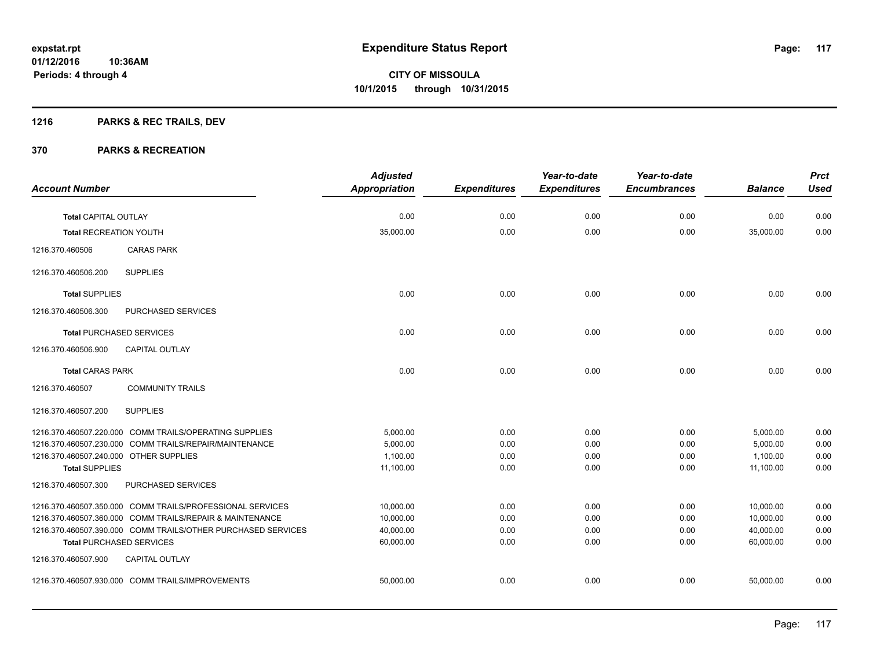## **1216 PARKS & REC TRAILS, DEV**

|                                        |                                                              | <b>Adjusted</b>      |                     | Year-to-date        | Year-to-date        |                | <b>Prct</b> |
|----------------------------------------|--------------------------------------------------------------|----------------------|---------------------|---------------------|---------------------|----------------|-------------|
| <b>Account Number</b>                  |                                                              | <b>Appropriation</b> | <b>Expenditures</b> | <b>Expenditures</b> | <b>Encumbrances</b> | <b>Balance</b> | <b>Used</b> |
| <b>Total CAPITAL OUTLAY</b>            |                                                              | 0.00                 | 0.00                | 0.00                | 0.00                | 0.00           | 0.00        |
| <b>Total RECREATION YOUTH</b>          |                                                              | 35,000.00            | 0.00                | 0.00                | 0.00                | 35,000.00      | 0.00        |
| 1216.370.460506                        | <b>CARAS PARK</b>                                            |                      |                     |                     |                     |                |             |
| 1216.370.460506.200                    | <b>SUPPLIES</b>                                              |                      |                     |                     |                     |                |             |
| <b>Total SUPPLIES</b>                  |                                                              | 0.00                 | 0.00                | 0.00                | 0.00                | 0.00           | 0.00        |
| 1216.370.460506.300                    | PURCHASED SERVICES                                           |                      |                     |                     |                     |                |             |
|                                        | <b>Total PURCHASED SERVICES</b>                              | 0.00                 | 0.00                | 0.00                | 0.00                | 0.00           | 0.00        |
| 1216.370.460506.900                    | <b>CAPITAL OUTLAY</b>                                        |                      |                     |                     |                     |                |             |
| <b>Total CARAS PARK</b>                |                                                              | 0.00                 | 0.00                | 0.00                | 0.00                | 0.00           | 0.00        |
| 1216.370.460507                        | <b>COMMUNITY TRAILS</b>                                      |                      |                     |                     |                     |                |             |
| 1216.370.460507.200                    | <b>SUPPLIES</b>                                              |                      |                     |                     |                     |                |             |
|                                        | 1216.370.460507.220.000 COMM TRAILS/OPERATING SUPPLIES       | 5.000.00             | 0.00                | 0.00                | 0.00                | 5,000.00       | 0.00        |
|                                        | 1216.370.460507.230.000 COMM TRAILS/REPAIR/MAINTENANCE       | 5,000.00             | 0.00                | 0.00                | 0.00                | 5,000.00       | 0.00        |
| 1216.370.460507.240.000 OTHER SUPPLIES |                                                              | 1,100.00             | 0.00                | 0.00                | 0.00                | 1,100.00       | 0.00        |
| <b>Total SUPPLIES</b>                  |                                                              | 11,100.00            | 0.00                | 0.00                | 0.00                | 11,100.00      | 0.00        |
| 1216.370.460507.300                    | PURCHASED SERVICES                                           |                      |                     |                     |                     |                |             |
|                                        | 1216.370.460507.350.000 COMM TRAILS/PROFESSIONAL SERVICES    | 10,000.00            | 0.00                | 0.00                | 0.00                | 10,000.00      | 0.00        |
|                                        | 1216.370.460507.360.000 COMM TRAILS/REPAIR & MAINTENANCE     | 10,000.00            | 0.00                | 0.00                | 0.00                | 10,000.00      | 0.00        |
|                                        | 1216.370.460507.390.000 COMM TRAILS/OTHER PURCHASED SERVICES | 40,000.00            | 0.00                | 0.00                | 0.00                | 40,000.00      | 0.00        |
|                                        | <b>Total PURCHASED SERVICES</b>                              | 60,000.00            | 0.00                | 0.00                | 0.00                | 60,000.00      | 0.00        |
| 1216.370.460507.900                    | <b>CAPITAL OUTLAY</b>                                        |                      |                     |                     |                     |                |             |
|                                        | 1216.370.460507.930.000 COMM TRAILS/IMPROVEMENTS             | 50,000.00            | 0.00                | 0.00                | 0.00                | 50.000.00      | 0.00        |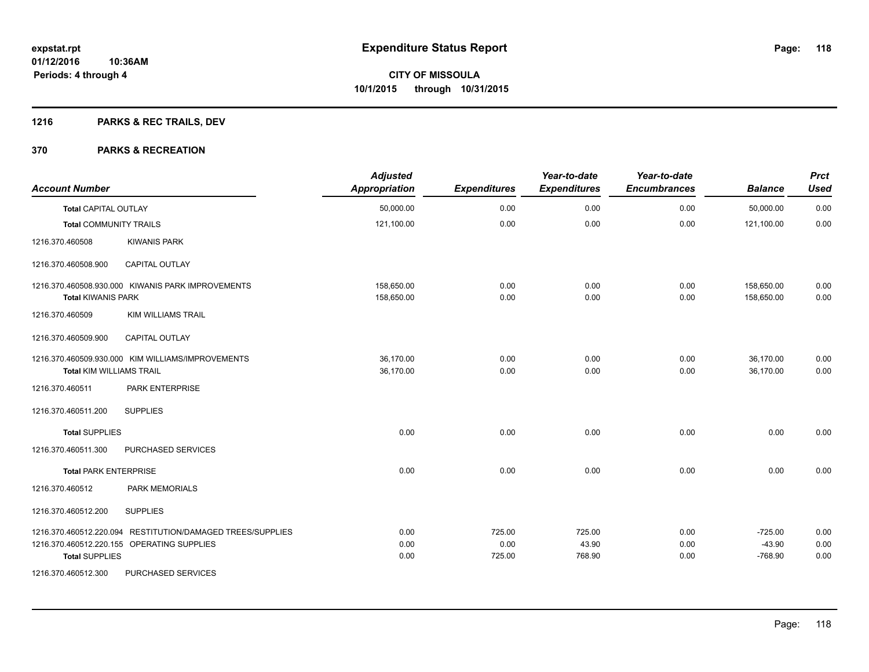## **1216 PARKS & REC TRAILS, DEV**

| <b>Account Number</b>                                      | <b>Adjusted</b><br><b>Appropriation</b> | <b>Expenditures</b> | Year-to-date<br><b>Expenditures</b> | Year-to-date<br><b>Encumbrances</b> | <b>Balance</b> | <b>Prct</b><br><b>Used</b> |
|------------------------------------------------------------|-----------------------------------------|---------------------|-------------------------------------|-------------------------------------|----------------|----------------------------|
| <b>Total CAPITAL OUTLAY</b>                                | 50,000.00                               | 0.00                | 0.00                                | 0.00                                | 50,000.00      | 0.00                       |
| <b>Total COMMUNITY TRAILS</b>                              | 121,100.00                              | 0.00                | 0.00                                | 0.00                                | 121,100.00     | 0.00                       |
| 1216.370.460508<br><b>KIWANIS PARK</b>                     |                                         |                     |                                     |                                     |                |                            |
| <b>CAPITAL OUTLAY</b><br>1216.370.460508.900               |                                         |                     |                                     |                                     |                |                            |
| 1216.370.460508.930.000 KIWANIS PARK IMPROVEMENTS          | 158,650.00                              | 0.00                | 0.00                                | 0.00                                | 158,650.00     | 0.00                       |
| <b>Total KIWANIS PARK</b>                                  | 158,650.00                              | 0.00                | 0.00                                | 0.00                                | 158,650.00     | 0.00                       |
| 1216.370.460509<br><b>KIM WILLIAMS TRAIL</b>               |                                         |                     |                                     |                                     |                |                            |
| 1216.370.460509.900<br><b>CAPITAL OUTLAY</b>               |                                         |                     |                                     |                                     |                |                            |
| 1216.370.460509.930.000 KIM WILLIAMS/IMPROVEMENTS          | 36.170.00                               | 0.00                | 0.00                                | 0.00                                | 36,170.00      | 0.00                       |
| Total KIM WILLIAMS TRAIL                                   | 36,170.00                               | 0.00                | 0.00                                | 0.00                                | 36.170.00      | 0.00                       |
| PARK ENTERPRISE<br>1216.370.460511                         |                                         |                     |                                     |                                     |                |                            |
| 1216.370.460511.200<br><b>SUPPLIES</b>                     |                                         |                     |                                     |                                     |                |                            |
| <b>Total SUPPLIES</b>                                      | 0.00                                    | 0.00                | 0.00                                | 0.00                                | 0.00           | 0.00                       |
| 1216.370.460511.300<br>PURCHASED SERVICES                  |                                         |                     |                                     |                                     |                |                            |
| <b>Total PARK ENTERPRISE</b>                               | 0.00                                    | 0.00                | 0.00                                | 0.00                                | 0.00           | 0.00                       |
| <b>PARK MEMORIALS</b><br>1216.370.460512                   |                                         |                     |                                     |                                     |                |                            |
| 1216.370.460512.200<br><b>SUPPLIES</b>                     |                                         |                     |                                     |                                     |                |                            |
| 1216.370.460512.220.094 RESTITUTION/DAMAGED TREES/SUPPLIES | 0.00                                    | 725.00              | 725.00                              | 0.00                                | $-725.00$      | 0.00                       |
| 1216.370.460512.220.155 OPERATING SUPPLIES                 | 0.00                                    | 0.00                | 43.90                               | 0.00                                | $-43.90$       | 0.00                       |
| <b>Total SUPPLIES</b>                                      | 0.00                                    | 725.00              | 768.90                              | 0.00                                | $-768.90$      | 0.00                       |
| 1216.370.460512.300<br>PURCHASED SERVICES                  |                                         |                     |                                     |                                     |                |                            |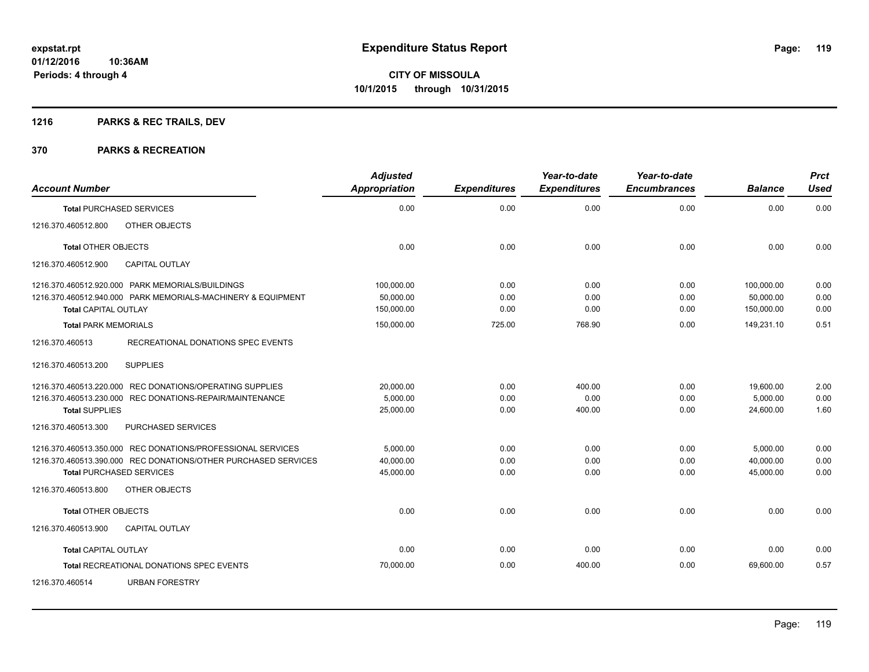## **1216 PARKS & REC TRAILS, DEV**

| <b>Account Number</b>                                                                                                                                                                                                                                 | <b>Adjusted</b><br>Appropriation                    | <b>Expenditures</b>            | Year-to-date<br><b>Expenditures</b> | Year-to-date<br><b>Encumbrances</b> | <b>Balance</b>                                      | <b>Prct</b><br><b>Used</b>   |
|-------------------------------------------------------------------------------------------------------------------------------------------------------------------------------------------------------------------------------------------------------|-----------------------------------------------------|--------------------------------|-------------------------------------|-------------------------------------|-----------------------------------------------------|------------------------------|
| <b>Total PURCHASED SERVICES</b>                                                                                                                                                                                                                       | 0.00                                                | 0.00                           | 0.00                                | 0.00                                | 0.00                                                | 0.00                         |
| OTHER OBJECTS<br>1216.370.460512.800                                                                                                                                                                                                                  |                                                     |                                |                                     |                                     |                                                     |                              |
| <b>Total OTHER OBJECTS</b>                                                                                                                                                                                                                            | 0.00                                                | 0.00                           | 0.00                                | 0.00                                | 0.00                                                | 0.00                         |
| <b>CAPITAL OUTLAY</b><br>1216.370.460512.900                                                                                                                                                                                                          |                                                     |                                |                                     |                                     |                                                     |                              |
| 1216.370.460512.920.000 PARK MEMORIALS/BUILDINGS<br>1216.370.460512.940.000 PARK MEMORIALS-MACHINERY & EQUIPMENT<br><b>Total CAPITAL OUTLAY</b><br><b>Total PARK MEMORIALS</b><br>RECREATIONAL DONATIONS SPEC EVENTS<br>1216.370.460513               | 100,000.00<br>50,000.00<br>150,000.00<br>150,000.00 | 0.00<br>0.00<br>0.00<br>725.00 | 0.00<br>0.00<br>0.00<br>768.90      | 0.00<br>0.00<br>0.00<br>0.00        | 100,000.00<br>50,000.00<br>150,000.00<br>149,231.10 | 0.00<br>0.00<br>0.00<br>0.51 |
| <b>SUPPLIES</b><br>1216.370.460513.200                                                                                                                                                                                                                |                                                     |                                |                                     |                                     |                                                     |                              |
| 1216.370.460513.220.000 REC DONATIONS/OPERATING SUPPLIES<br>1216.370.460513.230.000 REC DONATIONS-REPAIR/MAINTENANCE<br><b>Total SUPPLIES</b>                                                                                                         | 20,000.00<br>5,000.00<br>25,000.00                  | 0.00<br>0.00<br>0.00           | 400.00<br>0.00<br>400.00            | 0.00<br>0.00<br>0.00                | 19,600.00<br>5,000.00<br>24,600.00                  | 2.00<br>0.00<br>1.60         |
| 1216.370.460513.300<br>PURCHASED SERVICES<br>1216.370.460513.350.000 REC DONATIONS/PROFESSIONAL SERVICES<br>1216.370.460513.390.000 REC DONATIONS/OTHER PURCHASED SERVICES<br><b>Total PURCHASED SERVICES</b><br>1216.370.460513.800<br>OTHER OBJECTS | 5,000.00<br>40,000.00<br>45,000.00                  | 0.00<br>0.00<br>0.00           | 0.00<br>0.00<br>0.00                | 0.00<br>0.00<br>0.00                | 5,000.00<br>40,000.00<br>45,000.00                  | 0.00<br>0.00<br>0.00         |
| <b>Total OTHER OBJECTS</b>                                                                                                                                                                                                                            | 0.00                                                | 0.00                           | 0.00                                | 0.00                                | 0.00                                                | 0.00                         |
| 1216.370.460513.900<br><b>CAPITAL OUTLAY</b>                                                                                                                                                                                                          |                                                     |                                |                                     |                                     |                                                     |                              |
| <b>Total CAPITAL OUTLAY</b>                                                                                                                                                                                                                           | 0.00                                                | 0.00                           | 0.00                                | 0.00                                | 0.00                                                | 0.00                         |
| Total RECREATIONAL DONATIONS SPEC EVENTS                                                                                                                                                                                                              | 70,000.00                                           | 0.00                           | 400.00                              | 0.00                                | 69,600.00                                           | 0.57                         |
| <b>URBAN FORESTRY</b><br>1216.370.460514                                                                                                                                                                                                              |                                                     |                                |                                     |                                     |                                                     |                              |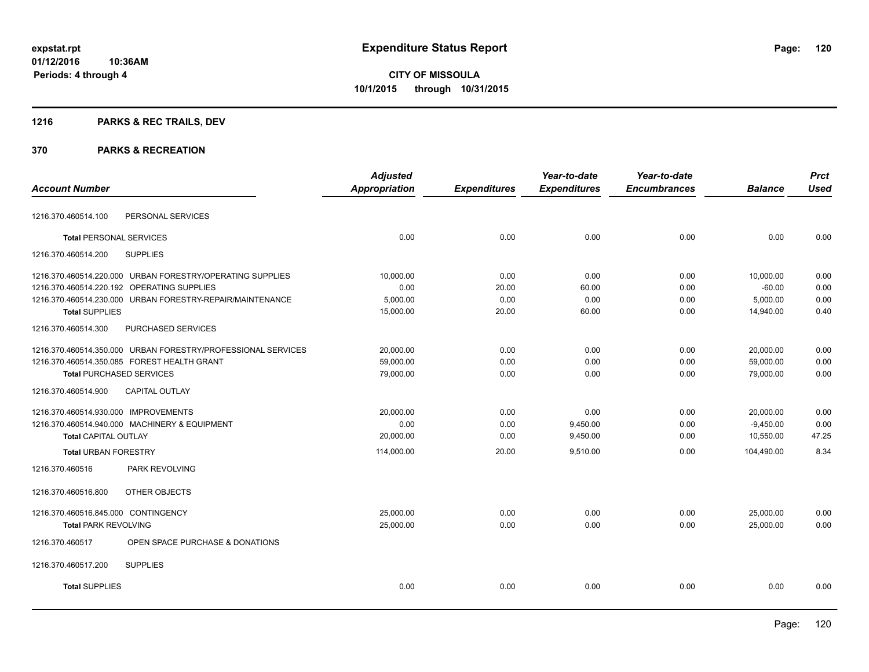**Periods: 4 through 4**

**CITY OF MISSOULA 10/1/2015 through 10/31/2015**

## **1216 PARKS & REC TRAILS, DEV**

|                                                              | <b>Adjusted</b>      |                     | Year-to-date        | Year-to-date        |                | <b>Prct</b> |
|--------------------------------------------------------------|----------------------|---------------------|---------------------|---------------------|----------------|-------------|
| <b>Account Number</b>                                        | <b>Appropriation</b> | <b>Expenditures</b> | <b>Expenditures</b> | <b>Encumbrances</b> | <b>Balance</b> | <b>Used</b> |
| PERSONAL SERVICES<br>1216.370.460514.100                     |                      |                     |                     |                     |                |             |
|                                                              |                      |                     |                     |                     |                |             |
| <b>Total PERSONAL SERVICES</b>                               | 0.00                 | 0.00                | 0.00                | 0.00                | 0.00           | 0.00        |
| <b>SUPPLIES</b><br>1216.370.460514.200                       |                      |                     |                     |                     |                |             |
| 1216.370.460514.220.000 URBAN FORESTRY/OPERATING SUPPLIES    | 10,000.00            | 0.00                | 0.00                | 0.00                | 10,000.00      | 0.00        |
| 1216.370.460514.220.192 OPERATING SUPPLIES                   | 0.00                 | 20.00               | 60.00               | 0.00                | $-60.00$       | 0.00        |
| 1216.370.460514.230.000 URBAN FORESTRY-REPAIR/MAINTENANCE    | 5,000.00             | 0.00                | 0.00                | 0.00                | 5,000.00       | 0.00        |
| <b>Total SUPPLIES</b>                                        | 15,000.00            | 20.00               | 60.00               | 0.00                | 14,940.00      | 0.40        |
| 1216.370.460514.300<br>PURCHASED SERVICES                    |                      |                     |                     |                     |                |             |
| 1216.370.460514.350.000 URBAN FORESTRY/PROFESSIONAL SERVICES | 20,000.00            | 0.00                | 0.00                | 0.00                | 20,000.00      | 0.00        |
| 1216.370.460514.350.085 FOREST HEALTH GRANT                  | 59,000.00            | 0.00                | 0.00                | 0.00                | 59,000.00      | 0.00        |
| <b>Total PURCHASED SERVICES</b>                              | 79,000.00            | 0.00                | 0.00                | 0.00                | 79,000.00      | 0.00        |
| <b>CAPITAL OUTLAY</b><br>1216.370.460514.900                 |                      |                     |                     |                     |                |             |
| 1216.370.460514.930.000 IMPROVEMENTS                         | 20,000.00            | 0.00                | 0.00                | 0.00                | 20,000.00      | 0.00        |
| 1216.370.460514.940.000 MACHINERY & EQUIPMENT                | 0.00                 | 0.00                | 9,450.00            | 0.00                | $-9,450.00$    | 0.00        |
| <b>Total CAPITAL OUTLAY</b>                                  | 20,000.00            | 0.00                | 9,450.00            | 0.00                | 10,550.00      | 47.25       |
| <b>Total URBAN FORESTRY</b>                                  | 114,000.00           | 20.00               | 9,510.00            | 0.00                | 104,490.00     | 8.34        |
| PARK REVOLVING<br>1216.370.460516                            |                      |                     |                     |                     |                |             |
| OTHER OBJECTS<br>1216.370.460516.800                         |                      |                     |                     |                     |                |             |
| 1216.370.460516.845.000 CONTINGENCY                          | 25,000.00            | 0.00                | 0.00                | 0.00                | 25,000.00      | 0.00        |
| <b>Total PARK REVOLVING</b>                                  | 25,000.00            | 0.00                | 0.00                | 0.00                | 25,000.00      | 0.00        |
| OPEN SPACE PURCHASE & DONATIONS<br>1216.370.460517           |                      |                     |                     |                     |                |             |
| 1216.370.460517.200<br><b>SUPPLIES</b>                       |                      |                     |                     |                     |                |             |
| <b>Total SUPPLIES</b>                                        | 0.00                 | 0.00                | 0.00                | 0.00                | 0.00           | 0.00        |
|                                                              |                      |                     |                     |                     |                |             |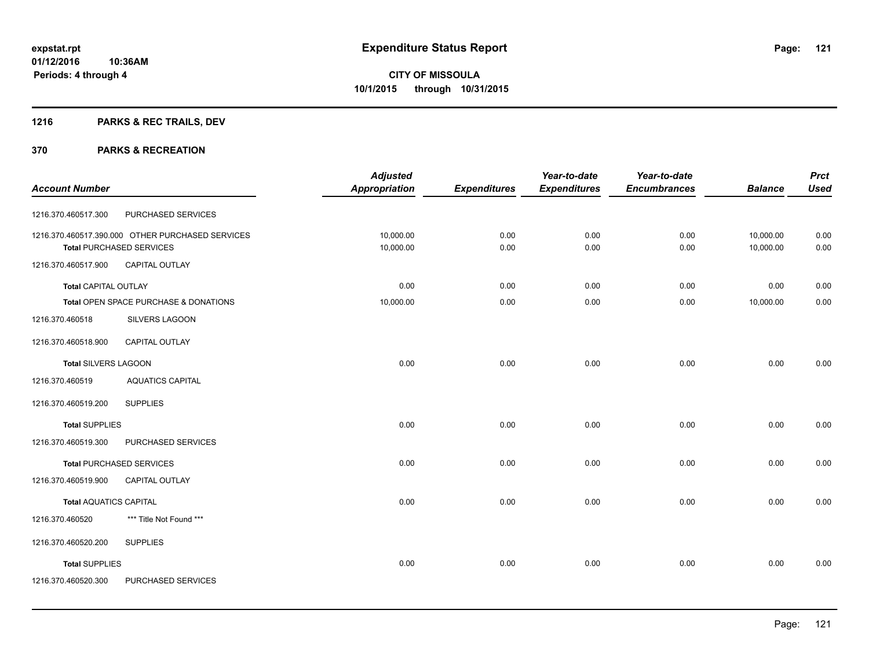## **1216 PARKS & REC TRAILS, DEV**

|                               |                                                  | <b>Adjusted</b> |                     | Year-to-date        | Year-to-date        |                | <b>Prct</b> |
|-------------------------------|--------------------------------------------------|-----------------|---------------------|---------------------|---------------------|----------------|-------------|
| <b>Account Number</b>         |                                                  | Appropriation   | <b>Expenditures</b> | <b>Expenditures</b> | <b>Encumbrances</b> | <b>Balance</b> | <b>Used</b> |
| 1216.370.460517.300           | PURCHASED SERVICES                               |                 |                     |                     |                     |                |             |
|                               | 1216.370.460517.390.000 OTHER PURCHASED SERVICES | 10,000.00       | 0.00                | 0.00                | 0.00                | 10,000.00      | 0.00        |
|                               | <b>Total PURCHASED SERVICES</b>                  | 10,000.00       | 0.00                | 0.00                | 0.00                | 10,000.00      | 0.00        |
| 1216.370.460517.900           | <b>CAPITAL OUTLAY</b>                            |                 |                     |                     |                     |                |             |
| <b>Total CAPITAL OUTLAY</b>   |                                                  | 0.00            | 0.00                | 0.00                | 0.00                | 0.00           | 0.00        |
|                               | Total OPEN SPACE PURCHASE & DONATIONS            | 10,000.00       | 0.00                | 0.00                | 0.00                | 10,000.00      | 0.00        |
| 1216.370.460518               | <b>SILVERS LAGOON</b>                            |                 |                     |                     |                     |                |             |
| 1216.370.460518.900           | CAPITAL OUTLAY                                   |                 |                     |                     |                     |                |             |
| <b>Total SILVERS LAGOON</b>   |                                                  | 0.00            | 0.00                | 0.00                | 0.00                | 0.00           | 0.00        |
| 1216.370.460519               | <b>AQUATICS CAPITAL</b>                          |                 |                     |                     |                     |                |             |
| 1216.370.460519.200           | <b>SUPPLIES</b>                                  |                 |                     |                     |                     |                |             |
| <b>Total SUPPLIES</b>         |                                                  | 0.00            | 0.00                | 0.00                | 0.00                | 0.00           | 0.00        |
| 1216.370.460519.300           | PURCHASED SERVICES                               |                 |                     |                     |                     |                |             |
|                               | <b>Total PURCHASED SERVICES</b>                  | 0.00            | 0.00                | 0.00                | 0.00                | 0.00           | 0.00        |
| 1216.370.460519.900           | <b>CAPITAL OUTLAY</b>                            |                 |                     |                     |                     |                |             |
| <b>Total AQUATICS CAPITAL</b> |                                                  | 0.00            | 0.00                | 0.00                | 0.00                | 0.00           | 0.00        |
| 1216.370.460520               | *** Title Not Found ***                          |                 |                     |                     |                     |                |             |
| 1216.370.460520.200           | <b>SUPPLIES</b>                                  |                 |                     |                     |                     |                |             |
| <b>Total SUPPLIES</b>         |                                                  | 0.00            | 0.00                | 0.00                | 0.00                | 0.00           | 0.00        |
| 1216.370.460520.300           | PURCHASED SERVICES                               |                 |                     |                     |                     |                |             |
|                               |                                                  |                 |                     |                     |                     |                |             |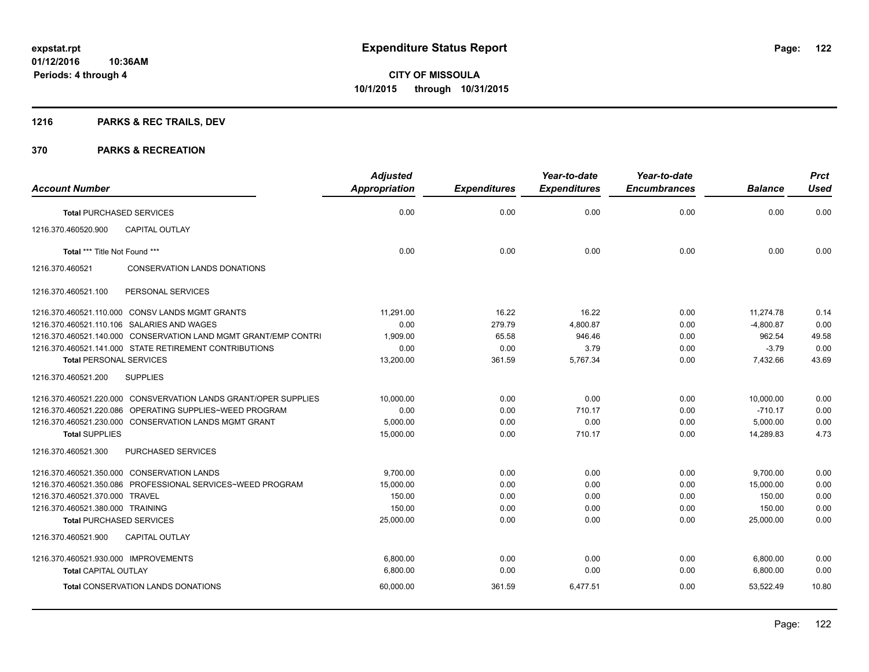## **1216 PARKS & REC TRAILS, DEV**

|                                                                 | <b>Adjusted</b> |                     | Year-to-date        | Year-to-date        |                | <b>Prct</b> |
|-----------------------------------------------------------------|-----------------|---------------------|---------------------|---------------------|----------------|-------------|
| <b>Account Number</b>                                           | Appropriation   | <b>Expenditures</b> | <b>Expenditures</b> | <b>Encumbrances</b> | <b>Balance</b> | <b>Used</b> |
| <b>Total PURCHASED SERVICES</b>                                 | 0.00            | 0.00                | 0.00                | 0.00                | 0.00           | 0.00        |
| CAPITAL OUTLAY<br>1216.370.460520.900                           |                 |                     |                     |                     |                |             |
| Total *** Title Not Found ***                                   | 0.00            | 0.00                | 0.00                | 0.00                | 0.00           | 0.00        |
| 1216.370.460521<br>CONSERVATION LANDS DONATIONS                 |                 |                     |                     |                     |                |             |
| PERSONAL SERVICES<br>1216.370.460521.100                        |                 |                     |                     |                     |                |             |
| 1216.370.460521.110.000 CONSV LANDS MGMT GRANTS                 | 11,291.00       | 16.22               | 16.22               | 0.00                | 11,274.78      | 0.14        |
| 1216.370.460521.110.106 SALARIES AND WAGES                      | 0.00            | 279.79              | 4.800.87            | 0.00                | $-4,800.87$    | 0.00        |
| 1216.370.460521.140.000 CONSERVATION LAND MGMT GRANT/EMP CONTRI | 1,909.00        | 65.58               | 946.46              | 0.00                | 962.54         | 49.58       |
| 1216.370.460521.141.000 STATE RETIREMENT CONTRIBUTIONS          | 0.00            | 0.00                | 3.79                | 0.00                | $-3.79$        | 0.00        |
| <b>Total PERSONAL SERVICES</b>                                  | 13,200.00       | 361.59              | 5,767.34            | 0.00                | 7,432.66       | 43.69       |
| 1216.370.460521.200<br><b>SUPPLIES</b>                          |                 |                     |                     |                     |                |             |
| 1216.370.460521.220.000 CONSVERVATION LANDS GRANT/OPER SUPPLIES | 10,000.00       | 0.00                | 0.00                | 0.00                | 10,000.00      | 0.00        |
| 1216.370.460521.220.086 OPERATING SUPPLIES~WEED PROGRAM         | 0.00            | 0.00                | 710.17              | 0.00                | $-710.17$      | 0.00        |
| 1216.370.460521.230.000 CONSERVATION LANDS MGMT GRANT           | 5,000.00        | 0.00                | 0.00                | 0.00                | 5,000.00       | 0.00        |
| <b>Total SUPPLIES</b>                                           | 15,000.00       | 0.00                | 710.17              | 0.00                | 14,289.83      | 4.73        |
| 1216.370.460521.300<br>PURCHASED SERVICES                       |                 |                     |                     |                     |                |             |
| 1216.370.460521.350.000 CONSERVATION LANDS                      | 9.700.00        | 0.00                | 0.00                | 0.00                | 9,700.00       | 0.00        |
| 1216.370.460521.350.086 PROFESSIONAL SERVICES~WEED PROGRAM      | 15,000.00       | 0.00                | 0.00                | 0.00                | 15,000.00      | 0.00        |
| 1216.370.460521.370.000 TRAVEL                                  | 150.00          | 0.00                | 0.00                | 0.00                | 150.00         | 0.00        |
| 1216.370.460521.380.000 TRAINING                                | 150.00          | 0.00                | 0.00                | 0.00                | 150.00         | 0.00        |
| <b>Total PURCHASED SERVICES</b>                                 | 25,000.00       | 0.00                | 0.00                | 0.00                | 25,000.00      | 0.00        |
| <b>CAPITAL OUTLAY</b><br>1216.370.460521.900                    |                 |                     |                     |                     |                |             |
| 1216.370.460521.930.000 IMPROVEMENTS                            | 6.800.00        | 0.00                | 0.00                | 0.00                | 6,800.00       | 0.00        |
| <b>Total CAPITAL OUTLAY</b>                                     | 6,800.00        | 0.00                | 0.00                | 0.00                | 6,800.00       | 0.00        |
| <b>Total CONSERVATION LANDS DONATIONS</b>                       | 60,000.00       | 361.59              | 6,477.51            | 0.00                | 53,522.49      | 10.80       |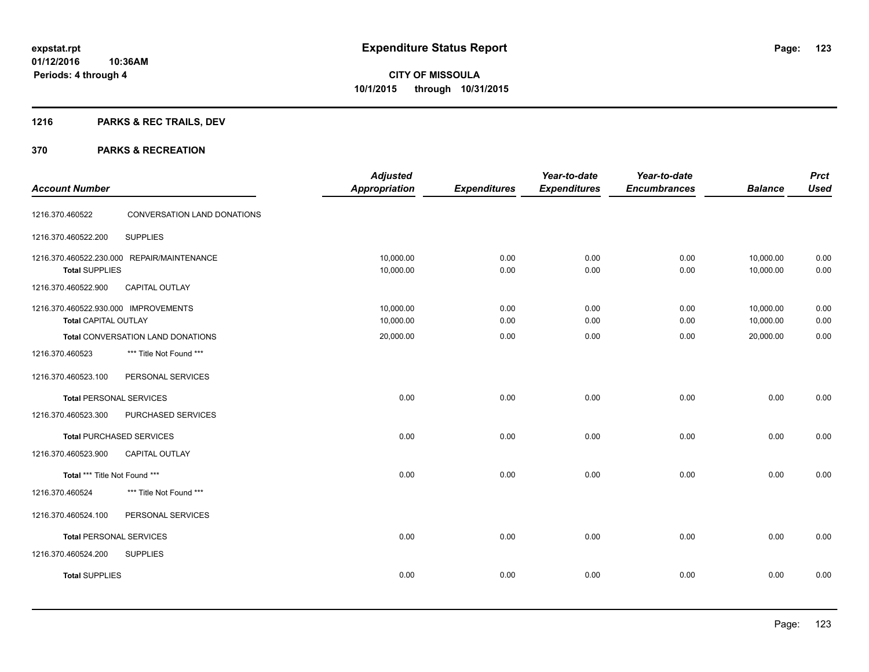## **1216 PARKS & REC TRAILS, DEV**

| <b>Account Number</b>                                        |                                                              | <b>Adjusted</b><br><b>Appropriation</b> | <b>Expenditures</b> | Year-to-date<br><b>Expenditures</b> | Year-to-date<br><b>Encumbrances</b> | <b>Balance</b>         | <b>Prct</b><br><b>Used</b> |
|--------------------------------------------------------------|--------------------------------------------------------------|-----------------------------------------|---------------------|-------------------------------------|-------------------------------------|------------------------|----------------------------|
| 1216.370.460522                                              | CONVERSATION LAND DONATIONS                                  |                                         |                     |                                     |                                     |                        |                            |
| 1216.370.460522.200                                          | <b>SUPPLIES</b>                                              |                                         |                     |                                     |                                     |                        |                            |
| <b>Total SUPPLIES</b>                                        | 1216.370.460522.230.000 REPAIR/MAINTENANCE                   | 10,000.00<br>10,000.00                  | 0.00<br>0.00        | 0.00<br>0.00                        | 0.00<br>0.00                        | 10,000.00<br>10,000.00 | 0.00<br>0.00               |
| 1216.370.460522.900                                          | CAPITAL OUTLAY                                               |                                         |                     |                                     |                                     |                        |                            |
| 1216.370.460522.930.000 IMPROVEMENTS<br>Total CAPITAL OUTLAY |                                                              | 10,000.00<br>10,000.00                  | 0.00<br>0.00        | 0.00<br>0.00                        | 0.00<br>0.00                        | 10,000.00<br>10,000.00 | 0.00<br>0.00               |
| 1216.370.460523                                              | Total CONVERSATION LAND DONATIONS<br>*** Title Not Found *** | 20,000.00                               | 0.00                | 0.00                                | 0.00                                | 20,000.00              | 0.00                       |
| 1216.370.460523.100                                          | PERSONAL SERVICES                                            |                                         |                     |                                     |                                     |                        |                            |
| <b>Total PERSONAL SERVICES</b>                               |                                                              | 0.00                                    | 0.00                | 0.00                                | 0.00                                | 0.00                   | 0.00                       |
| 1216.370.460523.300                                          | PURCHASED SERVICES                                           |                                         |                     |                                     |                                     |                        |                            |
|                                                              | <b>Total PURCHASED SERVICES</b>                              | 0.00                                    | 0.00                | 0.00                                | 0.00                                | 0.00                   | 0.00                       |
| 1216.370.460523.900                                          | CAPITAL OUTLAY                                               |                                         |                     |                                     |                                     |                        |                            |
| Total *** Title Not Found ***                                |                                                              | 0.00                                    | 0.00                | 0.00                                | 0.00                                | 0.00                   | 0.00                       |
| 1216.370.460524                                              | *** Title Not Found ***                                      |                                         |                     |                                     |                                     |                        |                            |
| 1216.370.460524.100                                          | PERSONAL SERVICES                                            |                                         |                     |                                     |                                     |                        |                            |
| <b>Total PERSONAL SERVICES</b>                               |                                                              | 0.00                                    | 0.00                | 0.00                                | 0.00                                | 0.00                   | 0.00                       |
| 1216.370.460524.200                                          | <b>SUPPLIES</b>                                              |                                         |                     |                                     |                                     |                        |                            |
| <b>Total SUPPLIES</b>                                        |                                                              | 0.00                                    | 0.00                | 0.00                                | 0.00                                | 0.00                   | 0.00                       |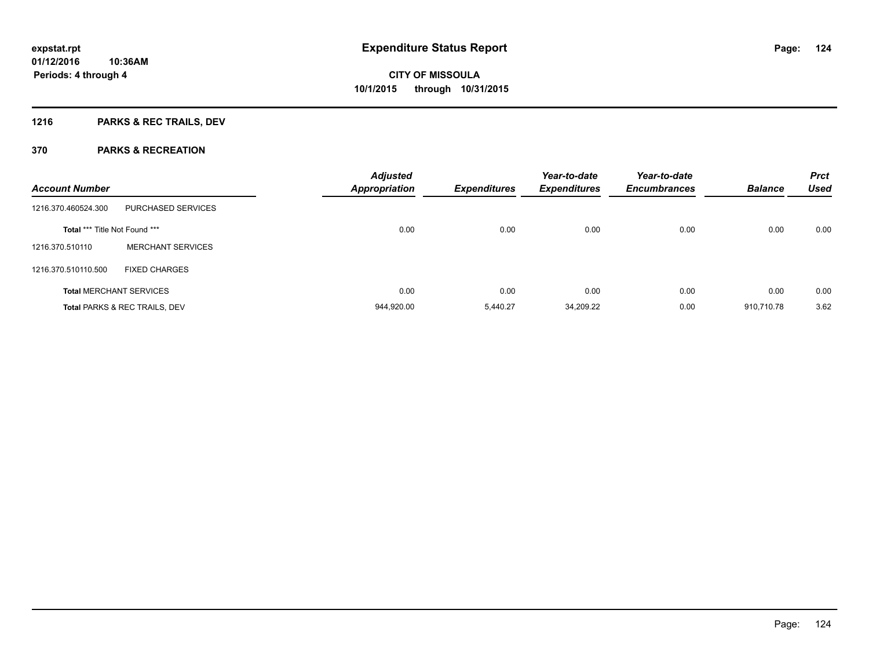## **1216 PARKS & REC TRAILS, DEV**

| <b>Account Number</b>                |                                          | <b>Adjusted</b><br><b>Appropriation</b> | <b>Expenditures</b> | Year-to-date<br><b>Expenditures</b> | Year-to-date<br><b>Encumbrances</b> | <b>Balance</b> | <b>Prct</b><br><b>Used</b> |
|--------------------------------------|------------------------------------------|-----------------------------------------|---------------------|-------------------------------------|-------------------------------------|----------------|----------------------------|
| 1216.370.460524.300                  | PURCHASED SERVICES                       |                                         |                     |                                     |                                     |                |                            |
| <b>Total *** Title Not Found ***</b> |                                          | 0.00                                    | 0.00                | 0.00                                | 0.00                                | 0.00           | 0.00                       |
| 1216.370.510110                      | <b>MERCHANT SERVICES</b>                 |                                         |                     |                                     |                                     |                |                            |
| 1216.370.510110.500                  | <b>FIXED CHARGES</b>                     |                                         |                     |                                     |                                     |                |                            |
|                                      | <b>Total MERCHANT SERVICES</b>           | 0.00                                    | 0.00                | 0.00                                | 0.00                                | 0.00           | 0.00                       |
|                                      | <b>Total PARKS &amp; REC TRAILS, DEV</b> | 944,920.00                              | 5.440.27            | 34,209.22                           | 0.00                                | 910.710.78     | 3.62                       |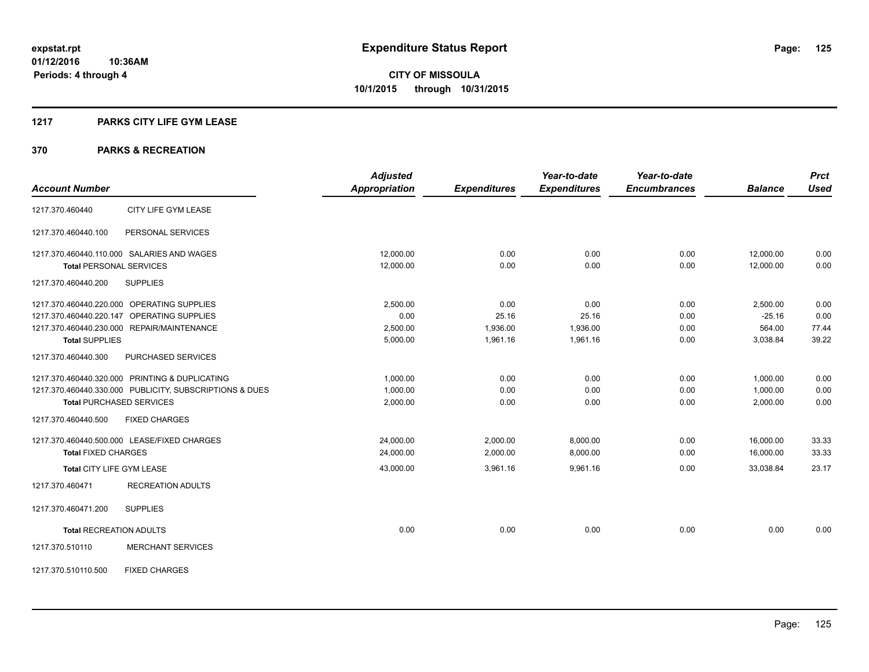## **1217 PARKS CITY LIFE GYM LEASE**

|                                                         | <b>Adjusted</b>      |                     | Year-to-date        | Year-to-date        |                | <b>Prct</b> |
|---------------------------------------------------------|----------------------|---------------------|---------------------|---------------------|----------------|-------------|
| <b>Account Number</b>                                   | <b>Appropriation</b> | <b>Expenditures</b> | <b>Expenditures</b> | <b>Encumbrances</b> | <b>Balance</b> | <b>Used</b> |
| CITY LIFE GYM LEASE<br>1217.370.460440                  |                      |                     |                     |                     |                |             |
| PERSONAL SERVICES<br>1217.370.460440.100                |                      |                     |                     |                     |                |             |
| 1217.370.460440.110.000 SALARIES AND WAGES              | 12,000.00            | 0.00                | 0.00                | 0.00                | 12,000.00      | 0.00        |
| <b>Total PERSONAL SERVICES</b>                          | 12,000.00            | 0.00                | 0.00                | 0.00                | 12,000.00      | 0.00        |
| 1217.370.460440.200<br><b>SUPPLIES</b>                  |                      |                     |                     |                     |                |             |
| 1217.370.460440.220.000 OPERATING SUPPLIES              | 2,500.00             | 0.00                | 0.00                | 0.00                | 2,500.00       | 0.00        |
| 1217.370.460440.220.147 OPERATING SUPPLIES              | 0.00                 | 25.16               | 25.16               | 0.00                | $-25.16$       | 0.00        |
| 1217.370.460440.230.000 REPAIR/MAINTENANCE              | 2,500.00             | 1,936.00            | 1,936.00            | 0.00                | 564.00         | 77.44       |
| <b>Total SUPPLIES</b>                                   | 5,000.00             | 1,961.16            | 1,961.16            | 0.00                | 3,038.84       | 39.22       |
| 1217.370.460440.300<br>PURCHASED SERVICES               |                      |                     |                     |                     |                |             |
| 1217.370.460440.320.000 PRINTING & DUPLICATING          | 1,000.00             | 0.00                | 0.00                | 0.00                | 1,000.00       | 0.00        |
| 1217.370.460440.330.000 PUBLICITY, SUBSCRIPTIONS & DUES | 1,000.00             | 0.00                | 0.00                | 0.00                | 1,000.00       | 0.00        |
| <b>Total PURCHASED SERVICES</b>                         | 2,000.00             | 0.00                | 0.00                | 0.00                | 2,000.00       | 0.00        |
| 1217.370.460440.500<br><b>FIXED CHARGES</b>             |                      |                     |                     |                     |                |             |
| 1217.370.460440.500.000 LEASE/FIXED CHARGES             | 24,000.00            | 2,000.00            | 8,000.00            | 0.00                | 16,000.00      | 33.33       |
| <b>Total FIXED CHARGES</b>                              | 24,000.00            | 2,000.00            | 8,000.00            | 0.00                | 16,000.00      | 33.33       |
| Total CITY LIFE GYM LEASE                               | 43,000.00            | 3,961.16            | 9,961.16            | 0.00                | 33.038.84      | 23.17       |
| <b>RECREATION ADULTS</b><br>1217.370.460471             |                      |                     |                     |                     |                |             |
| 1217.370.460471.200<br><b>SUPPLIES</b>                  |                      |                     |                     |                     |                |             |
| <b>Total RECREATION ADULTS</b>                          | 0.00                 | 0.00                | 0.00                | 0.00                | 0.00           | 0.00        |
| <b>MERCHANT SERVICES</b><br>1217.370.510110             |                      |                     |                     |                     |                |             |
| <b>FIXED CHARGES</b><br>1217.370.510110.500             |                      |                     |                     |                     |                |             |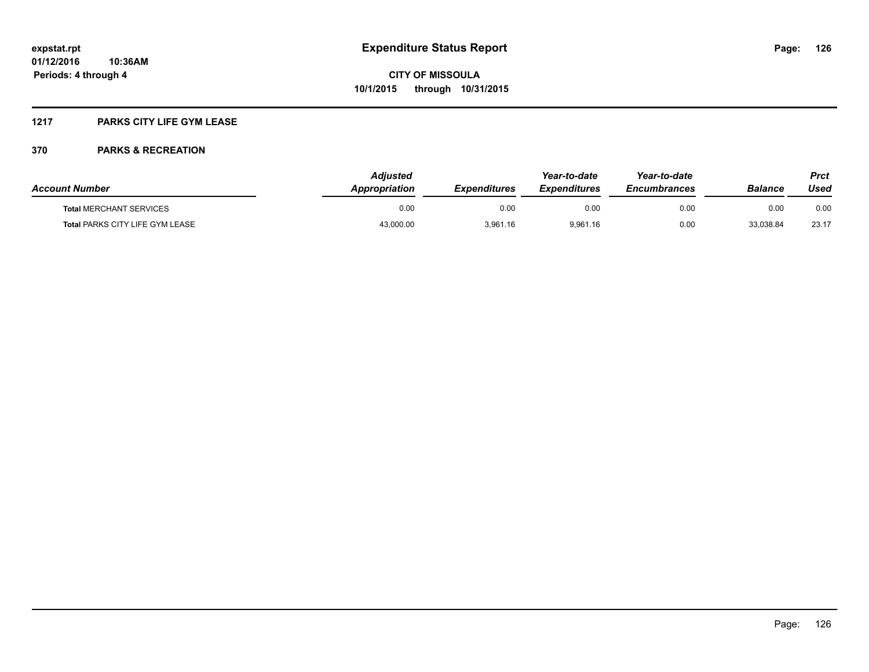## **1217 PARKS CITY LIFE GYM LEASE**

| <b>Account Number</b>                  | <b>Adiusted</b><br>Appropriation | <b>Expenditures</b> | Year-to-date<br><i><b>Expenditures</b></i> | Year-to-date<br><b>Encumbrances</b> | <b>Balance</b> | <b>Prct</b><br>Used |
|----------------------------------------|----------------------------------|---------------------|--------------------------------------------|-------------------------------------|----------------|---------------------|
| <b>Total MERCHANT SERVICES</b>         | 0.00                             | 0.00                | 0.00                                       | 0.00                                | 0.00           | 0.00                |
| <b>Total PARKS CITY LIFE GYM LEASE</b> | 43,000.00                        | 3,961.16            | 9,961.16                                   | 0.00                                | 33,038.84      | 23.17               |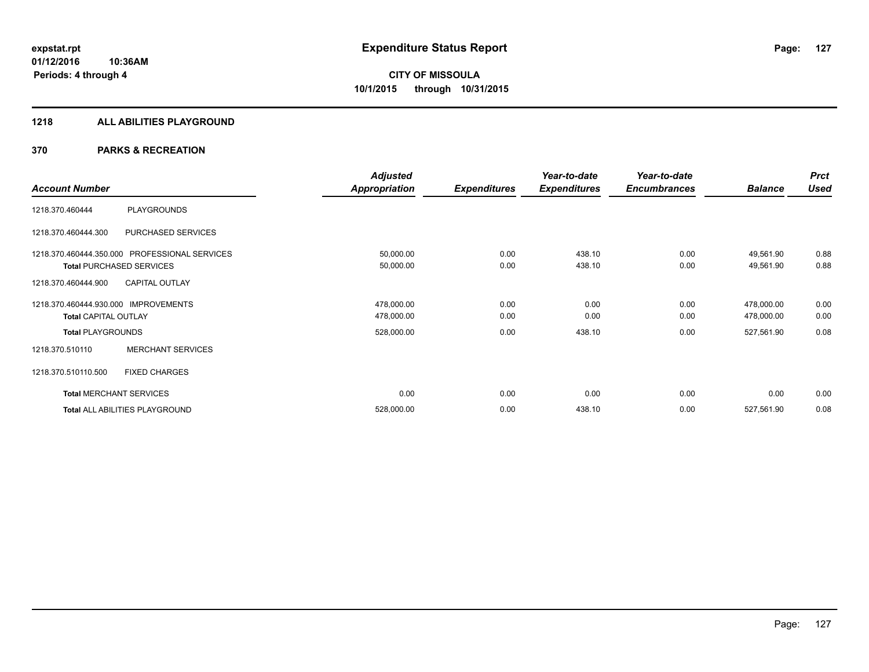## **1218 ALL ABILITIES PLAYGROUND**

|                                      |                                               | <b>Adjusted</b>      |                     | Year-to-date        | Year-to-date        |                | <b>Prct</b> |
|--------------------------------------|-----------------------------------------------|----------------------|---------------------|---------------------|---------------------|----------------|-------------|
| <b>Account Number</b>                |                                               | <b>Appropriation</b> | <b>Expenditures</b> | <b>Expenditures</b> | <b>Encumbrances</b> | <b>Balance</b> | <b>Used</b> |
| 1218.370.460444                      | <b>PLAYGROUNDS</b>                            |                      |                     |                     |                     |                |             |
| 1218.370.460444.300                  | PURCHASED SERVICES                            |                      |                     |                     |                     |                |             |
|                                      | 1218.370.460444.350.000 PROFESSIONAL SERVICES | 50,000.00            | 0.00                | 438.10              | 0.00                | 49,561.90      | 0.88        |
|                                      | <b>Total PURCHASED SERVICES</b>               | 50,000.00            | 0.00                | 438.10              | 0.00                | 49,561.90      | 0.88        |
| 1218.370.460444.900                  | <b>CAPITAL OUTLAY</b>                         |                      |                     |                     |                     |                |             |
| 1218.370.460444.930.000 IMPROVEMENTS |                                               | 478,000.00           | 0.00                | 0.00                | 0.00                | 478,000.00     | 0.00        |
| <b>Total CAPITAL OUTLAY</b>          |                                               | 478,000.00           | 0.00                | 0.00                | 0.00                | 478,000.00     | 0.00        |
| <b>Total PLAYGROUNDS</b>             |                                               | 528,000.00           | 0.00                | 438.10              | 0.00                | 527,561.90     | 0.08        |
| 1218.370.510110                      | <b>MERCHANT SERVICES</b>                      |                      |                     |                     |                     |                |             |
| 1218.370.510110.500                  | <b>FIXED CHARGES</b>                          |                      |                     |                     |                     |                |             |
|                                      | <b>Total MERCHANT SERVICES</b>                | 0.00                 | 0.00                | 0.00                | 0.00                | 0.00           | 0.00        |
|                                      | Total ALL ABILITIES PLAYGROUND                | 528,000.00           | 0.00                | 438.10              | 0.00                | 527,561.90     | 0.08        |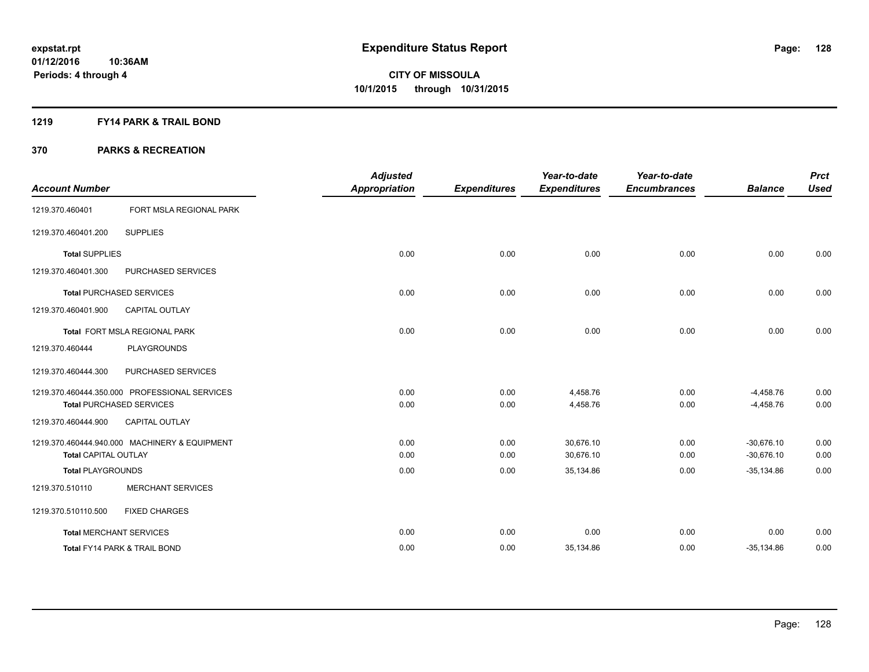## **1219 FY14 PARK & TRAIL BOND**

|                                |                                               | <b>Adjusted</b>      |                     | Year-to-date        | Year-to-date        |                | <b>Prct</b> |
|--------------------------------|-----------------------------------------------|----------------------|---------------------|---------------------|---------------------|----------------|-------------|
| <b>Account Number</b>          |                                               | <b>Appropriation</b> | <b>Expenditures</b> | <b>Expenditures</b> | <b>Encumbrances</b> | <b>Balance</b> | <b>Used</b> |
| 1219.370.460401                | FORT MSLA REGIONAL PARK                       |                      |                     |                     |                     |                |             |
| 1219.370.460401.200            | <b>SUPPLIES</b>                               |                      |                     |                     |                     |                |             |
| <b>Total SUPPLIES</b>          |                                               | 0.00                 | 0.00                | 0.00                | 0.00                | 0.00           | 0.00        |
| 1219.370.460401.300            | PURCHASED SERVICES                            |                      |                     |                     |                     |                |             |
|                                | <b>Total PURCHASED SERVICES</b>               | 0.00                 | 0.00                | 0.00                | 0.00                | 0.00           | 0.00        |
| 1219.370.460401.900            | <b>CAPITAL OUTLAY</b>                         |                      |                     |                     |                     |                |             |
|                                | Total FORT MSLA REGIONAL PARK                 | 0.00                 | 0.00                | 0.00                | 0.00                | 0.00           | 0.00        |
| 1219.370.460444                | <b>PLAYGROUNDS</b>                            |                      |                     |                     |                     |                |             |
| 1219.370.460444.300            | PURCHASED SERVICES                            |                      |                     |                     |                     |                |             |
|                                | 1219.370.460444.350.000 PROFESSIONAL SERVICES | 0.00                 | 0.00                | 4,458.76            | 0.00                | $-4,458.76$    | 0.00        |
|                                | <b>Total PURCHASED SERVICES</b>               | 0.00                 | 0.00                | 4,458.76            | 0.00                | $-4,458.76$    | 0.00        |
| 1219.370.460444.900            | <b>CAPITAL OUTLAY</b>                         |                      |                     |                     |                     |                |             |
|                                | 1219.370.460444.940.000 MACHINERY & EQUIPMENT | 0.00                 | 0.00                | 30.676.10           | 0.00                | $-30.676.10$   | 0.00        |
| <b>Total CAPITAL OUTLAY</b>    |                                               | 0.00                 | 0.00                | 30,676.10           | 0.00                | $-30,676.10$   | 0.00        |
| <b>Total PLAYGROUNDS</b>       |                                               | 0.00                 | 0.00                | 35,134.86           | 0.00                | $-35,134.86$   | 0.00        |
| 1219.370.510110                | <b>MERCHANT SERVICES</b>                      |                      |                     |                     |                     |                |             |
| 1219.370.510110.500            | <b>FIXED CHARGES</b>                          |                      |                     |                     |                     |                |             |
| <b>Total MERCHANT SERVICES</b> |                                               | 0.00                 | 0.00                | 0.00                | 0.00                | 0.00           | 0.00        |
|                                | <b>Total FY14 PARK &amp; TRAIL BOND</b>       | 0.00                 | 0.00                | 35,134.86           | 0.00                | $-35,134.86$   | 0.00        |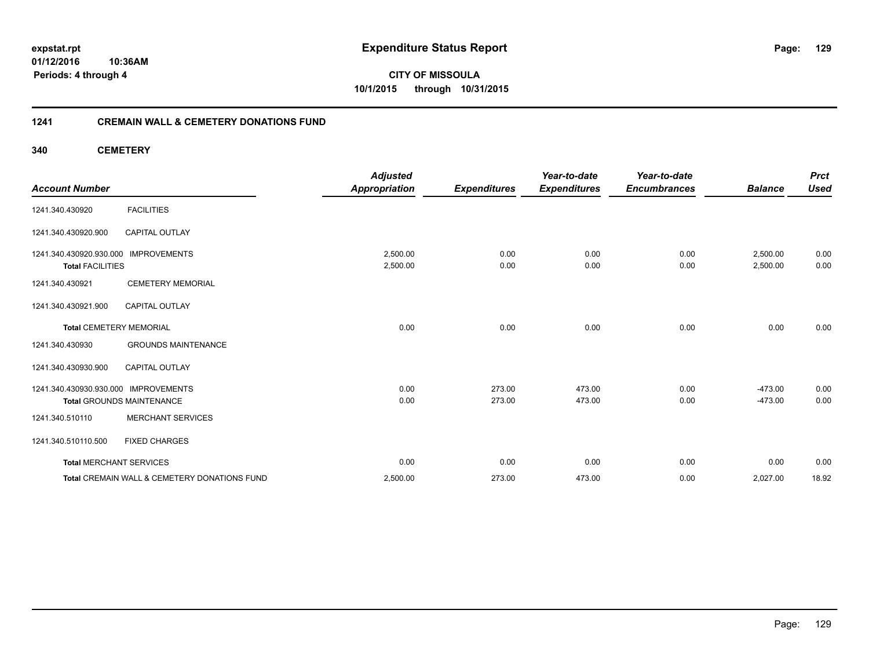**expstat.rpt Expenditure Status Report** 

**01/12/2016 10:36AM Periods: 4 through 4**

**CITY OF MISSOULA 10/1/2015 through 10/31/2015**

## **1241 CREMAIN WALL & CEMETERY DONATIONS FUND**

**340 CEMETERY**

| <b>Account Number</b>                                           |                                              | <b>Adjusted</b><br><b>Appropriation</b> | <b>Expenditures</b> | Year-to-date<br><b>Expenditures</b> | Year-to-date<br><b>Encumbrances</b> | <b>Balance</b>       | <b>Prct</b><br><b>Used</b> |
|-----------------------------------------------------------------|----------------------------------------------|-----------------------------------------|---------------------|-------------------------------------|-------------------------------------|----------------------|----------------------------|
| 1241.340.430920                                                 | <b>FACILITIES</b>                            |                                         |                     |                                     |                                     |                      |                            |
| 1241.340.430920.900                                             | <b>CAPITAL OUTLAY</b>                        |                                         |                     |                                     |                                     |                      |                            |
| 1241.340.430920.930.000 IMPROVEMENTS<br><b>Total FACILITIES</b> |                                              | 2,500.00<br>2,500.00                    | 0.00<br>0.00        | 0.00<br>0.00                        | 0.00<br>0.00                        | 2,500.00<br>2,500.00 | 0.00<br>0.00               |
| 1241.340.430921                                                 | <b>CEMETERY MEMORIAL</b>                     |                                         |                     |                                     |                                     |                      |                            |
| 1241.340.430921.900                                             | <b>CAPITAL OUTLAY</b>                        |                                         |                     |                                     |                                     |                      |                            |
| <b>Total CEMETERY MEMORIAL</b>                                  |                                              | 0.00                                    | 0.00                | 0.00                                | 0.00                                | 0.00                 | 0.00                       |
| 1241.340.430930                                                 | <b>GROUNDS MAINTENANCE</b>                   |                                         |                     |                                     |                                     |                      |                            |
| 1241.340.430930.900                                             | <b>CAPITAL OUTLAY</b>                        |                                         |                     |                                     |                                     |                      |                            |
| 1241.340.430930.930.000 IMPROVEMENTS                            |                                              | 0.00                                    | 273.00              | 473.00                              | 0.00                                | $-473.00$            | 0.00                       |
|                                                                 | <b>Total GROUNDS MAINTENANCE</b>             | 0.00                                    | 273.00              | 473.00                              | 0.00                                | $-473.00$            | 0.00                       |
| 1241.340.510110                                                 | <b>MERCHANT SERVICES</b>                     |                                         |                     |                                     |                                     |                      |                            |
| 1241.340.510110.500                                             | <b>FIXED CHARGES</b>                         |                                         |                     |                                     |                                     |                      |                            |
| <b>Total MERCHANT SERVICES</b>                                  |                                              | 0.00                                    | 0.00                | 0.00                                | 0.00                                | 0.00                 | 0.00                       |
|                                                                 | Total CREMAIN WALL & CEMETERY DONATIONS FUND | 2,500.00                                | 273.00              | 473.00                              | 0.00                                | 2,027.00             | 18.92                      |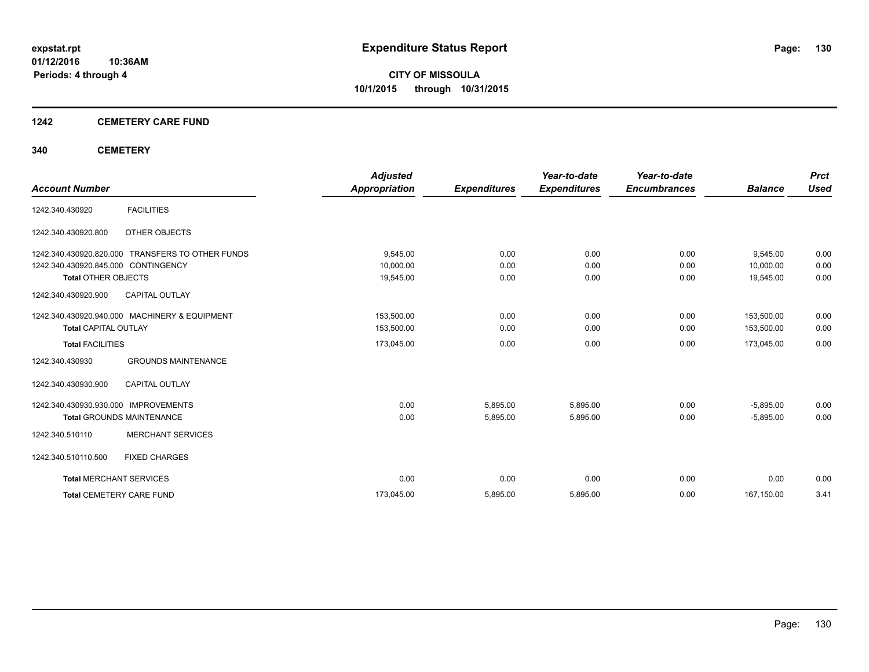## **1242 CEMETERY CARE FUND**

## **340 CEMETERY**

|                                                  | <b>Adjusted</b>      |                     | Year-to-date        | Year-to-date        |                | <b>Prct</b> |
|--------------------------------------------------|----------------------|---------------------|---------------------|---------------------|----------------|-------------|
| <b>Account Number</b>                            | <b>Appropriation</b> | <b>Expenditures</b> | <b>Expenditures</b> | <b>Encumbrances</b> | <b>Balance</b> | <b>Used</b> |
| <b>FACILITIES</b><br>1242.340.430920             |                      |                     |                     |                     |                |             |
| OTHER OBJECTS<br>1242.340.430920.800             |                      |                     |                     |                     |                |             |
| 1242.340.430920.820.000 TRANSFERS TO OTHER FUNDS | 9.545.00             | 0.00                | 0.00                | 0.00                | 9,545.00       | 0.00        |
| 1242.340.430920.845.000 CONTINGENCY              | 10,000.00            | 0.00                | 0.00                | 0.00                | 10.000.00      | 0.00        |
| <b>Total OTHER OBJECTS</b>                       | 19,545.00            | 0.00                | 0.00                | 0.00                | 19,545.00      | 0.00        |
| <b>CAPITAL OUTLAY</b><br>1242.340.430920.900     |                      |                     |                     |                     |                |             |
| 1242.340.430920.940.000 MACHINERY & EQUIPMENT    | 153,500.00           | 0.00                | 0.00                | 0.00                | 153,500.00     | 0.00        |
| <b>Total CAPITAL OUTLAY</b>                      | 153,500.00           | 0.00                | 0.00                | 0.00                | 153,500.00     | 0.00        |
| <b>Total FACILITIES</b>                          | 173,045.00           | 0.00                | 0.00                | 0.00                | 173,045.00     | 0.00        |
| <b>GROUNDS MAINTENANCE</b><br>1242.340.430930    |                      |                     |                     |                     |                |             |
| <b>CAPITAL OUTLAY</b><br>1242.340.430930.900     |                      |                     |                     |                     |                |             |
| 1242.340.430930.930.000 IMPROVEMENTS             | 0.00                 | 5,895.00            | 5,895.00            | 0.00                | $-5,895.00$    | 0.00        |
| <b>Total GROUNDS MAINTENANCE</b>                 | 0.00                 | 5,895.00            | 5,895.00            | 0.00                | $-5,895.00$    | 0.00        |
| <b>MERCHANT SERVICES</b><br>1242.340.510110      |                      |                     |                     |                     |                |             |
| 1242.340.510110.500<br><b>FIXED CHARGES</b>      |                      |                     |                     |                     |                |             |
| <b>Total MERCHANT SERVICES</b>                   | 0.00                 | 0.00                | 0.00                | 0.00                | 0.00           | 0.00        |
| <b>Total CEMETERY CARE FUND</b>                  | 173,045.00           | 5,895.00            | 5,895.00            | 0.00                | 167,150.00     | 3.41        |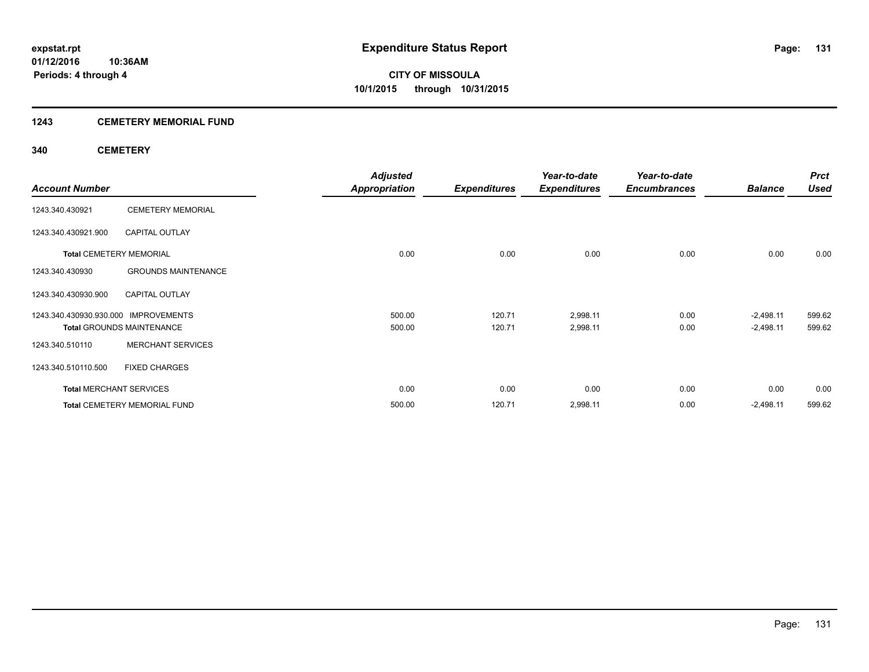## **1243 CEMETERY MEMORIAL FUND**

## **340 CEMETERY**

|                                      |                                  | <b>Adjusted</b>      |                     | Year-to-date        | Year-to-date        |                | <b>Prct</b> |
|--------------------------------------|----------------------------------|----------------------|---------------------|---------------------|---------------------|----------------|-------------|
| <b>Account Number</b>                |                                  | <b>Appropriation</b> | <b>Expenditures</b> | <b>Expenditures</b> | <b>Encumbrances</b> | <b>Balance</b> | <b>Used</b> |
| 1243.340.430921                      | <b>CEMETERY MEMORIAL</b>         |                      |                     |                     |                     |                |             |
| 1243.340.430921.900                  | <b>CAPITAL OUTLAY</b>            |                      |                     |                     |                     |                |             |
| <b>Total CEMETERY MEMORIAL</b>       |                                  | 0.00                 | 0.00                | 0.00                | 0.00                | 0.00           | 0.00        |
| 1243.340.430930                      | <b>GROUNDS MAINTENANCE</b>       |                      |                     |                     |                     |                |             |
| 1243.340.430930.900                  | <b>CAPITAL OUTLAY</b>            |                      |                     |                     |                     |                |             |
| 1243.340.430930.930.000 IMPROVEMENTS |                                  | 500.00               | 120.71              | 2,998.11            | 0.00                | $-2,498.11$    | 599.62      |
|                                      | <b>Total GROUNDS MAINTENANCE</b> | 500.00               | 120.71              | 2,998.11            | 0.00                | $-2,498.11$    | 599.62      |
| 1243.340.510110                      | <b>MERCHANT SERVICES</b>         |                      |                     |                     |                     |                |             |
| 1243.340.510110.500                  | <b>FIXED CHARGES</b>             |                      |                     |                     |                     |                |             |
| <b>Total MERCHANT SERVICES</b>       |                                  | 0.00                 | 0.00                | 0.00                | 0.00                | 0.00           | 0.00        |
|                                      | Total CEMETERY MEMORIAL FUND     | 500.00               | 120.71              | 2,998.11            | 0.00                | $-2,498.11$    | 599.62      |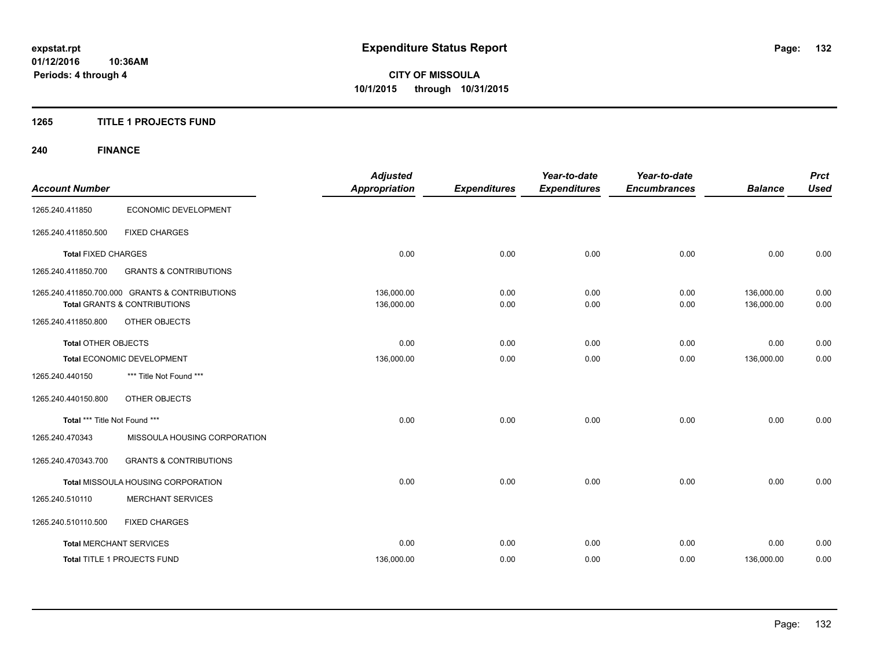## **1265 TITLE 1 PROJECTS FUND**

## **240 FINANCE**

| <b>Account Number</b>         |                                                | <b>Adjusted</b><br><b>Appropriation</b> | <b>Expenditures</b> | Year-to-date<br><b>Expenditures</b> | Year-to-date<br><b>Encumbrances</b> | <b>Balance</b> | <b>Prct</b><br><b>Used</b> |
|-------------------------------|------------------------------------------------|-----------------------------------------|---------------------|-------------------------------------|-------------------------------------|----------------|----------------------------|
|                               |                                                |                                         |                     |                                     |                                     |                |                            |
| 1265.240.411850               | ECONOMIC DEVELOPMENT                           |                                         |                     |                                     |                                     |                |                            |
| 1265.240.411850.500           | <b>FIXED CHARGES</b>                           |                                         |                     |                                     |                                     |                |                            |
| <b>Total FIXED CHARGES</b>    |                                                | 0.00                                    | 0.00                | 0.00                                | 0.00                                | 0.00           | 0.00                       |
| 1265.240.411850.700           | <b>GRANTS &amp; CONTRIBUTIONS</b>              |                                         |                     |                                     |                                     |                |                            |
|                               | 1265.240.411850.700.000 GRANTS & CONTRIBUTIONS | 136,000.00                              | 0.00                | 0.00                                | 0.00                                | 136,000.00     | 0.00                       |
|                               | <b>Total GRANTS &amp; CONTRIBUTIONS</b>        | 136,000.00                              | 0.00                | 0.00                                | 0.00                                | 136,000.00     | 0.00                       |
| 1265.240.411850.800           | OTHER OBJECTS                                  |                                         |                     |                                     |                                     |                |                            |
| <b>Total OTHER OBJECTS</b>    |                                                | 0.00                                    | 0.00                | 0.00                                | 0.00                                | 0.00           | 0.00                       |
|                               | Total ECONOMIC DEVELOPMENT                     | 136,000.00                              | 0.00                | 0.00                                | 0.00                                | 136,000.00     | 0.00                       |
| 1265.240.440150               | *** Title Not Found ***                        |                                         |                     |                                     |                                     |                |                            |
| 1265.240.440150.800           | OTHER OBJECTS                                  |                                         |                     |                                     |                                     |                |                            |
| Total *** Title Not Found *** |                                                | 0.00                                    | 0.00                | 0.00                                | 0.00                                | 0.00           | 0.00                       |
| 1265.240.470343               | MISSOULA HOUSING CORPORATION                   |                                         |                     |                                     |                                     |                |                            |
| 1265.240.470343.700           | <b>GRANTS &amp; CONTRIBUTIONS</b>              |                                         |                     |                                     |                                     |                |                            |
|                               | Total MISSOULA HOUSING CORPORATION             | 0.00                                    | 0.00                | 0.00                                | 0.00                                | 0.00           | 0.00                       |
| 1265.240.510110               | <b>MERCHANT SERVICES</b>                       |                                         |                     |                                     |                                     |                |                            |
| 1265.240.510110.500           | <b>FIXED CHARGES</b>                           |                                         |                     |                                     |                                     |                |                            |
|                               | <b>Total MERCHANT SERVICES</b>                 | 0.00                                    | 0.00                | 0.00                                | 0.00                                | 0.00           | 0.00                       |
|                               | Total TITLE 1 PROJECTS FUND                    | 136,000.00                              | 0.00                | 0.00                                | 0.00                                | 136,000.00     | 0.00                       |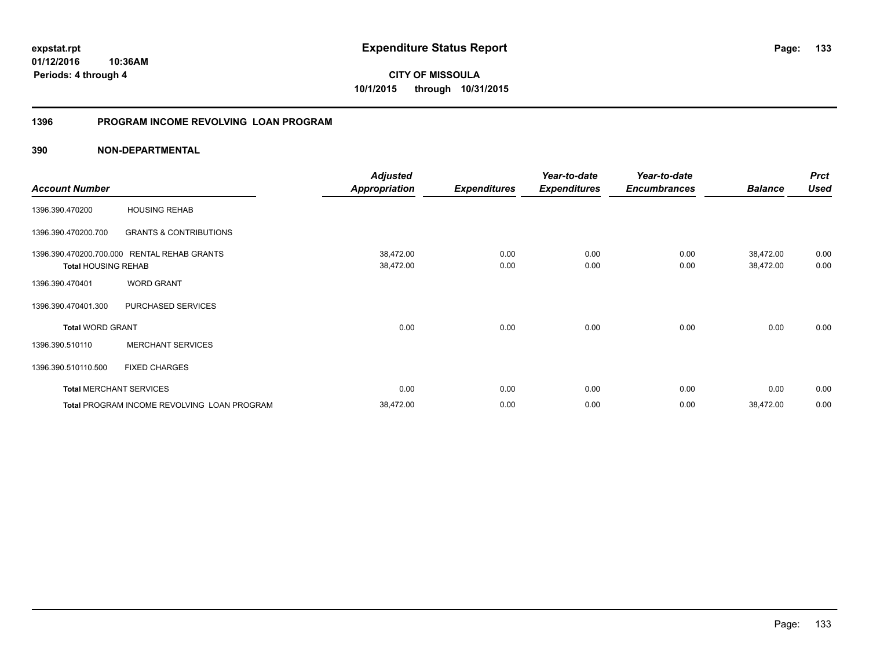**133**

**01/12/2016 10:36AM Periods: 4 through 4**

**CITY OF MISSOULA 10/1/2015 through 10/31/2015**

## **1396 PROGRAM INCOME REVOLVING LOAN PROGRAM**

|                            |                                                    | <b>Adjusted</b>      |                                                                                                                                                                                                                                                                                                                           | Year-to-date | Year-to-date |  | <b>Prct</b> |
|----------------------------|----------------------------------------------------|----------------------|---------------------------------------------------------------------------------------------------------------------------------------------------------------------------------------------------------------------------------------------------------------------------------------------------------------------------|--------------|--------------|--|-------------|
| <b>Account Number</b>      |                                                    | <b>Appropriation</b> | <b>Expenditures</b><br><b>Expenditures</b><br><b>Encumbrances</b><br><b>Balance</b><br>38,472.00<br>0.00<br>0.00<br>0.00<br>38,472.00<br>38,472.00<br>0.00<br>0.00<br>0.00<br>38,472.00<br>0.00<br>0.00<br>0.00<br>0.00<br>0.00<br>0.00<br>0.00<br>0.00<br>0.00<br>0.00<br>0.00<br>38,472.00<br>0.00<br>0.00<br>38,472.00 | <b>Used</b>  |              |  |             |
| 1396.390.470200            | <b>HOUSING REHAB</b>                               |                      |                                                                                                                                                                                                                                                                                                                           |              |              |  |             |
| 1396.390.470200.700        | <b>GRANTS &amp; CONTRIBUTIONS</b>                  |                      |                                                                                                                                                                                                                                                                                                                           |              |              |  |             |
|                            | 1396.390.470200.700.000 RENTAL REHAB GRANTS        |                      |                                                                                                                                                                                                                                                                                                                           |              |              |  | 0.00        |
| <b>Total HOUSING REHAB</b> |                                                    |                      |                                                                                                                                                                                                                                                                                                                           |              |              |  | 0.00        |
| 1396.390.470401            | <b>WORD GRANT</b>                                  |                      |                                                                                                                                                                                                                                                                                                                           |              |              |  |             |
| 1396.390.470401.300        | PURCHASED SERVICES                                 |                      |                                                                                                                                                                                                                                                                                                                           |              |              |  |             |
| <b>Total WORD GRANT</b>    |                                                    |                      |                                                                                                                                                                                                                                                                                                                           |              |              |  | 0.00        |
| 1396.390.510110            | <b>MERCHANT SERVICES</b>                           |                      |                                                                                                                                                                                                                                                                                                                           |              |              |  |             |
| 1396.390.510110.500        | <b>FIXED CHARGES</b>                               |                      |                                                                                                                                                                                                                                                                                                                           |              |              |  |             |
|                            | <b>Total MERCHANT SERVICES</b>                     |                      |                                                                                                                                                                                                                                                                                                                           |              |              |  | 0.00        |
|                            | <b>Total PROGRAM INCOME REVOLVING LOAN PROGRAM</b> |                      |                                                                                                                                                                                                                                                                                                                           |              |              |  | 0.00        |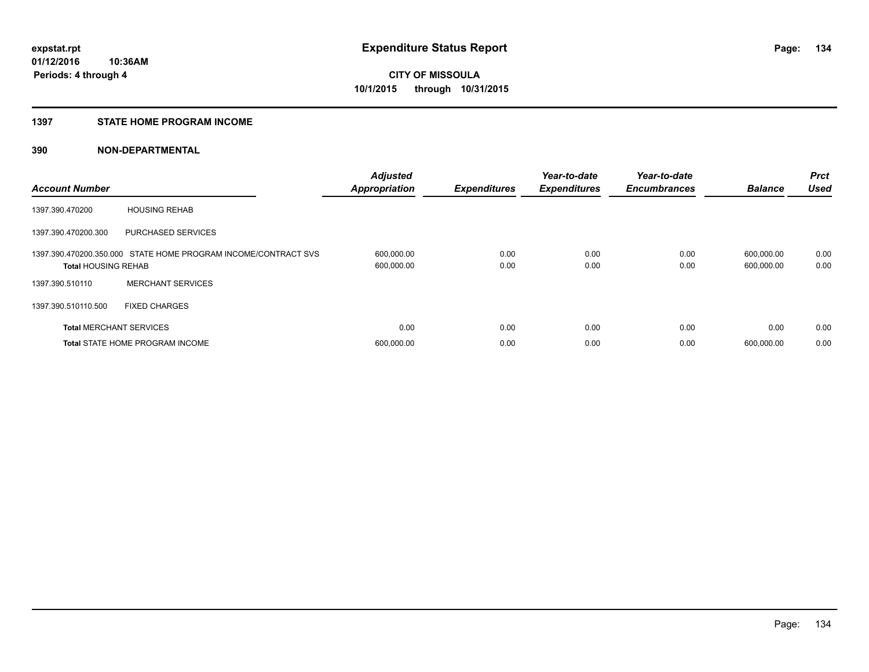## **1397 STATE HOME PROGRAM INCOME**

| <b>Account Number</b>          |                                                                | <b>Adjusted</b><br><b>Appropriation</b> | <b>Expenditures</b> | Year-to-date<br><b>Expenditures</b> | Year-to-date<br><b>Encumbrances</b> | <b>Balance</b>           | <b>Prct</b><br><b>Used</b> |
|--------------------------------|----------------------------------------------------------------|-----------------------------------------|---------------------|-------------------------------------|-------------------------------------|--------------------------|----------------------------|
| 1397.390.470200                | <b>HOUSING REHAB</b>                                           |                                         |                     |                                     |                                     |                          |                            |
| 1397.390.470200.300            | <b>PURCHASED SERVICES</b>                                      |                                         |                     |                                     |                                     |                          |                            |
| <b>Total HOUSING REHAB</b>     | 1397.390.470200.350.000 STATE HOME PROGRAM INCOME/CONTRACT SVS | 600,000.00<br>600,000.00                | 0.00<br>0.00        | 0.00<br>0.00                        | 0.00<br>0.00                        | 600,000.00<br>600,000.00 | 0.00<br>0.00               |
| 1397.390.510110                | <b>MERCHANT SERVICES</b>                                       |                                         |                     |                                     |                                     |                          |                            |
| 1397.390.510110.500            | <b>FIXED CHARGES</b>                                           |                                         |                     |                                     |                                     |                          |                            |
| <b>Total MERCHANT SERVICES</b> |                                                                | 0.00                                    | 0.00                | 0.00                                | 0.00                                | 0.00                     | 0.00                       |
|                                | <b>Total STATE HOME PROGRAM INCOME</b>                         | 600,000.00                              | 0.00                | 0.00                                | 0.00                                | 600.000.00               | 0.00                       |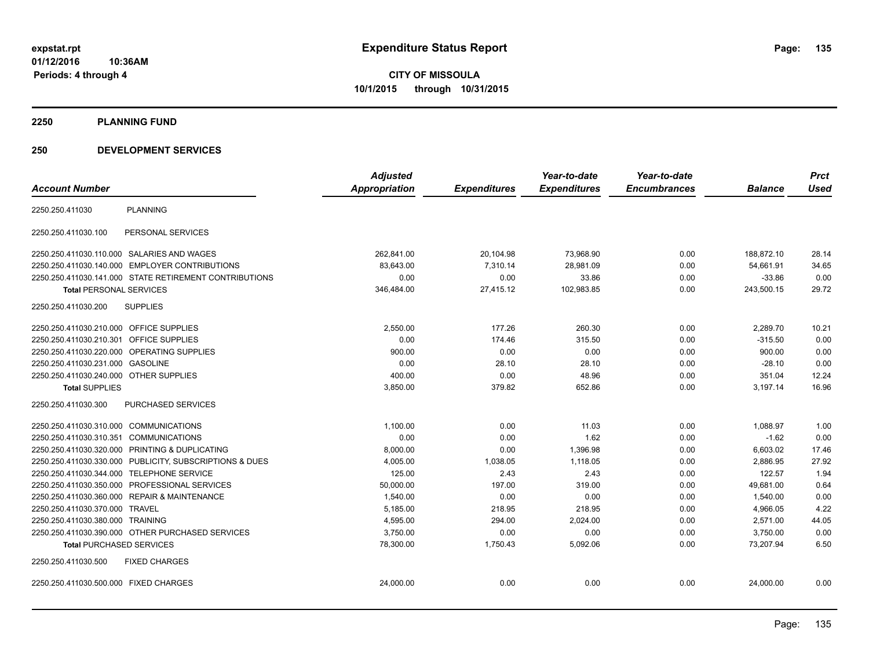**2250 PLANNING FUND**

## **250 DEVELOPMENT SERVICES**

| <b>Account Number</b>                  |                                                         | <b>Adjusted</b><br><b>Appropriation</b> | <b>Expenditures</b> | Year-to-date<br><b>Expenditures</b> | Year-to-date<br><b>Encumbrances</b> | <b>Balance</b> | <b>Prct</b><br><b>Used</b> |
|----------------------------------------|---------------------------------------------------------|-----------------------------------------|---------------------|-------------------------------------|-------------------------------------|----------------|----------------------------|
| 2250.250.411030                        | <b>PLANNING</b>                                         |                                         |                     |                                     |                                     |                |                            |
| 2250.250.411030.100                    | PERSONAL SERVICES                                       |                                         |                     |                                     |                                     |                |                            |
|                                        | 2250.250.411030.110.000 SALARIES AND WAGES              | 262,841.00                              | 20,104.98           | 73,968.90                           | 0.00                                | 188,872.10     | 28.14                      |
| 2250.250.411030.140.000                | <b>EMPLOYER CONTRIBUTIONS</b>                           | 83.643.00                               | 7,310.14            | 28,981.09                           | 0.00                                | 54,661.91      | 34.65                      |
|                                        | 2250.250.411030.141.000 STATE RETIREMENT CONTRIBUTIONS  | 0.00                                    | 0.00                | 33.86                               | 0.00                                | $-33.86$       | 0.00                       |
| <b>Total PERSONAL SERVICES</b>         |                                                         | 346.484.00                              | 27.415.12           | 102,983.85                          | 0.00                                | 243,500.15     | 29.72                      |
| 2250.250.411030.200                    | <b>SUPPLIES</b>                                         |                                         |                     |                                     |                                     |                |                            |
| 2250.250.411030.210.000                | <b>OFFICE SUPPLIES</b>                                  | 2,550.00                                | 177.26              | 260.30                              | 0.00                                | 2,289.70       | 10.21                      |
| 2250.250.411030.210.301                | <b>OFFICE SUPPLIES</b>                                  | 0.00                                    | 174.46              | 315.50                              | 0.00                                | $-315.50$      | 0.00                       |
| 2250.250.411030.220.000                | OPERATING SUPPLIES                                      | 900.00                                  | 0.00                | 0.00                                | 0.00                                | 900.00         | 0.00                       |
| 2250.250.411030.231.000                | <b>GASOLINE</b>                                         | 0.00                                    | 28.10               | 28.10                               | 0.00                                | $-28.10$       | 0.00                       |
| 2250.250.411030.240.000 OTHER SUPPLIES |                                                         | 400.00                                  | 0.00                | 48.96                               | 0.00                                | 351.04         | 12.24                      |
| <b>Total SUPPLIES</b>                  |                                                         | 3,850.00                                | 379.82              | 652.86                              | 0.00                                | 3,197.14       | 16.96                      |
| 2250.250.411030.300                    | PURCHASED SERVICES                                      |                                         |                     |                                     |                                     |                |                            |
| 2250.250.411030.310.000 COMMUNICATIONS |                                                         | 1,100.00                                | 0.00                | 11.03                               | 0.00                                | 1,088.97       | 1.00                       |
| 2250.250.411030.310.351                | <b>COMMUNICATIONS</b>                                   | 0.00                                    | 0.00                | 1.62                                | 0.00                                | $-1.62$        | 0.00                       |
|                                        | 2250.250.411030.320.000 PRINTING & DUPLICATING          | 8,000.00                                | 0.00                | 1,396.98                            | 0.00                                | 6,603.02       | 17.46                      |
|                                        | 2250.250.411030.330.000 PUBLICITY, SUBSCRIPTIONS & DUES | 4,005.00                                | 1,038.05            | 1,118.05                            | 0.00                                | 2,886.95       | 27.92                      |
|                                        | 2250.250.411030.344.000 TELEPHONE SERVICE               | 125.00                                  | 2.43                | 2.43                                | 0.00                                | 122.57         | 1.94                       |
| 2250.250.411030.350.000                | <b>PROFESSIONAL SERVICES</b>                            | 50,000.00                               | 197.00              | 319.00                              | 0.00                                | 49,681.00      | 0.64                       |
| 2250.250.411030.360.000                | <b>REPAIR &amp; MAINTENANCE</b>                         | 1,540.00                                | 0.00                | 0.00                                | 0.00                                | 1,540.00       | 0.00                       |
| 2250.250.411030.370.000                | <b>TRAVEL</b>                                           | 5,185.00                                | 218.95              | 218.95                              | 0.00                                | 4,966.05       | 4.22                       |
| 2250.250.411030.380.000 TRAINING       |                                                         | 4,595.00                                | 294.00              | 2,024.00                            | 0.00                                | 2.571.00       | 44.05                      |
|                                        | 2250.250.411030.390.000 OTHER PURCHASED SERVICES        | 3,750.00                                | 0.00                | 0.00                                | 0.00                                | 3,750.00       | 0.00                       |
| <b>Total PURCHASED SERVICES</b>        |                                                         | 78,300.00                               | 1,750.43            | 5,092.06                            | 0.00                                | 73,207.94      | 6.50                       |
| 2250.250.411030.500                    | <b>FIXED CHARGES</b>                                    |                                         |                     |                                     |                                     |                |                            |
| 2250.250.411030.500.000 FIXED CHARGES  |                                                         | 24,000.00                               | 0.00                | 0.00                                | 0.00                                | 24,000.00      | 0.00                       |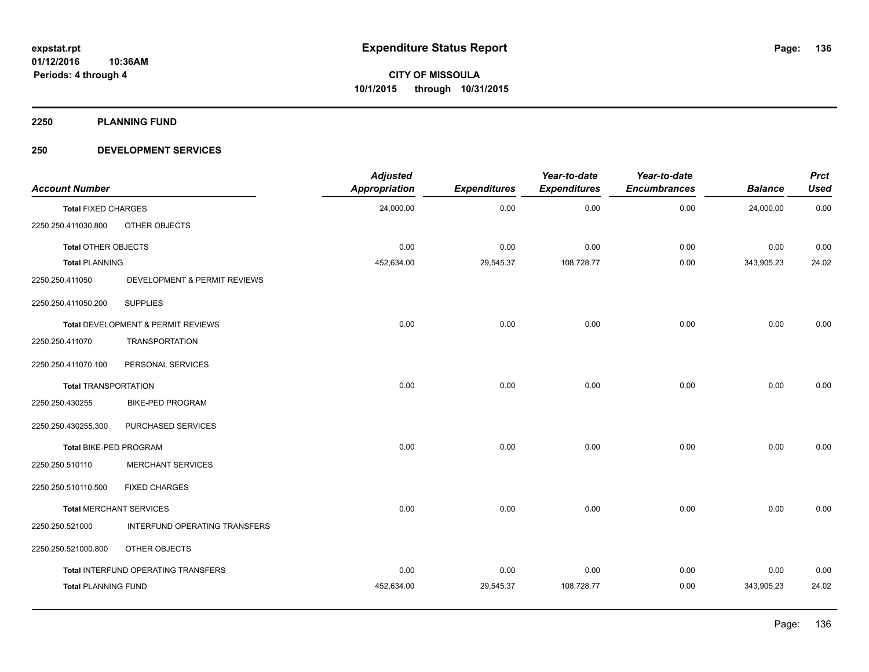**2250 PLANNING FUND**

## **250 DEVELOPMENT SERVICES**

| <b>Account Number</b>          |                                     | <b>Adjusted</b><br><b>Appropriation</b> | <b>Expenditures</b> | Year-to-date<br><b>Expenditures</b> | Year-to-date<br><b>Encumbrances</b> | <b>Balance</b> | <b>Prct</b><br><b>Used</b> |
|--------------------------------|-------------------------------------|-----------------------------------------|---------------------|-------------------------------------|-------------------------------------|----------------|----------------------------|
| <b>Total FIXED CHARGES</b>     |                                     | 24,000.00                               | 0.00                | 0.00                                | 0.00                                | 24,000.00      | 0.00                       |
| 2250.250.411030.800            | OTHER OBJECTS                       |                                         |                     |                                     |                                     |                |                            |
| <b>Total OTHER OBJECTS</b>     |                                     | 0.00                                    | 0.00                | 0.00                                | 0.00                                | 0.00           | 0.00                       |
| <b>Total PLANNING</b>          |                                     | 452,634.00                              | 29,545.37           | 108,728.77                          | 0.00                                | 343,905.23     | 24.02                      |
| 2250.250.411050                | DEVELOPMENT & PERMIT REVIEWS        |                                         |                     |                                     |                                     |                |                            |
| 2250.250.411050.200            | <b>SUPPLIES</b>                     |                                         |                     |                                     |                                     |                |                            |
|                                | Total DEVELOPMENT & PERMIT REVIEWS  | 0.00                                    | 0.00                | 0.00                                | 0.00                                | 0.00           | 0.00                       |
| 2250.250.411070                | <b>TRANSPORTATION</b>               |                                         |                     |                                     |                                     |                |                            |
| 2250.250.411070.100            | PERSONAL SERVICES                   |                                         |                     |                                     |                                     |                |                            |
| <b>Total TRANSPORTATION</b>    |                                     | 0.00                                    | 0.00                | 0.00                                | 0.00                                | 0.00           | 0.00                       |
| 2250.250.430255                | <b>BIKE-PED PROGRAM</b>             |                                         |                     |                                     |                                     |                |                            |
| 2250.250.430255.300            | PURCHASED SERVICES                  |                                         |                     |                                     |                                     |                |                            |
| Total BIKE-PED PROGRAM         |                                     | 0.00                                    | 0.00                | 0.00                                | 0.00                                | 0.00           | 0.00                       |
| 2250.250.510110                | <b>MERCHANT SERVICES</b>            |                                         |                     |                                     |                                     |                |                            |
| 2250.250.510110.500            | <b>FIXED CHARGES</b>                |                                         |                     |                                     |                                     |                |                            |
| <b>Total MERCHANT SERVICES</b> |                                     | 0.00                                    | 0.00                | 0.00                                | 0.00                                | 0.00           | 0.00                       |
| 2250.250.521000                | INTERFUND OPERATING TRANSFERS       |                                         |                     |                                     |                                     |                |                            |
| 2250.250.521000.800            | OTHER OBJECTS                       |                                         |                     |                                     |                                     |                |                            |
|                                | Total INTERFUND OPERATING TRANSFERS | 0.00                                    | 0.00                | 0.00                                | 0.00                                | 0.00           | 0.00                       |
| <b>Total PLANNING FUND</b>     |                                     | 452,634.00                              | 29,545.37           | 108,728.77                          | 0.00                                | 343,905.23     | 24.02                      |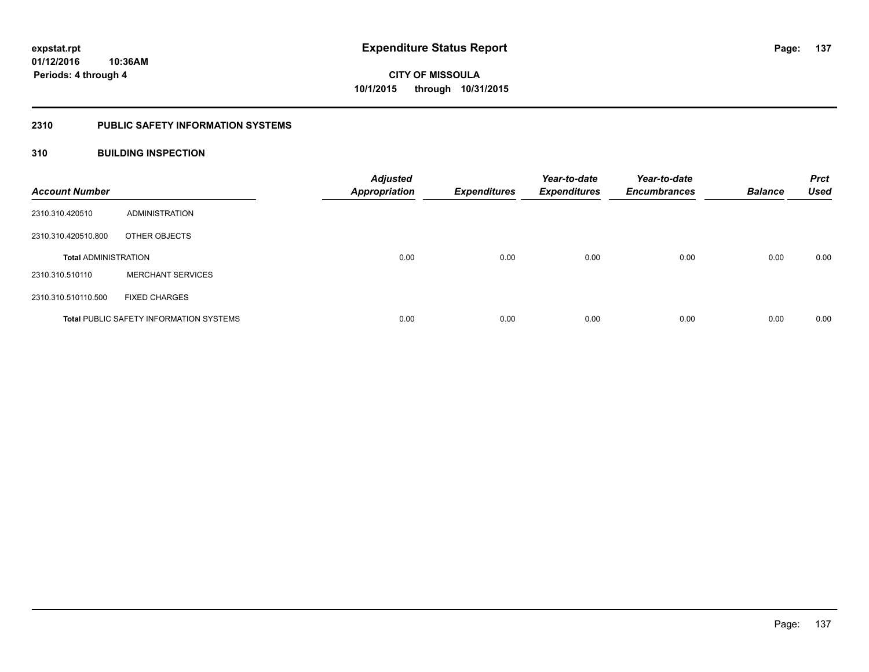## **2310 PUBLIC SAFETY INFORMATION SYSTEMS**

## **310 BUILDING INSPECTION**

| <b>Account Number</b>       |                                                | <b>Adjusted</b><br><b>Appropriation</b> | <b>Expenditures</b> | Year-to-date<br><b>Expenditures</b> | Year-to-date<br><b>Encumbrances</b> | <b>Balance</b> | <b>Prct</b><br><b>Used</b> |
|-----------------------------|------------------------------------------------|-----------------------------------------|---------------------|-------------------------------------|-------------------------------------|----------------|----------------------------|
| 2310.310.420510             | ADMINISTRATION                                 |                                         |                     |                                     |                                     |                |                            |
| 2310.310.420510.800         | OTHER OBJECTS                                  |                                         |                     |                                     |                                     |                |                            |
| <b>Total ADMINISTRATION</b> |                                                | 0.00                                    | 0.00                | 0.00                                | 0.00                                | 0.00           | 0.00                       |
| 2310.310.510110             | <b>MERCHANT SERVICES</b>                       |                                         |                     |                                     |                                     |                |                            |
| 2310.310.510110.500         | <b>FIXED CHARGES</b>                           |                                         |                     |                                     |                                     |                |                            |
|                             | <b>Total PUBLIC SAFETY INFORMATION SYSTEMS</b> | 0.00                                    | 0.00                | 0.00                                | 0.00                                | 0.00           | 0.00                       |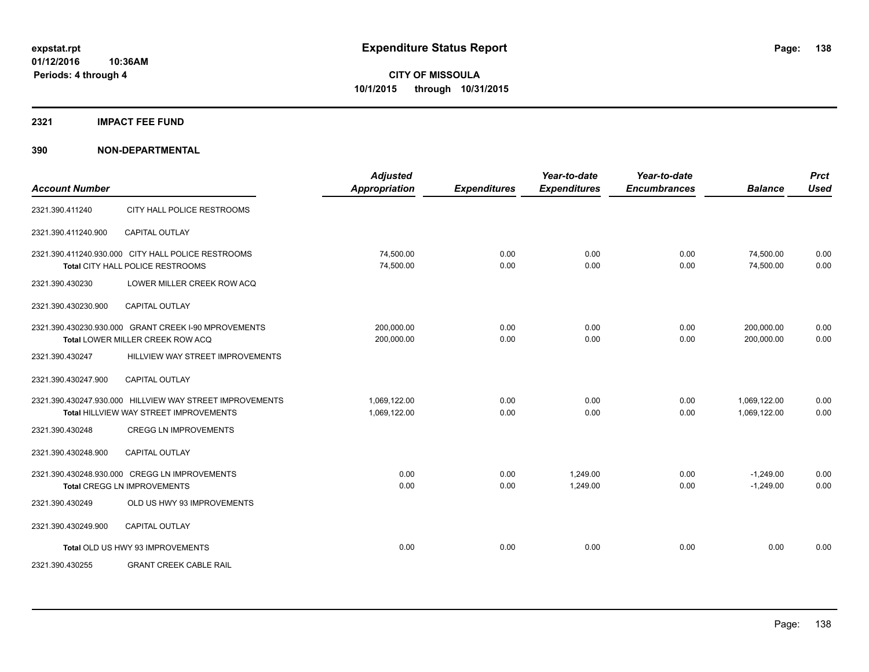## **2321 IMPACT FEE FUND**

| <b>Account Number</b> |                                                                                                    | <b>Adjusted</b><br><b>Appropriation</b> | <b>Expenditures</b> | Year-to-date<br><b>Expenditures</b> | Year-to-date<br><b>Encumbrances</b> | <b>Balance</b>               | <b>Prct</b><br><b>Used</b> |
|-----------------------|----------------------------------------------------------------------------------------------------|-----------------------------------------|---------------------|-------------------------------------|-------------------------------------|------------------------------|----------------------------|
| 2321.390.411240       | CITY HALL POLICE RESTROOMS                                                                         |                                         |                     |                                     |                                     |                              |                            |
| 2321.390.411240.900   | <b>CAPITAL OUTLAY</b>                                                                              |                                         |                     |                                     |                                     |                              |                            |
|                       | 2321.390.411240.930.000 CITY HALL POLICE RESTROOMS<br>Total CITY HALL POLICE RESTROOMS             | 74,500.00<br>74,500.00                  | 0.00<br>0.00        | 0.00<br>0.00                        | 0.00<br>0.00                        | 74,500.00<br>74,500.00       | 0.00<br>0.00               |
| 2321.390.430230       | LOWER MILLER CREEK ROW ACQ                                                                         |                                         |                     |                                     |                                     |                              |                            |
| 2321.390.430230.900   | <b>CAPITAL OUTLAY</b>                                                                              |                                         |                     |                                     |                                     |                              |                            |
|                       | 2321.390.430230.930.000 GRANT CREEK I-90 MPROVEMENTS<br>Total LOWER MILLER CREEK ROW ACQ           | 200,000.00<br>200,000.00                | 0.00<br>0.00        | 0.00<br>0.00                        | 0.00<br>0.00                        | 200,000.00<br>200.000.00     | 0.00<br>0.00               |
| 2321.390.430247       | HILLVIEW WAY STREET IMPROVEMENTS                                                                   |                                         |                     |                                     |                                     |                              |                            |
| 2321.390.430247.900   | <b>CAPITAL OUTLAY</b>                                                                              |                                         |                     |                                     |                                     |                              |                            |
|                       | 2321.390.430247.930.000 HILLVIEW WAY STREET IMPROVEMENTS<br>Total HILLVIEW WAY STREET IMPROVEMENTS | 1,069,122.00<br>1,069,122.00            | 0.00<br>0.00        | 0.00<br>0.00                        | 0.00<br>0.00                        | 1,069,122.00<br>1,069,122.00 | 0.00<br>0.00               |
| 2321.390.430248       | <b>CREGG LN IMPROVEMENTS</b>                                                                       |                                         |                     |                                     |                                     |                              |                            |
| 2321.390.430248.900   | <b>CAPITAL OUTLAY</b>                                                                              |                                         |                     |                                     |                                     |                              |                            |
|                       | 2321.390.430248.930.000 CREGG LN IMPROVEMENTS<br>Total CREGG LN IMPROVEMENTS                       | 0.00<br>0.00                            | 0.00<br>0.00        | 1,249.00<br>1,249.00                | 0.00<br>0.00                        | $-1,249.00$<br>$-1,249.00$   | 0.00<br>0.00               |
| 2321.390.430249       | OLD US HWY 93 IMPROVEMENTS                                                                         |                                         |                     |                                     |                                     |                              |                            |
| 2321.390.430249.900   | <b>CAPITAL OUTLAY</b>                                                                              |                                         |                     |                                     |                                     |                              |                            |
|                       | Total OLD US HWY 93 IMPROVEMENTS                                                                   | 0.00                                    | 0.00                | 0.00                                | 0.00                                | 0.00                         | 0.00                       |
| 2321.390.430255       | <b>GRANT CREEK CABLE RAIL</b>                                                                      |                                         |                     |                                     |                                     |                              |                            |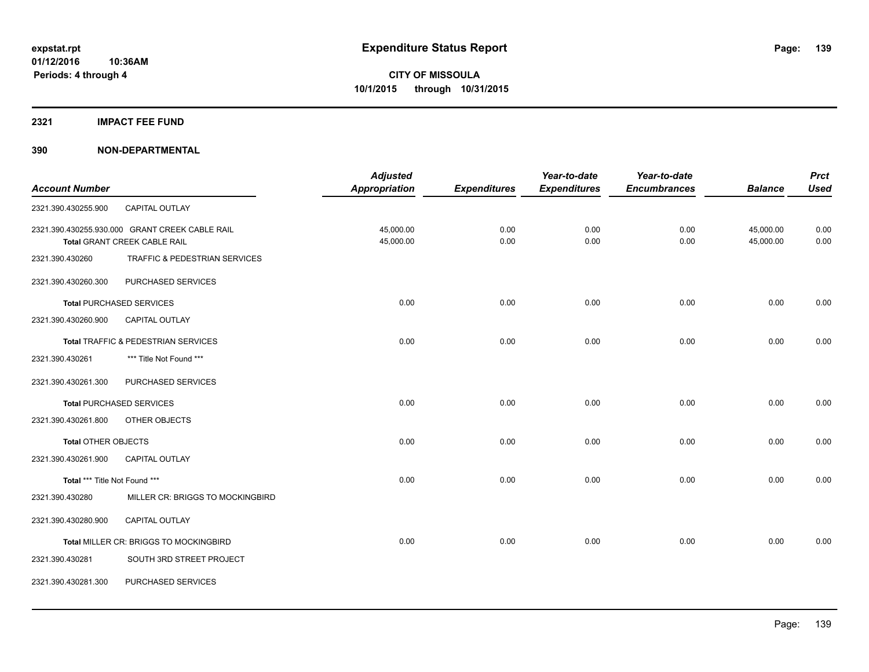#### **2321 IMPACT FEE FUND**

|                               |                                                | <b>Adjusted</b>      |                     | Year-to-date        | Year-to-date        |                | <b>Prct</b> |
|-------------------------------|------------------------------------------------|----------------------|---------------------|---------------------|---------------------|----------------|-------------|
| <b>Account Number</b>         |                                                | <b>Appropriation</b> | <b>Expenditures</b> | <b>Expenditures</b> | <b>Encumbrances</b> | <b>Balance</b> | <b>Used</b> |
| 2321.390.430255.900           | CAPITAL OUTLAY                                 |                      |                     |                     |                     |                |             |
|                               | 2321.390.430255.930.000 GRANT CREEK CABLE RAIL | 45,000.00            | 0.00                | 0.00                | 0.00                | 45,000.00      | 0.00        |
|                               | Total GRANT CREEK CABLE RAIL                   | 45,000.00            | 0.00                | 0.00                | 0.00                | 45,000.00      | 0.00        |
| 2321.390.430260               | TRAFFIC & PEDESTRIAN SERVICES                  |                      |                     |                     |                     |                |             |
| 2321.390.430260.300           | PURCHASED SERVICES                             |                      |                     |                     |                     |                |             |
|                               | <b>Total PURCHASED SERVICES</b>                | 0.00                 | 0.00                | 0.00                | 0.00                | 0.00           | 0.00        |
| 2321.390.430260.900           | CAPITAL OUTLAY                                 |                      |                     |                     |                     |                |             |
|                               | Total TRAFFIC & PEDESTRIAN SERVICES            | 0.00                 | 0.00                | 0.00                | 0.00                | 0.00           | 0.00        |
| 2321.390.430261               | *** Title Not Found ***                        |                      |                     |                     |                     |                |             |
| 2321.390.430261.300           | PURCHASED SERVICES                             |                      |                     |                     |                     |                |             |
|                               | <b>Total PURCHASED SERVICES</b>                | 0.00                 | 0.00                | 0.00                | 0.00                | 0.00           | 0.00        |
| 2321.390.430261.800           | OTHER OBJECTS                                  |                      |                     |                     |                     |                |             |
| <b>Total OTHER OBJECTS</b>    |                                                | 0.00                 | 0.00                | 0.00                | 0.00                | 0.00           | 0.00        |
| 2321.390.430261.900           | CAPITAL OUTLAY                                 |                      |                     |                     |                     |                |             |
| Total *** Title Not Found *** |                                                | 0.00                 | 0.00                | 0.00                | 0.00                | 0.00           | 0.00        |
| 2321.390.430280               | MILLER CR: BRIGGS TO MOCKINGBIRD               |                      |                     |                     |                     |                |             |
| 2321.390.430280.900           | CAPITAL OUTLAY                                 |                      |                     |                     |                     |                |             |
|                               | Total MILLER CR: BRIGGS TO MOCKINGBIRD         | 0.00                 | 0.00                | 0.00                | 0.00                | 0.00           | 0.00        |
| 2321.390.430281               | SOUTH 3RD STREET PROJECT                       |                      |                     |                     |                     |                |             |
| 2321.390.430281.300           | PURCHASED SERVICES                             |                      |                     |                     |                     |                |             |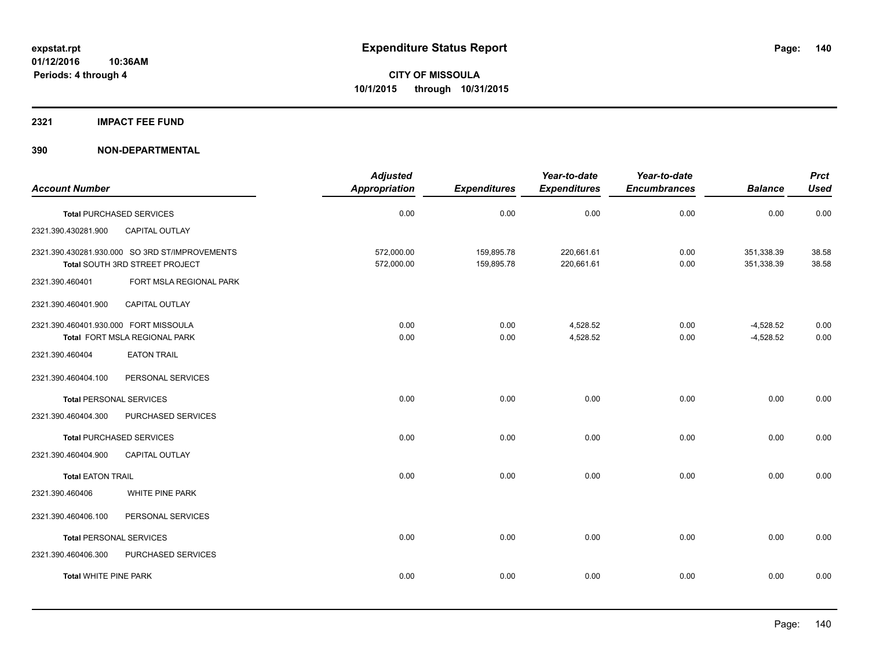#### **2321 IMPACT FEE FUND**

|                                       |                                                                                  | <b>Adjusted</b>          |                          | Year-to-date             | Year-to-date        |                            | <b>Prct</b>    |
|---------------------------------------|----------------------------------------------------------------------------------|--------------------------|--------------------------|--------------------------|---------------------|----------------------------|----------------|
| <b>Account Number</b>                 |                                                                                  | <b>Appropriation</b>     | <b>Expenditures</b>      | <b>Expenditures</b>      | <b>Encumbrances</b> | <b>Balance</b>             | <b>Used</b>    |
|                                       | <b>Total PURCHASED SERVICES</b>                                                  | 0.00                     | 0.00                     | 0.00                     | 0.00                | 0.00                       | 0.00           |
| 2321.390.430281.900                   | CAPITAL OUTLAY                                                                   |                          |                          |                          |                     |                            |                |
|                                       | 2321.390.430281.930.000 SO 3RD ST/IMPROVEMENTS<br>Total SOUTH 3RD STREET PROJECT | 572,000.00<br>572,000.00 | 159,895.78<br>159,895.78 | 220,661.61<br>220,661.61 | 0.00<br>0.00        | 351,338.39<br>351,338.39   | 38.58<br>38.58 |
| 2321.390.460401                       | FORT MSLA REGIONAL PARK                                                          |                          |                          |                          |                     |                            |                |
| 2321.390.460401.900                   | <b>CAPITAL OUTLAY</b>                                                            |                          |                          |                          |                     |                            |                |
| 2321.390.460401.930.000 FORT MISSOULA | Total FORT MSLA REGIONAL PARK                                                    | 0.00<br>0.00             | 0.00<br>0.00             | 4,528.52<br>4,528.52     | 0.00<br>0.00        | $-4,528.52$<br>$-4,528.52$ | 0.00<br>0.00   |
| 2321.390.460404                       | <b>EATON TRAIL</b>                                                               |                          |                          |                          |                     |                            |                |
| 2321.390.460404.100                   | PERSONAL SERVICES                                                                |                          |                          |                          |                     |                            |                |
| <b>Total PERSONAL SERVICES</b>        |                                                                                  | 0.00                     | 0.00                     | 0.00                     | 0.00                | 0.00                       | 0.00           |
| 2321.390.460404.300                   | PURCHASED SERVICES                                                               |                          |                          |                          |                     |                            |                |
|                                       | <b>Total PURCHASED SERVICES</b>                                                  | 0.00                     | 0.00                     | 0.00                     | 0.00                | 0.00                       | 0.00           |
| 2321.390.460404.900                   | CAPITAL OUTLAY                                                                   |                          |                          |                          |                     |                            |                |
| <b>Total EATON TRAIL</b>              |                                                                                  | 0.00                     | 0.00                     | 0.00                     | 0.00                | 0.00                       | 0.00           |
| 2321.390.460406                       | WHITE PINE PARK                                                                  |                          |                          |                          |                     |                            |                |
| 2321.390.460406.100                   | PERSONAL SERVICES                                                                |                          |                          |                          |                     |                            |                |
| <b>Total PERSONAL SERVICES</b>        |                                                                                  | 0.00                     | 0.00                     | 0.00                     | 0.00                | 0.00                       | 0.00           |
| 2321.390.460406.300                   | PURCHASED SERVICES                                                               |                          |                          |                          |                     |                            |                |
| <b>Total WHITE PINE PARK</b>          |                                                                                  | 0.00                     | 0.00                     | 0.00                     | 0.00                | 0.00                       | 0.00           |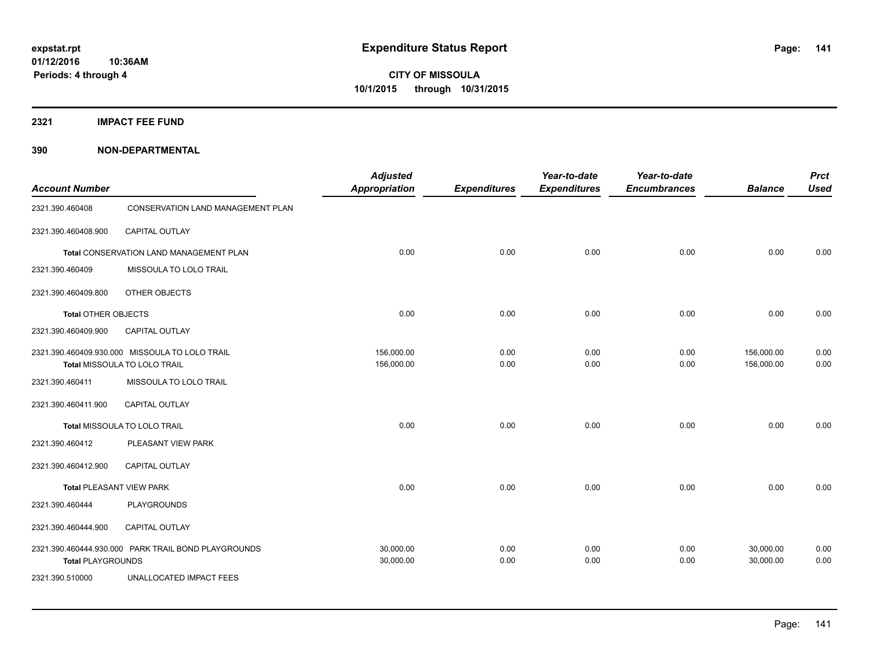**2321 IMPACT FEE FUND**

| <b>Account Number</b>           |                                                                                | <b>Adjusted</b><br><b>Appropriation</b> | <b>Expenditures</b> | Year-to-date<br><b>Expenditures</b> | Year-to-date<br><b>Encumbrances</b> | <b>Balance</b>           | <b>Prct</b><br><b>Used</b> |
|---------------------------------|--------------------------------------------------------------------------------|-----------------------------------------|---------------------|-------------------------------------|-------------------------------------|--------------------------|----------------------------|
| 2321.390.460408                 | <b>CONSERVATION LAND MANAGEMENT PLAN</b>                                       |                                         |                     |                                     |                                     |                          |                            |
| 2321.390.460408.900             | <b>CAPITAL OUTLAY</b>                                                          |                                         |                     |                                     |                                     |                          |                            |
|                                 | Total CONSERVATION LAND MANAGEMENT PLAN                                        | 0.00                                    | 0.00                | 0.00                                | 0.00                                | 0.00                     | 0.00                       |
| 2321.390.460409                 | MISSOULA TO LOLO TRAIL                                                         |                                         |                     |                                     |                                     |                          |                            |
| 2321.390.460409.800             | OTHER OBJECTS                                                                  |                                         |                     |                                     |                                     |                          |                            |
| <b>Total OTHER OBJECTS</b>      |                                                                                | 0.00                                    | 0.00                | 0.00                                | 0.00                                | 0.00                     | 0.00                       |
| 2321.390.460409.900             | <b>CAPITAL OUTLAY</b>                                                          |                                         |                     |                                     |                                     |                          |                            |
|                                 | 2321.390.460409.930.000 MISSOULA TO LOLO TRAIL<br>Total MISSOULA TO LOLO TRAIL | 156,000.00<br>156,000.00                | 0.00<br>0.00        | 0.00<br>0.00                        | 0.00<br>0.00                        | 156,000.00<br>156,000.00 | 0.00<br>0.00               |
| 2321.390.460411                 | MISSOULA TO LOLO TRAIL                                                         |                                         |                     |                                     |                                     |                          |                            |
| 2321.390.460411.900             | <b>CAPITAL OUTLAY</b>                                                          |                                         |                     |                                     |                                     |                          |                            |
|                                 | Total MISSOULA TO LOLO TRAIL                                                   | 0.00                                    | 0.00                | 0.00                                | 0.00                                | 0.00                     | 0.00                       |
| 2321.390.460412                 | PLEASANT VIEW PARK                                                             |                                         |                     |                                     |                                     |                          |                            |
| 2321.390.460412.900             | CAPITAL OUTLAY                                                                 |                                         |                     |                                     |                                     |                          |                            |
| <b>Total PLEASANT VIEW PARK</b> |                                                                                | 0.00                                    | 0.00                | 0.00                                | 0.00                                | 0.00                     | 0.00                       |
| 2321.390.460444                 | PLAYGROUNDS                                                                    |                                         |                     |                                     |                                     |                          |                            |
| 2321.390.460444.900             | CAPITAL OUTLAY                                                                 |                                         |                     |                                     |                                     |                          |                            |
| <b>Total PLAYGROUNDS</b>        | 2321.390.460444.930.000 PARK TRAIL BOND PLAYGROUNDS                            | 30,000.00<br>30,000.00                  | 0.00<br>0.00        | 0.00<br>0.00                        | 0.00<br>0.00                        | 30,000.00<br>30,000.00   | 0.00<br>0.00               |
| 2321.390.510000                 | <b>UNALLOCATED IMPACT FEES</b>                                                 |                                         |                     |                                     |                                     |                          |                            |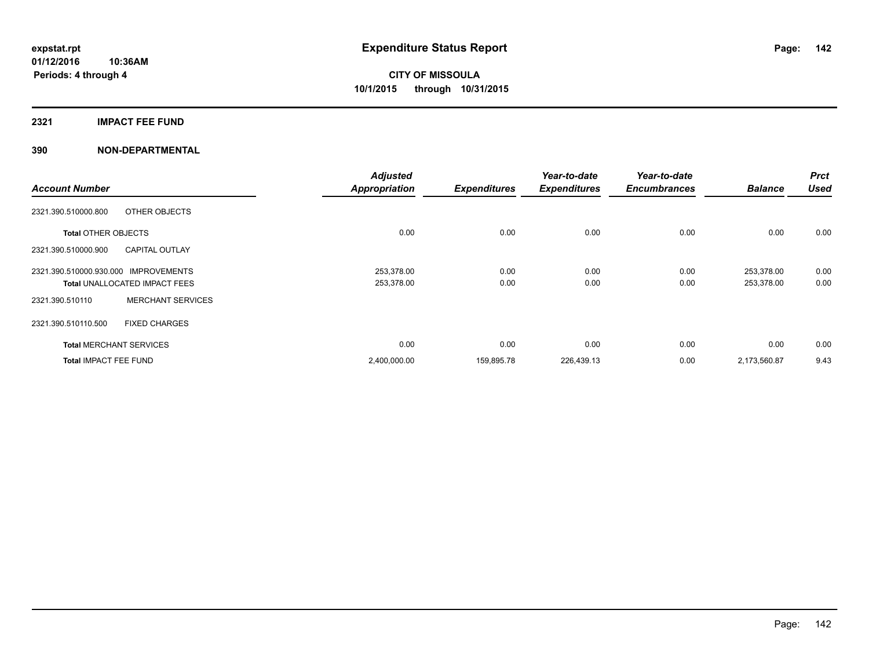## **2321 IMPACT FEE FUND**

| <b>Account Number</b>                                                                  | <b>Adjusted</b><br><b>Appropriation</b> | <b>Expenditures</b> | Year-to-date<br><b>Expenditures</b> | Year-to-date<br><b>Encumbrances</b> | <b>Balance</b>           | <b>Prct</b><br><b>Used</b> |
|----------------------------------------------------------------------------------------|-----------------------------------------|---------------------|-------------------------------------|-------------------------------------|--------------------------|----------------------------|
| OTHER OBJECTS<br>2321.390.510000.800                                                   |                                         |                     |                                     |                                     |                          |                            |
| <b>Total OTHER OBJECTS</b>                                                             | 0.00                                    | 0.00                | 0.00                                | 0.00                                | 0.00                     | 0.00                       |
| <b>CAPITAL OUTLAY</b><br>2321.390.510000.900                                           |                                         |                     |                                     |                                     |                          |                            |
| 2321.390.510000.930.000<br><b>IMPROVEMENTS</b><br><b>Total UNALLOCATED IMPACT FEES</b> | 253,378.00<br>253,378.00                | 0.00<br>0.00        | 0.00<br>0.00                        | 0.00<br>0.00                        | 253,378.00<br>253,378.00 | 0.00<br>0.00               |
| <b>MERCHANT SERVICES</b><br>2321.390.510110                                            |                                         |                     |                                     |                                     |                          |                            |
| 2321.390.510110.500<br><b>FIXED CHARGES</b>                                            |                                         |                     |                                     |                                     |                          |                            |
| <b>Total MERCHANT SERVICES</b>                                                         | 0.00                                    | 0.00                | 0.00                                | 0.00                                | 0.00                     | 0.00                       |
| <b>Total IMPACT FEE FUND</b>                                                           | 2,400,000.00                            | 159,895.78          | 226,439.13                          | 0.00                                | 2,173,560.87             | 9.43                       |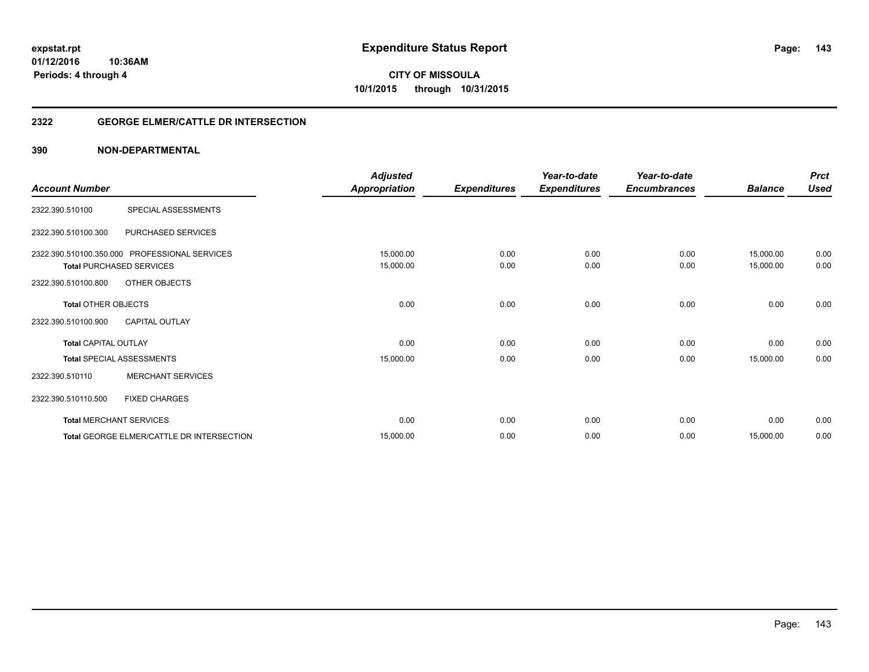**143**

**01/12/2016 10:36AM Periods: 4 through 4**

**CITY OF MISSOULA 10/1/2015 through 10/31/2015**

## **2322 GEORGE ELMER/CATTLE DR INTERSECTION**

|                             |                                               | <b>Adjusted</b>      |                     | Year-to-date        | Year-to-date        |                | <b>Prct</b> |
|-----------------------------|-----------------------------------------------|----------------------|---------------------|---------------------|---------------------|----------------|-------------|
| <b>Account Number</b>       |                                               | <b>Appropriation</b> | <b>Expenditures</b> | <b>Expenditures</b> | <b>Encumbrances</b> | <b>Balance</b> | <b>Used</b> |
| 2322.390.510100             | SPECIAL ASSESSMENTS                           |                      |                     |                     |                     |                |             |
| 2322.390.510100.300         | PURCHASED SERVICES                            |                      |                     |                     |                     |                |             |
|                             | 2322.390.510100.350.000 PROFESSIONAL SERVICES | 15,000.00            | 0.00                | 0.00                | 0.00                | 15,000.00      | 0.00        |
|                             | <b>Total PURCHASED SERVICES</b>               | 15,000.00            | 0.00                | 0.00                | 0.00                | 15,000.00      | 0.00        |
| 2322.390.510100.800         | OTHER OBJECTS                                 |                      |                     |                     |                     |                |             |
| <b>Total OTHER OBJECTS</b>  |                                               | 0.00                 | 0.00                | 0.00                | 0.00                | 0.00           | 0.00        |
| 2322.390.510100.900         | <b>CAPITAL OUTLAY</b>                         |                      |                     |                     |                     |                |             |
| <b>Total CAPITAL OUTLAY</b> |                                               | 0.00                 | 0.00                | 0.00                | 0.00                | 0.00           | 0.00        |
|                             | <b>Total SPECIAL ASSESSMENTS</b>              | 15,000.00            | 0.00                | 0.00                | 0.00                | 15,000.00      | 0.00        |
| 2322.390.510110             | <b>MERCHANT SERVICES</b>                      |                      |                     |                     |                     |                |             |
| 2322.390.510110.500         | <b>FIXED CHARGES</b>                          |                      |                     |                     |                     |                |             |
|                             | <b>Total MERCHANT SERVICES</b>                | 0.00                 | 0.00                | 0.00                | 0.00                | 0.00           | 0.00        |
|                             | Total GEORGE ELMER/CATTLE DR INTERSECTION     | 15,000.00            | 0.00                | 0.00                | 0.00                | 15,000.00      | 0.00        |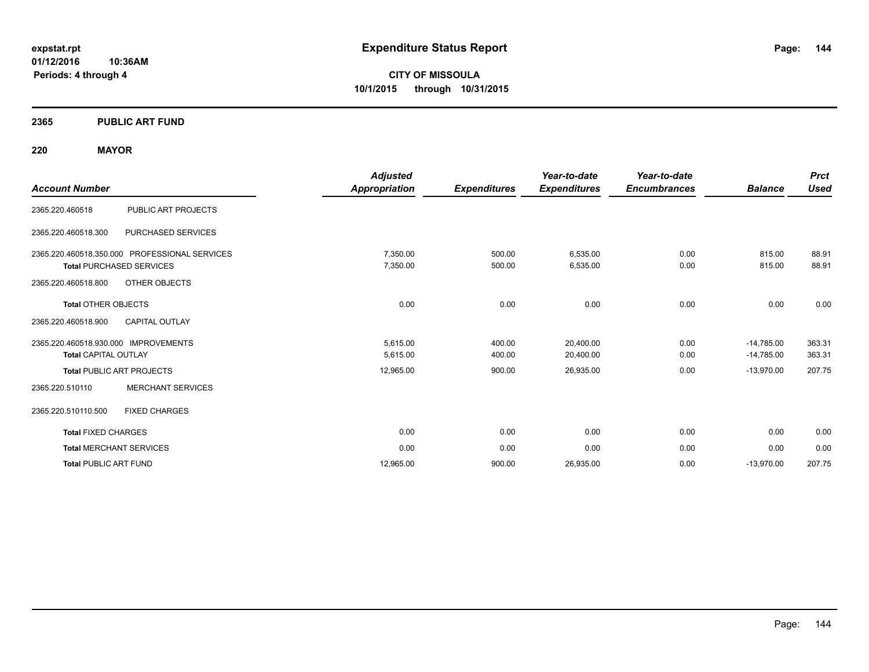**01/12/2016 10:36AM Periods: 4 through 4**

**CITY OF MISSOULA 10/1/2015 through 10/31/2015**

## **2365 PUBLIC ART FUND**

## **220 MAYOR**

| <b>Account Number</b>                                                            | <b>Adjusted</b><br>Appropriation | <b>Expenditures</b> | Year-to-date<br><b>Expenditures</b> | Year-to-date<br><b>Encumbrances</b> | <b>Balance</b>               | <b>Prct</b><br><b>Used</b> |
|----------------------------------------------------------------------------------|----------------------------------|---------------------|-------------------------------------|-------------------------------------|------------------------------|----------------------------|
| <b>PUBLIC ART PROJECTS</b><br>2365.220.460518                                    |                                  |                     |                                     |                                     |                              |                            |
| PURCHASED SERVICES<br>2365.220.460518.300                                        |                                  |                     |                                     |                                     |                              |                            |
| 2365.220.460518.350.000 PROFESSIONAL SERVICES<br><b>Total PURCHASED SERVICES</b> | 7,350.00<br>7,350.00             | 500.00<br>500.00    | 6,535.00<br>6,535.00                | 0.00<br>0.00                        | 815.00<br>815.00             | 88.91<br>88.91             |
| 2365.220.460518.800<br>OTHER OBJECTS<br><b>Total OTHER OBJECTS</b>               | 0.00                             | 0.00                | 0.00                                | 0.00                                | 0.00                         | 0.00                       |
| <b>CAPITAL OUTLAY</b><br>2365.220.460518.900                                     |                                  |                     |                                     |                                     |                              |                            |
| 2365.220.460518.930.000 IMPROVEMENTS<br><b>Total CAPITAL OUTLAY</b>              | 5.615.00<br>5,615.00             | 400.00<br>400.00    | 20,400.00<br>20,400.00              | 0.00<br>0.00                        | $-14,785.00$<br>$-14,785.00$ | 363.31<br>363.31           |
| <b>Total PUBLIC ART PROJECTS</b>                                                 | 12,965.00                        | 900.00              | 26,935.00                           | 0.00                                | $-13,970.00$                 | 207.75                     |
| <b>MERCHANT SERVICES</b><br>2365.220.510110                                      |                                  |                     |                                     |                                     |                              |                            |
| 2365.220.510110.500<br><b>FIXED CHARGES</b>                                      |                                  |                     |                                     |                                     |                              |                            |
| <b>Total FIXED CHARGES</b>                                                       | 0.00                             | 0.00                | 0.00                                | 0.00                                | 0.00                         | 0.00                       |
| <b>Total MERCHANT SERVICES</b>                                                   | 0.00                             | 0.00                | 0.00                                | 0.00                                | 0.00                         | 0.00                       |
| <b>Total PUBLIC ART FUND</b>                                                     | 12,965.00                        | 900.00              | 26,935.00                           | 0.00                                | $-13,970.00$                 | 207.75                     |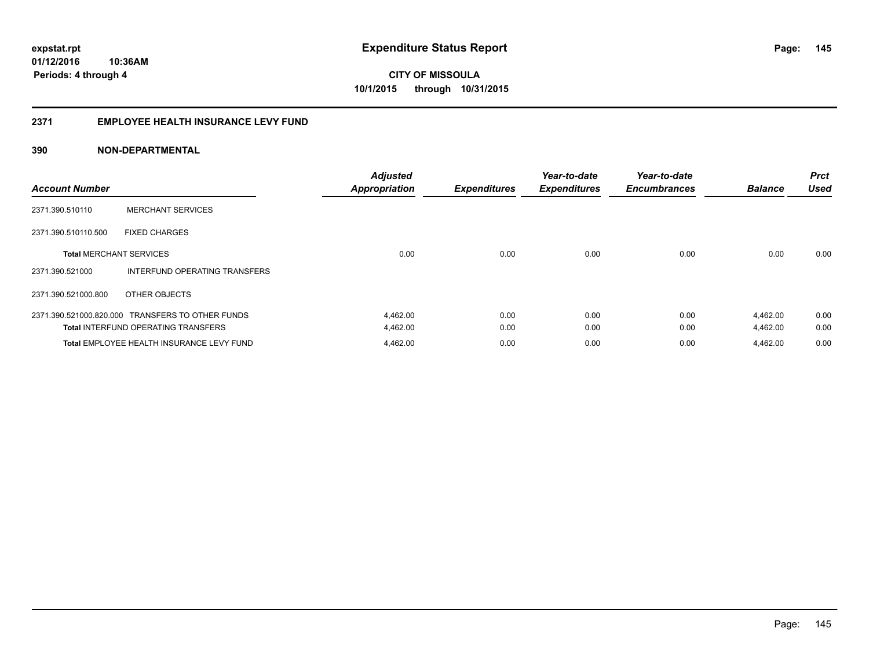### **2371 EMPLOYEE HEALTH INSURANCE LEVY FUND**

| <b>Account Number</b>          |                                                  | <b>Adjusted</b><br><b>Appropriation</b> | <b>Expenditures</b> | Year-to-date<br><b>Expenditures</b> | Year-to-date<br><b>Encumbrances</b> | <b>Balance</b> | <b>Prct</b><br><b>Used</b> |
|--------------------------------|--------------------------------------------------|-----------------------------------------|---------------------|-------------------------------------|-------------------------------------|----------------|----------------------------|
| 2371.390.510110                | <b>MERCHANT SERVICES</b>                         |                                         |                     |                                     |                                     |                |                            |
| 2371.390.510110.500            | <b>FIXED CHARGES</b>                             |                                         |                     |                                     |                                     |                |                            |
| <b>Total MERCHANT SERVICES</b> |                                                  | 0.00                                    | 0.00                | 0.00                                | 0.00                                | 0.00           | 0.00                       |
| 2371.390.521000                | INTERFUND OPERATING TRANSFERS                    |                                         |                     |                                     |                                     |                |                            |
| 2371.390.521000.800            | OTHER OBJECTS                                    |                                         |                     |                                     |                                     |                |                            |
|                                | 2371.390.521000.820.000 TRANSFERS TO OTHER FUNDS | 4,462.00                                | 0.00                | 0.00                                | 0.00                                | 4,462.00       | 0.00                       |
|                                | <b>Total INTERFUND OPERATING TRANSFERS</b>       | 4,462.00                                | 0.00                | 0.00                                | 0.00                                | 4,462.00       | 0.00                       |
|                                | Total EMPLOYEE HEALTH INSURANCE LEVY FUND        | 4,462.00                                | 0.00                | 0.00                                | 0.00                                | 4,462.00       | 0.00                       |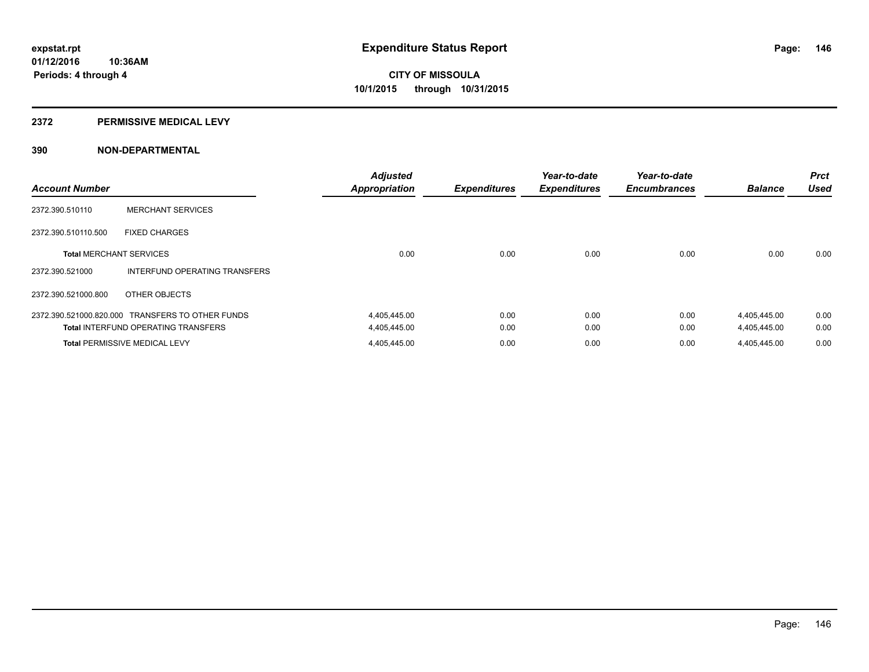#### **2372 PERMISSIVE MEDICAL LEVY**

| <b>Account Number</b>          |                                                  | <b>Adjusted</b><br><b>Appropriation</b> | <b>Expenditures</b> | Year-to-date<br><b>Expenditures</b> | Year-to-date<br><b>Encumbrances</b> | <b>Balance</b> | <b>Prct</b><br><b>Used</b> |
|--------------------------------|--------------------------------------------------|-----------------------------------------|---------------------|-------------------------------------|-------------------------------------|----------------|----------------------------|
| 2372.390.510110                | <b>MERCHANT SERVICES</b>                         |                                         |                     |                                     |                                     |                |                            |
| 2372.390.510110.500            | <b>FIXED CHARGES</b>                             |                                         |                     |                                     |                                     |                |                            |
| <b>Total MERCHANT SERVICES</b> |                                                  | 0.00                                    | 0.00                | 0.00                                | 0.00                                | 0.00           | 0.00                       |
| 2372.390.521000                | INTERFUND OPERATING TRANSFERS                    |                                         |                     |                                     |                                     |                |                            |
| 2372.390.521000.800            | OTHER OBJECTS                                    |                                         |                     |                                     |                                     |                |                            |
|                                | 2372.390.521000.820.000 TRANSFERS TO OTHER FUNDS | 4,405,445.00                            | 0.00                | 0.00                                | 0.00                                | 4,405,445.00   | 0.00                       |
|                                | <b>Total INTERFUND OPERATING TRANSFERS</b>       | 4,405,445.00                            | 0.00                | 0.00                                | 0.00                                | 4,405,445.00   | 0.00                       |
|                                | <b>Total PERMISSIVE MEDICAL LEVY</b>             | 4,405,445.00                            | 0.00                | 0.00                                | 0.00                                | 4.405.445.00   | 0.00                       |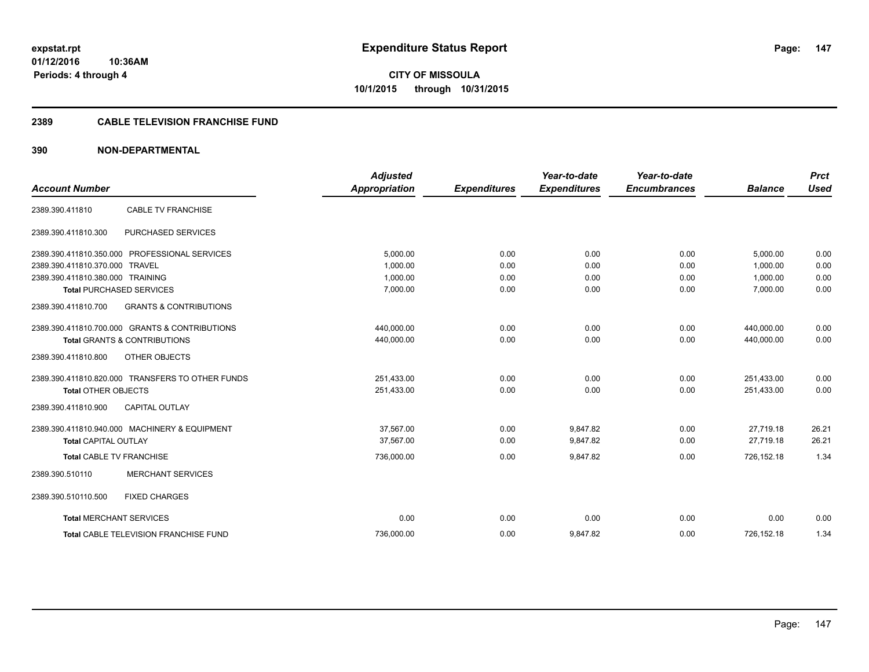**CITY OF MISSOULA 10/1/2015 through 10/31/2015**

## **2389 CABLE TELEVISION FRANCHISE FUND**

| <b>Account Number</b>            |                                                  | Adjusted<br><b>Appropriation</b> | <b>Expenditures</b> | Year-to-date<br><b>Expenditures</b> | Year-to-date<br><b>Encumbrances</b> | <b>Balance</b> | <b>Prct</b><br><b>Used</b> |
|----------------------------------|--------------------------------------------------|----------------------------------|---------------------|-------------------------------------|-------------------------------------|----------------|----------------------------|
| 2389.390.411810                  | <b>CABLE TV FRANCHISE</b>                        |                                  |                     |                                     |                                     |                |                            |
| 2389.390.411810.300              | PURCHASED SERVICES                               |                                  |                     |                                     |                                     |                |                            |
|                                  | 2389.390.411810.350.000 PROFESSIONAL SERVICES    | 5,000.00                         | 0.00                | 0.00                                | 0.00                                | 5,000.00       | 0.00                       |
| 2389.390.411810.370.000 TRAVEL   |                                                  | 1,000.00                         | 0.00                | 0.00                                | 0.00                                | 1,000.00       | 0.00                       |
| 2389.390.411810.380.000 TRAINING |                                                  | 1,000.00                         | 0.00                | 0.00                                | 0.00                                | 1,000.00       | 0.00                       |
|                                  | <b>Total PURCHASED SERVICES</b>                  | 7,000.00                         | 0.00                | 0.00                                | 0.00                                | 7,000.00       | 0.00                       |
| 2389.390.411810.700              | <b>GRANTS &amp; CONTRIBUTIONS</b>                |                                  |                     |                                     |                                     |                |                            |
|                                  | 2389.390.411810.700.000 GRANTS & CONTRIBUTIONS   | 440,000.00                       | 0.00                | 0.00                                | 0.00                                | 440,000.00     | 0.00                       |
|                                  | <b>Total GRANTS &amp; CONTRIBUTIONS</b>          | 440,000.00                       | 0.00                | 0.00                                | 0.00                                | 440,000.00     | 0.00                       |
| 2389.390.411810.800              | OTHER OBJECTS                                    |                                  |                     |                                     |                                     |                |                            |
|                                  | 2389.390.411810.820.000 TRANSFERS TO OTHER FUNDS | 251,433.00                       | 0.00                | 0.00                                | 0.00                                | 251,433.00     | 0.00                       |
| <b>Total OTHER OBJECTS</b>       |                                                  | 251,433.00                       | 0.00                | 0.00                                | 0.00                                | 251.433.00     | 0.00                       |
| 2389.390.411810.900              | <b>CAPITAL OUTLAY</b>                            |                                  |                     |                                     |                                     |                |                            |
|                                  | 2389.390.411810.940.000 MACHINERY & EQUIPMENT    | 37,567.00                        | 0.00                | 9,847.82                            | 0.00                                | 27,719.18      | 26.21                      |
| <b>Total CAPITAL OUTLAY</b>      |                                                  | 37.567.00                        | 0.00                | 9,847.82                            | 0.00                                | 27.719.18      | 26.21                      |
| <b>Total CABLE TV FRANCHISE</b>  |                                                  | 736,000.00                       | 0.00                | 9,847.82                            | 0.00                                | 726,152.18     | 1.34                       |
| 2389.390.510110                  | <b>MERCHANT SERVICES</b>                         |                                  |                     |                                     |                                     |                |                            |
| 2389.390.510110.500              | <b>FIXED CHARGES</b>                             |                                  |                     |                                     |                                     |                |                            |
| <b>Total MERCHANT SERVICES</b>   |                                                  | 0.00                             | 0.00                | 0.00                                | 0.00                                | 0.00           | 0.00                       |
|                                  | Total CABLE TELEVISION FRANCHISE FUND            | 736,000.00                       | 0.00                | 9,847.82                            | 0.00                                | 726,152.18     | 1.34                       |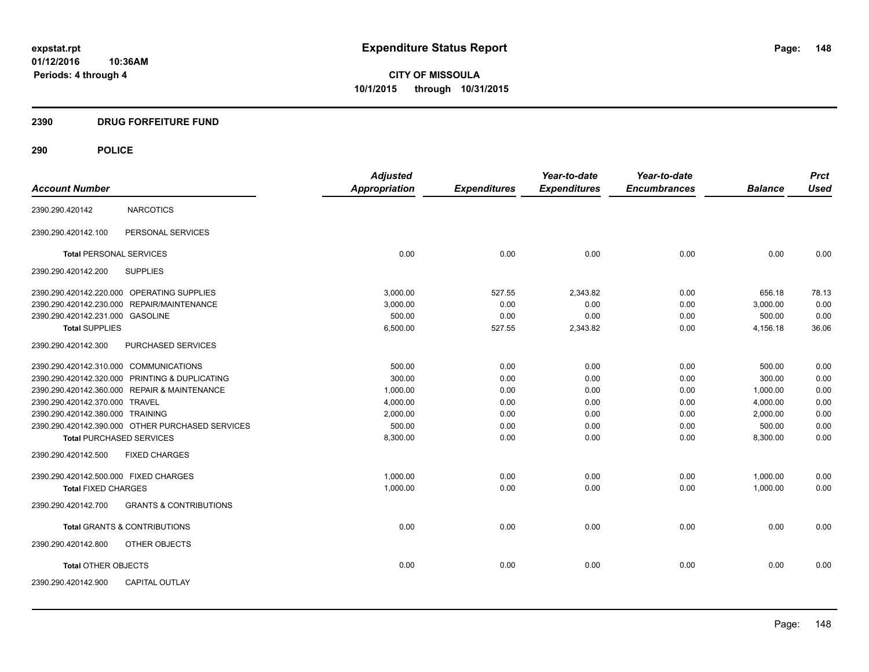**CITY OF MISSOULA 10/1/2015 through 10/31/2015**

# **2390 DRUG FORFEITURE FUND**

|                                                          | <b>Adjusted</b> |                     | Year-to-date        | Year-to-date        |                | <b>Prct</b> |
|----------------------------------------------------------|-----------------|---------------------|---------------------|---------------------|----------------|-------------|
| <b>Account Number</b>                                    | Appropriation   | <b>Expenditures</b> | <b>Expenditures</b> | <b>Encumbrances</b> | <b>Balance</b> | <b>Used</b> |
| <b>NARCOTICS</b><br>2390.290.420142                      |                 |                     |                     |                     |                |             |
| PERSONAL SERVICES<br>2390.290.420142.100                 |                 |                     |                     |                     |                |             |
| <b>Total PERSONAL SERVICES</b>                           | 0.00            | 0.00                | 0.00                | 0.00                | 0.00           | 0.00        |
| <b>SUPPLIES</b><br>2390.290.420142.200                   |                 |                     |                     |                     |                |             |
| 2390.290.420142.220.000 OPERATING SUPPLIES               | 3,000.00        | 527.55              | 2,343.82            | 0.00                | 656.18         | 78.13       |
| 2390.290.420142.230.000 REPAIR/MAINTENANCE               | 3,000.00        | 0.00                | 0.00                | 0.00                | 3,000.00       | 0.00        |
| 2390.290.420142.231.000 GASOLINE                         | 500.00          | 0.00                | 0.00                | 0.00                | 500.00         | 0.00        |
| <b>Total SUPPLIES</b>                                    | 6,500.00        | 527.55              | 2,343.82            | 0.00                | 4,156.18       | 36.06       |
| 2390.290.420142.300<br>PURCHASED SERVICES                |                 |                     |                     |                     |                |             |
| 2390.290.420142.310.000 COMMUNICATIONS                   | 500.00          | 0.00                | 0.00                | 0.00                | 500.00         | 0.00        |
| 2390.290.420142.320.000 PRINTING & DUPLICATING           | 300.00          | 0.00                | 0.00                | 0.00                | 300.00         | 0.00        |
| 2390.290.420142.360.000 REPAIR & MAINTENANCE             | 1,000.00        | 0.00                | 0.00                | 0.00                | 1,000.00       | 0.00        |
| 2390.290.420142.370.000 TRAVEL                           | 4,000.00        | 0.00                | 0.00                | 0.00                | 4,000.00       | 0.00        |
| 2390.290.420142.380.000 TRAINING                         | 2,000.00        | 0.00                | 0.00                | 0.00                | 2,000.00       | 0.00        |
| 2390.290.420142.390.000 OTHER PURCHASED SERVICES         | 500.00          | 0.00                | 0.00                | 0.00                | 500.00         | 0.00        |
| <b>Total PURCHASED SERVICES</b>                          | 8,300.00        | 0.00                | 0.00                | 0.00                | 8,300.00       | 0.00        |
| 2390.290.420142.500<br><b>FIXED CHARGES</b>              |                 |                     |                     |                     |                |             |
| 2390.290.420142.500.000 FIXED CHARGES                    | 1,000.00        | 0.00                | 0.00                | 0.00                | 1,000.00       | 0.00        |
| <b>Total FIXED CHARGES</b>                               | 1,000.00        | 0.00                | 0.00                | 0.00                | 1,000.00       | 0.00        |
| <b>GRANTS &amp; CONTRIBUTIONS</b><br>2390.290.420142.700 |                 |                     |                     |                     |                |             |
| <b>Total GRANTS &amp; CONTRIBUTIONS</b>                  | 0.00            | 0.00                | 0.00                | 0.00                | 0.00           | 0.00        |
| 2390.290.420142.800<br>OTHER OBJECTS                     |                 |                     |                     |                     |                |             |
| <b>Total OTHER OBJECTS</b>                               | 0.00            | 0.00                | 0.00                | 0.00                | 0.00           | 0.00        |
| <b>CAPITAL OUTLAY</b><br>2390.290.420142.900             |                 |                     |                     |                     |                |             |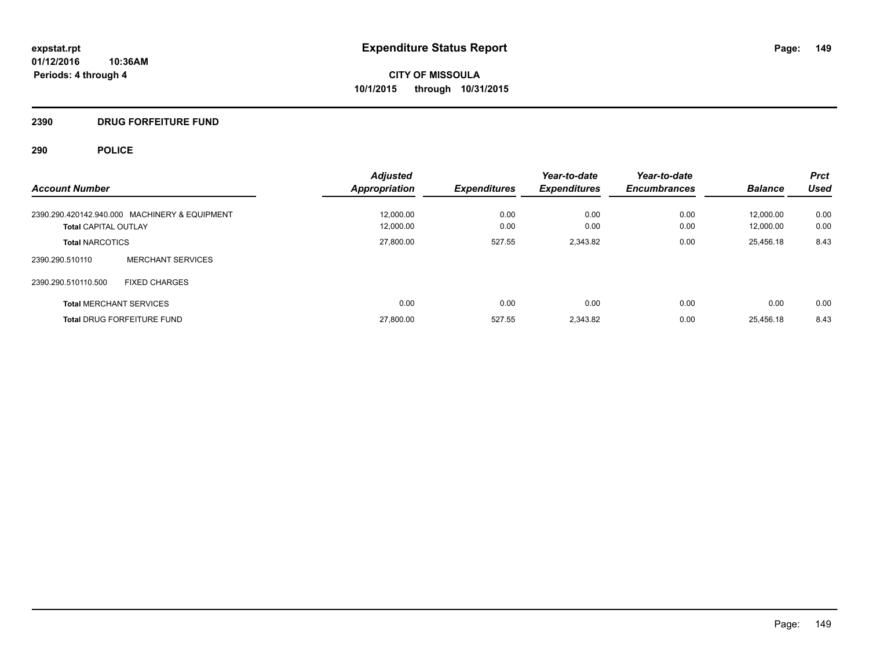# **2390 DRUG FORFEITURE FUND**

|                                               | <b>Adjusted</b>      |                     | Year-to-date        | Year-to-date        |                | <b>Prct</b> |
|-----------------------------------------------|----------------------|---------------------|---------------------|---------------------|----------------|-------------|
| <b>Account Number</b>                         | <b>Appropriation</b> | <b>Expenditures</b> | <b>Expenditures</b> | <b>Encumbrances</b> | <b>Balance</b> | <b>Used</b> |
| 2390.290.420142.940.000 MACHINERY & EQUIPMENT | 12,000.00            | 0.00                | 0.00                | 0.00                | 12.000.00      | 0.00        |
| <b>Total CAPITAL OUTLAY</b>                   | 12.000.00            | 0.00                | 0.00                | 0.00                | 12.000.00      | 0.00        |
| <b>Total NARCOTICS</b>                        | 27,800.00            | 527.55              | 2,343.82            | 0.00                | 25,456.18      | 8.43        |
| <b>MERCHANT SERVICES</b><br>2390.290.510110   |                      |                     |                     |                     |                |             |
| 2390.290.510110.500<br><b>FIXED CHARGES</b>   |                      |                     |                     |                     |                |             |
| <b>Total MERCHANT SERVICES</b>                | 0.00                 | 0.00                | 0.00                | 0.00                | 0.00           | 0.00        |
| <b>Total DRUG FORFEITURE FUND</b>             | 27,800.00            | 527.55              | 2.343.82            | 0.00                | 25.456.18      | 8.43        |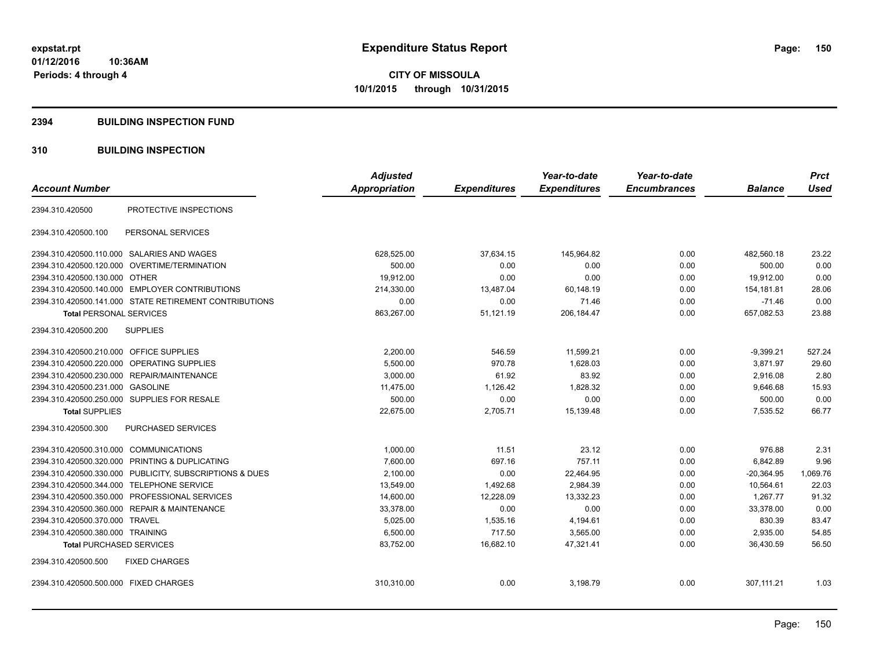#### **2394 BUILDING INSPECTION FUND**

## **310 BUILDING INSPECTION**

| <b>Account Number</b>                                   | <b>Adjusted</b><br><b>Appropriation</b> | <b>Expenditures</b> | Year-to-date<br><b>Expenditures</b> | Year-to-date<br><b>Encumbrances</b> | <b>Balance</b> | <b>Prct</b><br><b>Used</b> |
|---------------------------------------------------------|-----------------------------------------|---------------------|-------------------------------------|-------------------------------------|----------------|----------------------------|
| PROTECTIVE INSPECTIONS<br>2394.310.420500               |                                         |                     |                                     |                                     |                |                            |
| PERSONAL SERVICES<br>2394.310.420500.100                |                                         |                     |                                     |                                     |                |                            |
| 2394.310.420500.110.000 SALARIES AND WAGES              | 628,525.00                              | 37,634.15           | 145,964.82                          | 0.00                                | 482,560.18     | 23.22                      |
| OVERTIME/TERMINATION<br>2394.310.420500.120.000         | 500.00                                  | 0.00                | 0.00                                | 0.00                                | 500.00         | 0.00                       |
| 2394.310.420500.130.000 OTHER                           | 19,912.00                               | 0.00                | 0.00                                | 0.00                                | 19,912.00      | 0.00                       |
| 2394.310.420500.140.000 EMPLOYER CONTRIBUTIONS          | 214,330.00                              | 13,487.04           | 60,148.19                           | 0.00                                | 154.181.81     | 28.06                      |
| 2394.310.420500.141.000 STATE RETIREMENT CONTRIBUTIONS  | 0.00                                    | 0.00                | 71.46                               | 0.00                                | $-71.46$       | 0.00                       |
| <b>Total PERSONAL SERVICES</b>                          | 863,267.00                              | 51,121.19           | 206, 184. 47                        | 0.00                                | 657,082.53     | 23.88                      |
| 2394.310.420500.200<br><b>SUPPLIES</b>                  |                                         |                     |                                     |                                     |                |                            |
| <b>OFFICE SUPPLIES</b><br>2394.310.420500.210.000       | 2,200.00                                | 546.59              | 11,599.21                           | 0.00                                | $-9,399.21$    | 527.24                     |
| 2394.310.420500.220.000 OPERATING SUPPLIES              | 5,500.00                                | 970.78              | 1,628.03                            | 0.00                                | 3,871.97       | 29.60                      |
| 2394.310.420500.230.000 REPAIR/MAINTENANCE              | 3,000.00                                | 61.92               | 83.92                               | 0.00                                | 2,916.08       | 2.80                       |
| 2394.310.420500.231.000<br>GASOLINE                     | 11.475.00                               | 1.126.42            | 1.828.32                            | 0.00                                | 9.646.68       | 15.93                      |
| 2394.310.420500.250.000 SUPPLIES FOR RESALE             | 500.00                                  | 0.00                | 0.00                                | 0.00                                | 500.00         | 0.00                       |
| <b>Total SUPPLIES</b>                                   | 22,675.00                               | 2,705.71            | 15,139.48                           | 0.00                                | 7,535.52       | 66.77                      |
| 2394.310.420500.300<br><b>PURCHASED SERVICES</b>        |                                         |                     |                                     |                                     |                |                            |
| 2394.310.420500.310.000 COMMUNICATIONS                  | 1,000.00                                | 11.51               | 23.12                               | 0.00                                | 976.88         | 2.31                       |
| 2394.310.420500.320.000 PRINTING & DUPLICATING          | 7,600.00                                | 697.16              | 757.11                              | 0.00                                | 6,842.89       | 9.96                       |
| 2394.310.420500.330.000 PUBLICITY, SUBSCRIPTIONS & DUES | 2,100.00                                | 0.00                | 22,464.95                           | 0.00                                | $-20,364.95$   | 1,069.76                   |
| 2394.310.420500.344.000 TELEPHONE SERVICE               | 13.549.00                               | 1.492.68            | 2.984.39                            | 0.00                                | 10.564.61      | 22.03                      |
| 2394.310.420500.350.000 PROFESSIONAL SERVICES           | 14,600.00                               | 12,228.09           | 13,332.23                           | 0.00                                | 1.267.77       | 91.32                      |
| 2394.310.420500.360.000 REPAIR & MAINTENANCE            | 33,378.00                               | 0.00                | 0.00                                | 0.00                                | 33,378.00      | 0.00                       |
| 2394.310.420500.370.000 TRAVEL                          | 5,025.00                                | 1,535.16            | 4,194.61                            | 0.00                                | 830.39         | 83.47                      |
| 2394.310.420500.380.000 TRAINING                        | 6,500.00                                | 717.50              | 3,565.00                            | 0.00                                | 2,935.00       | 54.85                      |
| <b>Total PURCHASED SERVICES</b>                         | 83,752.00                               | 16,682.10           | 47,321.41                           | 0.00                                | 36,430.59      | 56.50                      |
| 2394.310.420500.500<br><b>FIXED CHARGES</b>             |                                         |                     |                                     |                                     |                |                            |
| 2394.310.420500.500.000 FIXED CHARGES                   | 310,310.00                              | 0.00                | 3,198.79                            | 0.00                                | 307,111.21     | 1.03                       |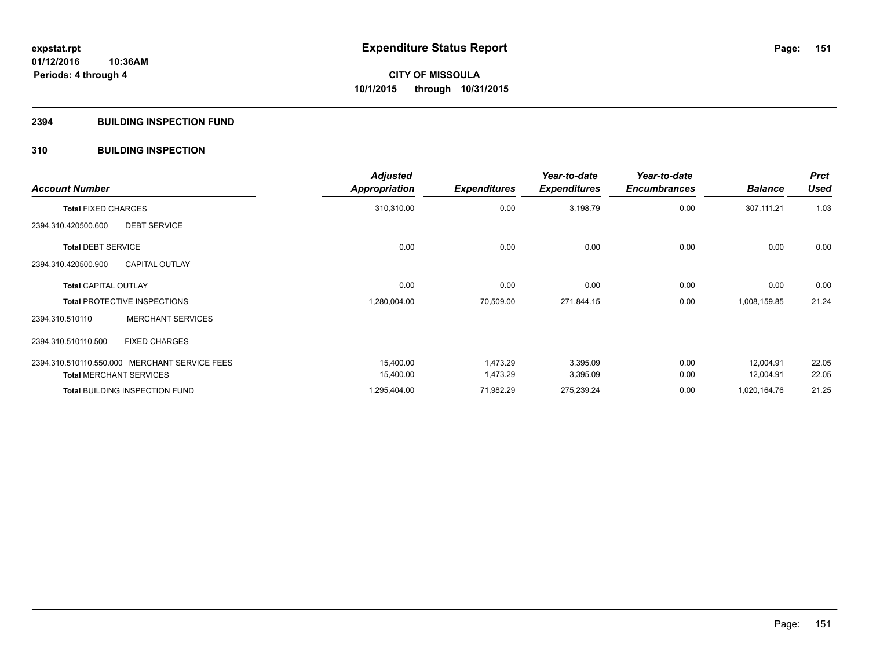### **2394 BUILDING INSPECTION FUND**

## **310 BUILDING INSPECTION**

| <b>Account Number</b>                         | <b>Adjusted</b><br><b>Appropriation</b> | <b>Expenditures</b> | Year-to-date<br><b>Expenditures</b> | Year-to-date<br><b>Encumbrances</b> | <b>Balance</b> | <b>Prct</b><br><b>Used</b> |
|-----------------------------------------------|-----------------------------------------|---------------------|-------------------------------------|-------------------------------------|----------------|----------------------------|
| <b>Total FIXED CHARGES</b>                    | 310,310.00                              | 0.00                | 3,198.79                            | 0.00                                | 307,111.21     | 1.03                       |
| <b>DEBT SERVICE</b><br>2394.310.420500.600    |                                         |                     |                                     |                                     |                |                            |
| <b>Total DEBT SERVICE</b>                     | 0.00                                    | 0.00                | 0.00                                | 0.00                                | 0.00           | 0.00                       |
| 2394.310.420500.900<br><b>CAPITAL OUTLAY</b>  |                                         |                     |                                     |                                     |                |                            |
| <b>Total CAPITAL OUTLAY</b>                   | 0.00                                    | 0.00                | 0.00                                | 0.00                                | 0.00           | 0.00                       |
| <b>Total PROTECTIVE INSPECTIONS</b>           | 1,280,004.00                            | 70,509.00           | 271,844.15                          | 0.00                                | 1,008,159.85   | 21.24                      |
| <b>MERCHANT SERVICES</b><br>2394.310.510110   |                                         |                     |                                     |                                     |                |                            |
| 2394.310.510110.500<br><b>FIXED CHARGES</b>   |                                         |                     |                                     |                                     |                |                            |
| 2394.310.510110.550.000 MERCHANT SERVICE FEES | 15,400.00                               | 1,473.29            | 3,395.09                            | 0.00                                | 12,004.91      | 22.05                      |
| <b>Total MERCHANT SERVICES</b>                | 15,400.00                               | 1,473.29            | 3,395.09                            | 0.00                                | 12,004.91      | 22.05                      |
| Total BUILDING INSPECTION FUND                | 1,295,404.00                            | 71,982.29           | 275,239.24                          | 0.00                                | 1,020,164.76   | 21.25                      |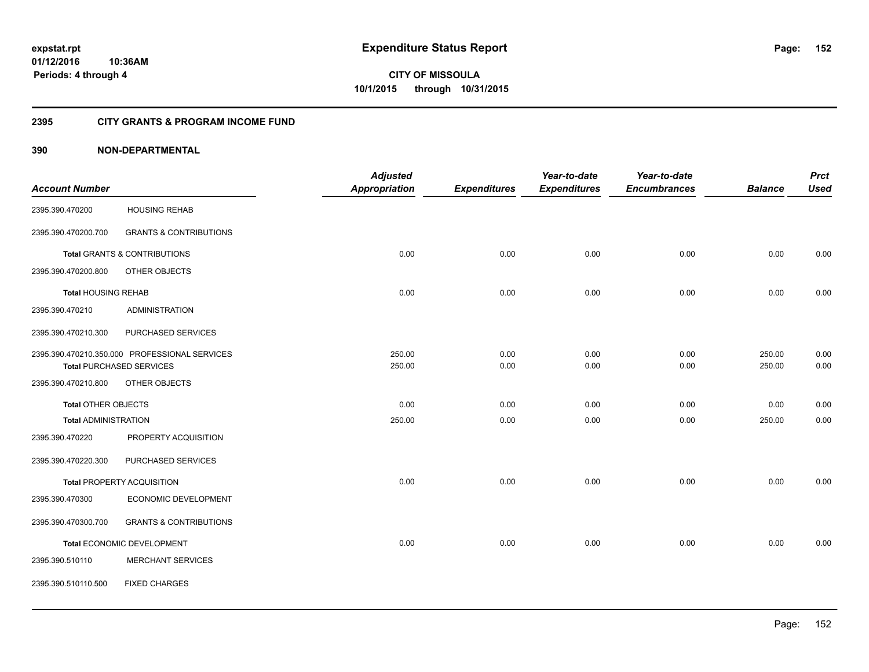**CITY OF MISSOULA 10/1/2015 through 10/31/2015**

## **2395 CITY GRANTS & PROGRAM INCOME FUND**

|                             |                                               | <b>Adjusted</b>      |                     | Year-to-date        | Year-to-date        |                | <b>Prct</b> |
|-----------------------------|-----------------------------------------------|----------------------|---------------------|---------------------|---------------------|----------------|-------------|
| <b>Account Number</b>       |                                               | <b>Appropriation</b> | <b>Expenditures</b> | <b>Expenditures</b> | <b>Encumbrances</b> | <b>Balance</b> | <b>Used</b> |
| 2395.390.470200             | <b>HOUSING REHAB</b>                          |                      |                     |                     |                     |                |             |
| 2395.390.470200.700         | <b>GRANTS &amp; CONTRIBUTIONS</b>             |                      |                     |                     |                     |                |             |
|                             | Total GRANTS & CONTRIBUTIONS                  | 0.00                 | 0.00                | 0.00                | 0.00                | 0.00           | 0.00        |
| 2395.390.470200.800         | OTHER OBJECTS                                 |                      |                     |                     |                     |                |             |
| <b>Total HOUSING REHAB</b>  |                                               | 0.00                 | 0.00                | 0.00                | 0.00                | 0.00           | 0.00        |
| 2395.390.470210             | <b>ADMINISTRATION</b>                         |                      |                     |                     |                     |                |             |
| 2395.390.470210.300         | PURCHASED SERVICES                            |                      |                     |                     |                     |                |             |
|                             | 2395.390.470210.350.000 PROFESSIONAL SERVICES | 250.00               | 0.00                | 0.00                | 0.00                | 250.00         | 0.00        |
|                             | <b>Total PURCHASED SERVICES</b>               | 250.00               | 0.00                | 0.00                | 0.00                | 250.00         | 0.00        |
| 2395.390.470210.800         | OTHER OBJECTS                                 |                      |                     |                     |                     |                |             |
| <b>Total OTHER OBJECTS</b>  |                                               | 0.00                 | 0.00                | 0.00                | 0.00                | 0.00           | 0.00        |
| <b>Total ADMINISTRATION</b> |                                               | 250.00               | 0.00                | 0.00                | 0.00                | 250.00         | 0.00        |
| 2395.390.470220             | PROPERTY ACQUISITION                          |                      |                     |                     |                     |                |             |
| 2395.390.470220.300         | PURCHASED SERVICES                            |                      |                     |                     |                     |                |             |
|                             | <b>Total PROPERTY ACQUISITION</b>             | 0.00                 | 0.00                | 0.00                | 0.00                | 0.00           | 0.00        |
| 2395.390.470300             | ECONOMIC DEVELOPMENT                          |                      |                     |                     |                     |                |             |
| 2395.390.470300.700         | <b>GRANTS &amp; CONTRIBUTIONS</b>             |                      |                     |                     |                     |                |             |
|                             | <b>Total ECONOMIC DEVELOPMENT</b>             | 0.00                 | 0.00                | 0.00                | 0.00                | 0.00           | 0.00        |
| 2395.390.510110             | <b>MERCHANT SERVICES</b>                      |                      |                     |                     |                     |                |             |
| 2395.390.510110.500         | <b>FIXED CHARGES</b>                          |                      |                     |                     |                     |                |             |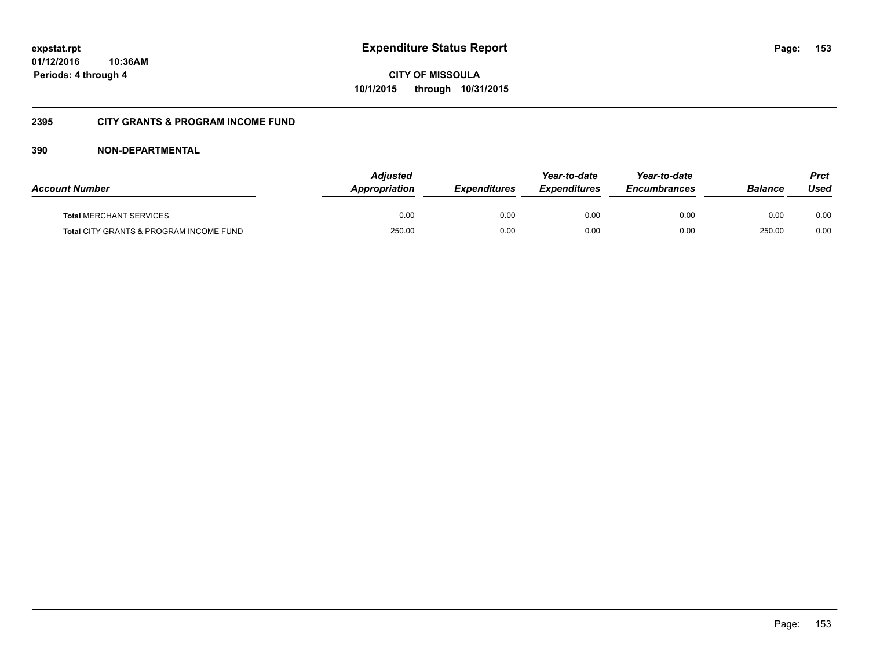**CITY OF MISSOULA 10/1/2015 through 10/31/2015**

# **2395 CITY GRANTS & PROGRAM INCOME FUND**

| <b>Account Number</b>                   | <b>Adjusted</b><br>Appropriation | <b>Expenditures</b> | Year-to-date<br><b>Expenditures</b> | Year-to-date<br><i><b>Encumbrances</b></i> | <b>Balance</b> | Prct<br>Used |
|-----------------------------------------|----------------------------------|---------------------|-------------------------------------|--------------------------------------------|----------------|--------------|
| <b>Total MERCHANT SERVICES</b>          | 0.00                             | 0.00                | 0.00                                | 0.00                                       | 0.00           | 0.00         |
| Total CITY GRANTS & PROGRAM INCOME FUND | 250.00                           | 0.00                | 0.00                                | 0.00                                       | 250.00         | 0.00         |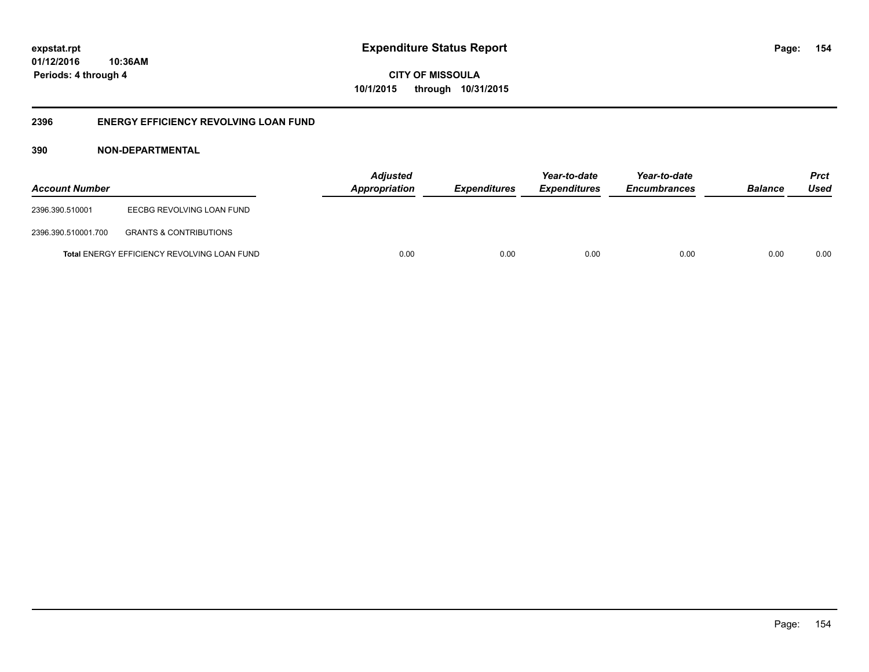**CITY OF MISSOULA 10/1/2015 through 10/31/2015**

## **2396 ENERGY EFFICIENCY REVOLVING LOAN FUND**

| <b>Account Number</b> |                                                    | <b>Adjusted</b><br>Appropriation | <b>Expenditures</b> | Year-to-date<br><i><b>Expenditures</b></i> | Year-to-date<br><b>Encumbrances</b> | <b>Balance</b> | <b>Prct</b><br>Used |
|-----------------------|----------------------------------------------------|----------------------------------|---------------------|--------------------------------------------|-------------------------------------|----------------|---------------------|
| 2396.390.510001       | EECBG REVOLVING LOAN FUND                          |                                  |                     |                                            |                                     |                |                     |
| 2396.390.510001.700   | <b>GRANTS &amp; CONTRIBUTIONS</b>                  |                                  |                     |                                            |                                     |                |                     |
|                       | <b>Total ENERGY EFFICIENCY REVOLVING LOAN FUND</b> | 0.00                             | 0.00                | 0.00                                       | 0.00                                | 0.00           | 0.00                |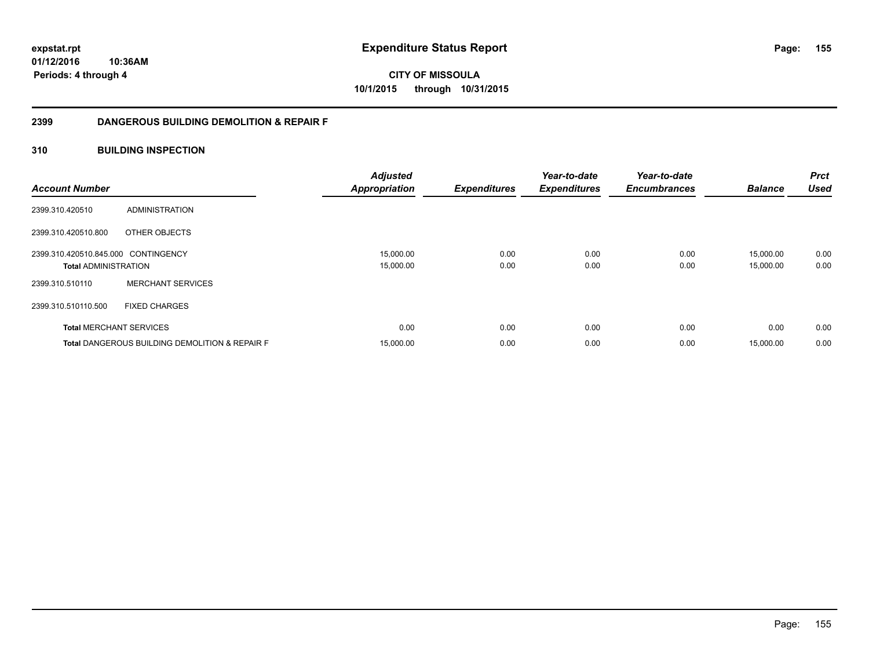**CITY OF MISSOULA 10/1/2015 through 10/31/2015**

## **2399 DANGEROUS BUILDING DEMOLITION & REPAIR F**

## **310 BUILDING INSPECTION**

| <b>Account Number</b>                                              |                                                           | <b>Adjusted</b><br><b>Appropriation</b> | <b>Expenditures</b> | Year-to-date<br><b>Expenditures</b> | Year-to-date<br><b>Encumbrances</b> | <b>Balance</b>         | <b>Prct</b><br><b>Used</b> |
|--------------------------------------------------------------------|-----------------------------------------------------------|-----------------------------------------|---------------------|-------------------------------------|-------------------------------------|------------------------|----------------------------|
| 2399.310.420510                                                    | ADMINISTRATION                                            |                                         |                     |                                     |                                     |                        |                            |
| 2399.310.420510.800                                                | OTHER OBJECTS                                             |                                         |                     |                                     |                                     |                        |                            |
| 2399.310.420510.845.000 CONTINGENCY<br><b>Total ADMINISTRATION</b> |                                                           | 15,000.00<br>15,000.00                  | 0.00<br>0.00        | 0.00<br>0.00                        | 0.00<br>0.00                        | 15,000.00<br>15,000.00 | 0.00<br>0.00               |
| 2399.310.510110                                                    | <b>MERCHANT SERVICES</b>                                  |                                         |                     |                                     |                                     |                        |                            |
| 2399.310.510110.500                                                | <b>FIXED CHARGES</b>                                      |                                         |                     |                                     |                                     |                        |                            |
| <b>Total MERCHANT SERVICES</b>                                     |                                                           | 0.00                                    | 0.00                | 0.00                                | 0.00                                | 0.00                   | 0.00                       |
|                                                                    | <b>Total DANGEROUS BUILDING DEMOLITION &amp; REPAIR F</b> | 15,000.00                               | 0.00                | 0.00                                | 0.00                                | 15,000.00              | 0.00                       |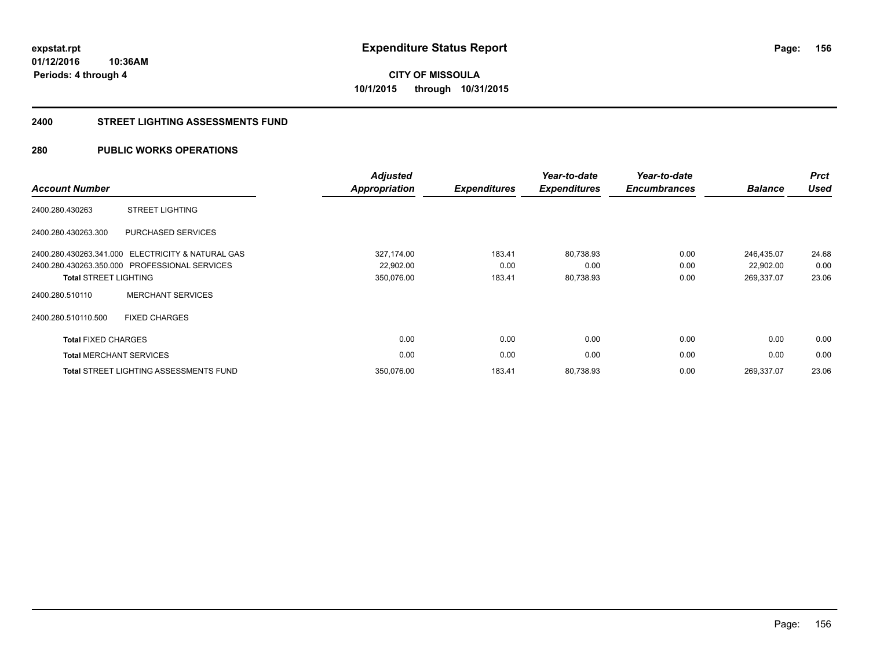# **CITY OF MISSOULA 10/1/2015 through 10/31/2015**

#### **2400 STREET LIGHTING ASSESSMENTS FUND**

## **280 PUBLIC WORKS OPERATIONS**

| <b>Account Number</b>          |                                                   | <b>Adjusted</b><br>Appropriation | <b>Expenditures</b> | Year-to-date<br><b>Expenditures</b> | Year-to-date<br><b>Encumbrances</b> | <b>Balance</b> | <b>Prct</b><br><b>Used</b> |
|--------------------------------|---------------------------------------------------|----------------------------------|---------------------|-------------------------------------|-------------------------------------|----------------|----------------------------|
| 2400.280.430263                | <b>STREET LIGHTING</b>                            |                                  |                     |                                     |                                     |                |                            |
| 2400.280.430263.300            | PURCHASED SERVICES                                |                                  |                     |                                     |                                     |                |                            |
|                                | 2400.280.430263.341.000 ELECTRICITY & NATURAL GAS | 327,174.00                       | 183.41              | 80,738.93                           | 0.00                                | 246,435.07     | 24.68                      |
|                                | 2400.280.430263.350.000 PROFESSIONAL SERVICES     | 22,902.00                        | 0.00                | 0.00                                | 0.00                                | 22,902.00      | 0.00                       |
| <b>Total STREET LIGHTING</b>   |                                                   | 350,076.00                       | 183.41              | 80,738.93                           | 0.00                                | 269,337.07     | 23.06                      |
| 2400.280.510110                | <b>MERCHANT SERVICES</b>                          |                                  |                     |                                     |                                     |                |                            |
| 2400.280.510110.500            | <b>FIXED CHARGES</b>                              |                                  |                     |                                     |                                     |                |                            |
| <b>Total FIXED CHARGES</b>     |                                                   | 0.00                             | 0.00                | 0.00                                | 0.00                                | 0.00           | 0.00                       |
| <b>Total MERCHANT SERVICES</b> |                                                   | 0.00                             | 0.00                | 0.00                                | 0.00                                | 0.00           | 0.00                       |
|                                | <b>Total STREET LIGHTING ASSESSMENTS FUND</b>     | 350.076.00                       | 183.41              | 80,738.93                           | 0.00                                | 269,337.07     | 23.06                      |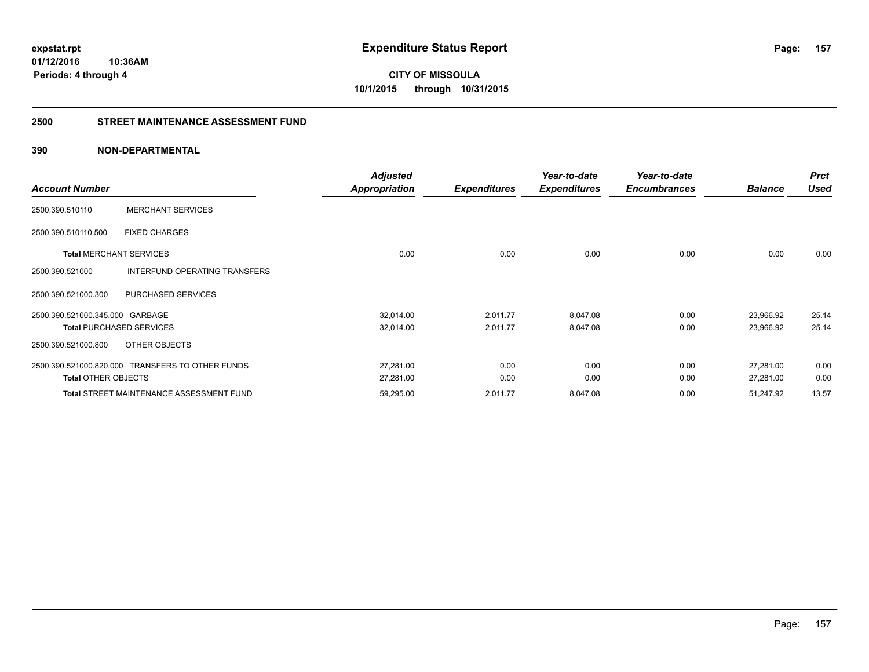**CITY OF MISSOULA 10/1/2015 through 10/31/2015**

### **2500 STREET MAINTENANCE ASSESSMENT FUND**

|                                 |                                                  | <b>Adjusted</b>      |                     | Year-to-date        | Year-to-date        |                | <b>Prct</b> |
|---------------------------------|--------------------------------------------------|----------------------|---------------------|---------------------|---------------------|----------------|-------------|
| <b>Account Number</b>           |                                                  | <b>Appropriation</b> | <b>Expenditures</b> | <b>Expenditures</b> | <b>Encumbrances</b> | <b>Balance</b> | <b>Used</b> |
| 2500.390.510110                 | <b>MERCHANT SERVICES</b>                         |                      |                     |                     |                     |                |             |
| 2500.390.510110.500             | <b>FIXED CHARGES</b>                             |                      |                     |                     |                     |                |             |
| <b>Total MERCHANT SERVICES</b>  |                                                  | 0.00                 | 0.00                | 0.00                | 0.00                | 0.00           | 0.00        |
| 2500.390.521000                 | INTERFUND OPERATING TRANSFERS                    |                      |                     |                     |                     |                |             |
| 2500.390.521000.300             | PURCHASED SERVICES                               |                      |                     |                     |                     |                |             |
| 2500.390.521000.345.000 GARBAGE |                                                  | 32,014.00            | 2,011.77            | 8,047.08            | 0.00                | 23,966.92      | 25.14       |
|                                 | <b>Total PURCHASED SERVICES</b>                  | 32,014.00            | 2,011.77            | 8,047.08            | 0.00                | 23,966.92      | 25.14       |
| 2500.390.521000.800             | OTHER OBJECTS                                    |                      |                     |                     |                     |                |             |
|                                 | 2500.390.521000.820.000 TRANSFERS TO OTHER FUNDS | 27,281.00            | 0.00                | 0.00                | 0.00                | 27,281.00      | 0.00        |
| <b>Total OTHER OBJECTS</b>      |                                                  | 27,281.00            | 0.00                | 0.00                | 0.00                | 27,281.00      | 0.00        |
|                                 | <b>Total STREET MAINTENANCE ASSESSMENT FUND</b>  | 59,295.00            | 2,011.77            | 8,047.08            | 0.00                | 51,247.92      | 13.57       |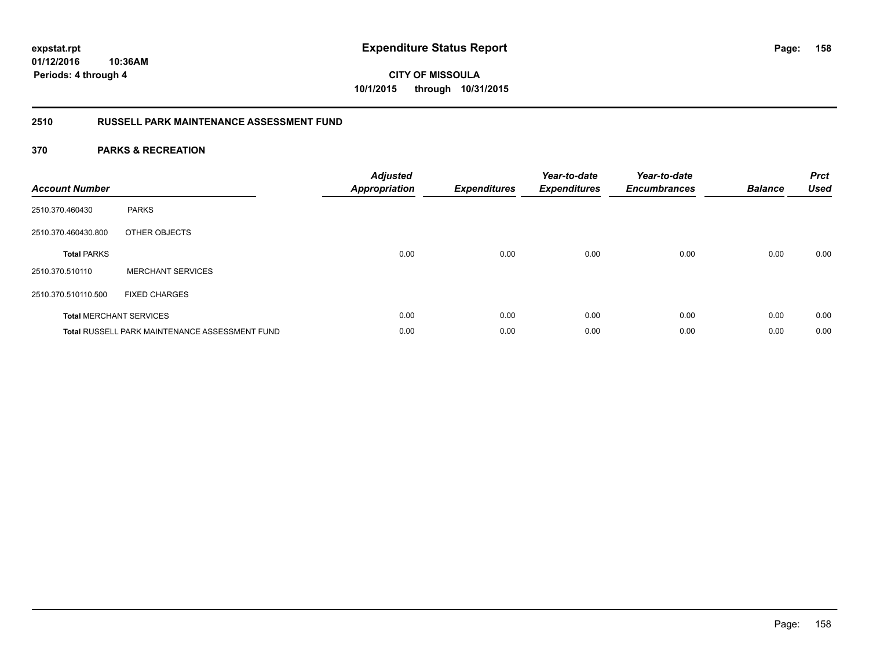**CITY OF MISSOULA 10/1/2015 through 10/31/2015**

## **2510 RUSSELL PARK MAINTENANCE ASSESSMENT FUND**

| <b>Account Number</b> |                                                       | <b>Adjusted</b><br><b>Appropriation</b> | <b>Expenditures</b> | Year-to-date<br><b>Expenditures</b> | Year-to-date<br><b>Encumbrances</b> | <b>Balance</b> | <b>Prct</b><br><b>Used</b> |
|-----------------------|-------------------------------------------------------|-----------------------------------------|---------------------|-------------------------------------|-------------------------------------|----------------|----------------------------|
| 2510.370.460430       | <b>PARKS</b>                                          |                                         |                     |                                     |                                     |                |                            |
| 2510.370.460430.800   | OTHER OBJECTS                                         |                                         |                     |                                     |                                     |                |                            |
| <b>Total PARKS</b>    |                                                       | 0.00                                    | 0.00                | 0.00                                | 0.00                                | 0.00           | 0.00                       |
| 2510.370.510110       | <b>MERCHANT SERVICES</b>                              |                                         |                     |                                     |                                     |                |                            |
| 2510.370.510110.500   | <b>FIXED CHARGES</b>                                  |                                         |                     |                                     |                                     |                |                            |
|                       | <b>Total MERCHANT SERVICES</b>                        | 0.00                                    | 0.00                | 0.00                                | 0.00                                | 0.00           | 0.00                       |
|                       | <b>Total RUSSELL PARK MAINTENANCE ASSESSMENT FUND</b> | 0.00                                    | 0.00                | 0.00                                | 0.00                                | 0.00           | 0.00                       |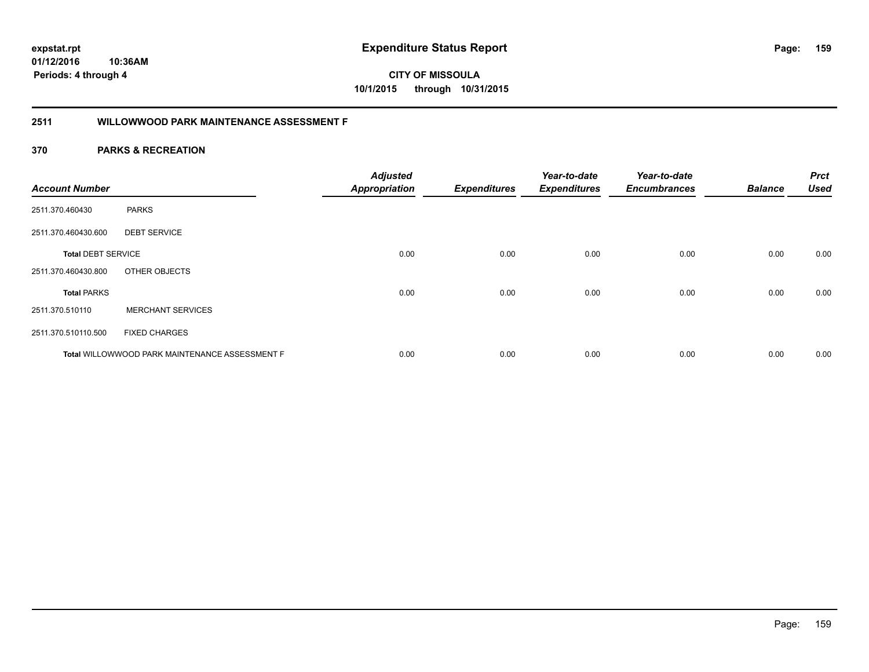**01/12/2016 10:36AM**

**Periods: 4 through 4**

**159**

**CITY OF MISSOULA 10/1/2015 through 10/31/2015**

## **2511 WILLOWWOOD PARK MAINTENANCE ASSESSMENT F**

| <b>Account Number</b>     |                                                       | <b>Adjusted</b><br><b>Appropriation</b> | <b>Expenditures</b> | Year-to-date<br><b>Expenditures</b> | Year-to-date<br><b>Encumbrances</b> | <b>Balance</b> | <b>Prct</b><br><b>Used</b> |
|---------------------------|-------------------------------------------------------|-----------------------------------------|---------------------|-------------------------------------|-------------------------------------|----------------|----------------------------|
| 2511.370.460430           | <b>PARKS</b>                                          |                                         |                     |                                     |                                     |                |                            |
| 2511.370.460430.600       | <b>DEBT SERVICE</b>                                   |                                         |                     |                                     |                                     |                |                            |
| <b>Total DEBT SERVICE</b> |                                                       | 0.00                                    | 0.00                | 0.00                                | 0.00                                | 0.00           | 0.00                       |
| 2511.370.460430.800       | OTHER OBJECTS                                         |                                         |                     |                                     |                                     |                |                            |
| <b>Total PARKS</b>        |                                                       | 0.00                                    | 0.00                | 0.00                                | 0.00                                | 0.00           | 0.00                       |
| 2511.370.510110           | <b>MERCHANT SERVICES</b>                              |                                         |                     |                                     |                                     |                |                            |
| 2511.370.510110.500       | <b>FIXED CHARGES</b>                                  |                                         |                     |                                     |                                     |                |                            |
|                           | <b>Total WILLOWWOOD PARK MAINTENANCE ASSESSMENT F</b> | 0.00                                    | 0.00                | 0.00                                | 0.00                                | 0.00           | 0.00                       |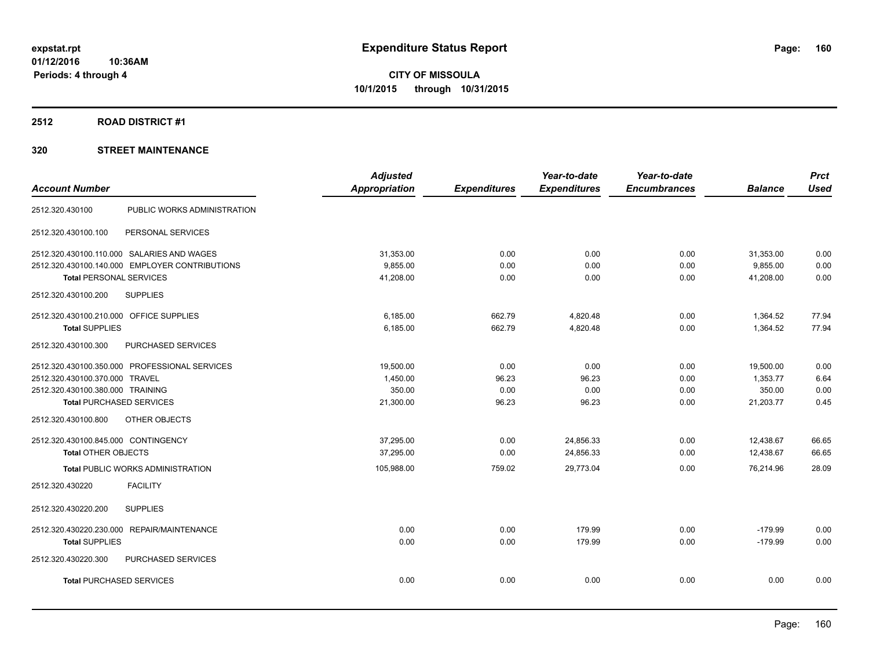#### **2512 ROAD DISTRICT #1**

|                                                | <b>Adjusted</b>      |                     | Year-to-date        | Year-to-date        |                | <b>Prct</b> |
|------------------------------------------------|----------------------|---------------------|---------------------|---------------------|----------------|-------------|
| <b>Account Number</b>                          | <b>Appropriation</b> | <b>Expenditures</b> | <b>Expenditures</b> | <b>Encumbrances</b> | <b>Balance</b> | <b>Used</b> |
| PUBLIC WORKS ADMINISTRATION<br>2512.320.430100 |                      |                     |                     |                     |                |             |
| PERSONAL SERVICES<br>2512.320.430100.100       |                      |                     |                     |                     |                |             |
| 2512.320.430100.110.000 SALARIES AND WAGES     | 31,353.00            | 0.00                | 0.00                | 0.00                | 31,353.00      | 0.00        |
| 2512.320.430100.140.000 EMPLOYER CONTRIBUTIONS | 9,855.00             | 0.00                | 0.00                | 0.00                | 9,855.00       | 0.00        |
| <b>Total PERSONAL SERVICES</b>                 | 41,208.00            | 0.00                | 0.00                | 0.00                | 41,208.00      | 0.00        |
| <b>SUPPLIES</b><br>2512.320.430100.200         |                      |                     |                     |                     |                |             |
| 2512.320.430100.210.000 OFFICE SUPPLIES        | 6,185.00             | 662.79              | 4,820.48            | 0.00                | 1,364.52       | 77.94       |
| <b>Total SUPPLIES</b>                          | 6,185.00             | 662.79              | 4,820.48            | 0.00                | 1,364.52       | 77.94       |
| 2512.320.430100.300<br>PURCHASED SERVICES      |                      |                     |                     |                     |                |             |
| 2512.320.430100.350.000 PROFESSIONAL SERVICES  | 19,500.00            | 0.00                | 0.00                | 0.00                | 19,500.00      | 0.00        |
| 2512.320.430100.370.000 TRAVEL                 | 1,450.00             | 96.23               | 96.23               | 0.00                | 1,353.77       | 6.64        |
| 2512.320.430100.380.000 TRAINING               | 350.00               | 0.00                | 0.00                | 0.00                | 350.00         | 0.00        |
| <b>Total PURCHASED SERVICES</b>                | 21,300.00            | 96.23               | 96.23               | 0.00                | 21,203.77      | 0.45        |
| OTHER OBJECTS<br>2512.320.430100.800           |                      |                     |                     |                     |                |             |
| 2512.320.430100.845.000 CONTINGENCY            | 37,295.00            | 0.00                | 24,856.33           | 0.00                | 12,438.67      | 66.65       |
| <b>Total OTHER OBJECTS</b>                     | 37,295.00            | 0.00                | 24,856.33           | 0.00                | 12,438.67      | 66.65       |
| <b>Total PUBLIC WORKS ADMINISTRATION</b>       | 105,988.00           | 759.02              | 29,773.04           | 0.00                | 76,214.96      | 28.09       |
| 2512.320.430220<br><b>FACILITY</b>             |                      |                     |                     |                     |                |             |
| 2512.320.430220.200<br><b>SUPPLIES</b>         |                      |                     |                     |                     |                |             |
| 2512.320.430220.230.000 REPAIR/MAINTENANCE     | 0.00                 | 0.00                | 179.99              | 0.00                | $-179.99$      | 0.00        |
| <b>Total SUPPLIES</b>                          | 0.00                 | 0.00                | 179.99              | 0.00                | $-179.99$      | 0.00        |
| PURCHASED SERVICES<br>2512.320.430220.300      |                      |                     |                     |                     |                |             |
| <b>Total PURCHASED SERVICES</b>                | 0.00                 | 0.00                | 0.00                | 0.00                | 0.00           | 0.00        |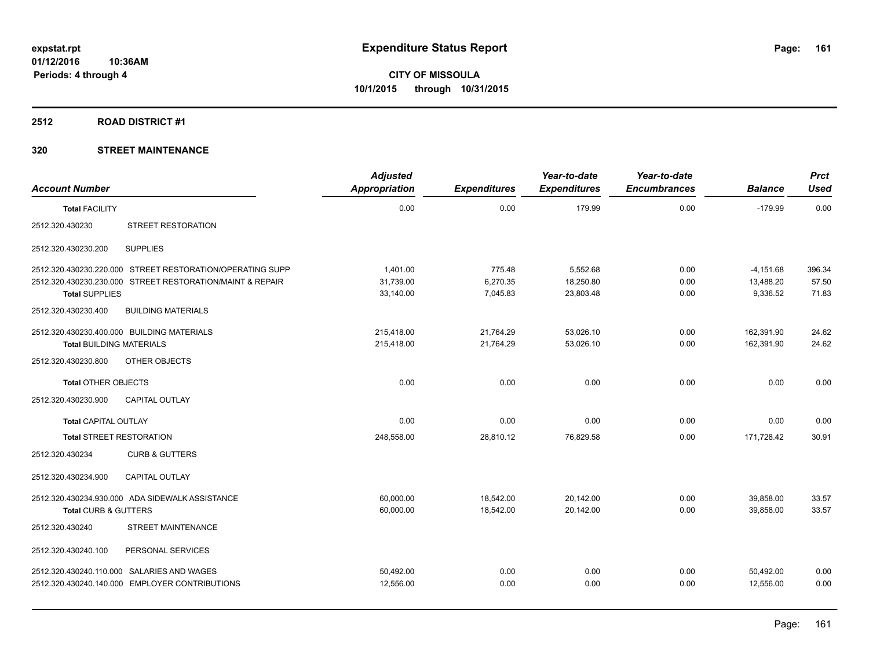#### **2512 ROAD DISTRICT #1**

| <b>Account Number</b>           |                                                           | <b>Adjusted</b><br><b>Appropriation</b> | <b>Expenditures</b> | Year-to-date<br><b>Expenditures</b> | Year-to-date<br><b>Encumbrances</b> | <b>Balance</b> | <b>Prct</b><br><b>Used</b> |
|---------------------------------|-----------------------------------------------------------|-----------------------------------------|---------------------|-------------------------------------|-------------------------------------|----------------|----------------------------|
| <b>Total FACILITY</b>           |                                                           | 0.00                                    | 0.00                | 179.99                              | 0.00                                | $-179.99$      | 0.00                       |
| 2512.320.430230                 | STREET RESTORATION                                        |                                         |                     |                                     |                                     |                |                            |
| 2512.320.430230.200             | <b>SUPPLIES</b>                                           |                                         |                     |                                     |                                     |                |                            |
|                                 | 2512.320.430230.220.000 STREET RESTORATION/OPERATING SUPP | 1,401.00                                | 775.48              | 5,552.68                            | 0.00                                | $-4,151.68$    | 396.34                     |
|                                 | 2512.320.430230.230.000 STREET RESTORATION/MAINT & REPAIR | 31.739.00                               | 6,270.35            | 18,250.80                           | 0.00                                | 13,488.20      | 57.50                      |
| <b>Total SUPPLIES</b>           |                                                           | 33,140.00                               | 7,045.83            | 23,803.48                           | 0.00                                | 9,336.52       | 71.83                      |
| 2512.320.430230.400             | <b>BUILDING MATERIALS</b>                                 |                                         |                     |                                     |                                     |                |                            |
|                                 | 2512.320.430230.400.000 BUILDING MATERIALS                | 215,418.00                              | 21,764.29           | 53,026.10                           | 0.00                                | 162,391.90     | 24.62                      |
| <b>Total BUILDING MATERIALS</b> |                                                           | 215,418.00                              | 21,764.29           | 53.026.10                           | 0.00                                | 162,391.90     | 24.62                      |
| 2512.320.430230.800             | OTHER OBJECTS                                             |                                         |                     |                                     |                                     |                |                            |
| <b>Total OTHER OBJECTS</b>      |                                                           | 0.00                                    | 0.00                | 0.00                                | 0.00                                | 0.00           | 0.00                       |
| 2512.320.430230.900             | <b>CAPITAL OUTLAY</b>                                     |                                         |                     |                                     |                                     |                |                            |
| <b>Total CAPITAL OUTLAY</b>     |                                                           | 0.00                                    | 0.00                | 0.00                                | 0.00                                | 0.00           | 0.00                       |
| <b>Total STREET RESTORATION</b> |                                                           | 248,558.00                              | 28,810.12           | 76,829.58                           | 0.00                                | 171.728.42     | 30.91                      |
| 2512.320.430234                 | <b>CURB &amp; GUTTERS</b>                                 |                                         |                     |                                     |                                     |                |                            |
| 2512.320.430234.900             | <b>CAPITAL OUTLAY</b>                                     |                                         |                     |                                     |                                     |                |                            |
|                                 | 2512.320.430234.930.000 ADA SIDEWALK ASSISTANCE           | 60,000.00                               | 18,542.00           | 20,142.00                           | 0.00                                | 39,858.00      | 33.57                      |
| <b>Total CURB &amp; GUTTERS</b> |                                                           | 60,000.00                               | 18,542.00           | 20,142.00                           | 0.00                                | 39,858.00      | 33.57                      |
| 2512.320.430240                 | <b>STREET MAINTENANCE</b>                                 |                                         |                     |                                     |                                     |                |                            |
| 2512.320.430240.100             | PERSONAL SERVICES                                         |                                         |                     |                                     |                                     |                |                            |
|                                 | 2512.320.430240.110.000 SALARIES AND WAGES                | 50,492.00                               | 0.00                | 0.00                                | 0.00                                | 50,492.00      | 0.00                       |
|                                 | 2512.320.430240.140.000 EMPLOYER CONTRIBUTIONS            | 12,556.00                               | 0.00                | 0.00                                | 0.00                                | 12,556.00      | 0.00                       |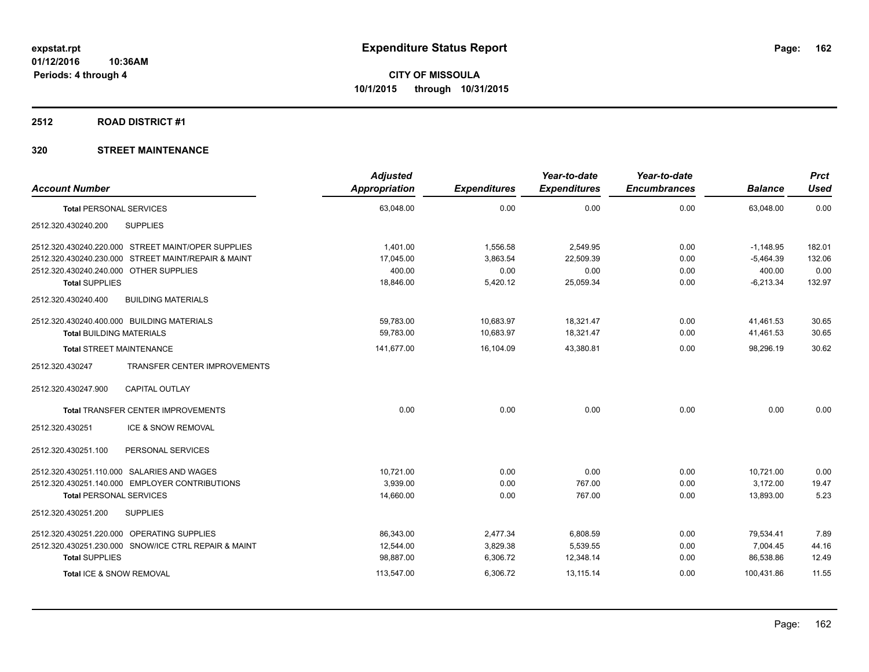#### **2512 ROAD DISTRICT #1**

| <b>Account Number</b>                                  | <b>Adjusted</b><br>Appropriation | <b>Expenditures</b> | Year-to-date<br><b>Expenditures</b> | Year-to-date<br><b>Encumbrances</b> | <b>Balance</b> | <b>Prct</b><br><b>Used</b> |
|--------------------------------------------------------|----------------------------------|---------------------|-------------------------------------|-------------------------------------|----------------|----------------------------|
| <b>Total PERSONAL SERVICES</b>                         | 63,048.00                        | 0.00                | 0.00                                | 0.00                                | 63,048.00      | 0.00                       |
| <b>SUPPLIES</b><br>2512.320.430240.200                 |                                  |                     |                                     |                                     |                |                            |
| 2512.320.430240.220.000 STREET MAINT/OPER SUPPLIES     | 1,401.00                         | 1,556.58            | 2,549.95                            | 0.00                                | $-1,148.95$    | 182.01                     |
| 2512.320.430240.230.000 STREET MAINT/REPAIR & MAINT    | 17,045.00                        | 3,863.54            | 22,509.39                           | 0.00                                | $-5,464.39$    | 132.06                     |
| 2512.320.430240.240.000 OTHER SUPPLIES                 | 400.00                           | 0.00                | 0.00                                | 0.00                                | 400.00         | 0.00                       |
| <b>Total SUPPLIES</b>                                  | 18,846.00                        | 5,420.12            | 25,059.34                           | 0.00                                | $-6,213.34$    | 132.97                     |
| 2512.320.430240.400<br><b>BUILDING MATERIALS</b>       |                                  |                     |                                     |                                     |                |                            |
| 2512.320.430240.400.000 BUILDING MATERIALS             | 59,783.00                        | 10,683.97           | 18,321.47                           | 0.00                                | 41,461.53      | 30.65                      |
| <b>Total BUILDING MATERIALS</b>                        | 59.783.00                        | 10.683.97           | 18.321.47                           | 0.00                                | 41.461.53      | 30.65                      |
| <b>Total STREET MAINTENANCE</b>                        | 141,677.00                       | 16,104.09           | 43,380.81                           | 0.00                                | 98,296.19      | 30.62                      |
| <b>TRANSFER CENTER IMPROVEMENTS</b><br>2512.320.430247 |                                  |                     |                                     |                                     |                |                            |
| 2512.320.430247.900<br><b>CAPITAL OUTLAY</b>           |                                  |                     |                                     |                                     |                |                            |
| <b>Total TRANSFER CENTER IMPROVEMENTS</b>              | 0.00                             | 0.00                | 0.00                                | 0.00                                | 0.00           | 0.00                       |
| <b>ICE &amp; SNOW REMOVAL</b><br>2512.320.430251       |                                  |                     |                                     |                                     |                |                            |
| PERSONAL SERVICES<br>2512.320.430251.100               |                                  |                     |                                     |                                     |                |                            |
| 2512.320.430251.110.000 SALARIES AND WAGES             | 10.721.00                        | 0.00                | 0.00                                | 0.00                                | 10.721.00      | 0.00                       |
| 2512.320.430251.140.000 EMPLOYER CONTRIBUTIONS         | 3,939.00                         | 0.00                | 767.00                              | 0.00                                | 3,172.00       | 19.47                      |
| <b>Total PERSONAL SERVICES</b>                         | 14,660.00                        | 0.00                | 767.00                              | 0.00                                | 13,893.00      | 5.23                       |
| 2512.320.430251.200<br><b>SUPPLIES</b>                 |                                  |                     |                                     |                                     |                |                            |
| 2512.320.430251.220.000 OPERATING SUPPLIES             | 86,343.00                        | 2,477.34            | 6,808.59                            | 0.00                                | 79,534.41      | 7.89                       |
| 2512.320.430251.230.000 SNOW/ICE CTRL REPAIR & MAINT   | 12,544.00                        | 3,829.38            | 5,539.55                            | 0.00                                | 7,004.45       | 44.16                      |
| <b>Total SUPPLIES</b>                                  | 98,887.00                        | 6,306.72            | 12,348.14                           | 0.00                                | 86,538.86      | 12.49                      |
| Total ICE & SNOW REMOVAL                               | 113,547.00                       | 6,306.72            | 13,115.14                           | 0.00                                | 100,431.86     | 11.55                      |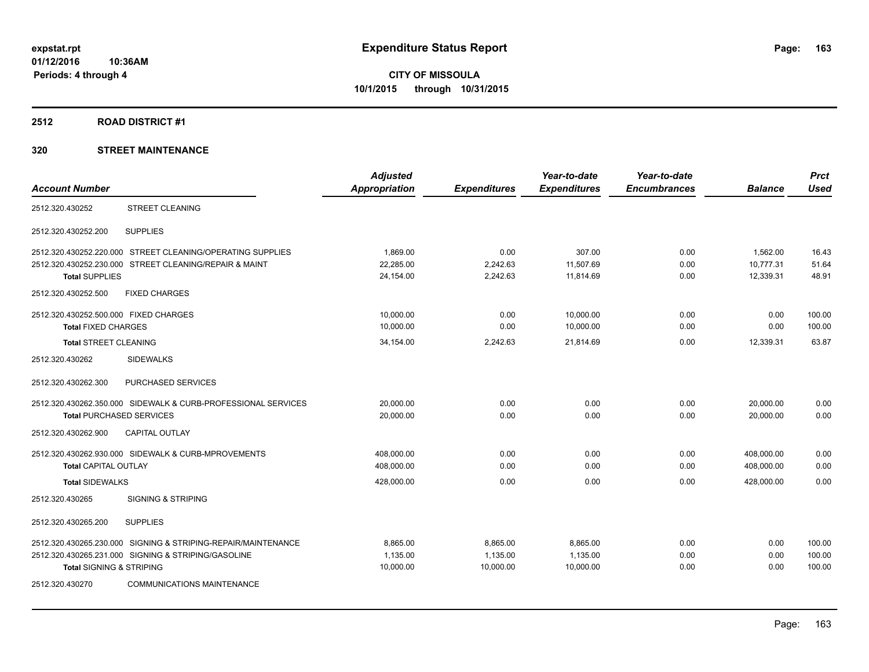#### **2512 ROAD DISTRICT #1**

|                                       |                                                               | <b>Adjusted</b>      |                     | Year-to-date        | Year-to-date        |                | <b>Prct</b> |
|---------------------------------------|---------------------------------------------------------------|----------------------|---------------------|---------------------|---------------------|----------------|-------------|
| <b>Account Number</b>                 |                                                               | <b>Appropriation</b> | <b>Expenditures</b> | <b>Expenditures</b> | <b>Encumbrances</b> | <b>Balance</b> | <b>Used</b> |
| 2512.320.430252                       | <b>STREET CLEANING</b>                                        |                      |                     |                     |                     |                |             |
| 2512.320.430252.200                   | <b>SUPPLIES</b>                                               |                      |                     |                     |                     |                |             |
|                                       | 2512.320.430252.220.000 STREET CLEANING/OPERATING SUPPLIES    | 1.869.00             | 0.00                | 307.00              | 0.00                | 1,562.00       | 16.43       |
|                                       | 2512.320.430252.230.000 STREET CLEANING/REPAIR & MAINT        | 22,285.00            | 2,242.63            | 11,507.69           | 0.00                | 10,777.31      | 51.64       |
| <b>Total SUPPLIES</b>                 |                                                               | 24,154.00            | 2,242.63            | 11,814.69           | 0.00                | 12,339.31      | 48.91       |
| 2512.320.430252.500                   | <b>FIXED CHARGES</b>                                          |                      |                     |                     |                     |                |             |
| 2512.320.430252.500.000 FIXED CHARGES |                                                               | 10,000.00            | 0.00                | 10,000.00           | 0.00                | 0.00           | 100.00      |
| <b>Total FIXED CHARGES</b>            |                                                               | 10,000.00            | 0.00                | 10,000.00           | 0.00                | 0.00           | 100.00      |
| <b>Total STREET CLEANING</b>          |                                                               | 34,154.00            | 2,242.63            | 21,814.69           | 0.00                | 12,339.31      | 63.87       |
| 2512.320.430262                       | <b>SIDEWALKS</b>                                              |                      |                     |                     |                     |                |             |
| 2512.320.430262.300                   | <b>PURCHASED SERVICES</b>                                     |                      |                     |                     |                     |                |             |
|                                       | 2512.320.430262.350.000 SIDEWALK & CURB-PROFESSIONAL SERVICES | 20,000.00            | 0.00                | 0.00                | 0.00                | 20,000.00      | 0.00        |
| <b>Total PURCHASED SERVICES</b>       |                                                               | 20,000.00            | 0.00                | 0.00                | 0.00                | 20.000.00      | 0.00        |
| 2512.320.430262.900                   | <b>CAPITAL OUTLAY</b>                                         |                      |                     |                     |                     |                |             |
|                                       | 2512.320.430262.930.000 SIDEWALK & CURB-MPROVEMENTS           | 408,000.00           | 0.00                | 0.00                | 0.00                | 408.000.00     | 0.00        |
| <b>Total CAPITAL OUTLAY</b>           |                                                               | 408,000.00           | 0.00                | 0.00                | 0.00                | 408,000.00     | 0.00        |
| <b>Total SIDEWALKS</b>                |                                                               | 428,000.00           | 0.00                | 0.00                | 0.00                | 428.000.00     | 0.00        |
| 2512.320.430265                       | <b>SIGNING &amp; STRIPING</b>                                 |                      |                     |                     |                     |                |             |
| 2512.320.430265.200                   | <b>SUPPLIES</b>                                               |                      |                     |                     |                     |                |             |
|                                       | 2512.320.430265.230.000 SIGNING & STRIPING-REPAIR/MAINTENANCE | 8,865.00             | 8,865.00            | 8,865.00            | 0.00                | 0.00           | 100.00      |
|                                       | 2512.320.430265.231.000 SIGNING & STRIPING/GASOLINE           | 1,135.00             | 1,135.00            | 1,135.00            | 0.00                | 0.00           | 100.00      |
| <b>Total SIGNING &amp; STRIPING</b>   |                                                               | 10,000.00            | 10,000.00           | 10,000.00           | 0.00                | 0.00           | 100.00      |
| 2512.320.430270                       | <b>COMMUNICATIONS MAINTENANCE</b>                             |                      |                     |                     |                     |                |             |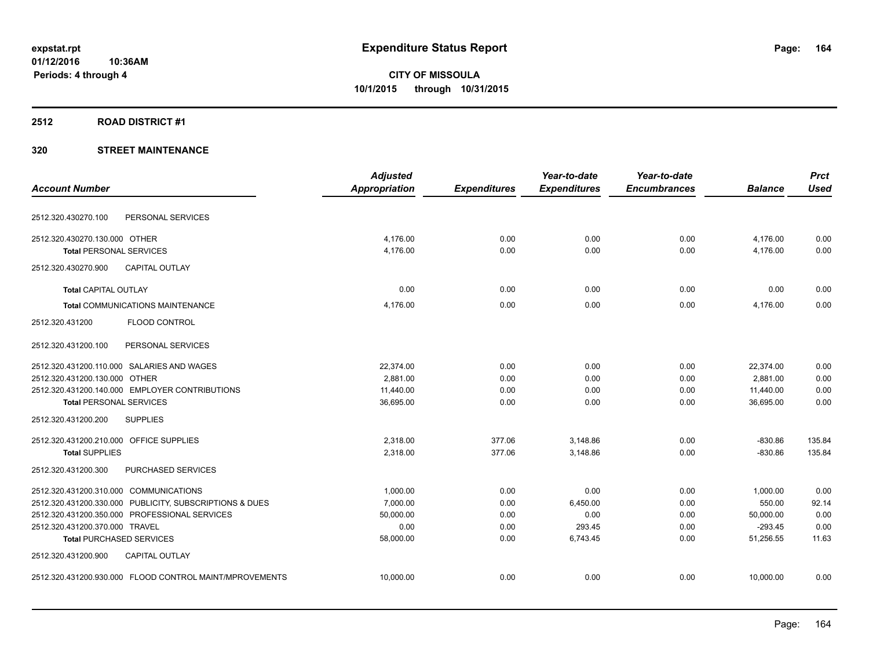### **2512 ROAD DISTRICT #1**

|                                         |                                                         | <b>Adjusted</b>      |                     | Year-to-date        | Year-to-date        |                | <b>Prct</b> |
|-----------------------------------------|---------------------------------------------------------|----------------------|---------------------|---------------------|---------------------|----------------|-------------|
| <b>Account Number</b>                   |                                                         | <b>Appropriation</b> | <b>Expenditures</b> | <b>Expenditures</b> | <b>Encumbrances</b> | <b>Balance</b> | <b>Used</b> |
| 2512.320.430270.100                     | PERSONAL SERVICES                                       |                      |                     |                     |                     |                |             |
| 2512.320.430270.130.000 OTHER           |                                                         | 4,176.00             | 0.00                | 0.00                | 0.00                | 4,176.00       | 0.00        |
| <b>Total PERSONAL SERVICES</b>          |                                                         | 4,176.00             | 0.00                | 0.00                | 0.00                | 4,176.00       | 0.00        |
| 2512.320.430270.900                     | <b>CAPITAL OUTLAY</b>                                   |                      |                     |                     |                     |                |             |
| <b>Total CAPITAL OUTLAY</b>             |                                                         | 0.00                 | 0.00                | 0.00                | 0.00                | 0.00           | 0.00        |
|                                         | <b>Total COMMUNICATIONS MAINTENANCE</b>                 | 4.176.00             | 0.00                | 0.00                | 0.00                | 4.176.00       | 0.00        |
| 2512.320.431200                         | FLOOD CONTROL                                           |                      |                     |                     |                     |                |             |
| 2512.320.431200.100                     | PERSONAL SERVICES                                       |                      |                     |                     |                     |                |             |
|                                         | 2512.320.431200.110.000 SALARIES AND WAGES              | 22,374.00            | 0.00                | 0.00                | 0.00                | 22,374.00      | 0.00        |
| 2512.320.431200.130.000 OTHER           |                                                         | 2,881.00             | 0.00                | 0.00                | 0.00                | 2,881.00       | 0.00        |
|                                         | 2512.320.431200.140.000 EMPLOYER CONTRIBUTIONS          | 11,440.00            | 0.00                | 0.00                | 0.00                | 11,440.00      | 0.00        |
| <b>Total PERSONAL SERVICES</b>          |                                                         | 36,695.00            | 0.00                | 0.00                | 0.00                | 36,695.00      | 0.00        |
| 2512.320.431200.200                     | <b>SUPPLIES</b>                                         |                      |                     |                     |                     |                |             |
| 2512.320.431200.210.000 OFFICE SUPPLIES |                                                         | 2,318.00             | 377.06              | 3,148.86            | 0.00                | $-830.86$      | 135.84      |
| <b>Total SUPPLIES</b>                   |                                                         | 2,318.00             | 377.06              | 3,148.86            | 0.00                | $-830.86$      | 135.84      |
| 2512.320.431200.300                     | <b>PURCHASED SERVICES</b>                               |                      |                     |                     |                     |                |             |
| 2512.320.431200.310.000 COMMUNICATIONS  |                                                         | 1,000.00             | 0.00                | 0.00                | 0.00                | 1,000.00       | 0.00        |
|                                         | 2512.320.431200.330.000 PUBLICITY, SUBSCRIPTIONS & DUES | 7,000.00             | 0.00                | 6,450.00            | 0.00                | 550.00         | 92.14       |
|                                         | 2512.320.431200.350.000 PROFESSIONAL SERVICES           | 50,000.00            | 0.00                | 0.00                | 0.00                | 50,000.00      | 0.00        |
| 2512.320.431200.370.000 TRAVEL          |                                                         | 0.00                 | 0.00                | 293.45              | 0.00                | $-293.45$      | 0.00        |
| <b>Total PURCHASED SERVICES</b>         |                                                         | 58,000.00            | 0.00                | 6,743.45            | 0.00                | 51,256.55      | 11.63       |
| 2512.320.431200.900                     | <b>CAPITAL OUTLAY</b>                                   |                      |                     |                     |                     |                |             |
|                                         | 2512.320.431200.930.000 FLOOD CONTROL MAINT/MPROVEMENTS | 10,000.00            | 0.00                | 0.00                | 0.00                | 10,000.00      | 0.00        |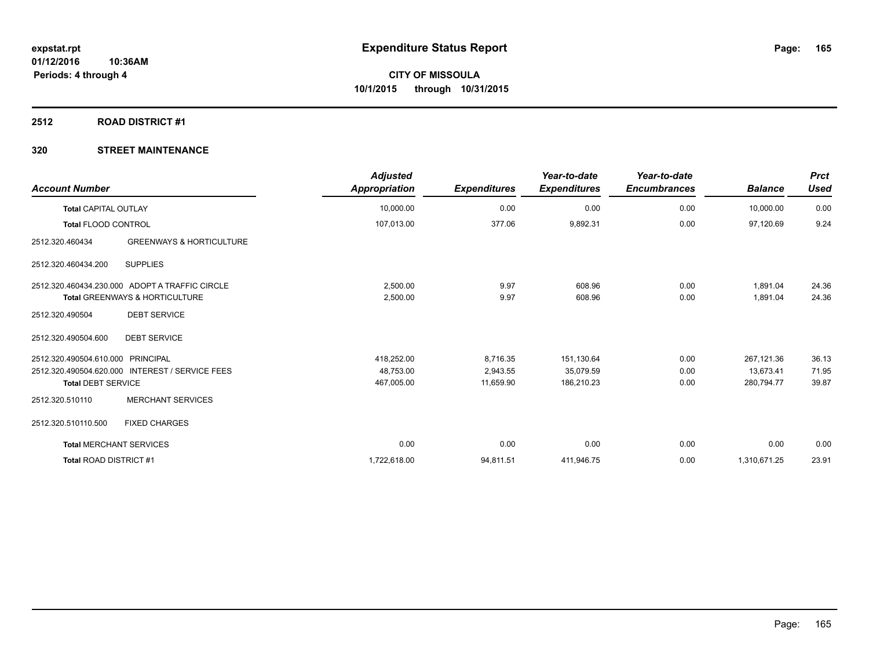#### **2512 ROAD DISTRICT #1**

| <b>Account Number</b>             |                                                 | <b>Adjusted</b><br><b>Appropriation</b> | <b>Expenditures</b> | Year-to-date<br><b>Expenditures</b> | Year-to-date<br><b>Encumbrances</b> | <b>Balance</b> | <b>Prct</b><br><b>Used</b> |
|-----------------------------------|-------------------------------------------------|-----------------------------------------|---------------------|-------------------------------------|-------------------------------------|----------------|----------------------------|
| <b>Total CAPITAL OUTLAY</b>       |                                                 | 10,000.00                               | 0.00                | 0.00                                | 0.00                                | 10,000.00      | 0.00                       |
| <b>Total FLOOD CONTROL</b>        |                                                 | 107,013.00                              | 377.06              | 9,892.31                            | 0.00                                | 97,120.69      | 9.24                       |
| 2512.320.460434                   | <b>GREENWAYS &amp; HORTICULTURE</b>             |                                         |                     |                                     |                                     |                |                            |
| 2512.320.460434.200               | <b>SUPPLIES</b>                                 |                                         |                     |                                     |                                     |                |                            |
|                                   | 2512.320.460434.230.000 ADOPT A TRAFFIC CIRCLE  | 2,500.00                                | 9.97                | 608.96                              | 0.00                                | 1,891.04       | 24.36                      |
|                                   | <b>Total GREENWAYS &amp; HORTICULTURE</b>       | 2,500.00                                | 9.97                | 608.96                              | 0.00                                | 1,891.04       | 24.36                      |
| 2512.320.490504                   | <b>DEBT SERVICE</b>                             |                                         |                     |                                     |                                     |                |                            |
| 2512.320.490504.600               | <b>DEBT SERVICE</b>                             |                                         |                     |                                     |                                     |                |                            |
| 2512.320.490504.610.000 PRINCIPAL |                                                 | 418,252.00                              | 8,716.35            | 151,130.64                          | 0.00                                | 267,121.36     | 36.13                      |
|                                   | 2512.320.490504.620.000 INTEREST / SERVICE FEES | 48,753.00                               | 2,943.55            | 35,079.59                           | 0.00                                | 13,673.41      | 71.95                      |
| <b>Total DEBT SERVICE</b>         |                                                 | 467,005.00                              | 11,659.90           | 186,210.23                          | 0.00                                | 280,794.77     | 39.87                      |
| 2512.320.510110                   | <b>MERCHANT SERVICES</b>                        |                                         |                     |                                     |                                     |                |                            |
| 2512.320.510110.500               | <b>FIXED CHARGES</b>                            |                                         |                     |                                     |                                     |                |                            |
| <b>Total MERCHANT SERVICES</b>    |                                                 | 0.00                                    | 0.00                | 0.00                                | 0.00                                | 0.00           | 0.00                       |
| Total ROAD DISTRICT #1            |                                                 | 1,722,618.00                            | 94,811.51           | 411,946.75                          | 0.00                                | 1,310,671.25   | 23.91                      |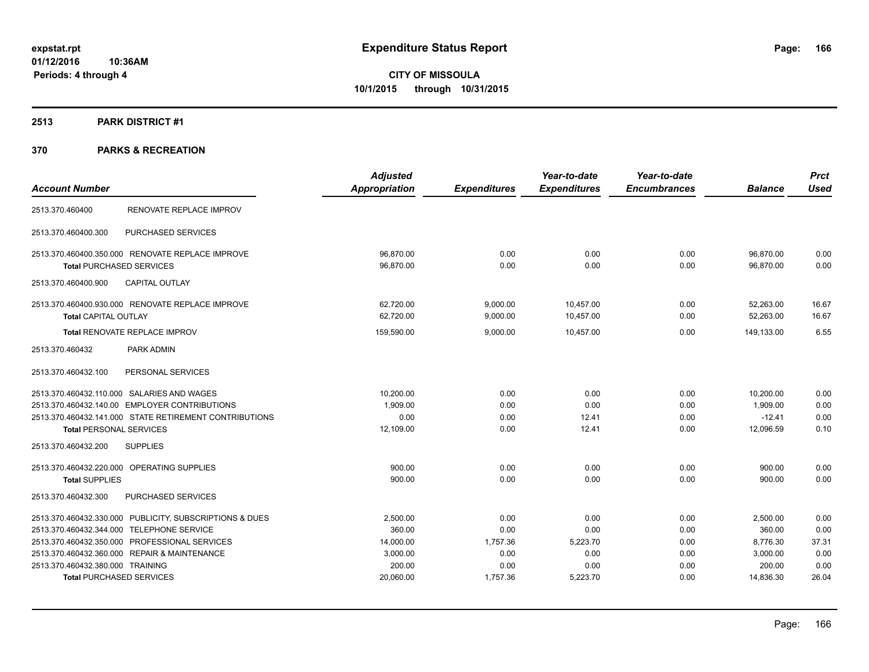# **2513 PARK DISTRICT #1**

| <b>Account Number</b>                                   | <b>Adjusted</b><br><b>Appropriation</b> | <b>Expenditures</b> | Year-to-date<br><b>Expenditures</b> | Year-to-date<br><b>Encumbrances</b> | <b>Balance</b> | <b>Prct</b><br><b>Used</b> |
|---------------------------------------------------------|-----------------------------------------|---------------------|-------------------------------------|-------------------------------------|----------------|----------------------------|
|                                                         |                                         |                     |                                     |                                     |                |                            |
| RENOVATE REPLACE IMPROV<br>2513.370.460400              |                                         |                     |                                     |                                     |                |                            |
| PURCHASED SERVICES<br>2513.370.460400.300               |                                         |                     |                                     |                                     |                |                            |
| 2513.370.460400.350.000 RENOVATE REPLACE IMPROVE        | 96,870.00                               | 0.00                | 0.00                                | 0.00                                | 96,870.00      | 0.00                       |
| <b>Total PURCHASED SERVICES</b>                         | 96.870.00                               | 0.00                | 0.00                                | 0.00                                | 96.870.00      | 0.00                       |
| <b>CAPITAL OUTLAY</b><br>2513.370.460400.900            |                                         |                     |                                     |                                     |                |                            |
| 2513.370.460400.930.000 RENOVATE REPLACE IMPROVE        | 62,720.00                               | 9,000.00            | 10,457.00                           | 0.00                                | 52,263.00      | 16.67                      |
| <b>Total CAPITAL OUTLAY</b>                             | 62,720.00                               | 9,000.00            | 10,457.00                           | 0.00                                | 52,263.00      | 16.67                      |
| Total RENOVATE REPLACE IMPROV                           | 159,590.00                              | 9,000.00            | 10,457.00                           | 0.00                                | 149,133.00     | 6.55                       |
| 2513.370.460432<br>PARK ADMIN                           |                                         |                     |                                     |                                     |                |                            |
| PERSONAL SERVICES<br>2513.370.460432.100                |                                         |                     |                                     |                                     |                |                            |
| 2513.370.460432.110.000 SALARIES AND WAGES              | 10,200.00                               | 0.00                | 0.00                                | 0.00                                | 10,200.00      | 0.00                       |
| 2513.370.460432.140.00 EMPLOYER CONTRIBUTIONS           | 1.909.00                                | 0.00                | 0.00                                | 0.00                                | 1.909.00       | 0.00                       |
| 2513.370.460432.141.000 STATE RETIREMENT CONTRIBUTIONS  | 0.00                                    | 0.00                | 12.41                               | 0.00                                | $-12.41$       | 0.00                       |
| <b>Total PERSONAL SERVICES</b>                          | 12,109.00                               | 0.00                | 12.41                               | 0.00                                | 12,096.59      | 0.10                       |
| <b>SUPPLIES</b><br>2513.370.460432.200                  |                                         |                     |                                     |                                     |                |                            |
| 2513.370.460432.220.000 OPERATING SUPPLIES              | 900.00                                  | 0.00                | 0.00                                | 0.00                                | 900.00         | 0.00                       |
| <b>Total SUPPLIES</b>                                   | 900.00                                  | 0.00                | 0.00                                | 0.00                                | 900.00         | 0.00                       |
| PURCHASED SERVICES<br>2513.370.460432.300               |                                         |                     |                                     |                                     |                |                            |
| 2513.370.460432.330.000 PUBLICITY, SUBSCRIPTIONS & DUES | 2,500.00                                | 0.00                | 0.00                                | 0.00                                | 2,500.00       | 0.00                       |
| 2513.370.460432.344.000 TELEPHONE SERVICE               | 360.00                                  | 0.00                | 0.00                                | 0.00                                | 360.00         | 0.00                       |
| 2513.370.460432.350.000 PROFESSIONAL SERVICES           | 14,000.00                               | 1,757.36            | 5,223.70                            | 0.00                                | 8,776.30       | 37.31                      |
| 2513.370.460432.360.000 REPAIR & MAINTENANCE            | 3,000.00                                | 0.00                | 0.00                                | 0.00                                | 3,000.00       | 0.00                       |
| 2513.370.460432.380.000 TRAINING                        | 200.00                                  | 0.00                | 0.00                                | 0.00                                | 200.00         | 0.00                       |
| <b>Total PURCHASED SERVICES</b>                         | 20,060.00                               | 1,757.36            | 5,223.70                            | 0.00                                | 14,836.30      | 26.04                      |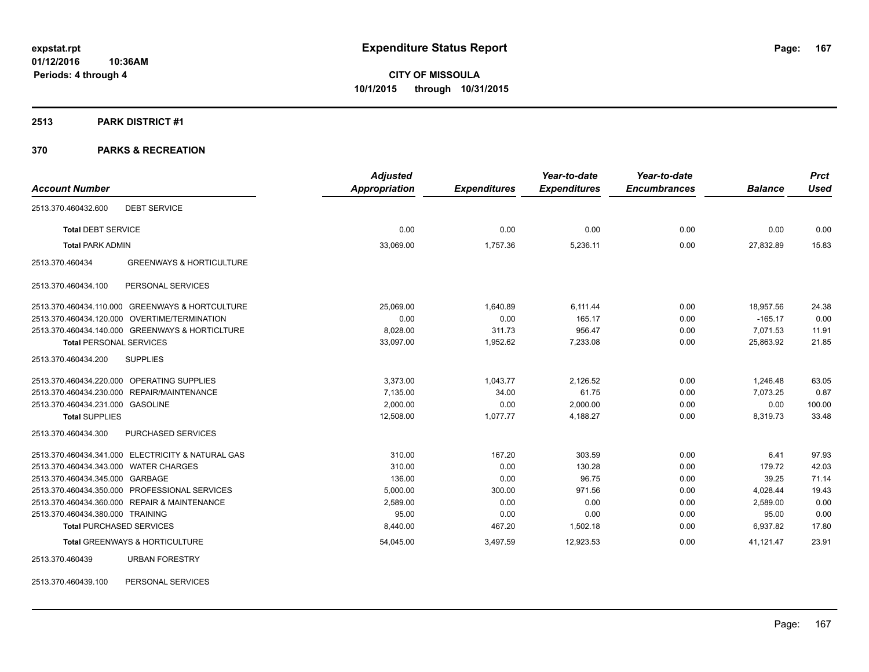#### **2513 PARK DISTRICT #1**

## **370 PARKS & RECREATION**

|                                                        | <b>Adjusted</b> |                     | Year-to-date        | Year-to-date        |                | <b>Prct</b> |
|--------------------------------------------------------|-----------------|---------------------|---------------------|---------------------|----------------|-------------|
| <b>Account Number</b>                                  | Appropriation   | <b>Expenditures</b> | <b>Expenditures</b> | <b>Encumbrances</b> | <b>Balance</b> | <b>Used</b> |
| <b>DEBT SERVICE</b><br>2513.370.460432.600             |                 |                     |                     |                     |                |             |
| <b>Total DEBT SERVICE</b>                              | 0.00            | 0.00                | 0.00                | 0.00                | 0.00           | 0.00        |
| <b>Total PARK ADMIN</b>                                | 33,069.00       | 1,757.36            | 5,236.11            | 0.00                | 27,832.89      | 15.83       |
| <b>GREENWAYS &amp; HORTICULTURE</b><br>2513.370.460434 |                 |                     |                     |                     |                |             |
| PERSONAL SERVICES<br>2513.370.460434.100               |                 |                     |                     |                     |                |             |
| 2513.370.460434.110.000 GREENWAYS & HORTCULTURE        | 25.069.00       | 1.640.89            | 6.111.44            | 0.00                | 18.957.56      | 24.38       |
| 2513.370.460434.120.000 OVERTIME/TERMINATION           | 0.00            | 0.00                | 165.17              | 0.00                | $-165.17$      | 0.00        |
| 2513.370.460434.140.000 GREENWAYS & HORTICLTURE        | 8,028.00        | 311.73              | 956.47              | 0.00                | 7.071.53       | 11.91       |
| <b>Total PERSONAL SERVICES</b>                         | 33,097.00       | 1,952.62            | 7,233.08            | 0.00                | 25,863.92      | 21.85       |
| <b>SUPPLIES</b><br>2513.370.460434.200                 |                 |                     |                     |                     |                |             |
| 2513.370.460434.220.000 OPERATING SUPPLIES             | 3.373.00        | 1.043.77            | 2.126.52            | 0.00                | 1.246.48       | 63.05       |
| 2513.370.460434.230.000 REPAIR/MAINTENANCE             | 7,135.00        | 34.00               | 61.75               | 0.00                | 7,073.25       | 0.87        |
| 2513.370.460434.231.000 GASOLINE                       | 2,000.00        | 0.00                | 2,000.00            | 0.00                | 0.00           | 100.00      |
| <b>Total SUPPLIES</b>                                  | 12,508.00       | 1.077.77            | 4.188.27            | 0.00                | 8,319.73       | 33.48       |
| PURCHASED SERVICES<br>2513.370.460434.300              |                 |                     |                     |                     |                |             |
| 2513.370.460434.341.000 ELECTRICITY & NATURAL GAS      | 310.00          | 167.20              | 303.59              | 0.00                | 6.41           | 97.93       |
| 2513.370.460434.343.000 WATER CHARGES                  | 310.00          | 0.00                | 130.28              | 0.00                | 179.72         | 42.03       |
| 2513.370.460434.345.000 GARBAGE                        | 136.00          | 0.00                | 96.75               | 0.00                | 39.25          | 71.14       |
| 2513.370.460434.350.000 PROFESSIONAL SERVICES          | 5,000.00        | 300.00              | 971.56              | 0.00                | 4,028.44       | 19.43       |
| 2513.370.460434.360.000 REPAIR & MAINTENANCE           | 2,589.00        | 0.00                | 0.00                | 0.00                | 2,589.00       | 0.00        |
| 2513.370.460434.380.000 TRAINING                       | 95.00           | 0.00                | 0.00                | 0.00                | 95.00          | 0.00        |
| <b>Total PURCHASED SERVICES</b>                        | 8,440.00        | 467.20              | 1,502.18            | 0.00                | 6,937.82       | 17.80       |
| Total GREENWAYS & HORTICULTURE                         | 54,045.00       | 3,497.59            | 12,923.53           | 0.00                | 41,121.47      | 23.91       |
| 2513.370.460439<br><b>URBAN FORESTRY</b>               |                 |                     |                     |                     |                |             |

2513.370.460439.100 PERSONAL SERVICES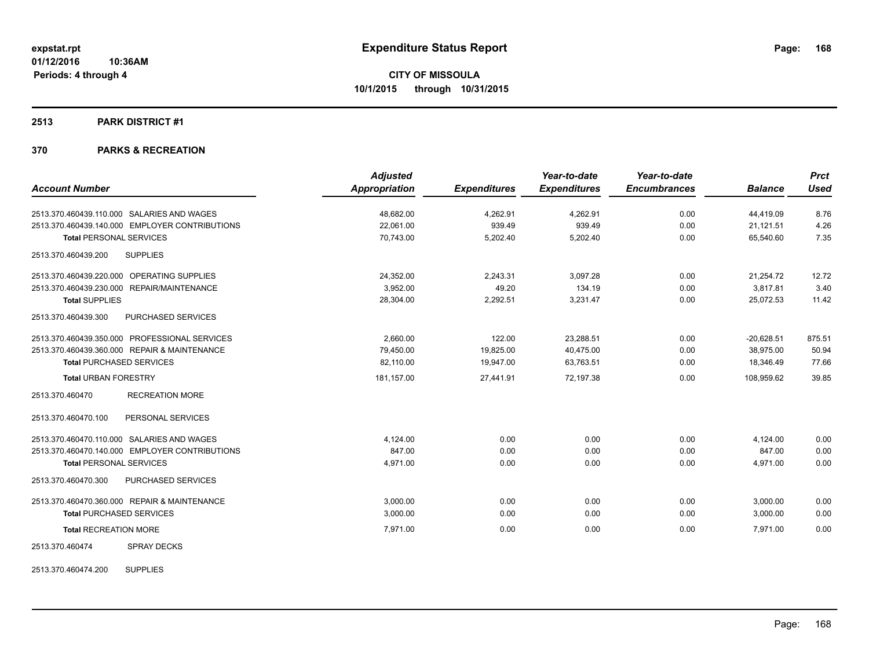#### **2513 PARK DISTRICT #1**

## **370 PARKS & RECREATION**

| <b>Account Number</b>                            | <b>Adjusted</b><br><b>Appropriation</b> | <b>Expenditures</b> | Year-to-date<br><b>Expenditures</b> | Year-to-date<br><b>Encumbrances</b> | <b>Balance</b> | <b>Prct</b><br><b>Used</b> |
|--------------------------------------------------|-----------------------------------------|---------------------|-------------------------------------|-------------------------------------|----------------|----------------------------|
|                                                  |                                         |                     |                                     |                                     |                |                            |
| 2513.370.460439.110.000 SALARIES AND WAGES       | 48.682.00                               | 4,262.91            | 4,262.91                            | 0.00                                | 44,419.09      | 8.76                       |
| 2513.370.460439.140.000 EMPLOYER CONTRIBUTIONS   | 22,061.00                               | 939.49              | 939.49                              | 0.00                                | 21,121.51      | 4.26                       |
| <b>Total PERSONAL SERVICES</b>                   | 70,743.00                               | 5,202.40            | 5,202.40                            | 0.00                                | 65,540.60      | 7.35                       |
| 2513.370.460439.200<br><b>SUPPLIES</b>           |                                         |                     |                                     |                                     |                |                            |
| 2513.370.460439.220.000 OPERATING SUPPLIES       | 24,352.00                               | 2,243.31            | 3,097.28                            | 0.00                                | 21,254.72      | 12.72                      |
| 2513.370.460439.230.000 REPAIR/MAINTENANCE       | 3,952.00                                | 49.20               | 134.19                              | 0.00                                | 3,817.81       | 3.40                       |
| <b>Total SUPPLIES</b>                            | 28,304.00                               | 2,292.51            | 3,231.47                            | 0.00                                | 25,072.53      | 11.42                      |
| 2513.370.460439.300<br><b>PURCHASED SERVICES</b> |                                         |                     |                                     |                                     |                |                            |
| 2513.370.460439.350.000 PROFESSIONAL SERVICES    | 2.660.00                                | 122.00              | 23,288.51                           | 0.00                                | $-20,628.51$   | 875.51                     |
| 2513.370.460439.360.000 REPAIR & MAINTENANCE     | 79,450.00                               | 19,825.00           | 40,475.00                           | 0.00                                | 38,975.00      | 50.94                      |
| <b>Total PURCHASED SERVICES</b>                  | 82,110.00                               | 19,947.00           | 63,763.51                           | 0.00                                | 18,346.49      | 77.66                      |
| <b>Total URBAN FORESTRY</b>                      | 181,157.00                              | 27,441.91           | 72,197.38                           | 0.00                                | 108,959.62     | 39.85                      |
| 2513.370.460470<br><b>RECREATION MORE</b>        |                                         |                     |                                     |                                     |                |                            |
| 2513.370.460470.100<br>PERSONAL SERVICES         |                                         |                     |                                     |                                     |                |                            |
| 2513.370.460470.110.000 SALARIES AND WAGES       | 4.124.00                                | 0.00                | 0.00                                | 0.00                                | 4,124.00       | 0.00                       |
| 2513.370.460470.140.000 EMPLOYER CONTRIBUTIONS   | 847.00                                  | 0.00                | 0.00                                | 0.00                                | 847.00         | 0.00                       |
| <b>Total PERSONAL SERVICES</b>                   | 4,971.00                                | 0.00                | 0.00                                | 0.00                                | 4,971.00       | 0.00                       |
| 2513.370.460470.300<br><b>PURCHASED SERVICES</b> |                                         |                     |                                     |                                     |                |                            |
| 2513.370.460470.360.000 REPAIR & MAINTENANCE     | 3,000.00                                | 0.00                | 0.00                                | 0.00                                | 3,000.00       | 0.00                       |
| <b>Total PURCHASED SERVICES</b>                  | 3,000.00                                | 0.00                | 0.00                                | 0.00                                | 3,000.00       | 0.00                       |
| <b>Total RECREATION MORE</b>                     | 7.971.00                                | 0.00                | 0.00                                | 0.00                                | 7.971.00       | 0.00                       |
| <b>SPRAY DECKS</b><br>2513.370.460474            |                                         |                     |                                     |                                     |                |                            |

2513.370.460474.200 SUPPLIES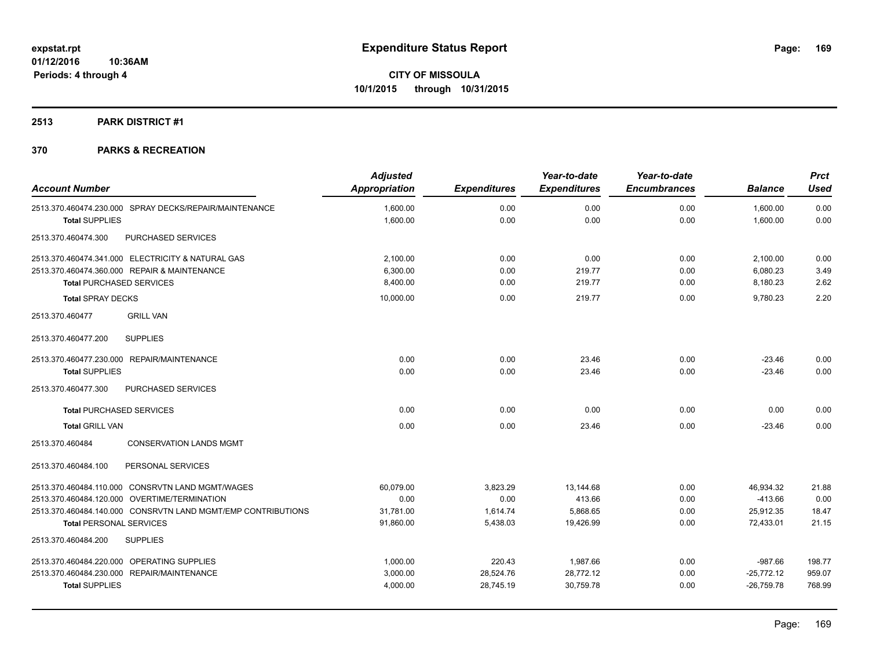## **2513 PARK DISTRICT #1**

|                                                              | <b>Adjusted</b>      |                     | Year-to-date        | Year-to-date        |                | <b>Prct</b> |
|--------------------------------------------------------------|----------------------|---------------------|---------------------|---------------------|----------------|-------------|
| <b>Account Number</b>                                        | <b>Appropriation</b> | <b>Expenditures</b> | <b>Expenditures</b> | <b>Encumbrances</b> | <b>Balance</b> | <b>Used</b> |
| 2513.370.460474.230.000 SPRAY DECKS/REPAIR/MAINTENANCE       | 1.600.00             | 0.00                | 0.00                | 0.00                | 1,600.00       | 0.00        |
| <b>Total SUPPLIES</b>                                        | 1,600.00             | 0.00                | 0.00                | 0.00                | 1,600.00       | 0.00        |
| PURCHASED SERVICES<br>2513.370.460474.300                    |                      |                     |                     |                     |                |             |
| 2513.370.460474.341.000 ELECTRICITY & NATURAL GAS            | 2.100.00             | 0.00                | 0.00                | 0.00                | 2,100.00       | 0.00        |
| 2513.370.460474.360.000 REPAIR & MAINTENANCE                 | 6,300.00             | 0.00                | 219.77              | 0.00                | 6,080.23       | 3.49        |
| <b>Total PURCHASED SERVICES</b>                              | 8,400.00             | 0.00                | 219.77              | 0.00                | 8,180.23       | 2.62        |
| <b>Total SPRAY DECKS</b>                                     | 10,000.00            | 0.00                | 219.77              | 0.00                | 9.780.23       | 2.20        |
| <b>GRILL VAN</b><br>2513.370.460477                          |                      |                     |                     |                     |                |             |
| <b>SUPPLIES</b><br>2513.370.460477.200                       |                      |                     |                     |                     |                |             |
| 2513.370.460477.230.000 REPAIR/MAINTENANCE                   | 0.00                 | 0.00                | 23.46               | 0.00                | $-23.46$       | 0.00        |
| <b>Total SUPPLIES</b>                                        | 0.00                 | 0.00                | 23.46               | 0.00                | $-23.46$       | 0.00        |
| <b>PURCHASED SERVICES</b><br>2513.370.460477.300             |                      |                     |                     |                     |                |             |
| <b>Total PURCHASED SERVICES</b>                              | 0.00                 | 0.00                | 0.00                | 0.00                | 0.00           | 0.00        |
| <b>Total GRILL VAN</b>                                       | 0.00                 | 0.00                | 23.46               | 0.00                | $-23.46$       | 0.00        |
| 2513.370.460484<br><b>CONSERVATION LANDS MGMT</b>            |                      |                     |                     |                     |                |             |
| PERSONAL SERVICES<br>2513.370.460484.100                     |                      |                     |                     |                     |                |             |
| 2513.370.460484.110.000 CONSRVTN LAND MGMT/WAGES             | 60.079.00            | 3,823.29            | 13,144.68           | 0.00                | 46,934.32      | 21.88       |
| 2513.370.460484.120.000 OVERTIME/TERMINATION                 | 0.00                 | 0.00                | 413.66              | 0.00                | $-413.66$      | 0.00        |
| 2513.370.460484.140.000 CONSRVTN LAND MGMT/EMP CONTRIBUTIONS | 31,781.00            | 1,614.74            | 5,868.65            | 0.00                | 25,912.35      | 18.47       |
| <b>Total PERSONAL SERVICES</b>                               | 91,860.00            | 5,438.03            | 19,426.99           | 0.00                | 72,433.01      | 21.15       |
| 2513.370.460484.200<br><b>SUPPLIES</b>                       |                      |                     |                     |                     |                |             |
| 2513.370.460484.220.000 OPERATING SUPPLIES                   | 1,000.00             | 220.43              | 1,987.66            | 0.00                | $-987.66$      | 198.77      |
| 2513.370.460484.230.000 REPAIR/MAINTENANCE                   | 3,000.00             | 28,524.76           | 28,772.12           | 0.00                | $-25,772.12$   | 959.07      |
| <b>Total SUPPLIES</b>                                        | 4,000.00             | 28,745.19           | 30,759.78           | 0.00                | $-26,759.78$   | 768.99      |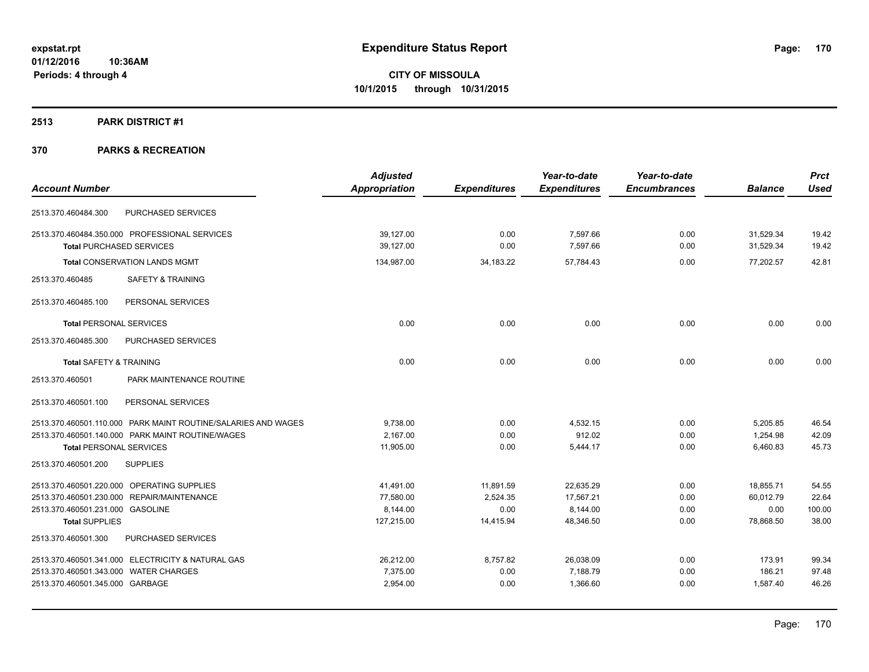#### **2513 PARK DISTRICT #1**

|                                       |                                                               | <b>Adjusted</b> |                     | Year-to-date        | Year-to-date        |                | <b>Prct</b> |
|---------------------------------------|---------------------------------------------------------------|-----------------|---------------------|---------------------|---------------------|----------------|-------------|
| <b>Account Number</b>                 |                                                               | Appropriation   | <b>Expenditures</b> | <b>Expenditures</b> | <b>Encumbrances</b> | <b>Balance</b> | <b>Used</b> |
| 2513.370.460484.300                   | PURCHASED SERVICES                                            |                 |                     |                     |                     |                |             |
|                                       | 2513.370.460484.350.000 PROFESSIONAL SERVICES                 | 39,127.00       | 0.00                | 7,597.66            | 0.00                | 31,529.34      | 19.42       |
| <b>Total PURCHASED SERVICES</b>       |                                                               | 39,127.00       | 0.00                | 7,597.66            | 0.00                | 31,529.34      | 19.42       |
|                                       | <b>Total CONSERVATION LANDS MGMT</b>                          | 134,987.00      | 34,183.22           | 57,784.43           | 0.00                | 77,202.57      | 42.81       |
| 2513.370.460485                       | <b>SAFETY &amp; TRAINING</b>                                  |                 |                     |                     |                     |                |             |
| 2513.370.460485.100                   | PERSONAL SERVICES                                             |                 |                     |                     |                     |                |             |
| <b>Total PERSONAL SERVICES</b>        |                                                               | 0.00            | 0.00                | 0.00                | 0.00                | 0.00           | 0.00        |
| 2513.370.460485.300                   | PURCHASED SERVICES                                            |                 |                     |                     |                     |                |             |
| <b>Total SAFETY &amp; TRAINING</b>    |                                                               | 0.00            | 0.00                | 0.00                | 0.00                | 0.00           | 0.00        |
| 2513.370.460501                       | PARK MAINTENANCE ROUTINE                                      |                 |                     |                     |                     |                |             |
| 2513.370.460501.100                   | PERSONAL SERVICES                                             |                 |                     |                     |                     |                |             |
|                                       | 2513.370.460501.110.000 PARK MAINT ROUTINE/SALARIES AND WAGES | 9,738.00        | 0.00                | 4,532.15            | 0.00                | 5,205.85       | 46.54       |
|                                       | 2513.370.460501.140.000 PARK MAINT ROUTINE/WAGES              | 2,167.00        | 0.00                | 912.02              | 0.00                | 1,254.98       | 42.09       |
| <b>Total PERSONAL SERVICES</b>        |                                                               | 11,905.00       | 0.00                | 5,444.17            | 0.00                | 6,460.83       | 45.73       |
| 2513.370.460501.200                   | <b>SUPPLIES</b>                                               |                 |                     |                     |                     |                |             |
|                                       | 2513.370.460501.220.000 OPERATING SUPPLIES                    | 41,491.00       | 11,891.59           | 22,635.29           | 0.00                | 18,855.71      | 54.55       |
|                                       | 2513.370.460501.230.000 REPAIR/MAINTENANCE                    | 77,580.00       | 2,524.35            | 17,567.21           | 0.00                | 60,012.79      | 22.64       |
| 2513.370.460501.231.000 GASOLINE      |                                                               | 8,144.00        | 0.00                | 8,144.00            | 0.00                | 0.00           | 100.00      |
| <b>Total SUPPLIES</b>                 |                                                               | 127,215.00      | 14,415.94           | 48,346.50           | 0.00                | 78,868.50      | 38.00       |
| 2513.370.460501.300                   | PURCHASED SERVICES                                            |                 |                     |                     |                     |                |             |
|                                       | 2513.370.460501.341.000 ELECTRICITY & NATURAL GAS             | 26,212.00       | 8,757.82            | 26,038.09           | 0.00                | 173.91         | 99.34       |
| 2513.370.460501.343.000 WATER CHARGES |                                                               | 7,375.00        | 0.00                | 7,188.79            | 0.00                | 186.21         | 97.48       |
| 2513.370.460501.345.000 GARBAGE       |                                                               | 2,954.00        | 0.00                | 1,366.60            | 0.00                | 1,587.40       | 46.26       |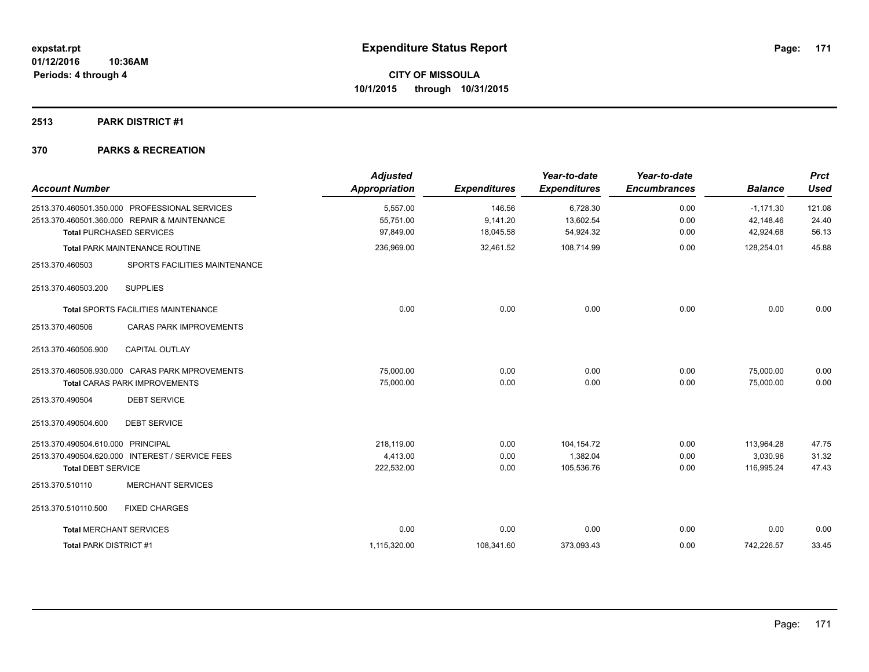## **2513 PARK DISTRICT #1**

| <b>Account Number</b>                                          |                                                                                                                                  | <b>Adjusted</b><br>Appropriation     | <b>Expenditures</b>             | Year-to-date<br><b>Expenditures</b>  | Year-to-date<br><b>Encumbrances</b> | <b>Balance</b>                        | Prct<br><b>Used</b>      |
|----------------------------------------------------------------|----------------------------------------------------------------------------------------------------------------------------------|--------------------------------------|---------------------------------|--------------------------------------|-------------------------------------|---------------------------------------|--------------------------|
|                                                                | 2513.370.460501.350.000 PROFESSIONAL SERVICES<br>2513.370.460501.360.000 REPAIR & MAINTENANCE<br><b>Total PURCHASED SERVICES</b> | 5,557.00<br>55,751.00<br>97,849.00   | 146.56<br>9,141.20<br>18,045.58 | 6,728.30<br>13,602.54<br>54,924.32   | 0.00<br>0.00<br>0.00                | $-1,171.30$<br>42,148.46<br>42,924.68 | 121.08<br>24.40<br>56.13 |
|                                                                | <b>Total PARK MAINTENANCE ROUTINE</b>                                                                                            | 236,969.00                           | 32,461.52                       | 108,714.99                           | 0.00                                | 128,254.01                            | 45.88                    |
| 2513.370.460503                                                | SPORTS FACILITIES MAINTENANCE                                                                                                    |                                      |                                 |                                      |                                     |                                       |                          |
| 2513.370.460503.200                                            | <b>SUPPLIES</b>                                                                                                                  |                                      |                                 |                                      |                                     |                                       |                          |
|                                                                | <b>Total SPORTS FACILITIES MAINTENANCE</b>                                                                                       | 0.00                                 | 0.00                            | 0.00                                 | 0.00                                | 0.00                                  | 0.00                     |
| 2513.370.460506                                                | <b>CARAS PARK IMPROVEMENTS</b>                                                                                                   |                                      |                                 |                                      |                                     |                                       |                          |
| 2513.370.460506.900                                            | <b>CAPITAL OUTLAY</b>                                                                                                            |                                      |                                 |                                      |                                     |                                       |                          |
|                                                                | 2513.370.460506.930.000 CARAS PARK MPROVEMENTS<br><b>Total CARAS PARK IMPROVEMENTS</b>                                           | 75.000.00<br>75,000.00               | 0.00<br>0.00                    | 0.00<br>0.00                         | 0.00<br>0.00                        | 75,000.00<br>75,000.00                | 0.00<br>0.00             |
| 2513.370.490504                                                | <b>DEBT SERVICE</b>                                                                                                              |                                      |                                 |                                      |                                     |                                       |                          |
| 2513.370.490504.600                                            | <b>DEBT SERVICE</b>                                                                                                              |                                      |                                 |                                      |                                     |                                       |                          |
| 2513.370.490504.610.000 PRINCIPAL<br><b>Total DEBT SERVICE</b> | 2513.370.490504.620.000 INTEREST / SERVICE FEES                                                                                  | 218.119.00<br>4,413.00<br>222,532.00 | 0.00<br>0.00<br>0.00            | 104,154.72<br>1,382.04<br>105,536.76 | 0.00<br>0.00<br>0.00                | 113,964.28<br>3,030.96<br>116,995.24  | 47.75<br>31.32<br>47.43  |
| 2513.370.510110                                                | <b>MERCHANT SERVICES</b>                                                                                                         |                                      |                                 |                                      |                                     |                                       |                          |
| 2513.370.510110.500                                            | <b>FIXED CHARGES</b>                                                                                                             |                                      |                                 |                                      |                                     |                                       |                          |
| <b>Total MERCHANT SERVICES</b>                                 |                                                                                                                                  | 0.00                                 | 0.00                            | 0.00                                 | 0.00                                | 0.00                                  | 0.00                     |
| <b>Total PARK DISTRICT #1</b>                                  |                                                                                                                                  | 1,115,320.00                         | 108,341.60                      | 373,093.43                           | 0.00                                | 742,226.57                            | 33.45                    |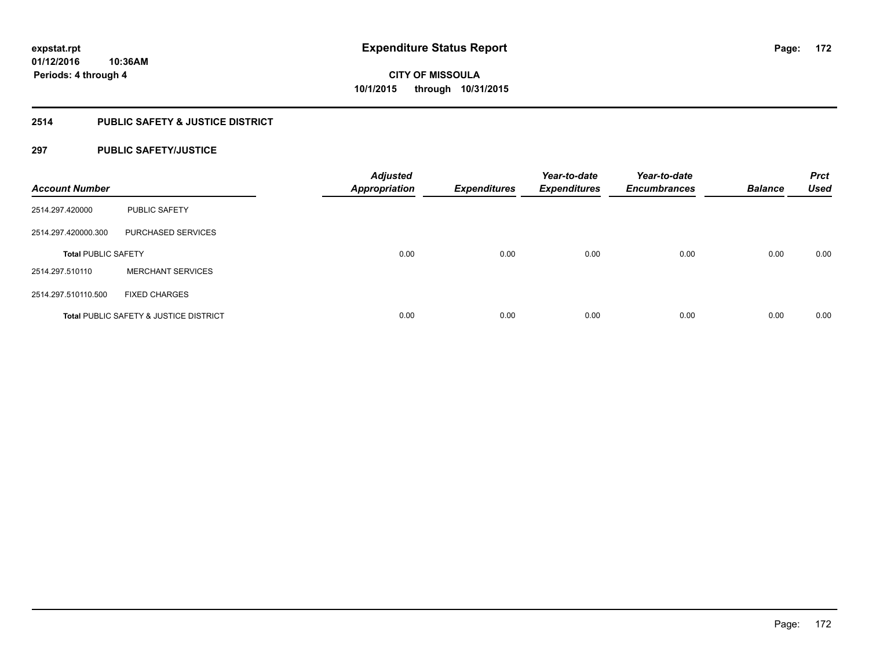# **2514 PUBLIC SAFETY & JUSTICE DISTRICT**

## **297 PUBLIC SAFETY/JUSTICE**

| <b>Account Number</b>      |                                                   | <b>Adjusted</b><br><b>Appropriation</b> | <b>Expenditures</b> | Year-to-date<br><b>Expenditures</b> | Year-to-date<br><b>Encumbrances</b> | <b>Balance</b> | <b>Prct</b><br><b>Used</b> |
|----------------------------|---------------------------------------------------|-----------------------------------------|---------------------|-------------------------------------|-------------------------------------|----------------|----------------------------|
| 2514.297.420000            | <b>PUBLIC SAFETY</b>                              |                                         |                     |                                     |                                     |                |                            |
| 2514.297.420000.300        | PURCHASED SERVICES                                |                                         |                     |                                     |                                     |                |                            |
| <b>Total PUBLIC SAFETY</b> |                                                   | 0.00                                    | 0.00                | 0.00                                | 0.00                                | 0.00           | 0.00                       |
| 2514.297.510110            | <b>MERCHANT SERVICES</b>                          |                                         |                     |                                     |                                     |                |                            |
| 2514.297.510110.500        | <b>FIXED CHARGES</b>                              |                                         |                     |                                     |                                     |                |                            |
|                            | <b>Total PUBLIC SAFETY &amp; JUSTICE DISTRICT</b> | 0.00                                    | 0.00                | 0.00                                | 0.00                                | 0.00           | 0.00                       |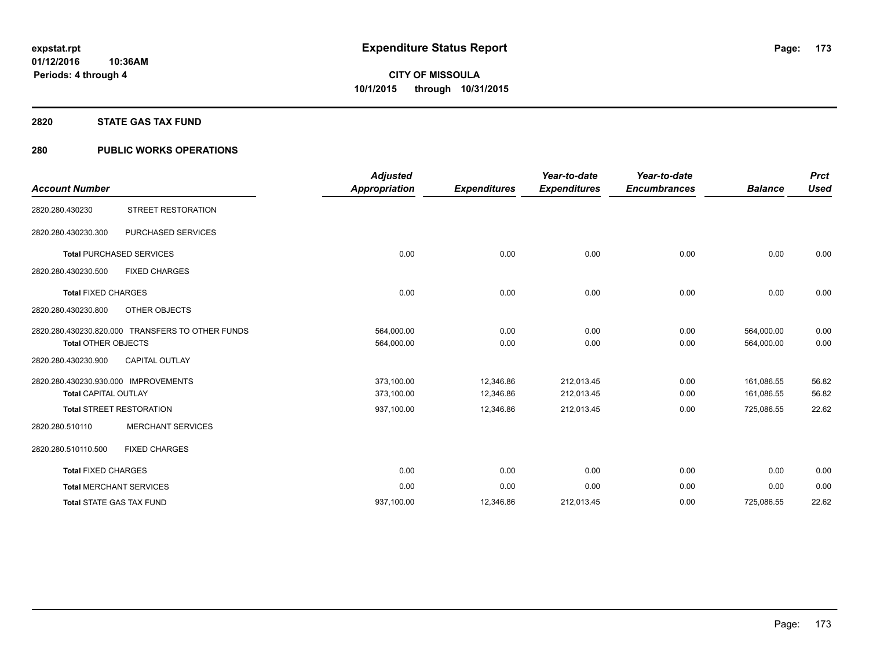## **2820 STATE GAS TAX FUND**

# **280 PUBLIC WORKS OPERATIONS**

| <b>Account Number</b>                                               |                                                  | <b>Adjusted</b><br><b>Appropriation</b> | <b>Expenditures</b>    | Year-to-date<br><b>Expenditures</b> | Year-to-date<br><b>Encumbrances</b> | <b>Balance</b>           | <b>Prct</b><br><b>Used</b> |
|---------------------------------------------------------------------|--------------------------------------------------|-----------------------------------------|------------------------|-------------------------------------|-------------------------------------|--------------------------|----------------------------|
| 2820.280.430230                                                     | <b>STREET RESTORATION</b>                        |                                         |                        |                                     |                                     |                          |                            |
| 2820.280.430230.300                                                 | <b>PURCHASED SERVICES</b>                        |                                         |                        |                                     |                                     |                          |                            |
| <b>Total PURCHASED SERVICES</b>                                     |                                                  | 0.00                                    | 0.00                   | 0.00                                | 0.00                                | 0.00                     | 0.00                       |
| 2820.280.430230.500                                                 | <b>FIXED CHARGES</b>                             |                                         |                        |                                     |                                     |                          |                            |
| <b>Total FIXED CHARGES</b>                                          |                                                  | 0.00                                    | 0.00                   | 0.00                                | 0.00                                | 0.00                     | 0.00                       |
| 2820.280.430230.800                                                 | OTHER OBJECTS                                    |                                         |                        |                                     |                                     |                          |                            |
| <b>Total OTHER OBJECTS</b>                                          | 2820.280.430230.820.000 TRANSFERS TO OTHER FUNDS | 564,000.00<br>564,000.00                | 0.00<br>0.00           | 0.00<br>0.00                        | 0.00<br>0.00                        | 564,000.00<br>564,000.00 | 0.00<br>0.00               |
| 2820.280.430230.900                                                 | <b>CAPITAL OUTLAY</b>                            |                                         |                        |                                     |                                     |                          |                            |
| 2820.280.430230.930.000 IMPROVEMENTS<br><b>Total CAPITAL OUTLAY</b> |                                                  | 373,100.00<br>373,100.00                | 12.346.86<br>12,346.86 | 212,013.45<br>212,013.45            | 0.00<br>0.00                        | 161.086.55<br>161,086.55 | 56.82<br>56.82             |
| <b>Total STREET RESTORATION</b>                                     |                                                  | 937,100.00                              | 12,346.86              | 212,013.45                          | 0.00                                | 725,086.55               | 22.62                      |
| 2820.280.510110                                                     | <b>MERCHANT SERVICES</b>                         |                                         |                        |                                     |                                     |                          |                            |
| 2820.280.510110.500                                                 | <b>FIXED CHARGES</b>                             |                                         |                        |                                     |                                     |                          |                            |
| <b>Total FIXED CHARGES</b>                                          |                                                  | 0.00                                    | 0.00                   | 0.00                                | 0.00                                | 0.00                     | 0.00                       |
| <b>Total MERCHANT SERVICES</b>                                      |                                                  | 0.00                                    | 0.00                   | 0.00                                | 0.00                                | 0.00                     | 0.00                       |
| <b>Total STATE GAS TAX FUND</b>                                     |                                                  | 937,100.00                              | 12,346.86              | 212,013.45                          | 0.00                                | 725,086.55               | 22.62                      |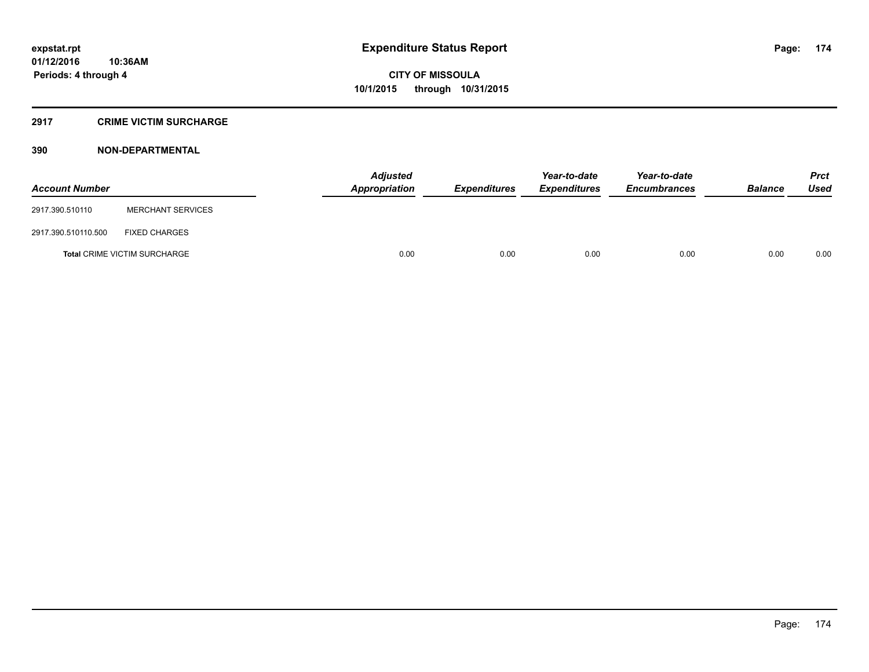## **2917 CRIME VICTIM SURCHARGE**

| <b>Account Number</b> |                                     | Adjusted<br>Appropriation | <b>Expenditures</b> | Year-to-date<br><b>Expenditures</b> | Year-to-date<br><b>Encumbrances</b> | <b>Balance</b> | <b>Prct</b><br><b>Used</b> |
|-----------------------|-------------------------------------|---------------------------|---------------------|-------------------------------------|-------------------------------------|----------------|----------------------------|
| 2917.390.510110       | <b>MERCHANT SERVICES</b>            |                           |                     |                                     |                                     |                |                            |
| 2917.390.510110.500   | <b>FIXED CHARGES</b>                |                           |                     |                                     |                                     |                |                            |
|                       | <b>Total CRIME VICTIM SURCHARGE</b> | 0.00                      | 0.00                | 0.00                                | 0.00                                | 0.00           | 0.00                       |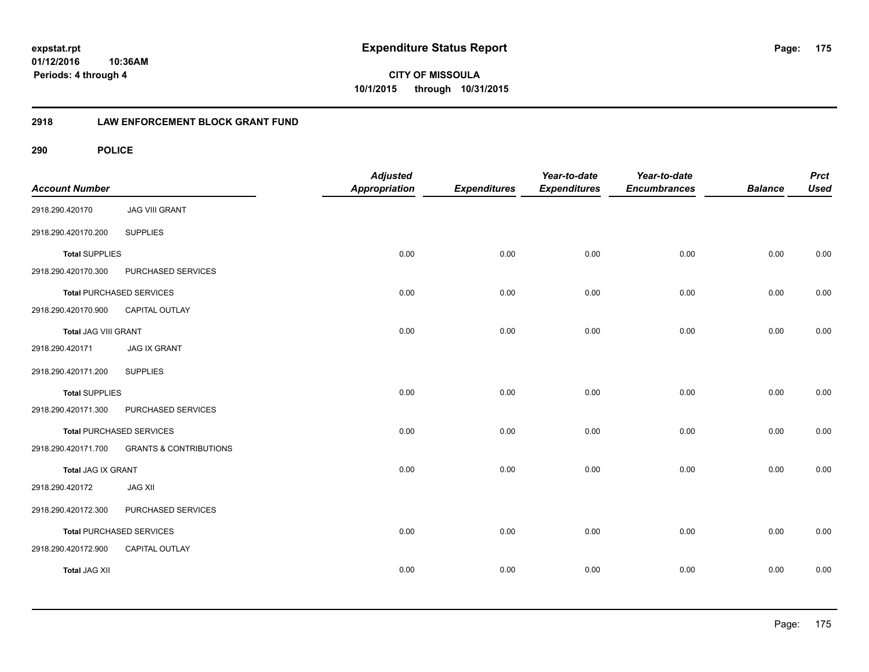**CITY OF MISSOULA 10/1/2015 through 10/31/2015**

## **2918 LAW ENFORCEMENT BLOCK GRANT FUND**

| <b>Account Number</b> |                                   | <b>Adjusted</b><br>Appropriation | <b>Expenditures</b> | Year-to-date<br><b>Expenditures</b> | Year-to-date<br><b>Encumbrances</b> | <b>Balance</b> | <b>Prct</b><br><b>Used</b> |
|-----------------------|-----------------------------------|----------------------------------|---------------------|-------------------------------------|-------------------------------------|----------------|----------------------------|
| 2918.290.420170       | <b>JAG VIII GRANT</b>             |                                  |                     |                                     |                                     |                |                            |
| 2918.290.420170.200   | <b>SUPPLIES</b>                   |                                  |                     |                                     |                                     |                |                            |
| <b>Total SUPPLIES</b> |                                   | 0.00                             | 0.00                | 0.00                                | 0.00                                | 0.00           | 0.00                       |
| 2918.290.420170.300   | PURCHASED SERVICES                |                                  |                     |                                     |                                     |                |                            |
|                       | <b>Total PURCHASED SERVICES</b>   | 0.00                             | 0.00                | 0.00                                | 0.00                                | 0.00           | 0.00                       |
| 2918.290.420170.900   | CAPITAL OUTLAY                    |                                  |                     |                                     |                                     |                |                            |
| Total JAG VIII GRANT  |                                   | 0.00                             | 0.00                | 0.00                                | 0.00                                | 0.00           | 0.00                       |
| 2918.290.420171       | <b>JAG IX GRANT</b>               |                                  |                     |                                     |                                     |                |                            |
| 2918.290.420171.200   | <b>SUPPLIES</b>                   |                                  |                     |                                     |                                     |                |                            |
| <b>Total SUPPLIES</b> |                                   | 0.00                             | 0.00                | 0.00                                | 0.00                                | 0.00           | 0.00                       |
| 2918.290.420171.300   | PURCHASED SERVICES                |                                  |                     |                                     |                                     |                |                            |
|                       | <b>Total PURCHASED SERVICES</b>   | 0.00                             | 0.00                | 0.00                                | 0.00                                | 0.00           | 0.00                       |
| 2918.290.420171.700   | <b>GRANTS &amp; CONTRIBUTIONS</b> |                                  |                     |                                     |                                     |                |                            |
| Total JAG IX GRANT    |                                   | 0.00                             | 0.00                | 0.00                                | 0.00                                | 0.00           | 0.00                       |
| 2918.290.420172       | <b>JAG XII</b>                    |                                  |                     |                                     |                                     |                |                            |
| 2918.290.420172.300   | PURCHASED SERVICES                |                                  |                     |                                     |                                     |                |                            |
|                       | Total PURCHASED SERVICES          | 0.00                             | 0.00                | 0.00                                | 0.00                                | 0.00           | 0.00                       |
| 2918.290.420172.900   | CAPITAL OUTLAY                    |                                  |                     |                                     |                                     |                |                            |
| <b>Total JAG XII</b>  |                                   | 0.00                             | 0.00                | 0.00                                | 0.00                                | 0.00           | 0.00                       |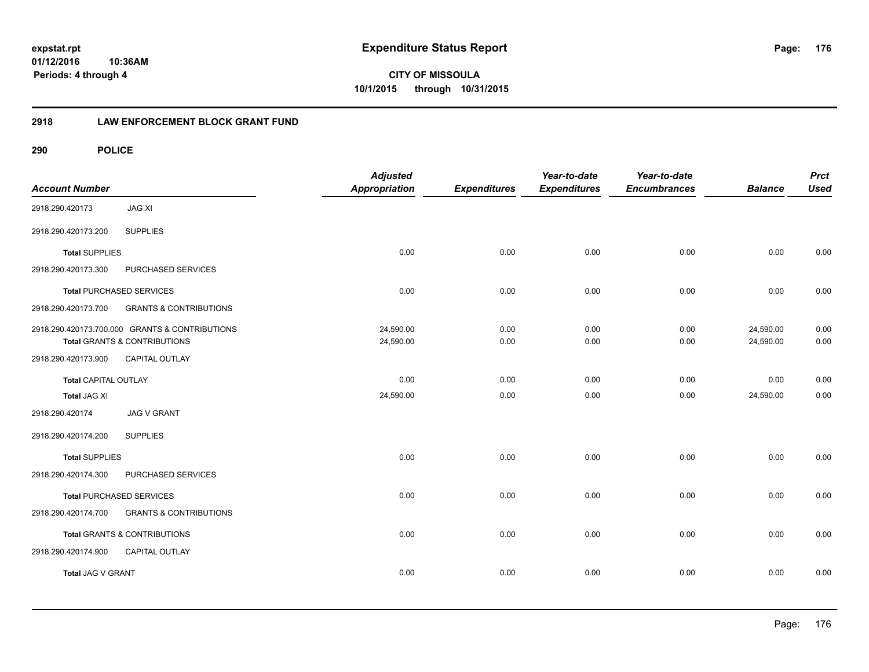**CITY OF MISSOULA 10/1/2015 through 10/31/2015**

## **2918 LAW ENFORCEMENT BLOCK GRANT FUND**

| <b>Account Number</b>       |                                                | <b>Adjusted</b><br>Appropriation | <b>Expenditures</b> | Year-to-date<br><b>Expenditures</b> | Year-to-date<br><b>Encumbrances</b> | <b>Balance</b> | <b>Prct</b><br><b>Used</b> |
|-----------------------------|------------------------------------------------|----------------------------------|---------------------|-------------------------------------|-------------------------------------|----------------|----------------------------|
| 2918.290.420173             | <b>JAG XI</b>                                  |                                  |                     |                                     |                                     |                |                            |
| 2918.290.420173.200         | <b>SUPPLIES</b>                                |                                  |                     |                                     |                                     |                |                            |
| <b>Total SUPPLIES</b>       |                                                | 0.00                             | 0.00                | 0.00                                | 0.00                                | 0.00           | 0.00                       |
| 2918.290.420173.300         | PURCHASED SERVICES                             |                                  |                     |                                     |                                     |                |                            |
|                             | <b>Total PURCHASED SERVICES</b>                | 0.00                             | 0.00                | 0.00                                | 0.00                                | 0.00           | 0.00                       |
| 2918.290.420173.700         | <b>GRANTS &amp; CONTRIBUTIONS</b>              |                                  |                     |                                     |                                     |                |                            |
|                             | 2918.290.420173.700.000 GRANTS & CONTRIBUTIONS | 24,590.00                        | 0.00                | 0.00                                | 0.00                                | 24,590.00      | 0.00                       |
|                             | Total GRANTS & CONTRIBUTIONS                   | 24,590.00                        | 0.00                | 0.00                                | 0.00                                | 24,590.00      | 0.00                       |
| 2918.290.420173.900         | <b>CAPITAL OUTLAY</b>                          |                                  |                     |                                     |                                     |                |                            |
| <b>Total CAPITAL OUTLAY</b> |                                                | 0.00                             | 0.00                | 0.00                                | 0.00                                | 0.00           | 0.00                       |
| <b>Total JAG XI</b>         |                                                | 24,590.00                        | 0.00                | 0.00                                | 0.00                                | 24,590.00      | 0.00                       |
| 2918.290.420174             | <b>JAG V GRANT</b>                             |                                  |                     |                                     |                                     |                |                            |
| 2918.290.420174.200         | <b>SUPPLIES</b>                                |                                  |                     |                                     |                                     |                |                            |
| <b>Total SUPPLIES</b>       |                                                | 0.00                             | 0.00                | 0.00                                | 0.00                                | 0.00           | 0.00                       |
| 2918.290.420174.300         | PURCHASED SERVICES                             |                                  |                     |                                     |                                     |                |                            |
|                             | <b>Total PURCHASED SERVICES</b>                | 0.00                             | 0.00                | 0.00                                | 0.00                                | 0.00           | 0.00                       |
| 2918.290.420174.700         | <b>GRANTS &amp; CONTRIBUTIONS</b>              |                                  |                     |                                     |                                     |                |                            |
|                             | Total GRANTS & CONTRIBUTIONS                   | 0.00                             | 0.00                | 0.00                                | 0.00                                | 0.00           | 0.00                       |
| 2918.290.420174.900         | <b>CAPITAL OUTLAY</b>                          |                                  |                     |                                     |                                     |                |                            |
| Total JAG V GRANT           |                                                | 0.00                             | 0.00                | 0.00                                | 0.00                                | 0.00           | 0.00                       |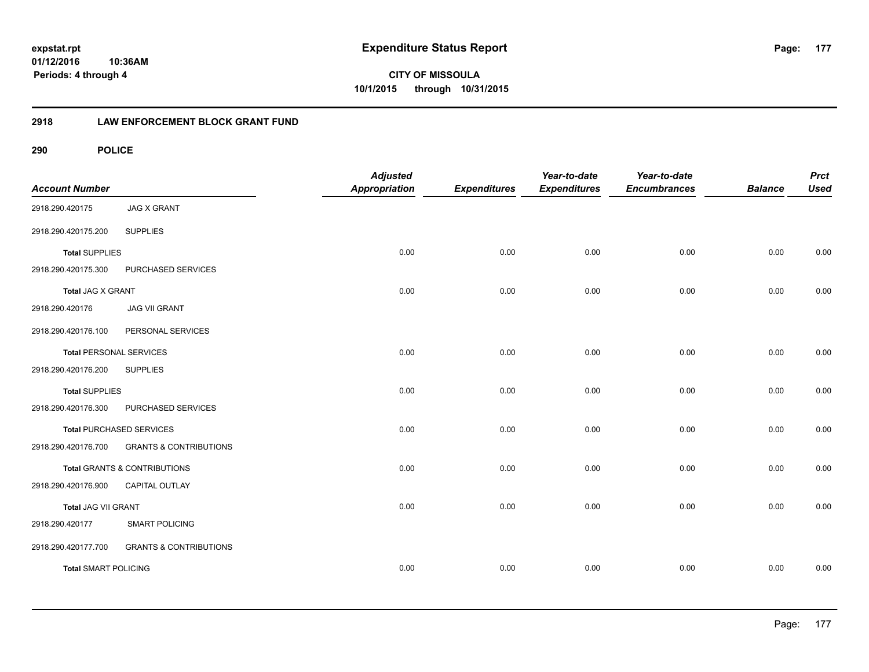**CITY OF MISSOULA 10/1/2015 through 10/31/2015**

## **2918 LAW ENFORCEMENT BLOCK GRANT FUND**

| <b>Account Number</b>          |                                         | <b>Adjusted</b><br><b>Appropriation</b> | <b>Expenditures</b> | Year-to-date<br><b>Expenditures</b> | Year-to-date<br><b>Encumbrances</b> | <b>Balance</b> | <b>Prct</b><br><b>Used</b> |
|--------------------------------|-----------------------------------------|-----------------------------------------|---------------------|-------------------------------------|-------------------------------------|----------------|----------------------------|
| 2918.290.420175                | <b>JAG X GRANT</b>                      |                                         |                     |                                     |                                     |                |                            |
| 2918.290.420175.200            | <b>SUPPLIES</b>                         |                                         |                     |                                     |                                     |                |                            |
| <b>Total SUPPLIES</b>          |                                         | 0.00                                    | 0.00                | 0.00                                | 0.00                                | 0.00           | 0.00                       |
| 2918.290.420175.300            | PURCHASED SERVICES                      |                                         |                     |                                     |                                     |                |                            |
| Total JAG X GRANT              |                                         | 0.00                                    | 0.00                | 0.00                                | 0.00                                | 0.00           | 0.00                       |
| 2918.290.420176                | <b>JAG VII GRANT</b>                    |                                         |                     |                                     |                                     |                |                            |
| 2918.290.420176.100            | PERSONAL SERVICES                       |                                         |                     |                                     |                                     |                |                            |
| <b>Total PERSONAL SERVICES</b> |                                         | 0.00                                    | 0.00                | 0.00                                | 0.00                                | 0.00           | 0.00                       |
| 2918.290.420176.200            | <b>SUPPLIES</b>                         |                                         |                     |                                     |                                     |                |                            |
| <b>Total SUPPLIES</b>          |                                         | 0.00                                    | 0.00                | 0.00                                | 0.00                                | 0.00           | 0.00                       |
| 2918.290.420176.300            | PURCHASED SERVICES                      |                                         |                     |                                     |                                     |                |                            |
|                                | <b>Total PURCHASED SERVICES</b>         | 0.00                                    | 0.00                | 0.00                                | 0.00                                | 0.00           | 0.00                       |
| 2918.290.420176.700            | <b>GRANTS &amp; CONTRIBUTIONS</b>       |                                         |                     |                                     |                                     |                |                            |
|                                | <b>Total GRANTS &amp; CONTRIBUTIONS</b> | 0.00                                    | 0.00                | 0.00                                | 0.00                                | 0.00           | 0.00                       |
| 2918.290.420176.900            | <b>CAPITAL OUTLAY</b>                   |                                         |                     |                                     |                                     |                |                            |
| Total JAG VII GRANT            |                                         | 0.00                                    | 0.00                | 0.00                                | 0.00                                | 0.00           | 0.00                       |
| 2918.290.420177                | SMART POLICING                          |                                         |                     |                                     |                                     |                |                            |
| 2918.290.420177.700            | <b>GRANTS &amp; CONTRIBUTIONS</b>       |                                         |                     |                                     |                                     |                |                            |
| <b>Total SMART POLICING</b>    |                                         | 0.00                                    | 0.00                | 0.00                                | 0.00                                | 0.00           | 0.00                       |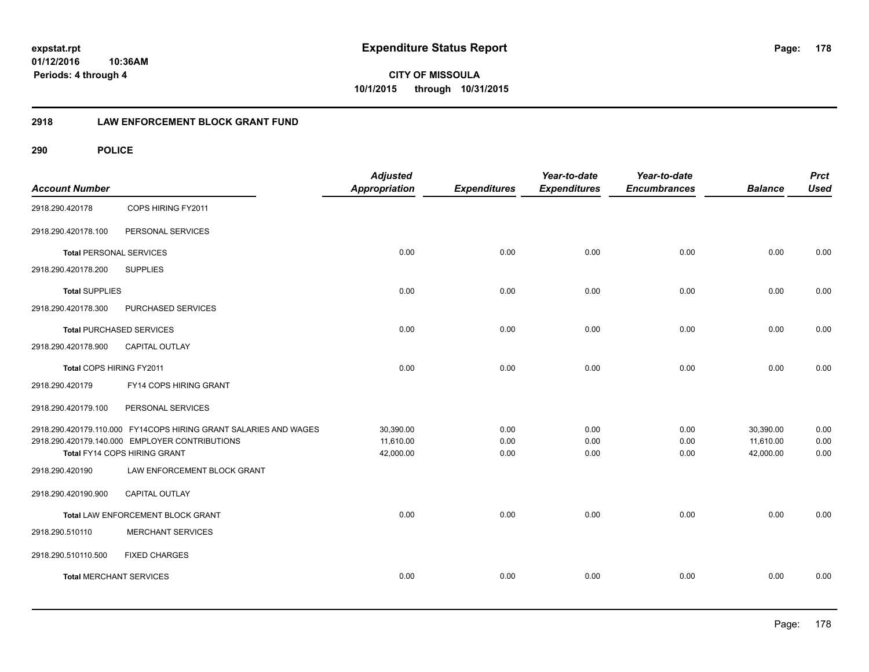**CITY OF MISSOULA 10/1/2015 through 10/31/2015**

## **2918 LAW ENFORCEMENT BLOCK GRANT FUND**

| <b>Account Number</b>           |                                                                  | <b>Adjusted</b><br><b>Appropriation</b> | <b>Expenditures</b> | Year-to-date<br><b>Expenditures</b> | Year-to-date<br><b>Encumbrances</b> | <b>Balance</b> | <b>Prct</b><br><b>Used</b> |
|---------------------------------|------------------------------------------------------------------|-----------------------------------------|---------------------|-------------------------------------|-------------------------------------|----------------|----------------------------|
| 2918.290.420178                 | COPS HIRING FY2011                                               |                                         |                     |                                     |                                     |                |                            |
| 2918.290.420178.100             | PERSONAL SERVICES                                                |                                         |                     |                                     |                                     |                |                            |
| <b>Total PERSONAL SERVICES</b>  |                                                                  | 0.00                                    | 0.00                | 0.00                                | 0.00                                | 0.00           | 0.00                       |
| 2918.290.420178.200             | <b>SUPPLIES</b>                                                  |                                         |                     |                                     |                                     |                |                            |
| <b>Total SUPPLIES</b>           |                                                                  | 0.00                                    | 0.00                | 0.00                                | 0.00                                | 0.00           | 0.00                       |
| 2918.290.420178.300             | PURCHASED SERVICES                                               |                                         |                     |                                     |                                     |                |                            |
| <b>Total PURCHASED SERVICES</b> |                                                                  | 0.00                                    | 0.00                | 0.00                                | 0.00                                | 0.00           | 0.00                       |
| 2918.290.420178.900             | <b>CAPITAL OUTLAY</b>                                            |                                         |                     |                                     |                                     |                |                            |
| Total COPS HIRING FY2011        |                                                                  | 0.00                                    | 0.00                | 0.00                                | 0.00                                | 0.00           | 0.00                       |
| 2918.290.420179                 | FY14 COPS HIRING GRANT                                           |                                         |                     |                                     |                                     |                |                            |
| 2918.290.420179.100             | PERSONAL SERVICES                                                |                                         |                     |                                     |                                     |                |                            |
|                                 | 2918.290.420179.110.000 FY14COPS HIRING GRANT SALARIES AND WAGES | 30,390.00                               | 0.00                | 0.00                                | 0.00                                | 30,390.00      | 0.00                       |
|                                 | 2918.290.420179.140.000 EMPLOYER CONTRIBUTIONS                   | 11,610.00                               | 0.00                | 0.00                                | 0.00                                | 11,610.00      | 0.00                       |
|                                 | Total FY14 COPS HIRING GRANT                                     | 42,000.00                               | 0.00                | 0.00                                | 0.00                                | 42,000.00      | 0.00                       |
| 2918.290.420190                 | LAW ENFORCEMENT BLOCK GRANT                                      |                                         |                     |                                     |                                     |                |                            |
| 2918.290.420190.900             | <b>CAPITAL OUTLAY</b>                                            |                                         |                     |                                     |                                     |                |                            |
|                                 | Total LAW ENFORCEMENT BLOCK GRANT                                | 0.00                                    | 0.00                | 0.00                                | 0.00                                | 0.00           | 0.00                       |
| 2918.290.510110                 | <b>MERCHANT SERVICES</b>                                         |                                         |                     |                                     |                                     |                |                            |
| 2918.290.510110.500             | <b>FIXED CHARGES</b>                                             |                                         |                     |                                     |                                     |                |                            |
| <b>Total MERCHANT SERVICES</b>  |                                                                  | 0.00                                    | 0.00                | 0.00                                | 0.00                                | 0.00           | 0.00                       |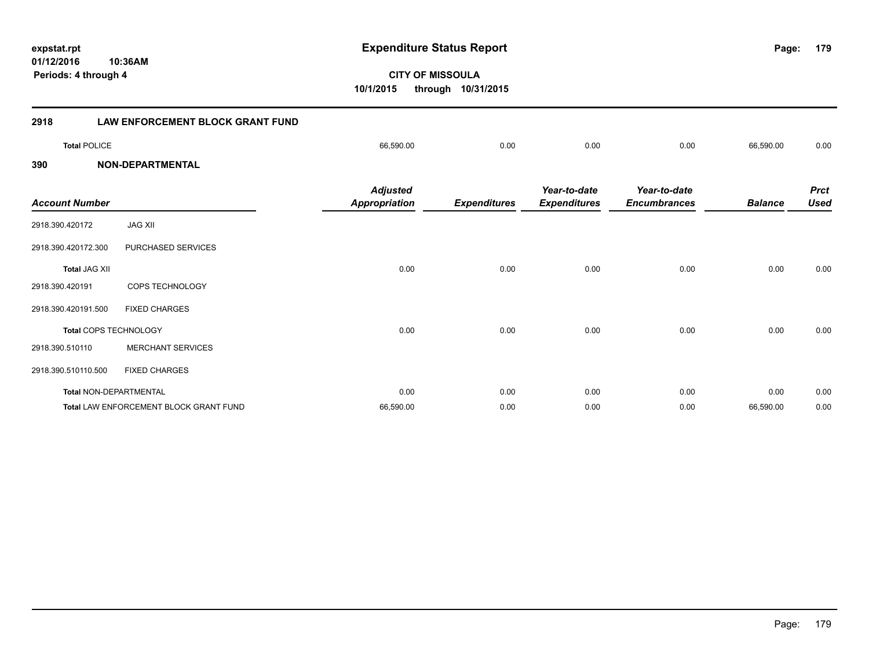**179**

**CITY OF MISSOULA 10/1/2015 through 10/31/2015**

| 2918                  | <b>LAW ENFORCEMENT BLOCK GRANT FUND</b> |                                         |                     |                                     |                                     |                |                            |
|-----------------------|-----------------------------------------|-----------------------------------------|---------------------|-------------------------------------|-------------------------------------|----------------|----------------------------|
| <b>Total POLICE</b>   |                                         | 66,590.00                               | 0.00                | 0.00                                | 0.00                                | 66,590.00      | 0.00                       |
| 390                   | <b>NON-DEPARTMENTAL</b>                 |                                         |                     |                                     |                                     |                |                            |
| <b>Account Number</b> |                                         | <b>Adjusted</b><br><b>Appropriation</b> | <b>Expenditures</b> | Year-to-date<br><b>Expenditures</b> | Year-to-date<br><b>Encumbrances</b> | <b>Balance</b> | <b>Prct</b><br><b>Used</b> |
| 2918.390.420172       | <b>JAG XII</b>                          |                                         |                     |                                     |                                     |                |                            |
| 2918.390.420172.300   | PURCHASED SERVICES                      |                                         |                     |                                     |                                     |                |                            |
| <b>Total JAG XII</b>  |                                         | 0.00                                    | 0.00                | 0.00                                | 0.00                                | 0.00           | 0.00                       |
| 2918.390.420191       | <b>COPS TECHNOLOGY</b>                  |                                         |                     |                                     |                                     |                |                            |
| 2918.390.420191.500   | <b>FIXED CHARGES</b>                    |                                         |                     |                                     |                                     |                |                            |
|                       | Total COPS TECHNOLOGY                   | 0.00                                    | 0.00                | 0.00                                | 0.00                                | 0.00           | 0.00                       |
| 2918.390.510110       | <b>MERCHANT SERVICES</b>                |                                         |                     |                                     |                                     |                |                            |
| 2918.390.510110.500   | <b>FIXED CHARGES</b>                    |                                         |                     |                                     |                                     |                |                            |
|                       | <b>Total NON-DEPARTMENTAL</b>           | 0.00                                    | 0.00                | 0.00                                | 0.00                                | 0.00           | 0.00                       |
|                       | Total LAW ENFORCEMENT BLOCK GRANT FUND  | 66,590.00                               | 0.00                | 0.00                                | 0.00                                | 66,590.00      | 0.00                       |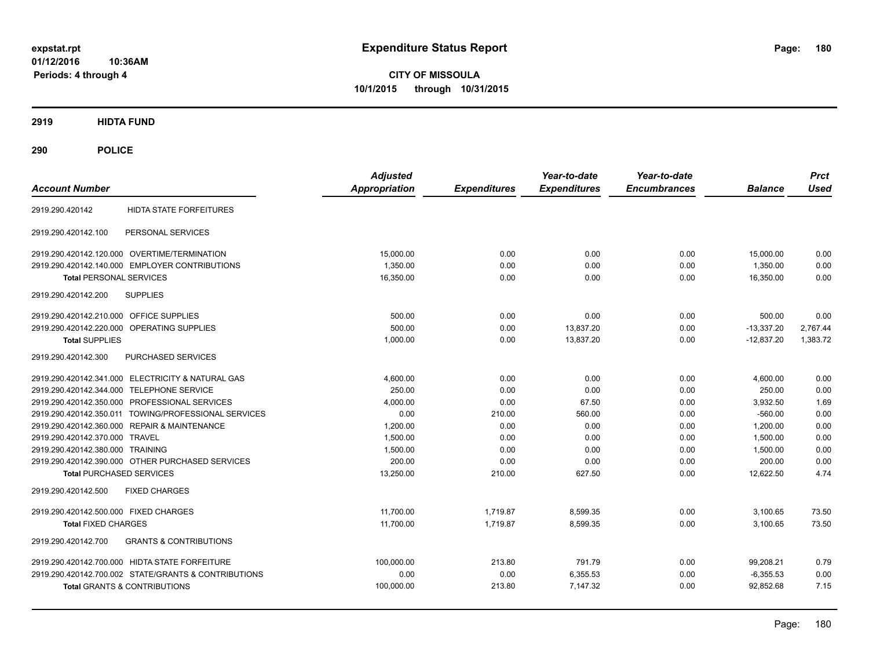**CITY OF MISSOULA 10/1/2015 through 10/31/2015**

**2919 HIDTA FUND**

| <b>Account Number</b>                                    | <b>Adjusted</b><br><b>Appropriation</b> | <b>Expenditures</b> | Year-to-date<br><b>Expenditures</b> | Year-to-date<br><b>Encumbrances</b> | <b>Balance</b> | <b>Prct</b><br><b>Used</b> |
|----------------------------------------------------------|-----------------------------------------|---------------------|-------------------------------------|-------------------------------------|----------------|----------------------------|
| HIDTA STATE FORFEITURES<br>2919.290.420142               |                                         |                     |                                     |                                     |                |                            |
| PERSONAL SERVICES<br>2919.290.420142.100                 |                                         |                     |                                     |                                     |                |                            |
| 2919.290.420142.120.000 OVERTIME/TERMINATION             | 15,000.00                               | 0.00                | 0.00                                | 0.00                                | 15,000.00      | 0.00                       |
| 2919.290.420142.140.000 EMPLOYER CONTRIBUTIONS           | 1,350.00                                | 0.00                | 0.00                                | 0.00                                | 1,350.00       | 0.00                       |
| <b>Total PERSONAL SERVICES</b>                           | 16,350.00                               | 0.00                | 0.00                                | 0.00                                | 16,350.00      | 0.00                       |
| 2919.290.420142.200<br><b>SUPPLIES</b>                   |                                         |                     |                                     |                                     |                |                            |
| 2919.290.420142.210.000 OFFICE SUPPLIES                  | 500.00                                  | 0.00                | 0.00                                | 0.00                                | 500.00         | 0.00                       |
| 2919.290.420142.220.000<br>OPERATING SUPPLIES            | 500.00                                  | 0.00                | 13.837.20                           | 0.00                                | $-13.337.20$   | 2,767.44                   |
| <b>Total SUPPLIES</b>                                    | 1,000.00                                | 0.00                | 13.837.20                           | 0.00                                | $-12.837.20$   | 1,383.72                   |
| PURCHASED SERVICES<br>2919.290.420142.300                |                                         |                     |                                     |                                     |                |                            |
| 2919.290.420142.341.000 ELECTRICITY & NATURAL GAS        | 4,600.00                                | 0.00                | 0.00                                | 0.00                                | 4,600.00       | 0.00                       |
| 2919.290.420142.344.000 TELEPHONE SERVICE                | 250.00                                  | 0.00                | 0.00                                | 0.00                                | 250.00         | 0.00                       |
| 2919.290.420142.350.000 PROFESSIONAL SERVICES            | 4.000.00                                | 0.00                | 67.50                               | 0.00                                | 3.932.50       | 1.69                       |
| 2919.290.420142.350.011 TOWING/PROFESSIONAL SERVICES     | 0.00                                    | 210.00              | 560.00                              | 0.00                                | $-560.00$      | 0.00                       |
| 2919.290.420142.360.000 REPAIR & MAINTENANCE             | 1.200.00                                | 0.00                | 0.00                                | 0.00                                | 1.200.00       | 0.00                       |
| 2919.290.420142.370.000 TRAVEL                           | 1,500.00                                | 0.00                | 0.00                                | 0.00                                | 1,500.00       | 0.00                       |
| 2919.290.420142.380.000 TRAINING                         | 1,500.00                                | 0.00                | 0.00                                | 0.00                                | 1,500.00       | 0.00                       |
| 2919.290.420142.390.000 OTHER PURCHASED SERVICES         | 200.00                                  | 0.00                | 0.00                                | 0.00                                | 200.00         | 0.00                       |
| <b>Total PURCHASED SERVICES</b>                          | 13,250.00                               | 210.00              | 627.50                              | 0.00                                | 12.622.50      | 4.74                       |
| <b>FIXED CHARGES</b><br>2919.290.420142.500              |                                         |                     |                                     |                                     |                |                            |
| 2919.290.420142.500.000 FIXED CHARGES                    | 11.700.00                               | 1.719.87            | 8,599.35                            | 0.00                                | 3,100.65       | 73.50                      |
| <b>Total FIXED CHARGES</b>                               | 11,700.00                               | 1.719.87            | 8,599.35                            | 0.00                                | 3.100.65       | 73.50                      |
| <b>GRANTS &amp; CONTRIBUTIONS</b><br>2919.290.420142.700 |                                         |                     |                                     |                                     |                |                            |
| 2919.290.420142.700.000 HIDTA STATE FORFEITURE           | 100,000.00                              | 213.80              | 791.79                              | 0.00                                | 99,208.21      | 0.79                       |
| 2919.290.420142.700.002 STATE/GRANTS & CONTRIBUTIONS     | 0.00                                    | 0.00                | 6,355.53                            | 0.00                                | $-6.355.53$    | 0.00                       |
| Total GRANTS & CONTRIBUTIONS                             | 100,000.00                              | 213.80              | 7.147.32                            | 0.00                                | 92.852.68      | 7.15                       |
|                                                          |                                         |                     |                                     |                                     |                |                            |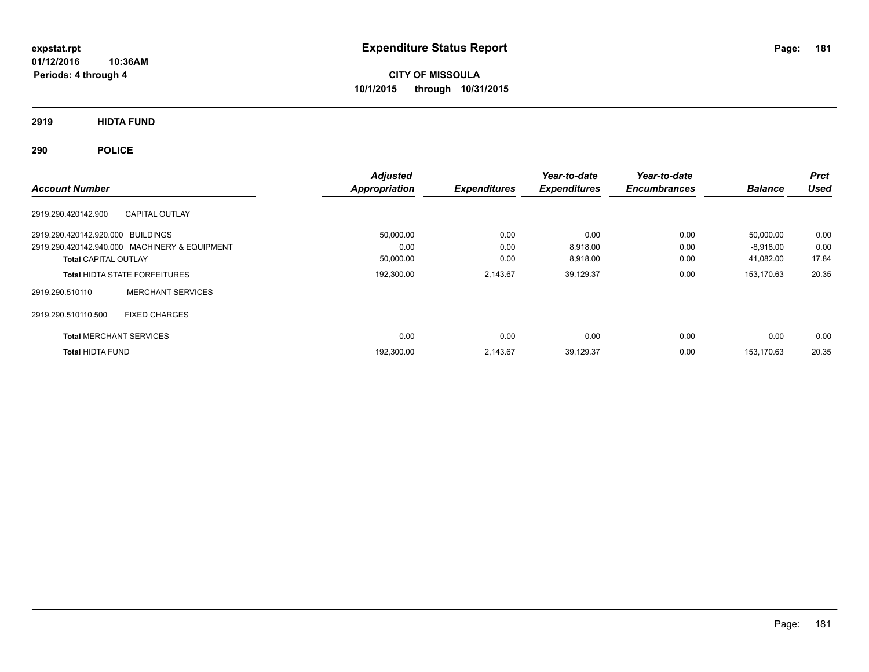**01/12/2016 10:36AM Periods: 4 through 4**

# **CITY OF MISSOULA 10/1/2015 through 10/31/2015**

# **2919 HIDTA FUND**

# **290 POLICE**

|                                   |                                               | <b>Adjusted</b>      |                     | Year-to-date        | Year-to-date        |                | <b>Prct</b> |
|-----------------------------------|-----------------------------------------------|----------------------|---------------------|---------------------|---------------------|----------------|-------------|
| <b>Account Number</b>             |                                               | <b>Appropriation</b> | <b>Expenditures</b> | <b>Expenditures</b> | <b>Encumbrances</b> | <b>Balance</b> | Used        |
| 2919.290.420142.900               | <b>CAPITAL OUTLAY</b>                         |                      |                     |                     |                     |                |             |
| 2919.290.420142.920.000 BUILDINGS |                                               | 50,000.00            | 0.00                | 0.00                | 0.00                | 50.000.00      | 0.00        |
|                                   | 2919.290.420142.940.000 MACHINERY & EQUIPMENT | 0.00                 | 0.00                | 8,918.00            | 0.00                | $-8,918.00$    | 0.00        |
| <b>Total CAPITAL OUTLAY</b>       |                                               | 50,000.00            | 0.00                | 8,918.00            | 0.00                | 41,082.00      | 17.84       |
|                                   | <b>Total HIDTA STATE FORFEITURES</b>          | 192,300.00           | 2,143.67            | 39,129.37           | 0.00                | 153,170.63     | 20.35       |
| 2919.290.510110                   | <b>MERCHANT SERVICES</b>                      |                      |                     |                     |                     |                |             |
| 2919.290.510110.500               | <b>FIXED CHARGES</b>                          |                      |                     |                     |                     |                |             |
| <b>Total MERCHANT SERVICES</b>    |                                               | 0.00                 | 0.00                | 0.00                | 0.00                | 0.00           | 0.00        |
| <b>Total HIDTA FUND</b>           |                                               | 192,300.00           | 2.143.67            | 39,129.37           | 0.00                | 153.170.63     | 20.35       |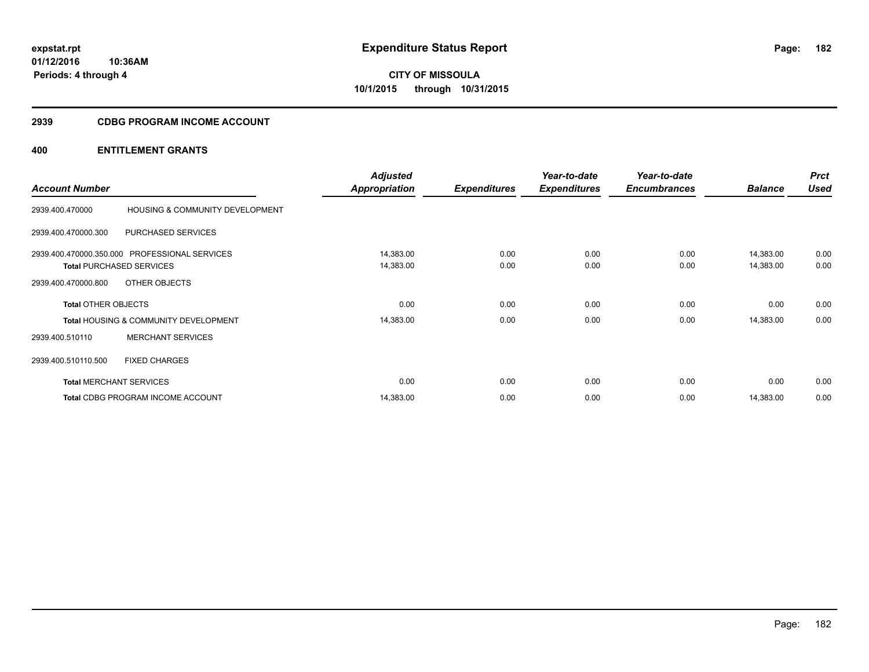**Periods: 4 through 4**

**CITY OF MISSOULA 10/1/2015 through 10/31/2015**

#### **2939 CDBG PROGRAM INCOME ACCOUNT**

# **400 ENTITLEMENT GRANTS**

**10:36AM**

| <b>Account Number</b>          |                                                  | <b>Adjusted</b><br><b>Appropriation</b> | <b>Expenditures</b> | Year-to-date<br><b>Expenditures</b> | Year-to-date<br><b>Encumbrances</b> | <b>Balance</b> | <b>Prct</b><br><b>Used</b> |
|--------------------------------|--------------------------------------------------|-----------------------------------------|---------------------|-------------------------------------|-------------------------------------|----------------|----------------------------|
|                                |                                                  |                                         |                     |                                     |                                     |                |                            |
| 2939.400.470000                | HOUSING & COMMUNITY DEVELOPMENT                  |                                         |                     |                                     |                                     |                |                            |
| 2939.400.470000.300            | PURCHASED SERVICES                               |                                         |                     |                                     |                                     |                |                            |
|                                | 2939.400.470000.350.000 PROFESSIONAL SERVICES    | 14,383.00                               | 0.00                | 0.00                                | 0.00                                | 14,383.00      | 0.00                       |
|                                | <b>Total PURCHASED SERVICES</b>                  | 14,383.00                               | 0.00                | 0.00                                | 0.00                                | 14,383.00      | 0.00                       |
| 2939.400.470000.800            | OTHER OBJECTS                                    |                                         |                     |                                     |                                     |                |                            |
| <b>Total OTHER OBJECTS</b>     |                                                  | 0.00                                    | 0.00                | 0.00                                | 0.00                                | 0.00           | 0.00                       |
|                                | <b>Total HOUSING &amp; COMMUNITY DEVELOPMENT</b> | 14,383.00                               | 0.00                | 0.00                                | 0.00                                | 14,383.00      | 0.00                       |
| 2939.400.510110                | <b>MERCHANT SERVICES</b>                         |                                         |                     |                                     |                                     |                |                            |
| 2939.400.510110.500            | <b>FIXED CHARGES</b>                             |                                         |                     |                                     |                                     |                |                            |
| <b>Total MERCHANT SERVICES</b> |                                                  | 0.00                                    | 0.00                | 0.00                                | 0.00                                | 0.00           | 0.00                       |
|                                | <b>Total CDBG PROGRAM INCOME ACCOUNT</b>         | 14,383.00                               | 0.00                | 0.00                                | 0.00                                | 14,383.00      | 0.00                       |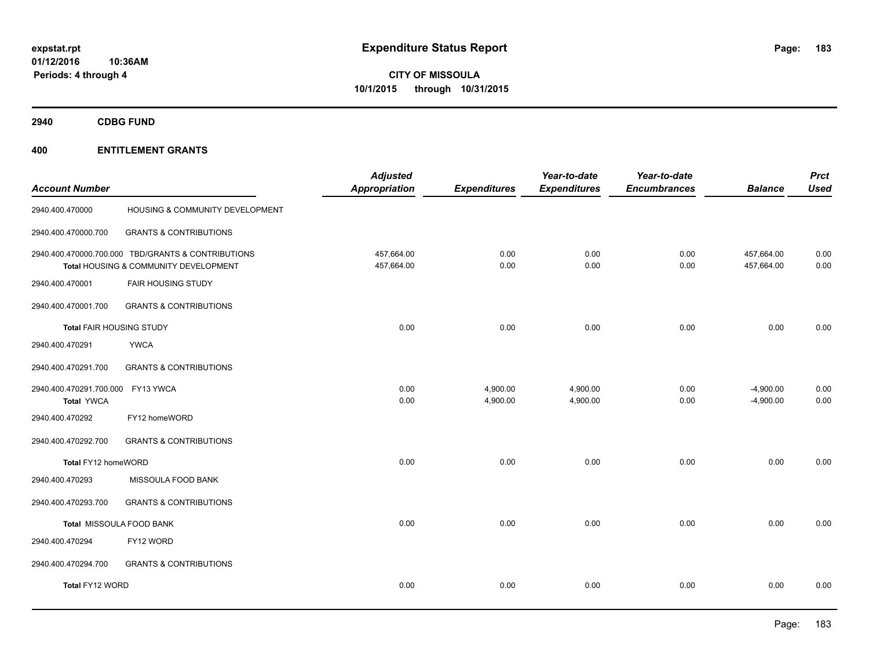**2940 CDBG FUND**

| <b>Account Number</b>                        |                                                                                             | <b>Adjusted</b><br><b>Appropriation</b> | <b>Expenditures</b>  | Year-to-date<br><b>Expenditures</b> | Year-to-date<br><b>Encumbrances</b> | <b>Balance</b>             | <b>Prct</b><br><b>Used</b> |
|----------------------------------------------|---------------------------------------------------------------------------------------------|-----------------------------------------|----------------------|-------------------------------------|-------------------------------------|----------------------------|----------------------------|
| 2940.400.470000                              | HOUSING & COMMUNITY DEVELOPMENT                                                             |                                         |                      |                                     |                                     |                            |                            |
| 2940.400.470000.700                          | <b>GRANTS &amp; CONTRIBUTIONS</b>                                                           |                                         |                      |                                     |                                     |                            |                            |
|                                              | 2940.400.470000.700.000 TBD/GRANTS & CONTRIBUTIONS<br>Total HOUSING & COMMUNITY DEVELOPMENT | 457,664.00<br>457,664.00                | 0.00<br>0.00         | 0.00<br>0.00                        | 0.00<br>0.00                        | 457,664.00<br>457,664.00   | 0.00<br>0.00               |
| 2940.400.470001                              | <b>FAIR HOUSING STUDY</b>                                                                   |                                         |                      |                                     |                                     |                            |                            |
| 2940.400.470001.700                          | <b>GRANTS &amp; CONTRIBUTIONS</b>                                                           |                                         |                      |                                     |                                     |                            |                            |
| <b>Total FAIR HOUSING STUDY</b>              |                                                                                             | 0.00                                    | 0.00                 | 0.00                                | 0.00                                | 0.00                       | 0.00                       |
| 2940.400.470291                              | <b>YWCA</b>                                                                                 |                                         |                      |                                     |                                     |                            |                            |
| 2940.400.470291.700                          | <b>GRANTS &amp; CONTRIBUTIONS</b>                                                           |                                         |                      |                                     |                                     |                            |                            |
| 2940.400.470291.700.000<br><b>Total YWCA</b> | FY13 YWCA                                                                                   | 0.00<br>0.00                            | 4,900.00<br>4,900.00 | 4,900.00<br>4,900.00                | 0.00<br>0.00                        | $-4,900.00$<br>$-4,900.00$ | 0.00<br>0.00               |
| 2940.400.470292                              | FY12 homeWORD                                                                               |                                         |                      |                                     |                                     |                            |                            |
| 2940.400.470292.700                          | <b>GRANTS &amp; CONTRIBUTIONS</b>                                                           |                                         |                      |                                     |                                     |                            |                            |
| Total FY12 homeWORD                          |                                                                                             | 0.00                                    | 0.00                 | 0.00                                | 0.00                                | 0.00                       | 0.00                       |
| 2940.400.470293                              | MISSOULA FOOD BANK                                                                          |                                         |                      |                                     |                                     |                            |                            |
| 2940.400.470293.700                          | <b>GRANTS &amp; CONTRIBUTIONS</b>                                                           |                                         |                      |                                     |                                     |                            |                            |
|                                              | Total MISSOULA FOOD BANK                                                                    | 0.00                                    | 0.00                 | 0.00                                | 0.00                                | 0.00                       | 0.00                       |
| 2940.400.470294                              | FY12 WORD                                                                                   |                                         |                      |                                     |                                     |                            |                            |
| 2940.400.470294.700                          | <b>GRANTS &amp; CONTRIBUTIONS</b>                                                           |                                         |                      |                                     |                                     |                            |                            |
| Total FY12 WORD                              |                                                                                             | 0.00                                    | 0.00                 | 0.00                                | 0.00                                | 0.00                       | 0.00                       |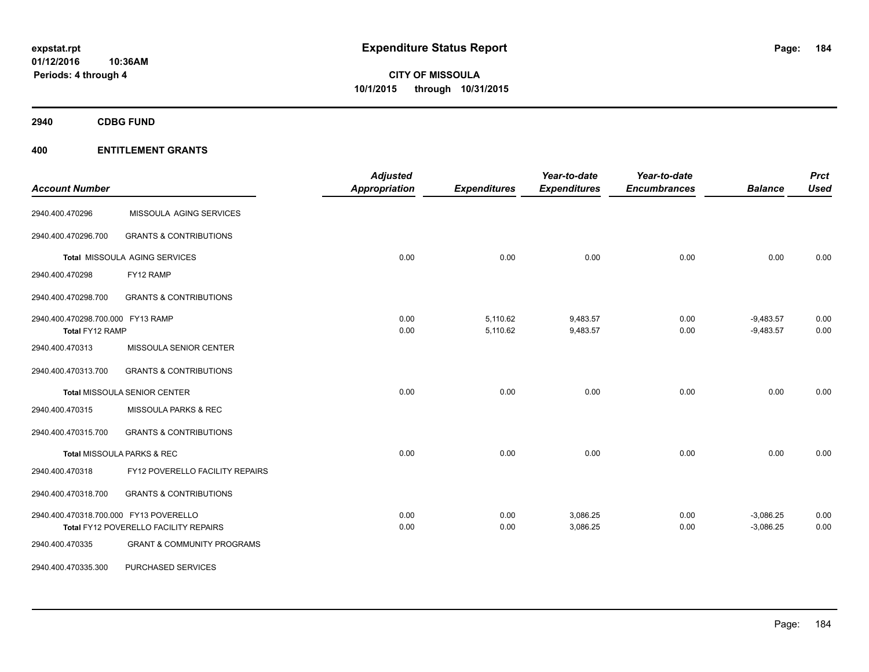**2940 CDBG FUND**

| <b>Account Number</b>                                |                                       | <b>Adjusted</b><br>Appropriation | <b>Expenditures</b>  | Year-to-date<br><b>Expenditures</b> | Year-to-date<br><b>Encumbrances</b> | <b>Balance</b>             | <b>Prct</b><br><b>Used</b> |
|------------------------------------------------------|---------------------------------------|----------------------------------|----------------------|-------------------------------------|-------------------------------------|----------------------------|----------------------------|
| 2940.400.470296                                      | MISSOULA AGING SERVICES               |                                  |                      |                                     |                                     |                            |                            |
| 2940.400.470296.700                                  | <b>GRANTS &amp; CONTRIBUTIONS</b>     |                                  |                      |                                     |                                     |                            |                            |
|                                                      | Total MISSOULA AGING SERVICES         | 0.00                             | 0.00                 | 0.00                                | 0.00                                | 0.00                       | 0.00                       |
| 2940.400.470298                                      | FY12 RAMP                             |                                  |                      |                                     |                                     |                            |                            |
| 2940.400.470298.700                                  | <b>GRANTS &amp; CONTRIBUTIONS</b>     |                                  |                      |                                     |                                     |                            |                            |
| 2940.400.470298.700.000 FY13 RAMP<br>Total FY12 RAMP |                                       | 0.00<br>0.00                     | 5,110.62<br>5,110.62 | 9,483.57<br>9,483.57                | 0.00<br>0.00                        | $-9,483.57$<br>$-9,483.57$ | 0.00<br>0.00               |
| 2940.400.470313                                      | MISSOULA SENIOR CENTER                |                                  |                      |                                     |                                     |                            |                            |
| 2940.400.470313.700                                  | <b>GRANTS &amp; CONTRIBUTIONS</b>     |                                  |                      |                                     |                                     |                            |                            |
|                                                      | <b>Total MISSOULA SENIOR CENTER</b>   | 0.00                             | 0.00                 | 0.00                                | 0.00                                | 0.00                       | 0.00                       |
| 2940.400.470315                                      | MISSOULA PARKS & REC                  |                                  |                      |                                     |                                     |                            |                            |
| 2940.400.470315.700                                  | <b>GRANTS &amp; CONTRIBUTIONS</b>     |                                  |                      |                                     |                                     |                            |                            |
|                                                      | Total MISSOULA PARKS & REC            | 0.00                             | 0.00                 | 0.00                                | 0.00                                | 0.00                       | 0.00                       |
| 2940.400.470318                                      | FY12 POVERELLO FACILITY REPAIRS       |                                  |                      |                                     |                                     |                            |                            |
| 2940.400.470318.700                                  | <b>GRANTS &amp; CONTRIBUTIONS</b>     |                                  |                      |                                     |                                     |                            |                            |
| 2940.400.470318.700.000 FY13 POVERELLO               |                                       | 0.00                             | 0.00                 | 3,086.25                            | 0.00                                | $-3,086.25$                | 0.00                       |
|                                                      | Total FY12 POVERELLO FACILITY REPAIRS | 0.00                             | 0.00                 | 3,086.25                            | 0.00                                | $-3,086.25$                | 0.00                       |
| 2940.400.470335                                      | <b>GRANT &amp; COMMUNITY PROGRAMS</b> |                                  |                      |                                     |                                     |                            |                            |
| 2940.400.470335.300                                  | PURCHASED SERVICES                    |                                  |                      |                                     |                                     |                            |                            |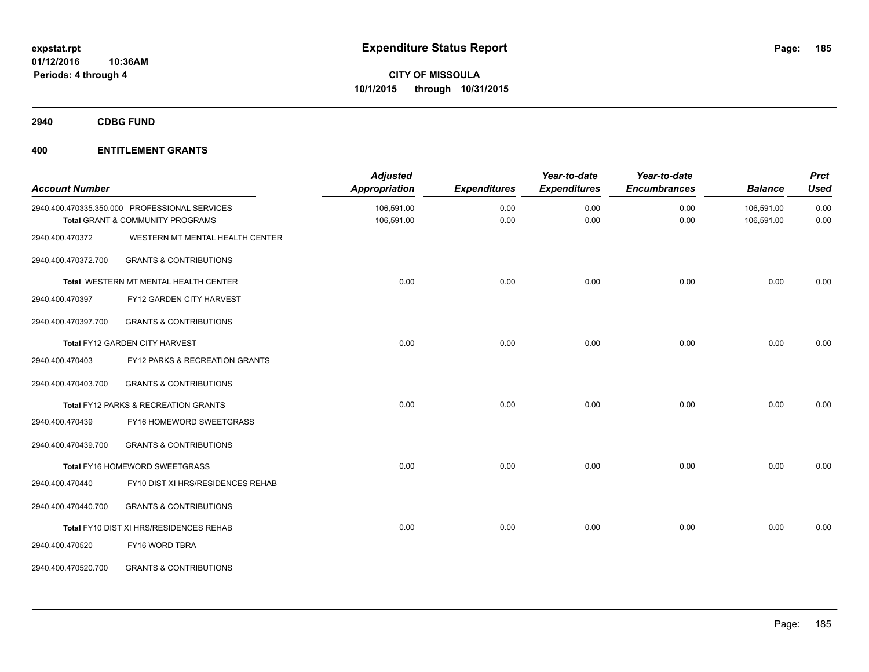**2940 CDBG FUND**

| <b>Account Number</b> |                                                                                   | <b>Adjusted</b><br><b>Appropriation</b> | <b>Expenditures</b> | Year-to-date<br><b>Expenditures</b> | Year-to-date<br><b>Encumbrances</b> | <b>Balance</b>           | <b>Prct</b><br><b>Used</b> |
|-----------------------|-----------------------------------------------------------------------------------|-----------------------------------------|---------------------|-------------------------------------|-------------------------------------|--------------------------|----------------------------|
|                       | 2940.400.470335.350.000 PROFESSIONAL SERVICES<br>Total GRANT & COMMUNITY PROGRAMS | 106,591.00<br>106,591.00                | 0.00<br>0.00        | 0.00<br>0.00                        | 0.00<br>0.00                        | 106,591.00<br>106,591.00 | 0.00<br>0.00               |
| 2940.400.470372       | WESTERN MT MENTAL HEALTH CENTER                                                   |                                         |                     |                                     |                                     |                          |                            |
| 2940.400.470372.700   | <b>GRANTS &amp; CONTRIBUTIONS</b>                                                 |                                         |                     |                                     |                                     |                          |                            |
|                       | Total WESTERN MT MENTAL HEALTH CENTER                                             | 0.00                                    | 0.00                | 0.00                                | 0.00                                | 0.00                     | 0.00                       |
| 2940.400.470397       | FY12 GARDEN CITY HARVEST                                                          |                                         |                     |                                     |                                     |                          |                            |
| 2940.400.470397.700   | <b>GRANTS &amp; CONTRIBUTIONS</b>                                                 |                                         |                     |                                     |                                     |                          |                            |
|                       | Total FY12 GARDEN CITY HARVEST                                                    | 0.00                                    | 0.00                | 0.00                                | 0.00                                | 0.00                     | 0.00                       |
| 2940.400.470403       | FY12 PARKS & RECREATION GRANTS                                                    |                                         |                     |                                     |                                     |                          |                            |
| 2940.400.470403.700   | <b>GRANTS &amp; CONTRIBUTIONS</b>                                                 |                                         |                     |                                     |                                     |                          |                            |
|                       | Total FY12 PARKS & RECREATION GRANTS                                              | 0.00                                    | 0.00                | 0.00                                | 0.00                                | 0.00                     | 0.00                       |
| 2940.400.470439       | FY16 HOMEWORD SWEETGRASS                                                          |                                         |                     |                                     |                                     |                          |                            |
| 2940.400.470439.700   | <b>GRANTS &amp; CONTRIBUTIONS</b>                                                 |                                         |                     |                                     |                                     |                          |                            |
|                       | Total FY16 HOMEWORD SWEETGRASS                                                    | 0.00                                    | 0.00                | 0.00                                | 0.00                                | 0.00                     | 0.00                       |
| 2940.400.470440       | FY10 DIST XI HRS/RESIDENCES REHAB                                                 |                                         |                     |                                     |                                     |                          |                            |
| 2940.400.470440.700   | <b>GRANTS &amp; CONTRIBUTIONS</b>                                                 |                                         |                     |                                     |                                     |                          |                            |
|                       | Total FY10 DIST XI HRS/RESIDENCES REHAB                                           | 0.00                                    | 0.00                | 0.00                                | 0.00                                | 0.00                     | 0.00                       |
| 2940.400.470520       | FY16 WORD TBRA                                                                    |                                         |                     |                                     |                                     |                          |                            |
| 2940.400.470520.700   | <b>GRANTS &amp; CONTRIBUTIONS</b>                                                 |                                         |                     |                                     |                                     |                          |                            |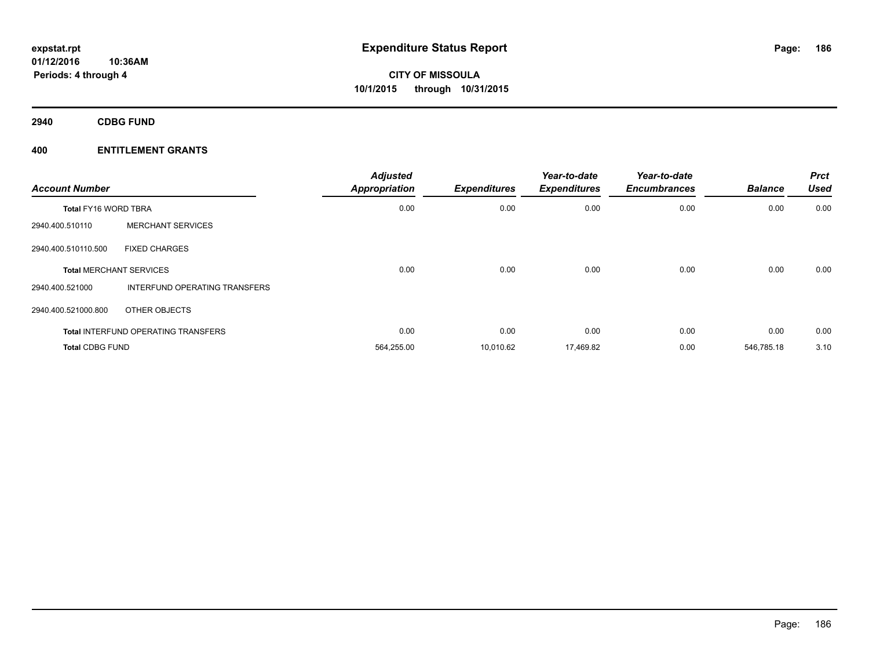**2940 CDBG FUND**

| <b>Account Number</b>       |                                            | <b>Adjusted</b><br><b>Appropriation</b> | <b>Expenditures</b> | Year-to-date<br><b>Expenditures</b> | Year-to-date<br><b>Encumbrances</b> | <b>Balance</b> | <b>Prct</b><br><b>Used</b> |
|-----------------------------|--------------------------------------------|-----------------------------------------|---------------------|-------------------------------------|-------------------------------------|----------------|----------------------------|
| <b>Total FY16 WORD TBRA</b> |                                            | 0.00                                    | 0.00                | 0.00                                | 0.00                                | 0.00           | 0.00                       |
| 2940.400.510110             | <b>MERCHANT SERVICES</b>                   |                                         |                     |                                     |                                     |                |                            |
| 2940.400.510110.500         | <b>FIXED CHARGES</b>                       |                                         |                     |                                     |                                     |                |                            |
|                             | <b>Total MERCHANT SERVICES</b>             | 0.00                                    | 0.00                | 0.00                                | 0.00                                | 0.00           | 0.00                       |
| 2940.400.521000             | <b>INTERFUND OPERATING TRANSFERS</b>       |                                         |                     |                                     |                                     |                |                            |
| 2940.400.521000.800         | OTHER OBJECTS                              |                                         |                     |                                     |                                     |                |                            |
|                             | <b>Total INTERFUND OPERATING TRANSFERS</b> | 0.00                                    | 0.00                | 0.00                                | 0.00                                | 0.00           | 0.00                       |
| <b>Total CDBG FUND</b>      |                                            | 564,255.00                              | 10.010.62           | 17,469.82                           | 0.00                                | 546.785.18     | 3.10                       |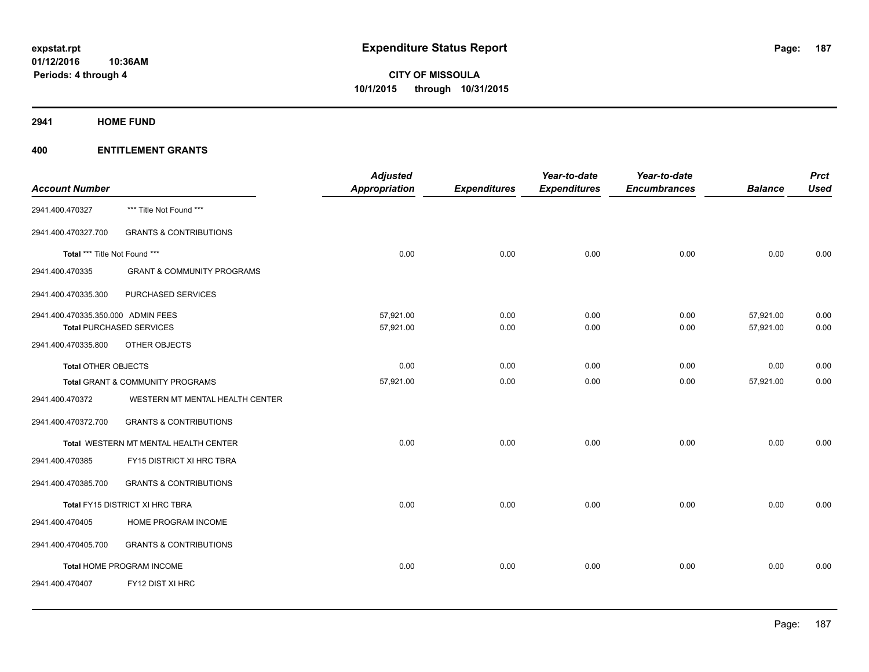**2941 HOME FUND**

| <b>Account Number</b>              |                                       | <b>Adjusted</b><br><b>Appropriation</b> | <b>Expenditures</b> | Year-to-date<br><b>Expenditures</b> | Year-to-date<br><b>Encumbrances</b> | <b>Balance</b> | <b>Prct</b><br><b>Used</b> |
|------------------------------------|---------------------------------------|-----------------------------------------|---------------------|-------------------------------------|-------------------------------------|----------------|----------------------------|
| 2941.400.470327                    | *** Title Not Found ***               |                                         |                     |                                     |                                     |                |                            |
| 2941.400.470327.700                | <b>GRANTS &amp; CONTRIBUTIONS</b>     |                                         |                     |                                     |                                     |                |                            |
| Total *** Title Not Found ***      |                                       | 0.00                                    | 0.00                | 0.00                                | 0.00                                | 0.00           | 0.00                       |
| 2941.400.470335                    | <b>GRANT &amp; COMMUNITY PROGRAMS</b> |                                         |                     |                                     |                                     |                |                            |
| 2941.400.470335.300                | PURCHASED SERVICES                    |                                         |                     |                                     |                                     |                |                            |
| 2941.400.470335.350.000 ADMIN FEES |                                       | 57,921.00                               | 0.00                | 0.00                                | 0.00                                | 57,921.00      | 0.00                       |
|                                    | <b>Total PURCHASED SERVICES</b>       | 57,921.00                               | 0.00                | 0.00                                | 0.00                                | 57,921.00      | 0.00                       |
| 2941.400.470335.800                | OTHER OBJECTS                         |                                         |                     |                                     |                                     |                |                            |
| <b>Total OTHER OBJECTS</b>         |                                       | 0.00                                    | 0.00                | 0.00                                | 0.00                                | 0.00           | 0.00                       |
|                                    | Total GRANT & COMMUNITY PROGRAMS      | 57,921.00                               | 0.00                | 0.00                                | 0.00                                | 57,921.00      | 0.00                       |
| 2941.400.470372                    | WESTERN MT MENTAL HEALTH CENTER       |                                         |                     |                                     |                                     |                |                            |
| 2941.400.470372.700                | <b>GRANTS &amp; CONTRIBUTIONS</b>     |                                         |                     |                                     |                                     |                |                            |
|                                    | Total WESTERN MT MENTAL HEALTH CENTER | 0.00                                    | 0.00                | 0.00                                | 0.00                                | 0.00           | 0.00                       |
| 2941.400.470385                    | FY15 DISTRICT XI HRC TBRA             |                                         |                     |                                     |                                     |                |                            |
| 2941.400.470385.700                | <b>GRANTS &amp; CONTRIBUTIONS</b>     |                                         |                     |                                     |                                     |                |                            |
|                                    | Total FY15 DISTRICT XI HRC TBRA       | 0.00                                    | 0.00                | 0.00                                | 0.00                                | 0.00           | 0.00                       |
| 2941.400.470405                    | HOME PROGRAM INCOME                   |                                         |                     |                                     |                                     |                |                            |
| 2941.400.470405.700                | <b>GRANTS &amp; CONTRIBUTIONS</b>     |                                         |                     |                                     |                                     |                |                            |
|                                    | Total HOME PROGRAM INCOME             | 0.00                                    | 0.00                | 0.00                                | 0.00                                | 0.00           | 0.00                       |
| 2941.400.470407                    | FY12 DIST XI HRC                      |                                         |                     |                                     |                                     |                |                            |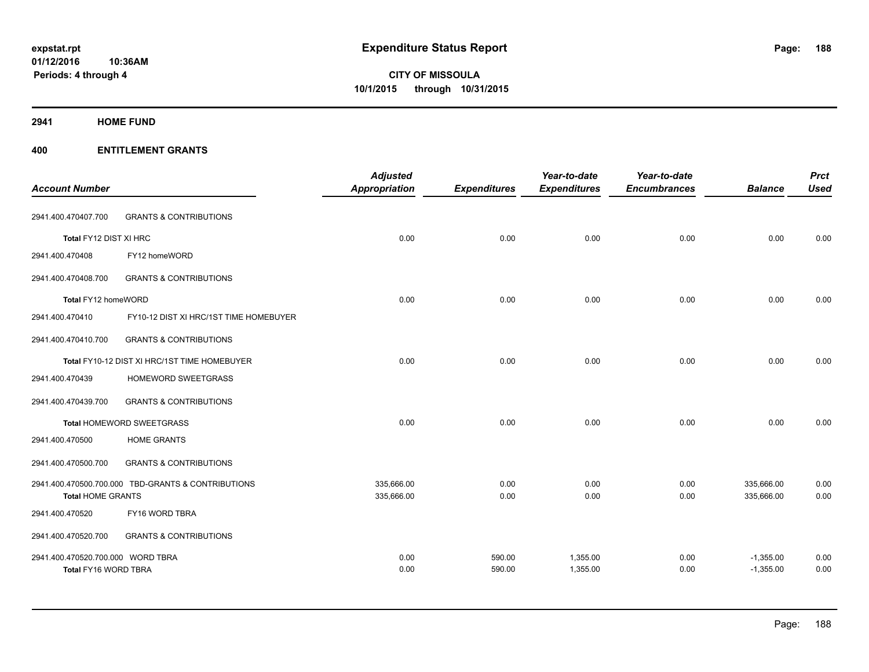# **2941 HOME FUND**

|                                   |                                                    | <b>Adjusted</b>      |                     | Year-to-date        | Year-to-date        |                | <b>Prct</b> |
|-----------------------------------|----------------------------------------------------|----------------------|---------------------|---------------------|---------------------|----------------|-------------|
| <b>Account Number</b>             |                                                    | <b>Appropriation</b> | <b>Expenditures</b> | <b>Expenditures</b> | <b>Encumbrances</b> | <b>Balance</b> | <b>Used</b> |
| 2941.400.470407.700               | <b>GRANTS &amp; CONTRIBUTIONS</b>                  |                      |                     |                     |                     |                |             |
| Total FY12 DIST XI HRC            |                                                    | 0.00                 | 0.00                | 0.00                | 0.00                | 0.00           | 0.00        |
| 2941.400.470408                   | FY12 homeWORD                                      |                      |                     |                     |                     |                |             |
| 2941.400.470408.700               | <b>GRANTS &amp; CONTRIBUTIONS</b>                  |                      |                     |                     |                     |                |             |
| Total FY12 homeWORD               |                                                    | 0.00                 | 0.00                | 0.00                | 0.00                | 0.00           | 0.00        |
| 2941.400.470410                   | FY10-12 DIST XI HRC/1ST TIME HOMEBUYER             |                      |                     |                     |                     |                |             |
| 2941.400.470410.700               | <b>GRANTS &amp; CONTRIBUTIONS</b>                  |                      |                     |                     |                     |                |             |
|                                   | Total FY10-12 DIST XI HRC/1ST TIME HOMEBUYER       | 0.00                 | 0.00                | 0.00                | 0.00                | 0.00           | 0.00        |
| 2941.400.470439                   | HOMEWORD SWEETGRASS                                |                      |                     |                     |                     |                |             |
| 2941.400.470439.700               | <b>GRANTS &amp; CONTRIBUTIONS</b>                  |                      |                     |                     |                     |                |             |
|                                   | <b>Total HOMEWORD SWEETGRASS</b>                   | 0.00                 | 0.00                | 0.00                | 0.00                | 0.00           | 0.00        |
| 2941.400.470500                   | <b>HOME GRANTS</b>                                 |                      |                     |                     |                     |                |             |
| 2941.400.470500.700               | <b>GRANTS &amp; CONTRIBUTIONS</b>                  |                      |                     |                     |                     |                |             |
|                                   | 2941.400.470500.700.000 TBD-GRANTS & CONTRIBUTIONS | 335,666.00           | 0.00                | 0.00                | 0.00                | 335,666.00     | 0.00        |
| <b>Total HOME GRANTS</b>          |                                                    | 335,666.00           | 0.00                | 0.00                | 0.00                | 335,666.00     | 0.00        |
| 2941.400.470520                   | FY16 WORD TBRA                                     |                      |                     |                     |                     |                |             |
| 2941.400.470520.700               | <b>GRANTS &amp; CONTRIBUTIONS</b>                  |                      |                     |                     |                     |                |             |
| 2941.400.470520.700.000 WORD TBRA |                                                    | 0.00                 | 590.00              | 1,355.00            | 0.00                | $-1,355.00$    | 0.00        |
| Total FY16 WORD TBRA              |                                                    | 0.00                 | 590.00              | 1,355.00            | 0.00                | $-1,355.00$    | 0.00        |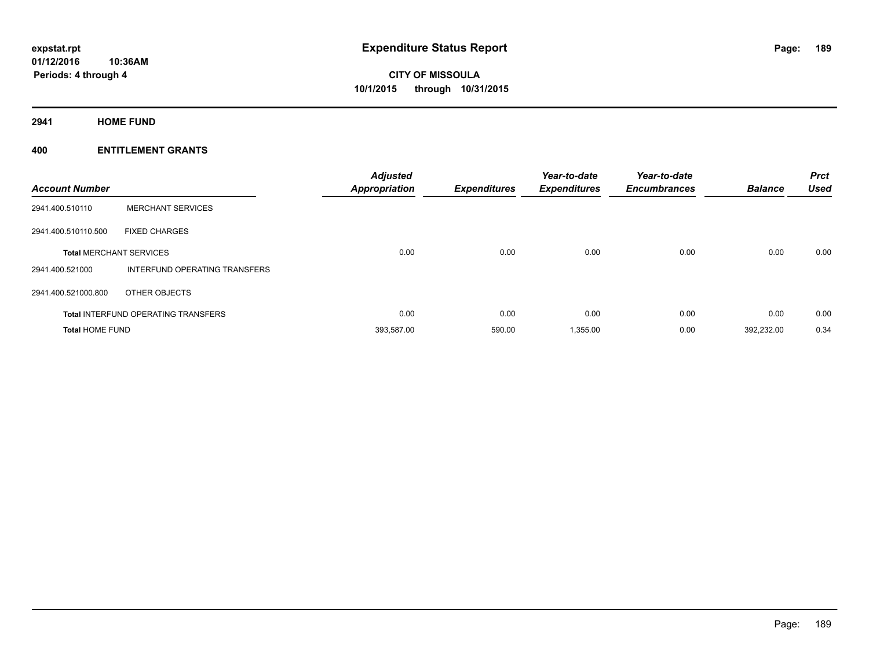**2941 HOME FUND**

| <b>Account Number</b>  |                                            | <b>Adjusted</b><br><b>Appropriation</b> | <b>Expenditures</b> | Year-to-date<br><b>Expenditures</b> | Year-to-date<br><b>Encumbrances</b> | <b>Balance</b> | <b>Prct</b><br><b>Used</b> |
|------------------------|--------------------------------------------|-----------------------------------------|---------------------|-------------------------------------|-------------------------------------|----------------|----------------------------|
| 2941.400.510110        | <b>MERCHANT SERVICES</b>                   |                                         |                     |                                     |                                     |                |                            |
| 2941.400.510110.500    | <b>FIXED CHARGES</b>                       |                                         |                     |                                     |                                     |                |                            |
|                        | <b>Total MERCHANT SERVICES</b>             | 0.00                                    | 0.00                | 0.00                                | 0.00                                | 0.00           | 0.00                       |
| 2941.400.521000        | <b>INTERFUND OPERATING TRANSFERS</b>       |                                         |                     |                                     |                                     |                |                            |
| 2941.400.521000.800    | OTHER OBJECTS                              |                                         |                     |                                     |                                     |                |                            |
|                        | <b>Total INTERFUND OPERATING TRANSFERS</b> | 0.00                                    | 0.00                | 0.00                                | 0.00                                | 0.00           | 0.00                       |
| <b>Total HOME FUND</b> |                                            | 393,587.00                              | 590.00              | 1,355.00                            | 0.00                                | 392,232.00     | 0.34                       |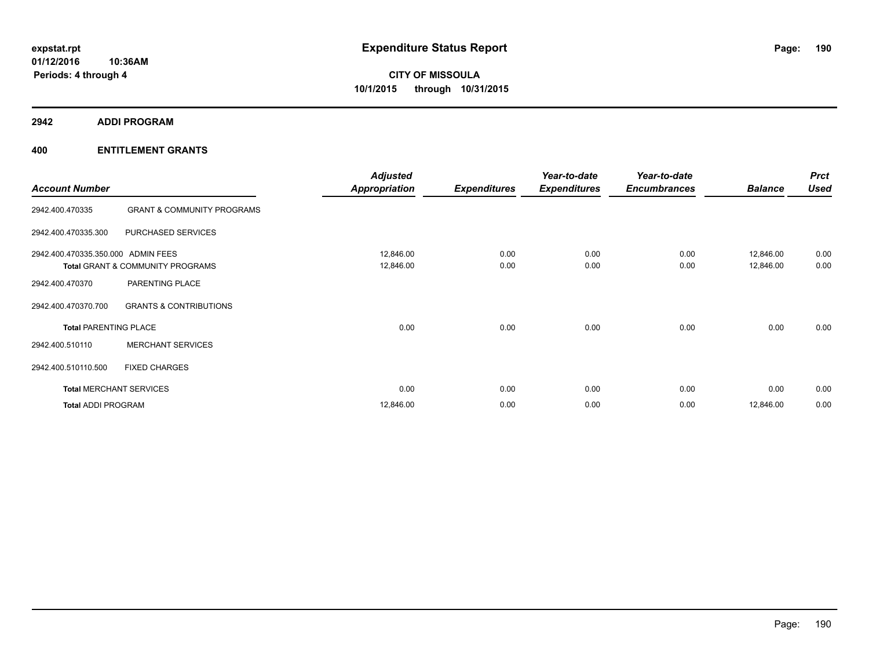**2942 ADDI PROGRAM**

|                                    |                                       | <b>Adjusted</b>      |                     | Year-to-date        | Year-to-date        |                | <b>Prct</b> |
|------------------------------------|---------------------------------------|----------------------|---------------------|---------------------|---------------------|----------------|-------------|
| <b>Account Number</b>              |                                       | <b>Appropriation</b> | <b>Expenditures</b> | <b>Expenditures</b> | <b>Encumbrances</b> | <b>Balance</b> | <b>Used</b> |
| 2942.400.470335                    | <b>GRANT &amp; COMMUNITY PROGRAMS</b> |                      |                     |                     |                     |                |             |
| 2942.400.470335.300                | PURCHASED SERVICES                    |                      |                     |                     |                     |                |             |
| 2942.400.470335.350.000 ADMIN FEES |                                       | 12,846.00            | 0.00                | 0.00                | 0.00                | 12,846.00      | 0.00        |
|                                    | Total GRANT & COMMUNITY PROGRAMS      | 12,846.00            | 0.00                | 0.00                | 0.00                | 12,846.00      | 0.00        |
| 2942.400.470370                    | PARENTING PLACE                       |                      |                     |                     |                     |                |             |
| 2942.400.470370.700                | <b>GRANTS &amp; CONTRIBUTIONS</b>     |                      |                     |                     |                     |                |             |
| <b>Total PARENTING PLACE</b>       |                                       | 0.00                 | 0.00                | 0.00                | 0.00                | 0.00           | 0.00        |
| 2942.400.510110                    | <b>MERCHANT SERVICES</b>              |                      |                     |                     |                     |                |             |
| 2942.400.510110.500                | <b>FIXED CHARGES</b>                  |                      |                     |                     |                     |                |             |
| <b>Total MERCHANT SERVICES</b>     |                                       | 0.00                 | 0.00                | 0.00                | 0.00                | 0.00           | 0.00        |
| <b>Total ADDI PROGRAM</b>          |                                       | 12,846.00            | 0.00                | 0.00                | 0.00                | 12,846.00      | 0.00        |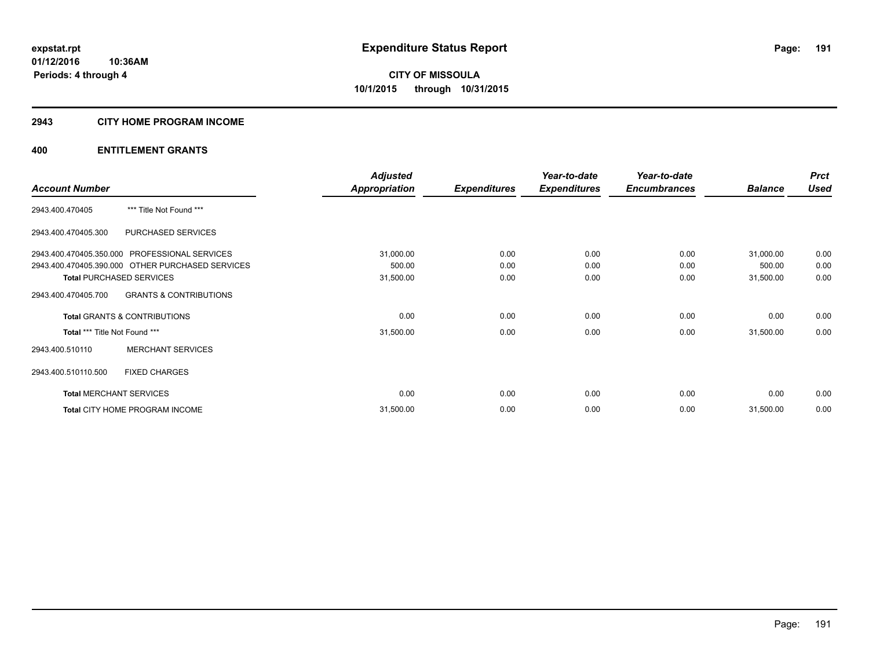# **2943 CITY HOME PROGRAM INCOME**

|                                                  |                                   | <b>Adjusted</b>      |                     | Year-to-date        | Year-to-date        |                | <b>Prct</b> |
|--------------------------------------------------|-----------------------------------|----------------------|---------------------|---------------------|---------------------|----------------|-------------|
| <b>Account Number</b>                            |                                   | <b>Appropriation</b> | <b>Expenditures</b> | <b>Expenditures</b> | <b>Encumbrances</b> | <b>Balance</b> | <b>Used</b> |
| 2943.400.470405                                  | *** Title Not Found ***           |                      |                     |                     |                     |                |             |
| 2943.400.470405.300                              | PURCHASED SERVICES                |                      |                     |                     |                     |                |             |
| 2943.400.470405.350.000 PROFESSIONAL SERVICES    |                                   | 31,000.00            | 0.00                | 0.00                | 0.00                | 31,000.00      | 0.00        |
| 2943.400.470405.390.000 OTHER PURCHASED SERVICES |                                   | 500.00               | 0.00                | 0.00                | 0.00                | 500.00         | 0.00        |
| <b>Total PURCHASED SERVICES</b>                  |                                   | 31,500.00            | 0.00                | 0.00                | 0.00                | 31,500.00      | 0.00        |
| 2943.400.470405.700                              | <b>GRANTS &amp; CONTRIBUTIONS</b> |                      |                     |                     |                     |                |             |
| <b>Total GRANTS &amp; CONTRIBUTIONS</b>          |                                   | 0.00                 | 0.00                | 0.00                | 0.00                | 0.00           | 0.00        |
| Total *** Title Not Found ***                    |                                   | 31,500.00            | 0.00                | 0.00                | 0.00                | 31,500.00      | 0.00        |
| 2943.400.510110                                  | <b>MERCHANT SERVICES</b>          |                      |                     |                     |                     |                |             |
| <b>FIXED CHARGES</b><br>2943.400.510110.500      |                                   |                      |                     |                     |                     |                |             |
| <b>Total MERCHANT SERVICES</b>                   |                                   | 0.00                 | 0.00                | 0.00                | 0.00                | 0.00           | 0.00        |
| Total CITY HOME PROGRAM INCOME                   |                                   | 31,500.00            | 0.00                | 0.00                | 0.00                | 31,500.00      | 0.00        |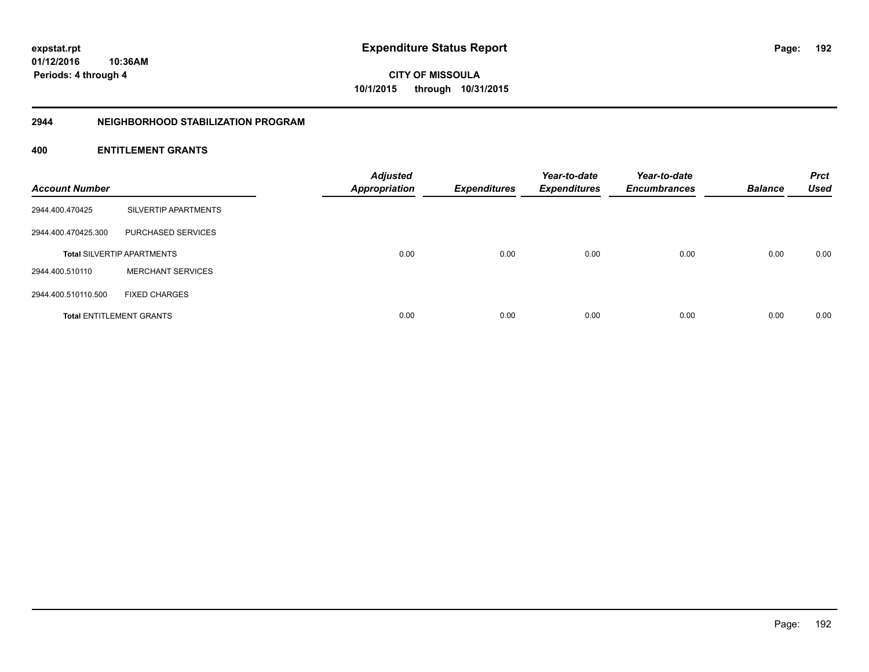**01/12/2016 10:36AM Periods: 4 through 4**

**CITY OF MISSOULA 10/1/2015 through 10/31/2015**

#### **2944 NEIGHBORHOOD STABILIZATION PROGRAM**

| <b>Account Number</b> |                                   | <b>Adjusted</b><br><b>Appropriation</b> | <b>Expenditures</b> | Year-to-date<br><b>Expenditures</b> | Year-to-date<br><b>Encumbrances</b> | <b>Balance</b> | <b>Prct</b><br><b>Used</b> |
|-----------------------|-----------------------------------|-----------------------------------------|---------------------|-------------------------------------|-------------------------------------|----------------|----------------------------|
| 2944.400.470425       | SILVERTIP APARTMENTS              |                                         |                     |                                     |                                     |                |                            |
| 2944.400.470425.300   | PURCHASED SERVICES                |                                         |                     |                                     |                                     |                |                            |
|                       | <b>Total SILVERTIP APARTMENTS</b> | 0.00                                    | 0.00                | 0.00                                | 0.00                                | 0.00           | 0.00                       |
| 2944.400.510110       | <b>MERCHANT SERVICES</b>          |                                         |                     |                                     |                                     |                |                            |
| 2944.400.510110.500   | <b>FIXED CHARGES</b>              |                                         |                     |                                     |                                     |                |                            |
|                       | <b>Total ENTITLEMENT GRANTS</b>   | 0.00                                    | 0.00                | 0.00                                | 0.00                                | 0.00           | 0.00                       |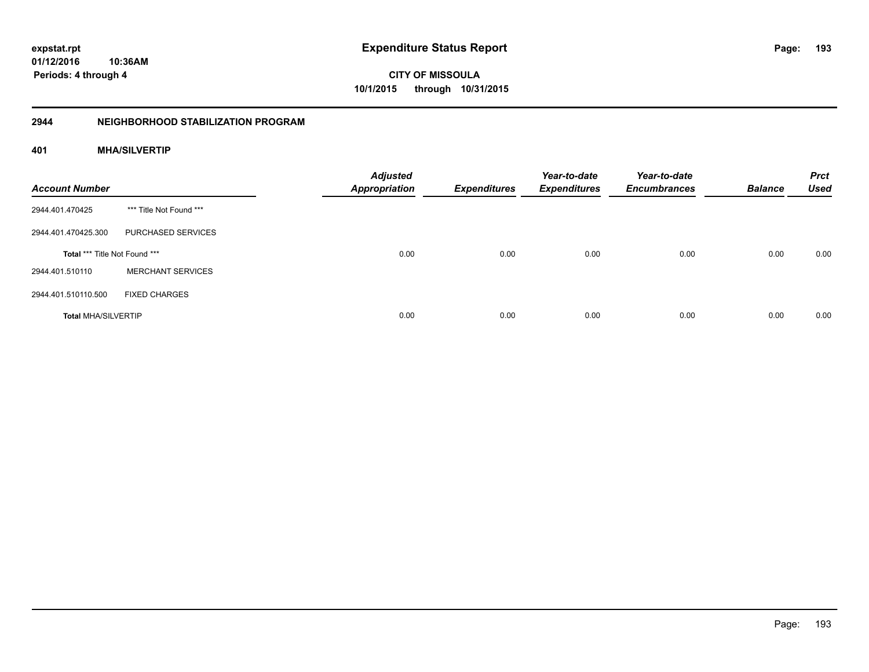**01/12/2016 10:36AM Periods: 4 through 4**

**CITY OF MISSOULA 10/1/2015 through 10/31/2015**

#### **2944 NEIGHBORHOOD STABILIZATION PROGRAM**

# **401 MHA/SILVERTIP**

| <b>Account Number</b>         |                          | <b>Adjusted</b><br><b>Appropriation</b> | <b>Expenditures</b> | Year-to-date<br><b>Expenditures</b> | Year-to-date<br><b>Encumbrances</b> | <b>Balance</b> | <b>Prct</b><br><b>Used</b> |
|-------------------------------|--------------------------|-----------------------------------------|---------------------|-------------------------------------|-------------------------------------|----------------|----------------------------|
| 2944.401.470425               | *** Title Not Found ***  |                                         |                     |                                     |                                     |                |                            |
| 2944.401.470425.300           | PURCHASED SERVICES       |                                         |                     |                                     |                                     |                |                            |
| Total *** Title Not Found *** |                          | 0.00                                    | 0.00                | 0.00                                | 0.00                                | 0.00           | 0.00                       |
| 2944.401.510110               | <b>MERCHANT SERVICES</b> |                                         |                     |                                     |                                     |                |                            |
| 2944.401.510110.500           | <b>FIXED CHARGES</b>     |                                         |                     |                                     |                                     |                |                            |
| <b>Total MHA/SILVERTIP</b>    |                          | 0.00                                    | 0.00                | 0.00                                | 0.00                                | 0.00           | 0.00                       |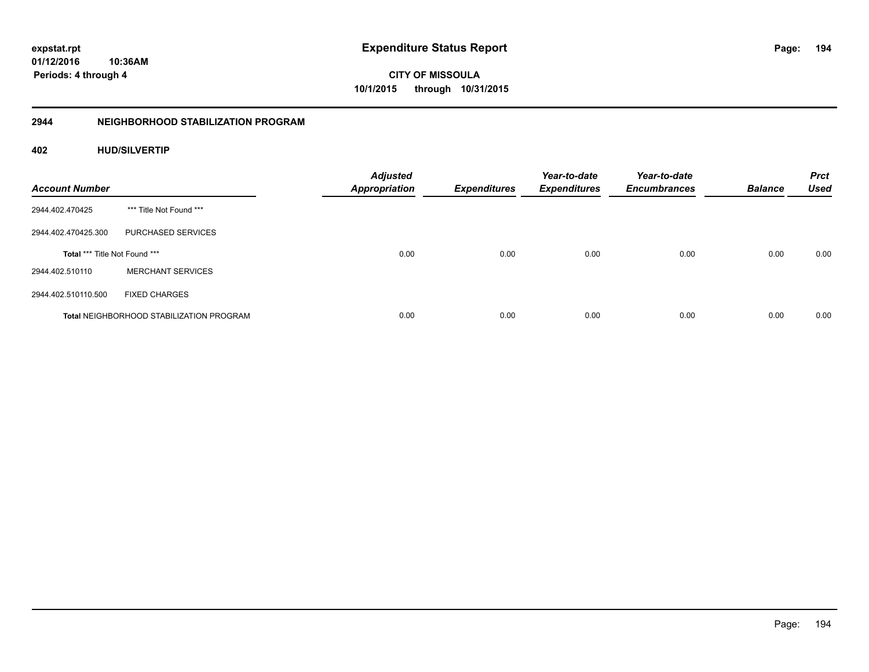**194**

**01/12/2016 10:36AM Periods: 4 through 4**

**CITY OF MISSOULA 10/1/2015 through 10/31/2015**

# **2944 NEIGHBORHOOD STABILIZATION PROGRAM**

# **402 HUD/SILVERTIP**

| <b>Account Number</b>                |                                                 | <b>Adjusted</b><br><b>Appropriation</b> | <b>Expenditures</b> | Year-to-date<br><b>Expenditures</b> | Year-to-date<br><b>Encumbrances</b> | <b>Balance</b> | <b>Prct</b><br><b>Used</b> |
|--------------------------------------|-------------------------------------------------|-----------------------------------------|---------------------|-------------------------------------|-------------------------------------|----------------|----------------------------|
| 2944.402.470425                      | *** Title Not Found ***                         |                                         |                     |                                     |                                     |                |                            |
| 2944.402.470425.300                  | PURCHASED SERVICES                              |                                         |                     |                                     |                                     |                |                            |
| <b>Total *** Title Not Found ***</b> |                                                 | 0.00                                    | 0.00                | 0.00                                | 0.00                                | 0.00           | 0.00                       |
| 2944.402.510110                      | <b>MERCHANT SERVICES</b>                        |                                         |                     |                                     |                                     |                |                            |
| 2944.402.510110.500                  | <b>FIXED CHARGES</b>                            |                                         |                     |                                     |                                     |                |                            |
|                                      | <b>Total NEIGHBORHOOD STABILIZATION PROGRAM</b> | 0.00                                    | 0.00                | 0.00                                | 0.00                                | 0.00           | 0.00                       |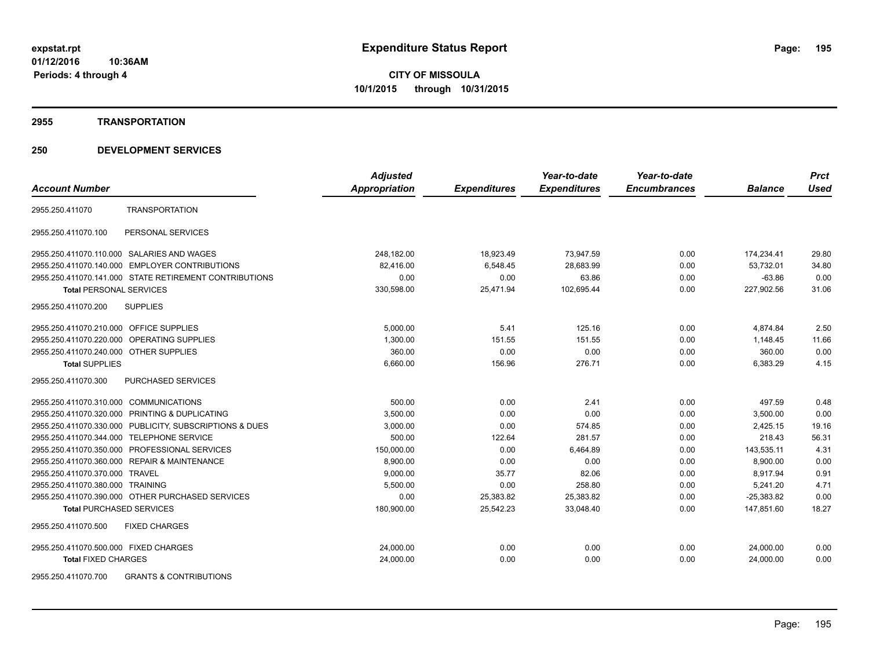#### **2955 TRANSPORTATION**

# **250 DEVELOPMENT SERVICES**

|                                                         | <b>Adjusted</b> |                     | Year-to-date        | Year-to-date        |                | <b>Prct</b> |
|---------------------------------------------------------|-----------------|---------------------|---------------------|---------------------|----------------|-------------|
| <b>Account Number</b>                                   | Appropriation   | <b>Expenditures</b> | <b>Expenditures</b> | <b>Encumbrances</b> | <b>Balance</b> | <b>Used</b> |
| <b>TRANSPORTATION</b><br>2955.250.411070                |                 |                     |                     |                     |                |             |
| PERSONAL SERVICES<br>2955.250.411070.100                |                 |                     |                     |                     |                |             |
| 2955.250.411070.110.000 SALARIES AND WAGES              | 248,182.00      | 18,923.49           | 73,947.59           | 0.00                | 174,234.41     | 29.80       |
| 2955.250.411070.140.000 EMPLOYER CONTRIBUTIONS          | 82,416.00       | 6,548.45            | 28,683.99           | 0.00                | 53,732.01      | 34.80       |
| 2955.250.411070.141.000 STATE RETIREMENT CONTRIBUTIONS  | 0.00            | 0.00                | 63.86               | 0.00                | $-63.86$       | 0.00        |
| <b>Total PERSONAL SERVICES</b>                          | 330,598.00      | 25,471.94           | 102,695.44          | 0.00                | 227,902.56     | 31.06       |
| 2955.250.411070.200<br><b>SUPPLIES</b>                  |                 |                     |                     |                     |                |             |
| 2955.250.411070.210.000 OFFICE SUPPLIES                 | 5,000.00        | 5.41                | 125.16              | 0.00                | 4,874.84       | 2.50        |
| 2955.250.411070.220.000 OPERATING SUPPLIES              | 1,300.00        | 151.55              | 151.55              | 0.00                | 1,148.45       | 11.66       |
| 2955.250.411070.240.000 OTHER SUPPLIES                  | 360.00          | 0.00                | 0.00                | 0.00                | 360.00         | 0.00        |
| <b>Total SUPPLIES</b>                                   | 6,660.00        | 156.96              | 276.71              | 0.00                | 6,383.29       | 4.15        |
| 2955.250.411070.300<br>PURCHASED SERVICES               |                 |                     |                     |                     |                |             |
| 2955.250.411070.310.000 COMMUNICATIONS                  | 500.00          | 0.00                | 2.41                | 0.00                | 497.59         | 0.48        |
| 2955.250.411070.320.000 PRINTING & DUPLICATING          | 3,500.00        | 0.00                | 0.00                | 0.00                | 3,500.00       | 0.00        |
| 2955.250.411070.330.000 PUBLICITY, SUBSCRIPTIONS & DUES | 3,000.00        | 0.00                | 574.85              | 0.00                | 2,425.15       | 19.16       |
| 2955.250.411070.344.000 TELEPHONE SERVICE               | 500.00          | 122.64              | 281.57              | 0.00                | 218.43         | 56.31       |
| 2955.250.411070.350.000 PROFESSIONAL SERVICES           | 150,000.00      | 0.00                | 6,464.89            | 0.00                | 143,535.11     | 4.31        |
| 2955.250.411070.360.000 REPAIR & MAINTENANCE            | 8,900.00        | 0.00                | 0.00                | 0.00                | 8,900.00       | 0.00        |
| 2955.250.411070.370.000 TRAVEL                          | 9,000.00        | 35.77               | 82.06               | 0.00                | 8,917.94       | 0.91        |
| 2955.250.411070.380.000 TRAINING                        | 5,500.00        | 0.00                | 258.80              | 0.00                | 5,241.20       | 4.71        |
| 2955.250.411070.390.000 OTHER PURCHASED SERVICES        | 0.00            | 25,383.82           | 25,383.82           | 0.00                | $-25,383.82$   | 0.00        |
| <b>Total PURCHASED SERVICES</b>                         | 180,900.00      | 25,542.23           | 33,048.40           | 0.00                | 147,851.60     | 18.27       |
| 2955.250.411070.500<br><b>FIXED CHARGES</b>             |                 |                     |                     |                     |                |             |
| 2955.250.411070.500.000 FIXED CHARGES                   | 24,000.00       | 0.00                | 0.00                | 0.00                | 24,000.00      | 0.00        |
| <b>Total FIXED CHARGES</b>                              | 24,000.00       | 0.00                | 0.00                | 0.00                | 24,000.00      | 0.00        |
|                                                         |                 |                     |                     |                     |                |             |

2955.250.411070.700 GRANTS & CONTRIBUTIONS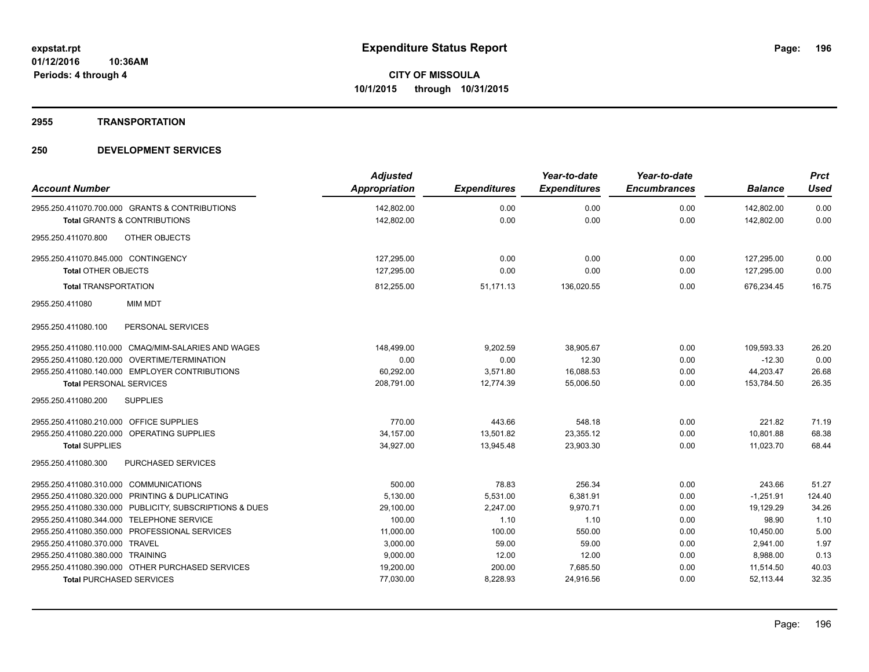# **2955 TRANSPORTATION**

| <b>Account Number</b>                                   | <b>Adjusted</b><br><b>Appropriation</b> | <b>Expenditures</b> | Year-to-date<br><b>Expenditures</b> | Year-to-date<br><b>Encumbrances</b> | <b>Balance</b> | <b>Prct</b><br><b>Used</b> |
|---------------------------------------------------------|-----------------------------------------|---------------------|-------------------------------------|-------------------------------------|----------------|----------------------------|
|                                                         |                                         |                     |                                     |                                     |                |                            |
| 2955.250.411070.700.000 GRANTS & CONTRIBUTIONS          | 142,802.00                              | 0.00                | 0.00                                | 0.00                                | 142,802.00     | 0.00                       |
| <b>Total GRANTS &amp; CONTRIBUTIONS</b>                 | 142,802.00                              | 0.00                | 0.00                                | 0.00                                | 142,802.00     | 0.00                       |
| OTHER OBJECTS<br>2955.250.411070.800                    |                                         |                     |                                     |                                     |                |                            |
| 2955.250.411070.845.000 CONTINGENCY                     | 127,295.00                              | 0.00                | 0.00                                | 0.00                                | 127,295.00     | 0.00                       |
| Total OTHER OBJECTS                                     | 127,295.00                              | 0.00                | 0.00                                | 0.00                                | 127,295.00     | 0.00                       |
| <b>Total TRANSPORTATION</b>                             | 812,255.00                              | 51,171.13           | 136,020.55                          | 0.00                                | 676,234.45     | 16.75                      |
| 2955.250.411080<br><b>MIM MDT</b>                       |                                         |                     |                                     |                                     |                |                            |
| PERSONAL SERVICES<br>2955.250.411080.100                |                                         |                     |                                     |                                     |                |                            |
| 2955.250.411080.110.000 CMAQ/MIM-SALARIES AND WAGES     | 148,499.00                              | 9,202.59            | 38,905.67                           | 0.00                                | 109,593.33     | 26.20                      |
| 2955.250.411080.120.000 OVERTIME/TERMINATION            | 0.00                                    | 0.00                | 12.30                               | 0.00                                | $-12.30$       | 0.00                       |
| 2955.250.411080.140.000 EMPLOYER CONTRIBUTIONS          | 60,292.00                               | 3,571.80            | 16,088.53                           | 0.00                                | 44,203.47      | 26.68                      |
| <b>Total PERSONAL SERVICES</b>                          | 208,791.00                              | 12,774.39           | 55.006.50                           | 0.00                                | 153,784.50     | 26.35                      |
| 2955.250.411080.200<br><b>SUPPLIES</b>                  |                                         |                     |                                     |                                     |                |                            |
| 2955.250.411080.210.000 OFFICE SUPPLIES                 | 770.00                                  | 443.66              | 548.18                              | 0.00                                | 221.82         | 71.19                      |
| 2955.250.411080.220.000 OPERATING SUPPLIES              | 34,157.00                               | 13,501.82           | 23,355.12                           | 0.00                                | 10,801.88      | 68.38                      |
| <b>Total SUPPLIES</b>                                   | 34.927.00                               | 13.945.48           | 23.903.30                           | 0.00                                | 11.023.70      | 68.44                      |
| <b>PURCHASED SERVICES</b><br>2955.250.411080.300        |                                         |                     |                                     |                                     |                |                            |
| 2955.250.411080.310.000 COMMUNICATIONS                  | 500.00                                  | 78.83               | 256.34                              | 0.00                                | 243.66         | 51.27                      |
| 2955.250.411080.320.000 PRINTING & DUPLICATING          | 5,130.00                                | 5,531.00            | 6,381.91                            | 0.00                                | $-1,251.91$    | 124.40                     |
| 2955.250.411080.330.000 PUBLICITY, SUBSCRIPTIONS & DUES | 29,100.00                               | 2,247.00            | 9.970.71                            | 0.00                                | 19,129.29      | 34.26                      |
| 2955.250.411080.344.000 TELEPHONE SERVICE               | 100.00                                  | 1.10                | 1.10                                | 0.00                                | 98.90          | 1.10                       |
| 2955.250.411080.350.000 PROFESSIONAL SERVICES           | 11,000.00                               | 100.00              | 550.00                              | 0.00                                | 10,450.00      | 5.00                       |
| 2955.250.411080.370.000 TRAVEL                          | 3,000.00                                | 59.00               | 59.00                               | 0.00                                | 2,941.00       | 1.97                       |
| 2955.250.411080.380.000 TRAINING                        | 9,000.00                                | 12.00               | 12.00                               | 0.00                                | 8,988.00       | 0.13                       |
| 2955.250.411080.390.000 OTHER PURCHASED SERVICES        | 19,200.00                               | 200.00              | 7,685.50                            | 0.00                                | 11,514.50      | 40.03                      |
| <b>Total PURCHASED SERVICES</b>                         | 77,030.00                               | 8,228.93            | 24,916.56                           | 0.00                                | 52.113.44      | 32.35                      |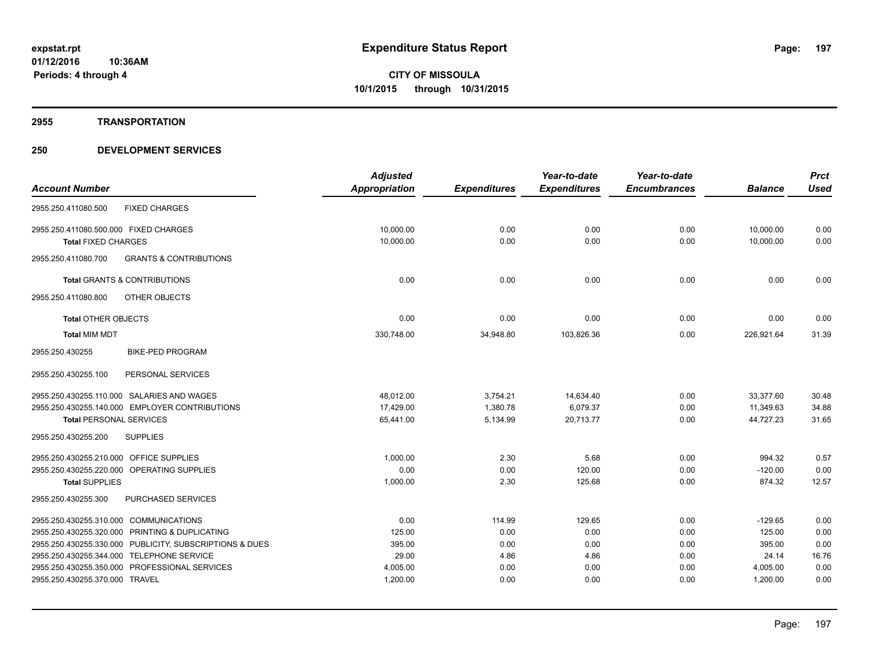#### **2955 TRANSPORTATION**

|                                                          | <b>Adjusted</b>      |                     | Year-to-date        | Year-to-date        |                | <b>Prct</b> |
|----------------------------------------------------------|----------------------|---------------------|---------------------|---------------------|----------------|-------------|
| <b>Account Number</b>                                    | <b>Appropriation</b> | <b>Expenditures</b> | <b>Expenditures</b> | <b>Encumbrances</b> | <b>Balance</b> | <b>Used</b> |
| <b>FIXED CHARGES</b><br>2955.250.411080.500              |                      |                     |                     |                     |                |             |
| 2955.250.411080.500.000 FIXED CHARGES                    | 10,000.00            | 0.00                | 0.00                | 0.00                | 10,000.00      | 0.00        |
| <b>Total FIXED CHARGES</b>                               | 10,000.00            | 0.00                | 0.00                | 0.00                | 10,000.00      | 0.00        |
| 2955.250.411080.700<br><b>GRANTS &amp; CONTRIBUTIONS</b> |                      |                     |                     |                     |                |             |
| <b>Total GRANTS &amp; CONTRIBUTIONS</b>                  | 0.00                 | 0.00                | 0.00                | 0.00                | 0.00           | 0.00        |
| OTHER OBJECTS<br>2955.250.411080.800                     |                      |                     |                     |                     |                |             |
| <b>Total OTHER OBJECTS</b>                               | 0.00                 | 0.00                | 0.00                | 0.00                | 0.00           | 0.00        |
| <b>Total MIM MDT</b>                                     | 330,748.00           | 34,948.80           | 103,826.36          | 0.00                | 226,921.64     | 31.39       |
| 2955.250.430255<br><b>BIKE-PED PROGRAM</b>               |                      |                     |                     |                     |                |             |
| 2955.250.430255.100<br>PERSONAL SERVICES                 |                      |                     |                     |                     |                |             |
| 2955.250.430255.110.000 SALARIES AND WAGES               | 48,012.00            | 3,754.21            | 14,634.40           | 0.00                | 33,377.60      | 30.48       |
| 2955.250.430255.140.000 EMPLOYER CONTRIBUTIONS           | 17,429.00            | 1,380.78            | 6,079.37            | 0.00                | 11,349.63      | 34.88       |
| <b>Total PERSONAL SERVICES</b>                           | 65,441.00            | 5,134.99            | 20,713.77           | 0.00                | 44,727.23      | 31.65       |
| 2955.250.430255.200<br><b>SUPPLIES</b>                   |                      |                     |                     |                     |                |             |
| 2955.250.430255.210.000 OFFICE SUPPLIES                  | 1,000.00             | 2.30                | 5.68                | 0.00                | 994.32         | 0.57        |
| 2955.250.430255.220.000 OPERATING SUPPLIES               | 0.00                 | 0.00                | 120.00              | 0.00                | $-120.00$      | 0.00        |
| <b>Total SUPPLIES</b>                                    | 1,000.00             | 2.30                | 125.68              | 0.00                | 874.32         | 12.57       |
| 2955.250.430255.300<br>PURCHASED SERVICES                |                      |                     |                     |                     |                |             |
| 2955.250.430255.310.000 COMMUNICATIONS                   | 0.00                 | 114.99              | 129.65              | 0.00                | $-129.65$      | 0.00        |
| 2955.250.430255.320.000 PRINTING & DUPLICATING           | 125.00               | 0.00                | 0.00                | 0.00                | 125.00         | 0.00        |
| 2955.250.430255.330.000 PUBLICITY, SUBSCRIPTIONS & DUES  | 395.00               | 0.00                | 0.00                | 0.00                | 395.00         | 0.00        |
| 2955.250.430255.344.000 TELEPHONE SERVICE                | 29.00                | 4.86                | 4.86                | 0.00                | 24.14          | 16.76       |
| 2955.250.430255.350.000 PROFESSIONAL SERVICES            | 4,005.00             | 0.00                | 0.00                | 0.00                | 4,005.00       | 0.00        |
| 2955.250.430255.370.000 TRAVEL                           | 1,200.00             | 0.00                | 0.00                | 0.00                | 1,200.00       | 0.00        |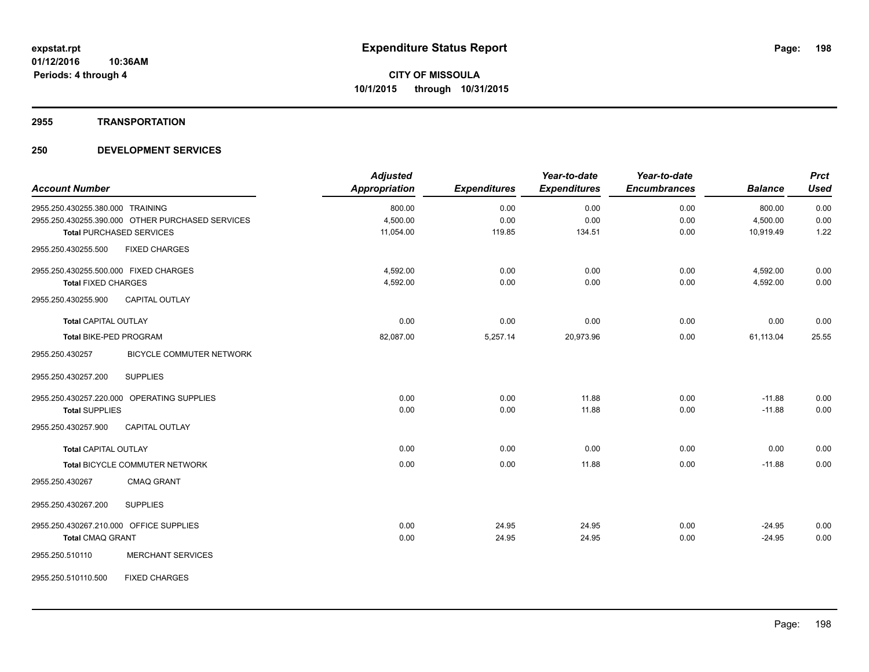#### **2955 TRANSPORTATION**

| <b>Account Number</b>                      |                                                  | <b>Adjusted</b><br><b>Appropriation</b> | <b>Expenditures</b> | Year-to-date<br><b>Expenditures</b> | Year-to-date<br><b>Encumbrances</b> | <b>Balance</b> | <b>Prct</b><br><b>Used</b> |
|--------------------------------------------|--------------------------------------------------|-----------------------------------------|---------------------|-------------------------------------|-------------------------------------|----------------|----------------------------|
| 2955.250.430255.380.000 TRAINING           |                                                  | 800.00                                  | 0.00                | 0.00                                | 0.00                                | 800.00         | 0.00                       |
|                                            | 2955.250.430255.390.000 OTHER PURCHASED SERVICES | 4,500.00                                | 0.00                | 0.00                                | 0.00                                | 4,500.00       | 0.00                       |
| <b>Total PURCHASED SERVICES</b>            |                                                  | 11,054.00                               | 119.85              | 134.51                              | 0.00                                | 10,919.49      | 1.22                       |
| 2955.250.430255.500                        | <b>FIXED CHARGES</b>                             |                                         |                     |                                     |                                     |                |                            |
| 2955.250.430255.500.000 FIXED CHARGES      |                                                  | 4,592.00                                | 0.00                | 0.00                                | 0.00                                | 4,592.00       | 0.00                       |
| <b>Total FIXED CHARGES</b>                 |                                                  | 4,592.00                                | 0.00                | 0.00                                | 0.00                                | 4,592.00       | 0.00                       |
| 2955.250.430255.900                        | <b>CAPITAL OUTLAY</b>                            |                                         |                     |                                     |                                     |                |                            |
| <b>Total CAPITAL OUTLAY</b>                |                                                  | 0.00                                    | 0.00                | 0.00                                | 0.00                                | 0.00           | 0.00                       |
| <b>Total BIKE-PED PROGRAM</b>              |                                                  | 82,087.00                               | 5,257.14            | 20,973.96                           | 0.00                                | 61,113.04      | 25.55                      |
| 2955.250.430257                            | <b>BICYCLE COMMUTER NETWORK</b>                  |                                         |                     |                                     |                                     |                |                            |
| 2955.250.430257.200                        | <b>SUPPLIES</b>                                  |                                         |                     |                                     |                                     |                |                            |
| 2955.250.430257.220.000 OPERATING SUPPLIES |                                                  | 0.00                                    | 0.00                | 11.88                               | 0.00                                | $-11.88$       | 0.00                       |
| <b>Total SUPPLIES</b>                      |                                                  | 0.00                                    | 0.00                | 11.88                               | 0.00                                | $-11.88$       | 0.00                       |
| 2955.250.430257.900                        | <b>CAPITAL OUTLAY</b>                            |                                         |                     |                                     |                                     |                |                            |
| <b>Total CAPITAL OUTLAY</b>                |                                                  | 0.00                                    | 0.00                | 0.00                                | 0.00                                | 0.00           | 0.00                       |
|                                            | Total BICYCLE COMMUTER NETWORK                   | 0.00                                    | 0.00                | 11.88                               | 0.00                                | $-11.88$       | 0.00                       |
| 2955.250.430267                            | <b>CMAQ GRANT</b>                                |                                         |                     |                                     |                                     |                |                            |
| 2955.250.430267.200                        | <b>SUPPLIES</b>                                  |                                         |                     |                                     |                                     |                |                            |
| 2955.250.430267.210.000 OFFICE SUPPLIES    |                                                  | 0.00                                    | 24.95               | 24.95                               | 0.00                                | $-24.95$       | 0.00                       |
| <b>Total CMAQ GRANT</b>                    |                                                  | 0.00                                    | 24.95               | 24.95                               | 0.00                                | $-24.95$       | 0.00                       |
| 2955.250.510110                            | <b>MERCHANT SERVICES</b>                         |                                         |                     |                                     |                                     |                |                            |
| 2955.250.510110.500                        | <b>FIXED CHARGES</b>                             |                                         |                     |                                     |                                     |                |                            |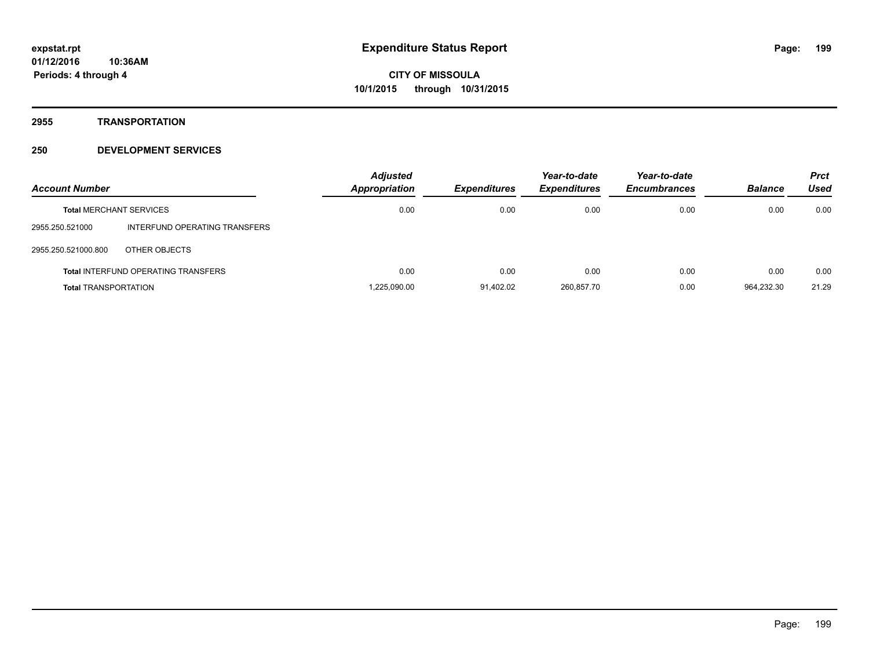**2955 TRANSPORTATION**

| <b>Account Number</b>          |                                            | <b>Adjusted</b><br><b>Appropriation</b> | <b>Expenditures</b> | Year-to-date<br><b>Expenditures</b> | Year-to-date<br><b>Encumbrances</b> | <b>Balance</b> | <b>Prct</b><br>Used |
|--------------------------------|--------------------------------------------|-----------------------------------------|---------------------|-------------------------------------|-------------------------------------|----------------|---------------------|
| <b>Total MERCHANT SERVICES</b> |                                            | 0.00                                    | 0.00                | 0.00                                | 0.00                                | 0.00           | 0.00                |
| 2955.250.521000                | INTERFUND OPERATING TRANSFERS              |                                         |                     |                                     |                                     |                |                     |
| 2955.250.521000.800            | OTHER OBJECTS                              |                                         |                     |                                     |                                     |                |                     |
|                                | <b>Total INTERFUND OPERATING TRANSFERS</b> | 0.00                                    | 0.00                | 0.00                                | 0.00                                | 0.00           | 0.00                |
| <b>Total TRANSPORTATION</b>    |                                            | 1.225.090.00                            | 91.402.02           | 260.857.70                          | 0.00                                | 964.232.30     | 21.29               |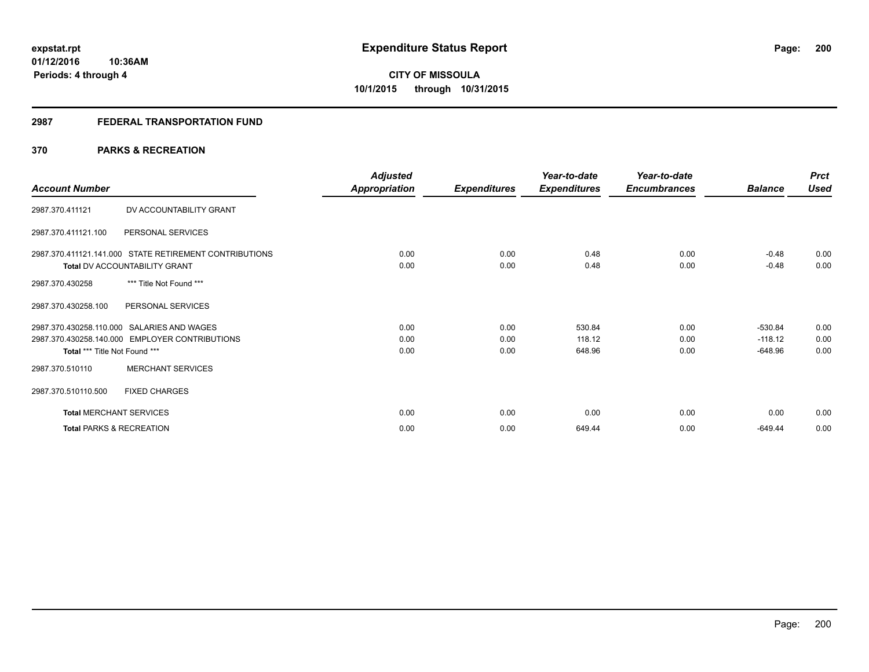# **2987 FEDERAL TRANSPORTATION FUND**

# **370 PARKS & RECREATION**

| <b>Account Number</b>                                                                                                         | <b>Adjusted</b><br>Appropriation | <b>Expenditures</b>  | Year-to-date<br><b>Expenditures</b> | Year-to-date<br><b>Encumbrances</b> | <b>Balance</b>                      | <b>Prct</b><br>Used  |
|-------------------------------------------------------------------------------------------------------------------------------|----------------------------------|----------------------|-------------------------------------|-------------------------------------|-------------------------------------|----------------------|
| DV ACCOUNTABILITY GRANT<br>2987.370.411121                                                                                    |                                  |                      |                                     |                                     |                                     |                      |
| 2987.370.411121.100<br>PERSONAL SERVICES                                                                                      |                                  |                      |                                     |                                     |                                     |                      |
| 2987.370.411121.141.000 STATE RETIREMENT CONTRIBUTIONS<br><b>Total DV ACCOUNTABILITY GRANT</b>                                | 0.00<br>0.00                     | 0.00<br>0.00         | 0.48<br>0.48                        | 0.00<br>0.00                        | $-0.48$<br>$-0.48$                  | 0.00<br>0.00         |
| *** Title Not Found ***<br>2987.370.430258                                                                                    |                                  |                      |                                     |                                     |                                     |                      |
| 2987.370.430258.100<br>PERSONAL SERVICES                                                                                      |                                  |                      |                                     |                                     |                                     |                      |
| 2987.370.430258.110.000 SALARIES AND WAGES<br>2987.370.430258.140.000 EMPLOYER CONTRIBUTIONS<br>Total *** Title Not Found *** | 0.00<br>0.00<br>0.00             | 0.00<br>0.00<br>0.00 | 530.84<br>118.12<br>648.96          | 0.00<br>0.00<br>0.00                | $-530.84$<br>$-118.12$<br>$-648.96$ | 0.00<br>0.00<br>0.00 |
| <b>MERCHANT SERVICES</b><br>2987.370.510110                                                                                   |                                  |                      |                                     |                                     |                                     |                      |
| 2987.370.510110.500<br><b>FIXED CHARGES</b>                                                                                   |                                  |                      |                                     |                                     |                                     |                      |
| <b>Total MERCHANT SERVICES</b>                                                                                                | 0.00                             | 0.00                 | 0.00                                | 0.00                                | 0.00                                | 0.00                 |
| <b>Total PARKS &amp; RECREATION</b>                                                                                           | 0.00                             | 0.00                 | 649.44                              | 0.00                                | $-649.44$                           | 0.00                 |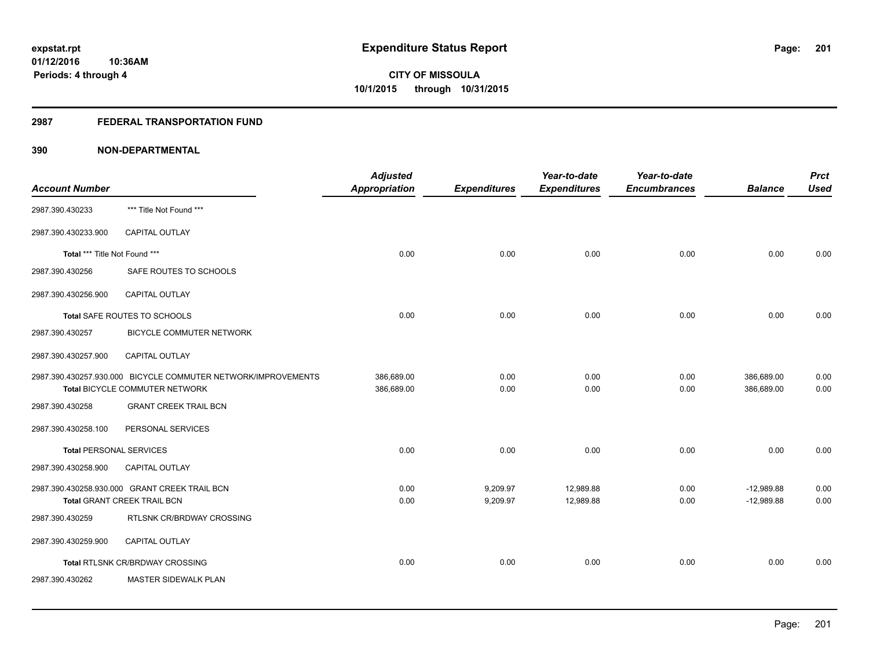# **2987 FEDERAL TRANSPORTATION FUND**

| <b>Account Number</b>          |                                                                                                 | <b>Adjusted</b><br>Appropriation | <b>Expenditures</b>  | Year-to-date<br><b>Expenditures</b> | Year-to-date<br><b>Encumbrances</b> | <b>Balance</b>               | <b>Prct</b><br><b>Used</b> |
|--------------------------------|-------------------------------------------------------------------------------------------------|----------------------------------|----------------------|-------------------------------------|-------------------------------------|------------------------------|----------------------------|
| 2987.390.430233                | *** Title Not Found ***                                                                         |                                  |                      |                                     |                                     |                              |                            |
| 2987.390.430233.900            | CAPITAL OUTLAY                                                                                  |                                  |                      |                                     |                                     |                              |                            |
| Total *** Title Not Found ***  |                                                                                                 | 0.00                             | 0.00                 | 0.00                                | 0.00                                | 0.00                         | 0.00                       |
| 2987.390.430256                | SAFE ROUTES TO SCHOOLS                                                                          |                                  |                      |                                     |                                     |                              |                            |
| 2987.390.430256.900            | <b>CAPITAL OUTLAY</b>                                                                           |                                  |                      |                                     |                                     |                              |                            |
|                                | Total SAFE ROUTES TO SCHOOLS                                                                    | 0.00                             | 0.00                 | 0.00                                | 0.00                                | 0.00                         | 0.00                       |
| 2987.390.430257                | <b>BICYCLE COMMUTER NETWORK</b>                                                                 |                                  |                      |                                     |                                     |                              |                            |
| 2987.390.430257.900            | <b>CAPITAL OUTLAY</b>                                                                           |                                  |                      |                                     |                                     |                              |                            |
|                                | 2987.390.430257.930.000 BICYCLE COMMUTER NETWORK/IMPROVEMENTS<br>Total BICYCLE COMMUTER NETWORK | 386,689.00<br>386,689.00         | 0.00<br>0.00         | 0.00<br>0.00                        | 0.00<br>0.00                        | 386,689.00<br>386,689.00     | 0.00<br>0.00               |
| 2987.390.430258                | <b>GRANT CREEK TRAIL BCN</b>                                                                    |                                  |                      |                                     |                                     |                              |                            |
| 2987.390.430258.100            | PERSONAL SERVICES                                                                               |                                  |                      |                                     |                                     |                              |                            |
| <b>Total PERSONAL SERVICES</b> |                                                                                                 | 0.00                             | 0.00                 | 0.00                                | 0.00                                | 0.00                         | 0.00                       |
| 2987.390.430258.900            | CAPITAL OUTLAY                                                                                  |                                  |                      |                                     |                                     |                              |                            |
|                                | 2987.390.430258.930.000 GRANT CREEK TRAIL BCN<br><b>Total GRANT CREEK TRAIL BCN</b>             | 0.00<br>0.00                     | 9,209.97<br>9,209.97 | 12,989.88<br>12,989.88              | 0.00<br>0.00                        | $-12,989.88$<br>$-12,989.88$ | 0.00<br>0.00               |
| 2987.390.430259                | RTLSNK CR/BRDWAY CROSSING                                                                       |                                  |                      |                                     |                                     |                              |                            |
| 2987.390.430259.900            | <b>CAPITAL OUTLAY</b>                                                                           |                                  |                      |                                     |                                     |                              |                            |
|                                | Total RTLSNK CR/BRDWAY CROSSING                                                                 | 0.00                             | 0.00                 | 0.00                                | 0.00                                | 0.00                         | 0.00                       |
| 2987.390.430262                | MASTER SIDEWALK PLAN                                                                            |                                  |                      |                                     |                                     |                              |                            |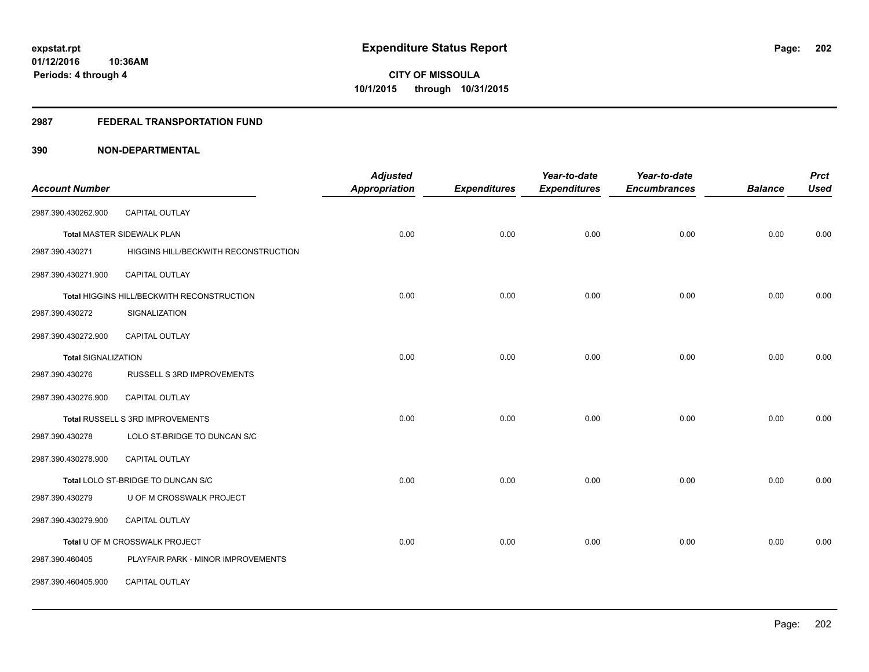#### **2987 FEDERAL TRANSPORTATION FUND**

| <b>Account Number</b>      |                                            | <b>Adjusted</b><br><b>Appropriation</b> | <b>Expenditures</b> | Year-to-date<br><b>Expenditures</b> | Year-to-date<br><b>Encumbrances</b> | <b>Balance</b> | <b>Prct</b><br><b>Used</b> |
|----------------------------|--------------------------------------------|-----------------------------------------|---------------------|-------------------------------------|-------------------------------------|----------------|----------------------------|
|                            |                                            |                                         |                     |                                     |                                     |                |                            |
| 2987.390.430262.900        | CAPITAL OUTLAY                             |                                         |                     |                                     |                                     |                |                            |
|                            | <b>Total MASTER SIDEWALK PLAN</b>          | 0.00                                    | 0.00                | 0.00                                | 0.00                                | 0.00           | 0.00                       |
| 2987.390.430271            | HIGGINS HILL/BECKWITH RECONSTRUCTION       |                                         |                     |                                     |                                     |                |                            |
| 2987.390.430271.900        | <b>CAPITAL OUTLAY</b>                      |                                         |                     |                                     |                                     |                |                            |
|                            | Total HIGGINS HILL/BECKWITH RECONSTRUCTION | 0.00                                    | 0.00                | 0.00                                | 0.00                                | 0.00           | 0.00                       |
| 2987.390.430272            | SIGNALIZATION                              |                                         |                     |                                     |                                     |                |                            |
| 2987.390.430272.900        | <b>CAPITAL OUTLAY</b>                      |                                         |                     |                                     |                                     |                |                            |
| <b>Total SIGNALIZATION</b> |                                            | 0.00                                    | 0.00                | 0.00                                | 0.00                                | 0.00           | 0.00                       |
| 2987.390.430276            | RUSSELL S 3RD IMPROVEMENTS                 |                                         |                     |                                     |                                     |                |                            |
| 2987.390.430276.900        | <b>CAPITAL OUTLAY</b>                      |                                         |                     |                                     |                                     |                |                            |
|                            | Total RUSSELL S 3RD IMPROVEMENTS           | 0.00                                    | 0.00                | 0.00                                | 0.00                                | 0.00           | 0.00                       |
| 2987.390.430278            | LOLO ST-BRIDGE TO DUNCAN S/C               |                                         |                     |                                     |                                     |                |                            |
| 2987.390.430278.900        | CAPITAL OUTLAY                             |                                         |                     |                                     |                                     |                |                            |
|                            | Total LOLO ST-BRIDGE TO DUNCAN S/C         | 0.00                                    | 0.00                | 0.00                                | 0.00                                | 0.00           | 0.00                       |
| 2987.390.430279            | U OF M CROSSWALK PROJECT                   |                                         |                     |                                     |                                     |                |                            |
| 2987.390.430279.900        | CAPITAL OUTLAY                             |                                         |                     |                                     |                                     |                |                            |
|                            | Total U OF M CROSSWALK PROJECT             | 0.00                                    | 0.00                | 0.00                                | 0.00                                | 0.00           | 0.00                       |
| 2987.390.460405            | PLAYFAIR PARK - MINOR IMPROVEMENTS         |                                         |                     |                                     |                                     |                |                            |
| 2987.390.460405.900        | CAPITAL OUTLAY                             |                                         |                     |                                     |                                     |                |                            |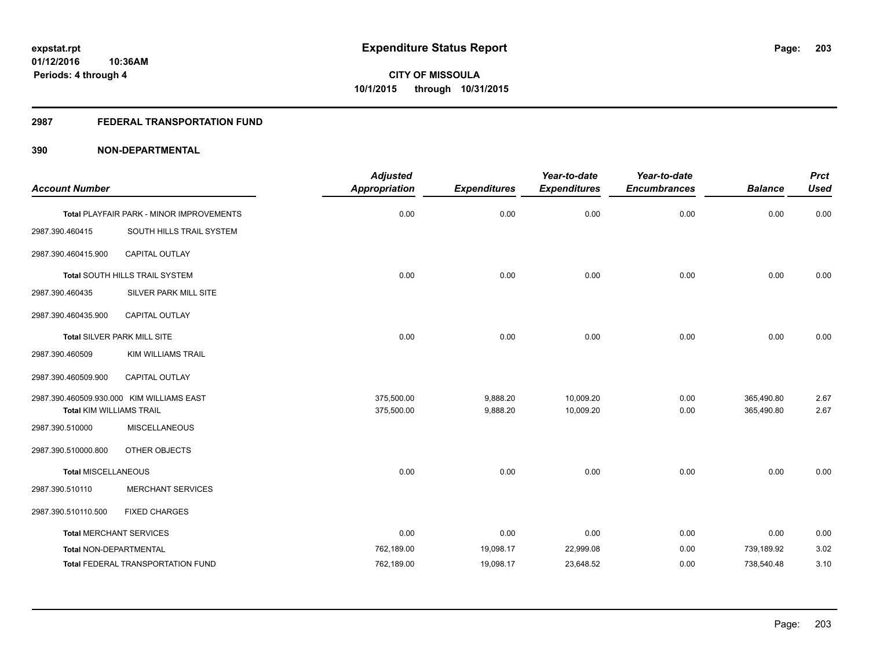# **2987 FEDERAL TRANSPORTATION FUND**

|                                 |                                           | <b>Adjusted</b>      |                     | Year-to-date        | Year-to-date        |                | <b>Prct</b> |
|---------------------------------|-------------------------------------------|----------------------|---------------------|---------------------|---------------------|----------------|-------------|
| <b>Account Number</b>           |                                           | <b>Appropriation</b> | <b>Expenditures</b> | <b>Expenditures</b> | <b>Encumbrances</b> | <b>Balance</b> | <b>Used</b> |
|                                 | Total PLAYFAIR PARK - MINOR IMPROVEMENTS  | 0.00                 | 0.00                | 0.00                | 0.00                | 0.00           | 0.00        |
| 2987.390.460415                 | SOUTH HILLS TRAIL SYSTEM                  |                      |                     |                     |                     |                |             |
| 2987.390.460415.900             | <b>CAPITAL OUTLAY</b>                     |                      |                     |                     |                     |                |             |
|                                 | <b>Total SOUTH HILLS TRAIL SYSTEM</b>     | 0.00                 | 0.00                | 0.00                | 0.00                | 0.00           | 0.00        |
| 2987.390.460435                 | SILVER PARK MILL SITE                     |                      |                     |                     |                     |                |             |
| 2987.390.460435.900             | CAPITAL OUTLAY                            |                      |                     |                     |                     |                |             |
|                                 | Total SILVER PARK MILL SITE               | 0.00                 | 0.00                | 0.00                | 0.00                | 0.00           | 0.00        |
| 2987.390.460509                 | KIM WILLIAMS TRAIL                        |                      |                     |                     |                     |                |             |
| 2987.390.460509.900             | CAPITAL OUTLAY                            |                      |                     |                     |                     |                |             |
|                                 | 2987.390.460509.930.000 KIM WILLIAMS EAST | 375,500.00           | 9,888.20            | 10,009.20           | 0.00                | 365,490.80     | 2.67        |
| <b>Total KIM WILLIAMS TRAIL</b> |                                           | 375,500.00           | 9,888.20            | 10,009.20           | 0.00                | 365,490.80     | 2.67        |
| 2987.390.510000                 | <b>MISCELLANEOUS</b>                      |                      |                     |                     |                     |                |             |
| 2987.390.510000.800             | OTHER OBJECTS                             |                      |                     |                     |                     |                |             |
| <b>Total MISCELLANEOUS</b>      |                                           | 0.00                 | 0.00                | 0.00                | 0.00                | 0.00           | 0.00        |
| 2987.390.510110                 | <b>MERCHANT SERVICES</b>                  |                      |                     |                     |                     |                |             |
| 2987.390.510110.500             | <b>FIXED CHARGES</b>                      |                      |                     |                     |                     |                |             |
| <b>Total MERCHANT SERVICES</b>  |                                           | 0.00                 | 0.00                | 0.00                | 0.00                | 0.00           | 0.00        |
| Total NON-DEPARTMENTAL          |                                           | 762,189.00           | 19,098.17           | 22,999.08           | 0.00                | 739,189.92     | 3.02        |
|                                 | <b>Total FEDERAL TRANSPORTATION FUND</b>  | 762,189.00           | 19,098.17           | 23,648.52           | 0.00                | 738,540.48     | 3.10        |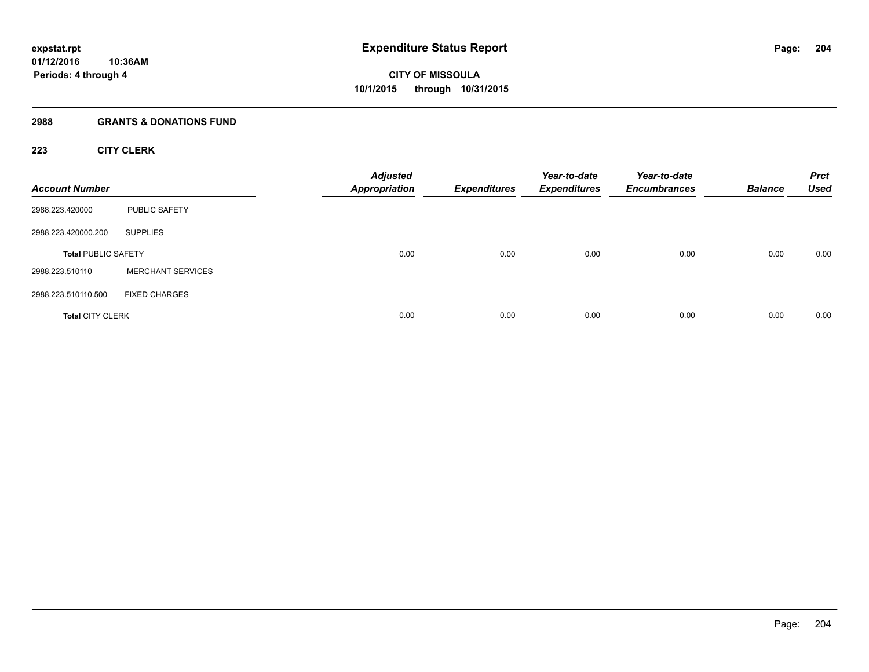# **2988 GRANTS & DONATIONS FUND**

# **223 CITY CLERK**

| <b>Account Number</b>      |                          | <b>Adjusted</b><br><b>Appropriation</b> | <b>Expenditures</b> | Year-to-date<br><b>Expenditures</b> | Year-to-date<br><b>Encumbrances</b> | <b>Balance</b> | <b>Prct</b><br><b>Used</b> |
|----------------------------|--------------------------|-----------------------------------------|---------------------|-------------------------------------|-------------------------------------|----------------|----------------------------|
| 2988.223.420000            | <b>PUBLIC SAFETY</b>     |                                         |                     |                                     |                                     |                |                            |
| 2988.223.420000.200        | <b>SUPPLIES</b>          |                                         |                     |                                     |                                     |                |                            |
| <b>Total PUBLIC SAFETY</b> |                          | 0.00                                    | 0.00                | 0.00                                | 0.00                                | 0.00           | 0.00                       |
| 2988.223.510110            | <b>MERCHANT SERVICES</b> |                                         |                     |                                     |                                     |                |                            |
| 2988.223.510110.500        | <b>FIXED CHARGES</b>     |                                         |                     |                                     |                                     |                |                            |
| <b>Total CITY CLERK</b>    |                          | 0.00                                    | 0.00                | 0.00                                | 0.00                                | 0.00           | 0.00                       |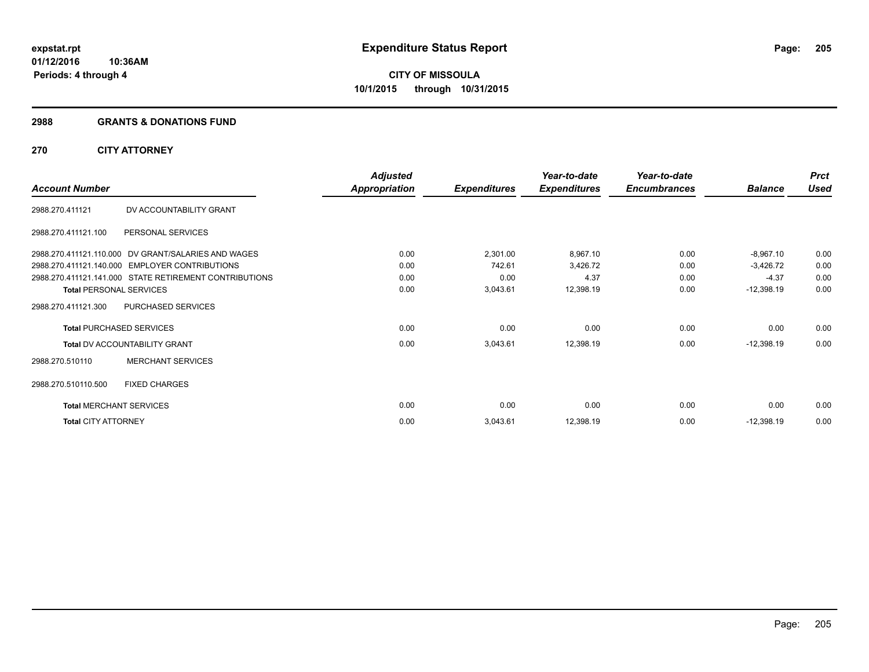#### **2988 GRANTS & DONATIONS FUND**

# **270 CITY ATTORNEY**

|                                                        | <b>Adjusted</b> |                     | Year-to-date        | Year-to-date        |                | <b>Prct</b> |
|--------------------------------------------------------|-----------------|---------------------|---------------------|---------------------|----------------|-------------|
| <b>Account Number</b>                                  | Appropriation   | <b>Expenditures</b> | <b>Expenditures</b> | <b>Encumbrances</b> | <b>Balance</b> | <b>Used</b> |
| 2988.270.411121<br>DV ACCOUNTABILITY GRANT             |                 |                     |                     |                     |                |             |
| 2988.270.411121.100<br>PERSONAL SERVICES               |                 |                     |                     |                     |                |             |
| 2988.270.411121.110.000 DV GRANT/SALARIES AND WAGES    | 0.00            | 2,301.00            | 8,967.10            | 0.00                | $-8,967.10$    | 0.00        |
| 2988.270.411121.140.000 EMPLOYER CONTRIBUTIONS         | 0.00            | 742.61              | 3,426.72            | 0.00                | $-3,426.72$    | 0.00        |
| 2988.270.411121.141.000 STATE RETIREMENT CONTRIBUTIONS | 0.00            | 0.00                | 4.37                | 0.00                | $-4.37$        | 0.00        |
| <b>Total PERSONAL SERVICES</b>                         | 0.00            | 3,043.61            | 12,398.19           | 0.00                | $-12,398.19$   | 0.00        |
| PURCHASED SERVICES<br>2988.270.411121.300              |                 |                     |                     |                     |                |             |
| <b>Total PURCHASED SERVICES</b>                        | 0.00            | 0.00                | 0.00                | 0.00                | 0.00           | 0.00        |
| <b>Total DV ACCOUNTABILITY GRANT</b>                   | 0.00            | 3,043.61            | 12,398.19           | 0.00                | $-12,398.19$   | 0.00        |
| <b>MERCHANT SERVICES</b><br>2988.270.510110            |                 |                     |                     |                     |                |             |
| <b>FIXED CHARGES</b><br>2988.270.510110.500            |                 |                     |                     |                     |                |             |
| <b>Total MERCHANT SERVICES</b>                         | 0.00            | 0.00                | 0.00                | 0.00                | 0.00           | 0.00        |
| <b>Total CITY ATTORNEY</b>                             | 0.00            | 3,043.61            | 12,398.19           | 0.00                | $-12,398.19$   | 0.00        |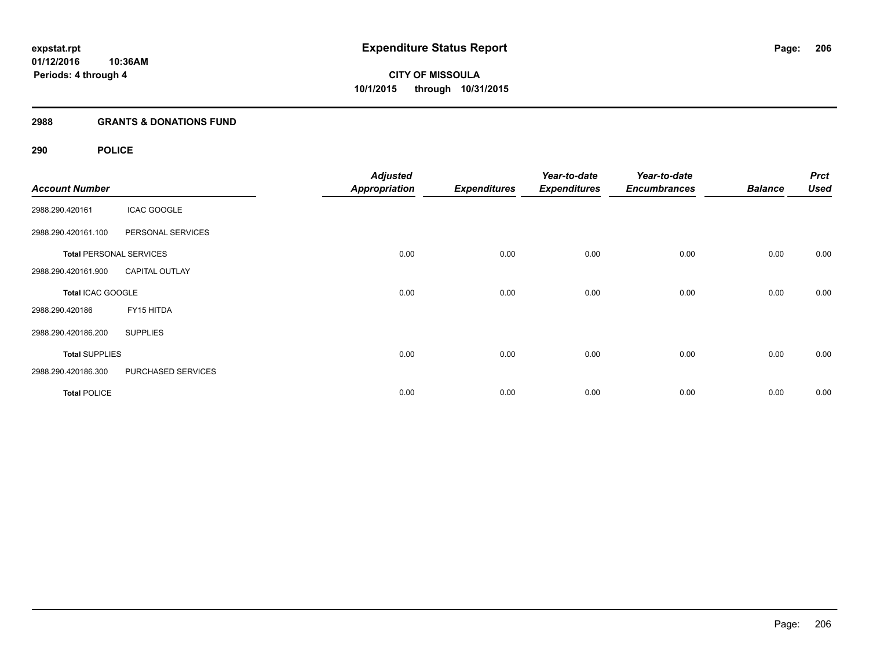# **2988 GRANTS & DONATIONS FUND**

# **290 POLICE**

| <b>Account Number</b> |                                | <b>Adjusted</b><br><b>Appropriation</b> | <b>Expenditures</b> | Year-to-date<br><b>Expenditures</b> | Year-to-date<br><b>Encumbrances</b> | <b>Balance</b> | <b>Prct</b><br><b>Used</b> |
|-----------------------|--------------------------------|-----------------------------------------|---------------------|-------------------------------------|-------------------------------------|----------------|----------------------------|
| 2988.290.420161       | <b>ICAC GOOGLE</b>             |                                         |                     |                                     |                                     |                |                            |
| 2988.290.420161.100   | PERSONAL SERVICES              |                                         |                     |                                     |                                     |                |                            |
|                       | <b>Total PERSONAL SERVICES</b> | 0.00                                    | 0.00                | 0.00                                | 0.00                                | 0.00           | 0.00                       |
| 2988.290.420161.900   | <b>CAPITAL OUTLAY</b>          |                                         |                     |                                     |                                     |                |                            |
| Total ICAC GOOGLE     |                                | 0.00                                    | 0.00                | 0.00                                | 0.00                                | 0.00           | 0.00                       |
| 2988.290.420186       | FY15 HITDA                     |                                         |                     |                                     |                                     |                |                            |
| 2988.290.420186.200   | <b>SUPPLIES</b>                |                                         |                     |                                     |                                     |                |                            |
| <b>Total SUPPLIES</b> |                                | 0.00                                    | 0.00                | 0.00                                | 0.00                                | 0.00           | 0.00                       |
| 2988.290.420186.300   | PURCHASED SERVICES             |                                         |                     |                                     |                                     |                |                            |
| <b>Total POLICE</b>   |                                | 0.00                                    | 0.00                | 0.00                                | 0.00                                | 0.00           | 0.00                       |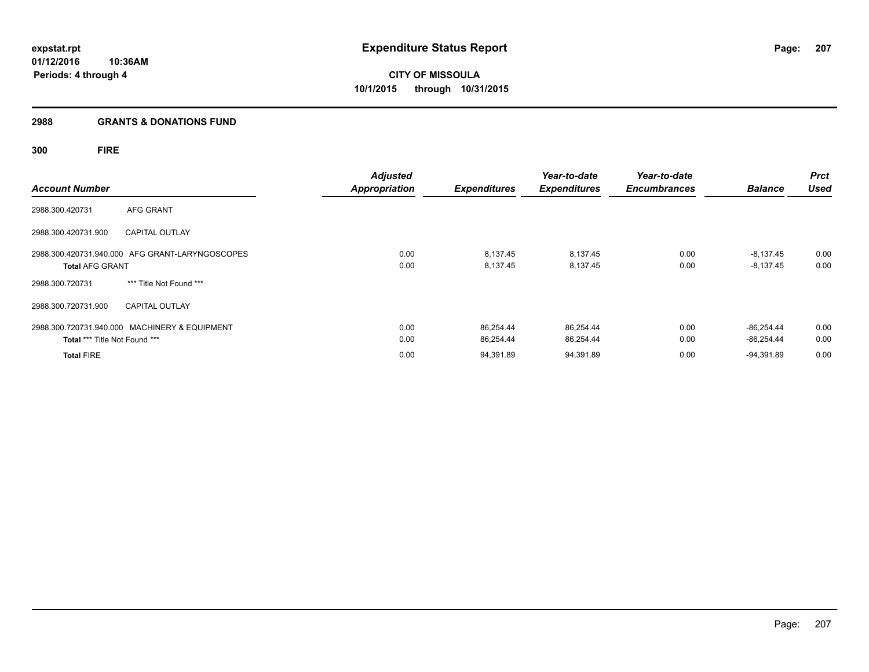# **2988 GRANTS & DONATIONS FUND**

# **300 FIRE**

| <b>Account Number</b>         |                                                 | <b>Adjusted</b><br><b>Appropriation</b> | <b>Expenditures</b>    | Year-to-date<br><b>Expenditures</b> | Year-to-date<br><b>Encumbrances</b> | <b>Balance</b>               | <b>Prct</b><br><b>Used</b> |
|-------------------------------|-------------------------------------------------|-----------------------------------------|------------------------|-------------------------------------|-------------------------------------|------------------------------|----------------------------|
| 2988.300.420731               | AFG GRANT                                       |                                         |                        |                                     |                                     |                              |                            |
| 2988.300.420731.900           | <b>CAPITAL OUTLAY</b>                           |                                         |                        |                                     |                                     |                              |                            |
| <b>Total AFG GRANT</b>        | 2988.300.420731.940.000 AFG GRANT-LARYNGOSCOPES | 0.00<br>0.00                            | 8,137.45<br>8,137.45   | 8,137.45<br>8,137.45                | 0.00<br>0.00                        | $-8,137.45$<br>$-8,137.45$   | 0.00<br>0.00               |
| 2988.300.720731               | *** Title Not Found ***                         |                                         |                        |                                     |                                     |                              |                            |
| 2988.300.720731.900           | <b>CAPITAL OUTLAY</b>                           |                                         |                        |                                     |                                     |                              |                            |
| Total *** Title Not Found *** | 2988.300.720731.940.000 MACHINERY & EQUIPMENT   | 0.00<br>0.00                            | 86.254.44<br>86,254.44 | 86,254.44<br>86,254.44              | 0.00<br>0.00                        | $-86.254.44$<br>$-86.254.44$ | 0.00<br>0.00               |
| <b>Total FIRE</b>             |                                                 | 0.00                                    | 94,391.89              | 94,391.89                           | 0.00                                | $-94,391.89$                 | 0.00                       |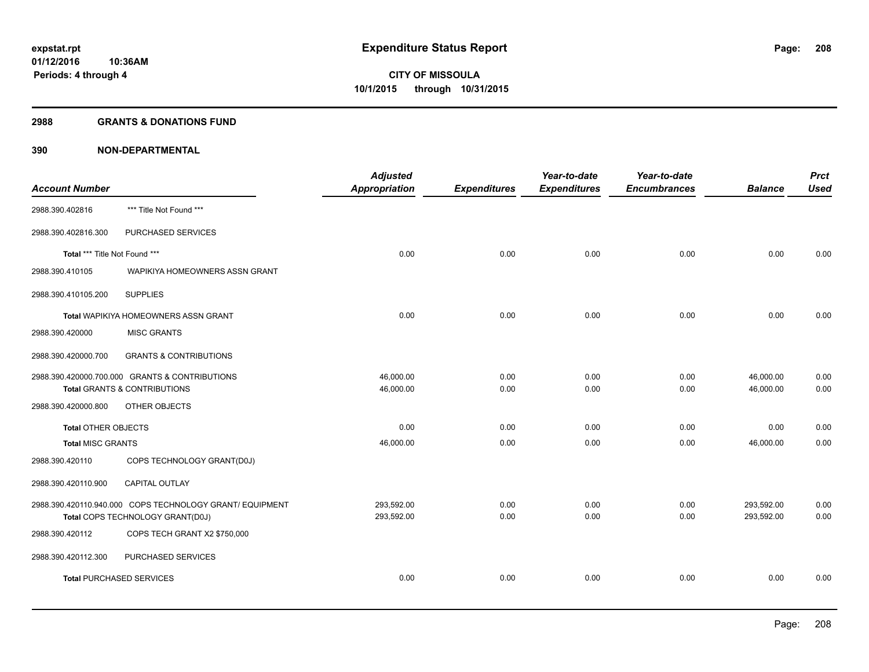#### **2988 GRANTS & DONATIONS FUND**

|                                 |                                                          | <b>Adjusted</b> |                     | Year-to-date        | Year-to-date        |                | <b>Prct</b> |
|---------------------------------|----------------------------------------------------------|-----------------|---------------------|---------------------|---------------------|----------------|-------------|
| <b>Account Number</b>           |                                                          | Appropriation   | <b>Expenditures</b> | <b>Expenditures</b> | <b>Encumbrances</b> | <b>Balance</b> | <b>Used</b> |
| 2988.390.402816                 | *** Title Not Found ***                                  |                 |                     |                     |                     |                |             |
| 2988.390.402816.300             | PURCHASED SERVICES                                       |                 |                     |                     |                     |                |             |
| Total *** Title Not Found ***   |                                                          | 0.00            | 0.00                | 0.00                | 0.00                | 0.00           | 0.00        |
| 2988.390.410105                 | WAPIKIYA HOMEOWNERS ASSN GRANT                           |                 |                     |                     |                     |                |             |
| 2988.390.410105.200             | <b>SUPPLIES</b>                                          |                 |                     |                     |                     |                |             |
|                                 | Total WAPIKIYA HOMEOWNERS ASSN GRANT                     | 0.00            | 0.00                | 0.00                | 0.00                | 0.00           | 0.00        |
| 2988.390.420000                 | <b>MISC GRANTS</b>                                       |                 |                     |                     |                     |                |             |
| 2988.390.420000.700             | <b>GRANTS &amp; CONTRIBUTIONS</b>                        |                 |                     |                     |                     |                |             |
|                                 | 2988.390.420000.700.000 GRANTS & CONTRIBUTIONS           | 46,000.00       | 0.00                | 0.00                | 0.00                | 46,000.00      | 0.00        |
|                                 | <b>Total GRANTS &amp; CONTRIBUTIONS</b>                  | 46,000.00       | 0.00                | 0.00                | 0.00                | 46,000.00      | 0.00        |
| 2988.390.420000.800             | OTHER OBJECTS                                            |                 |                     |                     |                     |                |             |
| <b>Total OTHER OBJECTS</b>      |                                                          | 0.00            | 0.00                | 0.00                | 0.00                | 0.00           | 0.00        |
| <b>Total MISC GRANTS</b>        |                                                          | 46,000.00       | 0.00                | 0.00                | 0.00                | 46,000.00      | 0.00        |
| 2988.390.420110                 | COPS TECHNOLOGY GRANT(D0J)                               |                 |                     |                     |                     |                |             |
| 2988.390.420110.900             | CAPITAL OUTLAY                                           |                 |                     |                     |                     |                |             |
|                                 | 2988.390.420110.940.000 COPS TECHNOLOGY GRANT/ EQUIPMENT | 293,592.00      | 0.00                | 0.00                | 0.00                | 293,592.00     | 0.00        |
|                                 | Total COPS TECHNOLOGY GRANT(D0J)                         | 293,592.00      | 0.00                | 0.00                | 0.00                | 293,592.00     | 0.00        |
| 2988.390.420112                 | COPS TECH GRANT X2 \$750,000                             |                 |                     |                     |                     |                |             |
| 2988.390.420112.300             | PURCHASED SERVICES                                       |                 |                     |                     |                     |                |             |
| <b>Total PURCHASED SERVICES</b> |                                                          | 0.00            | 0.00                | 0.00                | 0.00                | 0.00           | 0.00        |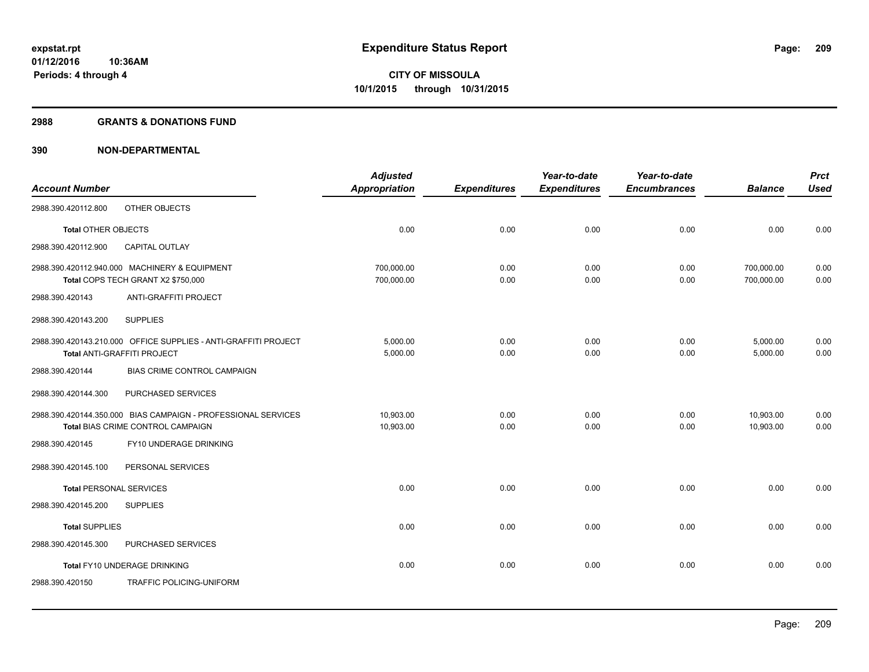#### **2988 GRANTS & DONATIONS FUND**

|                                |                                                                                                    | <b>Adjusted</b>          |                     | Year-to-date        | Year-to-date        |                          | <b>Prct</b>  |
|--------------------------------|----------------------------------------------------------------------------------------------------|--------------------------|---------------------|---------------------|---------------------|--------------------------|--------------|
| <b>Account Number</b>          |                                                                                                    | <b>Appropriation</b>     | <b>Expenditures</b> | <b>Expenditures</b> | <b>Encumbrances</b> | <b>Balance</b>           | <b>Used</b>  |
| 2988.390.420112.800            | OTHER OBJECTS                                                                                      |                          |                     |                     |                     |                          |              |
| <b>Total OTHER OBJECTS</b>     |                                                                                                    | 0.00                     | 0.00                | 0.00                | 0.00                | 0.00                     | 0.00         |
| 2988.390.420112.900            | CAPITAL OUTLAY                                                                                     |                          |                     |                     |                     |                          |              |
|                                | 2988.390.420112.940.000 MACHINERY & EQUIPMENT<br>Total COPS TECH GRANT X2 \$750,000                | 700,000.00<br>700,000.00 | 0.00<br>0.00        | 0.00<br>0.00        | 0.00<br>0.00        | 700,000.00<br>700,000.00 | 0.00<br>0.00 |
| 2988.390.420143                | ANTI-GRAFFITI PROJECT                                                                              |                          |                     |                     |                     |                          |              |
| 2988.390.420143.200            | <b>SUPPLIES</b>                                                                                    |                          |                     |                     |                     |                          |              |
|                                | 2988.390.420143.210.000 OFFICE SUPPLIES - ANTI-GRAFFITI PROJECT<br>Total ANTI-GRAFFITI PROJECT     | 5,000.00<br>5,000.00     | 0.00<br>0.00        | 0.00<br>0.00        | 0.00<br>0.00        | 5,000.00<br>5,000.00     | 0.00<br>0.00 |
| 2988.390.420144                | BIAS CRIME CONTROL CAMPAIGN                                                                        |                          |                     |                     |                     |                          |              |
| 2988.390.420144.300            | PURCHASED SERVICES                                                                                 |                          |                     |                     |                     |                          |              |
|                                | 2988.390.420144.350.000 BIAS CAMPAIGN - PROFESSIONAL SERVICES<br>Total BIAS CRIME CONTROL CAMPAIGN | 10,903.00<br>10,903.00   | 0.00<br>0.00        | 0.00<br>0.00        | 0.00<br>0.00        | 10,903.00<br>10.903.00   | 0.00<br>0.00 |
| 2988.390.420145                | FY10 UNDERAGE DRINKING                                                                             |                          |                     |                     |                     |                          |              |
| 2988.390.420145.100            | PERSONAL SERVICES                                                                                  |                          |                     |                     |                     |                          |              |
| <b>Total PERSONAL SERVICES</b> |                                                                                                    | 0.00                     | 0.00                | 0.00                | 0.00                | 0.00                     | 0.00         |
| 2988.390.420145.200            | <b>SUPPLIES</b>                                                                                    |                          |                     |                     |                     |                          |              |
| <b>Total SUPPLIES</b>          |                                                                                                    | 0.00                     | 0.00                | 0.00                | 0.00                | 0.00                     | 0.00         |
| 2988.390.420145.300            | PURCHASED SERVICES                                                                                 |                          |                     |                     |                     |                          |              |
|                                | Total FY10 UNDERAGE DRINKING                                                                       | 0.00                     | 0.00                | 0.00                | 0.00                | 0.00                     | 0.00         |
| 2988.390.420150                | TRAFFIC POLICING-UNIFORM                                                                           |                          |                     |                     |                     |                          |              |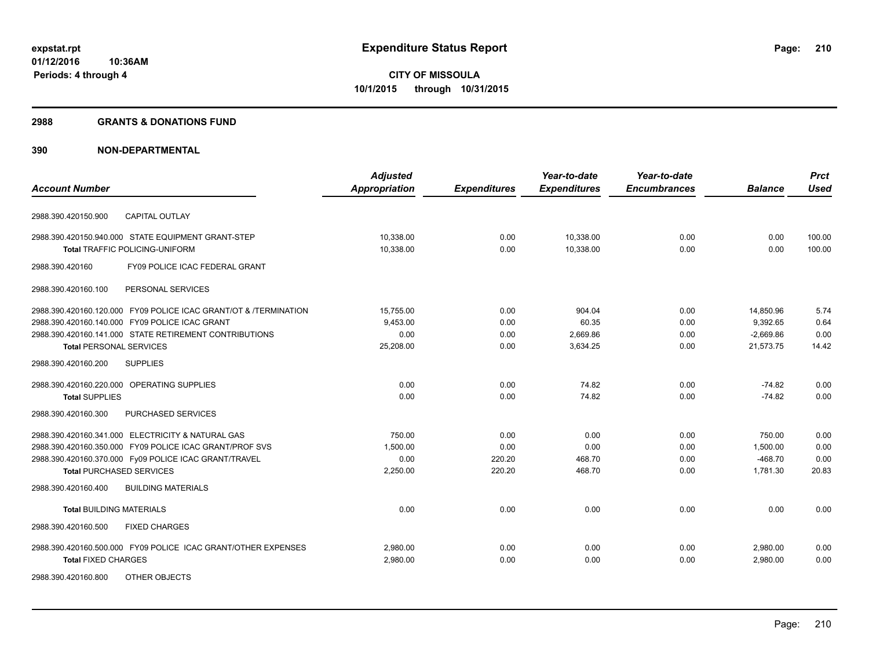#### **2988 GRANTS & DONATIONS FUND**

|                                                                  | <b>Adjusted</b>      |                     | Year-to-date        | Year-to-date        |                | <b>Prct</b> |
|------------------------------------------------------------------|----------------------|---------------------|---------------------|---------------------|----------------|-------------|
| <b>Account Number</b>                                            | <b>Appropriation</b> | <b>Expenditures</b> | <b>Expenditures</b> | <b>Encumbrances</b> | <b>Balance</b> | <b>Used</b> |
| <b>CAPITAL OUTLAY</b><br>2988.390.420150.900                     |                      |                     |                     |                     |                |             |
| 2988.390.420150.940.000 STATE EQUIPMENT GRANT-STEP               | 10,338.00            | 0.00                | 10,338.00           | 0.00                | 0.00           | 100.00      |
| <b>Total TRAFFIC POLICING-UNIFORM</b>                            | 10,338.00            | 0.00                | 10,338.00           | 0.00                | 0.00           | 100.00      |
| FY09 POLICE ICAC FEDERAL GRANT<br>2988.390.420160                |                      |                     |                     |                     |                |             |
| PERSONAL SERVICES<br>2988.390.420160.100                         |                      |                     |                     |                     |                |             |
| 2988.390.420160.120.000 FY09 POLICE ICAC GRANT/OT & /TERMINATION | 15,755.00            | 0.00                | 904.04              | 0.00                | 14,850.96      | 5.74        |
| 2988.390.420160.140.000 FY09 POLICE ICAC GRANT                   | 9,453.00             | 0.00                | 60.35               | 0.00                | 9,392.65       | 0.64        |
| 2988.390.420160.141.000 STATE RETIREMENT CONTRIBUTIONS           | 0.00                 | 0.00                | 2,669.86            | 0.00                | $-2,669.86$    | 0.00        |
| <b>Total PERSONAL SERVICES</b>                                   | 25,208.00            | 0.00                | 3,634.25            | 0.00                | 21,573.75      | 14.42       |
| <b>SUPPLIES</b><br>2988.390.420160.200                           |                      |                     |                     |                     |                |             |
| 2988.390.420160.220.000 OPERATING SUPPLIES                       | 0.00                 | 0.00                | 74.82               | 0.00                | $-74.82$       | 0.00        |
| <b>Total SUPPLIES</b>                                            | 0.00                 | 0.00                | 74.82               | 0.00                | $-74.82$       | 0.00        |
| PURCHASED SERVICES<br>2988.390.420160.300                        |                      |                     |                     |                     |                |             |
| 2988.390.420160.341.000 ELECTRICITY & NATURAL GAS                | 750.00               | 0.00                | 0.00                | 0.00                | 750.00         | 0.00        |
| 2988.390.420160.350.000 FY09 POLICE ICAC GRANT/PROF SVS          | 1,500.00             | 0.00                | 0.00                | 0.00                | 1,500.00       | 0.00        |
| 2988.390.420160.370.000 Fy09 POLICE ICAC GRANT/TRAVEL            | 0.00                 | 220.20              | 468.70              | 0.00                | $-468.70$      | 0.00        |
| <b>Total PURCHASED SERVICES</b>                                  | 2,250.00             | 220.20              | 468.70              | 0.00                | 1,781.30       | 20.83       |
| <b>BUILDING MATERIALS</b><br>2988.390.420160.400                 |                      |                     |                     |                     |                |             |
| <b>Total BUILDING MATERIALS</b>                                  | 0.00                 | 0.00                | 0.00                | 0.00                | 0.00           | 0.00        |
| <b>FIXED CHARGES</b><br>2988.390.420160.500                      |                      |                     |                     |                     |                |             |
| 2988.390.420160.500.000 FY09 POLICE ICAC GRANT/OTHER EXPENSES    | 2.980.00             | 0.00                | 0.00                | 0.00                | 2,980.00       | 0.00        |
| <b>Total FIXED CHARGES</b>                                       | 2,980.00             | 0.00                | 0.00                | 0.00                | 2,980.00       | 0.00        |
| 2988.390.420160.800<br>OTHER OBJECTS                             |                      |                     |                     |                     |                |             |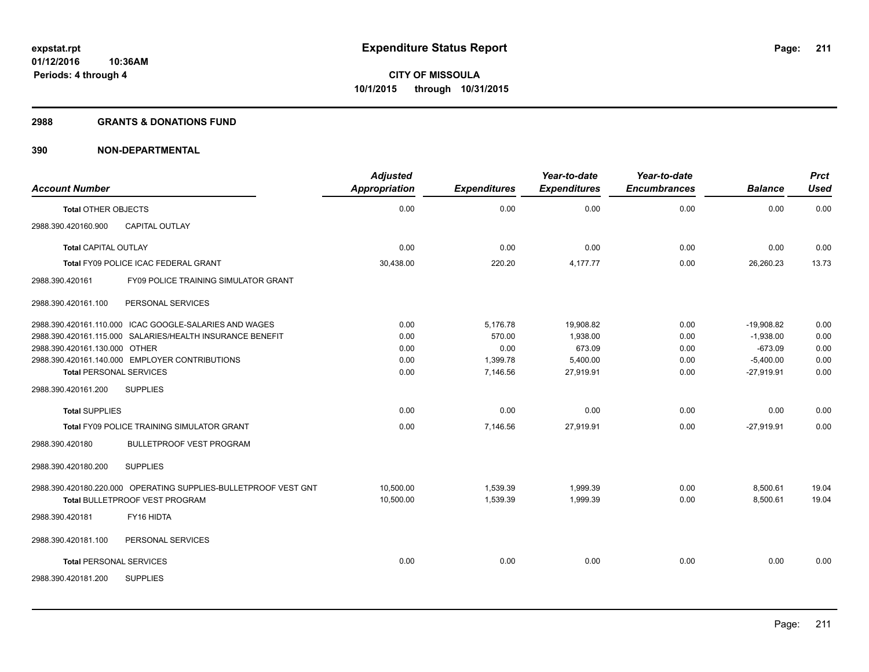#### **2988 GRANTS & DONATIONS FUND**

| <b>Account Number</b>          |                                                                                                   | <b>Adjusted</b><br><b>Appropriation</b> | <b>Expenditures</b>  | Year-to-date<br><b>Expenditures</b> | Year-to-date<br><b>Encumbrances</b> | <b>Balance</b>       | <b>Prct</b><br>Used |
|--------------------------------|---------------------------------------------------------------------------------------------------|-----------------------------------------|----------------------|-------------------------------------|-------------------------------------|----------------------|---------------------|
| <b>Total OTHER OBJECTS</b>     |                                                                                                   | 0.00                                    | 0.00                 | 0.00                                | 0.00                                | 0.00                 | 0.00                |
| 2988.390.420160.900            | <b>CAPITAL OUTLAY</b>                                                                             |                                         |                      |                                     |                                     |                      |                     |
| <b>Total CAPITAL OUTLAY</b>    |                                                                                                   | 0.00                                    | 0.00                 | 0.00                                | 0.00                                | 0.00                 | 0.00                |
|                                | Total FY09 POLICE ICAC FEDERAL GRANT                                                              | 30,438.00                               | 220.20               | 4,177.77                            | 0.00                                | 26,260.23            | 13.73               |
| 2988.390.420161                | FY09 POLICE TRAINING SIMULATOR GRANT                                                              |                                         |                      |                                     |                                     |                      |                     |
| 2988.390.420161.100            | PERSONAL SERVICES                                                                                 |                                         |                      |                                     |                                     |                      |                     |
|                                | 2988.390.420161.110.000 ICAC GOOGLE-SALARIES AND WAGES                                            | 0.00                                    | 5,176.78             | 19,908.82                           | 0.00                                | $-19,908.82$         | 0.00                |
|                                | 2988.390.420161.115.000 SALARIES/HEALTH INSURANCE BENEFIT                                         | 0.00                                    | 570.00               | 1,938.00                            | 0.00                                | $-1,938.00$          | 0.00                |
| 2988.390.420161.130.000 OTHER  |                                                                                                   | 0.00                                    | 0.00                 | 673.09                              | 0.00                                | $-673.09$            | 0.00                |
|                                | 2988.390.420161.140.000 EMPLOYER CONTRIBUTIONS                                                    | 0.00                                    | 1,399.78             | 5,400.00                            | 0.00                                | $-5,400.00$          | 0.00                |
| <b>Total PERSONAL SERVICES</b> |                                                                                                   | 0.00                                    | 7,146.56             | 27,919.91                           | 0.00                                | $-27,919.91$         | 0.00                |
| 2988.390.420161.200            | <b>SUPPLIES</b>                                                                                   |                                         |                      |                                     |                                     |                      |                     |
| <b>Total SUPPLIES</b>          |                                                                                                   | 0.00                                    | 0.00                 | 0.00                                | 0.00                                | 0.00                 | 0.00                |
|                                | Total FY09 POLICE TRAINING SIMULATOR GRANT                                                        | 0.00                                    | 7,146.56             | 27,919.91                           | 0.00                                | $-27,919.91$         | 0.00                |
| 2988.390.420180                | <b>BULLETPROOF VEST PROGRAM</b>                                                                   |                                         |                      |                                     |                                     |                      |                     |
| 2988.390.420180.200            | <b>SUPPLIES</b>                                                                                   |                                         |                      |                                     |                                     |                      |                     |
|                                | 2988.390.420180.220.000 OPERATING SUPPLIES-BULLETPROOF VEST GNT<br>Total BULLETPROOF VEST PROGRAM | 10.500.00<br>10,500.00                  | 1,539.39<br>1,539.39 | 1.999.39<br>1,999.39                | 0.00<br>0.00                        | 8,500.61<br>8,500.61 | 19.04<br>19.04      |
| 2988.390.420181                | FY16 HIDTA                                                                                        |                                         |                      |                                     |                                     |                      |                     |
| 2988.390.420181.100            | PERSONAL SERVICES                                                                                 |                                         |                      |                                     |                                     |                      |                     |
| <b>Total PERSONAL SERVICES</b> |                                                                                                   | 0.00                                    | 0.00                 | 0.00                                | 0.00                                | 0.00                 | 0.00                |
| 2988.390.420181.200            | <b>SUPPLIES</b>                                                                                   |                                         |                      |                                     |                                     |                      |                     |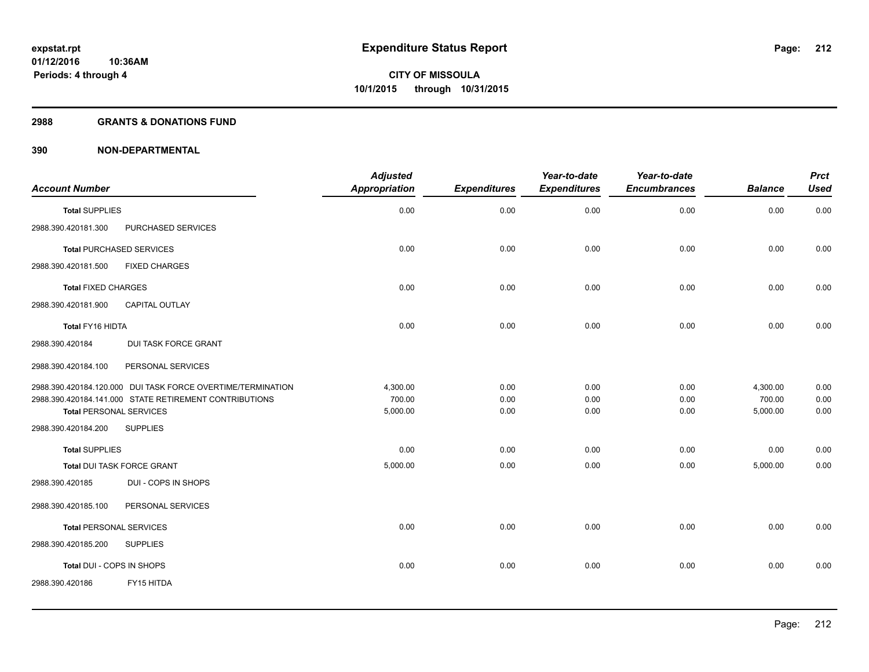#### **2988 GRANTS & DONATIONS FUND**

|                                                             | <b>Adjusted</b>      |                     | Year-to-date        | Year-to-date        |                | <b>Prct</b> |
|-------------------------------------------------------------|----------------------|---------------------|---------------------|---------------------|----------------|-------------|
| <b>Account Number</b>                                       | <b>Appropriation</b> | <b>Expenditures</b> | <b>Expenditures</b> | <b>Encumbrances</b> | <b>Balance</b> | <b>Used</b> |
| <b>Total SUPPLIES</b>                                       | 0.00                 | 0.00                | 0.00                | 0.00                | 0.00           | 0.00        |
| 2988.390.420181.300<br>PURCHASED SERVICES                   |                      |                     |                     |                     |                |             |
| <b>Total PURCHASED SERVICES</b>                             | 0.00                 | 0.00                | 0.00                | 0.00                | 0.00           | 0.00        |
| <b>FIXED CHARGES</b><br>2988.390.420181.500                 |                      |                     |                     |                     |                |             |
| <b>Total FIXED CHARGES</b>                                  | 0.00                 | 0.00                | 0.00                | 0.00                | 0.00           | 0.00        |
| <b>CAPITAL OUTLAY</b><br>2988.390.420181.900                |                      |                     |                     |                     |                |             |
| Total FY16 HIDTA                                            | 0.00                 | 0.00                | 0.00                | 0.00                | 0.00           | 0.00        |
| 2988.390.420184<br><b>DUI TASK FORCE GRANT</b>              |                      |                     |                     |                     |                |             |
| PERSONAL SERVICES<br>2988.390.420184.100                    |                      |                     |                     |                     |                |             |
| 2988.390.420184.120.000 DUI TASK FORCE OVERTIME/TERMINATION | 4,300.00             | 0.00                | 0.00                | 0.00                | 4,300.00       | 0.00        |
| 2988.390.420184.141.000 STATE RETIREMENT CONTRIBUTIONS      | 700.00               | 0.00                | 0.00                | 0.00                | 700.00         | 0.00        |
| <b>Total PERSONAL SERVICES</b>                              | 5,000.00             | 0.00                | 0.00                | 0.00                | 5,000.00       | 0.00        |
| 2988.390.420184.200<br><b>SUPPLIES</b>                      |                      |                     |                     |                     |                |             |
| <b>Total SUPPLIES</b>                                       | 0.00                 | 0.00                | 0.00                | 0.00                | 0.00           | 0.00        |
| Total DUI TASK FORCE GRANT                                  | 5,000.00             | 0.00                | 0.00                | 0.00                | 5,000.00       | 0.00        |
| DUI - COPS IN SHOPS<br>2988.390.420185                      |                      |                     |                     |                     |                |             |
| PERSONAL SERVICES<br>2988.390.420185.100                    |                      |                     |                     |                     |                |             |
| <b>Total PERSONAL SERVICES</b>                              | 0.00                 | 0.00                | 0.00                | 0.00                | 0.00           | 0.00        |
| 2988.390.420185.200<br><b>SUPPLIES</b>                      |                      |                     |                     |                     |                |             |
| Total DUI - COPS IN SHOPS                                   | 0.00                 | 0.00                | 0.00                | 0.00                | 0.00           | 0.00        |
| 2988.390.420186<br>FY15 HITDA                               |                      |                     |                     |                     |                |             |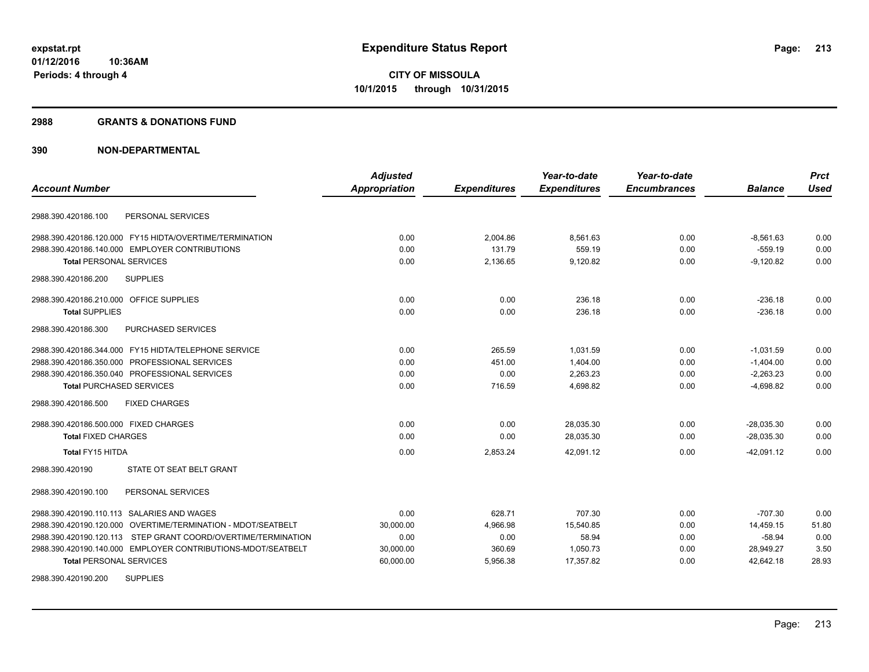#### **2988 GRANTS & DONATIONS FUND**

|                                                               | <b>Adjusted</b>      |                     | Year-to-date        | Year-to-date        |                | <b>Prct</b> |
|---------------------------------------------------------------|----------------------|---------------------|---------------------|---------------------|----------------|-------------|
| <b>Account Number</b>                                         | <b>Appropriation</b> | <b>Expenditures</b> | <b>Expenditures</b> | <b>Encumbrances</b> | <b>Balance</b> | <b>Used</b> |
| PERSONAL SERVICES<br>2988.390.420186.100                      |                      |                     |                     |                     |                |             |
| 2988.390.420186.120.000 FY15 HIDTA/OVERTIME/TERMINATION       | 0.00                 | 2,004.86            | 8,561.63            | 0.00                | $-8,561.63$    | 0.00        |
| 2988.390.420186.140.000 EMPLOYER CONTRIBUTIONS                | 0.00                 | 131.79              | 559.19              | 0.00                | $-559.19$      | 0.00        |
| <b>Total PERSONAL SERVICES</b>                                | 0.00                 | 2,136.65            | 9,120.82            | 0.00                | $-9.120.82$    | 0.00        |
| <b>SUPPLIES</b><br>2988.390.420186.200                        |                      |                     |                     |                     |                |             |
| 2988.390.420186.210.000 OFFICE SUPPLIES                       | 0.00                 | 0.00                | 236.18              | 0.00                | -236.18        | 0.00        |
| <b>Total SUPPLIES</b>                                         | 0.00                 | 0.00                | 236.18              | 0.00                | $-236.18$      | 0.00        |
| 2988.390.420186.300<br>PURCHASED SERVICES                     |                      |                     |                     |                     |                |             |
| 2988.390.420186.344.000 FY15 HIDTA/TELEPHONE SERVICE          | 0.00                 | 265.59              | 1,031.59            | 0.00                | $-1,031.59$    | 0.00        |
| 2988.390.420186.350.000 PROFESSIONAL SERVICES                 | 0.00                 | 451.00              | 1,404.00            | 0.00                | $-1,404.00$    | 0.00        |
| 2988.390.420186.350.040 PROFESSIONAL SERVICES                 | 0.00                 | 0.00                | 2,263.23            | 0.00                | $-2,263.23$    | 0.00        |
| <b>Total PURCHASED SERVICES</b>                               | 0.00                 | 716.59              | 4,698.82            | 0.00                | $-4,698.82$    | 0.00        |
| <b>FIXED CHARGES</b><br>2988.390.420186.500                   |                      |                     |                     |                     |                |             |
| 2988.390.420186.500.000 FIXED CHARGES                         | 0.00                 | 0.00                | 28,035.30           | 0.00                | $-28,035.30$   | 0.00        |
| <b>Total FIXED CHARGES</b>                                    | 0.00                 | 0.00                | 28,035.30           | 0.00                | $-28,035.30$   | 0.00        |
| Total FY15 HITDA                                              | 0.00                 | 2,853.24            | 42,091.12           | 0.00                | $-42.091.12$   | 0.00        |
| 2988.390.420190<br>STATE OT SEAT BELT GRANT                   |                      |                     |                     |                     |                |             |
| 2988.390.420190.100<br>PERSONAL SERVICES                      |                      |                     |                     |                     |                |             |
| 2988.390.420190.110.113 SALARIES AND WAGES                    | 0.00                 | 628.71              | 707.30              | 0.00                | $-707.30$      | 0.00        |
| 2988.390.420190.120.000 OVERTIME/TERMINATION - MDOT/SEATBELT  | 30,000.00            | 4,966.98            | 15,540.85           | 0.00                | 14.459.15      | 51.80       |
| 2988.390.420190.120.113 STEP GRANT COORD/OVERTIME/TERMINATION | 0.00                 | 0.00                | 58.94               | 0.00                | $-58.94$       | 0.00        |
| 2988.390.420190.140.000 EMPLOYER CONTRIBUTIONS-MDOT/SEATBELT  | 30,000.00            | 360.69              | 1,050.73            | 0.00                | 28,949.27      | 3.50        |
| <b>Total PERSONAL SERVICES</b>                                | 60,000.00            | 5,956.38            | 17,357.82           | 0.00                | 42,642.18      | 28.93       |
| <b>SUPPLIES</b><br>2988.390.420190.200                        |                      |                     |                     |                     |                |             |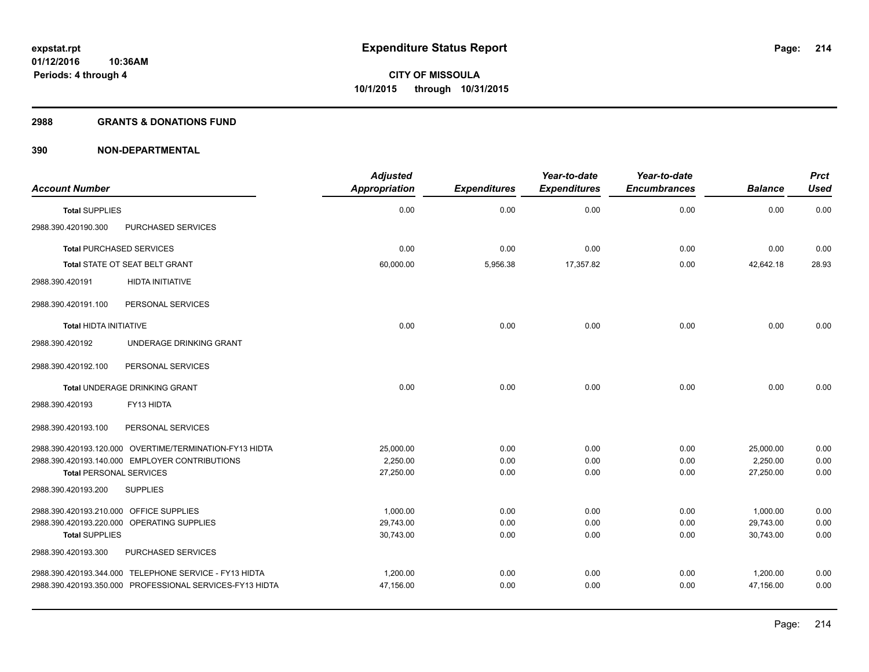#### **2988 GRANTS & DONATIONS FUND**

|                                         |                                                          | <b>Adjusted</b>      |                     | Year-to-date        | Year-to-date        |                | <b>Prct</b> |
|-----------------------------------------|----------------------------------------------------------|----------------------|---------------------|---------------------|---------------------|----------------|-------------|
| <b>Account Number</b>                   |                                                          | <b>Appropriation</b> | <b>Expenditures</b> | <b>Expenditures</b> | <b>Encumbrances</b> | <b>Balance</b> | <b>Used</b> |
| <b>Total SUPPLIES</b>                   |                                                          | 0.00                 | 0.00                | 0.00                | 0.00                | 0.00           | 0.00        |
| 2988.390.420190.300                     | PURCHASED SERVICES                                       |                      |                     |                     |                     |                |             |
| <b>Total PURCHASED SERVICES</b>         |                                                          | 0.00                 | 0.00                | 0.00                | 0.00                | 0.00           | 0.00        |
|                                         | Total STATE OT SEAT BELT GRANT                           | 60,000.00            | 5,956.38            | 17,357.82           | 0.00                | 42,642.18      | 28.93       |
| 2988.390.420191                         | <b>HIDTA INITIATIVE</b>                                  |                      |                     |                     |                     |                |             |
| 2988.390.420191.100                     | PERSONAL SERVICES                                        |                      |                     |                     |                     |                |             |
| Total HIDTA INITIATIVE                  |                                                          | 0.00                 | 0.00                | 0.00                | 0.00                | 0.00           | 0.00        |
| 2988.390.420192                         | UNDERAGE DRINKING GRANT                                  |                      |                     |                     |                     |                |             |
| 2988.390.420192.100                     | PERSONAL SERVICES                                        |                      |                     |                     |                     |                |             |
|                                         | Total UNDERAGE DRINKING GRANT                            | 0.00                 | 0.00                | 0.00                | 0.00                | 0.00           | 0.00        |
| 2988.390.420193                         | FY13 HIDTA                                               |                      |                     |                     |                     |                |             |
| 2988.390.420193.100                     | PERSONAL SERVICES                                        |                      |                     |                     |                     |                |             |
|                                         | 2988.390.420193.120.000 OVERTIME/TERMINATION-FY13 HIDTA  | 25,000.00            | 0.00                | 0.00                | 0.00                | 25,000.00      | 0.00        |
|                                         | 2988.390.420193.140.000 EMPLOYER CONTRIBUTIONS           | 2,250.00             | 0.00                | 0.00                | 0.00                | 2,250.00       | 0.00        |
| <b>Total PERSONAL SERVICES</b>          |                                                          | 27,250.00            | 0.00                | 0.00                | 0.00                | 27,250.00      | 0.00        |
| 2988.390.420193.200                     | <b>SUPPLIES</b>                                          |                      |                     |                     |                     |                |             |
| 2988.390.420193.210.000 OFFICE SUPPLIES |                                                          | 1,000.00             | 0.00                | 0.00                | 0.00                | 1,000.00       | 0.00        |
|                                         | 2988.390.420193.220.000 OPERATING SUPPLIES               | 29,743.00            | 0.00                | 0.00                | 0.00                | 29,743.00      | 0.00        |
| <b>Total SUPPLIES</b>                   |                                                          | 30,743.00            | 0.00                | 0.00                | 0.00                | 30,743.00      | 0.00        |
| 2988.390.420193.300                     | PURCHASED SERVICES                                       |                      |                     |                     |                     |                |             |
|                                         | 2988.390.420193.344.000 TELEPHONE SERVICE - FY13 HIDTA   | 1,200.00             | 0.00                | 0.00                | 0.00                | 1,200.00       | 0.00        |
|                                         | 2988.390.420193.350.000 PROFESSIONAL SERVICES-FY13 HIDTA | 47,156.00            | 0.00                | 0.00                | 0.00                | 47,156.00      | 0.00        |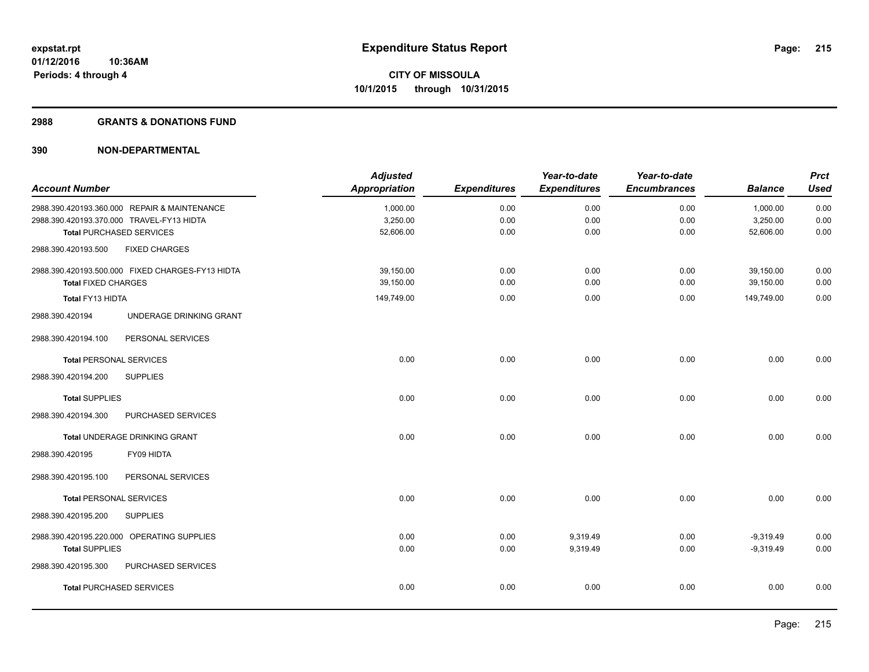#### **2988 GRANTS & DONATIONS FUND**

|                                |                                                  | <b>Adjusted</b>      |                     | Year-to-date        | Year-to-date        |                | <b>Prct</b> |
|--------------------------------|--------------------------------------------------|----------------------|---------------------|---------------------|---------------------|----------------|-------------|
| <b>Account Number</b>          |                                                  | <b>Appropriation</b> | <b>Expenditures</b> | <b>Expenditures</b> | <b>Encumbrances</b> | <b>Balance</b> | <b>Used</b> |
|                                | 2988.390.420193.360.000 REPAIR & MAINTENANCE     | 1,000.00             | 0.00                | 0.00                | 0.00                | 1,000.00       | 0.00        |
|                                | 2988.390.420193.370.000 TRAVEL-FY13 HIDTA        | 3,250.00             | 0.00                | 0.00                | 0.00                | 3,250.00       | 0.00        |
|                                | <b>Total PURCHASED SERVICES</b>                  | 52,606.00            | 0.00                | 0.00                | 0.00                | 52,606.00      | 0.00        |
| 2988.390.420193.500            | <b>FIXED CHARGES</b>                             |                      |                     |                     |                     |                |             |
|                                | 2988.390.420193.500.000 FIXED CHARGES-FY13 HIDTA | 39,150.00            | 0.00                | 0.00                | 0.00                | 39,150.00      | 0.00        |
| <b>Total FIXED CHARGES</b>     |                                                  | 39,150.00            | 0.00                | 0.00                | 0.00                | 39,150.00      | 0.00        |
| Total FY13 HIDTA               |                                                  | 149,749.00           | 0.00                | 0.00                | 0.00                | 149,749.00     | 0.00        |
| 2988.390.420194                | UNDERAGE DRINKING GRANT                          |                      |                     |                     |                     |                |             |
| 2988.390.420194.100            | PERSONAL SERVICES                                |                      |                     |                     |                     |                |             |
| <b>Total PERSONAL SERVICES</b> |                                                  | 0.00                 | 0.00                | 0.00                | 0.00                | 0.00           | 0.00        |
| 2988.390.420194.200            | <b>SUPPLIES</b>                                  |                      |                     |                     |                     |                |             |
| <b>Total SUPPLIES</b>          |                                                  | 0.00                 | 0.00                | 0.00                | 0.00                | 0.00           | 0.00        |
| 2988.390.420194.300            | PURCHASED SERVICES                               |                      |                     |                     |                     |                |             |
|                                | Total UNDERAGE DRINKING GRANT                    | 0.00                 | 0.00                | 0.00                | 0.00                | 0.00           | 0.00        |
| 2988.390.420195                | FY09 HIDTA                                       |                      |                     |                     |                     |                |             |
| 2988.390.420195.100            | PERSONAL SERVICES                                |                      |                     |                     |                     |                |             |
| <b>Total PERSONAL SERVICES</b> |                                                  | 0.00                 | 0.00                | 0.00                | 0.00                | 0.00           | 0.00        |
| 2988.390.420195.200            | <b>SUPPLIES</b>                                  |                      |                     |                     |                     |                |             |
|                                | 2988.390.420195.220.000 OPERATING SUPPLIES       | 0.00                 | 0.00                | 9,319.49            | 0.00                | $-9,319.49$    | 0.00        |
| <b>Total SUPPLIES</b>          |                                                  | 0.00                 | 0.00                | 9,319.49            | 0.00                | $-9,319.49$    | 0.00        |
| 2988.390.420195.300            | PURCHASED SERVICES                               |                      |                     |                     |                     |                |             |
|                                | <b>Total PURCHASED SERVICES</b>                  | 0.00                 | 0.00                | 0.00                | 0.00                | 0.00           | 0.00        |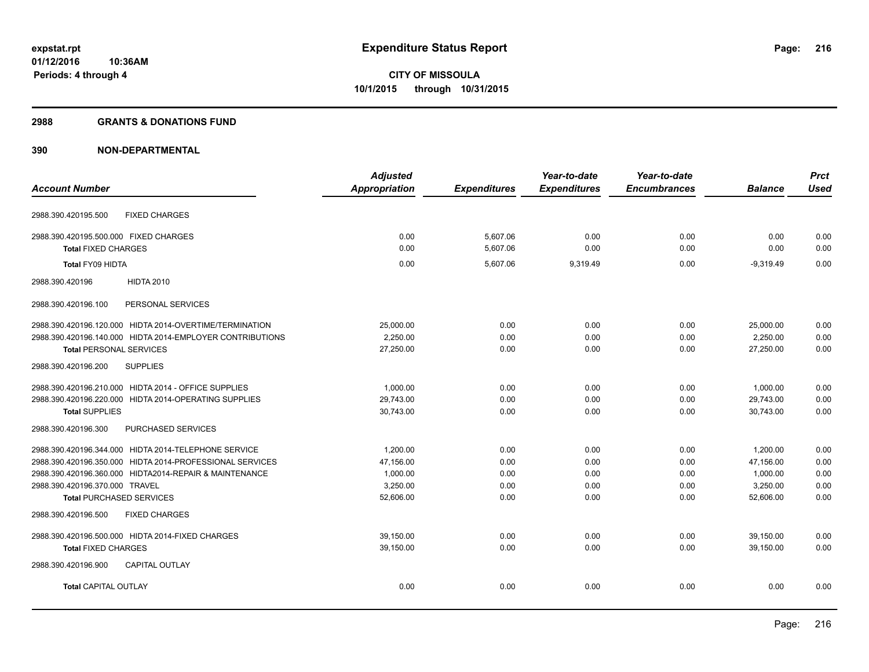#### **2988 GRANTS & DONATIONS FUND**

|                                                           | <b>Adjusted</b>      |                     | Year-to-date        | Year-to-date        |                | <b>Prct</b> |
|-----------------------------------------------------------|----------------------|---------------------|---------------------|---------------------|----------------|-------------|
| <b>Account Number</b>                                     | <b>Appropriation</b> | <b>Expenditures</b> | <b>Expenditures</b> | <b>Encumbrances</b> | <b>Balance</b> | <b>Used</b> |
| <b>FIXED CHARGES</b><br>2988.390.420195.500               |                      |                     |                     |                     |                |             |
| 2988.390.420195.500.000 FIXED CHARGES                     | 0.00                 | 5,607.06            | 0.00                | 0.00                | 0.00           | 0.00        |
| <b>Total FIXED CHARGES</b>                                | 0.00                 | 5,607.06            | 0.00                | 0.00                | 0.00           | 0.00        |
| Total FY09 HIDTA                                          | 0.00                 | 5,607.06            | 9,319.49            | 0.00                | $-9,319.49$    | 0.00        |
| <b>HIDTA 2010</b><br>2988.390.420196                      |                      |                     |                     |                     |                |             |
| 2988.390.420196.100<br>PERSONAL SERVICES                  |                      |                     |                     |                     |                |             |
| 2988.390.420196.120.000 HIDTA 2014-OVERTIME/TERMINATION   | 25,000.00            | 0.00                | 0.00                | 0.00                | 25,000.00      | 0.00        |
| 2988.390.420196.140.000 HIDTA 2014-EMPLOYER CONTRIBUTIONS | 2.250.00             | 0.00                | 0.00                | 0.00                | 2,250.00       | 0.00        |
| <b>Total PERSONAL SERVICES</b>                            | 27,250.00            | 0.00                | 0.00                | 0.00                | 27,250.00      | 0.00        |
| <b>SUPPLIES</b><br>2988.390.420196.200                    |                      |                     |                     |                     |                |             |
| 2988.390.420196.210.000 HIDTA 2014 - OFFICE SUPPLIES      | 1.000.00             | 0.00                | 0.00                | 0.00                | 1.000.00       | 0.00        |
| 2988.390.420196.220.000 HIDTA 2014-OPERATING SUPPLIES     | 29,743.00            | 0.00                | 0.00                | 0.00                | 29,743.00      | 0.00        |
| <b>Total SUPPLIES</b>                                     | 30,743.00            | 0.00                | 0.00                | 0.00                | 30,743.00      | 0.00        |
| PURCHASED SERVICES<br>2988.390.420196.300                 |                      |                     |                     |                     |                |             |
| 2988.390.420196.344.000 HIDTA 2014-TELEPHONE SERVICE      | 1,200.00             | 0.00                | 0.00                | 0.00                | 1,200.00       | 0.00        |
| 2988.390.420196.350.000 HIDTA 2014-PROFESSIONAL SERVICES  | 47.156.00            | 0.00                | 0.00                | 0.00                | 47,156.00      | 0.00        |
| 2988.390.420196.360.000 HIDTA2014-REPAIR & MAINTENANCE    | 1,000.00             | 0.00                | 0.00                | 0.00                | 1,000.00       | 0.00        |
| 2988.390.420196.370.000 TRAVEL                            | 3,250.00             | 0.00                | 0.00                | 0.00                | 3,250.00       | 0.00        |
| <b>Total PURCHASED SERVICES</b>                           | 52,606.00            | 0.00                | 0.00                | 0.00                | 52,606.00      | 0.00        |
| <b>FIXED CHARGES</b><br>2988.390.420196.500               |                      |                     |                     |                     |                |             |
| 2988.390.420196.500.000 HIDTA 2014-FIXED CHARGES          | 39,150.00            | 0.00                | 0.00                | 0.00                | 39,150.00      | 0.00        |
| <b>Total FIXED CHARGES</b>                                | 39,150.00            | 0.00                | 0.00                | 0.00                | 39,150.00      | 0.00        |
| CAPITAL OUTLAY<br>2988.390.420196.900                     |                      |                     |                     |                     |                |             |
| <b>Total CAPITAL OUTLAY</b>                               | 0.00                 | 0.00                | 0.00                | 0.00                | 0.00           | 0.00        |
|                                                           |                      |                     |                     |                     |                |             |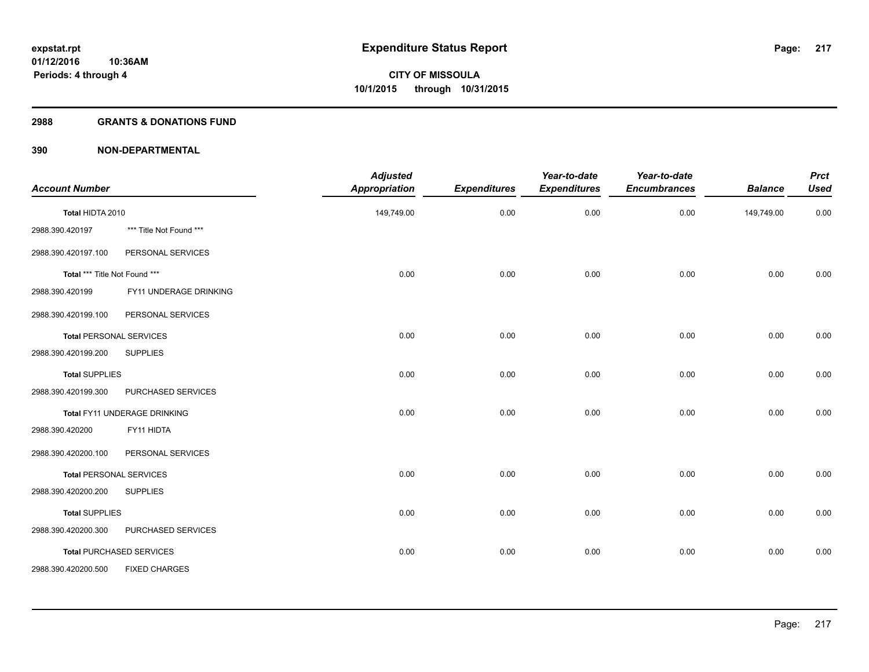#### **2988 GRANTS & DONATIONS FUND**

| <b>Account Number</b>          |                                 | <b>Adjusted</b><br><b>Appropriation</b> | <b>Expenditures</b> | Year-to-date<br><b>Expenditures</b> | Year-to-date<br><b>Encumbrances</b> | <b>Balance</b> | <b>Prct</b><br><b>Used</b> |
|--------------------------------|---------------------------------|-----------------------------------------|---------------------|-------------------------------------|-------------------------------------|----------------|----------------------------|
| Total HIDTA 2010               |                                 | 149,749.00                              | 0.00                | 0.00                                | 0.00                                | 149,749.00     | 0.00                       |
| 2988.390.420197                | *** Title Not Found ***         |                                         |                     |                                     |                                     |                |                            |
| 2988.390.420197.100            | PERSONAL SERVICES               |                                         |                     |                                     |                                     |                |                            |
| Total *** Title Not Found ***  |                                 | 0.00                                    | 0.00                | 0.00                                | 0.00                                | 0.00           | 0.00                       |
| 2988.390.420199                | FY11 UNDERAGE DRINKING          |                                         |                     |                                     |                                     |                |                            |
| 2988.390.420199.100            | PERSONAL SERVICES               |                                         |                     |                                     |                                     |                |                            |
| <b>Total PERSONAL SERVICES</b> |                                 | 0.00                                    | 0.00                | 0.00                                | 0.00                                | 0.00           | 0.00                       |
| 2988.390.420199.200            | <b>SUPPLIES</b>                 |                                         |                     |                                     |                                     |                |                            |
| <b>Total SUPPLIES</b>          |                                 | 0.00                                    | 0.00                | 0.00                                | 0.00                                | 0.00           | 0.00                       |
| 2988.390.420199.300            | PURCHASED SERVICES              |                                         |                     |                                     |                                     |                |                            |
|                                | Total FY11 UNDERAGE DRINKING    | 0.00                                    | 0.00                | 0.00                                | 0.00                                | 0.00           | 0.00                       |
| 2988.390.420200                | FY11 HIDTA                      |                                         |                     |                                     |                                     |                |                            |
| 2988.390.420200.100            | PERSONAL SERVICES               |                                         |                     |                                     |                                     |                |                            |
| <b>Total PERSONAL SERVICES</b> |                                 | 0.00                                    | 0.00                | 0.00                                | 0.00                                | 0.00           | 0.00                       |
| 2988.390.420200.200            | <b>SUPPLIES</b>                 |                                         |                     |                                     |                                     |                |                            |
| <b>Total SUPPLIES</b>          |                                 | 0.00                                    | 0.00                | 0.00                                | 0.00                                | 0.00           | 0.00                       |
| 2988.390.420200.300            | PURCHASED SERVICES              |                                         |                     |                                     |                                     |                |                            |
|                                | <b>Total PURCHASED SERVICES</b> | 0.00                                    | 0.00                | 0.00                                | 0.00                                | 0.00           | 0.00                       |
| 2988.390.420200.500            | <b>FIXED CHARGES</b>            |                                         |                     |                                     |                                     |                |                            |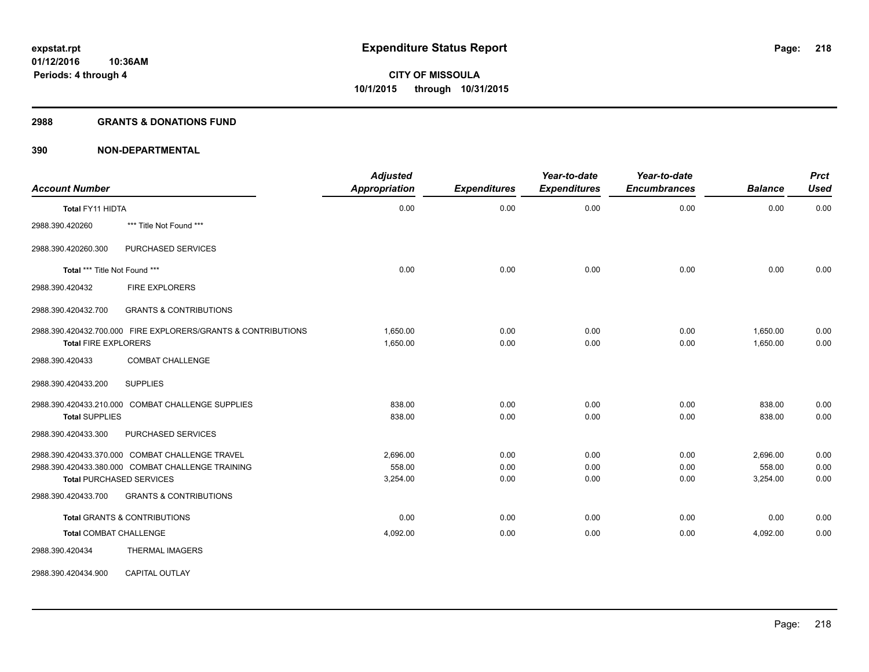#### **2988 GRANTS & DONATIONS FUND**

| <b>Account Number</b>                             |                                                               | <b>Adjusted</b><br><b>Appropriation</b> | <b>Expenditures</b> | Year-to-date<br><b>Expenditures</b> | Year-to-date<br><b>Encumbrances</b> | <b>Balance</b> | <b>Prct</b><br><b>Used</b> |
|---------------------------------------------------|---------------------------------------------------------------|-----------------------------------------|---------------------|-------------------------------------|-------------------------------------|----------------|----------------------------|
| Total FY11 HIDTA                                  |                                                               | 0.00                                    | 0.00                | 0.00                                | 0.00                                | 0.00           | 0.00                       |
| 2988.390.420260                                   | *** Title Not Found ***                                       |                                         |                     |                                     |                                     |                |                            |
| 2988.390.420260.300                               | PURCHASED SERVICES                                            |                                         |                     |                                     |                                     |                |                            |
| Total *** Title Not Found ***                     |                                                               | 0.00                                    | 0.00                | 0.00                                | 0.00                                | 0.00           | 0.00                       |
| 2988.390.420432                                   | <b>FIRE EXPLORERS</b>                                         |                                         |                     |                                     |                                     |                |                            |
| 2988.390.420432.700                               | <b>GRANTS &amp; CONTRIBUTIONS</b>                             |                                         |                     |                                     |                                     |                |                            |
|                                                   | 2988.390.420432.700.000 FIRE EXPLORERS/GRANTS & CONTRIBUTIONS | 1,650.00                                | 0.00                | 0.00                                | 0.00                                | 1,650.00       | 0.00                       |
| <b>Total FIRE EXPLORERS</b>                       |                                                               | 1,650.00                                | 0.00                | 0.00                                | 0.00                                | 1,650.00       | 0.00                       |
| 2988.390.420433                                   | <b>COMBAT CHALLENGE</b>                                       |                                         |                     |                                     |                                     |                |                            |
| 2988.390.420433.200<br><b>SUPPLIES</b>            |                                                               |                                         |                     |                                     |                                     |                |                            |
| 2988.390.420433.210.000 COMBAT CHALLENGE SUPPLIES |                                                               | 838.00                                  | 0.00                | 0.00                                | 0.00                                | 838.00         | 0.00                       |
| <b>Total SUPPLIES</b>                             |                                                               | 838.00                                  | 0.00                | 0.00                                | 0.00                                | 838.00         | 0.00                       |
| 2988.390.420433.300                               | PURCHASED SERVICES                                            |                                         |                     |                                     |                                     |                |                            |
| 2988.390.420433.370.000 COMBAT CHALLENGE TRAVEL   |                                                               | 2,696.00                                | 0.00                | 0.00                                | 0.00                                | 2,696.00       | 0.00                       |
| 2988.390.420433.380.000 COMBAT CHALLENGE TRAINING |                                                               | 558.00                                  | 0.00                | 0.00                                | 0.00                                | 558.00         | 0.00                       |
| <b>Total PURCHASED SERVICES</b>                   |                                                               | 3,254.00                                | 0.00                | 0.00                                | 0.00                                | 3,254.00       | 0.00                       |
| 2988.390.420433.700                               | <b>GRANTS &amp; CONTRIBUTIONS</b>                             |                                         |                     |                                     |                                     |                |                            |
| <b>Total GRANTS &amp; CONTRIBUTIONS</b>           |                                                               | 0.00                                    | 0.00                | 0.00                                | 0.00                                | 0.00           | 0.00                       |
| <b>Total COMBAT CHALLENGE</b>                     |                                                               | 4,092.00                                | 0.00                | 0.00                                | 0.00                                | 4,092.00       | 0.00                       |
| 2988.390.420434                                   | THERMAL IMAGERS                                               |                                         |                     |                                     |                                     |                |                            |
| 2988.390.420434.900                               | <b>CAPITAL OUTLAY</b>                                         |                                         |                     |                                     |                                     |                |                            |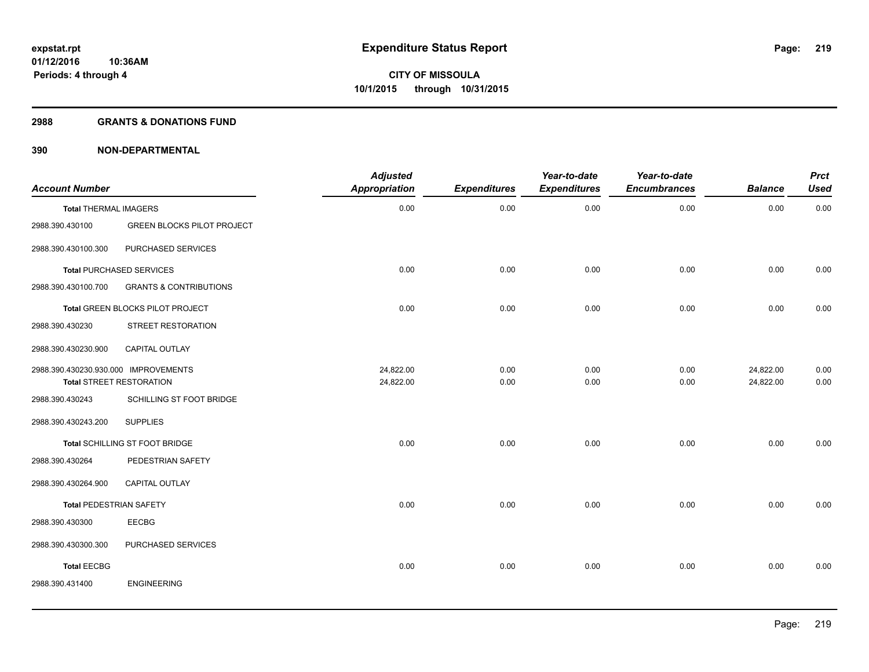#### **2988 GRANTS & DONATIONS FUND**

| <b>Account Number</b>                |                                       | <b>Adjusted</b><br>Appropriation | <b>Expenditures</b> | Year-to-date<br><b>Expenditures</b> | Year-to-date<br><b>Encumbrances</b> | <b>Balance</b> | <b>Prct</b><br><b>Used</b> |
|--------------------------------------|---------------------------------------|----------------------------------|---------------------|-------------------------------------|-------------------------------------|----------------|----------------------------|
| <b>Total THERMAL IMAGERS</b>         |                                       | 0.00                             | 0.00                | 0.00                                | 0.00                                | 0.00           | 0.00                       |
| 2988.390.430100                      | <b>GREEN BLOCKS PILOT PROJECT</b>     |                                  |                     |                                     |                                     |                |                            |
| 2988.390.430100.300                  | PURCHASED SERVICES                    |                                  |                     |                                     |                                     |                |                            |
|                                      | <b>Total PURCHASED SERVICES</b>       | 0.00                             | 0.00                | 0.00                                | 0.00                                | 0.00           | 0.00                       |
| 2988.390.430100.700                  | <b>GRANTS &amp; CONTRIBUTIONS</b>     |                                  |                     |                                     |                                     |                |                            |
|                                      | Total GREEN BLOCKS PILOT PROJECT      | 0.00                             | 0.00                | 0.00                                | 0.00                                | 0.00           | 0.00                       |
| 2988.390.430230                      | STREET RESTORATION                    |                                  |                     |                                     |                                     |                |                            |
| 2988.390.430230.900                  | CAPITAL OUTLAY                        |                                  |                     |                                     |                                     |                |                            |
| 2988.390.430230.930.000 IMPROVEMENTS |                                       | 24,822.00                        | 0.00                | 0.00                                | 0.00                                | 24,822.00      | 0.00                       |
|                                      | <b>Total STREET RESTORATION</b>       | 24,822.00                        | 0.00                | 0.00                                | 0.00                                | 24,822.00      | 0.00                       |
| 2988.390.430243                      | SCHILLING ST FOOT BRIDGE              |                                  |                     |                                     |                                     |                |                            |
| 2988.390.430243.200                  | <b>SUPPLIES</b>                       |                                  |                     |                                     |                                     |                |                            |
|                                      | <b>Total SCHILLING ST FOOT BRIDGE</b> | 0.00                             | 0.00                | 0.00                                | 0.00                                | 0.00           | 0.00                       |
| 2988.390.430264                      | PEDESTRIAN SAFETY                     |                                  |                     |                                     |                                     |                |                            |
| 2988.390.430264.900                  | CAPITAL OUTLAY                        |                                  |                     |                                     |                                     |                |                            |
| Total PEDESTRIAN SAFETY              |                                       | 0.00                             | 0.00                | 0.00                                | 0.00                                | 0.00           | 0.00                       |
| 2988.390.430300                      | <b>EECBG</b>                          |                                  |                     |                                     |                                     |                |                            |
| 2988.390.430300.300                  | PURCHASED SERVICES                    |                                  |                     |                                     |                                     |                |                            |
| <b>Total EECBG</b>                   |                                       | 0.00                             | 0.00                | 0.00                                | 0.00                                | 0.00           | 0.00                       |
| 2988.390.431400                      | <b>ENGINEERING</b>                    |                                  |                     |                                     |                                     |                |                            |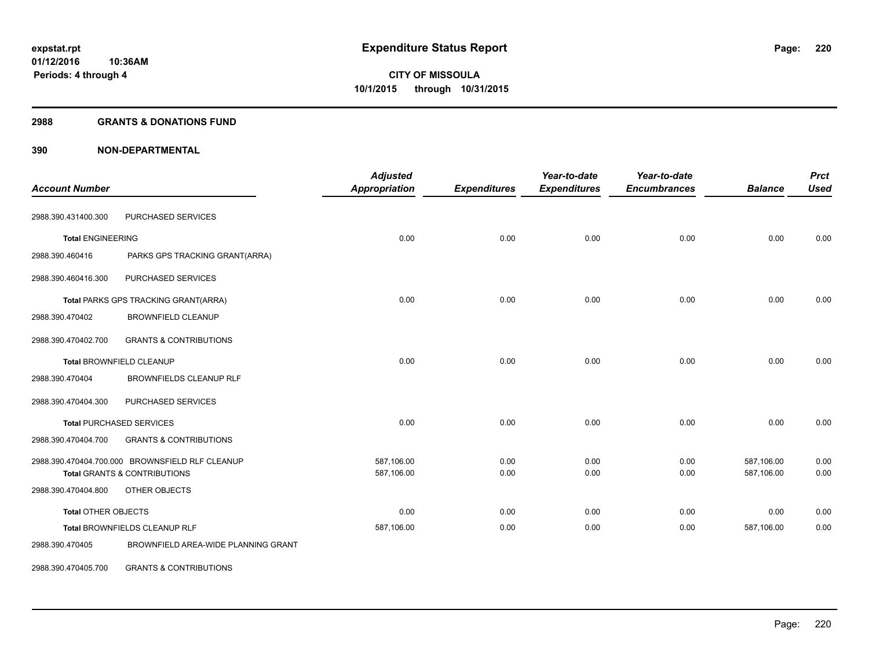#### **2988 GRANTS & DONATIONS FUND**

| <b>Account Number</b>      |                                                 | <b>Adjusted</b><br><b>Appropriation</b> | <b>Expenditures</b> | Year-to-date<br><b>Expenditures</b> | Year-to-date<br><b>Encumbrances</b> | <b>Balance</b>           | <b>Prct</b><br><b>Used</b> |
|----------------------------|-------------------------------------------------|-----------------------------------------|---------------------|-------------------------------------|-------------------------------------|--------------------------|----------------------------|
| 2988.390.431400.300        | PURCHASED SERVICES                              |                                         |                     |                                     |                                     |                          |                            |
| <b>Total ENGINEERING</b>   |                                                 | 0.00                                    | 0.00                | 0.00                                | 0.00                                | 0.00                     | 0.00                       |
| 2988.390.460416            | PARKS GPS TRACKING GRANT(ARRA)                  |                                         |                     |                                     |                                     |                          |                            |
| 2988.390.460416.300        | PURCHASED SERVICES                              |                                         |                     |                                     |                                     |                          |                            |
|                            | Total PARKS GPS TRACKING GRANT(ARRA)            | 0.00                                    | 0.00                | 0.00                                | 0.00                                | 0.00                     | 0.00                       |
| 2988.390.470402            | <b>BROWNFIELD CLEANUP</b>                       |                                         |                     |                                     |                                     |                          |                            |
| 2988.390.470402.700        | <b>GRANTS &amp; CONTRIBUTIONS</b>               |                                         |                     |                                     |                                     |                          |                            |
|                            | <b>Total BROWNFIELD CLEANUP</b>                 | 0.00                                    | 0.00                | 0.00                                | 0.00                                | 0.00                     | 0.00                       |
| 2988.390.470404            | <b>BROWNFIELDS CLEANUP RLF</b>                  |                                         |                     |                                     |                                     |                          |                            |
| 2988.390.470404.300        | PURCHASED SERVICES                              |                                         |                     |                                     |                                     |                          |                            |
|                            | <b>Total PURCHASED SERVICES</b>                 | 0.00                                    | 0.00                | 0.00                                | 0.00                                | 0.00                     | 0.00                       |
| 2988.390.470404.700        | <b>GRANTS &amp; CONTRIBUTIONS</b>               |                                         |                     |                                     |                                     |                          |                            |
|                            | 2988.390.470404.700.000 BROWNSFIELD RLF CLEANUP | 587,106.00<br>587,106.00                | 0.00<br>0.00        | 0.00<br>0.00                        | 0.00<br>0.00                        | 587,106.00<br>587,106.00 | 0.00<br>0.00               |
| 2988.390.470404.800        | Total GRANTS & CONTRIBUTIONS<br>OTHER OBJECTS   |                                         |                     |                                     |                                     |                          |                            |
| <b>Total OTHER OBJECTS</b> |                                                 | 0.00                                    | 0.00                | 0.00                                | 0.00                                | 0.00                     | 0.00                       |
|                            | Total BROWNFIELDS CLEANUP RLF                   | 587,106.00                              | 0.00                | 0.00                                | 0.00                                | 587,106.00               | 0.00                       |
| 2988.390.470405            | BROWNFIELD AREA-WIDE PLANNING GRANT             |                                         |                     |                                     |                                     |                          |                            |
| 2988.390.470405.700        | <b>GRANTS &amp; CONTRIBUTIONS</b>               |                                         |                     |                                     |                                     |                          |                            |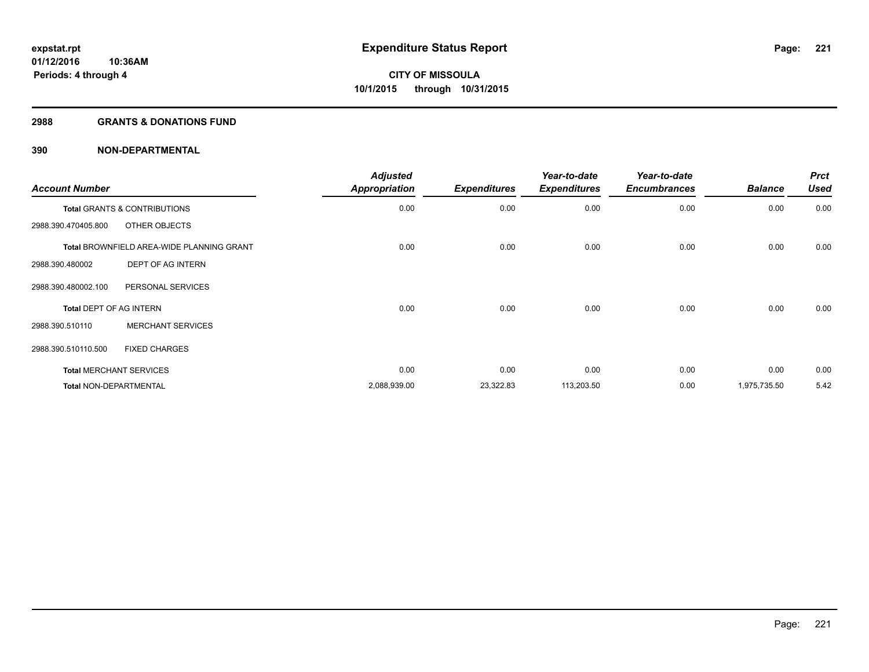#### **2988 GRANTS & DONATIONS FUND**

| <b>Account Number</b>          |                                                  | <b>Adjusted</b><br><b>Appropriation</b> | <b>Expenditures</b> | Year-to-date<br><b>Expenditures</b> | Year-to-date<br><b>Encumbrances</b> | <b>Balance</b> | <b>Prct</b><br><b>Used</b> |
|--------------------------------|--------------------------------------------------|-----------------------------------------|---------------------|-------------------------------------|-------------------------------------|----------------|----------------------------|
|                                | <b>Total GRANTS &amp; CONTRIBUTIONS</b>          | 0.00                                    | 0.00                | 0.00                                | 0.00                                | 0.00           | 0.00                       |
| 2988.390.470405.800            | OTHER OBJECTS                                    |                                         |                     |                                     |                                     |                |                            |
|                                | <b>Total BROWNFIELD AREA-WIDE PLANNING GRANT</b> | 0.00                                    | 0.00                | 0.00                                | 0.00                                | 0.00           | 0.00                       |
| 2988.390.480002                | DEPT OF AG INTERN                                |                                         |                     |                                     |                                     |                |                            |
| 2988.390.480002.100            | PERSONAL SERVICES                                |                                         |                     |                                     |                                     |                |                            |
| <b>Total DEPT OF AG INTERN</b> |                                                  | 0.00                                    | 0.00                | 0.00                                | 0.00                                | 0.00           | 0.00                       |
| 2988.390.510110                | <b>MERCHANT SERVICES</b>                         |                                         |                     |                                     |                                     |                |                            |
| 2988.390.510110.500            | <b>FIXED CHARGES</b>                             |                                         |                     |                                     |                                     |                |                            |
|                                | <b>Total MERCHANT SERVICES</b>                   | 0.00                                    | 0.00                | 0.00                                | 0.00                                | 0.00           | 0.00                       |
| <b>Total NON-DEPARTMENTAL</b>  |                                                  | 2,088,939.00                            | 23,322.83           | 113,203.50                          | 0.00                                | 1,975,735.50   | 5.42                       |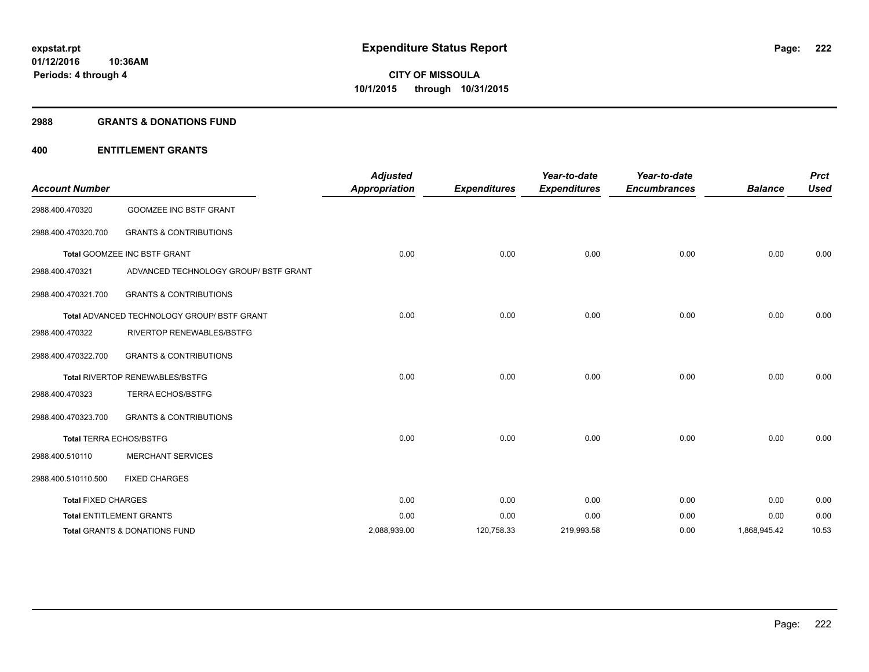#### **2988 GRANTS & DONATIONS FUND**

#### **400 ENTITLEMENT GRANTS**

| <b>Account Number</b>      |                                                    | <b>Adjusted</b><br><b>Appropriation</b> | <b>Expenditures</b> | Year-to-date<br><b>Expenditures</b> | Year-to-date<br><b>Encumbrances</b> | <b>Balance</b> | <b>Prct</b><br><b>Used</b> |
|----------------------------|----------------------------------------------------|-----------------------------------------|---------------------|-------------------------------------|-------------------------------------|----------------|----------------------------|
| 2988.400.470320            | <b>GOOMZEE INC BSTF GRANT</b>                      |                                         |                     |                                     |                                     |                |                            |
| 2988.400.470320.700        | <b>GRANTS &amp; CONTRIBUTIONS</b>                  |                                         |                     |                                     |                                     |                |                            |
|                            | Total GOOMZEE INC BSTF GRANT                       | 0.00                                    | 0.00                | 0.00                                | 0.00                                | 0.00           | 0.00                       |
| 2988.400.470321            | ADVANCED TECHNOLOGY GROUP/ BSTF GRANT              |                                         |                     |                                     |                                     |                |                            |
| 2988.400.470321.700        | <b>GRANTS &amp; CONTRIBUTIONS</b>                  |                                         |                     |                                     |                                     |                |                            |
|                            | <b>Total ADVANCED TECHNOLOGY GROUP/ BSTF GRANT</b> | 0.00                                    | 0.00                | 0.00                                | 0.00                                | 0.00           | 0.00                       |
| 2988.400.470322            | RIVERTOP RENEWABLES/BSTFG                          |                                         |                     |                                     |                                     |                |                            |
| 2988.400.470322.700        | <b>GRANTS &amp; CONTRIBUTIONS</b>                  |                                         |                     |                                     |                                     |                |                            |
|                            | Total RIVERTOP RENEWABLES/BSTFG                    | 0.00                                    | 0.00                | 0.00                                | 0.00                                | 0.00           | 0.00                       |
| 2988.400.470323            | <b>TERRA ECHOS/BSTFG</b>                           |                                         |                     |                                     |                                     |                |                            |
| 2988.400.470323.700        | <b>GRANTS &amp; CONTRIBUTIONS</b>                  |                                         |                     |                                     |                                     |                |                            |
|                            | <b>Total TERRA ECHOS/BSTFG</b>                     | 0.00                                    | 0.00                | 0.00                                | 0.00                                | 0.00           | 0.00                       |
| 2988.400.510110            | <b>MERCHANT SERVICES</b>                           |                                         |                     |                                     |                                     |                |                            |
| 2988.400.510110.500        | <b>FIXED CHARGES</b>                               |                                         |                     |                                     |                                     |                |                            |
| <b>Total FIXED CHARGES</b> |                                                    | 0.00                                    | 0.00                | 0.00                                | 0.00                                | 0.00           | 0.00                       |
|                            | <b>Total ENTITLEMENT GRANTS</b>                    | 0.00                                    | 0.00                | 0.00                                | 0.00                                | 0.00           | 0.00                       |
|                            | Total GRANTS & DONATIONS FUND                      | 2,088,939.00                            | 120,758.33          | 219,993.58                          | 0.00                                | 1,868,945.42   | 10.53                      |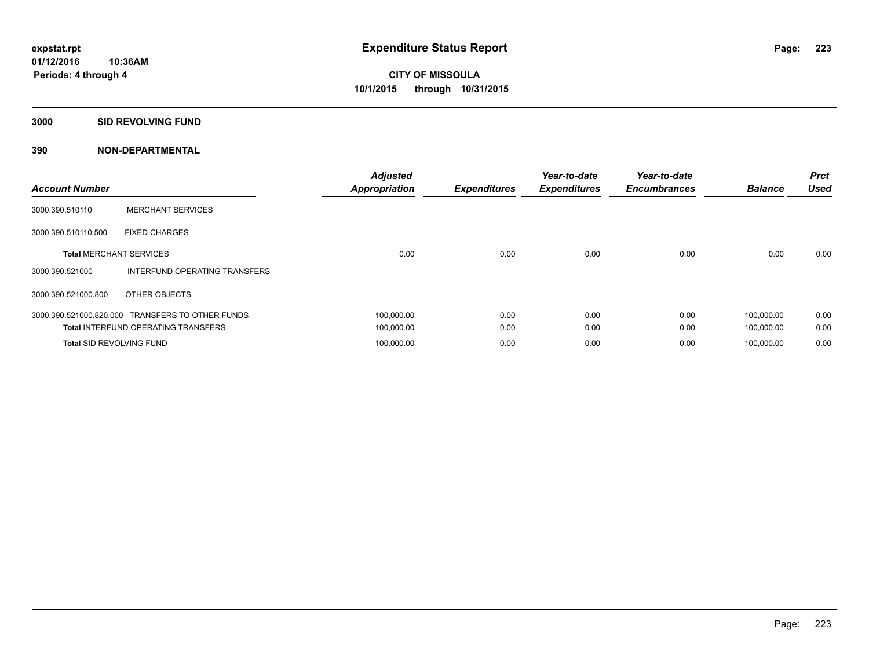#### **3000 SID REVOLVING FUND**

| <b>Account Number</b>           |                                                  | <b>Adjusted</b><br><b>Appropriation</b> | <b>Expenditures</b> | Year-to-date<br><b>Expenditures</b> | Year-to-date<br><b>Encumbrances</b> | <b>Balance</b> | <b>Prct</b><br><b>Used</b> |
|---------------------------------|--------------------------------------------------|-----------------------------------------|---------------------|-------------------------------------|-------------------------------------|----------------|----------------------------|
| 3000.390.510110                 | <b>MERCHANT SERVICES</b>                         |                                         |                     |                                     |                                     |                |                            |
| 3000.390.510110.500             | <b>FIXED CHARGES</b>                             |                                         |                     |                                     |                                     |                |                            |
| <b>Total MERCHANT SERVICES</b>  |                                                  | 0.00                                    | 0.00                | 0.00                                | 0.00                                | 0.00           | 0.00                       |
| 3000.390.521000                 | INTERFUND OPERATING TRANSFERS                    |                                         |                     |                                     |                                     |                |                            |
| 3000.390.521000.800             | OTHER OBJECTS                                    |                                         |                     |                                     |                                     |                |                            |
|                                 | 3000.390.521000.820.000 TRANSFERS TO OTHER FUNDS | 100,000.00                              | 0.00                | 0.00                                | 0.00                                | 100,000.00     | 0.00                       |
|                                 | <b>Total INTERFUND OPERATING TRANSFERS</b>       | 100,000.00                              | 0.00                | 0.00                                | 0.00                                | 100,000.00     | 0.00                       |
| <b>Total SID REVOLVING FUND</b> |                                                  | 100,000.00                              | 0.00                | 0.00                                | 0.00                                | 100.000.00     | 0.00                       |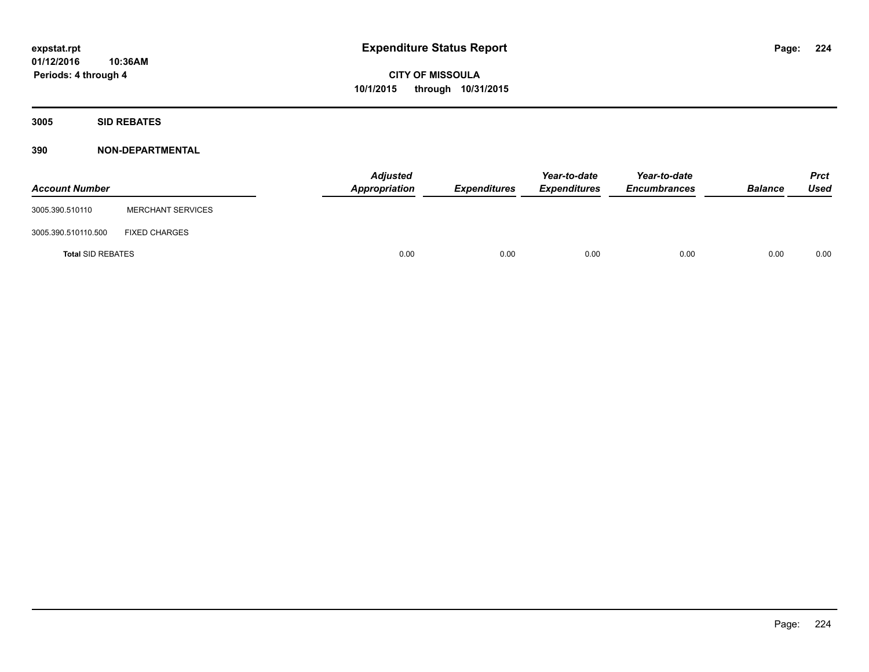**3005 SID REBATES**

| <b>Account Number</b>    |                          | <b>Adjusted</b><br>Appropriation | Expenditures | Year-to-date<br><b>Expenditures</b> | Year-to-date<br><b>Encumbrances</b> | <b>Balance</b> | <b>Prct</b><br>Used |
|--------------------------|--------------------------|----------------------------------|--------------|-------------------------------------|-------------------------------------|----------------|---------------------|
| 3005.390.510110          | <b>MERCHANT SERVICES</b> |                                  |              |                                     |                                     |                |                     |
| 3005.390.510110.500      | <b>FIXED CHARGES</b>     |                                  |              |                                     |                                     |                |                     |
| <b>Total SID REBATES</b> |                          | 0.00                             | 0.00         | 0.00                                | 0.00                                | 0.00           | 0.00                |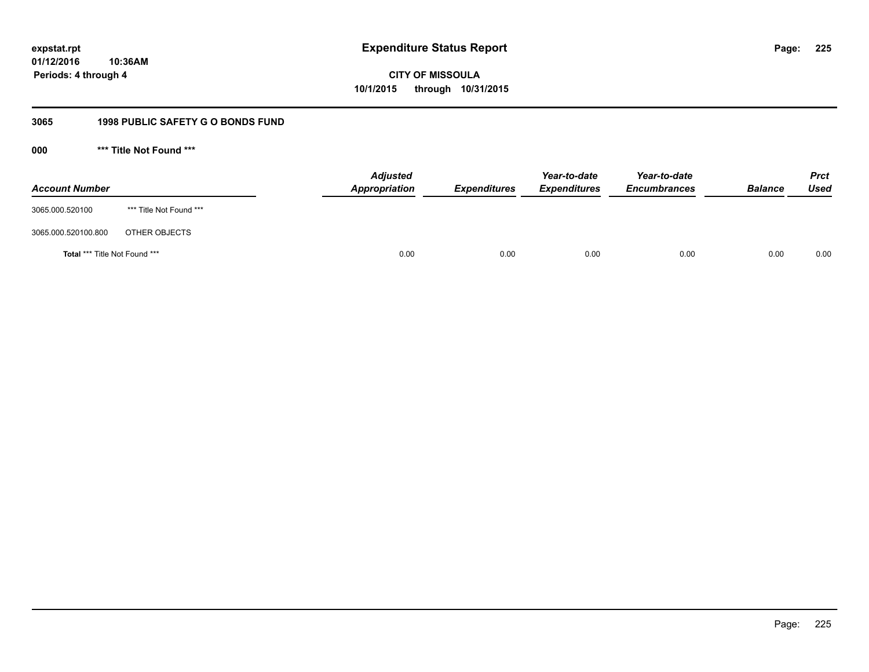### **01/12/2016 10:36AM**

**Periods: 4 through 4**

**CITY OF MISSOULA 10/1/2015 through 10/31/2015**

### **3065 1998 PUBLIC SAFETY G O BONDS FUND**

**000 \*\*\* Title Not Found \*\*\***

| <b>Account Number</b>         |                         | <b>Adjusted</b><br>Appropriation | <b>Expenditures</b> | Year-to-date<br><b>Expenditures</b> | Year-to-date<br><b>Encumbrances</b> | <b>Balance</b> | <b>Prct</b><br><b>Used</b> |
|-------------------------------|-------------------------|----------------------------------|---------------------|-------------------------------------|-------------------------------------|----------------|----------------------------|
| 3065.000.520100               | *** Title Not Found *** |                                  |                     |                                     |                                     |                |                            |
| 3065.000.520100.800           | OTHER OBJECTS           |                                  |                     |                                     |                                     |                |                            |
| Total *** Title Not Found *** |                         | 0.00                             | 0.00                | 0.00                                | 0.00                                | 0.00           | 0.00                       |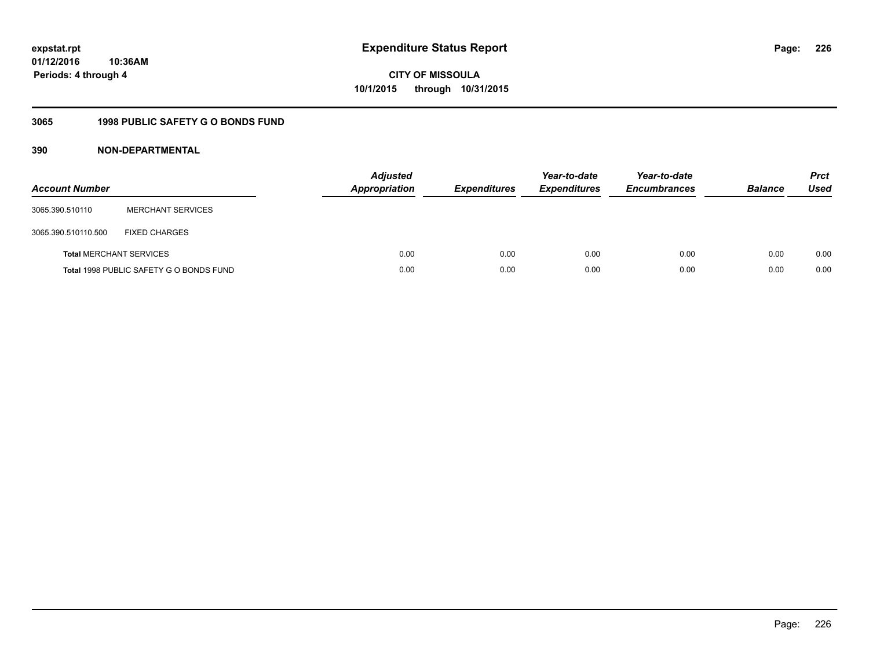**226**

**01/12/2016 10:36AM Periods: 4 through 4**

# **CITY OF MISSOULA 10/1/2015 through 10/31/2015**

### **3065 1998 PUBLIC SAFETY G O BONDS FUND**

| <b>Account Number</b>          |                                         | <b>Adjusted</b><br>Appropriation | <b>Expenditures</b> | Year-to-date<br><b>Expenditures</b> | Year-to-date<br><b>Encumbrances</b> | <b>Balance</b> | <b>Prct</b><br>Used |
|--------------------------------|-----------------------------------------|----------------------------------|---------------------|-------------------------------------|-------------------------------------|----------------|---------------------|
| 3065.390.510110                | <b>MERCHANT SERVICES</b>                |                                  |                     |                                     |                                     |                |                     |
| 3065.390.510110.500            | <b>FIXED CHARGES</b>                    |                                  |                     |                                     |                                     |                |                     |
| <b>Total MERCHANT SERVICES</b> |                                         | 0.00                             | 0.00                | 0.00                                | 0.00                                | 0.00           | 0.00                |
|                                | Total 1998 PUBLIC SAFETY G O BONDS FUND | 0.00                             | 0.00                | 0.00                                | 0.00                                | 0.00           | 0.00                |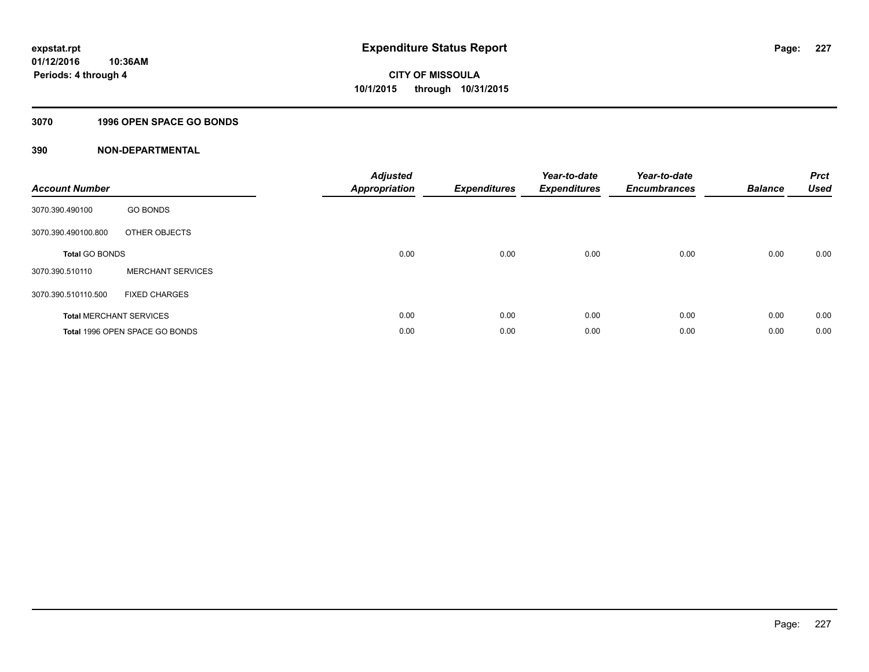### **3070 1996 OPEN SPACE GO BONDS**

| <b>Account Number</b> |                                | <b>Adjusted</b><br><b>Appropriation</b> | <b>Expenditures</b> | Year-to-date<br><b>Expenditures</b> | Year-to-date<br><b>Encumbrances</b> | <b>Balance</b> | <b>Prct</b><br><b>Used</b> |
|-----------------------|--------------------------------|-----------------------------------------|---------------------|-------------------------------------|-------------------------------------|----------------|----------------------------|
| 3070.390.490100       | <b>GO BONDS</b>                |                                         |                     |                                     |                                     |                |                            |
| 3070.390.490100.800   | OTHER OBJECTS                  |                                         |                     |                                     |                                     |                |                            |
| <b>Total GO BONDS</b> |                                | 0.00                                    | 0.00                | 0.00                                | 0.00                                | 0.00           | 0.00                       |
| 3070.390.510110       | <b>MERCHANT SERVICES</b>       |                                         |                     |                                     |                                     |                |                            |
| 3070.390.510110.500   | <b>FIXED CHARGES</b>           |                                         |                     |                                     |                                     |                |                            |
|                       | <b>Total MERCHANT SERVICES</b> | 0.00                                    | 0.00                | 0.00                                | 0.00                                | 0.00           | 0.00                       |
|                       | Total 1996 OPEN SPACE GO BONDS | 0.00                                    | 0.00                | 0.00                                | 0.00                                | 0.00           | 0.00                       |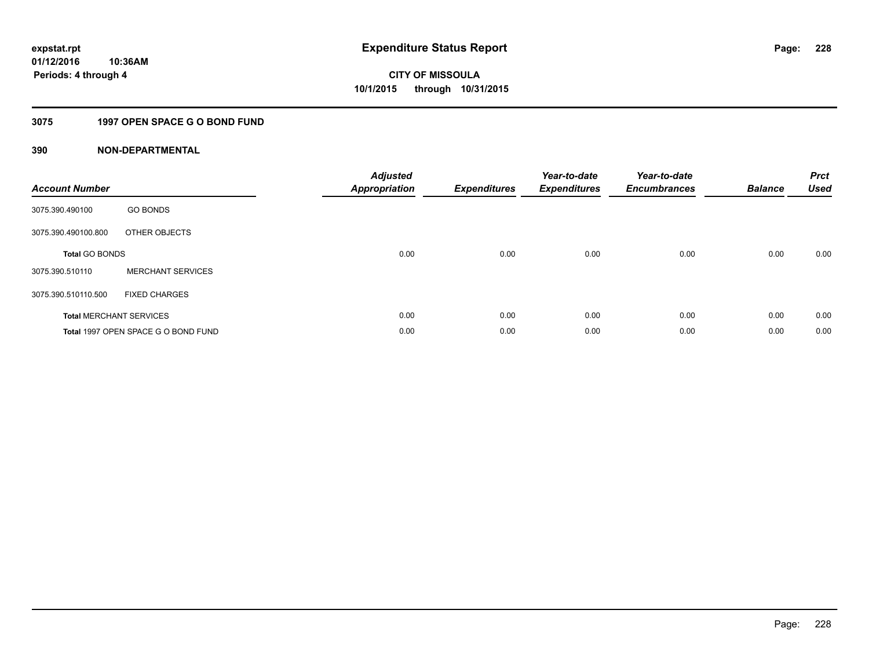### **3075 1997 OPEN SPACE G O BOND FUND**

| <b>Account Number</b> |                                     | <b>Adjusted</b><br>Appropriation | <b>Expenditures</b> | Year-to-date<br><b>Expenditures</b> | Year-to-date<br><b>Encumbrances</b> | <b>Balance</b> | <b>Prct</b><br><b>Used</b> |
|-----------------------|-------------------------------------|----------------------------------|---------------------|-------------------------------------|-------------------------------------|----------------|----------------------------|
| 3075.390.490100       | <b>GO BONDS</b>                     |                                  |                     |                                     |                                     |                |                            |
| 3075.390.490100.800   | OTHER OBJECTS                       |                                  |                     |                                     |                                     |                |                            |
| <b>Total GO BONDS</b> |                                     | 0.00                             | 0.00                | 0.00                                | 0.00                                | 0.00           | 0.00                       |
| 3075.390.510110       | <b>MERCHANT SERVICES</b>            |                                  |                     |                                     |                                     |                |                            |
| 3075.390.510110.500   | <b>FIXED CHARGES</b>                |                                  |                     |                                     |                                     |                |                            |
|                       | <b>Total MERCHANT SERVICES</b>      | 0.00                             | 0.00                | 0.00                                | 0.00                                | 0.00           | 0.00                       |
|                       | Total 1997 OPEN SPACE G O BOND FUND | 0.00                             | 0.00                | 0.00                                | 0.00                                | 0.00           | 0.00                       |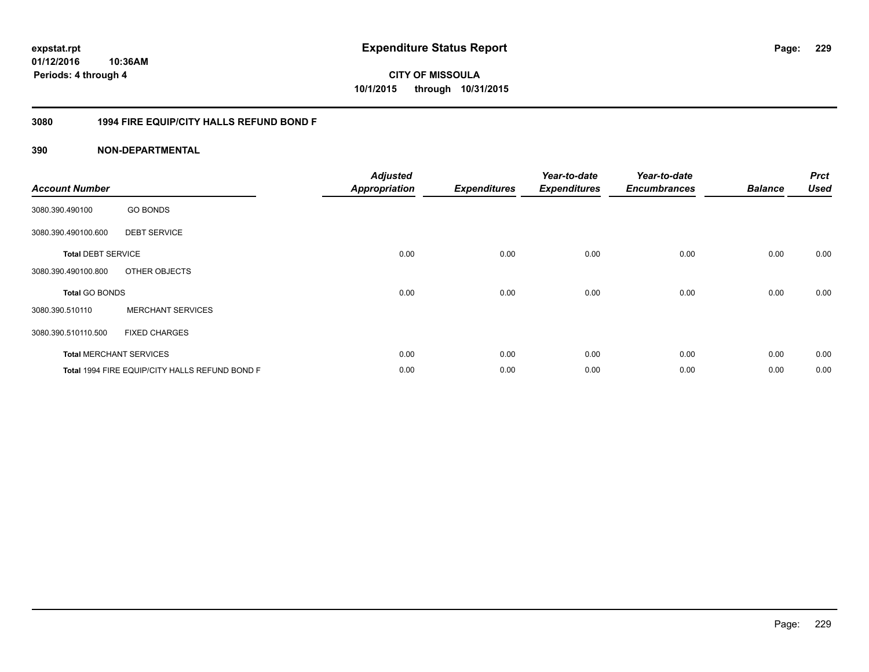# **01/12/2016**

**229**

**10:36AM Periods: 4 through 4**

# **CITY OF MISSOULA 10/1/2015 through 10/31/2015**

#### **3080 1994 FIRE EQUIP/CITY HALLS REFUND BOND F**

| <b>Account Number</b>     |                                                | <b>Adjusted</b><br><b>Appropriation</b> | <b>Expenditures</b> | Year-to-date<br><b>Expenditures</b> | Year-to-date<br><b>Encumbrances</b> | <b>Balance</b> | <b>Prct</b><br><b>Used</b> |
|---------------------------|------------------------------------------------|-----------------------------------------|---------------------|-------------------------------------|-------------------------------------|----------------|----------------------------|
| 3080.390.490100           | <b>GO BONDS</b>                                |                                         |                     |                                     |                                     |                |                            |
| 3080.390.490100.600       | <b>DEBT SERVICE</b>                            |                                         |                     |                                     |                                     |                |                            |
| <b>Total DEBT SERVICE</b> |                                                | 0.00                                    | 0.00                | 0.00                                | 0.00                                | 0.00           | 0.00                       |
| 3080.390.490100.800       | OTHER OBJECTS                                  |                                         |                     |                                     |                                     |                |                            |
| <b>Total GO BONDS</b>     |                                                | 0.00                                    | 0.00                | 0.00                                | 0.00                                | 0.00           | 0.00                       |
| 3080.390.510110           | <b>MERCHANT SERVICES</b>                       |                                         |                     |                                     |                                     |                |                            |
| 3080.390.510110.500       | <b>FIXED CHARGES</b>                           |                                         |                     |                                     |                                     |                |                            |
|                           | <b>Total MERCHANT SERVICES</b>                 | 0.00                                    | 0.00                | 0.00                                | 0.00                                | 0.00           | 0.00                       |
|                           | Total 1994 FIRE EQUIP/CITY HALLS REFUND BOND F | 0.00                                    | 0.00                | 0.00                                | 0.00                                | 0.00           | 0.00                       |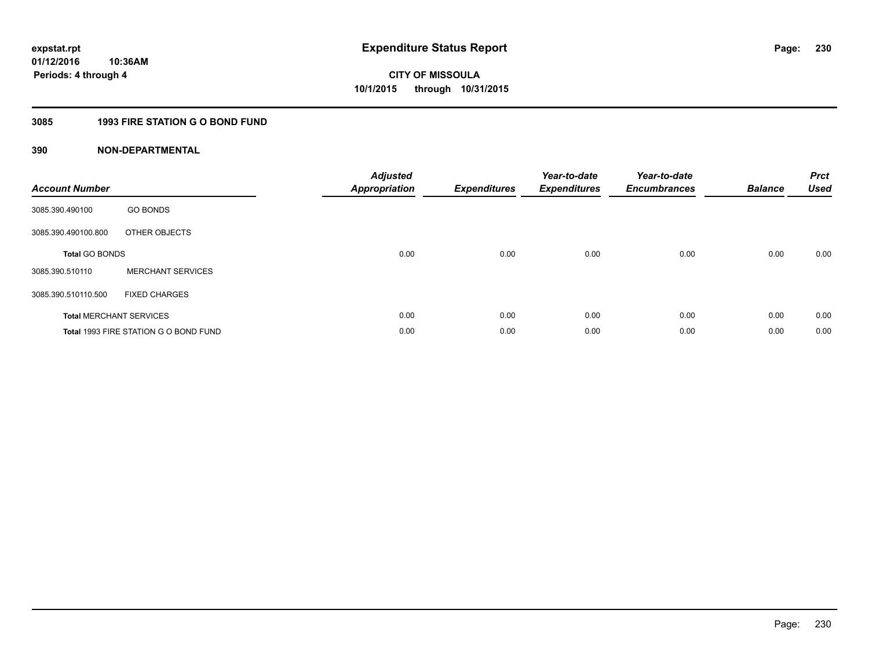### **3085 1993 FIRE STATION G O BOND FUND**

| <b>Account Number</b>          |                                       | <b>Adjusted</b><br><b>Appropriation</b> | <b>Expenditures</b> | Year-to-date<br><b>Expenditures</b> | Year-to-date<br><b>Encumbrances</b> | <b>Balance</b> | <b>Prct</b><br><b>Used</b> |
|--------------------------------|---------------------------------------|-----------------------------------------|---------------------|-------------------------------------|-------------------------------------|----------------|----------------------------|
| 3085.390.490100                | <b>GO BONDS</b>                       |                                         |                     |                                     |                                     |                |                            |
| 3085.390.490100.800            | OTHER OBJECTS                         |                                         |                     |                                     |                                     |                |                            |
| <b>Total GO BONDS</b>          |                                       | 0.00                                    | 0.00                | 0.00                                | 0.00                                | 0.00           | 0.00                       |
| 3085.390.510110                | <b>MERCHANT SERVICES</b>              |                                         |                     |                                     |                                     |                |                            |
| 3085.390.510110.500            | <b>FIXED CHARGES</b>                  |                                         |                     |                                     |                                     |                |                            |
| <b>Total MERCHANT SERVICES</b> |                                       | 0.00                                    | 0.00                | 0.00                                | 0.00                                | 0.00           | 0.00                       |
|                                | Total 1993 FIRE STATION G O BOND FUND | 0.00                                    | 0.00                | 0.00                                | 0.00                                | 0.00           | 0.00                       |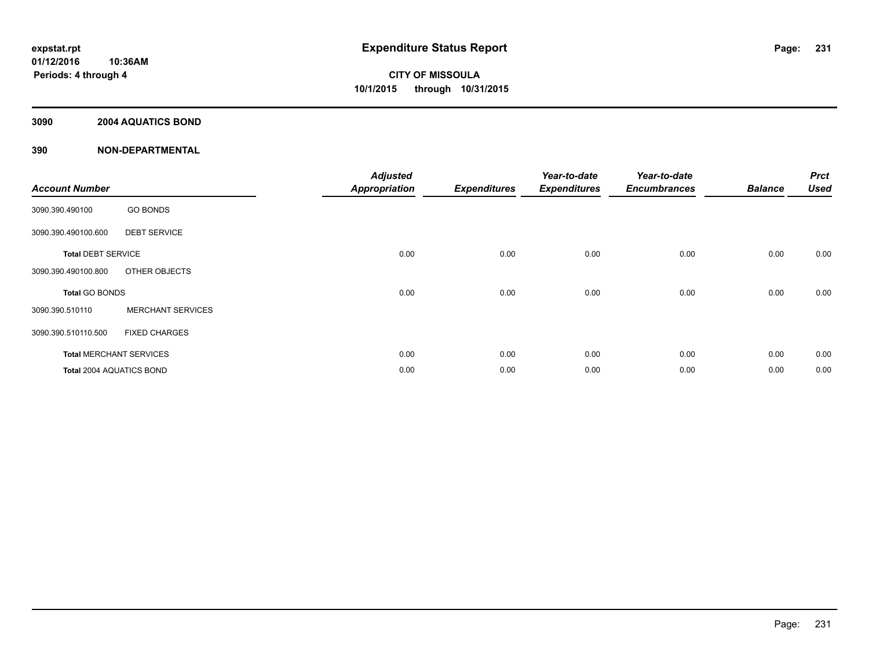#### **3090 2004 AQUATICS BOND**

| <b>Account Number</b>     |                                | <b>Adjusted</b><br><b>Appropriation</b> | <b>Expenditures</b> | Year-to-date<br><b>Expenditures</b> | Year-to-date<br><b>Encumbrances</b> | <b>Balance</b> | <b>Prct</b><br><b>Used</b> |
|---------------------------|--------------------------------|-----------------------------------------|---------------------|-------------------------------------|-------------------------------------|----------------|----------------------------|
| 3090.390.490100           | <b>GO BONDS</b>                |                                         |                     |                                     |                                     |                |                            |
| 3090.390.490100.600       | <b>DEBT SERVICE</b>            |                                         |                     |                                     |                                     |                |                            |
| <b>Total DEBT SERVICE</b> |                                | 0.00                                    | 0.00                | 0.00                                | 0.00                                | 0.00           | 0.00                       |
| 3090.390.490100.800       | OTHER OBJECTS                  |                                         |                     |                                     |                                     |                |                            |
| <b>Total GO BONDS</b>     |                                | 0.00                                    | 0.00                | 0.00                                | 0.00                                | 0.00           | 0.00                       |
| 3090.390.510110           | <b>MERCHANT SERVICES</b>       |                                         |                     |                                     |                                     |                |                            |
| 3090.390.510110.500       | <b>FIXED CHARGES</b>           |                                         |                     |                                     |                                     |                |                            |
|                           | <b>Total MERCHANT SERVICES</b> | 0.00                                    | 0.00                | 0.00                                | 0.00                                | 0.00           | 0.00                       |
| Total 2004 AQUATICS BOND  |                                | 0.00                                    | 0.00                | 0.00                                | 0.00                                | 0.00           | 0.00                       |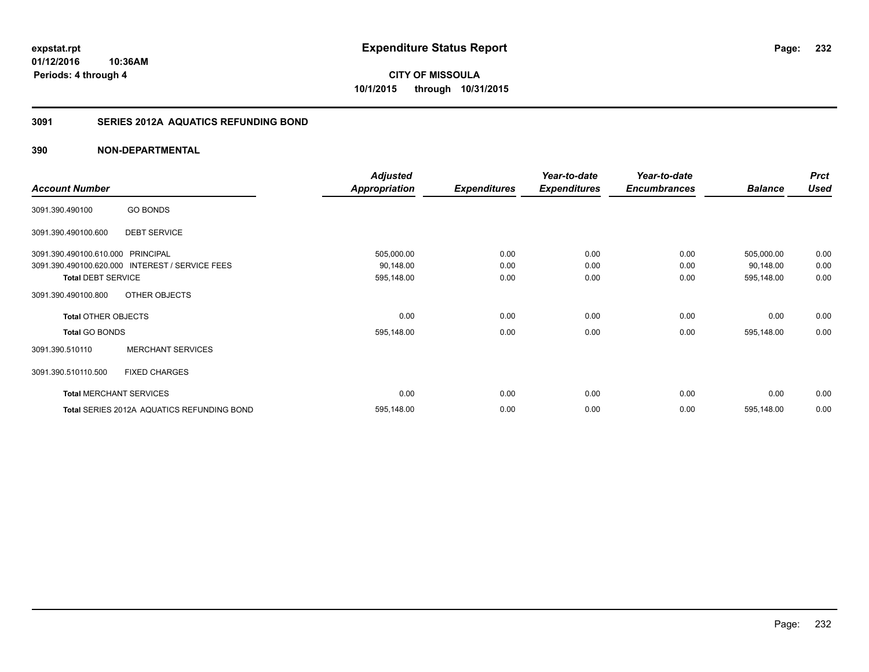**01/12/2016 10:36AM Periods: 4 through 4**

# **CITY OF MISSOULA 10/1/2015 through 10/31/2015**

#### **3091 SERIES 2012A AQUATICS REFUNDING BOND**

|                                   |                                                 | <b>Adjusted</b>      |                     | Year-to-date        | Year-to-date        |                | <b>Prct</b> |
|-----------------------------------|-------------------------------------------------|----------------------|---------------------|---------------------|---------------------|----------------|-------------|
| <b>Account Number</b>             |                                                 | <b>Appropriation</b> | <b>Expenditures</b> | <b>Expenditures</b> | <b>Encumbrances</b> | <b>Balance</b> | <b>Used</b> |
| 3091.390.490100                   | <b>GO BONDS</b>                                 |                      |                     |                     |                     |                |             |
| 3091.390.490100.600               | <b>DEBT SERVICE</b>                             |                      |                     |                     |                     |                |             |
| 3091.390.490100.610.000 PRINCIPAL |                                                 | 505,000.00           | 0.00                | 0.00                | 0.00                | 505,000.00     | 0.00        |
|                                   | 3091.390.490100.620.000 INTEREST / SERVICE FEES | 90,148.00            | 0.00                | 0.00                | 0.00                | 90,148.00      | 0.00        |
| <b>Total DEBT SERVICE</b>         |                                                 | 595,148.00           | 0.00                | 0.00                | 0.00                | 595,148.00     | 0.00        |
| 3091.390.490100.800               | OTHER OBJECTS                                   |                      |                     |                     |                     |                |             |
| <b>Total OTHER OBJECTS</b>        |                                                 | 0.00                 | 0.00                | 0.00                | 0.00                | 0.00           | 0.00        |
| <b>Total GO BONDS</b>             |                                                 | 595,148.00           | 0.00                | 0.00                | 0.00                | 595,148.00     | 0.00        |
| 3091.390.510110                   | <b>MERCHANT SERVICES</b>                        |                      |                     |                     |                     |                |             |
| 3091.390.510110.500               | <b>FIXED CHARGES</b>                            |                      |                     |                     |                     |                |             |
|                                   | <b>Total MERCHANT SERVICES</b>                  | 0.00                 | 0.00                | 0.00                | 0.00                | 0.00           | 0.00        |
|                                   | Total SERIES 2012A AQUATICS REFUNDING BOND      | 595,148.00           | 0.00                | 0.00                | 0.00                | 595,148.00     | 0.00        |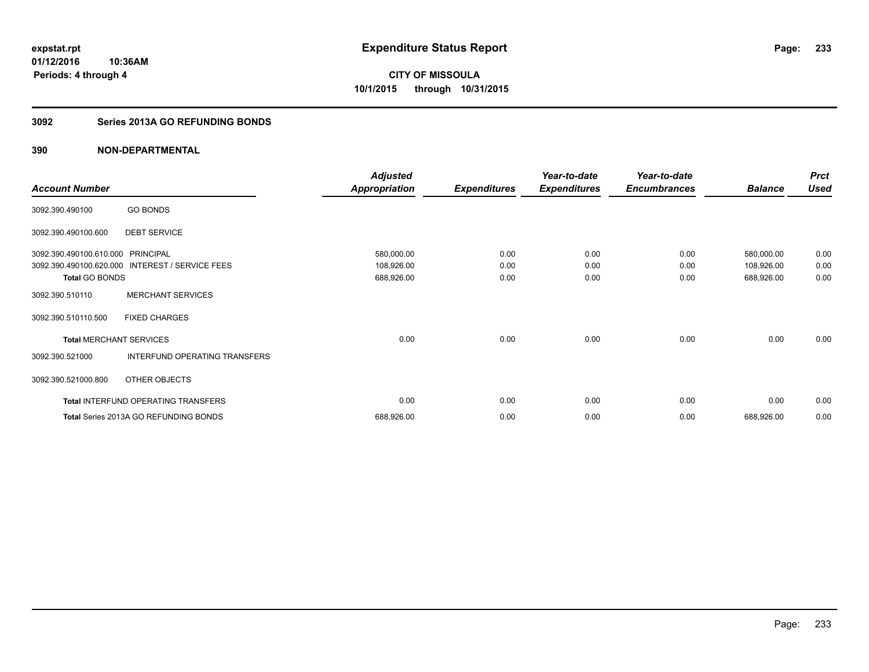#### **3092 Series 2013A GO REFUNDING BONDS**

|                                |                                       | <b>Adjusted</b>      |                     | Year-to-date        | Year-to-date        |                | <b>Prct</b> |
|--------------------------------|---------------------------------------|----------------------|---------------------|---------------------|---------------------|----------------|-------------|
| <b>Account Number</b>          |                                       | <b>Appropriation</b> | <b>Expenditures</b> | <b>Expenditures</b> | <b>Encumbrances</b> | <b>Balance</b> | <b>Used</b> |
| 3092.390.490100                | <b>GO BONDS</b>                       |                      |                     |                     |                     |                |             |
| 3092.390.490100.600            | <b>DEBT SERVICE</b>                   |                      |                     |                     |                     |                |             |
| 3092.390.490100.610.000        | <b>PRINCIPAL</b>                      | 580,000.00           | 0.00                | 0.00                | 0.00                | 580,000.00     | 0.00        |
| 3092.390.490100.620.000        | <b>INTEREST / SERVICE FEES</b>        | 108,926.00           | 0.00                | 0.00                | 0.00                | 108,926.00     | 0.00        |
| <b>Total GO BONDS</b>          |                                       | 688,926.00           | 0.00                | 0.00                | 0.00                | 688,926.00     | 0.00        |
| 3092.390.510110                | <b>MERCHANT SERVICES</b>              |                      |                     |                     |                     |                |             |
| 3092.390.510110.500            | <b>FIXED CHARGES</b>                  |                      |                     |                     |                     |                |             |
| <b>Total MERCHANT SERVICES</b> |                                       | 0.00                 | 0.00                | 0.00                | 0.00                | 0.00           | 0.00        |
| 3092.390.521000                | INTERFUND OPERATING TRANSFERS         |                      |                     |                     |                     |                |             |
| 3092.390.521000.800            | OTHER OBJECTS                         |                      |                     |                     |                     |                |             |
|                                | Total INTERFUND OPERATING TRANSFERS   | 0.00                 | 0.00                | 0.00                | 0.00                | 0.00           | 0.00        |
|                                | Total Series 2013A GO REFUNDING BONDS | 688,926.00           | 0.00                | 0.00                | 0.00                | 688,926.00     | 0.00        |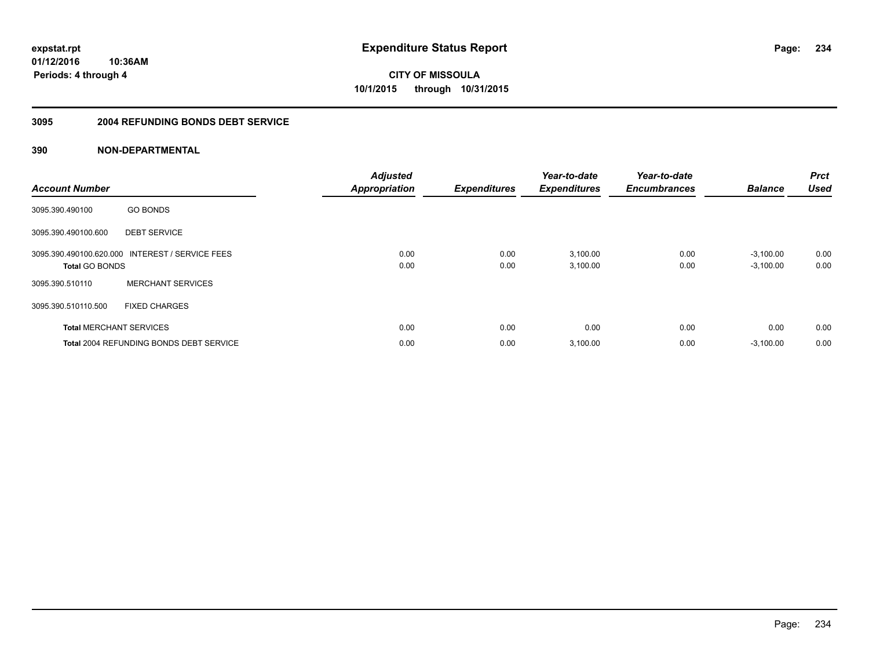**234**

**01/12/2016 10:36AM Periods: 4 through 4**

**CITY OF MISSOULA 10/1/2015 through 10/31/2015**

#### **3095 2004 REFUNDING BONDS DEBT SERVICE**

| <b>Account Number</b> |                                                 | <b>Adjusted</b><br><b>Appropriation</b> | <b>Expenditures</b> | Year-to-date<br><b>Expenditures</b> | Year-to-date<br><b>Encumbrances</b> | <b>Balance</b>             | Prct<br><b>Used</b> |
|-----------------------|-------------------------------------------------|-----------------------------------------|---------------------|-------------------------------------|-------------------------------------|----------------------------|---------------------|
| 3095.390.490100       | <b>GO BONDS</b>                                 |                                         |                     |                                     |                                     |                            |                     |
| 3095.390.490100.600   | <b>DEBT SERVICE</b>                             |                                         |                     |                                     |                                     |                            |                     |
| <b>Total GO BONDS</b> | 3095.390.490100.620.000 INTEREST / SERVICE FEES | 0.00<br>0.00                            | 0.00<br>0.00        | 3,100.00<br>3,100.00                | 0.00<br>0.00                        | $-3,100.00$<br>$-3,100.00$ | 0.00<br>0.00        |
| 3095.390.510110       | <b>MERCHANT SERVICES</b>                        |                                         |                     |                                     |                                     |                            |                     |
| 3095.390.510110.500   | <b>FIXED CHARGES</b>                            |                                         |                     |                                     |                                     |                            |                     |
|                       | <b>Total MERCHANT SERVICES</b>                  | 0.00                                    | 0.00                | 0.00                                | 0.00                                | 0.00                       | 0.00                |
|                       | <b>Total 2004 REFUNDING BONDS DEBT SERVICE</b>  | 0.00                                    | 0.00                | 3,100.00                            | 0.00                                | $-3,100.00$                | 0.00                |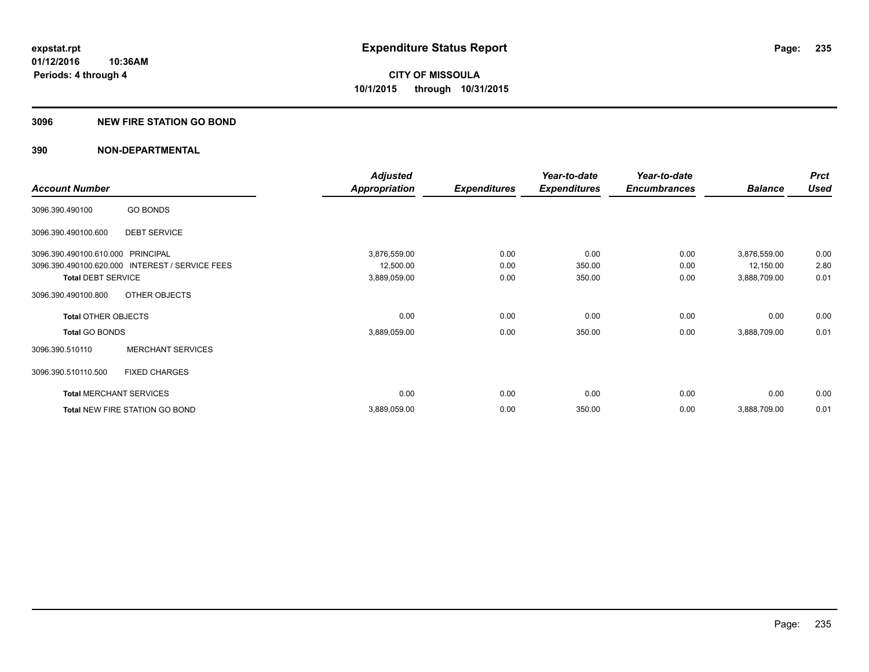#### **3096 NEW FIRE STATION GO BOND**

|                                   |                                                 | <b>Adjusted</b>      |                     | Year-to-date        | Year-to-date        |                | <b>Prct</b> |
|-----------------------------------|-------------------------------------------------|----------------------|---------------------|---------------------|---------------------|----------------|-------------|
| <b>Account Number</b>             |                                                 | <b>Appropriation</b> | <b>Expenditures</b> | <b>Expenditures</b> | <b>Encumbrances</b> | <b>Balance</b> | <b>Used</b> |
| 3096.390.490100                   | <b>GO BONDS</b>                                 |                      |                     |                     |                     |                |             |
| 3096.390.490100.600               | <b>DEBT SERVICE</b>                             |                      |                     |                     |                     |                |             |
| 3096.390.490100.610.000 PRINCIPAL |                                                 | 3,876,559.00         | 0.00                | 0.00                | 0.00                | 3,876,559.00   | 0.00        |
|                                   | 3096.390.490100.620.000 INTEREST / SERVICE FEES | 12,500.00            | 0.00                | 350.00              | 0.00                | 12,150.00      | 2.80        |
| <b>Total DEBT SERVICE</b>         |                                                 | 3,889,059.00         | 0.00                | 350.00              | 0.00                | 3,888,709.00   | 0.01        |
| 3096.390.490100.800               | OTHER OBJECTS                                   |                      |                     |                     |                     |                |             |
| <b>Total OTHER OBJECTS</b>        |                                                 | 0.00                 | 0.00                | 0.00                | 0.00                | 0.00           | 0.00        |
| <b>Total GO BONDS</b>             |                                                 | 3,889,059.00         | 0.00                | 350.00              | 0.00                | 3,888,709.00   | 0.01        |
| 3096.390.510110                   | <b>MERCHANT SERVICES</b>                        |                      |                     |                     |                     |                |             |
| 3096.390.510110.500               | <b>FIXED CHARGES</b>                            |                      |                     |                     |                     |                |             |
|                                   | <b>Total MERCHANT SERVICES</b>                  | 0.00                 | 0.00                | 0.00                | 0.00                | 0.00           | 0.00        |
|                                   | Total NEW FIRE STATION GO BOND                  | 3,889,059.00         | 0.00                | 350.00              | 0.00                | 3,888,709.00   | 0.01        |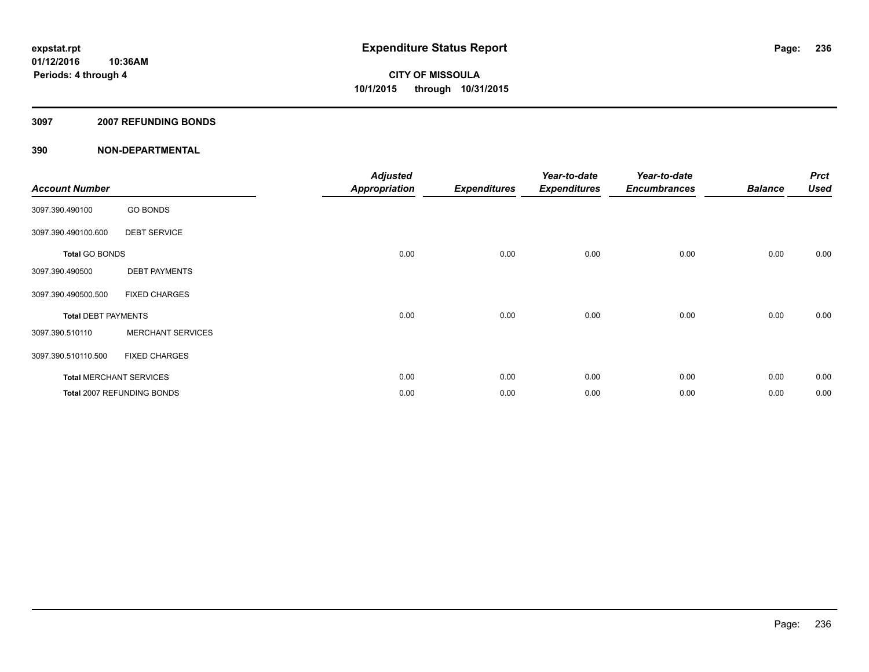#### **3097 2007 REFUNDING BONDS**

| <b>Account Number</b>          |                            | <b>Adjusted</b><br>Appropriation | <b>Expenditures</b> | Year-to-date<br><b>Expenditures</b> | Year-to-date<br><b>Encumbrances</b> | <b>Balance</b> | <b>Prct</b><br><b>Used</b> |
|--------------------------------|----------------------------|----------------------------------|---------------------|-------------------------------------|-------------------------------------|----------------|----------------------------|
| 3097.390.490100                | <b>GO BONDS</b>            |                                  |                     |                                     |                                     |                |                            |
| 3097.390.490100.600            | <b>DEBT SERVICE</b>        |                                  |                     |                                     |                                     |                |                            |
| <b>Total GO BONDS</b>          |                            | 0.00                             | 0.00                | 0.00                                | 0.00                                | 0.00           | 0.00                       |
| 3097.390.490500                | <b>DEBT PAYMENTS</b>       |                                  |                     |                                     |                                     |                |                            |
| 3097.390.490500.500            | <b>FIXED CHARGES</b>       |                                  |                     |                                     |                                     |                |                            |
| <b>Total DEBT PAYMENTS</b>     |                            | 0.00                             | 0.00                | 0.00                                | 0.00                                | 0.00           | 0.00                       |
| 3097.390.510110                | <b>MERCHANT SERVICES</b>   |                                  |                     |                                     |                                     |                |                            |
| 3097.390.510110.500            | <b>FIXED CHARGES</b>       |                                  |                     |                                     |                                     |                |                            |
| <b>Total MERCHANT SERVICES</b> |                            | 0.00                             | 0.00                | 0.00                                | 0.00                                | 0.00           | 0.00                       |
|                                | Total 2007 REFUNDING BONDS | 0.00                             | 0.00                | 0.00                                | 0.00                                | 0.00           | 0.00                       |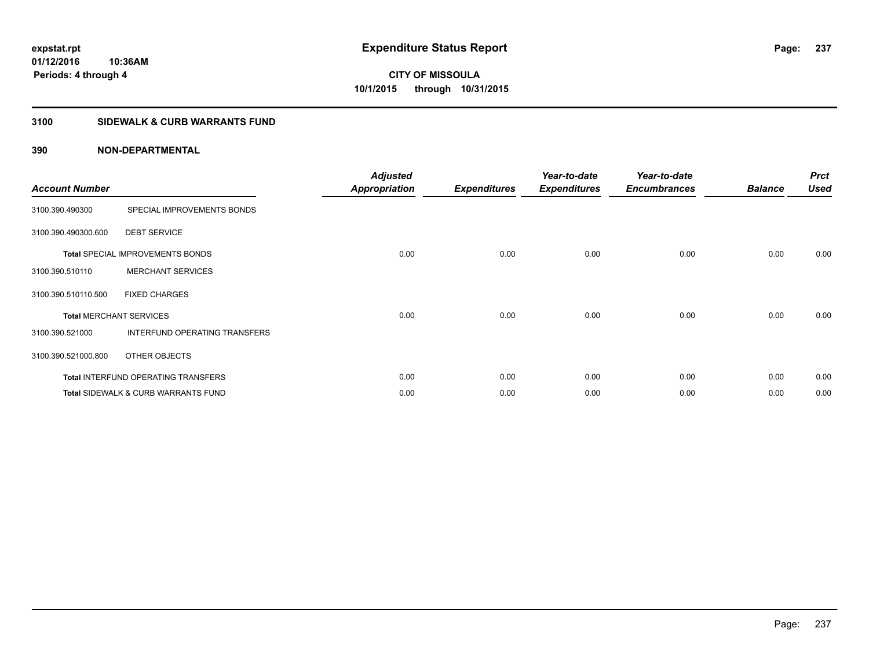#### **3100 SIDEWALK & CURB WARRANTS FUND**

| <b>Account Number</b> |                                                | <b>Adjusted</b><br><b>Appropriation</b> | <b>Expenditures</b> | Year-to-date<br><b>Expenditures</b> | Year-to-date<br><b>Encumbrances</b> | <b>Balance</b> | <b>Prct</b><br><b>Used</b> |
|-----------------------|------------------------------------------------|-----------------------------------------|---------------------|-------------------------------------|-------------------------------------|----------------|----------------------------|
| 3100.390.490300       | SPECIAL IMPROVEMENTS BONDS                     |                                         |                     |                                     |                                     |                |                            |
| 3100.390.490300.600   | <b>DEBT SERVICE</b>                            |                                         |                     |                                     |                                     |                |                            |
|                       | <b>Total SPECIAL IMPROVEMENTS BONDS</b>        | 0.00                                    | 0.00                | 0.00                                | 0.00                                | 0.00           | 0.00                       |
| 3100.390.510110       | <b>MERCHANT SERVICES</b>                       |                                         |                     |                                     |                                     |                |                            |
| 3100.390.510110.500   | <b>FIXED CHARGES</b>                           |                                         |                     |                                     |                                     |                |                            |
|                       | <b>Total MERCHANT SERVICES</b>                 | 0.00                                    | 0.00                | 0.00                                | 0.00                                | 0.00           | 0.00                       |
| 3100.390.521000       | INTERFUND OPERATING TRANSFERS                  |                                         |                     |                                     |                                     |                |                            |
| 3100.390.521000.800   | OTHER OBJECTS                                  |                                         |                     |                                     |                                     |                |                            |
|                       | <b>Total INTERFUND OPERATING TRANSFERS</b>     | 0.00                                    | 0.00                | 0.00                                | 0.00                                | 0.00           | 0.00                       |
|                       | <b>Total SIDEWALK &amp; CURB WARRANTS FUND</b> | 0.00                                    | 0.00                | 0.00                                | 0.00                                | 0.00           | 0.00                       |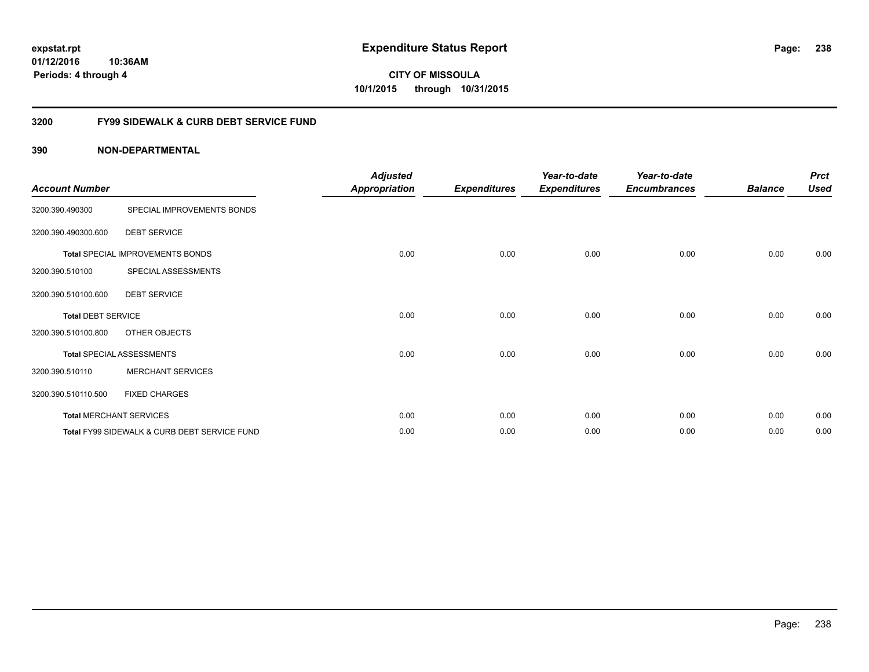**01/12/2016 10:36AM Periods: 4 through 4**

**CITY OF MISSOULA 10/1/2015 through 10/31/2015**

#### **3200 FY99 SIDEWALK & CURB DEBT SERVICE FUND**

| <b>Account Number</b>     |                                              | <b>Adjusted</b><br><b>Appropriation</b> | <b>Expenditures</b> | Year-to-date<br><b>Expenditures</b> | Year-to-date<br><b>Encumbrances</b> | <b>Balance</b> | <b>Prct</b><br><b>Used</b> |
|---------------------------|----------------------------------------------|-----------------------------------------|---------------------|-------------------------------------|-------------------------------------|----------------|----------------------------|
| 3200.390.490300           | SPECIAL IMPROVEMENTS BONDS                   |                                         |                     |                                     |                                     |                |                            |
| 3200.390.490300.600       | <b>DEBT SERVICE</b>                          |                                         |                     |                                     |                                     |                |                            |
|                           | Total SPECIAL IMPROVEMENTS BONDS             | 0.00                                    | 0.00                | 0.00                                | 0.00                                | 0.00           | 0.00                       |
| 3200.390.510100           | SPECIAL ASSESSMENTS                          |                                         |                     |                                     |                                     |                |                            |
| 3200.390.510100.600       | <b>DEBT SERVICE</b>                          |                                         |                     |                                     |                                     |                |                            |
| <b>Total DEBT SERVICE</b> |                                              | 0.00                                    | 0.00                | 0.00                                | 0.00                                | 0.00           | 0.00                       |
| 3200.390.510100.800       | <b>OTHER OBJECTS</b>                         |                                         |                     |                                     |                                     |                |                            |
|                           | <b>Total SPECIAL ASSESSMENTS</b>             | 0.00                                    | 0.00                | 0.00                                | 0.00                                | 0.00           | 0.00                       |
| 3200.390.510110           | <b>MERCHANT SERVICES</b>                     |                                         |                     |                                     |                                     |                |                            |
| 3200.390.510110.500       | <b>FIXED CHARGES</b>                         |                                         |                     |                                     |                                     |                |                            |
|                           | <b>Total MERCHANT SERVICES</b>               | 0.00                                    | 0.00                | 0.00                                | 0.00                                | 0.00           | 0.00                       |
|                           | Total FY99 SIDEWALK & CURB DEBT SERVICE FUND | 0.00                                    | 0.00                | 0.00                                | 0.00                                | 0.00           | 0.00                       |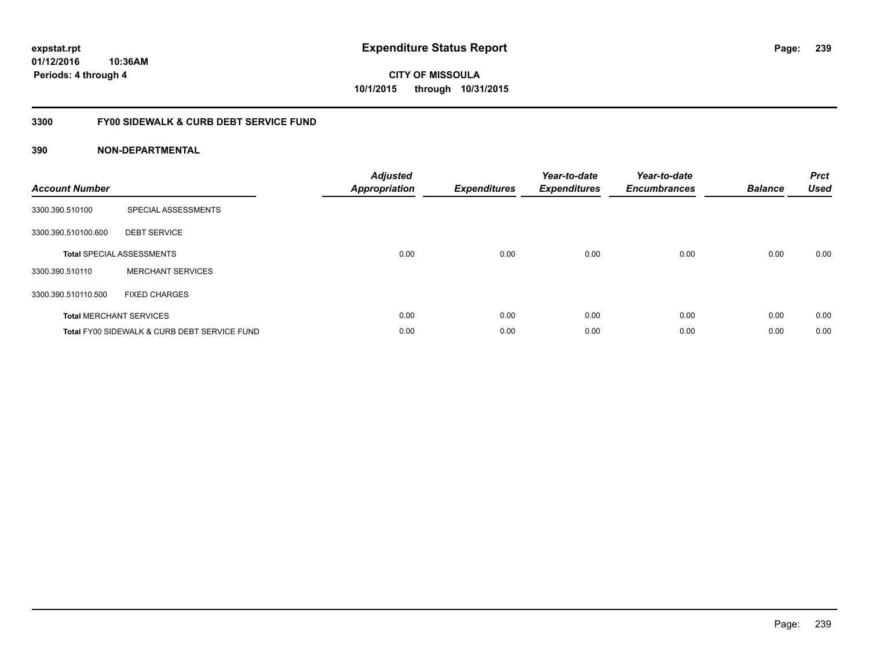**01/12/2016 10:36AM Periods: 4 through 4**

# **CITY OF MISSOULA 10/1/2015 through 10/31/2015**

### **3300 FY00 SIDEWALK & CURB DEBT SERVICE FUND**

| <b>Account Number</b> |                                              | <b>Adjusted</b><br>Appropriation | <b>Expenditures</b> | Year-to-date<br><b>Expenditures</b> | Year-to-date<br><b>Encumbrances</b> | <b>Balance</b> | <b>Prct</b><br><b>Used</b> |
|-----------------------|----------------------------------------------|----------------------------------|---------------------|-------------------------------------|-------------------------------------|----------------|----------------------------|
| 3300.390.510100       | SPECIAL ASSESSMENTS                          |                                  |                     |                                     |                                     |                |                            |
| 3300.390.510100.600   | <b>DEBT SERVICE</b>                          |                                  |                     |                                     |                                     |                |                            |
|                       | <b>Total SPECIAL ASSESSMENTS</b>             | 0.00                             | 0.00                | 0.00                                | 0.00                                | 0.00           | 0.00                       |
| 3300.390.510110       | <b>MERCHANT SERVICES</b>                     |                                  |                     |                                     |                                     |                |                            |
| 3300.390.510110.500   | <b>FIXED CHARGES</b>                         |                                  |                     |                                     |                                     |                |                            |
|                       | <b>Total MERCHANT SERVICES</b>               | 0.00                             | 0.00                | 0.00                                | 0.00                                | 0.00           | 0.00                       |
|                       | Total FY00 SIDEWALK & CURB DEBT SERVICE FUND | 0.00                             | 0.00                | 0.00                                | 0.00                                | 0.00           | 0.00                       |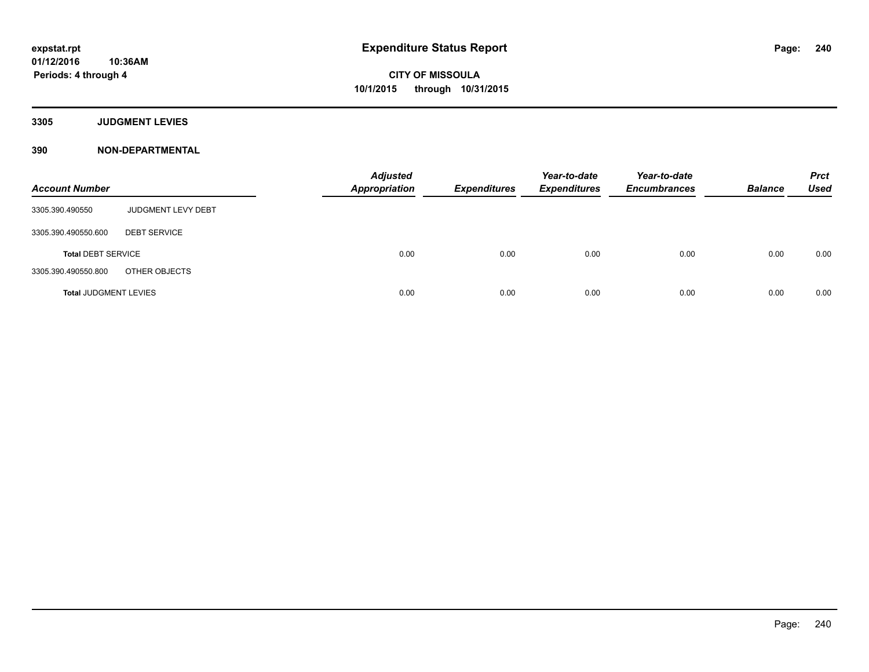**3305 JUDGMENT LEVIES**

| <b>Account Number</b>        |                     | <b>Adjusted</b><br><b>Appropriation</b> | <b>Expenditures</b> | Year-to-date<br><b>Expenditures</b> | Year-to-date<br><b>Encumbrances</b> | <b>Balance</b> | <b>Prct</b><br>Used |
|------------------------------|---------------------|-----------------------------------------|---------------------|-------------------------------------|-------------------------------------|----------------|---------------------|
| 3305.390.490550              | JUDGMENT LEVY DEBT  |                                         |                     |                                     |                                     |                |                     |
| 3305.390.490550.600          | <b>DEBT SERVICE</b> |                                         |                     |                                     |                                     |                |                     |
| <b>Total DEBT SERVICE</b>    |                     | 0.00                                    | 0.00                | 0.00                                | 0.00                                | 0.00           | 0.00                |
| 3305.390.490550.800          | OTHER OBJECTS       |                                         |                     |                                     |                                     |                |                     |
| <b>Total JUDGMENT LEVIES</b> |                     | 0.00                                    | 0.00                | 0.00                                | 0.00                                | 0.00           | 0.00                |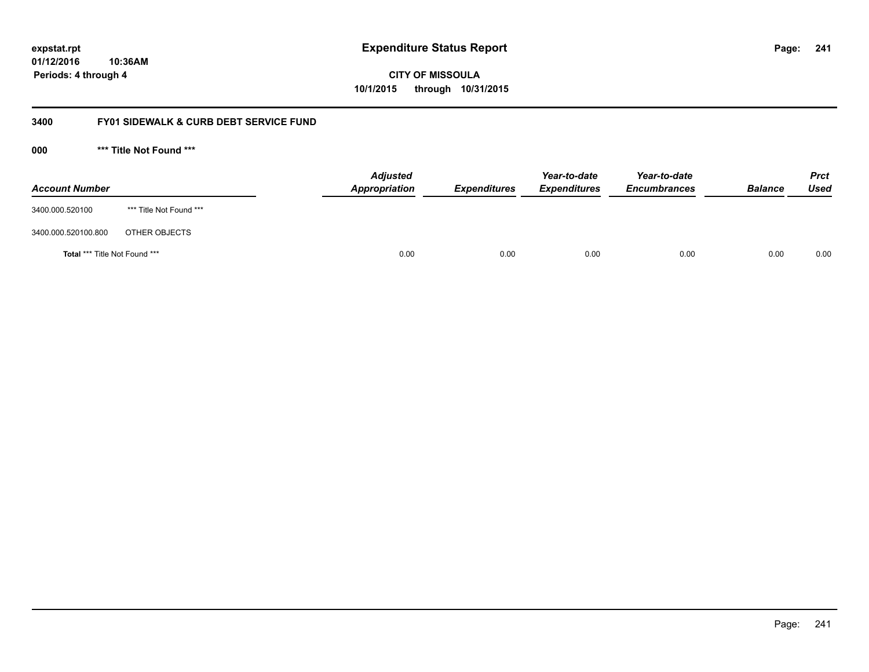**241**

**01/12/2016 10:36AM Periods: 4 through 4**

**CITY OF MISSOULA 10/1/2015 through 10/31/2015**

#### **3400 FY01 SIDEWALK & CURB DEBT SERVICE FUND**

**000 \*\*\* Title Not Found \*\*\***

| <b>Account Number</b>         |                         | <b>Adjusted</b><br>Appropriation | <b>Expenditures</b> | Year-to-date<br><b>Expenditures</b> | Year-to-date<br><b>Encumbrances</b> | <b>Balance</b> | <b>Prct</b><br>Used |
|-------------------------------|-------------------------|----------------------------------|---------------------|-------------------------------------|-------------------------------------|----------------|---------------------|
| 3400.000.520100               | *** Title Not Found *** |                                  |                     |                                     |                                     |                |                     |
| 3400.000.520100.800           | OTHER OBJECTS           |                                  |                     |                                     |                                     |                |                     |
| Total *** Title Not Found *** |                         | 0.00                             | 0.00                | 0.00                                | 0.00                                | 0.00           | 0.00                |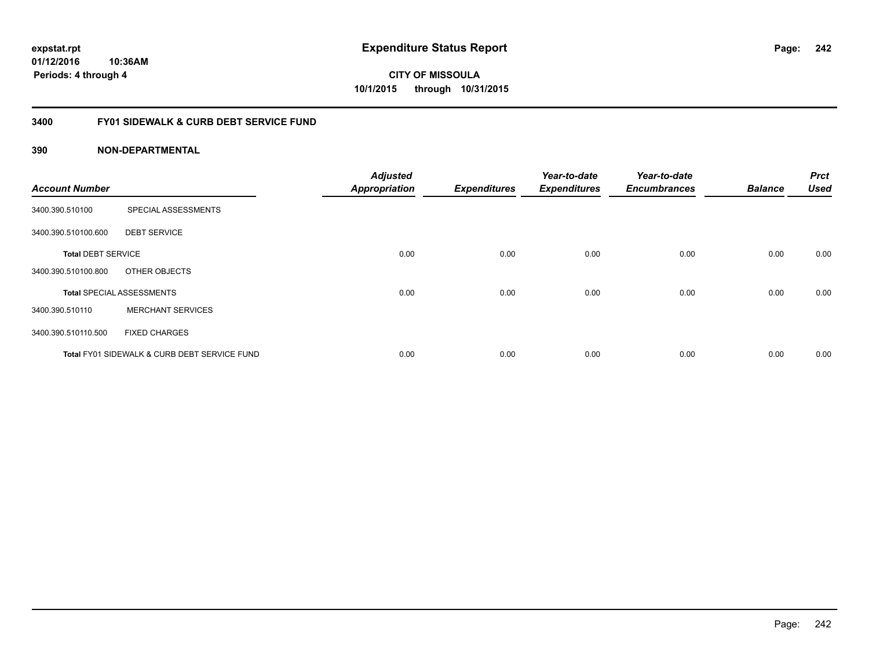**01/12/2016 10:36AM Periods: 4 through 4**

**CITY OF MISSOULA 10/1/2015 through 10/31/2015**

#### **3400 FY01 SIDEWALK & CURB DEBT SERVICE FUND**

| <b>Account Number</b>     |                                              | <b>Adjusted</b><br><b>Appropriation</b> | <b>Expenditures</b> | Year-to-date<br><b>Expenditures</b> | Year-to-date<br><b>Encumbrances</b> | <b>Balance</b> | <b>Prct</b><br><b>Used</b> |
|---------------------------|----------------------------------------------|-----------------------------------------|---------------------|-------------------------------------|-------------------------------------|----------------|----------------------------|
| 3400.390.510100           | SPECIAL ASSESSMENTS                          |                                         |                     |                                     |                                     |                |                            |
| 3400.390.510100.600       | <b>DEBT SERVICE</b>                          |                                         |                     |                                     |                                     |                |                            |
| <b>Total DEBT SERVICE</b> |                                              | 0.00                                    | 0.00                | 0.00                                | 0.00                                | 0.00           | 0.00                       |
| 3400.390.510100.800       | OTHER OBJECTS                                |                                         |                     |                                     |                                     |                |                            |
|                           | <b>Total SPECIAL ASSESSMENTS</b>             | 0.00                                    | 0.00                | 0.00                                | 0.00                                | 0.00           | 0.00                       |
| 3400.390.510110           | <b>MERCHANT SERVICES</b>                     |                                         |                     |                                     |                                     |                |                            |
| 3400.390.510110.500       | <b>FIXED CHARGES</b>                         |                                         |                     |                                     |                                     |                |                            |
|                           | Total FY01 SIDEWALK & CURB DEBT SERVICE FUND | 0.00                                    | 0.00                | 0.00                                | 0.00                                | 0.00           | 0.00                       |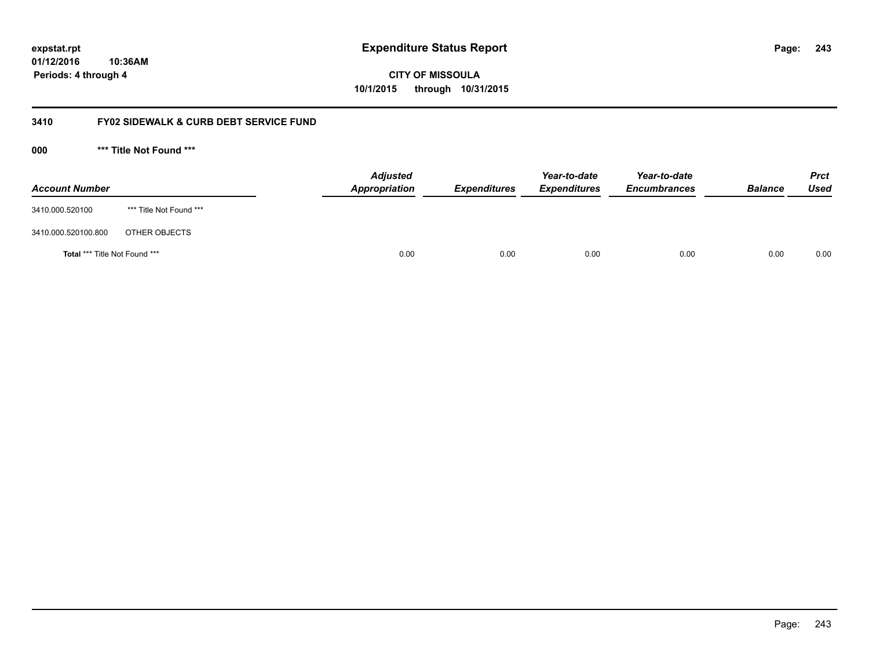**01/12/2016 10:36AM Periods: 4 through 4**

**243**

**CITY OF MISSOULA 10/1/2015 through 10/31/2015**

#### **3410 FY02 SIDEWALK & CURB DEBT SERVICE FUND**

**000 \*\*\* Title Not Found \*\*\***

| <b>Account Number</b>         |                         | <b>Adjusted</b><br>Appropriation | <b>Expenditures</b> | Year-to-date<br><b>Expenditures</b> | Year-to-date<br><b>Encumbrances</b> | <b>Balance</b> | <b>Prct</b><br><b>Used</b> |
|-------------------------------|-------------------------|----------------------------------|---------------------|-------------------------------------|-------------------------------------|----------------|----------------------------|
| 3410.000.520100               | *** Title Not Found *** |                                  |                     |                                     |                                     |                |                            |
| 3410.000.520100.800           | OTHER OBJECTS           |                                  |                     |                                     |                                     |                |                            |
| Total *** Title Not Found *** |                         | 0.00                             | 0.00                | 0.00                                | 0.00                                | 0.00           | 0.00                       |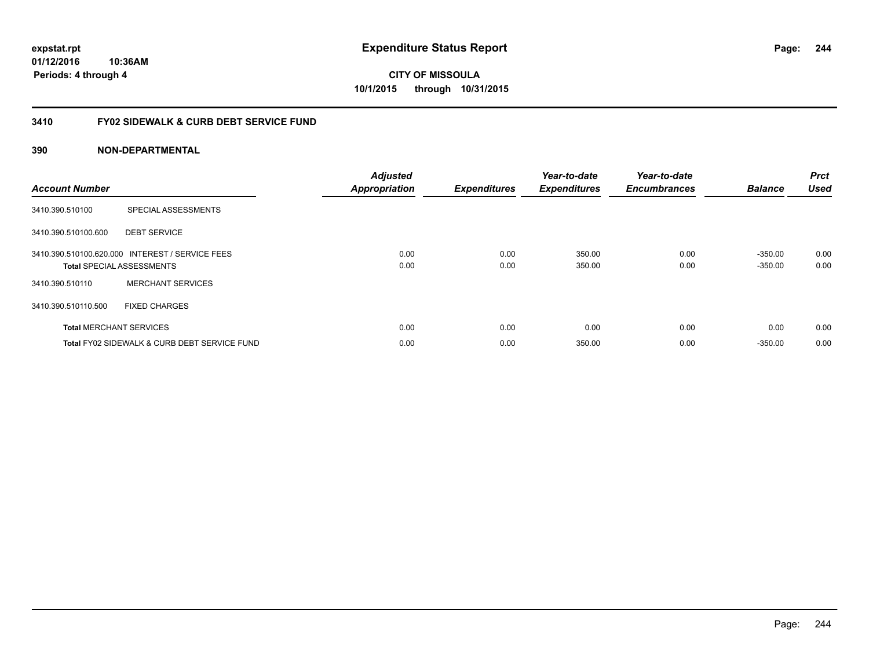**expstat.rpt Expenditure Status Report** 

**01/12/2016 10:36AM Periods: 4 through 4**

### **3410 FY02 SIDEWALK & CURB DEBT SERVICE FUND**

#### **390 NON-DEPARTMENTAL**

| <b>Account Number</b>          |                                                                                     | <b>Adjusted</b><br><b>Appropriation</b> | <b>Expenditures</b> | Year-to-date<br><b>Expenditures</b> | Year-to-date<br><b>Encumbrances</b> | <b>Balance</b>         | <b>Prct</b><br><b>Used</b> |
|--------------------------------|-------------------------------------------------------------------------------------|-----------------------------------------|---------------------|-------------------------------------|-------------------------------------|------------------------|----------------------------|
| 3410.390.510100                | SPECIAL ASSESSMENTS                                                                 |                                         |                     |                                     |                                     |                        |                            |
| 3410.390.510100.600            | <b>DEBT SERVICE</b>                                                                 |                                         |                     |                                     |                                     |                        |                            |
|                                | 3410.390.510100.620.000 INTEREST / SERVICE FEES<br><b>Total SPECIAL ASSESSMENTS</b> | 0.00<br>0.00                            | 0.00<br>0.00        | 350.00<br>350.00                    | 0.00<br>0.00                        | $-350.00$<br>$-350.00$ | 0.00<br>0.00               |
| 3410.390.510110                | <b>MERCHANT SERVICES</b>                                                            |                                         |                     |                                     |                                     |                        |                            |
| 3410.390.510110.500            | <b>FIXED CHARGES</b>                                                                |                                         |                     |                                     |                                     |                        |                            |
| <b>Total MERCHANT SERVICES</b> |                                                                                     | 0.00                                    | 0.00                | 0.00                                | 0.00                                | 0.00                   | 0.00                       |
|                                | Total FY02 SIDEWALK & CURB DEBT SERVICE FUND                                        | 0.00                                    | 0.00                | 350.00                              | 0.00                                | $-350.00$              | 0.00                       |

Page: 244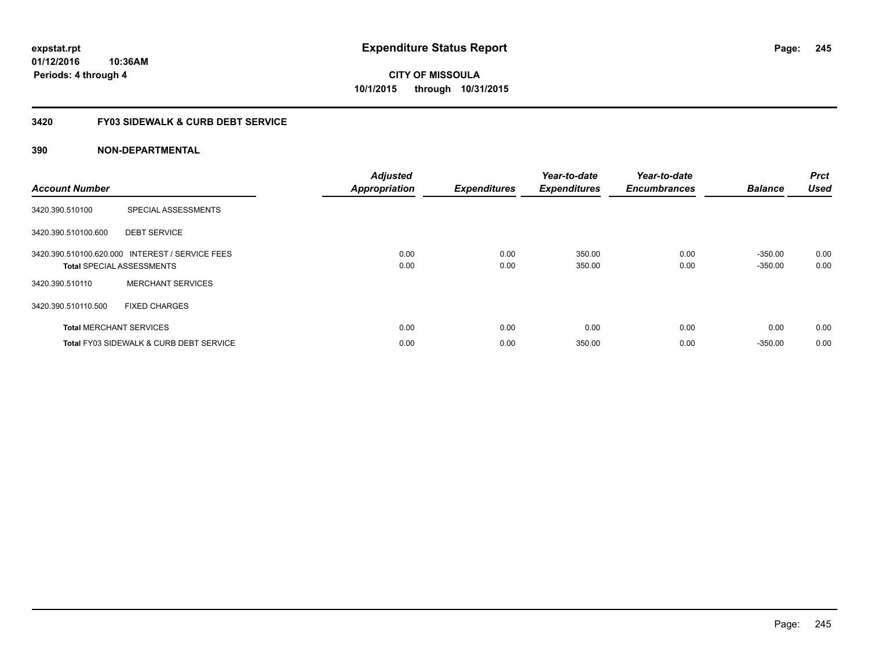**01/12/2016 10:36AM Periods: 4 through 4**

**CITY OF MISSOULA 10/1/2015 through 10/31/2015**

#### **3420 FY03 SIDEWALK & CURB DEBT SERVICE**

| <b>Account Number</b> |                                                                                     | <b>Adjusted</b><br><b>Appropriation</b> | <b>Expenditures</b> | Year-to-date<br><b>Expenditures</b> | Year-to-date<br><b>Encumbrances</b> | <b>Balance</b>         | <b>Prct</b><br><b>Used</b> |
|-----------------------|-------------------------------------------------------------------------------------|-----------------------------------------|---------------------|-------------------------------------|-------------------------------------|------------------------|----------------------------|
| 3420.390.510100       | SPECIAL ASSESSMENTS                                                                 |                                         |                     |                                     |                                     |                        |                            |
| 3420.390.510100.600   | <b>DEBT SERVICE</b>                                                                 |                                         |                     |                                     |                                     |                        |                            |
|                       | 3420.390.510100.620.000 INTEREST / SERVICE FEES<br><b>Total SPECIAL ASSESSMENTS</b> | 0.00<br>0.00                            | 0.00<br>0.00        | 350.00<br>350.00                    | 0.00<br>0.00                        | $-350.00$<br>$-350.00$ | 0.00<br>0.00               |
| 3420.390.510110       | <b>MERCHANT SERVICES</b>                                                            |                                         |                     |                                     |                                     |                        |                            |
| 3420.390.510110.500   | <b>FIXED CHARGES</b>                                                                |                                         |                     |                                     |                                     |                        |                            |
|                       | <b>Total MERCHANT SERVICES</b>                                                      | 0.00                                    | 0.00                | 0.00                                | 0.00                                | 0.00                   | 0.00                       |
|                       | <b>Total FY03 SIDEWALK &amp; CURB DEBT SERVICE</b>                                  | 0.00                                    | 0.00                | 350.00                              | 0.00                                | $-350.00$              | 0.00                       |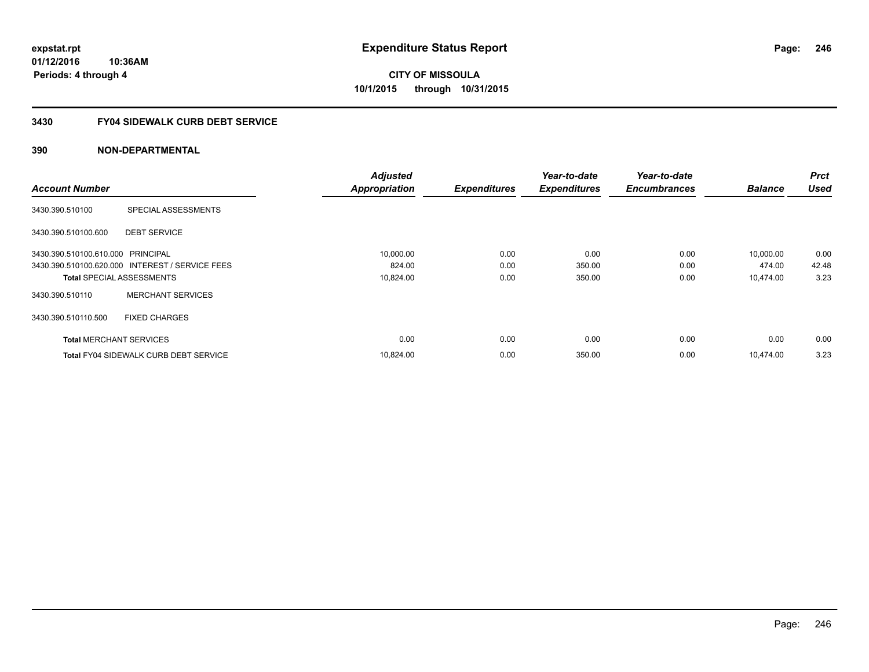**10:36AM Periods: 4 through 4**

**CITY OF MISSOULA 10/1/2015 through 10/31/2015**

### **3430 FY04 SIDEWALK CURB DEBT SERVICE**

|                                   |                                                 | <b>Adjusted</b>      |                     | Year-to-date        | Year-to-date        |                | <b>Prct</b> |
|-----------------------------------|-------------------------------------------------|----------------------|---------------------|---------------------|---------------------|----------------|-------------|
| <b>Account Number</b>             |                                                 | <b>Appropriation</b> | <b>Expenditures</b> | <b>Expenditures</b> | <b>Encumbrances</b> | <b>Balance</b> | Used        |
| 3430.390.510100                   | SPECIAL ASSESSMENTS                             |                      |                     |                     |                     |                |             |
| 3430.390.510100.600               | <b>DEBT SERVICE</b>                             |                      |                     |                     |                     |                |             |
| 3430.390.510100.610.000 PRINCIPAL |                                                 | 10,000.00            | 0.00                | 0.00                | 0.00                | 10,000.00      | 0.00        |
|                                   | 3430.390.510100.620.000 INTEREST / SERVICE FEES | 824.00               | 0.00                | 350.00              | 0.00                | 474.00         | 42.48       |
| <b>Total SPECIAL ASSESSMENTS</b>  |                                                 | 10,824.00            | 0.00                | 350.00              | 0.00                | 10,474.00      | 3.23        |
| 3430.390.510110                   | <b>MERCHANT SERVICES</b>                        |                      |                     |                     |                     |                |             |
| 3430.390.510110.500               | <b>FIXED CHARGES</b>                            |                      |                     |                     |                     |                |             |
| <b>Total MERCHANT SERVICES</b>    |                                                 | 0.00                 | 0.00                | 0.00                | 0.00                | 0.00           | 0.00        |
|                                   | <b>Total FY04 SIDEWALK CURB DEBT SERVICE</b>    | 10.824.00            | 0.00                | 350.00              | 0.00                | 10.474.00      | 3.23        |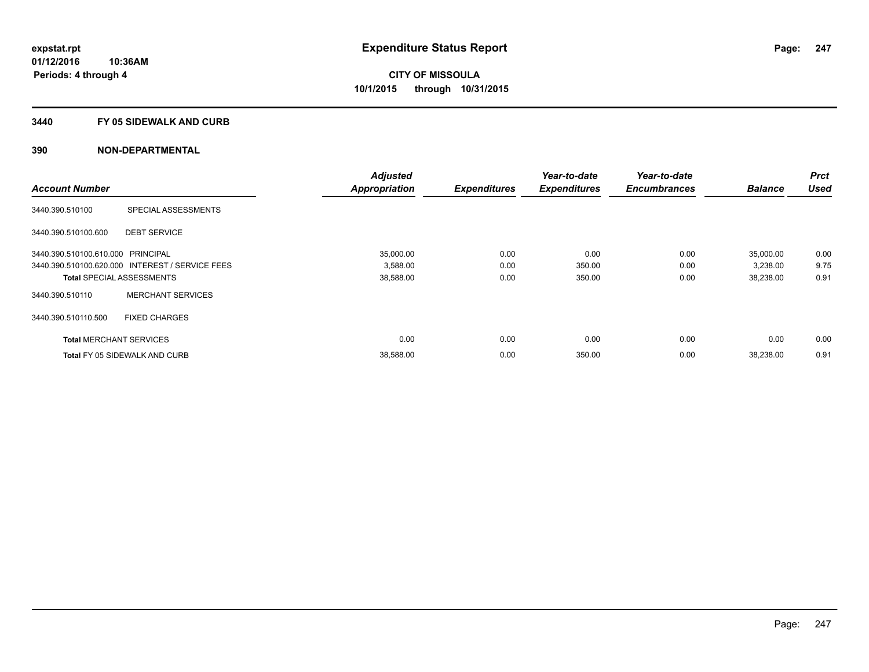#### **3440 FY 05 SIDEWALK AND CURB**

|                                   |                                                 | <b>Adjusted</b>      |                     | Year-to-date        | Year-to-date        |                | <b>Prct</b> |
|-----------------------------------|-------------------------------------------------|----------------------|---------------------|---------------------|---------------------|----------------|-------------|
| <b>Account Number</b>             |                                                 | <b>Appropriation</b> | <b>Expenditures</b> | <b>Expenditures</b> | <b>Encumbrances</b> | <b>Balance</b> | <b>Used</b> |
| 3440.390.510100                   | SPECIAL ASSESSMENTS                             |                      |                     |                     |                     |                |             |
| 3440.390.510100.600               | <b>DEBT SERVICE</b>                             |                      |                     |                     |                     |                |             |
| 3440.390.510100.610.000 PRINCIPAL |                                                 | 35.000.00            | 0.00                | 0.00                | 0.00                | 35,000.00      | 0.00        |
|                                   | 3440.390.510100.620.000 INTEREST / SERVICE FEES | 3,588.00             | 0.00                | 350.00              | 0.00                | 3,238.00       | 9.75        |
| <b>Total SPECIAL ASSESSMENTS</b>  |                                                 | 38,588.00            | 0.00                | 350.00              | 0.00                | 38,238.00      | 0.91        |
| 3440.390.510110                   | <b>MERCHANT SERVICES</b>                        |                      |                     |                     |                     |                |             |
| 3440.390.510110.500               | <b>FIXED CHARGES</b>                            |                      |                     |                     |                     |                |             |
| <b>Total MERCHANT SERVICES</b>    |                                                 | 0.00                 | 0.00                | 0.00                | 0.00                | 0.00           | 0.00        |
|                                   | <b>Total FY 05 SIDEWALK AND CURB</b>            | 38,588.00            | 0.00                | 350.00              | 0.00                | 38,238.00      | 0.91        |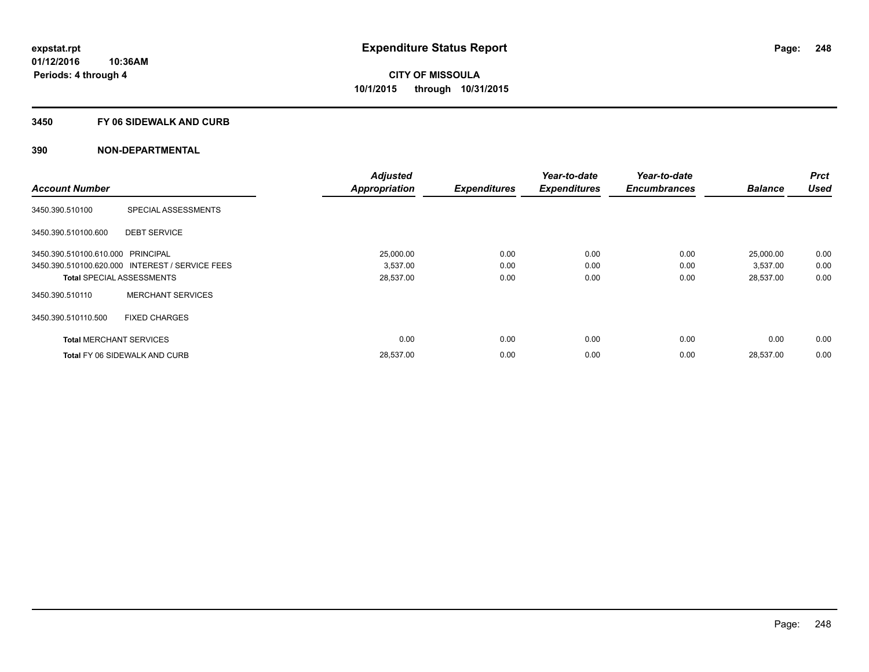#### **3450 FY 06 SIDEWALK AND CURB**

| <b>Account Number</b>             |                                                 | <b>Adjusted</b>      |                     | Year-to-date        | Year-to-date<br><b>Encumbrances</b> | <b>Balance</b> | <b>Prct</b><br><b>Used</b> |
|-----------------------------------|-------------------------------------------------|----------------------|---------------------|---------------------|-------------------------------------|----------------|----------------------------|
|                                   |                                                 | <b>Appropriation</b> | <b>Expenditures</b> | <b>Expenditures</b> |                                     |                |                            |
| 3450.390.510100                   | SPECIAL ASSESSMENTS                             |                      |                     |                     |                                     |                |                            |
| 3450.390.510100.600               | <b>DEBT SERVICE</b>                             |                      |                     |                     |                                     |                |                            |
| 3450.390.510100.610.000 PRINCIPAL |                                                 | 25,000.00            | 0.00                | 0.00                | 0.00                                | 25,000.00      | 0.00                       |
|                                   | 3450.390.510100.620.000 INTEREST / SERVICE FEES | 3,537.00             | 0.00                | 0.00                | 0.00                                | 3,537.00       | 0.00                       |
| <b>Total SPECIAL ASSESSMENTS</b>  |                                                 | 28,537.00            | 0.00                | 0.00                | 0.00                                | 28,537.00      | 0.00                       |
| 3450.390.510110                   | <b>MERCHANT SERVICES</b>                        |                      |                     |                     |                                     |                |                            |
| 3450.390.510110.500               | <b>FIXED CHARGES</b>                            |                      |                     |                     |                                     |                |                            |
| <b>Total MERCHANT SERVICES</b>    |                                                 | 0.00                 | 0.00                | 0.00                | 0.00                                | 0.00           | 0.00                       |
|                                   | <b>Total FY 06 SIDEWALK AND CURB</b>            | 28,537.00            | 0.00                | 0.00                | 0.00                                | 28,537.00      | 0.00                       |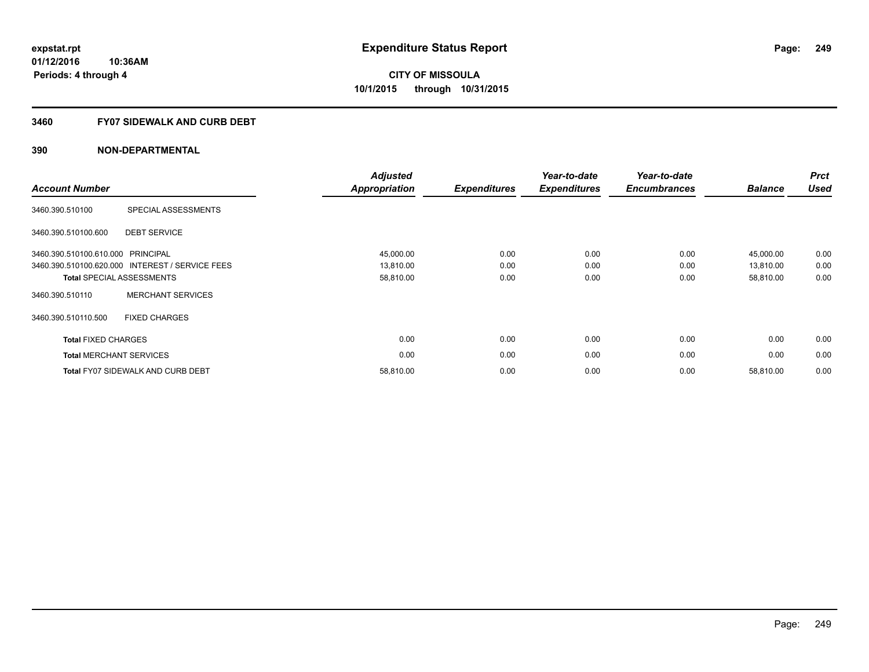#### **3460 FY07 SIDEWALK AND CURB DEBT**

| <b>Account Number</b>             |                                                 | <b>Adjusted</b><br><b>Appropriation</b> | <b>Expenditures</b> | Year-to-date<br><b>Expenditures</b> | Year-to-date<br><b>Encumbrances</b> | <b>Balance</b> | <b>Prct</b><br><b>Used</b> |
|-----------------------------------|-------------------------------------------------|-----------------------------------------|---------------------|-------------------------------------|-------------------------------------|----------------|----------------------------|
| 3460.390.510100                   | SPECIAL ASSESSMENTS                             |                                         |                     |                                     |                                     |                |                            |
| 3460.390.510100.600               | <b>DEBT SERVICE</b>                             |                                         |                     |                                     |                                     |                |                            |
| 3460.390.510100.610.000 PRINCIPAL |                                                 | 45,000.00                               | 0.00                | 0.00                                | 0.00                                | 45,000.00      | 0.00                       |
|                                   | 3460.390.510100.620.000 INTEREST / SERVICE FEES | 13,810.00                               | 0.00                | 0.00                                | 0.00                                | 13,810.00      | 0.00                       |
|                                   | <b>Total SPECIAL ASSESSMENTS</b>                | 58,810.00                               | 0.00                | 0.00                                | 0.00                                | 58,810.00      | 0.00                       |
| 3460.390.510110                   | <b>MERCHANT SERVICES</b>                        |                                         |                     |                                     |                                     |                |                            |
| 3460.390.510110.500               | <b>FIXED CHARGES</b>                            |                                         |                     |                                     |                                     |                |                            |
| <b>Total FIXED CHARGES</b>        |                                                 | 0.00                                    | 0.00                | 0.00                                | 0.00                                | 0.00           | 0.00                       |
|                                   | <b>Total MERCHANT SERVICES</b>                  | 0.00                                    | 0.00                | 0.00                                | 0.00                                | 0.00           | 0.00                       |
|                                   | <b>Total FY07 SIDEWALK AND CURB DEBT</b>        | 58,810.00                               | 0.00                | 0.00                                | 0.00                                | 58,810.00      | 0.00                       |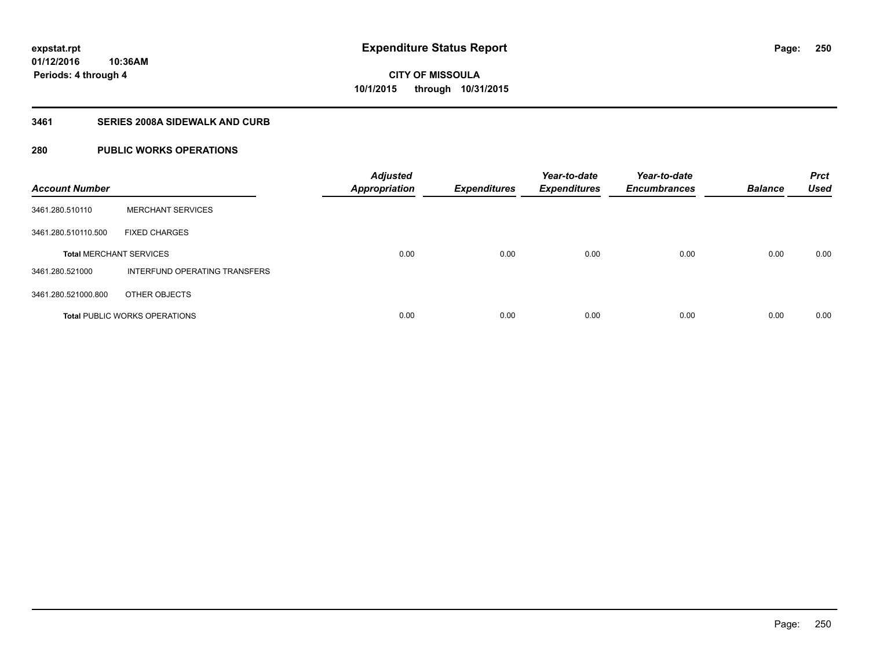### **3461 SERIES 2008A SIDEWALK AND CURB**

### **280 PUBLIC WORKS OPERATIONS**

| <b>Account Number</b>          |                                      | <b>Adjusted</b><br><b>Appropriation</b> | <b>Expenditures</b> | Year-to-date<br><b>Expenditures</b> | Year-to-date<br><b>Encumbrances</b> | <b>Balance</b> | <b>Prct</b><br><b>Used</b> |
|--------------------------------|--------------------------------------|-----------------------------------------|---------------------|-------------------------------------|-------------------------------------|----------------|----------------------------|
| 3461.280.510110                | <b>MERCHANT SERVICES</b>             |                                         |                     |                                     |                                     |                |                            |
| 3461.280.510110.500            | <b>FIXED CHARGES</b>                 |                                         |                     |                                     |                                     |                |                            |
| <b>Total MERCHANT SERVICES</b> |                                      | 0.00                                    | 0.00                | 0.00                                | 0.00                                | 0.00           | 0.00                       |
| 3461.280.521000                | INTERFUND OPERATING TRANSFERS        |                                         |                     |                                     |                                     |                |                            |
| 3461.280.521000.800            | OTHER OBJECTS                        |                                         |                     |                                     |                                     |                |                            |
|                                | <b>Total PUBLIC WORKS OPERATIONS</b> | 0.00                                    | 0.00                | 0.00                                | 0.00                                | 0.00           | 0.00                       |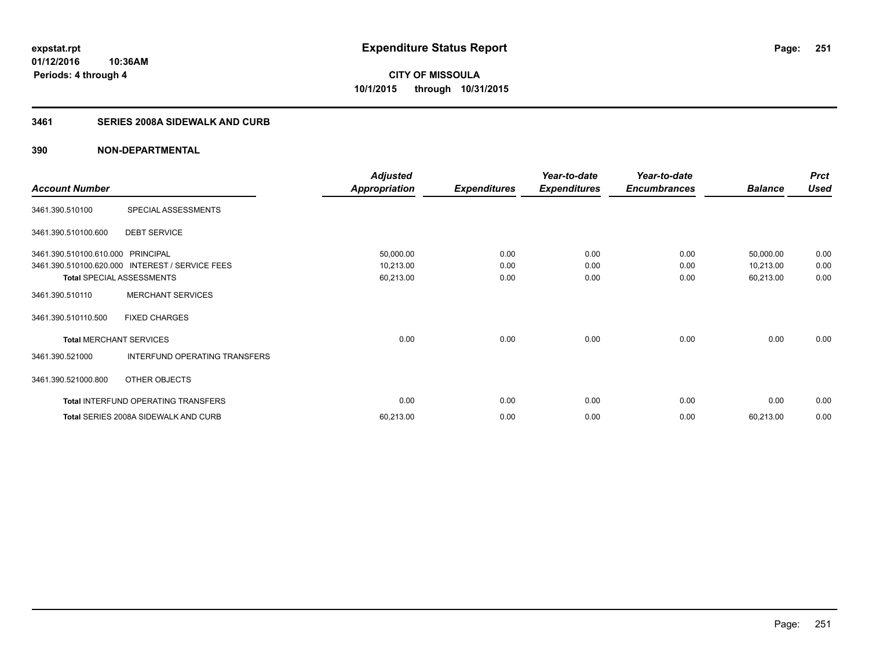### **3461 SERIES 2008A SIDEWALK AND CURB**

|                                   |                                                 | <b>Adjusted</b>      |                     | Year-to-date        | Year-to-date        |                | <b>Prct</b> |
|-----------------------------------|-------------------------------------------------|----------------------|---------------------|---------------------|---------------------|----------------|-------------|
| <b>Account Number</b>             |                                                 | <b>Appropriation</b> | <b>Expenditures</b> | <b>Expenditures</b> | <b>Encumbrances</b> | <b>Balance</b> | <b>Used</b> |
| 3461.390.510100                   | SPECIAL ASSESSMENTS                             |                      |                     |                     |                     |                |             |
| 3461.390.510100.600               | <b>DEBT SERVICE</b>                             |                      |                     |                     |                     |                |             |
| 3461.390.510100.610.000 PRINCIPAL |                                                 | 50,000.00            | 0.00                | 0.00                | 0.00                | 50,000.00      | 0.00        |
|                                   | 3461.390.510100.620.000 INTEREST / SERVICE FEES | 10,213.00            | 0.00                | 0.00                | 0.00                | 10,213.00      | 0.00        |
|                                   | <b>Total SPECIAL ASSESSMENTS</b>                | 60,213.00            | 0.00                | 0.00                | 0.00                | 60,213.00      | 0.00        |
| 3461.390.510110                   | <b>MERCHANT SERVICES</b>                        |                      |                     |                     |                     |                |             |
| 3461.390.510110.500               | <b>FIXED CHARGES</b>                            |                      |                     |                     |                     |                |             |
| <b>Total MERCHANT SERVICES</b>    |                                                 | 0.00                 | 0.00                | 0.00                | 0.00                | 0.00           | 0.00        |
| 3461.390.521000                   | <b>INTERFUND OPERATING TRANSFERS</b>            |                      |                     |                     |                     |                |             |
| 3461.390.521000.800               | OTHER OBJECTS                                   |                      |                     |                     |                     |                |             |
|                                   | <b>Total INTERFUND OPERATING TRANSFERS</b>      | 0.00                 | 0.00                | 0.00                | 0.00                | 0.00           | 0.00        |
|                                   | Total SERIES 2008A SIDEWALK AND CURB            | 60,213.00            | 0.00                | 0.00                | 0.00                | 60,213.00      | 0.00        |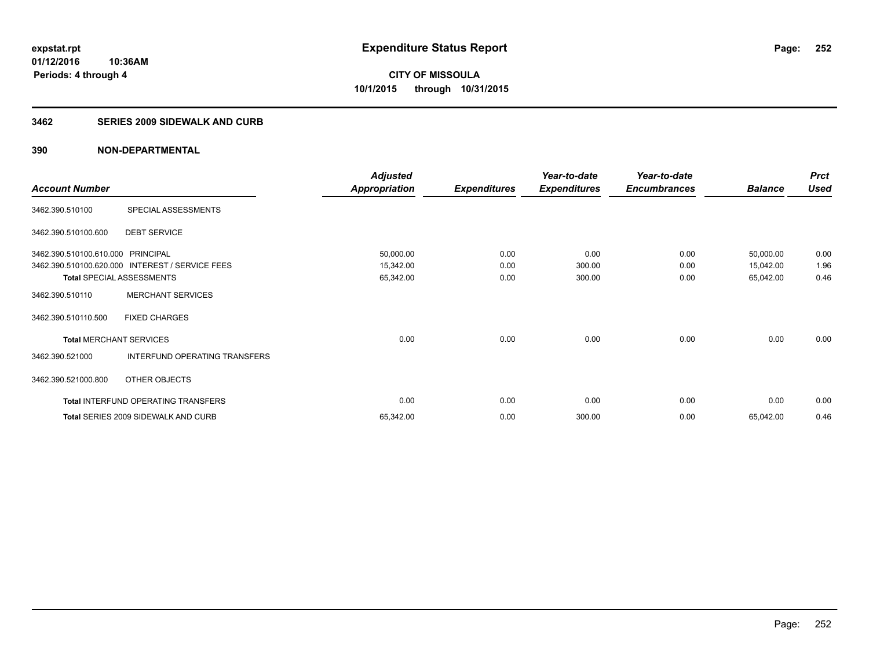#### **3462 SERIES 2009 SIDEWALK AND CURB**

|                                   |                                                 | <b>Adjusted</b>      |                     | Year-to-date        | Year-to-date        |                | <b>Prct</b> |
|-----------------------------------|-------------------------------------------------|----------------------|---------------------|---------------------|---------------------|----------------|-------------|
| <b>Account Number</b>             |                                                 | <b>Appropriation</b> | <b>Expenditures</b> | <b>Expenditures</b> | <b>Encumbrances</b> | <b>Balance</b> | <b>Used</b> |
| 3462.390.510100                   | SPECIAL ASSESSMENTS                             |                      |                     |                     |                     |                |             |
| 3462.390.510100.600               | <b>DEBT SERVICE</b>                             |                      |                     |                     |                     |                |             |
| 3462.390.510100.610.000 PRINCIPAL |                                                 | 50,000.00            | 0.00                | 0.00                | 0.00                | 50,000.00      | 0.00        |
|                                   | 3462.390.510100.620.000 INTEREST / SERVICE FEES | 15,342.00            | 0.00                | 300.00              | 0.00                | 15,042.00      | 1.96        |
| <b>Total SPECIAL ASSESSMENTS</b>  |                                                 | 65,342.00            | 0.00                | 300.00              | 0.00                | 65,042.00      | 0.46        |
| 3462.390.510110                   | <b>MERCHANT SERVICES</b>                        |                      |                     |                     |                     |                |             |
| 3462.390.510110.500               | <b>FIXED CHARGES</b>                            |                      |                     |                     |                     |                |             |
| <b>Total MERCHANT SERVICES</b>    |                                                 | 0.00                 | 0.00                | 0.00                | 0.00                | 0.00           | 0.00        |
| 3462.390.521000                   | INTERFUND OPERATING TRANSFERS                   |                      |                     |                     |                     |                |             |
| 3462.390.521000.800               | OTHER OBJECTS                                   |                      |                     |                     |                     |                |             |
|                                   | Total INTERFUND OPERATING TRANSFERS             | 0.00                 | 0.00                | 0.00                | 0.00                | 0.00           | 0.00        |
|                                   | <b>Total SERIES 2009 SIDEWALK AND CURB</b>      | 65,342.00            | 0.00                | 300.00              | 0.00                | 65,042.00      | 0.46        |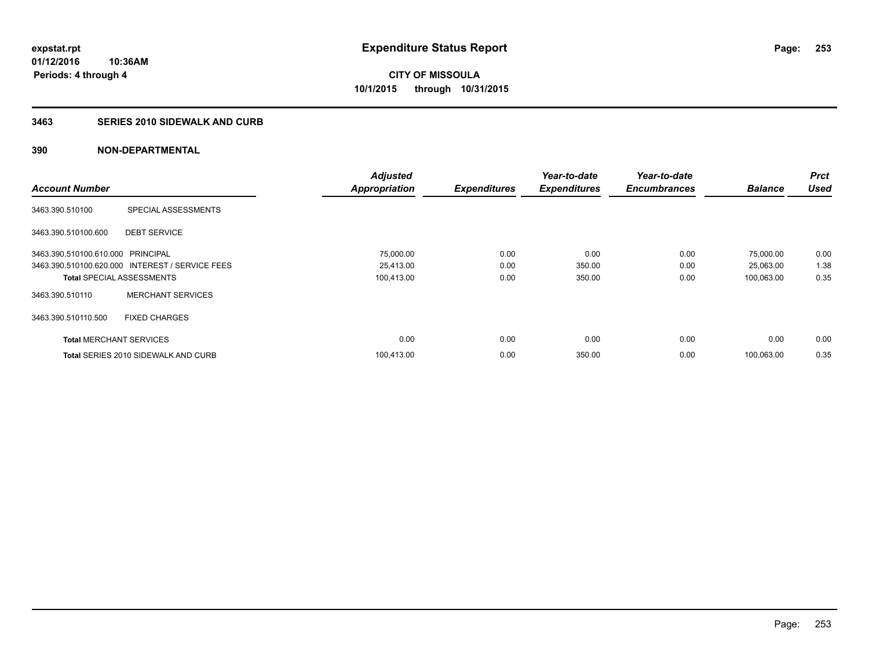## **3463 SERIES 2010 SIDEWALK AND CURB**

|                                   |                                                 | <b>Adjusted</b>      |                     | Year-to-date        | Year-to-date        |                | <b>Prct</b> |
|-----------------------------------|-------------------------------------------------|----------------------|---------------------|---------------------|---------------------|----------------|-------------|
| <b>Account Number</b>             |                                                 | <b>Appropriation</b> | <b>Expenditures</b> | <b>Expenditures</b> | <b>Encumbrances</b> | <b>Balance</b> | <b>Used</b> |
| 3463.390.510100                   | SPECIAL ASSESSMENTS                             |                      |                     |                     |                     |                |             |
| 3463.390.510100.600               | <b>DEBT SERVICE</b>                             |                      |                     |                     |                     |                |             |
| 3463.390.510100.610.000 PRINCIPAL |                                                 | 75,000.00            | 0.00                | 0.00                | 0.00                | 75,000.00      | 0.00        |
|                                   | 3463.390.510100.620.000 INTEREST / SERVICE FEES | 25,413.00            | 0.00                | 350.00              | 0.00                | 25,063.00      | 1.38        |
| <b>Total SPECIAL ASSESSMENTS</b>  |                                                 | 100,413.00           | 0.00                | 350.00              | 0.00                | 100,063.00     | 0.35        |
| 3463.390.510110                   | <b>MERCHANT SERVICES</b>                        |                      |                     |                     |                     |                |             |
| 3463.390.510110.500               | <b>FIXED CHARGES</b>                            |                      |                     |                     |                     |                |             |
| <b>Total MERCHANT SERVICES</b>    |                                                 | 0.00                 | 0.00                | 0.00                | 0.00                | 0.00           | 0.00        |
|                                   | <b>Total SERIES 2010 SIDEWALK AND CURB</b>      | 100,413.00           | 0.00                | 350.00              | 0.00                | 100,063.00     | 0.35        |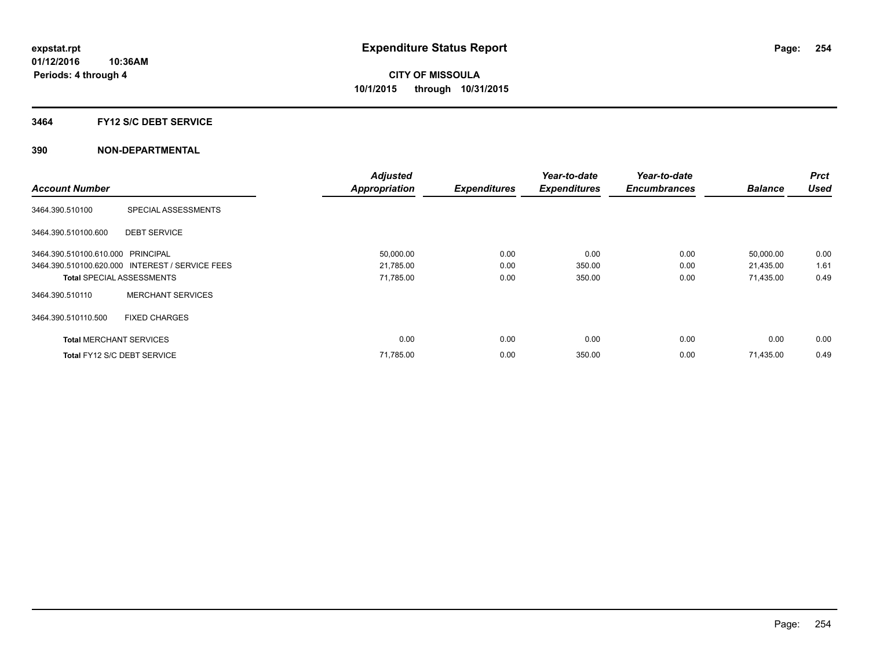### **3464 FY12 S/C DEBT SERVICE**

|                                   |                                                 | <b>Adjusted</b>      |                     | Year-to-date        | Year-to-date        |                | <b>Prct</b> |
|-----------------------------------|-------------------------------------------------|----------------------|---------------------|---------------------|---------------------|----------------|-------------|
| <b>Account Number</b>             |                                                 | <b>Appropriation</b> | <b>Expenditures</b> | <b>Expenditures</b> | <b>Encumbrances</b> | <b>Balance</b> | <b>Used</b> |
| 3464.390.510100                   | SPECIAL ASSESSMENTS                             |                      |                     |                     |                     |                |             |
| 3464.390.510100.600               | <b>DEBT SERVICE</b>                             |                      |                     |                     |                     |                |             |
| 3464.390.510100.610.000 PRINCIPAL |                                                 | 50,000.00            | 0.00                | 0.00                | 0.00                | 50,000.00      | 0.00        |
|                                   | 3464.390.510100.620.000 INTEREST / SERVICE FEES | 21,785.00            | 0.00                | 350.00              | 0.00                | 21,435.00      | 1.61        |
| <b>Total SPECIAL ASSESSMENTS</b>  |                                                 | 71,785.00            | 0.00                | 350.00              | 0.00                | 71,435.00      | 0.49        |
| 3464.390.510110                   | <b>MERCHANT SERVICES</b>                        |                      |                     |                     |                     |                |             |
| 3464.390.510110.500               | <b>FIXED CHARGES</b>                            |                      |                     |                     |                     |                |             |
| <b>Total MERCHANT SERVICES</b>    |                                                 | 0.00                 | 0.00                | 0.00                | 0.00                | 0.00           | 0.00        |
| Total FY12 S/C DEBT SERVICE       |                                                 | 71,785.00            | 0.00                | 350.00              | 0.00                | 71,435.00      | 0.49        |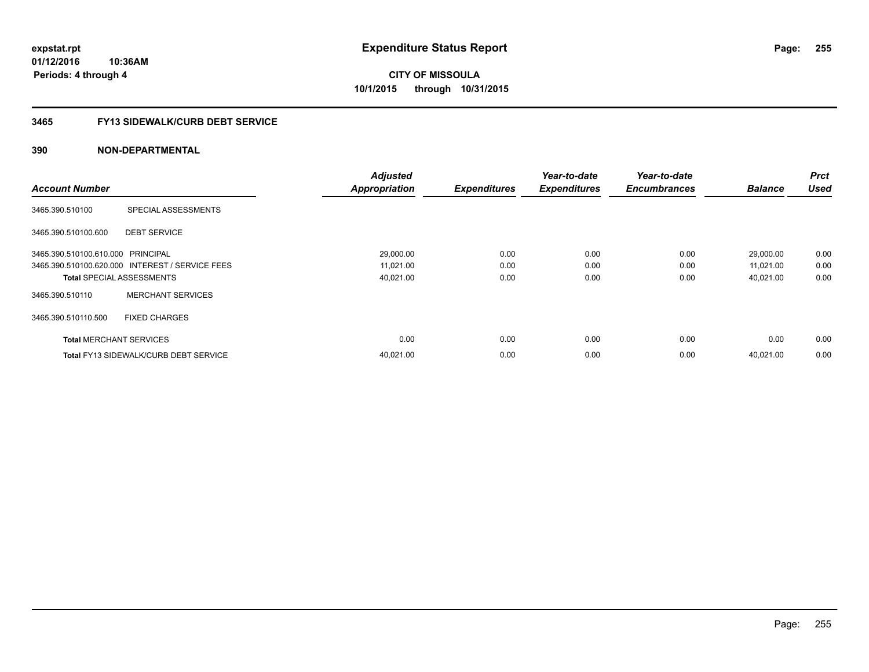**Periods: 4 through 4**

**CITY OF MISSOULA 10/1/2015 through 10/31/2015**

### **3465 FY13 SIDEWALK/CURB DEBT SERVICE**

## **390 NON-DEPARTMENTAL**

**10:36AM**

| <b>Account Number</b>             |                                                 | <b>Adjusted</b><br><b>Appropriation</b> | <b>Expenditures</b> | Year-to-date<br><b>Expenditures</b> | Year-to-date<br><b>Encumbrances</b> | <b>Balance</b>         | <b>Prct</b><br><b>Used</b> |
|-----------------------------------|-------------------------------------------------|-----------------------------------------|---------------------|-------------------------------------|-------------------------------------|------------------------|----------------------------|
| 3465.390.510100                   | SPECIAL ASSESSMENTS                             |                                         |                     |                                     |                                     |                        |                            |
| 3465.390.510100.600               | <b>DEBT SERVICE</b>                             |                                         |                     |                                     |                                     |                        |                            |
| 3465.390.510100.610.000 PRINCIPAL | 3465.390.510100.620.000 INTEREST / SERVICE FEES | 29,000.00<br>11,021.00                  | 0.00<br>0.00        | 0.00<br>0.00                        | 0.00<br>0.00                        | 29,000.00<br>11,021.00 | 0.00<br>0.00               |
|                                   | <b>Total SPECIAL ASSESSMENTS</b>                | 40,021.00                               | 0.00                | 0.00                                | 0.00                                | 40,021.00              | 0.00                       |
| 3465.390.510110                   | <b>MERCHANT SERVICES</b>                        |                                         |                     |                                     |                                     |                        |                            |
| 3465.390.510110.500               | <b>FIXED CHARGES</b>                            |                                         |                     |                                     |                                     |                        |                            |
| <b>Total MERCHANT SERVICES</b>    |                                                 | 0.00                                    | 0.00                | 0.00                                | 0.00                                | 0.00                   | 0.00                       |
|                                   | <b>Total FY13 SIDEWALK/CURB DEBT SERVICE</b>    | 40,021.00                               | 0.00                | 0.00                                | 0.00                                | 40.021.00              | 0.00                       |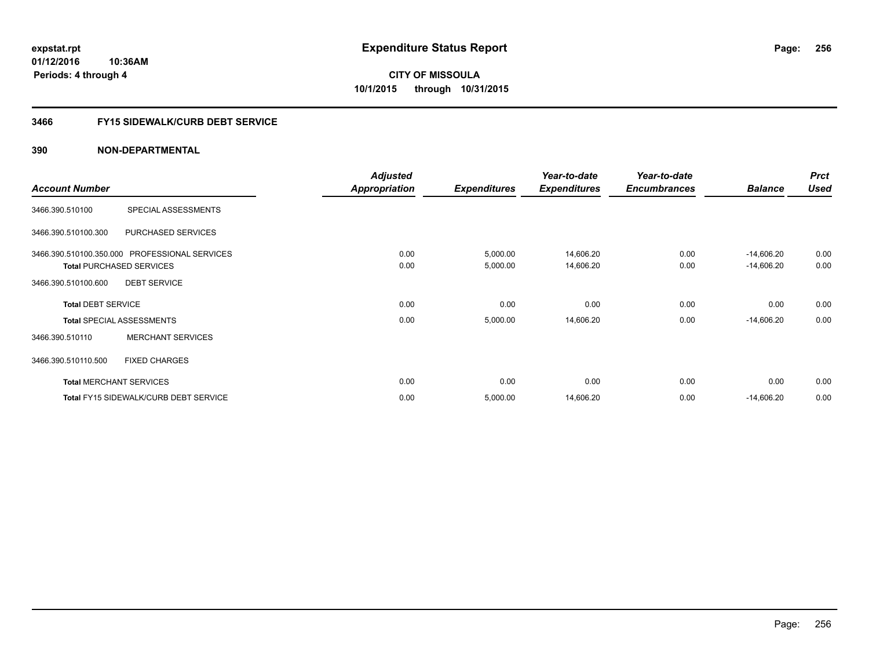**Periods: 4 through 4**

**CITY OF MISSOULA 10/1/2015 through 10/31/2015**

## **3466 FY15 SIDEWALK/CURB DEBT SERVICE**

|                           |                                               | <b>Adjusted</b>      |                     | Year-to-date        | Year-to-date        |                | <b>Prct</b> |
|---------------------------|-----------------------------------------------|----------------------|---------------------|---------------------|---------------------|----------------|-------------|
| <b>Account Number</b>     |                                               | <b>Appropriation</b> | <b>Expenditures</b> | <b>Expenditures</b> | <b>Encumbrances</b> | <b>Balance</b> | <b>Used</b> |
| 3466.390.510100           | SPECIAL ASSESSMENTS                           |                      |                     |                     |                     |                |             |
| 3466.390.510100.300       | PURCHASED SERVICES                            |                      |                     |                     |                     |                |             |
|                           | 3466.390.510100.350.000 PROFESSIONAL SERVICES | 0.00                 | 5,000.00            | 14,606.20           | 0.00                | $-14,606.20$   | 0.00        |
|                           | <b>Total PURCHASED SERVICES</b>               | 0.00                 | 5,000.00            | 14,606.20           | 0.00                | $-14,606.20$   | 0.00        |
| 3466.390.510100.600       | <b>DEBT SERVICE</b>                           |                      |                     |                     |                     |                |             |
| <b>Total DEBT SERVICE</b> |                                               | 0.00                 | 0.00                | 0.00                | 0.00                | 0.00           | 0.00        |
|                           | <b>Total SPECIAL ASSESSMENTS</b>              | 0.00                 | 5,000.00            | 14,606.20           | 0.00                | $-14,606.20$   | 0.00        |
| 3466.390.510110           | <b>MERCHANT SERVICES</b>                      |                      |                     |                     |                     |                |             |
| 3466.390.510110.500       | <b>FIXED CHARGES</b>                          |                      |                     |                     |                     |                |             |
|                           | <b>Total MERCHANT SERVICES</b>                | 0.00                 | 0.00                | 0.00                | 0.00                | 0.00           | 0.00        |
|                           | Total FY15 SIDEWALK/CURB DEBT SERVICE         | 0.00                 | 5,000.00            | 14,606.20           | 0.00                | $-14,606.20$   | 0.00        |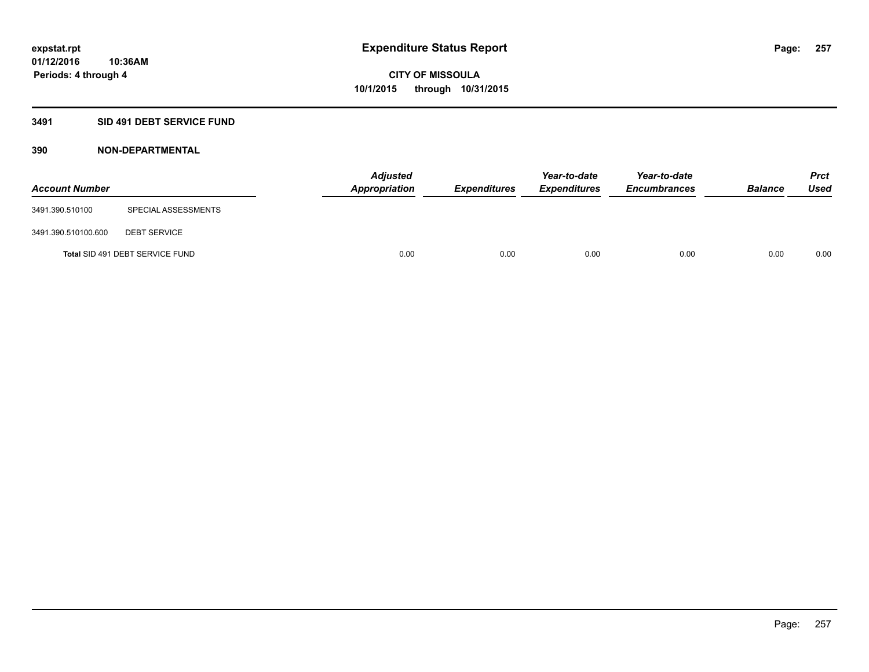## **3491 SID 491 DEBT SERVICE FUND**

| <b>Account Number</b> |                                 | <b>Adjusted</b><br><b>Appropriation</b> | <b>Expenditures</b> | Year-to-date<br><b>Expenditures</b> | Year-to-date<br><b>Encumbrances</b> | <b>Balance</b> | <b>Prct</b><br><b>Used</b> |
|-----------------------|---------------------------------|-----------------------------------------|---------------------|-------------------------------------|-------------------------------------|----------------|----------------------------|
| 3491.390.510100       | SPECIAL ASSESSMENTS             |                                         |                     |                                     |                                     |                |                            |
| 3491.390.510100.600   | <b>DEBT SERVICE</b>             |                                         |                     |                                     |                                     |                |                            |
|                       | Total SID 491 DEBT SERVICE FUND | 0.00                                    | 0.00                | 0.00                                | 0.00                                | 0.00           | 0.00                       |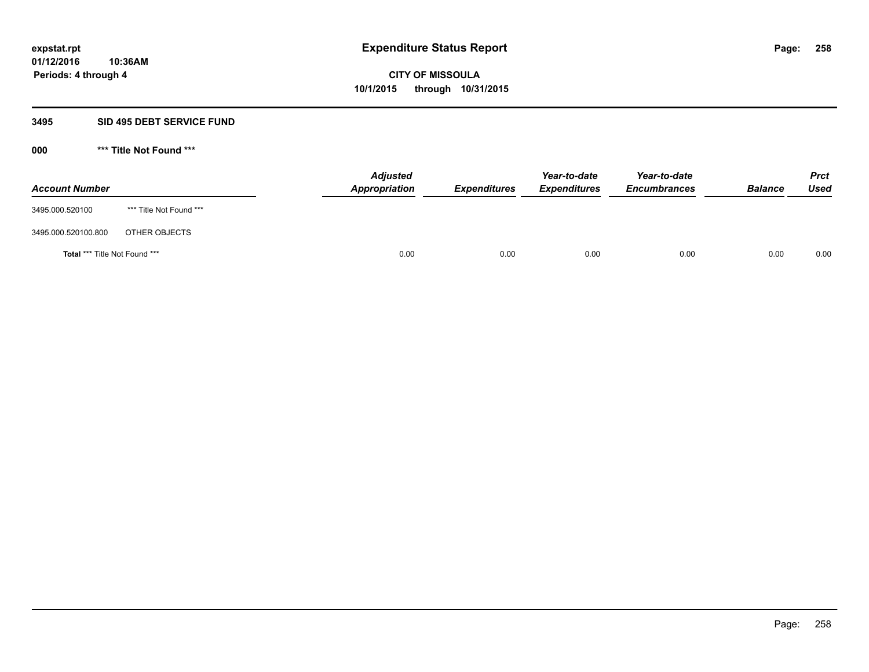## **3495 SID 495 DEBT SERVICE FUND**

| <b>Account Number</b>         |                         | <b>Adjusted</b><br>Appropriation | <b>Expenditures</b> | Year-to-date<br><b>Expenditures</b> | Year-to-date<br><b>Encumbrances</b> | <b>Balance</b> | <b>Prct</b><br>Used |
|-------------------------------|-------------------------|----------------------------------|---------------------|-------------------------------------|-------------------------------------|----------------|---------------------|
| 3495.000.520100               | *** Title Not Found *** |                                  |                     |                                     |                                     |                |                     |
| 3495.000.520100.800           | OTHER OBJECTS           |                                  |                     |                                     |                                     |                |                     |
| Total *** Title Not Found *** |                         | 0.00                             | 0.00                | 0.00                                | 0.00                                | 0.00           | 0.00                |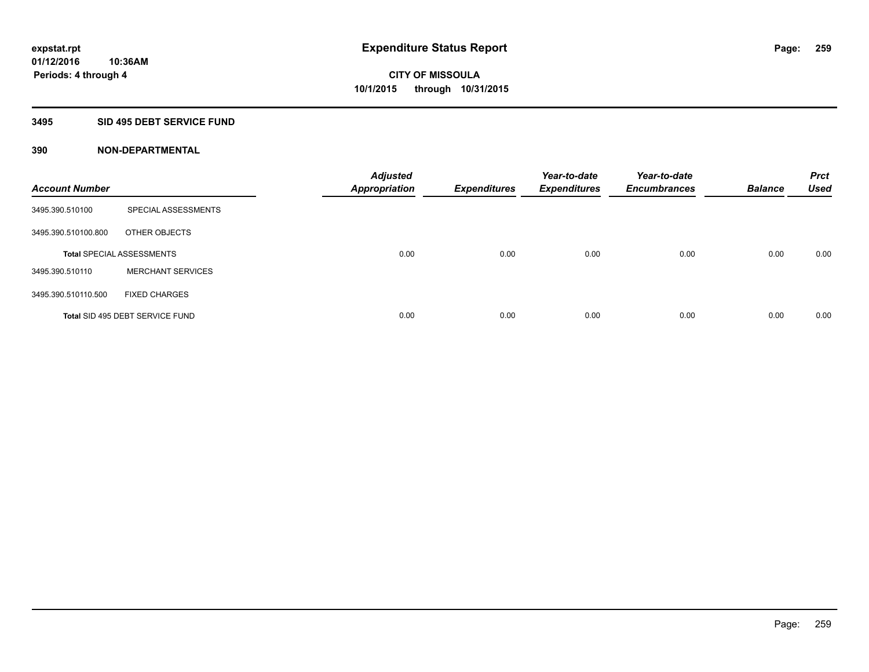## **3495 SID 495 DEBT SERVICE FUND**

| <b>Account Number</b> |                                  | <b>Adjusted</b><br><b>Appropriation</b> | <b>Expenditures</b> | Year-to-date<br><b>Expenditures</b> | Year-to-date<br><b>Encumbrances</b> | <b>Balance</b> | <b>Prct</b><br><b>Used</b> |
|-----------------------|----------------------------------|-----------------------------------------|---------------------|-------------------------------------|-------------------------------------|----------------|----------------------------|
| 3495.390.510100       | <b>SPECIAL ASSESSMENTS</b>       |                                         |                     |                                     |                                     |                |                            |
| 3495.390.510100.800   | OTHER OBJECTS                    |                                         |                     |                                     |                                     |                |                            |
|                       | <b>Total SPECIAL ASSESSMENTS</b> | 0.00                                    | 0.00                | 0.00                                | 0.00                                | 0.00           | 0.00                       |
| 3495.390.510110       | <b>MERCHANT SERVICES</b>         |                                         |                     |                                     |                                     |                |                            |
| 3495.390.510110.500   | <b>FIXED CHARGES</b>             |                                         |                     |                                     |                                     |                |                            |
|                       | Total SID 495 DEBT SERVICE FUND  | 0.00                                    | 0.00                | 0.00                                | 0.00                                | 0.00           | 0.00                       |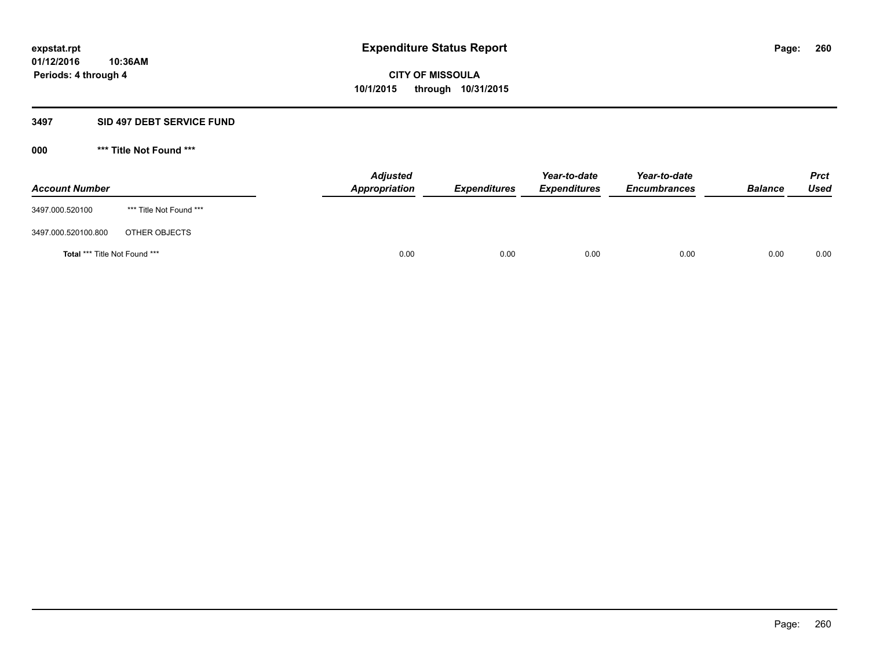## **3497 SID 497 DEBT SERVICE FUND**

| <b>Account Number</b>                |                         | <b>Adjusted</b><br>Appropriation | <b>Expenditures</b> | Year-to-date<br><b>Expenditures</b> | Year-to-date<br><b>Encumbrances</b> | <b>Balance</b> | <b>Prct</b><br><b>Used</b> |
|--------------------------------------|-------------------------|----------------------------------|---------------------|-------------------------------------|-------------------------------------|----------------|----------------------------|
| 3497.000.520100                      | *** Title Not Found *** |                                  |                     |                                     |                                     |                |                            |
| 3497.000.520100.800                  | OTHER OBJECTS           |                                  |                     |                                     |                                     |                |                            |
| <b>Total *** Title Not Found ***</b> |                         | 0.00                             | 0.00                | 0.00                                | 0.00                                | 0.00           | 0.00                       |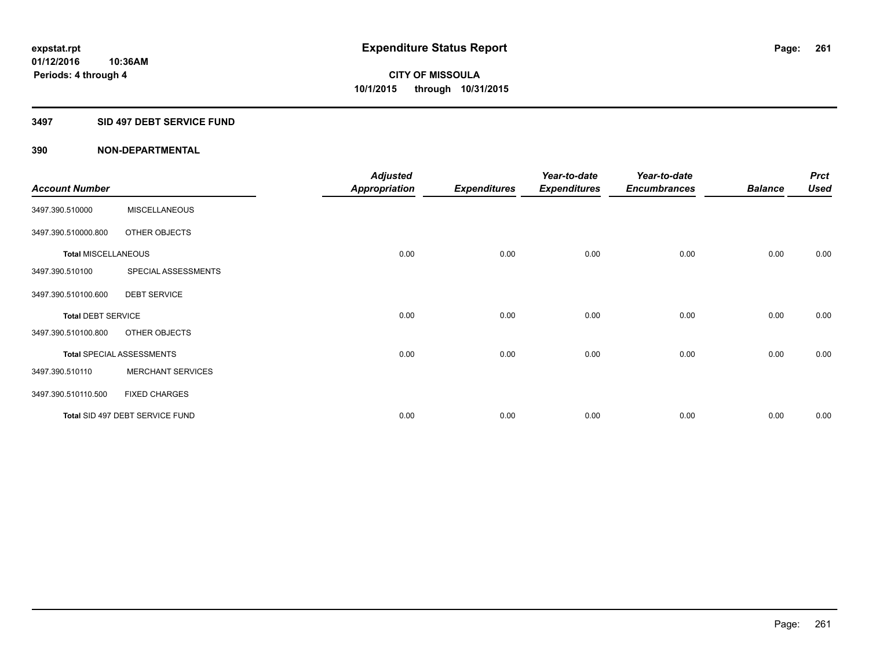## **3497 SID 497 DEBT SERVICE FUND**

|                            |                                  | <b>Adjusted</b>      |                     | Year-to-date        | Year-to-date        |                | <b>Prct</b> |
|----------------------------|----------------------------------|----------------------|---------------------|---------------------|---------------------|----------------|-------------|
| <b>Account Number</b>      |                                  | <b>Appropriation</b> | <b>Expenditures</b> | <b>Expenditures</b> | <b>Encumbrances</b> | <b>Balance</b> | <b>Used</b> |
| 3497.390.510000            | <b>MISCELLANEOUS</b>             |                      |                     |                     |                     |                |             |
| 3497.390.510000.800        | OTHER OBJECTS                    |                      |                     |                     |                     |                |             |
| <b>Total MISCELLANEOUS</b> |                                  | 0.00                 | 0.00                | 0.00                | 0.00                | 0.00           | 0.00        |
| 3497.390.510100            | SPECIAL ASSESSMENTS              |                      |                     |                     |                     |                |             |
| 3497.390.510100.600        | <b>DEBT SERVICE</b>              |                      |                     |                     |                     |                |             |
| <b>Total DEBT SERVICE</b>  |                                  | 0.00                 | 0.00                | 0.00                | 0.00                | 0.00           | 0.00        |
| 3497.390.510100.800        | OTHER OBJECTS                    |                      |                     |                     |                     |                |             |
|                            | <b>Total SPECIAL ASSESSMENTS</b> | 0.00                 | 0.00                | 0.00                | 0.00                | 0.00           | 0.00        |
| 3497.390.510110            | <b>MERCHANT SERVICES</b>         |                      |                     |                     |                     |                |             |
| 3497.390.510110.500        | <b>FIXED CHARGES</b>             |                      |                     |                     |                     |                |             |
|                            | Total SID 497 DEBT SERVICE FUND  | 0.00                 | 0.00                | 0.00                | 0.00                | 0.00           | 0.00        |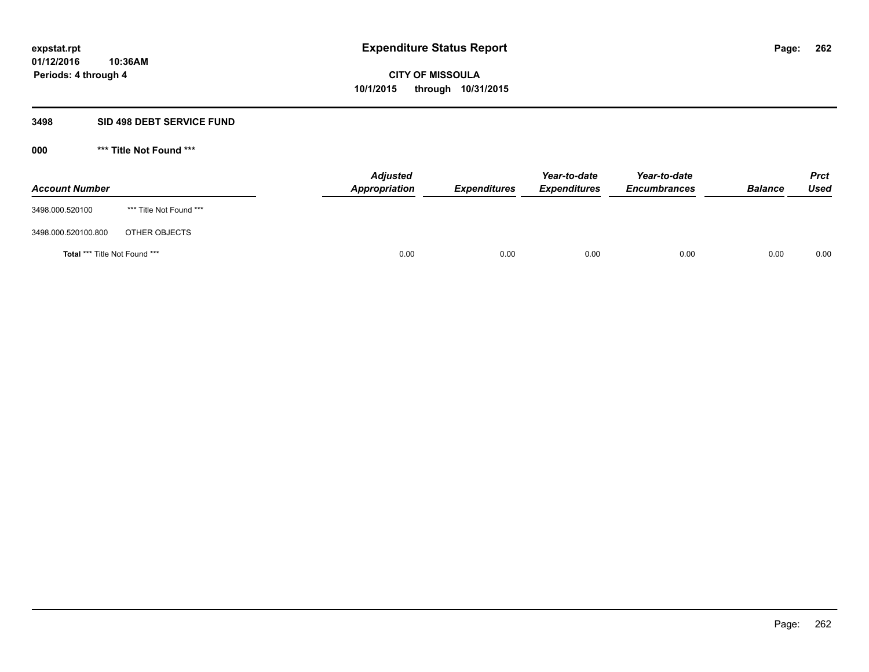## **3498 SID 498 DEBT SERVICE FUND**

| <b>Account Number</b>         |                         | <b>Adjusted</b><br>Appropriation | <b>Expenditures</b> | Year-to-date<br><b>Expenditures</b> | Year-to-date<br><b>Encumbrances</b> | <b>Balance</b> | <b>Prct</b><br>Used |
|-------------------------------|-------------------------|----------------------------------|---------------------|-------------------------------------|-------------------------------------|----------------|---------------------|
| 3498.000.520100               | *** Title Not Found *** |                                  |                     |                                     |                                     |                |                     |
| 3498.000.520100.800           | OTHER OBJECTS           |                                  |                     |                                     |                                     |                |                     |
| Total *** Title Not Found *** |                         | 0.00                             | 0.00                | 0.00                                | 0.00                                | 0.00           | 0.00                |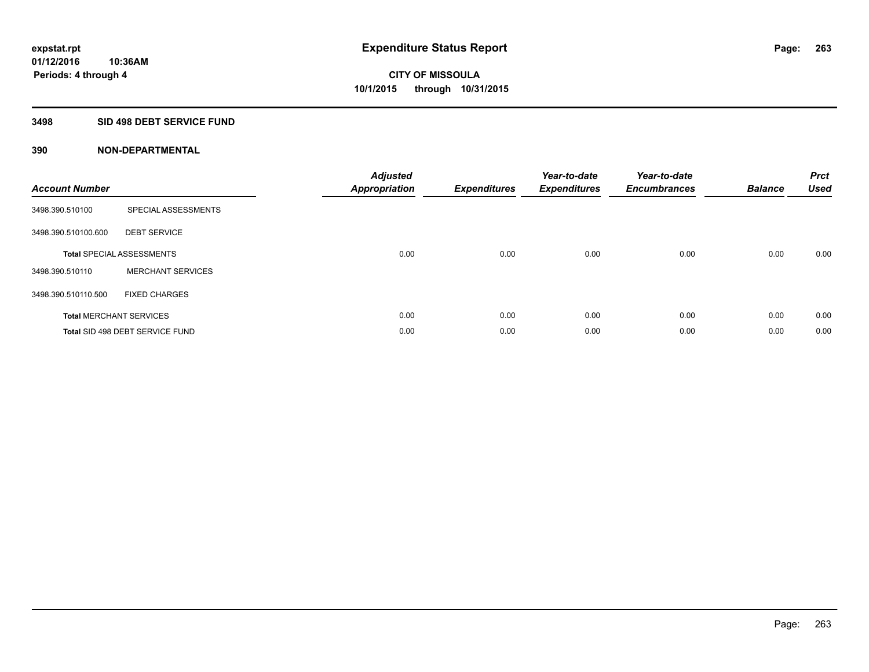## **3498 SID 498 DEBT SERVICE FUND**

| <b>Account Number</b> |                                  | <b>Adjusted</b><br>Appropriation | <b>Expenditures</b> | Year-to-date<br><b>Expenditures</b> | Year-to-date<br><b>Encumbrances</b> | <b>Balance</b> | <b>Prct</b><br><b>Used</b> |
|-----------------------|----------------------------------|----------------------------------|---------------------|-------------------------------------|-------------------------------------|----------------|----------------------------|
| 3498.390.510100       | SPECIAL ASSESSMENTS              |                                  |                     |                                     |                                     |                |                            |
| 3498.390.510100.600   | <b>DEBT SERVICE</b>              |                                  |                     |                                     |                                     |                |                            |
|                       | <b>Total SPECIAL ASSESSMENTS</b> | 0.00                             | 0.00                | 0.00                                | 0.00                                | 0.00           | 0.00                       |
| 3498.390.510110       | <b>MERCHANT SERVICES</b>         |                                  |                     |                                     |                                     |                |                            |
| 3498.390.510110.500   | <b>FIXED CHARGES</b>             |                                  |                     |                                     |                                     |                |                            |
|                       | <b>Total MERCHANT SERVICES</b>   | 0.00                             | 0.00                | 0.00                                | 0.00                                | 0.00           | 0.00                       |
|                       | Total SID 498 DEBT SERVICE FUND  | 0.00                             | 0.00                | 0.00                                | 0.00                                | 0.00           | 0.00                       |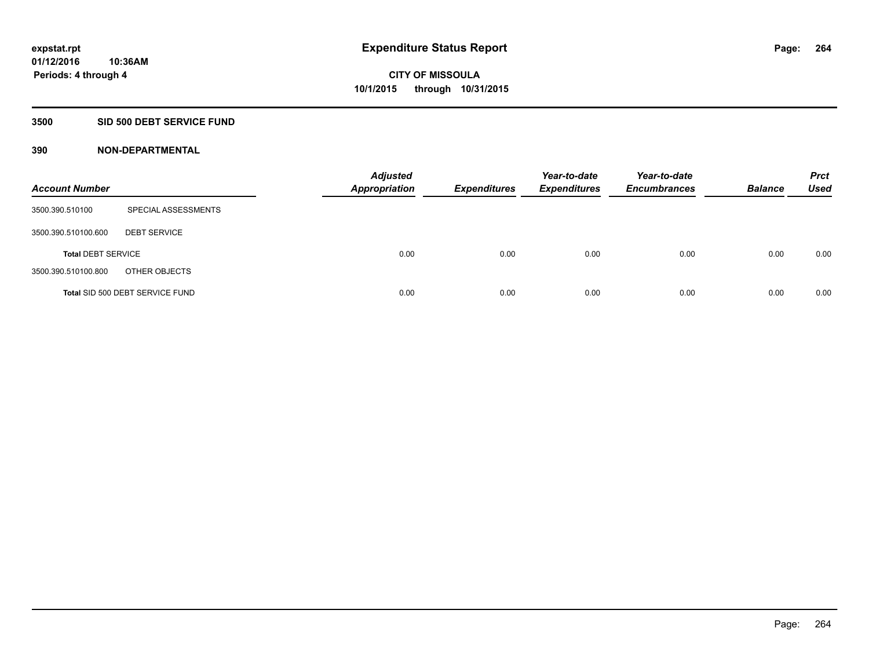## **3500 SID 500 DEBT SERVICE FUND**

| <b>Account Number</b>     |                                 | <b>Adjusted</b><br><b>Appropriation</b> | <b>Expenditures</b> | Year-to-date<br><b>Expenditures</b> | Year-to-date<br><b>Encumbrances</b> | <b>Balance</b> | <b>Prct</b><br><b>Used</b> |
|---------------------------|---------------------------------|-----------------------------------------|---------------------|-------------------------------------|-------------------------------------|----------------|----------------------------|
| 3500.390.510100           | SPECIAL ASSESSMENTS             |                                         |                     |                                     |                                     |                |                            |
| 3500.390.510100.600       | <b>DEBT SERVICE</b>             |                                         |                     |                                     |                                     |                |                            |
| <b>Total DEBT SERVICE</b> |                                 | 0.00                                    | 0.00                | 0.00                                | 0.00                                | 0.00           | 0.00                       |
| 3500.390.510100.800       | OTHER OBJECTS                   |                                         |                     |                                     |                                     |                |                            |
|                           | Total SID 500 DEBT SERVICE FUND | 0.00                                    | 0.00                | 0.00                                | 0.00                                | 0.00           | 0.00                       |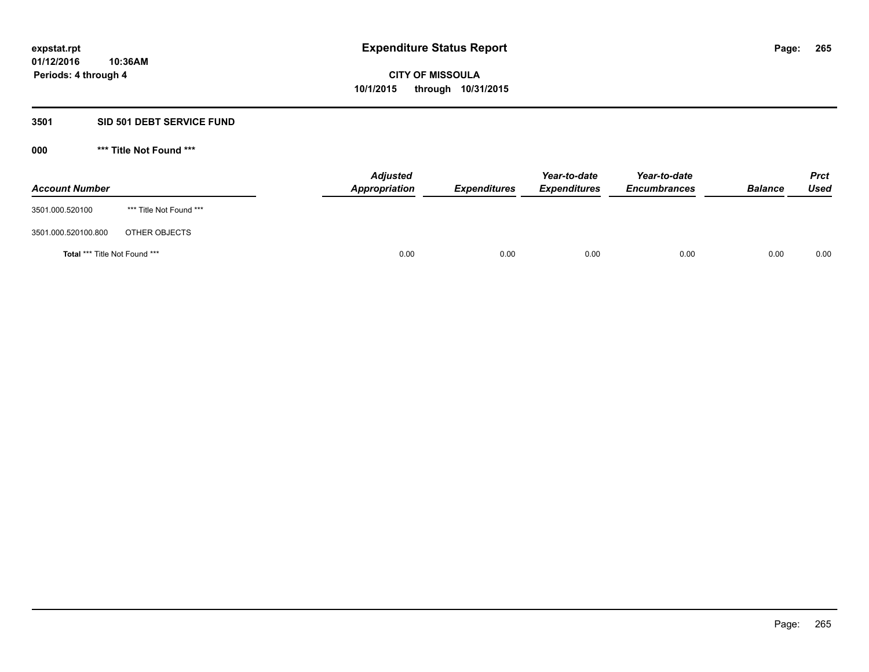## **3501 SID 501 DEBT SERVICE FUND**

| <b>Account Number</b>         |                         | <b>Adjusted</b><br>Appropriation | <b>Expenditures</b> | Year-to-date<br><b>Expenditures</b> | Year-to-date<br><b>Encumbrances</b> | <b>Balance</b> | <b>Prct</b><br>Used |
|-------------------------------|-------------------------|----------------------------------|---------------------|-------------------------------------|-------------------------------------|----------------|---------------------|
| 3501.000.520100               | *** Title Not Found *** |                                  |                     |                                     |                                     |                |                     |
| 3501.000.520100.800           | OTHER OBJECTS           |                                  |                     |                                     |                                     |                |                     |
| Total *** Title Not Found *** |                         | 0.00                             | 0.00                | 0.00                                | 0.00                                | 0.00           | 0.00                |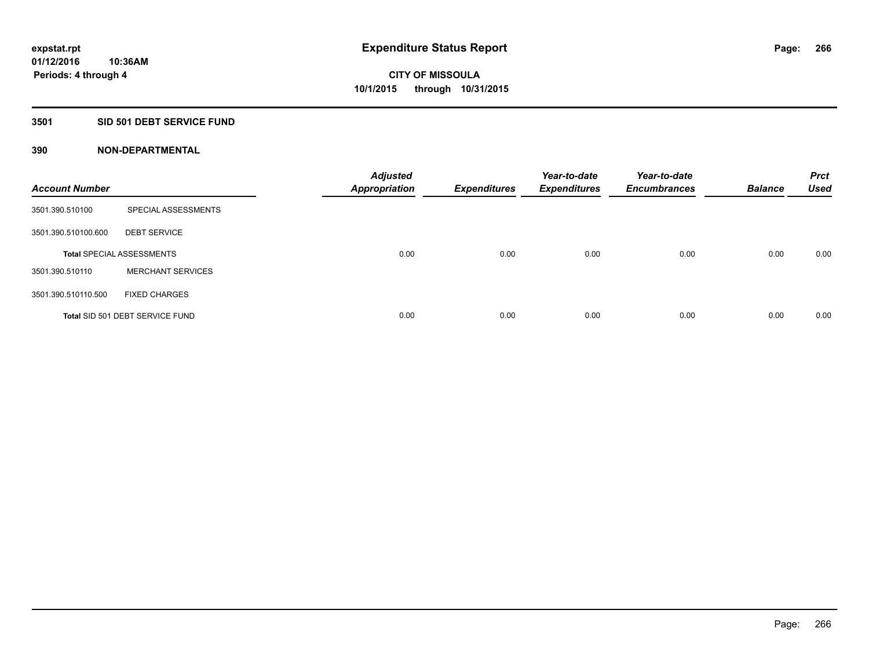## **3501 SID 501 DEBT SERVICE FUND**

| <b>Account Number</b> |                                  | <b>Adjusted</b><br>Appropriation | <b>Expenditures</b> | Year-to-date<br><b>Expenditures</b> | Year-to-date<br><b>Encumbrances</b> | <b>Balance</b> | <b>Prct</b><br><b>Used</b> |
|-----------------------|----------------------------------|----------------------------------|---------------------|-------------------------------------|-------------------------------------|----------------|----------------------------|
| 3501.390.510100       | SPECIAL ASSESSMENTS              |                                  |                     |                                     |                                     |                |                            |
| 3501.390.510100.600   | <b>DEBT SERVICE</b>              |                                  |                     |                                     |                                     |                |                            |
|                       | <b>Total SPECIAL ASSESSMENTS</b> | 0.00                             | 0.00                | 0.00                                | 0.00                                | 0.00           | 0.00                       |
| 3501.390.510110       | <b>MERCHANT SERVICES</b>         |                                  |                     |                                     |                                     |                |                            |
| 3501.390.510110.500   | <b>FIXED CHARGES</b>             |                                  |                     |                                     |                                     |                |                            |
|                       | Total SID 501 DEBT SERVICE FUND  | 0.00                             | 0.00                | 0.00                                | 0.00                                | 0.00           | 0.00                       |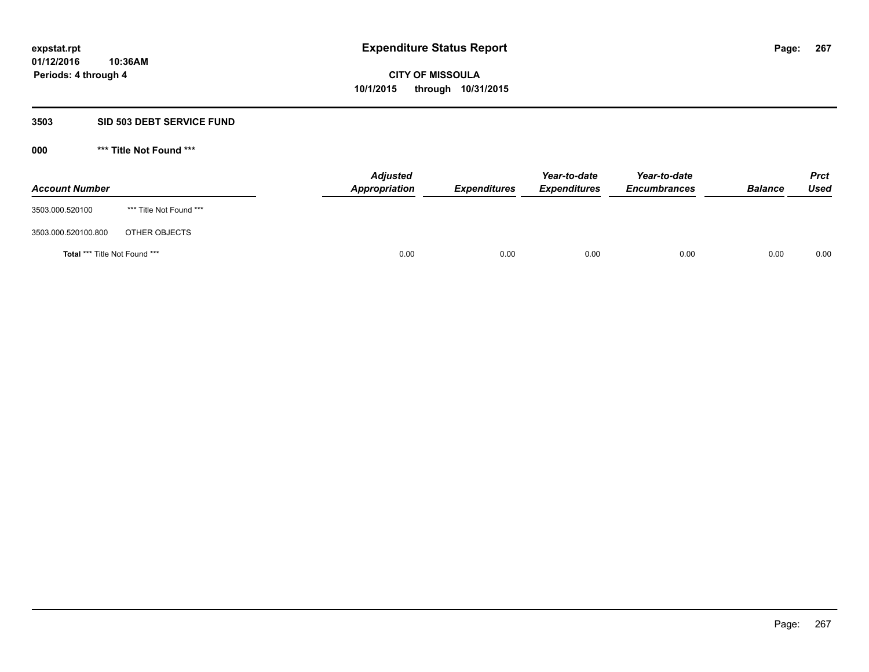## **3503 SID 503 DEBT SERVICE FUND**

| <b>Account Number</b>         |                         | <b>Adjusted</b><br>Appropriation | <b>Expenditures</b> | Year-to-date<br><b>Expenditures</b> | Year-to-date<br><b>Encumbrances</b> | <b>Balance</b> | <b>Prct</b><br>Used |
|-------------------------------|-------------------------|----------------------------------|---------------------|-------------------------------------|-------------------------------------|----------------|---------------------|
| 3503.000.520100               | *** Title Not Found *** |                                  |                     |                                     |                                     |                |                     |
| 3503.000.520100.800           | OTHER OBJECTS           |                                  |                     |                                     |                                     |                |                     |
| Total *** Title Not Found *** |                         | 0.00                             | 0.00                | 0.00                                | 0.00                                | 0.00           | 0.00                |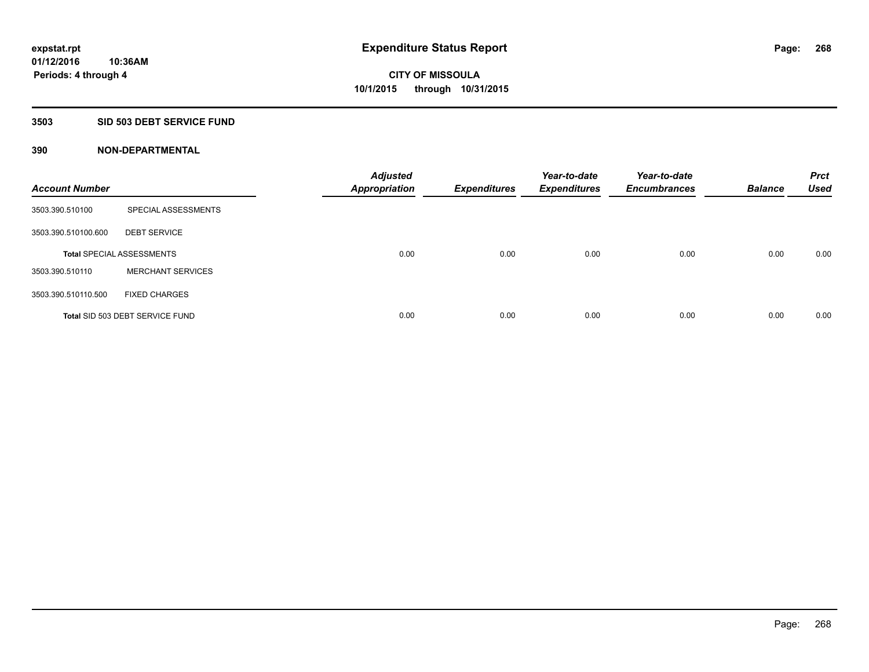## **3503 SID 503 DEBT SERVICE FUND**

| <b>Account Number</b> |                                  | <b>Adjusted</b><br>Appropriation | <b>Expenditures</b> | Year-to-date<br><b>Expenditures</b> | Year-to-date<br><b>Encumbrances</b> | <b>Balance</b> | <b>Prct</b><br><b>Used</b> |
|-----------------------|----------------------------------|----------------------------------|---------------------|-------------------------------------|-------------------------------------|----------------|----------------------------|
| 3503.390.510100       | SPECIAL ASSESSMENTS              |                                  |                     |                                     |                                     |                |                            |
| 3503.390.510100.600   | <b>DEBT SERVICE</b>              |                                  |                     |                                     |                                     |                |                            |
|                       | <b>Total SPECIAL ASSESSMENTS</b> | 0.00                             | 0.00                | 0.00                                | 0.00                                | 0.00           | 0.00                       |
| 3503.390.510110       | <b>MERCHANT SERVICES</b>         |                                  |                     |                                     |                                     |                |                            |
| 3503.390.510110.500   | <b>FIXED CHARGES</b>             |                                  |                     |                                     |                                     |                |                            |
|                       | Total SID 503 DEBT SERVICE FUND  | 0.00                             | 0.00                | 0.00                                | 0.00                                | 0.00           | 0.00                       |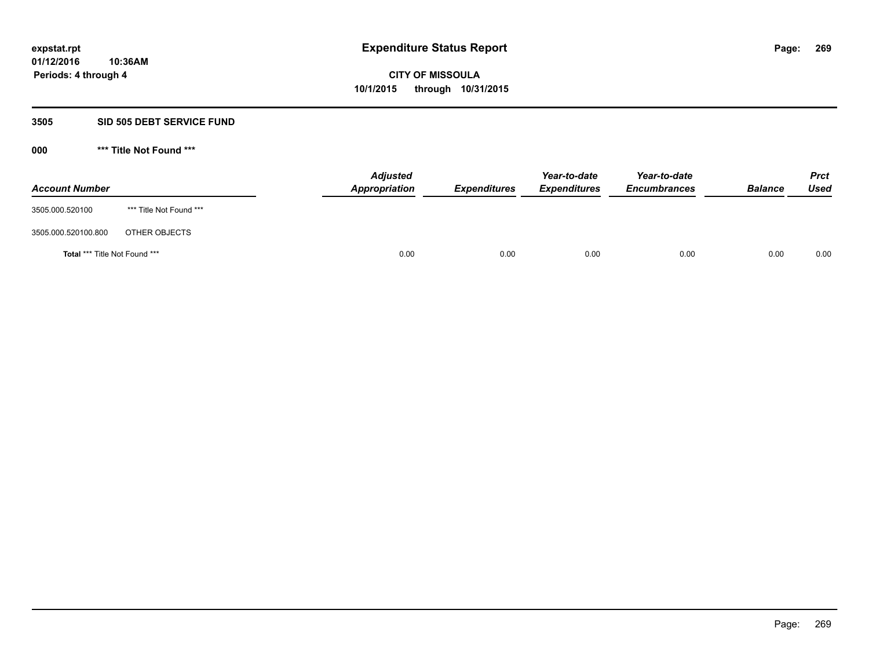## **3505 SID 505 DEBT SERVICE FUND**

| <b>Account Number</b>         |                         | <b>Adjusted</b><br>Appropriation | <b>Expenditures</b> | Year-to-date<br><b>Expenditures</b> | Year-to-date<br><b>Encumbrances</b> | <b>Balance</b> | <b>Prct</b><br>Used |
|-------------------------------|-------------------------|----------------------------------|---------------------|-------------------------------------|-------------------------------------|----------------|---------------------|
| 3505.000.520100               | *** Title Not Found *** |                                  |                     |                                     |                                     |                |                     |
| 3505.000.520100.800           | OTHER OBJECTS           |                                  |                     |                                     |                                     |                |                     |
| Total *** Title Not Found *** |                         | 0.00                             | 0.00                | 0.00                                | 0.00                                | 0.00           | 0.00                |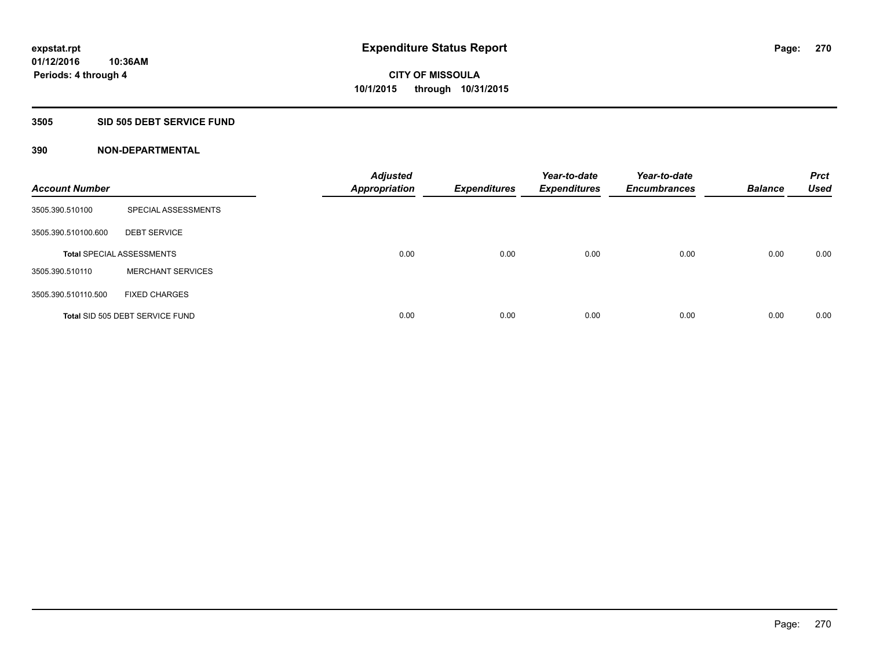## **3505 SID 505 DEBT SERVICE FUND**

| <b>Account Number</b> |                                  | <b>Adjusted</b><br>Appropriation | <b>Expenditures</b> | Year-to-date<br><b>Expenditures</b> | Year-to-date<br><b>Encumbrances</b> | <b>Balance</b> | <b>Prct</b><br><b>Used</b> |
|-----------------------|----------------------------------|----------------------------------|---------------------|-------------------------------------|-------------------------------------|----------------|----------------------------|
| 3505.390.510100       | SPECIAL ASSESSMENTS              |                                  |                     |                                     |                                     |                |                            |
| 3505.390.510100.600   | <b>DEBT SERVICE</b>              |                                  |                     |                                     |                                     |                |                            |
|                       | <b>Total SPECIAL ASSESSMENTS</b> | 0.00                             | 0.00                | 0.00                                | 0.00                                | 0.00           | 0.00                       |
| 3505.390.510110       | <b>MERCHANT SERVICES</b>         |                                  |                     |                                     |                                     |                |                            |
| 3505.390.510110.500   | <b>FIXED CHARGES</b>             |                                  |                     |                                     |                                     |                |                            |
|                       | Total SID 505 DEBT SERVICE FUND  | 0.00                             | 0.00                | 0.00                                | 0.00                                | 0.00           | 0.00                       |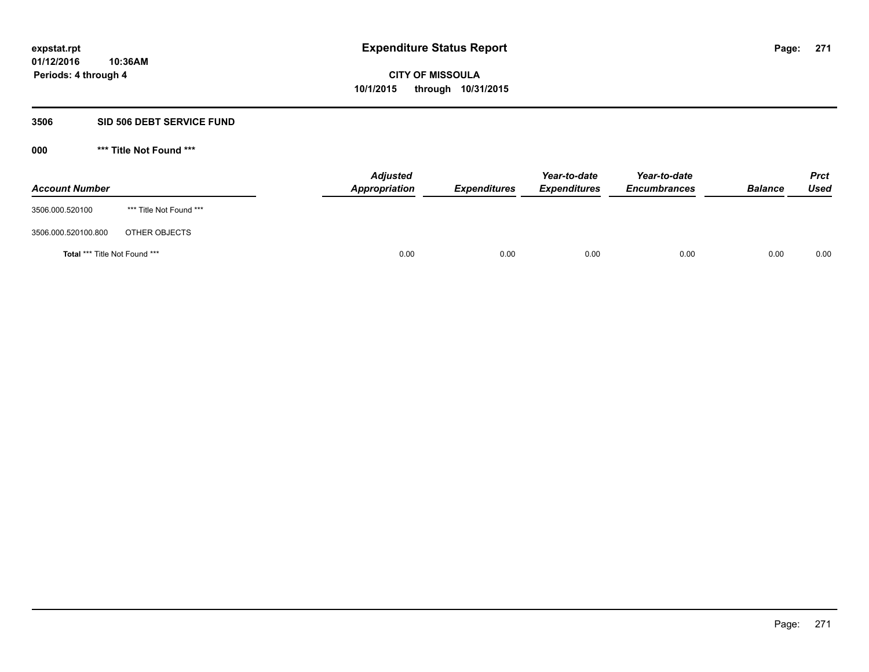#### **3506 SID 506 DEBT SERVICE FUND**

| <b>Account Number</b>         |                         | <b>Adjusted</b><br>Appropriation | <b>Expenditures</b> | Year-to-date<br><b>Expenditures</b> | Year-to-date<br><b>Encumbrances</b> | <b>Balance</b> | <b>Prct</b><br><b>Used</b> |
|-------------------------------|-------------------------|----------------------------------|---------------------|-------------------------------------|-------------------------------------|----------------|----------------------------|
| 3506.000.520100               | *** Title Not Found *** |                                  |                     |                                     |                                     |                |                            |
| 3506.000.520100.800           | OTHER OBJECTS           |                                  |                     |                                     |                                     |                |                            |
| Total *** Title Not Found *** |                         | 0.00                             | 0.00                | 0.00                                | 0.00                                | 0.00           | 0.00                       |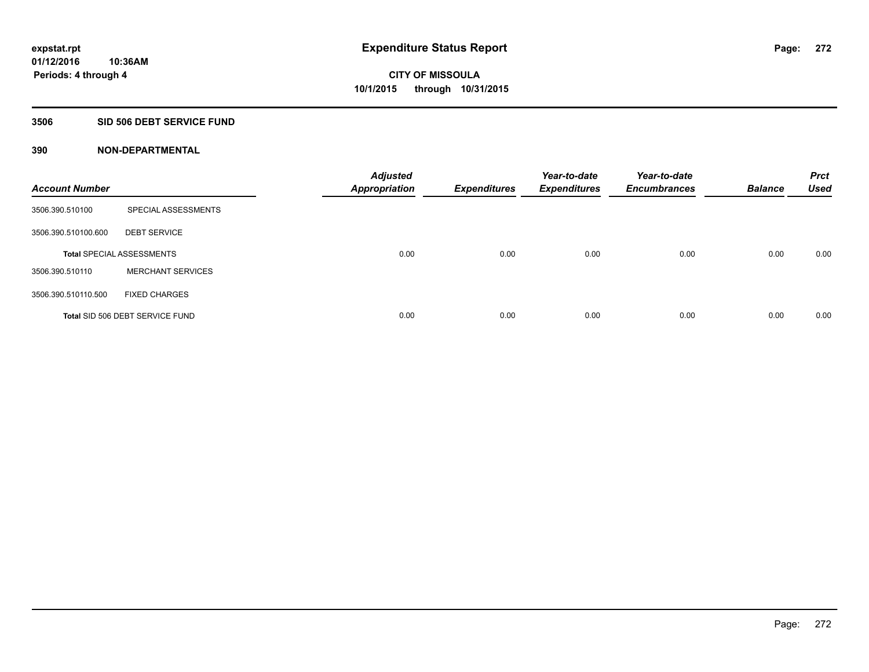## **3506 SID 506 DEBT SERVICE FUND**

| <b>Account Number</b> |                                  | <b>Adjusted</b><br><b>Appropriation</b> | <b>Expenditures</b> | Year-to-date<br><b>Expenditures</b> | Year-to-date<br><b>Encumbrances</b> | <b>Balance</b> | <b>Prct</b><br><b>Used</b> |
|-----------------------|----------------------------------|-----------------------------------------|---------------------|-------------------------------------|-------------------------------------|----------------|----------------------------|
| 3506.390.510100       | SPECIAL ASSESSMENTS              |                                         |                     |                                     |                                     |                |                            |
| 3506.390.510100.600   | <b>DEBT SERVICE</b>              |                                         |                     |                                     |                                     |                |                            |
|                       | <b>Total SPECIAL ASSESSMENTS</b> | 0.00                                    | 0.00                | 0.00                                | 0.00                                | 0.00           | 0.00                       |
| 3506.390.510110       | <b>MERCHANT SERVICES</b>         |                                         |                     |                                     |                                     |                |                            |
| 3506.390.510110.500   | <b>FIXED CHARGES</b>             |                                         |                     |                                     |                                     |                |                            |
|                       | Total SID 506 DEBT SERVICE FUND  | 0.00                                    | 0.00                | 0.00                                | 0.00                                | 0.00           | 0.00                       |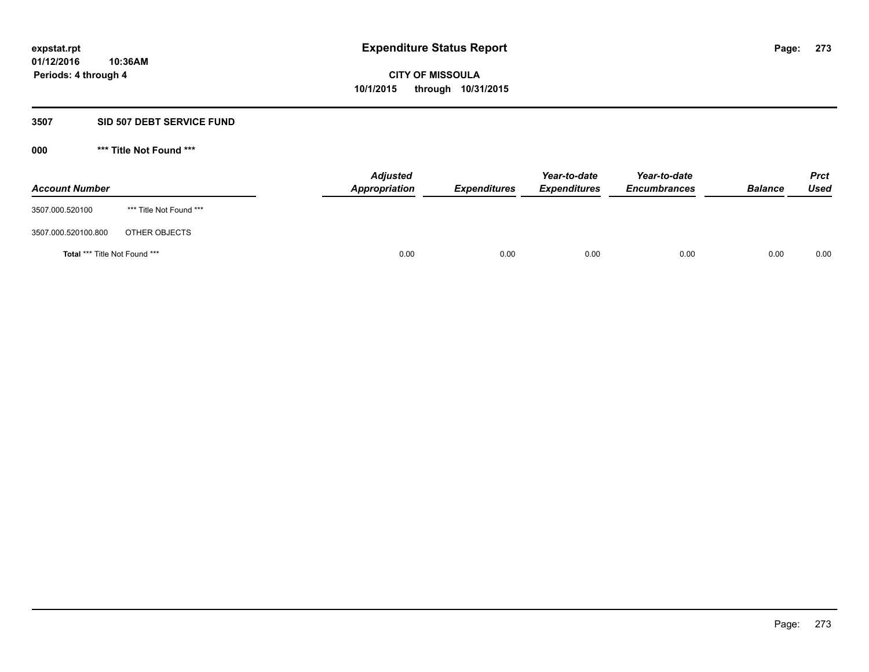#### **3507 SID 507 DEBT SERVICE FUND**

| <b>Account Number</b>         |                         | <b>Adjusted</b><br>Appropriation | <b>Expenditures</b> | Year-to-date<br><b>Expenditures</b> | Year-to-date<br><b>Encumbrances</b> | <b>Balance</b> | <b>Prct</b><br><b>Used</b> |
|-------------------------------|-------------------------|----------------------------------|---------------------|-------------------------------------|-------------------------------------|----------------|----------------------------|
| 3507.000.520100               | *** Title Not Found *** |                                  |                     |                                     |                                     |                |                            |
| 3507.000.520100.800           | OTHER OBJECTS           |                                  |                     |                                     |                                     |                |                            |
| Total *** Title Not Found *** |                         | 0.00                             | 0.00                | 0.00                                | 0.00                                | 0.00           | 0.00                       |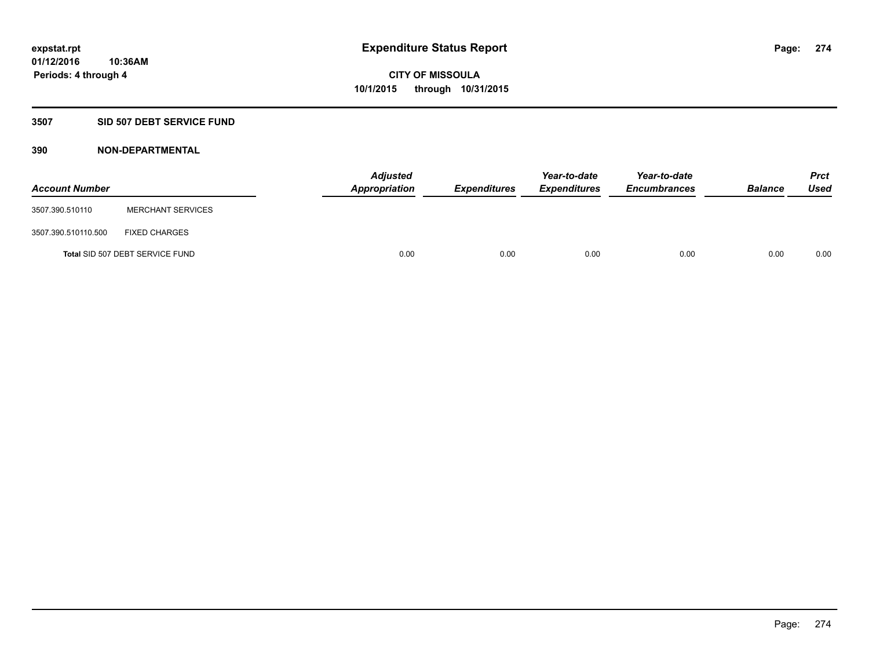## **3507 SID 507 DEBT SERVICE FUND**

| <b>Account Number</b> |                                 | <b>Adjusted</b><br>Appropriation | <b>Expenditures</b> | Year-to-date<br><b>Expenditures</b> | Year-to-date<br><b>Encumbrances</b> | <b>Balance</b> | <b>Prct</b><br><b>Used</b> |
|-----------------------|---------------------------------|----------------------------------|---------------------|-------------------------------------|-------------------------------------|----------------|----------------------------|
| 3507.390.510110       | <b>MERCHANT SERVICES</b>        |                                  |                     |                                     |                                     |                |                            |
| 3507.390.510110.500   | <b>FIXED CHARGES</b>            |                                  |                     |                                     |                                     |                |                            |
|                       | Total SID 507 DEBT SERVICE FUND | 0.00                             | 0.00                | 0.00                                | 0.00                                | 0.00           | 0.00                       |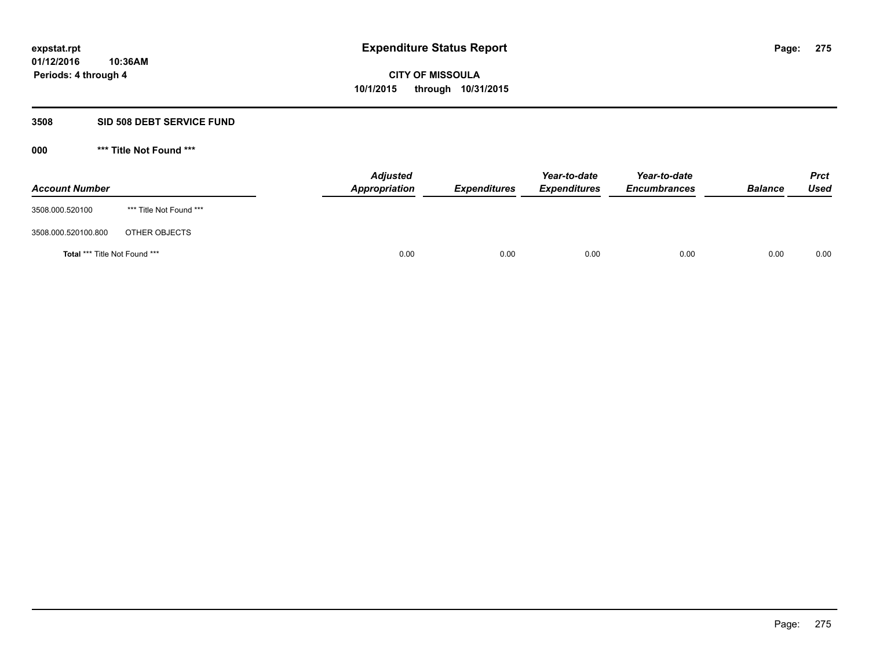### **3508 SID 508 DEBT SERVICE FUND**

| <b>Account Number</b>                |                         | <b>Adjusted</b><br>Appropriation | <b>Expenditures</b> | Year-to-date<br><b>Expenditures</b> | Year-to-date<br><b>Encumbrances</b> | <b>Balance</b> | <b>Prct</b><br><b>Used</b> |
|--------------------------------------|-------------------------|----------------------------------|---------------------|-------------------------------------|-------------------------------------|----------------|----------------------------|
| 3508.000.520100                      | *** Title Not Found *** |                                  |                     |                                     |                                     |                |                            |
| 3508.000.520100.800                  | OTHER OBJECTS           |                                  |                     |                                     |                                     |                |                            |
| <b>Total *** Title Not Found ***</b> |                         | 0.00                             | 0.00                | 0.00                                | 0.00                                | 0.00           | 0.00                       |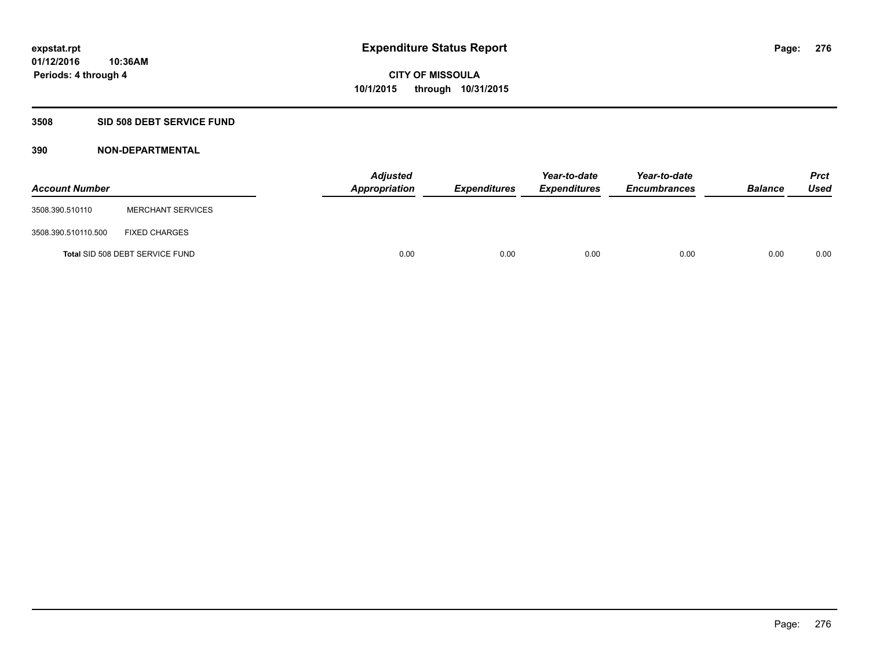## **3508 SID 508 DEBT SERVICE FUND**

| <b>Account Number</b> |                                 | <b>Adjusted</b><br>Appropriation | <b>Expenditures</b> | Year-to-date<br><b>Expenditures</b> | Year-to-date<br><b>Encumbrances</b> | <b>Balance</b> | <b>Prct</b><br><b>Used</b> |
|-----------------------|---------------------------------|----------------------------------|---------------------|-------------------------------------|-------------------------------------|----------------|----------------------------|
| 3508.390.510110       | <b>MERCHANT SERVICES</b>        |                                  |                     |                                     |                                     |                |                            |
| 3508.390.510110.500   | <b>FIXED CHARGES</b>            |                                  |                     |                                     |                                     |                |                            |
|                       | Total SID 508 DEBT SERVICE FUND | 0.00                             | 0.00                | 0.00                                | 0.00                                | 0.00           | 0.00                       |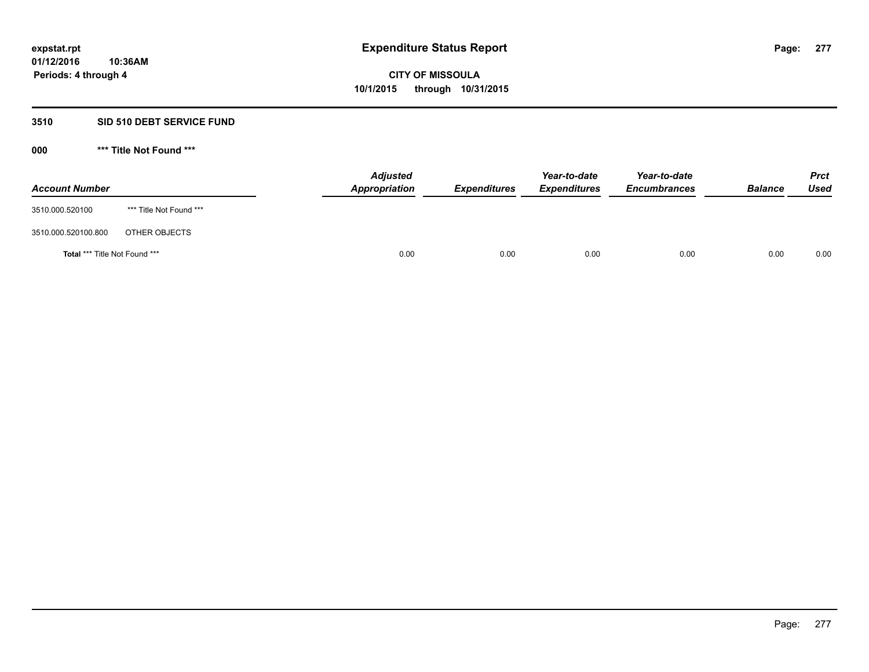### **3510 SID 510 DEBT SERVICE FUND**

| <b>Account Number</b>         |                         | <b>Adjusted</b><br>Appropriation | <b>Expenditures</b> | Year-to-date<br><b>Expenditures</b> | Year-to-date<br><b>Encumbrances</b> | <b>Balance</b> | <b>Prct</b><br><b>Used</b> |
|-------------------------------|-------------------------|----------------------------------|---------------------|-------------------------------------|-------------------------------------|----------------|----------------------------|
| 3510.000.520100               | *** Title Not Found *** |                                  |                     |                                     |                                     |                |                            |
| 3510.000.520100.800           | OTHER OBJECTS           |                                  |                     |                                     |                                     |                |                            |
| Total *** Title Not Found *** |                         | 0.00                             | 0.00                | 0.00                                | 0.00                                | 0.00           | 0.00                       |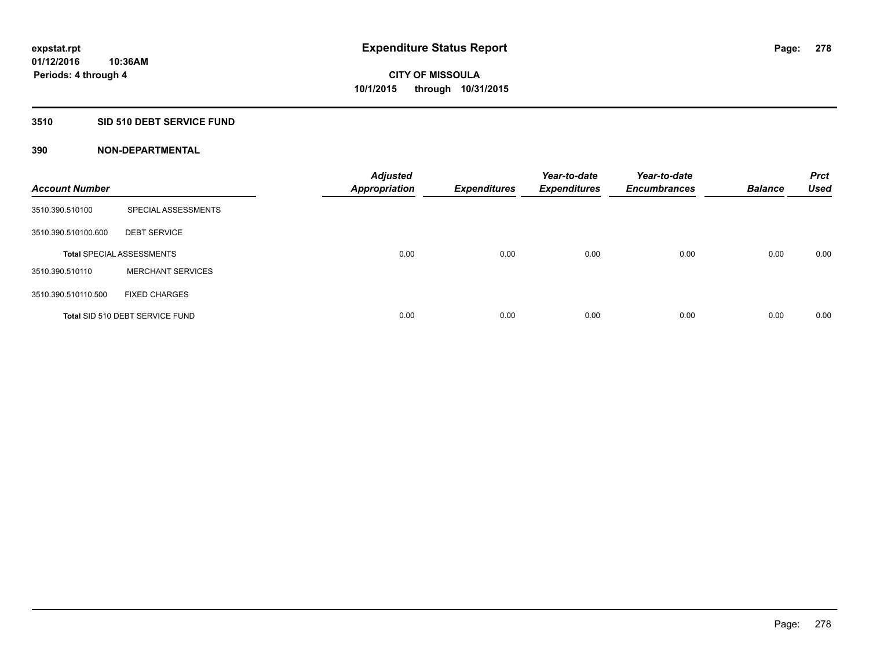## **3510 SID 510 DEBT SERVICE FUND**

| <b>Account Number</b> |                                  | <b>Adjusted</b><br><b>Appropriation</b> | <b>Expenditures</b> | Year-to-date<br><b>Expenditures</b> | Year-to-date<br><b>Encumbrances</b> | <b>Balance</b> | <b>Prct</b><br><b>Used</b> |
|-----------------------|----------------------------------|-----------------------------------------|---------------------|-------------------------------------|-------------------------------------|----------------|----------------------------|
| 3510.390.510100       | SPECIAL ASSESSMENTS              |                                         |                     |                                     |                                     |                |                            |
| 3510.390.510100.600   | <b>DEBT SERVICE</b>              |                                         |                     |                                     |                                     |                |                            |
|                       | <b>Total SPECIAL ASSESSMENTS</b> | 0.00                                    | 0.00                | 0.00                                | 0.00                                | 0.00           | 0.00                       |
| 3510.390.510110       | <b>MERCHANT SERVICES</b>         |                                         |                     |                                     |                                     |                |                            |
| 3510.390.510110.500   | <b>FIXED CHARGES</b>             |                                         |                     |                                     |                                     |                |                            |
|                       | Total SID 510 DEBT SERVICE FUND  | 0.00                                    | 0.00                | 0.00                                | 0.00                                | 0.00           | 0.00                       |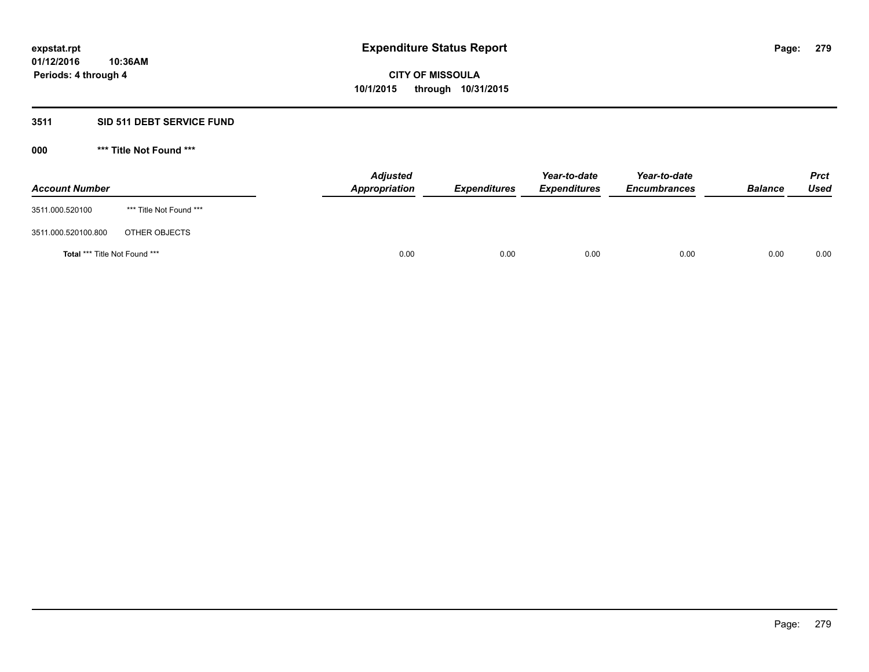## **3511 SID 511 DEBT SERVICE FUND**

| <b>Account Number</b>                |                         | <b>Adjusted</b><br><b>Appropriation</b> | <b>Expenditures</b> | Year-to-date<br><b>Expenditures</b> | Year-to-date<br><b>Encumbrances</b> | <b>Balance</b> | <b>Prct</b><br><b>Used</b> |
|--------------------------------------|-------------------------|-----------------------------------------|---------------------|-------------------------------------|-------------------------------------|----------------|----------------------------|
| 3511.000.520100                      | *** Title Not Found *** |                                         |                     |                                     |                                     |                |                            |
| 3511.000.520100.800                  | OTHER OBJECTS           |                                         |                     |                                     |                                     |                |                            |
| <b>Total *** Title Not Found ***</b> |                         | 0.00                                    | 0.00                | 0.00                                | 0.00                                | 0.00           | 0.00                       |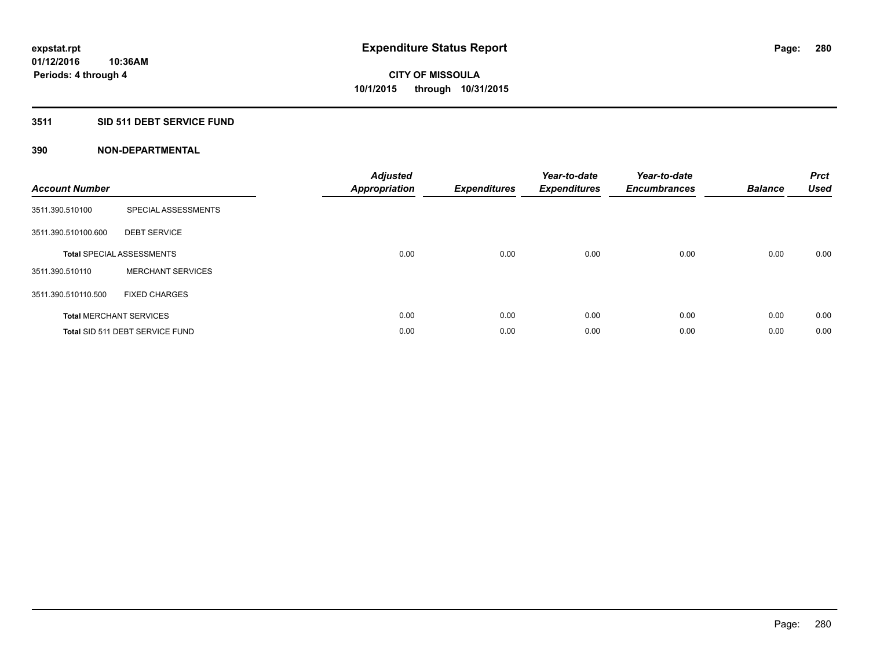## **3511 SID 511 DEBT SERVICE FUND**

| <b>Account Number</b> |                                  | <b>Adjusted</b><br>Appropriation | <b>Expenditures</b> | Year-to-date<br><b>Expenditures</b> | Year-to-date<br><b>Encumbrances</b> | <b>Balance</b> | <b>Prct</b><br><b>Used</b> |
|-----------------------|----------------------------------|----------------------------------|---------------------|-------------------------------------|-------------------------------------|----------------|----------------------------|
| 3511.390.510100       | SPECIAL ASSESSMENTS              |                                  |                     |                                     |                                     |                |                            |
| 3511.390.510100.600   | <b>DEBT SERVICE</b>              |                                  |                     |                                     |                                     |                |                            |
|                       | <b>Total SPECIAL ASSESSMENTS</b> | 0.00                             | 0.00                | 0.00                                | 0.00                                | 0.00           | 0.00                       |
| 3511.390.510110       | <b>MERCHANT SERVICES</b>         |                                  |                     |                                     |                                     |                |                            |
| 3511.390.510110.500   | <b>FIXED CHARGES</b>             |                                  |                     |                                     |                                     |                |                            |
|                       | <b>Total MERCHANT SERVICES</b>   | 0.00                             | 0.00                | 0.00                                | 0.00                                | 0.00           | 0.00                       |
|                       | Total SID 511 DEBT SERVICE FUND  | 0.00                             | 0.00                | 0.00                                | 0.00                                | 0.00           | 0.00                       |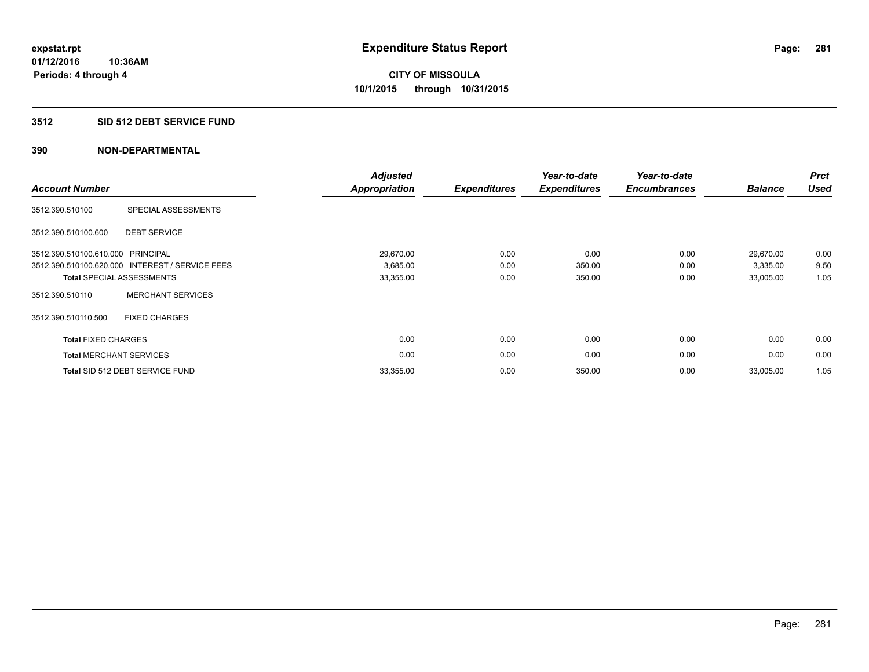## **3512 SID 512 DEBT SERVICE FUND**

| <b>Account Number</b>             |                                                 | <b>Adjusted</b><br><b>Appropriation</b> | <b>Expenditures</b> | Year-to-date<br><b>Expenditures</b> | Year-to-date<br><b>Encumbrances</b> | <b>Balance</b> | <b>Prct</b><br><b>Used</b> |
|-----------------------------------|-------------------------------------------------|-----------------------------------------|---------------------|-------------------------------------|-------------------------------------|----------------|----------------------------|
| 3512.390.510100                   | SPECIAL ASSESSMENTS                             |                                         |                     |                                     |                                     |                |                            |
| 3512.390.510100.600               | <b>DEBT SERVICE</b>                             |                                         |                     |                                     |                                     |                |                            |
| 3512.390.510100.610.000 PRINCIPAL |                                                 | 29,670.00                               | 0.00                | 0.00                                | 0.00                                | 29,670.00      | 0.00                       |
|                                   | 3512.390.510100.620.000 INTEREST / SERVICE FEES | 3,685.00                                | 0.00                | 350.00                              | 0.00                                | 3,335.00       | 9.50                       |
|                                   | <b>Total SPECIAL ASSESSMENTS</b>                | 33,355.00                               | 0.00                | 350.00                              | 0.00                                | 33,005.00      | 1.05                       |
| 3512.390.510110                   | <b>MERCHANT SERVICES</b>                        |                                         |                     |                                     |                                     |                |                            |
| 3512.390.510110.500               | <b>FIXED CHARGES</b>                            |                                         |                     |                                     |                                     |                |                            |
| <b>Total FIXED CHARGES</b>        |                                                 | 0.00                                    | 0.00                | 0.00                                | 0.00                                | 0.00           | 0.00                       |
|                                   | <b>Total MERCHANT SERVICES</b>                  | 0.00                                    | 0.00                | 0.00                                | 0.00                                | 0.00           | 0.00                       |
|                                   | Total SID 512 DEBT SERVICE FUND                 | 33,355.00                               | 0.00                | 350.00                              | 0.00                                | 33,005.00      | 1.05                       |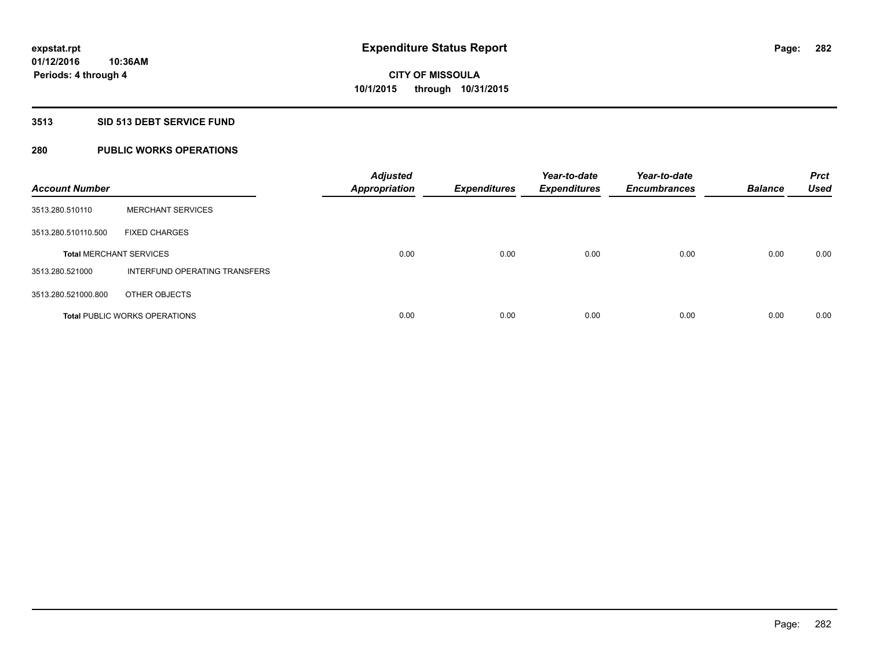## **3513 SID 513 DEBT SERVICE FUND**

## **280 PUBLIC WORKS OPERATIONS**

| <b>Account Number</b>          |                                      | <b>Adjusted</b><br><b>Appropriation</b> | <b>Expenditures</b> | Year-to-date<br><b>Expenditures</b> | Year-to-date<br><b>Encumbrances</b> | <b>Balance</b> | <b>Prct</b><br><b>Used</b> |
|--------------------------------|--------------------------------------|-----------------------------------------|---------------------|-------------------------------------|-------------------------------------|----------------|----------------------------|
| 3513.280.510110                | <b>MERCHANT SERVICES</b>             |                                         |                     |                                     |                                     |                |                            |
| 3513.280.510110.500            | <b>FIXED CHARGES</b>                 |                                         |                     |                                     |                                     |                |                            |
| <b>Total MERCHANT SERVICES</b> |                                      | 0.00                                    | 0.00                | 0.00                                | 0.00                                | 0.00           | 0.00                       |
| 3513.280.521000                | INTERFUND OPERATING TRANSFERS        |                                         |                     |                                     |                                     |                |                            |
| 3513.280.521000.800            | OTHER OBJECTS                        |                                         |                     |                                     |                                     |                |                            |
|                                | <b>Total PUBLIC WORKS OPERATIONS</b> | 0.00                                    | 0.00                | 0.00                                | 0.00                                | 0.00           | 0.00                       |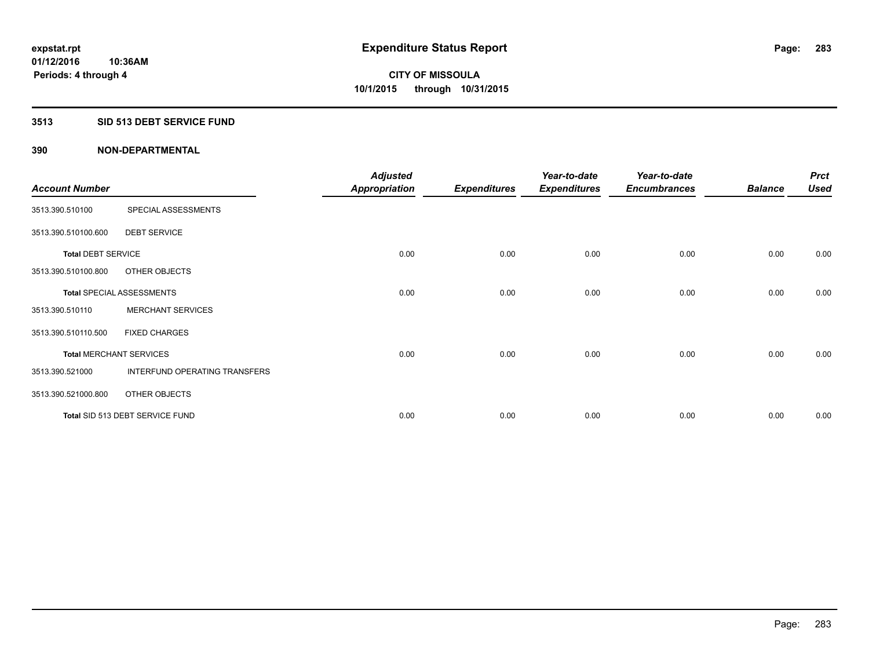## **3513 SID 513 DEBT SERVICE FUND**

|                                |                                  | <b>Adjusted</b>      |                     | Year-to-date        | Year-to-date        |                | <b>Prct</b> |
|--------------------------------|----------------------------------|----------------------|---------------------|---------------------|---------------------|----------------|-------------|
| <b>Account Number</b>          |                                  | <b>Appropriation</b> | <b>Expenditures</b> | <b>Expenditures</b> | <b>Encumbrances</b> | <b>Balance</b> | <b>Used</b> |
| 3513.390.510100                | SPECIAL ASSESSMENTS              |                      |                     |                     |                     |                |             |
| 3513.390.510100.600            | <b>DEBT SERVICE</b>              |                      |                     |                     |                     |                |             |
| <b>Total DEBT SERVICE</b>      |                                  | 0.00                 | 0.00                | 0.00                | 0.00                | 0.00           | 0.00        |
| 3513.390.510100.800            | OTHER OBJECTS                    |                      |                     |                     |                     |                |             |
|                                | <b>Total SPECIAL ASSESSMENTS</b> | 0.00                 | 0.00                | 0.00                | 0.00                | 0.00           | 0.00        |
| 3513.390.510110                | <b>MERCHANT SERVICES</b>         |                      |                     |                     |                     |                |             |
| 3513.390.510110.500            | <b>FIXED CHARGES</b>             |                      |                     |                     |                     |                |             |
| <b>Total MERCHANT SERVICES</b> |                                  | 0.00                 | 0.00                | 0.00                | 0.00                | 0.00           | 0.00        |
| 3513.390.521000                | INTERFUND OPERATING TRANSFERS    |                      |                     |                     |                     |                |             |
| 3513.390.521000.800            | OTHER OBJECTS                    |                      |                     |                     |                     |                |             |
|                                | Total SID 513 DEBT SERVICE FUND  | 0.00                 | 0.00                | 0.00                | 0.00                | 0.00           | 0.00        |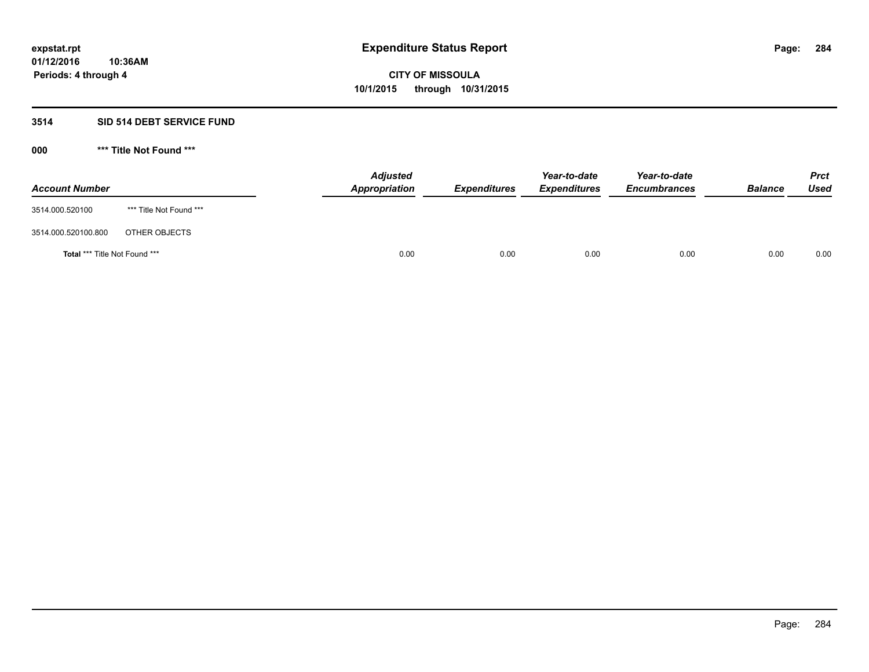## **3514 SID 514 DEBT SERVICE FUND**

| <b>Account Number</b>                |                         | <b>Adjusted</b><br>Appropriation | <b>Expenditures</b> | Year-to-date<br><b>Expenditures</b> | Year-to-date<br><b>Encumbrances</b> | <b>Balance</b> | <b>Prct</b><br><b>Used</b> |
|--------------------------------------|-------------------------|----------------------------------|---------------------|-------------------------------------|-------------------------------------|----------------|----------------------------|
| 3514.000.520100                      | *** Title Not Found *** |                                  |                     |                                     |                                     |                |                            |
| 3514.000.520100.800                  | OTHER OBJECTS           |                                  |                     |                                     |                                     |                |                            |
| <b>Total *** Title Not Found ***</b> |                         | 0.00                             | 0.00                | 0.00                                | 0.00                                | 0.00           | 0.00                       |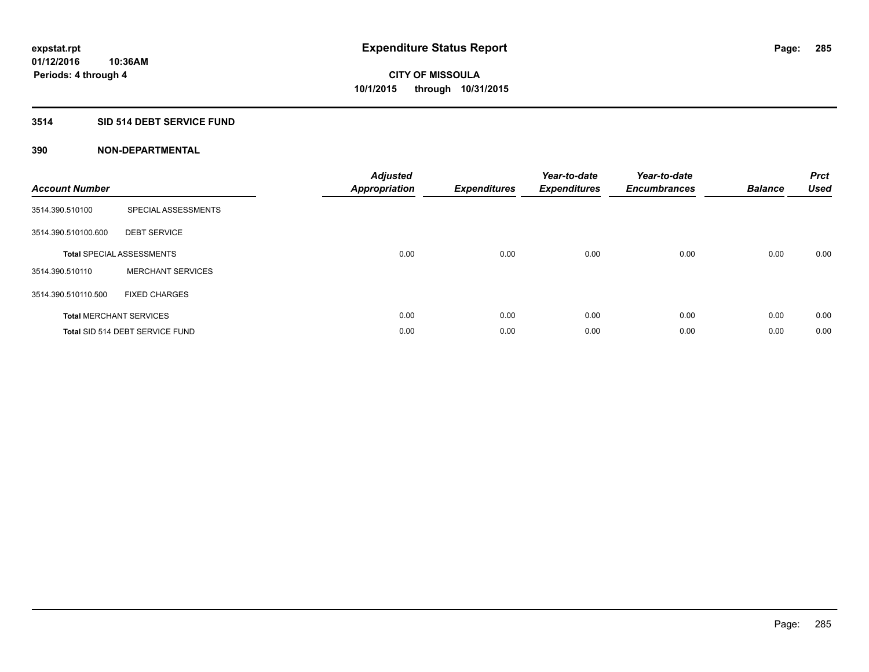## **3514 SID 514 DEBT SERVICE FUND**

| <b>Account Number</b> |                                  | <b>Adjusted</b><br>Appropriation | <b>Expenditures</b> | Year-to-date<br><b>Expenditures</b> | Year-to-date<br><b>Encumbrances</b> | <b>Balance</b> | <b>Prct</b><br><b>Used</b> |
|-----------------------|----------------------------------|----------------------------------|---------------------|-------------------------------------|-------------------------------------|----------------|----------------------------|
| 3514.390.510100       | SPECIAL ASSESSMENTS              |                                  |                     |                                     |                                     |                |                            |
| 3514.390.510100.600   | <b>DEBT SERVICE</b>              |                                  |                     |                                     |                                     |                |                            |
|                       | <b>Total SPECIAL ASSESSMENTS</b> | 0.00                             | 0.00                | 0.00                                | 0.00                                | 0.00           | 0.00                       |
| 3514.390.510110       | <b>MERCHANT SERVICES</b>         |                                  |                     |                                     |                                     |                |                            |
| 3514.390.510110.500   | <b>FIXED CHARGES</b>             |                                  |                     |                                     |                                     |                |                            |
|                       | <b>Total MERCHANT SERVICES</b>   | 0.00                             | 0.00                | 0.00                                | 0.00                                | 0.00           | 0.00                       |
|                       | Total SID 514 DEBT SERVICE FUND  | 0.00                             | 0.00                | 0.00                                | 0.00                                | 0.00           | 0.00                       |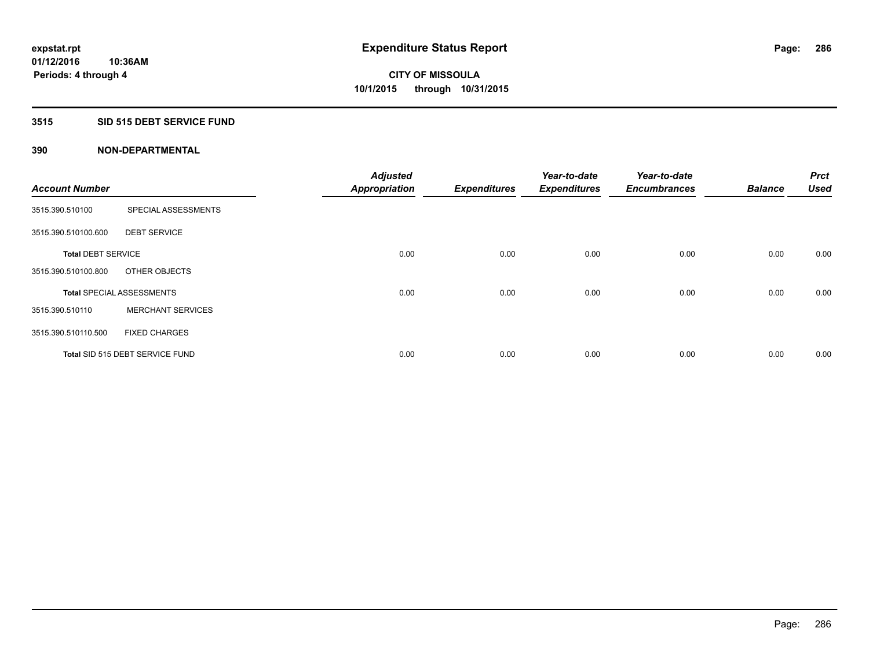## **3515 SID 515 DEBT SERVICE FUND**

|                           |                                  | <b>Adjusted</b>      |                     | Year-to-date        | Year-to-date        |                | <b>Prct</b><br><b>Used</b> |
|---------------------------|----------------------------------|----------------------|---------------------|---------------------|---------------------|----------------|----------------------------|
| <b>Account Number</b>     |                                  | <b>Appropriation</b> | <b>Expenditures</b> | <b>Expenditures</b> | <b>Encumbrances</b> | <b>Balance</b> |                            |
| 3515.390.510100           | SPECIAL ASSESSMENTS              |                      |                     |                     |                     |                |                            |
| 3515.390.510100.600       | <b>DEBT SERVICE</b>              |                      |                     |                     |                     |                |                            |
| <b>Total DEBT SERVICE</b> |                                  | 0.00                 | 0.00                | 0.00                | 0.00                | 0.00           | 0.00                       |
| 3515.390.510100.800       | OTHER OBJECTS                    |                      |                     |                     |                     |                |                            |
|                           | <b>Total SPECIAL ASSESSMENTS</b> | 0.00                 | 0.00                | 0.00                | 0.00                | 0.00           | 0.00                       |
| 3515.390.510110           | <b>MERCHANT SERVICES</b>         |                      |                     |                     |                     |                |                            |
| 3515.390.510110.500       | <b>FIXED CHARGES</b>             |                      |                     |                     |                     |                |                            |
|                           | Total SID 515 DEBT SERVICE FUND  | 0.00                 | 0.00                | 0.00                | 0.00                | 0.00           | 0.00                       |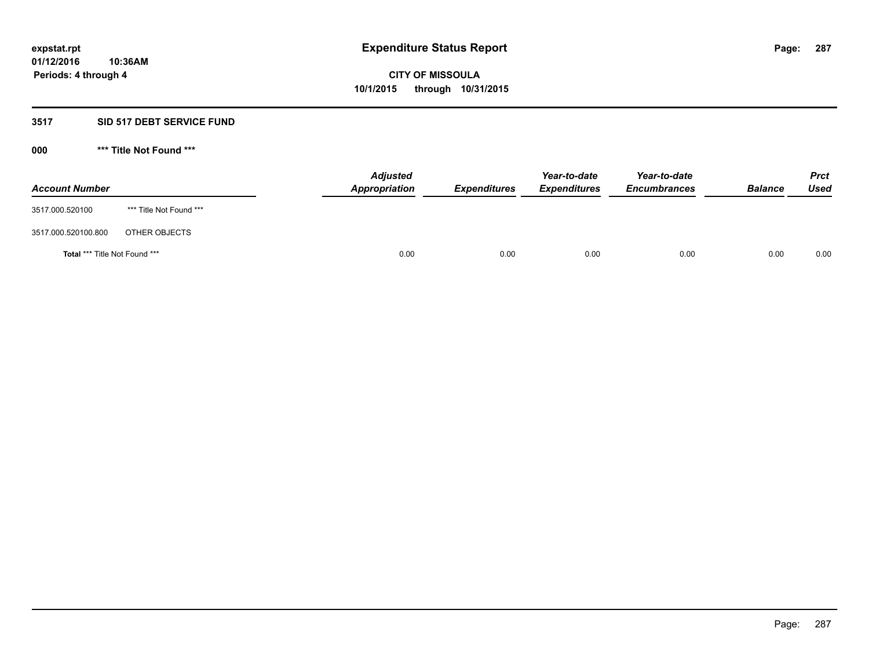## **3517 SID 517 DEBT SERVICE FUND**

| <b>Account Number</b>                |                         | <b>Adjusted</b><br>Appropriation | <b>Expenditures</b> | Year-to-date<br><b>Expenditures</b> | Year-to-date<br><b>Encumbrances</b> | <b>Balance</b> | <b>Prct</b><br><b>Used</b> |
|--------------------------------------|-------------------------|----------------------------------|---------------------|-------------------------------------|-------------------------------------|----------------|----------------------------|
| 3517.000.520100                      | *** Title Not Found *** |                                  |                     |                                     |                                     |                |                            |
| 3517.000.520100.800                  | OTHER OBJECTS           |                                  |                     |                                     |                                     |                |                            |
| <b>Total *** Title Not Found ***</b> |                         | 0.00                             | 0.00                | 0.00                                | 0.00                                | 0.00           | 0.00                       |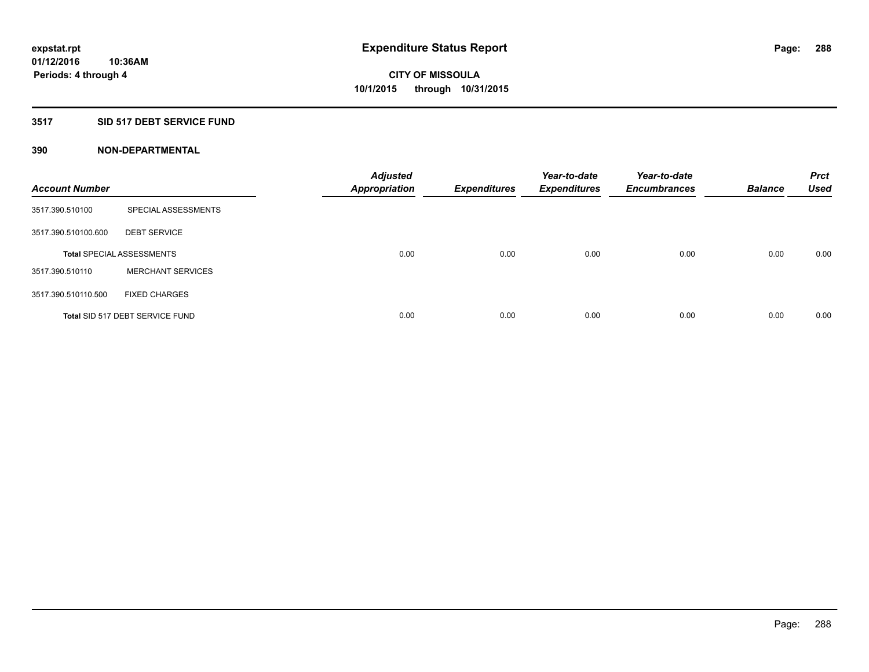## **3517 SID 517 DEBT SERVICE FUND**

| <b>Account Number</b> |                                  | <b>Adjusted</b><br><b>Appropriation</b> | <b>Expenditures</b> | Year-to-date<br><b>Expenditures</b> | Year-to-date<br><b>Encumbrances</b> | <b>Balance</b> | <b>Prct</b><br><b>Used</b> |
|-----------------------|----------------------------------|-----------------------------------------|---------------------|-------------------------------------|-------------------------------------|----------------|----------------------------|
| 3517.390.510100       | SPECIAL ASSESSMENTS              |                                         |                     |                                     |                                     |                |                            |
| 3517.390.510100.600   | <b>DEBT SERVICE</b>              |                                         |                     |                                     |                                     |                |                            |
|                       | <b>Total SPECIAL ASSESSMENTS</b> | 0.00                                    | 0.00                | 0.00                                | 0.00                                | 0.00           | 0.00                       |
| 3517.390.510110       | <b>MERCHANT SERVICES</b>         |                                         |                     |                                     |                                     |                |                            |
| 3517.390.510110.500   | <b>FIXED CHARGES</b>             |                                         |                     |                                     |                                     |                |                            |
|                       | Total SID 517 DEBT SERVICE FUND  | 0.00                                    | 0.00                | 0.00                                | 0.00                                | 0.00           | 0.00                       |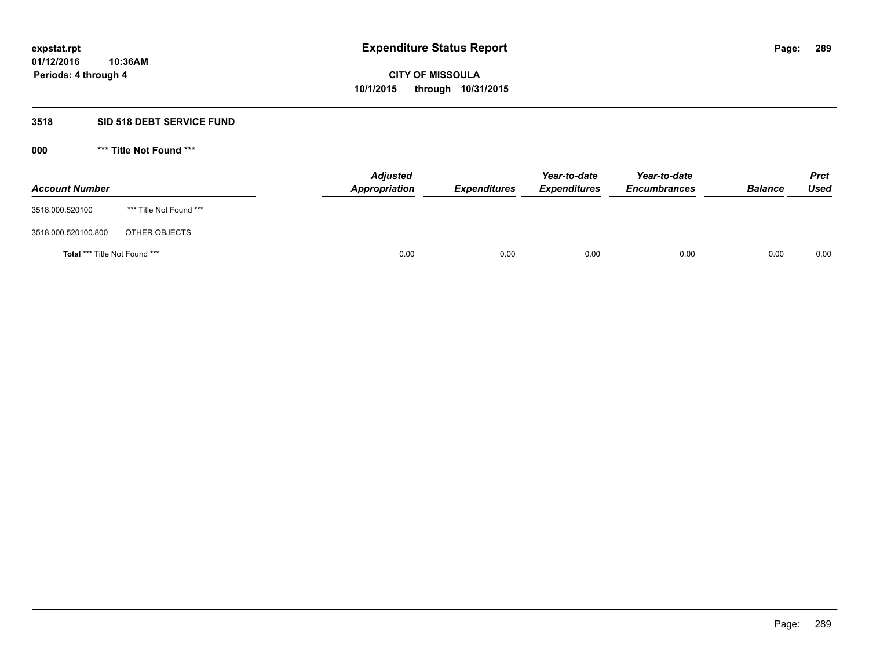### **3518 SID 518 DEBT SERVICE FUND**

### **000 \*\*\* Title Not Found \*\*\***

| <b>Account Number</b>                |                         | <b>Adjusted</b><br>Appropriation | <b>Expenditures</b> | Year-to-date<br><b>Expenditures</b> | Year-to-date<br><b>Encumbrances</b> | <b>Balance</b> | <b>Prct</b><br>Used |
|--------------------------------------|-------------------------|----------------------------------|---------------------|-------------------------------------|-------------------------------------|----------------|---------------------|
| 3518.000.520100                      | *** Title Not Found *** |                                  |                     |                                     |                                     |                |                     |
| 3518.000.520100.800                  | OTHER OBJECTS           |                                  |                     |                                     |                                     |                |                     |
| <b>Total *** Title Not Found ***</b> |                         | 0.00                             | 0.00                | 0.00                                | 0.00                                | 0.00           | 0.00                |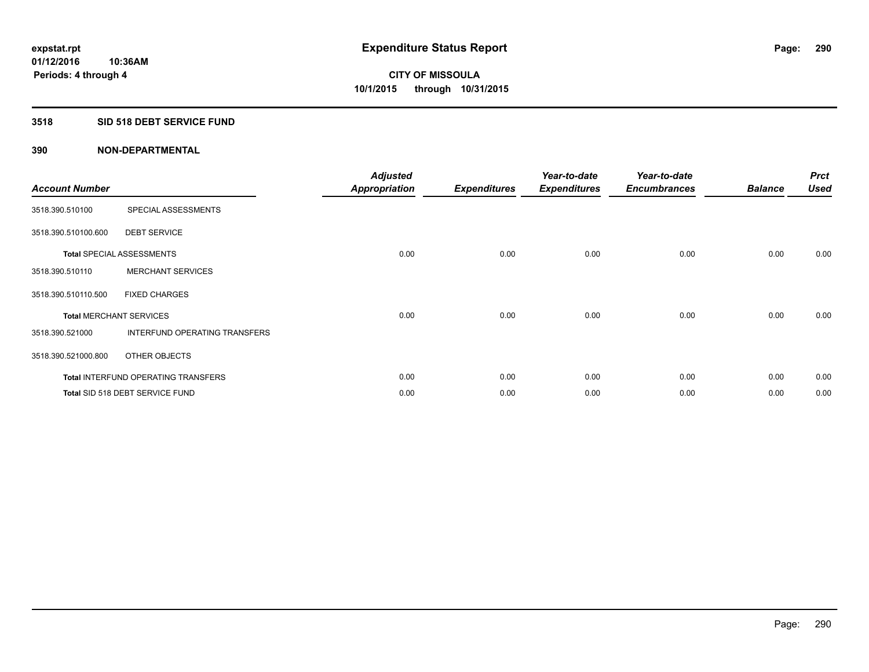### **3518 SID 518 DEBT SERVICE FUND**

| <b>Account Number</b> |                                            | <b>Adjusted</b><br>Appropriation | <b>Expenditures</b> | Year-to-date<br><b>Expenditures</b> | Year-to-date<br><b>Encumbrances</b> | <b>Balance</b> | <b>Prct</b><br><b>Used</b> |
|-----------------------|--------------------------------------------|----------------------------------|---------------------|-------------------------------------|-------------------------------------|----------------|----------------------------|
| 3518.390.510100       | SPECIAL ASSESSMENTS                        |                                  |                     |                                     |                                     |                |                            |
| 3518.390.510100.600   | <b>DEBT SERVICE</b>                        |                                  |                     |                                     |                                     |                |                            |
|                       | <b>Total SPECIAL ASSESSMENTS</b>           | 0.00                             | 0.00                | 0.00                                | 0.00                                | 0.00           | 0.00                       |
| 3518.390.510110       | <b>MERCHANT SERVICES</b>                   |                                  |                     |                                     |                                     |                |                            |
| 3518.390.510110.500   | <b>FIXED CHARGES</b>                       |                                  |                     |                                     |                                     |                |                            |
|                       | <b>Total MERCHANT SERVICES</b>             | 0.00                             | 0.00                | 0.00                                | 0.00                                | 0.00           | 0.00                       |
| 3518.390.521000       | <b>INTERFUND OPERATING TRANSFERS</b>       |                                  |                     |                                     |                                     |                |                            |
| 3518.390.521000.800   | OTHER OBJECTS                              |                                  |                     |                                     |                                     |                |                            |
|                       | <b>Total INTERFUND OPERATING TRANSFERS</b> | 0.00                             | 0.00                | 0.00                                | 0.00                                | 0.00           | 0.00                       |
|                       | Total SID 518 DEBT SERVICE FUND            | 0.00                             | 0.00                | 0.00                                | 0.00                                | 0.00           | 0.00                       |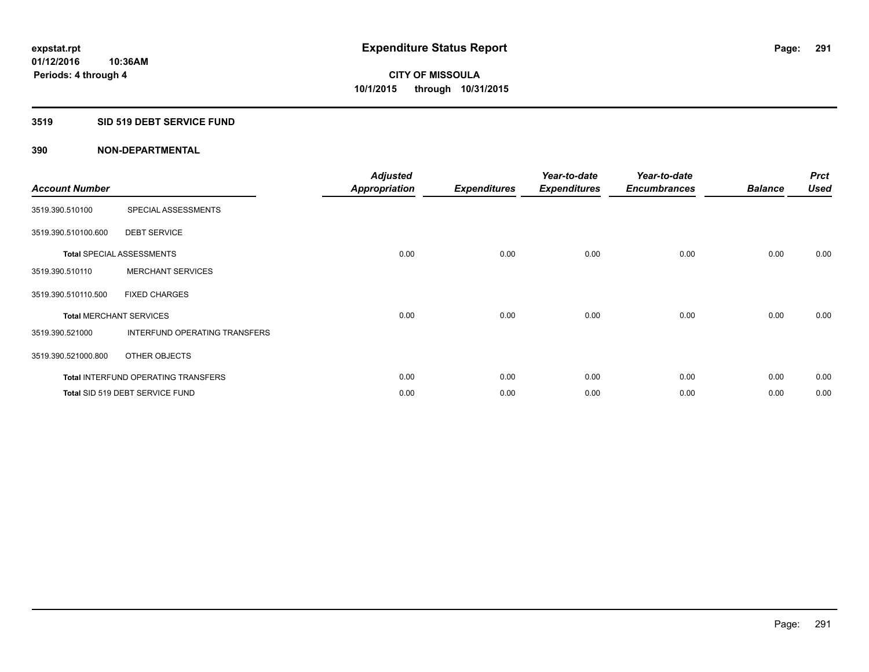### **3519 SID 519 DEBT SERVICE FUND**

| <b>Account Number</b> |                                            | <b>Adjusted</b><br><b>Appropriation</b> | <b>Expenditures</b> | Year-to-date<br><b>Expenditures</b> | Year-to-date<br><b>Encumbrances</b> | <b>Balance</b> | <b>Prct</b><br><b>Used</b> |
|-----------------------|--------------------------------------------|-----------------------------------------|---------------------|-------------------------------------|-------------------------------------|----------------|----------------------------|
| 3519.390.510100       | SPECIAL ASSESSMENTS                        |                                         |                     |                                     |                                     |                |                            |
| 3519.390.510100.600   | <b>DEBT SERVICE</b>                        |                                         |                     |                                     |                                     |                |                            |
|                       | <b>Total SPECIAL ASSESSMENTS</b>           | 0.00                                    | 0.00                | 0.00                                | 0.00                                | 0.00           | 0.00                       |
| 3519.390.510110       | <b>MERCHANT SERVICES</b>                   |                                         |                     |                                     |                                     |                |                            |
| 3519.390.510110.500   | <b>FIXED CHARGES</b>                       |                                         |                     |                                     |                                     |                |                            |
|                       | <b>Total MERCHANT SERVICES</b>             | 0.00                                    | 0.00                | 0.00                                | 0.00                                | 0.00           | 0.00                       |
| 3519.390.521000       | <b>INTERFUND OPERATING TRANSFERS</b>       |                                         |                     |                                     |                                     |                |                            |
| 3519.390.521000.800   | OTHER OBJECTS                              |                                         |                     |                                     |                                     |                |                            |
|                       | <b>Total INTERFUND OPERATING TRANSFERS</b> | 0.00                                    | 0.00                | 0.00                                | 0.00                                | 0.00           | 0.00                       |
|                       | Total SID 519 DEBT SERVICE FUND            | 0.00                                    | 0.00                | 0.00                                | 0.00                                | 0.00           | 0.00                       |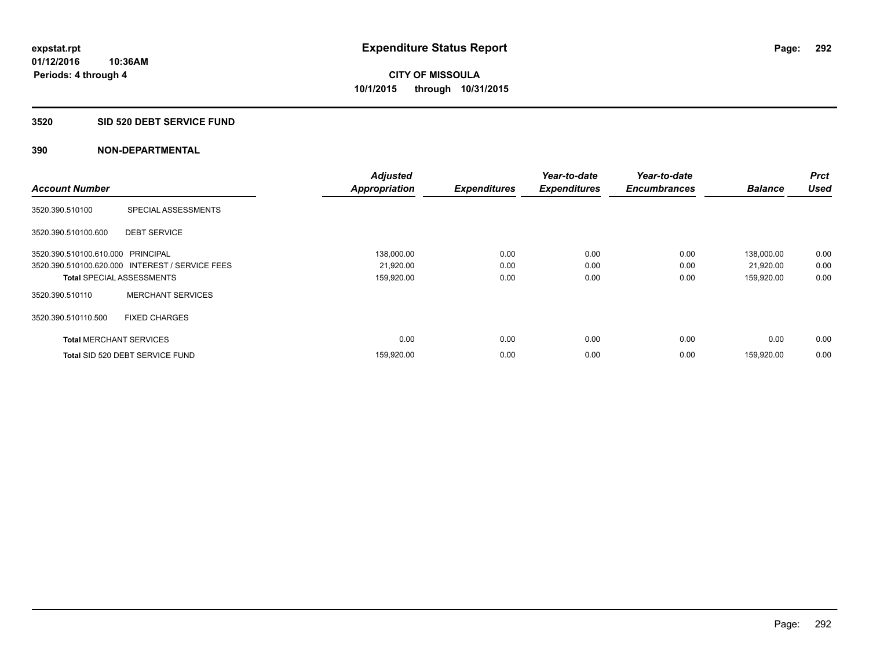### **3520 SID 520 DEBT SERVICE FUND**

| <b>Account Number</b>             |                                                 | <b>Adjusted</b><br><b>Appropriation</b> | <b>Expenditures</b> | Year-to-date<br><b>Expenditures</b> | Year-to-date<br><b>Encumbrances</b> | <b>Balance</b> | <b>Prct</b><br><b>Used</b> |
|-----------------------------------|-------------------------------------------------|-----------------------------------------|---------------------|-------------------------------------|-------------------------------------|----------------|----------------------------|
|                                   |                                                 |                                         |                     |                                     |                                     |                |                            |
| 3520.390.510100                   | SPECIAL ASSESSMENTS                             |                                         |                     |                                     |                                     |                |                            |
| 3520.390.510100.600               | <b>DEBT SERVICE</b>                             |                                         |                     |                                     |                                     |                |                            |
| 3520.390.510100.610.000 PRINCIPAL |                                                 | 138,000.00                              | 0.00                | 0.00                                | 0.00                                | 138,000.00     | 0.00                       |
|                                   | 3520.390.510100.620.000 INTEREST / SERVICE FEES | 21,920.00                               | 0.00                | 0.00                                | 0.00                                | 21,920.00      | 0.00                       |
| <b>Total SPECIAL ASSESSMENTS</b>  |                                                 | 159,920.00                              | 0.00                | 0.00                                | 0.00                                | 159,920.00     | 0.00                       |
| 3520.390.510110                   | <b>MERCHANT SERVICES</b>                        |                                         |                     |                                     |                                     |                |                            |
| 3520.390.510110.500               | <b>FIXED CHARGES</b>                            |                                         |                     |                                     |                                     |                |                            |
| <b>Total MERCHANT SERVICES</b>    |                                                 | 0.00                                    | 0.00                | 0.00                                | 0.00                                | 0.00           | 0.00                       |
|                                   | Total SID 520 DEBT SERVICE FUND                 | 159,920.00                              | 0.00                | 0.00                                | 0.00                                | 159,920.00     | 0.00                       |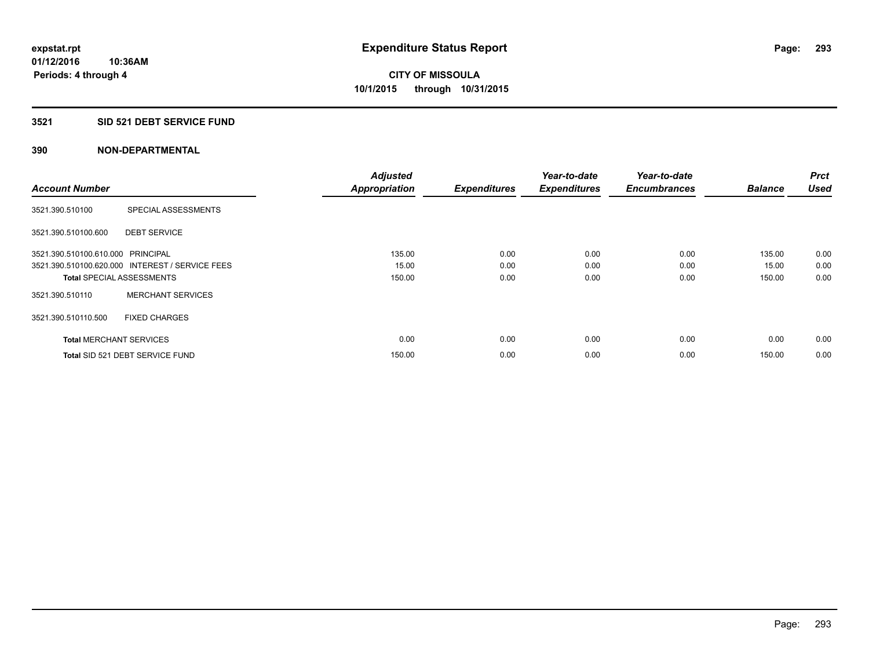### **3521 SID 521 DEBT SERVICE FUND**

|                                   |                                                 | <b>Adjusted</b>      |                     | Year-to-date        | Year-to-date        |                | <b>Prct</b> |
|-----------------------------------|-------------------------------------------------|----------------------|---------------------|---------------------|---------------------|----------------|-------------|
| <b>Account Number</b>             |                                                 | <b>Appropriation</b> | <b>Expenditures</b> | <b>Expenditures</b> | <b>Encumbrances</b> | <b>Balance</b> | <b>Used</b> |
| 3521.390.510100                   | SPECIAL ASSESSMENTS                             |                      |                     |                     |                     |                |             |
| 3521.390.510100.600               | <b>DEBT SERVICE</b>                             |                      |                     |                     |                     |                |             |
| 3521.390.510100.610.000 PRINCIPAL |                                                 | 135.00               | 0.00                | 0.00                | 0.00                | 135.00         | 0.00        |
|                                   | 3521.390.510100.620.000 INTEREST / SERVICE FEES | 15.00                | 0.00                | 0.00                | 0.00                | 15.00          | 0.00        |
| <b>Total SPECIAL ASSESSMENTS</b>  |                                                 | 150.00               | 0.00                | 0.00                | 0.00                | 150.00         | 0.00        |
| 3521.390.510110                   | <b>MERCHANT SERVICES</b>                        |                      |                     |                     |                     |                |             |
| 3521.390.510110.500               | <b>FIXED CHARGES</b>                            |                      |                     |                     |                     |                |             |
| <b>Total MERCHANT SERVICES</b>    |                                                 | 0.00                 | 0.00                | 0.00                | 0.00                | 0.00           | 0.00        |
|                                   | Total SID 521 DEBT SERVICE FUND                 | 150.00               | 0.00                | 0.00                | 0.00                | 150.00         | 0.00        |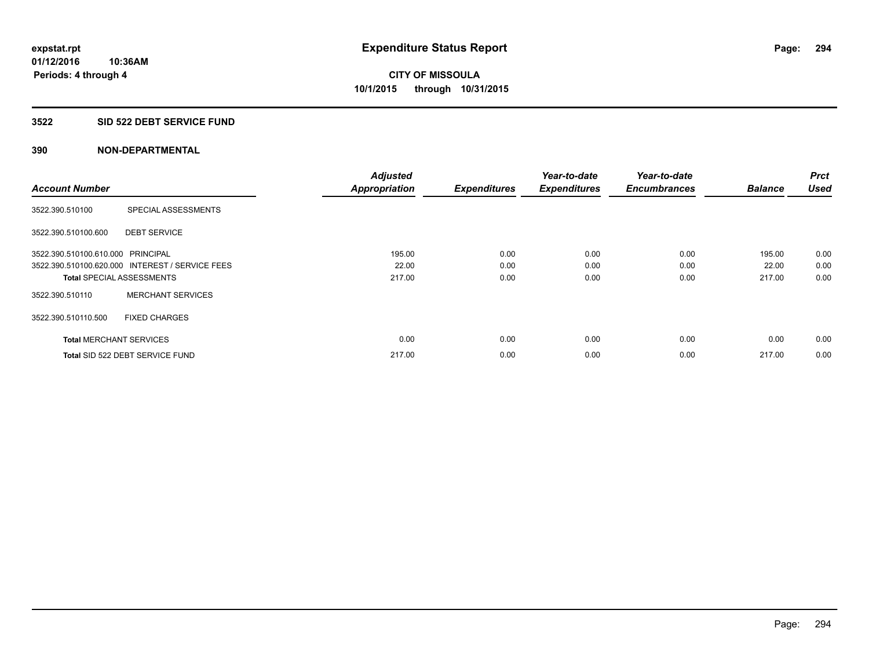### **3522 SID 522 DEBT SERVICE FUND**

| <b>Account Number</b>             |                                                 | <b>Adjusted</b><br><b>Appropriation</b> | <b>Expenditures</b> | Year-to-date<br><b>Expenditures</b> | Year-to-date<br><b>Encumbrances</b> | <b>Balance</b> | <b>Prct</b><br><b>Used</b> |
|-----------------------------------|-------------------------------------------------|-----------------------------------------|---------------------|-------------------------------------|-------------------------------------|----------------|----------------------------|
|                                   |                                                 |                                         |                     |                                     |                                     |                |                            |
| 3522.390.510100                   | SPECIAL ASSESSMENTS                             |                                         |                     |                                     |                                     |                |                            |
| 3522.390.510100.600               | <b>DEBT SERVICE</b>                             |                                         |                     |                                     |                                     |                |                            |
| 3522.390.510100.610.000 PRINCIPAL |                                                 | 195.00                                  | 0.00                | 0.00                                | 0.00                                | 195.00         | 0.00                       |
|                                   | 3522.390.510100.620.000 INTEREST / SERVICE FEES | 22.00                                   | 0.00                | 0.00                                | 0.00                                | 22.00          | 0.00                       |
| <b>Total SPECIAL ASSESSMENTS</b>  |                                                 | 217.00                                  | 0.00                | 0.00                                | 0.00                                | 217.00         | 0.00                       |
| 3522.390.510110                   | <b>MERCHANT SERVICES</b>                        |                                         |                     |                                     |                                     |                |                            |
| 3522.390.510110.500               | <b>FIXED CHARGES</b>                            |                                         |                     |                                     |                                     |                |                            |
| <b>Total MERCHANT SERVICES</b>    |                                                 | 0.00                                    | 0.00                | 0.00                                | 0.00                                | 0.00           | 0.00                       |
|                                   | Total SID 522 DEBT SERVICE FUND                 | 217.00                                  | 0.00                | 0.00                                | 0.00                                | 217.00         | 0.00                       |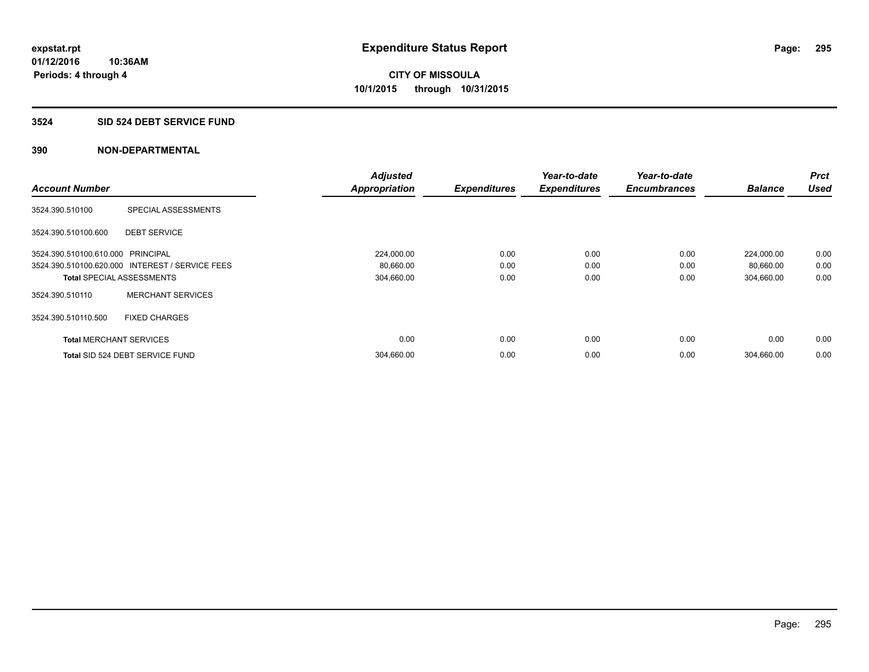#### **3524 SID 524 DEBT SERVICE FUND**

|                                   |                                                 | <b>Adjusted</b>      |                     | Year-to-date        | Year-to-date        |                | <b>Prct</b> |
|-----------------------------------|-------------------------------------------------|----------------------|---------------------|---------------------|---------------------|----------------|-------------|
| <b>Account Number</b>             |                                                 | <b>Appropriation</b> | <b>Expenditures</b> | <b>Expenditures</b> | <b>Encumbrances</b> | <b>Balance</b> | <b>Used</b> |
| 3524.390.510100                   | SPECIAL ASSESSMENTS                             |                      |                     |                     |                     |                |             |
| 3524.390.510100.600               | <b>DEBT SERVICE</b>                             |                      |                     |                     |                     |                |             |
| 3524.390.510100.610.000 PRINCIPAL |                                                 | 224,000.00           | 0.00                | 0.00                | 0.00                | 224,000.00     | 0.00        |
|                                   | 3524.390.510100.620.000 INTEREST / SERVICE FEES | 80,660.00            | 0.00                | 0.00                | 0.00                | 80,660.00      | 0.00        |
| <b>Total SPECIAL ASSESSMENTS</b>  |                                                 | 304,660.00           | 0.00                | 0.00                | 0.00                | 304,660.00     | 0.00        |
| 3524.390.510110                   | <b>MERCHANT SERVICES</b>                        |                      |                     |                     |                     |                |             |
| 3524.390.510110.500               | <b>FIXED CHARGES</b>                            |                      |                     |                     |                     |                |             |
| <b>Total MERCHANT SERVICES</b>    |                                                 | 0.00                 | 0.00                | 0.00                | 0.00                | 0.00           | 0.00        |
|                                   | Total SID 524 DEBT SERVICE FUND                 | 304,660.00           | 0.00                | 0.00                | 0.00                | 304,660.00     | 0.00        |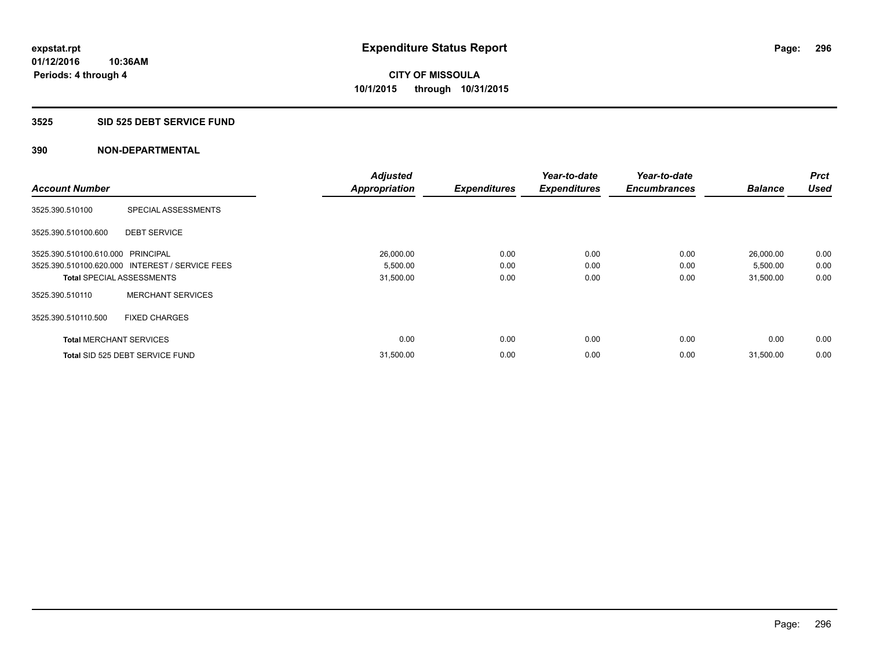### **3525 SID 525 DEBT SERVICE FUND**

|                                   |                                                 | <b>Adjusted</b>      |                     | Year-to-date        | Year-to-date        |                | Prct        |
|-----------------------------------|-------------------------------------------------|----------------------|---------------------|---------------------|---------------------|----------------|-------------|
| <b>Account Number</b>             |                                                 | <b>Appropriation</b> | <b>Expenditures</b> | <b>Expenditures</b> | <b>Encumbrances</b> | <b>Balance</b> | <b>Used</b> |
| 3525.390.510100                   | SPECIAL ASSESSMENTS                             |                      |                     |                     |                     |                |             |
| 3525.390.510100.600               | <b>DEBT SERVICE</b>                             |                      |                     |                     |                     |                |             |
| 3525.390.510100.610.000 PRINCIPAL |                                                 | 26,000.00            | 0.00                | 0.00                | 0.00                | 26,000.00      | 0.00        |
|                                   | 3525.390.510100.620.000 INTEREST / SERVICE FEES | 5,500.00             | 0.00                | 0.00                | 0.00                | 5,500.00       | 0.00        |
| <b>Total SPECIAL ASSESSMENTS</b>  |                                                 | 31,500.00            | 0.00                | 0.00                | 0.00                | 31,500.00      | 0.00        |
| 3525.390.510110                   | <b>MERCHANT SERVICES</b>                        |                      |                     |                     |                     |                |             |
| 3525.390.510110.500               | <b>FIXED CHARGES</b>                            |                      |                     |                     |                     |                |             |
| <b>Total MERCHANT SERVICES</b>    |                                                 | 0.00                 | 0.00                | 0.00                | 0.00                | 0.00           | 0.00        |
|                                   | Total SID 525 DEBT SERVICE FUND                 | 31,500.00            | 0.00                | 0.00                | 0.00                | 31,500.00      | 0.00        |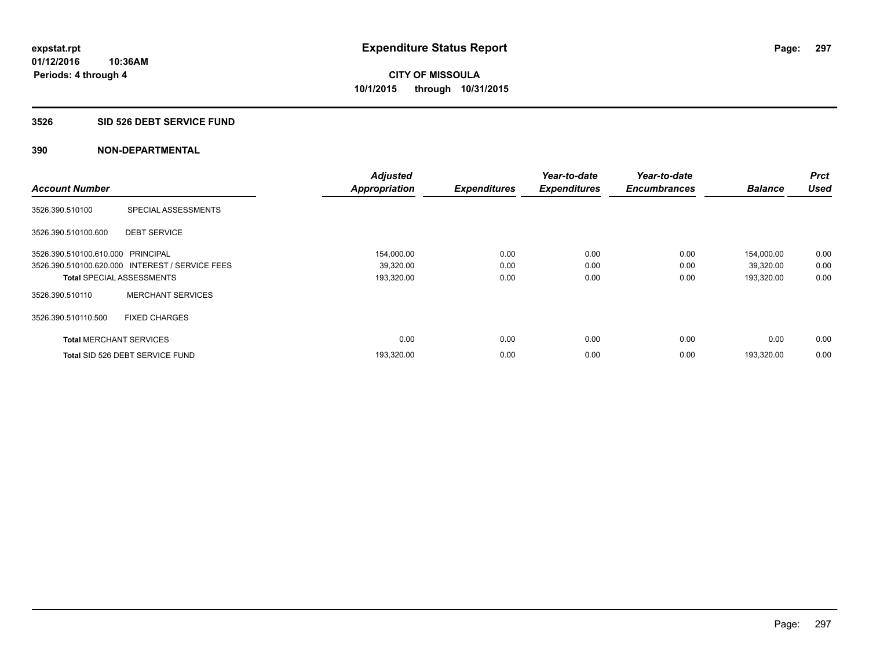### **3526 SID 526 DEBT SERVICE FUND**

|                                   |                                                 | <b>Adjusted</b>      |                     | Year-to-date        | Year-to-date        |                | Prct        |
|-----------------------------------|-------------------------------------------------|----------------------|---------------------|---------------------|---------------------|----------------|-------------|
| <b>Account Number</b>             |                                                 | <b>Appropriation</b> | <b>Expenditures</b> | <b>Expenditures</b> | <b>Encumbrances</b> | <b>Balance</b> | <b>Used</b> |
| 3526.390.510100                   | SPECIAL ASSESSMENTS                             |                      |                     |                     |                     |                |             |
| 3526.390.510100.600               | <b>DEBT SERVICE</b>                             |                      |                     |                     |                     |                |             |
| 3526.390.510100.610.000 PRINCIPAL |                                                 | 154,000.00           | 0.00                | 0.00                | 0.00                | 154,000.00     | 0.00        |
|                                   | 3526.390.510100.620.000 INTEREST / SERVICE FEES | 39,320.00            | 0.00                | 0.00                | 0.00                | 39,320.00      | 0.00        |
| <b>Total SPECIAL ASSESSMENTS</b>  |                                                 | 193,320.00           | 0.00                | 0.00                | 0.00                | 193,320.00     | 0.00        |
| 3526.390.510110                   | <b>MERCHANT SERVICES</b>                        |                      |                     |                     |                     |                |             |
| 3526.390.510110.500               | <b>FIXED CHARGES</b>                            |                      |                     |                     |                     |                |             |
| <b>Total MERCHANT SERVICES</b>    |                                                 | 0.00                 | 0.00                | 0.00                | 0.00                | 0.00           | 0.00        |
|                                   | Total SID 526 DEBT SERVICE FUND                 | 193,320.00           | 0.00                | 0.00                | 0.00                | 193.320.00     | 0.00        |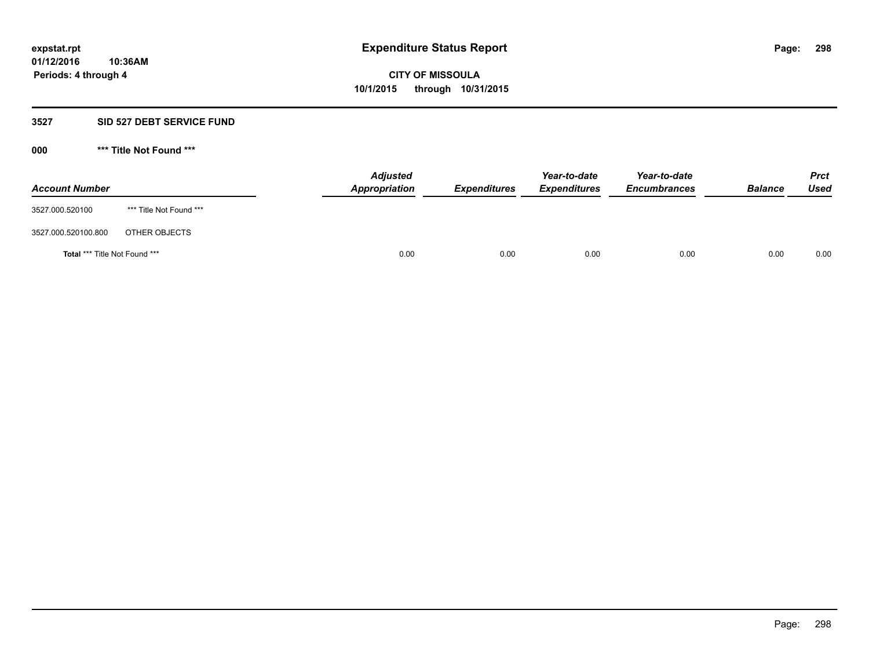### **3527 SID 527 DEBT SERVICE FUND**

**000 \*\*\* Title Not Found \*\*\***

| <b>Account Number</b>                |                         | <b>Adjusted</b><br>Appropriation | <b>Expenditures</b> | Year-to-date<br><b>Expenditures</b> | Year-to-date<br><b>Encumbrances</b> | <b>Balance</b> | <b>Prct</b><br><b>Used</b> |
|--------------------------------------|-------------------------|----------------------------------|---------------------|-------------------------------------|-------------------------------------|----------------|----------------------------|
| 3527.000.520100                      | *** Title Not Found *** |                                  |                     |                                     |                                     |                |                            |
| 3527.000.520100.800                  | OTHER OBJECTS           |                                  |                     |                                     |                                     |                |                            |
| <b>Total *** Title Not Found ***</b> |                         |                                  | 0.00<br>0.00        | 0.00                                | 0.00                                | 0.00           | 0.00                       |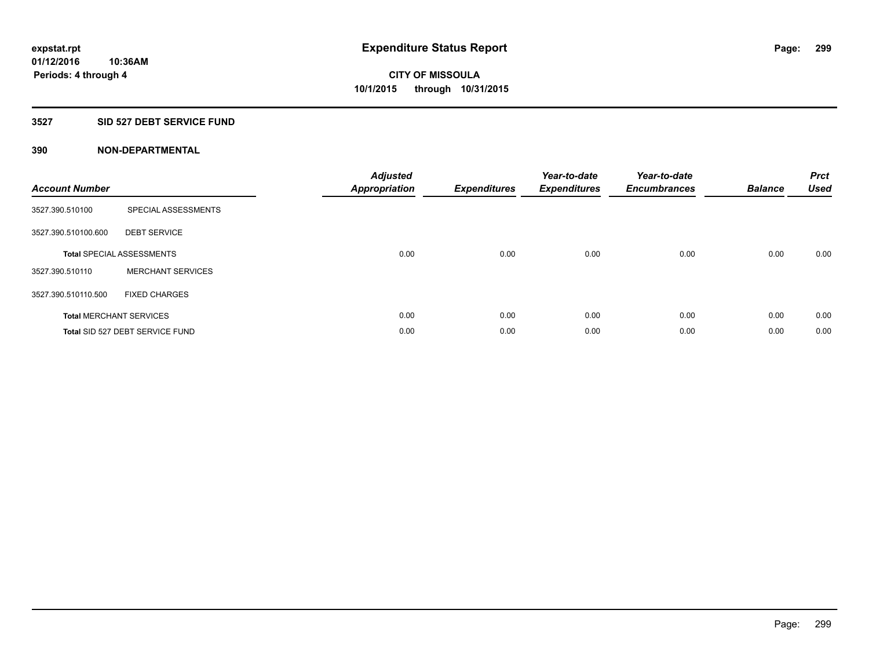### **3527 SID 527 DEBT SERVICE FUND**

| <b>Account Number</b> |                                  | <b>Adjusted</b><br><b>Appropriation</b> | <b>Expenditures</b> | Year-to-date<br><b>Expenditures</b> | Year-to-date<br><b>Encumbrances</b> | <b>Balance</b> | <b>Prct</b><br><b>Used</b> |
|-----------------------|----------------------------------|-----------------------------------------|---------------------|-------------------------------------|-------------------------------------|----------------|----------------------------|
| 3527.390.510100       | SPECIAL ASSESSMENTS              |                                         |                     |                                     |                                     |                |                            |
| 3527.390.510100.600   | <b>DEBT SERVICE</b>              |                                         |                     |                                     |                                     |                |                            |
|                       | <b>Total SPECIAL ASSESSMENTS</b> | 0.00                                    | 0.00                | 0.00                                | 0.00                                | 0.00           | 0.00                       |
| 3527.390.510110       | <b>MERCHANT SERVICES</b>         |                                         |                     |                                     |                                     |                |                            |
| 3527.390.510110.500   | <b>FIXED CHARGES</b>             |                                         |                     |                                     |                                     |                |                            |
|                       | <b>Total MERCHANT SERVICES</b>   | 0.00                                    | 0.00                | 0.00                                | 0.00                                | 0.00           | 0.00                       |
|                       | Total SID 527 DEBT SERVICE FUND  | 0.00                                    | 0.00                | 0.00                                | 0.00                                | 0.00           | 0.00                       |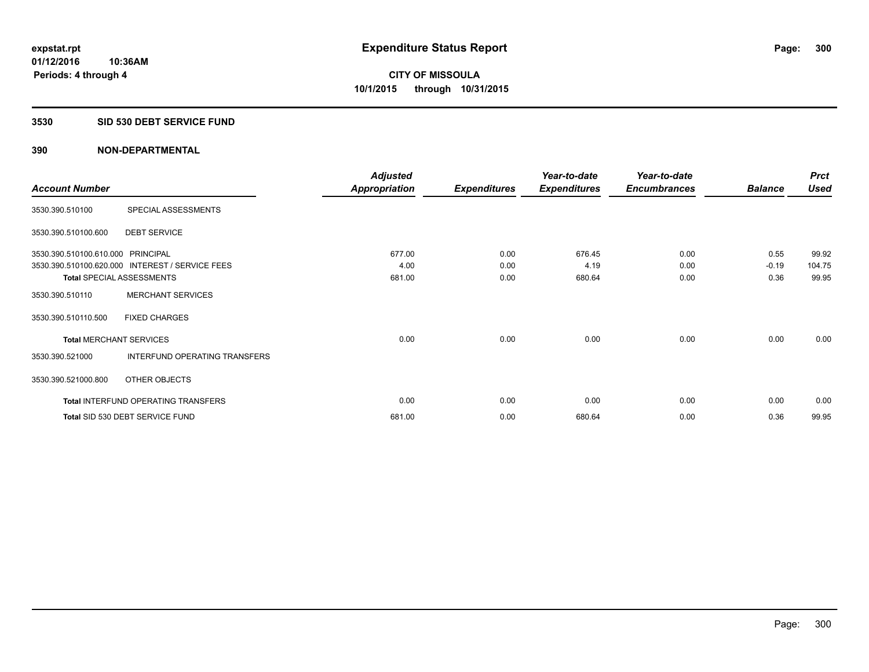### **3530 SID 530 DEBT SERVICE FUND**

|                                   |                                                 | <b>Adjusted</b>      |                     | Year-to-date        | Year-to-date        |                | <b>Prct</b> |
|-----------------------------------|-------------------------------------------------|----------------------|---------------------|---------------------|---------------------|----------------|-------------|
| <b>Account Number</b>             |                                                 | <b>Appropriation</b> | <b>Expenditures</b> | <b>Expenditures</b> | <b>Encumbrances</b> | <b>Balance</b> | <b>Used</b> |
| 3530.390.510100                   | SPECIAL ASSESSMENTS                             |                      |                     |                     |                     |                |             |
| 3530.390.510100.600               | <b>DEBT SERVICE</b>                             |                      |                     |                     |                     |                |             |
| 3530.390.510100.610.000 PRINCIPAL |                                                 | 677.00               | 0.00                | 676.45              | 0.00                | 0.55           | 99.92       |
|                                   | 3530.390.510100.620.000 INTEREST / SERVICE FEES | 4.00                 | 0.00                | 4.19                | 0.00                | $-0.19$        | 104.75      |
| <b>Total SPECIAL ASSESSMENTS</b>  |                                                 | 681.00               | 0.00                | 680.64              | 0.00                | 0.36           | 99.95       |
| 3530.390.510110                   | <b>MERCHANT SERVICES</b>                        |                      |                     |                     |                     |                |             |
| 3530.390.510110.500               | <b>FIXED CHARGES</b>                            |                      |                     |                     |                     |                |             |
| <b>Total MERCHANT SERVICES</b>    |                                                 | 0.00                 | 0.00                | 0.00                | 0.00                | 0.00           | 0.00        |
| 3530.390.521000                   | INTERFUND OPERATING TRANSFERS                   |                      |                     |                     |                     |                |             |
| 3530.390.521000.800               | OTHER OBJECTS                                   |                      |                     |                     |                     |                |             |
|                                   | Total INTERFUND OPERATING TRANSFERS             | 0.00                 | 0.00                | 0.00                | 0.00                | 0.00           | 0.00        |
|                                   | Total SID 530 DEBT SERVICE FUND                 | 681.00               | 0.00                | 680.64              | 0.00                | 0.36           | 99.95       |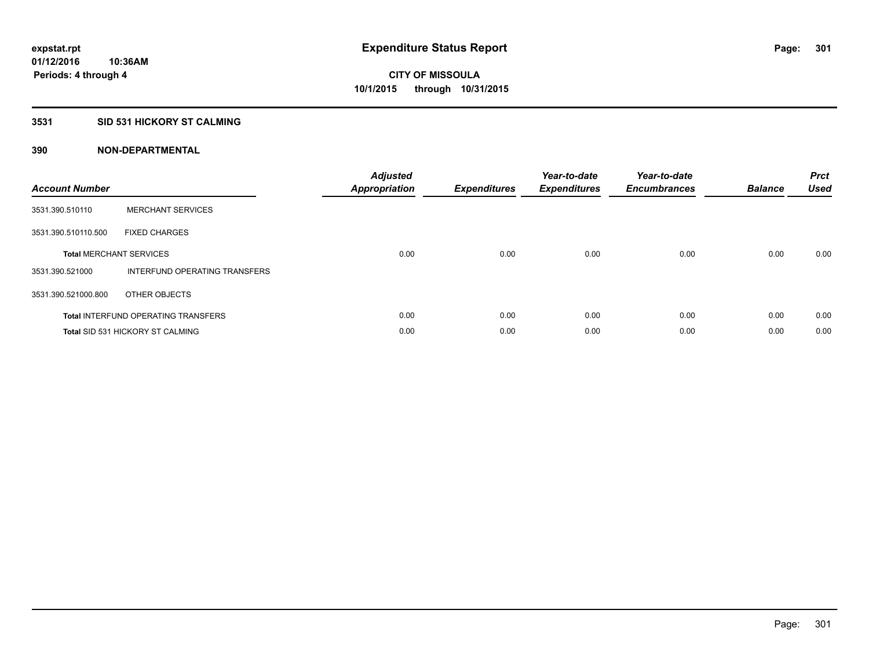### **3531 SID 531 HICKORY ST CALMING**

| <b>Account Number</b> |                                            | <b>Adjusted</b><br>Appropriation | <b>Expenditures</b> | Year-to-date<br><b>Expenditures</b> | Year-to-date<br><b>Encumbrances</b> | <b>Balance</b> | <b>Prct</b><br><b>Used</b> |
|-----------------------|--------------------------------------------|----------------------------------|---------------------|-------------------------------------|-------------------------------------|----------------|----------------------------|
| 3531.390.510110       | <b>MERCHANT SERVICES</b>                   |                                  |                     |                                     |                                     |                |                            |
| 3531.390.510110.500   | <b>FIXED CHARGES</b>                       |                                  |                     |                                     |                                     |                |                            |
|                       | <b>Total MERCHANT SERVICES</b>             | 0.00                             | 0.00                | 0.00                                | 0.00                                | 0.00           | 0.00                       |
| 3531.390.521000       | INTERFUND OPERATING TRANSFERS              |                                  |                     |                                     |                                     |                |                            |
| 3531.390.521000.800   | OTHER OBJECTS                              |                                  |                     |                                     |                                     |                |                            |
|                       | <b>Total INTERFUND OPERATING TRANSFERS</b> | 0.00                             | 0.00                | 0.00                                | 0.00                                | 0.00           | 0.00                       |
|                       | <b>Total SID 531 HICKORY ST CALMING</b>    | 0.00                             | 0.00                | 0.00                                | 0.00                                | 0.00           | 0.00                       |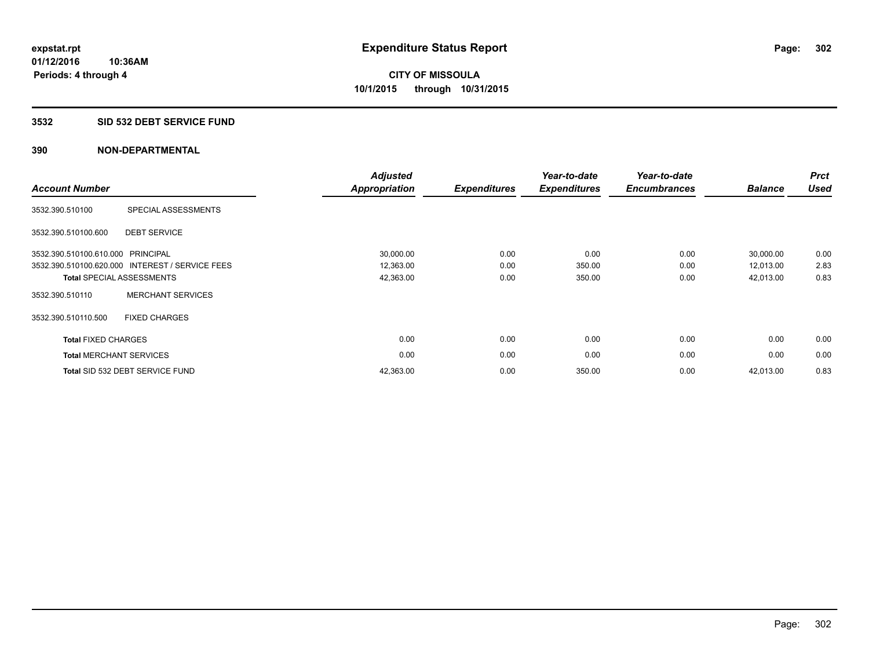### **3532 SID 532 DEBT SERVICE FUND**

| <b>Account Number</b>          |                                                 | <b>Adjusted</b><br><b>Appropriation</b> | <b>Expenditures</b> | Year-to-date<br><b>Expenditures</b> | Year-to-date<br><b>Encumbrances</b> | <b>Balance</b> | <b>Prct</b><br><b>Used</b> |
|--------------------------------|-------------------------------------------------|-----------------------------------------|---------------------|-------------------------------------|-------------------------------------|----------------|----------------------------|
| 3532.390.510100                | SPECIAL ASSESSMENTS                             |                                         |                     |                                     |                                     |                |                            |
| 3532.390.510100.600            | <b>DEBT SERVICE</b>                             |                                         |                     |                                     |                                     |                |                            |
| 3532.390.510100.610.000        | PRINCIPAL                                       | 30,000.00                               | 0.00                | 0.00                                | 0.00                                | 30,000.00      | 0.00                       |
|                                | 3532.390.510100.620.000 INTEREST / SERVICE FEES | 12,363.00                               | 0.00                | 350.00                              | 0.00                                | 12,013.00      | 2.83                       |
|                                | <b>Total SPECIAL ASSESSMENTS</b>                | 42,363.00                               | 0.00                | 350.00                              | 0.00                                | 42,013.00      | 0.83                       |
| 3532.390.510110                | <b>MERCHANT SERVICES</b>                        |                                         |                     |                                     |                                     |                |                            |
| 3532.390.510110.500            | <b>FIXED CHARGES</b>                            |                                         |                     |                                     |                                     |                |                            |
| <b>Total FIXED CHARGES</b>     |                                                 | 0.00                                    | 0.00                | 0.00                                | 0.00                                | 0.00           | 0.00                       |
| <b>Total MERCHANT SERVICES</b> |                                                 | 0.00                                    | 0.00                | 0.00                                | 0.00                                | 0.00           | 0.00                       |
|                                | Total SID 532 DEBT SERVICE FUND                 | 42,363.00                               | 0.00                | 350.00                              | 0.00                                | 42,013.00      | 0.83                       |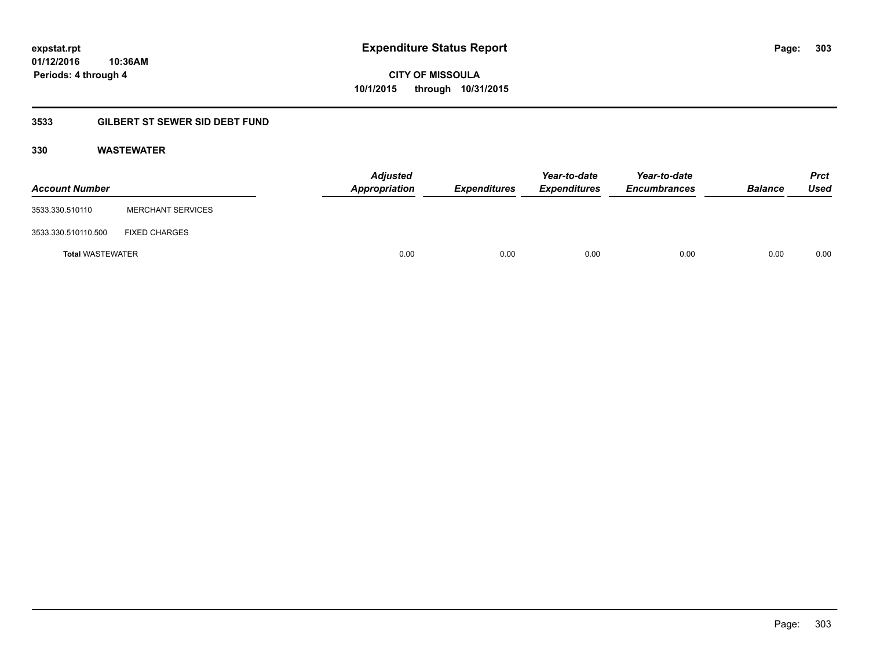**Periods: 4 through 4**

**CITY OF MISSOULA 10/1/2015 through 10/31/2015**

### **3533 GILBERT ST SEWER SID DEBT FUND**

**10:36AM**

### **330 WASTEWATER**

| <b>Account Number</b>   |                          | <b>Adjusted</b><br>Appropriation | <b>Expenditures</b> | Year-to-date<br><i><b>Expenditures</b></i> | Year-to-date<br><b>Encumbrances</b> | <b>Balance</b> | <b>Prct</b><br>Used |
|-------------------------|--------------------------|----------------------------------|---------------------|--------------------------------------------|-------------------------------------|----------------|---------------------|
| 3533.330.510110         | <b>MERCHANT SERVICES</b> |                                  |                     |                                            |                                     |                |                     |
| 3533.330.510110.500     | <b>FIXED CHARGES</b>     |                                  |                     |                                            |                                     |                |                     |
| <b>Total WASTEWATER</b> |                          | 0.00                             | 0.00                | 0.00                                       | 0.00                                | 0.00           | 0.00                |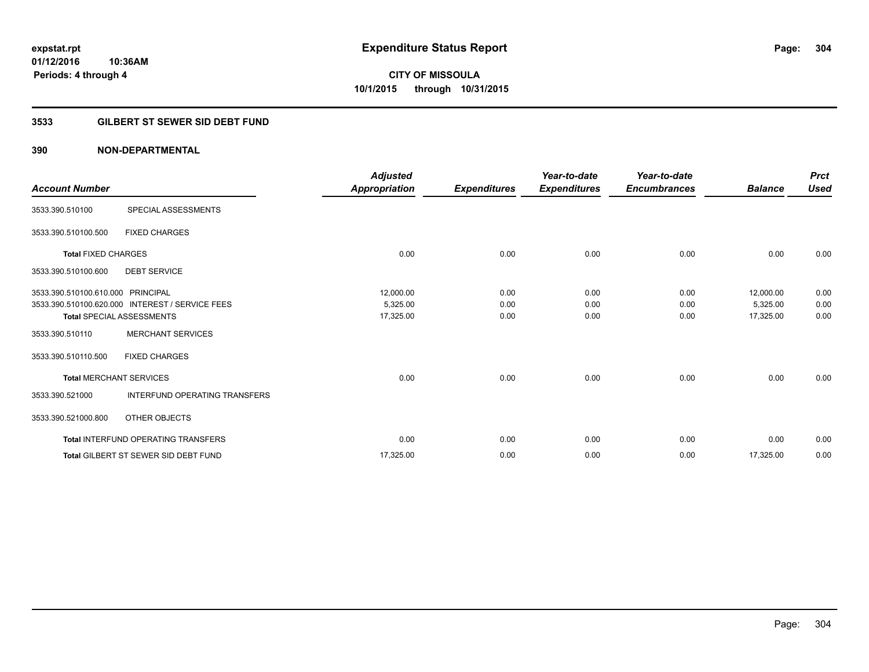**Periods: 4 through 4**

**CITY OF MISSOULA 10/1/2015 through 10/31/2015**

### **3533 GILBERT ST SEWER SID DEBT FUND**

### **390 NON-DEPARTMENTAL**

**10:36AM**

| <b>Account Number</b>             |                                                 | <b>Adjusted</b><br>Appropriation | <b>Expenditures</b> | Year-to-date<br><b>Expenditures</b> | Year-to-date<br><b>Encumbrances</b> | <b>Balance</b> | <b>Prct</b><br><b>Used</b> |
|-----------------------------------|-------------------------------------------------|----------------------------------|---------------------|-------------------------------------|-------------------------------------|----------------|----------------------------|
| 3533.390.510100                   | SPECIAL ASSESSMENTS                             |                                  |                     |                                     |                                     |                |                            |
| 3533.390.510100.500               | <b>FIXED CHARGES</b>                            |                                  |                     |                                     |                                     |                |                            |
| <b>Total FIXED CHARGES</b>        |                                                 | 0.00                             | 0.00                | 0.00                                | 0.00                                | 0.00           | 0.00                       |
| 3533.390.510100.600               | <b>DEBT SERVICE</b>                             |                                  |                     |                                     |                                     |                |                            |
| 3533.390.510100.610.000 PRINCIPAL |                                                 | 12,000.00                        | 0.00                | 0.00                                | 0.00                                | 12,000.00      | 0.00                       |
|                                   | 3533.390.510100.620.000 INTEREST / SERVICE FEES | 5,325.00                         | 0.00                | 0.00                                | 0.00                                | 5,325.00       | 0.00                       |
|                                   | <b>Total SPECIAL ASSESSMENTS</b>                | 17,325.00                        | 0.00                | 0.00                                | 0.00                                | 17,325.00      | 0.00                       |
| 3533.390.510110                   | <b>MERCHANT SERVICES</b>                        |                                  |                     |                                     |                                     |                |                            |
| 3533.390.510110.500               | <b>FIXED CHARGES</b>                            |                                  |                     |                                     |                                     |                |                            |
|                                   | <b>Total MERCHANT SERVICES</b>                  | 0.00                             | 0.00                | 0.00                                | 0.00                                | 0.00           | 0.00                       |
| 3533.390.521000                   | <b>INTERFUND OPERATING TRANSFERS</b>            |                                  |                     |                                     |                                     |                |                            |
| 3533.390.521000.800               | OTHER OBJECTS                                   |                                  |                     |                                     |                                     |                |                            |
|                                   | <b>Total INTERFUND OPERATING TRANSFERS</b>      | 0.00                             | 0.00                | 0.00                                | 0.00                                | 0.00           | 0.00                       |
|                                   | <b>Total GILBERT ST SEWER SID DEBT FUND</b>     | 17,325.00                        | 0.00                | 0.00                                | 0.00                                | 17,325.00      | 0.00                       |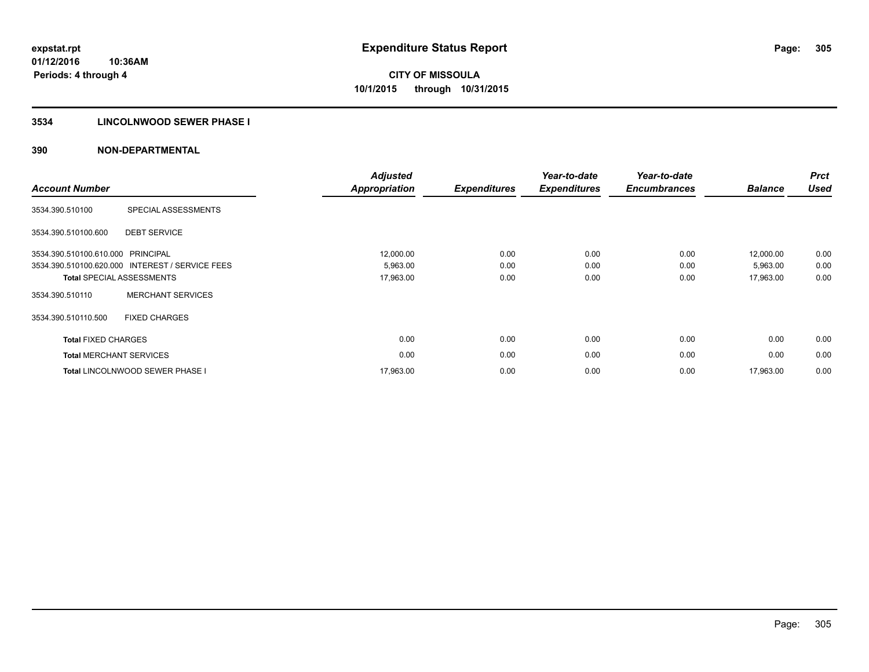### **3534 LINCOLNWOOD SEWER PHASE I**

| <b>Account Number</b>          |                                                 | <b>Adjusted</b><br><b>Appropriation</b> | <b>Expenditures</b> | Year-to-date<br><b>Expenditures</b> | Year-to-date<br><b>Encumbrances</b> | <b>Balance</b> | <b>Prct</b><br><b>Used</b> |
|--------------------------------|-------------------------------------------------|-----------------------------------------|---------------------|-------------------------------------|-------------------------------------|----------------|----------------------------|
| 3534.390.510100                | SPECIAL ASSESSMENTS                             |                                         |                     |                                     |                                     |                |                            |
| 3534.390.510100.600            | <b>DEBT SERVICE</b>                             |                                         |                     |                                     |                                     |                |                            |
| 3534.390.510100.610.000        | PRINCIPAL                                       | 12,000.00                               | 0.00                | 0.00                                | 0.00                                | 12,000.00      | 0.00                       |
|                                | 3534.390.510100.620.000 INTEREST / SERVICE FEES | 5,963.00                                | 0.00                | 0.00                                | 0.00                                | 5,963.00       | 0.00                       |
|                                | <b>Total SPECIAL ASSESSMENTS</b>                | 17,963.00                               | 0.00                | 0.00                                | 0.00                                | 17,963.00      | 0.00                       |
| 3534.390.510110                | <b>MERCHANT SERVICES</b>                        |                                         |                     |                                     |                                     |                |                            |
| 3534.390.510110.500            | <b>FIXED CHARGES</b>                            |                                         |                     |                                     |                                     |                |                            |
| <b>Total FIXED CHARGES</b>     |                                                 | 0.00                                    | 0.00                | 0.00                                | 0.00                                | 0.00           | 0.00                       |
| <b>Total MERCHANT SERVICES</b> |                                                 | 0.00                                    | 0.00                | 0.00                                | 0.00                                | 0.00           | 0.00                       |
|                                | <b>Total LINCOLNWOOD SEWER PHASE I</b>          | 17,963.00                               | 0.00                | 0.00                                | 0.00                                | 17,963.00      | 0.00                       |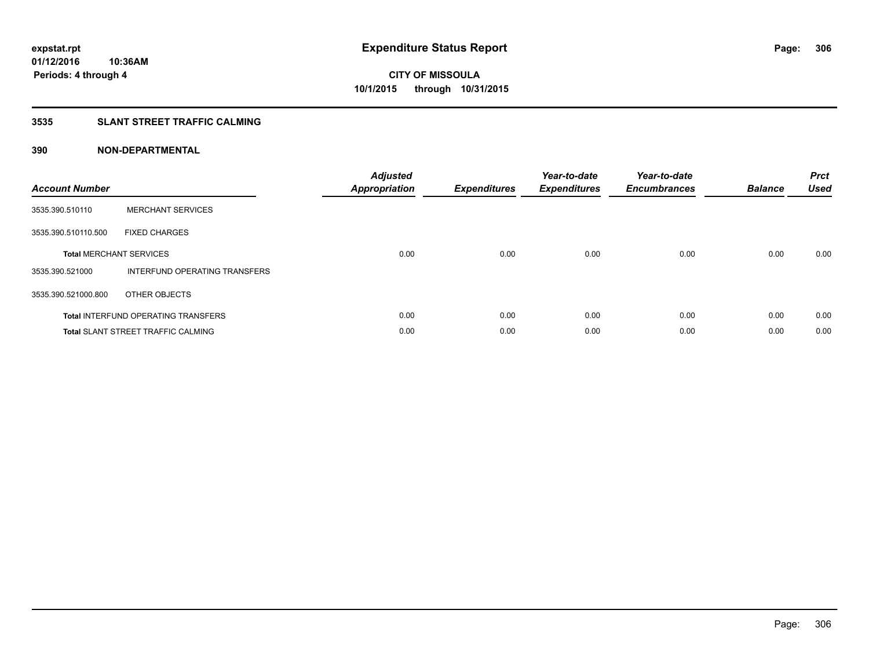### **3535 SLANT STREET TRAFFIC CALMING**

| <b>Account Number</b> |                                            | <b>Adjusted</b><br><b>Appropriation</b> | <b>Expenditures</b> | Year-to-date<br><b>Expenditures</b> | Year-to-date<br><b>Encumbrances</b> | <b>Balance</b> | <b>Prct</b><br>Used |
|-----------------------|--------------------------------------------|-----------------------------------------|---------------------|-------------------------------------|-------------------------------------|----------------|---------------------|
| 3535.390.510110       | <b>MERCHANT SERVICES</b>                   |                                         |                     |                                     |                                     |                |                     |
| 3535.390.510110.500   | <b>FIXED CHARGES</b>                       |                                         |                     |                                     |                                     |                |                     |
|                       | <b>Total MERCHANT SERVICES</b>             | 0.00                                    | 0.00                | 0.00                                | 0.00                                | 0.00           | 0.00                |
| 3535.390.521000       | INTERFUND OPERATING TRANSFERS              |                                         |                     |                                     |                                     |                |                     |
| 3535.390.521000.800   | OTHER OBJECTS                              |                                         |                     |                                     |                                     |                |                     |
|                       | <b>Total INTERFUND OPERATING TRANSFERS</b> | 0.00                                    | 0.00                | 0.00                                | 0.00                                | 0.00           | 0.00                |
|                       | <b>Total SLANT STREET TRAFFIC CALMING</b>  | 0.00                                    | 0.00                | 0.00                                | 0.00                                | 0.00           | 0.00                |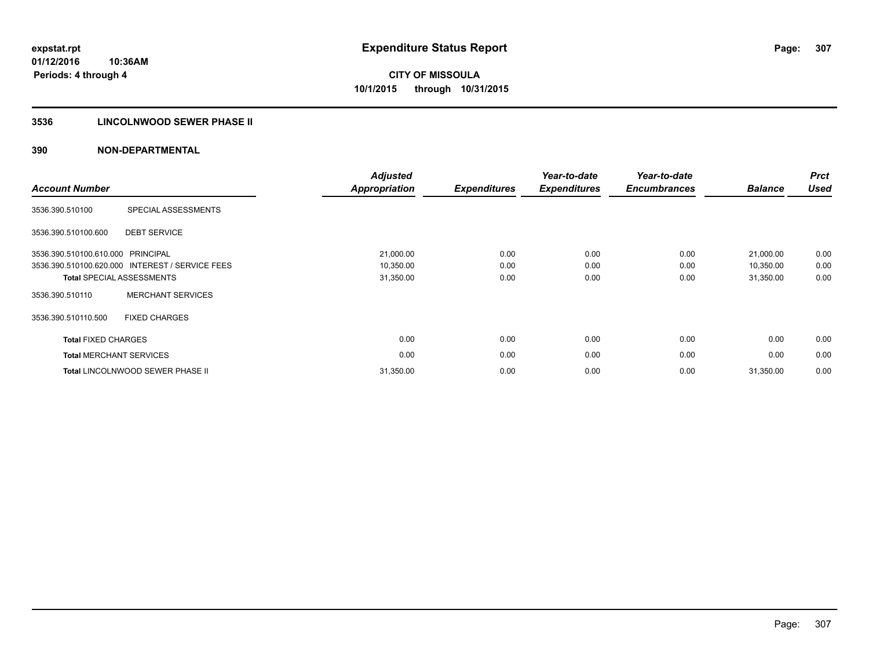### **3536 LINCOLNWOOD SEWER PHASE II**

| <b>Account Number</b>          |                                                 | <b>Adjusted</b><br><b>Appropriation</b> | <b>Expenditures</b> | Year-to-date<br><b>Expenditures</b> | Year-to-date<br><b>Encumbrances</b> | <b>Balance</b> | <b>Prct</b><br><b>Used</b> |
|--------------------------------|-------------------------------------------------|-----------------------------------------|---------------------|-------------------------------------|-------------------------------------|----------------|----------------------------|
| 3536.390.510100                | SPECIAL ASSESSMENTS                             |                                         |                     |                                     |                                     |                |                            |
| 3536.390.510100.600            | <b>DEBT SERVICE</b>                             |                                         |                     |                                     |                                     |                |                            |
| 3536.390.510100.610.000        | PRINCIPAL                                       | 21,000.00                               | 0.00                | 0.00                                | 0.00                                | 21,000.00      | 0.00                       |
|                                | 3536.390.510100.620.000 INTEREST / SERVICE FEES | 10,350.00                               | 0.00                | 0.00                                | 0.00                                | 10,350.00      | 0.00                       |
|                                | <b>Total SPECIAL ASSESSMENTS</b>                | 31,350.00                               | 0.00                | 0.00                                | 0.00                                | 31,350.00      | 0.00                       |
| 3536.390.510110                | <b>MERCHANT SERVICES</b>                        |                                         |                     |                                     |                                     |                |                            |
| 3536.390.510110.500            | <b>FIXED CHARGES</b>                            |                                         |                     |                                     |                                     |                |                            |
| <b>Total FIXED CHARGES</b>     |                                                 | 0.00                                    | 0.00                | 0.00                                | 0.00                                | 0.00           | 0.00                       |
| <b>Total MERCHANT SERVICES</b> |                                                 | 0.00                                    | 0.00                | 0.00                                | 0.00                                | 0.00           | 0.00                       |
|                                | <b>Total LINCOLNWOOD SEWER PHASE II</b>         | 31,350.00                               | 0.00                | 0.00                                | 0.00                                | 31,350.00      | 0.00                       |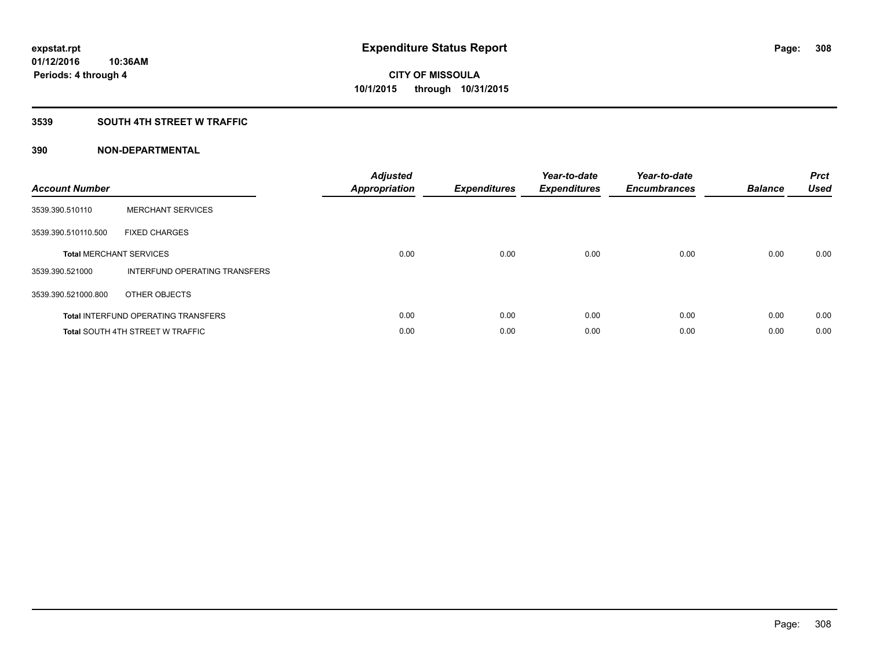### **3539 SOUTH 4TH STREET W TRAFFIC**

| <b>Account Number</b> |                                            | <b>Adjusted</b><br>Appropriation | <b>Expenditures</b> | Year-to-date<br><b>Expenditures</b> | Year-to-date<br><b>Encumbrances</b> | <b>Balance</b> | <b>Prct</b><br><b>Used</b> |
|-----------------------|--------------------------------------------|----------------------------------|---------------------|-------------------------------------|-------------------------------------|----------------|----------------------------|
| 3539.390.510110       | <b>MERCHANT SERVICES</b>                   |                                  |                     |                                     |                                     |                |                            |
| 3539.390.510110.500   | <b>FIXED CHARGES</b>                       |                                  |                     |                                     |                                     |                |                            |
|                       | <b>Total MERCHANT SERVICES</b>             | 0.00                             | 0.00                | 0.00                                | 0.00                                | 0.00           | 0.00                       |
| 3539.390.521000       | INTERFUND OPERATING TRANSFERS              |                                  |                     |                                     |                                     |                |                            |
| 3539.390.521000.800   | OTHER OBJECTS                              |                                  |                     |                                     |                                     |                |                            |
|                       | <b>Total INTERFUND OPERATING TRANSFERS</b> | 0.00                             | 0.00                | 0.00                                | 0.00                                | 0.00           | 0.00                       |
|                       | <b>Total SOUTH 4TH STREET W TRAFFIC</b>    | 0.00                             | 0.00                | 0.00                                | 0.00                                | 0.00           | 0.00                       |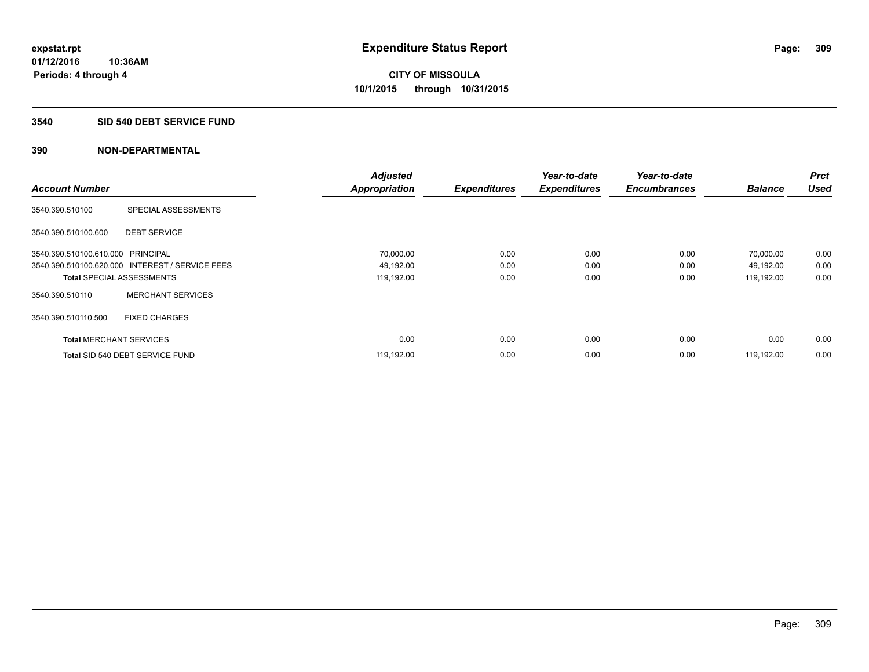### **3540 SID 540 DEBT SERVICE FUND**

|                                   |                                                 | <b>Adjusted</b>      |                     | Year-to-date        | Year-to-date        |                | <b>Prct</b><br><b>Used</b> |
|-----------------------------------|-------------------------------------------------|----------------------|---------------------|---------------------|---------------------|----------------|----------------------------|
| <b>Account Number</b>             |                                                 | <b>Appropriation</b> | <b>Expenditures</b> | <b>Expenditures</b> | <b>Encumbrances</b> | <b>Balance</b> |                            |
| 3540.390.510100                   | SPECIAL ASSESSMENTS                             |                      |                     |                     |                     |                |                            |
| 3540.390.510100.600               | <b>DEBT SERVICE</b>                             |                      |                     |                     |                     |                |                            |
| 3540.390.510100.610.000 PRINCIPAL |                                                 | 70,000.00            | 0.00                | 0.00                | 0.00                | 70,000.00      | 0.00                       |
|                                   | 3540.390.510100.620.000 INTEREST / SERVICE FEES | 49,192.00            | 0.00                | 0.00                | 0.00                | 49,192.00      | 0.00                       |
| <b>Total SPECIAL ASSESSMENTS</b>  |                                                 | 119,192.00           | 0.00                | 0.00                | 0.00                | 119,192.00     | 0.00                       |
| 3540.390.510110                   | <b>MERCHANT SERVICES</b>                        |                      |                     |                     |                     |                |                            |
| 3540.390.510110.500               | <b>FIXED CHARGES</b>                            |                      |                     |                     |                     |                |                            |
| <b>Total MERCHANT SERVICES</b>    |                                                 | 0.00                 | 0.00                | 0.00                | 0.00                | 0.00           | 0.00                       |
|                                   | Total SID 540 DEBT SERVICE FUND                 | 119,192.00           | 0.00                | 0.00                | 0.00                | 119.192.00     | 0.00                       |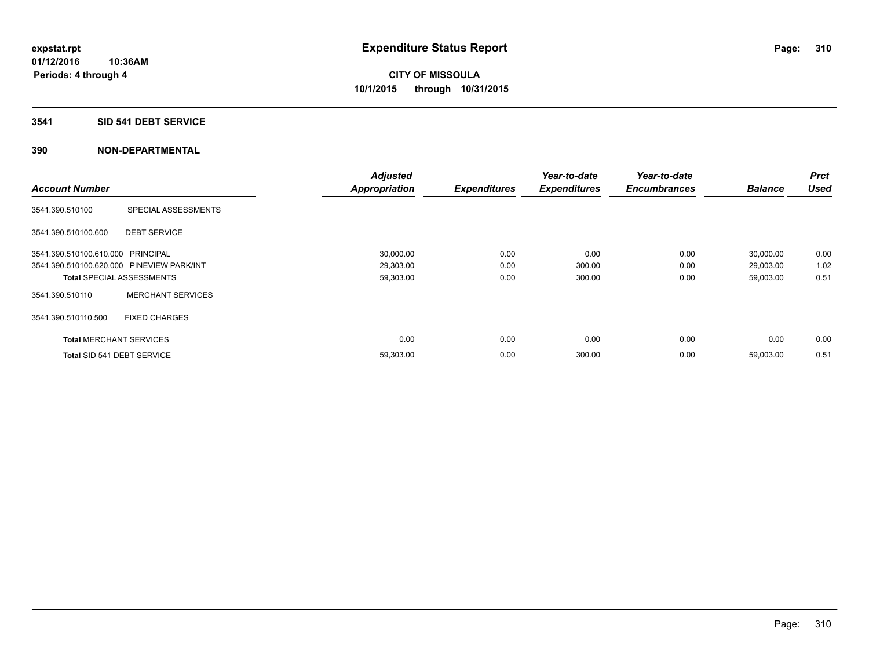### **3541 SID 541 DEBT SERVICE**

|                                           |                          | <b>Adjusted</b>      |                     | Year-to-date        | Year-to-date        |                | <b>Prct</b> |
|-------------------------------------------|--------------------------|----------------------|---------------------|---------------------|---------------------|----------------|-------------|
| <b>Account Number</b>                     |                          | <b>Appropriation</b> | <b>Expenditures</b> | <b>Expenditures</b> | <b>Encumbrances</b> | <b>Balance</b> | <b>Used</b> |
| 3541.390.510100                           | SPECIAL ASSESSMENTS      |                      |                     |                     |                     |                |             |
| 3541.390.510100.600                       | <b>DEBT SERVICE</b>      |                      |                     |                     |                     |                |             |
| 3541.390.510100.610.000 PRINCIPAL         |                          | 30,000.00            | 0.00                | 0.00                | 0.00                | 30,000.00      | 0.00        |
| 3541.390.510100.620.000 PINEVIEW PARK/INT |                          | 29,303.00            | 0.00                | 300.00              | 0.00                | 29,003.00      | 1.02        |
| <b>Total SPECIAL ASSESSMENTS</b>          |                          | 59,303.00            | 0.00                | 300.00              | 0.00                | 59,003.00      | 0.51        |
| 3541.390.510110                           | <b>MERCHANT SERVICES</b> |                      |                     |                     |                     |                |             |
| 3541.390.510110.500                       | <b>FIXED CHARGES</b>     |                      |                     |                     |                     |                |             |
| <b>Total MERCHANT SERVICES</b>            |                          | 0.00                 | 0.00                | 0.00                | 0.00                | 0.00           | 0.00        |
| Total SID 541 DEBT SERVICE                |                          | 59,303.00            | 0.00                | 300.00              | 0.00                | 59,003.00      | 0.51        |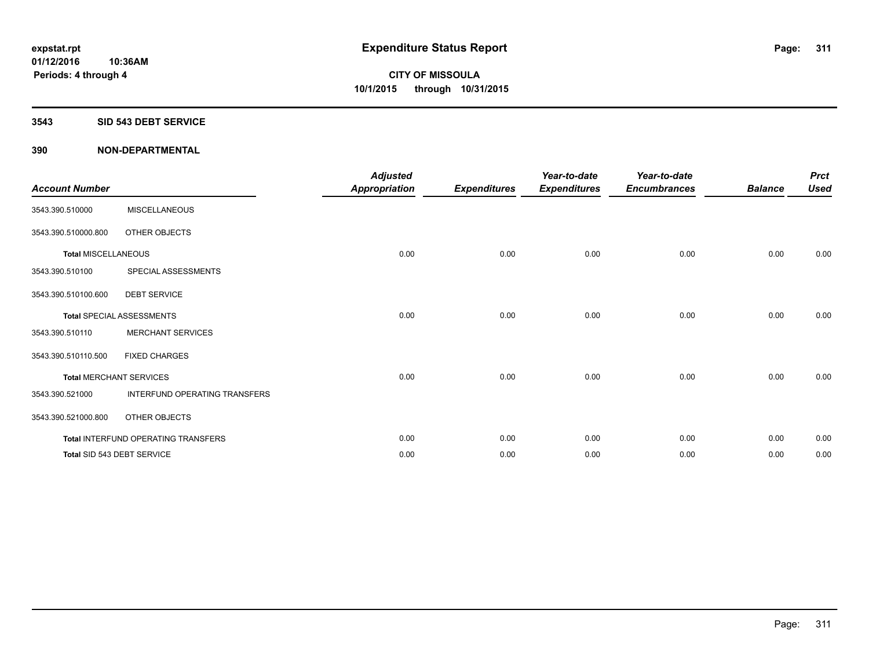#### **3543 SID 543 DEBT SERVICE**

| <b>Account Number</b>      |                                     | <b>Adjusted</b><br><b>Appropriation</b> | <b>Expenditures</b> | Year-to-date<br><b>Expenditures</b> | Year-to-date<br><b>Encumbrances</b> | <b>Balance</b> | <b>Prct</b><br><b>Used</b> |
|----------------------------|-------------------------------------|-----------------------------------------|---------------------|-------------------------------------|-------------------------------------|----------------|----------------------------|
| 3543.390.510000            | <b>MISCELLANEOUS</b>                |                                         |                     |                                     |                                     |                |                            |
| 3543.390.510000.800        | OTHER OBJECTS                       |                                         |                     |                                     |                                     |                |                            |
| <b>Total MISCELLANEOUS</b> |                                     | 0.00                                    | 0.00                | 0.00                                | 0.00                                | 0.00           | 0.00                       |
| 3543.390.510100            | SPECIAL ASSESSMENTS                 |                                         |                     |                                     |                                     |                |                            |
| 3543.390.510100.600        | <b>DEBT SERVICE</b>                 |                                         |                     |                                     |                                     |                |                            |
|                            | <b>Total SPECIAL ASSESSMENTS</b>    | 0.00                                    | 0.00                | 0.00                                | 0.00                                | 0.00           | 0.00                       |
| 3543.390.510110            | <b>MERCHANT SERVICES</b>            |                                         |                     |                                     |                                     |                |                            |
| 3543.390.510110.500        | <b>FIXED CHARGES</b>                |                                         |                     |                                     |                                     |                |                            |
|                            | <b>Total MERCHANT SERVICES</b>      | 0.00                                    | 0.00                | 0.00                                | 0.00                                | 0.00           | 0.00                       |
| 3543.390.521000            | INTERFUND OPERATING TRANSFERS       |                                         |                     |                                     |                                     |                |                            |
| 3543.390.521000.800        | OTHER OBJECTS                       |                                         |                     |                                     |                                     |                |                            |
|                            | Total INTERFUND OPERATING TRANSFERS | 0.00                                    | 0.00                | 0.00                                | 0.00                                | 0.00           | 0.00                       |
|                            | Total SID 543 DEBT SERVICE          | 0.00                                    | 0.00                | 0.00                                | 0.00                                | 0.00           | 0.00                       |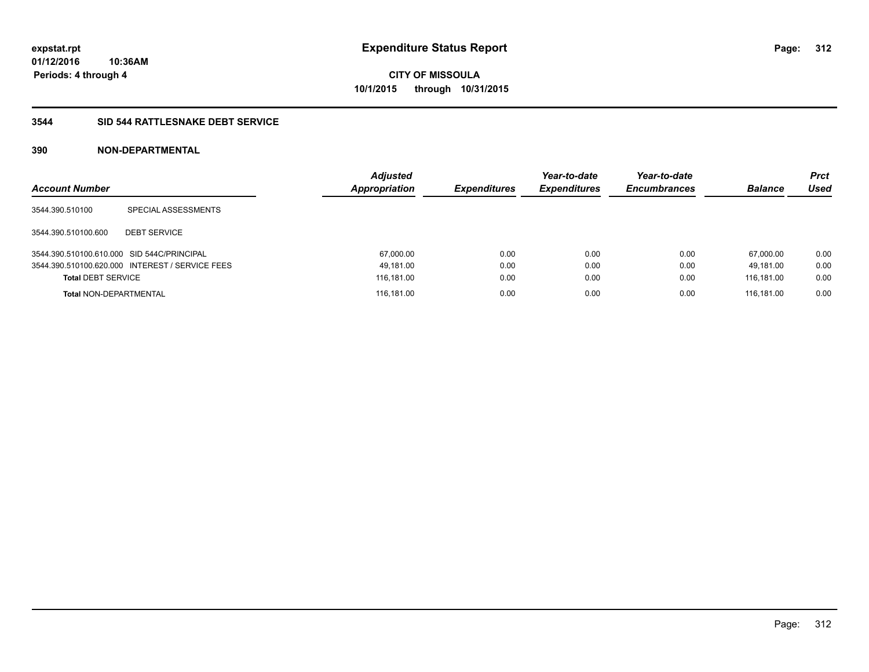**CITY OF MISSOULA 10/1/2015 through 10/31/2015**

### **3544 SID 544 RATTLESNAKE DEBT SERVICE**

| <b>Account Number</b>                      |                                                 | <b>Adjusted</b><br><b>Appropriation</b> | <b>Expenditures</b> | Year-to-date<br><b>Expenditures</b> | Year-to-date<br><b>Encumbrances</b> | <b>Balance</b> | <b>Prct</b><br>Used |
|--------------------------------------------|-------------------------------------------------|-----------------------------------------|---------------------|-------------------------------------|-------------------------------------|----------------|---------------------|
| 3544.390.510100                            | SPECIAL ASSESSMENTS                             |                                         |                     |                                     |                                     |                |                     |
| 3544.390.510100.600                        | <b>DEBT SERVICE</b>                             |                                         |                     |                                     |                                     |                |                     |
| 3544.390.510100.610.000 SID 544C/PRINCIPAL |                                                 | 67,000.00                               | 0.00                | 0.00                                | 0.00                                | 67.000.00      | 0.00                |
|                                            | 3544.390.510100.620.000 INTEREST / SERVICE FEES | 49,181.00                               | 0.00                | 0.00                                | 0.00                                | 49.181.00      | 0.00                |
| <b>Total DEBT SERVICE</b>                  |                                                 | 116,181.00                              | 0.00                | 0.00                                | 0.00                                | 116.181.00     | 0.00                |
| <b>Total NON-DEPARTMENTAL</b>              |                                                 | 116,181.00                              | 0.00                | 0.00                                | 0.00                                | 116.181.00     | 0.00                |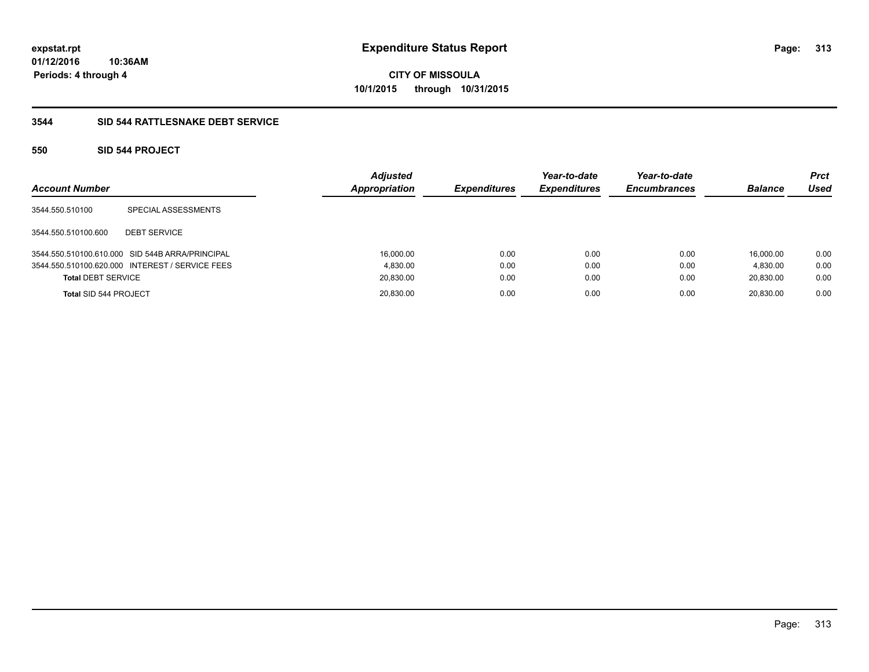**CITY OF MISSOULA 10/1/2015 through 10/31/2015**

### **3544 SID 544 RATTLESNAKE DEBT SERVICE**

### **550 SID 544 PROJECT**

| <b>Account Number</b>     |                                                 | <b>Adjusted</b><br>Appropriation | <b>Expenditures</b> | Year-to-date<br><b>Expenditures</b> | Year-to-date<br><b>Encumbrances</b> | <b>Balance</b> | <b>Prct</b><br>Used |
|---------------------------|-------------------------------------------------|----------------------------------|---------------------|-------------------------------------|-------------------------------------|----------------|---------------------|
| 3544.550.510100           | SPECIAL ASSESSMENTS                             |                                  |                     |                                     |                                     |                |                     |
| 3544.550.510100.600       | <b>DEBT SERVICE</b>                             |                                  |                     |                                     |                                     |                |                     |
|                           | 3544.550.510100.610.000 SID 544B ARRA/PRINCIPAL | 16,000.00                        | 0.00                | 0.00                                | 0.00                                | 16.000.00      | 0.00                |
|                           | 3544.550.510100.620.000 INTEREST / SERVICE FEES | 4.830.00                         | 0.00                | 0.00                                | 0.00                                | 4.830.00       | 0.00                |
| <b>Total DEBT SERVICE</b> |                                                 | 20,830.00                        | 0.00                | 0.00                                | 0.00                                | 20,830.00      | 0.00                |
| Total SID 544 PROJECT     |                                                 | 20,830.00                        | 0.00                | 0.00                                | 0.00                                | 20.830.00      | 0.00                |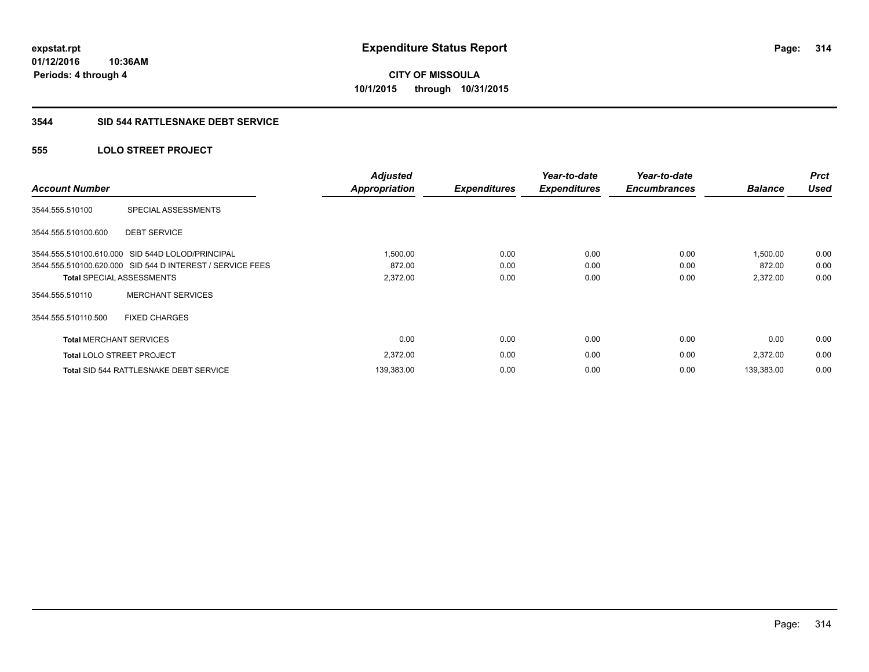**CITY OF MISSOULA 10/1/2015 through 10/31/2015**

#### **3544 SID 544 RATTLESNAKE DEBT SERVICE**

### **555 LOLO STREET PROJECT**

| <b>Account Number</b>            |                                                           | <b>Adjusted</b><br><b>Appropriation</b> | <b>Expenditures</b> | Year-to-date<br><b>Expenditures</b> | Year-to-date<br><b>Encumbrances</b> | <b>Balance</b> | <b>Prct</b><br><b>Used</b> |
|----------------------------------|-----------------------------------------------------------|-----------------------------------------|---------------------|-------------------------------------|-------------------------------------|----------------|----------------------------|
| 3544.555.510100                  | SPECIAL ASSESSMENTS                                       |                                         |                     |                                     |                                     |                |                            |
| 3544.555.510100.600              | <b>DEBT SERVICE</b>                                       |                                         |                     |                                     |                                     |                |                            |
|                                  | 3544.555.510100.610.000 SID 544D LOLOD/PRINCIPAL          | 1,500.00                                | 0.00                | 0.00                                | 0.00                                | 1,500.00       | 0.00                       |
|                                  | 3544.555.510100.620.000 SID 544 D INTEREST / SERVICE FEES | 872.00                                  | 0.00                | 0.00                                | 0.00                                | 872.00         | 0.00                       |
| <b>Total SPECIAL ASSESSMENTS</b> |                                                           | 2,372.00                                | 0.00                | 0.00                                | 0.00                                | 2,372.00       | 0.00                       |
| 3544.555.510110                  | <b>MERCHANT SERVICES</b>                                  |                                         |                     |                                     |                                     |                |                            |
| 3544.555.510110.500              | <b>FIXED CHARGES</b>                                      |                                         |                     |                                     |                                     |                |                            |
| <b>Total MERCHANT SERVICES</b>   |                                                           | 0.00                                    | 0.00                | 0.00                                | 0.00                                | 0.00           | 0.00                       |
| <b>Total LOLO STREET PROJECT</b> |                                                           | 2,372.00                                | 0.00                | 0.00                                | 0.00                                | 2,372.00       | 0.00                       |
|                                  | <b>Total SID 544 RATTLESNAKE DEBT SERVICE</b>             | 139,383.00                              | 0.00                | 0.00                                | 0.00                                | 139,383.00     | 0.00                       |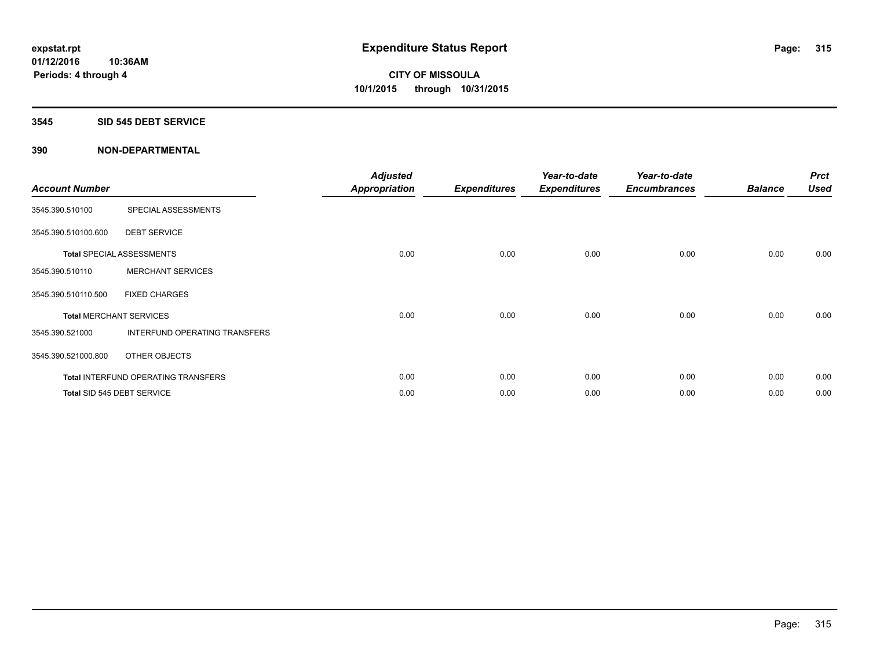#### **3545 SID 545 DEBT SERVICE**

| <b>Account Number</b> |                                      | <b>Adjusted</b><br><b>Appropriation</b> | <b>Expenditures</b> | Year-to-date<br><b>Expenditures</b> | Year-to-date<br><b>Encumbrances</b> | <b>Balance</b> | <b>Prct</b><br><b>Used</b> |
|-----------------------|--------------------------------------|-----------------------------------------|---------------------|-------------------------------------|-------------------------------------|----------------|----------------------------|
| 3545.390.510100       | SPECIAL ASSESSMENTS                  |                                         |                     |                                     |                                     |                |                            |
| 3545.390.510100.600   | <b>DEBT SERVICE</b>                  |                                         |                     |                                     |                                     |                |                            |
|                       | <b>Total SPECIAL ASSESSMENTS</b>     | 0.00                                    | 0.00                | 0.00                                | 0.00                                | 0.00           | 0.00                       |
| 3545.390.510110       | <b>MERCHANT SERVICES</b>             |                                         |                     |                                     |                                     |                |                            |
| 3545.390.510110.500   | <b>FIXED CHARGES</b>                 |                                         |                     |                                     |                                     |                |                            |
|                       | <b>Total MERCHANT SERVICES</b>       | 0.00                                    | 0.00                | 0.00                                | 0.00                                | 0.00           | 0.00                       |
| 3545.390.521000       | <b>INTERFUND OPERATING TRANSFERS</b> |                                         |                     |                                     |                                     |                |                            |
| 3545.390.521000.800   | OTHER OBJECTS                        |                                         |                     |                                     |                                     |                |                            |
|                       | Total INTERFUND OPERATING TRANSFERS  | 0.00                                    | 0.00                | 0.00                                | 0.00                                | 0.00           | 0.00                       |
|                       | Total SID 545 DEBT SERVICE           | 0.00                                    | 0.00                | 0.00                                | 0.00                                | 0.00           | 0.00                       |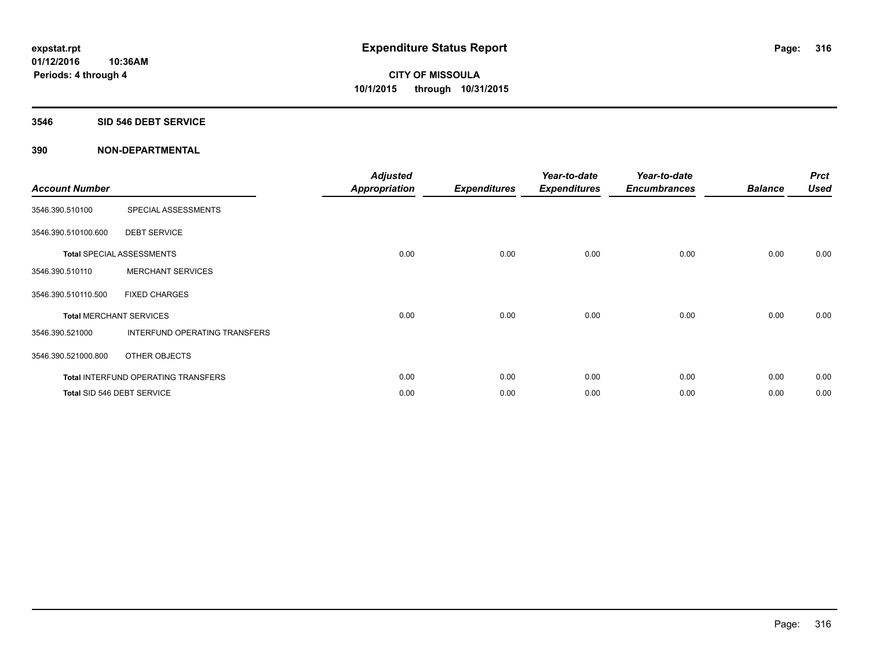#### **3546 SID 546 DEBT SERVICE**

| <b>Account Number</b> |                                      | <b>Adjusted</b><br><b>Appropriation</b> | <b>Expenditures</b> | Year-to-date<br><b>Expenditures</b> | Year-to-date<br><b>Encumbrances</b> | <b>Balance</b> | <b>Prct</b><br><b>Used</b> |
|-----------------------|--------------------------------------|-----------------------------------------|---------------------|-------------------------------------|-------------------------------------|----------------|----------------------------|
| 3546.390.510100       | SPECIAL ASSESSMENTS                  |                                         |                     |                                     |                                     |                |                            |
| 3546.390.510100.600   | <b>DEBT SERVICE</b>                  |                                         |                     |                                     |                                     |                |                            |
|                       | <b>Total SPECIAL ASSESSMENTS</b>     | 0.00                                    | 0.00                | 0.00                                | 0.00                                | 0.00           | 0.00                       |
| 3546.390.510110       | <b>MERCHANT SERVICES</b>             |                                         |                     |                                     |                                     |                |                            |
| 3546.390.510110.500   | <b>FIXED CHARGES</b>                 |                                         |                     |                                     |                                     |                |                            |
|                       | <b>Total MERCHANT SERVICES</b>       | 0.00                                    | 0.00                | 0.00                                | 0.00                                | 0.00           | 0.00                       |
| 3546.390.521000       | <b>INTERFUND OPERATING TRANSFERS</b> |                                         |                     |                                     |                                     |                |                            |
| 3546.390.521000.800   | OTHER OBJECTS                        |                                         |                     |                                     |                                     |                |                            |
|                       | Total INTERFUND OPERATING TRANSFERS  | 0.00                                    | 0.00                | 0.00                                | 0.00                                | 0.00           | 0.00                       |
|                       | Total SID 546 DEBT SERVICE           | 0.00                                    | 0.00                | 0.00                                | 0.00                                | 0.00           | 0.00                       |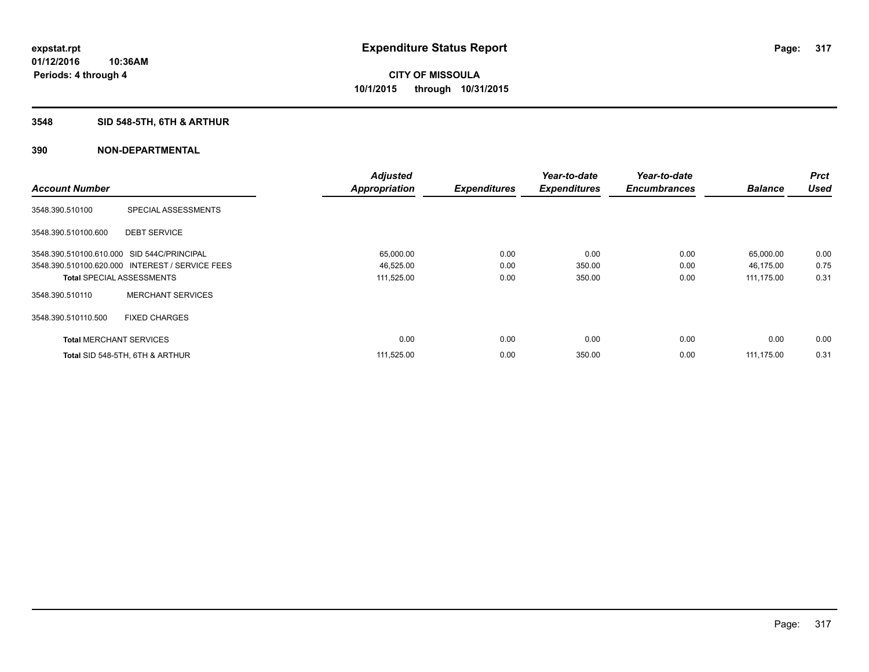### **3548 SID 548-5TH, 6TH & ARTHUR**

|                                            |                                                 | <b>Adjusted</b>      |                     | Year-to-date        | Year-to-date        |                | <b>Prct</b> |
|--------------------------------------------|-------------------------------------------------|----------------------|---------------------|---------------------|---------------------|----------------|-------------|
| <b>Account Number</b>                      |                                                 | <b>Appropriation</b> | <b>Expenditures</b> | <b>Expenditures</b> | <b>Encumbrances</b> | <b>Balance</b> | <b>Used</b> |
| 3548.390.510100                            | SPECIAL ASSESSMENTS                             |                      |                     |                     |                     |                |             |
| 3548.390.510100.600                        | <b>DEBT SERVICE</b>                             |                      |                     |                     |                     |                |             |
| 3548.390.510100.610.000 SID 544C/PRINCIPAL |                                                 | 65,000.00            | 0.00                | 0.00                | 0.00                | 65,000.00      | 0.00        |
|                                            | 3548.390.510100.620.000 INTEREST / SERVICE FEES | 46,525.00            | 0.00                | 350.00              | 0.00                | 46,175.00      | 0.75        |
| <b>Total SPECIAL ASSESSMENTS</b>           |                                                 | 111,525.00           | 0.00                | 350.00              | 0.00                | 111,175.00     | 0.31        |
| 3548.390.510110                            | <b>MERCHANT SERVICES</b>                        |                      |                     |                     |                     |                |             |
| 3548.390.510110.500                        | <b>FIXED CHARGES</b>                            |                      |                     |                     |                     |                |             |
| <b>Total MERCHANT SERVICES</b>             |                                                 | 0.00                 | 0.00                | 0.00                | 0.00                | 0.00           | 0.00        |
|                                            | Total SID 548-5TH, 6TH & ARTHUR                 | 111,525.00           | 0.00                | 350.00              | 0.00                | 111.175.00     | 0.31        |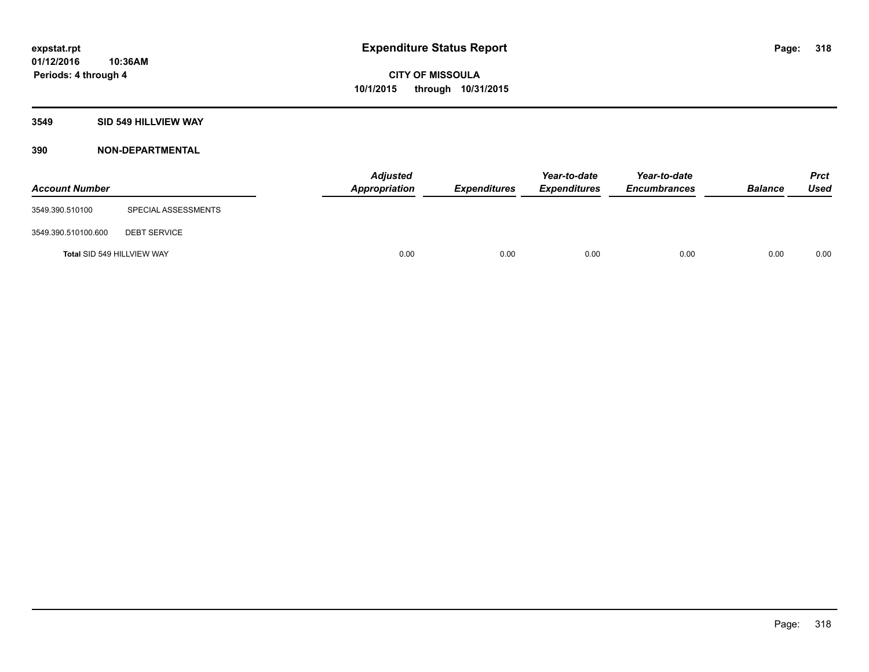### **3549 SID 549 HILLVIEW WAY**

| <b>Account Number</b>      |                     | <b>Adjusted</b><br>Appropriation | <b>Expenditures</b> | Year-to-date<br><b>Expenditures</b> | Year-to-date<br><b>Encumbrances</b> | <b>Balance</b> | <b>Prct</b><br>Used |
|----------------------------|---------------------|----------------------------------|---------------------|-------------------------------------|-------------------------------------|----------------|---------------------|
| 3549.390.510100            | SPECIAL ASSESSMENTS |                                  |                     |                                     |                                     |                |                     |
| 3549.390.510100.600        | <b>DEBT SERVICE</b> |                                  |                     |                                     |                                     |                |                     |
| Total SID 549 HILLVIEW WAY |                     | 0.00                             | 0.00                | 0.00                                | 0.00                                | 0.00           | 0.00                |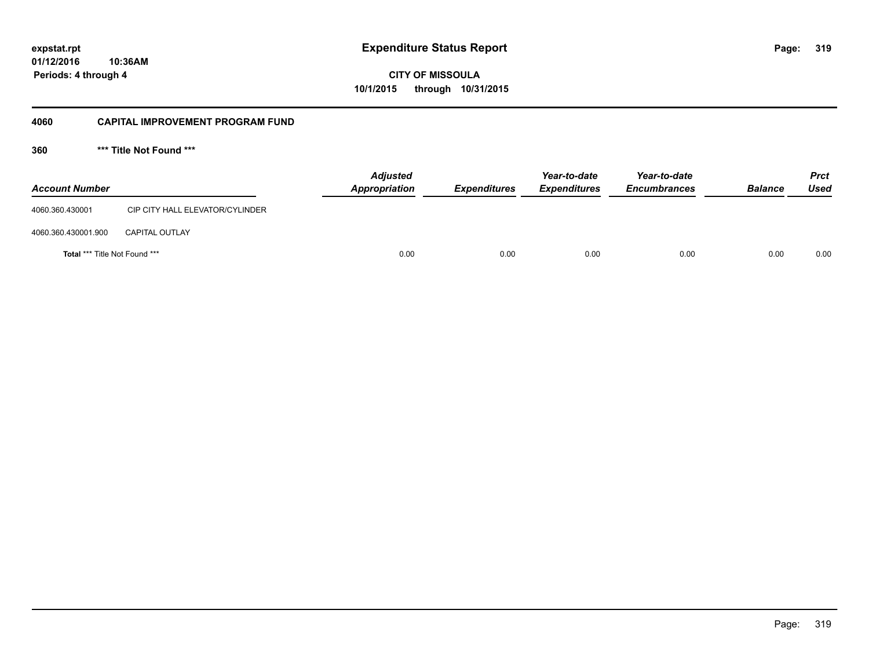**319**

**CITY OF MISSOULA 10/1/2015 through 10/31/2015**

#### **4060 CAPITAL IMPROVEMENT PROGRAM FUND**

**360 \*\*\* Title Not Found \*\*\***

| <b>Account Number</b>                |                                 | <b>Adjusted</b><br>Appropriation | <b>Expenditures</b> | Year-to-date<br><b>Expenditures</b> | Year-to-date<br><b>Encumbrances</b> | <b>Balance</b> | <b>Prct</b><br><b>Used</b> |
|--------------------------------------|---------------------------------|----------------------------------|---------------------|-------------------------------------|-------------------------------------|----------------|----------------------------|
| 4060.360.430001                      | CIP CITY HALL ELEVATOR/CYLINDER |                                  |                     |                                     |                                     |                |                            |
| 4060.360.430001.900                  | <b>CAPITAL OUTLAY</b>           |                                  |                     |                                     |                                     |                |                            |
| <b>Total *** Title Not Found ***</b> |                                 | 0.00                             | 0.00                | 0.00                                | 0.00                                | 0.00           | 0.00                       |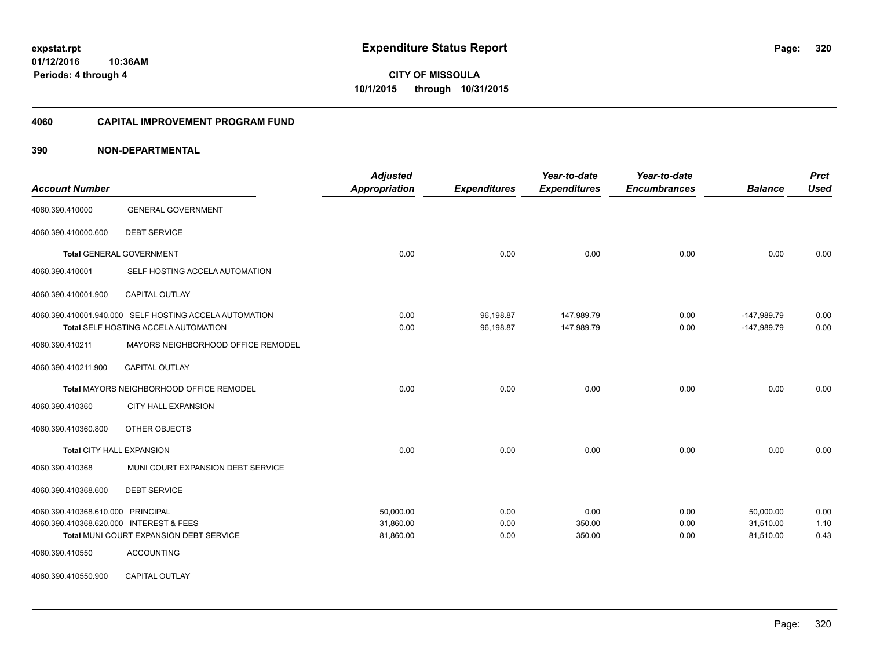**Periods: 4 through 4**

**CITY OF MISSOULA 10/1/2015 through 10/31/2015**

#### **4060 CAPITAL IMPROVEMENT PROGRAM FUND**

### **390 NON-DEPARTMENTAL**

**10:36AM**

| <b>Account Number</b>                   |                                                                                                | <b>Adjusted</b><br><b>Appropriation</b> | <b>Expenditures</b>    | Year-to-date<br><b>Expenditures</b> | Year-to-date<br><b>Encumbrances</b> | <b>Balance</b>                 | <b>Prct</b><br><b>Used</b> |
|-----------------------------------------|------------------------------------------------------------------------------------------------|-----------------------------------------|------------------------|-------------------------------------|-------------------------------------|--------------------------------|----------------------------|
| 4060.390.410000                         | <b>GENERAL GOVERNMENT</b>                                                                      |                                         |                        |                                     |                                     |                                |                            |
| 4060.390.410000.600                     | <b>DEBT SERVICE</b>                                                                            |                                         |                        |                                     |                                     |                                |                            |
|                                         | <b>Total GENERAL GOVERNMENT</b>                                                                | 0.00                                    | 0.00                   | 0.00                                | 0.00                                | 0.00                           | 0.00                       |
| 4060.390.410001                         | SELF HOSTING ACCELA AUTOMATION                                                                 |                                         |                        |                                     |                                     |                                |                            |
| 4060.390.410001.900                     | CAPITAL OUTLAY                                                                                 |                                         |                        |                                     |                                     |                                |                            |
|                                         | 4060.390.410001.940.000 SELF HOSTING ACCELA AUTOMATION<br>Total SELF HOSTING ACCELA AUTOMATION | 0.00<br>0.00                            | 96,198.87<br>96,198.87 | 147,989.79<br>147,989.79            | 0.00<br>0.00                        | $-147,989.79$<br>$-147,989.79$ | 0.00<br>0.00               |
| 4060.390.410211                         | MAYORS NEIGHBORHOOD OFFICE REMODEL                                                             |                                         |                        |                                     |                                     |                                |                            |
| 4060.390.410211.900                     | <b>CAPITAL OUTLAY</b>                                                                          |                                         |                        |                                     |                                     |                                |                            |
|                                         | Total MAYORS NEIGHBORHOOD OFFICE REMODEL                                                       | 0.00                                    | 0.00                   | 0.00                                | 0.00                                | 0.00                           | 0.00                       |
| 4060.390.410360                         | <b>CITY HALL EXPANSION</b>                                                                     |                                         |                        |                                     |                                     |                                |                            |
| 4060.390.410360.800                     | OTHER OBJECTS                                                                                  |                                         |                        |                                     |                                     |                                |                            |
|                                         | <b>Total CITY HALL EXPANSION</b>                                                               | 0.00                                    | 0.00                   | 0.00                                | 0.00                                | 0.00                           | 0.00                       |
| 4060.390.410368                         | MUNI COURT EXPANSION DEBT SERVICE                                                              |                                         |                        |                                     |                                     |                                |                            |
| 4060.390.410368.600                     | <b>DEBT SERVICE</b>                                                                            |                                         |                        |                                     |                                     |                                |                            |
| 4060.390.410368.610.000 PRINCIPAL       |                                                                                                | 50.000.00                               | 0.00                   | 0.00                                | 0.00                                | 50.000.00                      | 0.00                       |
| 4060.390.410368.620.000 INTEREST & FEES |                                                                                                | 31,860.00                               | 0.00                   | 350.00                              | 0.00                                | 31,510.00                      | 1.10                       |
|                                         | Total MUNI COURT EXPANSION DEBT SERVICE                                                        | 81,860.00                               | 0.00                   | 350.00                              | 0.00                                | 81,510.00                      | 0.43                       |
| 4060.390.410550                         | <b>ACCOUNTING</b>                                                                              |                                         |                        |                                     |                                     |                                |                            |
| 4060.390.410550.900                     | CAPITAL OUTLAY                                                                                 |                                         |                        |                                     |                                     |                                |                            |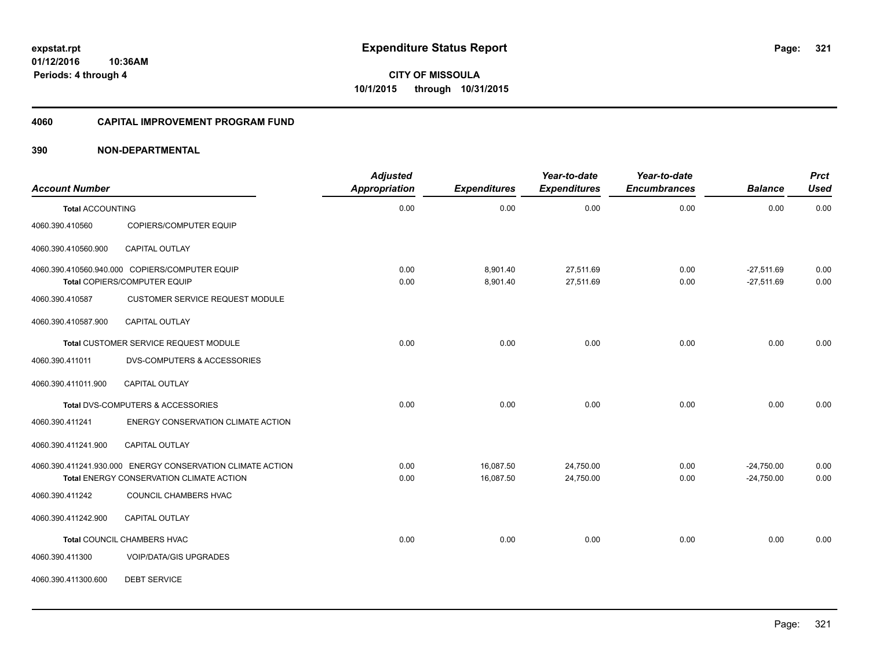**Periods: 4 through 4**

**CITY OF MISSOULA 10/1/2015 through 10/31/2015**

#### **4060 CAPITAL IMPROVEMENT PROGRAM FUND**

| <b>Account Number</b>   |                                                            | <b>Adjusted</b><br>Appropriation | <b>Expenditures</b> | Year-to-date<br><b>Expenditures</b> | Year-to-date<br><b>Encumbrances</b> | <b>Balance</b> | <b>Prct</b><br><b>Used</b> |
|-------------------------|------------------------------------------------------------|----------------------------------|---------------------|-------------------------------------|-------------------------------------|----------------|----------------------------|
| <b>Total ACCOUNTING</b> |                                                            | 0.00                             | 0.00                | 0.00                                | 0.00                                | 0.00           | 0.00                       |
| 4060.390.410560         | <b>COPIERS/COMPUTER EQUIP</b>                              |                                  |                     |                                     |                                     |                |                            |
| 4060.390.410560.900     | <b>CAPITAL OUTLAY</b>                                      |                                  |                     |                                     |                                     |                |                            |
|                         | 4060.390.410560.940.000 COPIERS/COMPUTER EQUIP             | 0.00                             | 8,901.40            | 27,511.69                           | 0.00                                | $-27,511.69$   | 0.00                       |
|                         | Total COPIERS/COMPUTER EQUIP                               | 0.00                             | 8,901.40            | 27,511.69                           | 0.00                                | $-27,511.69$   | 0.00                       |
| 4060.390.410587         | <b>CUSTOMER SERVICE REQUEST MODULE</b>                     |                                  |                     |                                     |                                     |                |                            |
| 4060.390.410587.900     | <b>CAPITAL OUTLAY</b>                                      |                                  |                     |                                     |                                     |                |                            |
|                         | Total CUSTOMER SERVICE REQUEST MODULE                      | 0.00                             | 0.00                | 0.00                                | 0.00                                | 0.00           | 0.00                       |
| 4060.390.411011         | <b>DVS-COMPUTERS &amp; ACCESSORIES</b>                     |                                  |                     |                                     |                                     |                |                            |
| 4060.390.411011.900     | <b>CAPITAL OUTLAY</b>                                      |                                  |                     |                                     |                                     |                |                            |
|                         | Total DVS-COMPUTERS & ACCESSORIES                          | 0.00                             | 0.00                | 0.00                                | 0.00                                | 0.00           | 0.00                       |
| 4060.390.411241         | ENERGY CONSERVATION CLIMATE ACTION                         |                                  |                     |                                     |                                     |                |                            |
| 4060.390.411241.900     | CAPITAL OUTLAY                                             |                                  |                     |                                     |                                     |                |                            |
|                         | 4060.390.411241.930.000 ENERGY CONSERVATION CLIMATE ACTION | 0.00                             | 16,087.50           | 24,750.00                           | 0.00                                | $-24,750.00$   | 0.00                       |
|                         | Total ENERGY CONSERVATION CLIMATE ACTION                   | 0.00                             | 16,087.50           | 24,750.00                           | 0.00                                | $-24,750.00$   | 0.00                       |
| 4060.390.411242         | COUNCIL CHAMBERS HVAC                                      |                                  |                     |                                     |                                     |                |                            |
| 4060.390.411242.900     | <b>CAPITAL OUTLAY</b>                                      |                                  |                     |                                     |                                     |                |                            |
|                         | Total COUNCIL CHAMBERS HVAC                                | 0.00                             | 0.00                | 0.00                                | 0.00                                | 0.00           | 0.00                       |
| 4060.390.411300         | <b>VOIP/DATA/GIS UPGRADES</b>                              |                                  |                     |                                     |                                     |                |                            |
| 4060.390.411300.600     | <b>DEBT SERVICE</b>                                        |                                  |                     |                                     |                                     |                |                            |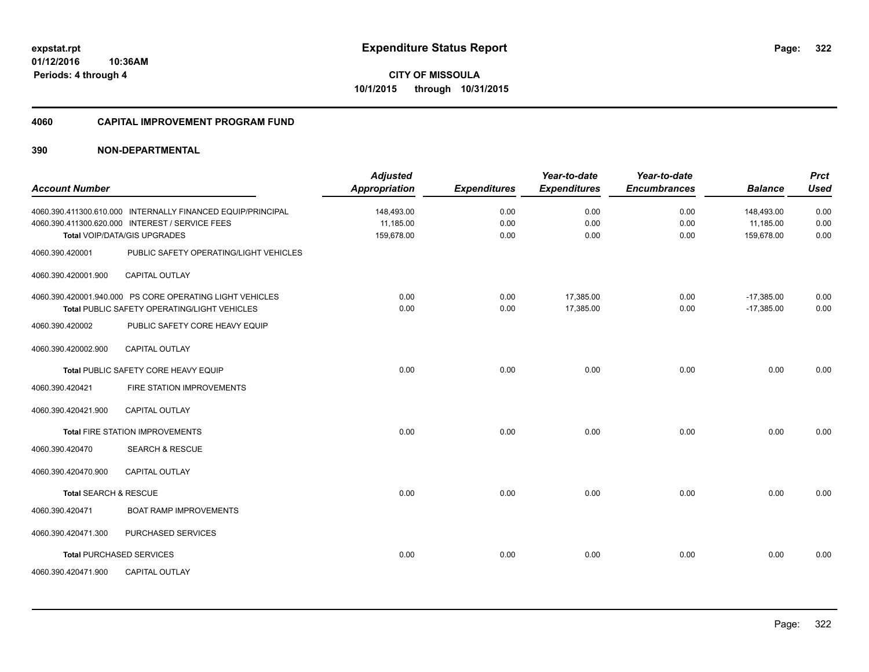**322**

**01/12/2016 10:36AM Periods: 4 through 4**

**CITY OF MISSOULA 10/1/2015 through 10/31/2015**

#### **4060 CAPITAL IMPROVEMENT PROGRAM FUND**

| <b>Account Number</b> |                                                                                                                                                | <b>Adjusted</b><br><b>Appropriation</b> | <b>Expenditures</b>  | Year-to-date<br><b>Expenditures</b> | Year-to-date<br><b>Encumbrances</b> | <b>Balance</b>                        | <b>Prct</b><br><b>Used</b> |
|-----------------------|------------------------------------------------------------------------------------------------------------------------------------------------|-----------------------------------------|----------------------|-------------------------------------|-------------------------------------|---------------------------------------|----------------------------|
|                       | 4060.390.411300.610.000 INTERNALLY FINANCED EQUIP/PRINCIPAL<br>4060.390.411300.620.000 INTEREST / SERVICE FEES<br>Total VOIP/DATA/GIS UPGRADES | 148,493.00<br>11,185.00<br>159,678.00   | 0.00<br>0.00<br>0.00 | 0.00<br>0.00<br>0.00                | 0.00<br>0.00<br>0.00                | 148,493.00<br>11,185.00<br>159,678.00 | 0.00<br>0.00<br>0.00       |
| 4060.390.420001       | PUBLIC SAFETY OPERATING/LIGHT VEHICLES                                                                                                         |                                         |                      |                                     |                                     |                                       |                            |
| 4060.390.420001.900   | <b>CAPITAL OUTLAY</b>                                                                                                                          |                                         |                      |                                     |                                     |                                       |                            |
| 4060.390.420002       | 4060.390.420001.940.000 PS CORE OPERATING LIGHT VEHICLES<br>Total PUBLIC SAFETY OPERATING/LIGHT VEHICLES<br>PUBLIC SAFETY CORE HEAVY EQUIP     | 0.00<br>0.00                            | 0.00<br>0.00         | 17,385.00<br>17,385.00              | 0.00<br>0.00                        | $-17,385.00$<br>$-17,385.00$          | 0.00<br>0.00               |
| 4060.390.420002.900   | <b>CAPITAL OUTLAY</b>                                                                                                                          |                                         |                      |                                     |                                     |                                       |                            |
|                       | Total PUBLIC SAFETY CORE HEAVY EQUIP                                                                                                           | 0.00                                    | 0.00                 | 0.00                                | 0.00                                | 0.00                                  | 0.00                       |
| 4060.390.420421       | FIRE STATION IMPROVEMENTS                                                                                                                      |                                         |                      |                                     |                                     |                                       |                            |
| 4060.390.420421.900   | <b>CAPITAL OUTLAY</b>                                                                                                                          |                                         |                      |                                     |                                     |                                       |                            |
|                       | <b>Total FIRE STATION IMPROVEMENTS</b>                                                                                                         | 0.00                                    | 0.00                 | 0.00                                | 0.00                                | 0.00                                  | 0.00                       |
| 4060.390.420470       | <b>SEARCH &amp; RESCUE</b>                                                                                                                     |                                         |                      |                                     |                                     |                                       |                            |
| 4060.390.420470.900   | <b>CAPITAL OUTLAY</b>                                                                                                                          |                                         |                      |                                     |                                     |                                       |                            |
| Total SEARCH & RESCUE |                                                                                                                                                | 0.00                                    | 0.00                 | 0.00                                | 0.00                                | 0.00                                  | 0.00                       |
| 4060.390.420471       | <b>BOAT RAMP IMPROVEMENTS</b>                                                                                                                  |                                         |                      |                                     |                                     |                                       |                            |
| 4060.390.420471.300   | PURCHASED SERVICES                                                                                                                             |                                         |                      |                                     |                                     |                                       |                            |
|                       | <b>Total PURCHASED SERVICES</b>                                                                                                                | 0.00                                    | 0.00                 | 0.00                                | 0.00                                | 0.00                                  | 0.00                       |
| 4060.390.420471.900   | <b>CAPITAL OUTLAY</b>                                                                                                                          |                                         |                      |                                     |                                     |                                       |                            |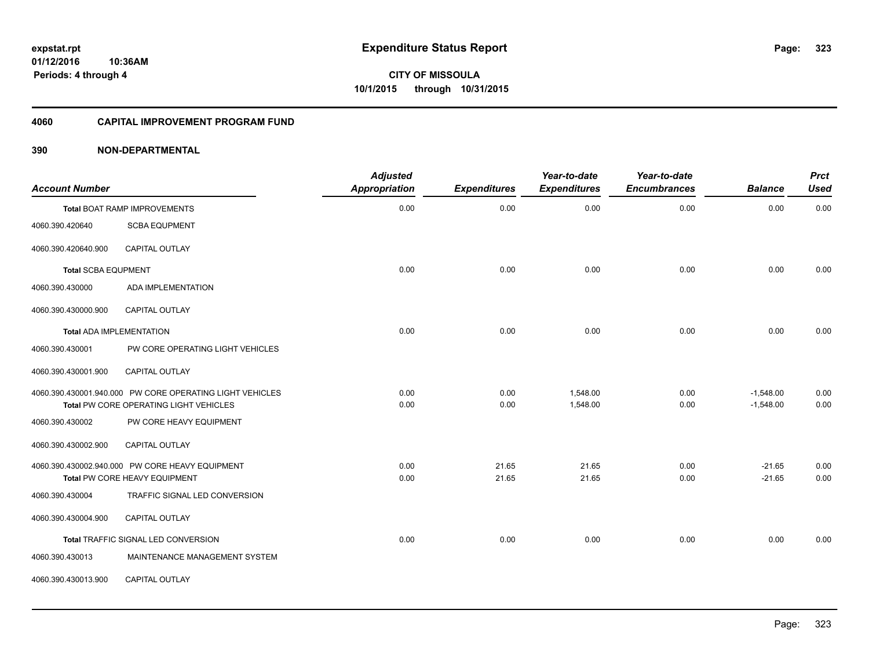**Periods: 4 through 4**

**CITY OF MISSOULA 10/1/2015 through 10/31/2015**

#### **4060 CAPITAL IMPROVEMENT PROGRAM FUND**

| <b>Account Number</b>      |                                                                                                    | <b>Adjusted</b><br><b>Appropriation</b> | <b>Expenditures</b> | Year-to-date<br><b>Expenditures</b> | Year-to-date<br><b>Encumbrances</b> | <b>Balance</b>             | <b>Prct</b><br><b>Used</b> |
|----------------------------|----------------------------------------------------------------------------------------------------|-----------------------------------------|---------------------|-------------------------------------|-------------------------------------|----------------------------|----------------------------|
|                            | <b>Total BOAT RAMP IMPROVEMENTS</b>                                                                | 0.00                                    | 0.00                | 0.00                                | 0.00                                | 0.00                       | 0.00                       |
| 4060.390.420640            | <b>SCBA EQUPMENT</b>                                                                               |                                         |                     |                                     |                                     |                            |                            |
| 4060.390.420640.900        | CAPITAL OUTLAY                                                                                     |                                         |                     |                                     |                                     |                            |                            |
| <b>Total SCBA EQUPMENT</b> |                                                                                                    | 0.00                                    | 0.00                | 0.00                                | 0.00                                | 0.00                       | 0.00                       |
| 4060.390.430000            | ADA IMPLEMENTATION                                                                                 |                                         |                     |                                     |                                     |                            |                            |
| 4060.390.430000.900        | <b>CAPITAL OUTLAY</b>                                                                              |                                         |                     |                                     |                                     |                            |                            |
|                            | <b>Total ADA IMPLEMENTATION</b>                                                                    | 0.00                                    | 0.00                | 0.00                                | 0.00                                | 0.00                       | 0.00                       |
| 4060.390.430001            | PW CORE OPERATING LIGHT VEHICLES                                                                   |                                         |                     |                                     |                                     |                            |                            |
| 4060.390.430001.900        | <b>CAPITAL OUTLAY</b>                                                                              |                                         |                     |                                     |                                     |                            |                            |
|                            | 4060.390.430001.940.000 PW CORE OPERATING LIGHT VEHICLES<br>Total PW CORE OPERATING LIGHT VEHICLES | 0.00<br>0.00                            | 0.00<br>0.00        | 1,548.00<br>1,548.00                | 0.00<br>0.00                        | $-1,548.00$<br>$-1,548.00$ | 0.00<br>0.00               |
| 4060.390.430002            | PW CORE HEAVY EQUIPMENT                                                                            |                                         |                     |                                     |                                     |                            |                            |
| 4060.390.430002.900        | CAPITAL OUTLAY                                                                                     |                                         |                     |                                     |                                     |                            |                            |
|                            | 4060.390.430002.940.000 PW CORE HEAVY EQUIPMENT<br>Total PW CORE HEAVY EQUIPMENT                   | 0.00<br>0.00                            | 21.65<br>21.65      | 21.65<br>21.65                      | 0.00<br>0.00                        | $-21.65$<br>$-21.65$       | 0.00<br>0.00               |
| 4060.390.430004            | TRAFFIC SIGNAL LED CONVERSION                                                                      |                                         |                     |                                     |                                     |                            |                            |
| 4060.390.430004.900        | <b>CAPITAL OUTLAY</b>                                                                              |                                         |                     |                                     |                                     |                            |                            |
|                            | Total TRAFFIC SIGNAL LED CONVERSION                                                                | 0.00                                    | 0.00                | 0.00                                | 0.00                                | 0.00                       | 0.00                       |
| 4060.390.430013            | MAINTENANCE MANAGEMENT SYSTEM                                                                      |                                         |                     |                                     |                                     |                            |                            |
| 4060.390.430013.900        | <b>CAPITAL OUTLAY</b>                                                                              |                                         |                     |                                     |                                     |                            |                            |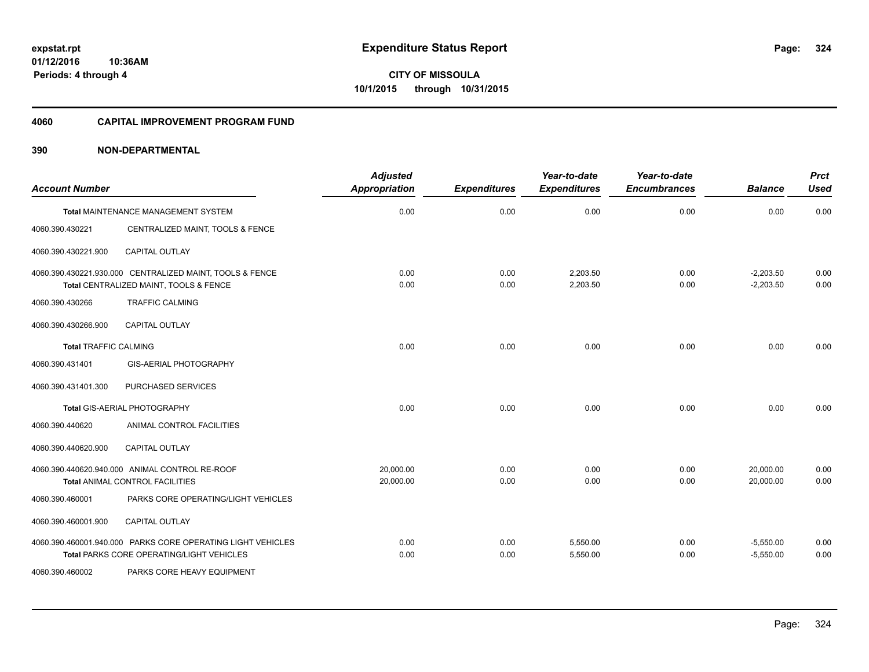**Periods: 4 through 4**

**CITY OF MISSOULA 10/1/2015 through 10/31/2015**

#### **4060 CAPITAL IMPROVEMENT PROGRAM FUND**

### **390 NON-DEPARTMENTAL**

**10:36AM**

| <b>Account Number</b>        |                                                                                                          | <b>Adjusted</b><br>Appropriation | <b>Expenditures</b> | Year-to-date<br><b>Expenditures</b> | Year-to-date<br><b>Encumbrances</b> | <b>Balance</b>             | <b>Prct</b><br><b>Used</b> |
|------------------------------|----------------------------------------------------------------------------------------------------------|----------------------------------|---------------------|-------------------------------------|-------------------------------------|----------------------------|----------------------------|
|                              | Total MAINTENANCE MANAGEMENT SYSTEM                                                                      | 0.00                             | 0.00                | 0.00                                | 0.00                                | 0.00                       | 0.00                       |
| 4060.390.430221              | CENTRALIZED MAINT, TOOLS & FENCE                                                                         |                                  |                     |                                     |                                     |                            |                            |
| 4060.390.430221.900          | <b>CAPITAL OUTLAY</b>                                                                                    |                                  |                     |                                     |                                     |                            |                            |
|                              | 4060.390.430221.930.000 CENTRALIZED MAINT, TOOLS & FENCE<br>Total CENTRALIZED MAINT, TOOLS & FENCE       | 0.00<br>0.00                     | 0.00<br>0.00        | 2,203.50<br>2,203.50                | 0.00<br>0.00                        | $-2,203.50$<br>$-2,203.50$ | 0.00<br>0.00               |
| 4060.390.430266              | <b>TRAFFIC CALMING</b>                                                                                   |                                  |                     |                                     |                                     |                            |                            |
| 4060.390.430266.900          | <b>CAPITAL OUTLAY</b>                                                                                    |                                  |                     |                                     |                                     |                            |                            |
| <b>Total TRAFFIC CALMING</b> |                                                                                                          | 0.00                             | 0.00                | 0.00                                | 0.00                                | 0.00                       | 0.00                       |
| 4060.390.431401              | GIS-AERIAL PHOTOGRAPHY                                                                                   |                                  |                     |                                     |                                     |                            |                            |
| 4060.390.431401.300          | PURCHASED SERVICES                                                                                       |                                  |                     |                                     |                                     |                            |                            |
|                              | Total GIS-AERIAL PHOTOGRAPHY                                                                             | 0.00                             | 0.00                | 0.00                                | 0.00                                | 0.00                       | 0.00                       |
| 4060.390.440620              | ANIMAL CONTROL FACILITIES                                                                                |                                  |                     |                                     |                                     |                            |                            |
| 4060.390.440620.900          | <b>CAPITAL OUTLAY</b>                                                                                    |                                  |                     |                                     |                                     |                            |                            |
|                              | 4060.390.440620.940.000 ANIMAL CONTROL RE-ROOF<br><b>Total ANIMAL CONTROL FACILITIES</b>                 | 20.000.00<br>20,000.00           | 0.00<br>0.00        | 0.00<br>0.00                        | 0.00<br>0.00                        | 20,000.00<br>20,000.00     | 0.00<br>0.00               |
| 4060.390.460001              | PARKS CORE OPERATING/LIGHT VEHICLES                                                                      |                                  |                     |                                     |                                     |                            |                            |
| 4060.390.460001.900          | <b>CAPITAL OUTLAY</b>                                                                                    |                                  |                     |                                     |                                     |                            |                            |
|                              | 4060.390.460001.940.000 PARKS CORE OPERATING LIGHT VEHICLES<br>Total PARKS CORE OPERATING/LIGHT VEHICLES | 0.00<br>0.00                     | 0.00<br>0.00        | 5,550.00<br>5,550.00                | 0.00<br>0.00                        | $-5,550.00$<br>$-5,550.00$ | 0.00<br>0.00               |
| 4060.390.460002              | PARKS CORE HEAVY EQUIPMENT                                                                               |                                  |                     |                                     |                                     |                            |                            |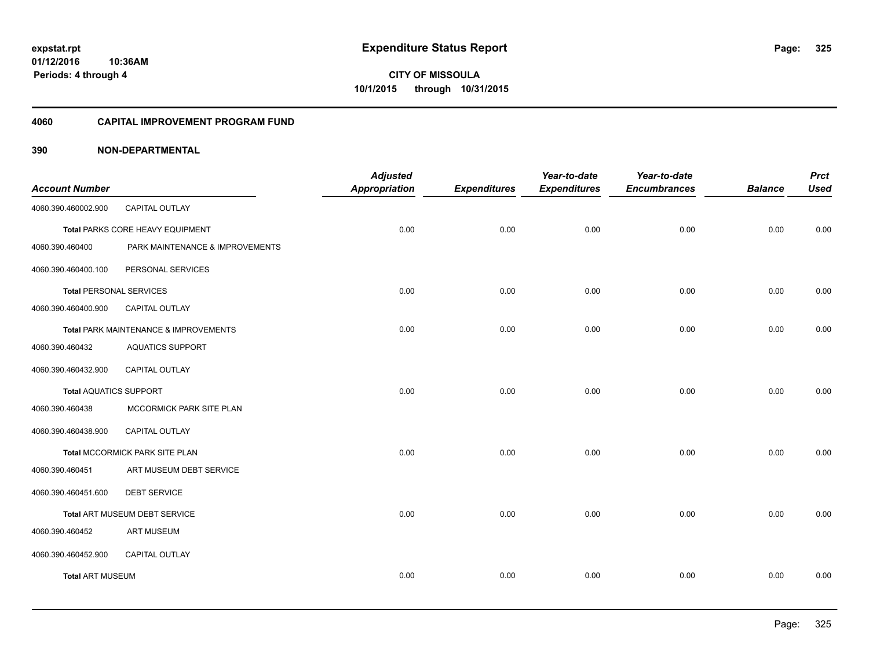### **4060 CAPITAL IMPROVEMENT PROGRAM FUND**

|                                |                                       | <b>Adjusted</b> |                     | Year-to-date        | Year-to-date        |                | <b>Prct</b> |
|--------------------------------|---------------------------------------|-----------------|---------------------|---------------------|---------------------|----------------|-------------|
| <b>Account Number</b>          |                                       | Appropriation   | <b>Expenditures</b> | <b>Expenditures</b> | <b>Encumbrances</b> | <b>Balance</b> | <b>Used</b> |
| 4060.390.460002.900            | <b>CAPITAL OUTLAY</b>                 |                 |                     |                     |                     |                |             |
|                                | Total PARKS CORE HEAVY EQUIPMENT      | 0.00            | 0.00                | 0.00                | 0.00                | 0.00           | 0.00        |
| 4060.390.460400                | PARK MAINTENANCE & IMPROVEMENTS       |                 |                     |                     |                     |                |             |
| 4060.390.460400.100            | PERSONAL SERVICES                     |                 |                     |                     |                     |                |             |
| <b>Total PERSONAL SERVICES</b> |                                       | 0.00            | 0.00                | 0.00                | 0.00                | 0.00           | 0.00        |
| 4060.390.460400.900            | CAPITAL OUTLAY                        |                 |                     |                     |                     |                |             |
|                                | Total PARK MAINTENANCE & IMPROVEMENTS | 0.00            | 0.00                | 0.00                | 0.00                | 0.00           | 0.00        |
| 4060.390.460432                | <b>AQUATICS SUPPORT</b>               |                 |                     |                     |                     |                |             |
| 4060.390.460432.900            | <b>CAPITAL OUTLAY</b>                 |                 |                     |                     |                     |                |             |
| <b>Total AQUATICS SUPPORT</b>  |                                       | 0.00            | 0.00                | 0.00                | 0.00                | 0.00           | 0.00        |
| 4060.390.460438                | MCCORMICK PARK SITE PLAN              |                 |                     |                     |                     |                |             |
| 4060.390.460438.900            | CAPITAL OUTLAY                        |                 |                     |                     |                     |                |             |
|                                | Total MCCORMICK PARK SITE PLAN        | 0.00            | 0.00                | 0.00                | 0.00                | 0.00           | 0.00        |
| 4060.390.460451                | ART MUSEUM DEBT SERVICE               |                 |                     |                     |                     |                |             |
| 4060.390.460451.600            | <b>DEBT SERVICE</b>                   |                 |                     |                     |                     |                |             |
|                                | Total ART MUSEUM DEBT SERVICE         | 0.00            | 0.00                | 0.00                | 0.00                | 0.00           | 0.00        |
| 4060.390.460452                | <b>ART MUSEUM</b>                     |                 |                     |                     |                     |                |             |
| 4060.390.460452.900            | CAPITAL OUTLAY                        |                 |                     |                     |                     |                |             |
| <b>Total ART MUSEUM</b>        |                                       | 0.00            | 0.00                | 0.00                | 0.00                | 0.00           | 0.00        |
|                                |                                       |                 |                     |                     |                     |                |             |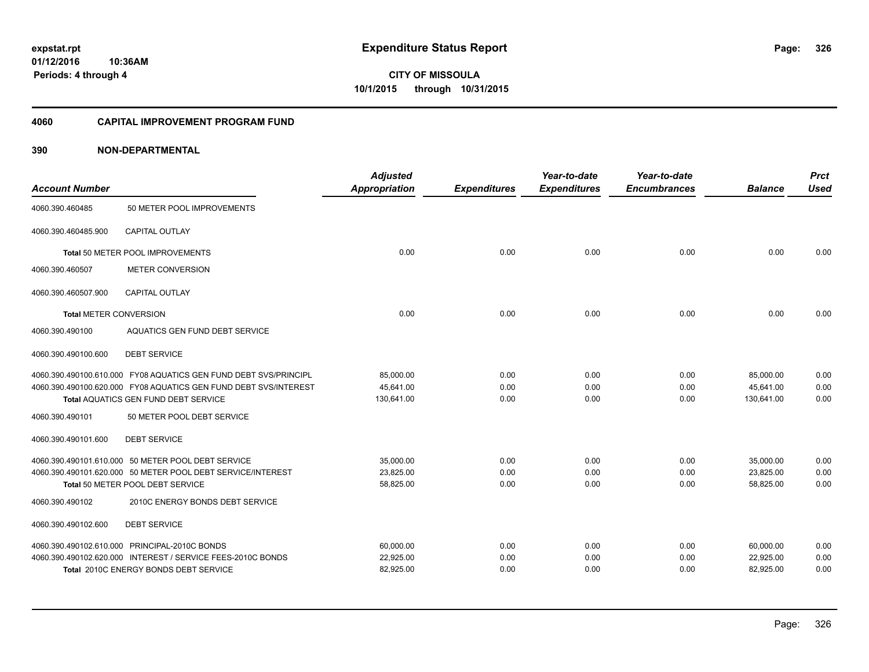**01/12/2016 10:36AM Periods: 4 through 4**

**CITY OF MISSOULA 10/1/2015 through 10/31/2015**

## **4060 CAPITAL IMPROVEMENT PROGRAM FUND**

| <b>Account Number</b>         |                                                                  | <b>Adjusted</b><br><b>Appropriation</b> | <b>Expenditures</b> | Year-to-date<br><b>Expenditures</b> | Year-to-date<br><b>Encumbrances</b> | <b>Balance</b> | <b>Prct</b><br><b>Used</b> |
|-------------------------------|------------------------------------------------------------------|-----------------------------------------|---------------------|-------------------------------------|-------------------------------------|----------------|----------------------------|
| 4060.390.460485               | 50 METER POOL IMPROVEMENTS                                       |                                         |                     |                                     |                                     |                |                            |
| 4060.390.460485.900           | <b>CAPITAL OUTLAY</b>                                            |                                         |                     |                                     |                                     |                |                            |
|                               | Total 50 METER POOL IMPROVEMENTS                                 | 0.00                                    | 0.00                | 0.00                                | 0.00                                | 0.00           | 0.00                       |
| 4060.390.460507               | <b>METER CONVERSION</b>                                          |                                         |                     |                                     |                                     |                |                            |
| 4060.390.460507.900           | <b>CAPITAL OUTLAY</b>                                            |                                         |                     |                                     |                                     |                |                            |
| <b>Total METER CONVERSION</b> |                                                                  | 0.00                                    | 0.00                | 0.00                                | 0.00                                | 0.00           | 0.00                       |
| 4060.390.490100               | AQUATICS GEN FUND DEBT SERVICE                                   |                                         |                     |                                     |                                     |                |                            |
| 4060.390.490100.600           | <b>DEBT SERVICE</b>                                              |                                         |                     |                                     |                                     |                |                            |
|                               | 4060.390.490100.610.000 FY08 AQUATICS GEN FUND DEBT SVS/PRINCIPL | 85,000.00                               | 0.00                | 0.00                                | 0.00                                | 85,000.00      | 0.00                       |
|                               | 4060.390.490100.620.000 FY08 AQUATICS GEN FUND DEBT SVS/INTEREST | 45,641.00                               | 0.00                | 0.00                                | 0.00                                | 45,641.00      | 0.00                       |
|                               | Total AQUATICS GEN FUND DEBT SERVICE                             | 130,641.00                              | 0.00                | 0.00                                | 0.00                                | 130,641.00     | 0.00                       |
| 4060.390.490101               | 50 METER POOL DEBT SERVICE                                       |                                         |                     |                                     |                                     |                |                            |
| 4060.390.490101.600           | <b>DEBT SERVICE</b>                                              |                                         |                     |                                     |                                     |                |                            |
|                               | 4060.390.490101.610.000 50 METER POOL DEBT SERVICE               | 35,000.00                               | 0.00                | 0.00                                | 0.00                                | 35,000.00      | 0.00                       |
|                               | 4060.390.490101.620.000 50 METER POOL DEBT SERVICE/INTEREST      | 23,825.00                               | 0.00                | 0.00                                | 0.00                                | 23,825.00      | 0.00                       |
|                               | Total 50 METER POOL DEBT SERVICE                                 | 58,825.00                               | 0.00                | 0.00                                | 0.00                                | 58,825.00      | 0.00                       |
| 4060.390.490102               | 2010C ENERGY BONDS DEBT SERVICE                                  |                                         |                     |                                     |                                     |                |                            |
| 4060.390.490102.600           | <b>DEBT SERVICE</b>                                              |                                         |                     |                                     |                                     |                |                            |
|                               | 4060.390.490102.610.000 PRINCIPAL-2010C BONDS                    | 60,000.00                               | 0.00                | 0.00                                | 0.00                                | 60,000.00      | 0.00                       |
|                               | 4060.390.490102.620.000 INTEREST / SERVICE FEES-2010C BONDS      | 22,925.00                               | 0.00                | 0.00                                | 0.00                                | 22,925.00      | 0.00                       |
|                               | Total 2010C ENERGY BONDS DEBT SERVICE                            | 82,925.00                               | 0.00                | 0.00                                | 0.00                                | 82,925.00      | 0.00                       |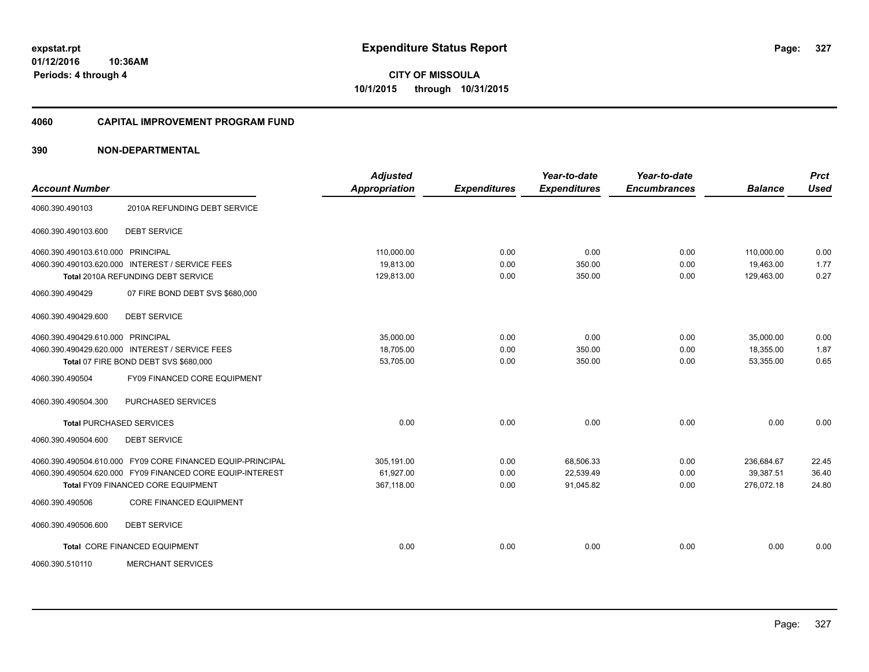**01/12/2016 10:36AM Periods: 4 through 4**

**CITY OF MISSOULA 10/1/2015 through 10/31/2015**

## **4060 CAPITAL IMPROVEMENT PROGRAM FUND**

| <b>Account Number</b>                                      | <b>Adjusted</b><br><b>Appropriation</b> | <b>Expenditures</b> | Year-to-date<br><b>Expenditures</b> | Year-to-date<br><b>Encumbrances</b> | <b>Balance</b> | <b>Prct</b><br><b>Used</b> |
|------------------------------------------------------------|-----------------------------------------|---------------------|-------------------------------------|-------------------------------------|----------------|----------------------------|
|                                                            |                                         |                     |                                     |                                     |                |                            |
| 2010A REFUNDING DEBT SERVICE<br>4060.390.490103            |                                         |                     |                                     |                                     |                |                            |
| 4060.390.490103.600<br><b>DEBT SERVICE</b>                 |                                         |                     |                                     |                                     |                |                            |
| 4060.390.490103.610.000 PRINCIPAL                          | 110,000.00                              | 0.00                | 0.00                                | 0.00                                | 110,000.00     | 0.00                       |
| 4060.390.490103.620.000 INTEREST / SERVICE FEES            | 19,813.00                               | 0.00                | 350.00                              | 0.00                                | 19,463.00      | 1.77                       |
| Total 2010A REFUNDING DEBT SERVICE                         | 129,813.00                              | 0.00                | 350.00                              | 0.00                                | 129,463.00     | 0.27                       |
| 4060.390.490429<br>07 FIRE BOND DEBT SVS \$680,000         |                                         |                     |                                     |                                     |                |                            |
| 4060.390.490429.600<br><b>DEBT SERVICE</b>                 |                                         |                     |                                     |                                     |                |                            |
| 4060.390.490429.610.000 PRINCIPAL                          | 35,000.00                               | 0.00                | 0.00                                | 0.00                                | 35,000.00      | 0.00                       |
| 4060.390.490429.620.000 INTEREST / SERVICE FEES            | 18,705.00                               | 0.00                | 350.00                              | 0.00                                | 18,355.00      | 1.87                       |
| Total 07 FIRE BOND DEBT SVS \$680,000                      | 53,705.00                               | 0.00                | 350.00                              | 0.00                                | 53,355.00      | 0.65                       |
| 4060.390.490504<br>FY09 FINANCED CORE EQUIPMENT            |                                         |                     |                                     |                                     |                |                            |
| 4060.390.490504.300<br>PURCHASED SERVICES                  |                                         |                     |                                     |                                     |                |                            |
| <b>Total PURCHASED SERVICES</b>                            | 0.00                                    | 0.00                | 0.00                                | 0.00                                | 0.00           | 0.00                       |
| 4060.390.490504.600<br><b>DEBT SERVICE</b>                 |                                         |                     |                                     |                                     |                |                            |
| 4060.390.490504.610.000 FY09 CORE FINANCED EQUIP-PRINCIPAL | 305,191.00                              | 0.00                | 68,506.33                           | 0.00                                | 236,684.67     | 22.45                      |
| 4060.390.490504.620.000 FY09 FINANCED CORE EQUIP-INTEREST  | 61,927.00                               | 0.00                | 22,539.49                           | 0.00                                | 39,387.51      | 36.40                      |
| <b>Total FY09 FINANCED CORE EQUIPMENT</b>                  | 367,118.00                              | 0.00                | 91,045.82                           | 0.00                                | 276,072.18     | 24.80                      |
| <b>CORE FINANCED EQUIPMENT</b><br>4060.390.490506          |                                         |                     |                                     |                                     |                |                            |
| <b>DEBT SERVICE</b><br>4060.390.490506.600                 |                                         |                     |                                     |                                     |                |                            |
| Total CORE FINANCED EQUIPMENT                              | 0.00                                    | 0.00                | 0.00                                | 0.00                                | 0.00           | 0.00                       |
| <b>MERCHANT SERVICES</b><br>4060.390.510110                |                                         |                     |                                     |                                     |                |                            |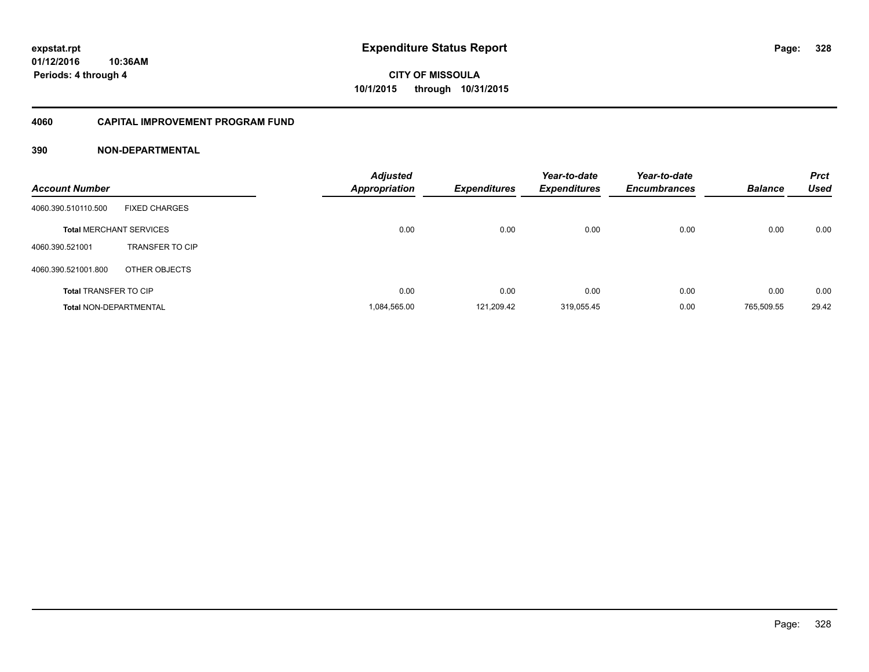## **4060 CAPITAL IMPROVEMENT PROGRAM FUND**

| <b>Account Number</b>          |                        | <b>Adjusted</b><br>Appropriation | <b>Expenditures</b> | Year-to-date<br><b>Expenditures</b> | Year-to-date<br><b>Encumbrances</b> | <b>Balance</b> | <b>Prct</b><br><b>Used</b> |
|--------------------------------|------------------------|----------------------------------|---------------------|-------------------------------------|-------------------------------------|----------------|----------------------------|
| 4060.390.510110.500            | <b>FIXED CHARGES</b>   |                                  |                     |                                     |                                     |                |                            |
| <b>Total MERCHANT SERVICES</b> |                        | 0.00                             | 0.00                | 0.00                                | 0.00                                | 0.00           | 0.00                       |
| 4060.390.521001                | <b>TRANSFER TO CIP</b> |                                  |                     |                                     |                                     |                |                            |
| 4060.390.521001.800            | OTHER OBJECTS          |                                  |                     |                                     |                                     |                |                            |
| <b>Total TRANSFER TO CIP</b>   |                        | 0.00                             | 0.00                | 0.00                                | 0.00                                | 0.00           | 0.00                       |
| <b>Total NON-DEPARTMENTAL</b>  |                        | 1.084.565.00                     | 121.209.42          | 319.055.45                          | 0.00                                | 765.509.55     | 29.42                      |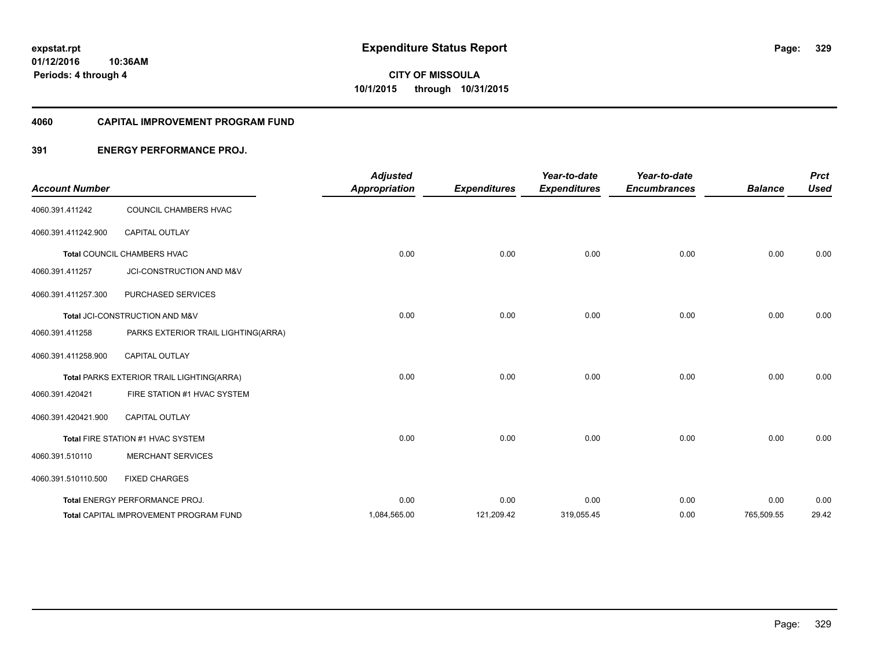### **4060 CAPITAL IMPROVEMENT PROGRAM FUND**

## **391 ENERGY PERFORMANCE PROJ.**

| <b>Account Number</b> |                                           | <b>Adjusted</b><br><b>Appropriation</b> | <b>Expenditures</b> | Year-to-date<br><b>Expenditures</b> | Year-to-date<br><b>Encumbrances</b> | <b>Balance</b> | <b>Prct</b><br><b>Used</b> |
|-----------------------|-------------------------------------------|-----------------------------------------|---------------------|-------------------------------------|-------------------------------------|----------------|----------------------------|
| 4060.391.411242       | COUNCIL CHAMBERS HVAC                     |                                         |                     |                                     |                                     |                |                            |
| 4060.391.411242.900   | <b>CAPITAL OUTLAY</b>                     |                                         |                     |                                     |                                     |                |                            |
|                       | Total COUNCIL CHAMBERS HVAC               | 0.00                                    | 0.00                | 0.00                                | 0.00                                | 0.00           | 0.00                       |
| 4060.391.411257       | JCI-CONSTRUCTION AND M&V                  |                                         |                     |                                     |                                     |                |                            |
| 4060.391.411257.300   | PURCHASED SERVICES                        |                                         |                     |                                     |                                     |                |                            |
|                       | Total JCI-CONSTRUCTION AND M&V            | 0.00                                    | 0.00                | 0.00                                | 0.00                                | 0.00           | 0.00                       |
| 4060.391.411258       | PARKS EXTERIOR TRAIL LIGHTING(ARRA)       |                                         |                     |                                     |                                     |                |                            |
| 4060.391.411258.900   | <b>CAPITAL OUTLAY</b>                     |                                         |                     |                                     |                                     |                |                            |
|                       | Total PARKS EXTERIOR TRAIL LIGHTING(ARRA) | 0.00                                    | 0.00                | 0.00                                | 0.00                                | 0.00           | 0.00                       |
| 4060.391.420421       | FIRE STATION #1 HVAC SYSTEM               |                                         |                     |                                     |                                     |                |                            |
| 4060.391.420421.900   | <b>CAPITAL OUTLAY</b>                     |                                         |                     |                                     |                                     |                |                            |
|                       | Total FIRE STATION #1 HVAC SYSTEM         | 0.00                                    | 0.00                | 0.00                                | 0.00                                | 0.00           | 0.00                       |
| 4060.391.510110       | <b>MERCHANT SERVICES</b>                  |                                         |                     |                                     |                                     |                |                            |
| 4060.391.510110.500   | <b>FIXED CHARGES</b>                      |                                         |                     |                                     |                                     |                |                            |
|                       | Total ENERGY PERFORMANCE PROJ.            | 0.00                                    | 0.00                | 0.00                                | 0.00                                | 0.00           | 0.00                       |
|                       | Total CAPITAL IMPROVEMENT PROGRAM FUND    | 1,084,565.00                            | 121,209.42          | 319,055.45                          | 0.00                                | 765,509.55     | 29.42                      |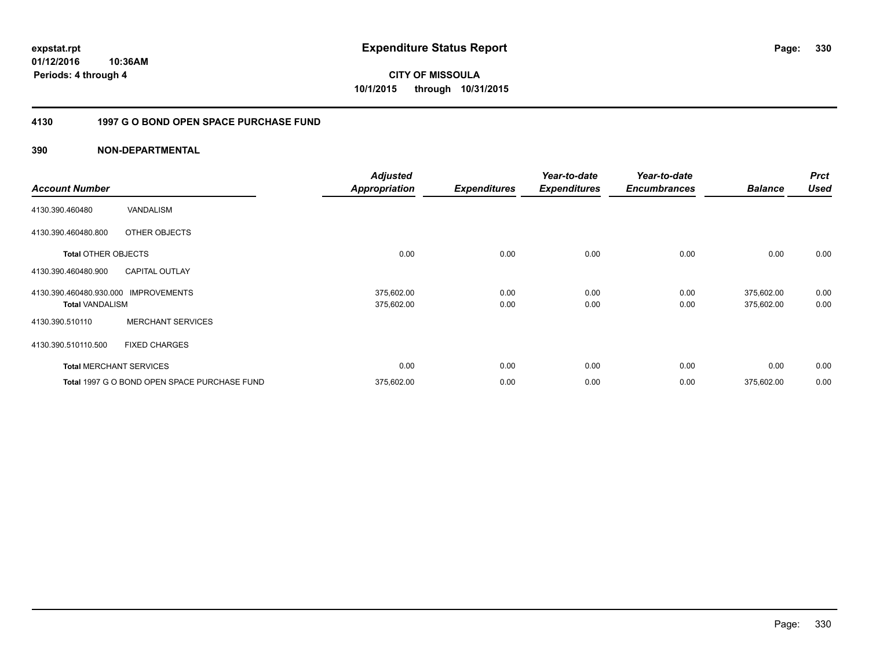**01/12/2016 10:36AM Periods: 4 through 4**

**CITY OF MISSOULA 10/1/2015 through 10/31/2015**

## **4130 1997 G O BOND OPEN SPACE PURCHASE FUND**

| <b>Account Number</b>      |                                              | <b>Adjusted</b><br><b>Appropriation</b> | <b>Expenditures</b> | Year-to-date<br><b>Expenditures</b> | Year-to-date<br><b>Encumbrances</b> | <b>Balance</b> | <b>Prct</b><br><b>Used</b> |
|----------------------------|----------------------------------------------|-----------------------------------------|---------------------|-------------------------------------|-------------------------------------|----------------|----------------------------|
|                            |                                              |                                         |                     |                                     |                                     |                |                            |
| 4130.390.460480            | VANDALISM                                    |                                         |                     |                                     |                                     |                |                            |
| 4130.390.460480.800        | OTHER OBJECTS                                |                                         |                     |                                     |                                     |                |                            |
| <b>Total OTHER OBJECTS</b> |                                              | 0.00                                    | 0.00                | 0.00                                | 0.00                                | 0.00           | 0.00                       |
| 4130.390.460480.900        | <b>CAPITAL OUTLAY</b>                        |                                         |                     |                                     |                                     |                |                            |
| 4130.390.460480.930.000    | <b>IMPROVEMENTS</b>                          | 375,602.00                              | 0.00                | 0.00                                | 0.00                                | 375,602.00     | 0.00                       |
| <b>Total VANDALISM</b>     |                                              | 375,602.00                              | 0.00                | 0.00                                | 0.00                                | 375,602.00     | 0.00                       |
| 4130.390.510110            | <b>MERCHANT SERVICES</b>                     |                                         |                     |                                     |                                     |                |                            |
| 4130.390.510110.500        | <b>FIXED CHARGES</b>                         |                                         |                     |                                     |                                     |                |                            |
|                            | <b>Total MERCHANT SERVICES</b>               | 0.00                                    | 0.00                | 0.00                                | 0.00                                | 0.00           | 0.00                       |
|                            | Total 1997 G O BOND OPEN SPACE PURCHASE FUND | 375,602.00                              | 0.00                | 0.00                                | 0.00                                | 375,602.00     | 0.00                       |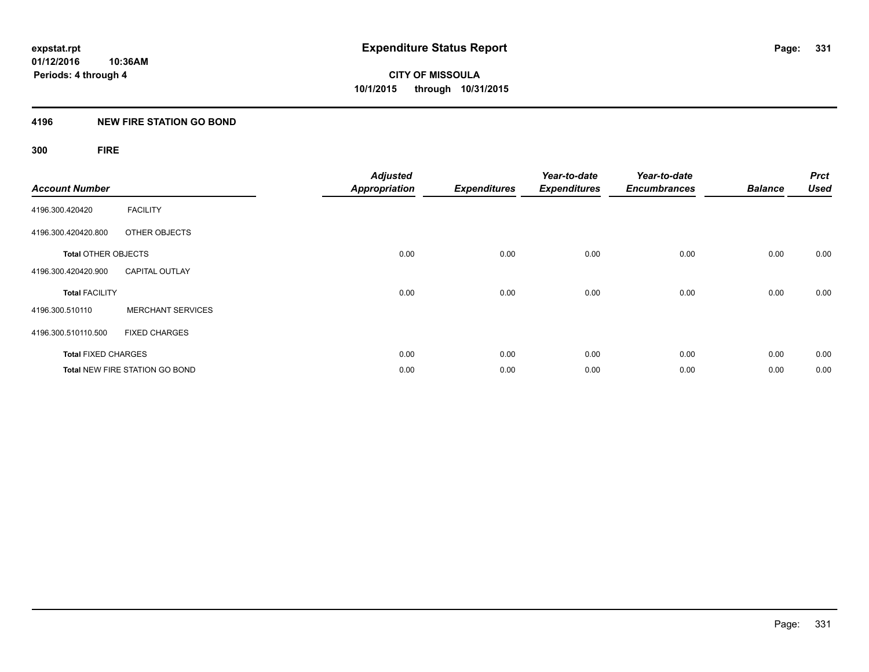## **4196 NEW FIRE STATION GO BOND**

## **300 FIRE**

| <b>Account Number</b>      |                                       | <b>Adjusted</b><br><b>Appropriation</b> | <b>Expenditures</b> | Year-to-date<br><b>Expenditures</b> | Year-to-date<br><b>Encumbrances</b> | <b>Balance</b> | <b>Prct</b><br><b>Used</b> |
|----------------------------|---------------------------------------|-----------------------------------------|---------------------|-------------------------------------|-------------------------------------|----------------|----------------------------|
| 4196.300.420420            | <b>FACILITY</b>                       |                                         |                     |                                     |                                     |                |                            |
| 4196.300.420420.800        | OTHER OBJECTS                         |                                         |                     |                                     |                                     |                |                            |
| <b>Total OTHER OBJECTS</b> |                                       | 0.00                                    | 0.00                | 0.00                                | 0.00                                | 0.00           | 0.00                       |
| 4196.300.420420.900        | <b>CAPITAL OUTLAY</b>                 |                                         |                     |                                     |                                     |                |                            |
| <b>Total FACILITY</b>      |                                       | 0.00                                    | 0.00                | 0.00                                | 0.00                                | 0.00           | 0.00                       |
| 4196.300.510110            | <b>MERCHANT SERVICES</b>              |                                         |                     |                                     |                                     |                |                            |
| 4196.300.510110.500        | <b>FIXED CHARGES</b>                  |                                         |                     |                                     |                                     |                |                            |
| <b>Total FIXED CHARGES</b> |                                       | 0.00                                    | 0.00                | 0.00                                | 0.00                                | 0.00           | 0.00                       |
|                            | <b>Total NEW FIRE STATION GO BOND</b> | 0.00                                    | 0.00                | 0.00                                | 0.00                                | 0.00           | 0.00                       |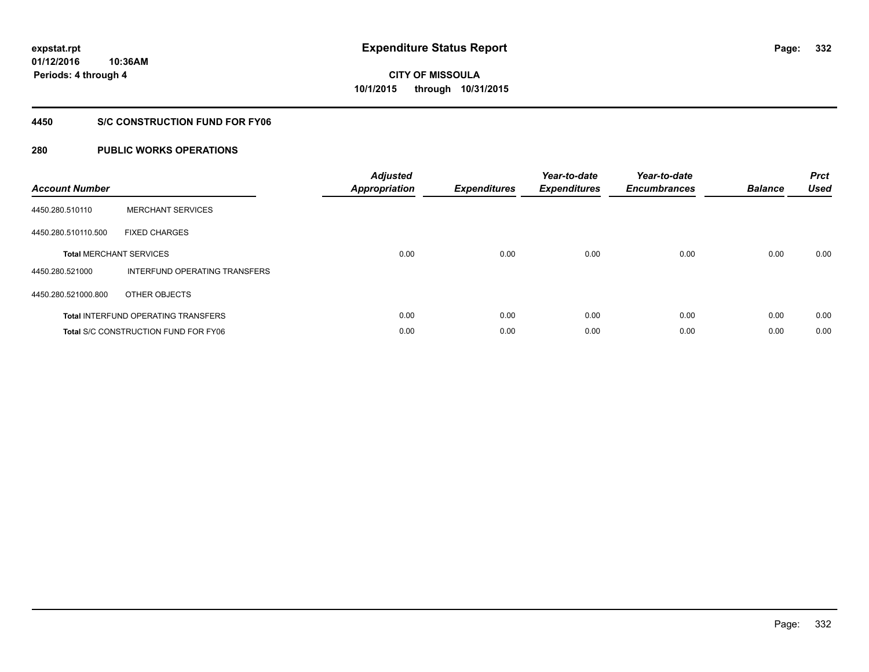**01/12/2016 10:36AM Periods: 4 through 4**

# **CITY OF MISSOULA 10/1/2015 through 10/31/2015**

## **4450 S/C CONSTRUCTION FUND FOR FY06**

| <b>Account Number</b> |                                             | <b>Adjusted</b><br><b>Appropriation</b> | <b>Expenditures</b> | Year-to-date<br><b>Expenditures</b> | Year-to-date<br><b>Encumbrances</b> | <b>Balance</b> | <b>Prct</b><br><b>Used</b> |
|-----------------------|---------------------------------------------|-----------------------------------------|---------------------|-------------------------------------|-------------------------------------|----------------|----------------------------|
| 4450.280.510110       | <b>MERCHANT SERVICES</b>                    |                                         |                     |                                     |                                     |                |                            |
| 4450.280.510110.500   | <b>FIXED CHARGES</b>                        |                                         |                     |                                     |                                     |                |                            |
|                       | <b>Total MERCHANT SERVICES</b>              | 0.00                                    | 0.00                | 0.00                                | 0.00                                | 0.00           | 0.00                       |
| 4450.280.521000       | INTERFUND OPERATING TRANSFERS               |                                         |                     |                                     |                                     |                |                            |
| 4450.280.521000.800   | OTHER OBJECTS                               |                                         |                     |                                     |                                     |                |                            |
|                       | <b>Total INTERFUND OPERATING TRANSFERS</b>  | 0.00                                    | 0.00                | 0.00                                | 0.00                                | 0.00           | 0.00                       |
|                       | <b>Total S/C CONSTRUCTION FUND FOR FY06</b> | 0.00                                    | 0.00                | 0.00                                | 0.00                                | 0.00           | 0.00                       |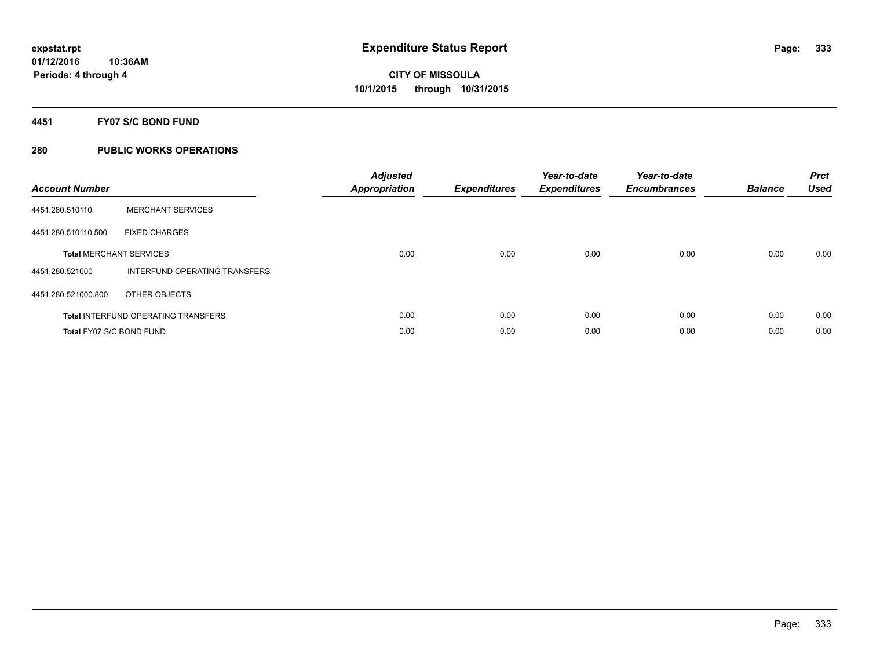## **4451 FY07 S/C BOND FUND**

| <b>Account Number</b>    |                                            | <b>Adjusted</b><br>Appropriation | <b>Expenditures</b> | Year-to-date<br><b>Expenditures</b> | Year-to-date<br><b>Encumbrances</b> | <b>Balance</b> | <b>Prct</b><br><b>Used</b> |
|--------------------------|--------------------------------------------|----------------------------------|---------------------|-------------------------------------|-------------------------------------|----------------|----------------------------|
| 4451.280.510110          | <b>MERCHANT SERVICES</b>                   |                                  |                     |                                     |                                     |                |                            |
| 4451.280.510110.500      | <b>FIXED CHARGES</b>                       |                                  |                     |                                     |                                     |                |                            |
|                          | <b>Total MERCHANT SERVICES</b>             | 0.00                             | 0.00                | 0.00                                | 0.00                                | 0.00           | 0.00                       |
| 4451.280.521000          | INTERFUND OPERATING TRANSFERS              |                                  |                     |                                     |                                     |                |                            |
| 4451.280.521000.800      | OTHER OBJECTS                              |                                  |                     |                                     |                                     |                |                            |
|                          | <b>Total INTERFUND OPERATING TRANSFERS</b> | 0.00                             | 0.00                | 0.00                                | 0.00                                | 0.00           | 0.00                       |
| Total FY07 S/C BOND FUND |                                            | 0.00                             | 0.00                | 0.00                                | 0.00                                | 0.00           | 0.00                       |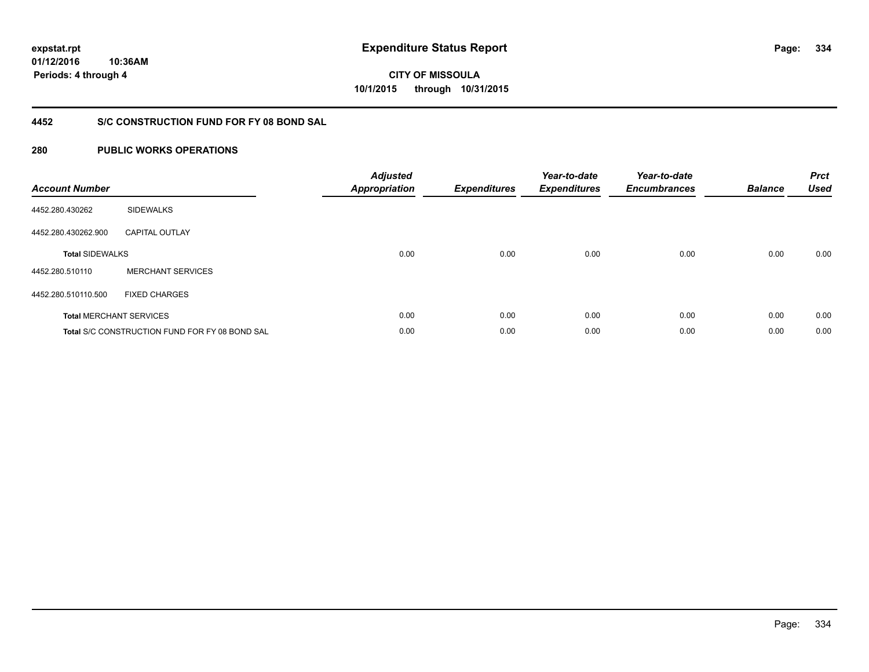**01/12/2016 10:36AM Periods: 4 through 4**

# **CITY OF MISSOULA 10/1/2015 through 10/31/2015**

## **4452 S/C CONSTRUCTION FUND FOR FY 08 BOND SAL**

| <b>Account Number</b>  |                                                       | <b>Adjusted</b><br><b>Appropriation</b> | <b>Expenditures</b> | Year-to-date<br><b>Expenditures</b> | Year-to-date<br><b>Encumbrances</b> | <b>Balance</b> | <b>Prct</b><br><b>Used</b> |
|------------------------|-------------------------------------------------------|-----------------------------------------|---------------------|-------------------------------------|-------------------------------------|----------------|----------------------------|
| 4452.280.430262        | <b>SIDEWALKS</b>                                      |                                         |                     |                                     |                                     |                |                            |
| 4452.280.430262.900    | <b>CAPITAL OUTLAY</b>                                 |                                         |                     |                                     |                                     |                |                            |
| <b>Total SIDEWALKS</b> |                                                       | 0.00                                    | 0.00                | 0.00                                | 0.00                                | 0.00           | 0.00                       |
| 4452.280.510110        | <b>MERCHANT SERVICES</b>                              |                                         |                     |                                     |                                     |                |                            |
| 4452.280.510110.500    | <b>FIXED CHARGES</b>                                  |                                         |                     |                                     |                                     |                |                            |
|                        | <b>Total MERCHANT SERVICES</b>                        | 0.00                                    | 0.00                | 0.00                                | 0.00                                | 0.00           | 0.00                       |
|                        | <b>Total S/C CONSTRUCTION FUND FOR FY 08 BOND SAL</b> | 0.00                                    | 0.00                | 0.00                                | 0.00                                | 0.00           | 0.00                       |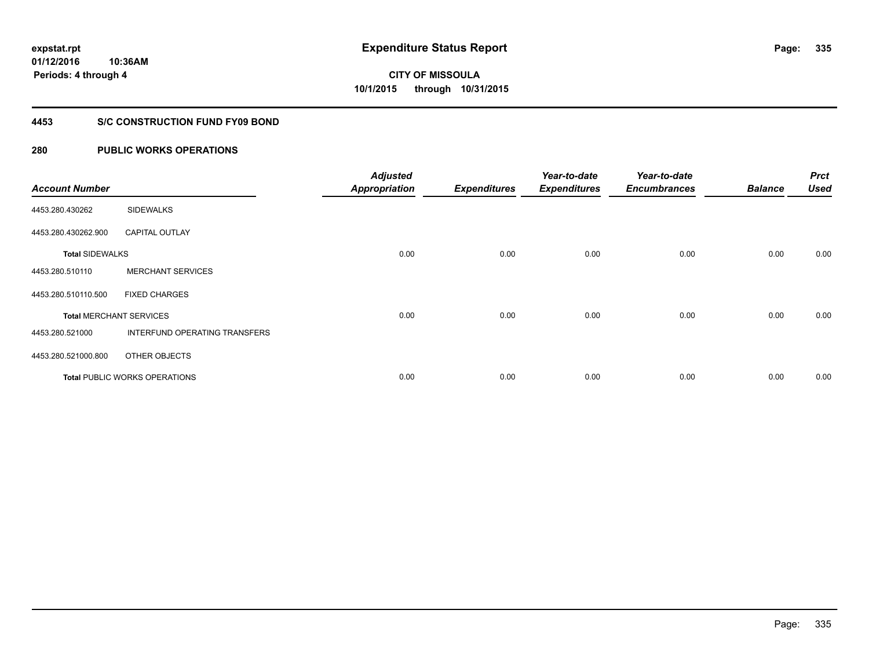**335**

**01/12/2016 10:36AM Periods: 4 through 4**

# **CITY OF MISSOULA 10/1/2015 through 10/31/2015**

## **4453 S/C CONSTRUCTION FUND FY09 BOND**

| <b>Account Number</b>  |                                      | <b>Adjusted</b><br><b>Appropriation</b> | <b>Expenditures</b> | Year-to-date<br><b>Expenditures</b> | Year-to-date<br><b>Encumbrances</b> | <b>Balance</b> | <b>Prct</b><br><b>Used</b> |
|------------------------|--------------------------------------|-----------------------------------------|---------------------|-------------------------------------|-------------------------------------|----------------|----------------------------|
| 4453.280.430262        | <b>SIDEWALKS</b>                     |                                         |                     |                                     |                                     |                |                            |
| 4453.280.430262.900    | <b>CAPITAL OUTLAY</b>                |                                         |                     |                                     |                                     |                |                            |
| <b>Total SIDEWALKS</b> |                                      | 0.00                                    | 0.00                | 0.00                                | 0.00                                | 0.00           | 0.00                       |
| 4453.280.510110        | <b>MERCHANT SERVICES</b>             |                                         |                     |                                     |                                     |                |                            |
| 4453.280.510110.500    | <b>FIXED CHARGES</b>                 |                                         |                     |                                     |                                     |                |                            |
|                        | <b>Total MERCHANT SERVICES</b>       | 0.00                                    | 0.00                | 0.00                                | 0.00                                | 0.00           | 0.00                       |
| 4453.280.521000        | INTERFUND OPERATING TRANSFERS        |                                         |                     |                                     |                                     |                |                            |
| 4453.280.521000.800    | OTHER OBJECTS                        |                                         |                     |                                     |                                     |                |                            |
|                        | <b>Total PUBLIC WORKS OPERATIONS</b> | 0.00                                    | 0.00                | 0.00                                | 0.00                                | 0.00           | 0.00                       |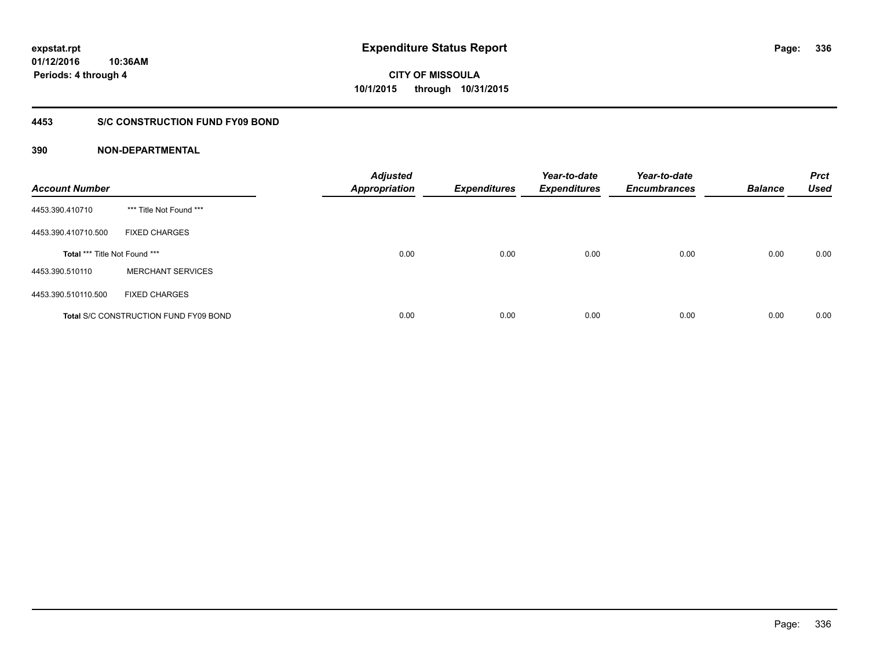## **4453 S/C CONSTRUCTION FUND FY09 BOND**

| <b>Account Number</b>         |                                              | <b>Adjusted</b><br><b>Appropriation</b> | <b>Expenditures</b> | Year-to-date<br><b>Expenditures</b> | Year-to-date<br><b>Encumbrances</b> | <b>Balance</b> | <b>Prct</b><br><b>Used</b> |
|-------------------------------|----------------------------------------------|-----------------------------------------|---------------------|-------------------------------------|-------------------------------------|----------------|----------------------------|
| 4453.390.410710               | *** Title Not Found ***                      |                                         |                     |                                     |                                     |                |                            |
| 4453.390.410710.500           | <b>FIXED CHARGES</b>                         |                                         |                     |                                     |                                     |                |                            |
| Total *** Title Not Found *** |                                              | 0.00                                    | 0.00                | 0.00                                | 0.00                                | 0.00           | 0.00                       |
| 4453.390.510110               | <b>MERCHANT SERVICES</b>                     |                                         |                     |                                     |                                     |                |                            |
| 4453.390.510110.500           | <b>FIXED CHARGES</b>                         |                                         |                     |                                     |                                     |                |                            |
|                               | <b>Total S/C CONSTRUCTION FUND FY09 BOND</b> | 0.00                                    | 0.00                | 0.00                                | 0.00                                | 0.00           | 0.00                       |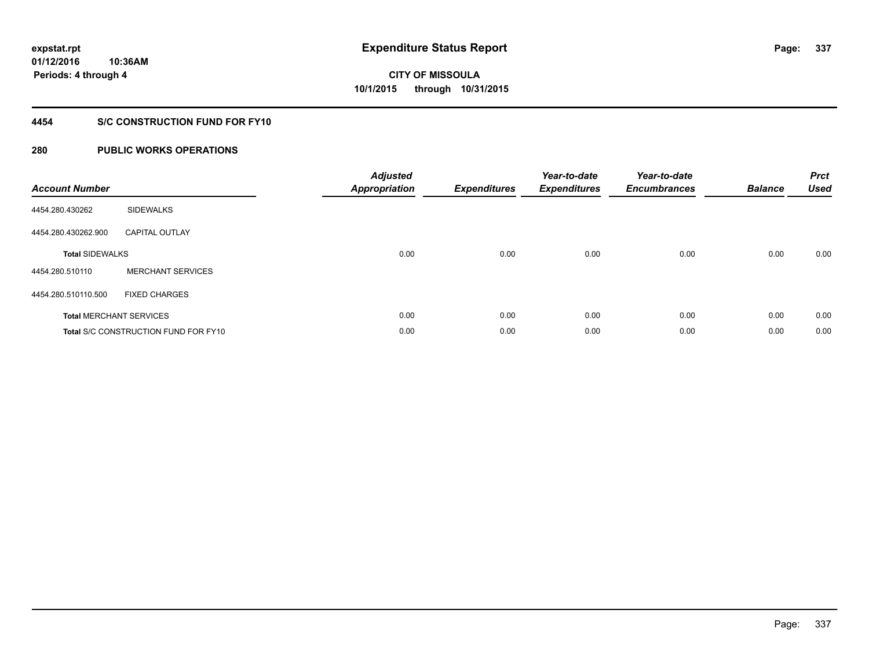**Periods: 4 through 4**

**CITY OF MISSOULA 10/1/2015 through 10/31/2015**

## **4454 S/C CONSTRUCTION FUND FOR FY10**

## **280 PUBLIC WORKS OPERATIONS**

**10:36AM**

| <b>Account Number</b>          |                                             | <b>Adjusted</b><br><b>Appropriation</b> | <b>Expenditures</b> | Year-to-date<br><b>Expenditures</b> | Year-to-date<br><b>Encumbrances</b> | <b>Balance</b> | <b>Prct</b><br><b>Used</b> |
|--------------------------------|---------------------------------------------|-----------------------------------------|---------------------|-------------------------------------|-------------------------------------|----------------|----------------------------|
| 4454.280.430262                | <b>SIDEWALKS</b>                            |                                         |                     |                                     |                                     |                |                            |
| 4454.280.430262.900            | <b>CAPITAL OUTLAY</b>                       |                                         |                     |                                     |                                     |                |                            |
| <b>Total SIDEWALKS</b>         |                                             | 0.00                                    | 0.00                | 0.00                                | 0.00                                | 0.00           | 0.00                       |
| 4454.280.510110                | <b>MERCHANT SERVICES</b>                    |                                         |                     |                                     |                                     |                |                            |
| 4454.280.510110.500            | <b>FIXED CHARGES</b>                        |                                         |                     |                                     |                                     |                |                            |
| <b>Total MERCHANT SERVICES</b> |                                             | 0.00                                    | 0.00                | 0.00                                | 0.00                                | 0.00           | 0.00                       |
|                                | <b>Total S/C CONSTRUCTION FUND FOR FY10</b> | 0.00                                    | 0.00                | 0.00                                | 0.00                                | 0.00           | 0.00                       |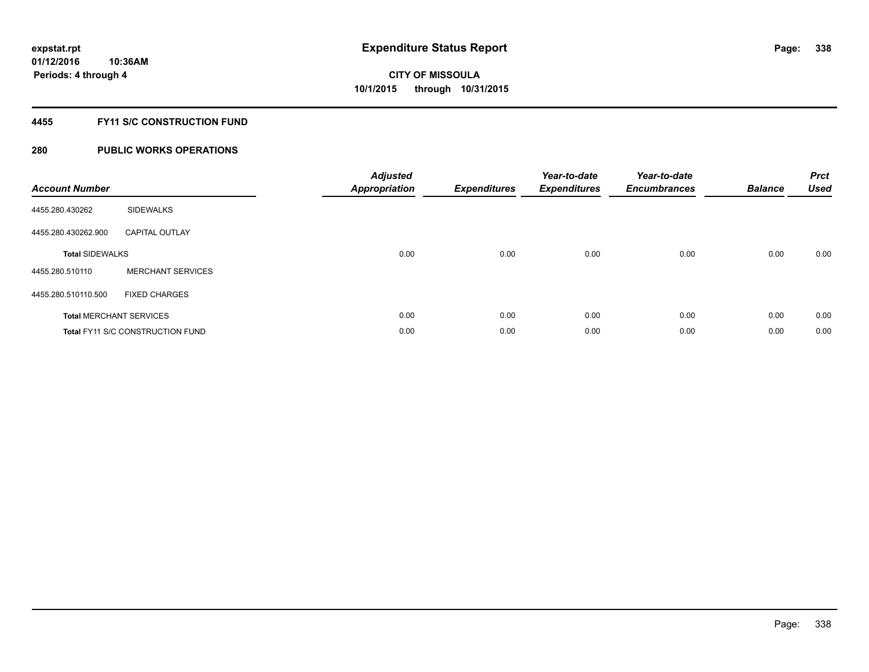## **4455 FY11 S/C CONSTRUCTION FUND**

| <b>Account Number</b>  |                                         | <b>Adjusted</b><br>Appropriation | <b>Expenditures</b> | Year-to-date<br><b>Expenditures</b> | Year-to-date<br><b>Encumbrances</b> | <b>Balance</b> | <b>Prct</b><br><b>Used</b> |
|------------------------|-----------------------------------------|----------------------------------|---------------------|-------------------------------------|-------------------------------------|----------------|----------------------------|
| 4455.280.430262        | <b>SIDEWALKS</b>                        |                                  |                     |                                     |                                     |                |                            |
| 4455.280.430262.900    | <b>CAPITAL OUTLAY</b>                   |                                  |                     |                                     |                                     |                |                            |
| <b>Total SIDEWALKS</b> |                                         | 0.00                             | 0.00                | 0.00                                | 0.00                                | 0.00           | 0.00                       |
| 4455.280.510110        | <b>MERCHANT SERVICES</b>                |                                  |                     |                                     |                                     |                |                            |
| 4455.280.510110.500    | <b>FIXED CHARGES</b>                    |                                  |                     |                                     |                                     |                |                            |
|                        | <b>Total MERCHANT SERVICES</b>          | 0.00                             | 0.00                | 0.00                                | 0.00                                | 0.00           | 0.00                       |
|                        | <b>Total FY11 S/C CONSTRUCTION FUND</b> | 0.00                             | 0.00                | 0.00                                | 0.00                                | 0.00           | 0.00                       |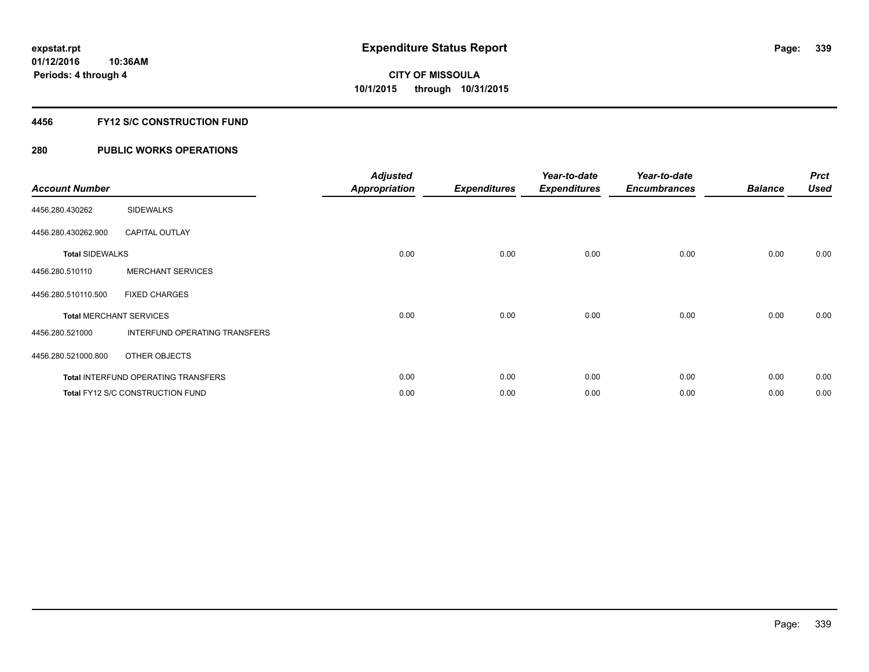## **4456 FY12 S/C CONSTRUCTION FUND**

| <b>Account Number</b>  |                                            | <b>Adjusted</b><br><b>Appropriation</b> | <b>Expenditures</b> | Year-to-date<br><b>Expenditures</b> | Year-to-date<br><b>Encumbrances</b> | <b>Balance</b> | <b>Prct</b><br><b>Used</b> |
|------------------------|--------------------------------------------|-----------------------------------------|---------------------|-------------------------------------|-------------------------------------|----------------|----------------------------|
| 4456.280.430262        | <b>SIDEWALKS</b>                           |                                         |                     |                                     |                                     |                |                            |
| 4456.280.430262.900    | <b>CAPITAL OUTLAY</b>                      |                                         |                     |                                     |                                     |                |                            |
| <b>Total SIDEWALKS</b> |                                            | 0.00                                    | 0.00                | 0.00                                | 0.00                                | 0.00           | 0.00                       |
| 4456.280.510110        | <b>MERCHANT SERVICES</b>                   |                                         |                     |                                     |                                     |                |                            |
| 4456.280.510110.500    | <b>FIXED CHARGES</b>                       |                                         |                     |                                     |                                     |                |                            |
|                        | <b>Total MERCHANT SERVICES</b>             | 0.00                                    | 0.00                | 0.00                                | 0.00                                | 0.00           | 0.00                       |
| 4456.280.521000        | INTERFUND OPERATING TRANSFERS              |                                         |                     |                                     |                                     |                |                            |
| 4456.280.521000.800    | OTHER OBJECTS                              |                                         |                     |                                     |                                     |                |                            |
|                        | <b>Total INTERFUND OPERATING TRANSFERS</b> | 0.00                                    | 0.00                | 0.00                                | 0.00                                | 0.00           | 0.00                       |
|                        | Total FY12 S/C CONSTRUCTION FUND           | 0.00                                    | 0.00                | 0.00                                | 0.00                                | 0.00           | 0.00                       |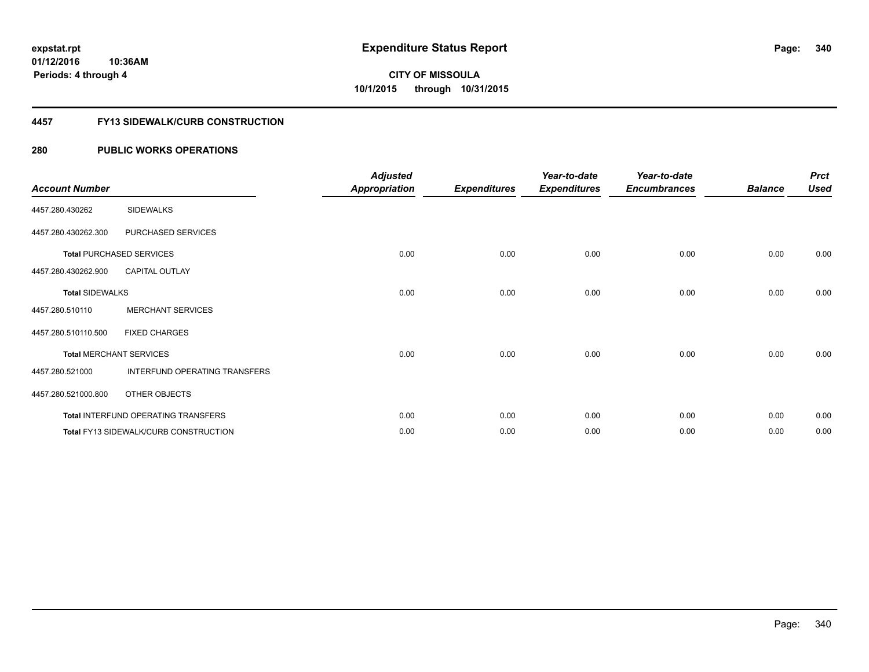## **4457 FY13 SIDEWALK/CURB CONSTRUCTION**

| <b>Account Number</b>  |                                              | <b>Adjusted</b><br><b>Appropriation</b> | <b>Expenditures</b> | Year-to-date<br><b>Expenditures</b> | Year-to-date<br><b>Encumbrances</b> | <b>Balance</b> | <b>Prct</b><br><b>Used</b> |
|------------------------|----------------------------------------------|-----------------------------------------|---------------------|-------------------------------------|-------------------------------------|----------------|----------------------------|
| 4457.280.430262        | <b>SIDEWALKS</b>                             |                                         |                     |                                     |                                     |                |                            |
| 4457.280.430262.300    | PURCHASED SERVICES                           |                                         |                     |                                     |                                     |                |                            |
|                        | <b>Total PURCHASED SERVICES</b>              | 0.00                                    | 0.00                | 0.00                                | 0.00                                | 0.00           | 0.00                       |
| 4457.280.430262.900    | <b>CAPITAL OUTLAY</b>                        |                                         |                     |                                     |                                     |                |                            |
| <b>Total SIDEWALKS</b> |                                              | 0.00                                    | 0.00                | 0.00                                | 0.00                                | 0.00           | 0.00                       |
| 4457.280.510110        | <b>MERCHANT SERVICES</b>                     |                                         |                     |                                     |                                     |                |                            |
| 4457.280.510110.500    | <b>FIXED CHARGES</b>                         |                                         |                     |                                     |                                     |                |                            |
|                        | <b>Total MERCHANT SERVICES</b>               | 0.00                                    | 0.00                | 0.00                                | 0.00                                | 0.00           | 0.00                       |
| 4457.280.521000        | INTERFUND OPERATING TRANSFERS                |                                         |                     |                                     |                                     |                |                            |
| 4457.280.521000.800    | OTHER OBJECTS                                |                                         |                     |                                     |                                     |                |                            |
|                        | Total INTERFUND OPERATING TRANSFERS          | 0.00                                    | 0.00                | 0.00                                | 0.00                                | 0.00           | 0.00                       |
|                        | <b>Total FY13 SIDEWALK/CURB CONSTRUCTION</b> | 0.00                                    | 0.00                | 0.00                                | 0.00                                | 0.00           | 0.00                       |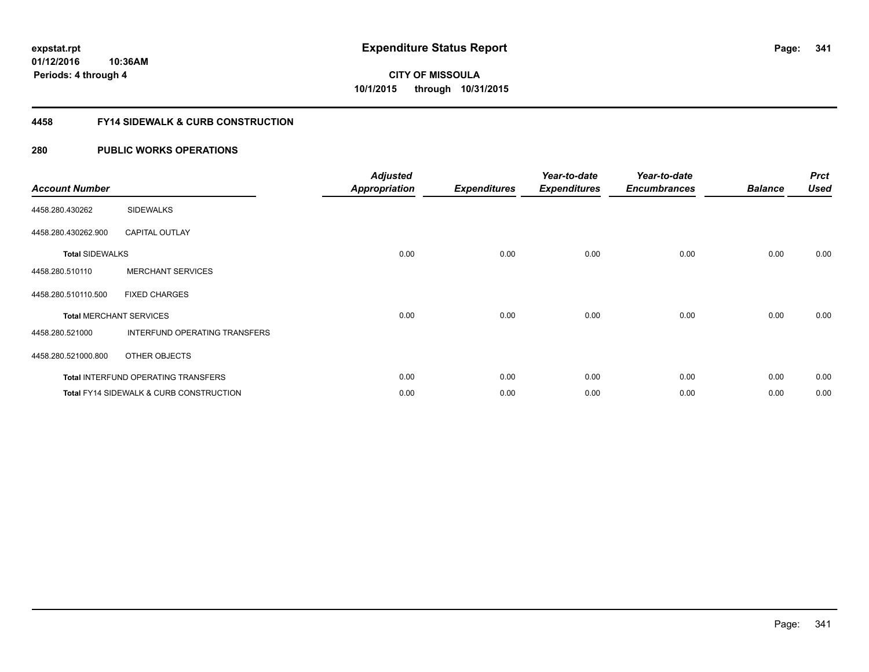**341**

**01/12/2016 10:36AM Periods: 4 through 4**

# **CITY OF MISSOULA 10/1/2015 through 10/31/2015**

## **4458 FY14 SIDEWALK & CURB CONSTRUCTION**

| <b>Account Number</b>  |                                                    | <b>Adjusted</b><br>Appropriation | <b>Expenditures</b> | Year-to-date<br><b>Expenditures</b> | Year-to-date<br><b>Encumbrances</b> | <b>Balance</b> | <b>Prct</b><br><b>Used</b> |
|------------------------|----------------------------------------------------|----------------------------------|---------------------|-------------------------------------|-------------------------------------|----------------|----------------------------|
| 4458.280.430262        | <b>SIDEWALKS</b>                                   |                                  |                     |                                     |                                     |                |                            |
| 4458.280.430262.900    | <b>CAPITAL OUTLAY</b>                              |                                  |                     |                                     |                                     |                |                            |
| <b>Total SIDEWALKS</b> |                                                    | 0.00                             | 0.00                | 0.00                                | 0.00                                | 0.00           | 0.00                       |
| 4458.280.510110        | <b>MERCHANT SERVICES</b>                           |                                  |                     |                                     |                                     |                |                            |
| 4458.280.510110.500    | <b>FIXED CHARGES</b>                               |                                  |                     |                                     |                                     |                |                            |
|                        | <b>Total MERCHANT SERVICES</b>                     | 0.00                             | 0.00                | 0.00                                | 0.00                                | 0.00           | 0.00                       |
| 4458.280.521000        | INTERFUND OPERATING TRANSFERS                      |                                  |                     |                                     |                                     |                |                            |
| 4458.280.521000.800    | OTHER OBJECTS                                      |                                  |                     |                                     |                                     |                |                            |
|                        | <b>Total INTERFUND OPERATING TRANSFERS</b>         | 0.00                             | 0.00                | 0.00                                | 0.00                                | 0.00           | 0.00                       |
|                        | <b>Total FY14 SIDEWALK &amp; CURB CONSTRUCTION</b> | 0.00                             | 0.00                | 0.00                                | 0.00                                | 0.00           | 0.00                       |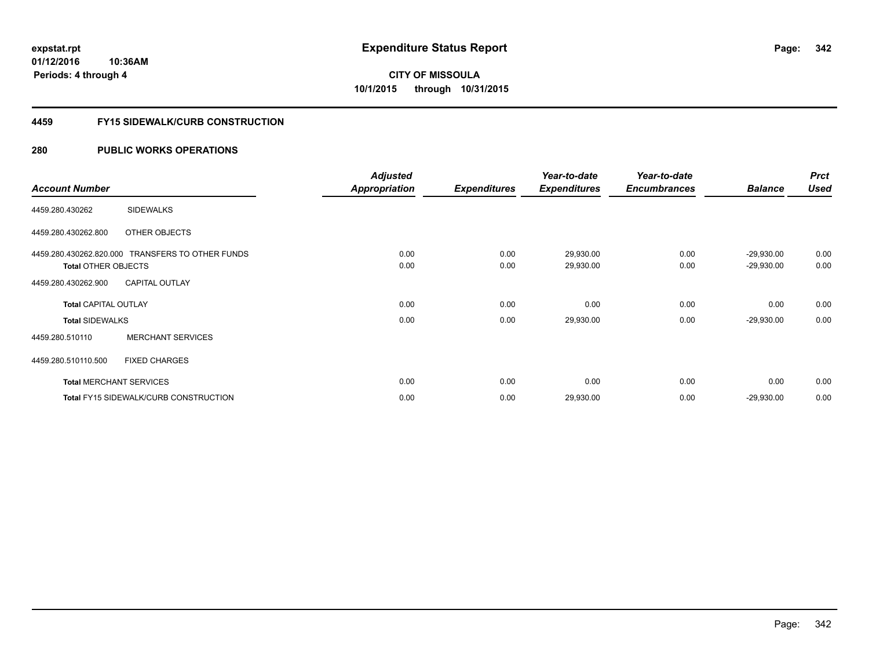**Periods: 4 through 4**

**CITY OF MISSOULA 10/1/2015 through 10/31/2015**

## **4459 FY15 SIDEWALK/CURB CONSTRUCTION**

## **280 PUBLIC WORKS OPERATIONS**

**10:36AM**

|                                |                                                  | <b>Adjusted</b>      |                     | Year-to-date        | Year-to-date        |                | <b>Prct</b> |
|--------------------------------|--------------------------------------------------|----------------------|---------------------|---------------------|---------------------|----------------|-------------|
| <b>Account Number</b>          |                                                  | <b>Appropriation</b> | <b>Expenditures</b> | <b>Expenditures</b> | <b>Encumbrances</b> | <b>Balance</b> | <b>Used</b> |
| 4459.280.430262                | <b>SIDEWALKS</b>                                 |                      |                     |                     |                     |                |             |
| 4459.280.430262.800            | <b>OTHER OBJECTS</b>                             |                      |                     |                     |                     |                |             |
|                                | 4459.280.430262.820.000 TRANSFERS TO OTHER FUNDS | 0.00                 | 0.00                | 29,930.00           | 0.00                | $-29,930.00$   | 0.00        |
| <b>Total OTHER OBJECTS</b>     |                                                  | 0.00                 | 0.00                | 29,930.00           | 0.00                | $-29,930.00$   | 0.00        |
| 4459.280.430262.900            | <b>CAPITAL OUTLAY</b>                            |                      |                     |                     |                     |                |             |
| <b>Total CAPITAL OUTLAY</b>    |                                                  | 0.00                 | 0.00                | 0.00                | 0.00                | 0.00           | 0.00        |
| <b>Total SIDEWALKS</b>         |                                                  | 0.00                 | 0.00                | 29,930.00           | 0.00                | $-29,930.00$   | 0.00        |
| 4459.280.510110                | <b>MERCHANT SERVICES</b>                         |                      |                     |                     |                     |                |             |
| 4459.280.510110.500            | <b>FIXED CHARGES</b>                             |                      |                     |                     |                     |                |             |
| <b>Total MERCHANT SERVICES</b> |                                                  | 0.00                 | 0.00                | 0.00                | 0.00                | 0.00           | 0.00        |
|                                | <b>Total FY15 SIDEWALK/CURB CONSTRUCTION</b>     | 0.00                 | 0.00                | 29,930.00           | 0.00                | $-29,930.00$   | 0.00        |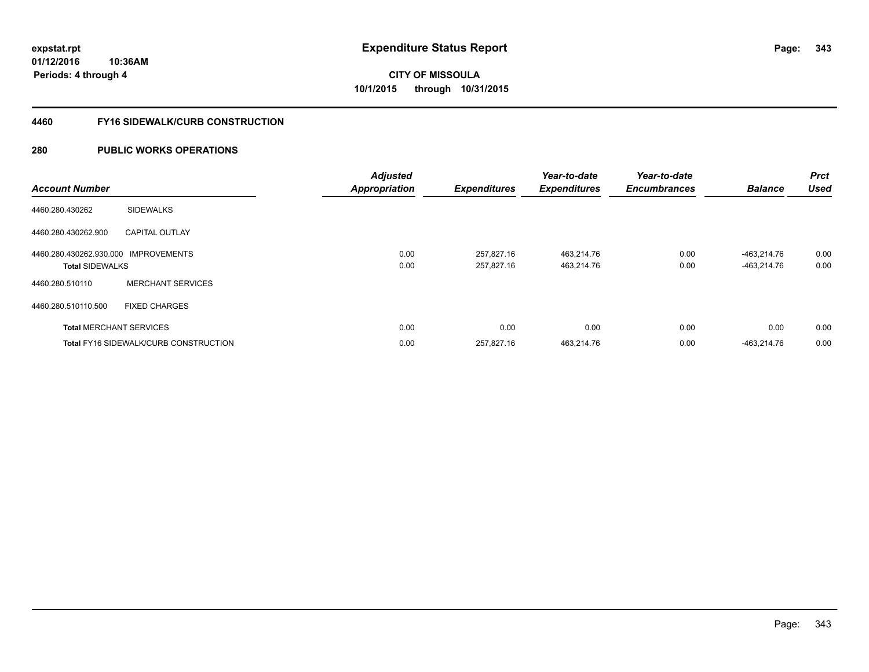**343**

**01/12/2016 10:36AM Periods: 4 through 4**

# **CITY OF MISSOULA 10/1/2015 through 10/31/2015**

## **4460 FY16 SIDEWALK/CURB CONSTRUCTION**

| <b>Account Number</b>                                          |                                              | <b>Adjusted</b><br><b>Appropriation</b> | <b>Expenditures</b>      | Year-to-date<br><b>Expenditures</b> | Year-to-date<br><b>Encumbrances</b> | <b>Balance</b>             | <b>Prct</b><br><b>Used</b> |
|----------------------------------------------------------------|----------------------------------------------|-----------------------------------------|--------------------------|-------------------------------------|-------------------------------------|----------------------------|----------------------------|
| 4460.280.430262                                                | <b>SIDEWALKS</b>                             |                                         |                          |                                     |                                     |                            |                            |
| 4460.280.430262.900                                            | <b>CAPITAL OUTLAY</b>                        |                                         |                          |                                     |                                     |                            |                            |
| 4460.280.430262.930.000 IMPROVEMENTS<br><b>Total SIDEWALKS</b> |                                              | 0.00<br>0.00                            | 257.827.16<br>257,827.16 | 463.214.76<br>463,214.76            | 0.00<br>0.00                        | -463.214.76<br>-463,214.76 | 0.00<br>0.00               |
| 4460.280.510110                                                | <b>MERCHANT SERVICES</b>                     |                                         |                          |                                     |                                     |                            |                            |
| 4460.280.510110.500                                            | <b>FIXED CHARGES</b>                         |                                         |                          |                                     |                                     |                            |                            |
|                                                                | <b>Total MERCHANT SERVICES</b>               | 0.00                                    | 0.00                     | 0.00                                | 0.00                                | 0.00                       | 0.00                       |
|                                                                | <b>Total FY16 SIDEWALK/CURB CONSTRUCTION</b> | 0.00                                    | 257.827.16               | 463.214.76                          | 0.00                                | -463.214.76                | 0.00                       |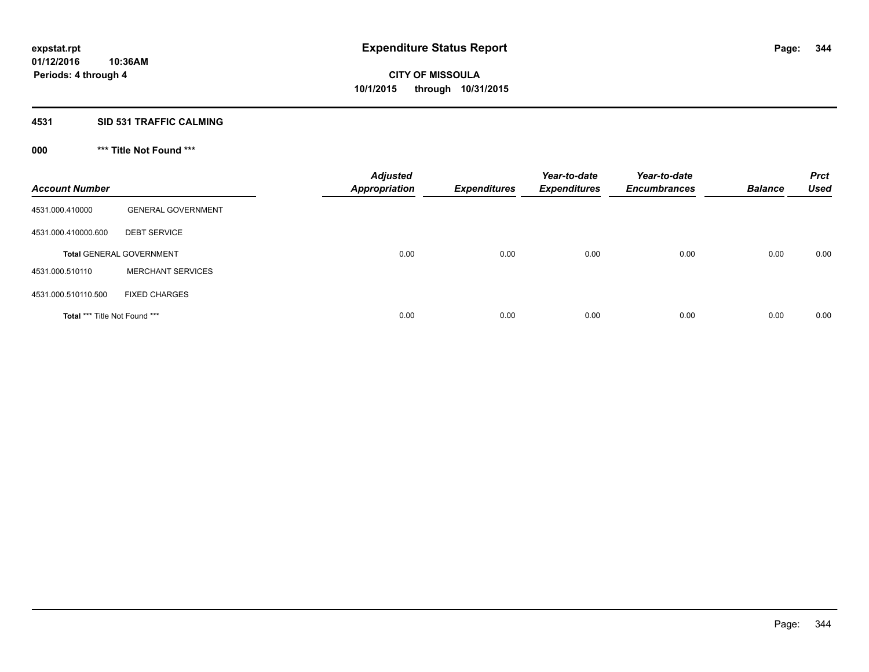## **4531 SID 531 TRAFFIC CALMING**

## **000 \*\*\* Title Not Found \*\*\***

| <b>Account Number</b>         |                                 | <b>Adjusted</b><br><b>Appropriation</b> | <b>Expenditures</b> | Year-to-date<br><b>Expenditures</b> | Year-to-date<br><b>Encumbrances</b> | <b>Balance</b> | <b>Prct</b><br><b>Used</b> |
|-------------------------------|---------------------------------|-----------------------------------------|---------------------|-------------------------------------|-------------------------------------|----------------|----------------------------|
| 4531.000.410000               | <b>GENERAL GOVERNMENT</b>       |                                         |                     |                                     |                                     |                |                            |
| 4531.000.410000.600           | <b>DEBT SERVICE</b>             |                                         |                     |                                     |                                     |                |                            |
|                               | <b>Total GENERAL GOVERNMENT</b> | 0.00                                    | 0.00                | 0.00                                | 0.00                                | 0.00           | 0.00                       |
| 4531.000.510110               | <b>MERCHANT SERVICES</b>        |                                         |                     |                                     |                                     |                |                            |
| 4531.000.510110.500           | <b>FIXED CHARGES</b>            |                                         |                     |                                     |                                     |                |                            |
| Total *** Title Not Found *** |                                 | 0.00                                    | 0.00                | 0.00                                | 0.00                                | 0.00           | 0.00                       |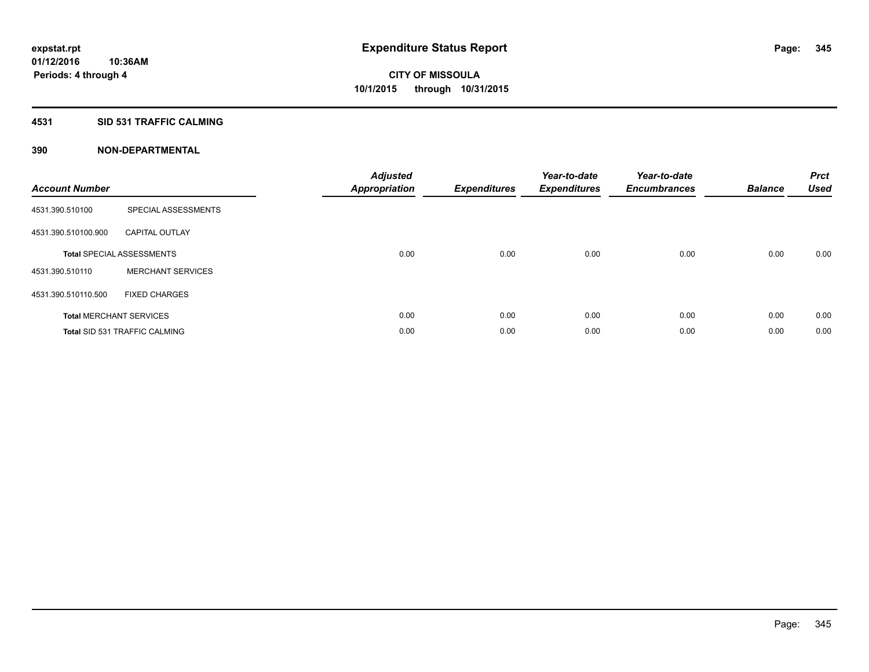## **4531 SID 531 TRAFFIC CALMING**

| <b>Account Number</b> |                                      | <b>Adjusted</b><br>Appropriation | <b>Expenditures</b> | Year-to-date<br><b>Expenditures</b> | Year-to-date<br><b>Encumbrances</b> | <b>Balance</b> | <b>Prct</b><br><b>Used</b> |
|-----------------------|--------------------------------------|----------------------------------|---------------------|-------------------------------------|-------------------------------------|----------------|----------------------------|
| 4531.390.510100       | SPECIAL ASSESSMENTS                  |                                  |                     |                                     |                                     |                |                            |
| 4531.390.510100.900   | <b>CAPITAL OUTLAY</b>                |                                  |                     |                                     |                                     |                |                            |
|                       | <b>Total SPECIAL ASSESSMENTS</b>     | 0.00                             | 0.00                | 0.00                                | 0.00                                | 0.00           | 0.00                       |
| 4531.390.510110       | <b>MERCHANT SERVICES</b>             |                                  |                     |                                     |                                     |                |                            |
| 4531.390.510110.500   | <b>FIXED CHARGES</b>                 |                                  |                     |                                     |                                     |                |                            |
|                       | <b>Total MERCHANT SERVICES</b>       | 0.00                             | 0.00                | 0.00                                | 0.00                                | 0.00           | 0.00                       |
|                       | <b>Total SID 531 TRAFFIC CALMING</b> | 0.00                             | 0.00                | 0.00                                | 0.00                                | 0.00           | 0.00                       |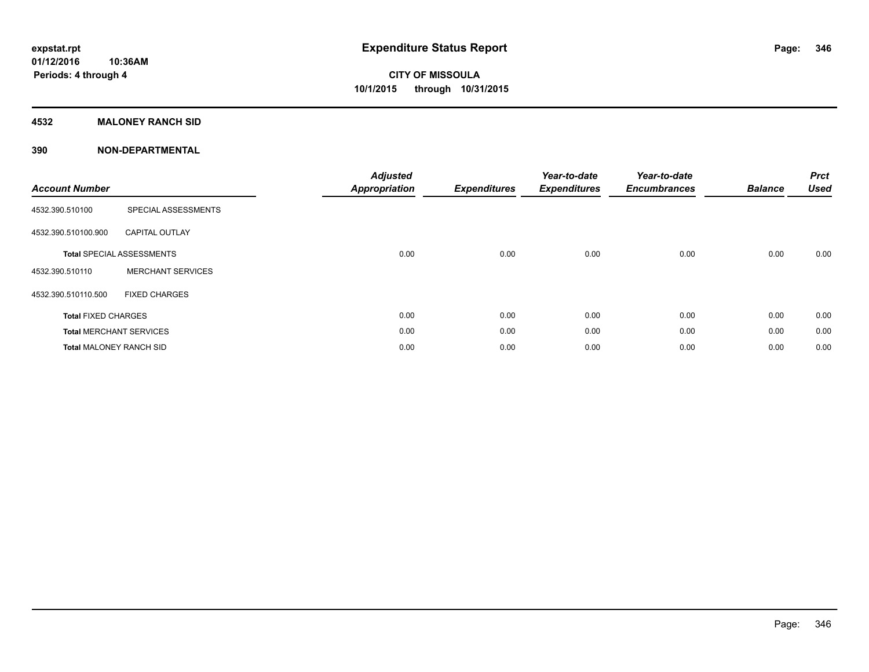## **4532 MALONEY RANCH SID**

| <b>Account Number</b>          |                                  | <b>Adjusted</b><br><b>Appropriation</b> | <b>Expenditures</b> | Year-to-date<br><b>Expenditures</b> | Year-to-date<br><b>Encumbrances</b> | <b>Balance</b> | <b>Prct</b><br><b>Used</b> |
|--------------------------------|----------------------------------|-----------------------------------------|---------------------|-------------------------------------|-------------------------------------|----------------|----------------------------|
| 4532.390.510100                | SPECIAL ASSESSMENTS              |                                         |                     |                                     |                                     |                |                            |
| 4532.390.510100.900            | <b>CAPITAL OUTLAY</b>            |                                         |                     |                                     |                                     |                |                            |
|                                | <b>Total SPECIAL ASSESSMENTS</b> | 0.00                                    | 0.00                | 0.00                                | 0.00                                | 0.00           | 0.00                       |
| 4532.390.510110                | <b>MERCHANT SERVICES</b>         |                                         |                     |                                     |                                     |                |                            |
| 4532.390.510110.500            | <b>FIXED CHARGES</b>             |                                         |                     |                                     |                                     |                |                            |
| <b>Total FIXED CHARGES</b>     |                                  | 0.00                                    | 0.00                | 0.00                                | 0.00                                | 0.00           | 0.00                       |
|                                | <b>Total MERCHANT SERVICES</b>   | 0.00                                    | 0.00                | 0.00                                | 0.00                                | 0.00           | 0.00                       |
| <b>Total MALONEY RANCH SID</b> |                                  | 0.00                                    | 0.00                | 0.00                                | 0.00                                | 0.00           | 0.00                       |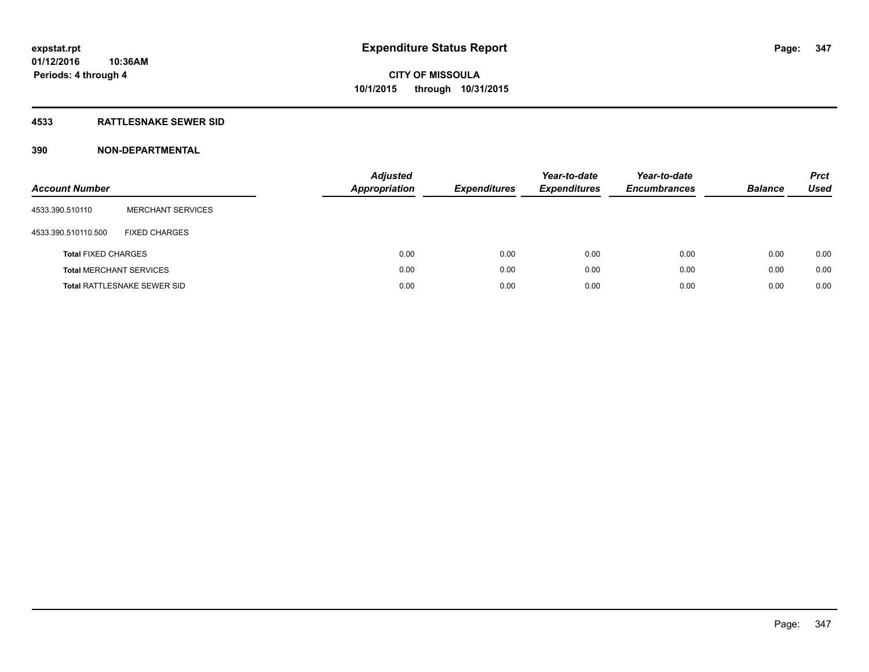## **4533 RATTLESNAKE SEWER SID**

| <b>Account Number</b>          |                                    | <b>Adjusted</b><br><b>Appropriation</b> | <b>Expenditures</b> | Year-to-date<br><b>Expenditures</b> | Year-to-date<br><b>Encumbrances</b> | <b>Balance</b> | <b>Prct</b><br><b>Used</b> |
|--------------------------------|------------------------------------|-----------------------------------------|---------------------|-------------------------------------|-------------------------------------|----------------|----------------------------|
| 4533.390.510110                | <b>MERCHANT SERVICES</b>           |                                         |                     |                                     |                                     |                |                            |
| 4533.390.510110.500            | <b>FIXED CHARGES</b>               |                                         |                     |                                     |                                     |                |                            |
| <b>Total FIXED CHARGES</b>     |                                    | 0.00                                    | 0.00                | 0.00                                | 0.00                                | 0.00           | 0.00                       |
| <b>Total MERCHANT SERVICES</b> |                                    | 0.00                                    | 0.00                | 0.00                                | 0.00                                | 0.00           | 0.00                       |
|                                | <b>Total RATTLESNAKE SEWER SID</b> | 0.00                                    | 0.00                | 0.00                                | 0.00                                | 0.00           | 0.00                       |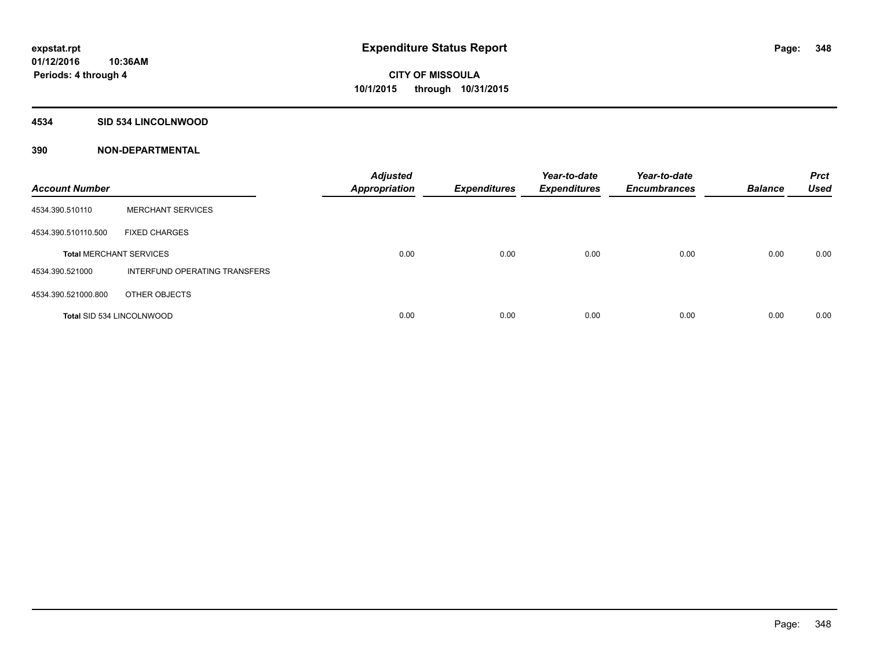## **4534 SID 534 LINCOLNWOOD**

| <b>Account Number</b>            |                               | <b>Adjusted</b><br><b>Appropriation</b> | <b>Expenditures</b> | Year-to-date<br><b>Expenditures</b> | Year-to-date<br><b>Encumbrances</b> | <b>Balance</b> | <b>Prct</b><br><b>Used</b> |
|----------------------------------|-------------------------------|-----------------------------------------|---------------------|-------------------------------------|-------------------------------------|----------------|----------------------------|
| 4534.390.510110                  | <b>MERCHANT SERVICES</b>      |                                         |                     |                                     |                                     |                |                            |
| 4534.390.510110.500              | <b>FIXED CHARGES</b>          |                                         |                     |                                     |                                     |                |                            |
| <b>Total MERCHANT SERVICES</b>   |                               | 0.00                                    | 0.00                | 0.00                                | 0.00                                | 0.00           | 0.00                       |
| 4534.390.521000                  | INTERFUND OPERATING TRANSFERS |                                         |                     |                                     |                                     |                |                            |
| 4534.390.521000.800              | OTHER OBJECTS                 |                                         |                     |                                     |                                     |                |                            |
| <b>Total SID 534 LINCOLNWOOD</b> |                               | 0.00                                    | 0.00                | 0.00                                | 0.00                                | 0.00           | 0.00                       |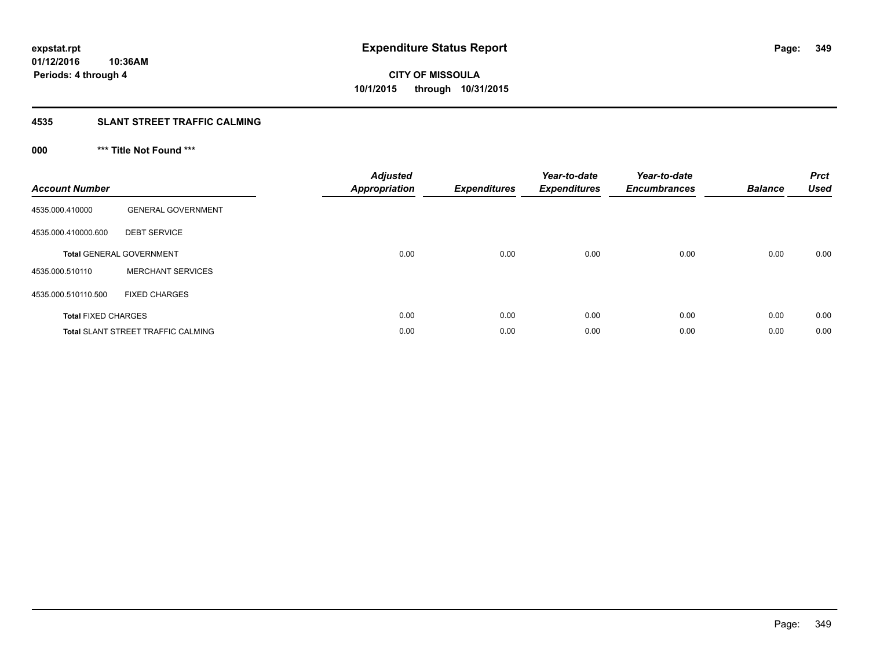## **4535 SLANT STREET TRAFFIC CALMING**

## **000 \*\*\* Title Not Found \*\*\***

| <b>Account Number</b>      |                                           | <b>Adjusted</b><br><b>Appropriation</b> | <b>Expenditures</b> | Year-to-date<br><b>Expenditures</b> | Year-to-date<br><b>Encumbrances</b> | <b>Balance</b> | <b>Prct</b><br><b>Used</b> |
|----------------------------|-------------------------------------------|-----------------------------------------|---------------------|-------------------------------------|-------------------------------------|----------------|----------------------------|
| 4535.000.410000            | <b>GENERAL GOVERNMENT</b>                 |                                         |                     |                                     |                                     |                |                            |
| 4535.000.410000.600        | <b>DEBT SERVICE</b>                       |                                         |                     |                                     |                                     |                |                            |
|                            | <b>Total GENERAL GOVERNMENT</b>           | 0.00                                    | 0.00                | 0.00                                | 0.00                                | 0.00           | 0.00                       |
| 4535.000.510110            | <b>MERCHANT SERVICES</b>                  |                                         |                     |                                     |                                     |                |                            |
| 4535.000.510110.500        | <b>FIXED CHARGES</b>                      |                                         |                     |                                     |                                     |                |                            |
| <b>Total FIXED CHARGES</b> |                                           | 0.00                                    | 0.00                | 0.00                                | 0.00                                | 0.00           | 0.00                       |
|                            | <b>Total SLANT STREET TRAFFIC CALMING</b> | 0.00                                    | 0.00                | 0.00                                | 0.00                                | 0.00           | 0.00                       |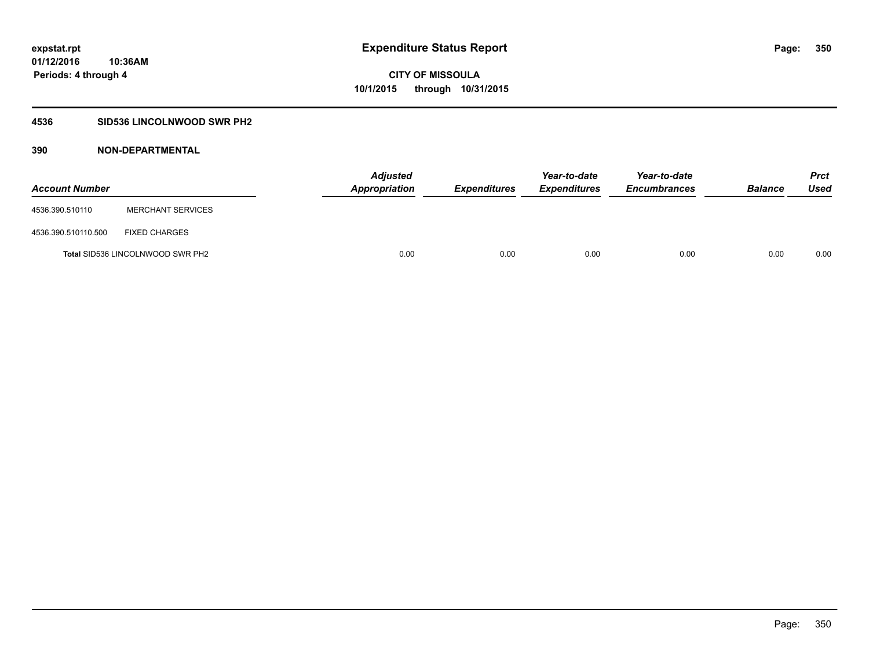## **4536 SID536 LINCOLNWOOD SWR PH2**

| <b>Account Number</b> |                                         | <b>Adjusted</b><br>Appropriation | <b>Expenditures</b> | Year-to-date<br><b>Expenditures</b> | Year-to-date<br><b>Encumbrances</b> | <b>Balance</b> | Prct<br><b>Used</b> |
|-----------------------|-----------------------------------------|----------------------------------|---------------------|-------------------------------------|-------------------------------------|----------------|---------------------|
| 4536.390.510110       | <b>MERCHANT SERVICES</b>                |                                  |                     |                                     |                                     |                |                     |
| 4536.390.510110.500   | <b>FIXED CHARGES</b>                    |                                  |                     |                                     |                                     |                |                     |
|                       | <b>Total SID536 LINCOLNWOOD SWR PH2</b> | 0.00                             | 0.00                | 0.00                                | 0.00                                | 0.00           | 0.00                |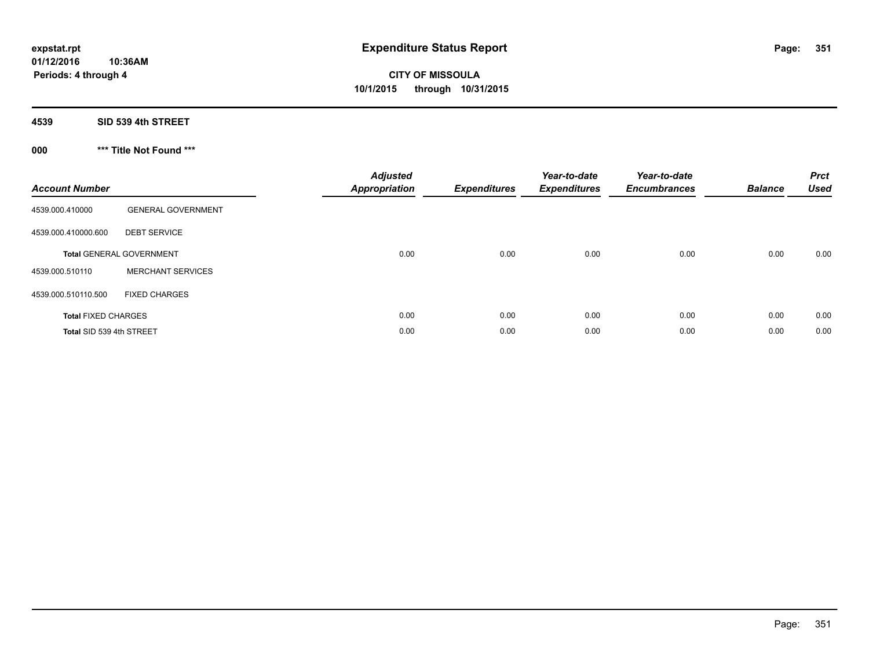**Periods: 4 through 4**

# **CITY OF MISSOULA 10/1/2015 through 10/31/2015**

## **4539 SID 539 4th STREET**

## **000 \*\*\* Title Not Found \*\*\***

| <b>Account Number</b>      |                                 | <b>Adjusted</b><br><b>Appropriation</b> | <b>Expenditures</b> | Year-to-date<br><b>Expenditures</b> | Year-to-date<br><b>Encumbrances</b> | <b>Balance</b> | <b>Prct</b><br><b>Used</b> |
|----------------------------|---------------------------------|-----------------------------------------|---------------------|-------------------------------------|-------------------------------------|----------------|----------------------------|
| 4539.000.410000            | <b>GENERAL GOVERNMENT</b>       |                                         |                     |                                     |                                     |                |                            |
| 4539.000.410000.600        | <b>DEBT SERVICE</b>             |                                         |                     |                                     |                                     |                |                            |
|                            | <b>Total GENERAL GOVERNMENT</b> | 0.00                                    | 0.00                | 0.00                                | 0.00                                | 0.00           | 0.00                       |
| 4539.000.510110            | <b>MERCHANT SERVICES</b>        |                                         |                     |                                     |                                     |                |                            |
| 4539.000.510110.500        | <b>FIXED CHARGES</b>            |                                         |                     |                                     |                                     |                |                            |
| <b>Total FIXED CHARGES</b> |                                 | 0.00                                    | 0.00                | 0.00                                | 0.00                                | 0.00           | 0.00                       |
| Total SID 539 4th STREET   |                                 | 0.00                                    | 0.00                | 0.00                                | 0.00                                | 0.00           | 0.00                       |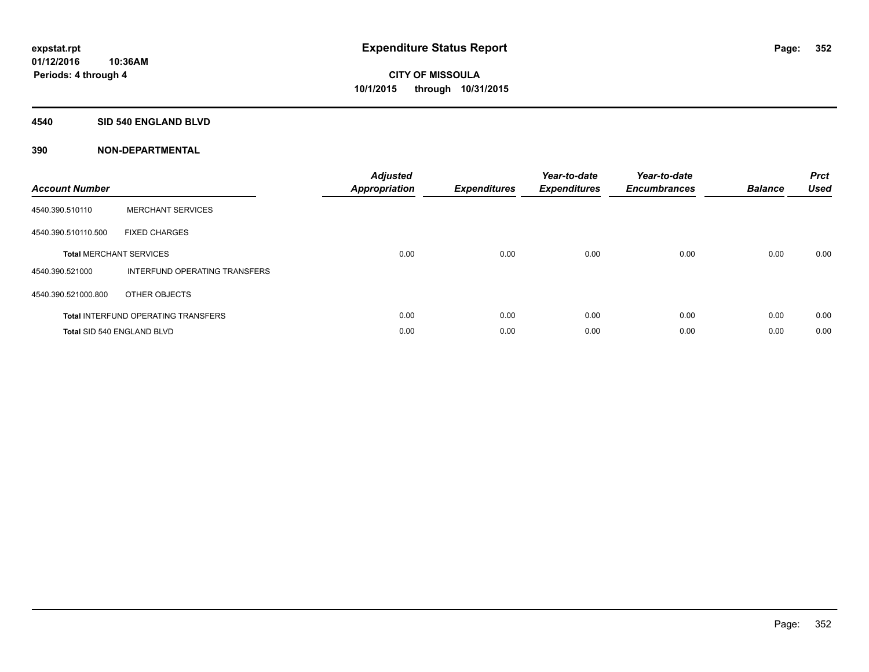### **4540 SID 540 ENGLAND BLVD**

| <b>Account Number</b> |                                            | <b>Adjusted</b><br>Appropriation | <b>Expenditures</b> | Year-to-date<br><b>Expenditures</b> | Year-to-date<br><b>Encumbrances</b> | <b>Balance</b> | <b>Prct</b><br><b>Used</b> |
|-----------------------|--------------------------------------------|----------------------------------|---------------------|-------------------------------------|-------------------------------------|----------------|----------------------------|
| 4540.390.510110       | <b>MERCHANT SERVICES</b>                   |                                  |                     |                                     |                                     |                |                            |
| 4540.390.510110.500   | <b>FIXED CHARGES</b>                       |                                  |                     |                                     |                                     |                |                            |
|                       | <b>Total MERCHANT SERVICES</b>             | 0.00                             | 0.00                | 0.00                                | 0.00                                | 0.00           | 0.00                       |
| 4540.390.521000       | INTERFUND OPERATING TRANSFERS              |                                  |                     |                                     |                                     |                |                            |
| 4540.390.521000.800   | OTHER OBJECTS                              |                                  |                     |                                     |                                     |                |                            |
|                       | <b>Total INTERFUND OPERATING TRANSFERS</b> | 0.00                             | 0.00                | 0.00                                | 0.00                                | 0.00           | 0.00                       |
|                       | Total SID 540 ENGLAND BLVD                 | 0.00                             | 0.00                | 0.00                                | 0.00                                | 0.00           | 0.00                       |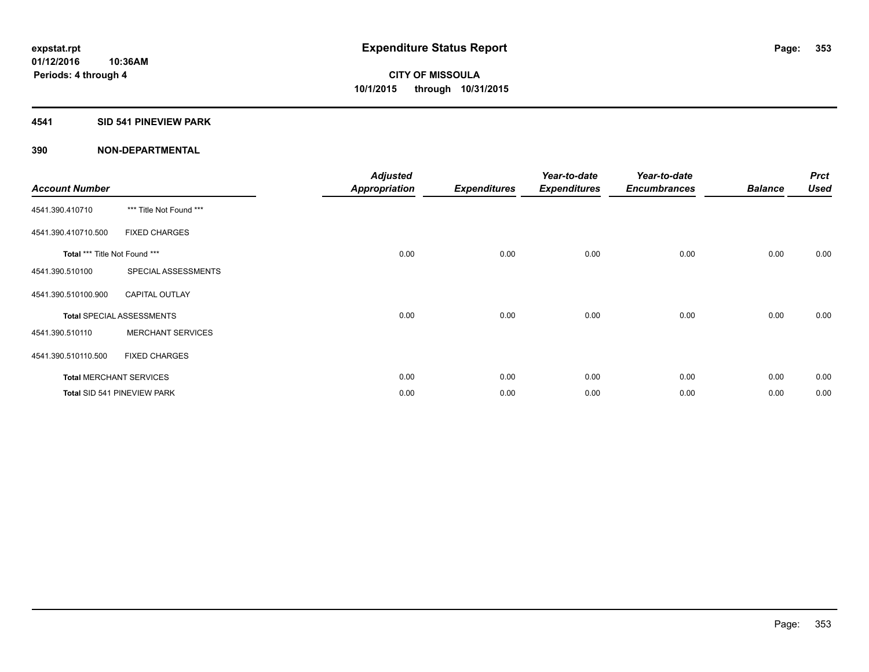## **4541 SID 541 PINEVIEW PARK**

| <b>Account Number</b>         |                                  | <b>Adjusted</b><br><b>Appropriation</b> | <b>Expenditures</b> | Year-to-date<br><b>Expenditures</b> | Year-to-date<br><b>Encumbrances</b> | <b>Balance</b> | <b>Prct</b><br><b>Used</b> |
|-------------------------------|----------------------------------|-----------------------------------------|---------------------|-------------------------------------|-------------------------------------|----------------|----------------------------|
| 4541.390.410710               | *** Title Not Found ***          |                                         |                     |                                     |                                     |                |                            |
| 4541.390.410710.500           | <b>FIXED CHARGES</b>             |                                         |                     |                                     |                                     |                |                            |
| Total *** Title Not Found *** |                                  | 0.00                                    | 0.00                | 0.00                                | 0.00                                | 0.00           | 0.00                       |
| 4541.390.510100               | SPECIAL ASSESSMENTS              |                                         |                     |                                     |                                     |                |                            |
| 4541.390.510100.900           | <b>CAPITAL OUTLAY</b>            |                                         |                     |                                     |                                     |                |                            |
|                               | <b>Total SPECIAL ASSESSMENTS</b> | 0.00                                    | 0.00                | 0.00                                | 0.00                                | 0.00           | 0.00                       |
| 4541.390.510110               | <b>MERCHANT SERVICES</b>         |                                         |                     |                                     |                                     |                |                            |
| 4541.390.510110.500           | <b>FIXED CHARGES</b>             |                                         |                     |                                     |                                     |                |                            |
|                               | <b>Total MERCHANT SERVICES</b>   | 0.00                                    | 0.00                | 0.00                                | 0.00                                | 0.00           | 0.00                       |
|                               | Total SID 541 PINEVIEW PARK      | 0.00                                    | 0.00                | 0.00                                | 0.00                                | 0.00           | 0.00                       |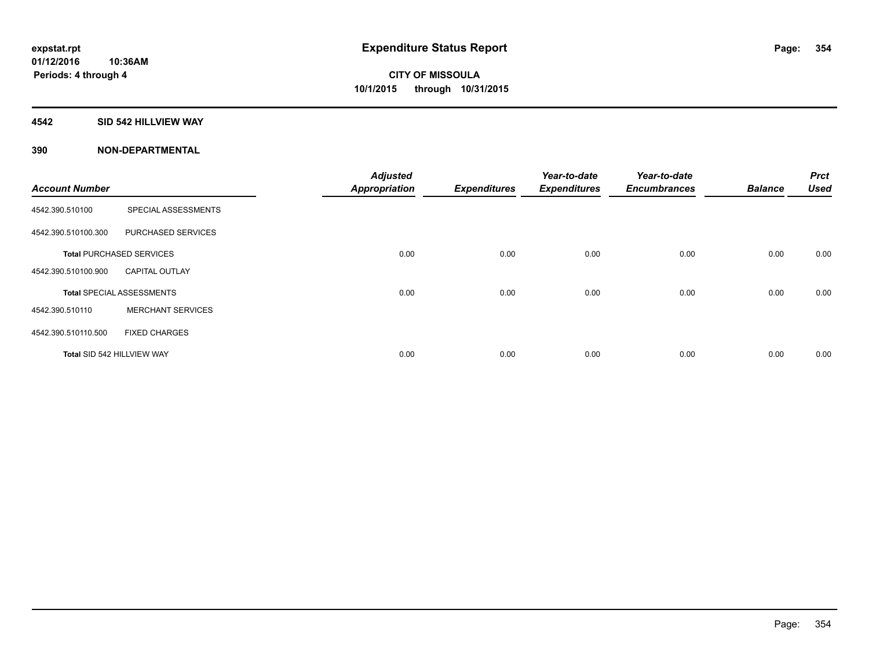## **4542 SID 542 HILLVIEW WAY**

|                            |                                  | <b>Adjusted</b>      |                     | Year-to-date        | Year-to-date        |                | <b>Prct</b> |
|----------------------------|----------------------------------|----------------------|---------------------|---------------------|---------------------|----------------|-------------|
| <b>Account Number</b>      |                                  | <b>Appropriation</b> | <b>Expenditures</b> | <b>Expenditures</b> | <b>Encumbrances</b> | <b>Balance</b> | <b>Used</b> |
| 4542.390.510100            | SPECIAL ASSESSMENTS              |                      |                     |                     |                     |                |             |
| 4542.390.510100.300        | PURCHASED SERVICES               |                      |                     |                     |                     |                |             |
|                            | <b>Total PURCHASED SERVICES</b>  | 0.00                 | 0.00                | 0.00                | 0.00                | 0.00           | 0.00        |
| 4542.390.510100.900        | <b>CAPITAL OUTLAY</b>            |                      |                     |                     |                     |                |             |
|                            | <b>Total SPECIAL ASSESSMENTS</b> | 0.00                 | 0.00                | 0.00                | 0.00                | 0.00           | 0.00        |
| 4542.390.510110            | <b>MERCHANT SERVICES</b>         |                      |                     |                     |                     |                |             |
| 4542.390.510110.500        | <b>FIXED CHARGES</b>             |                      |                     |                     |                     |                |             |
| Total SID 542 HILLVIEW WAY |                                  | 0.00                 | 0.00                | 0.00                | 0.00                | 0.00           | 0.00        |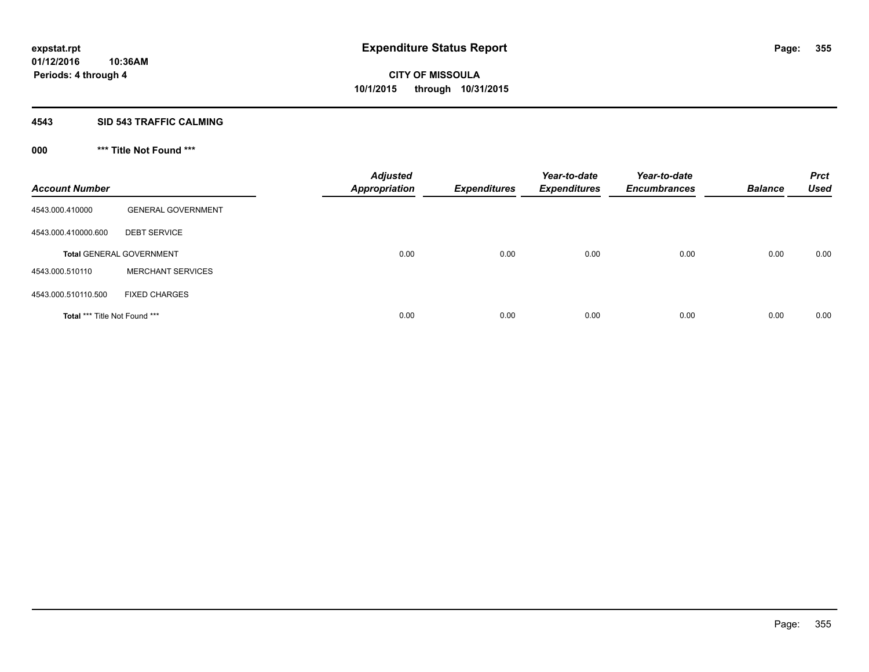## **4543 SID 543 TRAFFIC CALMING**

## **000 \*\*\* Title Not Found \*\*\***

| <b>Account Number</b>         |                                 | <b>Adjusted</b><br><b>Appropriation</b> | <b>Expenditures</b> | Year-to-date<br><b>Expenditures</b> | Year-to-date<br><b>Encumbrances</b> | <b>Balance</b> | <b>Prct</b><br><b>Used</b> |
|-------------------------------|---------------------------------|-----------------------------------------|---------------------|-------------------------------------|-------------------------------------|----------------|----------------------------|
| 4543.000.410000               | <b>GENERAL GOVERNMENT</b>       |                                         |                     |                                     |                                     |                |                            |
| 4543.000.410000.600           | <b>DEBT SERVICE</b>             |                                         |                     |                                     |                                     |                |                            |
|                               | <b>Total GENERAL GOVERNMENT</b> | 0.00                                    | 0.00                | 0.00                                | 0.00                                | 0.00           | 0.00                       |
| 4543.000.510110               | <b>MERCHANT SERVICES</b>        |                                         |                     |                                     |                                     |                |                            |
| 4543.000.510110.500           | <b>FIXED CHARGES</b>            |                                         |                     |                                     |                                     |                |                            |
| Total *** Title Not Found *** |                                 | 0.00                                    | 0.00                | 0.00                                | 0.00                                | 0.00           | 0.00                       |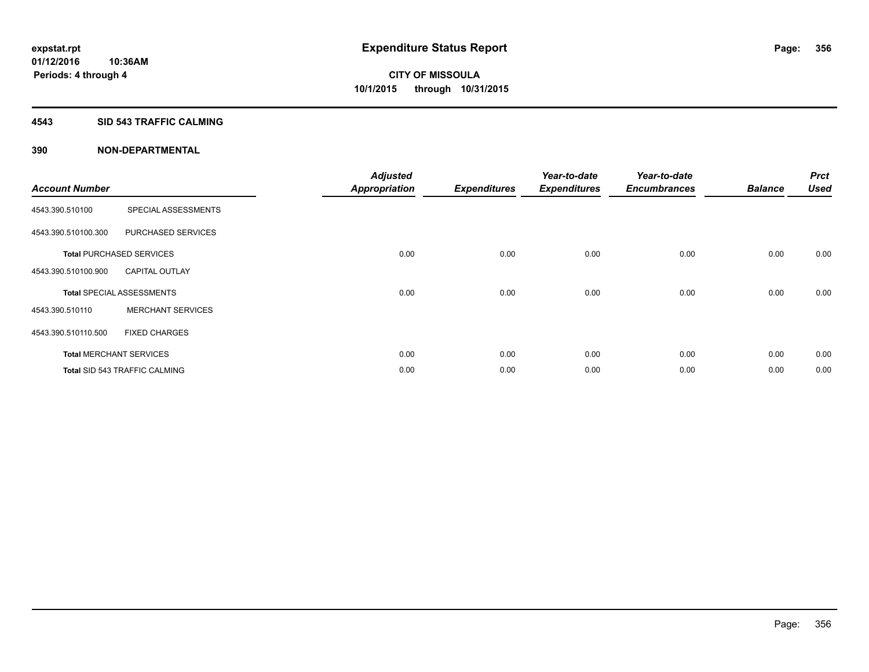## **4543 SID 543 TRAFFIC CALMING**

|                       |                                      | <b>Adjusted</b>      |                     | Year-to-date        | Year-to-date        |                | <b>Prct</b> |
|-----------------------|--------------------------------------|----------------------|---------------------|---------------------|---------------------|----------------|-------------|
| <b>Account Number</b> |                                      | <b>Appropriation</b> | <b>Expenditures</b> | <b>Expenditures</b> | <b>Encumbrances</b> | <b>Balance</b> | <b>Used</b> |
| 4543.390.510100       | SPECIAL ASSESSMENTS                  |                      |                     |                     |                     |                |             |
| 4543.390.510100.300   | PURCHASED SERVICES                   |                      |                     |                     |                     |                |             |
|                       | <b>Total PURCHASED SERVICES</b>      | 0.00                 | 0.00                | 0.00                | 0.00                | 0.00           | 0.00        |
| 4543.390.510100.900   | <b>CAPITAL OUTLAY</b>                |                      |                     |                     |                     |                |             |
|                       | <b>Total SPECIAL ASSESSMENTS</b>     | 0.00                 | 0.00                | 0.00                | 0.00                | 0.00           | 0.00        |
| 4543.390.510110       | <b>MERCHANT SERVICES</b>             |                      |                     |                     |                     |                |             |
| 4543.390.510110.500   | <b>FIXED CHARGES</b>                 |                      |                     |                     |                     |                |             |
|                       | <b>Total MERCHANT SERVICES</b>       | 0.00                 | 0.00                | 0.00                | 0.00                | 0.00           | 0.00        |
|                       | <b>Total SID 543 TRAFFIC CALMING</b> | 0.00                 | 0.00                | 0.00                | 0.00                | 0.00           | 0.00        |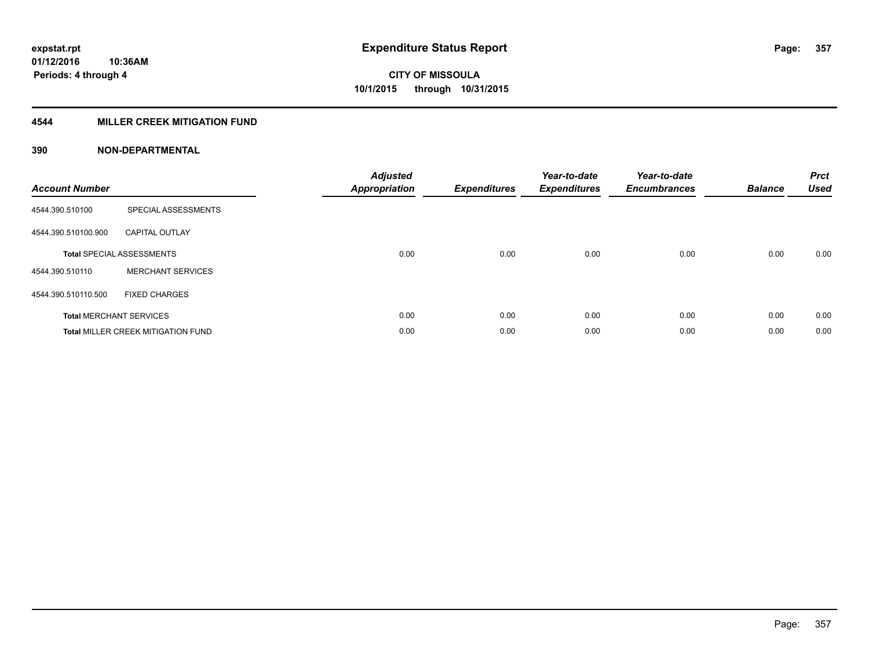## **4544 MILLER CREEK MITIGATION FUND**

| <b>Account Number</b> |                                           | <b>Adjusted</b><br><b>Appropriation</b> | <b>Expenditures</b> | Year-to-date<br><b>Expenditures</b> | Year-to-date<br><b>Encumbrances</b> | <b>Balance</b> | <b>Prct</b><br><b>Used</b> |
|-----------------------|-------------------------------------------|-----------------------------------------|---------------------|-------------------------------------|-------------------------------------|----------------|----------------------------|
| 4544.390.510100       | SPECIAL ASSESSMENTS                       |                                         |                     |                                     |                                     |                |                            |
| 4544.390.510100.900   | <b>CAPITAL OUTLAY</b>                     |                                         |                     |                                     |                                     |                |                            |
|                       | <b>Total SPECIAL ASSESSMENTS</b>          | 0.00                                    | 0.00                | 0.00                                | 0.00                                | 0.00           | 0.00                       |
| 4544.390.510110       | <b>MERCHANT SERVICES</b>                  |                                         |                     |                                     |                                     |                |                            |
| 4544.390.510110.500   | <b>FIXED CHARGES</b>                      |                                         |                     |                                     |                                     |                |                            |
|                       | <b>Total MERCHANT SERVICES</b>            | 0.00                                    | 0.00                | 0.00                                | 0.00                                | 0.00           | 0.00                       |
|                       | <b>Total MILLER CREEK MITIGATION FUND</b> | 0.00                                    | 0.00                | 0.00                                | 0.00                                | 0.00           | 0.00                       |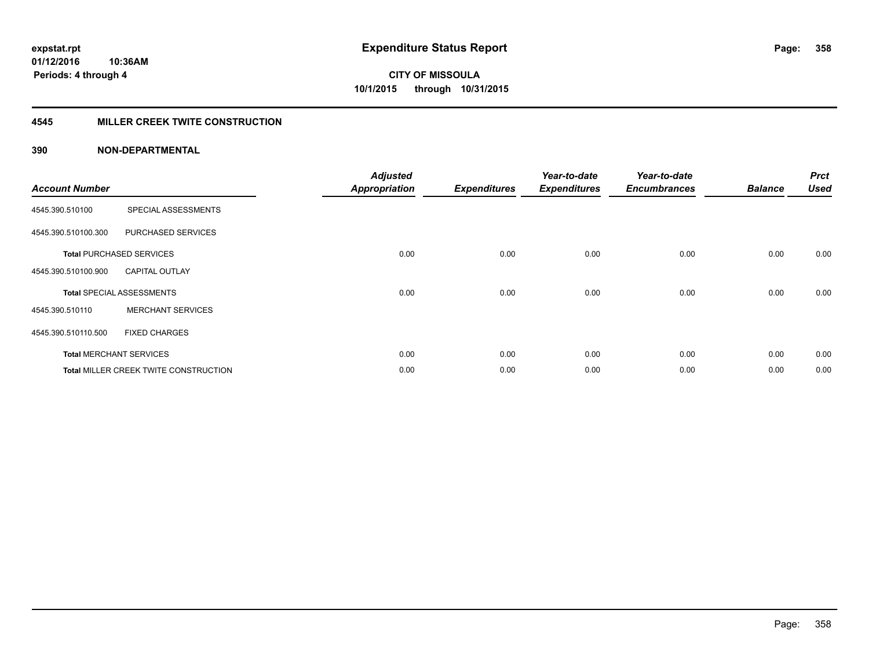## **4545 MILLER CREEK TWITE CONSTRUCTION**

| <b>Account Number</b> |                                              | <b>Adjusted</b><br><b>Appropriation</b> | <b>Expenditures</b> | Year-to-date<br><b>Expenditures</b> | Year-to-date<br><b>Encumbrances</b> | <b>Balance</b> | <b>Prct</b><br><b>Used</b> |
|-----------------------|----------------------------------------------|-----------------------------------------|---------------------|-------------------------------------|-------------------------------------|----------------|----------------------------|
| 4545.390.510100       | SPECIAL ASSESSMENTS                          |                                         |                     |                                     |                                     |                |                            |
| 4545.390.510100.300   | PURCHASED SERVICES                           |                                         |                     |                                     |                                     |                |                            |
|                       | <b>Total PURCHASED SERVICES</b>              | 0.00                                    | 0.00                | 0.00                                | 0.00                                | 0.00           | 0.00                       |
| 4545.390.510100.900   | <b>CAPITAL OUTLAY</b>                        |                                         |                     |                                     |                                     |                |                            |
|                       | <b>Total SPECIAL ASSESSMENTS</b>             | 0.00                                    | 0.00                | 0.00                                | 0.00                                | 0.00           | 0.00                       |
| 4545.390.510110       | <b>MERCHANT SERVICES</b>                     |                                         |                     |                                     |                                     |                |                            |
| 4545.390.510110.500   | <b>FIXED CHARGES</b>                         |                                         |                     |                                     |                                     |                |                            |
|                       | <b>Total MERCHANT SERVICES</b>               | 0.00                                    | 0.00                | 0.00                                | 0.00                                | 0.00           | 0.00                       |
|                       | <b>Total MILLER CREEK TWITE CONSTRUCTION</b> | 0.00                                    | 0.00                | 0.00                                | 0.00                                | 0.00           | 0.00                       |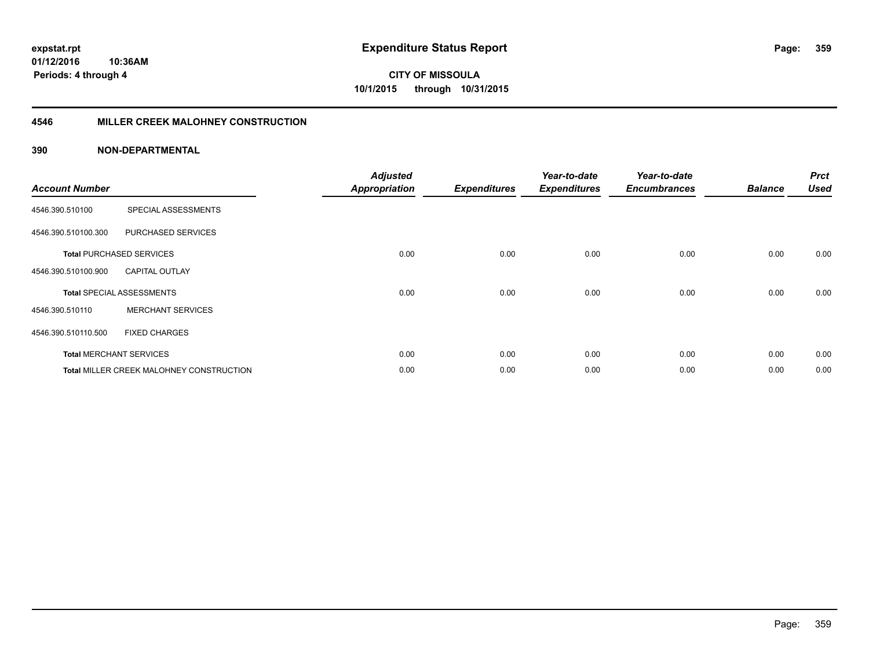## **4546 MILLER CREEK MALOHNEY CONSTRUCTION**

| <b>Account Number</b> |                                                 | <b>Adjusted</b><br><b>Appropriation</b> | <b>Expenditures</b> | Year-to-date<br><b>Expenditures</b> | Year-to-date<br><b>Encumbrances</b> | <b>Balance</b> | <b>Prct</b><br><b>Used</b> |
|-----------------------|-------------------------------------------------|-----------------------------------------|---------------------|-------------------------------------|-------------------------------------|----------------|----------------------------|
| 4546.390.510100       | SPECIAL ASSESSMENTS                             |                                         |                     |                                     |                                     |                |                            |
| 4546.390.510100.300   | <b>PURCHASED SERVICES</b>                       |                                         |                     |                                     |                                     |                |                            |
|                       | <b>Total PURCHASED SERVICES</b>                 | 0.00                                    | 0.00                | 0.00                                | 0.00                                | 0.00           | 0.00                       |
| 4546.390.510100.900   | <b>CAPITAL OUTLAY</b>                           |                                         |                     |                                     |                                     |                |                            |
|                       | <b>Total SPECIAL ASSESSMENTS</b>                | 0.00                                    | 0.00                | 0.00                                | 0.00                                | 0.00           | 0.00                       |
| 4546.390.510110       | <b>MERCHANT SERVICES</b>                        |                                         |                     |                                     |                                     |                |                            |
| 4546.390.510110.500   | <b>FIXED CHARGES</b>                            |                                         |                     |                                     |                                     |                |                            |
|                       | <b>Total MERCHANT SERVICES</b>                  | 0.00                                    | 0.00                | 0.00                                | 0.00                                | 0.00           | 0.00                       |
|                       | <b>Total MILLER CREEK MALOHNEY CONSTRUCTION</b> | 0.00                                    | 0.00                | 0.00                                | 0.00                                | 0.00           | 0.00                       |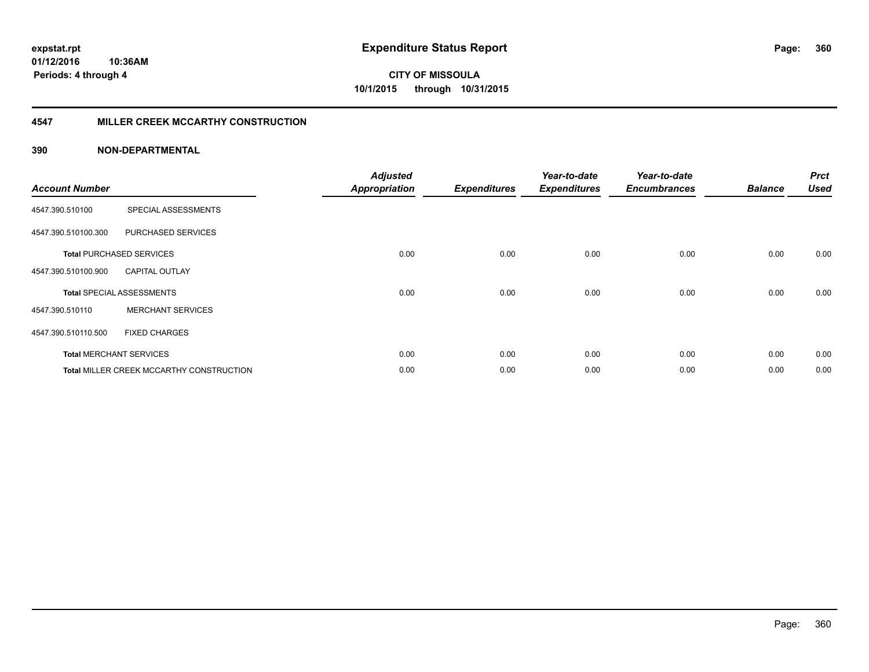## **4547 MILLER CREEK MCCARTHY CONSTRUCTION**

| <b>Account Number</b> |                                                 | <b>Adjusted</b><br><b>Appropriation</b> | <b>Expenditures</b> | Year-to-date<br><b>Expenditures</b> | Year-to-date<br><b>Encumbrances</b> | <b>Balance</b> | <b>Prct</b><br><b>Used</b> |
|-----------------------|-------------------------------------------------|-----------------------------------------|---------------------|-------------------------------------|-------------------------------------|----------------|----------------------------|
| 4547.390.510100       | SPECIAL ASSESSMENTS                             |                                         |                     |                                     |                                     |                |                            |
| 4547.390.510100.300   | <b>PURCHASED SERVICES</b>                       |                                         |                     |                                     |                                     |                |                            |
|                       | <b>Total PURCHASED SERVICES</b>                 | 0.00                                    | 0.00                | 0.00                                | 0.00                                | 0.00           | 0.00                       |
| 4547.390.510100.900   | <b>CAPITAL OUTLAY</b>                           |                                         |                     |                                     |                                     |                |                            |
|                       | <b>Total SPECIAL ASSESSMENTS</b>                | 0.00                                    | 0.00                | 0.00                                | 0.00                                | 0.00           | 0.00                       |
| 4547.390.510110       | <b>MERCHANT SERVICES</b>                        |                                         |                     |                                     |                                     |                |                            |
| 4547.390.510110.500   | <b>FIXED CHARGES</b>                            |                                         |                     |                                     |                                     |                |                            |
|                       | <b>Total MERCHANT SERVICES</b>                  | 0.00                                    | 0.00                | 0.00                                | 0.00                                | 0.00           | 0.00                       |
|                       | <b>Total MILLER CREEK MCCARTHY CONSTRUCTION</b> | 0.00                                    | 0.00                | 0.00                                | 0.00                                | 0.00           | 0.00                       |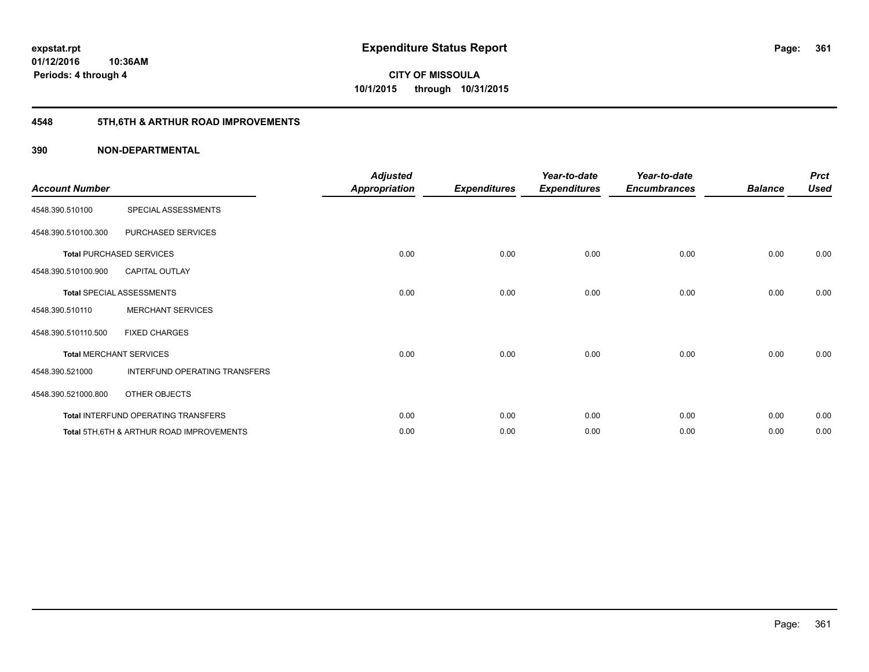## **4548 5TH,6TH & ARTHUR ROAD IMPROVEMENTS**

| <b>Account Number</b> |                                           | <b>Adjusted</b><br>Appropriation | <b>Expenditures</b> | Year-to-date<br><b>Expenditures</b> | Year-to-date<br><b>Encumbrances</b> | <b>Balance</b> | <b>Prct</b><br><b>Used</b> |
|-----------------------|-------------------------------------------|----------------------------------|---------------------|-------------------------------------|-------------------------------------|----------------|----------------------------|
| 4548.390.510100       | SPECIAL ASSESSMENTS                       |                                  |                     |                                     |                                     |                |                            |
| 4548.390.510100.300   | PURCHASED SERVICES                        |                                  |                     |                                     |                                     |                |                            |
|                       | <b>Total PURCHASED SERVICES</b>           | 0.00                             | 0.00                | 0.00                                | 0.00                                | 0.00           | 0.00                       |
| 4548.390.510100.900   | <b>CAPITAL OUTLAY</b>                     |                                  |                     |                                     |                                     |                |                            |
|                       | Total SPECIAL ASSESSMENTS                 | 0.00                             | 0.00                | 0.00                                | 0.00                                | 0.00           | 0.00                       |
| 4548.390.510110       | <b>MERCHANT SERVICES</b>                  |                                  |                     |                                     |                                     |                |                            |
| 4548.390.510110.500   | <b>FIXED CHARGES</b>                      |                                  |                     |                                     |                                     |                |                            |
|                       | <b>Total MERCHANT SERVICES</b>            | 0.00                             | 0.00                | 0.00                                | 0.00                                | 0.00           | 0.00                       |
| 4548.390.521000       | INTERFUND OPERATING TRANSFERS             |                                  |                     |                                     |                                     |                |                            |
| 4548.390.521000.800   | OTHER OBJECTS                             |                                  |                     |                                     |                                     |                |                            |
|                       | Total INTERFUND OPERATING TRANSFERS       | 0.00                             | 0.00                | 0.00                                | 0.00                                | 0.00           | 0.00                       |
|                       | Total 5TH, 6TH & ARTHUR ROAD IMPROVEMENTS | 0.00                             | 0.00                | 0.00                                | 0.00                                | 0.00           | 0.00                       |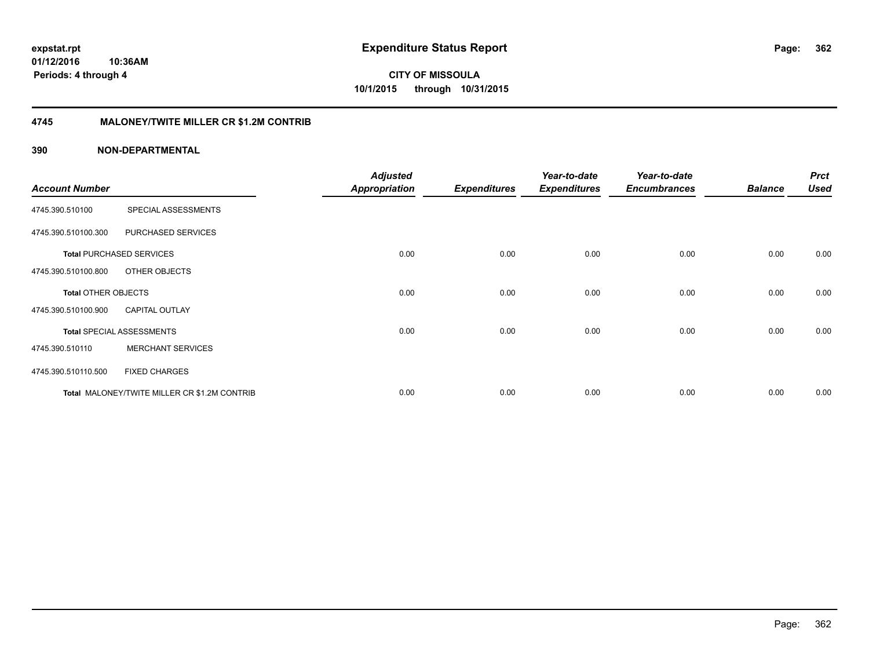**362**

**01/12/2016 10:36AM Periods: 4 through 4**

**CITY OF MISSOULA 10/1/2015 through 10/31/2015**

## **4745 MALONEY/TWITE MILLER CR \$1.2M CONTRIB**

|                            |                                              | <b>Adjusted</b>      |                     | Year-to-date        | Year-to-date        |                | <b>Prct</b> |
|----------------------------|----------------------------------------------|----------------------|---------------------|---------------------|---------------------|----------------|-------------|
| <b>Account Number</b>      |                                              | <b>Appropriation</b> | <b>Expenditures</b> | <b>Expenditures</b> | <b>Encumbrances</b> | <b>Balance</b> | <b>Used</b> |
| 4745.390.510100            | SPECIAL ASSESSMENTS                          |                      |                     |                     |                     |                |             |
| 4745.390.510100.300        | PURCHASED SERVICES                           |                      |                     |                     |                     |                |             |
|                            | <b>Total PURCHASED SERVICES</b>              | 0.00                 | 0.00                | 0.00                | 0.00                | 0.00           | 0.00        |
| 4745.390.510100.800        | OTHER OBJECTS                                |                      |                     |                     |                     |                |             |
| <b>Total OTHER OBJECTS</b> |                                              | 0.00                 | 0.00                | 0.00                | 0.00                | 0.00           | 0.00        |
| 4745.390.510100.900        | <b>CAPITAL OUTLAY</b>                        |                      |                     |                     |                     |                |             |
|                            | <b>Total SPECIAL ASSESSMENTS</b>             | 0.00                 | 0.00                | 0.00                | 0.00                | 0.00           | 0.00        |
| 4745.390.510110            | <b>MERCHANT SERVICES</b>                     |                      |                     |                     |                     |                |             |
| 4745.390.510110.500        | <b>FIXED CHARGES</b>                         |                      |                     |                     |                     |                |             |
|                            | Total MALONEY/TWITE MILLER CR \$1.2M CONTRIB | 0.00                 | 0.00                | 0.00                | 0.00                | 0.00           | 0.00        |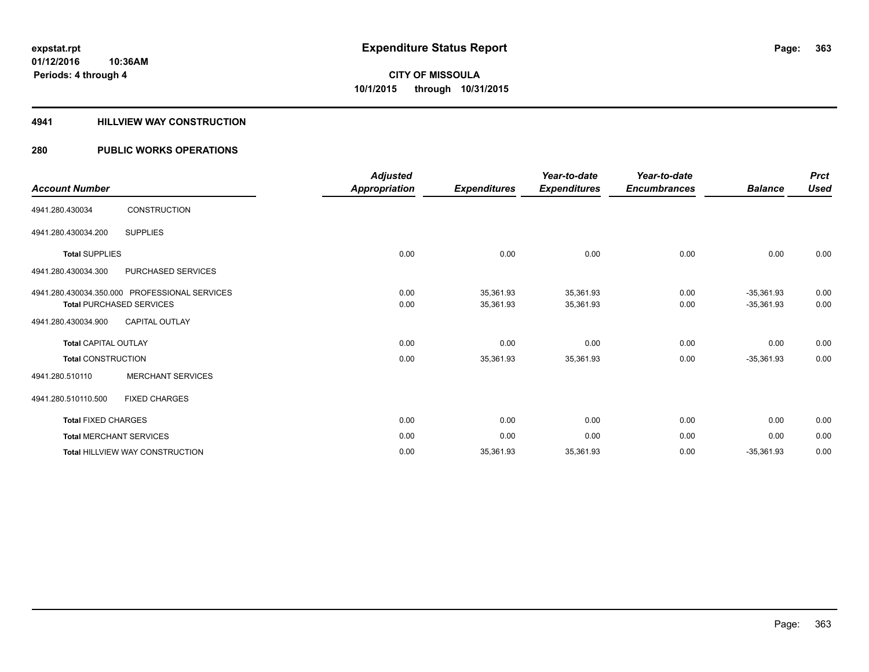## **4941 HILLVIEW WAY CONSTRUCTION**

## **280 PUBLIC WORKS OPERATIONS**

| <b>Account Number</b>           |                                               | <b>Adjusted</b><br>Appropriation | <b>Expenditures</b> | Year-to-date<br><b>Expenditures</b> | Year-to-date<br><b>Encumbrances</b> | <b>Balance</b> | <b>Prct</b><br><b>Used</b> |
|---------------------------------|-----------------------------------------------|----------------------------------|---------------------|-------------------------------------|-------------------------------------|----------------|----------------------------|
| 4941.280.430034                 | <b>CONSTRUCTION</b>                           |                                  |                     |                                     |                                     |                |                            |
| 4941.280.430034.200             | <b>SUPPLIES</b>                               |                                  |                     |                                     |                                     |                |                            |
| <b>Total SUPPLIES</b>           |                                               | 0.00                             | 0.00                | 0.00                                | 0.00                                | 0.00           | 0.00                       |
| 4941.280.430034.300             | <b>PURCHASED SERVICES</b>                     |                                  |                     |                                     |                                     |                |                            |
|                                 | 4941.280.430034.350.000 PROFESSIONAL SERVICES | 0.00                             | 35,361.93           | 35,361.93                           | 0.00                                | $-35,361.93$   | 0.00                       |
| <b>Total PURCHASED SERVICES</b> |                                               | 0.00                             | 35,361.93           | 35,361.93                           | 0.00                                | $-35,361.93$   | 0.00                       |
| 4941.280.430034.900             | <b>CAPITAL OUTLAY</b>                         |                                  |                     |                                     |                                     |                |                            |
| <b>Total CAPITAL OUTLAY</b>     |                                               | 0.00                             | 0.00                | 0.00                                | 0.00                                | 0.00           | 0.00                       |
| <b>Total CONSTRUCTION</b>       |                                               | 0.00                             | 35,361.93           | 35,361.93                           | 0.00                                | $-35,361.93$   | 0.00                       |
| 4941.280.510110                 | <b>MERCHANT SERVICES</b>                      |                                  |                     |                                     |                                     |                |                            |
| 4941.280.510110.500             | <b>FIXED CHARGES</b>                          |                                  |                     |                                     |                                     |                |                            |
| <b>Total FIXED CHARGES</b>      |                                               | 0.00                             | 0.00                | 0.00                                | 0.00                                | 0.00           | 0.00                       |
| <b>Total MERCHANT SERVICES</b>  |                                               | 0.00                             | 0.00                | 0.00                                | 0.00                                | 0.00           | 0.00                       |
|                                 | <b>Total HILLVIEW WAY CONSTRUCTION</b>        | 0.00                             | 35,361.93           | 35,361.93                           | 0.00                                | $-35,361.93$   | 0.00                       |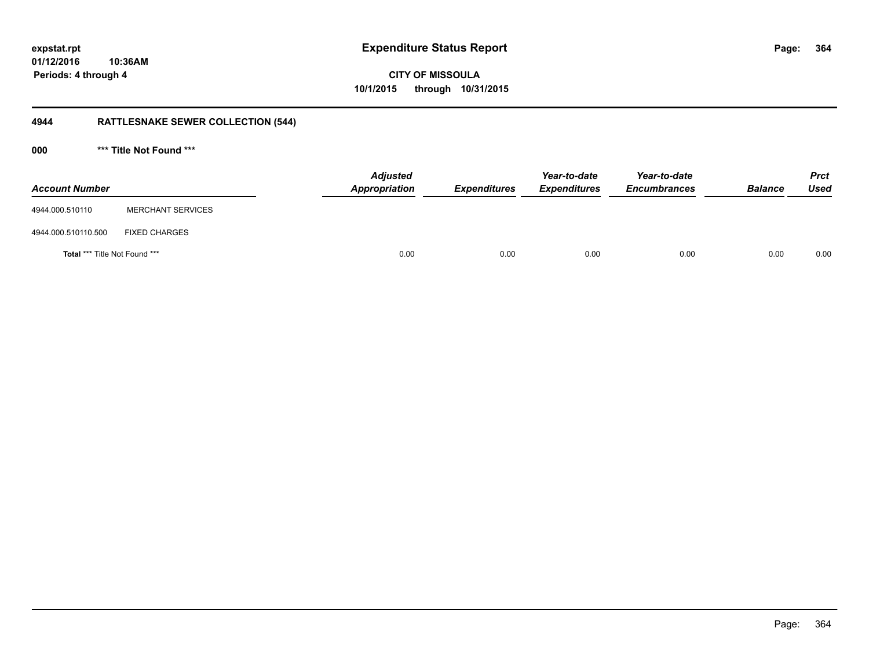**01/12/2016 10:36AM Periods: 4 through 4**

**CITY OF MISSOULA 10/1/2015 through 10/31/2015**

## **4944 RATTLESNAKE SEWER COLLECTION (544)**

**000 \*\*\* Title Not Found \*\*\***

| <b>Account Number</b>                |                          | <b>Adjusted</b><br>Appropriation | <b>Expenditures</b> | Year-to-date<br><b>Expenditures</b> | Year-to-date<br><b>Encumbrances</b> | <b>Balance</b> | <b>Prct</b><br><b>Used</b> |
|--------------------------------------|--------------------------|----------------------------------|---------------------|-------------------------------------|-------------------------------------|----------------|----------------------------|
| 4944.000.510110                      | <b>MERCHANT SERVICES</b> |                                  |                     |                                     |                                     |                |                            |
| 4944.000.510110.500                  | <b>FIXED CHARGES</b>     |                                  |                     |                                     |                                     |                |                            |
| <b>Total *** Title Not Found ***</b> |                          | 0.00                             | 0.00                | 0.00                                | 0.00                                | 0.00           | 0.00                       |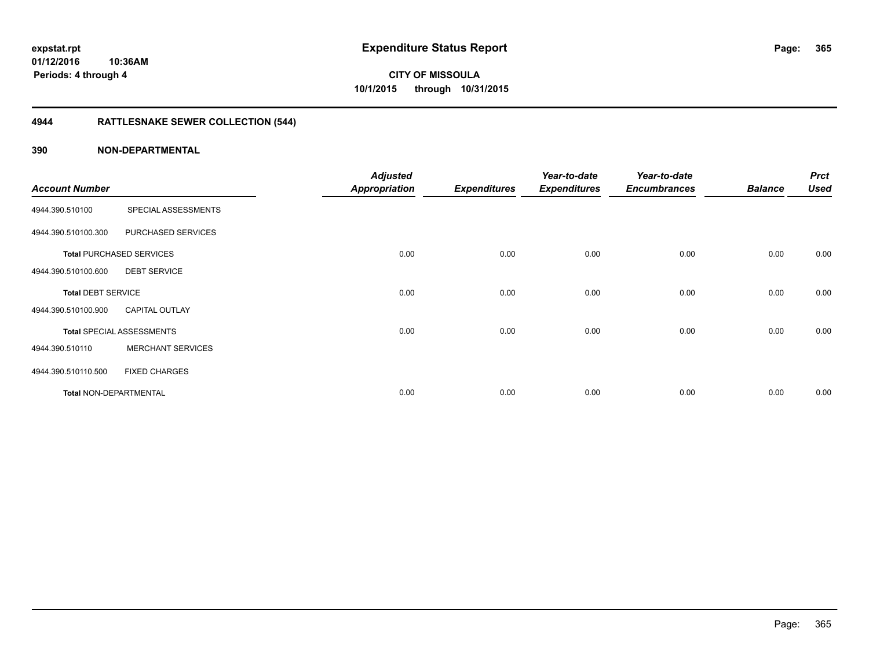## **4944 RATTLESNAKE SEWER COLLECTION (544)**

|                               |                                  | <b>Adjusted</b>      |                     | Year-to-date        | Year-to-date        |                | <b>Prct</b> |
|-------------------------------|----------------------------------|----------------------|---------------------|---------------------|---------------------|----------------|-------------|
| <b>Account Number</b>         |                                  | <b>Appropriation</b> | <b>Expenditures</b> | <b>Expenditures</b> | <b>Encumbrances</b> | <b>Balance</b> | <b>Used</b> |
| 4944.390.510100               | SPECIAL ASSESSMENTS              |                      |                     |                     |                     |                |             |
| 4944.390.510100.300           | PURCHASED SERVICES               |                      |                     |                     |                     |                |             |
|                               | <b>Total PURCHASED SERVICES</b>  | 0.00                 | 0.00                | 0.00                | 0.00                | 0.00           | 0.00        |
| 4944.390.510100.600           | <b>DEBT SERVICE</b>              |                      |                     |                     |                     |                |             |
| <b>Total DEBT SERVICE</b>     |                                  | 0.00                 | 0.00                | 0.00                | 0.00                | 0.00           | 0.00        |
| 4944.390.510100.900           | <b>CAPITAL OUTLAY</b>            |                      |                     |                     |                     |                |             |
|                               | <b>Total SPECIAL ASSESSMENTS</b> | 0.00                 | 0.00                | 0.00                | 0.00                | 0.00           | 0.00        |
| 4944.390.510110               | <b>MERCHANT SERVICES</b>         |                      |                     |                     |                     |                |             |
| 4944.390.510110.500           | <b>FIXED CHARGES</b>             |                      |                     |                     |                     |                |             |
| <b>Total NON-DEPARTMENTAL</b> |                                  | 0.00                 | 0.00                | 0.00                | 0.00                | 0.00           | 0.00        |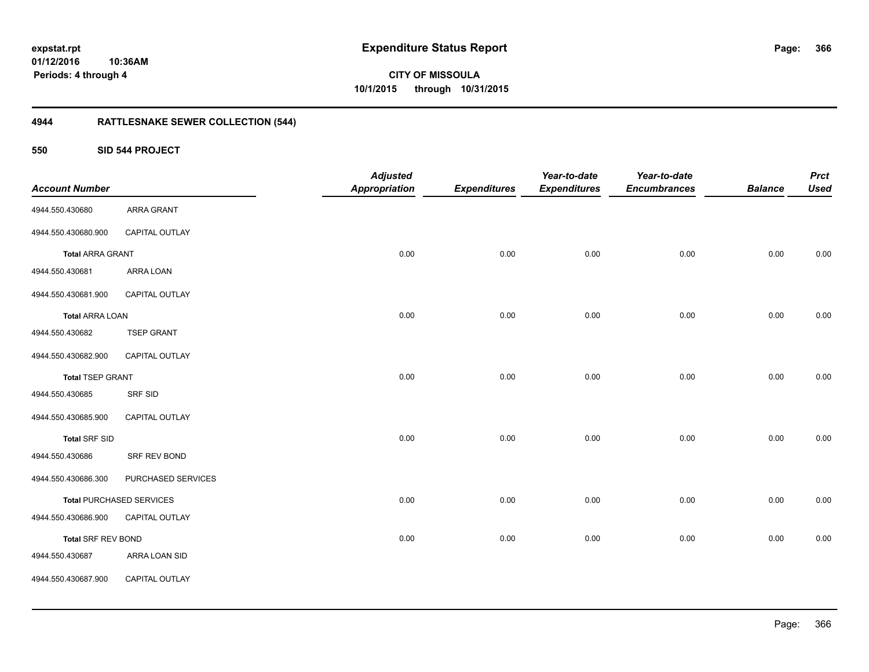**01/12/2016 10:36AM Periods: 4 through 4**

**CITY OF MISSOULA 10/1/2015 through 10/31/2015**

## **4944 RATTLESNAKE SEWER COLLECTION (544)**

## **550 SID 544 PROJECT**

|                           |                                 | <b>Adjusted</b>      |                     | Year-to-date        | Year-to-date        |                | <b>Prct</b> |
|---------------------------|---------------------------------|----------------------|---------------------|---------------------|---------------------|----------------|-------------|
| <b>Account Number</b>     |                                 | <b>Appropriation</b> | <b>Expenditures</b> | <b>Expenditures</b> | <b>Encumbrances</b> | <b>Balance</b> | <b>Used</b> |
| 4944.550.430680           | <b>ARRA GRANT</b>               |                      |                     |                     |                     |                |             |
| 4944.550.430680.900       | <b>CAPITAL OUTLAY</b>           |                      |                     |                     |                     |                |             |
| <b>Total ARRA GRANT</b>   |                                 | 0.00                 | 0.00                | 0.00                | 0.00                | 0.00           | 0.00        |
| 4944.550.430681           | ARRA LOAN                       |                      |                     |                     |                     |                |             |
| 4944.550.430681.900       | CAPITAL OUTLAY                  |                      |                     |                     |                     |                |             |
| <b>Total ARRA LOAN</b>    |                                 | 0.00                 | 0.00                | 0.00                | 0.00                | 0.00           | 0.00        |
| 4944.550.430682           | <b>TSEP GRANT</b>               |                      |                     |                     |                     |                |             |
| 4944.550.430682.900       | <b>CAPITAL OUTLAY</b>           |                      |                     |                     |                     |                |             |
| <b>Total TSEP GRANT</b>   |                                 | 0.00                 | 0.00                | 0.00                | 0.00                | 0.00           | 0.00        |
| 4944.550.430685           | <b>SRF SID</b>                  |                      |                     |                     |                     |                |             |
| 4944.550.430685.900       | CAPITAL OUTLAY                  |                      |                     |                     |                     |                |             |
| Total SRF SID             |                                 | 0.00                 | 0.00                | 0.00                | 0.00                | 0.00           | 0.00        |
| 4944.550.430686           | SRF REV BOND                    |                      |                     |                     |                     |                |             |
| 4944.550.430686.300       | PURCHASED SERVICES              |                      |                     |                     |                     |                |             |
|                           | <b>Total PURCHASED SERVICES</b> | 0.00                 | 0.00                | 0.00                | 0.00                | 0.00           | 0.00        |
| 4944.550.430686.900       | CAPITAL OUTLAY                  |                      |                     |                     |                     |                |             |
| <b>Total SRF REV BOND</b> |                                 | 0.00                 | 0.00                | 0.00                | 0.00                | 0.00           | 0.00        |
| 4944.550.430687           | ARRA LOAN SID                   |                      |                     |                     |                     |                |             |
| 4944.550.430687.900       | CAPITAL OUTLAY                  |                      |                     |                     |                     |                |             |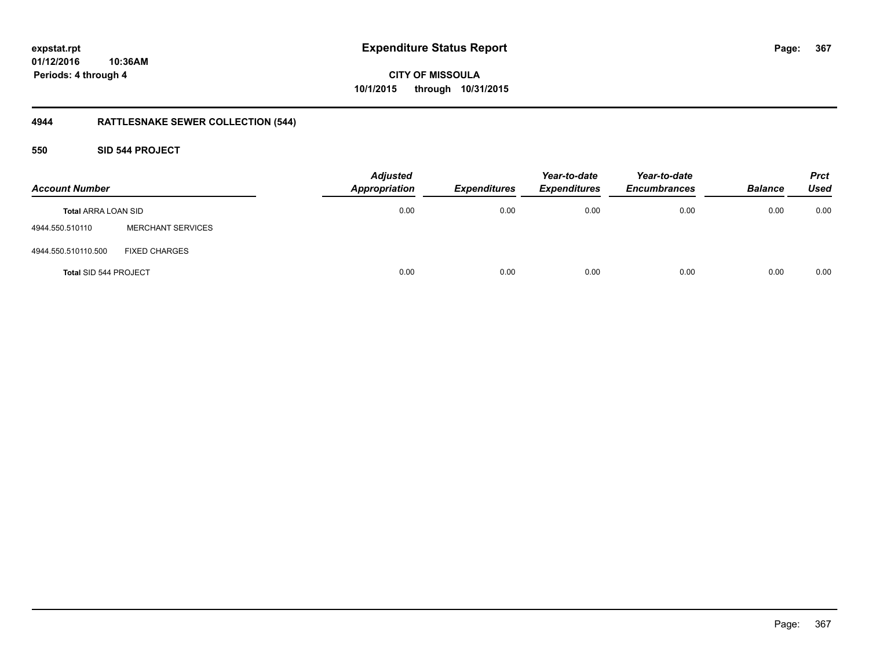**367**

**01/12/2016 10:36AM Periods: 4 through 4**

**CITY OF MISSOULA 10/1/2015 through 10/31/2015**

## **4944 RATTLESNAKE SEWER COLLECTION (544)**

**550 SID 544 PROJECT**

| <b>Account Number</b>      |                          | <b>Adjusted</b><br><b>Appropriation</b> | <b>Expenditures</b> | Year-to-date<br><b>Expenditures</b> | Year-to-date<br><b>Encumbrances</b> | <b>Balance</b> | <b>Prct</b><br><b>Used</b> |
|----------------------------|--------------------------|-----------------------------------------|---------------------|-------------------------------------|-------------------------------------|----------------|----------------------------|
| <b>Total ARRA LOAN SID</b> |                          | 0.00                                    | 0.00                | 0.00                                | 0.00                                | 0.00           | 0.00                       |
| 4944.550.510110            | <b>MERCHANT SERVICES</b> |                                         |                     |                                     |                                     |                |                            |
| 4944.550.510110.500        | <b>FIXED CHARGES</b>     |                                         |                     |                                     |                                     |                |                            |
| Total SID 544 PROJECT      |                          | 0.00                                    | 0.00                | 0.00                                | 0.00                                | 0.00           | 0.00                       |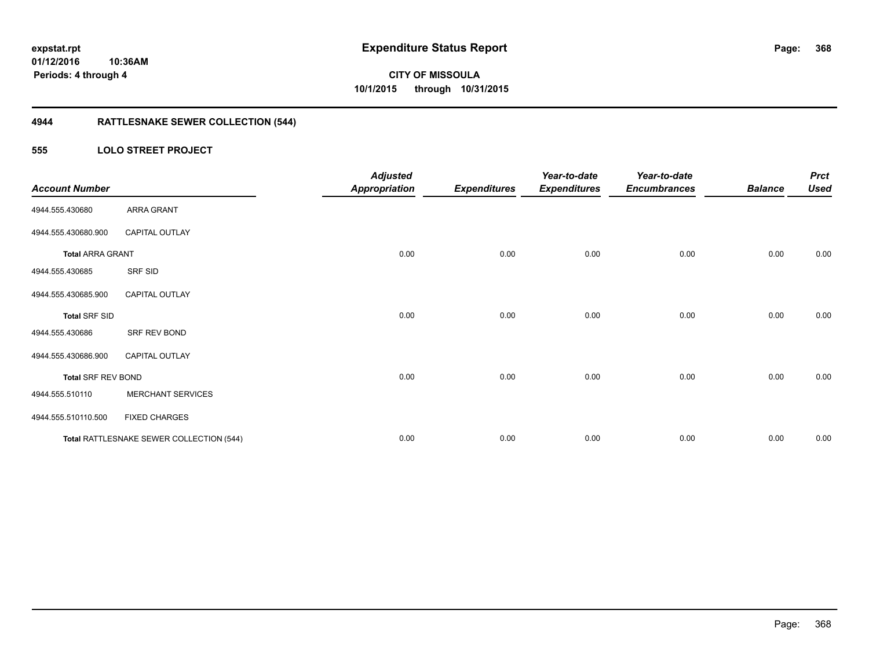**Periods: 4 through 4**

**CITY OF MISSOULA 10/1/2015 through 10/31/2015**

## **4944 RATTLESNAKE SEWER COLLECTION (544)**

## **555 LOLO STREET PROJECT**

| <b>Account Number</b>     |                                          | <b>Adjusted</b><br><b>Appropriation</b> | <b>Expenditures</b> | Year-to-date<br><b>Expenditures</b> | Year-to-date<br><b>Encumbrances</b> | <b>Balance</b> | <b>Prct</b><br><b>Used</b> |
|---------------------------|------------------------------------------|-----------------------------------------|---------------------|-------------------------------------|-------------------------------------|----------------|----------------------------|
| 4944.555.430680           | ARRA GRANT                               |                                         |                     |                                     |                                     |                |                            |
| 4944.555.430680.900       | <b>CAPITAL OUTLAY</b>                    |                                         |                     |                                     |                                     |                |                            |
| <b>Total ARRA GRANT</b>   |                                          | 0.00                                    | 0.00                | 0.00                                | 0.00                                | 0.00           | 0.00                       |
| 4944.555.430685           | SRF SID                                  |                                         |                     |                                     |                                     |                |                            |
| 4944.555.430685.900       | <b>CAPITAL OUTLAY</b>                    |                                         |                     |                                     |                                     |                |                            |
| <b>Total SRF SID</b>      |                                          | 0.00                                    | 0.00                | 0.00                                | 0.00                                | 0.00           | 0.00                       |
| 4944.555.430686           | SRF REV BOND                             |                                         |                     |                                     |                                     |                |                            |
| 4944.555.430686.900       | <b>CAPITAL OUTLAY</b>                    |                                         |                     |                                     |                                     |                |                            |
| <b>Total SRF REV BOND</b> |                                          | 0.00                                    | 0.00                | 0.00                                | 0.00                                | 0.00           | 0.00                       |
| 4944.555.510110           | <b>MERCHANT SERVICES</b>                 |                                         |                     |                                     |                                     |                |                            |
| 4944.555.510110.500       | <b>FIXED CHARGES</b>                     |                                         |                     |                                     |                                     |                |                            |
|                           | Total RATTLESNAKE SEWER COLLECTION (544) | 0.00                                    | 0.00                | 0.00                                | 0.00                                | 0.00           | 0.00                       |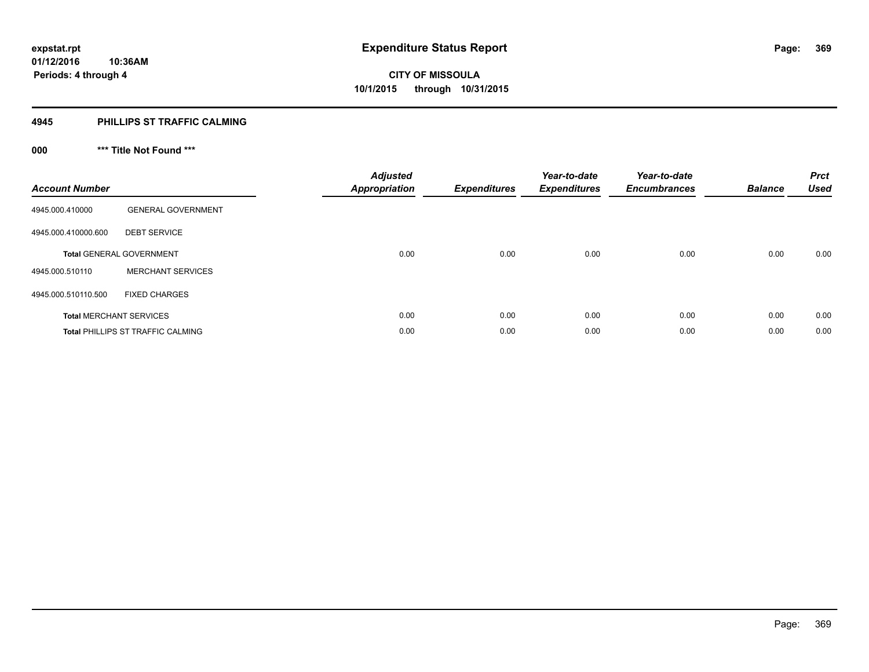## **4945 PHILLIPS ST TRAFFIC CALMING**

## **000 \*\*\* Title Not Found \*\*\***

| <b>Account Number</b> |                                          | <b>Adjusted</b><br><b>Appropriation</b> | <b>Expenditures</b> | Year-to-date<br><b>Expenditures</b> | Year-to-date<br><b>Encumbrances</b> | <b>Balance</b> | <b>Prct</b><br><b>Used</b> |
|-----------------------|------------------------------------------|-----------------------------------------|---------------------|-------------------------------------|-------------------------------------|----------------|----------------------------|
| 4945.000.410000       | <b>GENERAL GOVERNMENT</b>                |                                         |                     |                                     |                                     |                |                            |
| 4945.000.410000.600   | <b>DEBT SERVICE</b>                      |                                         |                     |                                     |                                     |                |                            |
|                       | <b>Total GENERAL GOVERNMENT</b>          | 0.00                                    | 0.00                | 0.00                                | 0.00                                | 0.00           | 0.00                       |
| 4945.000.510110       | <b>MERCHANT SERVICES</b>                 |                                         |                     |                                     |                                     |                |                            |
| 4945.000.510110.500   | <b>FIXED CHARGES</b>                     |                                         |                     |                                     |                                     |                |                            |
|                       | <b>Total MERCHANT SERVICES</b>           | 0.00                                    | 0.00                | 0.00                                | 0.00                                | 0.00           | 0.00                       |
|                       | <b>Total PHILLIPS ST TRAFFIC CALMING</b> | 0.00                                    | 0.00                | 0.00                                | 0.00                                | 0.00           | 0.00                       |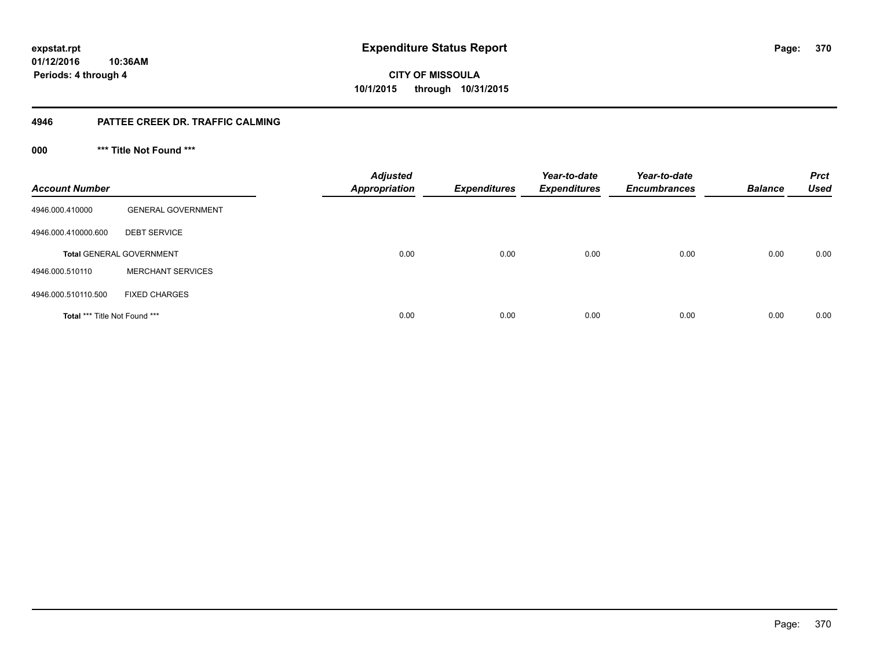**01/12/2016 10:36AM Periods: 4 through 4**

**CITY OF MISSOULA 10/1/2015 through 10/31/2015**

## **4946 PATTEE CREEK DR. TRAFFIC CALMING**

**000 \*\*\* Title Not Found \*\*\***

| <b>Account Number</b>                |                                 | <b>Adjusted</b><br><b>Appropriation</b> | <b>Expenditures</b> | Year-to-date<br><b>Expenditures</b> | Year-to-date<br><b>Encumbrances</b> | <b>Balance</b> | <b>Prct</b><br><b>Used</b> |
|--------------------------------------|---------------------------------|-----------------------------------------|---------------------|-------------------------------------|-------------------------------------|----------------|----------------------------|
| 4946.000.410000                      | <b>GENERAL GOVERNMENT</b>       |                                         |                     |                                     |                                     |                |                            |
| 4946.000.410000.600                  | <b>DEBT SERVICE</b>             |                                         |                     |                                     |                                     |                |                            |
|                                      | <b>Total GENERAL GOVERNMENT</b> | 0.00                                    | 0.00                | 0.00                                | 0.00                                | 0.00           | 0.00                       |
| 4946.000.510110                      | <b>MERCHANT SERVICES</b>        |                                         |                     |                                     |                                     |                |                            |
| 4946.000.510110.500                  | <b>FIXED CHARGES</b>            |                                         |                     |                                     |                                     |                |                            |
| <b>Total *** Title Not Found ***</b> |                                 | 0.00                                    | 0.00                | 0.00                                | 0.00                                | 0.00           | 0.00                       |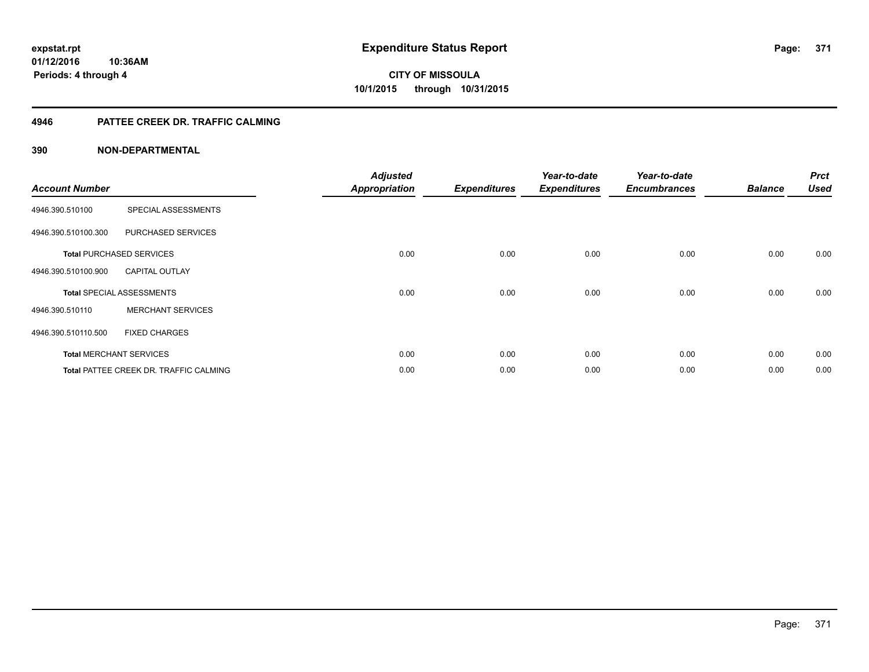## **4946 PATTEE CREEK DR. TRAFFIC CALMING**

| <b>Account Number</b> |                                               | <b>Adjusted</b><br><b>Appropriation</b> | <b>Expenditures</b> | Year-to-date<br><b>Expenditures</b> | Year-to-date<br><b>Encumbrances</b> | <b>Balance</b> | <b>Prct</b><br><b>Used</b> |
|-----------------------|-----------------------------------------------|-----------------------------------------|---------------------|-------------------------------------|-------------------------------------|----------------|----------------------------|
| 4946.390.510100       | SPECIAL ASSESSMENTS                           |                                         |                     |                                     |                                     |                |                            |
| 4946.390.510100.300   | PURCHASED SERVICES                            |                                         |                     |                                     |                                     |                |                            |
|                       | <b>Total PURCHASED SERVICES</b>               | 0.00                                    | 0.00                | 0.00                                | 0.00                                | 0.00           | 0.00                       |
| 4946.390.510100.900   | <b>CAPITAL OUTLAY</b>                         |                                         |                     |                                     |                                     |                |                            |
|                       | <b>Total SPECIAL ASSESSMENTS</b>              | 0.00                                    | 0.00                | 0.00                                | 0.00                                | 0.00           | 0.00                       |
| 4946.390.510110       | <b>MERCHANT SERVICES</b>                      |                                         |                     |                                     |                                     |                |                            |
| 4946.390.510110.500   | <b>FIXED CHARGES</b>                          |                                         |                     |                                     |                                     |                |                            |
|                       | <b>Total MERCHANT SERVICES</b>                | 0.00                                    | 0.00                | 0.00                                | 0.00                                | 0.00           | 0.00                       |
|                       | <b>Total PATTEE CREEK DR. TRAFFIC CALMING</b> | 0.00                                    | 0.00                | 0.00                                | 0.00                                | 0.00           | 0.00                       |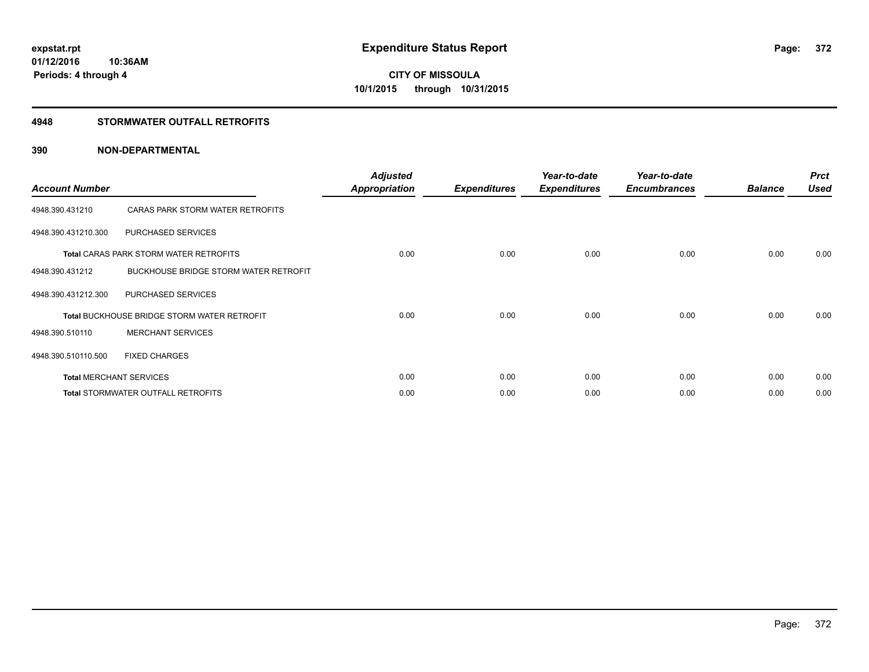## **4948 STORMWATER OUTFALL RETROFITS**

| <b>Account Number</b> |                                                    | <b>Adjusted</b><br><b>Appropriation</b> | <b>Expenditures</b> | Year-to-date<br><b>Expenditures</b> | Year-to-date<br><b>Encumbrances</b> | <b>Balance</b> | <b>Prct</b><br><b>Used</b> |
|-----------------------|----------------------------------------------------|-----------------------------------------|---------------------|-------------------------------------|-------------------------------------|----------------|----------------------------|
| 4948.390.431210       | CARAS PARK STORM WATER RETROFITS                   |                                         |                     |                                     |                                     |                |                            |
| 4948.390.431210.300   | PURCHASED SERVICES                                 |                                         |                     |                                     |                                     |                |                            |
|                       | <b>Total CARAS PARK STORM WATER RETROFITS</b>      | 0.00                                    | 0.00                | 0.00                                | 0.00                                | 0.00           | 0.00                       |
| 4948.390.431212       | BUCKHOUSE BRIDGE STORM WATER RETROFIT              |                                         |                     |                                     |                                     |                |                            |
| 4948.390.431212.300   | PURCHASED SERVICES                                 |                                         |                     |                                     |                                     |                |                            |
|                       | <b>Total BUCKHOUSE BRIDGE STORM WATER RETROFIT</b> | 0.00                                    | 0.00                | 0.00                                | 0.00                                | 0.00           | 0.00                       |
| 4948.390.510110       | <b>MERCHANT SERVICES</b>                           |                                         |                     |                                     |                                     |                |                            |
| 4948.390.510110.500   | <b>FIXED CHARGES</b>                               |                                         |                     |                                     |                                     |                |                            |
|                       | <b>Total MERCHANT SERVICES</b>                     | 0.00                                    | 0.00                | 0.00                                | 0.00                                | 0.00           | 0.00                       |
|                       | <b>Total STORMWATER OUTFALL RETROFITS</b>          | 0.00                                    | 0.00                | 0.00                                | 0.00                                | 0.00           | 0.00                       |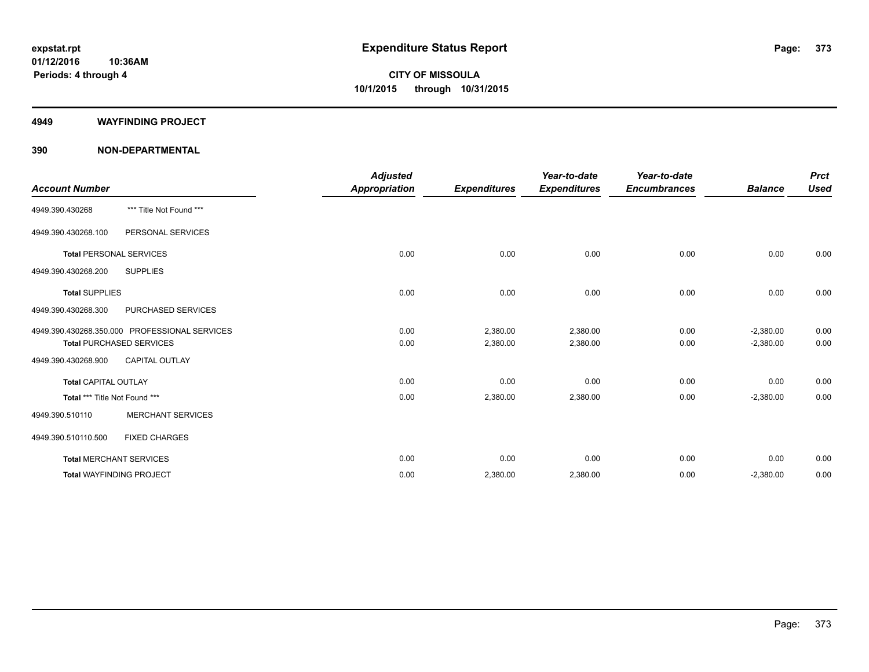#### **4949 WAYFINDING PROJECT**

|                               |                                               | <b>Adjusted</b>      |                     | Year-to-date        | Year-to-date        |                | <b>Prct</b> |
|-------------------------------|-----------------------------------------------|----------------------|---------------------|---------------------|---------------------|----------------|-------------|
| <b>Account Number</b>         |                                               | <b>Appropriation</b> | <b>Expenditures</b> | <b>Expenditures</b> | <b>Encumbrances</b> | <b>Balance</b> | <b>Used</b> |
| 4949.390.430268               | *** Title Not Found ***                       |                      |                     |                     |                     |                |             |
| 4949.390.430268.100           | PERSONAL SERVICES                             |                      |                     |                     |                     |                |             |
|                               | <b>Total PERSONAL SERVICES</b>                | 0.00                 | 0.00                | 0.00                | 0.00                | 0.00           | 0.00        |
| 4949.390.430268.200           | <b>SUPPLIES</b>                               |                      |                     |                     |                     |                |             |
| <b>Total SUPPLIES</b>         |                                               | 0.00                 | 0.00                | 0.00                | 0.00                | 0.00           | 0.00        |
| 4949.390.430268.300           | PURCHASED SERVICES                            |                      |                     |                     |                     |                |             |
|                               | 4949.390.430268.350.000 PROFESSIONAL SERVICES | 0.00                 | 2,380.00            | 2,380.00            | 0.00                | $-2,380.00$    | 0.00        |
|                               | <b>Total PURCHASED SERVICES</b>               | 0.00                 | 2,380.00            | 2,380.00            | 0.00                | $-2,380.00$    | 0.00        |
| 4949.390.430268.900           | <b>CAPITAL OUTLAY</b>                         |                      |                     |                     |                     |                |             |
| <b>Total CAPITAL OUTLAY</b>   |                                               | 0.00                 | 0.00                | 0.00                | 0.00                | 0.00           | 0.00        |
| Total *** Title Not Found *** |                                               | 0.00                 | 2,380.00            | 2,380.00            | 0.00                | $-2,380.00$    | 0.00        |
| 4949.390.510110               | <b>MERCHANT SERVICES</b>                      |                      |                     |                     |                     |                |             |
| 4949.390.510110.500           | <b>FIXED CHARGES</b>                          |                      |                     |                     |                     |                |             |
|                               | <b>Total MERCHANT SERVICES</b>                | 0.00                 | 0.00                | 0.00                | 0.00                | 0.00           | 0.00        |
|                               | <b>Total WAYFINDING PROJECT</b>               | 0.00                 | 2,380.00            | 2,380.00            | 0.00                | $-2,380.00$    | 0.00        |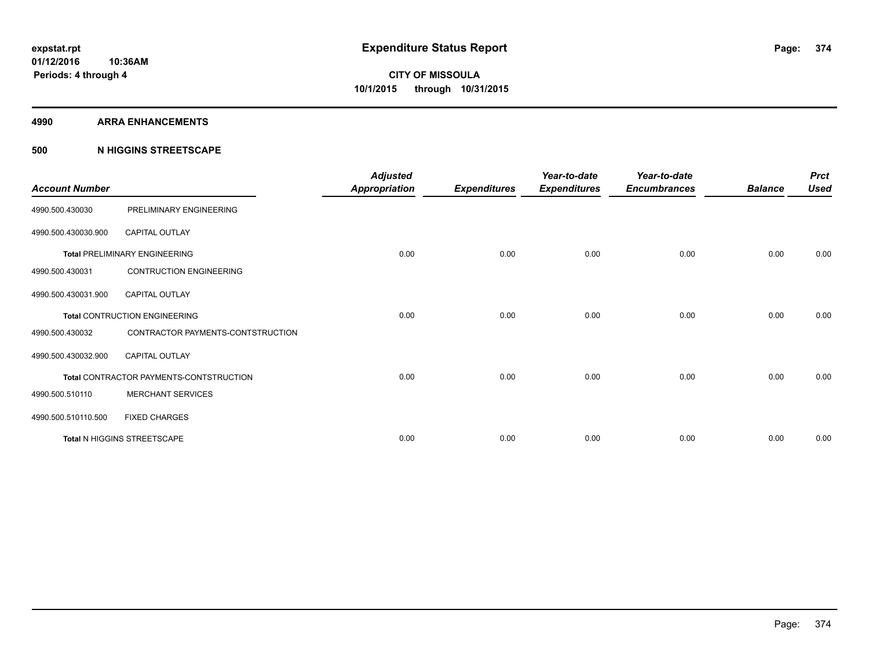#### **4990 ARRA ENHANCEMENTS**

## **500 N HIGGINS STREETSCAPE**

| <b>Account Number</b> |                                         | <b>Adjusted</b><br><b>Appropriation</b> | <b>Expenditures</b> | Year-to-date<br><b>Expenditures</b> | Year-to-date<br><b>Encumbrances</b> | <b>Balance</b> | <b>Prct</b><br><b>Used</b> |
|-----------------------|-----------------------------------------|-----------------------------------------|---------------------|-------------------------------------|-------------------------------------|----------------|----------------------------|
| 4990.500.430030       | PRELIMINARY ENGINEERING                 |                                         |                     |                                     |                                     |                |                            |
| 4990.500.430030.900   | <b>CAPITAL OUTLAY</b>                   |                                         |                     |                                     |                                     |                |                            |
|                       | <b>Total PRELIMINARY ENGINEERING</b>    | 0.00                                    | 0.00                | 0.00                                | 0.00                                | 0.00           | 0.00                       |
| 4990.500.430031       | <b>CONTRUCTION ENGINEERING</b>          |                                         |                     |                                     |                                     |                |                            |
| 4990.500.430031.900   | <b>CAPITAL OUTLAY</b>                   |                                         |                     |                                     |                                     |                |                            |
|                       | <b>Total CONTRUCTION ENGINEERING</b>    | 0.00                                    | 0.00                | 0.00                                | 0.00                                | 0.00           | 0.00                       |
| 4990.500.430032       | CONTRACTOR PAYMENTS-CONTSTRUCTION       |                                         |                     |                                     |                                     |                |                            |
| 4990.500.430032.900   | <b>CAPITAL OUTLAY</b>                   |                                         |                     |                                     |                                     |                |                            |
|                       | Total CONTRACTOR PAYMENTS-CONTSTRUCTION | 0.00                                    | 0.00                | 0.00                                | 0.00                                | 0.00           | 0.00                       |
| 4990.500.510110       | <b>MERCHANT SERVICES</b>                |                                         |                     |                                     |                                     |                |                            |
| 4990.500.510110.500   | <b>FIXED CHARGES</b>                    |                                         |                     |                                     |                                     |                |                            |
|                       | Total N HIGGINS STREETSCAPE             | 0.00                                    | 0.00                | 0.00                                | 0.00                                | 0.00           | 0.00                       |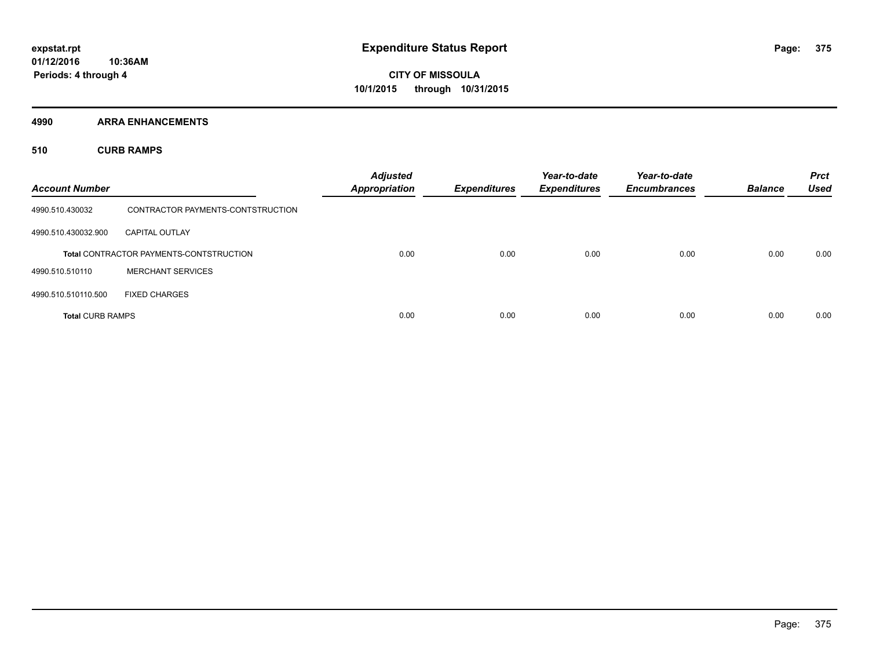**4990 ARRA ENHANCEMENTS**

**510 CURB RAMPS**

| <b>Account Number</b>   |                                                | <b>Adjusted</b><br><b>Appropriation</b> | <b>Expenditures</b> | Year-to-date<br><b>Expenditures</b> | Year-to-date<br><b>Encumbrances</b> | <b>Balance</b> | <b>Prct</b><br><b>Used</b> |
|-------------------------|------------------------------------------------|-----------------------------------------|---------------------|-------------------------------------|-------------------------------------|----------------|----------------------------|
| 4990.510.430032         | CONTRACTOR PAYMENTS-CONTSTRUCTION              |                                         |                     |                                     |                                     |                |                            |
| 4990.510.430032.900     | <b>CAPITAL OUTLAY</b>                          |                                         |                     |                                     |                                     |                |                            |
|                         | <b>Total CONTRACTOR PAYMENTS-CONTSTRUCTION</b> | 0.00                                    | 0.00                | 0.00                                | 0.00                                | 0.00           | 0.00                       |
| 4990.510.510110         | <b>MERCHANT SERVICES</b>                       |                                         |                     |                                     |                                     |                |                            |
| 4990.510.510110.500     | <b>FIXED CHARGES</b>                           |                                         |                     |                                     |                                     |                |                            |
| <b>Total CURB RAMPS</b> |                                                | 0.00                                    | 0.00                | 0.00                                | 0.00                                | 0.00           | 0.00                       |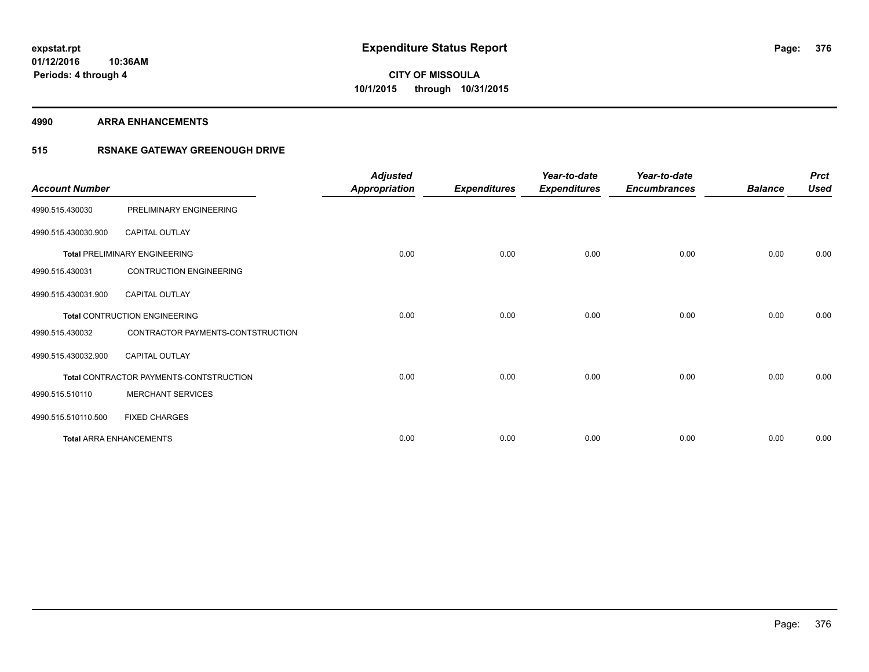#### **4990 ARRA ENHANCEMENTS**

## **515 RSNAKE GATEWAY GREENOUGH DRIVE**

| <b>Account Number</b> |                                         | <b>Adjusted</b><br><b>Appropriation</b> | <b>Expenditures</b> | Year-to-date<br><b>Expenditures</b> | Year-to-date<br><b>Encumbrances</b> | <b>Balance</b> | <b>Prct</b><br><b>Used</b> |
|-----------------------|-----------------------------------------|-----------------------------------------|---------------------|-------------------------------------|-------------------------------------|----------------|----------------------------|
| 4990.515.430030       | PRELIMINARY ENGINEERING                 |                                         |                     |                                     |                                     |                |                            |
| 4990.515.430030.900   | CAPITAL OUTLAY                          |                                         |                     |                                     |                                     |                |                            |
|                       | <b>Total PRELIMINARY ENGINEERING</b>    | 0.00                                    | 0.00                | 0.00                                | 0.00                                | 0.00           | 0.00                       |
| 4990.515.430031       | <b>CONTRUCTION ENGINEERING</b>          |                                         |                     |                                     |                                     |                |                            |
| 4990.515.430031.900   | <b>CAPITAL OUTLAY</b>                   |                                         |                     |                                     |                                     |                |                            |
|                       | <b>Total CONTRUCTION ENGINEERING</b>    | 0.00                                    | 0.00                | 0.00                                | 0.00                                | 0.00           | 0.00                       |
| 4990.515.430032       | CONTRACTOR PAYMENTS-CONTSTRUCTION       |                                         |                     |                                     |                                     |                |                            |
| 4990.515.430032.900   | <b>CAPITAL OUTLAY</b>                   |                                         |                     |                                     |                                     |                |                            |
|                       | Total CONTRACTOR PAYMENTS-CONTSTRUCTION | 0.00                                    | 0.00                | 0.00                                | 0.00                                | 0.00           | 0.00                       |
| 4990.515.510110       | <b>MERCHANT SERVICES</b>                |                                         |                     |                                     |                                     |                |                            |
| 4990.515.510110.500   | <b>FIXED CHARGES</b>                    |                                         |                     |                                     |                                     |                |                            |
|                       | <b>Total ARRA ENHANCEMENTS</b>          | 0.00                                    | 0.00                | 0.00                                | 0.00                                | 0.00           | 0.00                       |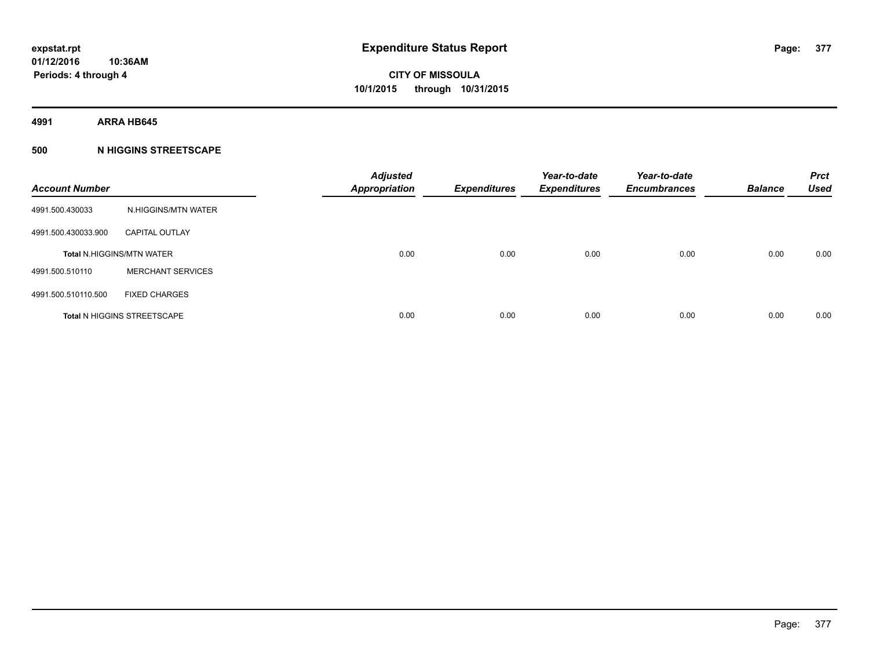**4991 ARRA HB645**

## **500 N HIGGINS STREETSCAPE**

| <b>Account Number</b> |                                    | <b>Adjusted</b><br><b>Appropriation</b> | <b>Expenditures</b> | Year-to-date<br><b>Expenditures</b> | Year-to-date<br><b>Encumbrances</b> | <b>Balance</b> | <b>Prct</b><br><b>Used</b> |
|-----------------------|------------------------------------|-----------------------------------------|---------------------|-------------------------------------|-------------------------------------|----------------|----------------------------|
| 4991.500.430033       | N.HIGGINS/MTN WATER                |                                         |                     |                                     |                                     |                |                            |
| 4991.500.430033.900   | <b>CAPITAL OUTLAY</b>              |                                         |                     |                                     |                                     |                |                            |
|                       | <b>Total N.HIGGINS/MTN WATER</b>   | 0.00                                    | 0.00                | 0.00                                | 0.00                                | 0.00           | 0.00                       |
| 4991.500.510110       | <b>MERCHANT SERVICES</b>           |                                         |                     |                                     |                                     |                |                            |
| 4991.500.510110.500   | <b>FIXED CHARGES</b>               |                                         |                     |                                     |                                     |                |                            |
|                       | <b>Total N HIGGINS STREETSCAPE</b> | 0.00                                    | 0.00                | 0.00                                | 0.00                                | 0.00           | 0.00                       |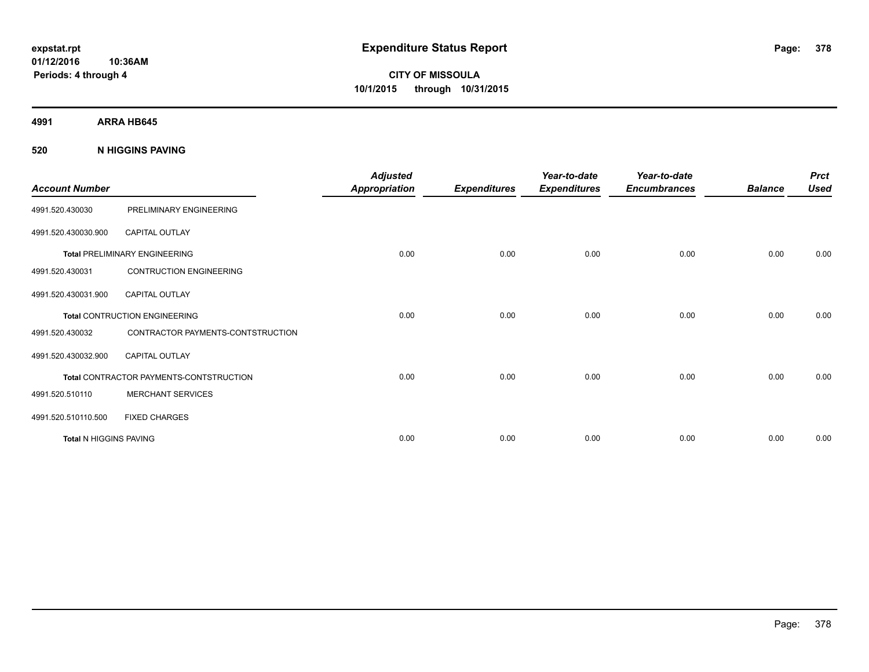**01/12/2016 10:36AM Periods: 4 through 4**

**CITY OF MISSOULA 10/1/2015 through 10/31/2015**

**4991 ARRA HB645**

**520 N HIGGINS PAVING**

| <b>Account Number</b>         |                                         | <b>Adjusted</b><br><b>Appropriation</b> | <b>Expenditures</b> | Year-to-date<br><b>Expenditures</b> | Year-to-date<br><b>Encumbrances</b> | <b>Balance</b> | <b>Prct</b><br><b>Used</b> |
|-------------------------------|-----------------------------------------|-----------------------------------------|---------------------|-------------------------------------|-------------------------------------|----------------|----------------------------|
| 4991.520.430030               | PRELIMINARY ENGINEERING                 |                                         |                     |                                     |                                     |                |                            |
| 4991.520.430030.900           | <b>CAPITAL OUTLAY</b>                   |                                         |                     |                                     |                                     |                |                            |
|                               | <b>Total PRELIMINARY ENGINEERING</b>    | 0.00                                    | 0.00                | 0.00                                | 0.00                                | 0.00           | 0.00                       |
| 4991.520.430031               | <b>CONTRUCTION ENGINEERING</b>          |                                         |                     |                                     |                                     |                |                            |
| 4991.520.430031.900           | <b>CAPITAL OUTLAY</b>                   |                                         |                     |                                     |                                     |                |                            |
|                               | <b>Total CONTRUCTION ENGINEERING</b>    | 0.00                                    | 0.00                | 0.00                                | 0.00                                | 0.00           | 0.00                       |
| 4991.520.430032               | CONTRACTOR PAYMENTS-CONTSTRUCTION       |                                         |                     |                                     |                                     |                |                            |
| 4991.520.430032.900           | <b>CAPITAL OUTLAY</b>                   |                                         |                     |                                     |                                     |                |                            |
|                               | Total CONTRACTOR PAYMENTS-CONTSTRUCTION | 0.00                                    | 0.00                | 0.00                                | 0.00                                | 0.00           | 0.00                       |
| 4991.520.510110               | <b>MERCHANT SERVICES</b>                |                                         |                     |                                     |                                     |                |                            |
| 4991.520.510110.500           | <b>FIXED CHARGES</b>                    |                                         |                     |                                     |                                     |                |                            |
| <b>Total N HIGGINS PAVING</b> |                                         | 0.00                                    | 0.00                | 0.00                                | 0.00                                | 0.00           | 0.00                       |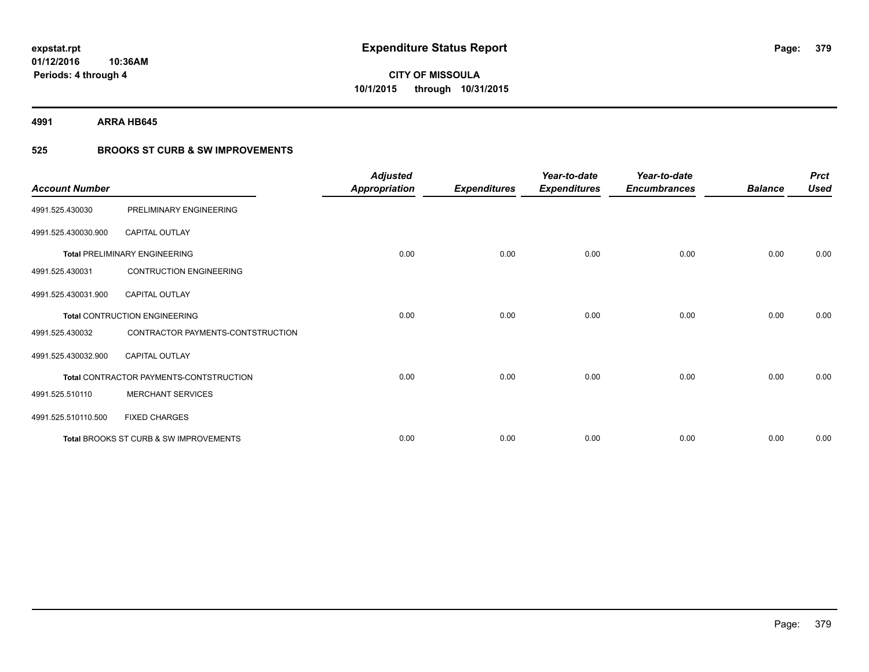**4991 ARRA HB645**

## **525 BROOKS ST CURB & SW IMPROVEMENTS**

| <b>Account Number</b> |                                         | <b>Adjusted</b><br><b>Appropriation</b> | <b>Expenditures</b> | Year-to-date<br><b>Expenditures</b> | Year-to-date<br><b>Encumbrances</b> | <b>Balance</b> | <b>Prct</b><br><b>Used</b> |
|-----------------------|-----------------------------------------|-----------------------------------------|---------------------|-------------------------------------|-------------------------------------|----------------|----------------------------|
| 4991.525.430030       | PRELIMINARY ENGINEERING                 |                                         |                     |                                     |                                     |                |                            |
| 4991.525.430030.900   | <b>CAPITAL OUTLAY</b>                   |                                         |                     |                                     |                                     |                |                            |
|                       | <b>Total PRELIMINARY ENGINEERING</b>    | 0.00                                    | 0.00                | 0.00                                | 0.00                                | 0.00           | 0.00                       |
| 4991.525.430031       | <b>CONTRUCTION ENGINEERING</b>          |                                         |                     |                                     |                                     |                |                            |
| 4991.525.430031.900   | <b>CAPITAL OUTLAY</b>                   |                                         |                     |                                     |                                     |                |                            |
|                       | <b>Total CONTRUCTION ENGINEERING</b>    | 0.00                                    | 0.00                | 0.00                                | 0.00                                | 0.00           | 0.00                       |
| 4991.525.430032       | CONTRACTOR PAYMENTS-CONTSTRUCTION       |                                         |                     |                                     |                                     |                |                            |
| 4991.525.430032.900   | <b>CAPITAL OUTLAY</b>                   |                                         |                     |                                     |                                     |                |                            |
|                       | Total CONTRACTOR PAYMENTS-CONTSTRUCTION | 0.00                                    | 0.00                | 0.00                                | 0.00                                | 0.00           | 0.00                       |
| 4991.525.510110       | <b>MERCHANT SERVICES</b>                |                                         |                     |                                     |                                     |                |                            |
| 4991.525.510110.500   | <b>FIXED CHARGES</b>                    |                                         |                     |                                     |                                     |                |                            |
|                       | Total BROOKS ST CURB & SW IMPROVEMENTS  | 0.00                                    | 0.00                | 0.00                                | 0.00                                | 0.00           | 0.00                       |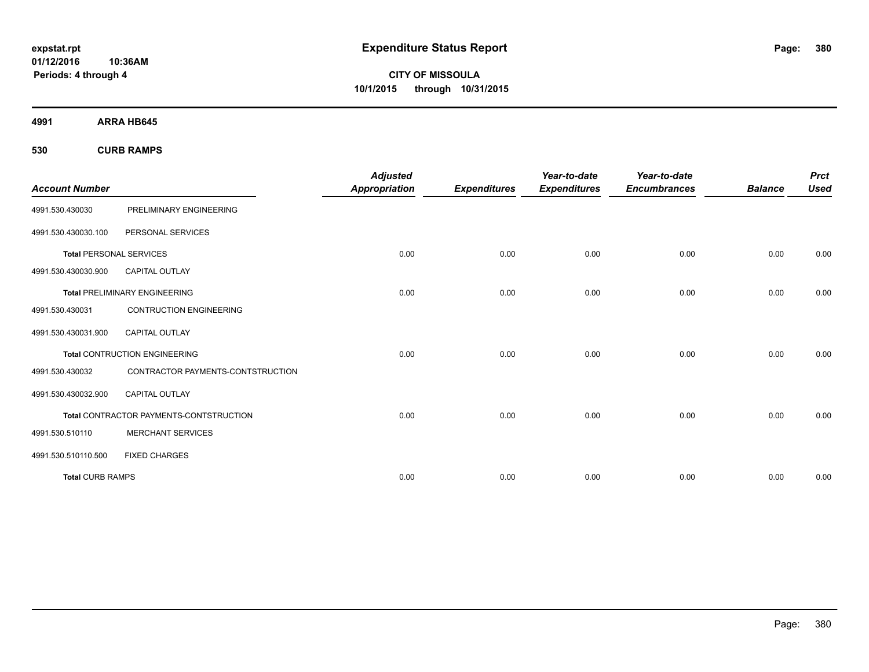**01/12/2016 10:36AM Periods: 4 through 4**

**CITY OF MISSOULA 10/1/2015 through 10/31/2015**

**4991 ARRA HB645**

**530 CURB RAMPS**

|                                |                                         | <b>Adjusted</b>      |                     | Year-to-date        | Year-to-date        |                | <b>Prct</b> |
|--------------------------------|-----------------------------------------|----------------------|---------------------|---------------------|---------------------|----------------|-------------|
| <b>Account Number</b>          |                                         | <b>Appropriation</b> | <b>Expenditures</b> | <b>Expenditures</b> | <b>Encumbrances</b> | <b>Balance</b> | <b>Used</b> |
| 4991.530.430030                | PRELIMINARY ENGINEERING                 |                      |                     |                     |                     |                |             |
| 4991.530.430030.100            | PERSONAL SERVICES                       |                      |                     |                     |                     |                |             |
| <b>Total PERSONAL SERVICES</b> |                                         | 0.00                 | 0.00                | 0.00                | 0.00                | 0.00           | 0.00        |
| 4991.530.430030.900            | <b>CAPITAL OUTLAY</b>                   |                      |                     |                     |                     |                |             |
|                                | <b>Total PRELIMINARY ENGINEERING</b>    | 0.00                 | 0.00                | 0.00                | 0.00                | 0.00           | 0.00        |
| 4991.530.430031                | <b>CONTRUCTION ENGINEERING</b>          |                      |                     |                     |                     |                |             |
| 4991.530.430031.900            | CAPITAL OUTLAY                          |                      |                     |                     |                     |                |             |
|                                | <b>Total CONTRUCTION ENGINEERING</b>    | 0.00                 | 0.00                | 0.00                | 0.00                | 0.00           | 0.00        |
| 4991.530.430032                | CONTRACTOR PAYMENTS-CONTSTRUCTION       |                      |                     |                     |                     |                |             |
| 4991.530.430032.900            | <b>CAPITAL OUTLAY</b>                   |                      |                     |                     |                     |                |             |
|                                | Total CONTRACTOR PAYMENTS-CONTSTRUCTION | 0.00                 | 0.00                | 0.00                | 0.00                | 0.00           | 0.00        |
| 4991.530.510110                | <b>MERCHANT SERVICES</b>                |                      |                     |                     |                     |                |             |
| 4991.530.510110.500            | <b>FIXED CHARGES</b>                    |                      |                     |                     |                     |                |             |
| <b>Total CURB RAMPS</b>        |                                         | 0.00                 | 0.00                | 0.00                | 0.00                | 0.00           | 0.00        |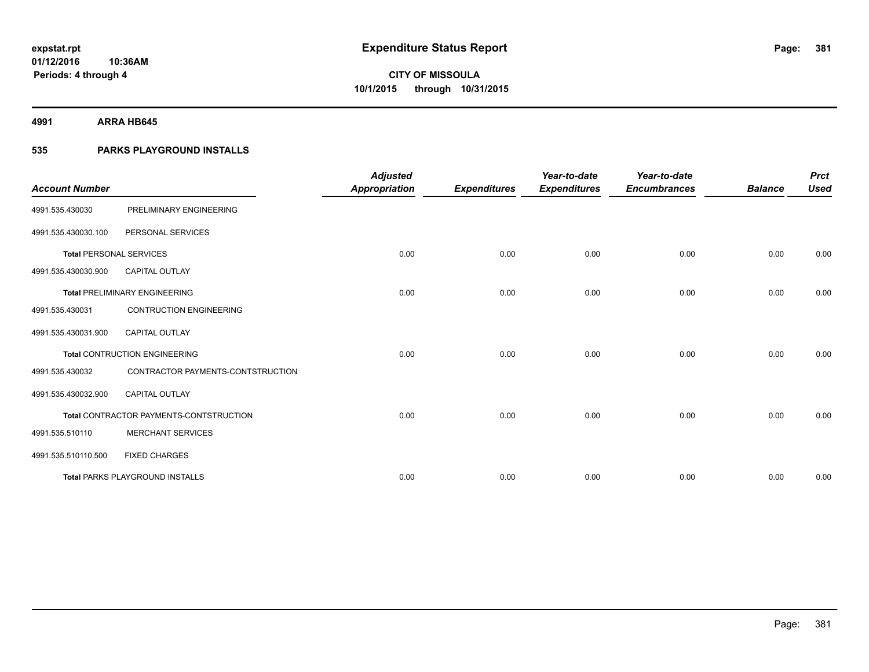**4991 ARRA HB645**

## **535 PARKS PLAYGROUND INSTALLS**

| <b>Account Number</b>          |                                         | <b>Adjusted</b><br><b>Appropriation</b> | <b>Expenditures</b> | Year-to-date<br><b>Expenditures</b> | Year-to-date<br><b>Encumbrances</b> | <b>Balance</b> | <b>Prct</b><br><b>Used</b> |
|--------------------------------|-----------------------------------------|-----------------------------------------|---------------------|-------------------------------------|-------------------------------------|----------------|----------------------------|
| 4991.535.430030                | PRELIMINARY ENGINEERING                 |                                         |                     |                                     |                                     |                |                            |
| 4991.535.430030.100            | PERSONAL SERVICES                       |                                         |                     |                                     |                                     |                |                            |
| <b>Total PERSONAL SERVICES</b> |                                         | 0.00                                    | 0.00                | 0.00                                | 0.00                                | 0.00           | 0.00                       |
| 4991.535.430030.900            | <b>CAPITAL OUTLAY</b>                   |                                         |                     |                                     |                                     |                |                            |
|                                | <b>Total PRELIMINARY ENGINEERING</b>    | 0.00                                    | 0.00                | 0.00                                | 0.00                                | 0.00           | 0.00                       |
| 4991.535.430031                | <b>CONTRUCTION ENGINEERING</b>          |                                         |                     |                                     |                                     |                |                            |
| 4991.535.430031.900            | <b>CAPITAL OUTLAY</b>                   |                                         |                     |                                     |                                     |                |                            |
|                                | <b>Total CONTRUCTION ENGINEERING</b>    | 0.00                                    | 0.00                | 0.00                                | 0.00                                | 0.00           | 0.00                       |
| 4991.535.430032                | CONTRACTOR PAYMENTS-CONTSTRUCTION       |                                         |                     |                                     |                                     |                |                            |
| 4991.535.430032.900            | <b>CAPITAL OUTLAY</b>                   |                                         |                     |                                     |                                     |                |                            |
|                                | Total CONTRACTOR PAYMENTS-CONTSTRUCTION | 0.00                                    | 0.00                | 0.00                                | 0.00                                | 0.00           | 0.00                       |
| 4991.535.510110                | <b>MERCHANT SERVICES</b>                |                                         |                     |                                     |                                     |                |                            |
| 4991.535.510110.500            | <b>FIXED CHARGES</b>                    |                                         |                     |                                     |                                     |                |                            |
|                                | <b>Total PARKS PLAYGROUND INSTALLS</b>  | 0.00                                    | 0.00                | 0.00                                | 0.00                                | 0.00           | 0.00                       |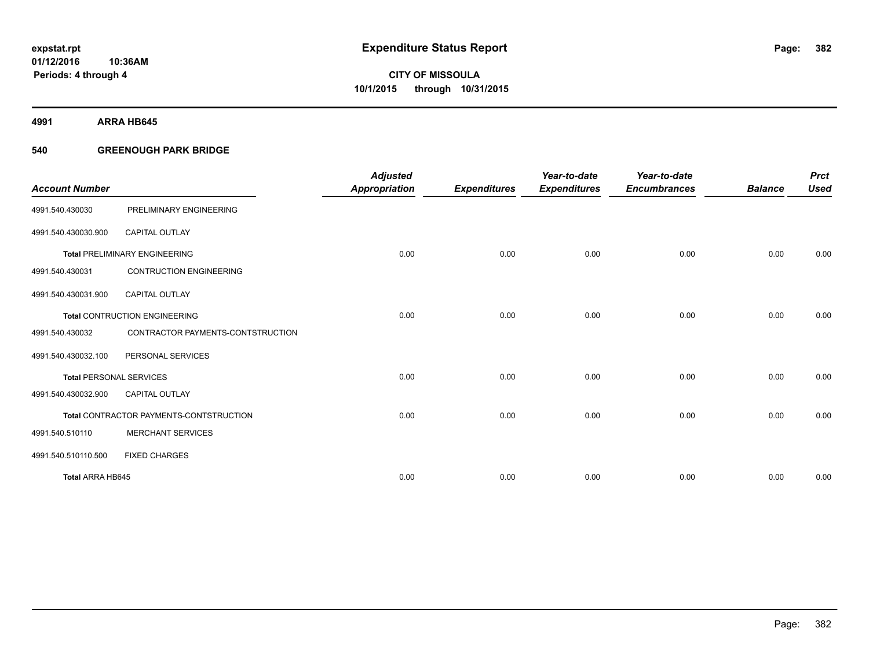**4991 ARRA HB645**

## **540 GREENOUGH PARK BRIDGE**

| <b>Account Number</b>          |                                         | <b>Adjusted</b><br><b>Appropriation</b> | <b>Expenditures</b> | Year-to-date<br><b>Expenditures</b> | Year-to-date<br><b>Encumbrances</b> | <b>Balance</b> | <b>Prct</b><br><b>Used</b> |
|--------------------------------|-----------------------------------------|-----------------------------------------|---------------------|-------------------------------------|-------------------------------------|----------------|----------------------------|
| 4991.540.430030                | PRELIMINARY ENGINEERING                 |                                         |                     |                                     |                                     |                |                            |
| 4991.540.430030.900            | <b>CAPITAL OUTLAY</b>                   |                                         |                     |                                     |                                     |                |                            |
|                                | <b>Total PRELIMINARY ENGINEERING</b>    | 0.00                                    | 0.00                | 0.00                                | 0.00                                | 0.00           | 0.00                       |
| 4991.540.430031                | <b>CONTRUCTION ENGINEERING</b>          |                                         |                     |                                     |                                     |                |                            |
| 4991.540.430031.900            | <b>CAPITAL OUTLAY</b>                   |                                         |                     |                                     |                                     |                |                            |
|                                | <b>Total CONTRUCTION ENGINEERING</b>    | 0.00                                    | 0.00                | 0.00                                | 0.00                                | 0.00           | 0.00                       |
| 4991.540.430032                | CONTRACTOR PAYMENTS-CONTSTRUCTION       |                                         |                     |                                     |                                     |                |                            |
| 4991.540.430032.100            | PERSONAL SERVICES                       |                                         |                     |                                     |                                     |                |                            |
| <b>Total PERSONAL SERVICES</b> |                                         | 0.00                                    | 0.00                | 0.00                                | 0.00                                | 0.00           | 0.00                       |
| 4991.540.430032.900            | <b>CAPITAL OUTLAY</b>                   |                                         |                     |                                     |                                     |                |                            |
|                                | Total CONTRACTOR PAYMENTS-CONTSTRUCTION | 0.00                                    | 0.00                | 0.00                                | 0.00                                | 0.00           | 0.00                       |
| 4991.540.510110                | <b>MERCHANT SERVICES</b>                |                                         |                     |                                     |                                     |                |                            |
| 4991.540.510110.500            | <b>FIXED CHARGES</b>                    |                                         |                     |                                     |                                     |                |                            |
| <b>Total ARRA HB645</b>        |                                         | 0.00                                    | 0.00                | 0.00                                | 0.00                                | 0.00           | 0.00                       |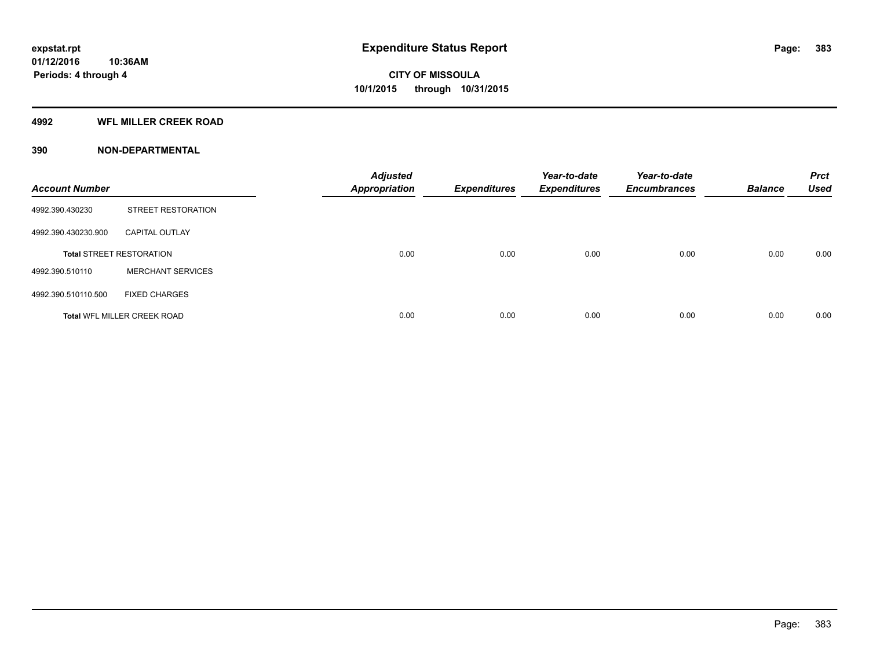## **4992 WFL MILLER CREEK ROAD**

| <b>Account Number</b> |                                    | <b>Adjusted</b><br><b>Appropriation</b> | <b>Expenditures</b> | Year-to-date<br><b>Expenditures</b> | Year-to-date<br><b>Encumbrances</b> | <b>Balance</b> | <b>Prct</b><br><b>Used</b> |
|-----------------------|------------------------------------|-----------------------------------------|---------------------|-------------------------------------|-------------------------------------|----------------|----------------------------|
| 4992.390.430230       | <b>STREET RESTORATION</b>          |                                         |                     |                                     |                                     |                |                            |
| 4992.390.430230.900   | <b>CAPITAL OUTLAY</b>              |                                         |                     |                                     |                                     |                |                            |
|                       | <b>Total STREET RESTORATION</b>    | 0.00                                    | 0.00                | 0.00                                | 0.00                                | 0.00           | 0.00                       |
| 4992.390.510110       | <b>MERCHANT SERVICES</b>           |                                         |                     |                                     |                                     |                |                            |
| 4992.390.510110.500   | <b>FIXED CHARGES</b>               |                                         |                     |                                     |                                     |                |                            |
|                       | <b>Total WFL MILLER CREEK ROAD</b> | 0.00                                    | 0.00                | 0.00                                | 0.00                                | 0.00           | 0.00                       |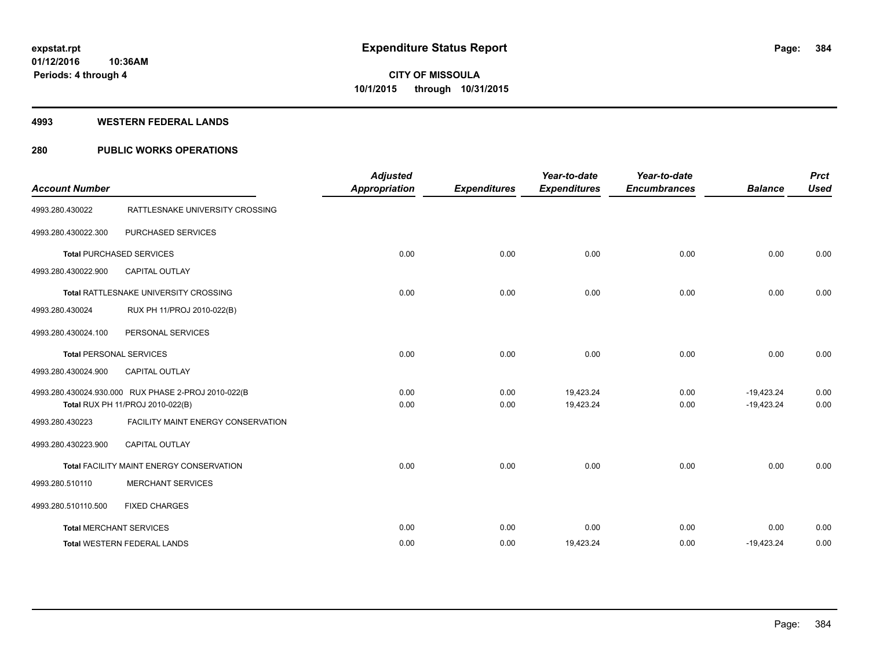#### **4993 WESTERN FEDERAL LANDS**

## **280 PUBLIC WORKS OPERATIONS**

| <b>Account Number</b>          |                                                                                         | <b>Adjusted</b><br><b>Appropriation</b> | <b>Expenditures</b> | Year-to-date<br><b>Expenditures</b> | Year-to-date<br><b>Encumbrances</b> | <b>Balance</b>               | <b>Prct</b><br><b>Used</b> |
|--------------------------------|-----------------------------------------------------------------------------------------|-----------------------------------------|---------------------|-------------------------------------|-------------------------------------|------------------------------|----------------------------|
| 4993.280.430022                | RATTLESNAKE UNIVERSITY CROSSING                                                         |                                         |                     |                                     |                                     |                              |                            |
| 4993.280.430022.300            | PURCHASED SERVICES                                                                      |                                         |                     |                                     |                                     |                              |                            |
|                                | <b>Total PURCHASED SERVICES</b>                                                         | 0.00                                    | 0.00                | 0.00                                | 0.00                                | 0.00                         | 0.00                       |
| 4993.280.430022.900            | <b>CAPITAL OUTLAY</b>                                                                   |                                         |                     |                                     |                                     |                              |                            |
|                                | Total RATTLESNAKE UNIVERSITY CROSSING                                                   | 0.00                                    | 0.00                | 0.00                                | 0.00                                | 0.00                         | 0.00                       |
| 4993.280.430024                | RUX PH 11/PROJ 2010-022(B)                                                              |                                         |                     |                                     |                                     |                              |                            |
| 4993.280.430024.100            | PERSONAL SERVICES                                                                       |                                         |                     |                                     |                                     |                              |                            |
| <b>Total PERSONAL SERVICES</b> |                                                                                         | 0.00                                    | 0.00                | 0.00                                | 0.00                                | 0.00                         | 0.00                       |
| 4993.280.430024.900            | <b>CAPITAL OUTLAY</b>                                                                   |                                         |                     |                                     |                                     |                              |                            |
|                                | 4993.280.430024.930.000 RUX PHASE 2-PROJ 2010-022(B<br>Total RUX PH 11/PROJ 2010-022(B) | 0.00<br>0.00                            | 0.00<br>0.00        | 19,423.24<br>19,423.24              | 0.00<br>0.00                        | $-19,423.24$<br>$-19,423.24$ | 0.00<br>0.00               |
| 4993.280.430223                | FACILITY MAINT ENERGY CONSERVATION                                                      |                                         |                     |                                     |                                     |                              |                            |
| 4993.280.430223.900            | <b>CAPITAL OUTLAY</b>                                                                   |                                         |                     |                                     |                                     |                              |                            |
|                                | <b>Total FACILITY MAINT ENERGY CONSERVATION</b>                                         | 0.00                                    | 0.00                | 0.00                                | 0.00                                | 0.00                         | 0.00                       |
| 4993.280.510110                | <b>MERCHANT SERVICES</b>                                                                |                                         |                     |                                     |                                     |                              |                            |
| 4993.280.510110.500            | <b>FIXED CHARGES</b>                                                                    |                                         |                     |                                     |                                     |                              |                            |
|                                | <b>Total MERCHANT SERVICES</b>                                                          | 0.00                                    | 0.00                | 0.00                                | 0.00                                | 0.00                         | 0.00                       |
|                                | <b>Total WESTERN FEDERAL LANDS</b>                                                      | 0.00                                    | 0.00                | 19,423.24                           | 0.00                                | $-19,423.24$                 | 0.00                       |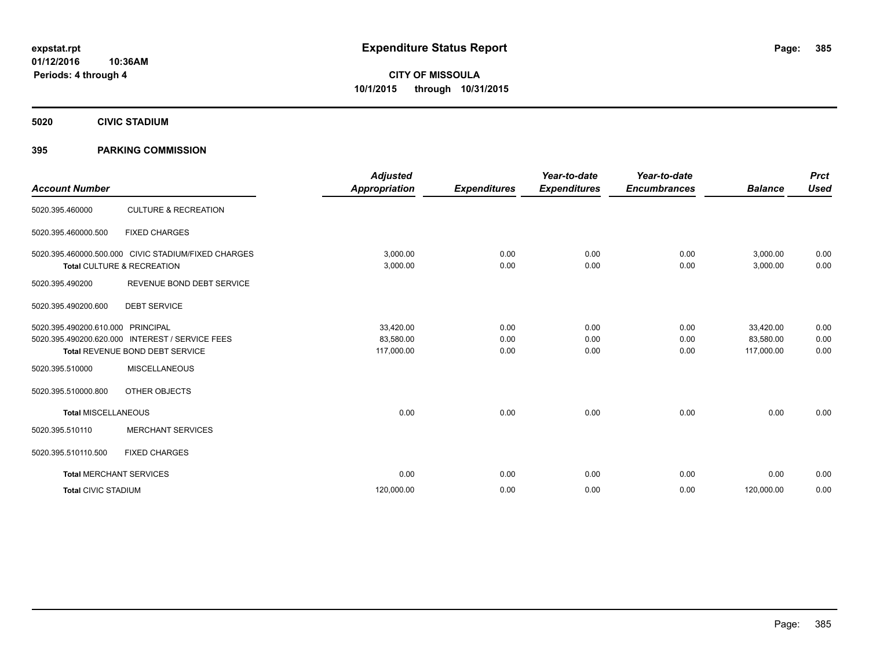**5020 CIVIC STADIUM**

## **395 PARKING COMMISSION**

| <b>Account Number</b>          |                                                                                                        | <b>Adjusted</b><br><b>Appropriation</b> | <b>Expenditures</b>  | Year-to-date<br><b>Expenditures</b> | Year-to-date<br><b>Encumbrances</b> | <b>Balance</b>                       | <b>Prct</b><br><b>Used</b> |
|--------------------------------|--------------------------------------------------------------------------------------------------------|-----------------------------------------|----------------------|-------------------------------------|-------------------------------------|--------------------------------------|----------------------------|
| 5020.395.460000                | <b>CULTURE &amp; RECREATION</b>                                                                        |                                         |                      |                                     |                                     |                                      |                            |
| 5020.395.460000.500            | <b>FIXED CHARGES</b>                                                                                   |                                         |                      |                                     |                                     |                                      |                            |
|                                | 5020.395.460000.500.000 CIVIC STADIUM/FIXED CHARGES<br>Total CULTURE & RECREATION                      | 3,000.00<br>3,000.00                    | 0.00<br>0.00         | 0.00<br>0.00                        | 0.00<br>0.00                        | 3,000.00<br>3,000.00                 | 0.00<br>0.00               |
| 5020.395.490200                | REVENUE BOND DEBT SERVICE                                                                              |                                         |                      |                                     |                                     |                                      |                            |
| 5020.395.490200.600            | <b>DEBT SERVICE</b>                                                                                    |                                         |                      |                                     |                                     |                                      |                            |
| 5020.395.490200.610.000        | PRINCIPAL<br>5020.395.490200.620.000 INTEREST / SERVICE FEES<br><b>Total REVENUE BOND DEBT SERVICE</b> | 33,420.00<br>83,580.00<br>117,000.00    | 0.00<br>0.00<br>0.00 | 0.00<br>0.00<br>0.00                | 0.00<br>0.00<br>0.00                | 33,420.00<br>83,580.00<br>117,000.00 | 0.00<br>0.00<br>0.00       |
| 5020.395.510000                | <b>MISCELLANEOUS</b>                                                                                   |                                         |                      |                                     |                                     |                                      |                            |
| 5020.395.510000.800            | OTHER OBJECTS                                                                                          |                                         |                      |                                     |                                     |                                      |                            |
| <b>Total MISCELLANEOUS</b>     |                                                                                                        | 0.00                                    | 0.00                 | 0.00                                | 0.00                                | 0.00                                 | 0.00                       |
| 5020.395.510110                | <b>MERCHANT SERVICES</b>                                                                               |                                         |                      |                                     |                                     |                                      |                            |
| 5020.395.510110.500            | <b>FIXED CHARGES</b>                                                                                   |                                         |                      |                                     |                                     |                                      |                            |
| <b>Total MERCHANT SERVICES</b> |                                                                                                        | 0.00                                    | 0.00                 | 0.00                                | 0.00                                | 0.00                                 | 0.00                       |
| <b>Total CIVIC STADIUM</b>     |                                                                                                        | 120,000.00                              | 0.00                 | 0.00                                | 0.00                                | 120,000.00                           | 0.00                       |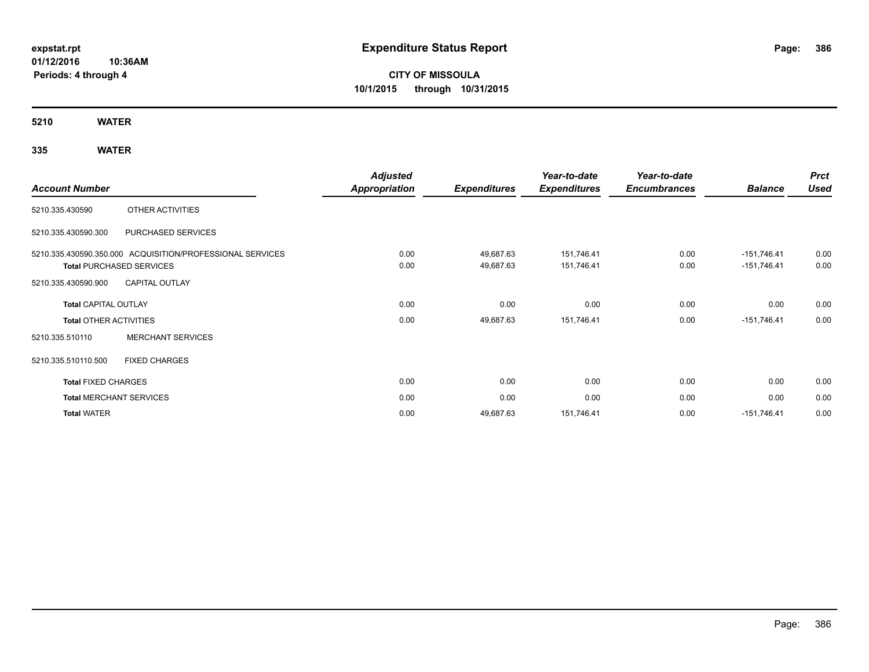**01/12/2016 10:36AM Periods: 4 through 4**

**CITY OF MISSOULA 10/1/2015 through 10/31/2015**

**5210 WATER**

## **335 WATER**

|                       |                                                                                                                                                                                                                                                                                                                                                                                                                                                                                                                                                  | <b>Adjusted</b>     |                | Year-to-date | Year-to-date |               | <b>Prct</b> |
|-----------------------|--------------------------------------------------------------------------------------------------------------------------------------------------------------------------------------------------------------------------------------------------------------------------------------------------------------------------------------------------------------------------------------------------------------------------------------------------------------------------------------------------------------------------------------------------|---------------------|----------------|--------------|--------------|---------------|-------------|
| <b>Account Number</b> | <b>Appropriation</b><br><b>Expenditures</b><br><b>Expenditures</b><br>OTHER ACTIVITIES<br>PURCHASED SERVICES<br>5210.335.430590.350.000 ACQUISITION/PROFESSIONAL SERVICES<br>0.00<br>49,687.63<br>151,746.41<br>0.00<br>49,687.63<br>151,746.41<br><b>Total PURCHASED SERVICES</b><br><b>CAPITAL OUTLAY</b><br>0.00<br>0.00<br>0.00<br><b>Total CAPITAL OUTLAY</b><br>0.00<br>151,746.41<br>49,687.63<br><b>Total OTHER ACTIVITIES</b><br><b>MERCHANT SERVICES</b><br><b>FIXED CHARGES</b><br><b>Total FIXED CHARGES</b><br>0.00<br>0.00<br>0.00 | <b>Encumbrances</b> | <b>Balance</b> | <b>Used</b>  |              |               |             |
| 5210.335.430590       |                                                                                                                                                                                                                                                                                                                                                                                                                                                                                                                                                  |                     |                |              |              |               |             |
| 5210.335.430590.300   |                                                                                                                                                                                                                                                                                                                                                                                                                                                                                                                                                  |                     |                |              |              |               |             |
|                       |                                                                                                                                                                                                                                                                                                                                                                                                                                                                                                                                                  |                     |                |              | 0.00         | $-151,746.41$ | 0.00        |
|                       |                                                                                                                                                                                                                                                                                                                                                                                                                                                                                                                                                  |                     |                |              | 0.00         | $-151,746.41$ | 0.00        |
| 5210.335.430590.900   |                                                                                                                                                                                                                                                                                                                                                                                                                                                                                                                                                  |                     |                |              |              |               |             |
|                       |                                                                                                                                                                                                                                                                                                                                                                                                                                                                                                                                                  |                     |                |              | 0.00         | 0.00          | 0.00        |
|                       |                                                                                                                                                                                                                                                                                                                                                                                                                                                                                                                                                  |                     |                |              | 0.00         | $-151,746.41$ | 0.00        |
| 5210.335.510110       |                                                                                                                                                                                                                                                                                                                                                                                                                                                                                                                                                  |                     |                |              |              |               |             |
| 5210.335.510110.500   |                                                                                                                                                                                                                                                                                                                                                                                                                                                                                                                                                  |                     |                |              |              |               |             |
|                       |                                                                                                                                                                                                                                                                                                                                                                                                                                                                                                                                                  |                     |                |              | 0.00         | 0.00          | 0.00        |
|                       | <b>Total MERCHANT SERVICES</b>                                                                                                                                                                                                                                                                                                                                                                                                                                                                                                                   | 0.00                | 0.00           | 0.00         | 0.00         | 0.00          | 0.00        |
| <b>Total WATER</b>    |                                                                                                                                                                                                                                                                                                                                                                                                                                                                                                                                                  | 0.00                | 49,687.63      | 151,746.41   | 0.00         | $-151,746.41$ | 0.00        |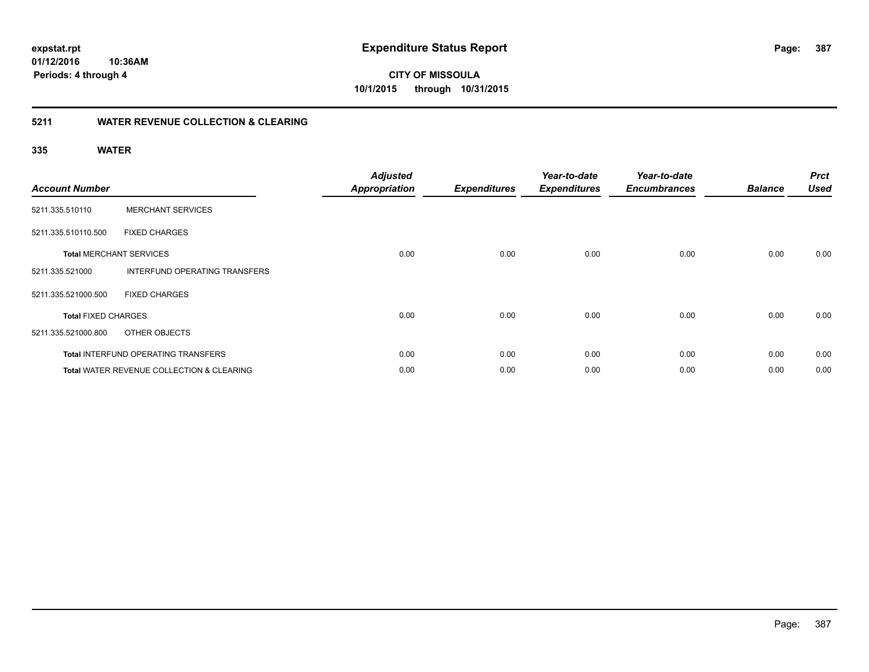**387**

**01/12/2016 10:36AM Periods: 4 through 4**

**CITY OF MISSOULA 10/1/2015 through 10/31/2015**

## **5211 WATER REVENUE COLLECTION & CLEARING**

## **335 WATER**

| <b>Account Number</b>      |                                                      | <b>Adjusted</b><br><b>Appropriation</b> | <b>Expenditures</b> | Year-to-date<br><b>Expenditures</b> | Year-to-date<br><b>Encumbrances</b> | <b>Balance</b> | <b>Prct</b><br><b>Used</b> |
|----------------------------|------------------------------------------------------|-----------------------------------------|---------------------|-------------------------------------|-------------------------------------|----------------|----------------------------|
| 5211.335.510110            | <b>MERCHANT SERVICES</b>                             |                                         |                     |                                     |                                     |                |                            |
| 5211.335.510110.500        | <b>FIXED CHARGES</b>                                 |                                         |                     |                                     |                                     |                |                            |
|                            | <b>Total MERCHANT SERVICES</b>                       | 0.00                                    | 0.00                | 0.00                                | 0.00                                | 0.00           | 0.00                       |
| 5211.335.521000            | INTERFUND OPERATING TRANSFERS                        |                                         |                     |                                     |                                     |                |                            |
| 5211.335.521000.500        | <b>FIXED CHARGES</b>                                 |                                         |                     |                                     |                                     |                |                            |
| <b>Total FIXED CHARGES</b> |                                                      | 0.00                                    | 0.00                | 0.00                                | 0.00                                | 0.00           | 0.00                       |
| 5211.335.521000.800        | OTHER OBJECTS                                        |                                         |                     |                                     |                                     |                |                            |
|                            | Total INTERFUND OPERATING TRANSFERS                  | 0.00                                    | 0.00                | 0.00                                | 0.00                                | 0.00           | 0.00                       |
|                            | <b>Total WATER REVENUE COLLECTION &amp; CLEARING</b> | 0.00                                    | 0.00                | 0.00                                | 0.00                                | 0.00           | 0.00                       |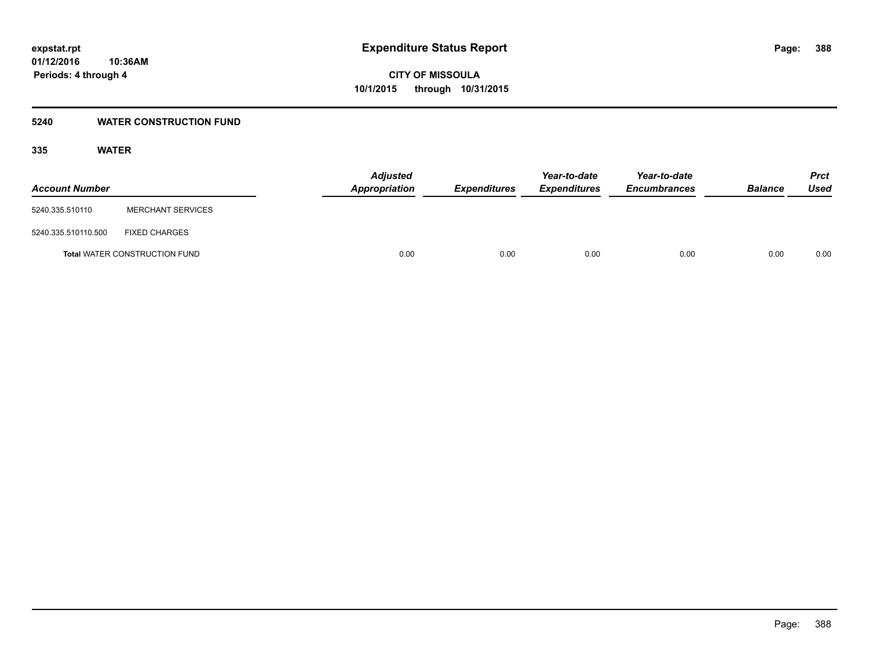## **5240 WATER CONSTRUCTION FUND**

## **335 WATER**

| <b>Account Number</b> |                                      | <b>Adjusted</b><br><b>Appropriation</b> | <b>Expenditures</b> | Year-to-date<br><b>Expenditures</b> | Year-to-date<br><b>Encumbrances</b> | <b>Balance</b> | <b>Prct</b><br><b>Used</b> |
|-----------------------|--------------------------------------|-----------------------------------------|---------------------|-------------------------------------|-------------------------------------|----------------|----------------------------|
| 5240.335.510110       | <b>MERCHANT SERVICES</b>             |                                         |                     |                                     |                                     |                |                            |
| 5240.335.510110.500   | <b>FIXED CHARGES</b>                 |                                         |                     |                                     |                                     |                |                            |
|                       | <b>Total WATER CONSTRUCTION FUND</b> | 0.00                                    | 0.00                | 0.00                                | 0.00                                | 0.00           | 0.00                       |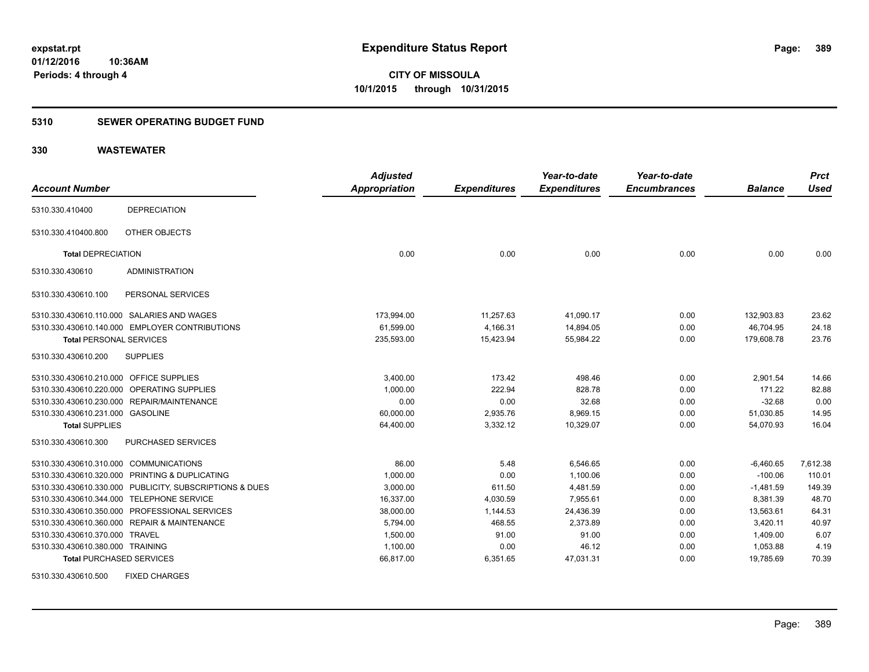## **5310 SEWER OPERATING BUDGET FUND**

## **330 WASTEWATER**

| <b>Account Number</b>                   |                                                         | <b>Adjusted</b><br>Appropriation | <b>Expenditures</b> | Year-to-date<br><b>Expenditures</b> | Year-to-date<br><b>Encumbrances</b> | <b>Balance</b> | <b>Prct</b><br><b>Used</b> |
|-----------------------------------------|---------------------------------------------------------|----------------------------------|---------------------|-------------------------------------|-------------------------------------|----------------|----------------------------|
| 5310.330.410400                         | <b>DEPRECIATION</b>                                     |                                  |                     |                                     |                                     |                |                            |
| 5310.330.410400.800                     | OTHER OBJECTS                                           |                                  |                     |                                     |                                     |                |                            |
| <b>Total DEPRECIATION</b>               |                                                         | 0.00                             | 0.00                | 0.00                                | 0.00                                | 0.00           | 0.00                       |
| 5310.330.430610                         | <b>ADMINISTRATION</b>                                   |                                  |                     |                                     |                                     |                |                            |
| 5310.330.430610.100                     | PERSONAL SERVICES                                       |                                  |                     |                                     |                                     |                |                            |
|                                         | 5310.330.430610.110.000 SALARIES AND WAGES              | 173,994.00                       | 11,257.63           | 41.090.17                           | 0.00                                | 132.903.83     | 23.62                      |
|                                         | 5310.330.430610.140.000 EMPLOYER CONTRIBUTIONS          | 61,599.00                        | 4,166.31            | 14,894.05                           | 0.00                                | 46,704.95      | 24.18                      |
| <b>Total PERSONAL SERVICES</b>          |                                                         | 235,593.00                       | 15,423.94           | 55,984.22                           | 0.00                                | 179,608.78     | 23.76                      |
| 5310.330.430610.200                     | <b>SUPPLIES</b>                                         |                                  |                     |                                     |                                     |                |                            |
| 5310.330.430610.210.000 OFFICE SUPPLIES |                                                         | 3,400.00                         | 173.42              | 498.46                              | 0.00                                | 2,901.54       | 14.66                      |
| 5310.330.430610.220.000                 | OPERATING SUPPLIES                                      | 1,000.00                         | 222.94              | 828.78                              | 0.00                                | 171.22         | 82.88                      |
|                                         | 5310.330.430610.230.000 REPAIR/MAINTENANCE              | 0.00                             | 0.00                | 32.68                               | 0.00                                | $-32.68$       | 0.00                       |
| 5310.330.430610.231.000 GASOLINE        |                                                         | 60.000.00                        | 2,935.76            | 8,969.15                            | 0.00                                | 51,030.85      | 14.95                      |
| <b>Total SUPPLIES</b>                   |                                                         | 64,400.00                        | 3,332.12            | 10,329.07                           | 0.00                                | 54,070.93      | 16.04                      |
| 5310.330.430610.300                     | PURCHASED SERVICES                                      |                                  |                     |                                     |                                     |                |                            |
| 5310.330.430610.310.000                 | <b>COMMUNICATIONS</b>                                   | 86.00                            | 5.48                | 6.546.65                            | 0.00                                | $-6,460.65$    | 7,612.38                   |
|                                         | 5310.330.430610.320.000 PRINTING & DUPLICATING          | 1,000.00                         | 0.00                | 1,100.06                            | 0.00                                | $-100.06$      | 110.01                     |
|                                         | 5310.330.430610.330.000 PUBLICITY, SUBSCRIPTIONS & DUES | 3,000.00                         | 611.50              | 4,481.59                            | 0.00                                | $-1,481.59$    | 149.39                     |
|                                         | 5310.330.430610.344.000 TELEPHONE SERVICE               | 16,337.00                        | 4,030.59            | 7,955.61                            | 0.00                                | 8,381.39       | 48.70                      |
|                                         | 5310.330.430610.350.000 PROFESSIONAL SERVICES           | 38,000.00                        | 1,144.53            | 24,436.39                           | 0.00                                | 13,563.61      | 64.31                      |
|                                         | 5310.330.430610.360.000 REPAIR & MAINTENANCE            | 5.794.00                         | 468.55              | 2.373.89                            | 0.00                                | 3,420.11       | 40.97                      |
| 5310.330.430610.370.000 TRAVEL          |                                                         | 1,500.00                         | 91.00               | 91.00                               | 0.00                                | 1,409.00       | 6.07                       |
| 5310.330.430610.380.000 TRAINING        |                                                         | 1,100.00                         | 0.00                | 46.12                               | 0.00                                | 1,053.88       | 4.19                       |
| <b>Total PURCHASED SERVICES</b>         |                                                         | 66,817.00                        | 6,351.65            | 47,031.31                           | 0.00                                | 19,785.69      | 70.39                      |

5310.330.430610.500 FIXED CHARGES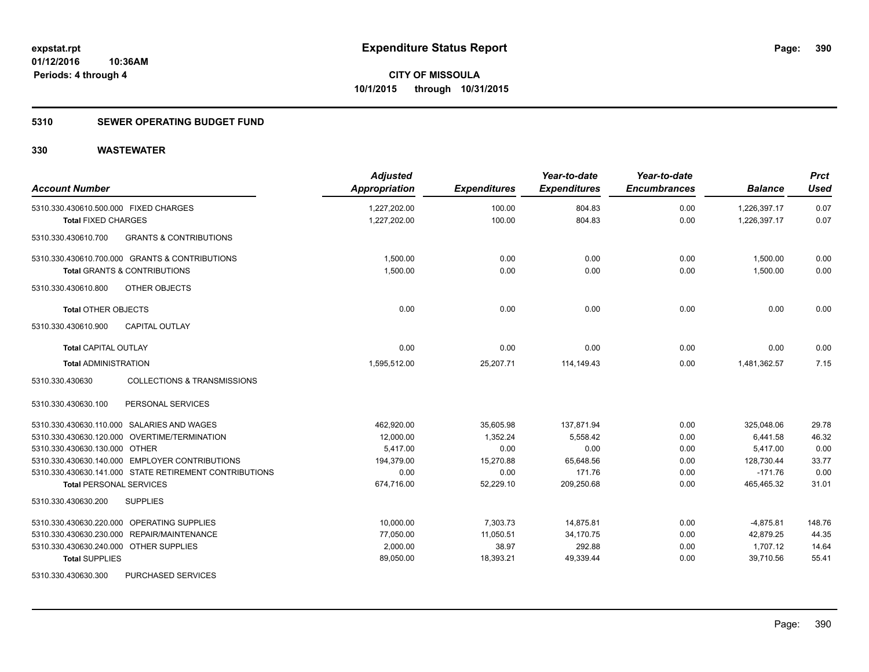## **5310 SEWER OPERATING BUDGET FUND**

| <b>Account Number</b>                                     | <b>Adjusted</b><br>Appropriation | <b>Expenditures</b> | Year-to-date<br><b>Expenditures</b> | Year-to-date<br><b>Encumbrances</b> | <b>Balance</b> | <b>Prct</b><br><b>Used</b> |
|-----------------------------------------------------------|----------------------------------|---------------------|-------------------------------------|-------------------------------------|----------------|----------------------------|
| 5310.330.430610.500.000 FIXED CHARGES                     | 1,227,202.00                     | 100.00              | 804.83                              | 0.00                                | 1,226,397.17   | 0.07                       |
| <b>Total FIXED CHARGES</b>                                | 1,227,202.00                     | 100.00              | 804.83                              | 0.00                                | 1,226,397.17   | 0.07                       |
| <b>GRANTS &amp; CONTRIBUTIONS</b><br>5310.330.430610.700  |                                  |                     |                                     |                                     |                |                            |
| 5310.330.430610.700.000 GRANTS & CONTRIBUTIONS            | 1,500.00                         | 0.00                | 0.00                                | 0.00                                | 1,500.00       | 0.00                       |
| <b>Total GRANTS &amp; CONTRIBUTIONS</b>                   | 1,500.00                         | 0.00                | 0.00                                | 0.00                                | 1,500.00       | 0.00                       |
| 5310.330.430610.800<br>OTHER OBJECTS                      |                                  |                     |                                     |                                     |                |                            |
| <b>Total OTHER OBJECTS</b>                                | 0.00                             | 0.00                | 0.00                                | 0.00                                | 0.00           | 0.00                       |
| 5310.330.430610.900<br><b>CAPITAL OUTLAY</b>              |                                  |                     |                                     |                                     |                |                            |
| <b>Total CAPITAL OUTLAY</b>                               | 0.00                             | 0.00                | 0.00                                | 0.00                                | 0.00           | 0.00                       |
| <b>Total ADMINISTRATION</b>                               | 1,595,512.00                     | 25,207.71           | 114,149.43                          | 0.00                                | 1,481,362.57   | 7.15                       |
| <b>COLLECTIONS &amp; TRANSMISSIONS</b><br>5310.330.430630 |                                  |                     |                                     |                                     |                |                            |
| 5310.330.430630.100<br>PERSONAL SERVICES                  |                                  |                     |                                     |                                     |                |                            |
| 5310.330.430630.110.000 SALARIES AND WAGES                | 462,920.00                       | 35,605.98           | 137,871.94                          | 0.00                                | 325,048.06     | 29.78                      |
| 5310.330.430630.120.000 OVERTIME/TERMINATION              | 12,000.00                        | 1,352.24            | 5,558.42                            | 0.00                                | 6,441.58       | 46.32                      |
| 5310.330.430630.130.000 OTHER                             | 5,417.00                         | 0.00                | 0.00                                | 0.00                                | 5,417.00       | 0.00                       |
| 5310.330.430630.140.000 EMPLOYER CONTRIBUTIONS            | 194,379.00                       | 15,270.88           | 65,648.56                           | 0.00                                | 128,730.44     | 33.77                      |
| 5310.330.430630.141.000 STATE RETIREMENT CONTRIBUTIONS    | 0.00                             | 0.00                | 171.76                              | 0.00                                | $-171.76$      | 0.00                       |
| <b>Total PERSONAL SERVICES</b>                            | 674,716.00                       | 52,229.10           | 209,250.68                          | 0.00                                | 465,465.32     | 31.01                      |
| 5310.330.430630.200<br><b>SUPPLIES</b>                    |                                  |                     |                                     |                                     |                |                            |
| 5310.330.430630.220.000 OPERATING SUPPLIES                | 10,000.00                        | 7,303.73            | 14,875.81                           | 0.00                                | $-4,875.81$    | 148.76                     |
| 5310.330.430630.230.000 REPAIR/MAINTENANCE                | 77,050.00                        | 11,050.51           | 34,170.75                           | 0.00                                | 42,879.25      | 44.35                      |
| 5310.330.430630.240.000 OTHER SUPPLIES                    | 2,000.00                         | 38.97               | 292.88                              | 0.00                                | 1,707.12       | 14.64                      |
| <b>Total SUPPLIES</b>                                     | 89,050.00                        | 18,393.21           | 49,339.44                           | 0.00                                | 39,710.56      | 55.41                      |
| 5310.330.430630.300<br>PURCHASED SERVICES                 |                                  |                     |                                     |                                     |                |                            |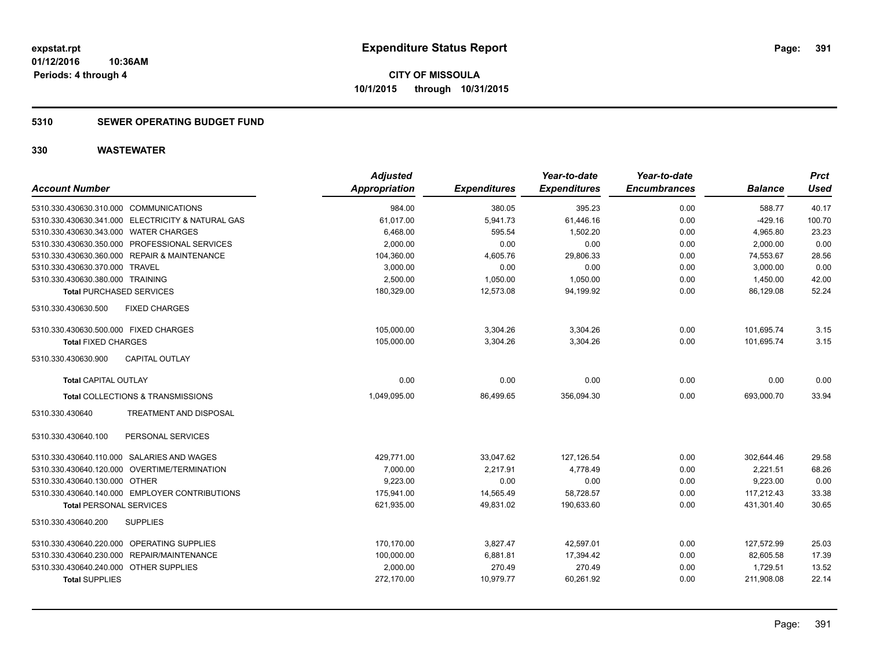## **5310 SEWER OPERATING BUDGET FUND**

| <b>Account Number</b>                             | <b>Adjusted</b><br><b>Appropriation</b> | <b>Expenditures</b> | Year-to-date<br><b>Expenditures</b> | Year-to-date<br><b>Encumbrances</b> | <b>Balance</b> | <b>Prct</b><br><b>Used</b> |
|---------------------------------------------------|-----------------------------------------|---------------------|-------------------------------------|-------------------------------------|----------------|----------------------------|
| 5310.330.430630.310.000 COMMUNICATIONS            | 984.00                                  | 380.05              | 395.23                              | 0.00                                | 588.77         | 40.17                      |
| 5310.330.430630.341.000 ELECTRICITY & NATURAL GAS | 61,017.00                               | 5,941.73            | 61,446.16                           | 0.00                                | $-429.16$      | 100.70                     |
| 5310.330.430630.343.000 WATER CHARGES             | 6,468.00                                | 595.54              | 1,502.20                            | 0.00                                | 4,965.80       | 23.23                      |
| 5310.330.430630.350.000 PROFESSIONAL SERVICES     | 2,000.00                                | 0.00                | 0.00                                | 0.00                                | 2,000.00       | 0.00                       |
| 5310.330.430630.360.000 REPAIR & MAINTENANCE      | 104,360.00                              | 4,605.76            | 29,806.33                           | 0.00                                | 74,553.67      | 28.56                      |
| 5310.330.430630.370.000 TRAVEL                    | 3,000.00                                | 0.00                | 0.00                                | 0.00                                | 3,000.00       | 0.00                       |
| 5310.330.430630.380.000 TRAINING                  | 2,500.00                                | 1,050.00            | 1,050.00                            | 0.00                                | 1,450.00       | 42.00                      |
| <b>Total PURCHASED SERVICES</b>                   | 180,329.00                              | 12,573.08           | 94,199.92                           | 0.00                                | 86,129.08      | 52.24                      |
| 5310.330.430630.500<br><b>FIXED CHARGES</b>       |                                         |                     |                                     |                                     |                |                            |
| 5310.330.430630.500.000 FIXED CHARGES             | 105,000.00                              | 3,304.26            | 3,304.26                            | 0.00                                | 101,695.74     | 3.15                       |
| <b>Total FIXED CHARGES</b>                        | 105,000.00                              | 3,304.26            | 3,304.26                            | 0.00                                | 101.695.74     | 3.15                       |
| 5310.330.430630.900<br><b>CAPITAL OUTLAY</b>      |                                         |                     |                                     |                                     |                |                            |
| <b>Total CAPITAL OUTLAY</b>                       | 0.00                                    | 0.00                | 0.00                                | 0.00                                | 0.00           | 0.00                       |
| Total COLLECTIONS & TRANSMISSIONS                 | 1,049,095.00                            | 86,499.65           | 356,094.30                          | 0.00                                | 693,000.70     | 33.94                      |
| 5310.330.430640<br>TREATMENT AND DISPOSAL         |                                         |                     |                                     |                                     |                |                            |
| PERSONAL SERVICES<br>5310.330.430640.100          |                                         |                     |                                     |                                     |                |                            |
| 5310.330.430640.110.000 SALARIES AND WAGES        | 429,771.00                              | 33,047.62           | 127,126.54                          | 0.00                                | 302,644.46     | 29.58                      |
| 5310.330.430640.120.000 OVERTIME/TERMINATION      | 7.000.00                                | 2.217.91            | 4.778.49                            | 0.00                                | 2,221.51       | 68.26                      |
| 5310.330.430640.130.000 OTHER                     | 9.223.00                                | 0.00                | 0.00                                | 0.00                                | 9,223.00       | 0.00                       |
| 5310.330.430640.140.000 EMPLOYER CONTRIBUTIONS    | 175,941.00                              | 14,565.49           | 58,728.57                           | 0.00                                | 117,212.43     | 33.38                      |
| <b>Total PERSONAL SERVICES</b>                    | 621,935.00                              | 49,831.02           | 190,633.60                          | 0.00                                | 431,301.40     | 30.65                      |
| <b>SUPPLIES</b><br>5310.330.430640.200            |                                         |                     |                                     |                                     |                |                            |
| 5310.330.430640.220.000 OPERATING SUPPLIES        | 170.170.00                              | 3.827.47            | 42.597.01                           | 0.00                                | 127.572.99     | 25.03                      |
| 5310.330.430640.230.000 REPAIR/MAINTENANCE        | 100,000.00                              | 6,881.81            | 17,394.42                           | 0.00                                | 82,605.58      | 17.39                      |
| 5310.330.430640.240.000<br><b>OTHER SUPPLIES</b>  | 2,000.00                                | 270.49              | 270.49                              | 0.00                                | 1,729.51       | 13.52                      |
| <b>Total SUPPLIES</b>                             | 272,170.00                              | 10,979.77           | 60,261.92                           | 0.00                                | 211,908.08     | 22.14                      |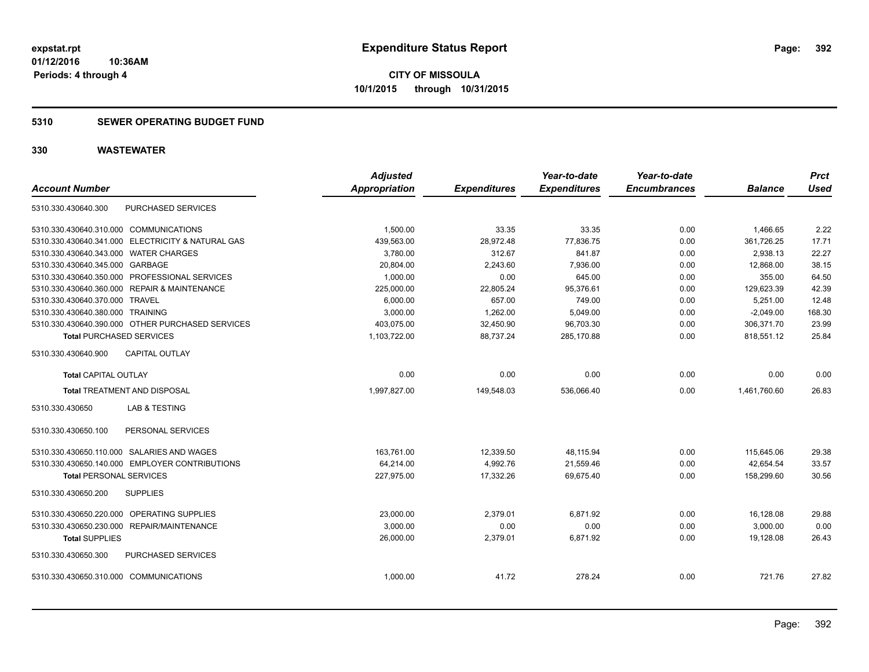## **5310 SEWER OPERATING BUDGET FUND**

| <b>Account Number</b>                        |                                                   | <b>Adjusted</b><br><b>Appropriation</b> | <b>Expenditures</b> | Year-to-date<br><b>Expenditures</b> | Year-to-date<br><b>Encumbrances</b> | <b>Balance</b> | <b>Prct</b><br><b>Used</b> |
|----------------------------------------------|---------------------------------------------------|-----------------------------------------|---------------------|-------------------------------------|-------------------------------------|----------------|----------------------------|
|                                              |                                                   |                                         |                     |                                     |                                     |                |                            |
| 5310.330.430640.300                          | PURCHASED SERVICES                                |                                         |                     |                                     |                                     |                |                            |
| 5310.330.430640.310.000 COMMUNICATIONS       |                                                   | 1.500.00                                | 33.35               | 33.35                               | 0.00                                | 1,466.65       | 2.22                       |
|                                              | 5310.330.430640.341.000 ELECTRICITY & NATURAL GAS | 439,563.00                              | 28,972.48           | 77,836.75                           | 0.00                                | 361,726.25     | 17.71                      |
| 5310.330.430640.343.000 WATER CHARGES        |                                                   | 3,780.00                                | 312.67              | 841.87                              | 0.00                                | 2,938.13       | 22.27                      |
| 5310.330.430640.345.000 GARBAGE              |                                                   | 20,804.00                               | 2,243.60            | 7,936.00                            | 0.00                                | 12,868.00      | 38.15                      |
|                                              | 5310.330.430640.350.000 PROFESSIONAL SERVICES     | 1,000.00                                | 0.00                | 645.00                              | 0.00                                | 355.00         | 64.50                      |
| 5310.330.430640.360.000 REPAIR & MAINTENANCE |                                                   | 225,000.00                              | 22,805.24           | 95,376.61                           | 0.00                                | 129,623.39     | 42.39                      |
| 5310.330.430640.370.000 TRAVEL               |                                                   | 6,000.00                                | 657.00              | 749.00                              | 0.00                                | 5,251.00       | 12.48                      |
| 5310.330.430640.380.000 TRAINING             |                                                   | 3,000.00                                | 1,262.00            | 5,049.00                            | 0.00                                | $-2,049.00$    | 168.30                     |
|                                              | 5310.330.430640.390.000 OTHER PURCHASED SERVICES  | 403,075.00                              | 32,450.90           | 96,703.30                           | 0.00                                | 306,371.70     | 23.99                      |
| <b>Total PURCHASED SERVICES</b>              |                                                   | 1,103,722.00                            | 88.737.24           | 285,170.88                          | 0.00                                | 818,551.12     | 25.84                      |
| 5310.330.430640.900                          | <b>CAPITAL OUTLAY</b>                             |                                         |                     |                                     |                                     |                |                            |
| <b>Total CAPITAL OUTLAY</b>                  |                                                   | 0.00                                    | 0.00                | 0.00                                | 0.00                                | 0.00           | 0.00                       |
| <b>Total TREATMENT AND DISPOSAL</b>          |                                                   | 1.997.827.00                            | 149,548.03          | 536.066.40                          | 0.00                                | 1.461.760.60   | 26.83                      |
| 5310.330.430650                              | <b>LAB &amp; TESTING</b>                          |                                         |                     |                                     |                                     |                |                            |
| 5310.330.430650.100                          | PERSONAL SERVICES                                 |                                         |                     |                                     |                                     |                |                            |
| 5310.330.430650.110.000 SALARIES AND WAGES   |                                                   | 163,761.00                              | 12,339.50           | 48,115.94                           | 0.00                                | 115,645.06     | 29.38                      |
|                                              | 5310.330.430650.140.000 EMPLOYER CONTRIBUTIONS    | 64,214.00                               | 4,992.76            | 21,559.46                           | 0.00                                | 42,654.54      | 33.57                      |
| <b>Total PERSONAL SERVICES</b>               |                                                   | 227,975.00                              | 17,332.26           | 69,675.40                           | 0.00                                | 158,299.60     | 30.56                      |
| 5310.330.430650.200                          | <b>SUPPLIES</b>                                   |                                         |                     |                                     |                                     |                |                            |
| 5310.330.430650.220.000 OPERATING SUPPLIES   |                                                   | 23,000.00                               | 2.379.01            | 6.871.92                            | 0.00                                | 16,128.08      | 29.88                      |
| 5310.330.430650.230.000 REPAIR/MAINTENANCE   |                                                   | 3,000.00                                | 0.00                | 0.00                                | 0.00                                | 3,000.00       | 0.00                       |
| <b>Total SUPPLIES</b>                        |                                                   | 26,000.00                               | 2,379.01            | 6,871.92                            | 0.00                                | 19,128.08      | 26.43                      |
| 5310.330.430650.300                          | PURCHASED SERVICES                                |                                         |                     |                                     |                                     |                |                            |
| 5310.330.430650.310.000 COMMUNICATIONS       |                                                   | 1.000.00                                | 41.72               | 278.24                              | 0.00                                | 721.76         | 27.82                      |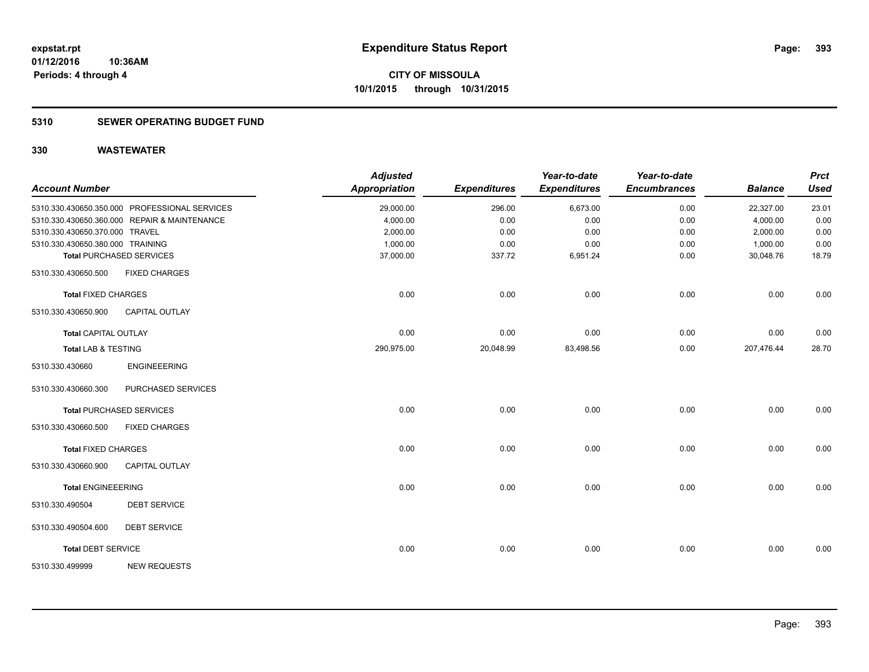## **5310 SEWER OPERATING BUDGET FUND**

| <b>Account Number</b>            |                                               | <b>Adjusted</b><br><b>Appropriation</b> | <b>Expenditures</b> | Year-to-date<br><b>Expenditures</b> | Year-to-date<br><b>Encumbrances</b> | <b>Balance</b> | <b>Prct</b><br><b>Used</b> |
|----------------------------------|-----------------------------------------------|-----------------------------------------|---------------------|-------------------------------------|-------------------------------------|----------------|----------------------------|
|                                  | 5310.330.430650.350.000 PROFESSIONAL SERVICES | 29,000.00                               | 296.00              | 6,673.00                            | 0.00                                | 22,327.00      | 23.01                      |
|                                  | 5310.330.430650.360.000 REPAIR & MAINTENANCE  | 4,000.00                                | 0.00                | 0.00                                | 0.00                                | 4,000.00       | 0.00                       |
| 5310.330.430650.370.000 TRAVEL   |                                               | 2,000.00                                | 0.00                | 0.00                                | 0.00                                | 2,000.00       | 0.00                       |
| 5310.330.430650.380.000 TRAINING |                                               | 1,000.00                                | 0.00                | 0.00                                | 0.00                                | 1,000.00       | 0.00                       |
|                                  | <b>Total PURCHASED SERVICES</b>               | 37,000.00                               | 337.72              | 6,951.24                            | 0.00                                | 30,048.76      | 18.79                      |
| 5310.330.430650.500              | <b>FIXED CHARGES</b>                          |                                         |                     |                                     |                                     |                |                            |
| <b>Total FIXED CHARGES</b>       |                                               | 0.00                                    | 0.00                | 0.00                                | 0.00                                | 0.00           | 0.00                       |
| 5310.330.430650.900              | <b>CAPITAL OUTLAY</b>                         |                                         |                     |                                     |                                     |                |                            |
| <b>Total CAPITAL OUTLAY</b>      |                                               | 0.00                                    | 0.00                | 0.00                                | 0.00                                | 0.00           | 0.00                       |
| <b>Total LAB &amp; TESTING</b>   |                                               | 290,975.00                              | 20,048.99           | 83,498.56                           | 0.00                                | 207,476.44     | 28.70                      |
| 5310.330.430660                  | <b>ENGINEEERING</b>                           |                                         |                     |                                     |                                     |                |                            |
| 5310.330.430660.300              | PURCHASED SERVICES                            |                                         |                     |                                     |                                     |                |                            |
|                                  | <b>Total PURCHASED SERVICES</b>               | 0.00                                    | 0.00                | 0.00                                | 0.00                                | 0.00           | 0.00                       |
| 5310.330.430660.500              | <b>FIXED CHARGES</b>                          |                                         |                     |                                     |                                     |                |                            |
| <b>Total FIXED CHARGES</b>       |                                               | 0.00                                    | 0.00                | 0.00                                | 0.00                                | 0.00           | 0.00                       |
| 5310.330.430660.900              | <b>CAPITAL OUTLAY</b>                         |                                         |                     |                                     |                                     |                |                            |
| <b>Total ENGINEEERING</b>        |                                               | 0.00                                    | 0.00                | 0.00                                | 0.00                                | 0.00           | 0.00                       |
| 5310.330.490504                  | <b>DEBT SERVICE</b>                           |                                         |                     |                                     |                                     |                |                            |
| 5310.330.490504.600              | <b>DEBT SERVICE</b>                           |                                         |                     |                                     |                                     |                |                            |
| <b>Total DEBT SERVICE</b>        |                                               | 0.00                                    | 0.00                | 0.00                                | 0.00                                | 0.00           | 0.00                       |
| 5310.330.499999                  | <b>NEW REQUESTS</b>                           |                                         |                     |                                     |                                     |                |                            |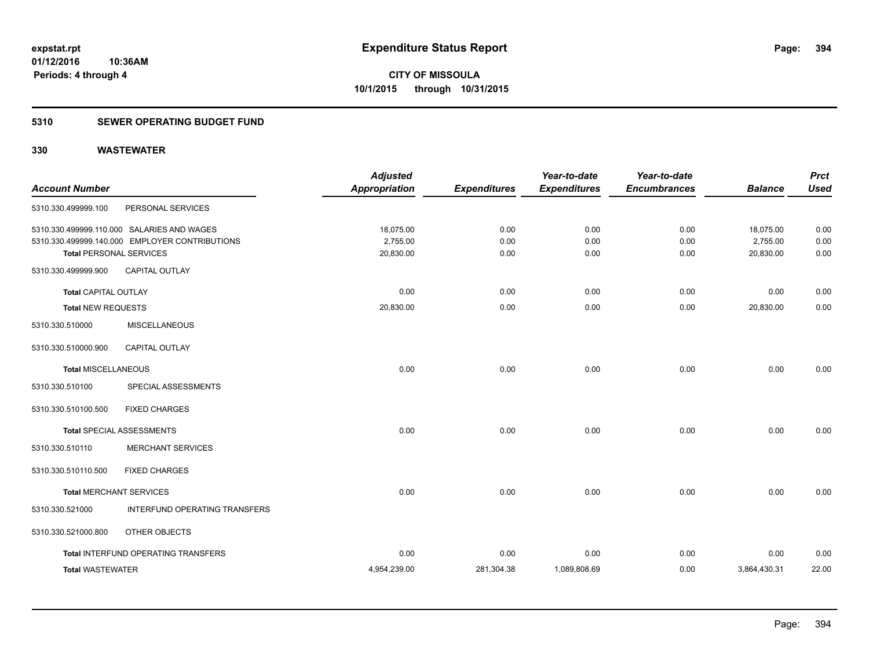## **5310 SEWER OPERATING BUDGET FUND**

| <b>Account Number</b>          |                                                | <b>Adjusted</b><br><b>Appropriation</b> | <b>Expenditures</b> | Year-to-date<br><b>Expenditures</b> | Year-to-date<br><b>Encumbrances</b> | <b>Balance</b> | <b>Prct</b><br><b>Used</b> |
|--------------------------------|------------------------------------------------|-----------------------------------------|---------------------|-------------------------------------|-------------------------------------|----------------|----------------------------|
|                                |                                                |                                         |                     |                                     |                                     |                |                            |
| 5310.330.499999.100            | PERSONAL SERVICES                              |                                         |                     |                                     |                                     |                |                            |
|                                | 5310.330.499999.110.000 SALARIES AND WAGES     | 18,075.00                               | 0.00                | 0.00                                | 0.00                                | 18,075.00      | 0.00                       |
|                                | 5310.330.499999.140.000 EMPLOYER CONTRIBUTIONS | 2,755.00                                | 0.00                | 0.00                                | 0.00                                | 2,755.00       | 0.00                       |
| <b>Total PERSONAL SERVICES</b> |                                                | 20,830.00                               | 0.00                | 0.00                                | 0.00                                | 20,830.00      | 0.00                       |
| 5310.330.499999.900            | CAPITAL OUTLAY                                 |                                         |                     |                                     |                                     |                |                            |
| <b>Total CAPITAL OUTLAY</b>    |                                                | 0.00                                    | 0.00                | 0.00                                | 0.00                                | 0.00           | 0.00                       |
| <b>Total NEW REQUESTS</b>      |                                                | 20,830.00                               | 0.00                | 0.00                                | 0.00                                | 20,830.00      | 0.00                       |
| 5310.330.510000                | <b>MISCELLANEOUS</b>                           |                                         |                     |                                     |                                     |                |                            |
| 5310.330.510000.900            | <b>CAPITAL OUTLAY</b>                          |                                         |                     |                                     |                                     |                |                            |
| <b>Total MISCELLANEOUS</b>     |                                                | 0.00                                    | 0.00                | 0.00                                | 0.00                                | 0.00           | 0.00                       |
| 5310.330.510100                | SPECIAL ASSESSMENTS                            |                                         |                     |                                     |                                     |                |                            |
| 5310.330.510100.500            | <b>FIXED CHARGES</b>                           |                                         |                     |                                     |                                     |                |                            |
|                                | <b>Total SPECIAL ASSESSMENTS</b>               | 0.00                                    | 0.00                | 0.00                                | 0.00                                | 0.00           | 0.00                       |
| 5310.330.510110                | <b>MERCHANT SERVICES</b>                       |                                         |                     |                                     |                                     |                |                            |
| 5310.330.510110.500            | <b>FIXED CHARGES</b>                           |                                         |                     |                                     |                                     |                |                            |
| <b>Total MERCHANT SERVICES</b> |                                                | 0.00                                    | 0.00                | 0.00                                | 0.00                                | 0.00           | 0.00                       |
| 5310.330.521000                | INTERFUND OPERATING TRANSFERS                  |                                         |                     |                                     |                                     |                |                            |
| 5310.330.521000.800            | OTHER OBJECTS                                  |                                         |                     |                                     |                                     |                |                            |
|                                | Total INTERFUND OPERATING TRANSFERS            | 0.00                                    | 0.00                | 0.00                                | 0.00                                | 0.00           | 0.00                       |
| <b>Total WASTEWATER</b>        |                                                | 4,954,239.00                            | 281,304.38          | 1,089,808.69                        | 0.00                                | 3,864,430.31   | 22.00                      |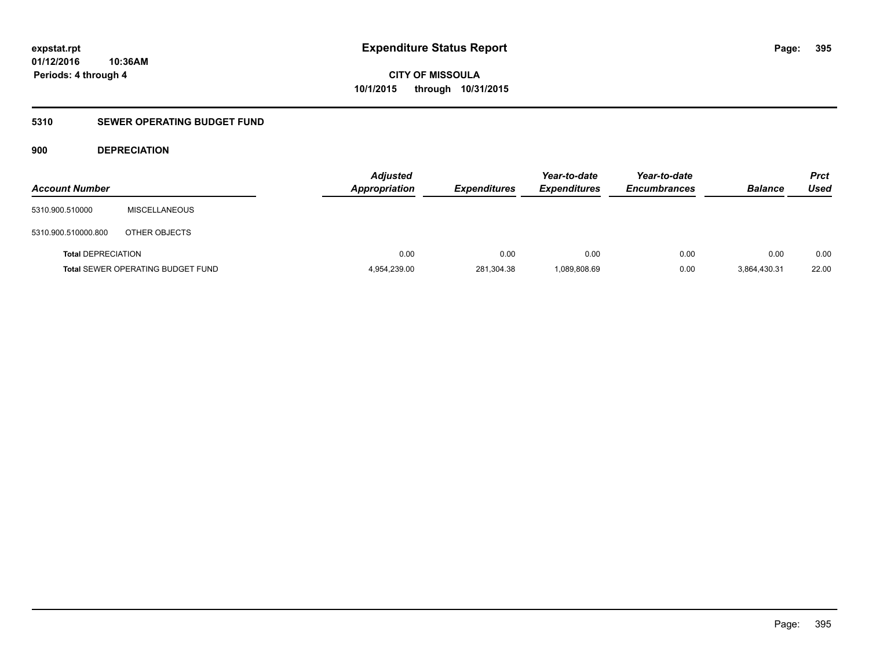## **5310 SEWER OPERATING BUDGET FUND**

## **900 DEPRECIATION**

| <b>Account Number</b>     |                                          | <b>Adjusted</b><br><b>Appropriation</b> | <b>Expenditures</b> | Year-to-date<br><b>Expenditures</b> | Year-to-date<br><b>Encumbrances</b> | <b>Balance</b> | <b>Prct</b><br>Used |
|---------------------------|------------------------------------------|-----------------------------------------|---------------------|-------------------------------------|-------------------------------------|----------------|---------------------|
| 5310.900.510000           | <b>MISCELLANEOUS</b>                     |                                         |                     |                                     |                                     |                |                     |
| 5310.900.510000.800       | OTHER OBJECTS                            |                                         |                     |                                     |                                     |                |                     |
| <b>Total DEPRECIATION</b> |                                          | 0.00                                    | 0.00                | 0.00                                | 0.00                                | 0.00           | 0.00                |
|                           | <b>Total SEWER OPERATING BUDGET FUND</b> | 4,954,239.00                            | 281,304.38          | 1,089,808.69                        | 0.00                                | 3,864,430.31   | 22.00               |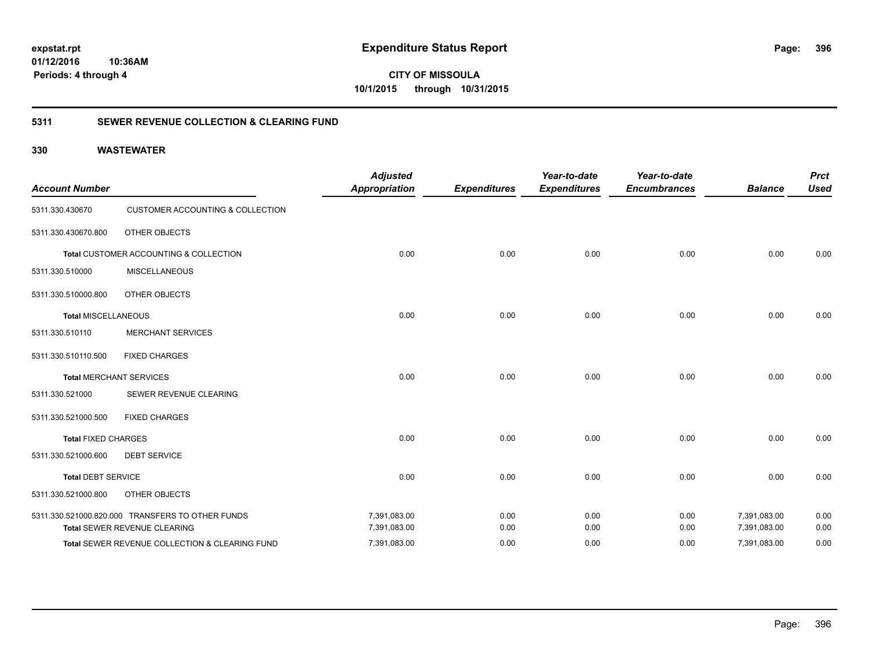**01/12/2016 10:36AM Periods: 4 through 4**

**CITY OF MISSOULA 10/1/2015 through 10/31/2015**

## **5311 SEWER REVENUE COLLECTION & CLEARING FUND**

| <b>Account Number</b>      |                                                  | <b>Adjusted</b><br><b>Appropriation</b> | <b>Expenditures</b> | Year-to-date<br><b>Expenditures</b> | Year-to-date<br><b>Encumbrances</b> | <b>Balance</b> | <b>Prct</b><br><b>Used</b> |
|----------------------------|--------------------------------------------------|-----------------------------------------|---------------------|-------------------------------------|-------------------------------------|----------------|----------------------------|
| 5311.330.430670            | <b>CUSTOMER ACCOUNTING &amp; COLLECTION</b>      |                                         |                     |                                     |                                     |                |                            |
| 5311.330.430670.800        | <b>OTHER OBJECTS</b>                             |                                         |                     |                                     |                                     |                |                            |
|                            | Total CUSTOMER ACCOUNTING & COLLECTION           | 0.00                                    | 0.00                | 0.00                                | 0.00                                | 0.00           | 0.00                       |
| 5311.330.510000            | <b>MISCELLANEOUS</b>                             |                                         |                     |                                     |                                     |                |                            |
| 5311.330.510000.800        | <b>OTHER OBJECTS</b>                             |                                         |                     |                                     |                                     |                |                            |
| <b>Total MISCELLANEOUS</b> |                                                  | 0.00                                    | 0.00                | 0.00                                | 0.00                                | 0.00           | 0.00                       |
| 5311.330.510110            | <b>MERCHANT SERVICES</b>                         |                                         |                     |                                     |                                     |                |                            |
| 5311.330.510110.500        | <b>FIXED CHARGES</b>                             |                                         |                     |                                     |                                     |                |                            |
|                            | <b>Total MERCHANT SERVICES</b>                   | 0.00                                    | 0.00                | 0.00                                | 0.00                                | 0.00           | 0.00                       |
| 5311.330.521000            | SEWER REVENUE CLEARING                           |                                         |                     |                                     |                                     |                |                            |
| 5311.330.521000.500        | <b>FIXED CHARGES</b>                             |                                         |                     |                                     |                                     |                |                            |
| <b>Total FIXED CHARGES</b> |                                                  | 0.00                                    | 0.00                | 0.00                                | 0.00                                | 0.00           | 0.00                       |
| 5311.330.521000.600        | <b>DEBT SERVICE</b>                              |                                         |                     |                                     |                                     |                |                            |
| <b>Total DEBT SERVICE</b>  |                                                  | 0.00                                    | 0.00                | 0.00                                | 0.00                                | 0.00           | 0.00                       |
| 5311.330.521000.800        | OTHER OBJECTS                                    |                                         |                     |                                     |                                     |                |                            |
|                            | 5311.330.521000.820.000 TRANSFERS TO OTHER FUNDS | 7,391,083.00                            | 0.00                | 0.00                                | 0.00                                | 7,391,083.00   | 0.00                       |
|                            | Total SEWER REVENUE CLEARING                     | 7,391,083.00                            | 0.00                | 0.00                                | 0.00                                | 7,391,083.00   | 0.00                       |
|                            | Total SEWER REVENUE COLLECTION & CLEARING FUND   | 7,391,083.00                            | 0.00                | 0.00                                | 0.00                                | 7,391,083.00   | 0.00                       |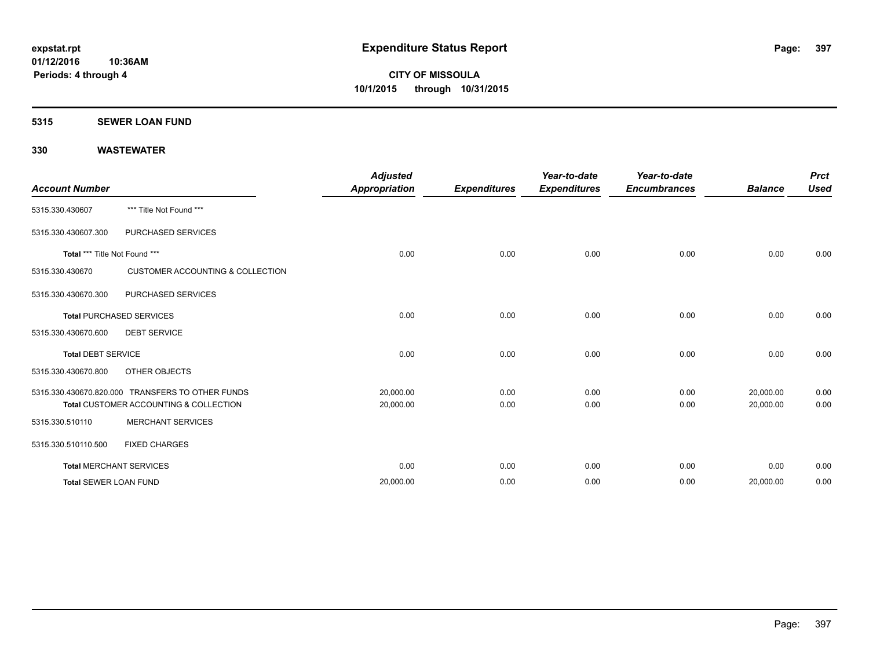#### **5315 SEWER LOAN FUND**

| <b>Account Number</b>         |                                                  | <b>Adjusted</b><br><b>Appropriation</b> | <b>Expenditures</b> | Year-to-date<br><b>Expenditures</b> | Year-to-date<br><b>Encumbrances</b> | <b>Balance</b> | <b>Prct</b><br><b>Used</b> |
|-------------------------------|--------------------------------------------------|-----------------------------------------|---------------------|-------------------------------------|-------------------------------------|----------------|----------------------------|
| 5315.330.430607               | *** Title Not Found ***                          |                                         |                     |                                     |                                     |                |                            |
| 5315.330.430607.300           | PURCHASED SERVICES                               |                                         |                     |                                     |                                     |                |                            |
| Total *** Title Not Found *** |                                                  | 0.00                                    | 0.00                | 0.00                                | 0.00                                | 0.00           | 0.00                       |
| 5315.330.430670               | <b>CUSTOMER ACCOUNTING &amp; COLLECTION</b>      |                                         |                     |                                     |                                     |                |                            |
| 5315.330.430670.300           | PURCHASED SERVICES                               |                                         |                     |                                     |                                     |                |                            |
|                               | <b>Total PURCHASED SERVICES</b>                  | 0.00                                    | 0.00                | 0.00                                | 0.00                                | 0.00           | 0.00                       |
| 5315.330.430670.600           | <b>DEBT SERVICE</b>                              |                                         |                     |                                     |                                     |                |                            |
| <b>Total DEBT SERVICE</b>     |                                                  | 0.00                                    | 0.00                | 0.00                                | 0.00                                | 0.00           | 0.00                       |
| 5315.330.430670.800           | OTHER OBJECTS                                    |                                         |                     |                                     |                                     |                |                            |
|                               | 5315.330.430670.820.000 TRANSFERS TO OTHER FUNDS | 20,000.00                               | 0.00                | 0.00                                | 0.00                                | 20,000.00      | 0.00                       |
|                               | Total CUSTOMER ACCOUNTING & COLLECTION           | 20,000.00                               | 0.00                | 0.00                                | 0.00                                | 20,000.00      | 0.00                       |
| 5315.330.510110               | <b>MERCHANT SERVICES</b>                         |                                         |                     |                                     |                                     |                |                            |
| 5315.330.510110.500           | <b>FIXED CHARGES</b>                             |                                         |                     |                                     |                                     |                |                            |
|                               | <b>Total MERCHANT SERVICES</b>                   | 0.00                                    | 0.00                | 0.00                                | 0.00                                | 0.00           | 0.00                       |
| <b>Total SEWER LOAN FUND</b>  |                                                  | 20,000.00                               | 0.00                | 0.00                                | 0.00                                | 20,000.00      | 0.00                       |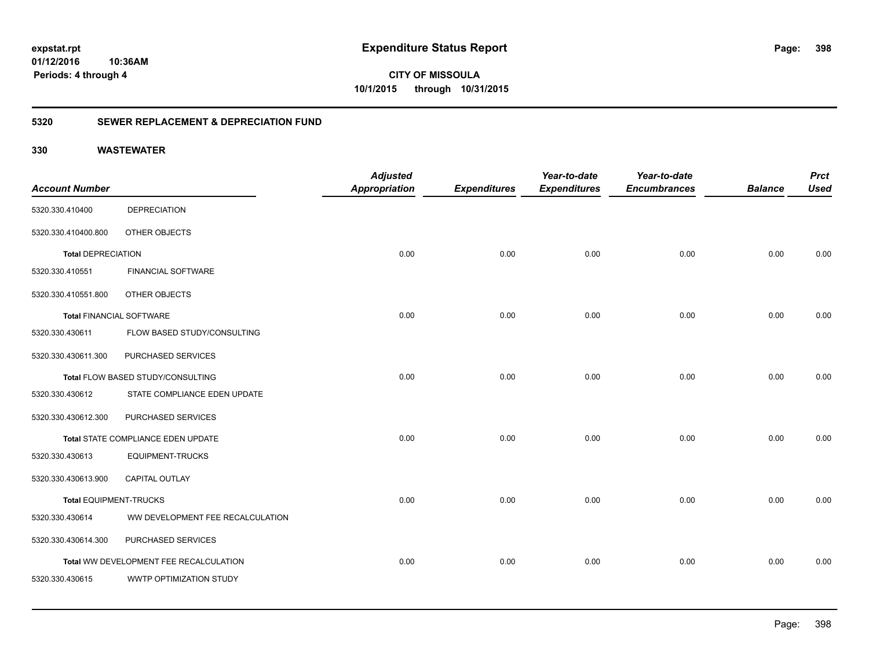**CITY OF MISSOULA 10/1/2015 through 10/31/2015**

### **5320 SEWER REPLACEMENT & DEPRECIATION FUND**

| <b>Account Number</b>           |                                        | <b>Adjusted</b><br><b>Appropriation</b> | <b>Expenditures</b> | Year-to-date<br><b>Expenditures</b> | Year-to-date<br><b>Encumbrances</b> | <b>Balance</b> | <b>Prct</b><br><b>Used</b> |
|---------------------------------|----------------------------------------|-----------------------------------------|---------------------|-------------------------------------|-------------------------------------|----------------|----------------------------|
| 5320.330.410400                 | <b>DEPRECIATION</b>                    |                                         |                     |                                     |                                     |                |                            |
| 5320.330.410400.800             | OTHER OBJECTS                          |                                         |                     |                                     |                                     |                |                            |
| <b>Total DEPRECIATION</b>       |                                        | 0.00                                    | 0.00                | 0.00                                | 0.00                                | 0.00           | 0.00                       |
| 5320.330.410551                 | <b>FINANCIAL SOFTWARE</b>              |                                         |                     |                                     |                                     |                |                            |
| 5320.330.410551.800             | OTHER OBJECTS                          |                                         |                     |                                     |                                     |                |                            |
| <b>Total FINANCIAL SOFTWARE</b> |                                        | 0.00                                    | 0.00                | 0.00                                | 0.00                                | 0.00           | 0.00                       |
| 5320.330.430611                 | FLOW BASED STUDY/CONSULTING            |                                         |                     |                                     |                                     |                |                            |
| 5320.330.430611.300             | PURCHASED SERVICES                     |                                         |                     |                                     |                                     |                |                            |
|                                 | Total FLOW BASED STUDY/CONSULTING      | 0.00                                    | 0.00                | 0.00                                | 0.00                                | 0.00           | 0.00                       |
| 5320.330.430612                 | STATE COMPLIANCE EDEN UPDATE           |                                         |                     |                                     |                                     |                |                            |
| 5320.330.430612.300             | PURCHASED SERVICES                     |                                         |                     |                                     |                                     |                |                            |
|                                 | Total STATE COMPLIANCE EDEN UPDATE     | 0.00                                    | 0.00                | 0.00                                | 0.00                                | 0.00           | 0.00                       |
| 5320.330.430613                 | <b>EQUIPMENT-TRUCKS</b>                |                                         |                     |                                     |                                     |                |                            |
| 5320.330.430613.900             | CAPITAL OUTLAY                         |                                         |                     |                                     |                                     |                |                            |
| <b>Total EQUIPMENT-TRUCKS</b>   |                                        | 0.00                                    | 0.00                | 0.00                                | 0.00                                | 0.00           | 0.00                       |
| 5320.330.430614                 | WW DEVELOPMENT FEE RECALCULATION       |                                         |                     |                                     |                                     |                |                            |
| 5320.330.430614.300             | PURCHASED SERVICES                     |                                         |                     |                                     |                                     |                |                            |
|                                 | Total WW DEVELOPMENT FEE RECALCULATION | 0.00                                    | 0.00                | 0.00                                | 0.00                                | 0.00           | 0.00                       |
| 5320.330.430615                 | WWTP OPTIMIZATION STUDY                |                                         |                     |                                     |                                     |                |                            |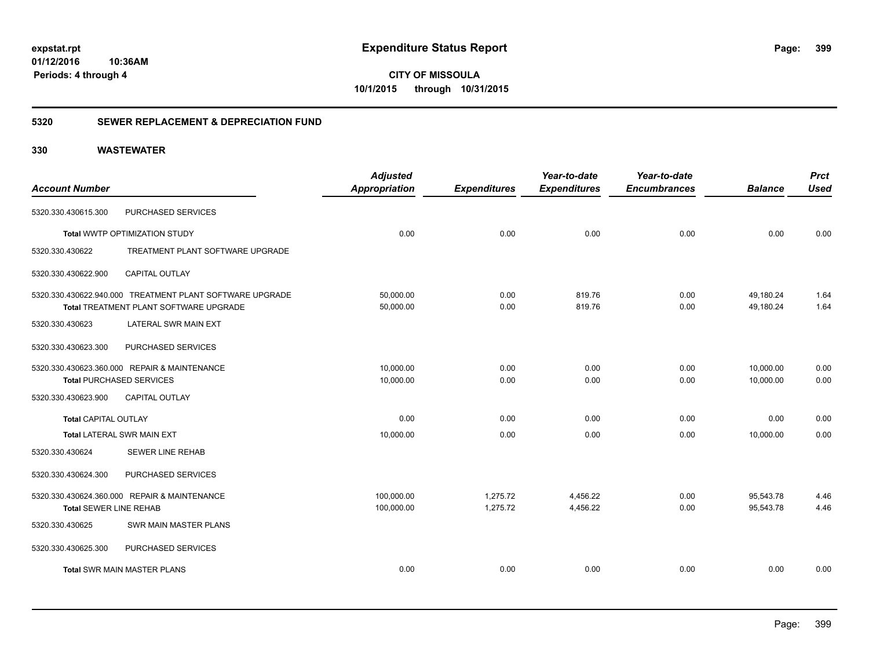**CITY OF MISSOULA 10/1/2015 through 10/31/2015**

### **5320 SEWER REPLACEMENT & DEPRECIATION FUND**

|                                   |                                                          | <b>Adjusted</b>      |                     | Year-to-date        | Year-to-date        |                | <b>Prct</b> |
|-----------------------------------|----------------------------------------------------------|----------------------|---------------------|---------------------|---------------------|----------------|-------------|
| <b>Account Number</b>             |                                                          | <b>Appropriation</b> | <b>Expenditures</b> | <b>Expenditures</b> | <b>Encumbrances</b> | <b>Balance</b> | <b>Used</b> |
| 5320.330.430615.300               | PURCHASED SERVICES                                       |                      |                     |                     |                     |                |             |
|                                   | Total WWTP OPTIMIZATION STUDY                            | 0.00                 | 0.00                | 0.00                | 0.00                | 0.00           | 0.00        |
| 5320.330.430622                   | TREATMENT PLANT SOFTWARE UPGRADE                         |                      |                     |                     |                     |                |             |
| 5320.330.430622.900               | <b>CAPITAL OUTLAY</b>                                    |                      |                     |                     |                     |                |             |
|                                   | 5320.330.430622.940.000 TREATMENT PLANT SOFTWARE UPGRADE | 50,000.00            | 0.00                | 819.76              | 0.00                | 49,180.24      | 1.64        |
|                                   | <b>Total TREATMENT PLANT SOFTWARE UPGRADE</b>            | 50,000.00            | 0.00                | 819.76              | 0.00                | 49,180.24      | 1.64        |
| 5320.330.430623                   | LATERAL SWR MAIN EXT                                     |                      |                     |                     |                     |                |             |
| 5320.330.430623.300               | PURCHASED SERVICES                                       |                      |                     |                     |                     |                |             |
|                                   | 5320.330.430623.360.000 REPAIR & MAINTENANCE             | 10,000.00            | 0.00                | 0.00                | 0.00                | 10,000.00      | 0.00        |
| <b>Total PURCHASED SERVICES</b>   |                                                          | 10,000.00            | 0.00                | 0.00                | 0.00                | 10,000.00      | 0.00        |
| 5320.330.430623.900               | <b>CAPITAL OUTLAY</b>                                    |                      |                     |                     |                     |                |             |
| <b>Total CAPITAL OUTLAY</b>       |                                                          | 0.00                 | 0.00                | 0.00                | 0.00                | 0.00           | 0.00        |
| <b>Total LATERAL SWR MAIN EXT</b> |                                                          | 10,000.00            | 0.00                | 0.00                | 0.00                | 10,000.00      | 0.00        |
| 5320.330.430624                   | <b>SEWER LINE REHAB</b>                                  |                      |                     |                     |                     |                |             |
| 5320.330.430624.300               | PURCHASED SERVICES                                       |                      |                     |                     |                     |                |             |
|                                   | 5320.330.430624.360.000 REPAIR & MAINTENANCE             | 100,000.00           | 1,275.72            | 4,456.22            | 0.00                | 95,543.78      | 4.46        |
| Total SEWER LINE REHAB            |                                                          | 100,000.00           | 1,275.72            | 4,456.22            | 0.00                | 95,543.78      | 4.46        |
| 5320.330.430625                   | SWR MAIN MASTER PLANS                                    |                      |                     |                     |                     |                |             |
| 5320.330.430625.300               | PURCHASED SERVICES                                       |                      |                     |                     |                     |                |             |
|                                   | <b>Total SWR MAIN MASTER PLANS</b>                       | 0.00                 | 0.00                | 0.00                | 0.00                | 0.00           | 0.00        |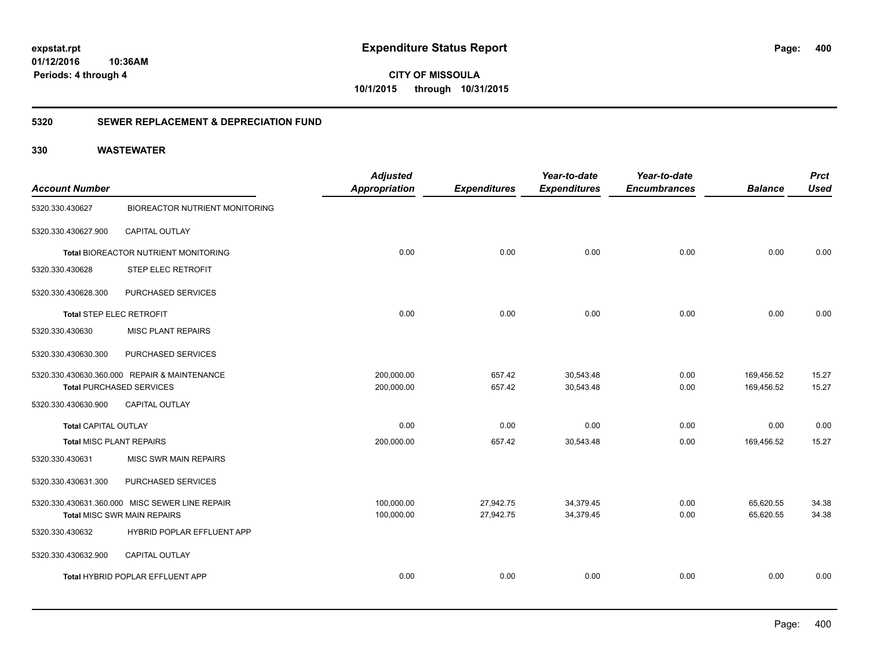**CITY OF MISSOULA 10/1/2015 through 10/31/2015**

### **5320 SEWER REPLACEMENT & DEPRECIATION FUND**

|                                                | <b>Adjusted</b>                                                          |                                    | Year-to-date                  | Year-to-date                     |                             | <b>Prct</b><br><b>Used</b>   |
|------------------------------------------------|--------------------------------------------------------------------------|------------------------------------|-------------------------------|----------------------------------|-----------------------------|------------------------------|
|                                                |                                                                          |                                    |                               |                                  |                             |                              |
|                                                |                                                                          |                                    |                               |                                  |                             |                              |
| CAPITAL OUTLAY                                 |                                                                          |                                    |                               |                                  |                             |                              |
| Total BIOREACTOR NUTRIENT MONITORING           | 0.00                                                                     | 0.00                               | 0.00                          | 0.00                             | 0.00                        | 0.00                         |
| <b>STEP ELEC RETROFIT</b>                      |                                                                          |                                    |                               |                                  |                             |                              |
| PURCHASED SERVICES                             |                                                                          |                                    |                               |                                  |                             |                              |
| <b>Total STEP ELEC RETROFIT</b>                | 0.00                                                                     | 0.00                               | 0.00                          | 0.00                             | 0.00                        | 0.00                         |
| <b>MISC PLANT REPAIRS</b>                      |                                                                          |                                    |                               |                                  |                             |                              |
| PURCHASED SERVICES                             |                                                                          |                                    |                               |                                  |                             |                              |
| 5320.330.430630.360.000 REPAIR & MAINTENANCE   | 200,000.00                                                               | 657.42                             | 30,543.48                     | 0.00                             | 169,456.52                  | 15.27                        |
|                                                |                                                                          |                                    |                               |                                  |                             | 15.27                        |
| <b>CAPITAL OUTLAY</b>                          |                                                                          |                                    |                               |                                  |                             |                              |
| <b>Total CAPITAL OUTLAY</b>                    | 0.00                                                                     | 0.00                               | 0.00                          | 0.00                             | 0.00                        | 0.00                         |
| Total MISC PLANT REPAIRS                       | 200,000.00                                                               | 657.42                             | 30,543.48                     | 0.00                             | 169,456.52                  | 15.27                        |
| MISC SWR MAIN REPAIRS                          |                                                                          |                                    |                               |                                  |                             |                              |
| PURCHASED SERVICES                             |                                                                          |                                    |                               |                                  |                             |                              |
| 5320.330.430631.360.000 MISC SEWER LINE REPAIR | 100,000.00                                                               | 27,942.75                          | 34,379.45                     | 0.00                             | 65,620.55                   | 34.38                        |
| <b>Total MISC SWR MAIN REPAIRS</b>             | 100,000.00                                                               | 27,942.75                          | 34,379.45                     | 0.00                             | 65,620.55                   | 34.38                        |
| HYBRID POPLAR EFFLUENT APP                     |                                                                          |                                    |                               |                                  |                             |                              |
| CAPITAL OUTLAY                                 |                                                                          |                                    |                               |                                  |                             |                              |
| Total HYBRID POPLAR EFFLUENT APP               | 0.00                                                                     | 0.00                               | 0.00                          | 0.00                             | 0.00                        | 0.00                         |
|                                                | <b>BIOREACTOR NUTRIENT MONITORING</b><br><b>Total PURCHASED SERVICES</b> | <b>Appropriation</b><br>200,000.00 | <b>Expenditures</b><br>657.42 | <b>Expenditures</b><br>30,543.48 | <b>Encumbrances</b><br>0.00 | <b>Balance</b><br>169,456.52 |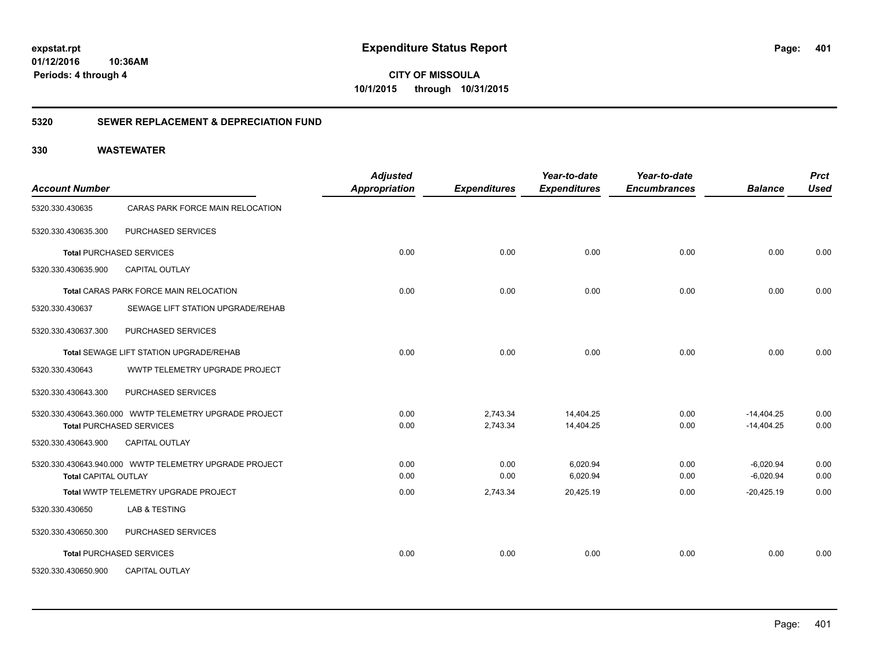**CITY OF MISSOULA 10/1/2015 through 10/31/2015**

### **5320 SEWER REPLACEMENT & DEPRECIATION FUND**

| <b>Account Number</b>       |                                                        | <b>Adjusted</b><br><b>Appropriation</b> | <b>Expenditures</b> | Year-to-date<br><b>Expenditures</b> | Year-to-date<br><b>Encumbrances</b> | <b>Balance</b> | <b>Prct</b><br><b>Used</b> |
|-----------------------------|--------------------------------------------------------|-----------------------------------------|---------------------|-------------------------------------|-------------------------------------|----------------|----------------------------|
| 5320.330.430635             | CARAS PARK FORCE MAIN RELOCATION                       |                                         |                     |                                     |                                     |                |                            |
| 5320.330.430635.300         | PURCHASED SERVICES                                     |                                         |                     |                                     |                                     |                |                            |
|                             | <b>Total PURCHASED SERVICES</b>                        | 0.00                                    | 0.00                | 0.00                                | 0.00                                | 0.00           | 0.00                       |
| 5320.330.430635.900         | CAPITAL OUTLAY                                         |                                         |                     |                                     |                                     |                |                            |
|                             | Total CARAS PARK FORCE MAIN RELOCATION                 | 0.00                                    | 0.00                | 0.00                                | 0.00                                | 0.00           | 0.00                       |
| 5320.330.430637             | SEWAGE LIFT STATION UPGRADE/REHAB                      |                                         |                     |                                     |                                     |                |                            |
| 5320.330.430637.300         | PURCHASED SERVICES                                     |                                         |                     |                                     |                                     |                |                            |
|                             | Total SEWAGE LIFT STATION UPGRADE/REHAB                | 0.00                                    | 0.00                | 0.00                                | 0.00                                | 0.00           | 0.00                       |
| 5320.330.430643             | WWTP TELEMETRY UPGRADE PROJECT                         |                                         |                     |                                     |                                     |                |                            |
| 5320.330.430643.300         | PURCHASED SERVICES                                     |                                         |                     |                                     |                                     |                |                            |
|                             | 5320.330.430643.360.000 WWTP TELEMETRY UPGRADE PROJECT | 0.00                                    | 2,743.34            | 14,404.25                           | 0.00                                | $-14,404.25$   | 0.00                       |
|                             | <b>Total PURCHASED SERVICES</b>                        | 0.00                                    | 2,743.34            | 14,404.25                           | 0.00                                | $-14,404.25$   | 0.00                       |
| 5320.330.430643.900         | <b>CAPITAL OUTLAY</b>                                  |                                         |                     |                                     |                                     |                |                            |
|                             | 5320.330.430643.940.000 WWTP TELEMETRY UPGRADE PROJECT | 0.00                                    | 0.00                | 6,020.94                            | 0.00                                | $-6,020.94$    | 0.00                       |
| <b>Total CAPITAL OUTLAY</b> |                                                        | 0.00                                    | 0.00                | 6,020.94                            | 0.00                                | $-6,020.94$    | 0.00                       |
|                             | Total WWTP TELEMETRY UPGRADE PROJECT                   | 0.00                                    | 2,743.34            | 20,425.19                           | 0.00                                | $-20,425.19$   | 0.00                       |
| 5320.330.430650             | LAB & TESTING                                          |                                         |                     |                                     |                                     |                |                            |
| 5320.330.430650.300         | PURCHASED SERVICES                                     |                                         |                     |                                     |                                     |                |                            |
|                             | <b>Total PURCHASED SERVICES</b>                        | 0.00                                    | 0.00                | 0.00                                | 0.00                                | 0.00           | 0.00                       |
| 5320.330.430650.900         | <b>CAPITAL OUTLAY</b>                                  |                                         |                     |                                     |                                     |                |                            |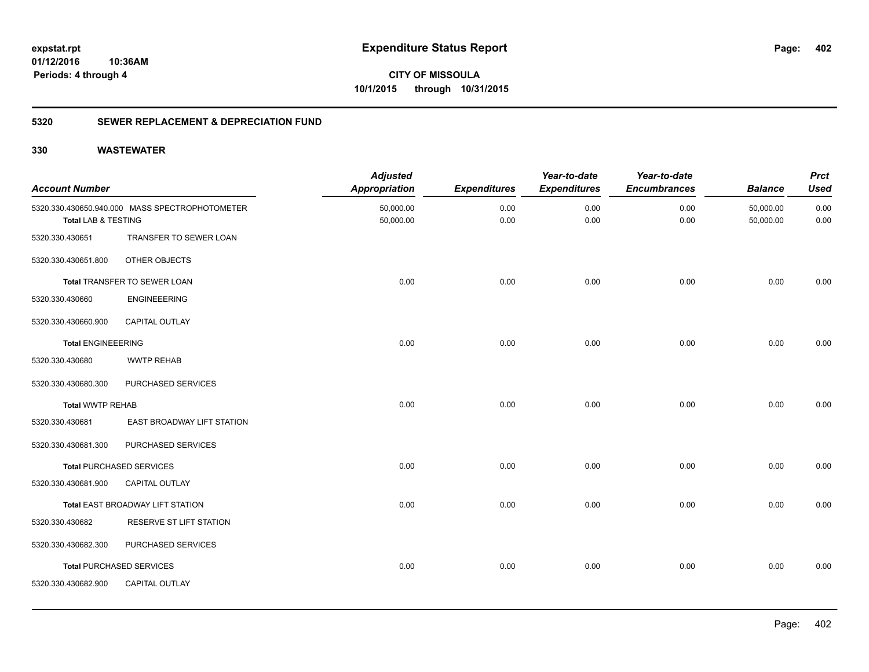**CITY OF MISSOULA 10/1/2015 through 10/31/2015**

### **5320 SEWER REPLACEMENT & DEPRECIATION FUND**

| <b>Account Number</b>     |                                                | <b>Adjusted</b><br><b>Appropriation</b> | <b>Expenditures</b> | Year-to-date<br><b>Expenditures</b> | Year-to-date<br><b>Encumbrances</b> | <b>Balance</b>         | <b>Prct</b><br><b>Used</b> |
|---------------------------|------------------------------------------------|-----------------------------------------|---------------------|-------------------------------------|-------------------------------------|------------------------|----------------------------|
| Total LAB & TESTING       | 5320.330.430650.940.000 MASS SPECTROPHOTOMETER | 50,000.00<br>50,000.00                  | 0.00<br>0.00        | 0.00<br>0.00                        | 0.00<br>0.00                        | 50,000.00<br>50,000.00 | 0.00<br>0.00               |
| 5320.330.430651           | TRANSFER TO SEWER LOAN                         |                                         |                     |                                     |                                     |                        |                            |
| 5320.330.430651.800       | OTHER OBJECTS                                  |                                         |                     |                                     |                                     |                        |                            |
|                           | Total TRANSFER TO SEWER LOAN                   | 0.00                                    | 0.00                | 0.00                                | 0.00                                | 0.00                   | 0.00                       |
| 5320.330.430660           | <b>ENGINEEERING</b>                            |                                         |                     |                                     |                                     |                        |                            |
| 5320.330.430660.900       | CAPITAL OUTLAY                                 |                                         |                     |                                     |                                     |                        |                            |
| <b>Total ENGINEEERING</b> |                                                | 0.00                                    | 0.00                | 0.00                                | 0.00                                | 0.00                   | 0.00                       |
| 5320.330.430680           | <b>WWTP REHAB</b>                              |                                         |                     |                                     |                                     |                        |                            |
| 5320.330.430680.300       | PURCHASED SERVICES                             |                                         |                     |                                     |                                     |                        |                            |
| <b>Total WWTP REHAB</b>   |                                                | 0.00                                    | 0.00                | 0.00                                | 0.00                                | 0.00                   | 0.00                       |
| 5320.330.430681           | EAST BROADWAY LIFT STATION                     |                                         |                     |                                     |                                     |                        |                            |
| 5320.330.430681.300       | PURCHASED SERVICES                             |                                         |                     |                                     |                                     |                        |                            |
|                           | <b>Total PURCHASED SERVICES</b>                | 0.00                                    | 0.00                | 0.00                                | 0.00                                | 0.00                   | 0.00                       |
| 5320.330.430681.900       | <b>CAPITAL OUTLAY</b>                          |                                         |                     |                                     |                                     |                        |                            |
|                           | Total EAST BROADWAY LIFT STATION               | 0.00                                    | 0.00                | 0.00                                | 0.00                                | 0.00                   | 0.00                       |
| 5320.330.430682           | RESERVE ST LIFT STATION                        |                                         |                     |                                     |                                     |                        |                            |
| 5320.330.430682.300       | PURCHASED SERVICES                             |                                         |                     |                                     |                                     |                        |                            |
|                           | <b>Total PURCHASED SERVICES</b>                | 0.00                                    | 0.00                | 0.00                                | 0.00                                | 0.00                   | 0.00                       |
| 5320.330.430682.900       | CAPITAL OUTLAY                                 |                                         |                     |                                     |                                     |                        |                            |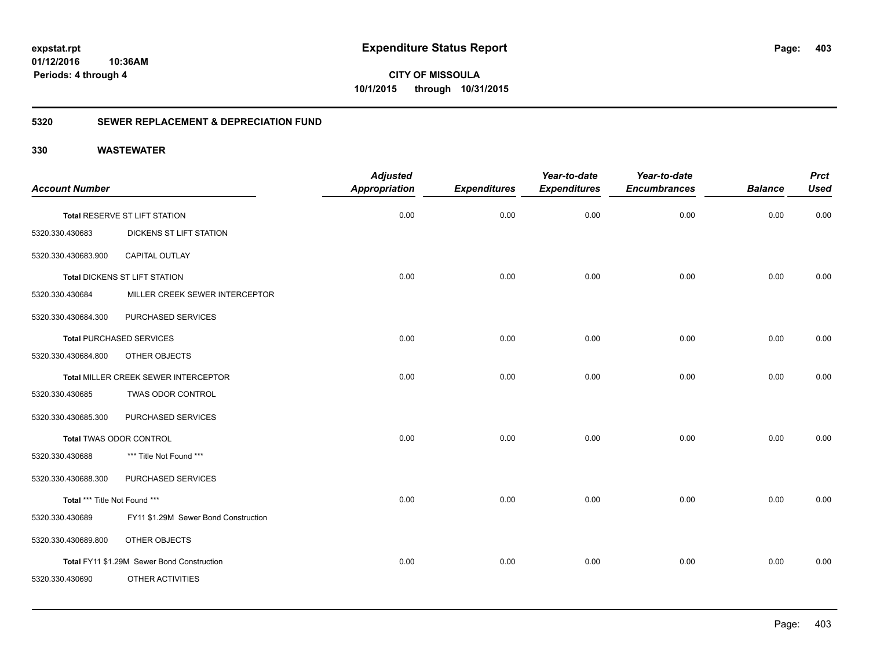**CITY OF MISSOULA 10/1/2015 through 10/31/2015**

### **5320 SEWER REPLACEMENT & DEPRECIATION FUND**

| <b>Account Number</b>         |                                            | <b>Adjusted</b><br><b>Appropriation</b> | <b>Expenditures</b> | Year-to-date<br><b>Expenditures</b> | Year-to-date<br><b>Encumbrances</b> | <b>Balance</b> | <b>Prct</b><br><b>Used</b> |
|-------------------------------|--------------------------------------------|-----------------------------------------|---------------------|-------------------------------------|-------------------------------------|----------------|----------------------------|
|                               | Total RESERVE ST LIFT STATION              | 0.00                                    | 0.00                | 0.00                                | 0.00                                | 0.00           | 0.00                       |
| 5320.330.430683               | <b>DICKENS ST LIFT STATION</b>             |                                         |                     |                                     |                                     |                |                            |
| 5320.330.430683.900           | CAPITAL OUTLAY                             |                                         |                     |                                     |                                     |                |                            |
|                               | Total DICKENS ST LIFT STATION              | 0.00                                    | 0.00                | 0.00                                | 0.00                                | 0.00           | 0.00                       |
| 5320.330.430684               | MILLER CREEK SEWER INTERCEPTOR             |                                         |                     |                                     |                                     |                |                            |
| 5320.330.430684.300           | PURCHASED SERVICES                         |                                         |                     |                                     |                                     |                |                            |
|                               | <b>Total PURCHASED SERVICES</b>            | 0.00                                    | 0.00                | 0.00                                | 0.00                                | 0.00           | 0.00                       |
| 5320.330.430684.800           | OTHER OBJECTS                              |                                         |                     |                                     |                                     |                |                            |
|                               | Total MILLER CREEK SEWER INTERCEPTOR       | 0.00                                    | 0.00                | 0.00                                | 0.00                                | 0.00           | 0.00                       |
| 5320.330.430685               | TWAS ODOR CONTROL                          |                                         |                     |                                     |                                     |                |                            |
| 5320.330.430685.300           | PURCHASED SERVICES                         |                                         |                     |                                     |                                     |                |                            |
|                               | <b>Total TWAS ODOR CONTROL</b>             | 0.00                                    | 0.00                | 0.00                                | 0.00                                | 0.00           | 0.00                       |
| 5320.330.430688               | *** Title Not Found ***                    |                                         |                     |                                     |                                     |                |                            |
| 5320.330.430688.300           | PURCHASED SERVICES                         |                                         |                     |                                     |                                     |                |                            |
| Total *** Title Not Found *** |                                            | 0.00                                    | 0.00                | 0.00                                | 0.00                                | 0.00           | 0.00                       |
| 5320.330.430689               | FY11 \$1.29M Sewer Bond Construction       |                                         |                     |                                     |                                     |                |                            |
| 5320.330.430689.800           | OTHER OBJECTS                              |                                         |                     |                                     |                                     |                |                            |
|                               | Total FY11 \$1.29M Sewer Bond Construction | 0.00                                    | 0.00                | 0.00                                | 0.00                                | 0.00           | 0.00                       |
| 5320.330.430690               | OTHER ACTIVITIES                           |                                         |                     |                                     |                                     |                |                            |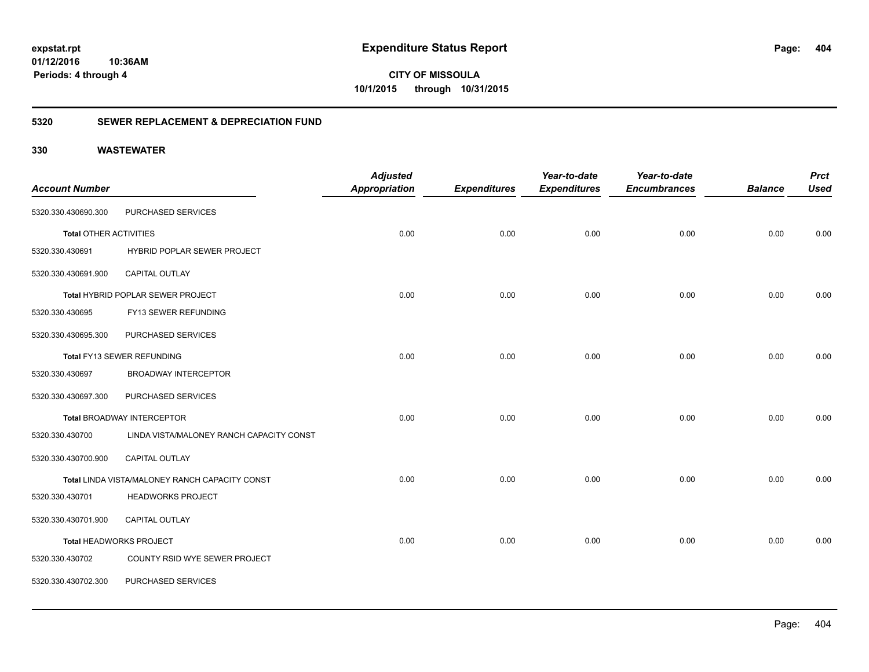**CITY OF MISSOULA 10/1/2015 through 10/31/2015**

### **5320 SEWER REPLACEMENT & DEPRECIATION FUND**

|                               |                                                | <b>Adjusted</b>      |                     | Year-to-date        | Year-to-date        |                | <b>Prct</b> |
|-------------------------------|------------------------------------------------|----------------------|---------------------|---------------------|---------------------|----------------|-------------|
| <b>Account Number</b>         |                                                | <b>Appropriation</b> | <b>Expenditures</b> | <b>Expenditures</b> | <b>Encumbrances</b> | <b>Balance</b> | <b>Used</b> |
| 5320.330.430690.300           | PURCHASED SERVICES                             |                      |                     |                     |                     |                |             |
| <b>Total OTHER ACTIVITIES</b> |                                                | 0.00                 | 0.00                | 0.00                | 0.00                | 0.00           | 0.00        |
| 5320.330.430691               | HYBRID POPLAR SEWER PROJECT                    |                      |                     |                     |                     |                |             |
| 5320.330.430691.900           | CAPITAL OUTLAY                                 |                      |                     |                     |                     |                |             |
|                               | Total HYBRID POPLAR SEWER PROJECT              | 0.00                 | 0.00                | 0.00                | 0.00                | 0.00           | 0.00        |
| 5320.330.430695               | FY13 SEWER REFUNDING                           |                      |                     |                     |                     |                |             |
| 5320.330.430695.300           | PURCHASED SERVICES                             |                      |                     |                     |                     |                |             |
|                               | Total FY13 SEWER REFUNDING                     | 0.00                 | 0.00                | 0.00                | 0.00                | 0.00           | 0.00        |
| 5320.330.430697               | <b>BROADWAY INTERCEPTOR</b>                    |                      |                     |                     |                     |                |             |
| 5320.330.430697.300           | PURCHASED SERVICES                             |                      |                     |                     |                     |                |             |
|                               | <b>Total BROADWAY INTERCEPTOR</b>              | 0.00                 | 0.00                | 0.00                | 0.00                | 0.00           | 0.00        |
| 5320.330.430700               | LINDA VISTA/MALONEY RANCH CAPACITY CONST       |                      |                     |                     |                     |                |             |
| 5320.330.430700.900           | CAPITAL OUTLAY                                 |                      |                     |                     |                     |                |             |
|                               | Total LINDA VISTA/MALONEY RANCH CAPACITY CONST | 0.00                 | 0.00                | 0.00                | 0.00                | 0.00           | 0.00        |
| 5320.330.430701               | <b>HEADWORKS PROJECT</b>                       |                      |                     |                     |                     |                |             |
| 5320.330.430701.900           | CAPITAL OUTLAY                                 |                      |                     |                     |                     |                |             |
|                               | Total HEADWORKS PROJECT                        | 0.00                 | 0.00                | 0.00                | 0.00                | 0.00           | 0.00        |
| 5320.330.430702               | COUNTY RSID WYE SEWER PROJECT                  |                      |                     |                     |                     |                |             |
| 5320.330.430702.300           | PURCHASED SERVICES                             |                      |                     |                     |                     |                |             |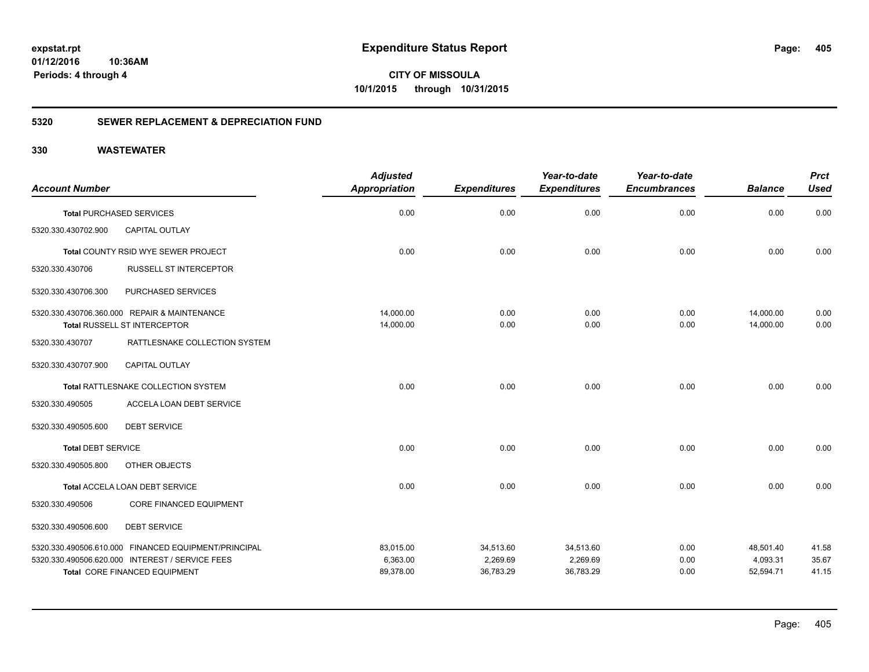**CITY OF MISSOULA 10/1/2015 through 10/31/2015**

### **5320 SEWER REPLACEMENT & DEPRECIATION FUND**

|                           |                                                      | <b>Adjusted</b>      |                     | Year-to-date        | Year-to-date        |                | <b>Prct</b> |
|---------------------------|------------------------------------------------------|----------------------|---------------------|---------------------|---------------------|----------------|-------------|
| <b>Account Number</b>     |                                                      | <b>Appropriation</b> | <b>Expenditures</b> | <b>Expenditures</b> | <b>Encumbrances</b> | <b>Balance</b> | <b>Used</b> |
|                           | <b>Total PURCHASED SERVICES</b>                      | 0.00                 | 0.00                | 0.00                | 0.00                | 0.00           | 0.00        |
| 5320.330.430702.900       | <b>CAPITAL OUTLAY</b>                                |                      |                     |                     |                     |                |             |
|                           | <b>Total COUNTY RSID WYE SEWER PROJECT</b>           | 0.00                 | 0.00                | 0.00                | 0.00                | 0.00           | 0.00        |
| 5320.330.430706           | <b>RUSSELL ST INTERCEPTOR</b>                        |                      |                     |                     |                     |                |             |
| 5320.330.430706.300       | PURCHASED SERVICES                                   |                      |                     |                     |                     |                |             |
|                           | 5320.330.430706.360.000 REPAIR & MAINTENANCE         | 14,000.00            | 0.00                | 0.00                | 0.00                | 14,000.00      | 0.00        |
|                           | Total RUSSELL ST INTERCEPTOR                         | 14,000.00            | 0.00                | 0.00                | 0.00                | 14,000.00      | 0.00        |
| 5320.330.430707           | RATTLESNAKE COLLECTION SYSTEM                        |                      |                     |                     |                     |                |             |
| 5320.330.430707.900       | <b>CAPITAL OUTLAY</b>                                |                      |                     |                     |                     |                |             |
|                           | Total RATTLESNAKE COLLECTION SYSTEM                  | 0.00                 | 0.00                | 0.00                | 0.00                | 0.00           | 0.00        |
| 5320.330.490505           | ACCELA LOAN DEBT SERVICE                             |                      |                     |                     |                     |                |             |
| 5320.330.490505.600       | <b>DEBT SERVICE</b>                                  |                      |                     |                     |                     |                |             |
| <b>Total DEBT SERVICE</b> |                                                      | 0.00                 | 0.00                | 0.00                | 0.00                | 0.00           | 0.00        |
| 5320.330.490505.800       | OTHER OBJECTS                                        |                      |                     |                     |                     |                |             |
|                           | Total ACCELA LOAN DEBT SERVICE                       | 0.00                 | 0.00                | 0.00                | 0.00                | 0.00           | 0.00        |
| 5320.330.490506           | <b>CORE FINANCED EQUIPMENT</b>                       |                      |                     |                     |                     |                |             |
| 5320.330.490506.600       | <b>DEBT SERVICE</b>                                  |                      |                     |                     |                     |                |             |
|                           | 5320.330.490506.610.000 FINANCED EQUIPMENT/PRINCIPAL | 83,015.00            | 34,513.60           | 34,513.60           | 0.00                | 48,501.40      | 41.58       |
|                           | 5320.330.490506.620.000 INTEREST / SERVICE FEES      | 6,363.00             | 2,269.69            | 2,269.69            | 0.00                | 4,093.31       | 35.67       |
|                           | <b>Total CORE FINANCED EQUIPMENT</b>                 | 89,378.00            | 36,783.29           | 36,783.29           | 0.00                | 52,594.71      | 41.15       |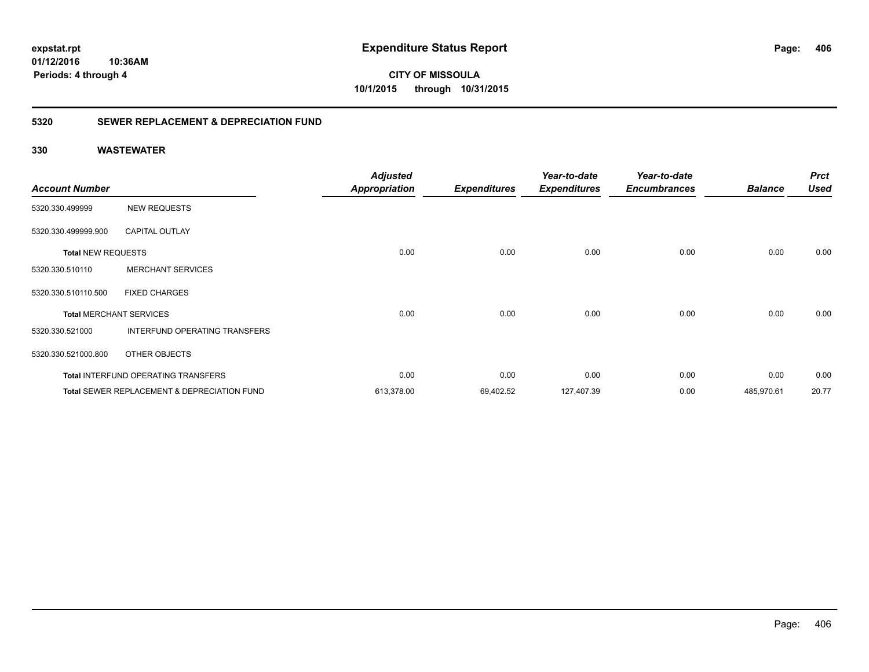**CITY OF MISSOULA 10/1/2015 through 10/31/2015**

### **5320 SEWER REPLACEMENT & DEPRECIATION FUND**

| <b>Account Number</b>     |                                                        | <b>Adjusted</b><br><b>Appropriation</b> | <b>Expenditures</b> | Year-to-date<br><b>Expenditures</b> | Year-to-date<br><b>Encumbrances</b> | <b>Balance</b> | <b>Prct</b><br><b>Used</b> |
|---------------------------|--------------------------------------------------------|-----------------------------------------|---------------------|-------------------------------------|-------------------------------------|----------------|----------------------------|
| 5320.330.499999           | <b>NEW REQUESTS</b>                                    |                                         |                     |                                     |                                     |                |                            |
| 5320.330.499999.900       | <b>CAPITAL OUTLAY</b>                                  |                                         |                     |                                     |                                     |                |                            |
| <b>Total NEW REQUESTS</b> |                                                        | 0.00                                    | 0.00                | 0.00                                | 0.00                                | 0.00           | 0.00                       |
| 5320.330.510110           | <b>MERCHANT SERVICES</b>                               |                                         |                     |                                     |                                     |                |                            |
| 5320.330.510110.500       | <b>FIXED CHARGES</b>                                   |                                         |                     |                                     |                                     |                |                            |
|                           | <b>Total MERCHANT SERVICES</b>                         | 0.00                                    | 0.00                | 0.00                                | 0.00                                | 0.00           | 0.00                       |
| 5320.330.521000           | INTERFUND OPERATING TRANSFERS                          |                                         |                     |                                     |                                     |                |                            |
| 5320.330.521000.800       | OTHER OBJECTS                                          |                                         |                     |                                     |                                     |                |                            |
|                           | <b>Total INTERFUND OPERATING TRANSFERS</b>             | 0.00                                    | 0.00                | 0.00                                | 0.00                                | 0.00           | 0.00                       |
|                           | <b>Total SEWER REPLACEMENT &amp; DEPRECIATION FUND</b> | 613,378.00                              | 69,402.52           | 127,407.39                          | 0.00                                | 485,970.61     | 20.77                      |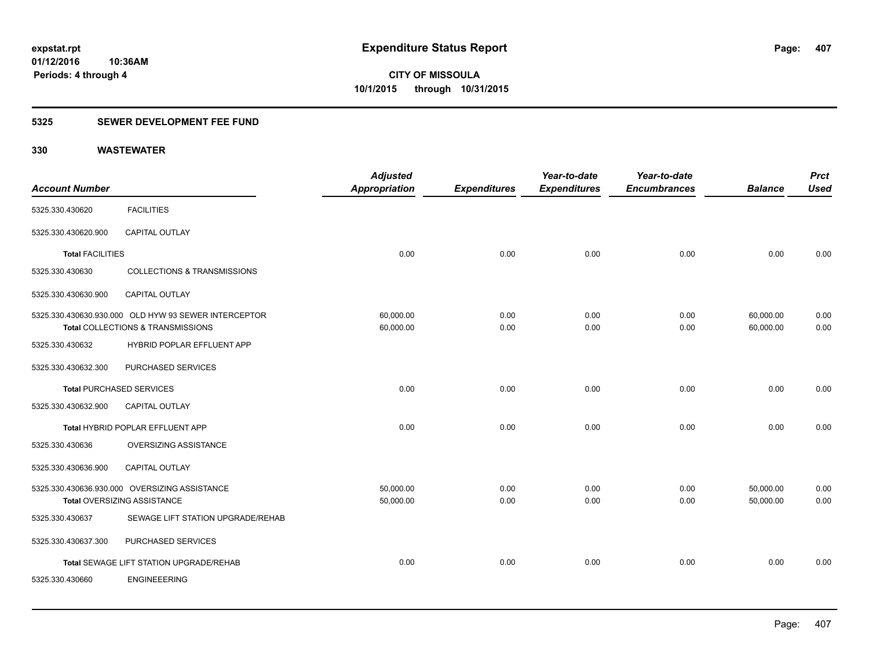### **5325 SEWER DEVELOPMENT FEE FUND**

| <b>Account Number</b>   |                                                                                           | <b>Adjusted</b><br>Appropriation | <b>Expenditures</b> | Year-to-date<br><b>Expenditures</b> | Year-to-date<br><b>Encumbrances</b> | <b>Balance</b>         | <b>Prct</b><br><b>Used</b> |
|-------------------------|-------------------------------------------------------------------------------------------|----------------------------------|---------------------|-------------------------------------|-------------------------------------|------------------------|----------------------------|
| 5325.330.430620         | <b>FACILITIES</b>                                                                         |                                  |                     |                                     |                                     |                        |                            |
| 5325.330.430620.900     | <b>CAPITAL OUTLAY</b>                                                                     |                                  |                     |                                     |                                     |                        |                            |
| <b>Total FACILITIES</b> |                                                                                           | 0.00                             | 0.00                | 0.00                                | 0.00                                | 0.00                   | 0.00                       |
| 5325.330.430630         | <b>COLLECTIONS &amp; TRANSMISSIONS</b>                                                    |                                  |                     |                                     |                                     |                        |                            |
| 5325.330.430630.900     | CAPITAL OUTLAY                                                                            |                                  |                     |                                     |                                     |                        |                            |
|                         | 5325.330.430630.930.000 OLD HYW 93 SEWER INTERCEPTOR<br>Total COLLECTIONS & TRANSMISSIONS | 60,000.00<br>60,000.00           | 0.00<br>0.00        | 0.00<br>0.00                        | 0.00<br>0.00                        | 60,000.00<br>60,000.00 | 0.00<br>0.00               |
| 5325.330.430632         | HYBRID POPLAR EFFLUENT APP                                                                |                                  |                     |                                     |                                     |                        |                            |
| 5325.330.430632.300     | PURCHASED SERVICES                                                                        |                                  |                     |                                     |                                     |                        |                            |
|                         | <b>Total PURCHASED SERVICES</b>                                                           | 0.00                             | 0.00                | 0.00                                | 0.00                                | 0.00                   | 0.00                       |
| 5325.330.430632.900     | <b>CAPITAL OUTLAY</b>                                                                     |                                  |                     |                                     |                                     |                        |                            |
|                         | Total HYBRID POPLAR EFFLUENT APP                                                          | 0.00                             | 0.00                | 0.00                                | 0.00                                | 0.00                   | 0.00                       |
| 5325.330.430636         | OVERSIZING ASSISTANCE                                                                     |                                  |                     |                                     |                                     |                        |                            |
| 5325.330.430636.900     | CAPITAL OUTLAY                                                                            |                                  |                     |                                     |                                     |                        |                            |
|                         | 5325.330.430636.930.000 OVERSIZING ASSISTANCE<br>Total OVERSIZING ASSISTANCE              | 50,000.00<br>50,000.00           | 0.00<br>0.00        | 0.00<br>0.00                        | 0.00<br>0.00                        | 50,000.00<br>50,000.00 | 0.00<br>0.00               |
| 5325.330.430637         | SEWAGE LIFT STATION UPGRADE/REHAB                                                         |                                  |                     |                                     |                                     |                        |                            |
| 5325.330.430637.300     | PURCHASED SERVICES                                                                        |                                  |                     |                                     |                                     |                        |                            |
|                         | Total SEWAGE LIFT STATION UPGRADE/REHAB                                                   | 0.00                             | 0.00                | 0.00                                | 0.00                                | 0.00                   | 0.00                       |
| 5325.330.430660         | <b>ENGINEEERING</b>                                                                       |                                  |                     |                                     |                                     |                        |                            |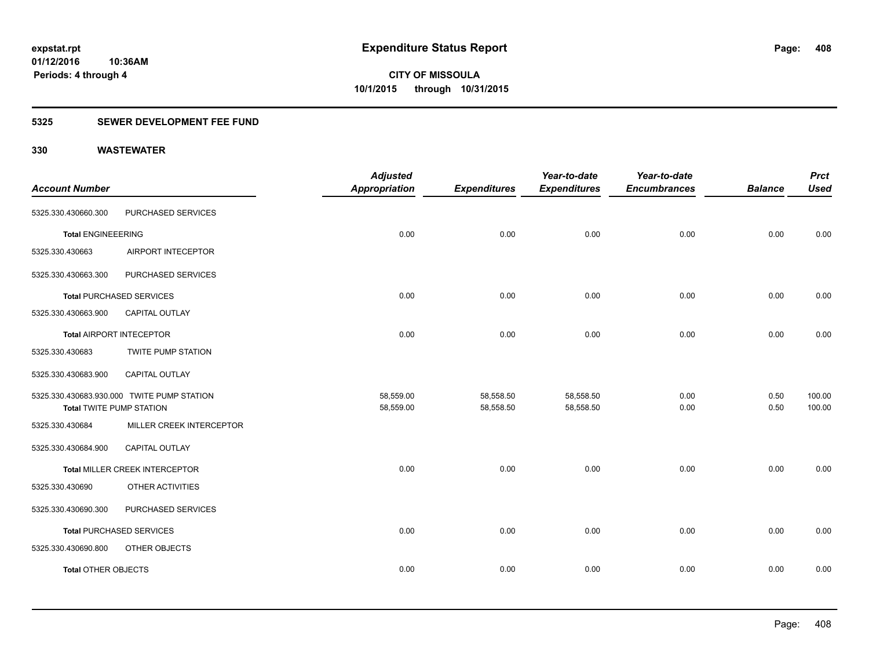### **5325 SEWER DEVELOPMENT FEE FUND**

| <b>Account Number</b>           |                                            | <b>Adjusted</b><br><b>Appropriation</b> | <b>Expenditures</b> | Year-to-date<br><b>Expenditures</b> | Year-to-date<br><b>Encumbrances</b> | <b>Balance</b> | <b>Prct</b><br><b>Used</b> |
|---------------------------------|--------------------------------------------|-----------------------------------------|---------------------|-------------------------------------|-------------------------------------|----------------|----------------------------|
| 5325.330.430660.300             | PURCHASED SERVICES                         |                                         |                     |                                     |                                     |                |                            |
|                                 |                                            |                                         |                     |                                     |                                     |                |                            |
| <b>Total ENGINEEERING</b>       |                                            | 0.00                                    | 0.00                | 0.00                                | 0.00                                | 0.00           | 0.00                       |
| 5325.330.430663                 | AIRPORT INTECEPTOR                         |                                         |                     |                                     |                                     |                |                            |
| 5325.330.430663.300             | PURCHASED SERVICES                         |                                         |                     |                                     |                                     |                |                            |
|                                 | <b>Total PURCHASED SERVICES</b>            | 0.00                                    | 0.00                | 0.00                                | 0.00                                | 0.00           | 0.00                       |
| 5325.330.430663.900             | <b>CAPITAL OUTLAY</b>                      |                                         |                     |                                     |                                     |                |                            |
| <b>Total AIRPORT INTECEPTOR</b> |                                            | 0.00                                    | 0.00                | 0.00                                | 0.00                                | 0.00           | 0.00                       |
| 5325.330.430683                 | <b>TWITE PUMP STATION</b>                  |                                         |                     |                                     |                                     |                |                            |
| 5325.330.430683.900             | CAPITAL OUTLAY                             |                                         |                     |                                     |                                     |                |                            |
|                                 | 5325.330.430683.930.000 TWITE PUMP STATION | 58,559.00                               | 58,558.50           | 58,558.50                           | 0.00                                | 0.50           | 100.00                     |
| <b>Total TWITE PUMP STATION</b> |                                            | 58,559.00                               | 58,558.50           | 58,558.50                           | 0.00                                | 0.50           | 100.00                     |
| 5325.330.430684                 | MILLER CREEK INTERCEPTOR                   |                                         |                     |                                     |                                     |                |                            |
| 5325.330.430684.900             | <b>CAPITAL OUTLAY</b>                      |                                         |                     |                                     |                                     |                |                            |
|                                 | Total MILLER CREEK INTERCEPTOR             | 0.00                                    | 0.00                | 0.00                                | 0.00                                | 0.00           | 0.00                       |
| 5325.330.430690                 | OTHER ACTIVITIES                           |                                         |                     |                                     |                                     |                |                            |
| 5325.330.430690.300             | PURCHASED SERVICES                         |                                         |                     |                                     |                                     |                |                            |
|                                 | Total PURCHASED SERVICES                   | 0.00                                    | 0.00                | 0.00                                | 0.00                                | 0.00           | 0.00                       |
| 5325.330.430690.800             | OTHER OBJECTS                              |                                         |                     |                                     |                                     |                |                            |
| <b>Total OTHER OBJECTS</b>      |                                            | 0.00                                    | 0.00                | 0.00                                | 0.00                                | 0.00           | 0.00                       |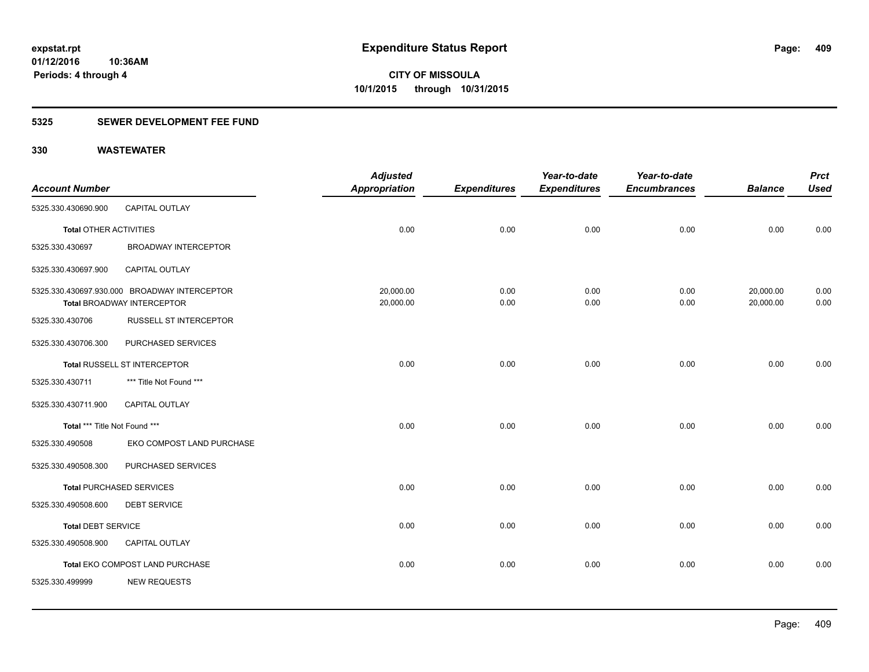### **5325 SEWER DEVELOPMENT FEE FUND**

|                               |                                              | <b>Adjusted</b>      |                     | Year-to-date        | Year-to-date        |                | <b>Prct</b> |
|-------------------------------|----------------------------------------------|----------------------|---------------------|---------------------|---------------------|----------------|-------------|
| <b>Account Number</b>         |                                              | <b>Appropriation</b> | <b>Expenditures</b> | <b>Expenditures</b> | <b>Encumbrances</b> | <b>Balance</b> | <b>Used</b> |
| 5325.330.430690.900           | CAPITAL OUTLAY                               |                      |                     |                     |                     |                |             |
| <b>Total OTHER ACTIVITIES</b> |                                              | 0.00                 | 0.00                | 0.00                | 0.00                | 0.00           | 0.00        |
| 5325.330.430697               | <b>BROADWAY INTERCEPTOR</b>                  |                      |                     |                     |                     |                |             |
| 5325.330.430697.900           | <b>CAPITAL OUTLAY</b>                        |                      |                     |                     |                     |                |             |
|                               | 5325.330.430697.930.000 BROADWAY INTERCEPTOR | 20,000.00            | 0.00                | 0.00                | 0.00                | 20,000.00      | 0.00        |
|                               | <b>Total BROADWAY INTERCEPTOR</b>            | 20,000.00            | 0.00                | 0.00                | 0.00                | 20,000.00      | 0.00        |
| 5325.330.430706               | <b>RUSSELL ST INTERCEPTOR</b>                |                      |                     |                     |                     |                |             |
| 5325.330.430706.300           | PURCHASED SERVICES                           |                      |                     |                     |                     |                |             |
|                               | <b>Total RUSSELL ST INTERCEPTOR</b>          | 0.00                 | 0.00                | 0.00                | 0.00                | 0.00           | 0.00        |
| 5325.330.430711               | *** Title Not Found ***                      |                      |                     |                     |                     |                |             |
| 5325.330.430711.900           | <b>CAPITAL OUTLAY</b>                        |                      |                     |                     |                     |                |             |
| Total *** Title Not Found *** |                                              | 0.00                 | 0.00                | 0.00                | 0.00                | 0.00           | 0.00        |
| 5325.330.490508               | EKO COMPOST LAND PURCHASE                    |                      |                     |                     |                     |                |             |
| 5325.330.490508.300           | PURCHASED SERVICES                           |                      |                     |                     |                     |                |             |
|                               | <b>Total PURCHASED SERVICES</b>              | 0.00                 | 0.00                | 0.00                | 0.00                | 0.00           | 0.00        |
| 5325.330.490508.600           | <b>DEBT SERVICE</b>                          |                      |                     |                     |                     |                |             |
| <b>Total DEBT SERVICE</b>     |                                              | 0.00                 | 0.00                | 0.00                | 0.00                | 0.00           | 0.00        |
| 5325.330.490508.900           | CAPITAL OUTLAY                               |                      |                     |                     |                     |                |             |
|                               | Total EKO COMPOST LAND PURCHASE              | 0.00                 | 0.00                | 0.00                | 0.00                | 0.00           | 0.00        |
| 5325.330.499999               | <b>NEW REQUESTS</b>                          |                      |                     |                     |                     |                |             |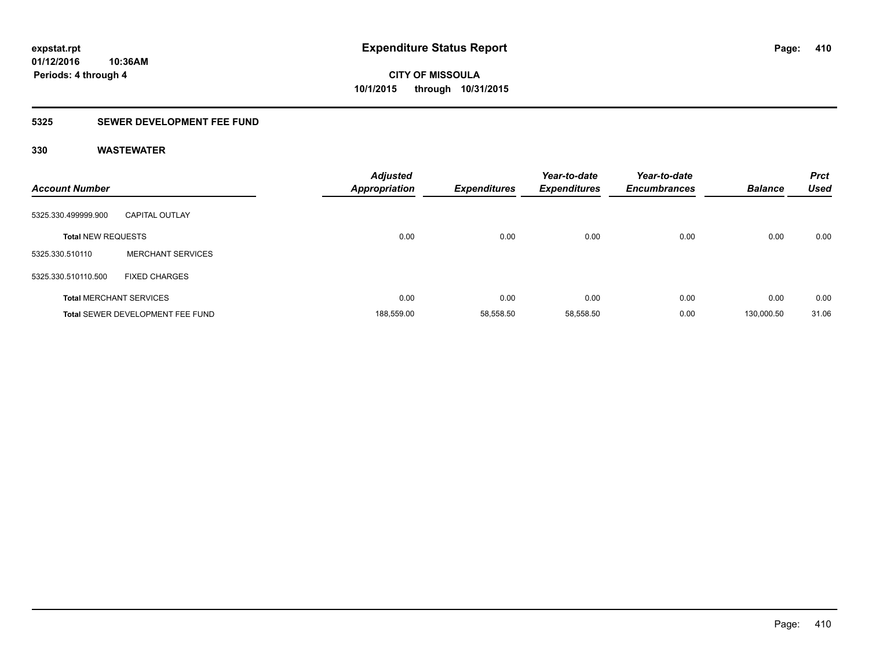### **5325 SEWER DEVELOPMENT FEE FUND**

| <b>Account Number</b>     |                                  | <b>Adjusted</b><br><b>Appropriation</b> | <b>Expenditures</b> | Year-to-date<br><b>Expenditures</b> | Year-to-date<br><b>Encumbrances</b> | <b>Balance</b> | <b>Prct</b><br><b>Used</b> |
|---------------------------|----------------------------------|-----------------------------------------|---------------------|-------------------------------------|-------------------------------------|----------------|----------------------------|
| 5325.330.499999.900       | <b>CAPITAL OUTLAY</b>            |                                         |                     |                                     |                                     |                |                            |
| <b>Total NEW REQUESTS</b> |                                  | 0.00                                    | 0.00                | 0.00                                | 0.00                                | 0.00           | 0.00                       |
| 5325.330.510110           | <b>MERCHANT SERVICES</b>         |                                         |                     |                                     |                                     |                |                            |
| 5325.330.510110.500       | <b>FIXED CHARGES</b>             |                                         |                     |                                     |                                     |                |                            |
|                           | <b>Total MERCHANT SERVICES</b>   | 0.00                                    | 0.00                | 0.00                                | 0.00                                | 0.00           | 0.00                       |
|                           | Total SEWER DEVELOPMENT FEE FUND | 188.559.00                              | 58,558.50           | 58,558.50                           | 0.00                                | 130.000.50     | 31.06                      |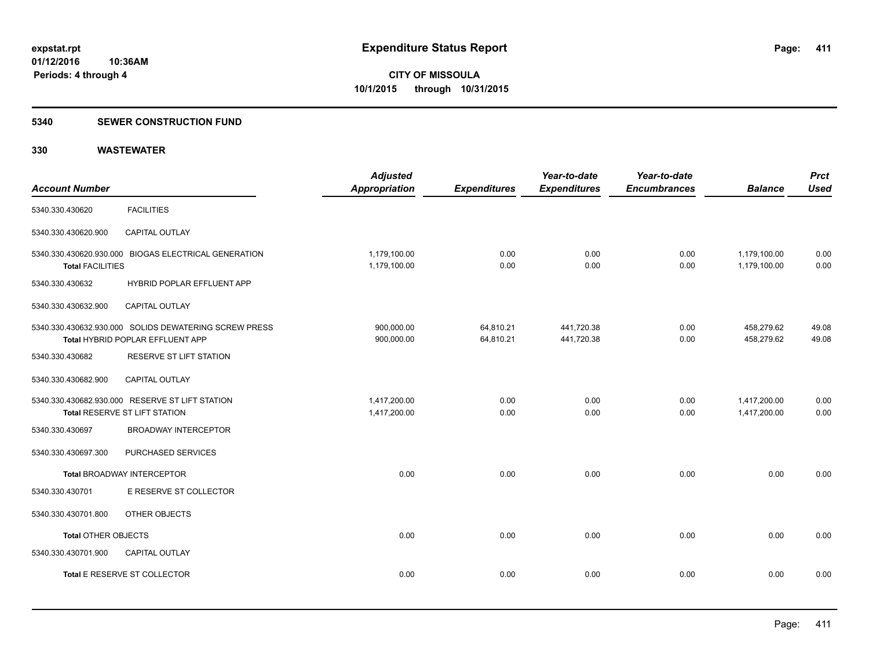#### **5340 SEWER CONSTRUCTION FUND**

| <b>Account Number</b>   |                                                                                           | <b>Adjusted</b><br>Appropriation | <b>Expenditures</b>    | Year-to-date<br><b>Expenditures</b> | Year-to-date<br><b>Encumbrances</b> | <b>Balance</b>               | <b>Prct</b><br><b>Used</b> |
|-------------------------|-------------------------------------------------------------------------------------------|----------------------------------|------------------------|-------------------------------------|-------------------------------------|------------------------------|----------------------------|
| 5340.330.430620         | <b>FACILITIES</b>                                                                         |                                  |                        |                                     |                                     |                              |                            |
| 5340.330.430620.900     | <b>CAPITAL OUTLAY</b>                                                                     |                                  |                        |                                     |                                     |                              |                            |
| <b>Total FACILITIES</b> | 5340.330.430620.930.000 BIOGAS ELECTRICAL GENERATION                                      | 1,179,100.00<br>1,179,100.00     | 0.00<br>0.00           | 0.00<br>0.00                        | 0.00<br>0.00                        | 1,179,100.00<br>1,179,100.00 | 0.00<br>0.00               |
| 5340.330.430632         | HYBRID POPLAR EFFLUENT APP                                                                |                                  |                        |                                     |                                     |                              |                            |
| 5340.330.430632.900     | CAPITAL OUTLAY                                                                            |                                  |                        |                                     |                                     |                              |                            |
|                         | 5340.330.430632.930.000 SOLIDS DEWATERING SCREW PRESS<br>Total HYBRID POPLAR EFFLUENT APP | 900,000.00<br>900,000.00         | 64,810.21<br>64,810.21 | 441,720.38<br>441,720.38            | 0.00<br>0.00                        | 458,279.62<br>458,279.62     | 49.08<br>49.08             |
| 5340.330.430682         | RESERVE ST LIFT STATION                                                                   |                                  |                        |                                     |                                     |                              |                            |
| 5340.330.430682.900     | <b>CAPITAL OUTLAY</b>                                                                     |                                  |                        |                                     |                                     |                              |                            |
|                         | 5340.330.430682.930.000 RESERVE ST LIFT STATION<br>Total RESERVE ST LIFT STATION          | 1,417,200.00<br>1,417,200.00     | 0.00<br>0.00           | 0.00<br>0.00                        | 0.00<br>0.00                        | 1,417,200.00<br>1,417,200.00 | 0.00<br>0.00               |
| 5340.330.430697         | <b>BROADWAY INTERCEPTOR</b>                                                               |                                  |                        |                                     |                                     |                              |                            |
| 5340.330.430697.300     | PURCHASED SERVICES                                                                        |                                  |                        |                                     |                                     |                              |                            |
|                         | <b>Total BROADWAY INTERCEPTOR</b>                                                         | 0.00                             | 0.00                   | 0.00                                | 0.00                                | 0.00                         | 0.00                       |
| 5340.330.430701         | E RESERVE ST COLLECTOR                                                                    |                                  |                        |                                     |                                     |                              |                            |
| 5340.330.430701.800     | OTHER OBJECTS                                                                             |                                  |                        |                                     |                                     |                              |                            |
| Total OTHER OBJECTS     |                                                                                           | 0.00                             | 0.00                   | 0.00                                | 0.00                                | 0.00                         | 0.00                       |
| 5340.330.430701.900     | <b>CAPITAL OUTLAY</b>                                                                     |                                  |                        |                                     |                                     |                              |                            |
|                         | Total E RESERVE ST COLLECTOR                                                              | 0.00                             | 0.00                   | 0.00                                | 0.00                                | 0.00                         | 0.00                       |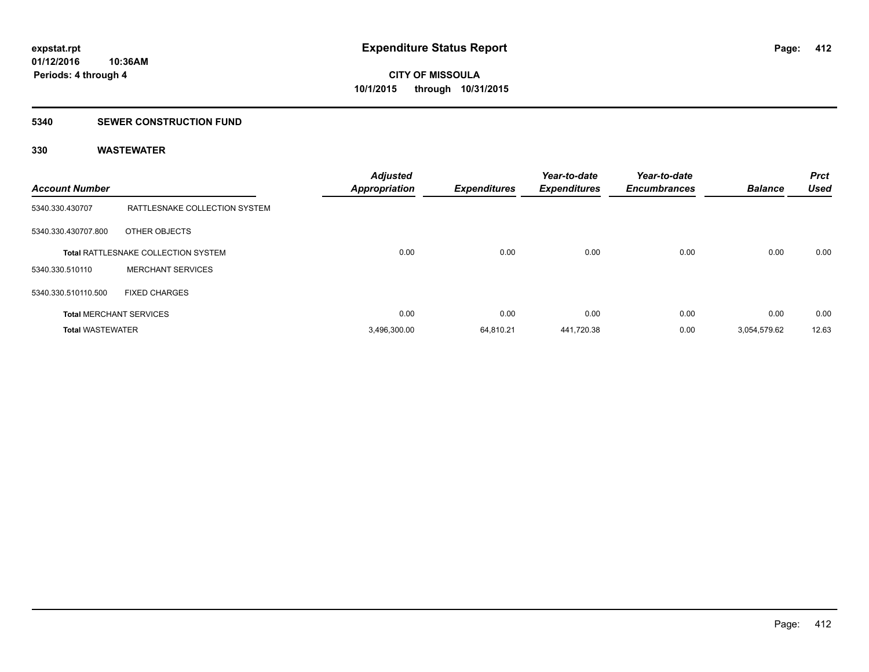#### **5340 SEWER CONSTRUCTION FUND**

| <b>Account Number</b>   |                                            | <b>Adjusted</b><br><b>Appropriation</b> | <b>Expenditures</b> | Year-to-date<br><b>Expenditures</b> | Year-to-date<br><b>Encumbrances</b> | <b>Balance</b> | <b>Prct</b><br><b>Used</b> |
|-------------------------|--------------------------------------------|-----------------------------------------|---------------------|-------------------------------------|-------------------------------------|----------------|----------------------------|
| 5340.330.430707         | RATTLESNAKE COLLECTION SYSTEM              |                                         |                     |                                     |                                     |                |                            |
| 5340.330.430707.800     | OTHER OBJECTS                              |                                         |                     |                                     |                                     |                |                            |
|                         | <b>Total RATTLESNAKE COLLECTION SYSTEM</b> | 0.00                                    | 0.00                | 0.00                                | 0.00                                | 0.00           | 0.00                       |
| 5340.330.510110         | <b>MERCHANT SERVICES</b>                   |                                         |                     |                                     |                                     |                |                            |
| 5340.330.510110.500     | <b>FIXED CHARGES</b>                       |                                         |                     |                                     |                                     |                |                            |
|                         | <b>Total MERCHANT SERVICES</b>             | 0.00                                    | 0.00                | 0.00                                | 0.00                                | 0.00           | 0.00                       |
| <b>Total WASTEWATER</b> |                                            | 3,496,300.00                            | 64.810.21           | 441,720.38                          | 0.00                                | 3,054,579.62   | 12.63                      |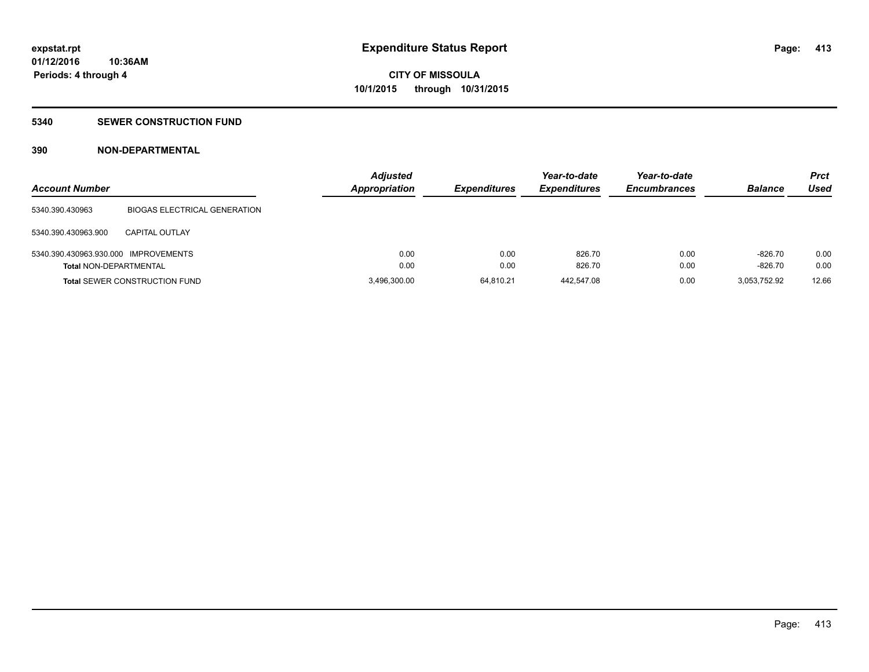### **5340 SEWER CONSTRUCTION FUND**

### **390 NON-DEPARTMENTAL**

| <b>Account Number</b>                                                 |                                      | <b>Adjusted</b><br><b>Appropriation</b> | <b>Expenditures</b> | Year-to-date<br><b>Expenditures</b> | Year-to-date<br><b>Encumbrances</b> | <b>Balance</b>         | Prct<br>Used |
|-----------------------------------------------------------------------|--------------------------------------|-----------------------------------------|---------------------|-------------------------------------|-------------------------------------|------------------------|--------------|
| 5340.390.430963                                                       | <b>BIOGAS ELECTRICAL GENERATION</b>  |                                         |                     |                                     |                                     |                        |              |
| 5340.390.430963.900                                                   | <b>CAPITAL OUTLAY</b>                |                                         |                     |                                     |                                     |                        |              |
| 5340.390.430963.930.000 IMPROVEMENTS<br><b>Total NON-DEPARTMENTAL</b> |                                      | 0.00<br>0.00                            | 0.00<br>0.00        | 826.70<br>826.70                    | 0.00<br>0.00                        | $-826.70$<br>$-826.70$ | 0.00<br>0.00 |
|                                                                       | <b>Total SEWER CONSTRUCTION FUND</b> | 3,496,300.00                            | 64.810.21           | 442.547.08                          | 0.00                                | 3,053,752.92           | 12.66        |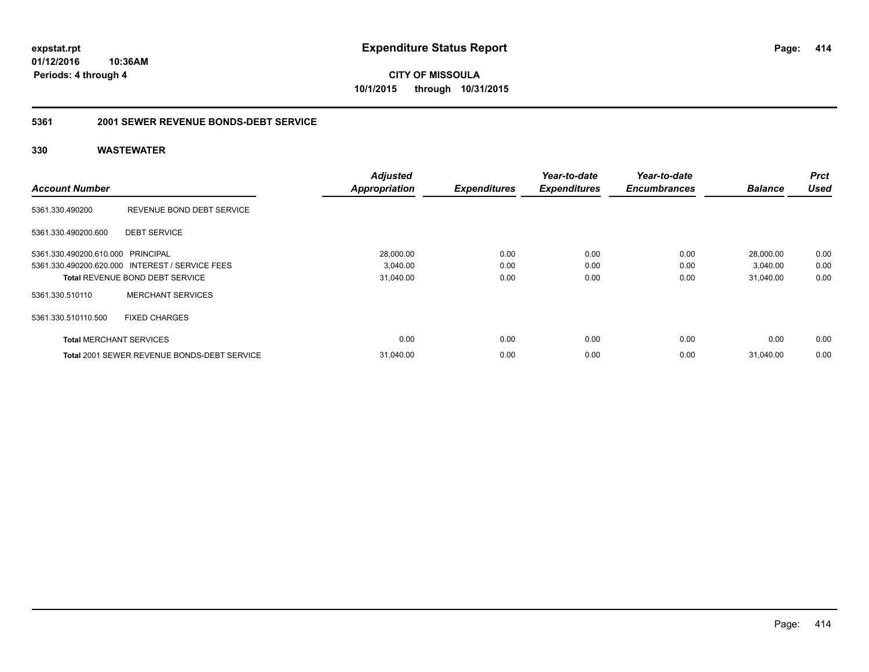**CITY OF MISSOULA 10/1/2015 through 10/31/2015**

#### **5361 2001 SEWER REVENUE BONDS-DEBT SERVICE**

| <b>Account Number</b>             |                                                 | <b>Adjusted</b>      | <b>Expenditures</b> | Year-to-date<br><b>Expenditures</b> | Year-to-date<br><b>Encumbrances</b> | <b>Balance</b> | <b>Prct</b><br><b>Used</b> |
|-----------------------------------|-------------------------------------------------|----------------------|---------------------|-------------------------------------|-------------------------------------|----------------|----------------------------|
|                                   |                                                 | <b>Appropriation</b> |                     |                                     |                                     |                |                            |
| 5361.330.490200                   | REVENUE BOND DEBT SERVICE                       |                      |                     |                                     |                                     |                |                            |
| 5361.330.490200.600               | <b>DEBT SERVICE</b>                             |                      |                     |                                     |                                     |                |                            |
| 5361.330.490200.610.000 PRINCIPAL |                                                 | 28,000.00            | 0.00                | 0.00                                | 0.00                                | 28,000.00      | 0.00                       |
|                                   | 5361.330.490200.620.000 INTEREST / SERVICE FEES | 3,040.00             | 0.00                | 0.00                                | 0.00                                | 3,040.00       | 0.00                       |
|                                   | <b>Total REVENUE BOND DEBT SERVICE</b>          | 31,040.00            | 0.00                | 0.00                                | 0.00                                | 31,040.00      | 0.00                       |
| 5361.330.510110                   | <b>MERCHANT SERVICES</b>                        |                      |                     |                                     |                                     |                |                            |
| 5361.330.510110.500               | <b>FIXED CHARGES</b>                            |                      |                     |                                     |                                     |                |                            |
| <b>Total MERCHANT SERVICES</b>    |                                                 | 0.00                 | 0.00                | 0.00                                | 0.00                                | 0.00           | 0.00                       |
|                                   | Total 2001 SEWER REVENUE BONDS-DEBT SERVICE     | 31.040.00            | 0.00                | 0.00                                | 0.00                                | 31.040.00      | 0.00                       |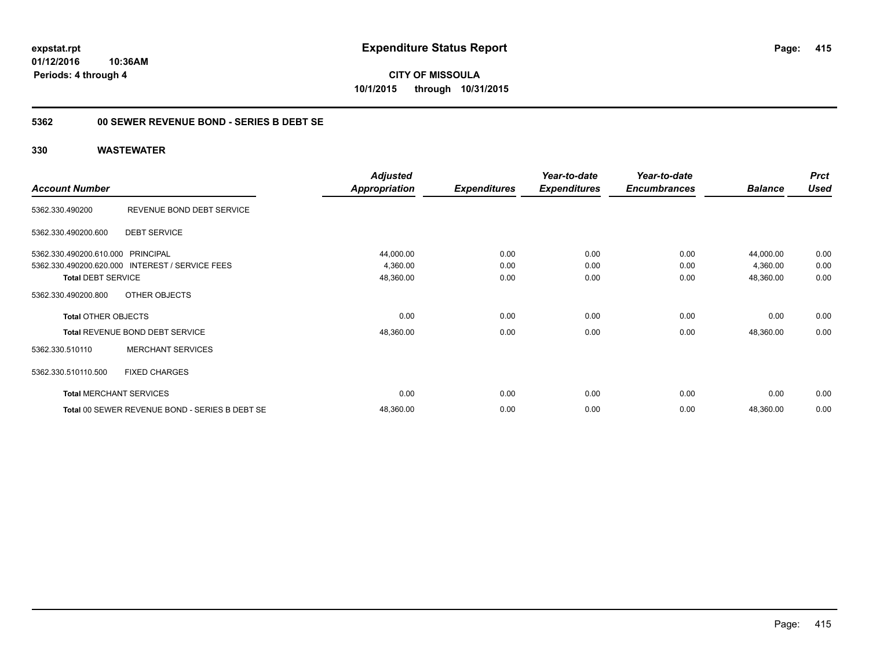**CITY OF MISSOULA 10/1/2015 through 10/31/2015**

### **5362 00 SEWER REVENUE BOND - SERIES B DEBT SE**

|                                   |                                                 | <b>Adjusted</b>      |                     | Year-to-date        | Year-to-date        |                | <b>Prct</b> |
|-----------------------------------|-------------------------------------------------|----------------------|---------------------|---------------------|---------------------|----------------|-------------|
| <b>Account Number</b>             |                                                 | <b>Appropriation</b> | <b>Expenditures</b> | <b>Expenditures</b> | <b>Encumbrances</b> | <b>Balance</b> | <b>Used</b> |
| 5362.330.490200                   | REVENUE BOND DEBT SERVICE                       |                      |                     |                     |                     |                |             |
| 5362.330.490200.600               | <b>DEBT SERVICE</b>                             |                      |                     |                     |                     |                |             |
| 5362.330.490200.610.000 PRINCIPAL |                                                 | 44,000.00            | 0.00                | 0.00                | 0.00                | 44,000.00      | 0.00        |
|                                   | 5362.330.490200.620.000 INTEREST / SERVICE FEES | 4,360.00             | 0.00                | 0.00                | 0.00                | 4,360.00       | 0.00        |
| <b>Total DEBT SERVICE</b>         |                                                 | 48,360.00            | 0.00                | 0.00                | 0.00                | 48,360.00      | 0.00        |
| 5362.330.490200.800               | OTHER OBJECTS                                   |                      |                     |                     |                     |                |             |
| <b>Total OTHER OBJECTS</b>        |                                                 | 0.00                 | 0.00                | 0.00                | 0.00                | 0.00           | 0.00        |
|                                   | <b>Total REVENUE BOND DEBT SERVICE</b>          | 48,360.00            | 0.00                | 0.00                | 0.00                | 48,360.00      | 0.00        |
| 5362.330.510110                   | <b>MERCHANT SERVICES</b>                        |                      |                     |                     |                     |                |             |
| 5362.330.510110.500               | <b>FIXED CHARGES</b>                            |                      |                     |                     |                     |                |             |
|                                   | <b>Total MERCHANT SERVICES</b>                  | 0.00                 | 0.00                | 0.00                | 0.00                | 0.00           | 0.00        |
|                                   | Total 00 SEWER REVENUE BOND - SERIES B DEBT SE  | 48,360.00            | 0.00                | 0.00                | 0.00                | 48,360.00      | 0.00        |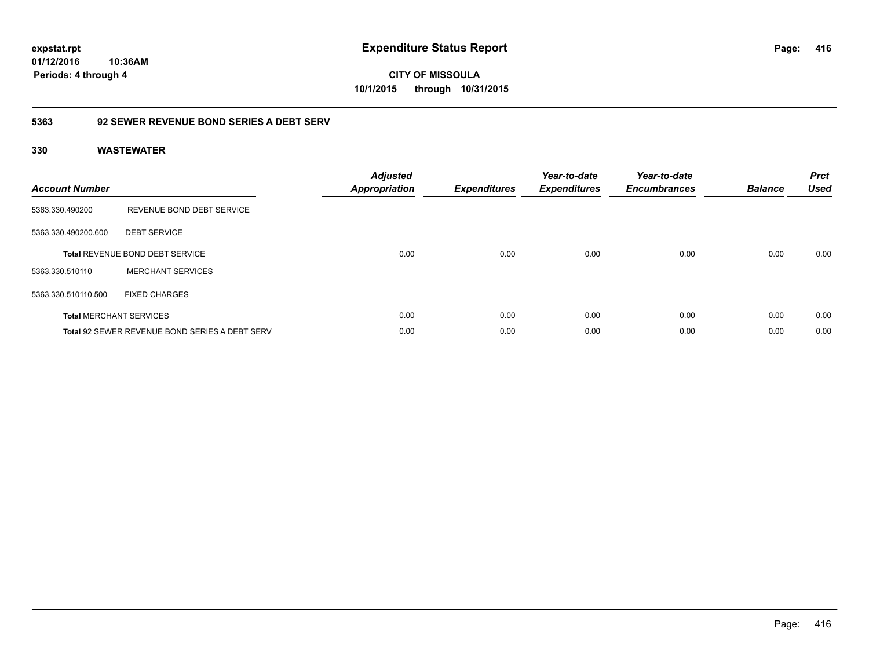**CITY OF MISSOULA 10/1/2015 through 10/31/2015**

### **5363 92 SEWER REVENUE BOND SERIES A DEBT SERV**

| <b>Account Number</b> |                                                       | <b>Adjusted</b><br><b>Appropriation</b> | <b>Expenditures</b> | Year-to-date<br><b>Expenditures</b> | Year-to-date<br><b>Encumbrances</b> | <b>Balance</b> | <b>Prct</b><br><b>Used</b> |
|-----------------------|-------------------------------------------------------|-----------------------------------------|---------------------|-------------------------------------|-------------------------------------|----------------|----------------------------|
| 5363.330.490200       | REVENUE BOND DEBT SERVICE                             |                                         |                     |                                     |                                     |                |                            |
| 5363.330.490200.600   | <b>DEBT SERVICE</b>                                   |                                         |                     |                                     |                                     |                |                            |
|                       | <b>Total REVENUE BOND DEBT SERVICE</b>                | 0.00                                    | 0.00                | 0.00                                | 0.00                                | 0.00           | 0.00                       |
| 5363.330.510110       | <b>MERCHANT SERVICES</b>                              |                                         |                     |                                     |                                     |                |                            |
| 5363.330.510110.500   | <b>FIXED CHARGES</b>                                  |                                         |                     |                                     |                                     |                |                            |
|                       | <b>Total MERCHANT SERVICES</b>                        | 0.00                                    | 0.00                | 0.00                                | 0.00                                | 0.00           | 0.00                       |
|                       | <b>Total 92 SEWER REVENUE BOND SERIES A DEBT SERV</b> | 0.00                                    | 0.00                | 0.00                                | 0.00                                | 0.00           | 0.00                       |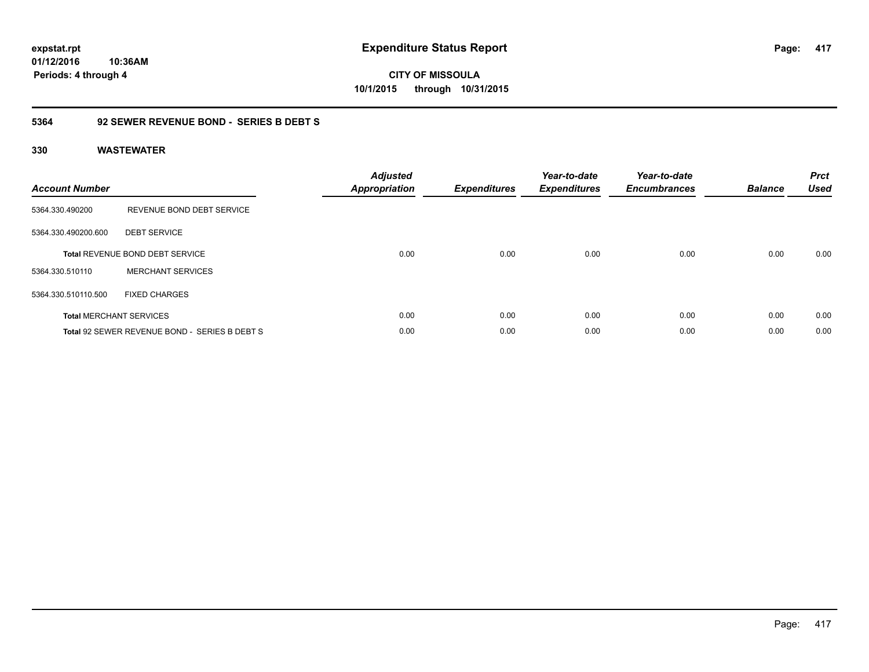**CITY OF MISSOULA 10/1/2015 through 10/31/2015**

### **5364 92 SEWER REVENUE BOND - SERIES B DEBT S**

| <b>Account Number</b> |                                               | <b>Adjusted</b><br>Appropriation | <b>Expenditures</b> | Year-to-date<br><b>Expenditures</b> | Year-to-date<br><b>Encumbrances</b> | <b>Balance</b> | <b>Prct</b><br><b>Used</b> |
|-----------------------|-----------------------------------------------|----------------------------------|---------------------|-------------------------------------|-------------------------------------|----------------|----------------------------|
| 5364.330.490200       | REVENUE BOND DEBT SERVICE                     |                                  |                     |                                     |                                     |                |                            |
| 5364.330.490200.600   | <b>DEBT SERVICE</b>                           |                                  |                     |                                     |                                     |                |                            |
|                       | Total REVENUE BOND DEBT SERVICE               | 0.00                             | 0.00                | 0.00                                | 0.00                                | 0.00           | 0.00                       |
| 5364.330.510110       | <b>MERCHANT SERVICES</b>                      |                                  |                     |                                     |                                     |                |                            |
| 5364.330.510110.500   | <b>FIXED CHARGES</b>                          |                                  |                     |                                     |                                     |                |                            |
|                       | <b>Total MERCHANT SERVICES</b>                | 0.00                             | 0.00                | 0.00                                | 0.00                                | 0.00           | 0.00                       |
|                       | Total 92 SEWER REVENUE BOND - SERIES B DEBT S | 0.00                             | 0.00                | 0.00                                | 0.00                                | 0.00           | 0.00                       |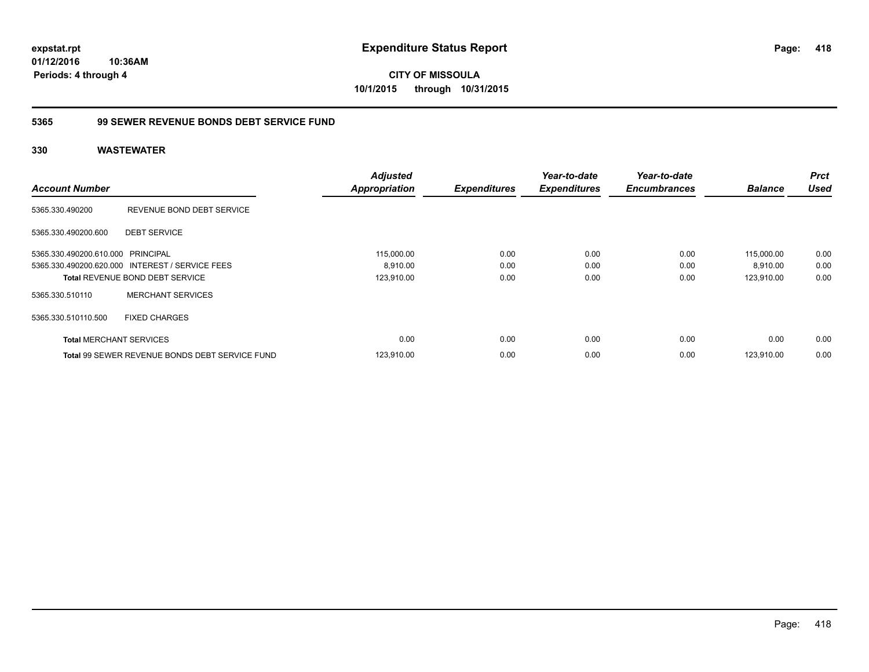**CITY OF MISSOULA 10/1/2015 through 10/31/2015**

### **5365 99 SEWER REVENUE BONDS DEBT SERVICE FUND**

| <b>Account Number</b>             |                                                       | <b>Adjusted</b><br><b>Appropriation</b> | <b>Expenditures</b> | Year-to-date<br><b>Expenditures</b> | Year-to-date<br><b>Encumbrances</b> | <b>Balance</b> | <b>Prct</b><br><b>Used</b> |
|-----------------------------------|-------------------------------------------------------|-----------------------------------------|---------------------|-------------------------------------|-------------------------------------|----------------|----------------------------|
| 5365.330.490200                   | REVENUE BOND DEBT SERVICE                             |                                         |                     |                                     |                                     |                |                            |
| 5365.330.490200.600               | <b>DEBT SERVICE</b>                                   |                                         |                     |                                     |                                     |                |                            |
| 5365.330.490200.610.000 PRINCIPAL |                                                       | 115,000.00                              | 0.00                | 0.00                                | 0.00                                | 115,000.00     | 0.00                       |
|                                   | 5365.330.490200.620.000 INTEREST / SERVICE FEES       | 8.910.00                                | 0.00                | 0.00                                | 0.00                                | 8,910.00       | 0.00                       |
|                                   | <b>Total REVENUE BOND DEBT SERVICE</b>                | 123,910.00                              | 0.00                | 0.00                                | 0.00                                | 123.910.00     | 0.00                       |
| 5365.330.510110                   | <b>MERCHANT SERVICES</b>                              |                                         |                     |                                     |                                     |                |                            |
| 5365.330.510110.500               | <b>FIXED CHARGES</b>                                  |                                         |                     |                                     |                                     |                |                            |
| <b>Total MERCHANT SERVICES</b>    |                                                       | 0.00                                    | 0.00                | 0.00                                | 0.00                                | 0.00           | 0.00                       |
|                                   | <b>Total 99 SEWER REVENUE BONDS DEBT SERVICE FUND</b> | 123.910.00                              | 0.00                | 0.00                                | 0.00                                | 123.910.00     | 0.00                       |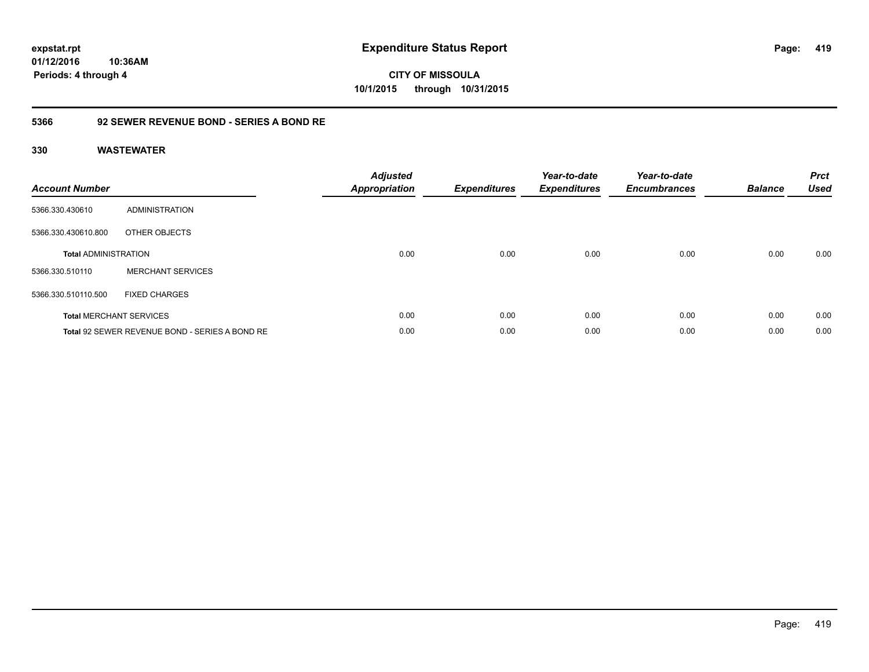**CITY OF MISSOULA 10/1/2015 through 10/31/2015**

### **5366 92 SEWER REVENUE BOND - SERIES A BOND RE**

| <b>Account Number</b>       |                                                | <b>Adjusted</b><br><b>Appropriation</b> | <b>Expenditures</b> | Year-to-date<br><b>Expenditures</b> | Year-to-date<br><b>Encumbrances</b> | <b>Balance</b> | <b>Prct</b><br><b>Used</b> |
|-----------------------------|------------------------------------------------|-----------------------------------------|---------------------|-------------------------------------|-------------------------------------|----------------|----------------------------|
| 5366.330.430610             | <b>ADMINISTRATION</b>                          |                                         |                     |                                     |                                     |                |                            |
| 5366.330.430610.800         | OTHER OBJECTS                                  |                                         |                     |                                     |                                     |                |                            |
| <b>Total ADMINISTRATION</b> |                                                | 0.00                                    | 0.00                | 0.00                                | 0.00                                | 0.00           | 0.00                       |
| 5366.330.510110             | <b>MERCHANT SERVICES</b>                       |                                         |                     |                                     |                                     |                |                            |
| 5366.330.510110.500         | <b>FIXED CHARGES</b>                           |                                         |                     |                                     |                                     |                |                            |
|                             | <b>Total MERCHANT SERVICES</b>                 | 0.00                                    | 0.00                | 0.00                                | 0.00                                | 0.00           | 0.00                       |
|                             | Total 92 SEWER REVENUE BOND - SERIES A BOND RE | 0.00                                    | 0.00                | 0.00                                | 0.00                                | 0.00           | 0.00                       |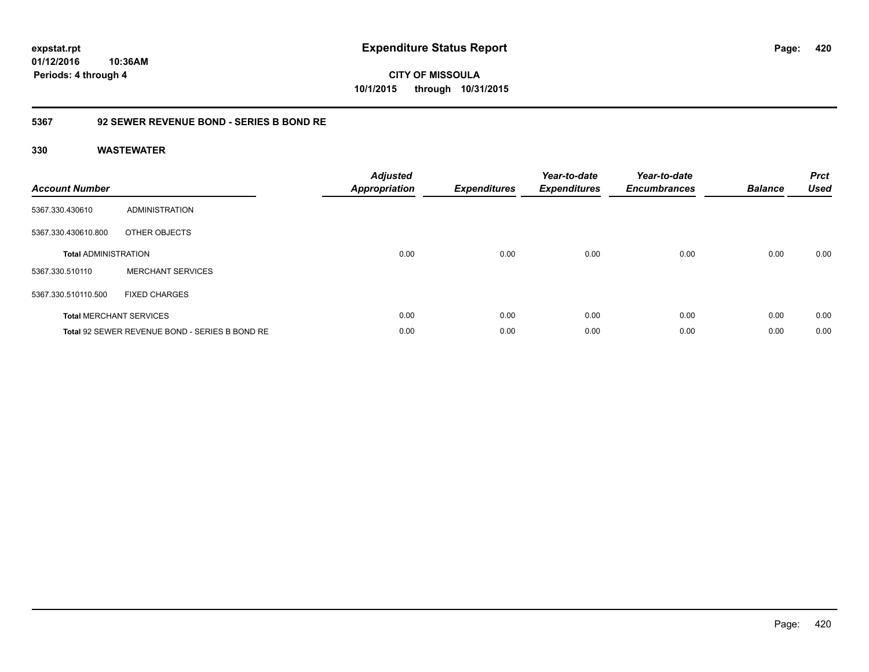**CITY OF MISSOULA 10/1/2015 through 10/31/2015**

### **5367 92 SEWER REVENUE BOND - SERIES B BOND RE**

| <b>Account Number</b>          |                                                | <b>Adjusted</b><br><b>Appropriation</b> | <b>Expenditures</b> | Year-to-date<br><b>Expenditures</b> | Year-to-date<br><b>Encumbrances</b> | <b>Balance</b> | <b>Prct</b><br><b>Used</b> |
|--------------------------------|------------------------------------------------|-----------------------------------------|---------------------|-------------------------------------|-------------------------------------|----------------|----------------------------|
| 5367.330.430610                | ADMINISTRATION                                 |                                         |                     |                                     |                                     |                |                            |
| 5367.330.430610.800            | OTHER OBJECTS                                  |                                         |                     |                                     |                                     |                |                            |
| <b>Total ADMINISTRATION</b>    |                                                | 0.00                                    | 0.00                | 0.00                                | 0.00                                | 0.00           | 0.00                       |
| 5367.330.510110                | <b>MERCHANT SERVICES</b>                       |                                         |                     |                                     |                                     |                |                            |
| 5367.330.510110.500            | <b>FIXED CHARGES</b>                           |                                         |                     |                                     |                                     |                |                            |
| <b>Total MERCHANT SERVICES</b> |                                                | 0.00                                    | 0.00                | 0.00                                | 0.00                                | 0.00           | 0.00                       |
|                                | Total 92 SEWER REVENUE BOND - SERIES B BOND RE | 0.00                                    | 0.00                | 0.00                                | 0.00                                | 0.00           | 0.00                       |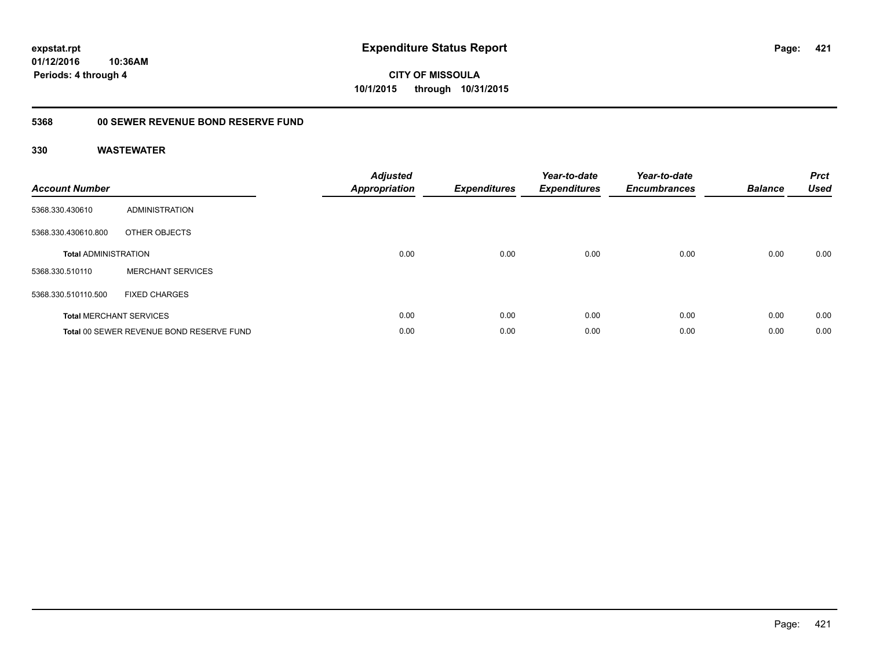# **CITY OF MISSOULA 10/1/2015 through 10/31/2015**

## **5368 00 SEWER REVENUE BOND RESERVE FUND**

| <b>Account Number</b>       |                                          | <b>Adjusted</b><br><b>Appropriation</b> | <b>Expenditures</b> | Year-to-date<br><b>Expenditures</b> | Year-to-date<br><b>Encumbrances</b> | <b>Balance</b> | <b>Prct</b><br><b>Used</b> |
|-----------------------------|------------------------------------------|-----------------------------------------|---------------------|-------------------------------------|-------------------------------------|----------------|----------------------------|
| 5368.330.430610             | ADMINISTRATION                           |                                         |                     |                                     |                                     |                |                            |
| 5368.330.430610.800         | OTHER OBJECTS                            |                                         |                     |                                     |                                     |                |                            |
| <b>Total ADMINISTRATION</b> |                                          | 0.00                                    | 0.00                | 0.00                                | 0.00                                | 0.00           | 0.00                       |
| 5368.330.510110             | <b>MERCHANT SERVICES</b>                 |                                         |                     |                                     |                                     |                |                            |
| 5368.330.510110.500         | <b>FIXED CHARGES</b>                     |                                         |                     |                                     |                                     |                |                            |
|                             | <b>Total MERCHANT SERVICES</b>           | 0.00                                    | 0.00                | 0.00                                | 0.00                                | 0.00           | 0.00                       |
|                             | Total 00 SEWER REVENUE BOND RESERVE FUND | 0.00                                    | 0.00                | 0.00                                | 0.00                                | 0.00           | 0.00                       |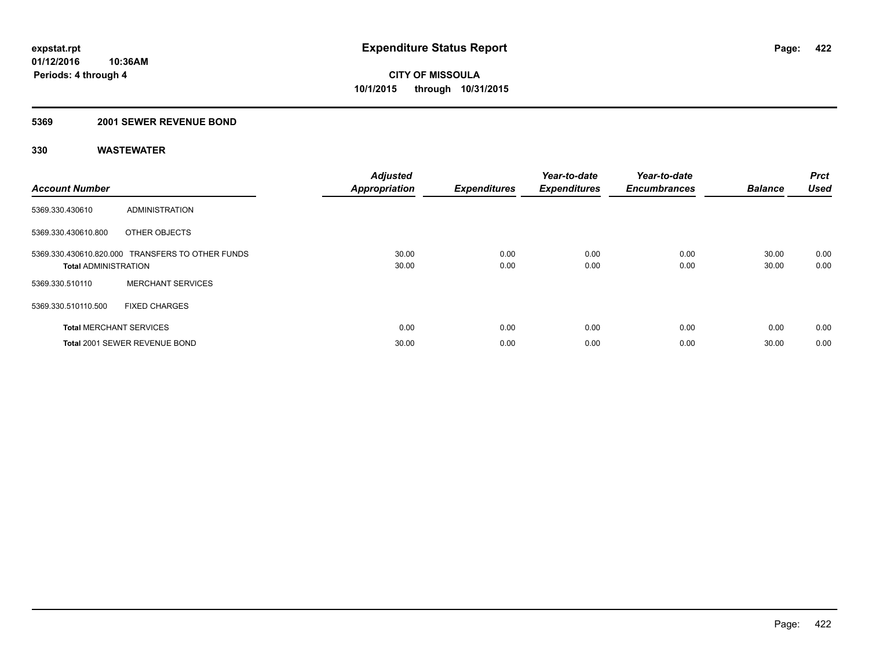### **5369 2001 SEWER REVENUE BOND**

| <b>Account Number</b>          |                                                  | <b>Adjusted</b><br><b>Appropriation</b> | <b>Expenditures</b> | Year-to-date<br><b>Expenditures</b> | Year-to-date<br><b>Encumbrances</b> | <b>Balance</b> | Prct<br><b>Used</b> |
|--------------------------------|--------------------------------------------------|-----------------------------------------|---------------------|-------------------------------------|-------------------------------------|----------------|---------------------|
| 5369.330.430610                | ADMINISTRATION                                   |                                         |                     |                                     |                                     |                |                     |
| 5369.330.430610.800            | OTHER OBJECTS                                    |                                         |                     |                                     |                                     |                |                     |
| <b>Total ADMINISTRATION</b>    | 5369.330.430610.820.000 TRANSFERS TO OTHER FUNDS | 30.00<br>30.00                          | 0.00<br>0.00        | 0.00<br>0.00                        | 0.00<br>0.00                        | 30.00<br>30.00 | 0.00<br>0.00        |
| 5369.330.510110                | <b>MERCHANT SERVICES</b>                         |                                         |                     |                                     |                                     |                |                     |
| 5369.330.510110.500            | <b>FIXED CHARGES</b>                             |                                         |                     |                                     |                                     |                |                     |
| <b>Total MERCHANT SERVICES</b> |                                                  | 0.00                                    | 0.00                | 0.00                                | 0.00                                | 0.00           | 0.00                |
|                                | Total 2001 SEWER REVENUE BOND                    | 30.00                                   | 0.00                | 0.00                                | 0.00                                | 30.00          | 0.00                |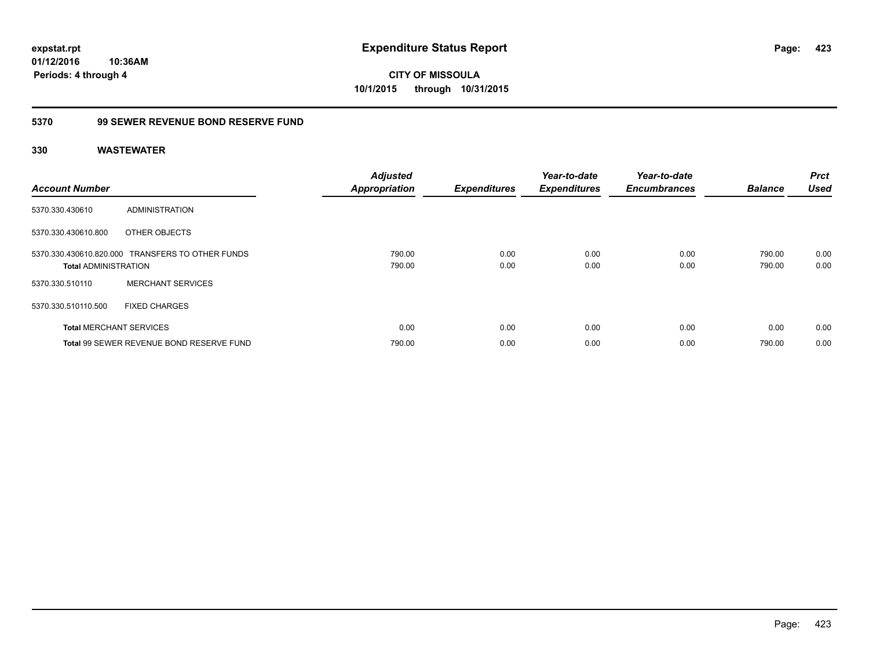**CITY OF MISSOULA 10/1/2015 through 10/31/2015**

## **5370 99 SEWER REVENUE BOND RESERVE FUND**

| <b>Account Number</b>       |                                                  | <b>Adjusted</b><br><b>Appropriation</b> | <b>Expenditures</b> | Year-to-date<br><b>Expenditures</b> | Year-to-date<br><b>Encumbrances</b> | <b>Balance</b>   | <b>Prct</b><br><b>Used</b> |
|-----------------------------|--------------------------------------------------|-----------------------------------------|---------------------|-------------------------------------|-------------------------------------|------------------|----------------------------|
| 5370.330.430610             | ADMINISTRATION                                   |                                         |                     |                                     |                                     |                  |                            |
| 5370.330.430610.800         | OTHER OBJECTS                                    |                                         |                     |                                     |                                     |                  |                            |
| <b>Total ADMINISTRATION</b> | 5370.330.430610.820.000 TRANSFERS TO OTHER FUNDS | 790.00<br>790.00                        | 0.00<br>0.00        | 0.00<br>0.00                        | 0.00<br>0.00                        | 790.00<br>790.00 | 0.00<br>0.00               |
| 5370.330.510110             | <b>MERCHANT SERVICES</b>                         |                                         |                     |                                     |                                     |                  |                            |
| 5370.330.510110.500         | <b>FIXED CHARGES</b>                             |                                         |                     |                                     |                                     |                  |                            |
|                             | <b>Total MERCHANT SERVICES</b>                   | 0.00                                    | 0.00                | 0.00                                | 0.00                                | 0.00             | 0.00                       |
|                             | Total 99 SEWER REVENUE BOND RESERVE FUND         | 790.00                                  | 0.00                | 0.00                                | 0.00                                | 790.00           | 0.00                       |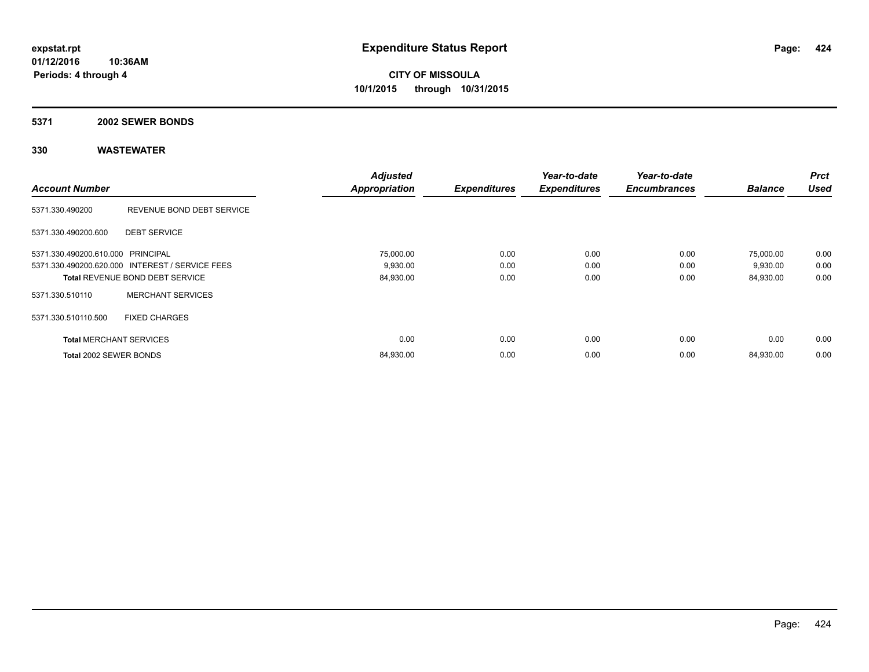#### **5371 2002 SEWER BONDS**

|                                   |                                                 | <b>Adjusted</b>      |                     | Year-to-date        | Year-to-date        |                | <b>Prct</b> |
|-----------------------------------|-------------------------------------------------|----------------------|---------------------|---------------------|---------------------|----------------|-------------|
| <b>Account Number</b>             |                                                 | <b>Appropriation</b> | <b>Expenditures</b> | <b>Expenditures</b> | <b>Encumbrances</b> | <b>Balance</b> | <b>Used</b> |
| 5371.330.490200                   | REVENUE BOND DEBT SERVICE                       |                      |                     |                     |                     |                |             |
| 5371.330.490200.600               | <b>DEBT SERVICE</b>                             |                      |                     |                     |                     |                |             |
| 5371.330.490200.610.000 PRINCIPAL |                                                 | 75,000.00            | 0.00                | 0.00                | 0.00                | 75,000.00      | 0.00        |
|                                   | 5371.330.490200.620.000 INTEREST / SERVICE FEES | 9,930.00             | 0.00                | 0.00                | 0.00                | 9,930.00       | 0.00        |
|                                   | <b>Total REVENUE BOND DEBT SERVICE</b>          | 84,930.00            | 0.00                | 0.00                | 0.00                | 84,930.00      | 0.00        |
| 5371.330.510110                   | <b>MERCHANT SERVICES</b>                        |                      |                     |                     |                     |                |             |
| 5371.330.510110.500               | <b>FIXED CHARGES</b>                            |                      |                     |                     |                     |                |             |
| <b>Total MERCHANT SERVICES</b>    |                                                 | 0.00                 | 0.00                | 0.00                | 0.00                | 0.00           | 0.00        |
| Total 2002 SEWER BONDS            |                                                 | 84,930.00            | 0.00                | 0.00                | 0.00                | 84,930.00      | 0.00        |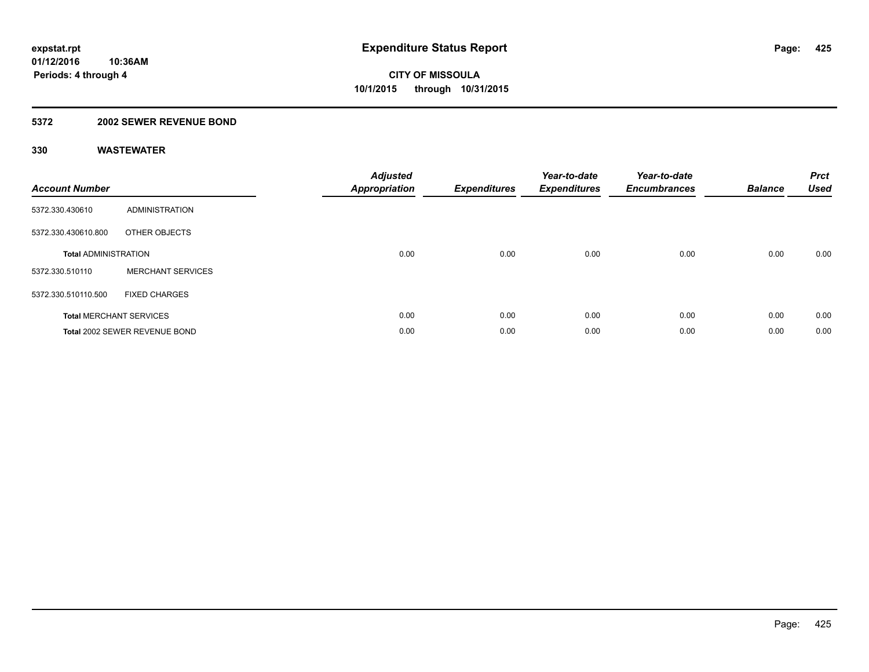### **5372 2002 SEWER REVENUE BOND**

| <b>Account Number</b>       |                                | <b>Adjusted</b><br>Appropriation | <b>Expenditures</b> | Year-to-date<br><b>Expenditures</b> | Year-to-date<br><b>Encumbrances</b> | <b>Balance</b> | <b>Prct</b><br><b>Used</b> |
|-----------------------------|--------------------------------|----------------------------------|---------------------|-------------------------------------|-------------------------------------|----------------|----------------------------|
| 5372.330.430610             | <b>ADMINISTRATION</b>          |                                  |                     |                                     |                                     |                |                            |
| 5372.330.430610.800         | OTHER OBJECTS                  |                                  |                     |                                     |                                     |                |                            |
| <b>Total ADMINISTRATION</b> |                                | 0.00                             | 0.00                | 0.00                                | 0.00                                | 0.00           | 0.00                       |
| 5372.330.510110             | <b>MERCHANT SERVICES</b>       |                                  |                     |                                     |                                     |                |                            |
| 5372.330.510110.500         | <b>FIXED CHARGES</b>           |                                  |                     |                                     |                                     |                |                            |
|                             | <b>Total MERCHANT SERVICES</b> | 0.00                             | 0.00                | 0.00                                | 0.00                                | 0.00           | 0.00                       |
|                             | Total 2002 SEWER REVENUE BOND  | 0.00                             | 0.00                | 0.00                                | 0.00                                | 0.00           | 0.00                       |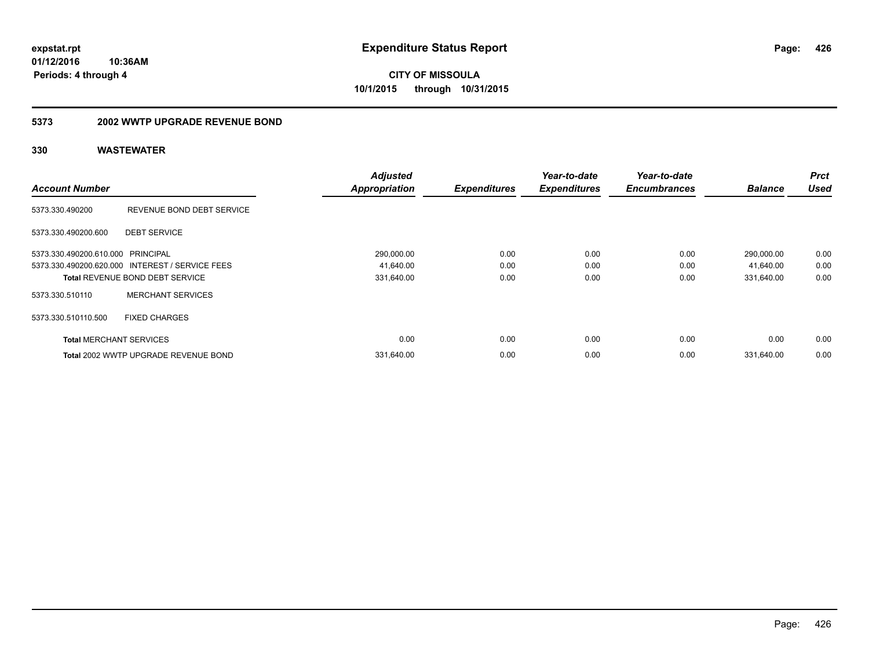**426**

**01/12/2016 10:36AM Periods: 4 through 4**

**CITY OF MISSOULA 10/1/2015 through 10/31/2015**

#### **5373 2002 WWTP UPGRADE REVENUE BOND**

|                                   |                                                 | <b>Adjusted</b>      |                     | Year-to-date        | Year-to-date        |                | <b>Prct</b> |
|-----------------------------------|-------------------------------------------------|----------------------|---------------------|---------------------|---------------------|----------------|-------------|
| <b>Account Number</b>             |                                                 | <b>Appropriation</b> | <b>Expenditures</b> | <b>Expenditures</b> | <b>Encumbrances</b> | <b>Balance</b> | <b>Used</b> |
| 5373.330.490200                   | REVENUE BOND DEBT SERVICE                       |                      |                     |                     |                     |                |             |
| 5373.330.490200.600               | <b>DEBT SERVICE</b>                             |                      |                     |                     |                     |                |             |
| 5373.330.490200.610.000 PRINCIPAL |                                                 | 290,000.00           | 0.00                | 0.00                | 0.00                | 290,000.00     | 0.00        |
|                                   | 5373.330.490200.620.000 INTEREST / SERVICE FEES | 41,640.00            | 0.00                | 0.00                | 0.00                | 41,640.00      | 0.00        |
|                                   | <b>Total REVENUE BOND DEBT SERVICE</b>          | 331,640.00           | 0.00                | 0.00                | 0.00                | 331,640.00     | 0.00        |
| 5373.330.510110                   | <b>MERCHANT SERVICES</b>                        |                      |                     |                     |                     |                |             |
| 5373.330.510110.500               | <b>FIXED CHARGES</b>                            |                      |                     |                     |                     |                |             |
| <b>Total MERCHANT SERVICES</b>    |                                                 | 0.00                 | 0.00                | 0.00                | 0.00                | 0.00           | 0.00        |
|                                   | Total 2002 WWTP UPGRADE REVENUE BOND            | 331.640.00           | 0.00                | 0.00                | 0.00                | 331.640.00     | 0.00        |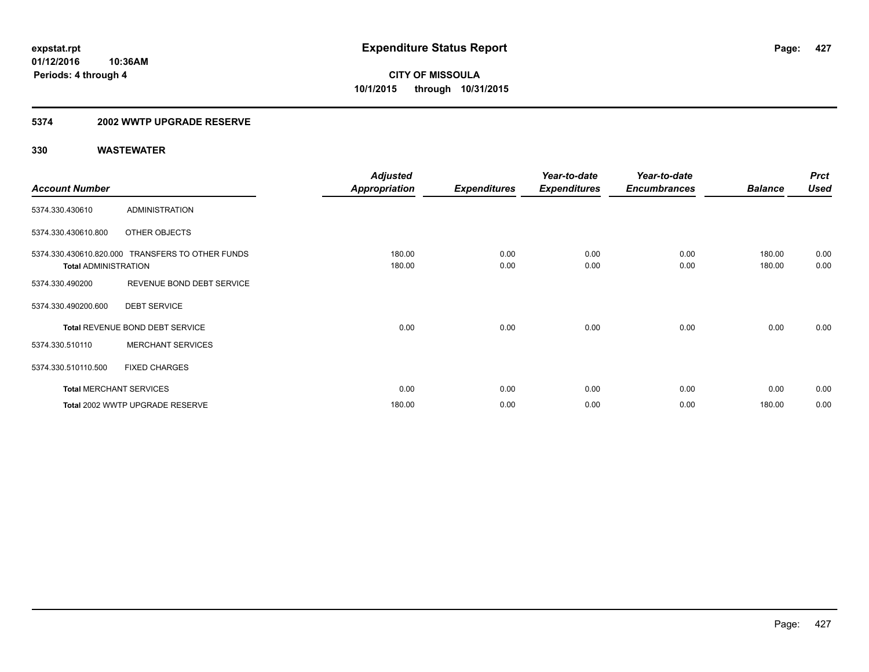### **5374 2002 WWTP UPGRADE RESERVE**

|                             |                                                  | <b>Adjusted</b>      |                     | Year-to-date        | Year-to-date        |                | <b>Prct</b> |
|-----------------------------|--------------------------------------------------|----------------------|---------------------|---------------------|---------------------|----------------|-------------|
| <b>Account Number</b>       |                                                  | <b>Appropriation</b> | <b>Expenditures</b> | <b>Expenditures</b> | <b>Encumbrances</b> | <b>Balance</b> | <b>Used</b> |
| 5374.330.430610             | <b>ADMINISTRATION</b>                            |                      |                     |                     |                     |                |             |
| 5374.330.430610.800         | OTHER OBJECTS                                    |                      |                     |                     |                     |                |             |
|                             | 5374.330.430610.820.000 TRANSFERS TO OTHER FUNDS | 180.00               | 0.00                | 0.00                | 0.00                | 180.00         | 0.00        |
| <b>Total ADMINISTRATION</b> |                                                  | 180.00               | 0.00                | 0.00                | 0.00                | 180.00         | 0.00        |
| 5374.330.490200             | REVENUE BOND DEBT SERVICE                        |                      |                     |                     |                     |                |             |
| 5374.330.490200.600         | <b>DEBT SERVICE</b>                              |                      |                     |                     |                     |                |             |
|                             | Total REVENUE BOND DEBT SERVICE                  | 0.00                 | 0.00                | 0.00                | 0.00                | 0.00           | 0.00        |
| 5374.330.510110             | <b>MERCHANT SERVICES</b>                         |                      |                     |                     |                     |                |             |
| 5374.330.510110.500         | <b>FIXED CHARGES</b>                             |                      |                     |                     |                     |                |             |
|                             | <b>Total MERCHANT SERVICES</b>                   | 0.00                 | 0.00                | 0.00                | 0.00                | 0.00           | 0.00        |
|                             | Total 2002 WWTP UPGRADE RESERVE                  | 180.00               | 0.00                | 0.00                | 0.00                | 180.00         | 0.00        |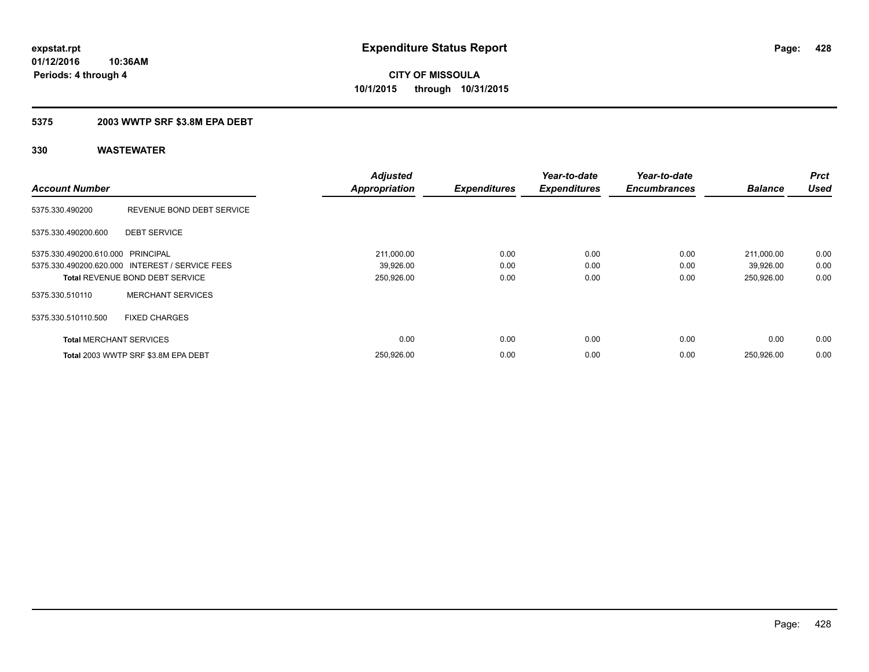### **5375 2003 WWTP SRF \$3.8M EPA DEBT**

| <b>Account Number</b>             |                                                 | <b>Adjusted</b><br><b>Appropriation</b> | <b>Expenditures</b> | Year-to-date<br><b>Expenditures</b> | Year-to-date<br><b>Encumbrances</b> | <b>Balance</b> | <b>Prct</b><br><b>Used</b> |
|-----------------------------------|-------------------------------------------------|-----------------------------------------|---------------------|-------------------------------------|-------------------------------------|----------------|----------------------------|
| 5375.330.490200                   | REVENUE BOND DEBT SERVICE                       |                                         |                     |                                     |                                     |                |                            |
| 5375.330.490200.600               | <b>DEBT SERVICE</b>                             |                                         |                     |                                     |                                     |                |                            |
| 5375.330.490200.610.000 PRINCIPAL |                                                 | 211,000.00                              | 0.00                | 0.00                                | 0.00                                | 211,000.00     | 0.00                       |
|                                   | 5375.330.490200.620.000 INTEREST / SERVICE FEES | 39,926.00                               | 0.00                | 0.00                                | 0.00                                | 39,926.00      | 0.00                       |
|                                   | <b>Total REVENUE BOND DEBT SERVICE</b>          | 250,926.00                              | 0.00                | 0.00                                | 0.00                                | 250,926.00     | 0.00                       |
| 5375.330.510110                   | <b>MERCHANT SERVICES</b>                        |                                         |                     |                                     |                                     |                |                            |
| 5375.330.510110.500               | <b>FIXED CHARGES</b>                            |                                         |                     |                                     |                                     |                |                            |
| <b>Total MERCHANT SERVICES</b>    |                                                 | 0.00                                    | 0.00                | 0.00                                | 0.00                                | 0.00           | 0.00                       |
|                                   | Total 2003 WWTP SRF \$3.8M EPA DEBT             | 250,926.00                              | 0.00                | 0.00                                | 0.00                                | 250,926.00     | 0.00                       |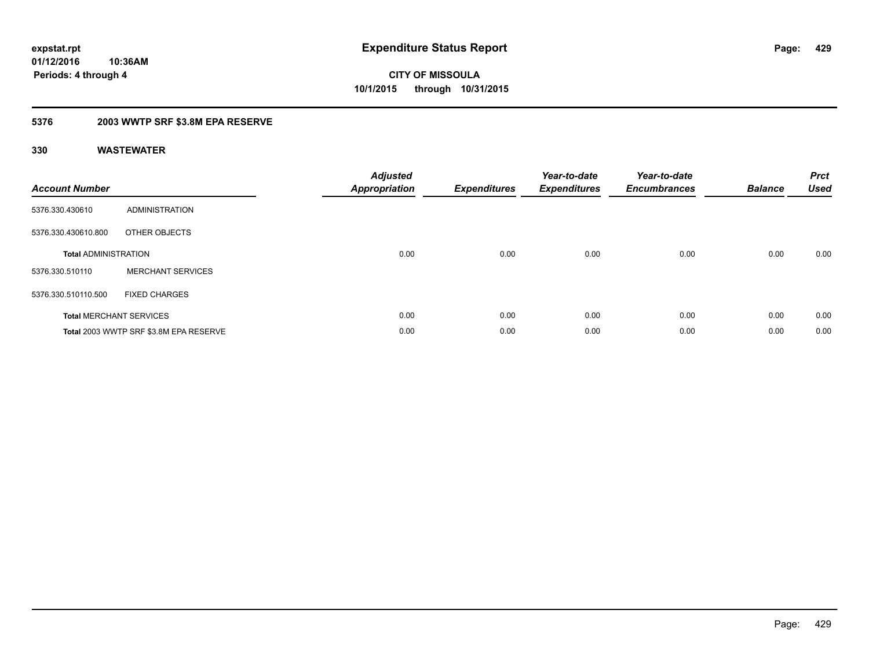### **5376 2003 WWTP SRF \$3.8M EPA RESERVE**

| <b>Account Number</b>       |                                        | <b>Adjusted</b><br><b>Appropriation</b> | <b>Expenditures</b> | Year-to-date<br><b>Expenditures</b> | Year-to-date<br><b>Encumbrances</b> | <b>Balance</b> | <b>Prct</b><br><b>Used</b> |
|-----------------------------|----------------------------------------|-----------------------------------------|---------------------|-------------------------------------|-------------------------------------|----------------|----------------------------|
| 5376.330.430610             | <b>ADMINISTRATION</b>                  |                                         |                     |                                     |                                     |                |                            |
| 5376.330.430610.800         | OTHER OBJECTS                          |                                         |                     |                                     |                                     |                |                            |
| <b>Total ADMINISTRATION</b> |                                        | 0.00                                    | 0.00                | 0.00                                | 0.00                                | 0.00           | 0.00                       |
| 5376.330.510110             | <b>MERCHANT SERVICES</b>               |                                         |                     |                                     |                                     |                |                            |
| 5376.330.510110.500         | <b>FIXED CHARGES</b>                   |                                         |                     |                                     |                                     |                |                            |
|                             | <b>Total MERCHANT SERVICES</b>         | 0.00                                    | 0.00                | 0.00                                | 0.00                                | 0.00           | 0.00                       |
|                             | Total 2003 WWTP SRF \$3.8M EPA RESERVE | 0.00                                    | 0.00                | 0.00                                | 0.00                                | 0.00           | 0.00                       |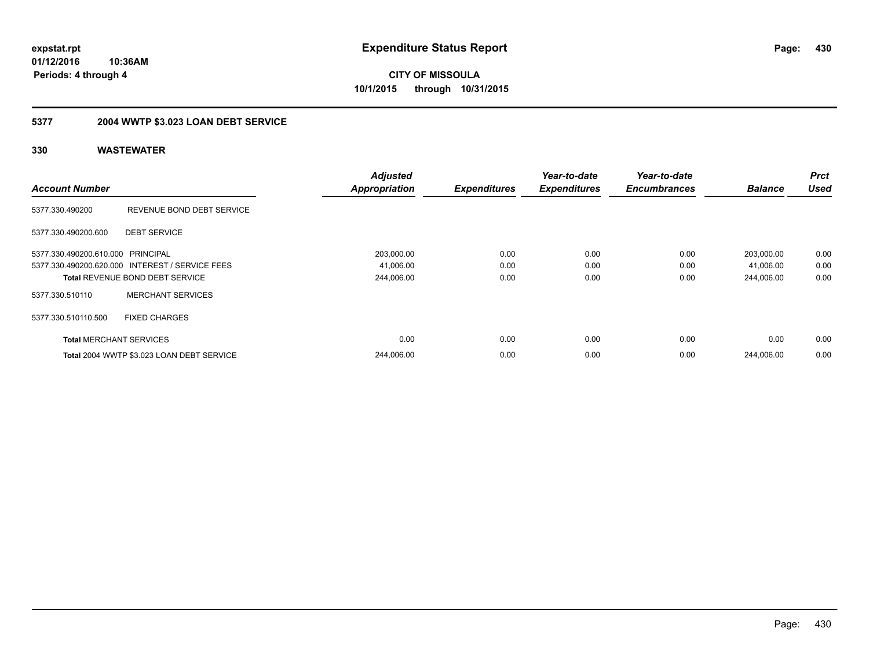**CITY OF MISSOULA 10/1/2015 through 10/31/2015**

## **5377 2004 WWTP \$3.023 LOAN DEBT SERVICE**

| <b>Account Number</b>             |                                                 | <b>Adjusted</b><br><b>Appropriation</b> | <b>Expenditures</b> | Year-to-date<br><b>Expenditures</b> | Year-to-date<br><b>Encumbrances</b> | <b>Balance</b> | <b>Prct</b><br><b>Used</b> |
|-----------------------------------|-------------------------------------------------|-----------------------------------------|---------------------|-------------------------------------|-------------------------------------|----------------|----------------------------|
| 5377.330.490200                   | REVENUE BOND DEBT SERVICE                       |                                         |                     |                                     |                                     |                |                            |
| 5377.330.490200.600               | <b>DEBT SERVICE</b>                             |                                         |                     |                                     |                                     |                |                            |
| 5377.330.490200.610.000 PRINCIPAL |                                                 | 203,000.00                              | 0.00                | 0.00                                | 0.00                                | 203,000.00     | 0.00                       |
|                                   | 5377.330.490200.620.000 INTEREST / SERVICE FEES | 41,006.00                               | 0.00                | 0.00                                | 0.00                                | 41.006.00      | 0.00                       |
|                                   | <b>Total REVENUE BOND DEBT SERVICE</b>          | 244,006.00                              | 0.00                | 0.00                                | 0.00                                | 244.006.00     | 0.00                       |
| 5377.330.510110                   | <b>MERCHANT SERVICES</b>                        |                                         |                     |                                     |                                     |                |                            |
| 5377.330.510110.500               | <b>FIXED CHARGES</b>                            |                                         |                     |                                     |                                     |                |                            |
| <b>Total MERCHANT SERVICES</b>    |                                                 | 0.00                                    | 0.00                | 0.00                                | 0.00                                | 0.00           | 0.00                       |
|                                   | Total 2004 WWTP \$3.023 LOAN DEBT SERVICE       | 244.006.00                              | 0.00                | 0.00                                | 0.00                                | 244.006.00     | 0.00                       |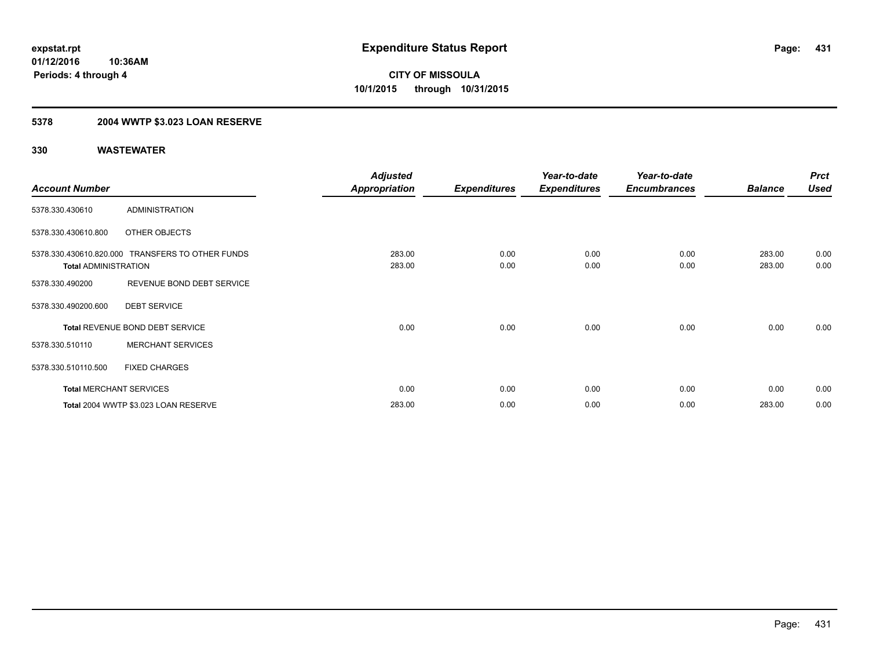### **5378 2004 WWTP \$3.023 LOAN RESERVE**

|                             |                                                  | <b>Adjusted</b>      |                     | Year-to-date        | Year-to-date        |                | <b>Prct</b> |
|-----------------------------|--------------------------------------------------|----------------------|---------------------|---------------------|---------------------|----------------|-------------|
| <b>Account Number</b>       |                                                  | <b>Appropriation</b> | <b>Expenditures</b> | <b>Expenditures</b> | <b>Encumbrances</b> | <b>Balance</b> | <b>Used</b> |
| 5378.330.430610             | <b>ADMINISTRATION</b>                            |                      |                     |                     |                     |                |             |
| 5378.330.430610.800         | OTHER OBJECTS                                    |                      |                     |                     |                     |                |             |
|                             | 5378.330.430610.820.000 TRANSFERS TO OTHER FUNDS | 283.00               | 0.00                | 0.00                | 0.00                | 283.00         | 0.00        |
| <b>Total ADMINISTRATION</b> |                                                  | 283.00               | 0.00                | 0.00                | 0.00                | 283.00         | 0.00        |
| 5378.330.490200             | REVENUE BOND DEBT SERVICE                        |                      |                     |                     |                     |                |             |
| 5378.330.490200.600         | <b>DEBT SERVICE</b>                              |                      |                     |                     |                     |                |             |
|                             | Total REVENUE BOND DEBT SERVICE                  | 0.00                 | 0.00                | 0.00                | 0.00                | 0.00           | 0.00        |
| 5378.330.510110             | <b>MERCHANT SERVICES</b>                         |                      |                     |                     |                     |                |             |
| 5378.330.510110.500         | <b>FIXED CHARGES</b>                             |                      |                     |                     |                     |                |             |
|                             | <b>Total MERCHANT SERVICES</b>                   | 0.00                 | 0.00                | 0.00                | 0.00                | 0.00           | 0.00        |
|                             | Total 2004 WWTP \$3.023 LOAN RESERVE             | 283.00               | 0.00                | 0.00                | 0.00                | 283.00         | 0.00        |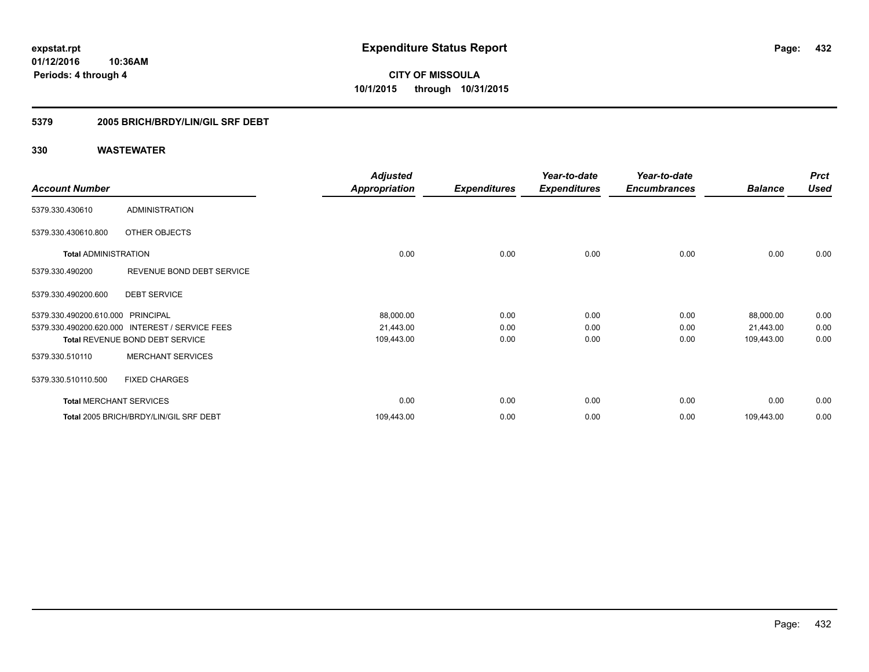**CITY OF MISSOULA 10/1/2015 through 10/31/2015**

### **5379 2005 BRICH/BRDY/LIN/GIL SRF DEBT**

|                                |                                                 | <b>Adjusted</b>      |                     | Year-to-date        | Year-to-date        |                | <b>Prct</b> |
|--------------------------------|-------------------------------------------------|----------------------|---------------------|---------------------|---------------------|----------------|-------------|
| <b>Account Number</b>          |                                                 | <b>Appropriation</b> | <b>Expenditures</b> | <b>Expenditures</b> | <b>Encumbrances</b> | <b>Balance</b> | Used        |
| 5379.330.430610                | ADMINISTRATION                                  |                      |                     |                     |                     |                |             |
| 5379.330.430610.800            | OTHER OBJECTS                                   |                      |                     |                     |                     |                |             |
| <b>Total ADMINISTRATION</b>    |                                                 | 0.00                 | 0.00                | 0.00                | 0.00                | 0.00           | 0.00        |
| 5379.330.490200                | REVENUE BOND DEBT SERVICE                       |                      |                     |                     |                     |                |             |
| 5379.330.490200.600            | <b>DEBT SERVICE</b>                             |                      |                     |                     |                     |                |             |
| 5379.330.490200.610.000        | <b>PRINCIPAL</b>                                | 88,000.00            | 0.00                | 0.00                | 0.00                | 88,000.00      | 0.00        |
|                                | 5379.330.490200.620.000 INTEREST / SERVICE FEES | 21,443.00            | 0.00                | 0.00                | 0.00                | 21,443.00      | 0.00        |
|                                | Total REVENUE BOND DEBT SERVICE                 | 109,443.00           | 0.00                | 0.00                | 0.00                | 109,443.00     | 0.00        |
| 5379.330.510110                | <b>MERCHANT SERVICES</b>                        |                      |                     |                     |                     |                |             |
| 5379.330.510110.500            | <b>FIXED CHARGES</b>                            |                      |                     |                     |                     |                |             |
| <b>Total MERCHANT SERVICES</b> |                                                 | 0.00                 | 0.00                | 0.00                | 0.00                | 0.00           | 0.00        |
|                                | Total 2005 BRICH/BRDY/LIN/GIL SRF DEBT          | 109,443.00           | 0.00                | 0.00                | 0.00                | 109,443.00     | 0.00        |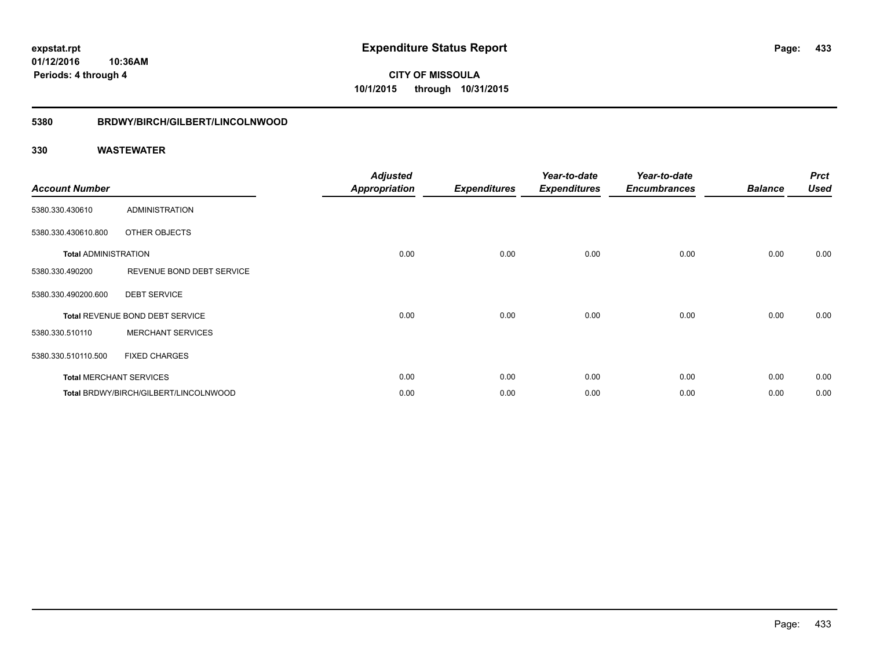**01/12/2016 10:36AM Periods: 4 through 4**

**CITY OF MISSOULA 10/1/2015 through 10/31/2015**

## **5380 BRDWY/BIRCH/GILBERT/LINCOLNWOOD**

| <b>Account Number</b>       |                                       | <b>Adjusted</b><br><b>Appropriation</b> | <b>Expenditures</b> | Year-to-date<br><b>Expenditures</b> | Year-to-date<br><b>Encumbrances</b> | <b>Balance</b> | <b>Prct</b><br><b>Used</b> |
|-----------------------------|---------------------------------------|-----------------------------------------|---------------------|-------------------------------------|-------------------------------------|----------------|----------------------------|
| 5380.330.430610             | <b>ADMINISTRATION</b>                 |                                         |                     |                                     |                                     |                |                            |
| 5380.330.430610.800         | OTHER OBJECTS                         |                                         |                     |                                     |                                     |                |                            |
| <b>Total ADMINISTRATION</b> |                                       | 0.00                                    | 0.00                | 0.00                                | 0.00                                | 0.00           | 0.00                       |
| 5380.330.490200             | REVENUE BOND DEBT SERVICE             |                                         |                     |                                     |                                     |                |                            |
| 5380.330.490200.600         | <b>DEBT SERVICE</b>                   |                                         |                     |                                     |                                     |                |                            |
|                             | Total REVENUE BOND DEBT SERVICE       | 0.00                                    | 0.00                | 0.00                                | 0.00                                | 0.00           | 0.00                       |
| 5380.330.510110             | <b>MERCHANT SERVICES</b>              |                                         |                     |                                     |                                     |                |                            |
| 5380.330.510110.500         | <b>FIXED CHARGES</b>                  |                                         |                     |                                     |                                     |                |                            |
|                             | <b>Total MERCHANT SERVICES</b>        | 0.00                                    | 0.00                | 0.00                                | 0.00                                | 0.00           | 0.00                       |
|                             | Total BRDWY/BIRCH/GILBERT/LINCOLNWOOD | 0.00                                    | 0.00                | 0.00                                | 0.00                                | 0.00           | 0.00                       |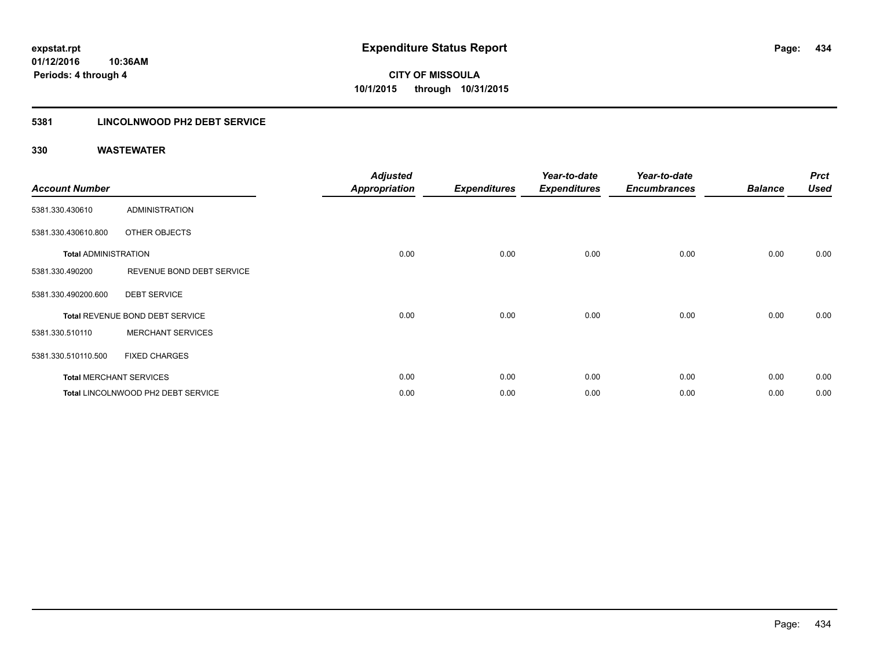## **5381 LINCOLNWOOD PH2 DEBT SERVICE**

| <b>Account Number</b>       |                                    | <b>Adjusted</b><br><b>Appropriation</b> | <b>Expenditures</b> | Year-to-date<br><b>Expenditures</b> | Year-to-date<br><b>Encumbrances</b> | <b>Balance</b> | <b>Prct</b><br><b>Used</b> |
|-----------------------------|------------------------------------|-----------------------------------------|---------------------|-------------------------------------|-------------------------------------|----------------|----------------------------|
| 5381.330.430610             | <b>ADMINISTRATION</b>              |                                         |                     |                                     |                                     |                |                            |
| 5381.330.430610.800         | OTHER OBJECTS                      |                                         |                     |                                     |                                     |                |                            |
| <b>Total ADMINISTRATION</b> |                                    | 0.00                                    | 0.00                | 0.00                                | 0.00                                | 0.00           | 0.00                       |
| 5381.330.490200             | REVENUE BOND DEBT SERVICE          |                                         |                     |                                     |                                     |                |                            |
| 5381.330.490200.600         | <b>DEBT SERVICE</b>                |                                         |                     |                                     |                                     |                |                            |
|                             | Total REVENUE BOND DEBT SERVICE    | 0.00                                    | 0.00                | 0.00                                | 0.00                                | 0.00           | 0.00                       |
| 5381.330.510110             | <b>MERCHANT SERVICES</b>           |                                         |                     |                                     |                                     |                |                            |
| 5381.330.510110.500         | <b>FIXED CHARGES</b>               |                                         |                     |                                     |                                     |                |                            |
|                             | <b>Total MERCHANT SERVICES</b>     | 0.00                                    | 0.00                | 0.00                                | 0.00                                | 0.00           | 0.00                       |
|                             | Total LINCOLNWOOD PH2 DEBT SERVICE | 0.00                                    | 0.00                | 0.00                                | 0.00                                | 0.00           | 0.00                       |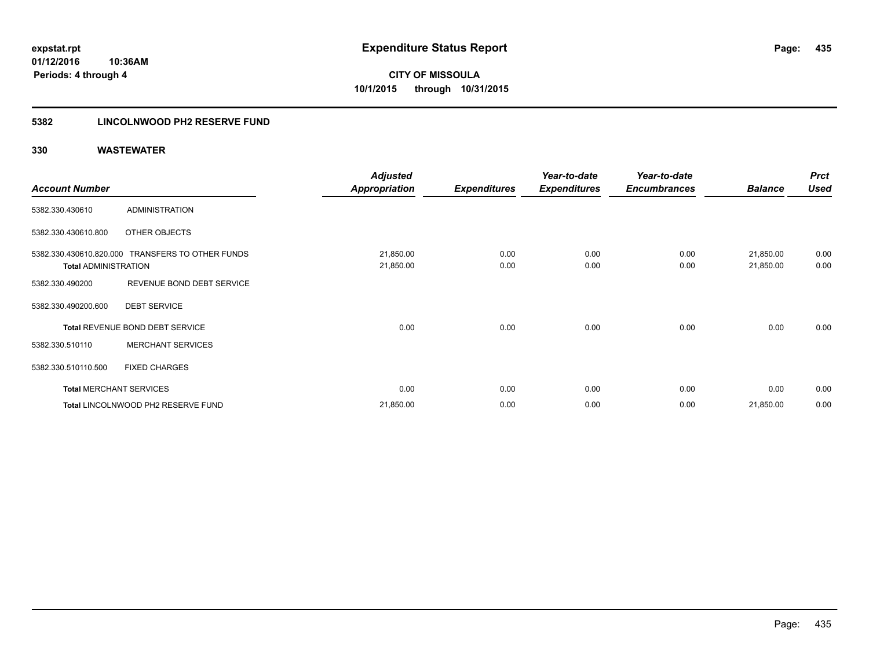## **5382 LINCOLNWOOD PH2 RESERVE FUND**

|                             |                                                  | <b>Adjusted</b>        |                     | Year-to-date        | Year-to-date        |                        | <b>Prct</b>  |
|-----------------------------|--------------------------------------------------|------------------------|---------------------|---------------------|---------------------|------------------------|--------------|
| <b>Account Number</b>       |                                                  | <b>Appropriation</b>   | <b>Expenditures</b> | <b>Expenditures</b> | <b>Encumbrances</b> | <b>Balance</b>         | <b>Used</b>  |
| 5382.330.430610             | <b>ADMINISTRATION</b>                            |                        |                     |                     |                     |                        |              |
| 5382.330.430610.800         | OTHER OBJECTS                                    |                        |                     |                     |                     |                        |              |
| <b>Total ADMINISTRATION</b> | 5382.330.430610.820.000 TRANSFERS TO OTHER FUNDS | 21,850.00<br>21,850.00 | 0.00<br>0.00        | 0.00<br>0.00        | 0.00<br>0.00        | 21,850.00<br>21,850.00 | 0.00<br>0.00 |
| 5382.330.490200             | REVENUE BOND DEBT SERVICE                        |                        |                     |                     |                     |                        |              |
| 5382.330.490200.600         | <b>DEBT SERVICE</b>                              |                        |                     |                     |                     |                        |              |
|                             | Total REVENUE BOND DEBT SERVICE                  | 0.00                   | 0.00                | 0.00                | 0.00                | 0.00                   | 0.00         |
| 5382.330.510110             | <b>MERCHANT SERVICES</b>                         |                        |                     |                     |                     |                        |              |
| 5382.330.510110.500         | <b>FIXED CHARGES</b>                             |                        |                     |                     |                     |                        |              |
|                             | <b>Total MERCHANT SERVICES</b>                   | 0.00                   | 0.00                | 0.00                | 0.00                | 0.00                   | 0.00         |
|                             | Total LINCOLNWOOD PH2 RESERVE FUND               | 21,850.00              | 0.00                | 0.00                | 0.00                | 21,850.00              | 0.00         |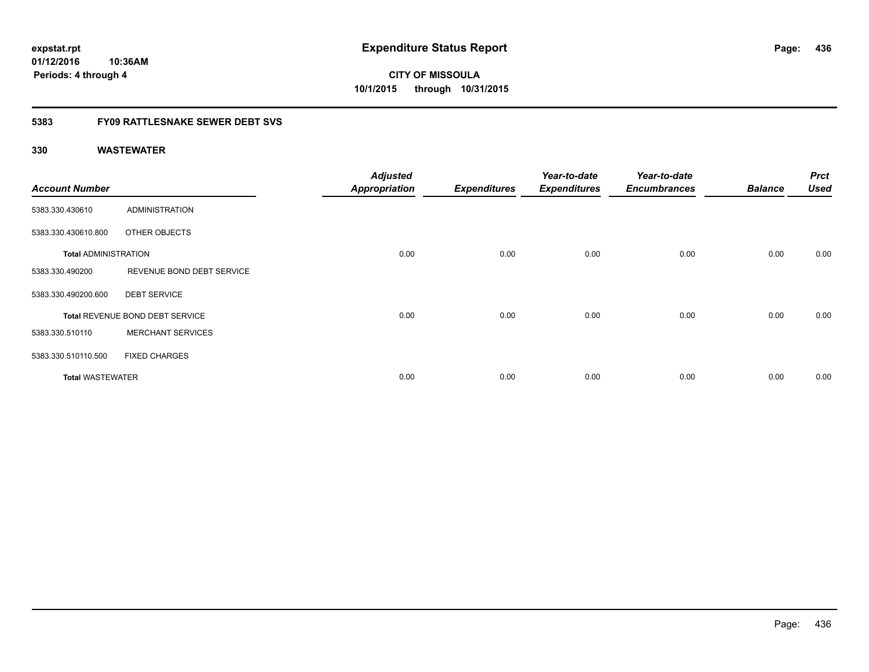**01/12/2016 10:36AM Periods: 4 through 4**

# **CITY OF MISSOULA 10/1/2015 through 10/31/2015**

## **5383 FY09 RATTLESNAKE SEWER DEBT SVS**

| <b>Account Number</b>       |                                 | <b>Adjusted</b><br><b>Appropriation</b> | <b>Expenditures</b> | Year-to-date<br><b>Expenditures</b> | Year-to-date<br><b>Encumbrances</b> | <b>Balance</b> | <b>Prct</b><br><b>Used</b> |
|-----------------------------|---------------------------------|-----------------------------------------|---------------------|-------------------------------------|-------------------------------------|----------------|----------------------------|
| 5383.330.430610             | ADMINISTRATION                  |                                         |                     |                                     |                                     |                |                            |
| 5383.330.430610.800         | OTHER OBJECTS                   |                                         |                     |                                     |                                     |                |                            |
| <b>Total ADMINISTRATION</b> |                                 | 0.00                                    | 0.00                | 0.00                                | 0.00                                | 0.00           | 0.00                       |
| 5383.330.490200             | REVENUE BOND DEBT SERVICE       |                                         |                     |                                     |                                     |                |                            |
| 5383.330.490200.600         | <b>DEBT SERVICE</b>             |                                         |                     |                                     |                                     |                |                            |
|                             | Total REVENUE BOND DEBT SERVICE | 0.00                                    | 0.00                | 0.00                                | 0.00                                | 0.00           | 0.00                       |
| 5383.330.510110             | <b>MERCHANT SERVICES</b>        |                                         |                     |                                     |                                     |                |                            |
| 5383.330.510110.500         | <b>FIXED CHARGES</b>            |                                         |                     |                                     |                                     |                |                            |
| <b>Total WASTEWATER</b>     |                                 | 0.00                                    | 0.00                | 0.00                                | 0.00                                | 0.00           | 0.00                       |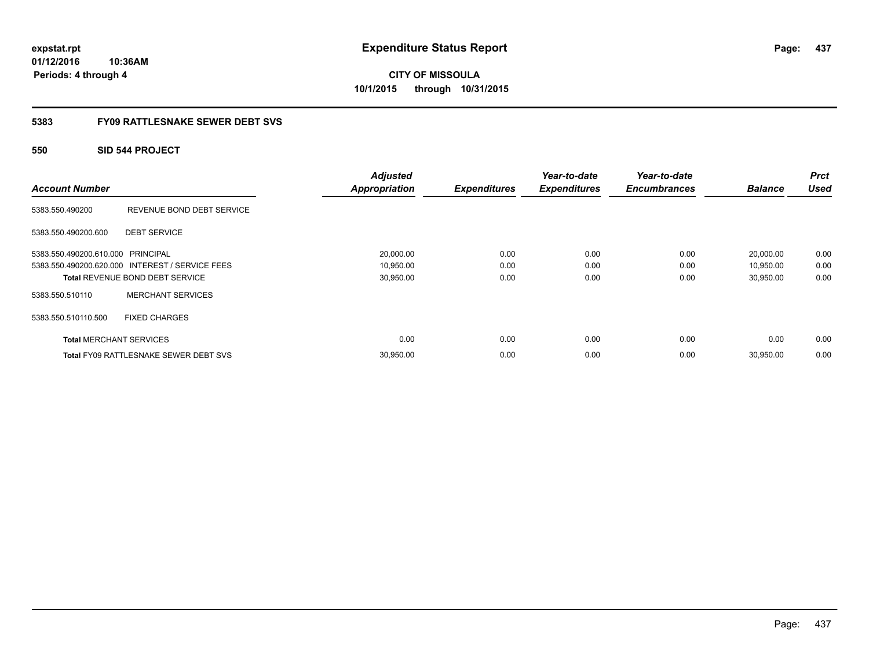**01/12/2016 10:36AM Periods: 4 through 4**

# **CITY OF MISSOULA 10/1/2015 through 10/31/2015**

## **5383 FY09 RATTLESNAKE SEWER DEBT SVS**

## **550 SID 544 PROJECT**

|                                   |                                                 | <b>Adjusted</b>      |                     | Year-to-date        | Year-to-date        |                | <b>Prct</b> |
|-----------------------------------|-------------------------------------------------|----------------------|---------------------|---------------------|---------------------|----------------|-------------|
| <b>Account Number</b>             |                                                 | <b>Appropriation</b> | <b>Expenditures</b> | <b>Expenditures</b> | <b>Encumbrances</b> | <b>Balance</b> | <b>Used</b> |
| 5383.550.490200                   | REVENUE BOND DEBT SERVICE                       |                      |                     |                     |                     |                |             |
| 5383.550.490200.600               | <b>DEBT SERVICE</b>                             |                      |                     |                     |                     |                |             |
| 5383.550.490200.610.000 PRINCIPAL |                                                 | 20,000.00            | 0.00                | 0.00                | 0.00                | 20,000.00      | 0.00        |
|                                   | 5383.550.490200.620.000 INTEREST / SERVICE FEES | 10,950.00            | 0.00                | 0.00                | 0.00                | 10,950.00      | 0.00        |
|                                   | <b>Total REVENUE BOND DEBT SERVICE</b>          | 30,950.00            | 0.00                | 0.00                | 0.00                | 30,950.00      | 0.00        |
| 5383.550.510110                   | <b>MERCHANT SERVICES</b>                        |                      |                     |                     |                     |                |             |
| 5383.550.510110.500               | <b>FIXED CHARGES</b>                            |                      |                     |                     |                     |                |             |
| <b>Total MERCHANT SERVICES</b>    |                                                 | 0.00                 | 0.00                | 0.00                | 0.00                | 0.00           | 0.00        |
|                                   | <b>Total FY09 RATTLESNAKE SEWER DEBT SVS</b>    | 30,950.00            | 0.00                | 0.00                | 0.00                | 30,950.00      | 0.00        |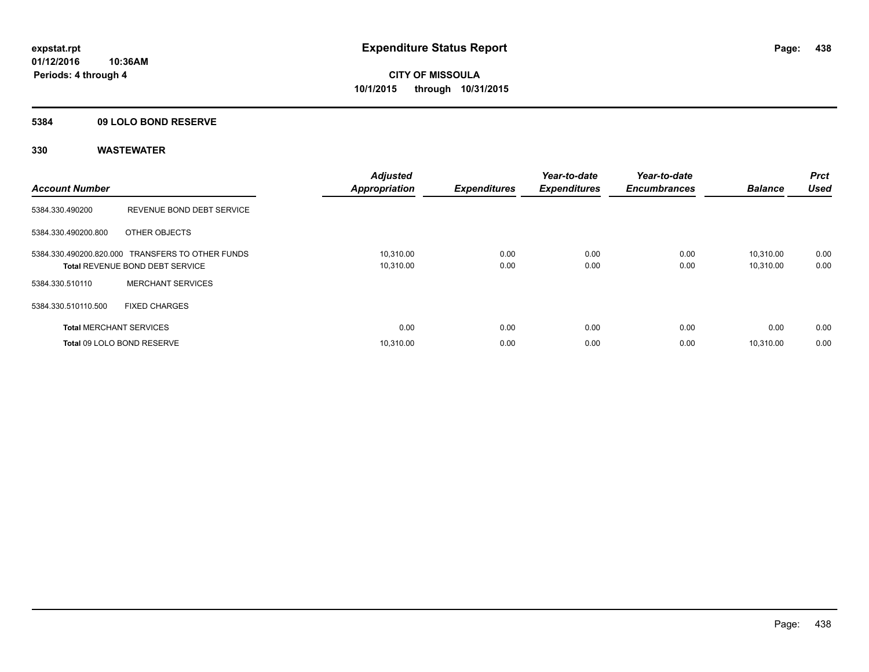## **5384 09 LOLO BOND RESERVE**

| <b>Account Number</b>          |                                                                                            | <b>Adjusted</b><br><b>Appropriation</b> | <b>Expenditures</b> | Year-to-date<br><b>Expenditures</b> | Year-to-date<br><b>Encumbrances</b> | <b>Balance</b>         | <b>Prct</b><br><b>Used</b> |
|--------------------------------|--------------------------------------------------------------------------------------------|-----------------------------------------|---------------------|-------------------------------------|-------------------------------------|------------------------|----------------------------|
| 5384.330.490200                | REVENUE BOND DEBT SERVICE                                                                  |                                         |                     |                                     |                                     |                        |                            |
| 5384.330.490200.800            | OTHER OBJECTS                                                                              |                                         |                     |                                     |                                     |                        |                            |
|                                | 5384.330.490200.820.000 TRANSFERS TO OTHER FUNDS<br><b>Total REVENUE BOND DEBT SERVICE</b> | 10,310.00<br>10,310.00                  | 0.00<br>0.00        | 0.00<br>0.00                        | 0.00<br>0.00                        | 10.310.00<br>10,310.00 | 0.00<br>0.00               |
| 5384.330.510110                | <b>MERCHANT SERVICES</b>                                                                   |                                         |                     |                                     |                                     |                        |                            |
| 5384.330.510110.500            | <b>FIXED CHARGES</b>                                                                       |                                         |                     |                                     |                                     |                        |                            |
| <b>Total MERCHANT SERVICES</b> |                                                                                            | 0.00                                    | 0.00                | 0.00                                | 0.00                                | 0.00                   | 0.00                       |
|                                | Total 09 LOLO BOND RESERVE                                                                 | 10.310.00                               | 0.00                | 0.00                                | 0.00                                | 10.310.00              | 0.00                       |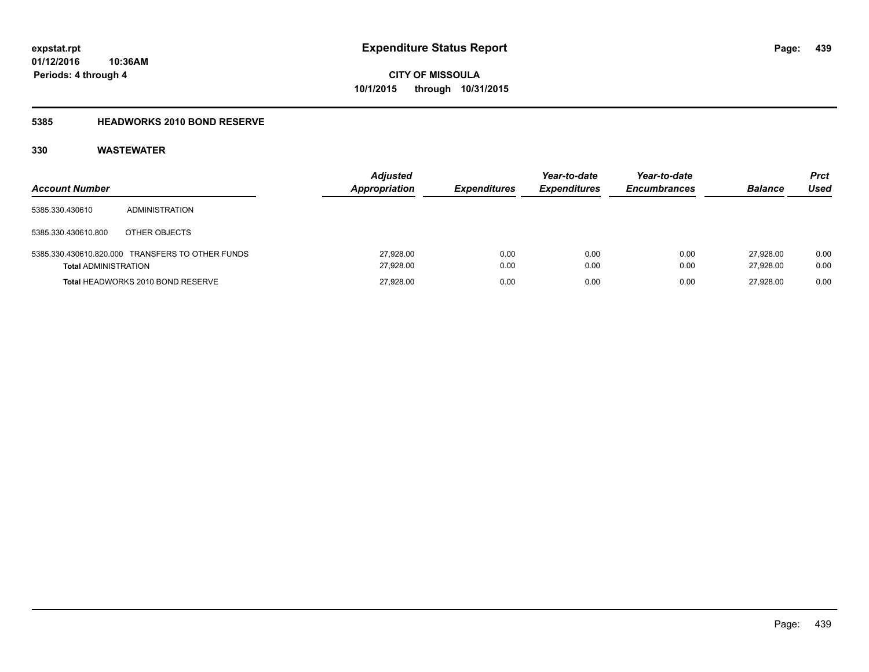## **5385 HEADWORKS 2010 BOND RESERVE**

| <b>Account Number</b>       |                                                  | <b>Adjusted</b><br><b>Appropriation</b> | <b>Expenditures</b> | Year-to-date<br><b>Expenditures</b> | Year-to-date<br><b>Encumbrances</b> | <b>Balance</b>         | <b>Prct</b><br>Used |
|-----------------------------|--------------------------------------------------|-----------------------------------------|---------------------|-------------------------------------|-------------------------------------|------------------------|---------------------|
| 5385.330.430610             | ADMINISTRATION                                   |                                         |                     |                                     |                                     |                        |                     |
| 5385.330.430610.800         | OTHER OBJECTS                                    |                                         |                     |                                     |                                     |                        |                     |
| <b>Total ADMINISTRATION</b> | 5385.330.430610.820.000 TRANSFERS TO OTHER FUNDS | 27,928.00<br>27.928.00                  | 0.00<br>0.00        | 0.00<br>0.00                        | 0.00<br>0.00                        | 27.928.00<br>27.928.00 | 0.00<br>0.00        |
|                             | Total HEADWORKS 2010 BOND RESERVE                | 27.928.00                               | 0.00                | 0.00                                | 0.00                                | 27.928.00              | 0.00                |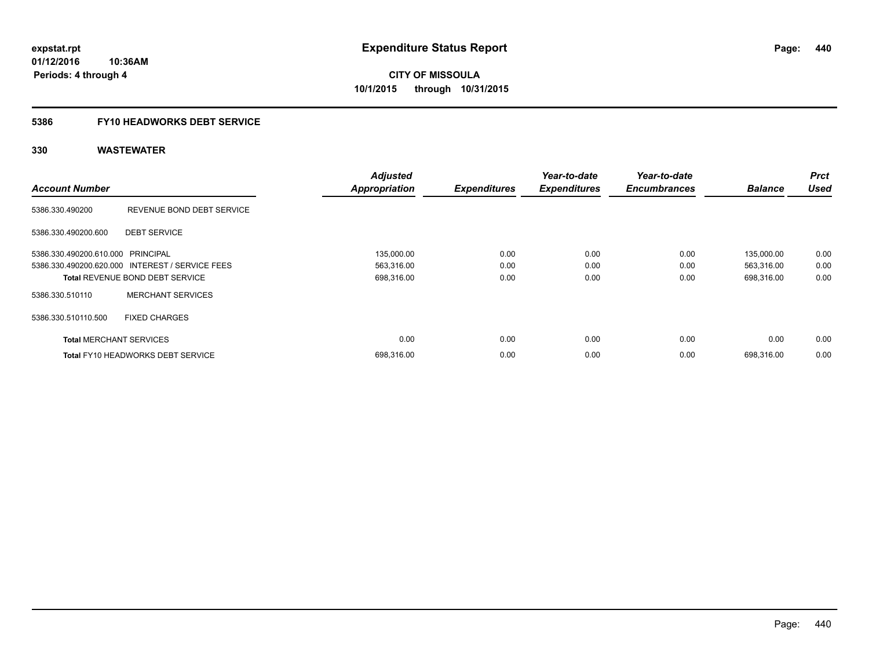# **5386 FY10 HEADWORKS DEBT SERVICE**

| <b>Account Number</b>             |                                                 | <b>Adjusted</b><br><b>Appropriation</b> | <b>Expenditures</b> | Year-to-date<br><b>Expenditures</b> | Year-to-date<br><b>Encumbrances</b> | <b>Balance</b> | <b>Prct</b><br><b>Used</b> |
|-----------------------------------|-------------------------------------------------|-----------------------------------------|---------------------|-------------------------------------|-------------------------------------|----------------|----------------------------|
|                                   |                                                 |                                         |                     |                                     |                                     |                |                            |
| 5386.330.490200                   | REVENUE BOND DEBT SERVICE                       |                                         |                     |                                     |                                     |                |                            |
| 5386.330.490200.600               | <b>DEBT SERVICE</b>                             |                                         |                     |                                     |                                     |                |                            |
| 5386.330.490200.610.000 PRINCIPAL |                                                 | 135,000.00                              | 0.00                | 0.00                                | 0.00                                | 135,000.00     | 0.00                       |
|                                   | 5386.330.490200.620.000 INTEREST / SERVICE FEES | 563,316.00                              | 0.00                | 0.00                                | 0.00                                | 563,316.00     | 0.00                       |
|                                   | <b>Total REVENUE BOND DEBT SERVICE</b>          | 698,316.00                              | 0.00                | 0.00                                | 0.00                                | 698,316.00     | 0.00                       |
| 5386.330.510110                   | <b>MERCHANT SERVICES</b>                        |                                         |                     |                                     |                                     |                |                            |
| 5386.330.510110.500               | <b>FIXED CHARGES</b>                            |                                         |                     |                                     |                                     |                |                            |
| <b>Total MERCHANT SERVICES</b>    |                                                 | 0.00                                    | 0.00                | 0.00                                | 0.00                                | 0.00           | 0.00                       |
|                                   | <b>Total FY10 HEADWORKS DEBT SERVICE</b>        | 698,316.00                              | 0.00                | 0.00                                | 0.00                                | 698.316.00     | 0.00                       |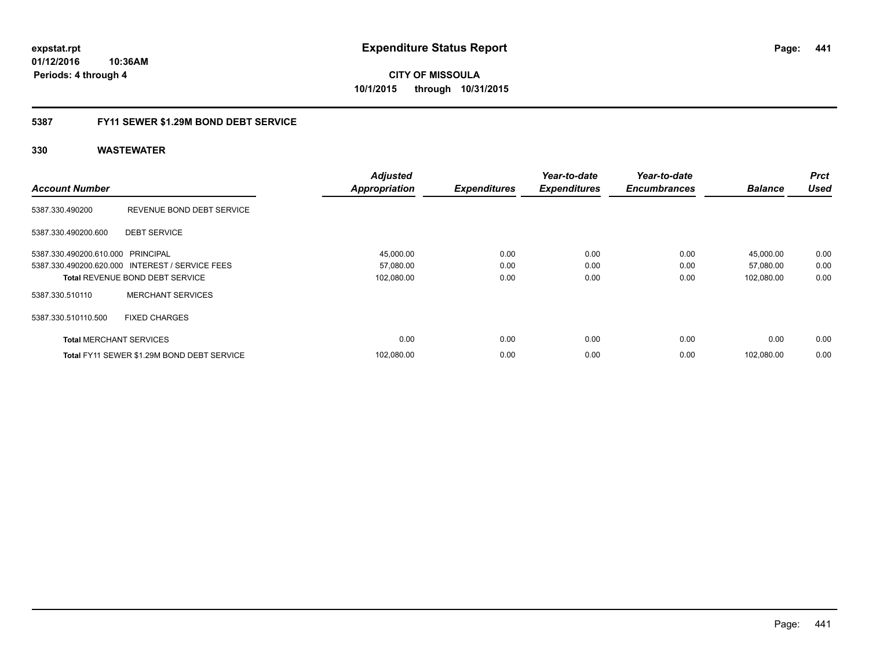**01/12/2016 10:36AM Periods: 4 through 4**

**CITY OF MISSOULA 10/1/2015 through 10/31/2015**

## **5387 FY11 SEWER \$1.29M BOND DEBT SERVICE**

|                                   |                                                 | <b>Adjusted</b>      |                     | Year-to-date        | Year-to-date        |                | <b>Prct</b> |
|-----------------------------------|-------------------------------------------------|----------------------|---------------------|---------------------|---------------------|----------------|-------------|
| <b>Account Number</b>             |                                                 | <b>Appropriation</b> | <b>Expenditures</b> | <b>Expenditures</b> | <b>Encumbrances</b> | <b>Balance</b> | <b>Used</b> |
| 5387.330.490200                   | REVENUE BOND DEBT SERVICE                       |                      |                     |                     |                     |                |             |
| 5387.330.490200.600               | <b>DEBT SERVICE</b>                             |                      |                     |                     |                     |                |             |
| 5387.330.490200.610.000 PRINCIPAL |                                                 | 45,000.00            | 0.00                | 0.00                | 0.00                | 45,000.00      | 0.00        |
|                                   | 5387.330.490200.620.000 INTEREST / SERVICE FEES | 57,080.00            | 0.00                | 0.00                | 0.00                | 57,080.00      | 0.00        |
|                                   | <b>Total REVENUE BOND DEBT SERVICE</b>          | 102,080.00           | 0.00                | 0.00                | 0.00                | 102,080.00     | 0.00        |
| 5387.330.510110                   | <b>MERCHANT SERVICES</b>                        |                      |                     |                     |                     |                |             |
| 5387.330.510110.500               | <b>FIXED CHARGES</b>                            |                      |                     |                     |                     |                |             |
| <b>Total MERCHANT SERVICES</b>    |                                                 | 0.00                 | 0.00                | 0.00                | 0.00                | 0.00           | 0.00        |
|                                   | Total FY11 SEWER \$1.29M BOND DEBT SERVICE      | 102.080.00           | 0.00                | 0.00                | 0.00                | 102.080.00     | 0.00        |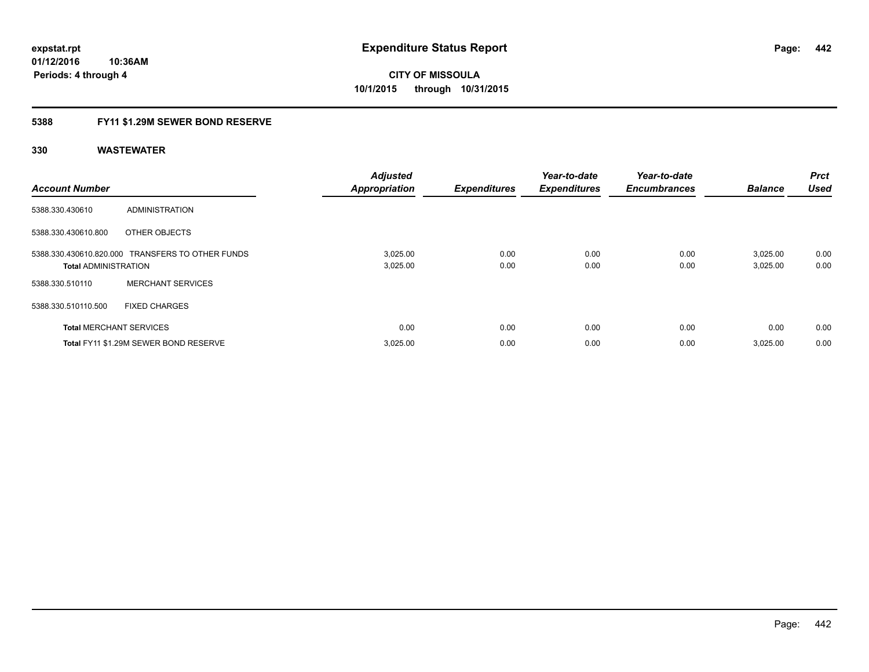## **5388 FY11 \$1.29M SEWER BOND RESERVE**

| <b>Account Number</b>          |                                                  | <b>Adjusted</b><br><b>Appropriation</b> | <b>Expenditures</b> | Year-to-date<br><b>Expenditures</b> | Year-to-date<br><b>Encumbrances</b> | <b>Balance</b>       | <b>Prct</b><br><b>Used</b> |
|--------------------------------|--------------------------------------------------|-----------------------------------------|---------------------|-------------------------------------|-------------------------------------|----------------------|----------------------------|
| 5388.330.430610                | ADMINISTRATION                                   |                                         |                     |                                     |                                     |                      |                            |
| 5388.330.430610.800            | OTHER OBJECTS                                    |                                         |                     |                                     |                                     |                      |                            |
| <b>Total ADMINISTRATION</b>    | 5388.330.430610.820.000 TRANSFERS TO OTHER FUNDS | 3,025.00<br>3,025.00                    | 0.00<br>0.00        | 0.00<br>0.00                        | 0.00<br>0.00                        | 3.025.00<br>3,025.00 | 0.00<br>0.00               |
| 5388.330.510110                | <b>MERCHANT SERVICES</b>                         |                                         |                     |                                     |                                     |                      |                            |
| 5388.330.510110.500            | <b>FIXED CHARGES</b>                             |                                         |                     |                                     |                                     |                      |                            |
| <b>Total MERCHANT SERVICES</b> |                                                  | 0.00                                    | 0.00                | 0.00                                | 0.00                                | 0.00                 | 0.00                       |
|                                | Total FY11 \$1.29M SEWER BOND RESERVE            | 3,025.00                                | 0.00                | 0.00                                | 0.00                                | 3,025.00             | 0.00                       |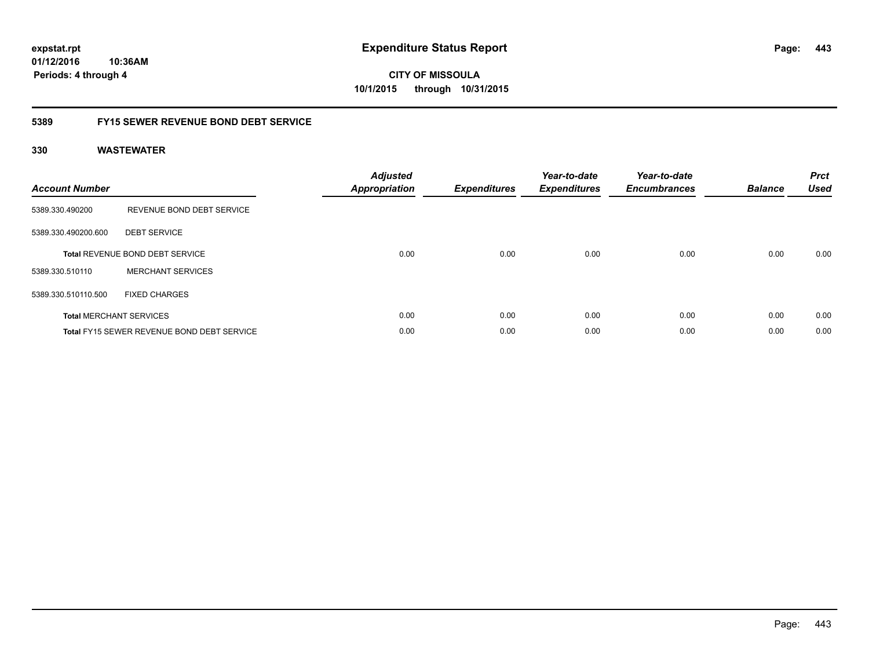**01/12/2016 10:36AM Periods: 4 through 4**

**CITY OF MISSOULA 10/1/2015 through 10/31/2015**

## **5389 FY15 SEWER REVENUE BOND DEBT SERVICE**

| <b>Account Number</b> |                                                   | <b>Adjusted</b><br><b>Appropriation</b> | <b>Expenditures</b> | Year-to-date<br><b>Expenditures</b> | Year-to-date<br><b>Encumbrances</b> | <b>Balance</b> | <b>Prct</b><br><b>Used</b> |
|-----------------------|---------------------------------------------------|-----------------------------------------|---------------------|-------------------------------------|-------------------------------------|----------------|----------------------------|
| 5389.330.490200       | REVENUE BOND DEBT SERVICE                         |                                         |                     |                                     |                                     |                |                            |
| 5389.330.490200.600   | <b>DEBT SERVICE</b>                               |                                         |                     |                                     |                                     |                |                            |
|                       | <b>Total REVENUE BOND DEBT SERVICE</b>            | 0.00                                    | 0.00                | 0.00                                | 0.00                                | 0.00           | 0.00                       |
| 5389.330.510110       | <b>MERCHANT SERVICES</b>                          |                                         |                     |                                     |                                     |                |                            |
| 5389.330.510110.500   | <b>FIXED CHARGES</b>                              |                                         |                     |                                     |                                     |                |                            |
|                       | <b>Total MERCHANT SERVICES</b>                    | 0.00                                    | 0.00                | 0.00                                | 0.00                                | 0.00           | 0.00                       |
|                       | <b>Total FY15 SEWER REVENUE BOND DEBT SERVICE</b> | 0.00                                    | 0.00                | 0.00                                | 0.00                                | 0.00           | 0.00                       |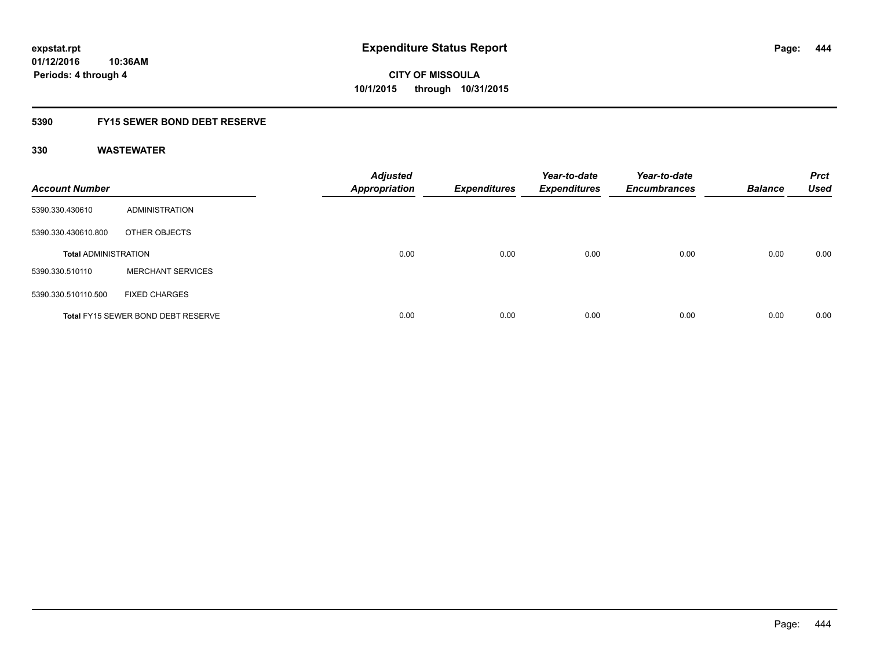## **5390 FY15 SEWER BOND DEBT RESERVE**

| <b>Account Number</b>       |                                           | <b>Adjusted</b><br><b>Appropriation</b> | <b>Expenditures</b> | Year-to-date<br><b>Expenditures</b> | Year-to-date<br><b>Encumbrances</b> | <b>Balance</b> | <b>Prct</b><br><b>Used</b> |
|-----------------------------|-------------------------------------------|-----------------------------------------|---------------------|-------------------------------------|-------------------------------------|----------------|----------------------------|
| 5390.330.430610             | ADMINISTRATION                            |                                         |                     |                                     |                                     |                |                            |
| 5390.330.430610.800         | OTHER OBJECTS                             |                                         |                     |                                     |                                     |                |                            |
| <b>Total ADMINISTRATION</b> |                                           | 0.00                                    | 0.00                | 0.00                                | 0.00                                | 0.00           | 0.00                       |
| 5390.330.510110             | <b>MERCHANT SERVICES</b>                  |                                         |                     |                                     |                                     |                |                            |
| 5390.330.510110.500         | <b>FIXED CHARGES</b>                      |                                         |                     |                                     |                                     |                |                            |
|                             | <b>Total FY15 SEWER BOND DEBT RESERVE</b> | 0.00                                    | 0.00                | 0.00                                | 0.00                                | 0.00           | 0.00                       |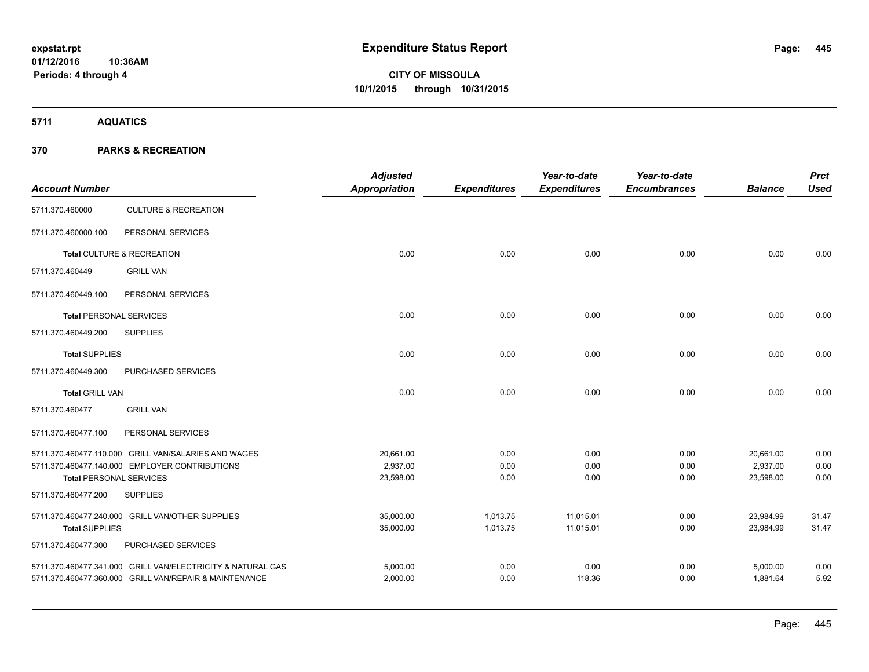**5711 AQUATICS**

| <b>Account Number</b>                                 |                                                             | <b>Adjusted</b><br>Appropriation | <b>Expenditures</b> | Year-to-date<br><b>Expenditures</b> | Year-to-date<br><b>Encumbrances</b> | <b>Balance</b> | <b>Prct</b><br><b>Used</b> |
|-------------------------------------------------------|-------------------------------------------------------------|----------------------------------|---------------------|-------------------------------------|-------------------------------------|----------------|----------------------------|
| 5711.370.460000                                       | <b>CULTURE &amp; RECREATION</b>                             |                                  |                     |                                     |                                     |                |                            |
| 5711.370.460000.100                                   | PERSONAL SERVICES                                           |                                  |                     |                                     |                                     |                |                            |
|                                                       | Total CULTURE & RECREATION                                  | 0.00                             | 0.00                | 0.00                                | 0.00                                | 0.00           | 0.00                       |
| 5711.370.460449                                       | <b>GRILL VAN</b>                                            |                                  |                     |                                     |                                     |                |                            |
| 5711.370.460449.100                                   | PERSONAL SERVICES                                           |                                  |                     |                                     |                                     |                |                            |
| <b>Total PERSONAL SERVICES</b>                        |                                                             | 0.00                             | 0.00                | 0.00                                | 0.00                                | 0.00           | 0.00                       |
| 5711.370.460449.200                                   | <b>SUPPLIES</b>                                             |                                  |                     |                                     |                                     |                |                            |
| <b>Total SUPPLIES</b>                                 |                                                             | 0.00                             | 0.00                | 0.00                                | 0.00                                | 0.00           | 0.00                       |
| 5711.370.460449.300                                   | PURCHASED SERVICES                                          |                                  |                     |                                     |                                     |                |                            |
| <b>Total GRILL VAN</b>                                |                                                             | 0.00                             | 0.00                | 0.00                                | 0.00                                | 0.00           | 0.00                       |
| 5711.370.460477                                       | <b>GRILL VAN</b>                                            |                                  |                     |                                     |                                     |                |                            |
| 5711.370.460477.100                                   | PERSONAL SERVICES                                           |                                  |                     |                                     |                                     |                |                            |
|                                                       | 5711.370.460477.110.000 GRILL VAN/SALARIES AND WAGES        | 20,661.00                        | 0.00                | 0.00                                | 0.00                                | 20,661.00      | 0.00                       |
|                                                       | 5711.370.460477.140.000 EMPLOYER CONTRIBUTIONS              | 2,937.00                         | 0.00                | 0.00                                | 0.00                                | 2,937.00       | 0.00<br>0.00               |
| <b>Total PERSONAL SERVICES</b><br>5711.370.460477.200 | <b>SUPPLIES</b>                                             | 23,598.00                        | 0.00                | 0.00                                | 0.00                                | 23,598.00      |                            |
|                                                       |                                                             |                                  |                     |                                     |                                     |                |                            |
|                                                       | 5711.370.460477.240.000 GRILL VAN/OTHER SUPPLIES            | 35,000.00                        | 1,013.75            | 11,015.01                           | 0.00                                | 23,984.99      | 31.47                      |
| <b>Total SUPPLIES</b>                                 |                                                             | 35,000.00                        | 1,013.75            | 11,015.01                           | 0.00                                | 23,984.99      | 31.47                      |
| 5711.370.460477.300                                   | PURCHASED SERVICES                                          |                                  |                     |                                     |                                     |                |                            |
|                                                       | 5711.370.460477.341.000 GRILL VAN/ELECTRICITY & NATURAL GAS | 5,000.00                         | 0.00                | 0.00                                | 0.00                                | 5,000.00       | 0.00                       |
|                                                       | 5711.370.460477.360.000 GRILL VAN/REPAIR & MAINTENANCE      | 2,000.00                         | 0.00                | 118.36                              | 0.00                                | 1,881.64       | 5.92                       |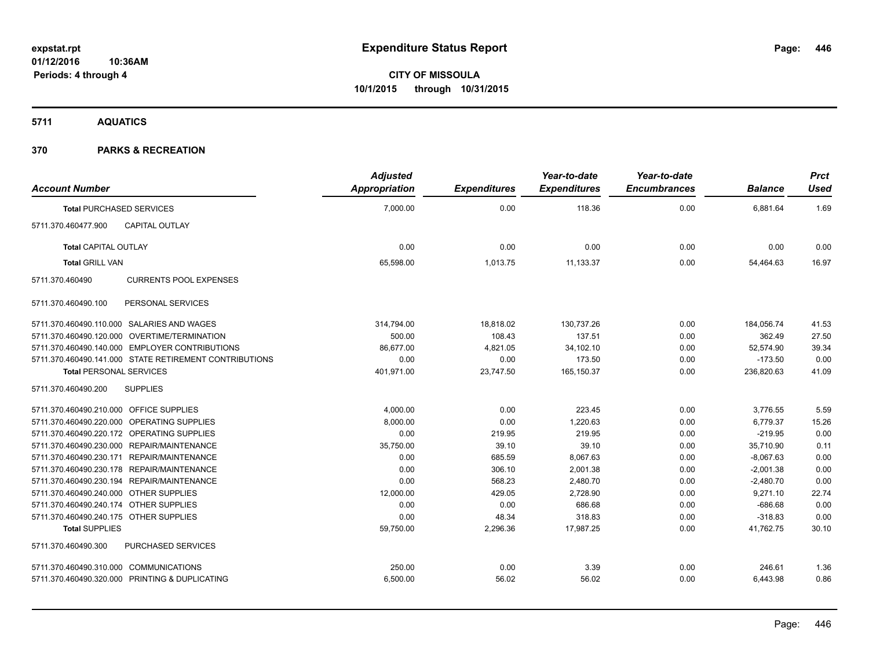**5711 AQUATICS**

| <b>Account Number</b>                   |                                                        | <b>Adjusted</b><br><b>Appropriation</b> | <b>Expenditures</b> | Year-to-date<br><b>Expenditures</b> | Year-to-date<br><b>Encumbrances</b> | <b>Balance</b> | <b>Prct</b><br><b>Used</b> |
|-----------------------------------------|--------------------------------------------------------|-----------------------------------------|---------------------|-------------------------------------|-------------------------------------|----------------|----------------------------|
|                                         | <b>Total PURCHASED SERVICES</b>                        | 7,000.00                                | 0.00                | 118.36                              | 0.00                                | 6,881.64       | 1.69                       |
| 5711.370.460477.900                     | <b>CAPITAL OUTLAY</b>                                  |                                         |                     |                                     |                                     |                |                            |
| <b>Total CAPITAL OUTLAY</b>             |                                                        | 0.00                                    | 0.00                | 0.00                                | 0.00                                | 0.00           | 0.00                       |
| <b>Total GRILL VAN</b>                  |                                                        | 65,598.00                               | 1,013.75            | 11,133.37                           | 0.00                                | 54,464.63      | 16.97                      |
| 5711.370.460490                         | <b>CURRENTS POOL EXPENSES</b>                          |                                         |                     |                                     |                                     |                |                            |
| 5711.370.460490.100                     | PERSONAL SERVICES                                      |                                         |                     |                                     |                                     |                |                            |
|                                         | 5711.370.460490.110.000 SALARIES AND WAGES             | 314,794.00                              | 18,818.02           | 130,737.26                          | 0.00                                | 184,056.74     | 41.53                      |
|                                         | 5711.370.460490.120.000 OVERTIME/TERMINATION           | 500.00                                  | 108.43              | 137.51                              | 0.00                                | 362.49         | 27.50                      |
|                                         | 5711.370.460490.140.000 EMPLOYER CONTRIBUTIONS         | 86.677.00                               | 4,821.05            | 34,102.10                           | 0.00                                | 52,574.90      | 39.34                      |
|                                         | 5711.370.460490.141.000 STATE RETIREMENT CONTRIBUTIONS | 0.00                                    | 0.00                | 173.50                              | 0.00                                | $-173.50$      | 0.00                       |
| <b>Total PERSONAL SERVICES</b>          |                                                        | 401,971.00                              | 23,747.50           | 165,150.37                          | 0.00                                | 236,820.63     | 41.09                      |
| 5711.370.460490.200                     | <b>SUPPLIES</b>                                        |                                         |                     |                                     |                                     |                |                            |
| 5711.370.460490.210.000 OFFICE SUPPLIES |                                                        | 4,000.00                                | 0.00                | 223.45                              | 0.00                                | 3,776.55       | 5.59                       |
|                                         | 5711.370.460490.220.000 OPERATING SUPPLIES             | 8,000.00                                | 0.00                | 1.220.63                            | 0.00                                | 6,779.37       | 15.26                      |
|                                         | 5711.370.460490.220.172 OPERATING SUPPLIES             | 0.00                                    | 219.95              | 219.95                              | 0.00                                | $-219.95$      | 0.00                       |
|                                         | 5711.370.460490.230.000 REPAIR/MAINTENANCE             | 35,750.00                               | 39.10               | 39.10                               | 0.00                                | 35,710.90      | 0.11                       |
|                                         | 5711.370.460490.230.171 REPAIR/MAINTENANCE             | 0.00                                    | 685.59              | 8,067.63                            | 0.00                                | $-8,067.63$    | 0.00                       |
|                                         | 5711.370.460490.230.178 REPAIR/MAINTENANCE             | 0.00                                    | 306.10              | 2,001.38                            | 0.00                                | $-2,001.38$    | 0.00                       |
|                                         | 5711.370.460490.230.194 REPAIR/MAINTENANCE             | 0.00                                    | 568.23              | 2,480.70                            | 0.00                                | $-2,480.70$    | 0.00                       |
| 5711.370.460490.240.000 OTHER SUPPLIES  |                                                        | 12,000.00                               | 429.05              | 2,728.90                            | 0.00                                | 9,271.10       | 22.74                      |
| 5711.370.460490.240.174 OTHER SUPPLIES  |                                                        | 0.00                                    | 0.00                | 686.68                              | 0.00                                | $-686.68$      | 0.00                       |
| 5711.370.460490.240.175 OTHER SUPPLIES  |                                                        | 0.00                                    | 48.34               | 318.83                              | 0.00                                | $-318.83$      | 0.00                       |
| <b>Total SUPPLIES</b>                   |                                                        | 59,750.00                               | 2,296.36            | 17,987.25                           | 0.00                                | 41,762.75      | 30.10                      |
| 5711.370.460490.300                     | PURCHASED SERVICES                                     |                                         |                     |                                     |                                     |                |                            |
| 5711.370.460490.310.000 COMMUNICATIONS  |                                                        | 250.00                                  | 0.00                | 3.39                                | 0.00                                | 246.61         | 1.36                       |
|                                         | 5711.370.460490.320.000 PRINTING & DUPLICATING         | 6,500.00                                | 56.02               | 56.02                               | 0.00                                | 6,443.98       | 0.86                       |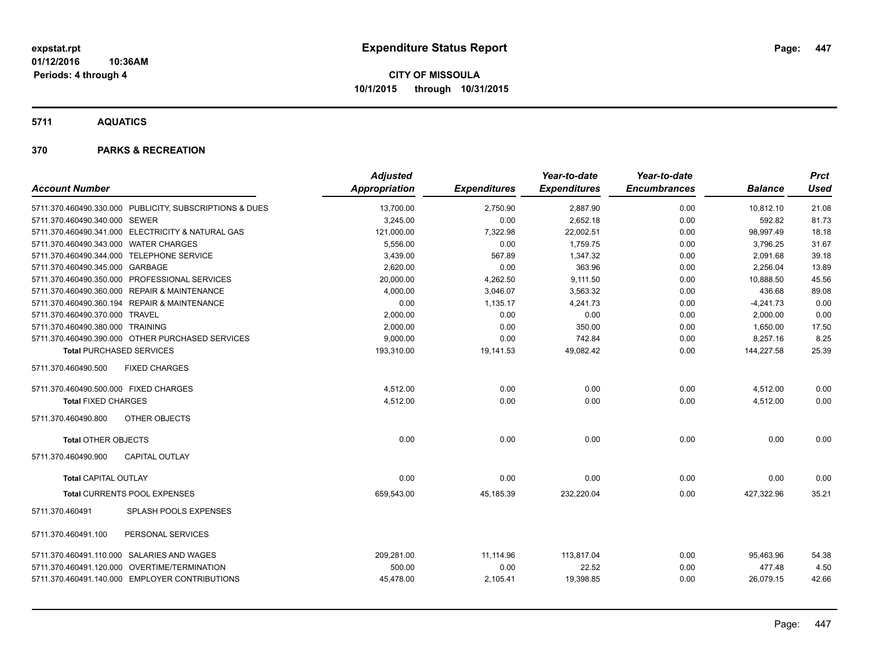**5711 AQUATICS**

| <b>Account Number</b>                                   | <b>Adjusted</b><br><b>Appropriation</b> | <b>Expenditures</b> | Year-to-date<br><b>Expenditures</b> | Year-to-date<br><b>Encumbrances</b> | <b>Balance</b> | Prct<br><b>Used</b> |
|---------------------------------------------------------|-----------------------------------------|---------------------|-------------------------------------|-------------------------------------|----------------|---------------------|
| 5711.370.460490.330.000 PUBLICITY, SUBSCRIPTIONS & DUES | 13,700.00                               | 2,750.90            | 2,887.90                            | 0.00                                | 10,812.10      | 21.08               |
| 5711.370.460490.340.000 SEWER                           | 3,245.00                                | 0.00                | 2,652.18                            | 0.00                                | 592.82         | 81.73               |
| 5711.370.460490.341.000 ELECTRICITY & NATURAL GAS       | 121,000.00                              | 7,322.98            | 22,002.51                           | 0.00                                | 98,997.49      | 18.18               |
| 5711.370.460490.343.000 WATER CHARGES                   | 5,556.00                                | 0.00                | 1,759.75                            | 0.00                                | 3,796.25       | 31.67               |
| 5711.370.460490.344.000 TELEPHONE SERVICE               | 3,439.00                                | 567.89              | 1,347.32                            | 0.00                                | 2,091.68       | 39.18               |
| 5711.370.460490.345.000 GARBAGE                         | 2.620.00                                | 0.00                | 363.96                              | 0.00                                | 2,256.04       | 13.89               |
| 5711.370.460490.350.000 PROFESSIONAL SERVICES           | 20,000.00                               | 4,262.50            | 9,111.50                            | 0.00                                | 10,888.50      | 45.56               |
| 5711.370.460490.360.000 REPAIR & MAINTENANCE            | 4,000.00                                | 3,046.07            | 3,563.32                            | 0.00                                | 436.68         | 89.08               |
| 5711.370.460490.360.194 REPAIR & MAINTENANCE            | 0.00                                    | 1,135.17            | 4,241.73                            | 0.00                                | $-4,241.73$    | 0.00                |
| 5711.370.460490.370.000 TRAVEL                          | 2,000.00                                | 0.00                | 0.00                                | 0.00                                | 2,000.00       | 0.00                |
| 5711.370.460490.380.000 TRAINING                        | 2,000.00                                | 0.00                | 350.00                              | 0.00                                | 1,650.00       | 17.50               |
| 5711.370.460490.390.000 OTHER PURCHASED SERVICES        | 9,000.00                                | 0.00                | 742.84                              | 0.00                                | 8,257.16       | 8.25                |
| <b>Total PURCHASED SERVICES</b>                         | 193,310.00                              | 19,141.53           | 49,082.42                           | 0.00                                | 144,227.58     | 25.39               |
| <b>FIXED CHARGES</b><br>5711.370.460490.500             |                                         |                     |                                     |                                     |                |                     |
| 5711.370.460490.500.000 FIXED CHARGES                   | 4,512.00                                | 0.00                | 0.00                                | 0.00                                | 4,512.00       | 0.00                |
| <b>Total FIXED CHARGES</b>                              | 4,512.00                                | 0.00                | 0.00                                | 0.00                                | 4,512.00       | 0.00                |
| OTHER OBJECTS<br>5711.370.460490.800                    |                                         |                     |                                     |                                     |                |                     |
| <b>Total OTHER OBJECTS</b>                              | 0.00                                    | 0.00                | 0.00                                | 0.00                                | 0.00           | 0.00                |
| <b>CAPITAL OUTLAY</b><br>5711.370.460490.900            |                                         |                     |                                     |                                     |                |                     |
| <b>Total CAPITAL OUTLAY</b>                             | 0.00                                    | 0.00                | 0.00                                | 0.00                                | 0.00           | 0.00                |
| <b>Total CURRENTS POOL EXPENSES</b>                     | 659,543.00                              | 45,185.39           | 232,220.04                          | 0.00                                | 427.322.96     | 35.21               |
| SPLASH POOLS EXPENSES<br>5711.370.460491                |                                         |                     |                                     |                                     |                |                     |
| 5711.370.460491.100<br>PERSONAL SERVICES                |                                         |                     |                                     |                                     |                |                     |
| 5711.370.460491.110.000 SALARIES AND WAGES              | 209,281.00                              | 11,114.96           | 113,817.04                          | 0.00                                | 95,463.96      | 54.38               |
| 5711.370.460491.120.000 OVERTIME/TERMINATION            | 500.00                                  | 0.00                | 22.52                               | 0.00                                | 477.48         | 4.50                |
| 5711.370.460491.140.000 EMPLOYER CONTRIBUTIONS          | 45,478.00                               | 2,105.41            | 19,398.85                           | 0.00                                | 26,079.15      | 42.66               |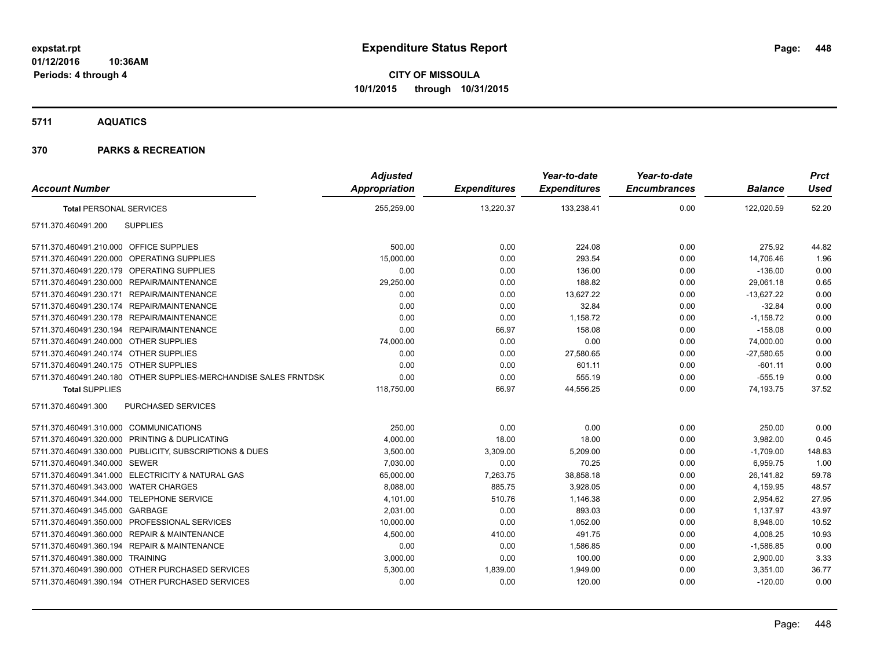## **5711 AQUATICS**

|                                                                  | <b>Adjusted</b>      |                     | Year-to-date        | Year-to-date        |                | <b>Prct</b> |
|------------------------------------------------------------------|----------------------|---------------------|---------------------|---------------------|----------------|-------------|
| <b>Account Number</b>                                            | <b>Appropriation</b> | <b>Expenditures</b> | <b>Expenditures</b> | <b>Encumbrances</b> | <b>Balance</b> | <b>Used</b> |
| <b>Total PERSONAL SERVICES</b>                                   | 255,259.00           | 13,220.37           | 133,238.41          | 0.00                | 122,020.59     | 52.20       |
| <b>SUPPLIES</b><br>5711.370.460491.200                           |                      |                     |                     |                     |                |             |
| 5711.370.460491.210.000 OFFICE SUPPLIES                          | 500.00               | 0.00                | 224.08              | 0.00                | 275.92         | 44.82       |
| 5711.370.460491.220.000 OPERATING SUPPLIES                       | 15,000.00            | 0.00                | 293.54              | 0.00                | 14,706.46      | 1.96        |
| 5711.370.460491.220.179 OPERATING SUPPLIES                       | 0.00                 | 0.00                | 136.00              | 0.00                | $-136.00$      | 0.00        |
| 5711.370.460491.230.000 REPAIR/MAINTENANCE                       | 29,250.00            | 0.00                | 188.82              | 0.00                | 29,061.18      | 0.65        |
| 5711.370.460491.230.171 REPAIR/MAINTENANCE                       | 0.00                 | 0.00                | 13,627.22           | 0.00                | $-13,627.22$   | 0.00        |
| 5711.370.460491.230.174 REPAIR/MAINTENANCE                       | 0.00                 | 0.00                | 32.84               | 0.00                | $-32.84$       | 0.00        |
| 5711.370.460491.230.178 REPAIR/MAINTENANCE                       | 0.00                 | 0.00                | 1,158.72            | 0.00                | $-1,158.72$    | 0.00        |
| 5711.370.460491.230.194 REPAIR/MAINTENANCE                       | 0.00                 | 66.97               | 158.08              | 0.00                | $-158.08$      | 0.00        |
| 5711.370.460491.240.000 OTHER SUPPLIES                           | 74,000.00            | 0.00                | 0.00                | 0.00                | 74,000.00      | 0.00        |
| 5711.370.460491.240.174 OTHER SUPPLIES                           | 0.00                 | 0.00                | 27,580.65           | 0.00                | $-27,580.65$   | 0.00        |
| 5711.370.460491.240.175 OTHER SUPPLIES                           | 0.00                 | 0.00                | 601.11              | 0.00                | $-601.11$      | 0.00        |
| 5711.370.460491.240.180 OTHER SUPPLIES-MERCHANDISE SALES FRNTDSK | 0.00                 | 0.00                | 555.19              | 0.00                | $-555.19$      | 0.00        |
| <b>Total SUPPLIES</b>                                            | 118,750.00           | 66.97               | 44,556.25           | 0.00                | 74,193.75      | 37.52       |
| <b>PURCHASED SERVICES</b><br>5711.370.460491.300                 |                      |                     |                     |                     |                |             |
| 5711.370.460491.310.000 COMMUNICATIONS                           | 250.00               | 0.00                | 0.00                | 0.00                | 250.00         | 0.00        |
| 5711.370.460491.320.000 PRINTING & DUPLICATING                   | 4,000.00             | 18.00               | 18.00               | 0.00                | 3,982.00       | 0.45        |
| 5711.370.460491.330.000 PUBLICITY, SUBSCRIPTIONS & DUES          | 3,500.00             | 3,309.00            | 5,209.00            | 0.00                | $-1,709.00$    | 148.83      |
| 5711.370.460491.340.000 SEWER                                    | 7,030.00             | 0.00                | 70.25               | 0.00                | 6,959.75       | 1.00        |
| 5711.370.460491.341.000 ELECTRICITY & NATURAL GAS                | 65,000.00            | 7,263.75            | 38,858.18           | 0.00                | 26,141.82      | 59.78       |
| 5711.370.460491.343.000 WATER CHARGES                            | 8,088.00             | 885.75              | 3.928.05            | 0.00                | 4,159.95       | 48.57       |
| 5711.370.460491.344.000 TELEPHONE SERVICE                        | 4,101.00             | 510.76              | 1,146.38            | 0.00                | 2,954.62       | 27.95       |
| 5711.370.460491.345.000 GARBAGE                                  | 2,031.00             | 0.00                | 893.03              | 0.00                | 1,137.97       | 43.97       |
| 5711.370.460491.350.000 PROFESSIONAL SERVICES                    | 10,000.00            | 0.00                | 1,052.00            | 0.00                | 8,948.00       | 10.52       |
| 5711.370.460491.360.000 REPAIR & MAINTENANCE                     | 4,500.00             | 410.00              | 491.75              | 0.00                | 4,008.25       | 10.93       |
| 5711.370.460491.360.194 REPAIR & MAINTENANCE                     | 0.00                 | 0.00                | 1,586.85            | 0.00                | $-1,586.85$    | 0.00        |
| 5711.370.460491.380.000 TRAINING                                 | 3,000.00             | 0.00                | 100.00              | 0.00                | 2,900.00       | 3.33        |
| 5711.370.460491.390.000 OTHER PURCHASED SERVICES                 | 5,300.00             | 1,839.00            | 1,949.00            | 0.00                | 3,351.00       | 36.77       |
| 5711.370.460491.390.194 OTHER PURCHASED SERVICES                 | 0.00                 | 0.00                | 120.00              | 0.00                | $-120.00$      | 0.00        |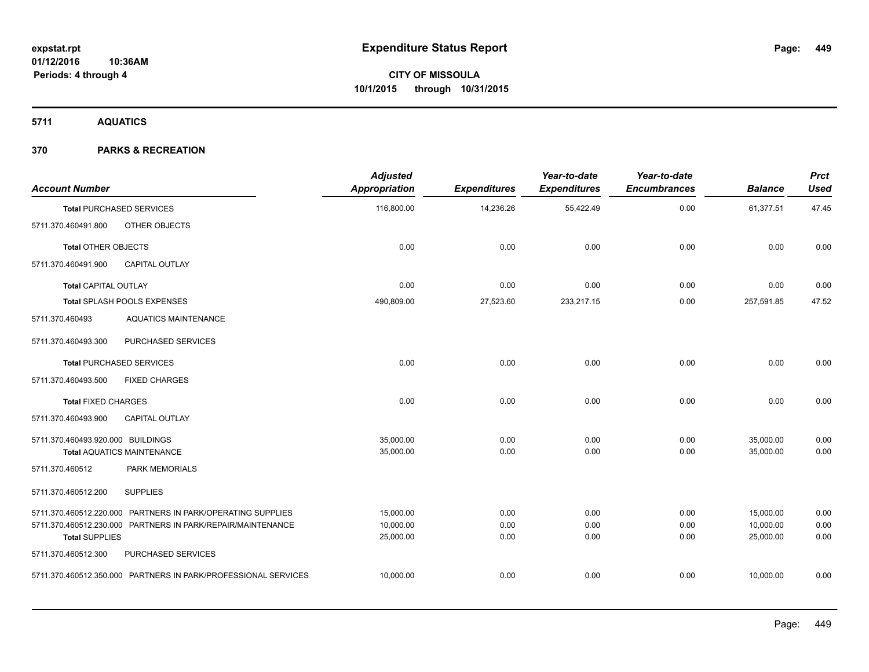**5711 AQUATICS**

| <b>Account Number</b>             |                                                                | <b>Adjusted</b><br>Appropriation | <b>Expenditures</b> | Year-to-date<br><b>Expenditures</b> | Year-to-date<br><b>Encumbrances</b> | <b>Balance</b> | <b>Prct</b><br><b>Used</b> |
|-----------------------------------|----------------------------------------------------------------|----------------------------------|---------------------|-------------------------------------|-------------------------------------|----------------|----------------------------|
|                                   | <b>Total PURCHASED SERVICES</b>                                | 116,800.00                       | 14,236.26           | 55,422.49                           | 0.00                                | 61,377.51      | 47.45                      |
| 5711.370.460491.800               | OTHER OBJECTS                                                  |                                  |                     |                                     |                                     |                |                            |
| <b>Total OTHER OBJECTS</b>        |                                                                | 0.00                             | 0.00                | 0.00                                | 0.00                                | 0.00           | 0.00                       |
| 5711.370.460491.900               | <b>CAPITAL OUTLAY</b>                                          |                                  |                     |                                     |                                     |                |                            |
| <b>Total CAPITAL OUTLAY</b>       |                                                                | 0.00                             | 0.00                | 0.00                                | 0.00                                | 0.00           | 0.00                       |
|                                   | Total SPLASH POOLS EXPENSES                                    | 490,809.00                       | 27,523.60           | 233,217.15                          | 0.00                                | 257,591.85     | 47.52                      |
| 5711.370.460493                   | <b>AQUATICS MAINTENANCE</b>                                    |                                  |                     |                                     |                                     |                |                            |
| 5711.370.460493.300               | PURCHASED SERVICES                                             |                                  |                     |                                     |                                     |                |                            |
|                                   | <b>Total PURCHASED SERVICES</b>                                | 0.00                             | 0.00                | 0.00                                | 0.00                                | 0.00           | 0.00                       |
| 5711.370.460493.500               | <b>FIXED CHARGES</b>                                           |                                  |                     |                                     |                                     |                |                            |
| <b>Total FIXED CHARGES</b>        |                                                                | 0.00                             | 0.00                | 0.00                                | 0.00                                | 0.00           | 0.00                       |
| 5711.370.460493.900               | <b>CAPITAL OUTLAY</b>                                          |                                  |                     |                                     |                                     |                |                            |
| 5711.370.460493.920.000 BUILDINGS |                                                                | 35.000.00                        | 0.00                | 0.00                                | 0.00                                | 35,000.00      | 0.00                       |
|                                   | <b>Total AQUATICS MAINTENANCE</b>                              | 35,000.00                        | 0.00                | 0.00                                | 0.00                                | 35,000.00      | 0.00                       |
| 5711.370.460512                   | PARK MEMORIALS                                                 |                                  |                     |                                     |                                     |                |                            |
| 5711.370.460512.200               | <b>SUPPLIES</b>                                                |                                  |                     |                                     |                                     |                |                            |
|                                   | 5711.370.460512.220.000 PARTNERS IN PARK/OPERATING SUPPLIES    | 15,000.00                        | 0.00                | 0.00                                | 0.00                                | 15,000.00      | 0.00                       |
|                                   | 5711.370.460512.230.000 PARTNERS IN PARK/REPAIR/MAINTENANCE    | 10,000.00                        | 0.00                | 0.00                                | 0.00                                | 10,000.00      | 0.00                       |
| <b>Total SUPPLIES</b>             |                                                                | 25,000.00                        | 0.00                | 0.00                                | 0.00                                | 25,000.00      | 0.00                       |
| 5711.370.460512.300               | PURCHASED SERVICES                                             |                                  |                     |                                     |                                     |                |                            |
|                                   | 5711.370.460512.350.000 PARTNERS IN PARK/PROFESSIONAL SERVICES | 10,000.00                        | 0.00                | 0.00                                | 0.00                                | 10,000.00      | 0.00                       |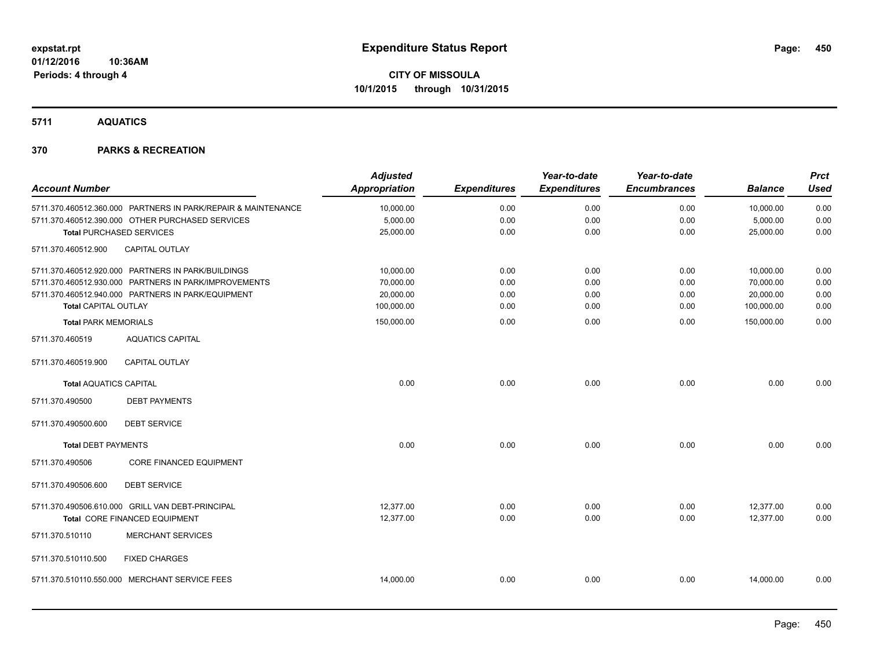**5711 AQUATICS**

|                                 |                                                               | <b>Adjusted</b>      |                     | Year-to-date        | Year-to-date        |                | <b>Prct</b> |
|---------------------------------|---------------------------------------------------------------|----------------------|---------------------|---------------------|---------------------|----------------|-------------|
| <b>Account Number</b>           |                                                               | <b>Appropriation</b> | <b>Expenditures</b> | <b>Expenditures</b> | <b>Encumbrances</b> | <b>Balance</b> | <b>Used</b> |
|                                 | 5711.370.460512.360.000 PARTNERS IN PARK/REPAIR & MAINTENANCE | 10,000.00            | 0.00                | 0.00                | 0.00                | 10,000.00      | 0.00        |
|                                 | 5711.370.460512.390.000 OTHER PURCHASED SERVICES              | 5,000.00             | 0.00                | 0.00                | 0.00                | 5,000.00       | 0.00        |
| <b>Total PURCHASED SERVICES</b> |                                                               | 25,000.00            | 0.00                | 0.00                | 0.00                | 25,000.00      | 0.00        |
| 5711.370.460512.900             | <b>CAPITAL OUTLAY</b>                                         |                      |                     |                     |                     |                |             |
|                                 | 5711.370.460512.920.000 PARTNERS IN PARK/BUILDINGS            | 10,000.00            | 0.00                | 0.00                | 0.00                | 10,000.00      | 0.00        |
|                                 | 5711.370.460512.930.000 PARTNERS IN PARK/IMPROVEMENTS         | 70,000.00            | 0.00                | 0.00                | 0.00                | 70,000.00      | 0.00        |
|                                 | 5711.370.460512.940.000 PARTNERS IN PARK/EQUIPMENT            | 20,000.00            | 0.00                | 0.00                | 0.00                | 20,000.00      | 0.00        |
| Total CAPITAL OUTLAY            |                                                               | 100,000.00           | 0.00                | 0.00                | 0.00                | 100,000.00     | 0.00        |
| <b>Total PARK MEMORIALS</b>     |                                                               | 150,000.00           | 0.00                | 0.00                | 0.00                | 150,000.00     | 0.00        |
| 5711.370.460519                 | <b>AQUATICS CAPITAL</b>                                       |                      |                     |                     |                     |                |             |
| 5711.370.460519.900             | <b>CAPITAL OUTLAY</b>                                         |                      |                     |                     |                     |                |             |
| <b>Total AQUATICS CAPITAL</b>   |                                                               | 0.00                 | 0.00                | 0.00                | 0.00                | 0.00           | 0.00        |
| 5711.370.490500                 | <b>DEBT PAYMENTS</b>                                          |                      |                     |                     |                     |                |             |
| 5711.370.490500.600             | <b>DEBT SERVICE</b>                                           |                      |                     |                     |                     |                |             |
| <b>Total DEBT PAYMENTS</b>      |                                                               | 0.00                 | 0.00                | 0.00                | 0.00                | 0.00           | 0.00        |
| 5711.370.490506                 | <b>CORE FINANCED EQUIPMENT</b>                                |                      |                     |                     |                     |                |             |
| 5711.370.490506.600             | <b>DEBT SERVICE</b>                                           |                      |                     |                     |                     |                |             |
|                                 | 5711.370.490506.610.000 GRILL VAN DEBT-PRINCIPAL              | 12,377.00            | 0.00                | 0.00                | 0.00                | 12,377.00      | 0.00        |
|                                 | Total CORE FINANCED EQUIPMENT                                 | 12,377.00            | 0.00                | 0.00                | 0.00                | 12,377.00      | 0.00        |
| 5711.370.510110                 | <b>MERCHANT SERVICES</b>                                      |                      |                     |                     |                     |                |             |
| 5711.370.510110.500             | <b>FIXED CHARGES</b>                                          |                      |                     |                     |                     |                |             |
|                                 | 5711.370.510110.550.000 MERCHANT SERVICE FEES                 | 14,000.00            | 0.00                | 0.00                | 0.00                | 14,000.00      | 0.00        |
|                                 |                                                               |                      |                     |                     |                     |                |             |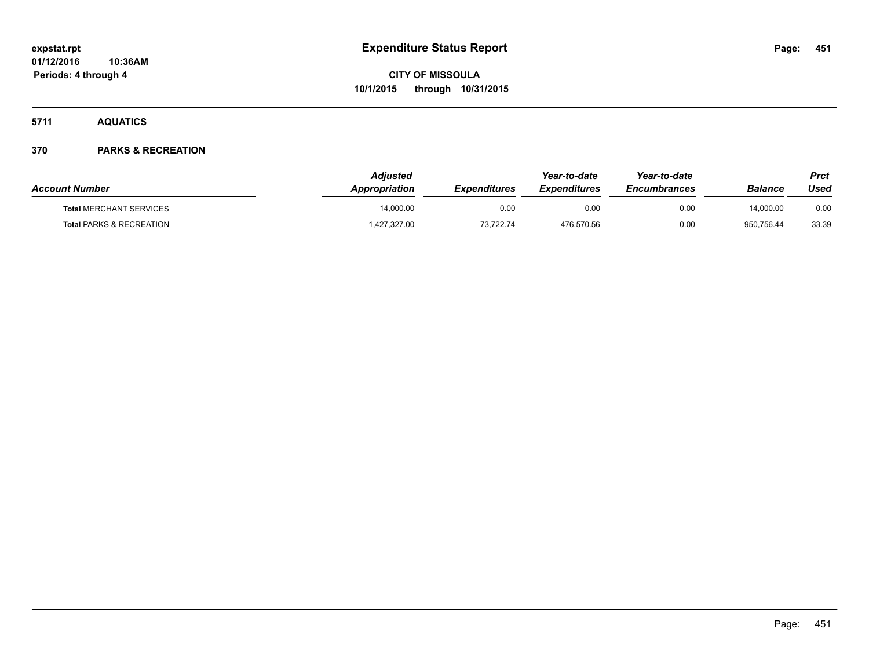**5711 AQUATICS**

| <b>Account Number</b>               | Adiusted<br>Appropriation | <b>Expenditures</b> | Year-to-date<br><b>Expenditures</b> | Year-to-date<br><b>Encumbrances</b> | Balance    | Prct<br>Used |
|-------------------------------------|---------------------------|---------------------|-------------------------------------|-------------------------------------|------------|--------------|
| <b>Total MERCHANT SERVICES</b>      | 14.000.00                 | 0.00                | 0.00                                | 0.00                                | 14.000.00  | 0.00         |
| <b>Total PARKS &amp; RECREATION</b> | 427,327.00                | 73,722.74           | 476,570.56                          | 0.00                                | 950.756.44 | 33.39        |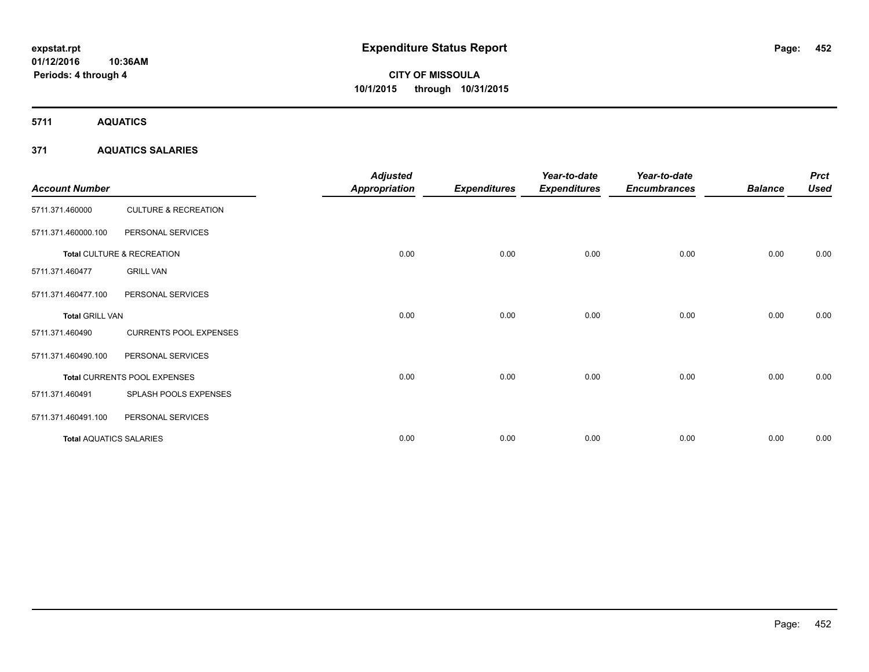**5711 AQUATICS**

## **371 AQUATICS SALARIES**

| <b>Account Number</b>          |                                 | <b>Adjusted</b><br><b>Appropriation</b> | <b>Expenditures</b> | Year-to-date<br><b>Expenditures</b> | Year-to-date<br><b>Encumbrances</b> | <b>Balance</b> | <b>Prct</b><br><b>Used</b> |
|--------------------------------|---------------------------------|-----------------------------------------|---------------------|-------------------------------------|-------------------------------------|----------------|----------------------------|
| 5711.371.460000                | <b>CULTURE &amp; RECREATION</b> |                                         |                     |                                     |                                     |                |                            |
| 5711.371.460000.100            | PERSONAL SERVICES               |                                         |                     |                                     |                                     |                |                            |
|                                | Total CULTURE & RECREATION      | 0.00                                    | 0.00                | 0.00                                | 0.00                                | 0.00           | 0.00                       |
| 5711.371.460477                | <b>GRILL VAN</b>                |                                         |                     |                                     |                                     |                |                            |
| 5711.371.460477.100            | PERSONAL SERVICES               |                                         |                     |                                     |                                     |                |                            |
| <b>Total GRILL VAN</b>         |                                 | 0.00                                    | 0.00                | 0.00                                | 0.00                                | 0.00           | 0.00                       |
| 5711.371.460490                | <b>CURRENTS POOL EXPENSES</b>   |                                         |                     |                                     |                                     |                |                            |
| 5711.371.460490.100            | PERSONAL SERVICES               |                                         |                     |                                     |                                     |                |                            |
|                                | Total CURRENTS POOL EXPENSES    | 0.00                                    | 0.00                | 0.00                                | 0.00                                | 0.00           | 0.00                       |
| 5711.371.460491                | SPLASH POOLS EXPENSES           |                                         |                     |                                     |                                     |                |                            |
| 5711.371.460491.100            | PERSONAL SERVICES               |                                         |                     |                                     |                                     |                |                            |
| <b>Total AQUATICS SALARIES</b> |                                 | 0.00                                    | 0.00                | 0.00                                | 0.00                                | 0.00           | 0.00                       |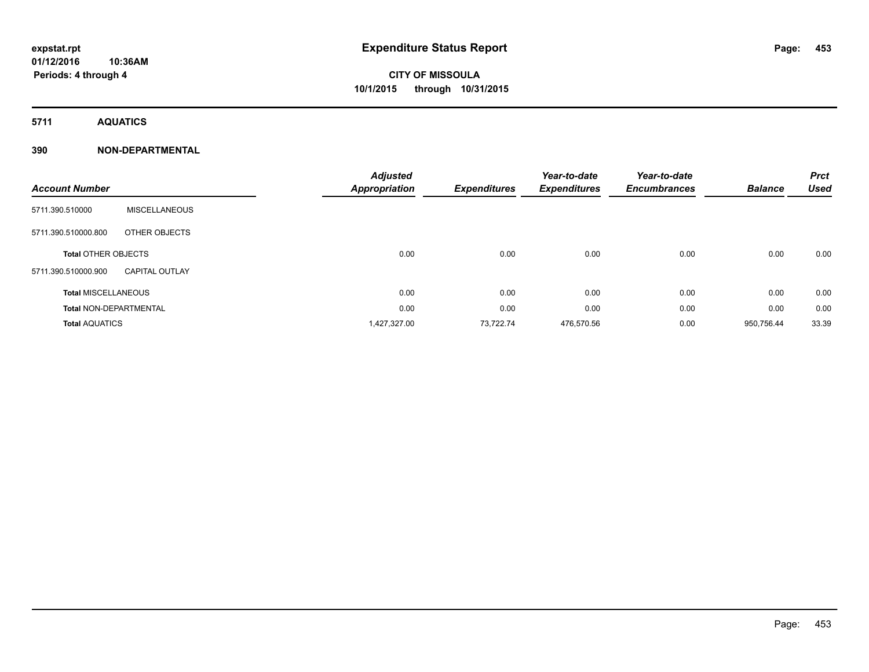**Periods: 4 through 4**

## **CITY OF MISSOULA 10/1/2015 through 10/31/2015**

**5711 AQUATICS**

## **390 NON-DEPARTMENTAL**

| <b>Account Number</b>         |                       | <b>Adjusted</b><br><b>Appropriation</b> | <b>Expenditures</b> | Year-to-date<br><b>Expenditures</b> | Year-to-date<br><b>Encumbrances</b> | <b>Balance</b> | <b>Prct</b><br><b>Used</b> |
|-------------------------------|-----------------------|-----------------------------------------|---------------------|-------------------------------------|-------------------------------------|----------------|----------------------------|
| 5711.390.510000               | <b>MISCELLANEOUS</b>  |                                         |                     |                                     |                                     |                |                            |
| 5711.390.510000.800           | OTHER OBJECTS         |                                         |                     |                                     |                                     |                |                            |
| <b>Total OTHER OBJECTS</b>    |                       | 0.00                                    | 0.00                | 0.00                                | 0.00                                | 0.00           | 0.00                       |
| 5711.390.510000.900           | <b>CAPITAL OUTLAY</b> |                                         |                     |                                     |                                     |                |                            |
| <b>Total MISCELLANEOUS</b>    |                       | 0.00                                    | 0.00                | 0.00                                | 0.00                                | 0.00           | 0.00                       |
| <b>Total NON-DEPARTMENTAL</b> |                       | 0.00                                    | 0.00                | 0.00                                | 0.00                                | 0.00           | 0.00                       |
| <b>Total AQUATICS</b>         |                       | 1,427,327.00                            | 73,722.74           | 476,570.56                          | 0.00                                | 950,756.44     | 33.39                      |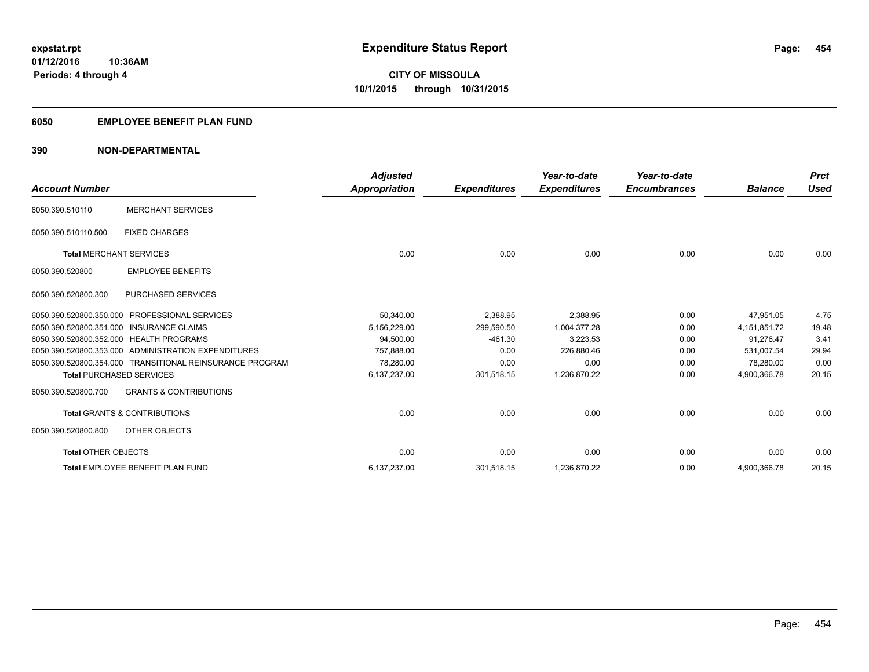## **6050 EMPLOYEE BENEFIT PLAN FUND**

## **390 NON-DEPARTMENTAL**

| <b>Account Number</b>                    |                                                          | <b>Adjusted</b>      |                     | Year-to-date        | Year-to-date<br><b>Encumbrances</b> | <b>Balance</b> | <b>Prct</b><br><b>Used</b> |
|------------------------------------------|----------------------------------------------------------|----------------------|---------------------|---------------------|-------------------------------------|----------------|----------------------------|
|                                          |                                                          | <b>Appropriation</b> | <b>Expenditures</b> | <b>Expenditures</b> |                                     |                |                            |
| 6050.390.510110                          | <b>MERCHANT SERVICES</b>                                 |                      |                     |                     |                                     |                |                            |
| 6050.390.510110.500                      | <b>FIXED CHARGES</b>                                     |                      |                     |                     |                                     |                |                            |
| <b>Total MERCHANT SERVICES</b>           |                                                          | 0.00                 | 0.00                | 0.00                | 0.00                                | 0.00           | 0.00                       |
| 6050.390.520800                          | <b>EMPLOYEE BENEFITS</b>                                 |                      |                     |                     |                                     |                |                            |
| 6050.390.520800.300                      | <b>PURCHASED SERVICES</b>                                |                      |                     |                     |                                     |                |                            |
| 6050.390.520800.350.000                  | <b>PROFESSIONAL SERVICES</b>                             | 50,340.00            | 2,388.95            | 2,388.95            | 0.00                                | 47.951.05      | 4.75                       |
| 6050.390.520800.351.000 INSURANCE CLAIMS |                                                          | 5,156,229.00         | 299.590.50          | 1.004.377.28        | 0.00                                | 4,151,851.72   | 19.48                      |
| 6050.390.520800.352.000 HEALTH PROGRAMS  |                                                          | 94,500.00            | $-461.30$           | 3,223.53            | 0.00                                | 91.276.47      | 3.41                       |
|                                          | 6050.390.520800.353.000 ADMINISTRATION EXPENDITURES      | 757.888.00           | 0.00                | 226.880.46          | 0.00                                | 531.007.54     | 29.94                      |
|                                          | 6050.390.520800.354.000 TRANSITIONAL REINSURANCE PROGRAM | 78,280.00            | 0.00                | 0.00                | 0.00                                | 78,280.00      | 0.00                       |
| <b>Total PURCHASED SERVICES</b>          |                                                          | 6,137,237.00         | 301,518.15          | 1,236,870.22        | 0.00                                | 4,900,366.78   | 20.15                      |
| 6050.390.520800.700                      | <b>GRANTS &amp; CONTRIBUTIONS</b>                        |                      |                     |                     |                                     |                |                            |
|                                          | <b>Total GRANTS &amp; CONTRIBUTIONS</b>                  | 0.00                 | 0.00                | 0.00                | 0.00                                | 0.00           | 0.00                       |
| 6050.390.520800.800                      | OTHER OBJECTS                                            |                      |                     |                     |                                     |                |                            |
| <b>Total OTHER OBJECTS</b>               |                                                          | 0.00                 | 0.00                | 0.00                | 0.00                                | 0.00           | 0.00                       |
|                                          | Total EMPLOYEE BENEFIT PLAN FUND                         | 6,137,237.00         | 301,518.15          | 1,236,870.22        | 0.00                                | 4,900,366.78   | 20.15                      |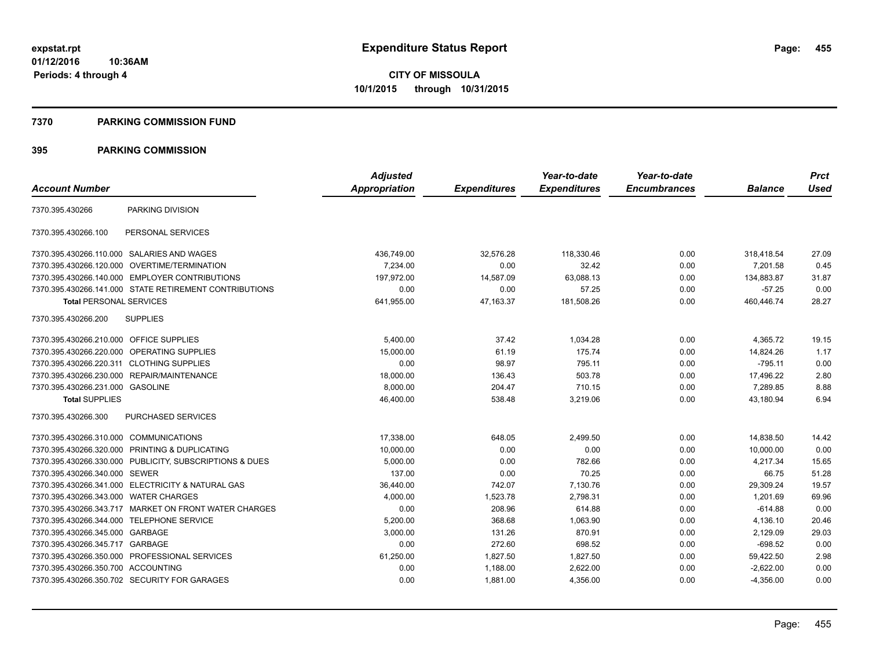#### **7370 PARKING COMMISSION FUND**

|                                           |                                                         | <b>Adjusted</b> |                     | Year-to-date        | Year-to-date        |                | <b>Prct</b> |
|-------------------------------------------|---------------------------------------------------------|-----------------|---------------------|---------------------|---------------------|----------------|-------------|
| <b>Account Number</b>                     |                                                         | Appropriation   | <b>Expenditures</b> | <b>Expenditures</b> | <b>Encumbrances</b> | <b>Balance</b> | <b>Used</b> |
| 7370.395.430266                           | PARKING DIVISION                                        |                 |                     |                     |                     |                |             |
| 7370.395.430266.100                       | PERSONAL SERVICES                                       |                 |                     |                     |                     |                |             |
|                                           | 7370.395.430266.110.000 SALARIES AND WAGES              | 436,749.00      | 32,576.28           | 118,330.46          | 0.00                | 318,418.54     | 27.09       |
| 7370.395.430266.120.000                   | OVERTIME/TERMINATION                                    | 7,234.00        | 0.00                | 32.42               | 0.00                | 7,201.58       | 0.45        |
|                                           | 7370.395.430266.140.000 EMPLOYER CONTRIBUTIONS          | 197.972.00      | 14,587.09           | 63.088.13           | 0.00                | 134.883.87     | 31.87       |
|                                           | 7370.395.430266.141.000 STATE RETIREMENT CONTRIBUTIONS  | 0.00            | 0.00                | 57.25               | 0.00                | $-57.25$       | 0.00        |
| <b>Total PERSONAL SERVICES</b>            |                                                         | 641,955.00      | 47,163.37           | 181,508.26          | 0.00                | 460,446.74     | 28.27       |
| 7370.395.430266.200                       | <b>SUPPLIES</b>                                         |                 |                     |                     |                     |                |             |
| 7370.395.430266.210.000 OFFICE SUPPLIES   |                                                         | 5.400.00        | 37.42               | 1,034.28            | 0.00                | 4,365.72       | 19.15       |
| 7370.395.430266.220.000                   | OPERATING SUPPLIES                                      | 15,000.00       | 61.19               | 175.74              | 0.00                | 14,824.26      | 1.17        |
| 7370.395.430266.220.311 CLOTHING SUPPLIES |                                                         | 0.00            | 98.97               | 795.11              | 0.00                | $-795.11$      | 0.00        |
| 7370.395.430266.230.000                   | REPAIR/MAINTENANCE                                      | 18,000.00       | 136.43              | 503.78              | 0.00                | 17,496.22      | 2.80        |
| 7370.395.430266.231.000 GASOLINE          |                                                         | 8,000.00        | 204.47              | 710.15              | 0.00                | 7,289.85       | 8.88        |
| <b>Total SUPPLIES</b>                     |                                                         | 46,400.00       | 538.48              | 3,219.06            | 0.00                | 43,180.94      | 6.94        |
| 7370.395.430266.300                       | PURCHASED SERVICES                                      |                 |                     |                     |                     |                |             |
| 7370.395.430266.310.000                   | <b>COMMUNICATIONS</b>                                   | 17,338.00       | 648.05              | 2,499.50            | 0.00                | 14,838.50      | 14.42       |
|                                           | 7370.395.430266.320.000 PRINTING & DUPLICATING          | 10,000.00       | 0.00                | 0.00                | 0.00                | 10,000.00      | 0.00        |
|                                           | 7370.395.430266.330.000 PUBLICITY, SUBSCRIPTIONS & DUES | 5,000.00        | 0.00                | 782.66              | 0.00                | 4,217.34       | 15.65       |
| 7370.395.430266.340.000 SEWER             |                                                         | 137.00          | 0.00                | 70.25               | 0.00                | 66.75          | 51.28       |
|                                           | 7370.395.430266.341.000 ELECTRICITY & NATURAL GAS       | 36,440.00       | 742.07              | 7,130.76            | 0.00                | 29,309.24      | 19.57       |
| 7370.395.430266.343.000                   | <b>WATER CHARGES</b>                                    | 4,000.00        | 1,523.78            | 2,798.31            | 0.00                | 1,201.69       | 69.96       |
|                                           | 7370.395.430266.343.717 MARKET ON FRONT WATER CHARGES   | 0.00            | 208.96              | 614.88              | 0.00                | $-614.88$      | 0.00        |
|                                           | 7370.395.430266.344.000 TELEPHONE SERVICE               | 5,200.00        | 368.68              | 1,063.90            | 0.00                | 4,136.10       | 20.46       |
| 7370.395.430266.345.000 GARBAGE           |                                                         | 3,000.00        | 131.26              | 870.91              | 0.00                | 2,129.09       | 29.03       |
| 7370.395.430266.345.717                   | GARBAGE                                                 | 0.00            | 272.60              | 698.52              | 0.00                | $-698.52$      | 0.00        |
|                                           | 7370.395.430266.350.000 PROFESSIONAL SERVICES           | 61,250.00       | 1,827.50            | 1,827.50            | 0.00                | 59,422.50      | 2.98        |
| 7370.395.430266.350.700 ACCOUNTING        |                                                         | 0.00            | 1,188.00            | 2,622.00            | 0.00                | $-2,622.00$    | 0.00        |
|                                           | 7370.395.430266.350.702 SECURITY FOR GARAGES            | 0.00            | 1,881.00            | 4,356.00            | 0.00                | $-4,356.00$    | 0.00        |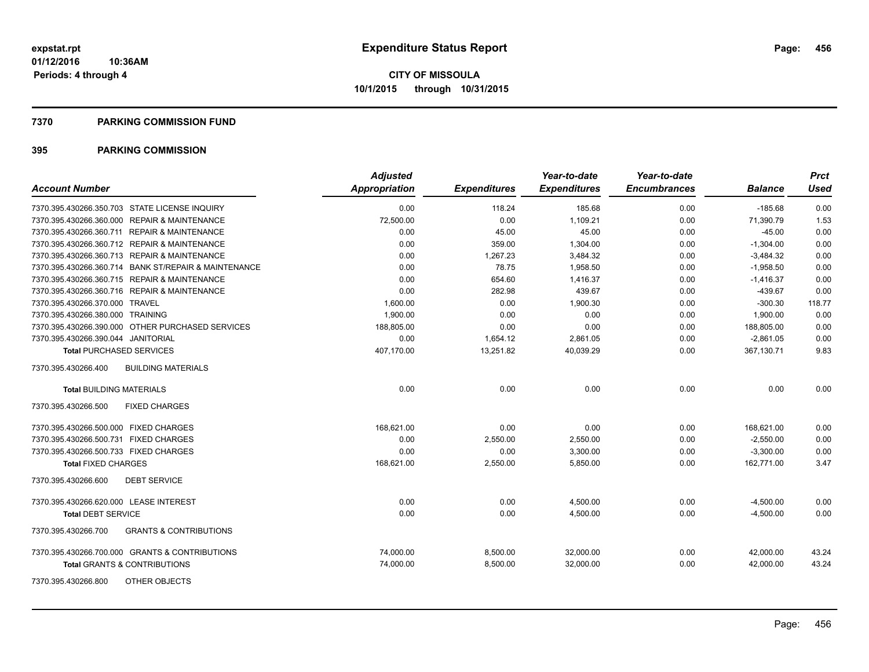#### **7370 PARKING COMMISSION FUND**

| <b>Account Number</b>                                    | <b>Adjusted</b><br>Appropriation | <b>Expenditures</b> | Year-to-date<br><b>Expenditures</b> | Year-to-date<br><b>Encumbrances</b> | <b>Balance</b> | <b>Prct</b><br><b>Used</b> |
|----------------------------------------------------------|----------------------------------|---------------------|-------------------------------------|-------------------------------------|----------------|----------------------------|
| 7370.395.430266.350.703 STATE LICENSE INQUIRY            | 0.00                             | 118.24              | 185.68                              | 0.00                                | $-185.68$      | 0.00                       |
| 7370.395.430266.360.000 REPAIR & MAINTENANCE             | 72,500.00                        | 0.00                | 1,109.21                            | 0.00                                | 71,390.79      | 1.53                       |
| 7370.395.430266.360.711 REPAIR & MAINTENANCE             | 0.00                             | 45.00               | 45.00                               | 0.00                                | $-45.00$       | 0.00                       |
| 7370.395.430266.360.712 REPAIR & MAINTENANCE             | 0.00                             | 359.00              | 1,304.00                            | 0.00                                | $-1,304.00$    | 0.00                       |
| 7370.395.430266.360.713 REPAIR & MAINTENANCE             | 0.00                             | 1,267.23            | 3,484.32                            | 0.00                                | $-3,484.32$    | 0.00                       |
| 7370.395.430266.360.714 BANK ST/REPAIR & MAINTENANCE     | 0.00                             | 78.75               | 1,958.50                            | 0.00                                | $-1,958.50$    | 0.00                       |
| 7370.395.430266.360.715 REPAIR & MAINTENANCE             | 0.00                             | 654.60              | 1.416.37                            | 0.00                                | $-1,416.37$    | 0.00                       |
| 7370.395.430266.360.716 REPAIR & MAINTENANCE             | 0.00                             | 282.98              | 439.67                              | 0.00                                | $-439.67$      | 0.00                       |
| 7370.395.430266.370.000 TRAVEL                           | 1,600.00                         | 0.00                | 1,900.30                            | 0.00                                | $-300.30$      | 118.77                     |
| 7370.395.430266.380.000 TRAINING                         | 1,900.00                         | 0.00                | 0.00                                | 0.00                                | 1,900.00       | 0.00                       |
| 7370.395.430266.390.000 OTHER PURCHASED SERVICES         | 188,805.00                       | 0.00                | 0.00                                | 0.00                                | 188,805.00     | 0.00                       |
| 7370.395.430266.390.044 JANITORIAL                       | 0.00                             | 1,654.12            | 2,861.05                            | 0.00                                | $-2,861.05$    | 0.00                       |
| <b>Total PURCHASED SERVICES</b>                          | 407,170.00                       | 13,251.82           | 40,039.29                           | 0.00                                | 367,130.71     | 9.83                       |
| 7370.395.430266.400<br><b>BUILDING MATERIALS</b>         |                                  |                     |                                     |                                     |                |                            |
| <b>Total BUILDING MATERIALS</b>                          | 0.00                             | 0.00                | 0.00                                | 0.00                                | 0.00           | 0.00                       |
| 7370.395.430266.500<br><b>FIXED CHARGES</b>              |                                  |                     |                                     |                                     |                |                            |
| 7370.395.430266.500.000 FIXED CHARGES                    | 168,621.00                       | 0.00                | 0.00                                | 0.00                                | 168,621.00     | 0.00                       |
| 7370.395.430266.500.731<br><b>FIXED CHARGES</b>          | 0.00                             | 2,550.00            | 2,550.00                            | 0.00                                | $-2,550.00$    | 0.00                       |
| 7370.395.430266.500.733 FIXED CHARGES                    | 0.00                             | 0.00                | 3,300.00                            | 0.00                                | $-3,300.00$    | 0.00                       |
| <b>Total FIXED CHARGES</b>                               | 168,621.00                       | 2,550.00            | 5,850.00                            | 0.00                                | 162,771.00     | 3.47                       |
| 7370.395.430266.600<br><b>DEBT SERVICE</b>               |                                  |                     |                                     |                                     |                |                            |
| 7370.395.430266.620.000 LEASE INTEREST                   | 0.00                             | 0.00                | 4,500.00                            | 0.00                                | $-4,500.00$    | 0.00                       |
| <b>Total DEBT SERVICE</b>                                | 0.00                             | 0.00                | 4,500.00                            | 0.00                                | $-4,500.00$    | 0.00                       |
| <b>GRANTS &amp; CONTRIBUTIONS</b><br>7370.395.430266.700 |                                  |                     |                                     |                                     |                |                            |
| 7370.395.430266.700.000 GRANTS & CONTRIBUTIONS           | 74,000.00                        | 8,500.00            | 32,000.00                           | 0.00                                | 42,000.00      | 43.24                      |
| <b>Total GRANTS &amp; CONTRIBUTIONS</b>                  | 74,000.00                        | 8,500.00            | 32,000.00                           | 0.00                                | 42,000.00      | 43.24                      |
| 7370.395.430266.800<br><b>OTHER OBJECTS</b>              |                                  |                     |                                     |                                     |                |                            |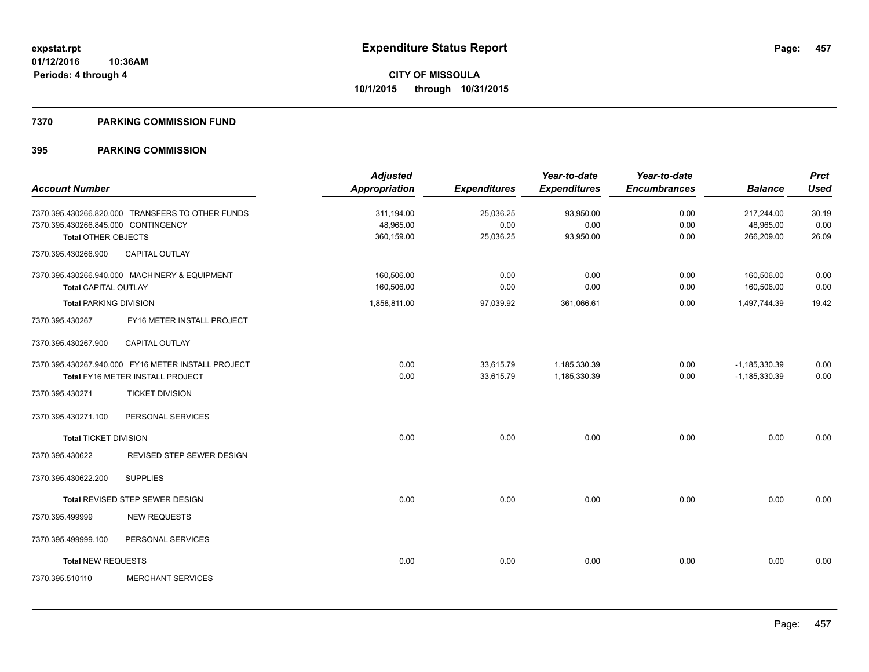#### **7370 PARKING COMMISSION FUND**

|                                     |                                                    | <b>Adjusted</b>      |                     | Year-to-date        | Year-to-date        |                   | <b>Prct</b> |
|-------------------------------------|----------------------------------------------------|----------------------|---------------------|---------------------|---------------------|-------------------|-------------|
| <b>Account Number</b>               |                                                    | <b>Appropriation</b> | <b>Expenditures</b> | <b>Expenditures</b> | <b>Encumbrances</b> | <b>Balance</b>    | <b>Used</b> |
|                                     | 7370.395.430266.820.000 TRANSFERS TO OTHER FUNDS   | 311,194.00           | 25,036.25           | 93,950.00           | 0.00                | 217,244.00        | 30.19       |
| 7370.395.430266.845.000 CONTINGENCY |                                                    | 48,965.00            | 0.00                | 0.00                | 0.00                | 48,965.00         | 0.00        |
| <b>Total OTHER OBJECTS</b>          |                                                    | 360,159.00           | 25,036.25           | 93,950.00           | 0.00                | 266,209.00        | 26.09       |
| 7370.395.430266.900                 | <b>CAPITAL OUTLAY</b>                              |                      |                     |                     |                     |                   |             |
|                                     | 7370.395.430266.940.000 MACHINERY & EQUIPMENT      | 160,506.00           | 0.00                | 0.00                | 0.00                | 160,506.00        | 0.00        |
| <b>Total CAPITAL OUTLAY</b>         |                                                    | 160,506.00           | 0.00                | 0.00                | 0.00                | 160,506.00        | 0.00        |
| <b>Total PARKING DIVISION</b>       |                                                    | 1,858,811.00         | 97,039.92           | 361,066.61          | 0.00                | 1,497,744.39      | 19.42       |
| 7370.395.430267                     | FY16 METER INSTALL PROJECT                         |                      |                     |                     |                     |                   |             |
| 7370.395.430267.900                 | <b>CAPITAL OUTLAY</b>                              |                      |                     |                     |                     |                   |             |
|                                     | 7370.395.430267.940.000 FY16 METER INSTALL PROJECT | 0.00                 | 33,615.79           | 1,185,330.39        | 0.00                | $-1, 185, 330.39$ | 0.00        |
|                                     | Total FY16 METER INSTALL PROJECT                   | 0.00                 | 33,615.79           | 1,185,330.39        | 0.00                | $-1, 185, 330.39$ | 0.00        |
| 7370.395.430271                     | <b>TICKET DIVISION</b>                             |                      |                     |                     |                     |                   |             |
| 7370.395.430271.100                 | PERSONAL SERVICES                                  |                      |                     |                     |                     |                   |             |
| <b>Total TICKET DIVISION</b>        |                                                    | 0.00                 | 0.00                | 0.00                | 0.00                | 0.00              | 0.00        |
| 7370.395.430622                     | REVISED STEP SEWER DESIGN                          |                      |                     |                     |                     |                   |             |
| 7370.395.430622.200                 | <b>SUPPLIES</b>                                    |                      |                     |                     |                     |                   |             |
|                                     | Total REVISED STEP SEWER DESIGN                    | 0.00                 | 0.00                | 0.00                | 0.00                | 0.00              | 0.00        |
| 7370.395.499999                     | <b>NEW REQUESTS</b>                                |                      |                     |                     |                     |                   |             |
| 7370.395.499999.100                 | PERSONAL SERVICES                                  |                      |                     |                     |                     |                   |             |
| <b>Total NEW REQUESTS</b>           |                                                    | 0.00                 | 0.00                | 0.00                | 0.00                | 0.00              | 0.00        |
| 7370.395.510110                     | <b>MERCHANT SERVICES</b>                           |                      |                     |                     |                     |                   |             |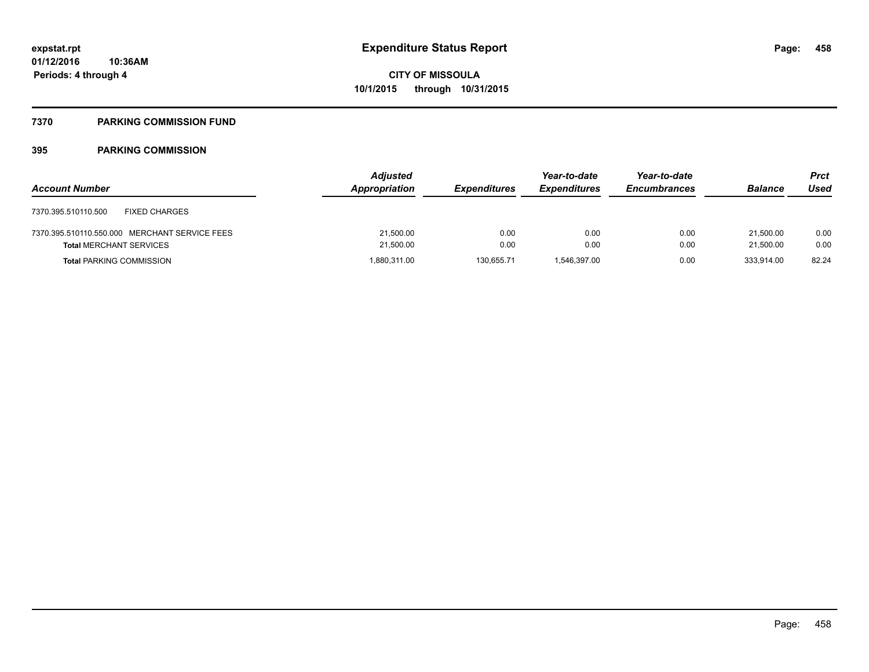## **7370 PARKING COMMISSION FUND**

| <b>Account Number</b>                         | <b>Adjusted</b><br>Appropriation | <b>Expenditures</b> | Year-to-date<br><b>Expenditures</b> | Year-to-date<br><b>Encumbrances</b> | <b>Balance</b> | <b>Prct</b><br>Used |
|-----------------------------------------------|----------------------------------|---------------------|-------------------------------------|-------------------------------------|----------------|---------------------|
| 7370.395.510110.500<br><b>FIXED CHARGES</b>   |                                  |                     |                                     |                                     |                |                     |
| 7370.395.510110.550.000 MERCHANT SERVICE FEES | 21,500.00                        | 0.00                | 0.00                                | 0.00                                | 21.500.00      | 0.00                |
| <b>Total MERCHANT SERVICES</b>                | 21,500.00                        | 0.00                | 0.00                                | 0.00                                | 21,500.00      | 0.00                |
| <b>Total PARKING COMMISSION</b>               | 1,880,311.00                     | 130.655.71          | 1.546.397.00                        | 0.00                                | 333.914.00     | 82.24               |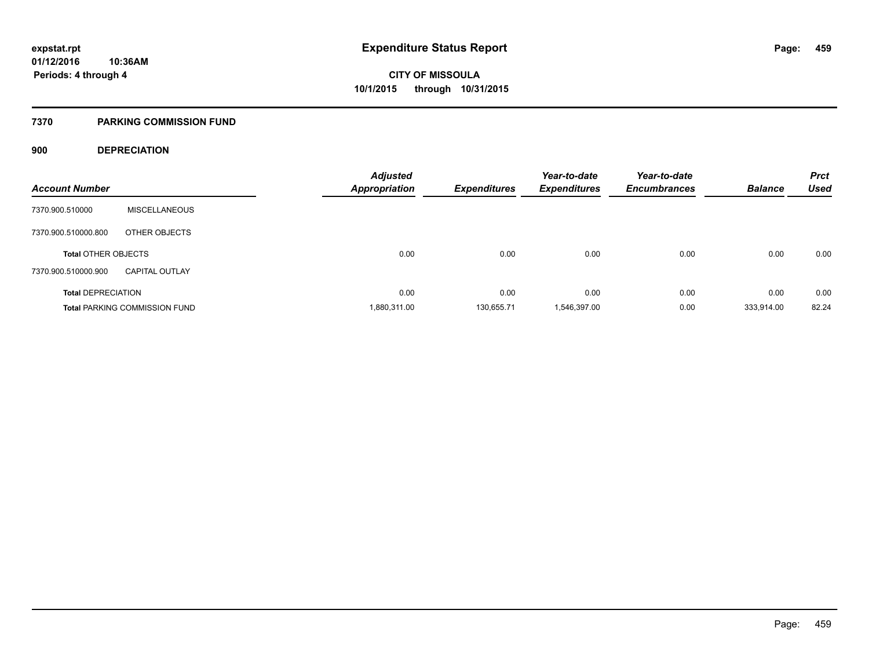## **7370 PARKING COMMISSION FUND**

## **900 DEPRECIATION**

| <b>Account Number</b>      |                                      | Adjusted<br><b>Appropriation</b> | <b>Expenditures</b> | Year-to-date<br><b>Expenditures</b> | Year-to-date<br><b>Encumbrances</b> | <b>Balance</b> | <b>Prct</b><br><b>Used</b> |
|----------------------------|--------------------------------------|----------------------------------|---------------------|-------------------------------------|-------------------------------------|----------------|----------------------------|
|                            |                                      |                                  |                     |                                     |                                     |                |                            |
| 7370.900.510000            | <b>MISCELLANEOUS</b>                 |                                  |                     |                                     |                                     |                |                            |
| 7370.900.510000.800        | OTHER OBJECTS                        |                                  |                     |                                     |                                     |                |                            |
| <b>Total OTHER OBJECTS</b> |                                      | 0.00                             | 0.00                | 0.00                                | 0.00                                | 0.00           | 0.00                       |
| 7370.900.510000.900        | <b>CAPITAL OUTLAY</b>                |                                  |                     |                                     |                                     |                |                            |
| <b>Total DEPRECIATION</b>  |                                      | 0.00                             | 0.00                | 0.00                                | 0.00                                | 0.00           | 0.00                       |
|                            | <b>Total PARKING COMMISSION FUND</b> | 1,880,311.00                     | 130.655.71          | 1.546.397.00                        | 0.00                                | 333.914.00     | 82.24                      |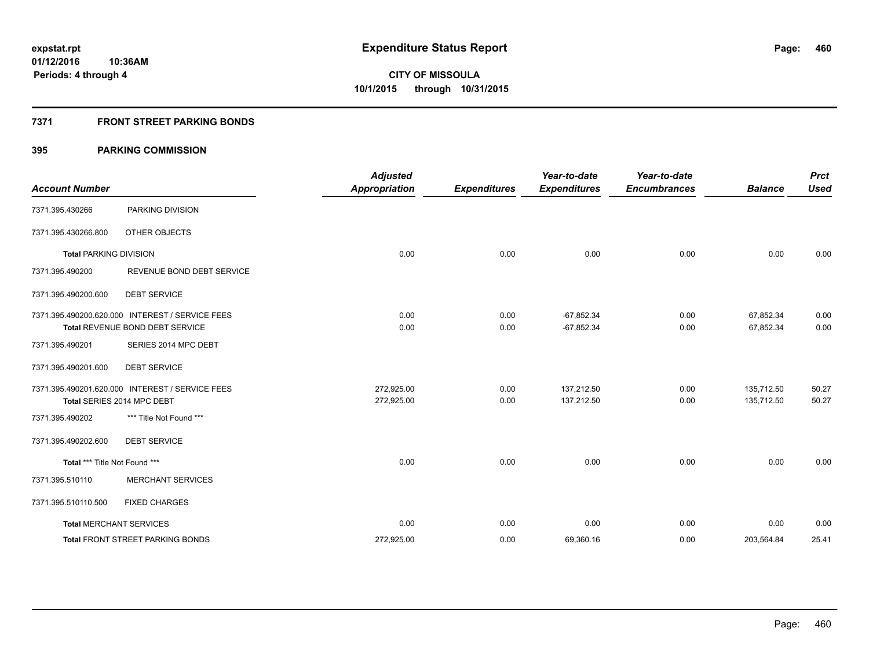## **7371 FRONT STREET PARKING BONDS**

| <b>Account Number</b>         |                                                 | <b>Adjusted</b><br><b>Appropriation</b> | <b>Expenditures</b> | Year-to-date<br><b>Expenditures</b> | Year-to-date<br><b>Encumbrances</b> | <b>Balance</b> | <b>Prct</b><br><b>Used</b> |
|-------------------------------|-------------------------------------------------|-----------------------------------------|---------------------|-------------------------------------|-------------------------------------|----------------|----------------------------|
| 7371.395.430266               | PARKING DIVISION                                |                                         |                     |                                     |                                     |                |                            |
| 7371.395.430266.800           | OTHER OBJECTS                                   |                                         |                     |                                     |                                     |                |                            |
| <b>Total PARKING DIVISION</b> |                                                 | 0.00                                    | 0.00                | 0.00                                | 0.00                                | 0.00           | 0.00                       |
| 7371.395.490200               | REVENUE BOND DEBT SERVICE                       |                                         |                     |                                     |                                     |                |                            |
| 7371.395.490200.600           | <b>DEBT SERVICE</b>                             |                                         |                     |                                     |                                     |                |                            |
|                               | 7371.395.490200.620.000 INTEREST / SERVICE FEES | 0.00                                    | 0.00                | $-67,852.34$                        | 0.00                                | 67,852.34      | 0.00                       |
|                               | <b>Total REVENUE BOND DEBT SERVICE</b>          | 0.00                                    | 0.00                | $-67,852.34$                        | 0.00                                | 67,852.34      | 0.00                       |
| 7371.395.490201               | SERIES 2014 MPC DEBT                            |                                         |                     |                                     |                                     |                |                            |
| 7371.395.490201.600           | <b>DEBT SERVICE</b>                             |                                         |                     |                                     |                                     |                |                            |
|                               | 7371.395.490201.620.000 INTEREST / SERVICE FEES | 272.925.00                              | 0.00                | 137.212.50                          | 0.00                                | 135,712.50     | 50.27                      |
|                               | Total SERIES 2014 MPC DEBT                      | 272,925.00                              | 0.00                | 137,212.50                          | 0.00                                | 135,712.50     | 50.27                      |
| 7371.395.490202               | *** Title Not Found ***                         |                                         |                     |                                     |                                     |                |                            |
| 7371.395.490202.600           | <b>DEBT SERVICE</b>                             |                                         |                     |                                     |                                     |                |                            |
| Total *** Title Not Found *** |                                                 | 0.00                                    | 0.00                | 0.00                                | 0.00                                | 0.00           | 0.00                       |
| 7371.395.510110               | <b>MERCHANT SERVICES</b>                        |                                         |                     |                                     |                                     |                |                            |
| 7371.395.510110.500           | <b>FIXED CHARGES</b>                            |                                         |                     |                                     |                                     |                |                            |
|                               | <b>Total MERCHANT SERVICES</b>                  | 0.00                                    | 0.00                | 0.00                                | 0.00                                | 0.00           | 0.00                       |
|                               | <b>Total FRONT STREET PARKING BONDS</b>         | 272,925.00                              | 0.00                | 69,360.16                           | 0.00                                | 203,564.84     | 25.41                      |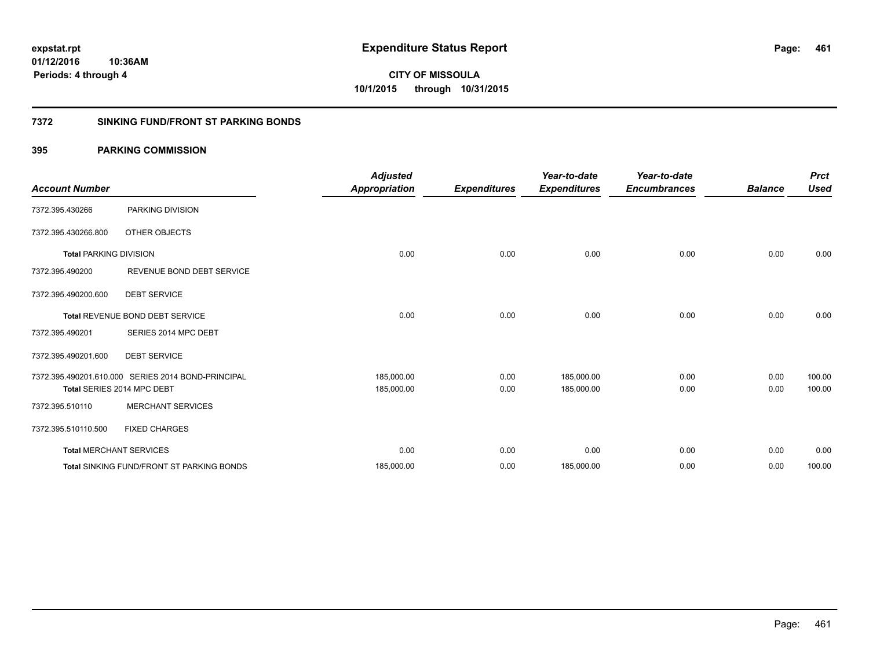**Periods: 4 through 4**

**CITY OF MISSOULA 10/1/2015 through 10/31/2015**

## **7372 SINKING FUND/FRONT ST PARKING BONDS**

## **395 PARKING COMMISSION**

**10:36AM**

| <b>Account Number</b>         |                                                    | <b>Adjusted</b><br><b>Appropriation</b> | <b>Expenditures</b> | Year-to-date<br><b>Expenditures</b> | Year-to-date<br><b>Encumbrances</b> | <b>Balance</b> | <b>Prct</b><br><b>Used</b> |
|-------------------------------|----------------------------------------------------|-----------------------------------------|---------------------|-------------------------------------|-------------------------------------|----------------|----------------------------|
| 7372.395.430266               | PARKING DIVISION                                   |                                         |                     |                                     |                                     |                |                            |
| 7372.395.430266.800           | OTHER OBJECTS                                      |                                         |                     |                                     |                                     |                |                            |
| <b>Total PARKING DIVISION</b> |                                                    | 0.00                                    | 0.00                | 0.00                                | 0.00                                | 0.00           | 0.00                       |
| 7372.395.490200               | REVENUE BOND DEBT SERVICE                          |                                         |                     |                                     |                                     |                |                            |
| 7372.395.490200.600           | <b>DEBT SERVICE</b>                                |                                         |                     |                                     |                                     |                |                            |
|                               | <b>Total REVENUE BOND DEBT SERVICE</b>             | 0.00                                    | 0.00                | 0.00                                | 0.00                                | 0.00           | 0.00                       |
| 7372.395.490201               | SERIES 2014 MPC DEBT                               |                                         |                     |                                     |                                     |                |                            |
| 7372.395.490201.600           | <b>DEBT SERVICE</b>                                |                                         |                     |                                     |                                     |                |                            |
|                               | 7372.395.490201.610.000 SERIES 2014 BOND-PRINCIPAL | 185,000.00                              | 0.00                | 185,000.00                          | 0.00                                | 0.00           | 100.00                     |
|                               | Total SERIES 2014 MPC DEBT                         | 185,000.00                              | 0.00                | 185,000.00                          | 0.00                                | 0.00           | 100.00                     |
| 7372.395.510110               | <b>MERCHANT SERVICES</b>                           |                                         |                     |                                     |                                     |                |                            |
| 7372.395.510110.500           | <b>FIXED CHARGES</b>                               |                                         |                     |                                     |                                     |                |                            |
|                               | <b>Total MERCHANT SERVICES</b>                     | 0.00                                    | 0.00                | 0.00                                | 0.00                                | 0.00           | 0.00                       |
|                               | <b>Total SINKING FUND/FRONT ST PARKING BONDS</b>   | 185,000.00                              | 0.00                | 185,000.00                          | 0.00                                | 0.00           | 100.00                     |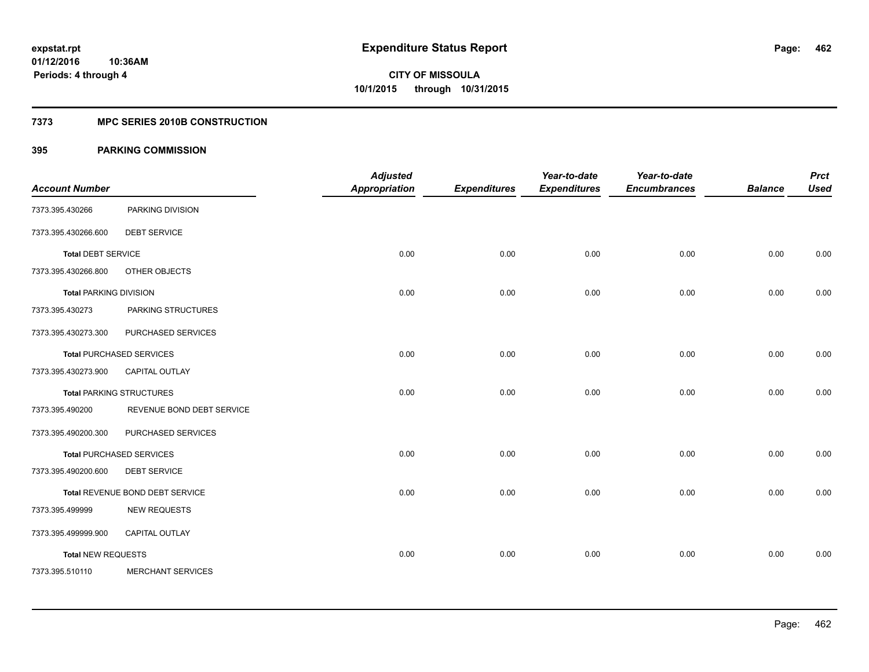## **7373 MPC SERIES 2010B CONSTRUCTION**

| <b>Account Number</b>         |                                 | <b>Adjusted</b><br><b>Appropriation</b> | <b>Expenditures</b> | Year-to-date<br><b>Expenditures</b> | Year-to-date<br><b>Encumbrances</b> | <b>Balance</b> | <b>Prct</b><br><b>Used</b> |
|-------------------------------|---------------------------------|-----------------------------------------|---------------------|-------------------------------------|-------------------------------------|----------------|----------------------------|
| 7373.395.430266               | PARKING DIVISION                |                                         |                     |                                     |                                     |                |                            |
| 7373.395.430266.600           | <b>DEBT SERVICE</b>             |                                         |                     |                                     |                                     |                |                            |
| <b>Total DEBT SERVICE</b>     |                                 | 0.00                                    | 0.00                | 0.00                                | 0.00                                | 0.00           | 0.00                       |
| 7373.395.430266.800           | OTHER OBJECTS                   |                                         |                     |                                     |                                     |                |                            |
| <b>Total PARKING DIVISION</b> |                                 | 0.00                                    | 0.00                | 0.00                                | 0.00                                | 0.00           | 0.00                       |
| 7373.395.430273               | PARKING STRUCTURES              |                                         |                     |                                     |                                     |                |                            |
| 7373.395.430273.300           | PURCHASED SERVICES              |                                         |                     |                                     |                                     |                |                            |
|                               | <b>Total PURCHASED SERVICES</b> | 0.00                                    | 0.00                | 0.00                                | 0.00                                | 0.00           | 0.00                       |
| 7373.395.430273.900           | <b>CAPITAL OUTLAY</b>           |                                         |                     |                                     |                                     |                |                            |
|                               | <b>Total PARKING STRUCTURES</b> | 0.00                                    | 0.00                | 0.00                                | 0.00                                | 0.00           | 0.00                       |
| 7373.395.490200               | REVENUE BOND DEBT SERVICE       |                                         |                     |                                     |                                     |                |                            |
| 7373.395.490200.300           | PURCHASED SERVICES              |                                         |                     |                                     |                                     |                |                            |
|                               | <b>Total PURCHASED SERVICES</b> | 0.00                                    | 0.00                | 0.00                                | 0.00                                | 0.00           | 0.00                       |
| 7373.395.490200.600           | <b>DEBT SERVICE</b>             |                                         |                     |                                     |                                     |                |                            |
|                               | Total REVENUE BOND DEBT SERVICE | 0.00                                    | 0.00                | 0.00                                | 0.00                                | 0.00           | 0.00                       |
| 7373.395.499999               | <b>NEW REQUESTS</b>             |                                         |                     |                                     |                                     |                |                            |
| 7373.395.499999.900           | CAPITAL OUTLAY                  |                                         |                     |                                     |                                     |                |                            |
| <b>Total NEW REQUESTS</b>     |                                 | 0.00                                    | 0.00                | 0.00                                | 0.00                                | 0.00           | 0.00                       |
| 7373.395.510110               | <b>MERCHANT SERVICES</b>        |                                         |                     |                                     |                                     |                |                            |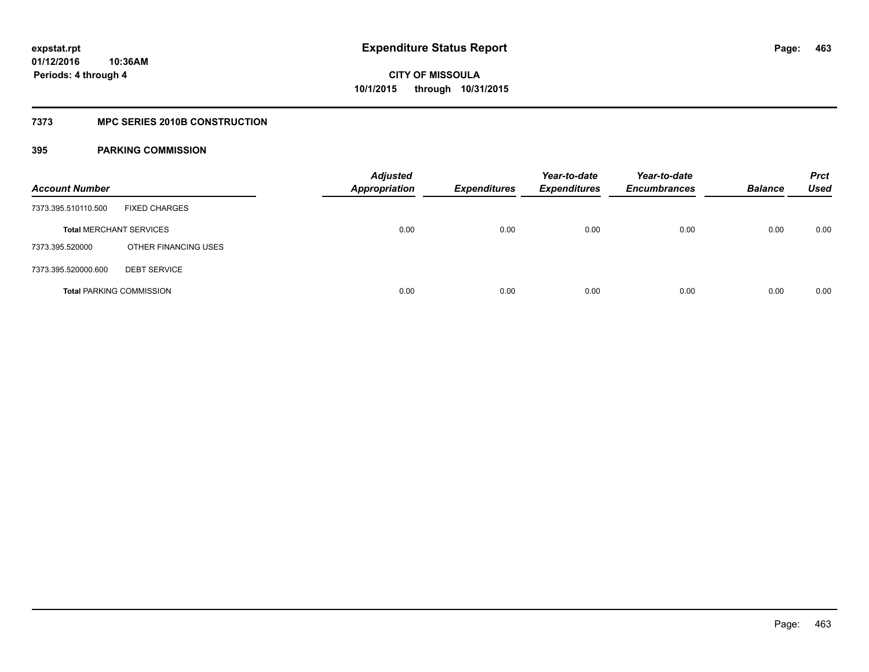## **7373 MPC SERIES 2010B CONSTRUCTION**

| <b>Account Number</b>          |                                 | <b>Adjusted</b><br><b>Appropriation</b> | <b>Expenditures</b> | Year-to-date<br><b>Expenditures</b> | Year-to-date<br><b>Encumbrances</b> | <b>Balance</b> | <b>Prct</b><br><b>Used</b> |
|--------------------------------|---------------------------------|-----------------------------------------|---------------------|-------------------------------------|-------------------------------------|----------------|----------------------------|
| 7373.395.510110.500            | <b>FIXED CHARGES</b>            |                                         |                     |                                     |                                     |                |                            |
| <b>Total MERCHANT SERVICES</b> |                                 | 0.00                                    | 0.00                | 0.00                                | 0.00                                | 0.00           | 0.00                       |
| 7373.395.520000                | OTHER FINANCING USES            |                                         |                     |                                     |                                     |                |                            |
| 7373.395.520000.600            | <b>DEBT SERVICE</b>             |                                         |                     |                                     |                                     |                |                            |
|                                | <b>Total PARKING COMMISSION</b> | 0.00                                    | 0.00                | 0.00                                | 0.00                                | 0.00           | 0.00                       |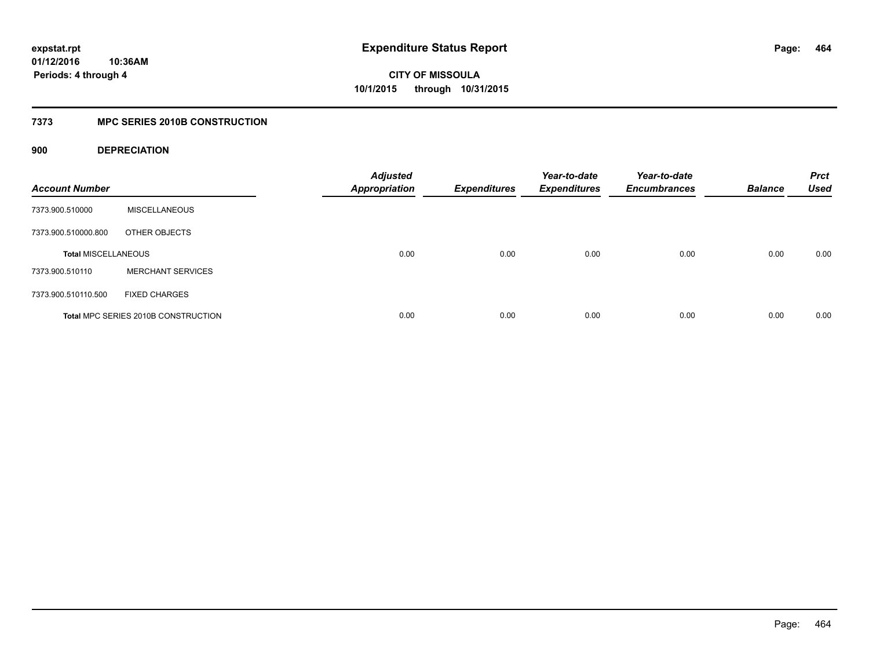## **7373 MPC SERIES 2010B CONSTRUCTION**

## **900 DEPRECIATION**

| <b>Account Number</b>      |                                     | <b>Adjusted</b><br><b>Appropriation</b> | <b>Expenditures</b> | Year-to-date<br><b>Expenditures</b> | Year-to-date<br><b>Encumbrances</b> | <b>Balance</b> | <b>Prct</b><br><b>Used</b> |
|----------------------------|-------------------------------------|-----------------------------------------|---------------------|-------------------------------------|-------------------------------------|----------------|----------------------------|
| 7373.900.510000            | <b>MISCELLANEOUS</b>                |                                         |                     |                                     |                                     |                |                            |
| 7373.900.510000.800        | OTHER OBJECTS                       |                                         |                     |                                     |                                     |                |                            |
| <b>Total MISCELLANEOUS</b> |                                     | 0.00                                    | 0.00                | 0.00                                | 0.00                                | 0.00           | 0.00                       |
| 7373.900.510110            | <b>MERCHANT SERVICES</b>            |                                         |                     |                                     |                                     |                |                            |
| 7373.900.510110.500        | <b>FIXED CHARGES</b>                |                                         |                     |                                     |                                     |                |                            |
|                            | Total MPC SERIES 2010B CONSTRUCTION | 0.00                                    | 0.00                | 0.00                                | 0.00                                | 0.00           | 0.00                       |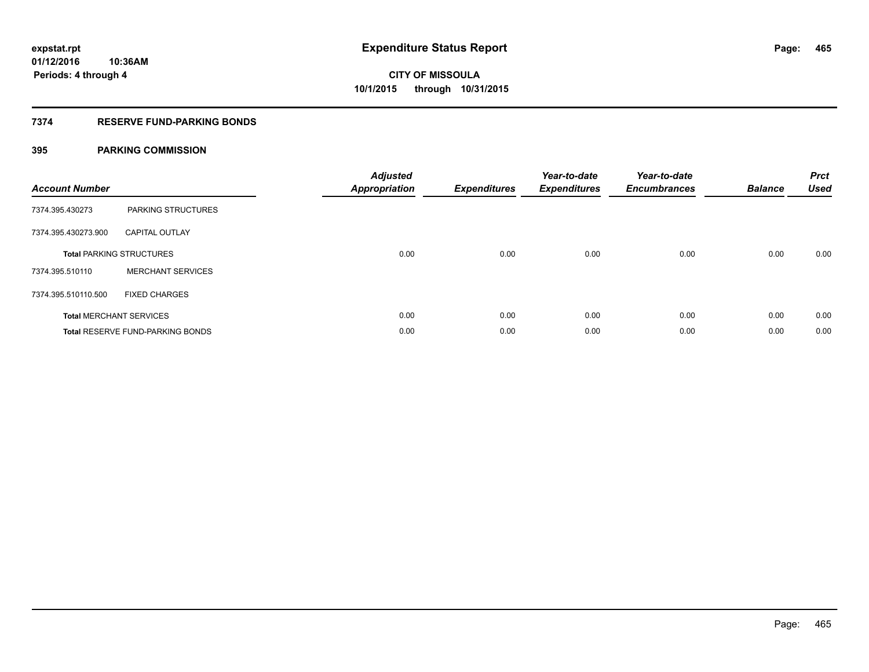## **7374 RESERVE FUND-PARKING BONDS**

| <b>Account Number</b> |                                         | <b>Adjusted</b><br><b>Appropriation</b> | <b>Expenditures</b> | Year-to-date<br><b>Expenditures</b> | Year-to-date<br><b>Encumbrances</b> | <b>Balance</b> | <b>Prct</b><br><b>Used</b> |
|-----------------------|-----------------------------------------|-----------------------------------------|---------------------|-------------------------------------|-------------------------------------|----------------|----------------------------|
| 7374.395.430273       | PARKING STRUCTURES                      |                                         |                     |                                     |                                     |                |                            |
| 7374.395.430273.900   | <b>CAPITAL OUTLAY</b>                   |                                         |                     |                                     |                                     |                |                            |
|                       | <b>Total PARKING STRUCTURES</b>         | 0.00                                    | 0.00                | 0.00                                | 0.00                                | 0.00           | 0.00                       |
| 7374.395.510110       | <b>MERCHANT SERVICES</b>                |                                         |                     |                                     |                                     |                |                            |
| 7374.395.510110.500   | <b>FIXED CHARGES</b>                    |                                         |                     |                                     |                                     |                |                            |
|                       | <b>Total MERCHANT SERVICES</b>          | 0.00                                    | 0.00                | 0.00                                | 0.00                                | 0.00           | 0.00                       |
|                       | <b>Total RESERVE FUND-PARKING BONDS</b> | 0.00                                    | 0.00                | 0.00                                | 0.00                                | 0.00           | 0.00                       |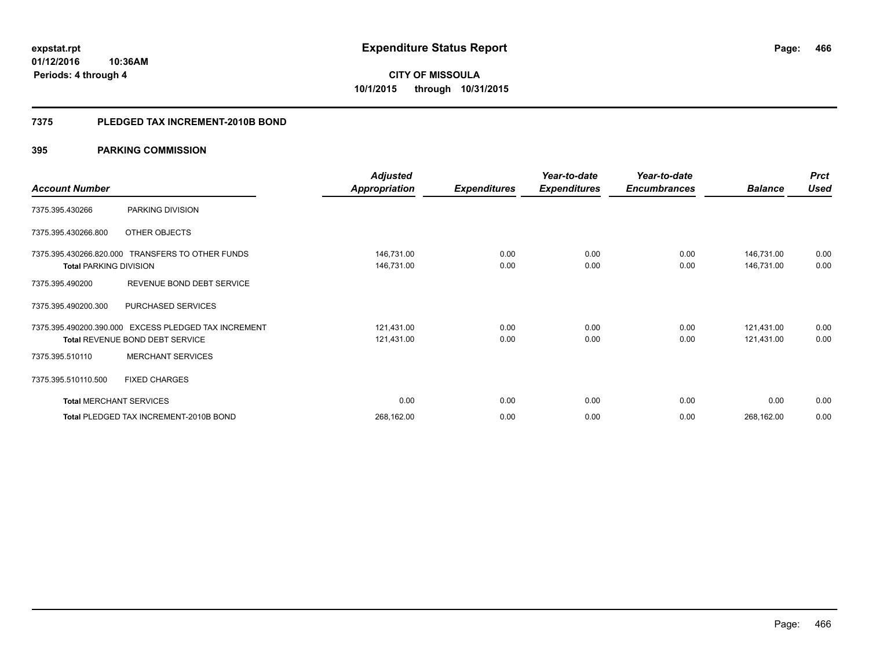**01/12/2016 10:36AM Periods: 4 through 4**

# **CITY OF MISSOULA 10/1/2015 through 10/31/2015**

## **7375 PLEDGED TAX INCREMENT-2010B BOND**

|                                |                                                  | <b>Adjusted</b>      |                     | Year-to-date        | Year-to-date        |                | <b>Prct</b> |
|--------------------------------|--------------------------------------------------|----------------------|---------------------|---------------------|---------------------|----------------|-------------|
| <b>Account Number</b>          |                                                  | <b>Appropriation</b> | <b>Expenditures</b> | <b>Expenditures</b> | <b>Encumbrances</b> | <b>Balance</b> | <b>Used</b> |
| 7375.395.430266                | PARKING DIVISION                                 |                      |                     |                     |                     |                |             |
| 7375.395.430266.800            | OTHER OBJECTS                                    |                      |                     |                     |                     |                |             |
|                                | 7375.395.430266.820.000 TRANSFERS TO OTHER FUNDS | 146,731.00           | 0.00                | 0.00                | 0.00                | 146,731.00     | 0.00        |
| <b>Total PARKING DIVISION</b>  |                                                  | 146,731.00           | 0.00                | 0.00                | 0.00                | 146,731.00     | 0.00        |
| 7375.395.490200                | REVENUE BOND DEBT SERVICE                        |                      |                     |                     |                     |                |             |
| 7375.395.490200.300            | PURCHASED SERVICES                               |                      |                     |                     |                     |                |             |
| 7375.395.490200.390.000        | <b>EXCESS PLEDGED TAX INCREMENT</b>              | 121,431.00           | 0.00                | 0.00                | 0.00                | 121,431.00     | 0.00        |
|                                | <b>Total REVENUE BOND DEBT SERVICE</b>           | 121,431.00           | 0.00                | 0.00                | 0.00                | 121,431.00     | 0.00        |
| 7375.395.510110                | <b>MERCHANT SERVICES</b>                         |                      |                     |                     |                     |                |             |
| 7375.395.510110.500            | <b>FIXED CHARGES</b>                             |                      |                     |                     |                     |                |             |
| <b>Total MERCHANT SERVICES</b> |                                                  | 0.00                 | 0.00                | 0.00                | 0.00                | 0.00           | 0.00        |
|                                | Total PLEDGED TAX INCREMENT-2010B BOND           | 268,162.00           | 0.00                | 0.00                | 0.00                | 268,162.00     | 0.00        |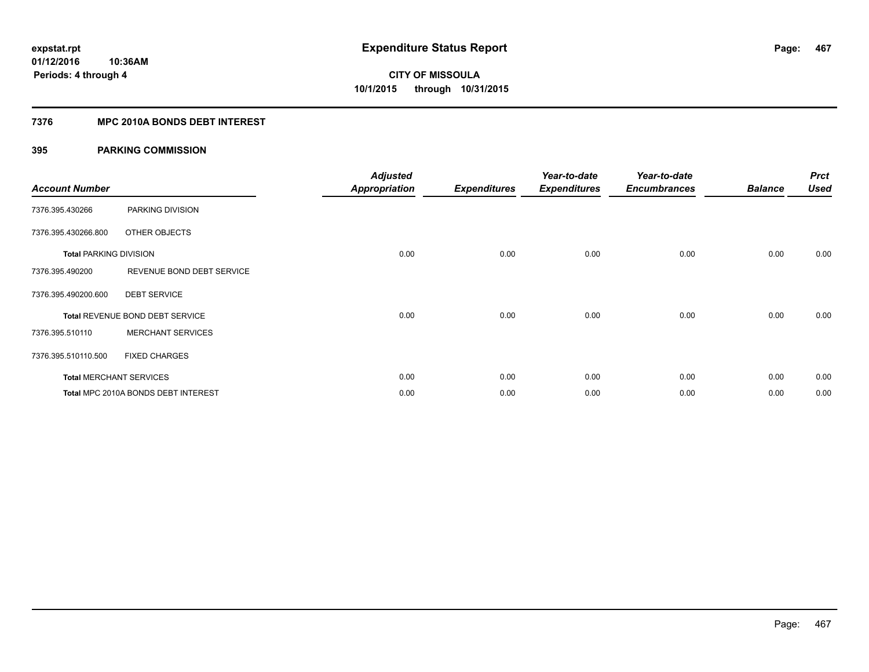## **7376 MPC 2010A BONDS DEBT INTEREST**

| <b>Account Number</b>         |                                     | <b>Adjusted</b><br><b>Appropriation</b> | <b>Expenditures</b> | Year-to-date<br><b>Expenditures</b> | Year-to-date<br><b>Encumbrances</b> | <b>Balance</b> | <b>Prct</b><br><b>Used</b> |
|-------------------------------|-------------------------------------|-----------------------------------------|---------------------|-------------------------------------|-------------------------------------|----------------|----------------------------|
| 7376.395.430266               | PARKING DIVISION                    |                                         |                     |                                     |                                     |                |                            |
| 7376.395.430266.800           | OTHER OBJECTS                       |                                         |                     |                                     |                                     |                |                            |
| <b>Total PARKING DIVISION</b> |                                     | 0.00                                    | 0.00                | 0.00                                | 0.00                                | 0.00           | 0.00                       |
| 7376.395.490200               | REVENUE BOND DEBT SERVICE           |                                         |                     |                                     |                                     |                |                            |
| 7376.395.490200.600           | <b>DEBT SERVICE</b>                 |                                         |                     |                                     |                                     |                |                            |
|                               | Total REVENUE BOND DEBT SERVICE     | 0.00                                    | 0.00                | 0.00                                | 0.00                                | 0.00           | 0.00                       |
| 7376.395.510110               | <b>MERCHANT SERVICES</b>            |                                         |                     |                                     |                                     |                |                            |
| 7376.395.510110.500           | <b>FIXED CHARGES</b>                |                                         |                     |                                     |                                     |                |                            |
|                               | <b>Total MERCHANT SERVICES</b>      | 0.00                                    | 0.00                | 0.00                                | 0.00                                | 0.00           | 0.00                       |
|                               | Total MPC 2010A BONDS DEBT INTEREST | 0.00                                    | 0.00                | 0.00                                | 0.00                                | 0.00           | 0.00                       |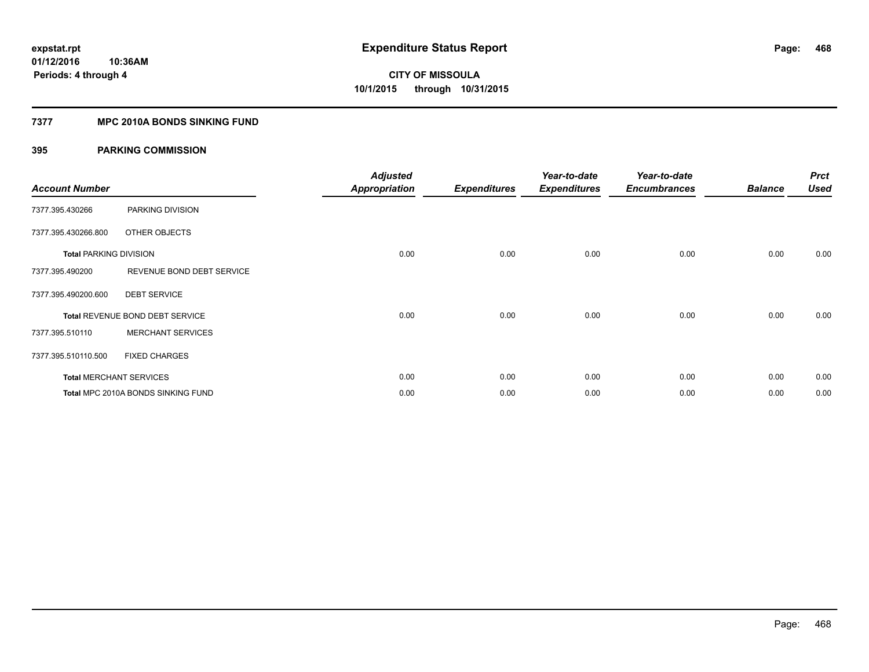## **7377 MPC 2010A BONDS SINKING FUND**

| <b>Account Number</b>         |                                    | <b>Adjusted</b><br><b>Appropriation</b> | <b>Expenditures</b> | Year-to-date<br><b>Expenditures</b> | Year-to-date<br><b>Encumbrances</b> | <b>Balance</b> | <b>Prct</b><br><b>Used</b> |
|-------------------------------|------------------------------------|-----------------------------------------|---------------------|-------------------------------------|-------------------------------------|----------------|----------------------------|
| 7377.395.430266               | PARKING DIVISION                   |                                         |                     |                                     |                                     |                |                            |
| 7377.395.430266.800           | OTHER OBJECTS                      |                                         |                     |                                     |                                     |                |                            |
| <b>Total PARKING DIVISION</b> |                                    | 0.00                                    | 0.00                | 0.00                                | 0.00                                | 0.00           | 0.00                       |
| 7377.395.490200               | REVENUE BOND DEBT SERVICE          |                                         |                     |                                     |                                     |                |                            |
| 7377.395.490200.600           | <b>DEBT SERVICE</b>                |                                         |                     |                                     |                                     |                |                            |
|                               | Total REVENUE BOND DEBT SERVICE    | 0.00                                    | 0.00                | 0.00                                | 0.00                                | 0.00           | 0.00                       |
| 7377.395.510110               | <b>MERCHANT SERVICES</b>           |                                         |                     |                                     |                                     |                |                            |
| 7377.395.510110.500           | <b>FIXED CHARGES</b>               |                                         |                     |                                     |                                     |                |                            |
|                               | <b>Total MERCHANT SERVICES</b>     | 0.00                                    | 0.00                | 0.00                                | 0.00                                | 0.00           | 0.00                       |
|                               | Total MPC 2010A BONDS SINKING FUND | 0.00                                    | 0.00                | 0.00                                | 0.00                                | 0.00           | 0.00                       |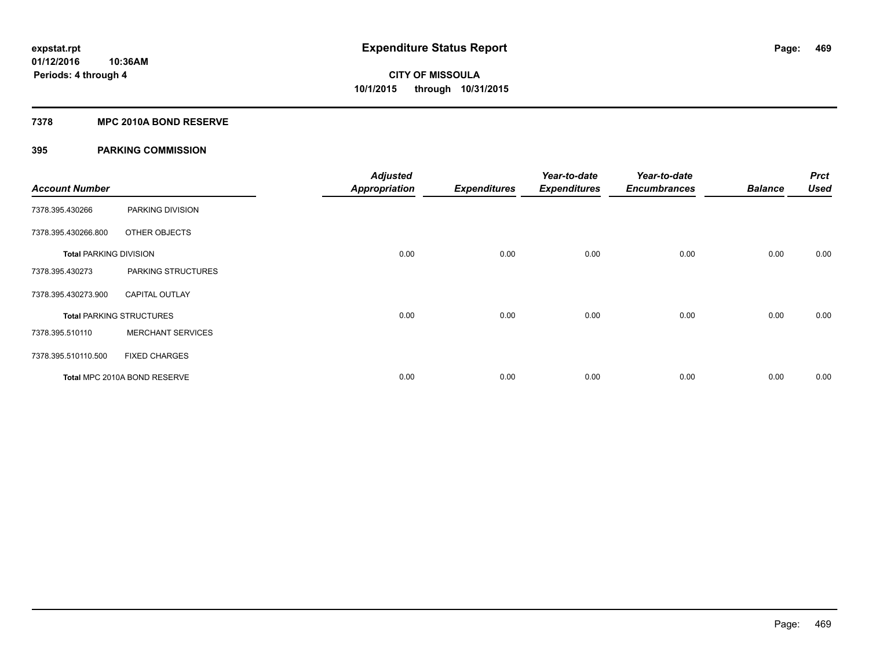## **7378 MPC 2010A BOND RESERVE**

## **395 PARKING COMMISSION**

| <b>Account Number</b>         |                                 | <b>Adjusted</b><br><b>Appropriation</b> | <b>Expenditures</b> | Year-to-date<br><b>Expenditures</b> | Year-to-date<br><b>Encumbrances</b> | <b>Balance</b> | <b>Prct</b><br><b>Used</b> |
|-------------------------------|---------------------------------|-----------------------------------------|---------------------|-------------------------------------|-------------------------------------|----------------|----------------------------|
| 7378.395.430266               | PARKING DIVISION                |                                         |                     |                                     |                                     |                |                            |
| 7378.395.430266.800           | OTHER OBJECTS                   |                                         |                     |                                     |                                     |                |                            |
| <b>Total PARKING DIVISION</b> |                                 | 0.00                                    | 0.00                | 0.00                                | 0.00                                | 0.00           | 0.00                       |
| 7378.395.430273               | PARKING STRUCTURES              |                                         |                     |                                     |                                     |                |                            |
| 7378.395.430273.900           | <b>CAPITAL OUTLAY</b>           |                                         |                     |                                     |                                     |                |                            |
|                               | <b>Total PARKING STRUCTURES</b> | 0.00                                    | 0.00                | 0.00                                | 0.00                                | 0.00           | 0.00                       |
| 7378.395.510110               | <b>MERCHANT SERVICES</b>        |                                         |                     |                                     |                                     |                |                            |
| 7378.395.510110.500           | <b>FIXED CHARGES</b>            |                                         |                     |                                     |                                     |                |                            |
|                               | Total MPC 2010A BOND RESERVE    | 0.00                                    | 0.00                | 0.00                                | 0.00                                | 0.00           | 0.00                       |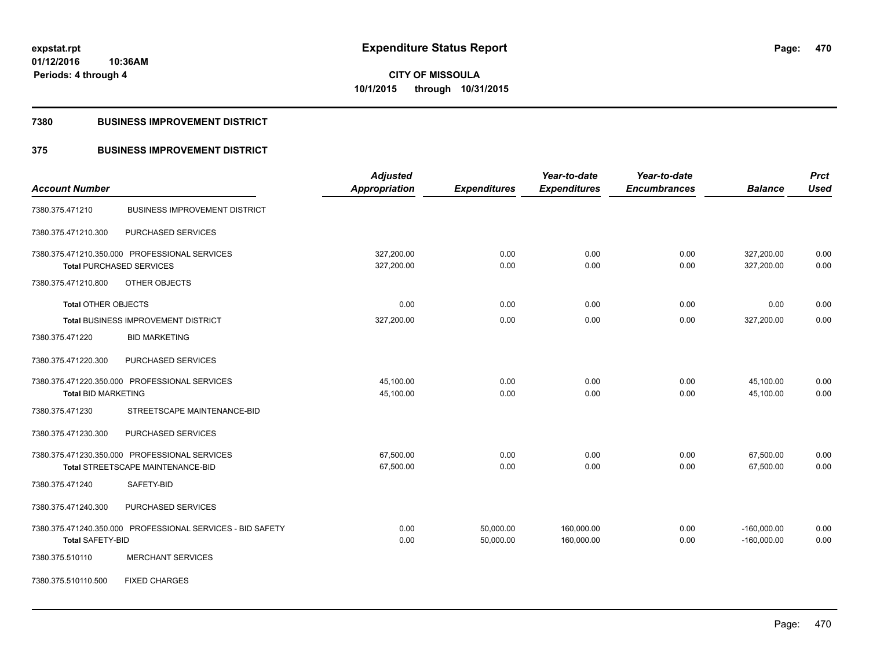**Periods: 4 through 4**

**10:36AM**

# **CITY OF MISSOULA 10/1/2015 through 10/31/2015**

## **7380 BUSINESS IMPROVEMENT DISTRICT**

## **375 BUSINESS IMPROVEMENT DISTRICT**

|                                 |                                                            | <b>Adjusted</b>      |                     | Year-to-date        | Year-to-date        |                | <b>Prct</b> |
|---------------------------------|------------------------------------------------------------|----------------------|---------------------|---------------------|---------------------|----------------|-------------|
| <b>Account Number</b>           |                                                            | <b>Appropriation</b> | <b>Expenditures</b> | <b>Expenditures</b> | <b>Encumbrances</b> | <b>Balance</b> | <b>Used</b> |
| 7380.375.471210                 | <b>BUSINESS IMPROVEMENT DISTRICT</b>                       |                      |                     |                     |                     |                |             |
| 7380.375.471210.300             | PURCHASED SERVICES                                         |                      |                     |                     |                     |                |             |
|                                 | 7380.375.471210.350.000 PROFESSIONAL SERVICES              | 327,200.00           | 0.00                | 0.00                | 0.00                | 327,200.00     | 0.00        |
| <b>Total PURCHASED SERVICES</b> |                                                            | 327,200.00           | 0.00                | 0.00                | 0.00                | 327,200.00     | 0.00        |
| 7380.375.471210.800             | OTHER OBJECTS                                              |                      |                     |                     |                     |                |             |
| <b>Total OTHER OBJECTS</b>      |                                                            | 0.00                 | 0.00                | 0.00                | 0.00                | 0.00           | 0.00        |
|                                 | Total BUSINESS IMPROVEMENT DISTRICT                        | 327,200.00           | 0.00                | 0.00                | 0.00                | 327,200.00     | 0.00        |
| 7380.375.471220                 | <b>BID MARKETING</b>                                       |                      |                     |                     |                     |                |             |
| 7380.375.471220.300             | PURCHASED SERVICES                                         |                      |                     |                     |                     |                |             |
|                                 | 7380.375.471220.350.000 PROFESSIONAL SERVICES              | 45,100.00            | 0.00                | 0.00                | 0.00                | 45,100.00      | 0.00        |
| <b>Total BID MARKETING</b>      |                                                            | 45,100.00            | 0.00                | 0.00                | 0.00                | 45,100.00      | 0.00        |
| 7380.375.471230                 | STREETSCAPE MAINTENANCE-BID                                |                      |                     |                     |                     |                |             |
| 7380.375.471230.300             | PURCHASED SERVICES                                         |                      |                     |                     |                     |                |             |
|                                 | 7380.375.471230.350.000 PROFESSIONAL SERVICES              | 67,500.00            | 0.00                | 0.00                | 0.00                | 67,500.00      | 0.00        |
|                                 | Total STREETSCAPE MAINTENANCE-BID                          | 67,500.00            | 0.00                | 0.00                | 0.00                | 67,500.00      | 0.00        |
| 7380.375.471240                 | SAFETY-BID                                                 |                      |                     |                     |                     |                |             |
| 7380.375.471240.300             | PURCHASED SERVICES                                         |                      |                     |                     |                     |                |             |
|                                 | 7380.375.471240.350.000 PROFESSIONAL SERVICES - BID SAFETY | 0.00                 | 50,000.00           | 160,000.00          | 0.00                | $-160,000.00$  | 0.00        |
| <b>Total SAFETY-BID</b>         |                                                            | 0.00                 | 50,000.00           | 160,000.00          | 0.00                | $-160,000.00$  | 0.00        |
| 7380.375.510110                 | <b>MERCHANT SERVICES</b>                                   |                      |                     |                     |                     |                |             |
| 7380.375.510110.500             | <b>FIXED CHARGES</b>                                       |                      |                     |                     |                     |                |             |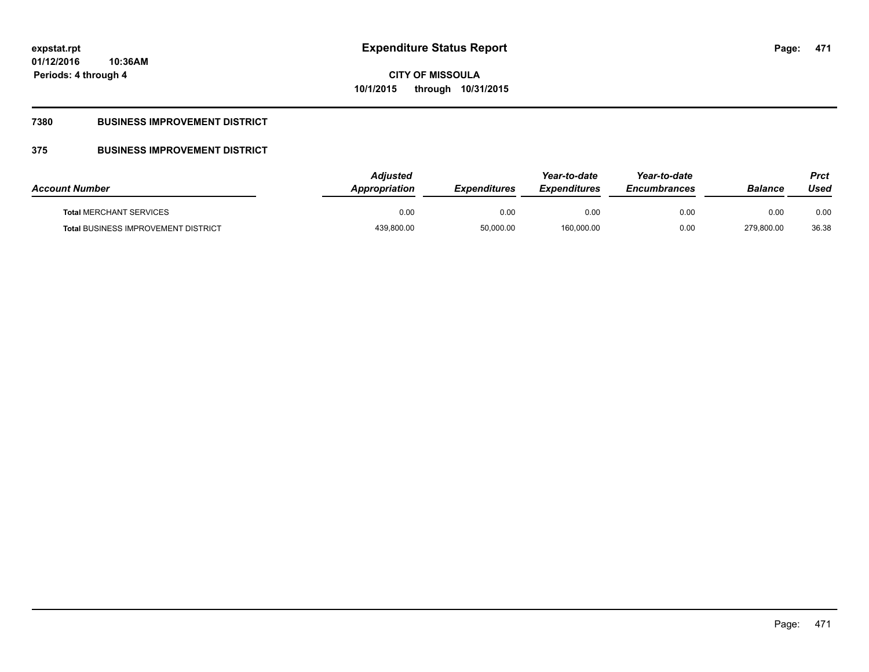**Periods: 4 through 4**

**CITY OF MISSOULA 10/1/2015 through 10/31/2015**

## **7380 BUSINESS IMPROVEMENT DISTRICT**

**10:36AM**

## **375 BUSINESS IMPROVEMENT DISTRICT**

| <b>Account Number</b>                      | <b>Adiusted</b><br>Appropriation | <b>Expenditures</b> | Year-to-date<br><b>Expenditures</b> | Year-to-date<br><b>Encumbrances</b> | <b>Balance</b> | Prct<br>Used |
|--------------------------------------------|----------------------------------|---------------------|-------------------------------------|-------------------------------------|----------------|--------------|
| <b>Total MERCHANT SERVICES</b>             | 0.00                             | 0.00                | 0.00                                | 0.00                                | 0.00           | 0.00         |
| <b>Total BUSINESS IMPROVEMENT DISTRICT</b> | 439,800.00                       | 50,000.00           | 160,000.00                          | 0.00                                | 279,800.00     | 36.38        |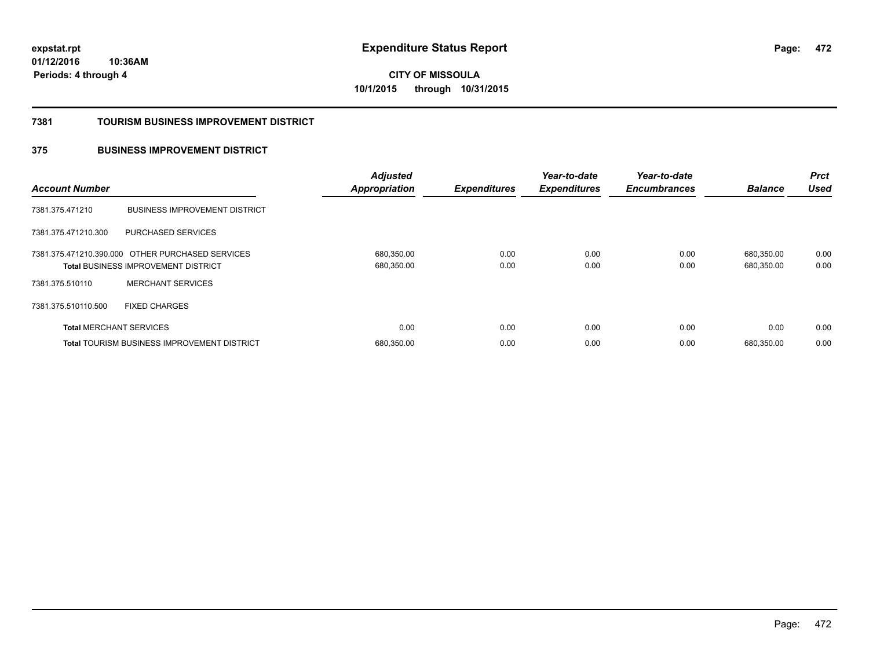**472**

**01/12/2016 10:36AM Periods: 4 through 4**

**CITY OF MISSOULA 10/1/2015 through 10/31/2015**

### **7381 TOURISM BUSINESS IMPROVEMENT DISTRICT**

## **375 BUSINESS IMPROVEMENT DISTRICT**

| <b>Account Number</b>          |                                                                                                | <b>Adjusted</b><br><b>Appropriation</b> | <b>Expenditures</b> | Year-to-date<br><b>Expenditures</b> | Year-to-date<br><b>Encumbrances</b> | <b>Balance</b>           | <b>Prct</b><br><b>Used</b> |
|--------------------------------|------------------------------------------------------------------------------------------------|-----------------------------------------|---------------------|-------------------------------------|-------------------------------------|--------------------------|----------------------------|
| 7381.375.471210                | <b>BUSINESS IMPROVEMENT DISTRICT</b>                                                           |                                         |                     |                                     |                                     |                          |                            |
| 7381.375.471210.300            | PURCHASED SERVICES                                                                             |                                         |                     |                                     |                                     |                          |                            |
|                                | 7381.375.471210.390.000 OTHER PURCHASED SERVICES<br><b>Total BUSINESS IMPROVEMENT DISTRICT</b> | 680,350.00<br>680,350.00                | 0.00<br>0.00        | 0.00<br>0.00                        | 0.00<br>0.00                        | 680.350.00<br>680,350.00 | 0.00<br>0.00               |
| 7381.375.510110                | <b>MERCHANT SERVICES</b>                                                                       |                                         |                     |                                     |                                     |                          |                            |
| 7381.375.510110.500            | <b>FIXED CHARGES</b>                                                                           |                                         |                     |                                     |                                     |                          |                            |
| <b>Total MERCHANT SERVICES</b> |                                                                                                | 0.00                                    | 0.00                | 0.00                                | 0.00                                | 0.00                     | 0.00                       |
|                                | <b>Total TOURISM BUSINESS IMPROVEMENT DISTRICT</b>                                             | 680,350.00                              | 0.00                | 0.00                                | 0.00                                | 680.350.00               | 0.00                       |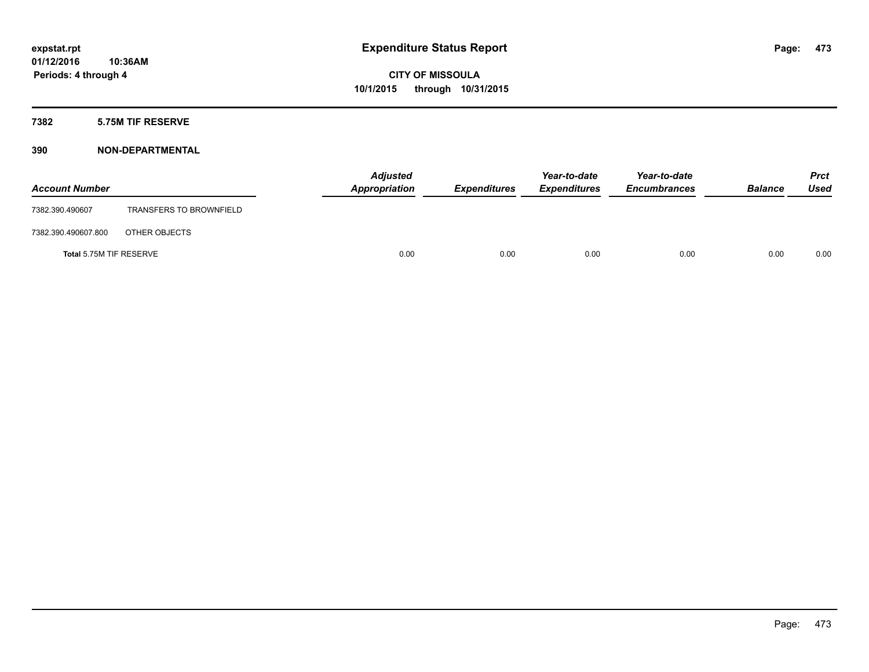## **7382 5.75M TIF RESERVE**

| <b>Account Number</b>   |                                | <b>Adjusted</b><br>Appropriation | <b>Expenditures</b> | Year-to-date<br><b>Expenditures</b> | Year-to-date<br><b>Encumbrances</b> | <b>Balance</b> | <b>Prct</b><br><b>Used</b> |
|-------------------------|--------------------------------|----------------------------------|---------------------|-------------------------------------|-------------------------------------|----------------|----------------------------|
| 7382.390.490607         | <b>TRANSFERS TO BROWNFIELD</b> |                                  |                     |                                     |                                     |                |                            |
| 7382.390.490607.800     | OTHER OBJECTS                  |                                  |                     |                                     |                                     |                |                            |
| Total 5.75M TIF RESERVE |                                | 0.00                             | 0.00                | 0.00                                | 0.00                                | 0.00           | 0.00                       |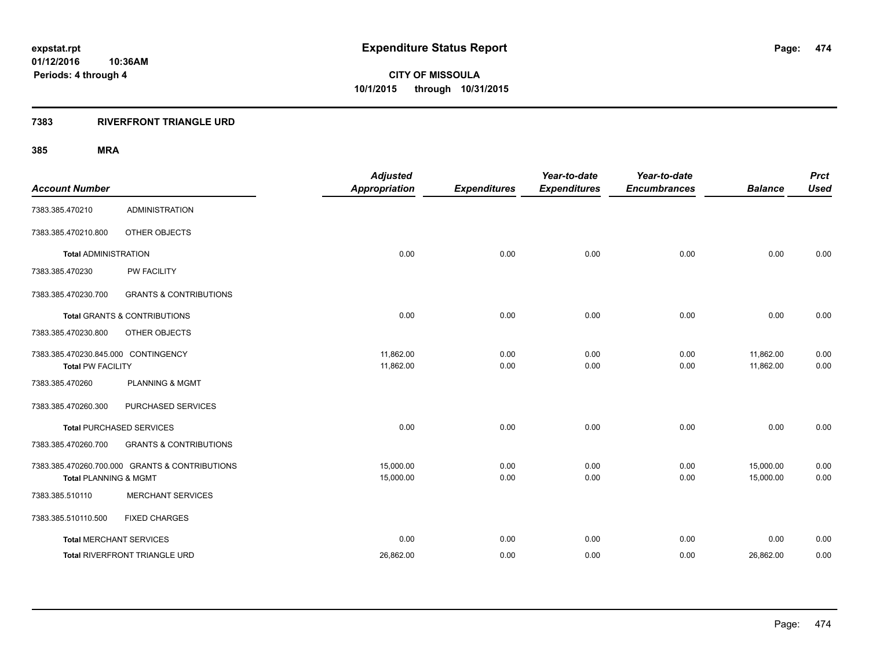## **7383 RIVERFRONT TRIANGLE URD**

| <b>Account Number</b>                                           |                                                | <b>Adjusted</b><br><b>Appropriation</b> | <b>Expenditures</b> | Year-to-date<br><b>Expenditures</b> | Year-to-date<br><b>Encumbrances</b> | <b>Balance</b>         | <b>Prct</b><br><b>Used</b> |
|-----------------------------------------------------------------|------------------------------------------------|-----------------------------------------|---------------------|-------------------------------------|-------------------------------------|------------------------|----------------------------|
| 7383.385.470210                                                 | <b>ADMINISTRATION</b>                          |                                         |                     |                                     |                                     |                        |                            |
| 7383.385.470210.800                                             | OTHER OBJECTS                                  |                                         |                     |                                     |                                     |                        |                            |
| <b>Total ADMINISTRATION</b>                                     |                                                | 0.00                                    | 0.00                | 0.00                                | 0.00                                | 0.00                   | 0.00                       |
| 7383.385.470230                                                 | <b>PW FACILITY</b>                             |                                         |                     |                                     |                                     |                        |                            |
| 7383.385.470230.700                                             | <b>GRANTS &amp; CONTRIBUTIONS</b>              |                                         |                     |                                     |                                     |                        |                            |
|                                                                 | <b>Total GRANTS &amp; CONTRIBUTIONS</b>        | 0.00                                    | 0.00                | 0.00                                | 0.00                                | 0.00                   | 0.00                       |
| 7383.385.470230.800                                             | OTHER OBJECTS                                  |                                         |                     |                                     |                                     |                        |                            |
| 7383.385.470230.845.000 CONTINGENCY<br><b>Total PW FACILITY</b> |                                                | 11,862.00<br>11,862.00                  | 0.00<br>0.00        | 0.00<br>0.00                        | 0.00<br>0.00                        | 11,862.00<br>11,862.00 | 0.00<br>0.00               |
| 7383.385.470260                                                 | <b>PLANNING &amp; MGMT</b>                     |                                         |                     |                                     |                                     |                        |                            |
| 7383.385.470260.300                                             | PURCHASED SERVICES                             |                                         |                     |                                     |                                     |                        |                            |
|                                                                 | <b>Total PURCHASED SERVICES</b>                | 0.00                                    | 0.00                | 0.00                                | 0.00                                | 0.00                   | 0.00                       |
| 7383.385.470260.700                                             | <b>GRANTS &amp; CONTRIBUTIONS</b>              |                                         |                     |                                     |                                     |                        |                            |
| <b>Total PLANNING &amp; MGMT</b>                                | 7383.385.470260.700.000 GRANTS & CONTRIBUTIONS | 15.000.00<br>15,000.00                  | 0.00<br>0.00        | 0.00<br>0.00                        | 0.00<br>0.00                        | 15,000.00<br>15,000.00 | 0.00<br>0.00               |
| 7383.385.510110                                                 | <b>MERCHANT SERVICES</b>                       |                                         |                     |                                     |                                     |                        |                            |
| 7383.385.510110.500                                             | <b>FIXED CHARGES</b>                           |                                         |                     |                                     |                                     |                        |                            |
| <b>Total MERCHANT SERVICES</b>                                  |                                                | 0.00                                    | 0.00                | 0.00                                | 0.00                                | 0.00                   | 0.00                       |
|                                                                 | Total RIVERFRONT TRIANGLE URD                  | 26,862.00                               | 0.00                | 0.00                                | 0.00                                | 26,862.00              | 0.00                       |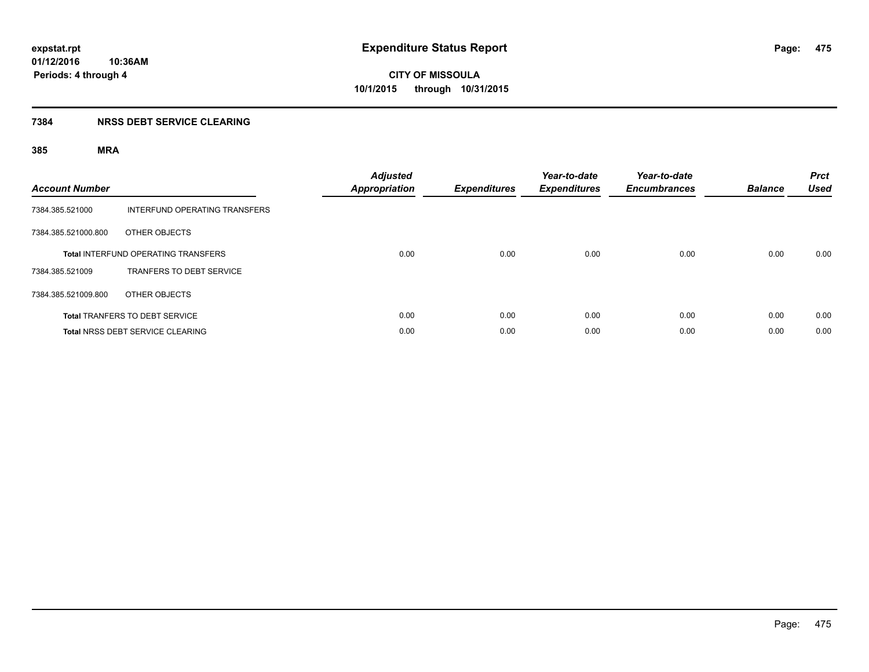## **7384 NRSS DEBT SERVICE CLEARING**

| <b>Account Number</b> |                                            | <b>Adjusted</b><br><b>Appropriation</b> | <b>Expenditures</b> | Year-to-date<br><b>Expenditures</b> | Year-to-date<br><b>Encumbrances</b> | <b>Balance</b> | <b>Prct</b><br><b>Used</b> |
|-----------------------|--------------------------------------------|-----------------------------------------|---------------------|-------------------------------------|-------------------------------------|----------------|----------------------------|
| 7384.385.521000       | INTERFUND OPERATING TRANSFERS              |                                         |                     |                                     |                                     |                |                            |
| 7384.385.521000.800   | OTHER OBJECTS                              |                                         |                     |                                     |                                     |                |                            |
|                       | <b>Total INTERFUND OPERATING TRANSFERS</b> | 0.00                                    | 0.00                | 0.00                                | 0.00                                | 0.00           | 0.00                       |
| 7384.385.521009       | <b>TRANFERS TO DEBT SERVICE</b>            |                                         |                     |                                     |                                     |                |                            |
| 7384.385.521009.800   | OTHER OBJECTS                              |                                         |                     |                                     |                                     |                |                            |
|                       | <b>Total TRANFERS TO DEBT SERVICE</b>      | 0.00                                    | 0.00                | 0.00                                | 0.00                                | 0.00           | 0.00                       |
|                       | Total NRSS DEBT SERVICE CLEARING           | 0.00                                    | 0.00                | 0.00                                | 0.00                                | 0.00           | 0.00                       |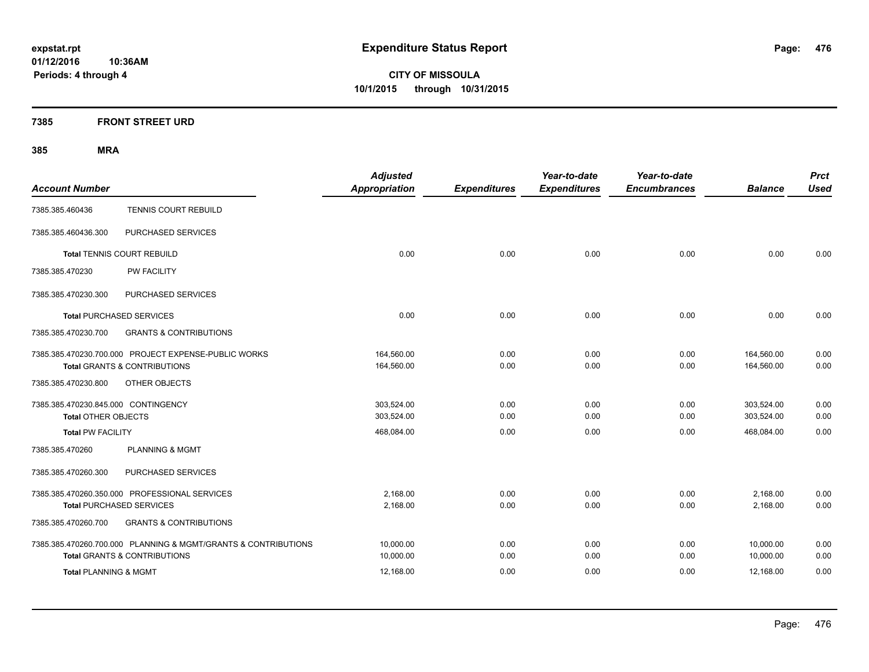**CITY OF MISSOULA 10/1/2015 through 10/31/2015**

## **7385 FRONT STREET URD**

| <b>Account Number</b>                                                                                     | <b>Adjusted</b><br><b>Appropriation</b> | <b>Expenditures</b> | Year-to-date<br><b>Expenditures</b> | Year-to-date<br><b>Encumbrances</b> | <b>Balance</b>           | <b>Prct</b><br><b>Used</b> |
|-----------------------------------------------------------------------------------------------------------|-----------------------------------------|---------------------|-------------------------------------|-------------------------------------|--------------------------|----------------------------|
| TENNIS COURT REBUILD<br>7385.385.460436                                                                   |                                         |                     |                                     |                                     |                          |                            |
| PURCHASED SERVICES<br>7385.385.460436.300                                                                 |                                         |                     |                                     |                                     |                          |                            |
| <b>Total TENNIS COURT REBUILD</b>                                                                         | 0.00                                    | 0.00                | 0.00                                | 0.00                                | 0.00                     | 0.00                       |
| PW FACILITY<br>7385.385.470230                                                                            |                                         |                     |                                     |                                     |                          |                            |
| PURCHASED SERVICES<br>7385.385.470230.300                                                                 |                                         |                     |                                     |                                     |                          |                            |
| <b>Total PURCHASED SERVICES</b>                                                                           | 0.00                                    | 0.00                | 0.00                                | 0.00                                | 0.00                     | 0.00                       |
| 7385.385.470230.700<br><b>GRANTS &amp; CONTRIBUTIONS</b>                                                  |                                         |                     |                                     |                                     |                          |                            |
| 7385.385.470230.700.000 PROJECT EXPENSE-PUBLIC WORKS<br><b>Total GRANTS &amp; CONTRIBUTIONS</b>           | 164,560.00<br>164,560.00                | 0.00<br>0.00        | 0.00<br>0.00                        | 0.00<br>0.00                        | 164,560.00<br>164,560.00 | 0.00<br>0.00               |
| 7385.385.470230.800<br>OTHER OBJECTS                                                                      |                                         |                     |                                     |                                     |                          |                            |
| 7385.385.470230.845.000 CONTINGENCY<br><b>Total OTHER OBJECTS</b>                                         | 303,524.00<br>303,524.00                | 0.00<br>0.00        | 0.00<br>0.00                        | 0.00<br>0.00                        | 303,524.00<br>303,524.00 | 0.00<br>0.00               |
| <b>Total PW FACILITY</b>                                                                                  | 468,084.00                              | 0.00                | 0.00                                | 0.00                                | 468,084.00               | 0.00                       |
| 7385.385.470260<br><b>PLANNING &amp; MGMT</b>                                                             |                                         |                     |                                     |                                     |                          |                            |
| PURCHASED SERVICES<br>7385.385.470260.300                                                                 |                                         |                     |                                     |                                     |                          |                            |
| 7385.385.470260.350.000 PROFESSIONAL SERVICES<br><b>Total PURCHASED SERVICES</b>                          | 2.168.00<br>2,168.00                    | 0.00<br>0.00        | 0.00<br>0.00                        | 0.00<br>0.00                        | 2,168.00<br>2,168.00     | 0.00<br>0.00               |
| <b>GRANTS &amp; CONTRIBUTIONS</b><br>7385.385.470260.700                                                  |                                         |                     |                                     |                                     |                          |                            |
| 7385.385.470260.700.000 PLANNING & MGMT/GRANTS & CONTRIBUTIONS<br><b>Total GRANTS &amp; CONTRIBUTIONS</b> | 10,000.00<br>10,000.00                  | 0.00<br>0.00        | 0.00<br>0.00                        | 0.00<br>0.00                        | 10,000.00<br>10,000.00   | 0.00<br>0.00               |
| <b>Total PLANNING &amp; MGMT</b>                                                                          | 12,168.00                               | 0.00                | 0.00                                | 0.00                                | 12,168.00                | 0.00                       |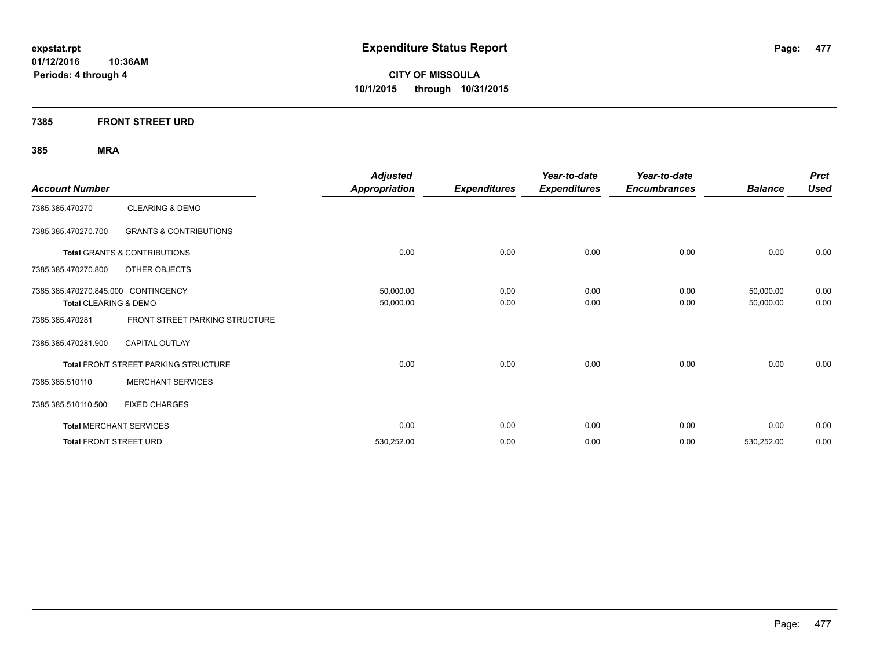**CITY OF MISSOULA 10/1/2015 through 10/31/2015**

## **7385 FRONT STREET URD**

| <b>Account Number</b>               |                                         | <b>Adjusted</b><br><b>Appropriation</b> | <b>Expenditures</b> | Year-to-date<br><b>Expenditures</b> | Year-to-date<br><b>Encumbrances</b> | <b>Balance</b> | <b>Prct</b><br><b>Used</b> |
|-------------------------------------|-----------------------------------------|-----------------------------------------|---------------------|-------------------------------------|-------------------------------------|----------------|----------------------------|
| 7385.385.470270                     | <b>CLEARING &amp; DEMO</b>              |                                         |                     |                                     |                                     |                |                            |
| 7385.385.470270.700                 | <b>GRANTS &amp; CONTRIBUTIONS</b>       |                                         |                     |                                     |                                     |                |                            |
|                                     | <b>Total GRANTS &amp; CONTRIBUTIONS</b> | 0.00                                    | 0.00                | 0.00                                | 0.00                                | 0.00           | 0.00                       |
| 7385.385.470270.800                 | OTHER OBJECTS                           |                                         |                     |                                     |                                     |                |                            |
| 7385.385.470270.845.000 CONTINGENCY |                                         | 50,000.00                               | 0.00                | 0.00                                | 0.00                                | 50,000.00      | 0.00                       |
| Total CLEARING & DEMO               |                                         | 50,000.00                               | 0.00                | 0.00                                | 0.00                                | 50,000.00      | 0.00                       |
| 7385.385.470281                     | FRONT STREET PARKING STRUCTURE          |                                         |                     |                                     |                                     |                |                            |
| 7385.385.470281.900                 | <b>CAPITAL OUTLAY</b>                   |                                         |                     |                                     |                                     |                |                            |
|                                     | Total FRONT STREET PARKING STRUCTURE    | 0.00                                    | 0.00                | 0.00                                | 0.00                                | 0.00           | 0.00                       |
| 7385.385.510110                     | <b>MERCHANT SERVICES</b>                |                                         |                     |                                     |                                     |                |                            |
| 7385.385.510110.500                 | <b>FIXED CHARGES</b>                    |                                         |                     |                                     |                                     |                |                            |
| <b>Total MERCHANT SERVICES</b>      |                                         | 0.00                                    | 0.00                | 0.00                                | 0.00                                | 0.00           | 0.00                       |
| <b>Total FRONT STREET URD</b>       |                                         | 530,252.00                              | 0.00                | 0.00                                | 0.00                                | 530,252.00     | 0.00                       |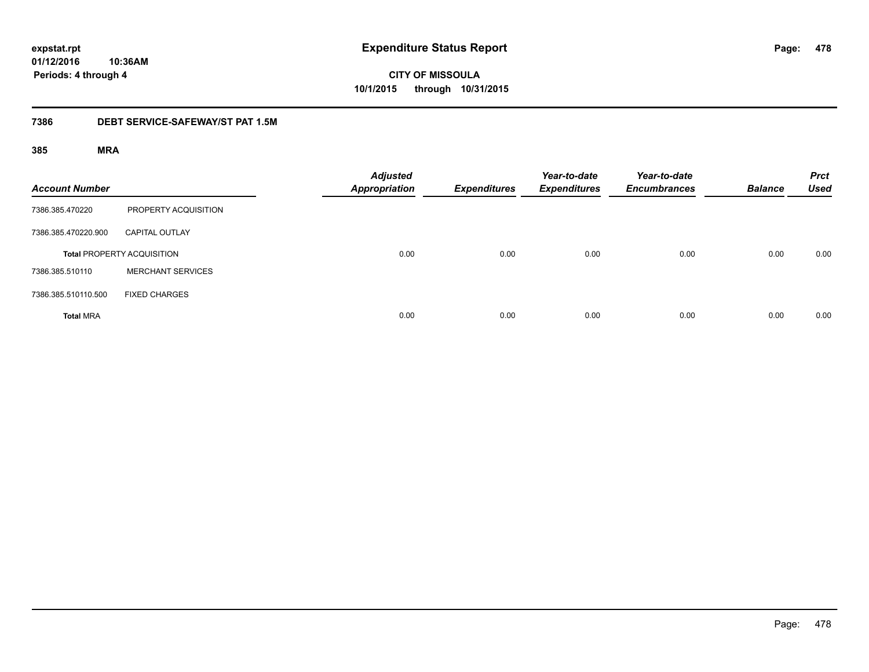# **CITY OF MISSOULA 10/1/2015 through 10/31/2015**

## **7386 DEBT SERVICE-SAFEWAY/ST PAT 1.5M**

| <b>Account Number</b> |                                   | <b>Adjusted</b><br><b>Appropriation</b> | <b>Expenditures</b> | Year-to-date<br><b>Expenditures</b> | Year-to-date<br><b>Encumbrances</b> | <b>Balance</b> | <b>Prct</b><br><b>Used</b> |
|-----------------------|-----------------------------------|-----------------------------------------|---------------------|-------------------------------------|-------------------------------------|----------------|----------------------------|
| 7386.385.470220       | PROPERTY ACQUISITION              |                                         |                     |                                     |                                     |                |                            |
| 7386.385.470220.900   | <b>CAPITAL OUTLAY</b>             |                                         |                     |                                     |                                     |                |                            |
|                       | <b>Total PROPERTY ACQUISITION</b> | 0.00                                    | 0.00                | 0.00                                | 0.00                                | 0.00           | 0.00                       |
| 7386.385.510110       | <b>MERCHANT SERVICES</b>          |                                         |                     |                                     |                                     |                |                            |
| 7386.385.510110.500   | <b>FIXED CHARGES</b>              |                                         |                     |                                     |                                     |                |                            |
| <b>Total MRA</b>      |                                   | 0.00                                    | 0.00                | 0.00                                | 0.00                                | 0.00           | 0.00                       |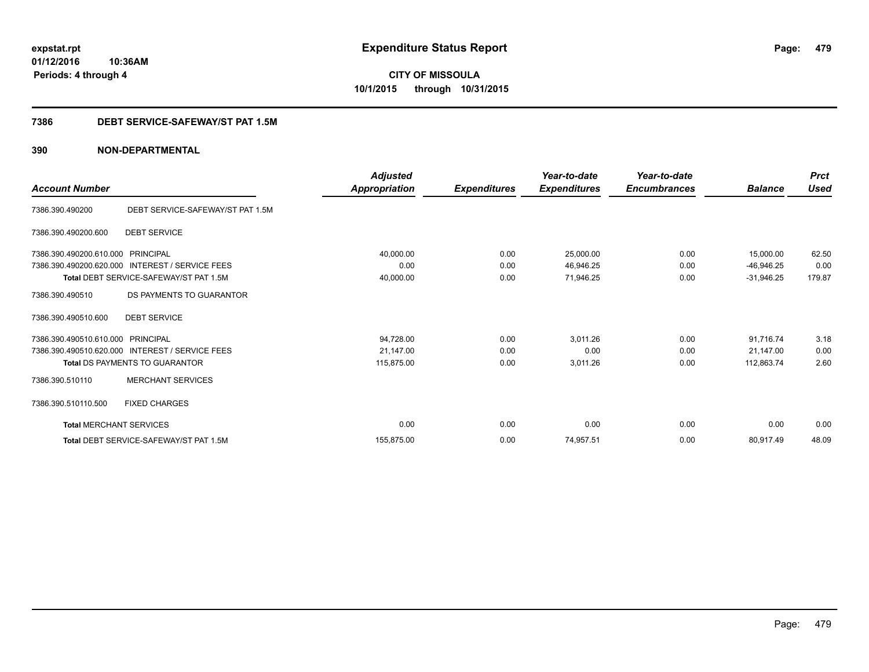**CITY OF MISSOULA 10/1/2015 through 10/31/2015**

## **7386 DEBT SERVICE-SAFEWAY/ST PAT 1.5M**

|                                |                                                 | <b>Adjusted</b> |                     | Year-to-date        | Year-to-date        |                | <b>Prct</b><br><b>Used</b> |
|--------------------------------|-------------------------------------------------|-----------------|---------------------|---------------------|---------------------|----------------|----------------------------|
| <b>Account Number</b>          |                                                 | Appropriation   | <b>Expenditures</b> | <b>Expenditures</b> | <b>Encumbrances</b> | <b>Balance</b> |                            |
| 7386.390.490200                | DEBT SERVICE-SAFEWAY/ST PAT 1.5M                |                 |                     |                     |                     |                |                            |
| 7386.390.490200.600            | <b>DEBT SERVICE</b>                             |                 |                     |                     |                     |                |                            |
| 7386.390.490200.610.000        | PRINCIPAL                                       | 40,000.00       | 0.00                | 25,000.00           | 0.00                | 15,000.00      | 62.50                      |
| 7386.390.490200.620.000        | <b>INTEREST / SERVICE FEES</b>                  | 0.00            | 0.00                | 46,946.25           | 0.00                | $-46,946.25$   | 0.00                       |
|                                | Total DEBT SERVICE-SAFEWAY/ST PAT 1.5M          | 40,000.00       | 0.00                | 71,946.25           | 0.00                | $-31,946.25$   | 179.87                     |
| 7386.390.490510                | DS PAYMENTS TO GUARANTOR                        |                 |                     |                     |                     |                |                            |
| 7386.390.490510.600            | <b>DEBT SERVICE</b>                             |                 |                     |                     |                     |                |                            |
| 7386.390.490510.610.000        | PRINCIPAL                                       | 94,728.00       | 0.00                | 3,011.26            | 0.00                | 91,716.74      | 3.18                       |
|                                | 7386.390.490510.620.000 INTEREST / SERVICE FEES | 21,147.00       | 0.00                | 0.00                | 0.00                | 21.147.00      | 0.00                       |
|                                | <b>Total DS PAYMENTS TO GUARANTOR</b>           | 115,875.00      | 0.00                | 3,011.26            | 0.00                | 112,863.74     | 2.60                       |
| 7386.390.510110                | <b>MERCHANT SERVICES</b>                        |                 |                     |                     |                     |                |                            |
| 7386.390.510110.500            | <b>FIXED CHARGES</b>                            |                 |                     |                     |                     |                |                            |
| <b>Total MERCHANT SERVICES</b> |                                                 | 0.00            | 0.00                | 0.00                | 0.00                | 0.00           | 0.00                       |
|                                | Total DEBT SERVICE-SAFEWAY/ST PAT 1.5M          | 155.875.00      | 0.00                | 74,957.51           | 0.00                | 80,917.49      | 48.09                      |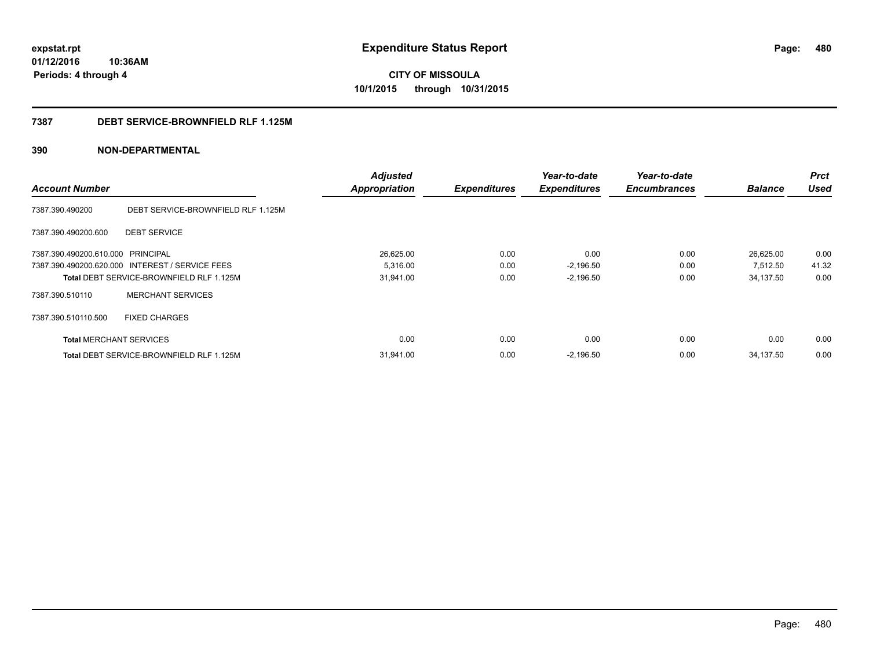**CITY OF MISSOULA 10/1/2015 through 10/31/2015**

### **7387 DEBT SERVICE-BROWNFIELD RLF 1.125M**

|                                   |                                                 | <b>Adjusted</b>      |                     | Year-to-date        | Year-to-date        |                | <b>Prct</b> |
|-----------------------------------|-------------------------------------------------|----------------------|---------------------|---------------------|---------------------|----------------|-------------|
| <b>Account Number</b>             |                                                 | <b>Appropriation</b> | <b>Expenditures</b> | <b>Expenditures</b> | <b>Encumbrances</b> | <b>Balance</b> | <b>Used</b> |
| 7387.390.490200                   | DEBT SERVICE-BROWNFIELD RLF 1.125M              |                      |                     |                     |                     |                |             |
| 7387.390.490200.600               | <b>DEBT SERVICE</b>                             |                      |                     |                     |                     |                |             |
| 7387.390.490200.610.000 PRINCIPAL |                                                 | 26,625.00            | 0.00                | 0.00                | 0.00                | 26,625.00      | 0.00        |
|                                   | 7387.390.490200.620.000 INTEREST / SERVICE FEES | 5,316.00             | 0.00                | $-2,196.50$         | 0.00                | 7,512.50       | 41.32       |
|                                   | Total DEBT SERVICE-BROWNFIELD RLF 1.125M        | 31,941.00            | 0.00                | $-2,196.50$         | 0.00                | 34,137.50      | 0.00        |
| 7387.390.510110                   | <b>MERCHANT SERVICES</b>                        |                      |                     |                     |                     |                |             |
| 7387.390.510110.500               | <b>FIXED CHARGES</b>                            |                      |                     |                     |                     |                |             |
| <b>Total MERCHANT SERVICES</b>    |                                                 | 0.00                 | 0.00                | 0.00                | 0.00                | 0.00           | 0.00        |
|                                   | <b>Total DEBT SERVICE-BROWNFIELD RLF 1.125M</b> | 31,941.00            | 0.00                | $-2,196.50$         | 0.00                | 34,137.50      | 0.00        |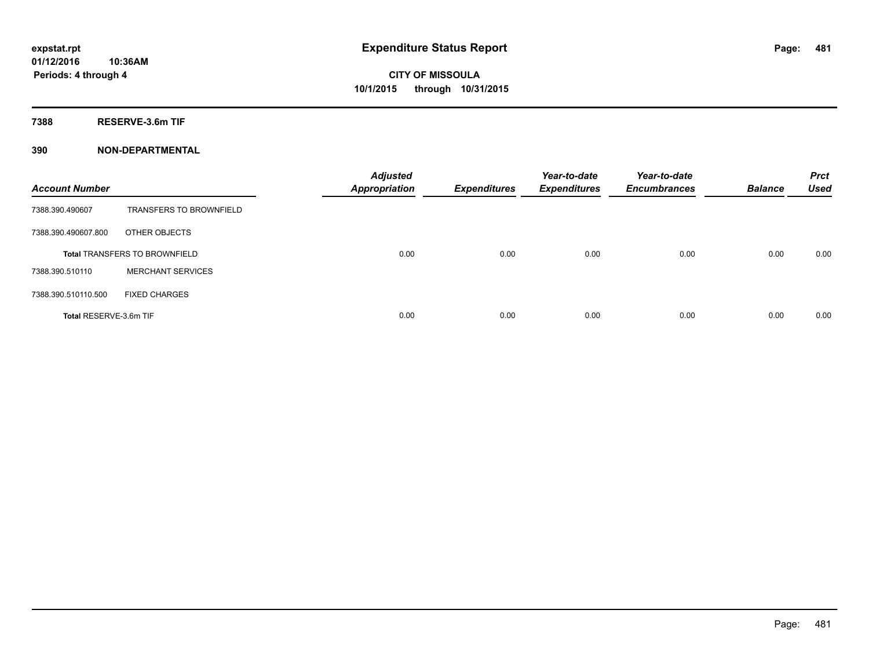**7388 RESERVE-3.6m TIF**

| <b>Account Number</b>  |                                      | <b>Adjusted</b><br><b>Appropriation</b> | <b>Expenditures</b> | Year-to-date<br><b>Expenditures</b> | Year-to-date<br><b>Encumbrances</b> | <b>Balance</b> | <b>Prct</b><br><b>Used</b> |
|------------------------|--------------------------------------|-----------------------------------------|---------------------|-------------------------------------|-------------------------------------|----------------|----------------------------|
| 7388.390.490607        | <b>TRANSFERS TO BROWNFIELD</b>       |                                         |                     |                                     |                                     |                |                            |
| 7388.390.490607.800    | OTHER OBJECTS                        |                                         |                     |                                     |                                     |                |                            |
|                        | <b>Total TRANSFERS TO BROWNFIELD</b> | 0.00                                    | 0.00                | 0.00                                | 0.00                                | 0.00           | 0.00                       |
| 7388.390.510110        | <b>MERCHANT SERVICES</b>             |                                         |                     |                                     |                                     |                |                            |
| 7388.390.510110.500    | <b>FIXED CHARGES</b>                 |                                         |                     |                                     |                                     |                |                            |
| Total RESERVE-3.6m TIF |                                      | 0.00                                    | 0.00                | 0.00                                | 0.00                                | 0.00           | 0.00                       |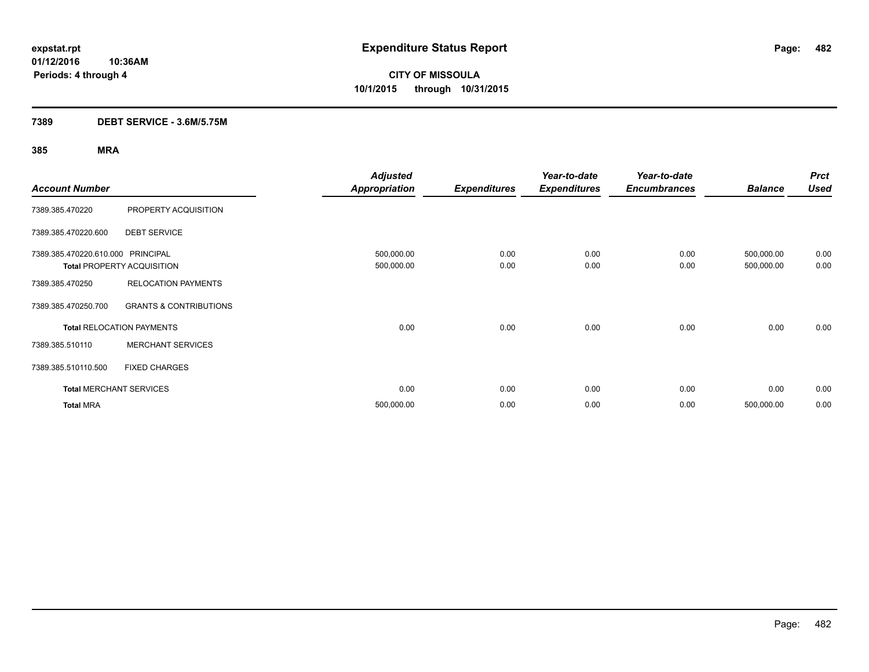**Periods: 4 through 4**

**CITY OF MISSOULA 10/1/2015 through 10/31/2015**

## **7389 DEBT SERVICE - 3.6M/5.75M**

| <b>Account Number</b>             |                                   | <b>Adjusted</b><br><b>Appropriation</b> | <b>Expenditures</b> | Year-to-date<br><b>Expenditures</b> | Year-to-date<br><b>Encumbrances</b> | <b>Balance</b>           | <b>Prct</b><br><b>Used</b> |
|-----------------------------------|-----------------------------------|-----------------------------------------|---------------------|-------------------------------------|-------------------------------------|--------------------------|----------------------------|
| 7389.385.470220                   | PROPERTY ACQUISITION              |                                         |                     |                                     |                                     |                          |                            |
| 7389.385.470220.600               | <b>DEBT SERVICE</b>               |                                         |                     |                                     |                                     |                          |                            |
| 7389.385.470220.610.000 PRINCIPAL | <b>Total PROPERTY ACQUISITION</b> | 500,000.00<br>500,000.00                | 0.00<br>0.00        | 0.00<br>0.00                        | 0.00<br>0.00                        | 500,000.00<br>500,000.00 | 0.00<br>0.00               |
| 7389.385.470250                   | <b>RELOCATION PAYMENTS</b>        |                                         |                     |                                     |                                     |                          |                            |
| 7389.385.470250.700               | <b>GRANTS &amp; CONTRIBUTIONS</b> |                                         |                     |                                     |                                     |                          |                            |
|                                   | <b>Total RELOCATION PAYMENTS</b>  | 0.00                                    | 0.00                | 0.00                                | 0.00                                | 0.00                     | 0.00                       |
| 7389.385.510110                   | <b>MERCHANT SERVICES</b>          |                                         |                     |                                     |                                     |                          |                            |
| 7389.385.510110.500               | <b>FIXED CHARGES</b>              |                                         |                     |                                     |                                     |                          |                            |
|                                   | <b>Total MERCHANT SERVICES</b>    | 0.00                                    | 0.00                | 0.00                                | 0.00                                | 0.00                     | 0.00                       |
| <b>Total MRA</b>                  |                                   | 500,000.00                              | 0.00                | 0.00                                | 0.00                                | 500,000.00               | 0.00                       |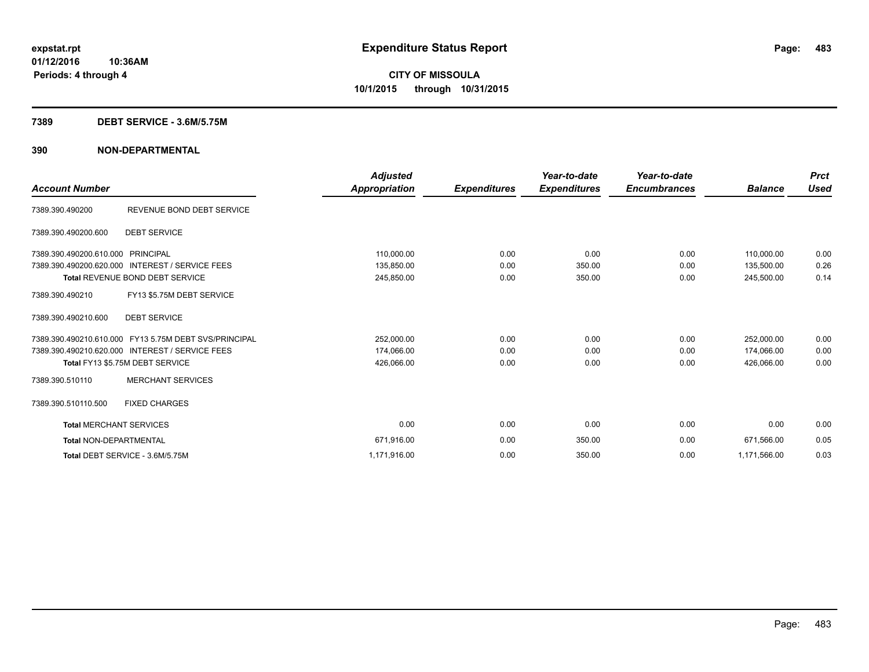### **7389 DEBT SERVICE - 3.6M/5.75M**

|                                   |                                                       | <b>Adjusted</b> |                     | Year-to-date        | Year-to-date        |                | <b>Prct</b> |
|-----------------------------------|-------------------------------------------------------|-----------------|---------------------|---------------------|---------------------|----------------|-------------|
| <b>Account Number</b>             |                                                       | Appropriation   | <b>Expenditures</b> | <b>Expenditures</b> | <b>Encumbrances</b> | <b>Balance</b> | <b>Used</b> |
| 7389.390.490200                   | REVENUE BOND DEBT SERVICE                             |                 |                     |                     |                     |                |             |
| 7389.390.490200.600               | <b>DEBT SERVICE</b>                                   |                 |                     |                     |                     |                |             |
| 7389.390.490200.610.000 PRINCIPAL |                                                       | 110,000.00      | 0.00                | 0.00                | 0.00                | 110,000.00     | 0.00        |
|                                   | 7389.390.490200.620.000 INTEREST / SERVICE FEES       | 135,850.00      | 0.00                | 350.00              | 0.00                | 135,500.00     | 0.26        |
|                                   | <b>Total REVENUE BOND DEBT SERVICE</b>                | 245,850.00      | 0.00                | 350.00              | 0.00                | 245,500.00     | 0.14        |
| 7389.390.490210                   | FY13 \$5.75M DEBT SERVICE                             |                 |                     |                     |                     |                |             |
| 7389.390.490210.600               | <b>DEBT SERVICE</b>                                   |                 |                     |                     |                     |                |             |
|                                   | 7389.390.490210.610.000 FY13 5.75M DEBT SVS/PRINCIPAL | 252,000.00      | 0.00                | 0.00                | 0.00                | 252,000.00     | 0.00        |
|                                   | 7389.390.490210.620.000 INTEREST / SERVICE FEES       | 174,066.00      | 0.00                | 0.00                | 0.00                | 174,066.00     | 0.00        |
|                                   | Total FY13 \$5.75M DEBT SERVICE                       | 426,066.00      | 0.00                | 0.00                | 0.00                | 426.066.00     | 0.00        |
| 7389.390.510110                   | <b>MERCHANT SERVICES</b>                              |                 |                     |                     |                     |                |             |
| 7389.390.510110.500               | <b>FIXED CHARGES</b>                                  |                 |                     |                     |                     |                |             |
| <b>Total MERCHANT SERVICES</b>    |                                                       | 0.00            | 0.00                | 0.00                | 0.00                | 0.00           | 0.00        |
| <b>Total NON-DEPARTMENTAL</b>     |                                                       | 671,916.00      | 0.00                | 350.00              | 0.00                | 671,566.00     | 0.05        |
|                                   | Total DEBT SERVICE - 3.6M/5.75M                       | 1,171,916.00    | 0.00                | 350.00              | 0.00                | 1,171,566.00   | 0.03        |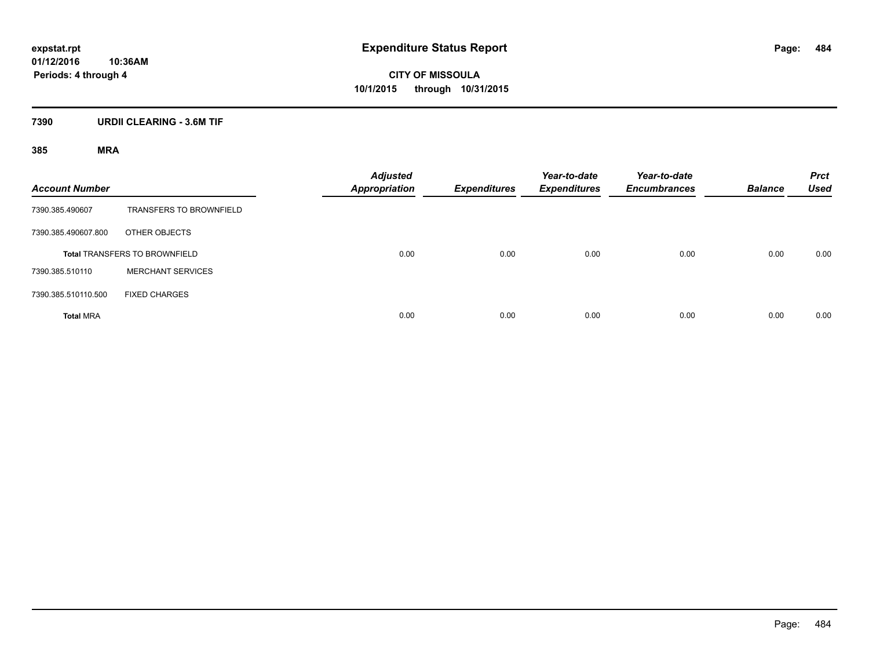**CITY OF MISSOULA 10/1/2015 through 10/31/2015**

## **7390 URDII CLEARING - 3.6M TIF**

| <b>Account Number</b> |                                      | <b>Adjusted</b><br><b>Appropriation</b> | <b>Expenditures</b> | Year-to-date<br><b>Expenditures</b> | Year-to-date<br><b>Encumbrances</b> | <b>Balance</b> | <b>Prct</b><br><b>Used</b> |
|-----------------------|--------------------------------------|-----------------------------------------|---------------------|-------------------------------------|-------------------------------------|----------------|----------------------------|
| 7390.385.490607       | <b>TRANSFERS TO BROWNFIELD</b>       |                                         |                     |                                     |                                     |                |                            |
| 7390.385.490607.800   | OTHER OBJECTS                        |                                         |                     |                                     |                                     |                |                            |
|                       | <b>Total TRANSFERS TO BROWNFIELD</b> | 0.00                                    | 0.00                | 0.00                                | 0.00                                | 0.00           | 0.00                       |
| 7390.385.510110       | <b>MERCHANT SERVICES</b>             |                                         |                     |                                     |                                     |                |                            |
| 7390.385.510110.500   | <b>FIXED CHARGES</b>                 |                                         |                     |                                     |                                     |                |                            |
| <b>Total MRA</b>      |                                      | 0.00                                    | 0.00                | 0.00                                | 0.00                                | 0.00           | 0.00                       |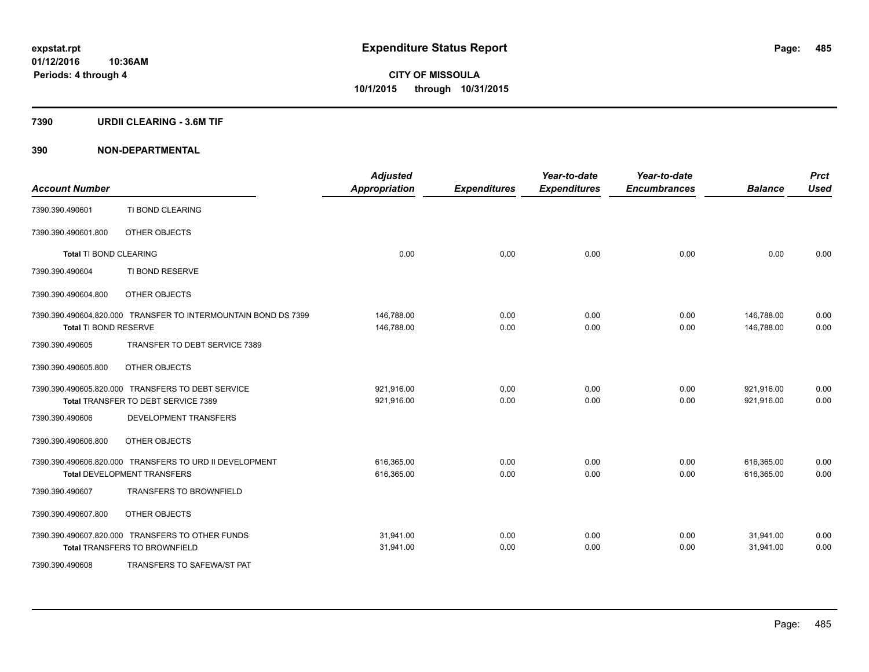### **7390 URDII CLEARING - 3.6M TIF**

| <b>Account Number</b>         |                                                                | <b>Adjusted</b><br><b>Appropriation</b> | <b>Expenditures</b> | Year-to-date<br><b>Expenditures</b> | Year-to-date<br><b>Encumbrances</b> | <b>Balance</b> | <b>Prct</b><br><b>Used</b> |
|-------------------------------|----------------------------------------------------------------|-----------------------------------------|---------------------|-------------------------------------|-------------------------------------|----------------|----------------------------|
| 7390.390.490601               | TI BOND CLEARING                                               |                                         |                     |                                     |                                     |                |                            |
| 7390.390.490601.800           | OTHER OBJECTS                                                  |                                         |                     |                                     |                                     |                |                            |
| <b>Total TI BOND CLEARING</b> |                                                                | 0.00                                    | 0.00                | 0.00                                | 0.00                                | 0.00           | 0.00                       |
| 7390.390.490604               | TI BOND RESERVE                                                |                                         |                     |                                     |                                     |                |                            |
| 7390.390.490604.800           | OTHER OBJECTS                                                  |                                         |                     |                                     |                                     |                |                            |
|                               | 7390.390.490604.820.000 TRANSFER TO INTERMOUNTAIN BOND DS 7399 | 146,788.00                              | 0.00                | 0.00                                | 0.00                                | 146,788.00     | 0.00                       |
| Total TI BOND RESERVE         |                                                                | 146,788.00                              | 0.00                | 0.00                                | 0.00                                | 146,788.00     | 0.00                       |
| 7390.390.490605               | TRANSFER TO DEBT SERVICE 7389                                  |                                         |                     |                                     |                                     |                |                            |
| 7390.390.490605.800           | OTHER OBJECTS                                                  |                                         |                     |                                     |                                     |                |                            |
|                               | 7390.390.490605.820.000 TRANSFERS TO DEBT SERVICE              | 921,916.00                              | 0.00                | 0.00                                | 0.00                                | 921,916.00     | 0.00                       |
|                               | Total TRANSFER TO DEBT SERVICE 7389                            | 921,916.00                              | 0.00                | 0.00                                | 0.00                                | 921,916.00     | 0.00                       |
| 7390.390.490606               | DEVELOPMENT TRANSFERS                                          |                                         |                     |                                     |                                     |                |                            |
| 7390.390.490606.800           | OTHER OBJECTS                                                  |                                         |                     |                                     |                                     |                |                            |
|                               | 7390.390.490606.820.000 TRANSFERS TO URD II DEVELOPMENT        | 616,365.00                              | 0.00                | 0.00                                | 0.00                                | 616,365.00     | 0.00                       |
|                               | <b>Total DEVELOPMENT TRANSFERS</b>                             | 616,365.00                              | 0.00                | 0.00                                | 0.00                                | 616,365.00     | 0.00                       |
| 7390.390.490607               | <b>TRANSFERS TO BROWNFIELD</b>                                 |                                         |                     |                                     |                                     |                |                            |
| 7390.390.490607.800           | OTHER OBJECTS                                                  |                                         |                     |                                     |                                     |                |                            |
|                               | 7390.390.490607.820.000 TRANSFERS TO OTHER FUNDS               | 31,941.00                               | 0.00                | 0.00                                | 0.00                                | 31,941.00      | 0.00                       |
|                               | <b>Total TRANSFERS TO BROWNFIELD</b>                           | 31,941.00                               | 0.00                | 0.00                                | 0.00                                | 31,941.00      | 0.00                       |
| 7390.390.490608               | TRANSFERS TO SAFEWA/ST PAT                                     |                                         |                     |                                     |                                     |                |                            |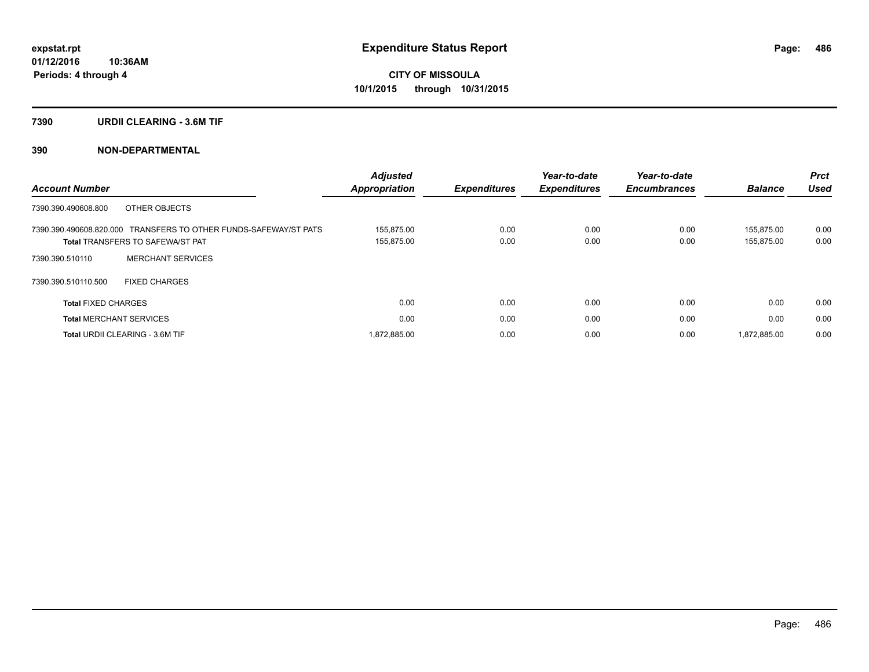### **7390 URDII CLEARING - 3.6M TIF**

| <b>Account Number</b>                                                                                       | <b>Adjusted</b><br>Appropriation | <b>Expenditures</b> | Year-to-date<br><b>Expenditures</b> | Year-to-date<br><b>Encumbrances</b> | <b>Balance</b>           | Prct<br><b>Used</b> |
|-------------------------------------------------------------------------------------------------------------|----------------------------------|---------------------|-------------------------------------|-------------------------------------|--------------------------|---------------------|
| OTHER OBJECTS<br>7390.390.490608.800                                                                        |                                  |                     |                                     |                                     |                          |                     |
| 7390.390.490608.820.000 TRANSFERS TO OTHER FUNDS-SAFEWAY/ST PATS<br><b>Total TRANSFERS TO SAFEWA/ST PAT</b> | 155.875.00<br>155,875.00         | 0.00<br>0.00        | 0.00<br>0.00                        | 0.00<br>0.00                        | 155.875.00<br>155,875.00 | 0.00<br>0.00        |
| <b>MERCHANT SERVICES</b><br>7390.390.510110                                                                 |                                  |                     |                                     |                                     |                          |                     |
| 7390.390.510110.500<br><b>FIXED CHARGES</b>                                                                 |                                  |                     |                                     |                                     |                          |                     |
| <b>Total FIXED CHARGES</b>                                                                                  | 0.00                             | 0.00                | 0.00                                | 0.00                                | 0.00                     | 0.00                |
| <b>Total MERCHANT SERVICES</b>                                                                              | 0.00                             | 0.00                | 0.00                                | 0.00                                | 0.00                     | 0.00                |
| <b>Total URDII CLEARING - 3.6M TIF</b>                                                                      | 1,872,885.00                     | 0.00                | 0.00                                | 0.00                                | 1,872,885.00             | 0.00                |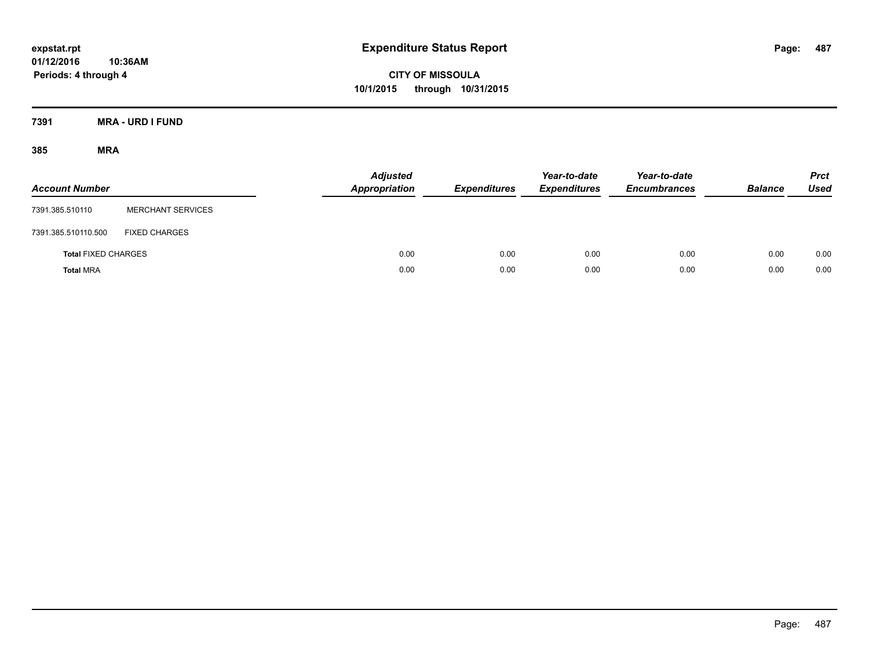**CITY OF MISSOULA 10/1/2015 through 10/31/2015**

**7391 MRA - URD I FUND**

| <b>Account Number</b>      |                          | <b>Adjusted</b><br><b>Appropriation</b> | <b>Expenditures</b> | Year-to-date<br><b>Expenditures</b> | Year-to-date<br><b>Encumbrances</b> | <b>Balance</b> | <b>Prct</b><br><b>Used</b> |
|----------------------------|--------------------------|-----------------------------------------|---------------------|-------------------------------------|-------------------------------------|----------------|----------------------------|
| 7391.385.510110            | <b>MERCHANT SERVICES</b> |                                         |                     |                                     |                                     |                |                            |
| 7391.385.510110.500        | <b>FIXED CHARGES</b>     |                                         |                     |                                     |                                     |                |                            |
| <b>Total FIXED CHARGES</b> |                          | 0.00                                    | 0.00                | 0.00                                | 0.00                                | 0.00           | 0.00                       |
| <b>Total MRA</b>           |                          | 0.00                                    | 0.00                | 0.00                                | 0.00                                | 0.00           | 0.00                       |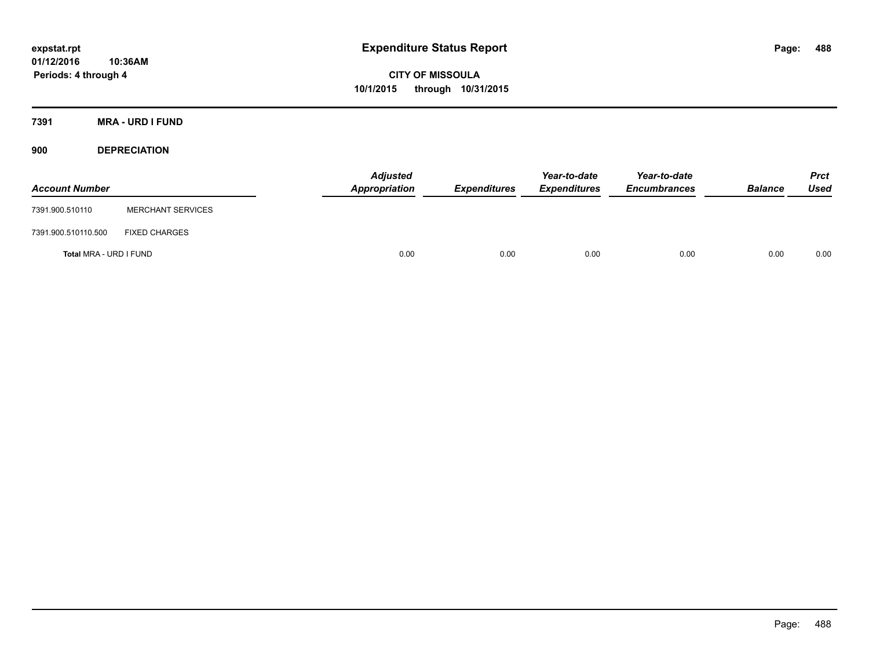**CITY OF MISSOULA 10/1/2015 through 10/31/2015**

**7391 MRA - URD I FUND**

**900 DEPRECIATION**

| <b>Account Number</b>  |                          | <b>Adjusted</b><br>Appropriation | <b>Expenditures</b> | Year-to-date<br><b>Expenditures</b> | Year-to-date<br><b>Encumbrances</b> | <b>Balance</b> | <b>Prct</b><br>Used |
|------------------------|--------------------------|----------------------------------|---------------------|-------------------------------------|-------------------------------------|----------------|---------------------|
| 7391.900.510110        | <b>MERCHANT SERVICES</b> |                                  |                     |                                     |                                     |                |                     |
| 7391.900.510110.500    | <b>FIXED CHARGES</b>     |                                  |                     |                                     |                                     |                |                     |
| Total MRA - URD I FUND |                          | 0.00                             | 0.00                | 0.00                                | 0.00                                | 0.00           | 0.00                |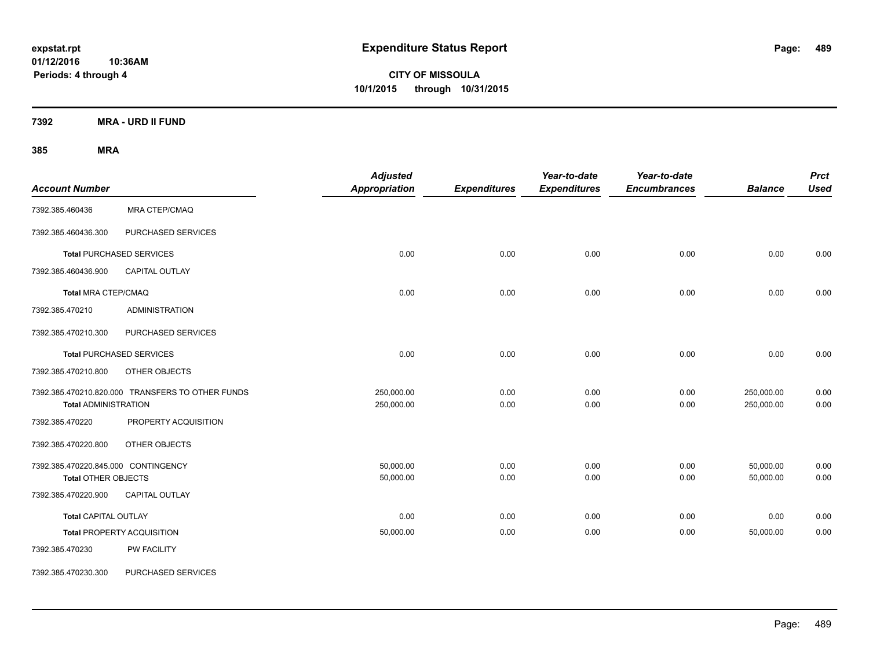**CITY OF MISSOULA 10/1/2015 through 10/31/2015**

**7392 MRA - URD II FUND**

| <b>Account Number</b>                                             |                                                  | <b>Adjusted</b><br>Appropriation | <b>Expenditures</b> | Year-to-date<br><b>Expenditures</b> | Year-to-date<br><b>Encumbrances</b> | <b>Balance</b>           | <b>Prct</b><br><b>Used</b> |
|-------------------------------------------------------------------|--------------------------------------------------|----------------------------------|---------------------|-------------------------------------|-------------------------------------|--------------------------|----------------------------|
| 7392.385.460436                                                   | <b>MRA CTEP/CMAQ</b>                             |                                  |                     |                                     |                                     |                          |                            |
| 7392.385.460436.300                                               | PURCHASED SERVICES                               |                                  |                     |                                     |                                     |                          |                            |
|                                                                   | <b>Total PURCHASED SERVICES</b>                  | 0.00                             | 0.00                | 0.00                                | 0.00                                | 0.00                     | 0.00                       |
| 7392.385.460436.900                                               | <b>CAPITAL OUTLAY</b>                            |                                  |                     |                                     |                                     |                          |                            |
| <b>Total MRA CTEP/CMAQ</b>                                        |                                                  | 0.00                             | 0.00                | 0.00                                | 0.00                                | 0.00                     | 0.00                       |
| 7392.385.470210                                                   | <b>ADMINISTRATION</b>                            |                                  |                     |                                     |                                     |                          |                            |
| 7392.385.470210.300                                               | PURCHASED SERVICES                               |                                  |                     |                                     |                                     |                          |                            |
|                                                                   | <b>Total PURCHASED SERVICES</b>                  | 0.00                             | 0.00                | 0.00                                | 0.00                                | 0.00                     | 0.00                       |
| 7392.385.470210.800                                               | OTHER OBJECTS                                    |                                  |                     |                                     |                                     |                          |                            |
| <b>Total ADMINISTRATION</b>                                       | 7392.385.470210.820.000 TRANSFERS TO OTHER FUNDS | 250,000.00<br>250,000.00         | 0.00<br>0.00        | 0.00<br>0.00                        | 0.00<br>0.00                        | 250,000.00<br>250,000.00 | 0.00<br>0.00               |
| 7392.385.470220                                                   | PROPERTY ACQUISITION                             |                                  |                     |                                     |                                     |                          |                            |
| 7392.385.470220.800                                               | OTHER OBJECTS                                    |                                  |                     |                                     |                                     |                          |                            |
| 7392.385.470220.845.000 CONTINGENCY<br><b>Total OTHER OBJECTS</b> |                                                  | 50,000.00<br>50,000.00           | 0.00<br>0.00        | 0.00<br>0.00                        | 0.00<br>0.00                        | 50,000.00<br>50,000.00   | 0.00<br>0.00               |
| 7392.385.470220.900                                               | <b>CAPITAL OUTLAY</b>                            |                                  |                     |                                     |                                     |                          |                            |
| <b>Total CAPITAL OUTLAY</b>                                       |                                                  | 0.00                             | 0.00                | 0.00                                | 0.00                                | 0.00                     | 0.00                       |
|                                                                   | <b>Total PROPERTY ACQUISITION</b>                | 50,000.00                        | 0.00                | 0.00                                | 0.00                                | 50,000.00                | 0.00                       |
| 7392.385.470230                                                   | PW FACILITY                                      |                                  |                     |                                     |                                     |                          |                            |
| 7392.385.470230.300                                               | PURCHASED SERVICES                               |                                  |                     |                                     |                                     |                          |                            |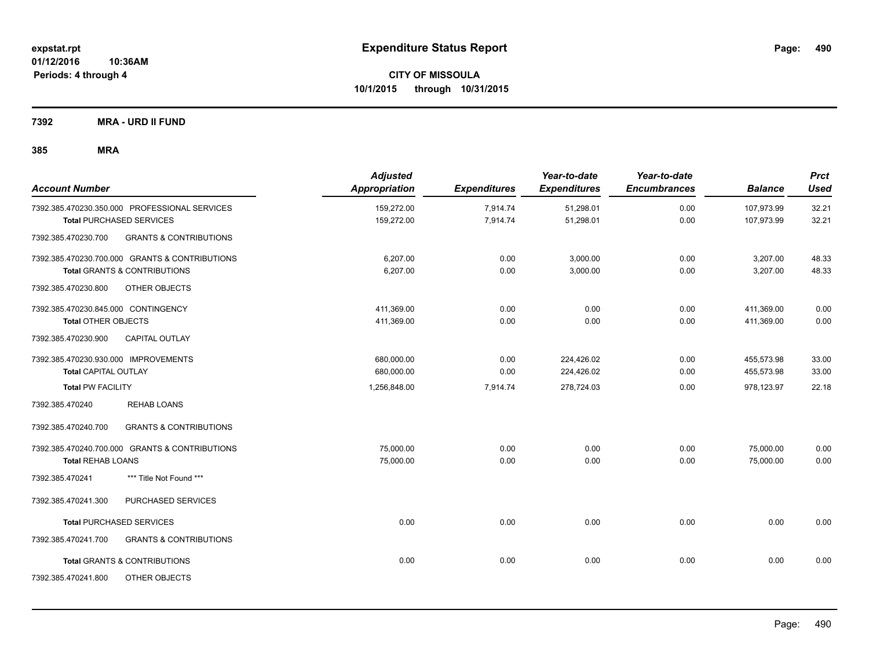**7392 MRA - URD II FUND**

| <b>Account Number</b>                                    | <b>Adjusted</b><br>Appropriation | <b>Expenditures</b> | Year-to-date<br><b>Expenditures</b> | Year-to-date<br><b>Encumbrances</b> | <b>Balance</b> | <b>Prct</b><br><b>Used</b> |
|----------------------------------------------------------|----------------------------------|---------------------|-------------------------------------|-------------------------------------|----------------|----------------------------|
| 7392.385.470230.350.000 PROFESSIONAL SERVICES            | 159,272.00                       | 7,914.74            | 51,298.01                           | 0.00                                | 107,973.99     | 32.21                      |
| <b>Total PURCHASED SERVICES</b>                          | 159,272.00                       | 7,914.74            | 51,298.01                           | 0.00                                | 107,973.99     | 32.21                      |
| <b>GRANTS &amp; CONTRIBUTIONS</b><br>7392.385.470230.700 |                                  |                     |                                     |                                     |                |                            |
| 7392.385.470230.700.000 GRANTS & CONTRIBUTIONS           | 6,207.00                         | 0.00                | 3,000.00                            | 0.00                                | 3,207.00       | 48.33                      |
| <b>Total GRANTS &amp; CONTRIBUTIONS</b>                  | 6,207.00                         | 0.00                | 3,000.00                            | 0.00                                | 3,207.00       | 48.33                      |
| 7392.385.470230.800<br>OTHER OBJECTS                     |                                  |                     |                                     |                                     |                |                            |
| 7392.385.470230.845.000 CONTINGENCY                      | 411,369.00                       | 0.00                | 0.00                                | 0.00                                | 411,369.00     | 0.00                       |
| <b>Total OTHER OBJECTS</b>                               | 411,369.00                       | 0.00                | 0.00                                | 0.00                                | 411,369.00     | 0.00                       |
| <b>CAPITAL OUTLAY</b><br>7392.385.470230.900             |                                  |                     |                                     |                                     |                |                            |
| 7392.385.470230.930.000 IMPROVEMENTS                     | 680,000.00                       | 0.00                | 224,426.02                          | 0.00                                | 455,573.98     | 33.00                      |
| <b>Total CAPITAL OUTLAY</b>                              | 680,000.00                       | 0.00                | 224,426.02                          | 0.00                                | 455,573.98     | 33.00                      |
| <b>Total PW FACILITY</b>                                 | 1,256,848.00                     | 7,914.74            | 278,724.03                          | 0.00                                | 978,123.97     | 22.18                      |
| <b>REHAB LOANS</b><br>7392.385.470240                    |                                  |                     |                                     |                                     |                |                            |
| 7392.385.470240.700<br><b>GRANTS &amp; CONTRIBUTIONS</b> |                                  |                     |                                     |                                     |                |                            |
| 7392.385.470240.700.000 GRANTS & CONTRIBUTIONS           | 75.000.00                        | 0.00                | 0.00                                | 0.00                                | 75,000.00      | 0.00                       |
| <b>Total REHAB LOANS</b>                                 | 75,000.00                        | 0.00                | 0.00                                | 0.00                                | 75,000.00      | 0.00                       |
| 7392.385.470241<br>*** Title Not Found ***               |                                  |                     |                                     |                                     |                |                            |
| PURCHASED SERVICES<br>7392.385.470241.300                |                                  |                     |                                     |                                     |                |                            |
| <b>Total PURCHASED SERVICES</b>                          | 0.00                             | 0.00                | 0.00                                | 0.00                                | 0.00           | 0.00                       |
| <b>GRANTS &amp; CONTRIBUTIONS</b><br>7392.385.470241.700 |                                  |                     |                                     |                                     |                |                            |
| <b>Total GRANTS &amp; CONTRIBUTIONS</b>                  | 0.00                             | 0.00                | 0.00                                | 0.00                                | 0.00           | 0.00                       |
| 7392.385.470241.800<br>OTHER OBJECTS                     |                                  |                     |                                     |                                     |                |                            |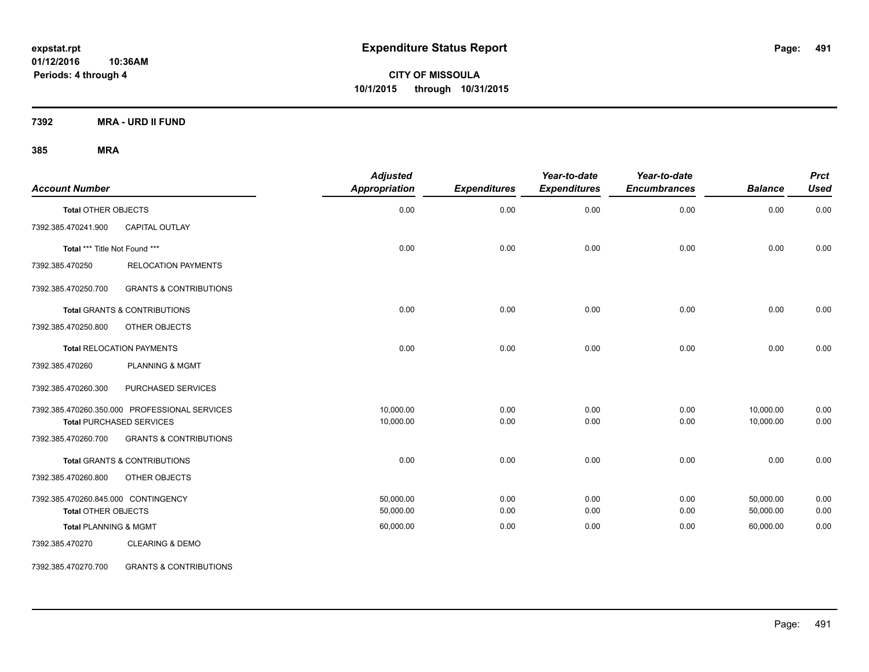**CITY OF MISSOULA 10/1/2015 through 10/31/2015**

**7392 MRA - URD II FUND**

## **385 MRA**

| <b>Account Number</b>               |                                               | <b>Adjusted</b><br>Appropriation | <b>Expenditures</b> | Year-to-date<br><b>Expenditures</b> | Year-to-date<br><b>Encumbrances</b> | <b>Balance</b> | <b>Prct</b><br><b>Used</b> |
|-------------------------------------|-----------------------------------------------|----------------------------------|---------------------|-------------------------------------|-------------------------------------|----------------|----------------------------|
| <b>Total OTHER OBJECTS</b>          |                                               | 0.00                             | 0.00                | 0.00                                | 0.00                                | 0.00           | 0.00                       |
| 7392.385.470241.900                 | CAPITAL OUTLAY                                |                                  |                     |                                     |                                     |                |                            |
| Total *** Title Not Found ***       |                                               | 0.00                             | 0.00                | 0.00                                | 0.00                                | 0.00           | 0.00                       |
| 7392.385.470250                     | <b>RELOCATION PAYMENTS</b>                    |                                  |                     |                                     |                                     |                |                            |
| 7392.385.470250.700                 | <b>GRANTS &amp; CONTRIBUTIONS</b>             |                                  |                     |                                     |                                     |                |                            |
|                                     | <b>Total GRANTS &amp; CONTRIBUTIONS</b>       | 0.00                             | 0.00                | 0.00                                | 0.00                                | 0.00           | 0.00                       |
| 7392.385.470250.800                 | OTHER OBJECTS                                 |                                  |                     |                                     |                                     |                |                            |
|                                     | <b>Total RELOCATION PAYMENTS</b>              | 0.00                             | 0.00                | 0.00                                | 0.00                                | 0.00           | 0.00                       |
| 7392.385.470260                     | <b>PLANNING &amp; MGMT</b>                    |                                  |                     |                                     |                                     |                |                            |
| 7392.385.470260.300                 | PURCHASED SERVICES                            |                                  |                     |                                     |                                     |                |                            |
|                                     | 7392.385.470260.350.000 PROFESSIONAL SERVICES | 10,000.00                        | 0.00                | 0.00                                | 0.00                                | 10,000.00      | 0.00                       |
|                                     | <b>Total PURCHASED SERVICES</b>               | 10,000.00                        | 0.00                | 0.00                                | 0.00                                | 10,000.00      | 0.00                       |
| 7392.385.470260.700                 | <b>GRANTS &amp; CONTRIBUTIONS</b>             |                                  |                     |                                     |                                     |                |                            |
|                                     | <b>Total GRANTS &amp; CONTRIBUTIONS</b>       | 0.00                             | 0.00                | 0.00                                | 0.00                                | 0.00           | 0.00                       |
| 7392.385.470260.800                 | OTHER OBJECTS                                 |                                  |                     |                                     |                                     |                |                            |
| 7392.385.470260.845.000 CONTINGENCY |                                               | 50,000.00                        | 0.00                | 0.00                                | 0.00                                | 50,000.00      | 0.00                       |
| <b>Total OTHER OBJECTS</b>          |                                               | 50,000.00                        | 0.00                | 0.00                                | 0.00                                | 50,000.00      | 0.00                       |
| <b>Total PLANNING &amp; MGMT</b>    |                                               | 60,000.00                        | 0.00                | 0.00                                | 0.00                                | 60,000.00      | 0.00                       |
| 7392.385.470270                     | <b>CLEARING &amp; DEMO</b>                    |                                  |                     |                                     |                                     |                |                            |

7392.385.470270.700 GRANTS & CONTRIBUTIONS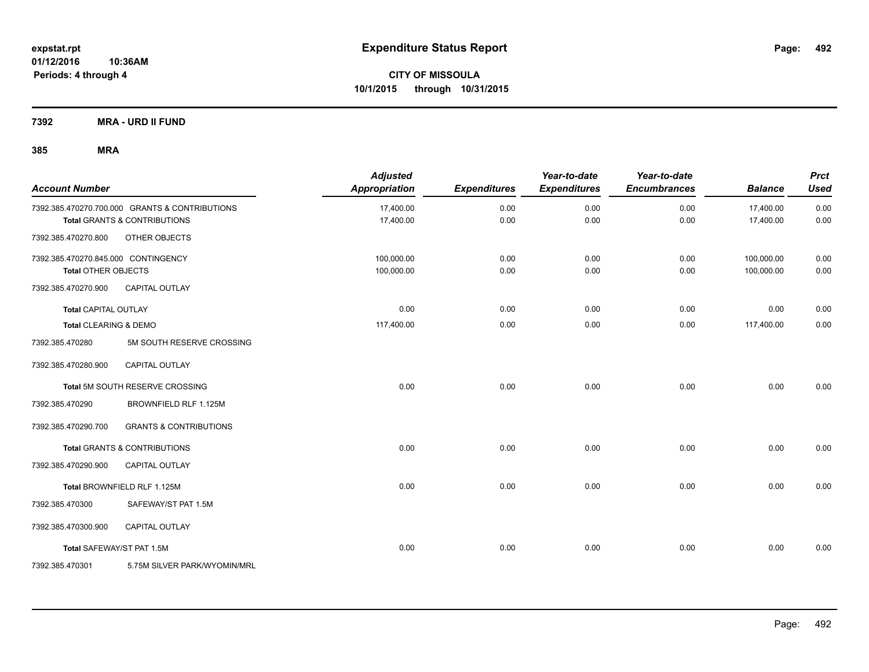**7392 MRA - URD II FUND**

| <b>Account Number</b>               |                                                | <b>Adjusted</b><br><b>Appropriation</b> | <b>Expenditures</b> | Year-to-date<br><b>Expenditures</b> | Year-to-date<br><b>Encumbrances</b> | <b>Balance</b> | <b>Prct</b><br><b>Used</b> |
|-------------------------------------|------------------------------------------------|-----------------------------------------|---------------------|-------------------------------------|-------------------------------------|----------------|----------------------------|
|                                     | 7392.385.470270.700.000 GRANTS & CONTRIBUTIONS | 17,400.00                               | 0.00                | 0.00                                | 0.00                                | 17,400.00      | 0.00                       |
|                                     | <b>Total GRANTS &amp; CONTRIBUTIONS</b>        | 17,400.00                               | 0.00                | 0.00                                | 0.00                                | 17,400.00      | 0.00                       |
| 7392.385.470270.800                 | OTHER OBJECTS                                  |                                         |                     |                                     |                                     |                |                            |
| 7392.385.470270.845.000 CONTINGENCY |                                                | 100,000.00                              | 0.00                | 0.00                                | 0.00                                | 100,000.00     | 0.00                       |
| <b>Total OTHER OBJECTS</b>          |                                                | 100,000.00                              | 0.00                | 0.00                                | 0.00                                | 100,000.00     | 0.00                       |
| 7392.385.470270.900                 | <b>CAPITAL OUTLAY</b>                          |                                         |                     |                                     |                                     |                |                            |
| <b>Total CAPITAL OUTLAY</b>         |                                                | 0.00                                    | 0.00                | 0.00                                | 0.00                                | 0.00           | 0.00                       |
| Total CLEARING & DEMO               |                                                | 117,400.00                              | 0.00                | 0.00                                | 0.00                                | 117,400.00     | 0.00                       |
| 7392.385.470280                     | 5M SOUTH RESERVE CROSSING                      |                                         |                     |                                     |                                     |                |                            |
| 7392.385.470280.900                 | <b>CAPITAL OUTLAY</b>                          |                                         |                     |                                     |                                     |                |                            |
|                                     | Total 5M SOUTH RESERVE CROSSING                | 0.00                                    | 0.00                | 0.00                                | 0.00                                | 0.00           | 0.00                       |
| 7392.385.470290                     | BROWNFIELD RLF 1.125M                          |                                         |                     |                                     |                                     |                |                            |
| 7392.385.470290.700                 | <b>GRANTS &amp; CONTRIBUTIONS</b>              |                                         |                     |                                     |                                     |                |                            |
|                                     | <b>Total GRANTS &amp; CONTRIBUTIONS</b>        | 0.00                                    | 0.00                | 0.00                                | 0.00                                | 0.00           | 0.00                       |
| 7392.385.470290.900                 | CAPITAL OUTLAY                                 |                                         |                     |                                     |                                     |                |                            |
|                                     | Total BROWNFIELD RLF 1.125M                    | 0.00                                    | 0.00                | 0.00                                | 0.00                                | 0.00           | 0.00                       |
| 7392.385.470300                     | SAFEWAY/ST PAT 1.5M                            |                                         |                     |                                     |                                     |                |                            |
| 7392.385.470300.900                 | CAPITAL OUTLAY                                 |                                         |                     |                                     |                                     |                |                            |
| Total SAFEWAY/ST PAT 1.5M           |                                                | 0.00                                    | 0.00                | 0.00                                | 0.00                                | 0.00           | 0.00                       |
| 7392.385.470301                     | 5.75M SILVER PARK/WYOMIN/MRL                   |                                         |                     |                                     |                                     |                |                            |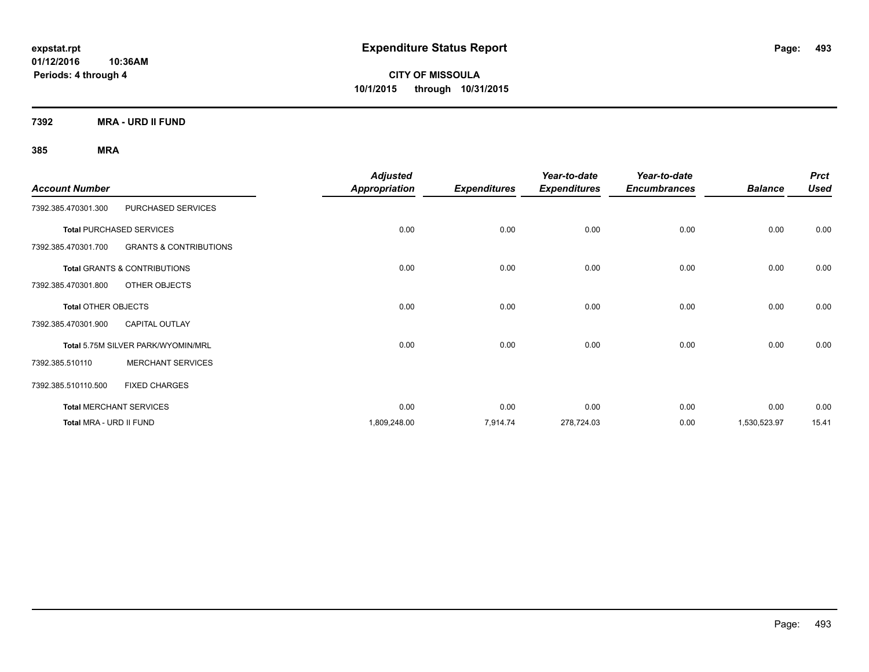**CITY OF MISSOULA 10/1/2015 through 10/31/2015**

**7392 MRA - URD II FUND**

|                            |                                         | <b>Adjusted</b>      |                     | Year-to-date        | Year-to-date        |                | <b>Prct</b> |
|----------------------------|-----------------------------------------|----------------------|---------------------|---------------------|---------------------|----------------|-------------|
| <b>Account Number</b>      |                                         | <b>Appropriation</b> | <b>Expenditures</b> | <b>Expenditures</b> | <b>Encumbrances</b> | <b>Balance</b> | <b>Used</b> |
| 7392.385.470301.300        | PURCHASED SERVICES                      |                      |                     |                     |                     |                |             |
|                            | <b>Total PURCHASED SERVICES</b>         | 0.00                 | 0.00                | 0.00                | 0.00                | 0.00           | 0.00        |
| 7392.385.470301.700        | <b>GRANTS &amp; CONTRIBUTIONS</b>       |                      |                     |                     |                     |                |             |
|                            | <b>Total GRANTS &amp; CONTRIBUTIONS</b> | 0.00                 | 0.00                | 0.00                | 0.00                | 0.00           | 0.00        |
| 7392.385.470301.800        | OTHER OBJECTS                           |                      |                     |                     |                     |                |             |
| <b>Total OTHER OBJECTS</b> |                                         | 0.00                 | 0.00                | 0.00                | 0.00                | 0.00           | 0.00        |
| 7392.385.470301.900        | <b>CAPITAL OUTLAY</b>                   |                      |                     |                     |                     |                |             |
|                            | Total 5.75M SILVER PARK/WYOMIN/MRL      | 0.00                 | 0.00                | 0.00                | 0.00                | 0.00           | 0.00        |
| 7392.385.510110            | <b>MERCHANT SERVICES</b>                |                      |                     |                     |                     |                |             |
| 7392.385.510110.500        | <b>FIXED CHARGES</b>                    |                      |                     |                     |                     |                |             |
|                            | <b>Total MERCHANT SERVICES</b>          | 0.00                 | 0.00                | 0.00                | 0.00                | 0.00           | 0.00        |
| Total MRA - URD II FUND    |                                         | 1,809,248.00         | 7,914.74            | 278,724.03          | 0.00                | 1,530,523.97   | 15.41       |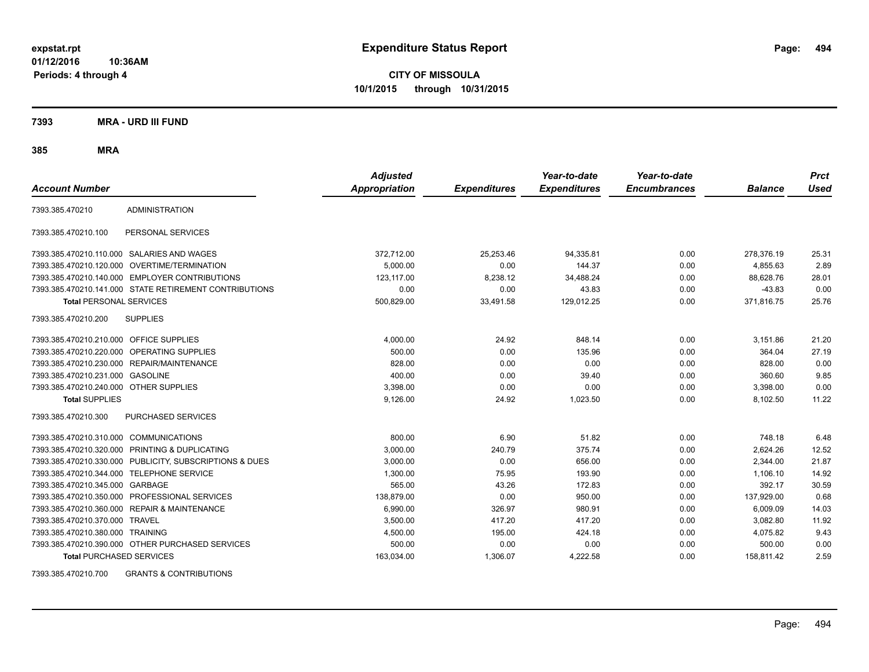**CITY OF MISSOULA 10/1/2015 through 10/31/2015**

**7393 MRA - URD III FUND**

**385 MRA**

| <b>Account Number</b>                   |                                                        | <b>Adjusted</b><br><b>Appropriation</b> | <b>Expenditures</b> | Year-to-date<br><b>Expenditures</b> | Year-to-date<br><b>Encumbrances</b> | <b>Balance</b> | <b>Prct</b><br>Used |
|-----------------------------------------|--------------------------------------------------------|-----------------------------------------|---------------------|-------------------------------------|-------------------------------------|----------------|---------------------|
| 7393.385.470210                         | <b>ADMINISTRATION</b>                                  |                                         |                     |                                     |                                     |                |                     |
| 7393.385.470210.100                     | PERSONAL SERVICES                                      |                                         |                     |                                     |                                     |                |                     |
|                                         | 7393.385.470210.110.000 SALARIES AND WAGES             | 372,712.00                              | 25,253.46           | 94,335.81                           | 0.00                                | 278,376.19     | 25.31               |
|                                         | 7393.385.470210.120.000 OVERTIME/TERMINATION           | 5,000.00                                | 0.00                | 144.37                              | 0.00                                | 4,855.63       | 2.89                |
|                                         | 7393.385.470210.140.000 EMPLOYER CONTRIBUTIONS         | 123.117.00                              | 8,238.12            | 34,488.24                           | 0.00                                | 88.628.76      | 28.01               |
|                                         | 7393.385.470210.141.000 STATE RETIREMENT CONTRIBUTIONS | 0.00                                    | 0.00                | 43.83                               | 0.00                                | $-43.83$       | 0.00                |
| <b>Total PERSONAL SERVICES</b>          |                                                        | 500,829.00                              | 33.491.58           | 129.012.25                          | 0.00                                | 371,816.75     | 25.76               |
| 7393.385.470210.200                     | <b>SUPPLIES</b>                                        |                                         |                     |                                     |                                     |                |                     |
| 7393.385.470210.210.000 OFFICE SUPPLIES |                                                        | 4,000.00                                | 24.92               | 848.14                              | 0.00                                | 3,151.86       | 21.20               |
|                                         | 7393.385.470210.220.000 OPERATING SUPPLIES             | 500.00                                  | 0.00                | 135.96                              | 0.00                                | 364.04         | 27.19               |
| 7393.385.470210.230.000                 | REPAIR/MAINTENANCE                                     | 828.00                                  | 0.00                | 0.00                                | 0.00                                | 828.00         | 0.00                |
| 7393.385.470210.231.000                 | <b>GASOLINE</b>                                        | 400.00                                  | 0.00                | 39.40                               | 0.00                                | 360.60         | 9.85                |
| 7393.385.470210.240.000 OTHER SUPPLIES  |                                                        | 3,398.00                                | 0.00                | 0.00                                | 0.00                                | 3,398.00       | 0.00                |
| <b>Total SUPPLIES</b>                   |                                                        | 9,126.00                                | 24.92               | 1,023.50                            | 0.00                                | 8,102.50       | 11.22               |
| 7393.385.470210.300                     | PURCHASED SERVICES                                     |                                         |                     |                                     |                                     |                |                     |
| 7393.385.470210.310.000                 | <b>COMMUNICATIONS</b>                                  | 800.00                                  | 6.90                | 51.82                               | 0.00                                | 748.18         | 6.48                |
| 7393.385.470210.320.000                 | <b>PRINTING &amp; DUPLICATING</b>                      | 3,000.00                                | 240.79              | 375.74                              | 0.00                                | 2,624.26       | 12.52               |
| 7393.385.470210.330.000                 | PUBLICITY, SUBSCRIPTIONS & DUES                        | 3,000.00                                | 0.00                | 656.00                              | 0.00                                | 2,344.00       | 21.87               |
| 7393.385.470210.344.000                 | <b>TELEPHONE SERVICE</b>                               | 1,300.00                                | 75.95               | 193.90                              | 0.00                                | 1,106.10       | 14.92               |
| 7393.385.470210.345.000                 | GARBAGE                                                | 565.00                                  | 43.26               | 172.83                              | 0.00                                | 392.17         | 30.59               |
| 7393.385.470210.350.000                 | PROFESSIONAL SERVICES                                  | 138,879.00                              | 0.00                | 950.00                              | 0.00                                | 137,929.00     | 0.68                |
| 7393.385.470210.360.000                 | <b>REPAIR &amp; MAINTENANCE</b>                        | 6,990.00                                | 326.97              | 980.91                              | 0.00                                | 6.009.09       | 14.03               |
| 7393.385.470210.370.000                 | <b>TRAVEL</b>                                          | 3,500.00                                | 417.20              | 417.20                              | 0.00                                | 3,082.80       | 11.92               |
| 7393.385.470210.380.000 TRAINING        |                                                        | 4,500.00                                | 195.00              | 424.18                              | 0.00                                | 4,075.82       | 9.43                |
|                                         | 7393.385.470210.390.000 OTHER PURCHASED SERVICES       | 500.00                                  | 0.00                | 0.00                                | 0.00                                | 500.00         | 0.00                |
| <b>Total PURCHASED SERVICES</b>         |                                                        | 163,034.00                              | 1,306.07            | 4,222.58                            | 0.00                                | 158,811.42     | 2.59                |

7393.385.470210.700 GRANTS & CONTRIBUTIONS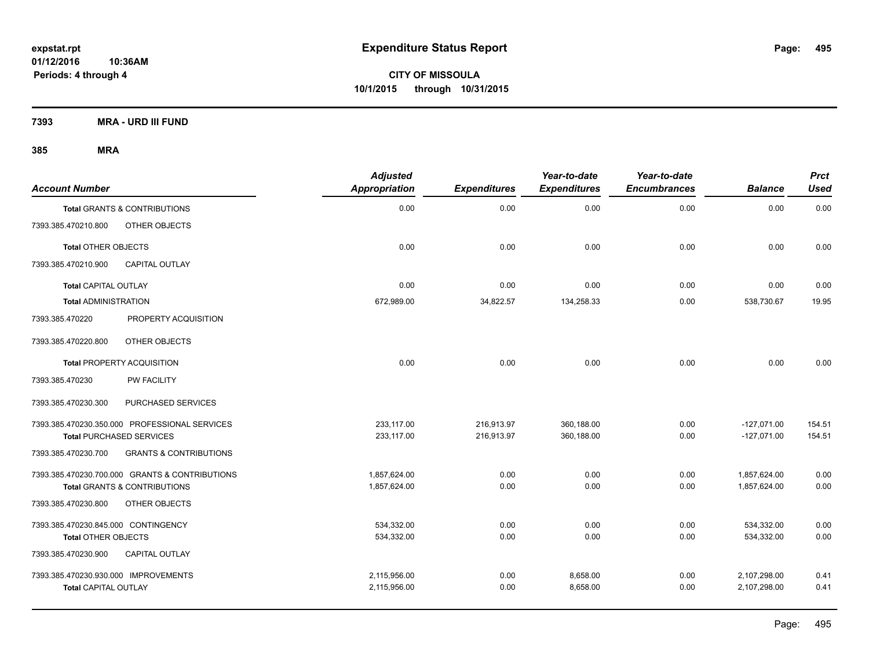**CITY OF MISSOULA 10/1/2015 through 10/31/2015**

**7393 MRA - URD III FUND**

| <b>Account Number</b>                |                                                | <b>Adjusted</b><br><b>Appropriation</b> | <b>Expenditures</b> | Year-to-date<br><b>Expenditures</b> | Year-to-date<br><b>Encumbrances</b> | <b>Balance</b> | <b>Prct</b><br><b>Used</b> |
|--------------------------------------|------------------------------------------------|-----------------------------------------|---------------------|-------------------------------------|-------------------------------------|----------------|----------------------------|
|                                      | <b>Total GRANTS &amp; CONTRIBUTIONS</b>        | 0.00                                    | 0.00                | 0.00                                | 0.00                                | 0.00           | 0.00                       |
| 7393.385.470210.800                  | OTHER OBJECTS                                  |                                         |                     |                                     |                                     |                |                            |
| <b>Total OTHER OBJECTS</b>           |                                                | 0.00                                    | 0.00                | 0.00                                | 0.00                                | 0.00           | 0.00                       |
| 7393.385.470210.900                  | CAPITAL OUTLAY                                 |                                         |                     |                                     |                                     |                |                            |
| <b>Total CAPITAL OUTLAY</b>          |                                                | 0.00                                    | 0.00                | 0.00                                | 0.00                                | 0.00           | 0.00                       |
| <b>Total ADMINISTRATION</b>          |                                                | 672,989.00                              | 34,822.57           | 134,258.33                          | 0.00                                | 538,730.67     | 19.95                      |
| 7393.385.470220                      | PROPERTY ACQUISITION                           |                                         |                     |                                     |                                     |                |                            |
| 7393.385.470220.800                  | OTHER OBJECTS                                  |                                         |                     |                                     |                                     |                |                            |
|                                      | <b>Total PROPERTY ACQUISITION</b>              | 0.00                                    | 0.00                | 0.00                                | 0.00                                | 0.00           | 0.00                       |
| 7393.385.470230                      | <b>PW FACILITY</b>                             |                                         |                     |                                     |                                     |                |                            |
| 7393.385.470230.300                  | PURCHASED SERVICES                             |                                         |                     |                                     |                                     |                |                            |
|                                      | 7393.385.470230.350.000 PROFESSIONAL SERVICES  | 233,117.00                              | 216,913.97          | 360,188.00                          | 0.00                                | $-127,071.00$  | 154.51                     |
|                                      | <b>Total PURCHASED SERVICES</b>                | 233,117.00                              | 216,913.97          | 360,188.00                          | 0.00                                | $-127,071.00$  | 154.51                     |
| 7393.385.470230.700                  | <b>GRANTS &amp; CONTRIBUTIONS</b>              |                                         |                     |                                     |                                     |                |                            |
|                                      | 7393.385.470230.700.000 GRANTS & CONTRIBUTIONS | 1,857,624.00                            | 0.00                | 0.00                                | 0.00                                | 1,857,624.00   | 0.00                       |
|                                      | <b>Total GRANTS &amp; CONTRIBUTIONS</b>        | 1,857,624.00                            | 0.00                | 0.00                                | 0.00                                | 1,857,624.00   | 0.00                       |
| 7393.385.470230.800                  | OTHER OBJECTS                                  |                                         |                     |                                     |                                     |                |                            |
| 7393.385.470230.845.000 CONTINGENCY  |                                                | 534,332.00                              | 0.00                | 0.00                                | 0.00                                | 534,332.00     | 0.00                       |
| <b>Total OTHER OBJECTS</b>           |                                                | 534,332.00                              | 0.00                | 0.00                                | 0.00                                | 534,332.00     | 0.00                       |
| 7393.385.470230.900                  | <b>CAPITAL OUTLAY</b>                          |                                         |                     |                                     |                                     |                |                            |
| 7393.385.470230.930.000 IMPROVEMENTS |                                                | 2,115,956.00                            | 0.00                | 8,658.00                            | 0.00                                | 2,107,298.00   | 0.41                       |
| <b>Total CAPITAL OUTLAY</b>          |                                                | 2,115,956.00                            | 0.00                | 8,658.00                            | 0.00                                | 2,107,298.00   | 0.41                       |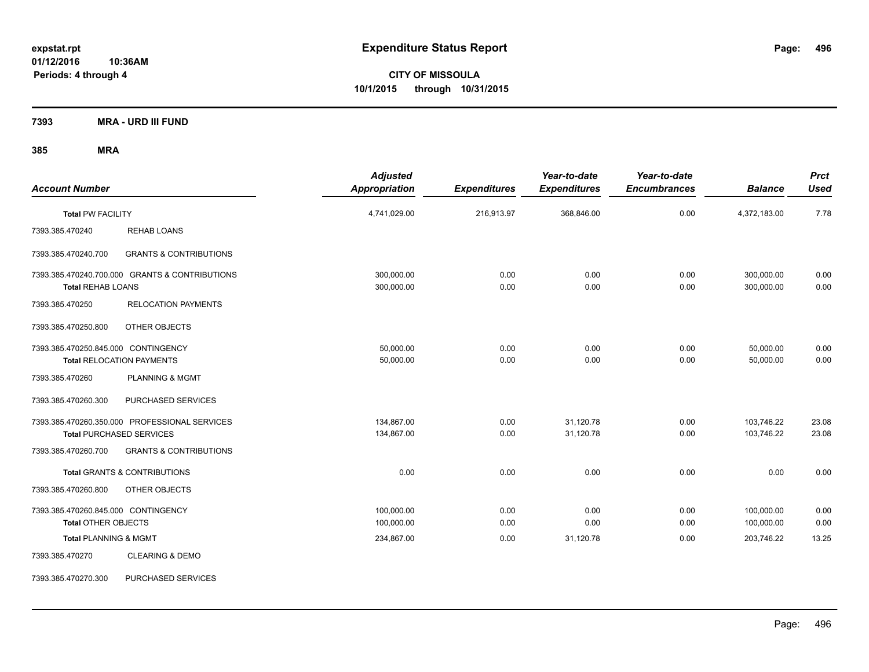**CITY OF MISSOULA 10/1/2015 through 10/31/2015**

**7393 MRA - URD III FUND**

| <b>Account Number</b>                                             |                                                                                  | <b>Adjusted</b><br>Appropriation | <b>Expenditures</b> | Year-to-date<br><b>Expenditures</b> | Year-to-date<br><b>Encumbrances</b> | <b>Balance</b>           | <b>Prct</b><br><b>Used</b> |
|-------------------------------------------------------------------|----------------------------------------------------------------------------------|----------------------------------|---------------------|-------------------------------------|-------------------------------------|--------------------------|----------------------------|
| <b>Total PW FACILITY</b>                                          |                                                                                  | 4,741,029.00                     | 216,913.97          | 368,846.00                          | 0.00                                | 4,372,183.00             | 7.78                       |
| 7393.385.470240                                                   | <b>REHAB LOANS</b>                                                               |                                  |                     |                                     |                                     |                          |                            |
| 7393.385.470240.700                                               | <b>GRANTS &amp; CONTRIBUTIONS</b>                                                |                                  |                     |                                     |                                     |                          |                            |
| <b>Total REHAB LOANS</b>                                          | 7393.385.470240.700.000 GRANTS & CONTRIBUTIONS                                   | 300,000.00<br>300,000.00         | 0.00<br>0.00        | 0.00<br>0.00                        | 0.00<br>0.00                        | 300,000.00<br>300,000.00 | 0.00<br>0.00               |
| 7393.385.470250                                                   | <b>RELOCATION PAYMENTS</b>                                                       |                                  |                     |                                     |                                     |                          |                            |
| 7393.385.470250.800                                               | OTHER OBJECTS                                                                    |                                  |                     |                                     |                                     |                          |                            |
| 7393.385.470250.845.000 CONTINGENCY                               | <b>Total RELOCATION PAYMENTS</b>                                                 | 50,000.00<br>50,000.00           | 0.00<br>0.00        | 0.00<br>0.00                        | 0.00<br>0.00                        | 50,000.00<br>50,000.00   | 0.00<br>0.00               |
| 7393.385.470260                                                   | PLANNING & MGMT                                                                  |                                  |                     |                                     |                                     |                          |                            |
| 7393.385.470260.300                                               | PURCHASED SERVICES                                                               |                                  |                     |                                     |                                     |                          |                            |
|                                                                   | 7393.385.470260.350.000 PROFESSIONAL SERVICES<br><b>Total PURCHASED SERVICES</b> | 134.867.00<br>134,867.00         | 0.00<br>0.00        | 31,120.78<br>31,120.78              | 0.00<br>0.00                        | 103,746.22<br>103,746.22 | 23.08<br>23.08             |
| 7393.385.470260.700                                               | <b>GRANTS &amp; CONTRIBUTIONS</b>                                                |                                  |                     |                                     |                                     |                          |                            |
|                                                                   | <b>Total GRANTS &amp; CONTRIBUTIONS</b>                                          | 0.00                             | 0.00                | 0.00                                | 0.00                                | 0.00                     | 0.00                       |
| 7393.385.470260.800                                               | OTHER OBJECTS                                                                    |                                  |                     |                                     |                                     |                          |                            |
| 7393.385.470260.845.000 CONTINGENCY<br><b>Total OTHER OBJECTS</b> |                                                                                  | 100,000.00<br>100,000.00         | 0.00<br>0.00        | 0.00<br>0.00                        | 0.00<br>0.00                        | 100,000.00<br>100,000.00 | 0.00<br>0.00               |
| <b>Total PLANNING &amp; MGMT</b>                                  |                                                                                  | 234,867.00                       | 0.00                | 31,120.78                           | 0.00                                | 203,746.22               | 13.25                      |
| 7393.385.470270                                                   | <b>CLEARING &amp; DEMO</b>                                                       |                                  |                     |                                     |                                     |                          |                            |
| 7393.385.470270.300                                               | PURCHASED SERVICES                                                               |                                  |                     |                                     |                                     |                          |                            |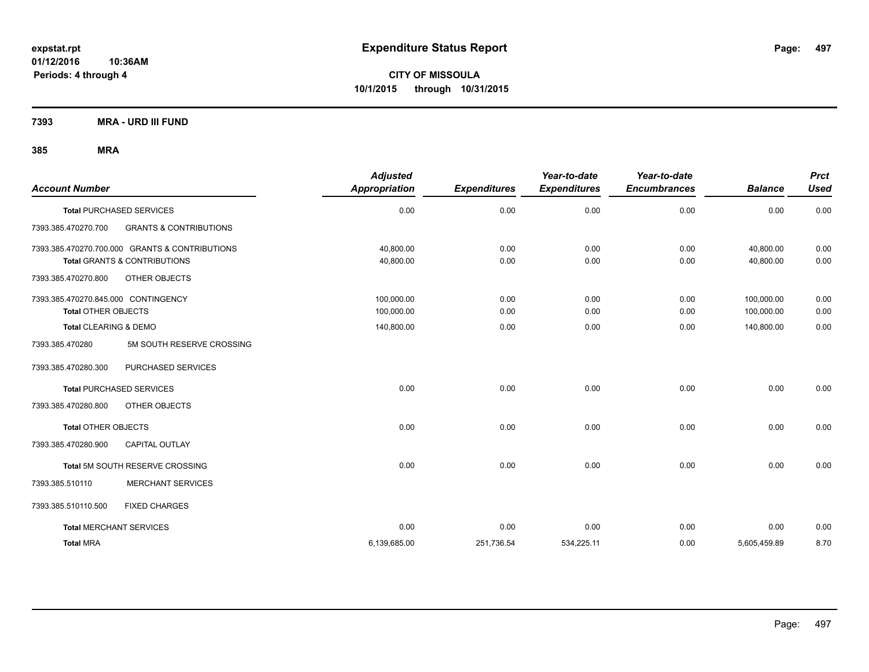**CITY OF MISSOULA 10/1/2015 through 10/31/2015**

**7393 MRA - URD III FUND**

| <b>Account Number</b>               |                                                | <b>Adjusted</b><br>Appropriation | <b>Expenditures</b> | Year-to-date<br><b>Expenditures</b> | Year-to-date<br><b>Encumbrances</b> | <b>Balance</b> | <b>Prct</b><br><b>Used</b> |
|-------------------------------------|------------------------------------------------|----------------------------------|---------------------|-------------------------------------|-------------------------------------|----------------|----------------------------|
|                                     | <b>Total PURCHASED SERVICES</b>                | 0.00                             | 0.00                | 0.00                                | 0.00                                | 0.00           | 0.00                       |
| 7393.385.470270.700                 | <b>GRANTS &amp; CONTRIBUTIONS</b>              |                                  |                     |                                     |                                     |                |                            |
|                                     | 7393.385.470270.700.000 GRANTS & CONTRIBUTIONS | 40.800.00                        | 0.00                | 0.00                                | 0.00                                | 40.800.00      | 0.00                       |
|                                     | <b>Total GRANTS &amp; CONTRIBUTIONS</b>        | 40,800.00                        | 0.00                | 0.00                                | 0.00                                | 40,800.00      | 0.00                       |
| 7393.385.470270.800                 | OTHER OBJECTS                                  |                                  |                     |                                     |                                     |                |                            |
| 7393.385.470270.845.000 CONTINGENCY |                                                | 100,000.00                       | 0.00                | 0.00                                | 0.00                                | 100,000.00     | 0.00                       |
| <b>Total OTHER OBJECTS</b>          |                                                | 100,000.00                       | 0.00                | 0.00                                | 0.00                                | 100,000.00     | 0.00                       |
| <b>Total CLEARING &amp; DEMO</b>    |                                                | 140,800.00                       | 0.00                | 0.00                                | 0.00                                | 140,800.00     | 0.00                       |
| 7393.385.470280                     | 5M SOUTH RESERVE CROSSING                      |                                  |                     |                                     |                                     |                |                            |
| 7393.385.470280.300                 | PURCHASED SERVICES                             |                                  |                     |                                     |                                     |                |                            |
|                                     | <b>Total PURCHASED SERVICES</b>                | 0.00                             | 0.00                | 0.00                                | 0.00                                | 0.00           | 0.00                       |
| 7393.385.470280.800                 | OTHER OBJECTS                                  |                                  |                     |                                     |                                     |                |                            |
| <b>Total OTHER OBJECTS</b>          |                                                | 0.00                             | 0.00                | 0.00                                | 0.00                                | 0.00           | 0.00                       |
| 7393.385.470280.900                 | <b>CAPITAL OUTLAY</b>                          |                                  |                     |                                     |                                     |                |                            |
|                                     | Total 5M SOUTH RESERVE CROSSING                | 0.00                             | 0.00                | 0.00                                | 0.00                                | 0.00           | 0.00                       |
| 7393.385.510110                     | <b>MERCHANT SERVICES</b>                       |                                  |                     |                                     |                                     |                |                            |
| 7393.385.510110.500                 | <b>FIXED CHARGES</b>                           |                                  |                     |                                     |                                     |                |                            |
| <b>Total MERCHANT SERVICES</b>      |                                                | 0.00                             | 0.00                | 0.00                                | 0.00                                | 0.00           | 0.00                       |
| <b>Total MRA</b>                    |                                                | 6,139,685.00                     | 251,736.54          | 534,225.11                          | 0.00                                | 5,605,459.89   | 8.70                       |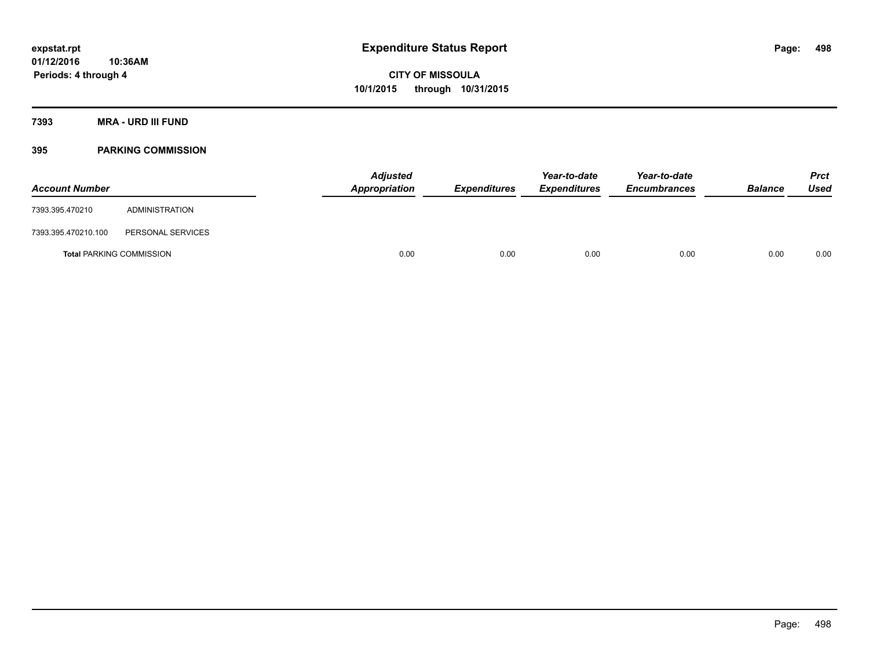## **7393 MRA - URD III FUND**

## **395 PARKING COMMISSION**

| <b>Account Number</b>           |                   | <b>Adjusted</b><br>Appropriation | <b>Expenditures</b> | Year-to-date<br><b>Expenditures</b> | Year-to-date<br><b>Encumbrances</b> | <b>Balance</b> | <b>Prct</b><br><b>Used</b> |
|---------------------------------|-------------------|----------------------------------|---------------------|-------------------------------------|-------------------------------------|----------------|----------------------------|
| 7393.395.470210                 | ADMINISTRATION    |                                  |                     |                                     |                                     |                |                            |
| 7393.395.470210.100             | PERSONAL SERVICES |                                  |                     |                                     |                                     |                |                            |
| <b>Total PARKING COMMISSION</b> |                   | 0.00                             | 0.00                | 0.00                                | 0.00                                | 0.00           | 0.00                       |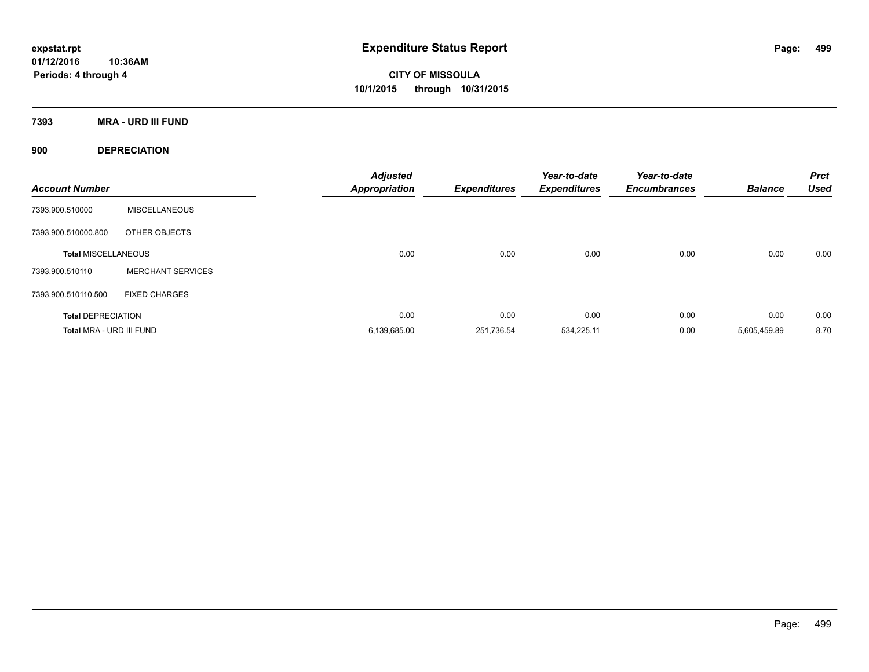**CITY OF MISSOULA 10/1/2015 through 10/31/2015**

**7393 MRA - URD III FUND**

**900 DEPRECIATION**

| <b>Account Number</b>      |                          | <b>Adjusted</b><br><b>Appropriation</b> | <b>Expenditures</b> | Year-to-date<br><b>Expenditures</b> | Year-to-date<br><b>Encumbrances</b> | <b>Balance</b> | <b>Prct</b><br><b>Used</b> |
|----------------------------|--------------------------|-----------------------------------------|---------------------|-------------------------------------|-------------------------------------|----------------|----------------------------|
| 7393.900.510000            | <b>MISCELLANEOUS</b>     |                                         |                     |                                     |                                     |                |                            |
| 7393.900.510000.800        | OTHER OBJECTS            |                                         |                     |                                     |                                     |                |                            |
| <b>Total MISCELLANEOUS</b> |                          | 0.00                                    | 0.00                | 0.00                                | 0.00                                | 0.00           | 0.00                       |
| 7393.900.510110            | <b>MERCHANT SERVICES</b> |                                         |                     |                                     |                                     |                |                            |
| 7393.900.510110.500        | <b>FIXED CHARGES</b>     |                                         |                     |                                     |                                     |                |                            |
| <b>Total DEPRECIATION</b>  |                          | 0.00                                    | 0.00                | 0.00                                | 0.00                                | 0.00           | 0.00                       |
| Total MRA - URD III FUND   |                          | 6,139,685.00                            | 251,736.54          | 534,225.11                          | 0.00                                | 5,605,459.89   | 8.70                       |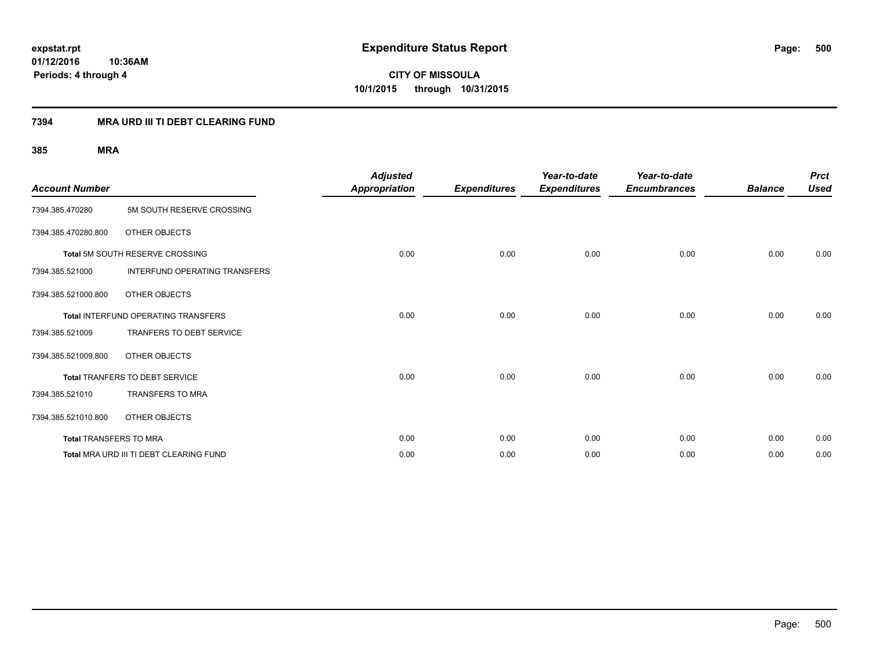**CITY OF MISSOULA 10/1/2015 through 10/31/2015**

## **7394 MRA URD III TI DEBT CLEARING FUND**

| <b>Account Number</b>         |                                         | <b>Adjusted</b><br><b>Appropriation</b> | <b>Expenditures</b> | Year-to-date<br><b>Expenditures</b> | Year-to-date<br><b>Encumbrances</b> | <b>Balance</b> | <b>Prct</b><br><b>Used</b> |
|-------------------------------|-----------------------------------------|-----------------------------------------|---------------------|-------------------------------------|-------------------------------------|----------------|----------------------------|
| 7394.385.470280               | 5M SOUTH RESERVE CROSSING               |                                         |                     |                                     |                                     |                |                            |
| 7394.385.470280.800           | OTHER OBJECTS                           |                                         |                     |                                     |                                     |                |                            |
|                               | Total 5M SOUTH RESERVE CROSSING         | 0.00                                    | 0.00                | 0.00                                | 0.00                                | 0.00           | 0.00                       |
| 7394.385.521000               | <b>INTERFUND OPERATING TRANSFERS</b>    |                                         |                     |                                     |                                     |                |                            |
| 7394.385.521000.800           | OTHER OBJECTS                           |                                         |                     |                                     |                                     |                |                            |
|                               | Total INTERFUND OPERATING TRANSFERS     | 0.00                                    | 0.00                | 0.00                                | 0.00                                | 0.00           | 0.00                       |
| 7394.385.521009               | TRANFERS TO DEBT SERVICE                |                                         |                     |                                     |                                     |                |                            |
| 7394.385.521009.800           | OTHER OBJECTS                           |                                         |                     |                                     |                                     |                |                            |
|                               | Total TRANFERS TO DEBT SERVICE          | 0.00                                    | 0.00                | 0.00                                | 0.00                                | 0.00           | 0.00                       |
| 7394.385.521010               | TRANSFERS TO MRA                        |                                         |                     |                                     |                                     |                |                            |
| 7394.385.521010.800           | OTHER OBJECTS                           |                                         |                     |                                     |                                     |                |                            |
| <b>Total TRANSFERS TO MRA</b> |                                         | 0.00                                    | 0.00                | 0.00                                | 0.00                                | 0.00           | 0.00                       |
|                               | Total MRA URD III TI DEBT CLEARING FUND | 0.00                                    | 0.00                | 0.00                                | 0.00                                | 0.00           | 0.00                       |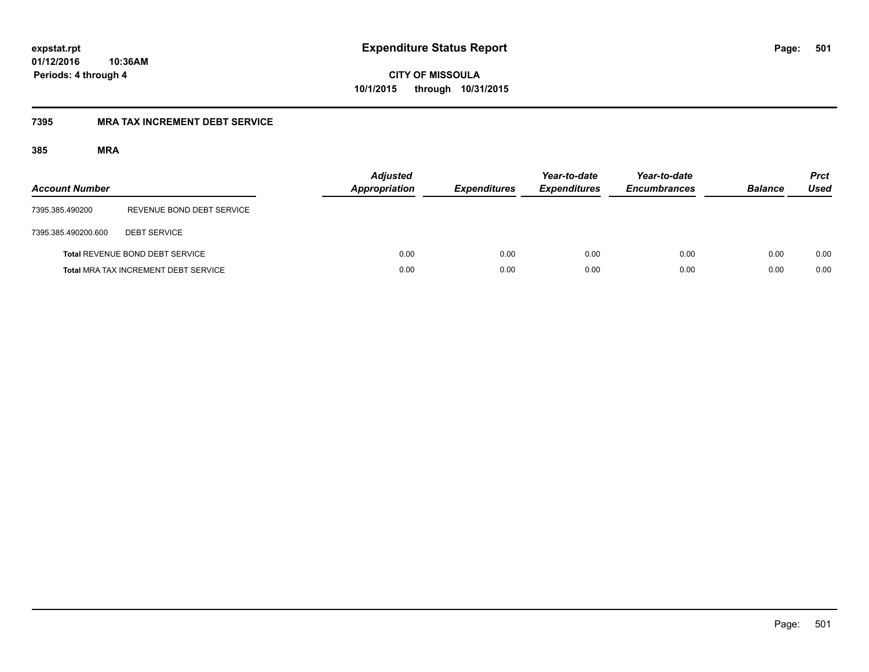**CITY OF MISSOULA 10/1/2015 through 10/31/2015**

## **7395 MRA TAX INCREMENT DEBT SERVICE**

| <b>Account Number</b> |                                             | <b>Adjusted</b><br><b>Appropriation</b> | <b>Expenditures</b> | Year-to-date<br><b>Expenditures</b> | Year-to-date<br><b>Encumbrances</b> | <b>Balance</b> | <b>Prct</b><br><b>Used</b> |
|-----------------------|---------------------------------------------|-----------------------------------------|---------------------|-------------------------------------|-------------------------------------|----------------|----------------------------|
| 7395.385.490200       | REVENUE BOND DEBT SERVICE                   |                                         |                     |                                     |                                     |                |                            |
| 7395.385.490200.600   | <b>DEBT SERVICE</b>                         |                                         |                     |                                     |                                     |                |                            |
|                       | <b>Total REVENUE BOND DEBT SERVICE</b>      | 0.00                                    | 0.00                | 0.00                                | 0.00                                | 0.00           | 0.00                       |
|                       | <b>Total MRA TAX INCREMENT DEBT SERVICE</b> | 0.00                                    | 0.00                | 0.00                                | 0.00                                | 0.00           | 0.00                       |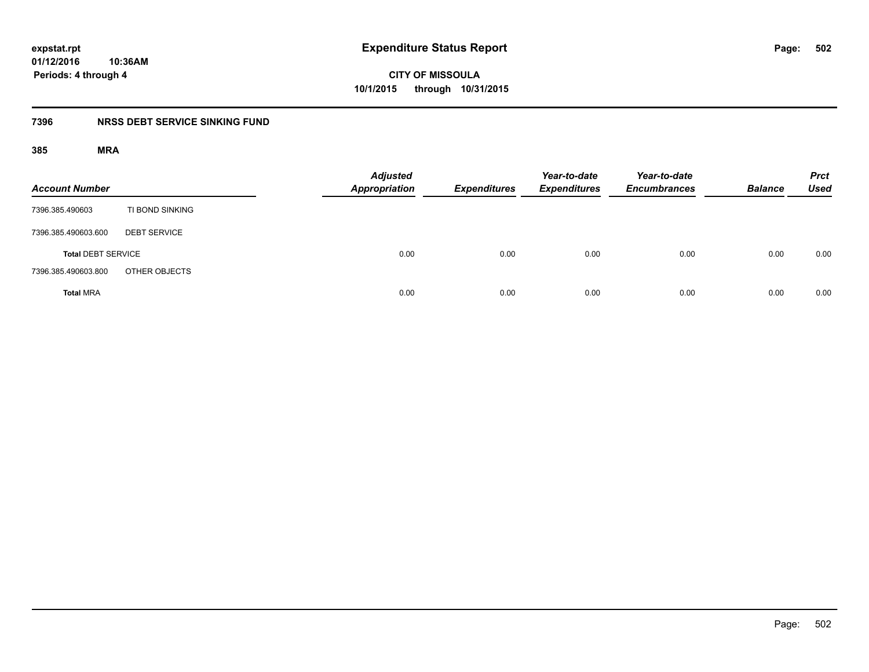**CITY OF MISSOULA 10/1/2015 through 10/31/2015**

## **7396 NRSS DEBT SERVICE SINKING FUND**

| <b>Account Number</b>     |                     | <b>Adjusted</b><br>Appropriation | <b>Expenditures</b> | Year-to-date<br><b>Expenditures</b> | Year-to-date<br><b>Encumbrances</b> | <b>Balance</b> | <b>Prct</b><br><b>Used</b> |
|---------------------------|---------------------|----------------------------------|---------------------|-------------------------------------|-------------------------------------|----------------|----------------------------|
| 7396.385.490603           | TI BOND SINKING     |                                  |                     |                                     |                                     |                |                            |
| 7396.385.490603.600       | <b>DEBT SERVICE</b> |                                  |                     |                                     |                                     |                |                            |
| <b>Total DEBT SERVICE</b> |                     | 0.00                             | 0.00                | 0.00                                | 0.00                                | 0.00           | 0.00                       |
| 7396.385.490603.800       | OTHER OBJECTS       |                                  |                     |                                     |                                     |                |                            |
| <b>Total MRA</b>          |                     | 0.00                             | 0.00                | 0.00                                | 0.00                                | 0.00           | 0.00                       |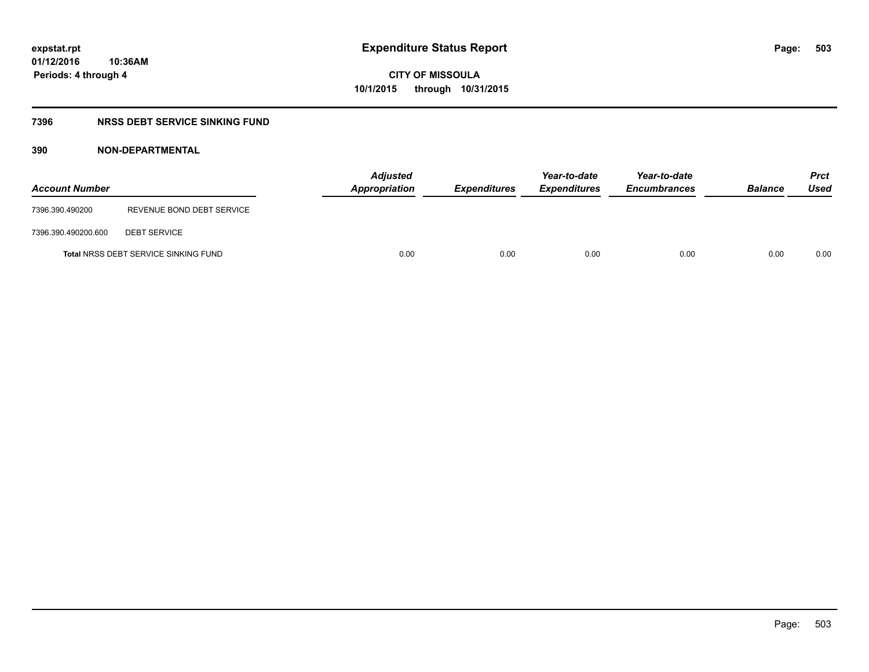## **7396 NRSS DEBT SERVICE SINKING FUND**

| <b>Account Number</b> |                                             | <b>Adjusted</b><br><b>Appropriation</b> | <b>Expenditures</b> | Year-to-date<br><b>Expenditures</b> | Year-to-date<br><b>Encumbrances</b> | <b>Balance</b> | <b>Prct</b><br>Used |
|-----------------------|---------------------------------------------|-----------------------------------------|---------------------|-------------------------------------|-------------------------------------|----------------|---------------------|
| 7396.390.490200       | REVENUE BOND DEBT SERVICE                   |                                         |                     |                                     |                                     |                |                     |
| 7396.390.490200.600   | <b>DEBT SERVICE</b>                         |                                         |                     |                                     |                                     |                |                     |
|                       | <b>Total NRSS DEBT SERVICE SINKING FUND</b> | 0.00                                    | 0.00                | 0.00                                | 0.00                                | 0.00           | 0.00                |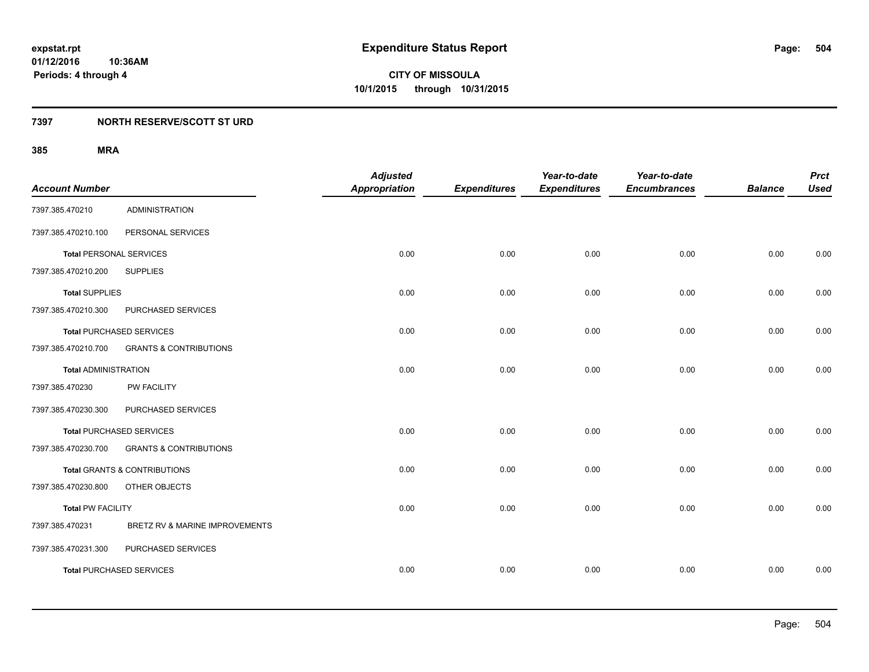**Periods: 4 through 4**

**CITY OF MISSOULA 10/1/2015 through 10/31/2015**

## **7397 NORTH RESERVE/SCOTT ST URD**

| <b>Account Number</b>          |                                   | <b>Adjusted</b><br><b>Appropriation</b> | <b>Expenditures</b> | Year-to-date<br><b>Expenditures</b> | Year-to-date<br><b>Encumbrances</b> | <b>Balance</b> | <b>Prct</b><br><b>Used</b> |
|--------------------------------|-----------------------------------|-----------------------------------------|---------------------|-------------------------------------|-------------------------------------|----------------|----------------------------|
| 7397.385.470210                | <b>ADMINISTRATION</b>             |                                         |                     |                                     |                                     |                |                            |
| 7397.385.470210.100            | PERSONAL SERVICES                 |                                         |                     |                                     |                                     |                |                            |
| <b>Total PERSONAL SERVICES</b> |                                   | 0.00                                    | 0.00                | 0.00                                | 0.00                                | 0.00           | 0.00                       |
| 7397.385.470210.200            | <b>SUPPLIES</b>                   |                                         |                     |                                     |                                     |                |                            |
| <b>Total SUPPLIES</b>          |                                   | 0.00                                    | 0.00                | 0.00                                | 0.00                                | 0.00           | 0.00                       |
| 7397.385.470210.300            | PURCHASED SERVICES                |                                         |                     |                                     |                                     |                |                            |
|                                | Total PURCHASED SERVICES          | 0.00                                    | 0.00                | 0.00                                | 0.00                                | 0.00           | 0.00                       |
| 7397.385.470210.700            | <b>GRANTS &amp; CONTRIBUTIONS</b> |                                         |                     |                                     |                                     |                |                            |
| <b>Total ADMINISTRATION</b>    |                                   | 0.00                                    | 0.00                | 0.00                                | 0.00                                | 0.00           | 0.00                       |
| 7397.385.470230                | PW FACILITY                       |                                         |                     |                                     |                                     |                |                            |
| 7397.385.470230.300            | PURCHASED SERVICES                |                                         |                     |                                     |                                     |                |                            |
|                                | <b>Total PURCHASED SERVICES</b>   | 0.00                                    | 0.00                | 0.00                                | 0.00                                | 0.00           | 0.00                       |
| 7397.385.470230.700            | <b>GRANTS &amp; CONTRIBUTIONS</b> |                                         |                     |                                     |                                     |                |                            |
|                                | Total GRANTS & CONTRIBUTIONS      | 0.00                                    | 0.00                | 0.00                                | 0.00                                | 0.00           | 0.00                       |
| 7397.385.470230.800            | OTHER OBJECTS                     |                                         |                     |                                     |                                     |                |                            |
| <b>Total PW FACILITY</b>       |                                   | 0.00                                    | 0.00                | 0.00                                | 0.00                                | 0.00           | 0.00                       |
| 7397.385.470231                | BRETZ RV & MARINE IMPROVEMENTS    |                                         |                     |                                     |                                     |                |                            |
| 7397.385.470231.300            | PURCHASED SERVICES                |                                         |                     |                                     |                                     |                |                            |
|                                | <b>Total PURCHASED SERVICES</b>   | 0.00                                    | 0.00                | 0.00                                | 0.00                                | 0.00           | 0.00                       |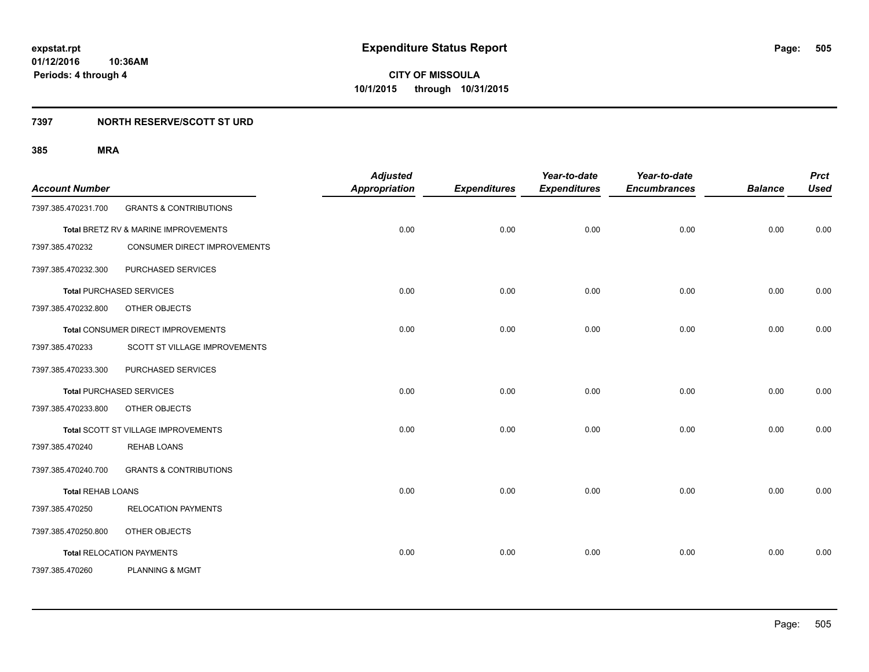#### **7397 NORTH RESERVE/SCOTT ST URD**

| <b>Account Number</b>    |                                      | <b>Adjusted</b><br><b>Appropriation</b> | <b>Expenditures</b> | Year-to-date<br><b>Expenditures</b> | Year-to-date<br><b>Encumbrances</b> | <b>Balance</b> | <b>Prct</b><br><b>Used</b> |
|--------------------------|--------------------------------------|-----------------------------------------|---------------------|-------------------------------------|-------------------------------------|----------------|----------------------------|
| 7397.385.470231.700      | <b>GRANTS &amp; CONTRIBUTIONS</b>    |                                         |                     |                                     |                                     |                |                            |
|                          | Total BRETZ RV & MARINE IMPROVEMENTS | 0.00                                    | 0.00                | 0.00                                | 0.00                                | 0.00           | 0.00                       |
| 7397.385.470232          | <b>CONSUMER DIRECT IMPROVEMENTS</b>  |                                         |                     |                                     |                                     |                |                            |
| 7397.385.470232.300      | PURCHASED SERVICES                   |                                         |                     |                                     |                                     |                |                            |
|                          | <b>Total PURCHASED SERVICES</b>      | 0.00                                    | 0.00                | 0.00                                | 0.00                                | 0.00           | 0.00                       |
| 7397.385.470232.800      | OTHER OBJECTS                        |                                         |                     |                                     |                                     |                |                            |
|                          | Total CONSUMER DIRECT IMPROVEMENTS   | 0.00                                    | 0.00                | 0.00                                | 0.00                                | 0.00           | 0.00                       |
| 7397.385.470233          | SCOTT ST VILLAGE IMPROVEMENTS        |                                         |                     |                                     |                                     |                |                            |
| 7397.385.470233.300      | PURCHASED SERVICES                   |                                         |                     |                                     |                                     |                |                            |
|                          | <b>Total PURCHASED SERVICES</b>      | 0.00                                    | 0.00                | 0.00                                | 0.00                                | 0.00           | 0.00                       |
| 7397.385.470233.800      | OTHER OBJECTS                        |                                         |                     |                                     |                                     |                |                            |
|                          | Total SCOTT ST VILLAGE IMPROVEMENTS  | 0.00                                    | 0.00                | 0.00                                | 0.00                                | 0.00           | 0.00                       |
| 7397.385.470240          | <b>REHAB LOANS</b>                   |                                         |                     |                                     |                                     |                |                            |
| 7397.385.470240.700      | <b>GRANTS &amp; CONTRIBUTIONS</b>    |                                         |                     |                                     |                                     |                |                            |
| <b>Total REHAB LOANS</b> |                                      | 0.00                                    | 0.00                | 0.00                                | 0.00                                | 0.00           | 0.00                       |
| 7397.385.470250          | <b>RELOCATION PAYMENTS</b>           |                                         |                     |                                     |                                     |                |                            |
| 7397.385.470250.800      | OTHER OBJECTS                        |                                         |                     |                                     |                                     |                |                            |
|                          | <b>Total RELOCATION PAYMENTS</b>     | 0.00                                    | 0.00                | 0.00                                | 0.00                                | 0.00           | 0.00                       |
| 7397.385.470260          | <b>PLANNING &amp; MGMT</b>           |                                         |                     |                                     |                                     |                |                            |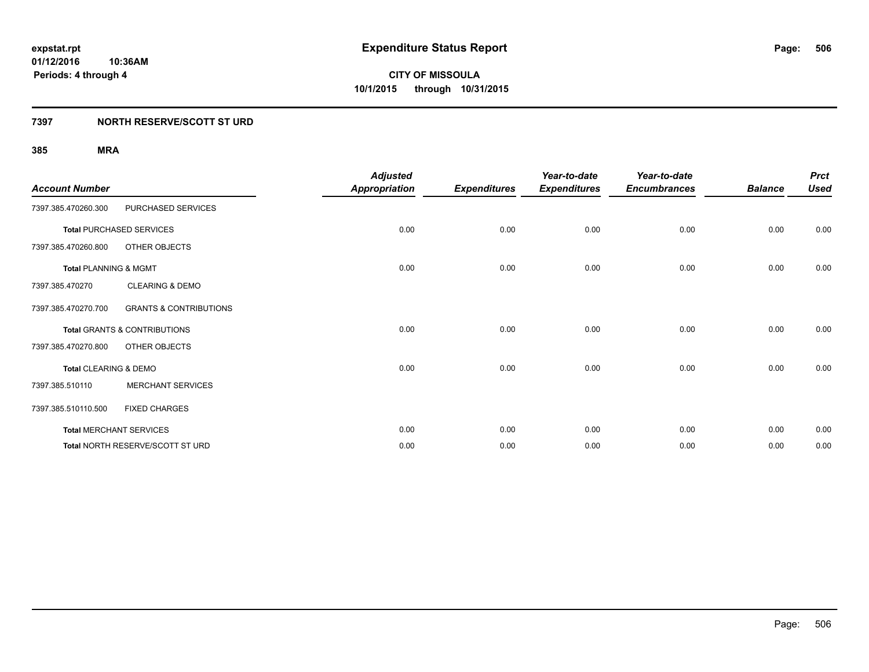#### **7397 NORTH RESERVE/SCOTT ST URD**

| <b>Account Number</b>            |                                         | <b>Adjusted</b><br><b>Appropriation</b> | <b>Expenditures</b> | Year-to-date<br><b>Expenditures</b> | Year-to-date<br><b>Encumbrances</b> | <b>Balance</b> | <b>Prct</b><br><b>Used</b> |
|----------------------------------|-----------------------------------------|-----------------------------------------|---------------------|-------------------------------------|-------------------------------------|----------------|----------------------------|
| 7397.385.470260.300              | PURCHASED SERVICES                      |                                         |                     |                                     |                                     |                |                            |
|                                  | <b>Total PURCHASED SERVICES</b>         | 0.00                                    | 0.00                | 0.00                                | 0.00                                | 0.00           | 0.00                       |
| 7397.385.470260.800              | OTHER OBJECTS                           |                                         |                     |                                     |                                     |                |                            |
| <b>Total PLANNING &amp; MGMT</b> |                                         | 0.00                                    | 0.00                | 0.00                                | 0.00                                | 0.00           | 0.00                       |
| 7397.385.470270                  | <b>CLEARING &amp; DEMO</b>              |                                         |                     |                                     |                                     |                |                            |
| 7397.385.470270.700              | <b>GRANTS &amp; CONTRIBUTIONS</b>       |                                         |                     |                                     |                                     |                |                            |
|                                  | <b>Total GRANTS &amp; CONTRIBUTIONS</b> | 0.00                                    | 0.00                | 0.00                                | 0.00                                | 0.00           | 0.00                       |
| 7397.385.470270.800              | OTHER OBJECTS                           |                                         |                     |                                     |                                     |                |                            |
| Total CLEARING & DEMO            |                                         | 0.00                                    | 0.00                | 0.00                                | 0.00                                | 0.00           | 0.00                       |
| 7397.385.510110                  | <b>MERCHANT SERVICES</b>                |                                         |                     |                                     |                                     |                |                            |
| 7397.385.510110.500              | <b>FIXED CHARGES</b>                    |                                         |                     |                                     |                                     |                |                            |
|                                  | <b>Total MERCHANT SERVICES</b>          | 0.00                                    | 0.00                | 0.00                                | 0.00                                | 0.00           | 0.00                       |
|                                  | Total NORTH RESERVE/SCOTT ST URD        | 0.00                                    | 0.00                | 0.00                                | 0.00                                | 0.00           | 0.00                       |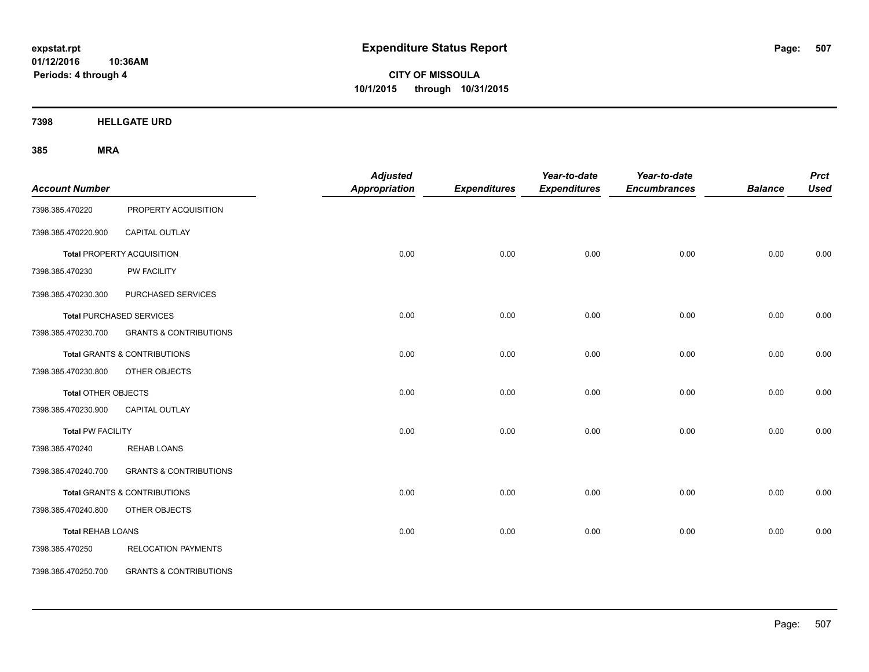**CITY OF MISSOULA 10/1/2015 through 10/31/2015**

**7398 HELLGATE URD**

| <b>Account Number</b>    |                                         | <b>Adjusted</b><br><b>Appropriation</b> | <b>Expenditures</b> | Year-to-date<br><b>Expenditures</b> | Year-to-date<br><b>Encumbrances</b> | <b>Balance</b> | <b>Prct</b><br><b>Used</b> |
|--------------------------|-----------------------------------------|-----------------------------------------|---------------------|-------------------------------------|-------------------------------------|----------------|----------------------------|
| 7398.385.470220          | PROPERTY ACQUISITION                    |                                         |                     |                                     |                                     |                |                            |
| 7398.385.470220.900      | <b>CAPITAL OUTLAY</b>                   |                                         |                     |                                     |                                     |                |                            |
|                          | Total PROPERTY ACQUISITION              | 0.00                                    | 0.00                | 0.00                                | 0.00                                | 0.00           | 0.00                       |
| 7398.385.470230          | PW FACILITY                             |                                         |                     |                                     |                                     |                |                            |
| 7398.385.470230.300      | PURCHASED SERVICES                      |                                         |                     |                                     |                                     |                |                            |
|                          | <b>Total PURCHASED SERVICES</b>         | 0.00                                    | 0.00                | 0.00                                | 0.00                                | 0.00           | 0.00                       |
| 7398.385.470230.700      | <b>GRANTS &amp; CONTRIBUTIONS</b>       |                                         |                     |                                     |                                     |                |                            |
|                          | <b>Total GRANTS &amp; CONTRIBUTIONS</b> | 0.00                                    | 0.00                | 0.00                                | 0.00                                | 0.00           | 0.00                       |
| 7398.385.470230.800      | OTHER OBJECTS                           |                                         |                     |                                     |                                     |                |                            |
| Total OTHER OBJECTS      |                                         | 0.00                                    | 0.00                | 0.00                                | 0.00                                | 0.00           | 0.00                       |
| 7398.385.470230.900      | CAPITAL OUTLAY                          |                                         |                     |                                     |                                     |                |                            |
| <b>Total PW FACILITY</b> |                                         | 0.00                                    | 0.00                | 0.00                                | 0.00                                | 0.00           | 0.00                       |
| 7398.385.470240          | <b>REHAB LOANS</b>                      |                                         |                     |                                     |                                     |                |                            |
| 7398.385.470240.700      | <b>GRANTS &amp; CONTRIBUTIONS</b>       |                                         |                     |                                     |                                     |                |                            |
|                          | Total GRANTS & CONTRIBUTIONS            | 0.00                                    | 0.00                | 0.00                                | 0.00                                | 0.00           | 0.00                       |
| 7398.385.470240.800      | OTHER OBJECTS                           |                                         |                     |                                     |                                     |                |                            |
| <b>Total REHAB LOANS</b> |                                         | 0.00                                    | 0.00                | 0.00                                | 0.00                                | 0.00           | 0.00                       |
| 7398.385.470250          | <b>RELOCATION PAYMENTS</b>              |                                         |                     |                                     |                                     |                |                            |
| 7398.385.470250.700      | <b>GRANTS &amp; CONTRIBUTIONS</b>       |                                         |                     |                                     |                                     |                |                            |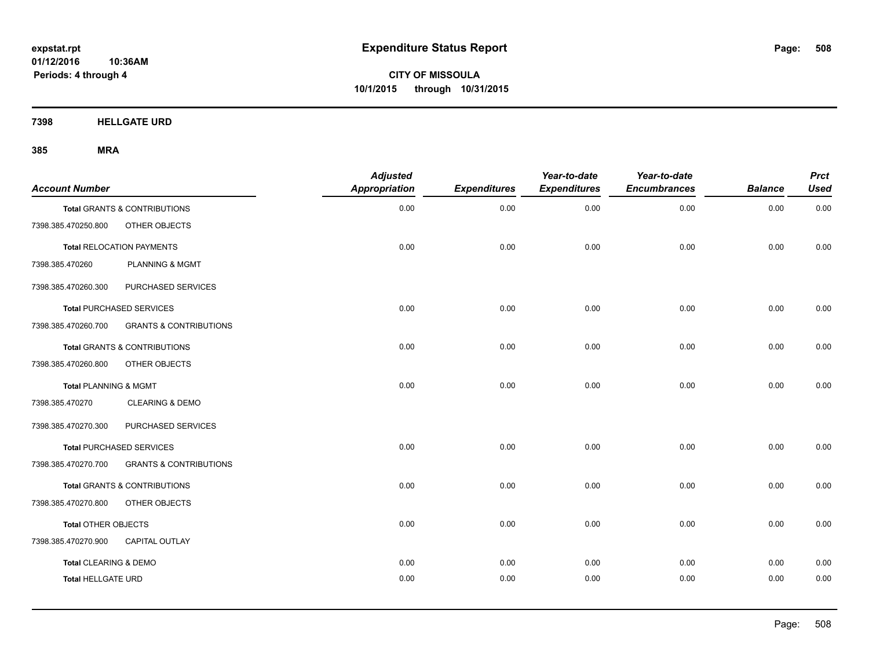**CITY OF MISSOULA 10/1/2015 through 10/31/2015**

**7398 HELLGATE URD**

| <b>Account Number</b>     |                                   | <b>Adjusted</b><br>Appropriation | <b>Expenditures</b> | Year-to-date<br><b>Expenditures</b> | Year-to-date<br><b>Encumbrances</b> | <b>Balance</b> | <b>Prct</b><br><b>Used</b> |
|---------------------------|-----------------------------------|----------------------------------|---------------------|-------------------------------------|-------------------------------------|----------------|----------------------------|
|                           | Total GRANTS & CONTRIBUTIONS      | 0.00                             | 0.00                | 0.00                                | 0.00                                | 0.00           | 0.00                       |
| 7398.385.470250.800       | OTHER OBJECTS                     |                                  |                     |                                     |                                     |                |                            |
|                           | <b>Total RELOCATION PAYMENTS</b>  | 0.00                             | 0.00                | 0.00                                | 0.00                                | 0.00           | 0.00                       |
| 7398.385.470260           | <b>PLANNING &amp; MGMT</b>        |                                  |                     |                                     |                                     |                |                            |
| 7398.385.470260.300       | PURCHASED SERVICES                |                                  |                     |                                     |                                     |                |                            |
|                           | <b>Total PURCHASED SERVICES</b>   | 0.00                             | 0.00                | 0.00                                | 0.00                                | 0.00           | 0.00                       |
| 7398.385.470260.700       | <b>GRANTS &amp; CONTRIBUTIONS</b> |                                  |                     |                                     |                                     |                |                            |
|                           | Total GRANTS & CONTRIBUTIONS      | 0.00                             | 0.00                | 0.00                                | 0.00                                | 0.00           | 0.00                       |
| 7398.385.470260.800       | OTHER OBJECTS                     |                                  |                     |                                     |                                     |                |                            |
| Total PLANNING & MGMT     |                                   | 0.00                             | 0.00                | 0.00                                | 0.00                                | 0.00           | 0.00                       |
| 7398.385.470270           | <b>CLEARING &amp; DEMO</b>        |                                  |                     |                                     |                                     |                |                            |
| 7398.385.470270.300       | PURCHASED SERVICES                |                                  |                     |                                     |                                     |                |                            |
|                           | <b>Total PURCHASED SERVICES</b>   | 0.00                             | 0.00                | 0.00                                | 0.00                                | 0.00           | 0.00                       |
| 7398.385.470270.700       | <b>GRANTS &amp; CONTRIBUTIONS</b> |                                  |                     |                                     |                                     |                |                            |
|                           | Total GRANTS & CONTRIBUTIONS      | 0.00                             | 0.00                | 0.00                                | 0.00                                | 0.00           | 0.00                       |
| 7398.385.470270.800       | OTHER OBJECTS                     |                                  |                     |                                     |                                     |                |                            |
| Total OTHER OBJECTS       |                                   | 0.00                             | 0.00                | 0.00                                | 0.00                                | 0.00           | 0.00                       |
| 7398.385.470270.900       | <b>CAPITAL OUTLAY</b>             |                                  |                     |                                     |                                     |                |                            |
| Total CLEARING & DEMO     |                                   | 0.00                             | 0.00                | 0.00                                | 0.00                                | 0.00           | 0.00                       |
| <b>Total HELLGATE URD</b> |                                   | 0.00                             | 0.00                | 0.00                                | 0.00                                | 0.00           | 0.00                       |
|                           |                                   |                                  |                     |                                     |                                     |                |                            |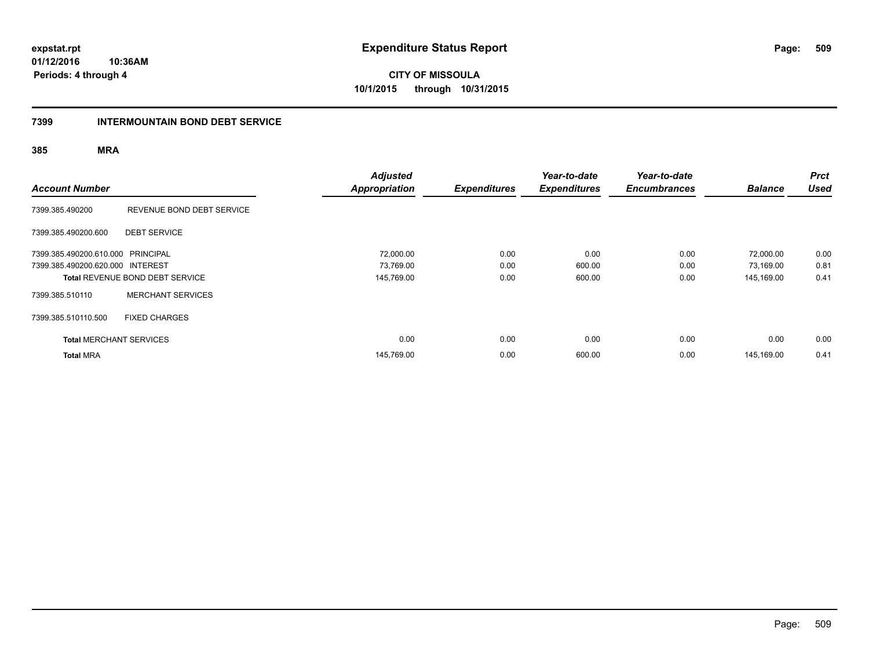**CITY OF MISSOULA 10/1/2015 through 10/31/2015**

#### **7399 INTERMOUNTAIN BOND DEBT SERVICE**

| <b>Account Number</b>             |                                        | <b>Adjusted</b><br><b>Appropriation</b> | <b>Expenditures</b> | Year-to-date<br><b>Expenditures</b> | Year-to-date<br><b>Encumbrances</b> | <b>Balance</b> | <b>Prct</b><br><b>Used</b> |
|-----------------------------------|----------------------------------------|-----------------------------------------|---------------------|-------------------------------------|-------------------------------------|----------------|----------------------------|
| 7399.385.490200                   | REVENUE BOND DEBT SERVICE              |                                         |                     |                                     |                                     |                |                            |
| 7399.385.490200.600               | <b>DEBT SERVICE</b>                    |                                         |                     |                                     |                                     |                |                            |
| 7399.385.490200.610.000 PRINCIPAL |                                        | 72,000.00                               | 0.00                | 0.00                                | 0.00                                | 72,000.00      | 0.00                       |
| 7399.385.490200.620.000 INTEREST  |                                        | 73,769.00                               | 0.00                | 600.00                              | 0.00                                | 73,169.00      | 0.81                       |
|                                   | <b>Total REVENUE BOND DEBT SERVICE</b> | 145,769.00                              | 0.00                | 600.00                              | 0.00                                | 145,169.00     | 0.41                       |
| 7399.385.510110                   | <b>MERCHANT SERVICES</b>               |                                         |                     |                                     |                                     |                |                            |
| 7399.385.510110.500               | <b>FIXED CHARGES</b>                   |                                         |                     |                                     |                                     |                |                            |
| <b>Total MERCHANT SERVICES</b>    |                                        | 0.00                                    | 0.00                | 0.00                                | 0.00                                | 0.00           | 0.00                       |
| <b>Total MRA</b>                  |                                        | 145,769.00                              | 0.00                | 600.00                              | 0.00                                | 145,169.00     | 0.41                       |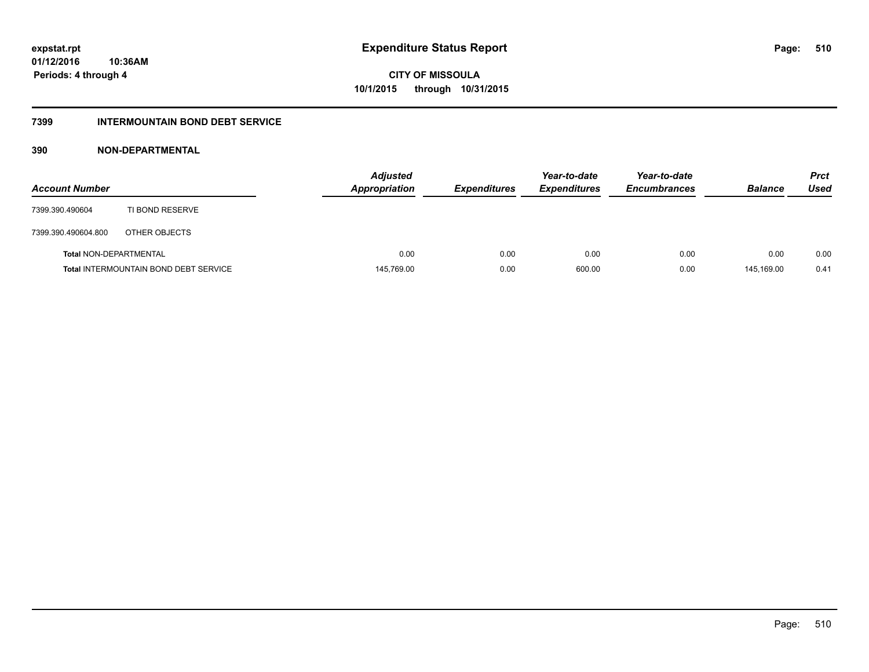#### **7399 INTERMOUNTAIN BOND DEBT SERVICE**

#### **390 NON-DEPARTMENTAL**

| <b>Account Number</b>  |                                              | <b>Adjusted</b><br><b>Appropriation</b> | <b>Expenditures</b> | Year-to-date<br><b>Expenditures</b> | Year-to-date<br><b>Encumbrances</b> | <b>Balance</b> | <b>Prct</b><br>Used |
|------------------------|----------------------------------------------|-----------------------------------------|---------------------|-------------------------------------|-------------------------------------|----------------|---------------------|
| 7399.390.490604        | TI BOND RESERVE                              |                                         |                     |                                     |                                     |                |                     |
| 7399.390.490604.800    | OTHER OBJECTS                                |                                         |                     |                                     |                                     |                |                     |
| Total NON-DEPARTMENTAL |                                              | 0.00                                    | 0.00                | 0.00                                | 0.00                                | 0.00           | 0.00                |
|                        | <b>Total INTERMOUNTAIN BOND DEBT SERVICE</b> | 145,769.00                              | 0.00                | 600.00                              | 0.00                                | 145.169.00     | 0.41                |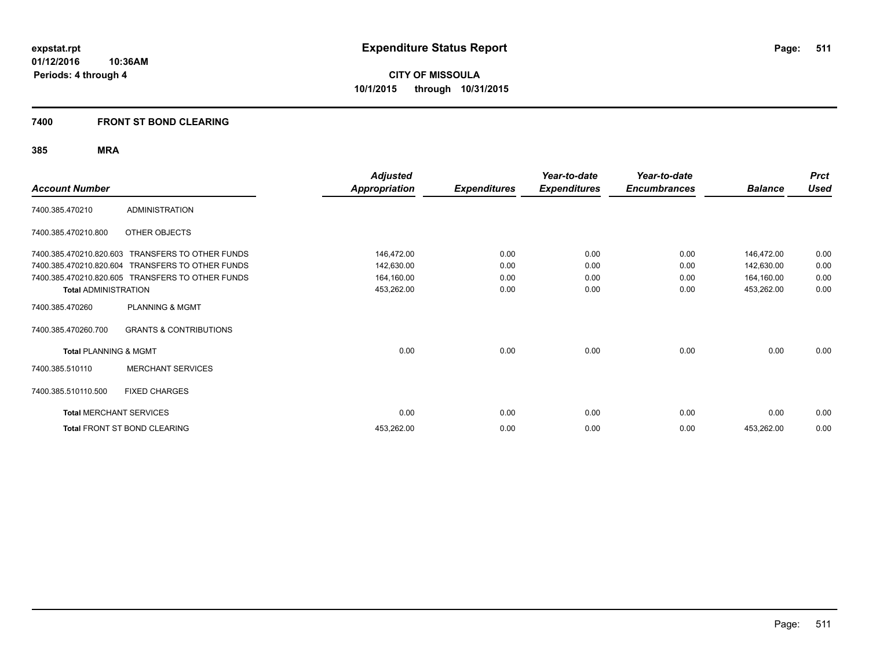**Periods: 4 through 4**

**CITY OF MISSOULA 10/1/2015 through 10/31/2015**

#### **7400 FRONT ST BOND CLEARING**

| <b>Account Number</b>            |                                                  | <b>Adjusted</b><br><b>Appropriation</b> | <b>Expenditures</b> | Year-to-date<br><b>Expenditures</b> | Year-to-date<br><b>Encumbrances</b> | <b>Balance</b> | <b>Prct</b><br><b>Used</b> |
|----------------------------------|--------------------------------------------------|-----------------------------------------|---------------------|-------------------------------------|-------------------------------------|----------------|----------------------------|
| 7400.385.470210                  | <b>ADMINISTRATION</b>                            |                                         |                     |                                     |                                     |                |                            |
| 7400.385.470210.800              | OTHER OBJECTS                                    |                                         |                     |                                     |                                     |                |                            |
| 7400.385.470210.820.603          | <b>TRANSFERS TO OTHER FUNDS</b>                  | 146,472.00                              | 0.00                | 0.00                                | 0.00                                | 146,472.00     | 0.00                       |
| 7400.385.470210.820.604          | TRANSFERS TO OTHER FUNDS                         | 142,630.00                              | 0.00                | 0.00                                | 0.00                                | 142,630.00     | 0.00                       |
|                                  | 7400.385.470210.820.605 TRANSFERS TO OTHER FUNDS | 164,160.00                              | 0.00                | 0.00                                | 0.00                                | 164,160.00     | 0.00                       |
| <b>Total ADMINISTRATION</b>      |                                                  | 453,262.00                              | 0.00                | 0.00                                | 0.00                                | 453,262.00     | 0.00                       |
| 7400.385.470260                  | <b>PLANNING &amp; MGMT</b>                       |                                         |                     |                                     |                                     |                |                            |
| 7400.385.470260.700              | <b>GRANTS &amp; CONTRIBUTIONS</b>                |                                         |                     |                                     |                                     |                |                            |
| <b>Total PLANNING &amp; MGMT</b> |                                                  | 0.00                                    | 0.00                | 0.00                                | 0.00                                | 0.00           | 0.00                       |
| 7400.385.510110                  | <b>MERCHANT SERVICES</b>                         |                                         |                     |                                     |                                     |                |                            |
| 7400.385.510110.500              | <b>FIXED CHARGES</b>                             |                                         |                     |                                     |                                     |                |                            |
| <b>Total MERCHANT SERVICES</b>   |                                                  | 0.00                                    | 0.00                | 0.00                                | 0.00                                | 0.00           | 0.00                       |
|                                  | Total FRONT ST BOND CLEARING                     | 453,262.00                              | 0.00                | 0.00                                | 0.00                                | 453,262.00     | 0.00                       |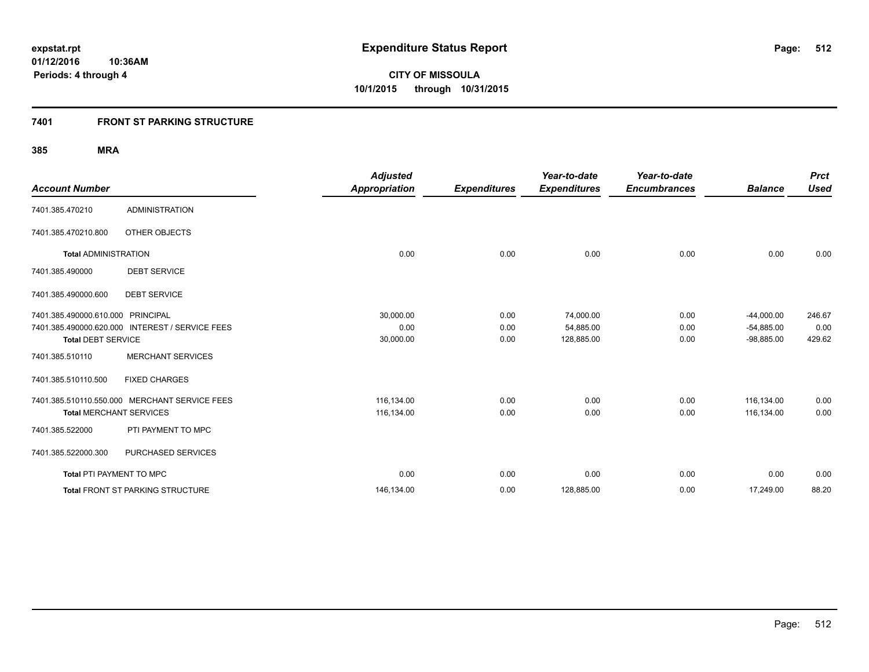#### **7401 FRONT ST PARKING STRUCTURE**

|                                   |                                                 | <b>Adjusted</b>      |                     | Year-to-date        | Year-to-date        |                | <b>Prct</b> |
|-----------------------------------|-------------------------------------------------|----------------------|---------------------|---------------------|---------------------|----------------|-------------|
| <b>Account Number</b>             |                                                 | <b>Appropriation</b> | <b>Expenditures</b> | <b>Expenditures</b> | <b>Encumbrances</b> | <b>Balance</b> | <b>Used</b> |
| 7401.385.470210                   | <b>ADMINISTRATION</b>                           |                      |                     |                     |                     |                |             |
| 7401.385.470210.800               | OTHER OBJECTS                                   |                      |                     |                     |                     |                |             |
| <b>Total ADMINISTRATION</b>       |                                                 | 0.00                 | 0.00                | 0.00                | 0.00                | 0.00           | 0.00        |
| 7401.385.490000                   | <b>DEBT SERVICE</b>                             |                      |                     |                     |                     |                |             |
| 7401.385.490000.600               | <b>DEBT SERVICE</b>                             |                      |                     |                     |                     |                |             |
| 7401.385.490000.610.000 PRINCIPAL |                                                 | 30,000.00            | 0.00                | 74,000.00           | 0.00                | $-44,000.00$   | 246.67      |
|                                   | 7401.385.490000.620.000 INTEREST / SERVICE FEES | 0.00                 | 0.00                | 54,885.00           | 0.00                | $-54.885.00$   | 0.00        |
| <b>Total DEBT SERVICE</b>         |                                                 | 30,000.00            | 0.00                | 128,885.00          | 0.00                | $-98,885.00$   | 429.62      |
| 7401.385.510110                   | <b>MERCHANT SERVICES</b>                        |                      |                     |                     |                     |                |             |
| 7401.385.510110.500               | <b>FIXED CHARGES</b>                            |                      |                     |                     |                     |                |             |
|                                   | 7401.385.510110.550.000 MERCHANT SERVICE FEES   | 116,134.00           | 0.00                | 0.00                | 0.00                | 116,134.00     | 0.00        |
| <b>Total MERCHANT SERVICES</b>    |                                                 | 116,134.00           | 0.00                | 0.00                | 0.00                | 116,134.00     | 0.00        |
| 7401.385.522000                   | PTI PAYMENT TO MPC                              |                      |                     |                     |                     |                |             |
| 7401.385.522000.300               | PURCHASED SERVICES                              |                      |                     |                     |                     |                |             |
| <b>Total PTI PAYMENT TO MPC</b>   |                                                 | 0.00                 | 0.00                | 0.00                | 0.00                | 0.00           | 0.00        |
|                                   | <b>Total FRONT ST PARKING STRUCTURE</b>         | 146,134.00           | 0.00                | 128,885.00          | 0.00                | 17,249.00      | 88.20       |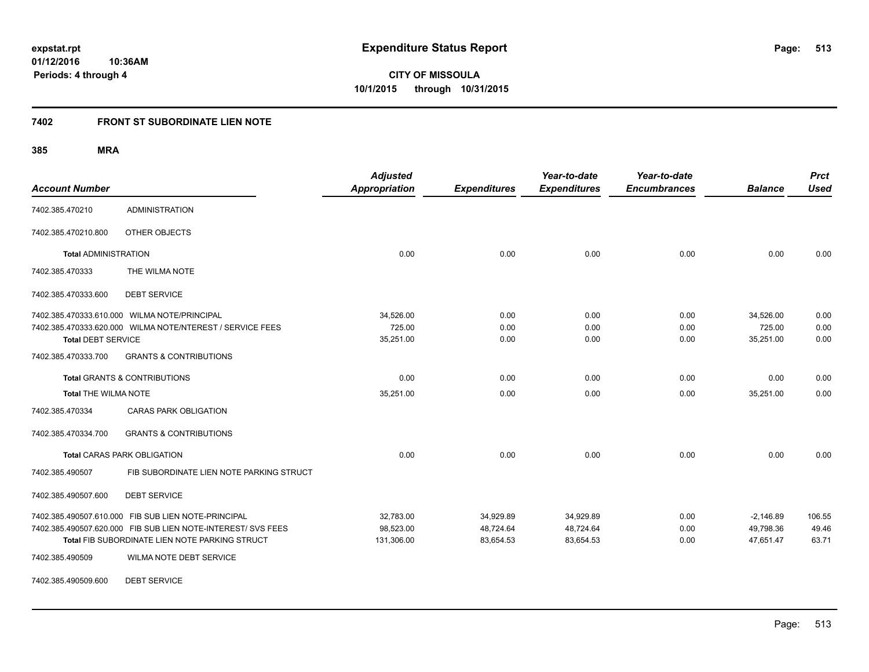**CITY OF MISSOULA 10/1/2015 through 10/31/2015**

#### **7402 FRONT ST SUBORDINATE LIEN NOTE**

**385 MRA**

| <b>Account Number</b>                            |                                                                                                                                                                                                         | <b>Adjusted</b><br><b>Appropriation</b> | <b>Expenditures</b>                 | Year-to-date<br><b>Expenditures</b> | Year-to-date<br><b>Encumbrances</b> | <b>Balance</b>                        | <b>Prct</b><br><b>Used</b> |
|--------------------------------------------------|---------------------------------------------------------------------------------------------------------------------------------------------------------------------------------------------------------|-----------------------------------------|-------------------------------------|-------------------------------------|-------------------------------------|---------------------------------------|----------------------------|
| 7402.385.470210                                  | <b>ADMINISTRATION</b>                                                                                                                                                                                   |                                         |                                     |                                     |                                     |                                       |                            |
| 7402.385.470210.800                              | OTHER OBJECTS                                                                                                                                                                                           |                                         |                                     |                                     |                                     |                                       |                            |
| <b>Total ADMINISTRATION</b>                      |                                                                                                                                                                                                         | 0.00                                    | 0.00                                | 0.00                                | 0.00                                | 0.00                                  | 0.00                       |
| 7402.385.470333                                  | THE WILMA NOTE                                                                                                                                                                                          |                                         |                                     |                                     |                                     |                                       |                            |
| 7402.385.470333.600                              | <b>DEBT SERVICE</b>                                                                                                                                                                                     |                                         |                                     |                                     |                                     |                                       |                            |
| <b>Total DEBT SERVICE</b><br>7402.385.470333.700 | 7402.385.470333.610.000 WILMA NOTE/PRINCIPAL<br>7402.385.470333.620.000 WILMA NOTE/NTEREST / SERVICE FEES<br><b>GRANTS &amp; CONTRIBUTIONS</b>                                                          | 34,526.00<br>725.00<br>35,251.00        | 0.00<br>0.00<br>0.00                | 0.00<br>0.00<br>0.00                | 0.00<br>0.00<br>0.00                | 34,526.00<br>725.00<br>35,251.00      | 0.00<br>0.00<br>0.00       |
| <b>Total THE WILMA NOTE</b>                      | <b>Total GRANTS &amp; CONTRIBUTIONS</b>                                                                                                                                                                 | 0.00<br>35,251.00                       | 0.00<br>0.00                        | 0.00<br>0.00                        | 0.00<br>0.00                        | 0.00<br>35,251.00                     | 0.00<br>0.00               |
| 7402.385.470334                                  | <b>CARAS PARK OBLIGATION</b>                                                                                                                                                                            |                                         |                                     |                                     |                                     |                                       |                            |
| 7402.385.470334.700                              | <b>GRANTS &amp; CONTRIBUTIONS</b>                                                                                                                                                                       |                                         |                                     |                                     |                                     |                                       |                            |
|                                                  | <b>Total CARAS PARK OBLIGATION</b>                                                                                                                                                                      | 0.00                                    | 0.00                                | 0.00                                | 0.00                                | 0.00                                  | 0.00                       |
| 7402.385.490507                                  | FIB SUBORDINATE LIEN NOTE PARKING STRUCT                                                                                                                                                                |                                         |                                     |                                     |                                     |                                       |                            |
| 7402.385.490507.600                              | <b>DEBT SERVICE</b>                                                                                                                                                                                     |                                         |                                     |                                     |                                     |                                       |                            |
| 7402.385.490509                                  | 7402.385.490507.610.000 FIB SUB LIEN NOTE-PRINCIPAL<br>7402.385.490507.620.000 FIB SUB LIEN NOTE-INTEREST/ SVS FEES<br>Total FIB SUBORDINATE LIEN NOTE PARKING STRUCT<br><b>WILMA NOTE DEBT SERVICE</b> | 32,783.00<br>98,523.00<br>131,306.00    | 34,929.89<br>48,724.64<br>83,654.53 | 34,929.89<br>48,724.64<br>83,654.53 | 0.00<br>0.00<br>0.00                | $-2,146.89$<br>49,798.36<br>47,651.47 | 106.55<br>49.46<br>63.71   |

7402.385.490509.600 DEBT SERVICE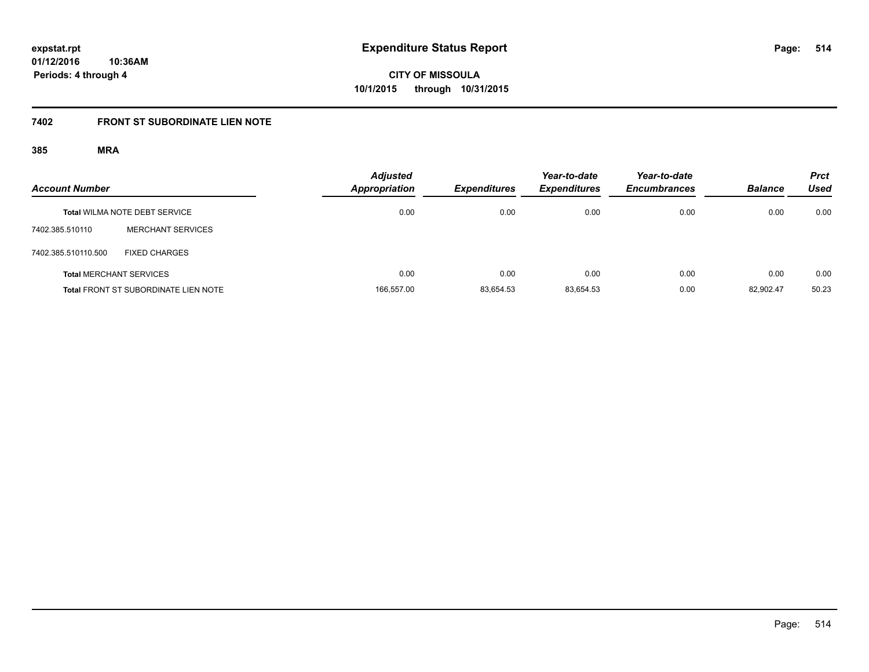**CITY OF MISSOULA 10/1/2015 through 10/31/2015**

# **7402 FRONT ST SUBORDINATE LIEN NOTE**

| <b>Account Number</b> |                                             | <b>Adjusted</b><br><b>Appropriation</b> | <b>Expenditures</b> | Year-to-date<br><b>Expenditures</b> | Year-to-date<br><b>Encumbrances</b> | <b>Balance</b> | <b>Prct</b><br>Used |
|-----------------------|---------------------------------------------|-----------------------------------------|---------------------|-------------------------------------|-------------------------------------|----------------|---------------------|
|                       | <b>Total WILMA NOTE DEBT SERVICE</b>        | 0.00                                    | 0.00                | 0.00                                | 0.00                                | 0.00           | 0.00                |
| 7402.385.510110       | <b>MERCHANT SERVICES</b>                    |                                         |                     |                                     |                                     |                |                     |
| 7402.385.510110.500   | <b>FIXED CHARGES</b>                        |                                         |                     |                                     |                                     |                |                     |
|                       | <b>Total MERCHANT SERVICES</b>              | 0.00                                    | 0.00                | 0.00                                | 0.00                                | 0.00           | 0.00                |
|                       | <b>Total FRONT ST SUBORDINATE LIEN NOTE</b> | 166,557.00                              | 83,654.53           | 83.654.53                           | 0.00                                | 82.902.47      | 50.23               |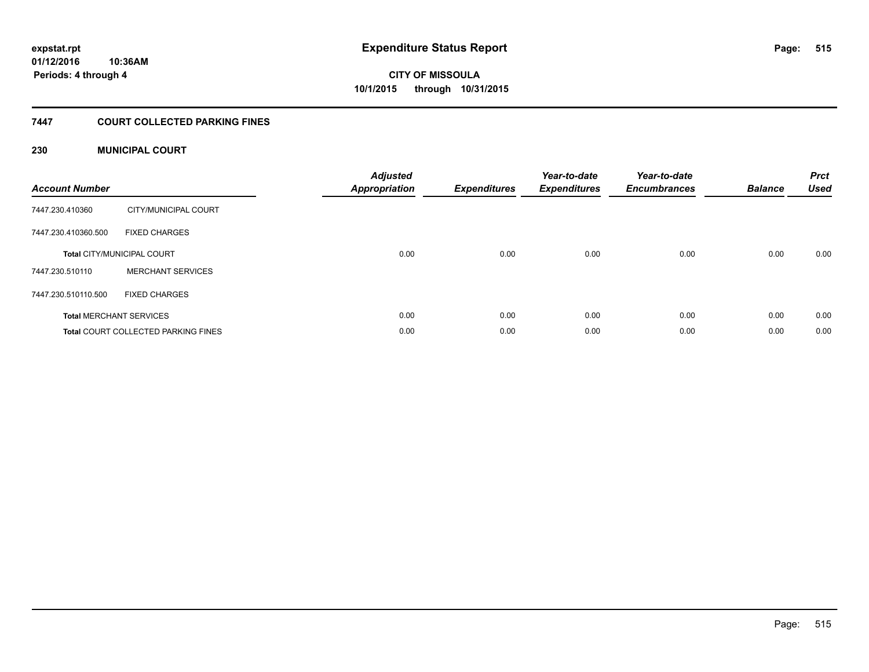#### **7447 COURT COLLECTED PARKING FINES**

#### **230 MUNICIPAL COURT**

| <b>Account Number</b> |                                            | <b>Adjusted</b><br>Appropriation | <b>Expenditures</b> | Year-to-date<br><b>Expenditures</b> | Year-to-date<br><b>Encumbrances</b> | <b>Balance</b> | <b>Prct</b><br><b>Used</b> |
|-----------------------|--------------------------------------------|----------------------------------|---------------------|-------------------------------------|-------------------------------------|----------------|----------------------------|
| 7447.230.410360       | CITY/MUNICIPAL COURT                       |                                  |                     |                                     |                                     |                |                            |
| 7447.230.410360.500   | <b>FIXED CHARGES</b>                       |                                  |                     |                                     |                                     |                |                            |
|                       | <b>Total CITY/MUNICIPAL COURT</b>          | 0.00                             | 0.00                | 0.00                                | 0.00                                | 0.00           | 0.00                       |
| 7447.230.510110       | <b>MERCHANT SERVICES</b>                   |                                  |                     |                                     |                                     |                |                            |
| 7447.230.510110.500   | <b>FIXED CHARGES</b>                       |                                  |                     |                                     |                                     |                |                            |
|                       | <b>Total MERCHANT SERVICES</b>             | 0.00                             | 0.00                | 0.00                                | 0.00                                | 0.00           | 0.00                       |
|                       | <b>Total COURT COLLECTED PARKING FINES</b> | 0.00                             | 0.00                | 0.00                                | 0.00                                | 0.00           | 0.00                       |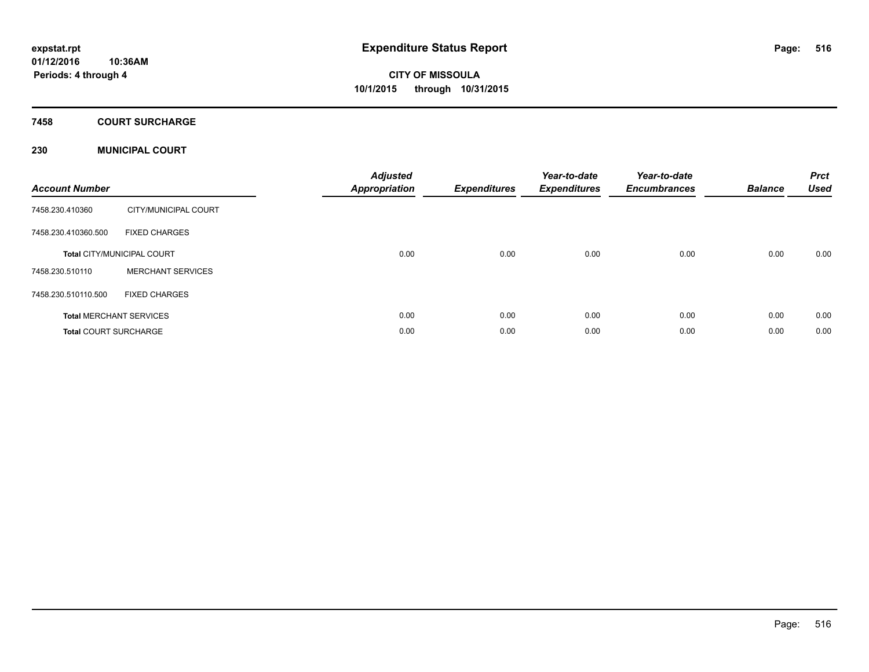### **7458 COURT SURCHARGE**

#### **230 MUNICIPAL COURT**

| <b>Account Number</b>        |                                   | <b>Adjusted</b><br>Appropriation | <b>Expenditures</b> | Year-to-date<br><b>Expenditures</b> | Year-to-date<br><b>Encumbrances</b> | <b>Balance</b> | <b>Prct</b><br><b>Used</b> |
|------------------------------|-----------------------------------|----------------------------------|---------------------|-------------------------------------|-------------------------------------|----------------|----------------------------|
| 7458.230.410360              | CITY/MUNICIPAL COURT              |                                  |                     |                                     |                                     |                |                            |
| 7458.230.410360.500          | <b>FIXED CHARGES</b>              |                                  |                     |                                     |                                     |                |                            |
|                              | <b>Total CITY/MUNICIPAL COURT</b> | 0.00                             | 0.00                | 0.00                                | 0.00                                | 0.00           | 0.00                       |
| 7458.230.510110              | <b>MERCHANT SERVICES</b>          |                                  |                     |                                     |                                     |                |                            |
| 7458.230.510110.500          | <b>FIXED CHARGES</b>              |                                  |                     |                                     |                                     |                |                            |
|                              | <b>Total MERCHANT SERVICES</b>    | 0.00                             | 0.00                | 0.00                                | 0.00                                | 0.00           | 0.00                       |
| <b>Total COURT SURCHARGE</b> |                                   | 0.00                             | 0.00                | 0.00                                | 0.00                                | 0.00           | 0.00                       |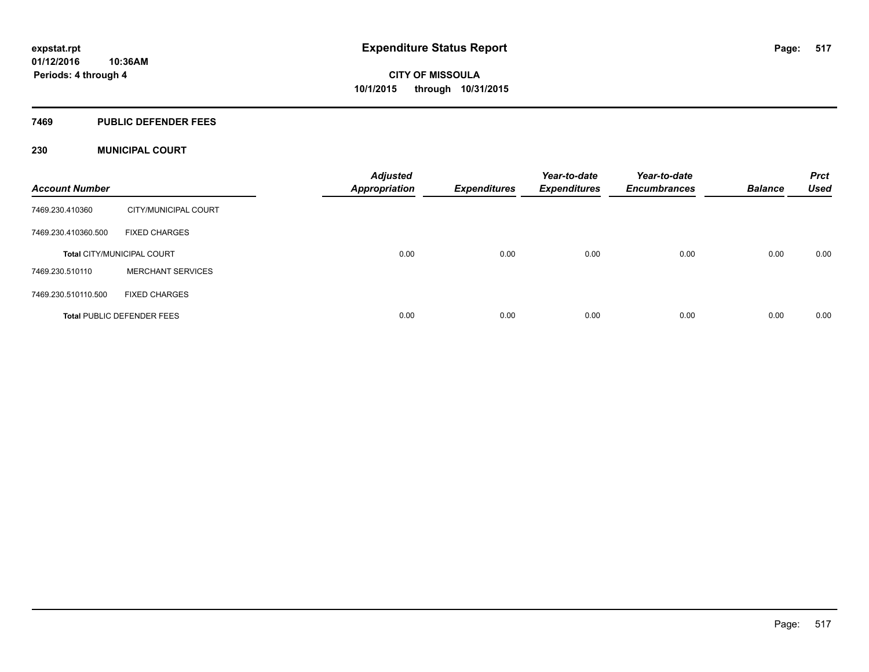#### **7469 PUBLIC DEFENDER FEES**

#### **230 MUNICIPAL COURT**

| <b>Account Number</b>             |                          | <b>Adjusted</b><br><b>Appropriation</b> | <b>Expenditures</b> | Year-to-date<br><b>Expenditures</b> | Year-to-date<br><b>Encumbrances</b> | <b>Balance</b> | <b>Prct</b><br><b>Used</b> |
|-----------------------------------|--------------------------|-----------------------------------------|---------------------|-------------------------------------|-------------------------------------|----------------|----------------------------|
| 7469.230.410360                   | CITY/MUNICIPAL COURT     |                                         |                     |                                     |                                     |                |                            |
| 7469.230.410360.500               | <b>FIXED CHARGES</b>     |                                         |                     |                                     |                                     |                |                            |
| <b>Total CITY/MUNICIPAL COURT</b> |                          | 0.00                                    | 0.00                | 0.00                                | 0.00                                | 0.00           | 0.00                       |
| 7469.230.510110                   | <b>MERCHANT SERVICES</b> |                                         |                     |                                     |                                     |                |                            |
| 7469.230.510110.500               | <b>FIXED CHARGES</b>     |                                         |                     |                                     |                                     |                |                            |
| <b>Total PUBLIC DEFENDER FEES</b> |                          | 0.00                                    | 0.00                | 0.00                                | 0.00                                | 0.00           | 0.00                       |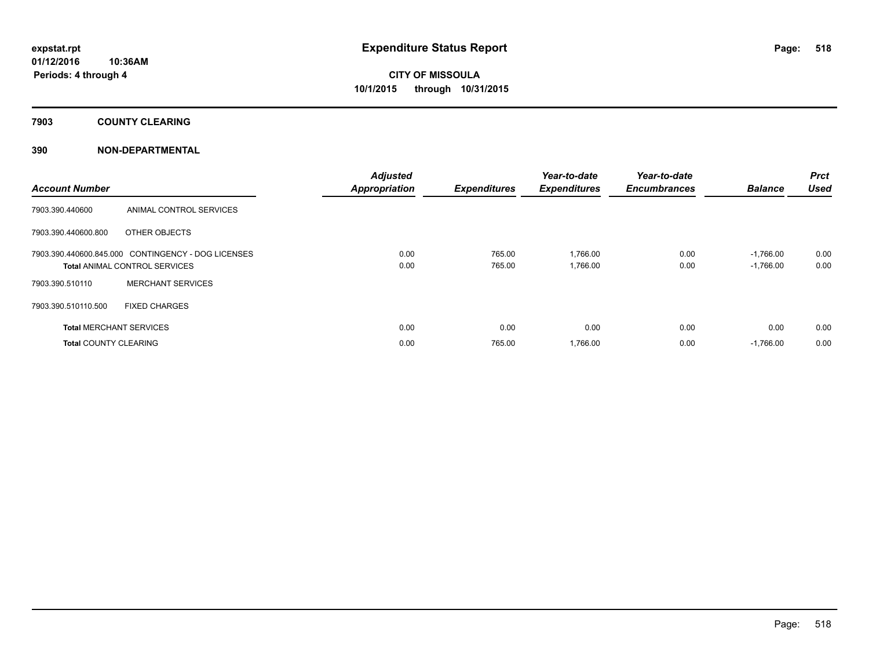### **7903 COUNTY CLEARING**

#### **390 NON-DEPARTMENTAL**

| <b>Account Number</b>                                                                      |                                | <b>Adjusted</b><br><b>Appropriation</b> | <b>Expenditures</b> | Year-to-date<br><b>Expenditures</b> | Year-to-date<br><b>Encumbrances</b> | <b>Balance</b>             | Prct<br><b>Used</b> |
|--------------------------------------------------------------------------------------------|--------------------------------|-----------------------------------------|---------------------|-------------------------------------|-------------------------------------|----------------------------|---------------------|
| 7903.390.440600                                                                            | ANIMAL CONTROL SERVICES        |                                         |                     |                                     |                                     |                            |                     |
| 7903.390.440600.800                                                                        | OTHER OBJECTS                  |                                         |                     |                                     |                                     |                            |                     |
| 7903.390.440600.845.000 CONTINGENCY - DOG LICENSES<br><b>Total ANIMAL CONTROL SERVICES</b> |                                | 0.00<br>0.00                            | 765.00<br>765.00    | 1,766.00<br>1,766.00                | 0.00<br>0.00                        | $-1,766.00$<br>$-1,766.00$ | 0.00<br>0.00        |
| 7903.390.510110                                                                            | <b>MERCHANT SERVICES</b>       |                                         |                     |                                     |                                     |                            |                     |
| 7903.390.510110.500                                                                        | <b>FIXED CHARGES</b>           |                                         |                     |                                     |                                     |                            |                     |
|                                                                                            | <b>Total MERCHANT SERVICES</b> | 0.00                                    | 0.00                | 0.00                                | 0.00                                | 0.00                       | 0.00                |
| <b>Total COUNTY CLEARING</b>                                                               |                                | 0.00                                    | 765.00              | 1,766.00                            | 0.00                                | $-1.766.00$                | 0.00                |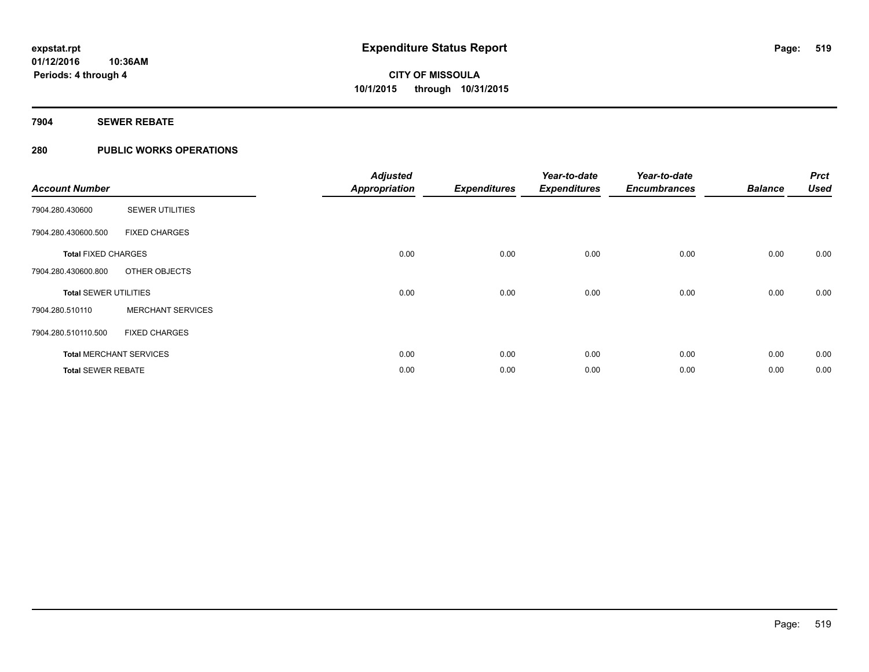#### **7904 SEWER REBATE**

#### **280 PUBLIC WORKS OPERATIONS**

| <b>Account Number</b>        |                                | <b>Adjusted</b><br><b>Appropriation</b> | <b>Expenditures</b> | Year-to-date<br><b>Expenditures</b> | Year-to-date<br><b>Encumbrances</b> | <b>Balance</b> | <b>Prct</b><br><b>Used</b> |
|------------------------------|--------------------------------|-----------------------------------------|---------------------|-------------------------------------|-------------------------------------|----------------|----------------------------|
| 7904.280.430600              | <b>SEWER UTILITIES</b>         |                                         |                     |                                     |                                     |                |                            |
| 7904.280.430600.500          | <b>FIXED CHARGES</b>           |                                         |                     |                                     |                                     |                |                            |
| <b>Total FIXED CHARGES</b>   |                                | 0.00                                    | 0.00                | 0.00                                | 0.00                                | 0.00           | 0.00                       |
| 7904.280.430600.800          | OTHER OBJECTS                  |                                         |                     |                                     |                                     |                |                            |
| <b>Total SEWER UTILITIES</b> |                                | 0.00                                    | 0.00                | 0.00                                | 0.00                                | 0.00           | 0.00                       |
| 7904.280.510110              | <b>MERCHANT SERVICES</b>       |                                         |                     |                                     |                                     |                |                            |
| 7904.280.510110.500          | <b>FIXED CHARGES</b>           |                                         |                     |                                     |                                     |                |                            |
|                              | <b>Total MERCHANT SERVICES</b> | 0.00                                    | 0.00                | 0.00                                | 0.00                                | 0.00           | 0.00                       |
| <b>Total SEWER REBATE</b>    |                                | 0.00                                    | 0.00                | 0.00                                | 0.00                                | 0.00           | 0.00                       |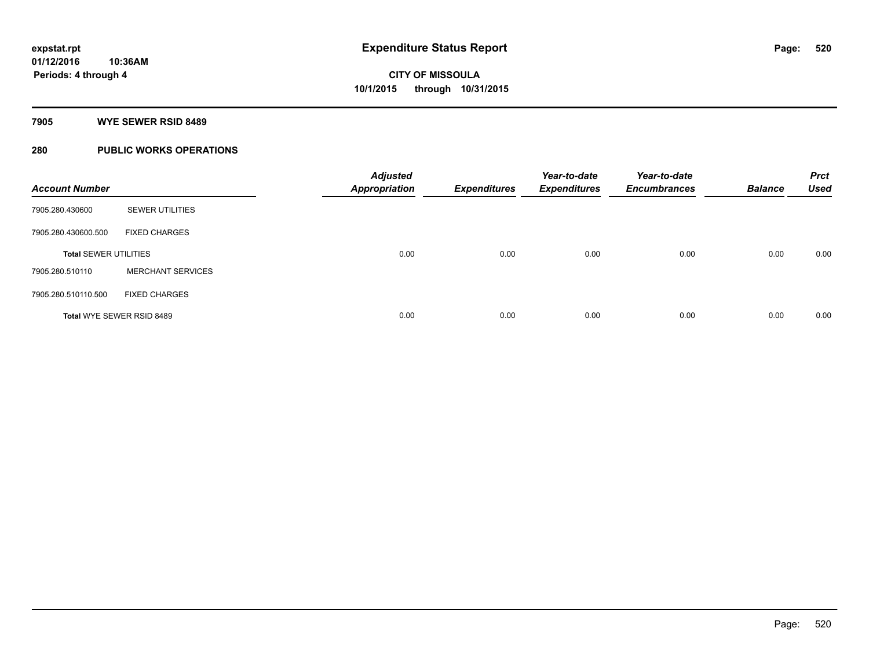#### **7905 WYE SEWER RSID 8489**

### **280 PUBLIC WORKS OPERATIONS**

| <b>Account Number</b>        |                          | <b>Adjusted</b><br><b>Appropriation</b> | <b>Expenditures</b> | Year-to-date<br><b>Expenditures</b> | Year-to-date<br><b>Encumbrances</b> | <b>Balance</b> | <b>Prct</b><br><b>Used</b> |
|------------------------------|--------------------------|-----------------------------------------|---------------------|-------------------------------------|-------------------------------------|----------------|----------------------------|
| 7905.280.430600              | <b>SEWER UTILITIES</b>   |                                         |                     |                                     |                                     |                |                            |
| 7905.280.430600.500          | <b>FIXED CHARGES</b>     |                                         |                     |                                     |                                     |                |                            |
| <b>Total SEWER UTILITIES</b> |                          | 0.00                                    | 0.00                | 0.00                                | 0.00                                | 0.00           | 0.00                       |
| 7905.280.510110              | <b>MERCHANT SERVICES</b> |                                         |                     |                                     |                                     |                |                            |
| 7905.280.510110.500          | <b>FIXED CHARGES</b>     |                                         |                     |                                     |                                     |                |                            |
| Total WYE SEWER RSID 8489    |                          | 0.00                                    | 0.00                | 0.00                                | 0.00                                | 0.00           | 0.00                       |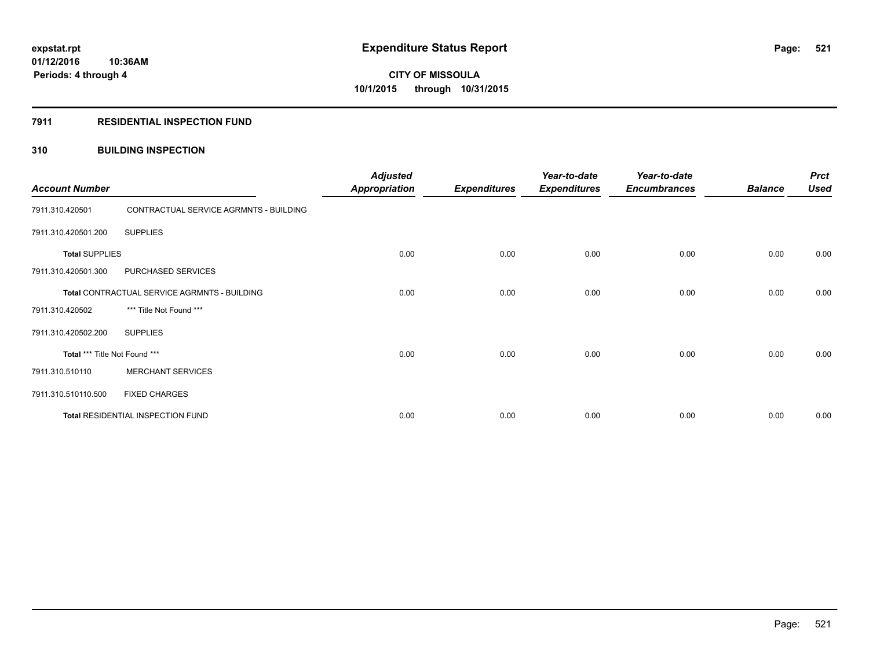#### **7911 RESIDENTIAL INSPECTION FUND**

#### **310 BUILDING INSPECTION**

| <b>Account Number</b>                        |                                        | <b>Adjusted</b><br><b>Appropriation</b> | <b>Expenditures</b> | Year-to-date<br><b>Expenditures</b> | Year-to-date<br><b>Encumbrances</b> | <b>Balance</b> | <b>Prct</b><br><b>Used</b> |
|----------------------------------------------|----------------------------------------|-----------------------------------------|---------------------|-------------------------------------|-------------------------------------|----------------|----------------------------|
| 7911.310.420501                              | CONTRACTUAL SERVICE AGRMNTS - BUILDING |                                         |                     |                                     |                                     |                |                            |
| 7911.310.420501.200                          | <b>SUPPLIES</b>                        |                                         |                     |                                     |                                     |                |                            |
| <b>Total SUPPLIES</b>                        |                                        | 0.00                                    | 0.00                | 0.00                                | 0.00                                | 0.00           | 0.00                       |
| 7911.310.420501.300                          | PURCHASED SERVICES                     |                                         |                     |                                     |                                     |                |                            |
| Total CONTRACTUAL SERVICE AGRMNTS - BUILDING |                                        | 0.00                                    | 0.00                | 0.00                                | 0.00                                | 0.00           | 0.00                       |
| 7911.310.420502                              | *** Title Not Found ***                |                                         |                     |                                     |                                     |                |                            |
| 7911.310.420502.200                          | <b>SUPPLIES</b>                        |                                         |                     |                                     |                                     |                |                            |
| Total *** Title Not Found ***                |                                        | 0.00                                    | 0.00                | 0.00                                | 0.00                                | 0.00           | 0.00                       |
| 7911.310.510110                              | <b>MERCHANT SERVICES</b>               |                                         |                     |                                     |                                     |                |                            |
| 7911.310.510110.500                          | <b>FIXED CHARGES</b>                   |                                         |                     |                                     |                                     |                |                            |
|                                              | Total RESIDENTIAL INSPECTION FUND      | 0.00                                    | 0.00                | 0.00                                | 0.00                                | 0.00           | 0.00                       |